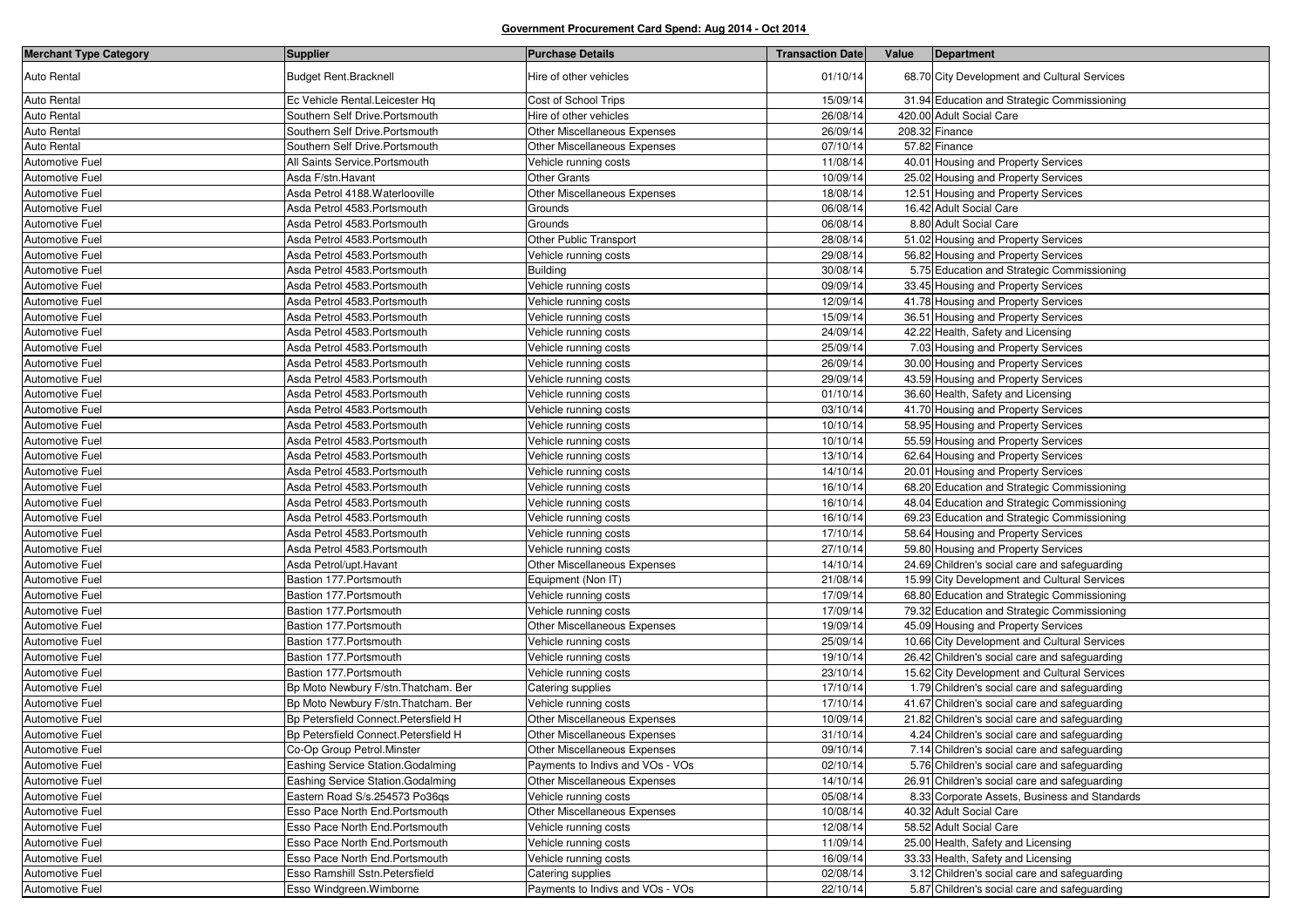| <b>Merchant Type Category</b> | <b>Supplier</b>                       | <b>Purchase Details</b>          | <b>Transaction Date</b> | Value | Department                                    |
|-------------------------------|---------------------------------------|----------------------------------|-------------------------|-------|-----------------------------------------------|
| <b>Auto Rental</b>            | <b>Budget Rent.Bracknell</b>          | Hire of other vehicles           | 01/10/14                |       | 68.70 City Development and Cultural Services  |
| Auto Rental                   | Ec Vehicle Rental.Leicester Hq        | Cost of School Trips             | 15/09/14                |       | 31.94 Education and Strategic Commissioning   |
| Auto Rental                   | Southern Self Drive.Portsmouth        | Hire of other vehicles           | 26/08/14                |       | 420.00 Adult Social Care                      |
| Auto Rental                   | Southern Self Drive.Portsmouth        | Other Miscellaneous Expenses     | 26/09/14                |       | 208.32 Finance                                |
| Auto Rental                   | Southern Self Drive.Portsmouth        | Other Miscellaneous Expenses     | 07/10/14                |       | 57.82 Finance                                 |
| Automotive Fuel               | All Saints Service. Portsmouth        | Vehicle running costs            | 11/08/14                |       | 40.01 Housing and Property Services           |
| Automotive Fuel               | Asda F/stn.Havant                     | <b>Other Grants</b>              | 10/09/14                |       | 25.02 Housing and Property Services           |
| Automotive Fuel               | Asda Petrol 4188. Waterlooville       | Other Miscellaneous Expenses     | 18/08/14                |       | 12.51 Housing and Property Services           |
| Automotive Fuel               | Asda Petrol 4583. Portsmouth          | Grounds                          | 06/08/14                |       | 16.42 Adult Social Care                       |
| Automotive Fuel               | Asda Petrol 4583.Portsmouth           | Grounds                          | 06/08/14                |       | 8.80 Adult Social Care                        |
| Automotive Fuel               | Asda Petrol 4583. Portsmouth          | Other Public Transport           | 28/08/14                |       | 51.02 Housing and Property Services           |
| Automotive Fuel               | Asda Petrol 4583. Portsmouth          | Vehicle running costs            | 29/08/14                |       | 56.82 Housing and Property Services           |
| Automotive Fuel               | Asda Petrol 4583.Portsmouth           | <b>Building</b>                  | 30/08/14                |       | 5.75 Education and Strategic Commissioning    |
| Automotive Fuel               | Asda Petrol 4583. Portsmouth          | Vehicle running costs            | 09/09/14                |       | 33.45 Housing and Property Services           |
| Automotive Fuel               | Asda Petrol 4583. Portsmouth          | Vehicle running costs            | 12/09/14                |       | 41.78 Housing and Property Services           |
| Automotive Fuel               | Asda Petrol 4583.Portsmouth           | Vehicle running costs            | 15/09/14                |       | 36.51 Housing and Property Services           |
| Automotive Fuel               | Asda Petrol 4583. Portsmouth          | Vehicle running costs            | 24/09/14                |       | 42.22 Health, Safety and Licensing            |
| Automotive Fuel               | Asda Petrol 4583.Portsmouth           | Vehicle running costs            | 25/09/14                |       | 7.03 Housing and Property Services            |
| Automotive Fuel               | Asda Petrol 4583.Portsmouth           | Vehicle running costs            | 26/09/14                |       | 30.00 Housing and Property Services           |
| Automotive Fuel               | Asda Petrol 4583.Portsmouth           | Vehicle running costs            | 29/09/14                |       | 43.59 Housing and Property Services           |
| Automotive Fuel               | Asda Petrol 4583. Portsmouth          | Vehicle running costs            | 01/10/14                |       | 36.60 Health, Safety and Licensing            |
| Automotive Fuel               | Asda Petrol 4583.Portsmouth           | Vehicle running costs            | 03/10/14                |       | 41.70 Housing and Property Services           |
| Automotive Fuel               | Asda Petrol 4583. Portsmouth          | Vehicle running costs            | 10/10/14                |       | 58.95 Housing and Property Services           |
| Automotive Fuel               | Asda Petrol 4583. Portsmouth          | Vehicle running costs            | 10/10/14                |       | 55.59 Housing and Property Services           |
| Automotive Fuel               | Asda Petrol 4583.Portsmouth           | Vehicle running costs            | 13/10/14                |       | 62.64 Housing and Property Services           |
| Automotive Fuel               | Asda Petrol 4583.Portsmouth           | Vehicle running costs            | 14/10/14                |       | 20.01 Housing and Property Services           |
| Automotive Fuel               | Asda Petrol 4583. Portsmouth          | Vehicle running costs            | 16/10/14                |       | 68.20 Education and Strategic Commissioning   |
| Automotive Fuel               | Asda Petrol 4583.Portsmouth           | Vehicle running costs            | 16/10/14                |       | 48.04 Education and Strategic Commissioning   |
| Automotive Fuel               | Asda Petrol 4583. Portsmouth          | Vehicle running costs            | 16/10/14                |       | 69.23 Education and Strategic Commissioning   |
| Automotive Fuel               | Asda Petrol 4583. Portsmouth          | Vehicle running costs            | 17/10/14                |       | 58.64 Housing and Property Services           |
| Automotive Fuel               | Asda Petrol 4583.Portsmouth           | Vehicle running costs            | 27/10/14                |       | 59.80 Housing and Property Services           |
| Automotive Fuel               | Asda Petrol/upt.Havant                | Other Miscellaneous Expenses     | 14/10/14                |       | 24.69 Children's social care and safeguarding |
| Automotive Fuel               | Bastion 177. Portsmouth               | Equipment (Non IT)               | 21/08/14                |       | 15.99 City Development and Cultural Services  |
| Automotive Fuel               | Bastion 177. Portsmouth               | Vehicle running costs            | 17/09/14                |       | 68.80 Education and Strategic Commissioning   |
| Automotive Fuel               | Bastion 177. Portsmouth               | Vehicle running costs            | 17/09/14                |       | 79.32 Education and Strategic Commissioning   |
| Automotive Fuel               | Bastion 177. Portsmouth               | Other Miscellaneous Expenses     | 19/09/14                |       | 45.09 Housing and Property Services           |
| Automotive Fuel               | Bastion 177. Portsmouth               | Vehicle running costs            | 25/09/14                |       | 10.66 City Development and Cultural Services  |
| Automotive Fuel               | Bastion 177. Portsmouth               | Vehicle running costs            | 19/10/14                |       | 26.42 Children's social care and safeguarding |
| Automotive Fuel               | Bastion 177. Portsmouth               | Vehicle running costs            | 23/10/14                |       | 15.62 City Development and Cultural Services  |
| Automotive Fuel               | Bp Moto Newbury F/stn. Thatcham. Ber  | Catering supplies                | 17/10/14                |       | 1.79 Children's social care and safeguarding  |
| Automotive Fuel               | Bp Moto Newbury F/stn. Thatcham. Ber  | Vehicle running costs            | 17/10/14                |       | 41.67 Children's social care and safeguarding |
| Automotive Fuel               | Bp Petersfield Connect. Petersfield H | Other Miscellaneous Expenses     | 10/09/14                |       | 21.82 Children's social care and safeguarding |
| Automotive Fuel               | Bp Petersfield Connect. Petersfield H | Other Miscellaneous Expenses     | 31/10/14                |       | 4.24 Children's social care and safeguarding  |
| Automotive Fuel               | Co-Op Group Petrol.Minster            | Other Miscellaneous Expenses     | 09/10/14                |       | 7.14 Children's social care and safeguarding  |
| Automotive Fuel               | Eashing Service Station.Godalming     | Payments to Indivs and VOs - VOs | 02/10/14                |       | 5.76 Children's social care and safeguarding  |
| Automotive Fuel               | Eashing Service Station.Godalming     | Other Miscellaneous Expenses     | 14/10/14                |       | 26.91 Children's social care and safeguarding |
| Automotive Fuel               | Eastern Road S/s.254573 Po36qs        | Vehicle running costs            | 05/08/14                |       | 8.33 Corporate Assets, Business and Standards |
| Automotive Fuel               | Esso Pace North End. Portsmouth       | Other Miscellaneous Expenses     | 10/08/14                |       | 40.32 Adult Social Care                       |
| Automotive Fuel               | Esso Pace North End. Portsmouth       | Vehicle running costs            | 12/08/14                |       | 58.52 Adult Social Care                       |
| Automotive Fuel               | Esso Pace North End. Portsmouth       | Vehicle running costs            | 11/09/14                |       | 25.00 Health, Safety and Licensing            |
| Automotive Fuel               | Esso Pace North End. Portsmouth       | Vehicle running costs            | 16/09/14                |       | 33.33 Health, Safety and Licensing            |
| Automotive Fuel               | Esso Ramshill Sstn. Petersfield       | Catering supplies                | 02/08/14                |       | 3.12 Children's social care and safeguarding  |
| Automotive Fuel               | Esso Windgreen. Wimborne              | Payments to Indivs and VOs - VOs | 22/10/14                |       | 5.87 Children's social care and safeguarding  |
|                               |                                       |                                  |                         |       |                                               |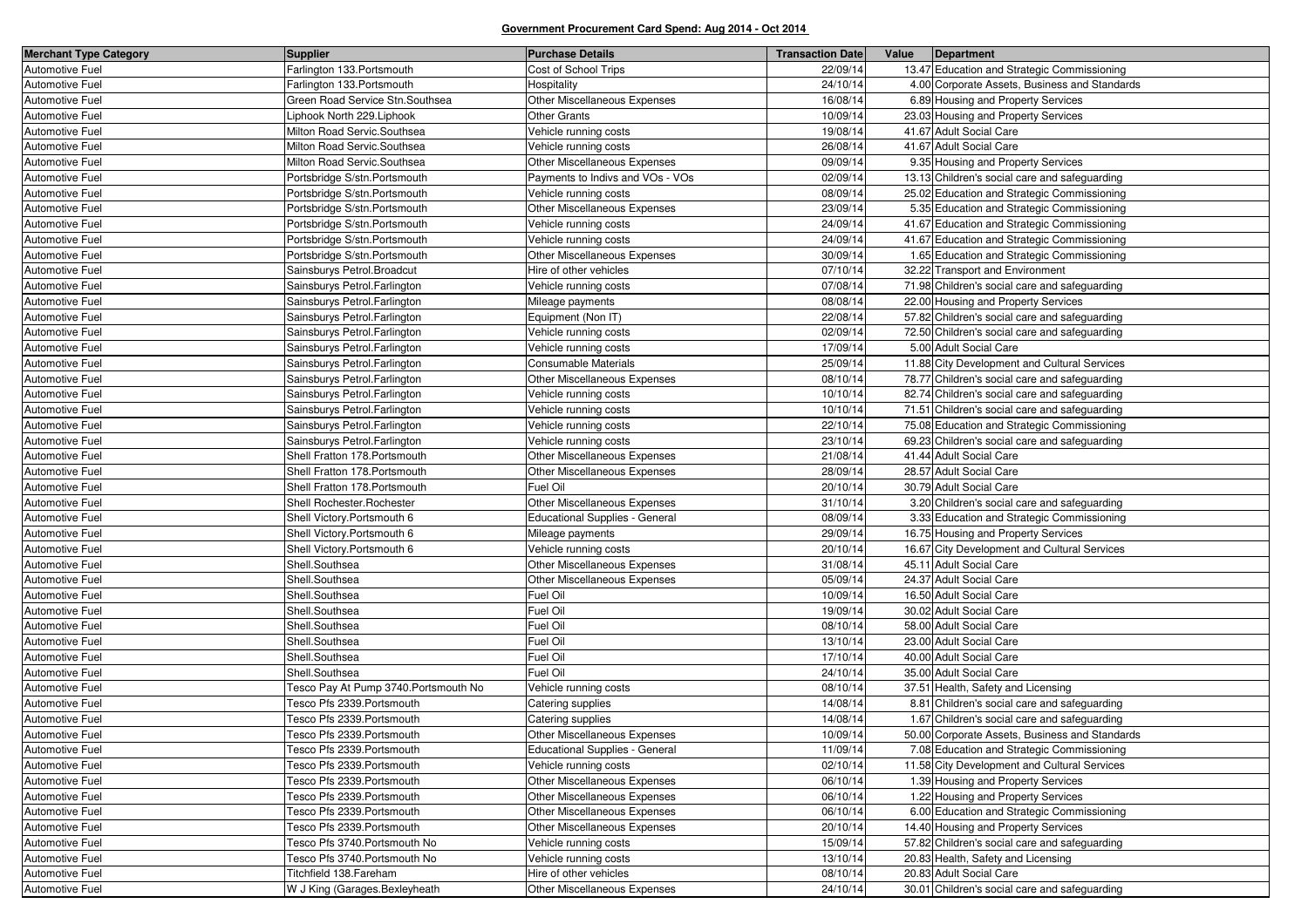| <b>Merchant Type Category</b>      | <b>Supplier</b>                       | <b>Purchase Details</b>                                | <b>Transaction Date</b> | Value | Department                                     |
|------------------------------------|---------------------------------------|--------------------------------------------------------|-------------------------|-------|------------------------------------------------|
| Automotive Fuel                    | Farlington 133. Portsmouth            | Cost of School Trips                                   | 22/09/14                |       | 13.47 Education and Strategic Commissioning    |
| Automotive Fuel                    | Farlington 133. Portsmouth            | Hospitality                                            | 24/10/14                |       | 4.00 Corporate Assets, Business and Standards  |
| Automotive Fuel                    | Green Road Service Stn. Southsea      | Other Miscellaneous Expenses                           | 16/08/14                |       | 6.89 Housing and Property Services             |
| Automotive Fuel                    | Liphook North 229. Liphook            | Other Grants                                           | 10/09/14                |       | 23.03 Housing and Property Services            |
| Automotive Fuel                    | Milton Road Servic.Southsea           | Vehicle running costs                                  | 19/08/14                |       | 41.67 Adult Social Care                        |
| Automotive Fuel                    | Milton Road Servic.Southsea           | Vehicle running costs                                  | 26/08/14                |       | 41.67 Adult Social Care                        |
| Automotive Fuel                    | Milton Road Servic.Southsea           | Other Miscellaneous Expenses                           | 09/09/14                |       | 9.35 Housing and Property Services             |
| Automotive Fuel                    | Portsbridge S/stn.Portsmouth          | Payments to Indivs and VOs - VOs                       | 02/09/14                |       | 13.13 Children's social care and safeguarding  |
| Automotive Fuel                    | Portsbridge S/stn.Portsmouth          | Vehicle running costs                                  | 08/09/14                |       | 25.02 Education and Strategic Commissioning    |
| Automotive Fuel                    | Portsbridge S/stn.Portsmouth          | Other Miscellaneous Expenses                           | 23/09/14                |       | 5.35 Education and Strategic Commissioning     |
| Automotive Fuel                    | Portsbridge S/stn.Portsmouth          | Vehicle running costs                                  | 24/09/14                |       | 41.67 Education and Strategic Commissioning    |
| Automotive Fuel                    | Portsbridge S/stn.Portsmouth          | Vehicle running costs                                  | 24/09/14                |       | 41.67 Education and Strategic Commissioning    |
| Automotive Fuel                    | Portsbridge S/stn.Portsmouth          | Other Miscellaneous Expenses                           | 30/09/14                |       | 1.65 Education and Strategic Commissioning     |
| Automotive Fuel                    | Sainsburys Petrol. Broadcut           | Hire of other vehicles                                 | 07/10/14                |       | 32.22 Transport and Environment                |
| Automotive Fuel                    | Sainsburys Petrol. Farlington         | Vehicle running costs                                  | 07/08/14                |       | 71.98 Children's social care and safeguarding  |
| Automotive Fuel                    | Sainsburys Petrol. Farlington         | Mileage payments                                       | 08/08/14                |       | 22.00 Housing and Property Services            |
| Automotive Fuel                    | Sainsburys Petrol. Farlington         | Equipment (Non IT)                                     | 22/08/14                |       | 57.82 Children's social care and safeguarding  |
| Automotive Fuel                    | Sainsburys Petrol Farlington          | Vehicle running costs                                  | 02/09/14                |       | 72.50 Children's social care and safeguarding  |
| Automotive Fuel                    | Sainsburys Petrol. Farlington         | Vehicle running costs                                  | 17/09/14                |       | 5.00 Adult Social Care                         |
| Automotive Fuel                    | Sainsburys Petrol. Farlington         | Consumable Materials                                   | 25/09/14                |       | 11.88 City Development and Cultural Services   |
| Automotive Fuel                    | Sainsburys Petrol. Farlington         | Other Miscellaneous Expenses                           | 08/10/14                |       | 78.77 Children's social care and safeguarding  |
| Automotive Fuel                    | Sainsburys Petrol. Farlington         | Vehicle running costs                                  | 10/10/14                |       | 82.74 Children's social care and safeguarding  |
| Automotive Fuel                    | Sainsburys Petrol. Farlington         | Vehicle running costs                                  | 10/10/14                |       | 71.51 Children's social care and safeguarding  |
| Automotive Fuel                    | Sainsburys Petrol Farlington          | Vehicle running costs                                  | 22/10/14                |       | 75.08 Education and Strategic Commissioning    |
| Automotive Fuel                    | Sainsburys Petrol. Farlington         | Vehicle running costs                                  | 23/10/14                |       | 69.23 Children's social care and safeguarding  |
| Automotive Fuel                    | Shell Fratton 178. Portsmouth         | Other Miscellaneous Expenses                           | 21/08/14                |       | 41.44 Adult Social Care                        |
| Automotive Fuel                    | Shell Fratton 178. Portsmouth         | Other Miscellaneous Expenses                           | 28/09/14                |       | 28.57 Adult Social Care                        |
| Automotive Fuel                    | Shell Fratton 178. Portsmouth         | Fuel Oil                                               | 20/10/14                |       | 30.79 Adult Social Care                        |
| Automotive Fuel                    | Shell Rochester.Rochester             | Other Miscellaneous Expenses                           | 31/10/14                |       | 3.20 Children's social care and safeguarding   |
| Automotive Fuel                    | Shell Victory.Portsmouth 6            | <b>Educational Supplies - General</b>                  | 08/09/14                |       | 3.33 Education and Strategic Commissioning     |
| Automotive Fuel                    | Shell Victory.Portsmouth 6            | Mileage payments                                       | 29/09/14                |       | 16.75 Housing and Property Services            |
| Automotive Fuel                    | Shell Victory.Portsmouth 6            | Vehicle running costs                                  | 20/10/14                |       | 16.67 City Development and Cultural Services   |
| Automotive Fuel                    | Shell.Southsea                        | Other Miscellaneous Expenses                           | 31/08/14                |       | 45.11 Adult Social Care                        |
| Automotive Fuel                    | Shell.Southsea                        | Other Miscellaneous Expenses                           | 05/09/14                |       | 24.37 Adult Social Care                        |
| Automotive Fuel                    | Shell.Southsea                        | Fuel Oil                                               | 10/09/14                |       | 16.50 Adult Social Care                        |
| Automotive Fuel                    | Shell.Southsea                        | Fuel Oil                                               | 19/09/14                |       | 30.02 Adult Social Care                        |
| Automotive Fuel                    | Shell.Southsea                        | Fuel Oil                                               | 08/10/14                |       | 58.00 Adult Social Care                        |
| Automotive Fuel                    | Shell.Southsea                        | Fuel Oil                                               | 13/10/14                |       | 23.00 Adult Social Care                        |
| Automotive Fuel                    | Shell.Southsea                        | Fuel Oil                                               | 17/10/14                |       | 40.00 Adult Social Care                        |
| Automotive Fuel                    | Shell.Southsea                        | Fuel Oil                                               | 24/10/14                |       | 35.00 Adult Social Care                        |
| Automotive Fuel                    | Tesco Pay At Pump 3740. Portsmouth No | Vehicle running costs                                  | 08/10/14                |       | 37.51 Health, Safety and Licensing             |
| Automotive Fuel                    | Tesco Pfs 2339.Portsmouth             | Catering supplies                                      | 14/08/14                |       | 8.81 Children's social care and safeguarding   |
| Automotive Fuel                    | Tesco Pfs 2339. Portsmouth            | Catering supplies                                      | 14/08/14                |       | 1.67 Children's social care and safeguarding   |
| Automotive Fuel                    | Tesco Pfs 2339. Portsmouth            | Other Miscellaneous Expenses                           | 10/09/14                |       | 50.00 Corporate Assets, Business and Standards |
| Automotive Fuel                    | Tesco Pfs 2339. Portsmouth            | Educational Supplies - General                         | 11/09/14                |       | 7.08 Education and Strategic Commissioning     |
| Automotive Fuel                    | Tesco Pfs 2339. Portsmouth            | Vehicle running costs                                  | 02/10/14                |       | 11.58 City Development and Cultural Services   |
| Automotive Fuel                    | Tesco Pfs 2339. Portsmouth            | Other Miscellaneous Expenses                           | 06/10/14                |       | 1.39 Housing and Property Services             |
| Automotive Fuel                    | Tesco Pfs 2339. Portsmouth            | Other Miscellaneous Expenses                           | 06/10/14                |       | 1.22 Housing and Property Services             |
| Automotive Fuel                    | Tesco Pfs 2339.Portsmouth             | Other Miscellaneous Expenses                           | 06/10/14                |       | 6.00 Education and Strategic Commissioning     |
| Automotive Fuel                    | Tesco Pfs 2339. Portsmouth            | Other Miscellaneous Expenses                           | 20/10/14                |       | 14.40 Housing and Property Services            |
| Automotive Fuel                    | Tesco Pfs 3740. Portsmouth No         |                                                        | 15/09/14                |       | 57.82 Children's social care and safeguarding  |
| Automotive Fuel                    | Tesco Pfs 3740.Portsmouth No          | Vehicle running costs<br>Vehicle running costs         | 13/10/14                |       | 20.83 Health, Safety and Licensing             |
|                                    | Titchfield 138. Fareham               |                                                        | 08/10/14                |       | 20.83 Adult Social Care                        |
| Automotive Fuel<br>Automotive Fuel | W J King (Garages.Bexleyheath         | Hire of other vehicles<br>Other Miscellaneous Expenses | 24/10/14                |       | 30.01 Children's social care and safeguarding  |
|                                    |                                       |                                                        |                         |       |                                                |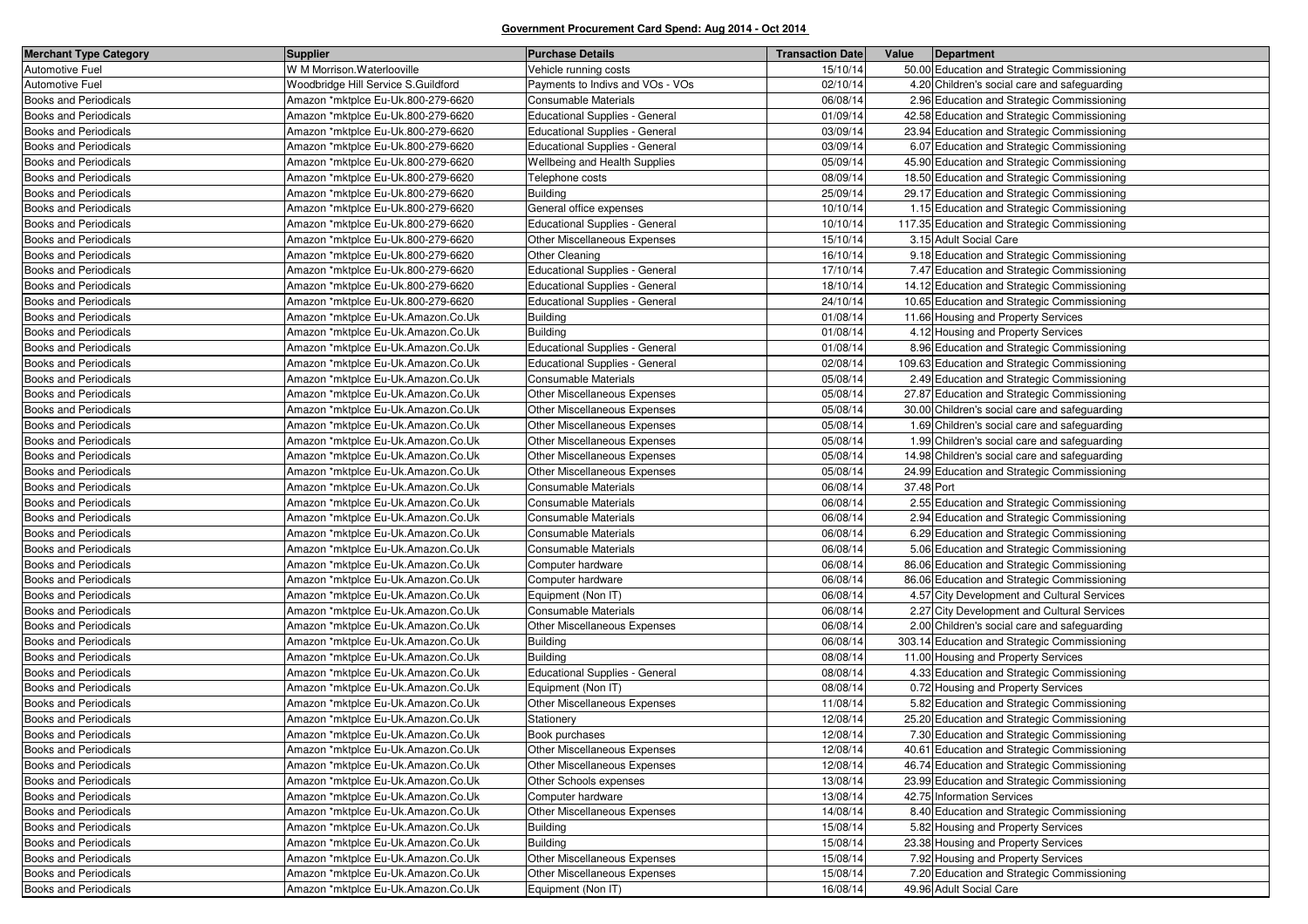| <b>Merchant Type Category</b> | <b>Supplier</b>                     | <b>Purchase Details</b>               | <b>Transaction Date</b> | Value      | Department                                    |
|-------------------------------|-------------------------------------|---------------------------------------|-------------------------|------------|-----------------------------------------------|
| Automotive Fuel               | W M Morrison. Waterlooville         | Vehicle running costs                 | 15/10/14                |            | 50.00 Education and Strategic Commissioning   |
| Automotive Fuel               | Woodbridge Hill Service S.Guildford | Payments to Indivs and VOs - VOs      | 02/10/14                |            | 4.20 Children's social care and safeguarding  |
| <b>Books and Periodicals</b>  | Amazon *mktplce Eu-Uk.800-279-6620  | Consumable Materials                  | 06/08/14                |            | 2.96 Education and Strategic Commissioning    |
| <b>Books and Periodicals</b>  | Amazon *mktplce Eu-Uk.800-279-6620  | Educational Supplies - General        | 01/09/14                |            | 42.58 Education and Strategic Commissioning   |
| <b>Books and Periodicals</b>  | Amazon *mktplce Eu-Uk.800-279-6620  | <b>Educational Supplies - General</b> | 03/09/14                |            | 23.94 Education and Strategic Commissioning   |
| <b>Books and Periodicals</b>  | Amazon *mktplce Eu-Uk.800-279-6620  | <b>Educational Supplies - General</b> | 03/09/14                |            | 6.07 Education and Strategic Commissioning    |
| <b>Books and Periodicals</b>  | Amazon *mktplce Eu-Uk.800-279-6620  | Wellbeing and Health Supplies         | 05/09/14                |            | 45.90 Education and Strategic Commissioning   |
| <b>Books and Periodicals</b>  | Amazon *mktplce Eu-Uk.800-279-6620  | Telephone costs                       | 08/09/14                |            | 18.50 Education and Strategic Commissioning   |
| <b>Books and Periodicals</b>  | Amazon *mktplce Eu-Uk.800-279-6620  | <b>Building</b>                       | 25/09/14                |            | 29.17 Education and Strategic Commissioning   |
| <b>Books and Periodicals</b>  | Amazon *mktplce Eu-Uk.800-279-6620  | General office expenses               | 10/10/14                |            | 1.15 Education and Strategic Commissioning    |
| Books and Periodicals         | Amazon *mktplce Eu-Uk.800-279-6620  | <b>Educational Supplies - General</b> | 10/10/14                |            | 117.35 Education and Strategic Commissioning  |
| <b>Books and Periodicals</b>  | Amazon *mktplce Eu-Uk.800-279-6620  | Other Miscellaneous Expenses          | 15/10/14                |            | 3.15 Adult Social Care                        |
| Books and Periodicals         | Amazon *mktplce Eu-Uk.800-279-6620  | <b>Other Cleaning</b>                 | 16/10/14                |            | 9.18 Education and Strategic Commissioning    |
| <b>Books and Periodicals</b>  | Amazon *mktplce Eu-Uk.800-279-6620  | Educational Supplies - General        | 17/10/14                |            | 7.47 Education and Strategic Commissioning    |
| <b>Books and Periodicals</b>  | Amazon *mktplce Eu-Uk.800-279-6620  | <b>Educational Supplies - General</b> | 18/10/14                |            | 14.12 Education and Strategic Commissioning   |
| <b>Books and Periodicals</b>  | Amazon *mktplce Eu-Uk.800-279-6620  | Educational Supplies - General        | 24/10/14                |            | 10.65 Education and Strategic Commissioning   |
| Books and Periodicals         | Amazon *mktplce Eu-Uk.Amazon.Co.Uk  | <b>Building</b>                       | 01/08/14                |            | 11.66 Housing and Property Services           |
| <b>Books and Periodicals</b>  | Amazon *mktplce Eu-Uk.Amazon.Co.Uk  | <b>Building</b>                       | 01/08/14                |            | 4.12 Housing and Property Services            |
| <b>Books and Periodicals</b>  | Amazon *mktplce Eu-Uk.Amazon.Co.Uk  | Educational Supplies - General        | 01/08/14                |            | 8.96 Education and Strategic Commissioning    |
| <b>Books and Periodicals</b>  | Amazon *mktplce Eu-Uk.Amazon.Co.Uk  | Educational Supplies - General        | 02/08/14                |            | 109.63 Education and Strategic Commissioning  |
| <b>Books and Periodicals</b>  | Amazon *mktplce Eu-Uk.Amazon.Co.Uk  | Consumable Materials                  | 05/08/14                |            | 2.49 Education and Strategic Commissioning    |
| <b>Books and Periodicals</b>  | Amazon *mktplce Eu-Uk.Amazon.Co.Uk  | <b>Other Miscellaneous Expenses</b>   | 05/08/14                |            | 27.87 Education and Strategic Commissioning   |
| Books and Periodicals         | Amazon *mktplce Eu-Uk.Amazon.Co.Uk  | Other Miscellaneous Expenses          | 05/08/14                |            | 30.00 Children's social care and safeguarding |
| <b>Books and Periodicals</b>  | Amazon *mktplce Eu-Uk.Amazon.Co.Uk  | Other Miscellaneous Expenses          | 05/08/14                |            | 1.69 Children's social care and safeguarding  |
| <b>Books and Periodicals</b>  | Amazon *mktplce Eu-Uk.Amazon.Co.Uk  | Other Miscellaneous Expenses          | 05/08/14                |            | 1.99 Children's social care and safeguarding  |
| Books and Periodicals         | Amazon *mktplce Eu-Uk.Amazon.Co.Uk  | Other Miscellaneous Expenses          | 05/08/14                |            | 14.98 Children's social care and safeguarding |
| <b>Books and Periodicals</b>  | Amazon *mktplce Eu-Uk.Amazon.Co.Uk  | Other Miscellaneous Expenses          | 05/08/14                |            | 24.99 Education and Strategic Commissioning   |
| <b>Books and Periodicals</b>  | Amazon *mktplce Eu-Uk.Amazon.Co.Uk  | Consumable Materials                  | 06/08/14                | 37.48 Port |                                               |
| <b>Books and Periodicals</b>  | Amazon *mktplce Eu-Uk.Amazon.Co.Uk  | Consumable Materials                  | 06/08/14                |            | 2.55 Education and Strategic Commissioning    |
| <b>Books and Periodicals</b>  | Amazon *mktplce Eu-Uk.Amazon.Co.Uk  | Consumable Materials                  | 06/08/14                |            | 2.94 Education and Strategic Commissioning    |
| <b>Books and Periodicals</b>  | Amazon *mktplce Eu-Uk.Amazon.Co.Uk  | Consumable Materials                  | 06/08/14                |            | 6.29 Education and Strategic Commissioning    |
| <b>Books and Periodicals</b>  | Amazon *mktplce Eu-Uk.Amazon.Co.Uk  | Consumable Materials                  | 06/08/14                |            | 5.06 Education and Strategic Commissioning    |
| <b>Books and Periodicals</b>  | Amazon *mktplce Eu-Uk.Amazon.Co.Uk  | Computer hardware                     | 06/08/14                |            | 86.06 Education and Strategic Commissioning   |
| <b>Books and Periodicals</b>  | Amazon *mktplce Eu-Uk.Amazon.Co.Uk  | Computer hardware                     | 06/08/14                |            | 86.06 Education and Strategic Commissioning   |
| Books and Periodicals         | Amazon *mktplce Eu-Uk.Amazon.Co.Uk  | Equipment (Non IT)                    | 06/08/14                |            | 4.57 City Development and Cultural Services   |
| Books and Periodicals         | Amazon *mktplce Eu-Uk.Amazon.Co.Uk  | Consumable Materials                  | 06/08/14                |            | 2.27 City Development and Cultural Services   |
| <b>Books and Periodicals</b>  | Amazon *mktplce Eu-Uk.Amazon.Co.Uk  | Other Miscellaneous Expenses          | 06/08/14                |            | 2.00 Children's social care and safeguarding  |
| Books and Periodicals         | Amazon *mktplce Eu-Uk.Amazon.Co.Uk  | <b>Building</b>                       | 06/08/14                |            | 303.14 Education and Strategic Commissioning  |
| Books and Periodicals         | Amazon *mktplce Eu-Uk.Amazon.Co.Uk  | <b>Building</b>                       | 08/08/14                |            | 11.00 Housing and Property Services           |
| <b>Books and Periodicals</b>  | Amazon *mktplce Eu-Uk.Amazon.Co.Uk  | <b>Educational Supplies - General</b> | 08/08/14                |            | 4.33 Education and Strategic Commissioning    |
| Books and Periodicals         | Amazon *mktplce Eu-Uk.Amazon.Co.Uk  | Equipment (Non IT)                    | 08/08/14                |            | 0.72 Housing and Property Services            |
| Books and Periodicals         | Amazon *mktplce Eu-Uk.Amazon.Co.Uk  | Other Miscellaneous Expenses          | 11/08/14                |            | 5.82 Education and Strategic Commissioning    |
| <b>Books and Periodicals</b>  | Amazon *mktplce Eu-Uk.Amazon.Co.Uk  | Stationery                            | 12/08/14                |            | 25.20 Education and Strategic Commissioning   |
| <b>Books and Periodicals</b>  | Amazon *mktplce Eu-Uk.Amazon.Co.Uk  | Book purchases                        | 12/08/14                |            | 7.30 Education and Strategic Commissioning    |
| <b>Books and Periodicals</b>  | Amazon *mktplce Eu-Uk.Amazon.Co.Uk  | Other Miscellaneous Expenses          | 12/08/14                |            | 40.61 Education and Strategic Commissioning   |
| <b>Books and Periodicals</b>  | Amazon *mktplce Eu-Uk.Amazon.Co.Uk  | Other Miscellaneous Expenses          | 12/08/14                |            | 46.74 Education and Strategic Commissioning   |
| <b>Books and Periodicals</b>  | Amazon *mktplce Eu-Uk.Amazon.Co.Uk  | Other Schools expenses                | 13/08/14                |            | 23.99 Education and Strategic Commissioning   |
| <b>Books and Periodicals</b>  | Amazon *mktplce Eu-Uk.Amazon.Co.Uk  | Computer hardware                     | 13/08/14                |            | 42.75 Information Services                    |
| <b>Books and Periodicals</b>  | Amazon *mktplce Eu-Uk.Amazon.Co.Uk  | <b>Other Miscellaneous Expenses</b>   | 14/08/14                |            | 8.40 Education and Strategic Commissioning    |
| Books and Periodicals         | Amazon *mktplce Eu-Uk.Amazon.Co.Uk  | <b>Building</b>                       | 15/08/14                |            | 5.82 Housing and Property Services            |
| <b>Books and Periodicals</b>  | Amazon *mktplce Eu-Uk.Amazon.Co.Uk  | <b>Building</b>                       | 15/08/14                |            | 23.38 Housing and Property Services           |
| <b>Books and Periodicals</b>  | Amazon *mktplce Eu-Uk.Amazon.Co.Uk  | Other Miscellaneous Expenses          | 15/08/14                |            | 7.92 Housing and Property Services            |
| <b>Books and Periodicals</b>  | Amazon *mktplce Eu-Uk.Amazon.Co.Uk  | Other Miscellaneous Expenses          | 15/08/14                |            | 7.20 Education and Strategic Commissioning    |
| <b>Books and Periodicals</b>  | Amazon *mktplce Eu-Uk.Amazon.Co.Uk  | Equipment (Non IT)                    | 16/08/14                |            | 49.96 Adult Social Care                       |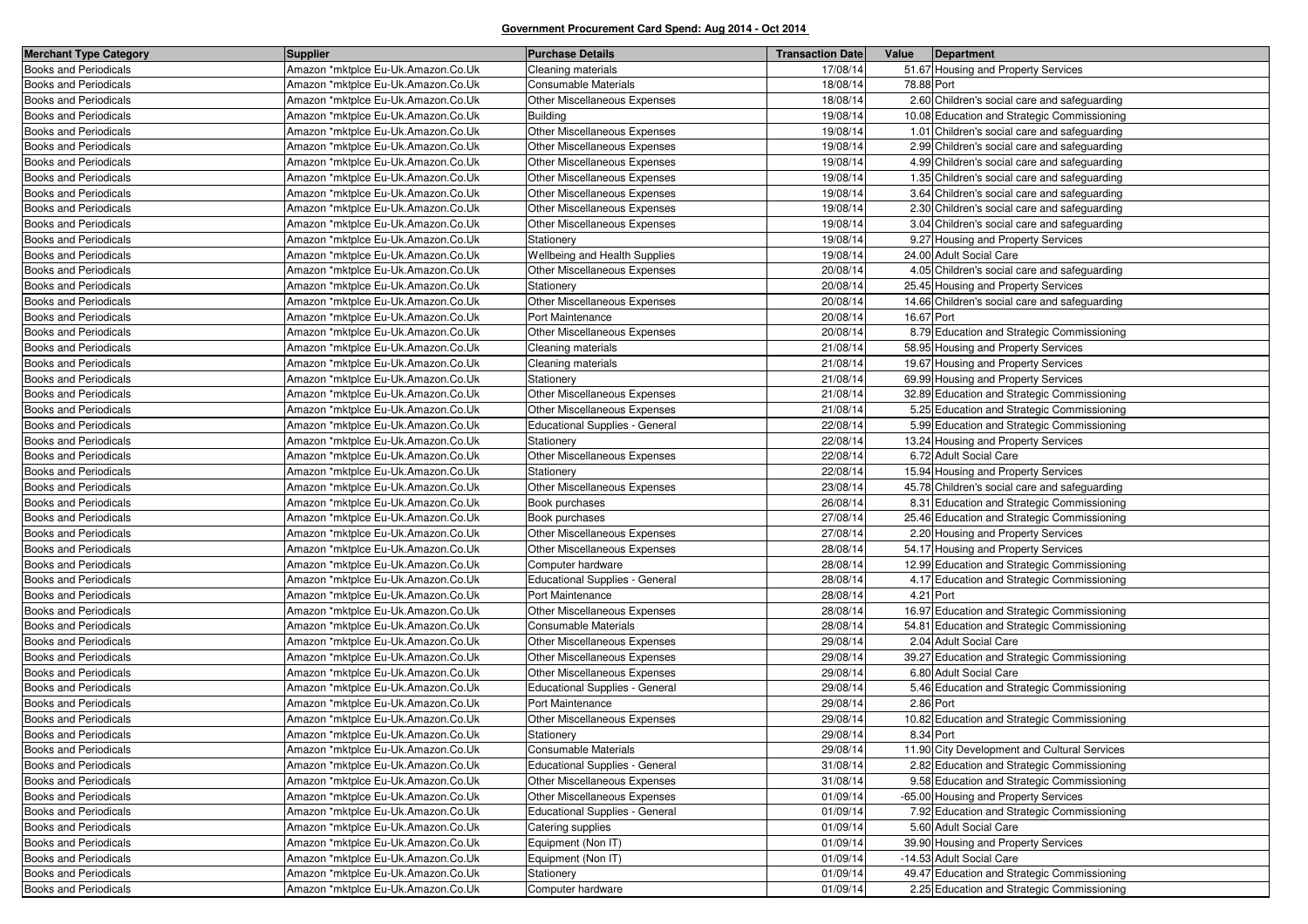| <b>Merchant Type Category</b> | <b>Supplier</b>                    | <b>Purchase Details</b>               | <b>Transaction Date</b> | Value      | Department                                    |
|-------------------------------|------------------------------------|---------------------------------------|-------------------------|------------|-----------------------------------------------|
| <b>Books and Periodicals</b>  | Amazon *mktplce Eu-Uk.Amazon.Co.Uk | Cleaning materials                    | 17/08/14                |            | 51.67 Housing and Property Services           |
| <b>Books and Periodicals</b>  | Amazon *mktplce Eu-Uk.Amazon.Co.Uk | Consumable Materials                  | 18/08/14                | 78.88 Port |                                               |
| <b>Books and Periodicals</b>  | Amazon *mktplce Eu-Uk.Amazon.Co.Uk | Other Miscellaneous Expenses          | 18/08/14                |            | 2.60 Children's social care and safeguarding  |
| <b>Books and Periodicals</b>  | Amazon *mktplce Eu-Uk.Amazon.Co.Uk | <b>Building</b>                       | 19/08/14                |            | 10.08 Education and Strategic Commissioning   |
| <b>Books and Periodicals</b>  | Amazon *mktplce Eu-Uk.Amazon.Co.Uk | Other Miscellaneous Expenses          | 19/08/14                |            | 1.01 Children's social care and safeguarding  |
| <b>Books and Periodicals</b>  | Amazon *mktplce Eu-Uk.Amazon.Co.Uk | Other Miscellaneous Expenses          | 19/08/14                |            | 2.99 Children's social care and safeguarding  |
| <b>Books and Periodicals</b>  | Amazon *mktplce Eu-Uk.Amazon.Co.Uk | Other Miscellaneous Expenses          | 19/08/14                |            | 4.99 Children's social care and safeguarding  |
| <b>Books and Periodicals</b>  | Amazon *mktplce Eu-Uk.Amazon.Co.Uk | Other Miscellaneous Expenses          | 19/08/14                |            | 1.35 Children's social care and safeguarding  |
| <b>Books and Periodicals</b>  | Amazon *mktplce Eu-Uk.Amazon.Co.Uk | Other Miscellaneous Expenses          | 19/08/14                |            | 3.64 Children's social care and safeguarding  |
| <b>Books and Periodicals</b>  | Amazon *mktplce Eu-Uk.Amazon.Co.Uk | Other Miscellaneous Expenses          | 19/08/14                |            | 2.30 Children's social care and safeguarding  |
| <b>Books and Periodicals</b>  | Amazon *mktplce Eu-Uk.Amazon.Co.Uk | Other Miscellaneous Expenses          | 19/08/14                |            | 3.04 Children's social care and safeguarding  |
| Books and Periodicals         | Amazon *mktplce Eu-Uk.Amazon.Co.Uk | Stationery                            | 19/08/14                |            | 9.27 Housing and Property Services            |
| <b>Books and Periodicals</b>  | Amazon *mktplce Eu-Uk.Amazon.Co.Uk | Wellbeing and Health Supplies         | 19/08/14                |            | 24.00 Adult Social Care                       |
| Books and Periodicals         | Amazon *mktplce Eu-Uk.Amazon.Co.Uk | Other Miscellaneous Expenses          | 20/08/14                |            | 4.05 Children's social care and safeguarding  |
| <b>Books and Periodicals</b>  | Amazon *mktplce Eu-Uk.Amazon.Co.Uk | Stationery                            | 20/08/14                |            | 25.45 Housing and Property Services           |
| <b>Books and Periodicals</b>  | Amazon *mktplce Eu-Uk.Amazon.Co.Uk | Other Miscellaneous Expenses          | 20/08/14                |            | 14.66 Children's social care and safeguarding |
| Books and Periodicals         | Amazon *mktplce Eu-Uk.Amazon.Co.Uk | Port Maintenance                      | 20/08/14                | 16.67 Port |                                               |
| <b>Books and Periodicals</b>  | Amazon *mktplce Eu-Uk.Amazon.Co.Uk | Other Miscellaneous Expenses          | 20/08/14                |            | 8.79 Education and Strategic Commissioning    |
| <b>Books and Periodicals</b>  | Amazon *mktplce Eu-Uk.Amazon.Co.Uk | Cleaning materials                    | 21/08/14                |            | 58.95 Housing and Property Services           |
| <b>Books and Periodicals</b>  | Amazon *mktplce Eu-Uk.Amazon.Co.Uk | Cleaning materials                    | 21/08/14                |            | 19.67 Housing and Property Services           |
| <b>Books and Periodicals</b>  | Amazon *mktplce Eu-Uk.Amazon.Co.Uk | Stationery                            | 21/08/14                |            | 69.99 Housing and Property Services           |
| <b>Books and Periodicals</b>  | Amazon *mktplce Eu-Uk.Amazon.Co.Uk | Other Miscellaneous Expenses          | 21/08/14                |            | 32.89 Education and Strategic Commissioning   |
| Books and Periodicals         | Amazon *mktplce Eu-Uk.Amazon.Co.Uk | Other Miscellaneous Expenses          | 21/08/14                |            | 5.25 Education and Strategic Commissioning    |
| <b>Books and Periodicals</b>  | Amazon *mktplce Eu-Uk.Amazon.Co.Uk | <b>Educational Supplies - General</b> | 22/08/14                |            | 5.99 Education and Strategic Commissioning    |
| <b>Books and Periodicals</b>  | Amazon *mktplce Eu-Uk.Amazon.Co.Uk | Stationery                            | 22/08/14                |            | 13.24 Housing and Property Services           |
| Books and Periodicals         | Amazon *mktplce Eu-Uk.Amazon.Co.Uk | Other Miscellaneous Expenses          | 22/08/14                |            | 6.72 Adult Social Care                        |
| <b>Books and Periodicals</b>  | Amazon *mktplce Eu-Uk.Amazon.Co.Uk | Stationery                            | 22/08/14                |            | 15.94 Housing and Property Services           |
| <b>Books and Periodicals</b>  | Amazon *mktplce Eu-Uk.Amazon.Co.Uk | Other Miscellaneous Expenses          | 23/08/14                |            | 45.78 Children's social care and safeguarding |
| <b>Books and Periodicals</b>  | Amazon *mktplce Eu-Uk.Amazon.Co.Uk | Book purchases                        | 26/08/14                |            | 8.31 Education and Strategic Commissioning    |
| <b>Books and Periodicals</b>  | Amazon *mktplce Eu-Uk.Amazon.Co.Uk | Book purchases                        | 27/08/14                |            | 25.46 Education and Strategic Commissioning   |
| <b>Books and Periodicals</b>  | Amazon *mktplce Eu-Uk.Amazon.Co.Uk | Other Miscellaneous Expenses          | 27/08/14                |            | 2.20 Housing and Property Services            |
| <b>Books and Periodicals</b>  | Amazon *mktplce Eu-Uk.Amazon.Co.Uk | Other Miscellaneous Expenses          | 28/08/14                |            | 54.17 Housing and Property Services           |
| <b>Books and Periodicals</b>  | Amazon *mktplce Eu-Uk.Amazon.Co.Uk | Computer hardware                     | 28/08/14                |            | 12.99 Education and Strategic Commissioning   |
| <b>Books and Periodicals</b>  | Amazon *mktplce Eu-Uk.Amazon.Co.Uk | Educational Supplies - General        | 28/08/14                |            | 4.17 Education and Strategic Commissioning    |
| <b>Books and Periodicals</b>  | Amazon *mktplce Eu-Uk.Amazon.Co.Uk | Port Maintenance                      | 28/08/14                | 4.21 Port  |                                               |
| <b>Books and Periodicals</b>  | Amazon *mktplce Eu-Uk.Amazon.Co.Uk | Other Miscellaneous Expenses          | 28/08/14                |            | 16.97 Education and Strategic Commissioning   |
| Books and Periodicals         | Amazon *mktplce Eu-Uk.Amazon.Co.Uk | Consumable Materials                  | 28/08/14                |            | 54.81 Education and Strategic Commissioning   |
| <b>Books and Periodicals</b>  | Amazon *mktplce Eu-Uk.Amazon.Co.Uk | Other Miscellaneous Expenses          | 29/08/14                |            | 2.04 Adult Social Care                        |
| <b>Books and Periodicals</b>  | Amazon *mktplce Eu-Uk.Amazon.Co.Uk | Other Miscellaneous Expenses          | 29/08/14                |            | 39.27 Education and Strategic Commissioning   |
| <b>Books and Periodicals</b>  | Amazon *mktplce Eu-Uk.Amazon.Co.Uk | Other Miscellaneous Expenses          | 29/08/14                |            | 6.80 Adult Social Care                        |
| Books and Periodicals         | Amazon *mktplce Eu-Uk.Amazon.Co.Uk | Educational Supplies - General        | 29/08/14                |            | 5.46 Education and Strategic Commissioning    |
| Books and Periodicals         | Amazon *mktplce Eu-Uk.Amazon.Co.Uk | Port Maintenance                      | 29/08/14                |            | 2.86 Port                                     |
| <b>Books and Periodicals</b>  | Amazon *mktplce Eu-Uk.Amazon.Co.Uk | Other Miscellaneous Expenses          | 29/08/14                |            | 10.82 Education and Strategic Commissioning   |
| Books and Periodicals         | Amazon *mktplce Eu-Uk.Amazon.Co.Uk | Stationery                            | 29/08/14                | 8.34 Port  |                                               |
| <b>Books and Periodicals</b>  | Amazon *mktplce Eu-Uk.Amazon.Co.Uk | Consumable Materials                  | 29/08/14                |            | 11.90 City Development and Cultural Services  |
| <b>Books and Periodicals</b>  | Amazon *mktplce Eu-Uk.Amazon.Co.Uk | Educational Supplies - General        | 31/08/14                |            | 2.82 Education and Strategic Commissioning    |
| <b>Books and Periodicals</b>  | Amazon *mktplce Eu-Uk.Amazon.Co.Uk | Other Miscellaneous Expenses          | 31/08/14                |            | 9.58 Education and Strategic Commissioning    |
| <b>Books and Periodicals</b>  | Amazon *mktplce Eu-Uk.Amazon.Co.Uk | Other Miscellaneous Expenses          | 01/09/14                |            | -65.00 Housing and Property Services          |
| <b>Books and Periodicals</b>  | Amazon *mktplce Eu-Uk.Amazon.Co.Uk | Educational Supplies - General        | 01/09/14                |            | 7.92 Education and Strategic Commissioning    |
| <b>Books and Periodicals</b>  | Amazon *mktplce Eu-Uk.Amazon.Co.Uk | Catering supplies                     | 01/09/14                |            | 5.60 Adult Social Care                        |
| <b>Books and Periodicals</b>  | Amazon *mktplce Eu-Uk.Amazon.Co.Uk | Equipment (Non IT)                    | 01/09/14                |            | 39.90 Housing and Property Services           |
| <b>Books and Periodicals</b>  | Amazon *mktplce Eu-Uk.Amazon.Co.Uk | Equipment (Non IT)                    | 01/09/14                |            | -14.53 Adult Social Care                      |
| <b>Books and Periodicals</b>  | Amazon *mktplce Eu-Uk.Amazon.Co.Uk | Stationery                            | 01/09/14                |            | 49.47 Education and Strategic Commissioning   |
| <b>Books and Periodicals</b>  | Amazon *mktplce Eu-Uk.Amazon.Co.Uk | Computer hardware                     | 01/09/14                |            | 2.25 Education and Strategic Commissioning    |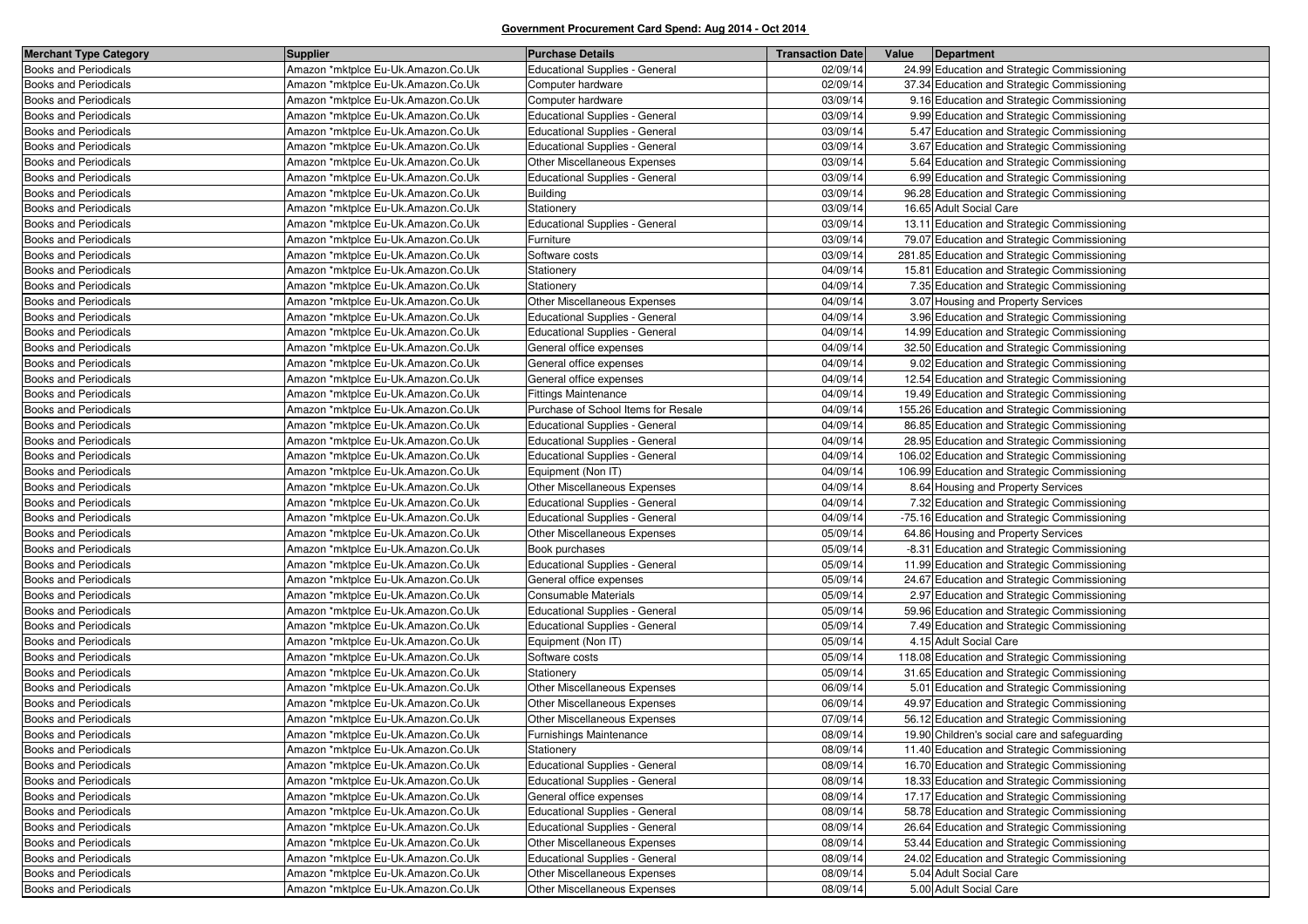| <b>Merchant Type Category</b> | <b>Supplier</b>                    | <b>Purchase Details</b>               | <b>Transaction Date</b> | Value | Department                                    |
|-------------------------------|------------------------------------|---------------------------------------|-------------------------|-------|-----------------------------------------------|
| <b>Books and Periodicals</b>  | Amazon *mktplce Eu-Uk.Amazon.Co.Uk | <b>Educational Supplies - General</b> | 02/09/14                |       | 24.99 Education and Strategic Commissioning   |
| <b>Books and Periodicals</b>  | Amazon *mktplce Eu-Uk.Amazon.Co.Uk | Computer hardware                     | 02/09/14                |       | 37.34 Education and Strategic Commissioning   |
| <b>Books and Periodicals</b>  | Amazon *mktplce Eu-Uk.Amazon.Co.Uk | Computer hardware                     | 03/09/14                |       | 9.16 Education and Strategic Commissioning    |
| <b>Books and Periodicals</b>  | Amazon *mktplce Eu-Uk.Amazon.Co.Uk | Educational Supplies - General        | 03/09/14                |       | 9.99 Education and Strategic Commissioning    |
| <b>Books and Periodicals</b>  | Amazon *mktplce Eu-Uk.Amazon.Co.Uk | <b>Educational Supplies - General</b> | 03/09/14                |       | 5.47 Education and Strategic Commissioning    |
| <b>Books and Periodicals</b>  | Amazon *mktplce Eu-Uk.Amazon.Co.Uk | <b>Educational Supplies - General</b> | 03/09/14                |       | 3.67 Education and Strategic Commissioning    |
| <b>Books and Periodicals</b>  | Amazon *mktplce Eu-Uk.Amazon.Co.Uk | Other Miscellaneous Expenses          | 03/09/14                |       | 5.64 Education and Strategic Commissioning    |
| <b>Books and Periodicals</b>  | Amazon *mktplce Eu-Uk.Amazon.Co.Uk | <b>Educational Supplies - General</b> | 03/09/14                |       | 6.99 Education and Strategic Commissioning    |
| <b>Books and Periodicals</b>  | Amazon *mktplce Eu-Uk.Amazon.Co.Uk | <b>Building</b>                       | 03/09/14                |       | 96.28 Education and Strategic Commissioning   |
| <b>Books and Periodicals</b>  | Amazon *mktplce Eu-Uk.Amazon.Co.Uk | Stationery                            | 03/09/14                |       | 16.65 Adult Social Care                       |
| <b>Books and Periodicals</b>  | Amazon *mktplce Eu-Uk.Amazon.Co.Uk | Educational Supplies - General        | 03/09/14                |       | 13.11 Education and Strategic Commissioning   |
| <b>Books and Periodicals</b>  | Amazon *mktplce Eu-Uk.Amazon.Co.Uk | Furniture                             | 03/09/14                |       | 79.07 Education and Strategic Commissioning   |
| <b>Books and Periodicals</b>  | Amazon *mktplce Eu-Uk.Amazon.Co.Uk | Software costs                        | 03/09/14                |       | 281.85 Education and Strategic Commissioning  |
| <b>Books and Periodicals</b>  | Amazon *mktplce Eu-Uk.Amazon.Co.Uk | Stationery                            | 04/09/14                |       | 15.81 Education and Strategic Commissioning   |
| <b>Books and Periodicals</b>  | Amazon *mktplce Eu-Uk.Amazon.Co.Uk | Stationery                            | 04/09/14                |       | 7.35 Education and Strategic Commissioning    |
| <b>Books and Periodicals</b>  | Amazon *mktplce Eu-Uk.Amazon.Co.Uk | Other Miscellaneous Expenses          | 04/09/14                |       | 3.07 Housing and Property Services            |
| <b>Books and Periodicals</b>  | Amazon *mktplce Eu-Uk.Amazon.Co.Uk | <b>Educational Supplies - General</b> | 04/09/14                |       | 3.96 Education and Strategic Commissioning    |
| <b>Books and Periodicals</b>  | Amazon *mktplce Eu-Uk.Amazon.Co.Uk | Educational Supplies - General        | 04/09/14                |       | 14.99 Education and Strategic Commissioning   |
| <b>Books and Periodicals</b>  | Amazon *mktplce Eu-Uk.Amazon.Co.Uk | General office expenses               | 04/09/14                |       | 32.50 Education and Strategic Commissioning   |
| <b>Books and Periodicals</b>  | Amazon *mktplce Eu-Uk.Amazon.Co.Uk | General office expenses               | 04/09/14                |       | 9.02 Education and Strategic Commissioning    |
| <b>Books and Periodicals</b>  | Amazon *mktplce Eu-Uk.Amazon.Co.Uk | General office expenses               | 04/09/14                |       | 12.54 Education and Strategic Commissioning   |
| <b>Books and Periodicals</b>  | Amazon *mktplce Eu-Uk.Amazon.Co.Uk | <b>Fittings Maintenance</b>           | 04/09/14                |       | 19.49 Education and Strategic Commissioning   |
| <b>Books and Periodicals</b>  | Amazon *mktplce Eu-Uk.Amazon.Co.Uk | Purchase of School Items for Resale   | 04/09/14                |       | 155.26 Education and Strategic Commissioning  |
| <b>Books and Periodicals</b>  | Amazon *mktplce Eu-Uk.Amazon.Co.Uk | <b>Educational Supplies - General</b> | 04/09/14                |       | 86.85 Education and Strategic Commissioning   |
| <b>Books and Periodicals</b>  | Amazon *mktplce Eu-Uk.Amazon.Co.Uk | <b>Educational Supplies - General</b> | 04/09/14                |       | 28.95 Education and Strategic Commissioning   |
| <b>Books and Periodicals</b>  | Amazon *mktplce Eu-Uk.Amazon.Co.Uk | Educational Supplies - General        | 04/09/14                |       | 106.02 Education and Strategic Commissioning  |
| <b>Books and Periodicals</b>  | Amazon *mktplce Eu-Uk.Amazon.Co.Uk | Equipment (Non IT)                    | 04/09/14                |       | 106.99 Education and Strategic Commissioning  |
| <b>Books and Periodicals</b>  | Amazon *mktplce Eu-Uk.Amazon.Co.Uk | Other Miscellaneous Expenses          | 04/09/14                |       | 8.64 Housing and Property Services            |
| <b>Books and Periodicals</b>  | Amazon *mktplce Eu-Uk.Amazon.Co.Uk | Educational Supplies - General        | 04/09/14                |       | 7.32 Education and Strategic Commissioning    |
| <b>Books and Periodicals</b>  | Amazon *mktplce Eu-Uk.Amazon.Co.Uk | <b>Educational Supplies - General</b> | 04/09/14                |       | -75.16 Education and Strategic Commissioning  |
| <b>Books and Periodicals</b>  | Amazon *mktplce Eu-Uk.Amazon.Co.Uk | Other Miscellaneous Expenses          | 05/09/14                |       | 64.86 Housing and Property Services           |
| Books and Periodicals         | Amazon *mktplce Eu-Uk.Amazon.Co.Uk | Book purchases                        | 05/09/14                |       | -8.31 Education and Strategic Commissioning   |
| <b>Books and Periodicals</b>  | Amazon *mktplce Eu-Uk.Amazon.Co.Uk | <b>Educational Supplies - General</b> | 05/09/14                |       | 11.99 Education and Strategic Commissioning   |
| <b>Books and Periodicals</b>  | Amazon *mktplce Eu-Uk.Amazon.Co.Uk | General office expenses               | 05/09/14                |       | 24.67 Education and Strategic Commissioning   |
| Books and Periodicals         | Amazon *mktplce Eu-Uk.Amazon.Co.Uk | Consumable Materials                  | 05/09/14                |       | 2.97 Education and Strategic Commissioning    |
| <b>Books and Periodicals</b>  | Amazon *mktplce Eu-Uk.Amazon.Co.Uk | <b>Educational Supplies - General</b> | 05/09/14                |       | 59.96 Education and Strategic Commissioning   |
| <b>Books and Periodicals</b>  | Amazon *mktplce Eu-Uk.Amazon.Co.Uk | <b>Educational Supplies - General</b> | 05/09/14                |       | 7.49 Education and Strategic Commissioning    |
| Books and Periodicals         | Amazon *mktplce Eu-Uk.Amazon.Co.Uk | Equipment (Non IT)                    | 05/09/14                |       | 4.15 Adult Social Care                        |
| <b>Books and Periodicals</b>  | Amazon *mktplce Eu-Uk.Amazon.Co.Uk | Software costs                        | 05/09/14                |       | 118.08 Education and Strategic Commissioning  |
| <b>Books and Periodicals</b>  | Amazon *mktplce Eu-Uk.Amazon.Co.Uk | Stationery                            | 05/09/14                |       | 31.65 Education and Strategic Commissioning   |
| <b>Books and Periodicals</b>  | Amazon *mktplce Eu-Uk.Amazon.Co.Uk | Other Miscellaneous Expenses          | 06/09/14                |       | 5.01 Education and Strategic Commissioning    |
| <b>Books and Periodicals</b>  | Amazon *mktplce Eu-Uk.Amazon.Co.Uk | Other Miscellaneous Expenses          | 06/09/14                |       | 49.97 Education and Strategic Commissioning   |
| <b>Books and Periodicals</b>  | Amazon *mktplce Eu-Uk.Amazon.Co.Uk | Other Miscellaneous Expenses          | 07/09/14                |       | 56.12 Education and Strategic Commissioning   |
| <b>Books and Periodicals</b>  | Amazon *mktplce Eu-Uk.Amazon.Co.Uk | Furnishings Maintenance               | 08/09/14                |       | 19.90 Children's social care and safeguarding |
| <b>Books and Periodicals</b>  | Amazon *mktplce Eu-Uk.Amazon.Co.Uk | Stationery                            | 08/09/14                |       | 11.40 Education and Strategic Commissioning   |
| Books and Periodicals         | Amazon *mktplce Eu-Uk.Amazon.Co.Uk | Educational Supplies - General        | 08/09/14                |       | 16.70 Education and Strategic Commissioning   |
| <b>Books and Periodicals</b>  | Amazon *mktplce Eu-Uk.Amazon.Co.Uk | Educational Supplies - General        | 08/09/14                |       | 18.33 Education and Strategic Commissioning   |
| <b>Books and Periodicals</b>  | Amazon *mktplce Eu-Uk.Amazon.Co.Uk | General office expenses               | 08/09/14                |       | 17.17 Education and Strategic Commissioning   |
| Books and Periodicals         | Amazon *mktplce Eu-Uk.Amazon.Co.Uk | Educational Supplies - General        | 08/09/14                |       | 58.78 Education and Strategic Commissioning   |
| <b>Books and Periodicals</b>  | Amazon *mktplce Eu-Uk.Amazon.Co.Uk | Educational Supplies - General        | 08/09/14                |       | 26.64 Education and Strategic Commissioning   |
| <b>Books and Periodicals</b>  | Amazon *mktplce Eu-Uk.Amazon.Co.Uk | Other Miscellaneous Expenses          | 08/09/14                |       | 53.44 Education and Strategic Commissioning   |
| <b>Books and Periodicals</b>  | Amazon *mktplce Eu-Uk.Amazon.Co.Uk | Educational Supplies - General        | 08/09/14                |       | 24.02 Education and Strategic Commissioning   |
| Books and Periodicals         | Amazon *mktplce Eu-Uk.Amazon.Co.Uk | Other Miscellaneous Expenses          | 08/09/14                |       | 5.04 Adult Social Care                        |
| <b>Books and Periodicals</b>  | Amazon *mktplce Eu-Uk.Amazon.Co.Uk | Other Miscellaneous Expenses          | 08/09/14                |       | 5.00 Adult Social Care                        |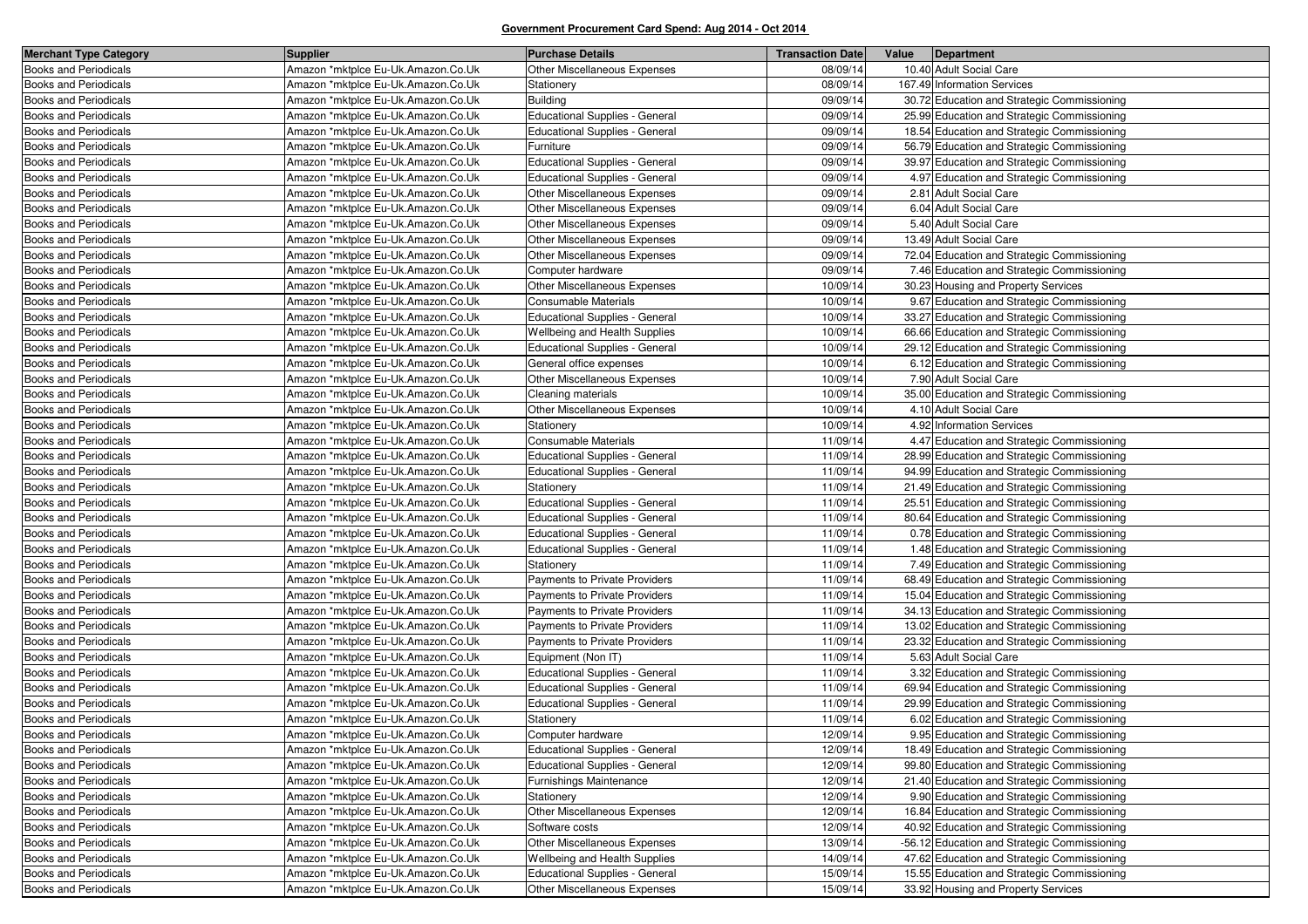| <b>Merchant Type Category</b>                                | <b>Supplier</b>                                                          | <b>Purchase Details</b>                                        | <b>Transaction Date</b> | Value<br>Department                                                                        |
|--------------------------------------------------------------|--------------------------------------------------------------------------|----------------------------------------------------------------|-------------------------|--------------------------------------------------------------------------------------------|
| <b>Books and Periodicals</b>                                 | Amazon *mktplce Eu-Uk.Amazon.Co.Uk                                       | Other Miscellaneous Expenses                                   | 08/09/14                | 10.40 Adult Social Care                                                                    |
| <b>Books and Periodicals</b>                                 | Amazon *mktplce Eu-Uk.Amazon.Co.Uk                                       | Stationery                                                     | 08/09/14                | 167.49 Information Services                                                                |
| <b>Books and Periodicals</b>                                 | Amazon *mktplce Eu-Uk.Amazon.Co.Uk                                       | <b>Building</b>                                                | 09/09/14                | 30.72 Education and Strategic Commissioning                                                |
| <b>Books and Periodicals</b>                                 | Amazon *mktplce Eu-Uk.Amazon.Co.Uk                                       | Educational Supplies - General                                 | 09/09/14                | 25.99 Education and Strategic Commissioning                                                |
| <b>Books and Periodicals</b>                                 | Amazon *mktplce Eu-Uk.Amazon.Co.Uk                                       | Educational Supplies - General                                 | 09/09/14                | 18.54 Education and Strategic Commissioning                                                |
| Books and Periodicals                                        | Amazon *mktplce Eu-Uk.Amazon.Co.Uk                                       | Furniture                                                      | 09/09/14                | 56.79 Education and Strategic Commissioning                                                |
| <b>Books and Periodicals</b>                                 | Amazon *mktplce Eu-Uk.Amazon.Co.Uk                                       | Educational Supplies - General                                 | 09/09/14                | 39.97 Education and Strategic Commissioning                                                |
| <b>Books and Periodicals</b>                                 | Amazon *mktplce Eu-Uk.Amazon.Co.Uk                                       | Educational Supplies - General                                 | 09/09/14                | 4.97 Education and Strategic Commissioning                                                 |
| Books and Periodicals                                        | Amazon *mktplce Eu-Uk.Amazon.Co.Uk                                       | Other Miscellaneous Expenses                                   | 09/09/14                | 2.81 Adult Social Care                                                                     |
| <b>Books and Periodicals</b>                                 | Amazon *mktplce Eu-Uk.Amazon.Co.Uk                                       | Other Miscellaneous Expenses                                   | 09/09/14                | 6.04 Adult Social Care                                                                     |
| <b>Books and Periodicals</b>                                 | Amazon *mktplce Eu-Uk.Amazon.Co.Uk                                       | Other Miscellaneous Expenses                                   | 09/09/14                | 5.40 Adult Social Care                                                                     |
| Books and Periodicals                                        | Amazon *mktplce Eu-Uk.Amazon.Co.Uk                                       | Other Miscellaneous Expenses                                   | 09/09/14                | 13.49 Adult Social Care                                                                    |
| <b>Books and Periodicals</b>                                 | Amazon *mktplce Eu-Uk.Amazon.Co.Uk                                       | Other Miscellaneous Expenses                                   | 09/09/14                | 72.04 Education and Strategic Commissioning                                                |
| <b>Books and Periodicals</b>                                 | Amazon *mktplce Eu-Uk.Amazon.Co.Uk                                       | Computer hardware                                              | 09/09/14                | 7.46 Education and Strategic Commissioning                                                 |
| <b>Books and Periodicals</b>                                 | Amazon *mktplce Eu-Uk.Amazon.Co.Uk                                       | Other Miscellaneous Expenses                                   | 10/09/14                | 30.23 Housing and Property Services                                                        |
| <b>Books and Periodicals</b>                                 | Amazon *mktplce Eu-Uk.Amazon.Co.Uk                                       | Consumable Materials                                           | 10/09/14                | 9.67 Education and Strategic Commissioning                                                 |
| <b>Books and Periodicals</b>                                 | Amazon *mktplce Eu-Uk.Amazon.Co.Uk                                       | Educational Supplies - General                                 | 10/09/14                | 33.27 Education and Strategic Commissioning                                                |
| Books and Periodicals                                        | Amazon *mktplce Eu-Uk.Amazon.Co.Uk                                       | Wellbeing and Health Supplies                                  | 10/09/14                | 66.66 Education and Strategic Commissioning                                                |
| <b>Books and Periodicals</b>                                 | Amazon *mktplce Eu-Uk.Amazon.Co.Uk                                       | Educational Supplies - General                                 | 10/09/14                | 29.12 Education and Strategic Commissioning                                                |
| <b>Books and Periodicals</b>                                 | Amazon *mktplce Eu-Uk.Amazon.Co.Uk                                       | General office expenses                                        | 10/09/14                | 6.12 Education and Strategic Commissioning                                                 |
| Books and Periodicals                                        | Amazon *mktplce Eu-Uk.Amazon.Co.Uk                                       | Other Miscellaneous Expenses                                   | 10/09/14                | 7.90 Adult Social Care                                                                     |
| <b>Books and Periodicals</b>                                 | Amazon *mktplce Eu-Uk.Amazon.Co.Uk                                       | Cleaning materials                                             | 10/09/14                | 35.00 Education and Strategic Commissioning                                                |
| <b>Books and Periodicals</b>                                 | Amazon *mktplce Eu-Uk.Amazon.Co.Uk                                       | Other Miscellaneous Expenses                                   | 10/09/14                | 4.10 Adult Social Care                                                                     |
| <b>Books and Periodicals</b>                                 | Amazon *mktplce Eu-Uk.Amazon.Co.Uk                                       | Stationery                                                     | 10/09/14                | 4.92 Information Services                                                                  |
| <b>Books and Periodicals</b>                                 | Amazon *mktplce Eu-Uk.Amazon.Co.Uk                                       | Consumable Materials                                           | 11/09/14                | 4.47 Education and Strategic Commissioning                                                 |
| <b>Books and Periodicals</b>                                 | Amazon *mktplce Eu-Uk.Amazon.Co.Uk                                       | Educational Supplies - General                                 | 11/09/14                | 28.99 Education and Strategic Commissioning                                                |
| <b>Books and Periodicals</b>                                 | Amazon *mktplce Eu-Uk.Amazon.Co.Uk                                       | <b>Educational Supplies - General</b>                          | 11/09/14                | 94.99 Education and Strategic Commissioning                                                |
| <b>Books and Periodicals</b>                                 | Amazon *mktplce Eu-Uk.Amazon.Co.Uk                                       | Stationery                                                     | 11/09/14                | 21.49 Education and Strategic Commissioning                                                |
| Books and Periodicals                                        | Amazon *mktplce Eu-Uk.Amazon.Co.Uk                                       | Educational Supplies - General                                 | 11/09/14                | 25.51 Education and Strategic Commissioning                                                |
| <b>Books and Periodicals</b>                                 | Amazon *mktplce Eu-Uk.Amazon.Co.Uk                                       | <b>Educational Supplies - General</b>                          | 11/09/14                | 80.64 Education and Strategic Commissioning                                                |
| <b>Books and Periodicals</b>                                 | Amazon *mktplce Eu-Uk.Amazon.Co.Uk                                       | Educational Supplies - General                                 | 11/09/14                | 0.78 Education and Strategic Commissioning                                                 |
| <b>Books and Periodicals</b>                                 | Amazon *mktplce Eu-Uk.Amazon.Co.Uk                                       | Educational Supplies - General                                 | 11/09/14                | 1.48 Education and Strategic Commissioning                                                 |
| <b>Books and Periodicals</b>                                 | Amazon *mktplce Eu-Uk.Amazon.Co.Uk                                       | Stationery                                                     | 11/09/14                | 7.49 Education and Strategic Commissioning                                                 |
| <b>Books and Periodicals</b>                                 | Amazon *mktplce Eu-Uk.Amazon.Co.Uk                                       | Payments to Private Providers                                  | 11/09/14                | 68.49 Education and Strategic Commissioning                                                |
| Books and Periodicals                                        | Amazon *mktplce Eu-Uk.Amazon.Co.Uk<br>Amazon *mktplce Eu-Uk.Amazon.Co.Uk | Payments to Private Providers                                  | 11/09/14<br>11/09/14    | 15.04 Education and Strategic Commissioning                                                |
| <b>Books and Periodicals</b><br><b>Books and Periodicals</b> | Amazon *mktplce Eu-Uk.Amazon.Co.Uk                                       | Payments to Private Providers<br>Payments to Private Providers | 11/09/14                | 34.13 Education and Strategic Commissioning<br>13.02 Education and Strategic Commissioning |
| Books and Periodicals                                        | Amazon *mktplce Eu-Uk.Amazon.Co.Uk                                       | Payments to Private Providers                                  | 11/09/14                | 23.32 Education and Strategic Commissioning                                                |
| <b>Books and Periodicals</b>                                 | Amazon *mktplce Eu-Uk.Amazon.Co.Uk                                       | Equipment (Non IT)                                             | 11/09/14                | 5.63 Adult Social Care                                                                     |
| <b>Books and Periodicals</b>                                 | Amazon *mktplce Eu-Uk.Amazon.Co.Uk                                       | Educational Supplies - General                                 | 11/09/14                | 3.32 Education and Strategic Commissioning                                                 |
| Books and Periodicals                                        | Amazon *mktplce Eu-Uk.Amazon.Co.Uk                                       | Educational Supplies - General                                 | 11/09/14                | 69.94 Education and Strategic Commissioning                                                |
| <b>Books and Periodicals</b>                                 | Amazon *mktplce Eu-Uk.Amazon.Co.Uk                                       | Educational Supplies - General                                 | 11/09/14                | 29.99 Education and Strategic Commissioning                                                |
| <b>Books and Periodicals</b>                                 | Amazon *mktplce Eu-Uk.Amazon.Co.Uk                                       | Stationery                                                     | 11/09/14                | 6.02 Education and Strategic Commissioning                                                 |
| <b>Books and Periodicals</b>                                 | Amazon *mktplce Eu-Uk.Amazon.Co.Uk                                       | Computer hardware                                              | 12/09/14                | 9.95 Education and Strategic Commissioning                                                 |
| <b>Books and Periodicals</b>                                 | Amazon *mktplce Eu-Uk.Amazon.Co.Uk                                       | Educational Supplies - General                                 | 12/09/14                | 18.49 Education and Strategic Commissioning                                                |
| <b>Books and Periodicals</b>                                 | Amazon *mktplce Eu-Uk.Amazon.Co.Uk                                       | Educational Supplies - General                                 | 12/09/14                | 99.80 Education and Strategic Commissioning                                                |
| Books and Periodicals                                        | Amazon *mktplce Eu-Uk.Amazon.Co.Uk                                       | Furnishings Maintenance                                        | 12/09/14                | 21.40 Education and Strategic Commissioning                                                |
| Books and Periodicals                                        | Amazon *mktplce Eu-Uk.Amazon.Co.Uk                                       | Stationery                                                     | 12/09/14                | 9.90 Education and Strategic Commissioning                                                 |
| <b>Books and Periodicals</b>                                 | Amazon *mktplce Eu-Uk.Amazon.Co.Uk                                       | Other Miscellaneous Expenses                                   | 12/09/14                | 16.84 Education and Strategic Commissioning                                                |
| <b>Books and Periodicals</b>                                 | Amazon *mktplce Eu-Uk.Amazon.Co.Uk                                       | Software costs                                                 | 12/09/14                | 40.92 Education and Strategic Commissioning                                                |
| <b>Books and Periodicals</b>                                 | Amazon *mktplce Eu-Uk.Amazon.Co.Uk                                       | Other Miscellaneous Expenses                                   | 13/09/14                | -56.12 Education and Strategic Commissioning                                               |
| <b>Books and Periodicals</b>                                 | Amazon *mktplce Eu-Uk.Amazon.Co.Uk                                       | Wellbeing and Health Supplies                                  | 14/09/14                | 47.62 Education and Strategic Commissioning                                                |
| <b>Books and Periodicals</b>                                 | Amazon *mktplce Eu-Uk.Amazon.Co.Uk                                       | Educational Supplies - General                                 | 15/09/14                | 15.55 Education and Strategic Commissioning                                                |
| <b>Books and Periodicals</b>                                 | Amazon *mktplce Eu-Uk.Amazon.Co.Uk                                       | Other Miscellaneous Expenses                                   | 15/09/14                | 33.92 Housing and Property Services                                                        |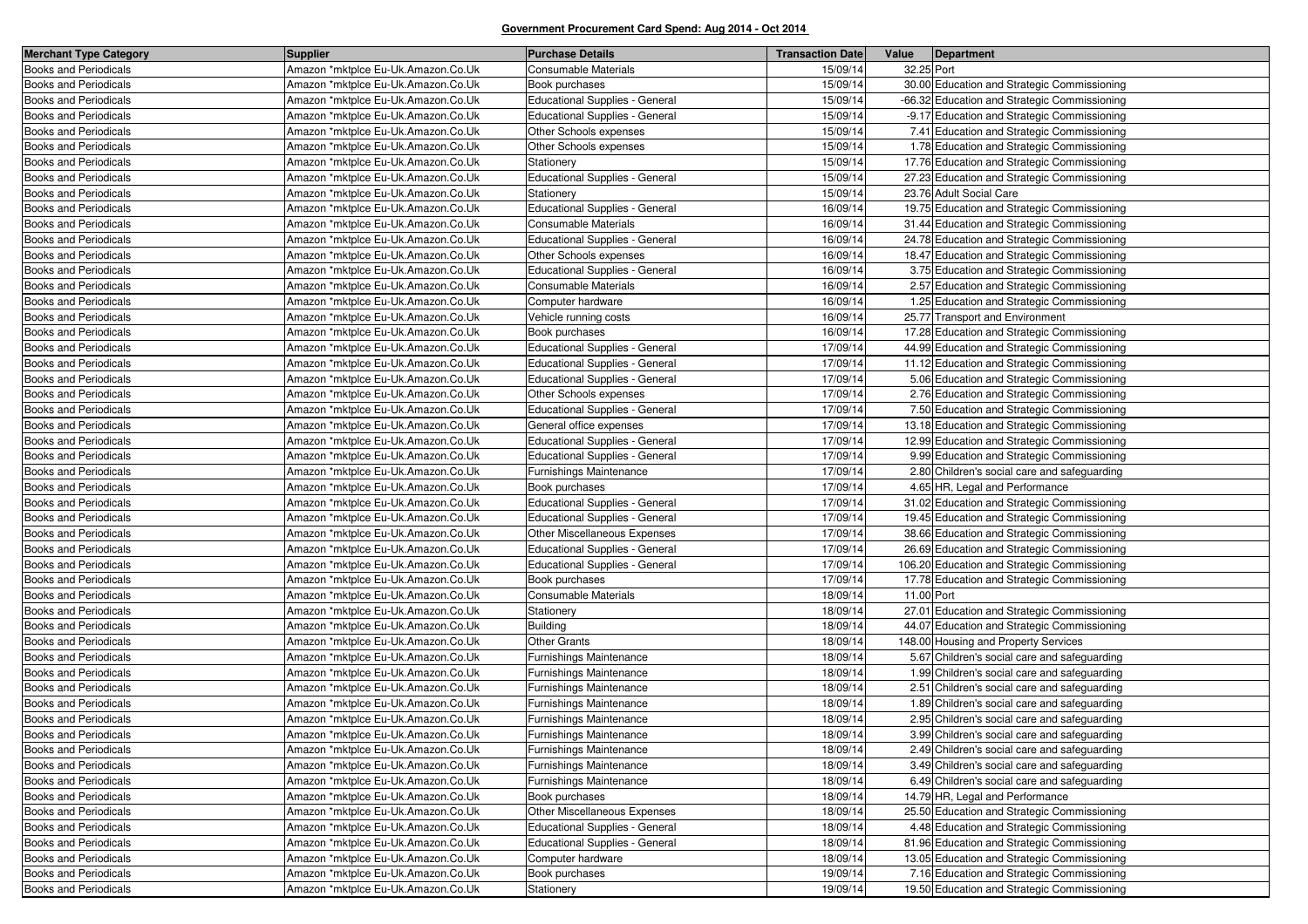| <b>Merchant Type Category</b> | <b>Supplier</b>                    | <b>Purchase Details</b>               | <b>Transaction Date</b> | Value      | Department                                   |
|-------------------------------|------------------------------------|---------------------------------------|-------------------------|------------|----------------------------------------------|
| <b>Books and Periodicals</b>  | Amazon *mktplce Eu-Uk.Amazon.Co.Uk | Consumable Materials                  | 15/09/14                | 32.25 Port |                                              |
| <b>Books and Periodicals</b>  | Amazon *mktplce Eu-Uk.Amazon.Co.Uk | Book purchases                        | 15/09/14                |            | 30.00 Education and Strategic Commissioning  |
| Books and Periodicals         | Amazon *mktplce Eu-Uk.Amazon.Co.Uk | <b>Educational Supplies - General</b> | 15/09/14                |            | -66.32 Education and Strategic Commissioning |
| <b>Books and Periodicals</b>  | Amazon *mktplce Eu-Uk.Amazon.Co.Uk | Educational Supplies - General        | 15/09/14                |            | -9.17 Education and Strategic Commissioning  |
| <b>Books and Periodicals</b>  | Amazon *mktplce Eu-Uk.Amazon.Co.Uk | Other Schools expenses                | 15/09/14                |            | 7.41 Education and Strategic Commissioning   |
| <b>Books and Periodicals</b>  | Amazon *mktplce Eu-Uk.Amazon.Co.Uk | Other Schools expenses                | 15/09/14                |            | 1.78 Education and Strategic Commissioning   |
| <b>Books and Periodicals</b>  | Amazon *mktplce Eu-Uk.Amazon.Co.Uk | Stationery                            | 15/09/14                |            | 17.76 Education and Strategic Commissioning  |
| <b>Books and Periodicals</b>  | Amazon *mktplce Eu-Uk.Amazon.Co.Uk | <b>Educational Supplies - General</b> | 15/09/14                |            | 27.23 Education and Strategic Commissioning  |
| Books and Periodicals         | Amazon *mktplce Eu-Uk.Amazon.Co.Uk | Stationery                            | 15/09/14                |            | 23.76 Adult Social Care                      |
| <b>Books and Periodicals</b>  | Amazon *mktplce Eu-Uk.Amazon.Co.Uk | Educational Supplies - General        | 16/09/14                |            | 19.75 Education and Strategic Commissioning  |
| <b>Books and Periodicals</b>  | Amazon *mktplce Eu-Uk.Amazon.Co.Uk | <b>Consumable Materials</b>           | 16/09/14                |            | 31.44 Education and Strategic Commissioning  |
| <b>Books and Periodicals</b>  | Amazon *mktplce Eu-Uk.Amazon.Co.Uk | <b>Educational Supplies - General</b> | 16/09/14                |            | 24.78 Education and Strategic Commissioning  |
| <b>Books and Periodicals</b>  | Amazon *mktplce Eu-Uk.Amazon.Co.Uk | Other Schools expenses                | 16/09/14                |            | 18.47 Education and Strategic Commissioning  |
| Books and Periodicals         | Amazon *mktplce Eu-Uk.Amazon.Co.Uk | <b>Educational Supplies - General</b> | 16/09/14                |            | 3.75 Education and Strategic Commissioning   |
| <b>Books and Periodicals</b>  | Amazon *mktplce Eu-Uk.Amazon.Co.Uk | Consumable Materials                  | 16/09/14                |            | 2.57 Education and Strategic Commissioning   |
| <b>Books and Periodicals</b>  | Amazon *mktplce Eu-Uk.Amazon.Co.Uk | Computer hardware                     | 16/09/14                |            | 1.25 Education and Strategic Commissioning   |
| Books and Periodicals         | Amazon *mktplce Eu-Uk.Amazon.Co.Uk | Vehicle running costs                 | 16/09/14                |            | 25.77 Transport and Environment              |
| Books and Periodicals         | Amazon *mktplce Eu-Uk.Amazon.Co.Uk | Book purchases                        | 16/09/14                |            | 17.28 Education and Strategic Commissioning  |
| <b>Books and Periodicals</b>  | Amazon *mktplce Eu-Uk.Amazon.Co.Uk | <b>Educational Supplies - General</b> | 17/09/14                |            | 44.99 Education and Strategic Commissioning  |
| <b>Books and Periodicals</b>  | Amazon *mktplce Eu-Uk.Amazon.Co.Uk | <b>Educational Supplies - General</b> | 17/09/14                |            | 11.12 Education and Strategic Commissioning  |
| <b>Books and Periodicals</b>  | Amazon *mktplce Eu-Uk.Amazon.Co.Uk | <b>Educational Supplies - General</b> | 17/09/14                |            | 5.06 Education and Strategic Commissioning   |
| <b>Books and Periodicals</b>  | Amazon *mktplce Eu-Uk.Amazon.Co.Uk | Other Schools expenses                | 17/09/14                |            | 2.76 Education and Strategic Commissioning   |
| <b>Books and Periodicals</b>  | Amazon *mktplce Eu-Uk.Amazon.Co.Uk | <b>Educational Supplies - General</b> | 17/09/14                |            | 7.50 Education and Strategic Commissioning   |
| <b>Books and Periodicals</b>  | Amazon *mktplce Eu-Uk.Amazon.Co.Uk | General office expenses               | 17/09/14                |            | 13.18 Education and Strategic Commissioning  |
| <b>Books and Periodicals</b>  | Amazon *mktplce Eu-Uk.Amazon.Co.Uk | <b>Educational Supplies - General</b> | 17/09/14                |            | 12.99 Education and Strategic Commissioning  |
| Books and Periodicals         | Amazon *mktplce Eu-Uk.Amazon.Co.Uk | <b>Educational Supplies - General</b> | 17/09/14                |            | 9.99 Education and Strategic Commissioning   |
| <b>Books and Periodicals</b>  | Amazon *mktplce Eu-Uk.Amazon.Co.Uk | Furnishings Maintenance               | 17/09/14                |            | 2.80 Children's social care and safeguarding |
| <b>Books and Periodicals</b>  | Amazon *mktplce Eu-Uk.Amazon.Co.Uk | Book purchases                        | 17/09/14                |            | 4.65 HR, Legal and Performance               |
| Books and Periodicals         | Amazon *mktplce Eu-Uk.Amazon.Co.Uk | <b>Educational Supplies - General</b> | 17/09/14                |            | 31.02 Education and Strategic Commissioning  |
| <b>Books and Periodicals</b>  | Amazon *mktplce Eu-Uk.Amazon.Co.Uk | <b>Educational Supplies - General</b> | 17/09/14                |            | 19.45 Education and Strategic Commissioning  |
| <b>Books and Periodicals</b>  | Amazon *mktplce Eu-Uk.Amazon.Co.Uk | Other Miscellaneous Expenses          | 17/09/14                |            | 38.66 Education and Strategic Commissioning  |
| Books and Periodicals         | Amazon *mktplce Eu-Uk.Amazon.Co.Uk | <b>Educational Supplies - General</b> | 17/09/14                |            | 26.69 Education and Strategic Commissioning  |
| <b>Books and Periodicals</b>  | Amazon *mktplce Eu-Uk.Amazon.Co.Uk | Educational Supplies - General        | 17/09/14                |            | 106.20 Education and Strategic Commissioning |
| <b>Books and Periodicals</b>  | Amazon *mktplce Eu-Uk.Amazon.Co.Uk | Book purchases                        | 17/09/14                |            | 17.78 Education and Strategic Commissioning  |
| Books and Periodicals         | Amazon *mktplce Eu-Uk.Amazon.Co.Uk | Consumable Materials                  | 18/09/14                | 11.00 Port |                                              |
| <b>Books and Periodicals</b>  | Amazon *mktplce Eu-Uk.Amazon.Co.Uk | Stationery                            | 18/09/14                |            | 27.01 Education and Strategic Commissioning  |
| <b>Books and Periodicals</b>  | Amazon *mktplce Eu-Uk.Amazon.Co.Uk | <b>Building</b>                       | 18/09/14                |            | 44.07 Education and Strategic Commissioning  |
| Books and Periodicals         | Amazon *mktplce Eu-Uk.Amazon.Co.Uk | <b>Other Grants</b>                   | 18/09/14                |            | 148.00 Housing and Property Services         |
| <b>Books and Periodicals</b>  | Amazon *mktplce Eu-Uk.Amazon.Co.Uk | Furnishings Maintenance               | 18/09/14                |            | 5.67 Children's social care and safeguarding |
| <b>Books and Periodicals</b>  | Amazon *mktplce Eu-Uk.Amazon.Co.Uk | Furnishings Maintenance               | 18/09/14                |            | 1.99 Children's social care and safeguarding |
| Books and Periodicals         | Amazon *mktplce Eu-Uk.Amazon.Co.Uk | Furnishings Maintenance               | 18/09/14                |            | 2.51 Children's social care and safeguarding |
| <b>Books and Periodicals</b>  | Amazon *mktplce Eu-Uk.Amazon.Co.Uk | Furnishings Maintenance               | 18/09/14                |            | 1.89 Children's social care and safeguarding |
| <b>Books and Periodicals</b>  | Amazon *mktplce Eu-Uk.Amazon.Co.Uk | Furnishings Maintenance               | 18/09/14                |            | 2.95 Children's social care and safeguarding |
| <b>Books and Periodicals</b>  | Amazon *mktplce Eu-Uk.Amazon.Co.Uk | Furnishings Maintenance               | 18/09/14                |            | 3.99 Children's social care and safeguarding |
| <b>Books and Periodicals</b>  | Amazon *mktplce Eu-Uk.Amazon.Co.Uk | Furnishings Maintenance               | 18/09/14                |            | 2.49 Children's social care and safeguarding |
| <b>Books and Periodicals</b>  | Amazon *mktplce Eu-Uk.Amazon.Co.Uk | Furnishings Maintenance               | 18/09/14                |            | 3.49 Children's social care and safeguarding |
| <b>Books and Periodicals</b>  | Amazon *mktplce Eu-Uk.Amazon.Co.Uk | Furnishings Maintenance               | 18/09/14                |            | 6.49 Children's social care and safeguarding |
| <b>Books and Periodicals</b>  | Amazon *mktplce Eu-Uk.Amazon.Co.Uk | Book purchases                        | 18/09/14                |            | 14.79 HR, Legal and Performance              |
| <b>Books and Periodicals</b>  | Amazon *mktplce Eu-Uk.Amazon.Co.Uk | Other Miscellaneous Expenses          | 18/09/14                |            | 25.50 Education and Strategic Commissioning  |
| Books and Periodicals         | Amazon *mktplce Eu-Uk.Amazon.Co.Uk | <b>Educational Supplies - General</b> | 18/09/14                |            | 4.48 Education and Strategic Commissioning   |
| <b>Books and Periodicals</b>  | Amazon *mktplce Eu-Uk.Amazon.Co.Uk | <b>Educational Supplies - General</b> | 18/09/14                |            | 81.96 Education and Strategic Commissioning  |
| <b>Books and Periodicals</b>  | Amazon *mktplce Eu-Uk.Amazon.Co.Uk | Computer hardware                     | 18/09/14                |            | 13.05 Education and Strategic Commissioning  |
| Books and Periodicals         | Amazon *mktplce Eu-Uk.Amazon.Co.Uk | Book purchases                        | 19/09/14                |            | 7.16 Education and Strategic Commissioning   |
| <b>Books and Periodicals</b>  | Amazon *mktplce Eu-Uk.Amazon.Co.Uk | Stationery                            | 19/09/14                |            | 19.50 Education and Strategic Commissioning  |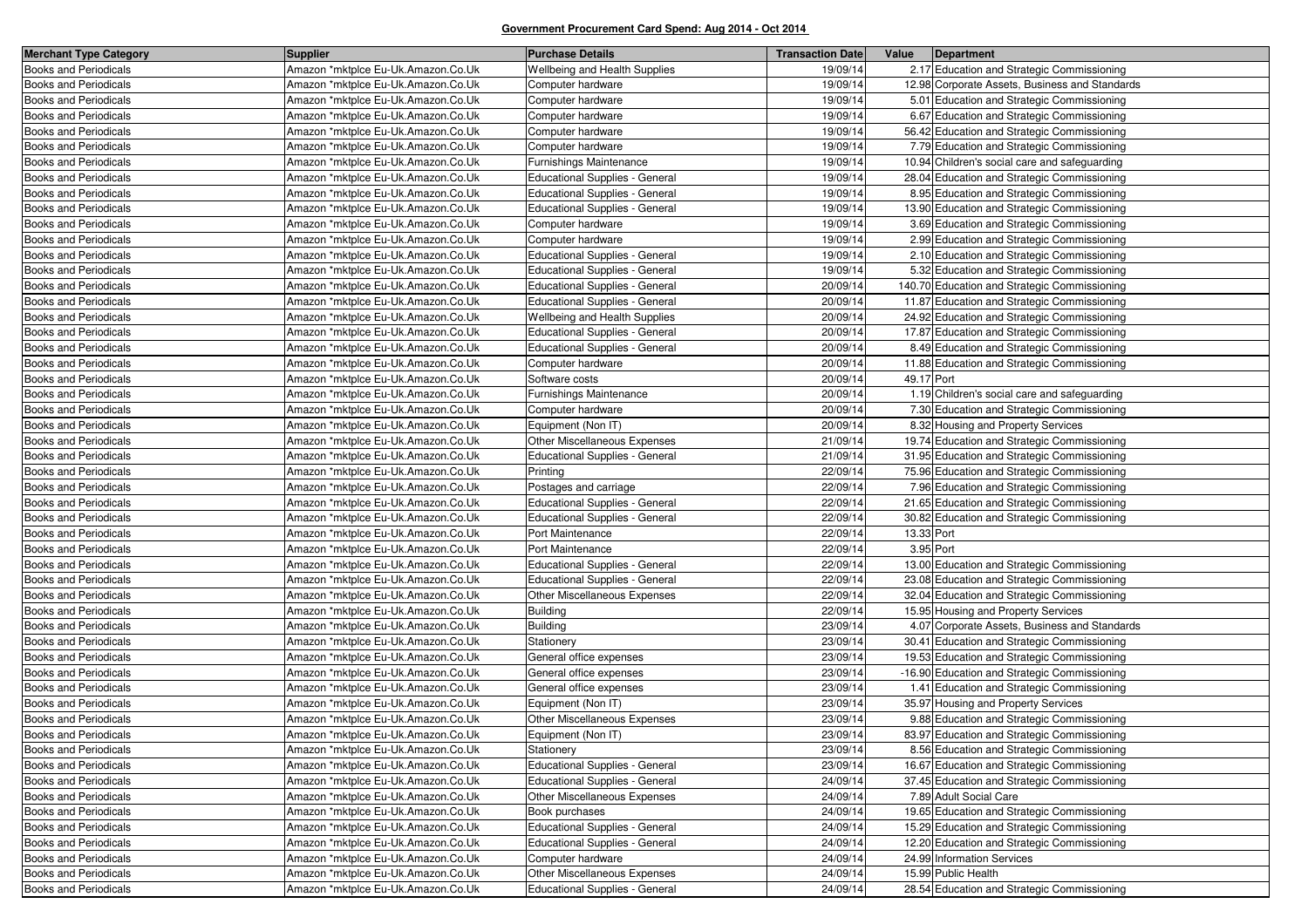| <b>Merchant Type Category</b> | <b>Supplier</b>                    | <b>Purchase Details</b>               | <b>Transaction Date</b> | Value      | Department                                     |
|-------------------------------|------------------------------------|---------------------------------------|-------------------------|------------|------------------------------------------------|
| <b>Books and Periodicals</b>  | Amazon *mktplce Eu-Uk.Amazon.Co.Uk | <b>Wellbeing and Health Supplies</b>  | 19/09/14                |            | 2.17 Education and Strategic Commissioning     |
| <b>Books and Periodicals</b>  | Amazon *mktplce Eu-Uk.Amazon.Co.Uk | Computer hardware                     | 19/09/14                |            | 12.98 Corporate Assets, Business and Standards |
| <b>Books and Periodicals</b>  | Amazon *mktplce Eu-Uk.Amazon.Co.Uk | Computer hardware                     | 19/09/14                |            | 5.01 Education and Strategic Commissioning     |
| Books and Periodicals         | Amazon *mktplce Eu-Uk.Amazon.Co.Uk | Computer hardware                     | 19/09/14                |            | 6.67 Education and Strategic Commissioning     |
| <b>Books and Periodicals</b>  | Amazon *mktplce Eu-Uk.Amazon.Co.Uk | Computer hardware                     | 19/09/14                |            | 56.42 Education and Strategic Commissioning    |
| <b>Books and Periodicals</b>  | Amazon *mktplce Eu-Uk.Amazon.Co.Uk | Computer hardware                     | 19/09/14                |            | 7.79 Education and Strategic Commissioning     |
| Books and Periodicals         | Amazon *mktplce Eu-Uk.Amazon.Co.Uk | Furnishings Maintenance               | 19/09/14                |            | 10.94 Children's social care and safeguarding  |
| <b>Books and Periodicals</b>  | Amazon *mktplce Eu-Uk.Amazon.Co.Uk | <b>Educational Supplies - General</b> | 19/09/14                |            | 28.04 Education and Strategic Commissioning    |
| <b>Books and Periodicals</b>  | Amazon *mktplce Eu-Uk.Amazon.Co.Uk | <b>Educational Supplies - General</b> | 19/09/14                |            | 8.95 Education and Strategic Commissioning     |
| Books and Periodicals         | Amazon *mktplce Eu-Uk.Amazon.Co.Uk | <b>Educational Supplies - General</b> | 19/09/14                |            | 13.90 Education and Strategic Commissioning    |
| <b>Books and Periodicals</b>  | Amazon *mktplce Eu-Uk.Amazon.Co.Uk | Computer hardware                     | 19/09/14                |            | 3.69 Education and Strategic Commissioning     |
| <b>Books and Periodicals</b>  | Amazon *mktplce Eu-Uk.Amazon.Co.Uk | Computer hardware                     | 19/09/14                |            | 2.99 Education and Strategic Commissioning     |
| Books and Periodicals         | Amazon *mktplce Eu-Uk.Amazon.Co.Uk | <b>Educational Supplies - General</b> | 19/09/14                |            | 2.10 Education and Strategic Commissioning     |
| <b>Books and Periodicals</b>  | Amazon *mktplce Eu-Uk.Amazon.Co.Uk | <b>Educational Supplies - General</b> | 19/09/14                |            | 5.32 Education and Strategic Commissioning     |
| <b>Books and Periodicals</b>  | Amazon *mktplce Eu-Uk.Amazon.Co.Uk | <b>Educational Supplies - General</b> | 20/09/14                |            | 140.70 Education and Strategic Commissioning   |
| <b>Books and Periodicals</b>  | Amazon *mktplce Eu-Uk.Amazon.Co.Uk | <b>Educational Supplies - General</b> | 20/09/14                |            | 11.87 Education and Strategic Commissioning    |
| Books and Periodicals         | Amazon *mktplce Eu-Uk.Amazon.Co.Uk | Wellbeing and Health Supplies         | 20/09/14                |            | 24.92 Education and Strategic Commissioning    |
| <b>Books and Periodicals</b>  | Amazon *mktplce Eu-Uk.Amazon.Co.Uk | <b>Educational Supplies - General</b> | 20/09/14                |            | 17.87 Education and Strategic Commissioning    |
| <b>Books and Periodicals</b>  | Amazon *mktplce Eu-Uk.Amazon.Co.Uk | <b>Educational Supplies - General</b> | 20/09/14                |            | 8.49 Education and Strategic Commissioning     |
| <b>Books and Periodicals</b>  | Amazon *mktplce Eu-Uk.Amazon.Co.Uk | Computer hardware                     | 20/09/14                |            | 11.88 Education and Strategic Commissioning    |
| <b>Books and Periodicals</b>  | Amazon *mktplce Eu-Uk.Amazon.Co.Uk | Software costs                        | 20/09/14                | 49.17 Port |                                                |
| <b>Books and Periodicals</b>  | Amazon *mktplce Eu-Uk.Amazon.Co.Uk | Furnishings Maintenance               | 20/09/14                |            | 1.19 Children's social care and safeguarding   |
| <b>Books and Periodicals</b>  | Amazon *mktplce Eu-Uk.Amazon.Co.Uk | Computer hardware                     | 20/09/14                |            | 7.30 Education and Strategic Commissioning     |
| Books and Periodicals         | Amazon *mktplce Eu-Uk.Amazon.Co.Uk | Equipment (Non IT)                    | 20/09/14                |            | 8.32 Housing and Property Services             |
| <b>Books and Periodicals</b>  | Amazon *mktplce Eu-Uk.Amazon.Co.Uk | Other Miscellaneous Expenses          | 21/09/14                |            | 19.74 Education and Strategic Commissioning    |
| Books and Periodicals         | Amazon *mktplce Eu-Uk.Amazon.Co.Uk | <b>Educational Supplies - General</b> | 21/09/14                |            | 31.95 Education and Strategic Commissioning    |
| Books and Periodicals         | Amazon *mktplce Eu-Uk.Amazon.Co.Uk | Printing                              | 22/09/14                |            | 75.96 Education and Strategic Commissioning    |
| <b>Books and Periodicals</b>  | Amazon *mktplce Eu-Uk.Amazon.Co.Uk | Postages and carriage                 | 22/09/14                |            | 7.96 Education and Strategic Commissioning     |
| <b>Books and Periodicals</b>  | Amazon *mktplce Eu-Uk.Amazon.Co.Uk | <b>Educational Supplies - General</b> | 22/09/14                |            | 21.65 Education and Strategic Commissioning    |
| <b>Books and Periodicals</b>  | Amazon *mktplce Eu-Uk.Amazon.Co.Uk | <b>Educational Supplies - General</b> | 22/09/14                |            | 30.82 Education and Strategic Commissioning    |
| <b>Books and Periodicals</b>  | Amazon *mktplce Eu-Uk.Amazon.Co.Uk | Port Maintenance                      | 22/09/14                | 13.33 Port |                                                |
| <b>Books and Periodicals</b>  | Amazon *mktplce Eu-Uk.Amazon.Co.Uk | Port Maintenance                      | 22/09/14                | 3.95 Port  |                                                |
| Books and Periodicals         | Amazon *mktplce Eu-Uk.Amazon.Co.Uk | Educational Supplies - General        | 22/09/14                |            | 13.00 Education and Strategic Commissioning    |
| <b>Books and Periodicals</b>  | Amazon *mktplce Eu-Uk.Amazon.Co.Uk | <b>Educational Supplies - General</b> | 22/09/14                |            | 23.08 Education and Strategic Commissioning    |
| <b>Books and Periodicals</b>  | Amazon *mktplce Eu-Uk.Amazon.Co.Uk | Other Miscellaneous Expenses          | 22/09/14                |            | 32.04 Education and Strategic Commissioning    |
| Books and Periodicals         | Amazon *mktplce Eu-Uk.Amazon.Co.Uk | <b>Building</b>                       | 22/09/14                |            | 15.95 Housing and Property Services            |
| <b>Books and Periodicals</b>  | Amazon *mktplce Eu-Uk.Amazon.Co.Uk | <b>Building</b>                       | 23/09/14                |            | 4.07 Corporate Assets, Business and Standards  |
| Books and Periodicals         | Amazon *mktplce Eu-Uk.Amazon.Co.Uk | Stationery                            | 23/09/14                |            | 30.41 Education and Strategic Commissioning    |
| Books and Periodicals         | Amazon *mktplce Eu-Uk.Amazon.Co.Uk | General office expenses               | 23/09/14                |            | 19.53 Education and Strategic Commissioning    |
| <b>Books and Periodicals</b>  | Amazon *mktplce Eu-Uk.Amazon.Co.Uk | General office expenses               | 23/09/14                |            | -16.90 Education and Strategic Commissioning   |
| Books and Periodicals         | Amazon *mktplce Eu-Uk.Amazon.Co.Uk | General office expenses               | 23/09/14                |            | 1.41 Education and Strategic Commissioning     |
| Books and Periodicals         | Amazon *mktplce Eu-Uk.Amazon.Co.Uk | Equipment (Non IT)                    | 23/09/14                |            | 35.97 Housing and Property Services            |
| <b>Books and Periodicals</b>  | Amazon *mktplce Eu-Uk.Amazon.Co.Uk | Other Miscellaneous Expenses          | 23/09/14                |            | 9.88 Education and Strategic Commissioning     |
| <b>Books and Periodicals</b>  | Amazon *mktplce Eu-Uk.Amazon.Co.Uk | Equipment (Non IT)                    | 23/09/14                |            | 83.97 Education and Strategic Commissioning    |
| Books and Periodicals         | Amazon *mktplce Eu-Uk.Amazon.Co.Uk | Stationery                            | 23/09/14                |            | 8.56 Education and Strategic Commissioning     |
| <b>Books and Periodicals</b>  | Amazon *mktplce Eu-Uk.Amazon.Co.Uk | <b>Educational Supplies - General</b> | 23/09/14                |            | 16.67 Education and Strategic Commissioning    |
| Books and Periodicals         | Amazon *mktplce Eu-Uk.Amazon.Co.Uk | Educational Supplies - General        | 24/09/14                |            | 37.45 Education and Strategic Commissioning    |
| <b>Books and Periodicals</b>  | Amazon *mktplce Eu-Uk.Amazon.Co.Uk | Other Miscellaneous Expenses          | 24/09/14                |            | 7.89 Adult Social Care                         |
| <b>Books and Periodicals</b>  | Amazon *mktplce Eu-Uk.Amazon.Co.Uk | Book purchases                        | 24/09/14                |            | 19.65 Education and Strategic Commissioning    |
| <b>Books and Periodicals</b>  | Amazon *mktplce Eu-Uk.Amazon.Co.Uk | Educational Supplies - General        | 24/09/14                |            | 15.29 Education and Strategic Commissioning    |
| <b>Books and Periodicals</b>  | Amazon *mktplce Eu-Uk.Amazon.Co.Uk | <b>Educational Supplies - General</b> | 24/09/14                |            | 12.20 Education and Strategic Commissioning    |
| <b>Books and Periodicals</b>  | Amazon *mktplce Eu-Uk.Amazon.Co.Uk | Computer hardware                     | 24/09/14                |            | 24.99 Information Services                     |
| <b>Books and Periodicals</b>  | Amazon *mktplce Eu-Uk.Amazon.Co.Uk | Other Miscellaneous Expenses          | 24/09/14                |            | 15.99 Public Health                            |
| <b>Books and Periodicals</b>  | Amazon *mktplce Eu-Uk.Amazon.Co.Uk | <b>Educational Supplies - General</b> | 24/09/14                |            | 28.54 Education and Strategic Commissioning    |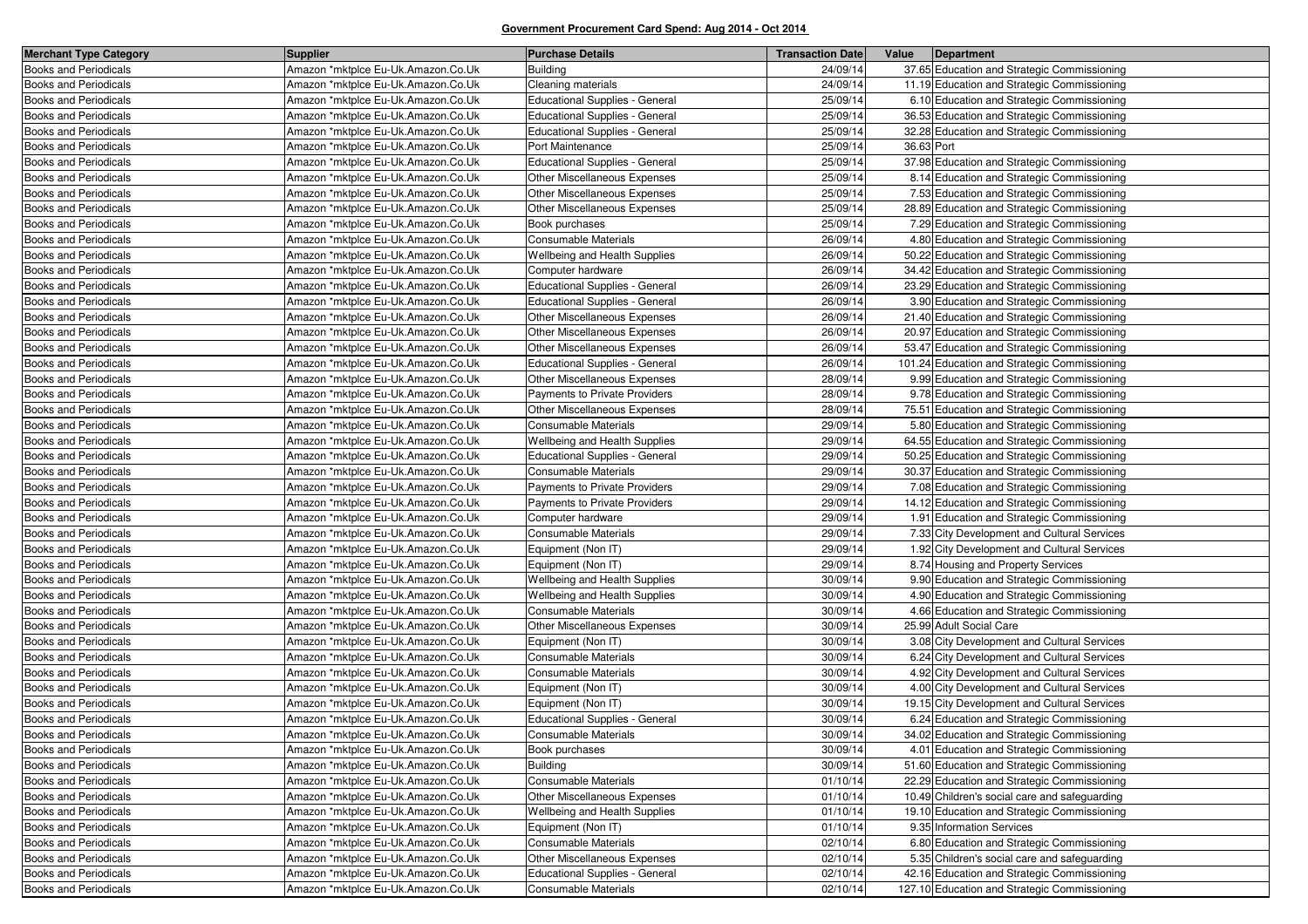| <b>Merchant Type Category</b> | <b>Supplier</b>                    | <b>Purchase Details</b>               | <b>Transaction Date</b> | Value      | Department                                    |
|-------------------------------|------------------------------------|---------------------------------------|-------------------------|------------|-----------------------------------------------|
| <b>Books and Periodicals</b>  | Amazon *mktplce Eu-Uk.Amazon.Co.Uk | <b>Building</b>                       | 24/09/14                |            | 37.65 Education and Strategic Commissioning   |
| <b>Books and Periodicals</b>  | Amazon *mktplce Eu-Uk.Amazon.Co.Uk | Cleaning materials                    | 24/09/14                |            | 11.19 Education and Strategic Commissioning   |
| <b>Books and Periodicals</b>  | Amazon *mktplce Eu-Uk.Amazon.Co.Uk | <b>Educational Supplies - General</b> | 25/09/14                |            | 6.10 Education and Strategic Commissioning    |
| <b>Books and Periodicals</b>  | Amazon *mktplce Eu-Uk.Amazon.Co.Uk | <b>Educational Supplies - General</b> | 25/09/14                |            | 36.53 Education and Strategic Commissioning   |
| <b>Books and Periodicals</b>  | Amazon *mktplce Eu-Uk.Amazon.Co.Uk | <b>Educational Supplies - General</b> | 25/09/14                |            | 32.28 Education and Strategic Commissioning   |
| <b>Books and Periodicals</b>  | Amazon *mktplce Eu-Uk.Amazon.Co.Uk | Port Maintenance                      | 25/09/14                | 36.63 Port |                                               |
| <b>Books and Periodicals</b>  | Amazon *mktplce Eu-Uk.Amazon.Co.Uk | <b>Educational Supplies - General</b> | 25/09/14                |            | 37.98 Education and Strategic Commissioning   |
| <b>Books and Periodicals</b>  | Amazon *mktplce Eu-Uk.Amazon.Co.Uk | <b>Other Miscellaneous Expenses</b>   | 25/09/14                |            | 8.14 Education and Strategic Commissioning    |
| <b>Books and Periodicals</b>  | Amazon *mktplce Eu-Uk.Amazon.Co.Uk | Other Miscellaneous Expenses          | 25/09/14                |            | 7.53 Education and Strategic Commissioning    |
| <b>Books and Periodicals</b>  | Amazon *mktplce Eu-Uk.Amazon.Co.Uk | Other Miscellaneous Expenses          | 25/09/14                |            | 28.89 Education and Strategic Commissioning   |
| <b>Books and Periodicals</b>  | Amazon *mktplce Eu-Uk.Amazon.Co.Uk | Book purchases                        | 25/09/14                |            | 7.29 Education and Strategic Commissioning    |
| <b>Books and Periodicals</b>  | Amazon *mktplce Eu-Uk.Amazon.Co.Uk | Consumable Materials                  | 26/09/14                |            | 4.80 Education and Strategic Commissioning    |
| <b>Books and Periodicals</b>  | Amazon *mktplce Eu-Uk.Amazon.Co.Uk | Wellbeing and Health Supplies         | 26/09/14                |            | 50.22 Education and Strategic Commissioning   |
| <b>Books and Periodicals</b>  | Amazon *mktplce Eu-Uk.Amazon.Co.Uk | Computer hardware                     | 26/09/14                |            | 34.42 Education and Strategic Commissioning   |
| <b>Books and Periodicals</b>  | Amazon *mktplce Eu-Uk.Amazon.Co.Uk | Educational Supplies - General        | 26/09/14                |            | 23.29 Education and Strategic Commissioning   |
| <b>Books and Periodicals</b>  | Amazon *mktplce Eu-Uk.Amazon.Co.Uk | <b>Educational Supplies - General</b> | 26/09/14                |            | 3.90 Education and Strategic Commissioning    |
| <b>Books and Periodicals</b>  | Amazon *mktplce Eu-Uk.Amazon.Co.Uk | Other Miscellaneous Expenses          | 26/09/14                |            | 21.40 Education and Strategic Commissioning   |
| <b>Books and Periodicals</b>  | Amazon *mktplce Eu-Uk.Amazon.Co.Uk | Other Miscellaneous Expenses          | 26/09/14                |            | 20.97 Education and Strategic Commissioning   |
| <b>Books and Periodicals</b>  | Amazon *mktplce Eu-Uk.Amazon.Co.Uk | Other Miscellaneous Expenses          | 26/09/14                |            | 53.47 Education and Strategic Commissioning   |
| <b>Books and Periodicals</b>  | Amazon *mktplce Eu-Uk.Amazon.Co.Uk | Educational Supplies - General        | 26/09/14                |            | 101.24 Education and Strategic Commissioning  |
| <b>Books and Periodicals</b>  | Amazon *mktplce Eu-Uk.Amazon.Co.Uk | Other Miscellaneous Expenses          | 28/09/14                |            | 9.99 Education and Strategic Commissioning    |
| <b>Books and Periodicals</b>  | Amazon *mktplce Eu-Uk.Amazon.Co.Uk | Payments to Private Providers         | 28/09/14                |            | 9.78 Education and Strategic Commissioning    |
| <b>Books and Periodicals</b>  | Amazon *mktplce Eu-Uk.Amazon.Co.Uk | <b>Other Miscellaneous Expenses</b>   | 28/09/14                |            | 75.51 Education and Strategic Commissioning   |
| <b>Books and Periodicals</b>  | Amazon *mktplce Eu-Uk.Amazon.Co.Uk | Consumable Materials                  | 29/09/14                |            | 5.80 Education and Strategic Commissioning    |
| <b>Books and Periodicals</b>  | Amazon *mktplce Eu-Uk.Amazon.Co.Uk | Wellbeing and Health Supplies         | 29/09/14                |            | 64.55 Education and Strategic Commissioning   |
| <b>Books and Periodicals</b>  | Amazon *mktplce Eu-Uk.Amazon.Co.Uk | Educational Supplies - General        | 29/09/14                |            | 50.25 Education and Strategic Commissioning   |
| <b>Books and Periodicals</b>  | Amazon *mktplce Eu-Uk.Amazon.Co.Uk | Consumable Materials                  | 29/09/14                |            | 30.37 Education and Strategic Commissioning   |
| <b>Books and Periodicals</b>  | Amazon *mktplce Eu-Uk.Amazon.Co.Uk | Payments to Private Providers         | 29/09/14                |            | 7.08 Education and Strategic Commissioning    |
| <b>Books and Periodicals</b>  | Amazon *mktplce Eu-Uk.Amazon.Co.Uk | Payments to Private Providers         | 29/09/14                |            | 14.12 Education and Strategic Commissioning   |
| <b>Books and Periodicals</b>  | Amazon *mktplce Eu-Uk.Amazon.Co.Uk | Computer hardware                     | 29/09/14                |            | 1.91 Education and Strategic Commissioning    |
| Books and Periodicals         | Amazon *mktplce Eu-Uk.Amazon.Co.Uk | Consumable Materials                  | 29/09/14                |            | 7.33 City Development and Cultural Services   |
| <b>Books and Periodicals</b>  | Amazon *mktplce Eu-Uk.Amazon.Co.Uk | Equipment (Non IT)                    | 29/09/14                |            | 1.92 City Development and Cultural Services   |
| <b>Books and Periodicals</b>  | Amazon *mktplce Eu-Uk.Amazon.Co.Uk | Equipment (Non IT)                    | 29/09/14                |            | 8.74 Housing and Property Services            |
| Books and Periodicals         | Amazon *mktplce Eu-Uk.Amazon.Co.Uk | Wellbeing and Health Supplies         | 30/09/14                |            | 9.90 Education and Strategic Commissioning    |
| <b>Books and Periodicals</b>  | Amazon *mktplce Eu-Uk.Amazon.Co.Uk | Wellbeing and Health Supplies         | 30/09/14                |            | 4.90 Education and Strategic Commissioning    |
| <b>Books and Periodicals</b>  | Amazon *mktplce Eu-Uk.Amazon.Co.Uk | <b>Consumable Materials</b>           | 30/09/14                |            | 4.66 Education and Strategic Commissioning    |
| <b>Books and Periodicals</b>  | Amazon *mktplce Eu-Uk.Amazon.Co.Uk | Other Miscellaneous Expenses          | 30/09/14                |            | 25.99 Adult Social Care                       |
| <b>Books and Periodicals</b>  | Amazon *mktplce Eu-Uk.Amazon.Co.Uk | Equipment (Non IT)                    | 30/09/14                |            | 3.08 City Development and Cultural Services   |
| <b>Books and Periodicals</b>  | Amazon *mktplce Eu-Uk.Amazon.Co.Uk | Consumable Materials                  | 30/09/14                |            | 6.24 City Development and Cultural Services   |
| <b>Books and Periodicals</b>  | Amazon *mktplce Eu-Uk.Amazon.Co.Uk | Consumable Materials                  | 30/09/14                |            | 4.92 City Development and Cultural Services   |
| <b>Books and Periodicals</b>  | Amazon *mktplce Eu-Uk.Amazon.Co.Uk | Equipment (Non IT)                    | 30/09/14                |            | 4.00 City Development and Cultural Services   |
| <b>Books and Periodicals</b>  | Amazon *mktplce Eu-Uk.Amazon.Co.Uk | Equipment (Non IT)                    | 30/09/14                |            | 19.15 City Development and Cultural Services  |
| <b>Books and Periodicals</b>  | Amazon *mktplce Eu-Uk.Amazon.Co.Uk | <b>Educational Supplies - General</b> | 30/09/14                |            | 6.24 Education and Strategic Commissioning    |
| <b>Books and Periodicals</b>  | Amazon *mktplce Eu-Uk.Amazon.Co.Uk | Consumable Materials                  | 30/09/14                |            | 34.02 Education and Strategic Commissioning   |
| Books and Periodicals         | Amazon *mktplce Eu-Uk.Amazon.Co.Uk | Book purchases                        | 30/09/14                |            | 4.01 Education and Strategic Commissioning    |
| <b>Books and Periodicals</b>  | Amazon *mktplce Eu-Uk.Amazon.Co.Uk | <b>Building</b>                       | 30/09/14                |            | 51.60 Education and Strategic Commissioning   |
| <b>Books and Periodicals</b>  | Amazon *mktplce Eu-Uk.Amazon.Co.Uk | Consumable Materials                  | 01/10/14                |            | 22.29 Education and Strategic Commissioning   |
| <b>Books and Periodicals</b>  | Amazon *mktplce Eu-Uk.Amazon.Co.Uk | Other Miscellaneous Expenses          | 01/10/14                |            | 10.49 Children's social care and safeguarding |
| <b>Books and Periodicals</b>  | Amazon *mktplce Eu-Uk.Amazon.Co.Uk | Wellbeing and Health Supplies         | 01/10/14                |            | 19.10 Education and Strategic Commissioning   |
| Books and Periodicals         | Amazon *mktplce Eu-Uk.Amazon.Co.Uk | Equipment (Non IT)                    | 01/10/14                |            | 9.35 Information Services                     |
| <b>Books and Periodicals</b>  | Amazon *mktplce Eu-Uk.Amazon.Co.Uk | Consumable Materials                  | 02/10/14                |            | 6.80 Education and Strategic Commissioning    |
| <b>Books and Periodicals</b>  | Amazon *mktplce Eu-Uk.Amazon.Co.Uk | Other Miscellaneous Expenses          | 02/10/14                |            | 5.35 Children's social care and safeguarding  |
| <b>Books and Periodicals</b>  | Amazon *mktplce Eu-Uk.Amazon.Co.Uk | Educational Supplies - General        | 02/10/14                |            | 42.16 Education and Strategic Commissioning   |
| <b>Books and Periodicals</b>  | Amazon *mktplce Eu-Uk.Amazon.Co.Uk | Consumable Materials                  | 02/10/14                |            | 127.10 Education and Strategic Commissioning  |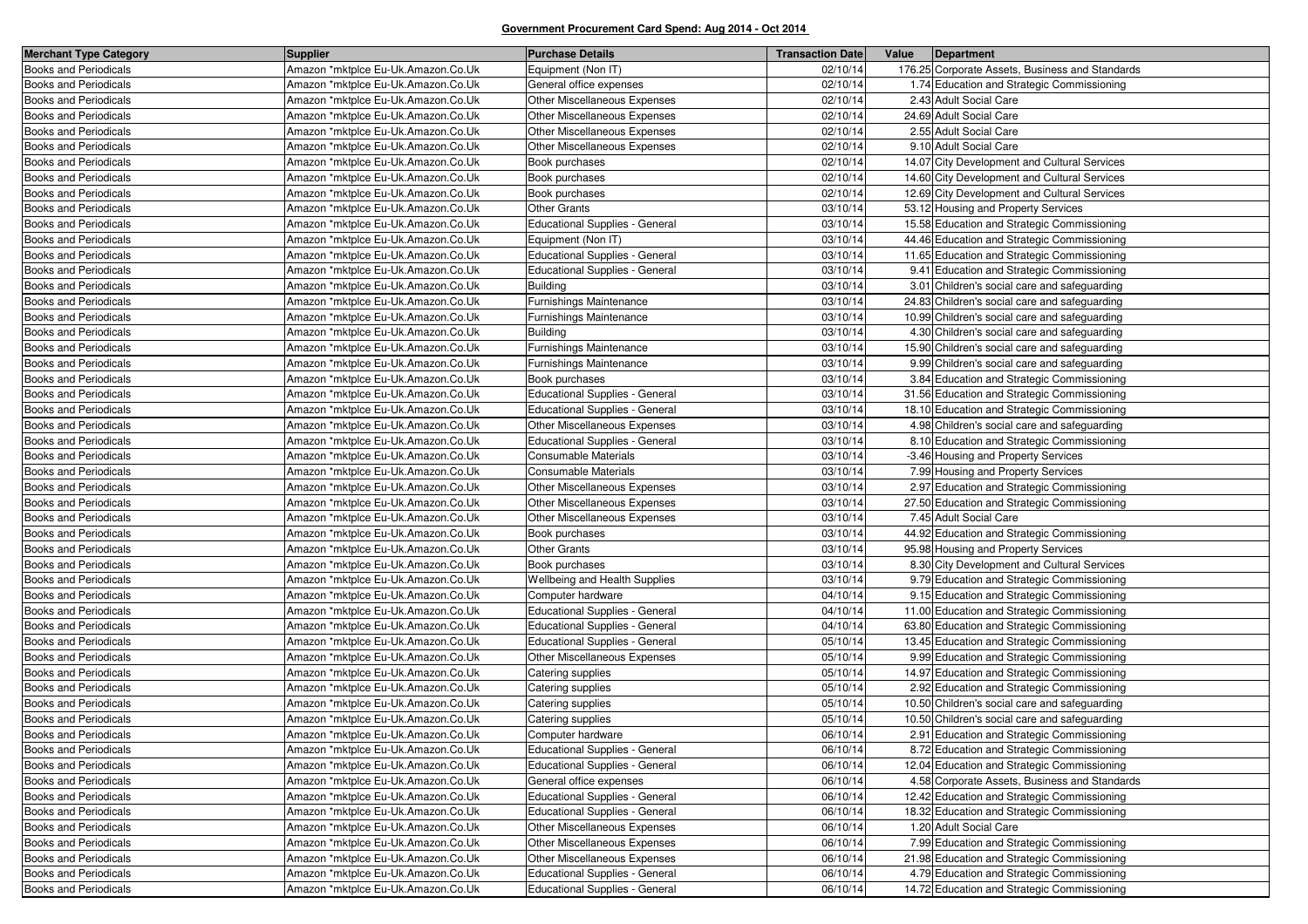| <b>Merchant Type Category</b> | <b>Supplier</b>                    | <b>Purchase Details</b>               | <b>Transaction Date</b> | Value | Department                                      |
|-------------------------------|------------------------------------|---------------------------------------|-------------------------|-------|-------------------------------------------------|
| <b>Books and Periodicals</b>  | Amazon *mktplce Eu-Uk.Amazon.Co.Uk | Equipment (Non IT)                    | 02/10/14                |       | 176.25 Corporate Assets, Business and Standards |
| <b>Books and Periodicals</b>  | Amazon *mktplce Eu-Uk.Amazon.Co.Uk | General office expenses               | 02/10/14                |       | 1.74 Education and Strategic Commissioning      |
| <b>Books and Periodicals</b>  | Amazon *mktplce Eu-Uk.Amazon.Co.Uk | <b>Other Miscellaneous Expenses</b>   | 02/10/14                |       | 2.43 Adult Social Care                          |
| <b>Books and Periodicals</b>  | Amazon *mktplce Eu-Uk.Amazon.Co.Uk | Other Miscellaneous Expenses          | 02/10/14                |       | 24.69 Adult Social Care                         |
| <b>Books and Periodicals</b>  | Amazon *mktplce Eu-Uk.Amazon.Co.Uk | Other Miscellaneous Expenses          | 02/10/14                |       | 2.55 Adult Social Care                          |
| <b>Books and Periodicals</b>  | Amazon *mktplce Eu-Uk.Amazon.Co.Uk | <b>Other Miscellaneous Expenses</b>   | 02/10/14                |       | 9.10 Adult Social Care                          |
| <b>Books and Periodicals</b>  | Amazon *mktplce Eu-Uk.Amazon.Co.Uk | Book purchases                        | 02/10/14                |       | 14.07 City Development and Cultural Services    |
| <b>Books and Periodicals</b>  | Amazon *mktplce Eu-Uk.Amazon.Co.Uk | Book purchases                        | 02/10/14                |       | 14.60 City Development and Cultural Services    |
| <b>Books and Periodicals</b>  | Amazon *mktplce Eu-Uk.Amazon.Co.Uk | Book purchases                        | 02/10/14                |       | 12.69 City Development and Cultural Services    |
| <b>Books and Periodicals</b>  | Amazon *mktplce Eu-Uk.Amazon.Co.Uk | <b>Other Grants</b>                   | 03/10/14                |       | 53.12 Housing and Property Services             |
| <b>Books and Periodicals</b>  | Amazon *mktplce Eu-Uk.Amazon.Co.Uk | <b>Educational Supplies - General</b> | 03/10/14                |       | 15.58 Education and Strategic Commissioning     |
| <b>Books and Periodicals</b>  | Amazon *mktplce Eu-Uk.Amazon.Co.Uk | Equipment (Non IT)                    | 03/10/14                |       | 44.46 Education and Strategic Commissioning     |
| <b>Books and Periodicals</b>  | Amazon *mktplce Eu-Uk.Amazon.Co.Uk | Educational Supplies - General        | 03/10/14                |       | 11.65 Education and Strategic Commissioning     |
| Books and Periodicals         | Amazon *mktplce Eu-Uk.Amazon.Co.Uk | Educational Supplies - General        | 03/10/14                |       | 9.41 Education and Strategic Commissioning      |
| <b>Books and Periodicals</b>  | Amazon *mktplce Eu-Uk.Amazon.Co.Uk | <b>Building</b>                       | 03/10/14                |       | 3.01 Children's social care and safeguarding    |
| <b>Books and Periodicals</b>  | Amazon *mktplce Eu-Uk.Amazon.Co.Uk | Furnishings Maintenance               | 03/10/14                |       | 24.83 Children's social care and safeguarding   |
| Books and Periodicals         | Amazon *mktplce Eu-Uk.Amazon.Co.Uk | Furnishings Maintenance               | 03/10/14                |       | 10.99 Children's social care and safeguarding   |
| <b>Books and Periodicals</b>  | Amazon *mktplce Eu-Uk.Amazon.Co.Uk | <b>Building</b>                       | 03/10/14                |       | 4.30 Children's social care and safeguarding    |
| <b>Books and Periodicals</b>  | Amazon *mktplce Eu-Uk.Amazon.Co.Uk | Furnishings Maintenance               | 03/10/14                |       | 15.90 Children's social care and safeguarding   |
| <b>Books and Periodicals</b>  | Amazon *mktplce Eu-Uk.Amazon.Co.Uk | Furnishings Maintenance               | 03/10/14                |       | 9.99 Children's social care and safeguarding    |
| <b>Books and Periodicals</b>  | Amazon *mktplce Eu-Uk.Amazon.Co.Uk | Book purchases                        | 03/10/14                |       | 3.84 Education and Strategic Commissioning      |
| <b>Books and Periodicals</b>  | Amazon *mktplce Eu-Uk.Amazon.Co.Uk | Educational Supplies - General        | 03/10/14                |       | 31.56 Education and Strategic Commissioning     |
| <b>Books and Periodicals</b>  | Amazon *mktplce Eu-Uk.Amazon.Co.Uk | <b>Educational Supplies - General</b> | 03/10/14                |       | 18.10 Education and Strategic Commissioning     |
| <b>Books and Periodicals</b>  | Amazon *mktplce Eu-Uk.Amazon.Co.Uk | Other Miscellaneous Expenses          | 03/10/14                |       | 4.98 Children's social care and safeguarding    |
| <b>Books and Periodicals</b>  | Amazon *mktplce Eu-Uk.Amazon.Co.Uk | <b>Educational Supplies - General</b> | 03/10/14                |       | 8.10 Education and Strategic Commissioning      |
| Books and Periodicals         | Amazon *mktplce Eu-Uk.Amazon.Co.Uk | Consumable Materials                  | 03/10/14                |       | -3.46 Housing and Property Services             |
| <b>Books and Periodicals</b>  | Amazon *mktplce Eu-Uk.Amazon.Co.Uk | <b>Consumable Materials</b>           | 03/10/14                |       | 7.99 Housing and Property Services              |
| <b>Books and Periodicals</b>  | Amazon *mktplce Eu-Uk.Amazon.Co.Uk | Other Miscellaneous Expenses          | 03/10/14                |       | 2.97 Education and Strategic Commissioning      |
| Books and Periodicals         | Amazon *mktplce Eu-Uk.Amazon.Co.Uk | <b>Other Miscellaneous Expenses</b>   | 03/10/14                |       | 27.50 Education and Strategic Commissioning     |
| <b>Books and Periodicals</b>  | Amazon *mktplce Eu-Uk.Amazon.Co.Uk | Other Miscellaneous Expenses          | 03/10/14                |       | 7.45 Adult Social Care                          |
| <b>Books and Periodicals</b>  | Amazon *mktplce Eu-Uk.Amazon.Co.Uk | Book purchases                        | 03/10/14                |       | 44.92 Education and Strategic Commissioning     |
| Books and Periodicals         | Amazon *mktplce Eu-Uk.Amazon.Co.Uk | <b>Other Grants</b>                   | 03/10/14                |       | 95.98 Housing and Property Services             |
| <b>Books and Periodicals</b>  | Amazon *mktplce Eu-Uk.Amazon.Co.Uk | Book purchases                        | 03/10/14                |       | 8.30 City Development and Cultural Services     |
| <b>Books and Periodicals</b>  | Amazon *mktplce Eu-Uk.Amazon.Co.Uk | Wellbeing and Health Supplies         | 03/10/14                |       | 9.79 Education and Strategic Commissioning      |
| Books and Periodicals         | Amazon *mktplce Eu-Uk.Amazon.Co.Uk | Computer hardware                     | 04/10/14                |       | 9.15 Education and Strategic Commissioning      |
| <b>Books and Periodicals</b>  | Amazon *mktplce Eu-Uk.Amazon.Co.Uk | Educational Supplies - General        | 04/10/14                |       | 11.00 Education and Strategic Commissioning     |
| <b>Books and Periodicals</b>  | Amazon *mktplce Eu-Uk.Amazon.Co.Uk | Educational Supplies - General        | 04/10/14                |       | 63.80 Education and Strategic Commissioning     |
| <b>Books and Periodicals</b>  | Amazon *mktplce Eu-Uk.Amazon.Co.Uk | Educational Supplies - General        | 05/10/14                |       | 13.45 Education and Strategic Commissioning     |
| <b>Books and Periodicals</b>  | Amazon *mktplce Eu-Uk.Amazon.Co.Uk | Other Miscellaneous Expenses          | 05/10/14                |       | 9.99 Education and Strategic Commissioning      |
| <b>Books and Periodicals</b>  | Amazon *mktplce Eu-Uk.Amazon.Co.Uk | Catering supplies                     | 05/10/14                |       | 14.97 Education and Strategic Commissioning     |
| Books and Periodicals         | Amazon *mktplce Eu-Uk.Amazon.Co.Uk | Catering supplies                     | 05/10/14                |       | 2.92 Education and Strategic Commissioning      |
| <b>Books and Periodicals</b>  | Amazon *mktplce Eu-Uk.Amazon.Co.Uk | Catering supplies                     | 05/10/14                |       | 10.50 Children's social care and safeguarding   |
| <b>Books and Periodicals</b>  | Amazon *mktplce Eu-Uk.Amazon.Co.Uk | Catering supplies                     | 05/10/14                |       | 10.50 Children's social care and safeguarding   |
| <b>Books and Periodicals</b>  | Amazon *mktplce Eu-Uk.Amazon.Co.Uk | Computer hardware                     | 06/10/14                |       | 2.91 Education and Strategic Commissioning      |
| <b>Books and Periodicals</b>  | Amazon *mktplce Eu-Uk.Amazon.Co.Uk | Educational Supplies - General        | 06/10/14                |       | 8.72 Education and Strategic Commissioning      |
| <b>Books and Periodicals</b>  | Amazon *mktplce Eu-Uk.Amazon.Co.Uk | <b>Educational Supplies - General</b> | 06/10/14                |       | 12.04 Education and Strategic Commissioning     |
| <b>Books and Periodicals</b>  | Amazon *mktplce Eu-Uk.Amazon.Co.Uk | General office expenses               | 06/10/14                |       | 4.58 Corporate Assets, Business and Standards   |
| <b>Books and Periodicals</b>  | Amazon *mktplce Eu-Uk.Amazon.Co.Uk | <b>Educational Supplies - General</b> | 06/10/14                |       | 12.42 Education and Strategic Commissioning     |
| <b>Books and Periodicals</b>  | Amazon *mktplce Eu-Uk.Amazon.Co.Uk | Educational Supplies - General        | 06/10/14                |       | 18.32 Education and Strategic Commissioning     |
| Books and Periodicals         | Amazon *mktplce Eu-Uk.Amazon.Co.Uk | Other Miscellaneous Expenses          | 06/10/14                |       | 1.20 Adult Social Care                          |
| <b>Books and Periodicals</b>  | Amazon *mktplce Eu-Uk.Amazon.Co.Uk | Other Miscellaneous Expenses          | 06/10/14                |       | 7.99 Education and Strategic Commissioning      |
| <b>Books and Periodicals</b>  | Amazon *mktplce Eu-Uk.Amazon.Co.Uk | Other Miscellaneous Expenses          | 06/10/14                |       | 21.98 Education and Strategic Commissioning     |
| Books and Periodicals         | Amazon *mktplce Eu-Uk.Amazon.Co.Uk | Educational Supplies - General        | 06/10/14                |       | 4.79 Education and Strategic Commissioning      |
| <b>Books and Periodicals</b>  | Amazon *mktplce Eu-Uk.Amazon.Co.Uk | Educational Supplies - General        | 06/10/14                |       | 14.72 Education and Strategic Commissioning     |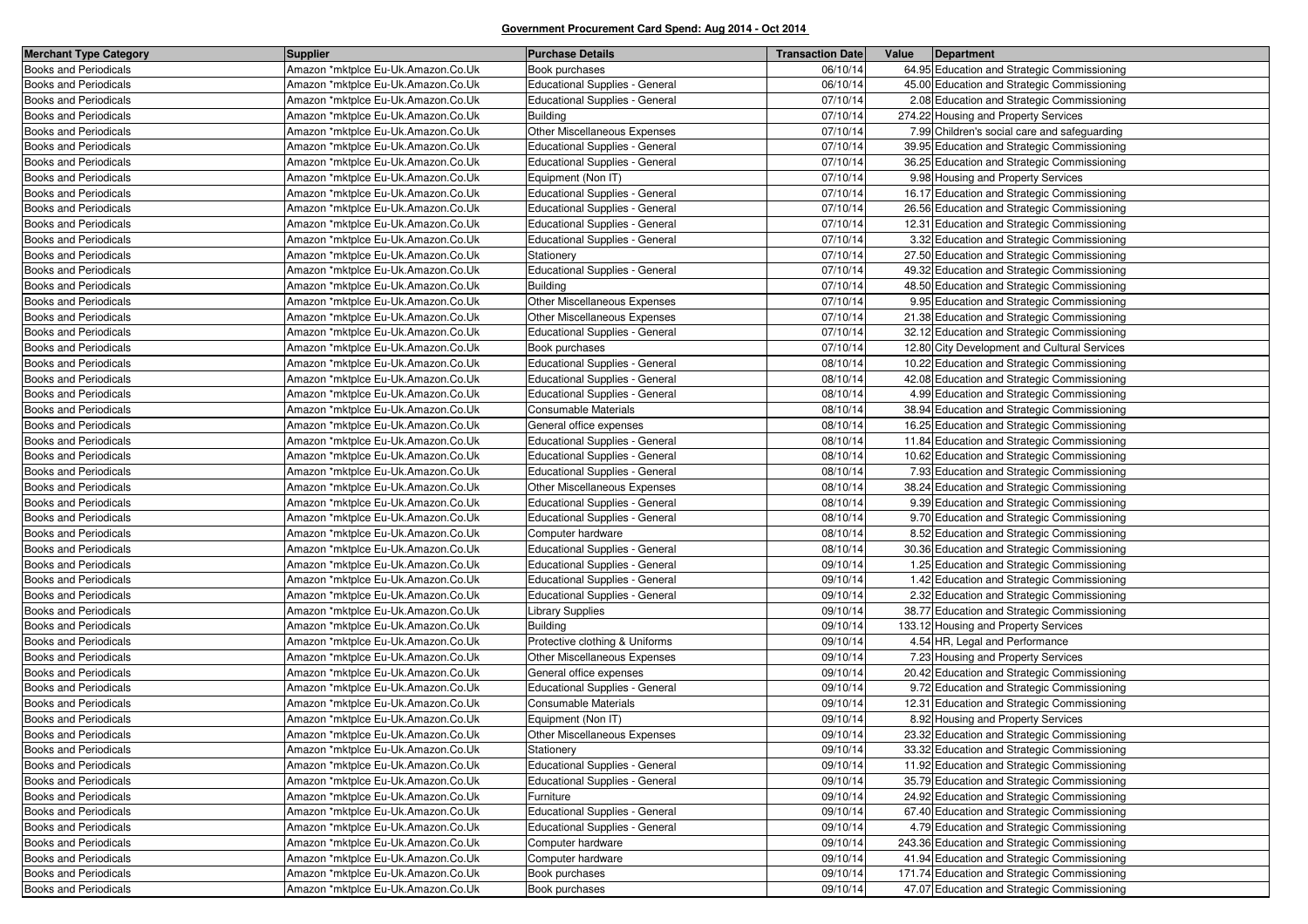| <b>Merchant Type Category</b> | <b>Supplier</b>                    | <b>Purchase Details</b>               | <b>Transaction Date</b> | Value<br>Department                          |
|-------------------------------|------------------------------------|---------------------------------------|-------------------------|----------------------------------------------|
| <b>Books and Periodicals</b>  | Amazon *mktplce Eu-Uk.Amazon.Co.Uk | Book purchases                        | 06/10/14                | 64.95 Education and Strategic Commissioning  |
| <b>Books and Periodicals</b>  | Amazon *mktplce Eu-Uk.Amazon.Co.Uk | <b>Educational Supplies - General</b> | 06/10/14                | 45.00 Education and Strategic Commissioning  |
| <b>Books and Periodicals</b>  | Amazon *mktplce Eu-Uk.Amazon.Co.Uk | Educational Supplies - General        | 07/10/14                | 2.08 Education and Strategic Commissioning   |
| <b>Books and Periodicals</b>  | Amazon *mktplce Eu-Uk.Amazon.Co.Uk | <b>Building</b>                       | 07/10/14                | 274.22 Housing and Property Services         |
| <b>Books and Periodicals</b>  | Amazon *mktplce Eu-Uk.Amazon.Co.Uk | Other Miscellaneous Expenses          | 07/10/14                | 7.99 Children's social care and safeguarding |
| Books and Periodicals         | Amazon *mktplce Eu-Uk.Amazon.Co.Uk | <b>Educational Supplies - General</b> | 07/10/14                | 39.95 Education and Strategic Commissioning  |
| <b>Books and Periodicals</b>  | Amazon *mktplce Eu-Uk.Amazon.Co.Uk | <b>Educational Supplies - General</b> | 07/10/14                | 36.25 Education and Strategic Commissioning  |
| <b>Books and Periodicals</b>  | Amazon *mktplce Eu-Uk.Amazon.Co.Uk | Equipment (Non IT)                    | 07/10/14                | 9.98 Housing and Property Services           |
| <b>Books and Periodicals</b>  | Amazon *mktplce Eu-Uk.Amazon.Co.Uk | <b>Educational Supplies - General</b> | 07/10/14                | 16.17 Education and Strategic Commissioning  |
| <b>Books and Periodicals</b>  | Amazon *mktplce Eu-Uk.Amazon.Co.Uk | Educational Supplies - General        | 07/10/14                | 26.56 Education and Strategic Commissioning  |
| <b>Books and Periodicals</b>  | Amazon *mktplce Eu-Uk.Amazon.Co.Uk | <b>Educational Supplies - General</b> | 07/10/14                | 12.31 Education and Strategic Commissioning  |
| <b>Books and Periodicals</b>  | Amazon *mktplce Eu-Uk.Amazon.Co.Uk | Educational Supplies - General        | 07/10/14                | 3.32 Education and Strategic Commissioning   |
| <b>Books and Periodicals</b>  | Amazon *mktplce Eu-Uk.Amazon.Co.Uk | Stationery                            | 07/10/14                | 27.50 Education and Strategic Commissioning  |
| <b>Books and Periodicals</b>  | Amazon *mktplce Eu-Uk.Amazon.Co.Uk | <b>Educational Supplies - General</b> | 07/10/14                | 49.32 Education and Strategic Commissioning  |
| <b>Books and Periodicals</b>  | Amazon *mktplce Eu-Uk.Amazon.Co.Uk | <b>Building</b>                       | 07/10/14                | 48.50 Education and Strategic Commissioning  |
| <b>Books and Periodicals</b>  | Amazon *mktplce Eu-Uk.Amazon.Co.Uk | Other Miscellaneous Expenses          | 07/10/14                | 9.95 Education and Strategic Commissioning   |
| <b>Books and Periodicals</b>  | Amazon *mktplce Eu-Uk.Amazon.Co.Uk | Other Miscellaneous Expenses          | 07/10/14                | 21.38 Education and Strategic Commissioning  |
| Books and Periodicals         | Amazon *mktplce Eu-Uk.Amazon.Co.Uk | Educational Supplies - General        | 07/10/14                | 32.12 Education and Strategic Commissioning  |
| <b>Books and Periodicals</b>  | Amazon *mktplce Eu-Uk.Amazon.Co.Uk | Book purchases                        | 07/10/14                | 12.80 City Development and Cultural Services |
| <b>Books and Periodicals</b>  | Amazon *mktplce Eu-Uk.Amazon.Co.Uk | Educational Supplies - General        | 08/10/14                | 10.22 Education and Strategic Commissioning  |
| <b>Books and Periodicals</b>  | Amazon *mktplce Eu-Uk.Amazon.Co.Uk | Educational Supplies - General        | 08/10/14                | 42.08 Education and Strategic Commissioning  |
| Books and Periodicals         | Amazon *mktplce Eu-Uk.Amazon.Co.Uk | Educational Supplies - General        | 08/10/14                | 4.99 Education and Strategic Commissioning   |
| <b>Books and Periodicals</b>  | Amazon *mktplce Eu-Uk.Amazon.Co.Uk | Consumable Materials                  | 08/10/14                | 38.94 Education and Strategic Commissioning  |
| <b>Books and Periodicals</b>  | Amazon *mktplce Eu-Uk.Amazon.Co.Uk | General office expenses               | 08/10/14                | 16.25 Education and Strategic Commissioning  |
| <b>Books and Periodicals</b>  | Amazon *mktplce Eu-Uk.Amazon.Co.Uk | Educational Supplies - General        | 08/10/14                | 11.84 Education and Strategic Commissioning  |
| <b>Books and Periodicals</b>  | Amazon *mktplce Eu-Uk.Amazon.Co.Uk | <b>Educational Supplies - General</b> | 08/10/14                | 10.62 Education and Strategic Commissioning  |
| <b>Books and Periodicals</b>  | Amazon *mktplce Eu-Uk.Amazon.Co.Uk | <b>Educational Supplies - General</b> | 08/10/14                | 7.93 Education and Strategic Commissioning   |
| <b>Books and Periodicals</b>  | Amazon *mktplce Eu-Uk.Amazon.Co.Uk | Other Miscellaneous Expenses          | 08/10/14                | 38.24 Education and Strategic Commissioning  |
| <b>Books and Periodicals</b>  | Amazon *mktplce Eu-Uk.Amazon.Co.Uk | Educational Supplies - General        | 08/10/14                | 9.39 Education and Strategic Commissioning   |
| <b>Books and Periodicals</b>  | Amazon *mktplce Eu-Uk.Amazon.Co.Uk | Educational Supplies - General        | 08/10/14                | 9.70 Education and Strategic Commissioning   |
| <b>Books and Periodicals</b>  | Amazon *mktplce Eu-Uk.Amazon.Co.Uk | Computer hardware                     | 08/10/14                | 8.52 Education and Strategic Commissioning   |
| <b>Books and Periodicals</b>  | Amazon *mktplce Eu-Uk.Amazon.Co.Uk | <b>Educational Supplies - General</b> | 08/10/14                | 30.36 Education and Strategic Commissioning  |
| <b>Books and Periodicals</b>  | Amazon *mktplce Eu-Uk.Amazon.Co.Uk | Educational Supplies - General        | 09/10/14                | 1.25 Education and Strategic Commissioning   |
| <b>Books and Periodicals</b>  | Amazon *mktplce Eu-Uk.Amazon.Co.Uk | Educational Supplies - General        | 09/10/14                | 1.42 Education and Strategic Commissioning   |
| Books and Periodicals         | Amazon *mktplce Eu-Uk.Amazon.Co.Uk | Educational Supplies - General        | 09/10/14                | 2.32 Education and Strategic Commissioning   |
| <b>Books and Periodicals</b>  | Amazon *mktplce Eu-Uk.Amazon.Co.Uk | <b>Library Supplies</b>               | 09/10/14                | 38.77 Education and Strategic Commissioning  |
| <b>Books and Periodicals</b>  | Amazon *mktplce Eu-Uk.Amazon.Co.Uk | <b>Building</b>                       | 09/10/14                | 133.12 Housing and Property Services         |
| <b>Books and Periodicals</b>  | Amazon *mktplce Eu-Uk.Amazon.Co.Uk | Protective clothing & Uniforms        | 09/10/14                | 4.54 HR, Legal and Performance               |
| <b>Books and Periodicals</b>  | Amazon *mktplce Eu-Uk.Amazon.Co.Uk | Other Miscellaneous Expenses          | 09/10/14                | 7.23 Housing and Property Services           |
| Books and Periodicals         | Amazon *mktplce Eu-Uk.Amazon.Co.Uk | General office expenses               | 09/10/14                | 20.42 Education and Strategic Commissioning  |
| Books and Periodicals         | Amazon *mktplce Eu-Uk.Amazon.Co.Uk | Educational Supplies - General        | 09/10/14                | 9.72 Education and Strategic Commissioning   |
| <b>Books and Periodicals</b>  | Amazon *mktplce Eu-Uk.Amazon.Co.Uk | Consumable Materials                  | 09/10/14                | 12.31 Education and Strategic Commissioning  |
| <b>Books and Periodicals</b>  | Amazon *mktplce Eu-Uk.Amazon.Co.Uk | Equipment (Non IT)                    | 09/10/14                | 8.92 Housing and Property Services           |
| <b>Books and Periodicals</b>  | Amazon *mktplce Eu-Uk.Amazon.Co.Uk | Other Miscellaneous Expenses          | 09/10/14                | 23.32 Education and Strategic Commissioning  |
| <b>Books and Periodicals</b>  | Amazon *mktplce Eu-Uk.Amazon.Co.Uk | Stationery                            | 09/10/14                | 33.32 Education and Strategic Commissioning  |
| <b>Books and Periodicals</b>  | Amazon *mktplce Eu-Uk.Amazon.Co.Uk | Educational Supplies - General        | 09/10/14                | 11.92 Education and Strategic Commissioning  |
| <b>Books and Periodicals</b>  | Amazon *mktplce Eu-Uk.Amazon.Co.Uk | Educational Supplies - General        | 09/10/14                | 35.79 Education and Strategic Commissioning  |
| <b>Books and Periodicals</b>  | Amazon *mktplce Eu-Uk.Amazon.Co.Uk | Furniture                             | 09/10/14                | 24.92 Education and Strategic Commissioning  |
| <b>Books and Periodicals</b>  | Amazon *mktplce Eu-Uk.Amazon.Co.Uk | <b>Educational Supplies - General</b> | 09/10/14                | 67.40 Education and Strategic Commissioning  |
| Books and Periodicals         | Amazon *mktplce Eu-Uk.Amazon.Co.Uk | <b>Educational Supplies - General</b> | 09/10/14                | 4.79 Education and Strategic Commissioning   |
| <b>Books and Periodicals</b>  | Amazon *mktplce Eu-Uk.Amazon.Co.Uk | Computer hardware                     | 09/10/14                | 243.36 Education and Strategic Commissioning |
| <b>Books and Periodicals</b>  | Amazon *mktplce Eu-Uk.Amazon.Co.Uk | Computer hardware                     | 09/10/14                | 41.94 Education and Strategic Commissioning  |
| <b>Books and Periodicals</b>  | Amazon *mktplce Eu-Uk.Amazon.Co.Uk | Book purchases                        | 09/10/14                | 171.74 Education and Strategic Commissioning |
| <b>Books and Periodicals</b>  | Amazon *mktplce Eu-Uk.Amazon.Co.Uk | Book purchases                        | 09/10/14                | 47.07 Education and Strategic Commissioning  |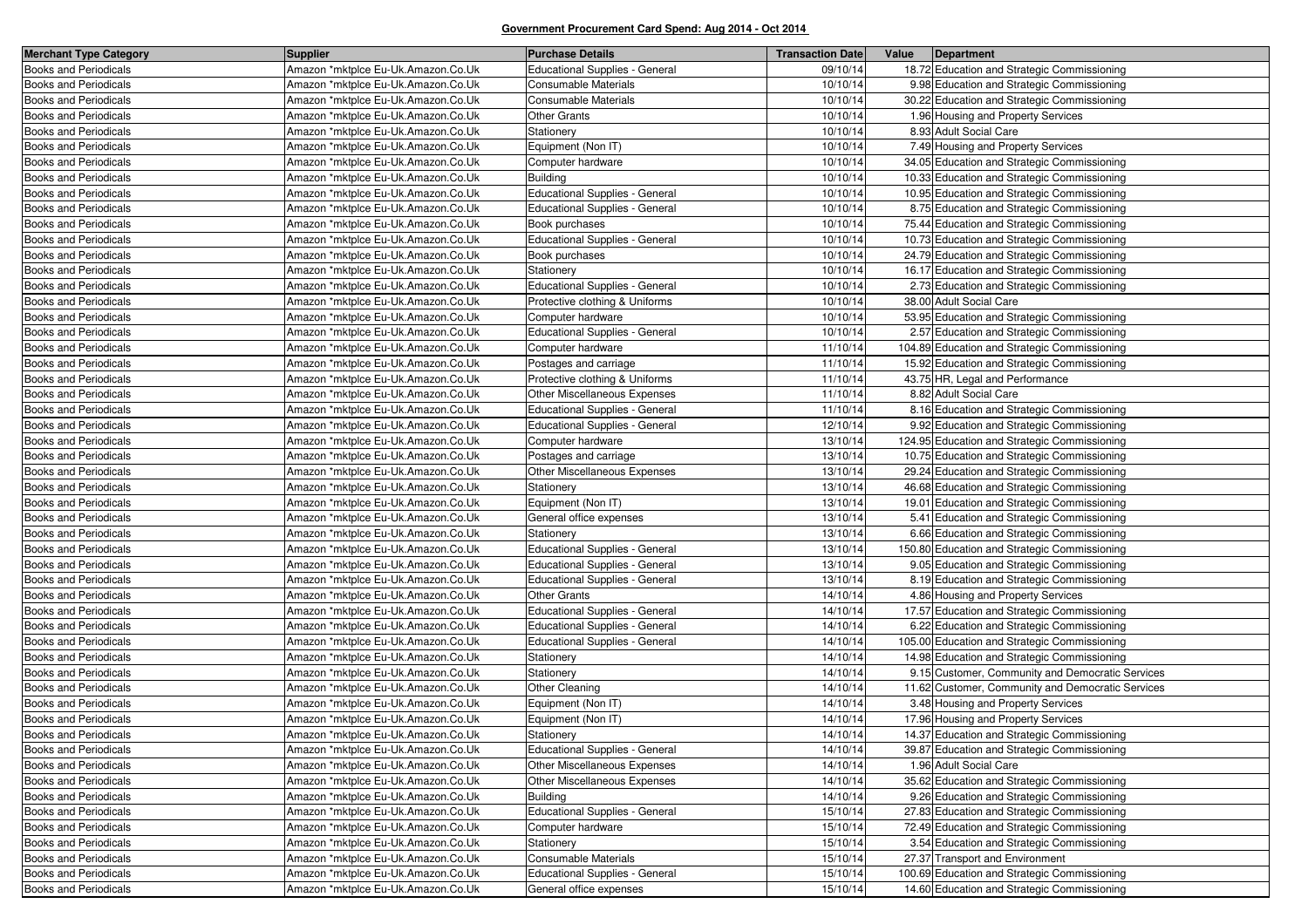| <b>Merchant Type Category</b> | <b>Supplier</b>                    | <b>Purchase Details</b>               | <b>Transaction Date</b> | Value | Department                                        |
|-------------------------------|------------------------------------|---------------------------------------|-------------------------|-------|---------------------------------------------------|
| <b>Books and Periodicals</b>  | Amazon *mktplce Eu-Uk.Amazon.Co.Uk | <b>Educational Supplies - General</b> | 09/10/14                |       | 18.72 Education and Strategic Commissioning       |
| <b>Books and Periodicals</b>  | Amazon *mktplce Eu-Uk.Amazon.Co.Uk | <b>Consumable Materials</b>           | 10/10/14                |       | 9.98 Education and Strategic Commissioning        |
| <b>Books and Periodicals</b>  | Amazon *mktplce Eu-Uk.Amazon.Co.Uk | Consumable Materials                  | 10/10/14                |       | 30.22 Education and Strategic Commissioning       |
| <b>Books and Periodicals</b>  | Amazon *mktplce Eu-Uk.Amazon.Co.Uk | <b>Other Grants</b>                   | 10/10/14                |       | 1.96 Housing and Property Services                |
| <b>Books and Periodicals</b>  | Amazon *mktplce Eu-Uk.Amazon.Co.Uk | Stationery                            | 10/10/14                |       | 8.93 Adult Social Care                            |
| <b>Books and Periodicals</b>  | Amazon *mktplce Eu-Uk.Amazon.Co.Uk | Equipment (Non IT)                    | 10/10/14                |       | 7.49 Housing and Property Services                |
| <b>Books and Periodicals</b>  | Amazon *mktplce Eu-Uk.Amazon.Co.Uk | Computer hardware                     | 10/10/14                |       | 34.05 Education and Strategic Commissioning       |
| <b>Books and Periodicals</b>  | Amazon *mktplce Eu-Uk.Amazon.Co.Uk | <b>Building</b>                       | 10/10/14                |       | 10.33 Education and Strategic Commissioning       |
| <b>Books and Periodicals</b>  | Amazon *mktplce Eu-Uk.Amazon.Co.Uk | <b>Educational Supplies - General</b> | 10/10/14                |       | 10.95 Education and Strategic Commissioning       |
| <b>Books and Periodicals</b>  | Amazon *mktplce Eu-Uk.Amazon.Co.Uk | <b>Educational Supplies - General</b> | 10/10/14                |       | 8.75 Education and Strategic Commissioning        |
| <b>Books and Periodicals</b>  | Amazon *mktplce Eu-Uk.Amazon.Co.Uk | Book purchases                        | 10/10/14                |       | 75.44 Education and Strategic Commissioning       |
| <b>Books and Periodicals</b>  | Amazon *mktplce Eu-Uk.Amazon.Co.Uk | <b>Educational Supplies - General</b> | 10/10/14                |       | 10.73 Education and Strategic Commissioning       |
| <b>Books and Periodicals</b>  | Amazon *mktplce Eu-Uk.Amazon.Co.Uk | Book purchases                        | 10/10/14                |       | 24.79 Education and Strategic Commissioning       |
| Books and Periodicals         | Amazon *mktplce Eu-Uk.Amazon.Co.Uk | Stationery                            | 10/10/14                |       | 16.17 Education and Strategic Commissioning       |
| <b>Books and Periodicals</b>  | Amazon *mktplce Eu-Uk.Amazon.Co.Uk | <b>Educational Supplies - General</b> | 10/10/14                |       | 2.73 Education and Strategic Commissioning        |
| <b>Books and Periodicals</b>  | Amazon *mktplce Eu-Uk.Amazon.Co.Uk | Protective clothing & Uniforms        | 10/10/14                |       | 38.00 Adult Social Care                           |
| Books and Periodicals         | Amazon *mktplce Eu-Uk.Amazon.Co.Uk | Computer hardware                     | 10/10/14                |       | 53.95 Education and Strategic Commissioning       |
| <b>Books and Periodicals</b>  | Amazon *mktplce Eu-Uk.Amazon.Co.Uk | Educational Supplies - General        | 10/10/14                |       | 2.57 Education and Strategic Commissioning        |
| <b>Books and Periodicals</b>  | Amazon *mktplce Eu-Uk.Amazon.Co.Uk | Computer hardware                     | 11/10/14                |       | 104.89 Education and Strategic Commissioning      |
| <b>Books and Periodicals</b>  | Amazon *mktplce Eu-Uk.Amazon.Co.Uk | Postages and carriage                 | 11/10/14                |       | 15.92 Education and Strategic Commissioning       |
| <b>Books and Periodicals</b>  | Amazon *mktplce Eu-Uk.Amazon.Co.Uk | Protective clothing & Uniforms        | 11/10/14                |       | 43.75 HR, Legal and Performance                   |
| <b>Books and Periodicals</b>  | Amazon *mktplce Eu-Uk.Amazon.Co.Uk | Other Miscellaneous Expenses          | 11/10/14                |       | 8.82 Adult Social Care                            |
| <b>Books and Periodicals</b>  | Amazon *mktplce Eu-Uk.Amazon.Co.Uk | <b>Educational Supplies - General</b> | 11/10/14                |       | 8.16 Education and Strategic Commissioning        |
| <b>Books and Periodicals</b>  | Amazon *mktplce Eu-Uk.Amazon.Co.Uk | <b>Educational Supplies - General</b> | 12/10/14                |       | 9.92 Education and Strategic Commissioning        |
| <b>Books and Periodicals</b>  | Amazon *mktplce Eu-Uk.Amazon.Co.Uk | Computer hardware                     | 13/10/14                |       | 124.95 Education and Strategic Commissioning      |
| Books and Periodicals         | Amazon *mktplce Eu-Uk.Amazon.Co.Uk | Postages and carriage                 | 13/10/14                |       | 10.75 Education and Strategic Commissioning       |
| <b>Books and Periodicals</b>  | Amazon *mktplce Eu-Uk.Amazon.Co.Uk | Other Miscellaneous Expenses          | 13/10/14                |       | 29.24 Education and Strategic Commissioning       |
| <b>Books and Periodicals</b>  | Amazon *mktplce Eu-Uk.Amazon.Co.Uk | Stationery                            | 13/10/14                |       | 46.68 Education and Strategic Commissioning       |
| <b>Books and Periodicals</b>  | Amazon *mktplce Eu-Uk.Amazon.Co.Uk | Equipment (Non IT)                    | 13/10/14                |       | 19.01 Education and Strategic Commissioning       |
| <b>Books and Periodicals</b>  | Amazon *mktplce Eu-Uk.Amazon.Co.Uk | General office expenses               | 13/10/14                |       | 5.41 Education and Strategic Commissioning        |
| <b>Books and Periodicals</b>  | Amazon *mktplce Eu-Uk.Amazon.Co.Uk | Stationery                            | 13/10/14                |       | 6.66 Education and Strategic Commissioning        |
| Books and Periodicals         | Amazon *mktplce Eu-Uk.Amazon.Co.Uk | Educational Supplies - General        | 13/10/14                |       | 150.80 Education and Strategic Commissioning      |
| <b>Books and Periodicals</b>  | Amazon *mktplce Eu-Uk.Amazon.Co.Uk | Educational Supplies - General        | 13/10/14                |       | 9.05 Education and Strategic Commissioning        |
| <b>Books and Periodicals</b>  | Amazon *mktplce Eu-Uk.Amazon.Co.Uk | Educational Supplies - General        | 13/10/14                |       | 8.19 Education and Strategic Commissioning        |
| Books and Periodicals         | Amazon *mktplce Eu-Uk.Amazon.Co.Uk | <b>Other Grants</b>                   | 14/10/14                |       | 4.86 Housing and Property Services                |
| <b>Books and Periodicals</b>  | Amazon *mktplce Eu-Uk.Amazon.Co.Uk | Educational Supplies - General        | 14/10/14                |       | 17.57 Education and Strategic Commissioning       |
| <b>Books and Periodicals</b>  | Amazon *mktplce Eu-Uk.Amazon.Co.Uk | Educational Supplies - General        | 14/10/14                |       | 6.22 Education and Strategic Commissioning        |
| <b>Books and Periodicals</b>  | Amazon *mktplce Eu-Uk.Amazon.Co.Uk | Educational Supplies - General        | 14/10/14                |       | 105.00 Education and Strategic Commissioning      |
| <b>Books and Periodicals</b>  | Amazon *mktplce Eu-Uk.Amazon.Co.Uk | Stationery                            | 14/10/14                |       | 14.98 Education and Strategic Commissioning       |
| <b>Books and Periodicals</b>  | Amazon *mktplce Eu-Uk.Amazon.Co.Uk | Stationery                            | 14/10/14                |       | 9.15 Customer, Community and Democratic Services  |
| <b>Books and Periodicals</b>  | Amazon *mktplce Eu-Uk.Amazon.Co.Uk | Other Cleaning                        | 14/10/14                |       | 11.62 Customer, Community and Democratic Services |
| <b>Books and Periodicals</b>  | Amazon *mktplce Eu-Uk.Amazon.Co.Uk | Equipment (Non IT)                    | 14/10/14                |       | 3.48 Housing and Property Services                |
| <b>Books and Periodicals</b>  | Amazon *mktplce Eu-Uk.Amazon.Co.Uk | Equipment (Non IT)                    | 14/10/14                |       | 17.96 Housing and Property Services               |
| <b>Books and Periodicals</b>  | Amazon *mktplce Eu-Uk.Amazon.Co.Uk | Stationery                            | 14/10/14                |       | 14.37 Education and Strategic Commissioning       |
| <b>Books and Periodicals</b>  | Amazon *mktplce Eu-Uk.Amazon.Co.Uk | Educational Supplies - General        | 14/10/14                |       | 39.87 Education and Strategic Commissioning       |
| <b>Books and Periodicals</b>  | Amazon *mktplce Eu-Uk.Amazon.Co.Uk | Other Miscellaneous Expenses          | 14/10/14                |       | 1.96 Adult Social Care                            |
| <b>Books and Periodicals</b>  | Amazon *mktplce Eu-Uk.Amazon.Co.Uk | Other Miscellaneous Expenses          | 14/10/14                |       | 35.62 Education and Strategic Commissioning       |
| <b>Books and Periodicals</b>  | Amazon *mktplce Eu-Uk.Amazon.Co.Uk | <b>Building</b>                       | 14/10/14                |       | 9.26 Education and Strategic Commissioning        |
| <b>Books and Periodicals</b>  | Amazon *mktplce Eu-Uk.Amazon.Co.Uk | Educational Supplies - General        | 15/10/14                |       | 27.83 Education and Strategic Commissioning       |
| Books and Periodicals         | Amazon *mktplce Eu-Uk.Amazon.Co.Uk | Computer hardware                     | 15/10/14                |       | 72.49 Education and Strategic Commissioning       |
| <b>Books and Periodicals</b>  | Amazon *mktplce Eu-Uk.Amazon.Co.Uk | Stationery                            | 15/10/14                |       | 3.54 Education and Strategic Commissioning        |
| <b>Books and Periodicals</b>  | Amazon *mktplce Eu-Uk.Amazon.Co.Uk | Consumable Materials                  | 15/10/14                |       | 27.37 Transport and Environment                   |
| Books and Periodicals         | Amazon *mktplce Eu-Uk.Amazon.Co.Uk | <b>Educational Supplies - General</b> | 15/10/14                |       | 100.69 Education and Strategic Commissioning      |
| <b>Books and Periodicals</b>  | Amazon *mktplce Eu-Uk.Amazon.Co.Uk | General office expenses               | 15/10/14                |       | 14.60 Education and Strategic Commissioning       |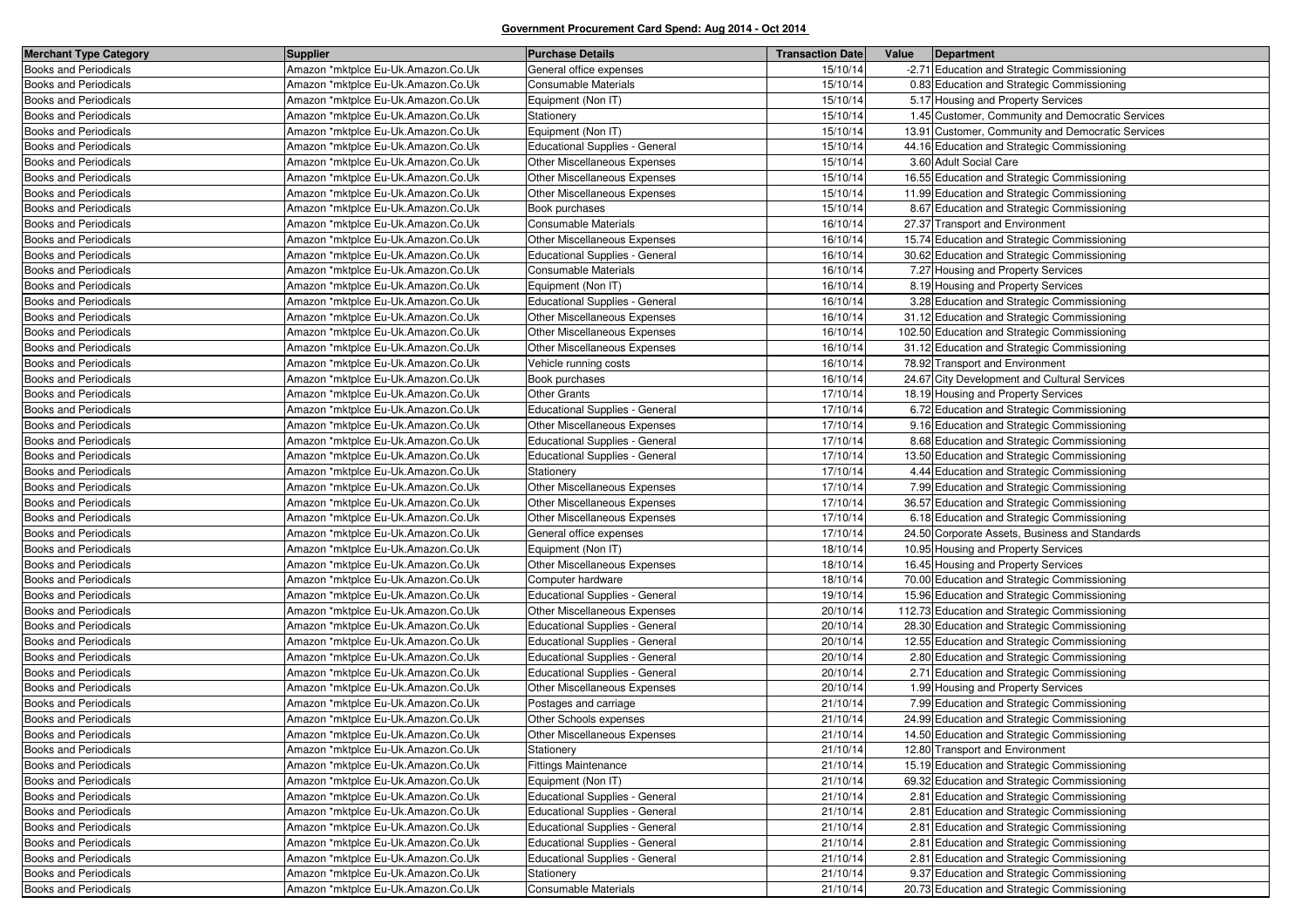| <b>Merchant Type Category</b> | <b>Supplier</b>                    | <b>Purchase Details</b>               | <b>Transaction Date</b> | Value<br>Department                               |
|-------------------------------|------------------------------------|---------------------------------------|-------------------------|---------------------------------------------------|
| <b>Books and Periodicals</b>  | Amazon *mktplce Eu-Uk.Amazon.Co.Uk | General office expenses               | 15/10/14                | -2.71 Education and Strategic Commissioning       |
| <b>Books and Periodicals</b>  | Amazon *mktplce Eu-Uk.Amazon.Co.Uk | Consumable Materials                  | 15/10/14                | 0.83 Education and Strategic Commissioning        |
| <b>Books and Periodicals</b>  | Amazon *mktplce Eu-Uk.Amazon.Co.Uk | Equipment (Non IT)                    | 15/10/14                | 5.17 Housing and Property Services                |
| Books and Periodicals         | Amazon *mktplce Eu-Uk.Amazon.Co.Uk | Stationery                            | 15/10/14                | 1.45 Customer, Community and Democratic Services  |
| Books and Periodicals         | Amazon *mktplce Eu-Uk.Amazon.Co.Uk | Equipment (Non IT)                    | 15/10/14                | 13.91 Customer, Community and Democratic Services |
| <b>Books and Periodicals</b>  | Amazon *mktplce Eu-Uk.Amazon.Co.Uk | <b>Educational Supplies - General</b> | 15/10/14                | 44.16 Education and Strategic Commissioning       |
| Books and Periodicals         | Amazon *mktplce Eu-Uk.Amazon.Co.Uk | Other Miscellaneous Expenses          | 15/10/14                | 3.60 Adult Social Care                            |
| Books and Periodicals         | Amazon *mktplce Eu-Uk.Amazon.Co.Uk | Other Miscellaneous Expenses          | 15/10/14                | 16.55 Education and Strategic Commissioning       |
| <b>Books and Periodicals</b>  | Amazon *mktplce Eu-Uk.Amazon.Co.Uk | Other Miscellaneous Expenses          | 15/10/14                | 11.99 Education and Strategic Commissioning       |
| <b>Books and Periodicals</b>  | Amazon *mktplce Eu-Uk.Amazon.Co.Uk | Book purchases                        | 15/10/14                | 8.67 Education and Strategic Commissioning        |
| Books and Periodicals         | Amazon *mktplce Eu-Uk.Amazon.Co.Uk | Consumable Materials                  | 16/10/14                | 27.37 Transport and Environment                   |
| <b>Books and Periodicals</b>  | Amazon *mktplce Eu-Uk.Amazon.Co.Uk | Other Miscellaneous Expenses          | 16/10/14                | 15.74 Education and Strategic Commissioning       |
| <b>Books and Periodicals</b>  | Amazon *mktplce Eu-Uk.Amazon.Co.Uk | Educational Supplies - General        | 16/10/14                | 30.62 Education and Strategic Commissioning       |
| Books and Periodicals         | Amazon *mktplce Eu-Uk.Amazon.Co.Uk | Consumable Materials                  | 16/10/14                | 7.27 Housing and Property Services                |
| <b>Books and Periodicals</b>  | Amazon *mktplce Eu-Uk.Amazon.Co.Uk | Equipment (Non IT)                    | 16/10/14                | 8.19 Housing and Property Services                |
| Books and Periodicals         | Amazon *mktplce Eu-Uk.Amazon.Co.Uk | Educational Supplies - General        | 16/10/14                | 3.28 Education and Strategic Commissioning        |
| Books and Periodicals         | Amazon *mktplce Eu-Uk.Amazon.Co.Uk | Other Miscellaneous Expenses          | 16/10/14                | 31.12 Education and Strategic Commissioning       |
| <b>Books and Periodicals</b>  | Amazon *mktplce Eu-Uk.Amazon.Co.Uk | Other Miscellaneous Expenses          | 16/10/14                | 102.50 Education and Strategic Commissioning      |
| <b>Books and Periodicals</b>  | Amazon *mktplce Eu-Uk.Amazon.Co.Uk | Other Miscellaneous Expenses          | 16/10/14                | 31.12 Education and Strategic Commissioning       |
| Books and Periodicals         | Amazon *mktplce Eu-Uk.Amazon.Co.Uk | Vehicle running costs                 | 16/10/14                | 78.92 Transport and Environment                   |
| <b>Books and Periodicals</b>  | Amazon *mktplce Eu-Uk.Amazon.Co.Uk | Book purchases                        | 16/10/14                | 24.67 City Development and Cultural Services      |
| <b>Books and Periodicals</b>  | Amazon *mktplce Eu-Uk.Amazon.Co.Uk | <b>Other Grants</b>                   | 17/10/14                | 18.19 Housing and Property Services               |
| Books and Periodicals         | Amazon *mktplce Eu-Uk.Amazon.Co.Uk | Educational Supplies - General        | 17/10/14                | 6.72 Education and Strategic Commissioning        |
| <b>Books and Periodicals</b>  | Amazon *mktplce Eu-Uk.Amazon.Co.Uk | Other Miscellaneous Expenses          | 17/10/14                | 9.16 Education and Strategic Commissioning        |
| <b>Books and Periodicals</b>  | Amazon *mktplce Eu-Uk.Amazon.Co.Uk | <b>Educational Supplies - General</b> | 17/10/14                | 8.68 Education and Strategic Commissioning        |
| Books and Periodicals         | Amazon *mktplce Eu-Uk.Amazon.Co.Uk | Educational Supplies - General        | 17/10/14                | 13.50 Education and Strategic Commissioning       |
| Books and Periodicals         | Amazon *mktplce Eu-Uk.Amazon.Co.Uk | Stationery                            | 17/10/14                | 4.44 Education and Strategic Commissioning        |
| <b>Books and Periodicals</b>  | Amazon *mktplce Eu-Uk.Amazon.Co.Uk | Other Miscellaneous Expenses          | 17/10/14                | 7.99 Education and Strategic Commissioning        |
| <b>Books and Periodicals</b>  | Amazon *mktplce Eu-Uk.Amazon.Co.Uk | Other Miscellaneous Expenses          | 17/10/14                | 36.57 Education and Strategic Commissioning       |
| Books and Periodicals         | Amazon *mktplce Eu-Uk.Amazon.Co.Uk | Other Miscellaneous Expenses          | 17/10/14                | 6.18 Education and Strategic Commissioning        |
| <b>Books and Periodicals</b>  | Amazon *mktplce Eu-Uk.Amazon.Co.Uk | General office expenses               | 17/10/14                | 24.50 Corporate Assets, Business and Standards    |
| <b>Books and Periodicals</b>  | Amazon *mktplce Eu-Uk.Amazon.Co.Uk | Equipment (Non IT)                    | 18/10/14                | 10.95 Housing and Property Services               |
| Books and Periodicals         | Amazon *mktplce Eu-Uk.Amazon.Co.Uk | Other Miscellaneous Expenses          | 18/10/14                | 16.45 Housing and Property Services               |
| <b>Books and Periodicals</b>  | Amazon *mktplce Eu-Uk.Amazon.Co.Uk | Computer hardware                     | 18/10/14                | 70.00 Education and Strategic Commissioning       |
| Books and Periodicals         | Amazon *mktplce Eu-Uk.Amazon.Co.Uk | <b>Educational Supplies - General</b> | 19/10/14                | 15.96 Education and Strategic Commissioning       |
| Books and Periodicals         | Amazon *mktplce Eu-Uk.Amazon.Co.Uk | Other Miscellaneous Expenses          | 20/10/14                | 112.73 Education and Strategic Commissioning      |
| <b>Books and Periodicals</b>  | Amazon *mktplce Eu-Uk.Amazon.Co.Uk | <b>Educational Supplies - General</b> | 20/10/14                | 28.30 Education and Strategic Commissioning       |
| Books and Periodicals         | Amazon *mktplce Eu-Uk.Amazon.Co.Uk | <b>Educational Supplies - General</b> | 20/10/14                | 12.55 Education and Strategic Commissioning       |
| Books and Periodicals         | Amazon *mktplce Eu-Uk.Amazon.Co.Uk | Educational Supplies - General        | 20/10/14                | 2.80 Education and Strategic Commissioning        |
| <b>Books and Periodicals</b>  | Amazon *mktplce Eu-Uk.Amazon.Co.Uk | <b>Educational Supplies - General</b> | 20/10/14                | 2.71 Education and Strategic Commissioning        |
| <b>Books and Periodicals</b>  | Amazon *mktplce Eu-Uk.Amazon.Co.Uk | Other Miscellaneous Expenses          | 20/10/14                | 1.99 Housing and Property Services                |
| Books and Periodicals         | Amazon *mktplce Eu-Uk.Amazon.Co.Uk | Postages and carriage                 | 21/10/14                | 7.99 Education and Strategic Commissioning        |
| <b>Books and Periodicals</b>  | Amazon *mktplce Eu-Uk.Amazon.Co.Uk | Other Schools expenses                | 21/10/14                | 24.99 Education and Strategic Commissioning       |
| <b>Books and Periodicals</b>  | Amazon *mktplce Eu-Uk.Amazon.Co.Uk | Other Miscellaneous Expenses          | 21/10/14                | 14.50 Education and Strategic Commissioning       |
| Books and Periodicals         | Amazon *mktplce Eu-Uk.Amazon.Co.Uk | Stationery                            | 21/10/14                | 12.80 Transport and Environment                   |
| <b>Books and Periodicals</b>  | Amazon *mktplce Eu-Uk.Amazon.Co.Uk | <b>Fittings Maintenance</b>           | 21/10/14                | 15.19 Education and Strategic Commissioning       |
| Books and Periodicals         | Amazon *mktplce Eu-Uk.Amazon.Co.Uk | Equipment (Non IT)                    | 21/10/14                | 69.32 Education and Strategic Commissioning       |
| <b>Books and Periodicals</b>  | Amazon *mktplce Eu-Uk.Amazon.Co.Uk | Educational Supplies - General        | 21/10/14                | 2.81 Education and Strategic Commissioning        |
| <b>Books and Periodicals</b>  | Amazon *mktplce Eu-Uk.Amazon.Co.Uk | Educational Supplies - General        | 21/10/14                | 2.81 Education and Strategic Commissioning        |
| <b>Books and Periodicals</b>  | Amazon *mktplce Eu-Uk.Amazon.Co.Uk | <b>Educational Supplies - General</b> | 21/10/14                | 2.81 Education and Strategic Commissioning        |
| <b>Books and Periodicals</b>  | Amazon *mktplce Eu-Uk.Amazon.Co.Uk | Educational Supplies - General        | 21/10/14                | 2.81 Education and Strategic Commissioning        |
| <b>Books and Periodicals</b>  | Amazon *mktplce Eu-Uk.Amazon.Co.Uk | <b>Educational Supplies - General</b> | 21/10/14                | 2.81 Education and Strategic Commissioning        |
| <b>Books and Periodicals</b>  | Amazon *mktplce Eu-Uk.Amazon.Co.Uk | Stationery                            | 21/10/14                | 9.37 Education and Strategic Commissioning        |
| <b>Books and Periodicals</b>  | Amazon *mktplce Eu-Uk.Amazon.Co.Uk | Consumable Materials                  | 21/10/14                | 20.73 Education and Strategic Commissioning       |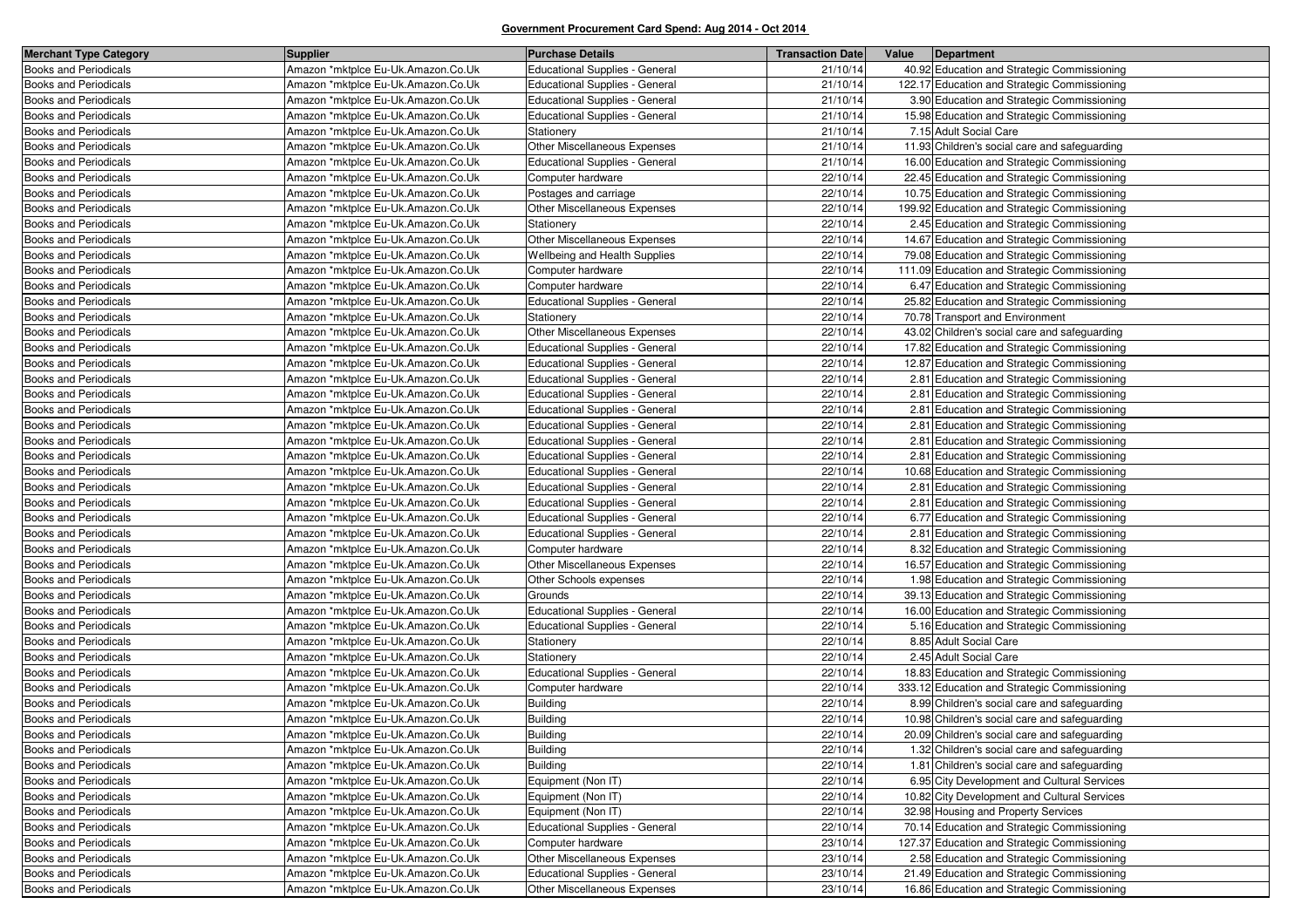| <b>Merchant Type Category</b> | <b>Supplier</b>                    | <b>Purchase Details</b>               | <b>Transaction Date</b> | Value<br>Department                           |
|-------------------------------|------------------------------------|---------------------------------------|-------------------------|-----------------------------------------------|
| <b>Books and Periodicals</b>  | Amazon *mktplce Eu-Uk.Amazon.Co.Uk | <b>Educational Supplies - General</b> | 21/10/14                | 40.92 Education and Strategic Commissioning   |
| <b>Books and Periodicals</b>  | Amazon *mktplce Eu-Uk.Amazon.Co.Uk | <b>Educational Supplies - General</b> | 21/10/14                | 122.17 Education and Strategic Commissioning  |
| <b>Books and Periodicals</b>  | Amazon *mktplce Eu-Uk.Amazon.Co.Uk | <b>Educational Supplies - General</b> | 21/10/14                | 3.90 Education and Strategic Commissioning    |
| <b>Books and Periodicals</b>  | Amazon *mktplce Eu-Uk.Amazon.Co.Uk | <b>Educational Supplies - General</b> | 21/10/14                | 15.98 Education and Strategic Commissioning   |
| <b>Books and Periodicals</b>  | Amazon *mktplce Eu-Uk.Amazon.Co.Uk | Stationery                            | 21/10/14                | 7.15 Adult Social Care                        |
| <b>Books and Periodicals</b>  | Amazon *mktplce Eu-Uk.Amazon.Co.Uk | Other Miscellaneous Expenses          | 21/10/14                | 11.93 Children's social care and safeguarding |
| <b>Books and Periodicals</b>  | Amazon *mktplce Eu-Uk.Amazon.Co.Uk | <b>Educational Supplies - General</b> | 21/10/14                | 16.00 Education and Strategic Commissioning   |
| <b>Books and Periodicals</b>  | Amazon *mktplce Eu-Uk.Amazon.Co.Uk | Computer hardware                     | 22/10/14                | 22.45 Education and Strategic Commissioning   |
| <b>Books and Periodicals</b>  | Amazon *mktplce Eu-Uk.Amazon.Co.Uk | Postages and carriage                 | 22/10/14                | 10.75 Education and Strategic Commissioning   |
| <b>Books and Periodicals</b>  | Amazon *mktplce Eu-Uk.Amazon.Co.Uk | Other Miscellaneous Expenses          | 22/10/14                | 199.92 Education and Strategic Commissioning  |
| <b>Books and Periodicals</b>  | Amazon *mktplce Eu-Uk.Amazon.Co.Uk | Stationery                            | 22/10/14                | 2.45 Education and Strategic Commissioning    |
| <b>Books and Periodicals</b>  | Amazon *mktplce Eu-Uk.Amazon.Co.Uk | Other Miscellaneous Expenses          | 22/10/14                | 14.67 Education and Strategic Commissioning   |
| <b>Books and Periodicals</b>  | Amazon *mktplce Eu-Uk.Amazon.Co.Uk | Wellbeing and Health Supplies         | 22/10/14                | 79.08 Education and Strategic Commissioning   |
| Books and Periodicals         | Amazon *mktplce Eu-Uk.Amazon.Co.Uk | Computer hardware                     | 22/10/14                | 111.09 Education and Strategic Commissioning  |
| <b>Books and Periodicals</b>  | Amazon *mktplce Eu-Uk.Amazon.Co.Uk | Computer hardware                     | 22/10/14                | 6.47 Education and Strategic Commissioning    |
| <b>Books and Periodicals</b>  | Amazon *mktplce Eu-Uk.Amazon.Co.Uk | Educational Supplies - General        | 22/10/14                | 25.82 Education and Strategic Commissioning   |
| Books and Periodicals         | Amazon *mktplce Eu-Uk.Amazon.Co.Uk | Stationery                            | 22/10/14                | 70.78 Transport and Environment               |
| <b>Books and Periodicals</b>  | Amazon *mktplce Eu-Uk.Amazon.Co.Uk | Other Miscellaneous Expenses          | 22/10/14                | 43.02 Children's social care and safeguarding |
| <b>Books and Periodicals</b>  | Amazon *mktplce Eu-Uk.Amazon.Co.Uk | Educational Supplies - General        | 22/10/14                | 17.82 Education and Strategic Commissioning   |
| <b>Books and Periodicals</b>  | Amazon *mktplce Eu-Uk.Amazon.Co.Uk | Educational Supplies - General        | 22/10/14                | 12.87 Education and Strategic Commissioning   |
| <b>Books and Periodicals</b>  | Amazon *mktplce Eu-Uk.Amazon.Co.Uk | Educational Supplies - General        | 22/10/14                | 2.81 Education and Strategic Commissioning    |
| <b>Books and Periodicals</b>  | Amazon *mktplce Eu-Uk.Amazon.Co.Uk | Educational Supplies - General        | 22/10/14                | 2.81 Education and Strategic Commissioning    |
| Books and Periodicals         | Amazon *mktplce Eu-Uk.Amazon.Co.Uk | <b>Educational Supplies - General</b> | 22/10/14                | 2.81 Education and Strategic Commissioning    |
| <b>Books and Periodicals</b>  | Amazon *mktplce Eu-Uk.Amazon.Co.Uk | Educational Supplies - General        | 22/10/14                | 2.81 Education and Strategic Commissioning    |
| <b>Books and Periodicals</b>  | Amazon *mktplce Eu-Uk.Amazon.Co.Uk | Educational Supplies - General        | 22/10/14                | 2.81 Education and Strategic Commissioning    |
| <b>Books and Periodicals</b>  | Amazon *mktplce Eu-Uk.Amazon.Co.Uk | Educational Supplies - General        | 22/10/14                | 2.81 Education and Strategic Commissioning    |
| <b>Books and Periodicals</b>  | Amazon *mktplce Eu-Uk.Amazon.Co.Uk | <b>Educational Supplies - General</b> | 22/10/14                | 10.68 Education and Strategic Commissioning   |
| <b>Books and Periodicals</b>  | Amazon *mktplce Eu-Uk.Amazon.Co.Uk | Educational Supplies - General        | 22/10/14                | 2.81 Education and Strategic Commissioning    |
| Books and Periodicals         | Amazon *mktplce Eu-Uk.Amazon.Co.Uk | Educational Supplies - General        | 22/10/14                | 2.81 Education and Strategic Commissioning    |
| <b>Books and Periodicals</b>  | Amazon *mktplce Eu-Uk.Amazon.Co.Uk | Educational Supplies - General        | 22/10/14                | 6.77 Education and Strategic Commissioning    |
| <b>Books and Periodicals</b>  | Amazon *mktplce Eu-Uk.Amazon.Co.Uk | Educational Supplies - General        | 22/10/14                | 2.81 Education and Strategic Commissioning    |
| <b>Books and Periodicals</b>  | Amazon *mktplce Eu-Uk.Amazon.Co.Uk | Computer hardware                     | 22/10/14                | 8.32 Education and Strategic Commissioning    |
| <b>Books and Periodicals</b>  | Amazon *mktplce Eu-Uk.Amazon.Co.Uk | Other Miscellaneous Expenses          | 22/10/14                | 16.57 Education and Strategic Commissioning   |
| <b>Books and Periodicals</b>  | Amazon *mktplce Eu-Uk.Amazon.Co.Uk | Other Schools expenses                | 22/10/14                | 1.98 Education and Strategic Commissioning    |
| <b>Books and Periodicals</b>  | Amazon *mktplce Eu-Uk.Amazon.Co.Uk | Grounds                               | 22/10/14                | 39.13 Education and Strategic Commissioning   |
| <b>Books and Periodicals</b>  | Amazon *mktplce Eu-Uk.Amazon.Co.Uk | Educational Supplies - General        | 22/10/14                | 16.00 Education and Strategic Commissioning   |
| <b>Books and Periodicals</b>  | Amazon *mktplce Eu-Uk.Amazon.Co.Uk | <b>Educational Supplies - General</b> | 22/10/14                | 5.16 Education and Strategic Commissioning    |
| <b>Books and Periodicals</b>  | Amazon *mktplce Eu-Uk.Amazon.Co.Uk | Stationery                            | 22/10/14                | 8.85 Adult Social Care                        |
| <b>Books and Periodicals</b>  | Amazon *mktplce Eu-Uk.Amazon.Co.Uk | Stationery                            | 22/10/14                | 2.45 Adult Social Care                        |
| <b>Books and Periodicals</b>  | Amazon *mktplce Eu-Uk.Amazon.Co.Uk | Educational Supplies - General        | 22/10/14                | 18.83 Education and Strategic Commissioning   |
| Books and Periodicals         | Amazon *mktplce Eu-Uk.Amazon.Co.Uk | Computer hardware                     | 22/10/14                | 333.12 Education and Strategic Commissioning  |
| Books and Periodicals         | Amazon *mktplce Eu-Uk.Amazon.Co.Uk | <b>Building</b>                       | 22/10/14                | 8.99 Children's social care and safeguarding  |
| <b>Books and Periodicals</b>  | Amazon *mktplce Eu-Uk.Amazon.Co.Uk | <b>Building</b>                       | 22/10/14                | 10.98 Children's social care and safeguarding |
| <b>Books and Periodicals</b>  | Amazon *mktplce Eu-Uk.Amazon.Co.Uk | <b>Building</b>                       | 22/10/14                | 20.09 Children's social care and safeguarding |
| <b>Books and Periodicals</b>  | Amazon *mktplce Eu-Uk.Amazon.Co.Uk | Building                              | 22/10/14                | 1.32 Children's social care and safeguarding  |
| <b>Books and Periodicals</b>  | Amazon *mktplce Eu-Uk.Amazon.Co.Uk | <b>Building</b>                       | 22/10/14                | 1.81 Children's social care and safeguarding  |
| <b>Books and Periodicals</b>  | Amazon *mktplce Eu-Uk.Amazon.Co.Uk | Equipment (Non IT)                    | 22/10/14                | 6.95 City Development and Cultural Services   |
| <b>Books and Periodicals</b>  | Amazon *mktplce Eu-Uk.Amazon.Co.Uk | Equipment (Non IT)                    | 22/10/14                | 10.82 City Development and Cultural Services  |
| <b>Books and Periodicals</b>  | Amazon *mktplce Eu-Uk.Amazon.Co.Uk | Equipment (Non IT)                    | 22/10/14                | 32.98 Housing and Property Services           |
| <b>Books and Periodicals</b>  | Amazon *mktplce Eu-Uk.Amazon.Co.Uk | Educational Supplies - General        | 22/10/14                | 70.14 Education and Strategic Commissioning   |
| <b>Books and Periodicals</b>  | Amazon *mktplce Eu-Uk.Amazon.Co.Uk | Computer hardware                     | 23/10/14                | 127.37 Education and Strategic Commissioning  |
| <b>Books and Periodicals</b>  | Amazon *mktplce Eu-Uk.Amazon.Co.Uk | Other Miscellaneous Expenses          | 23/10/14                | 2.58 Education and Strategic Commissioning    |
| <b>Books and Periodicals</b>  | Amazon *mktplce Eu-Uk.Amazon.Co.Uk | Educational Supplies - General        | 23/10/14                | 21.49 Education and Strategic Commissioning   |
| <b>Books and Periodicals</b>  | Amazon *mktplce Eu-Uk.Amazon.Co.Uk | Other Miscellaneous Expenses          | 23/10/14                | 16.86 Education and Strategic Commissioning   |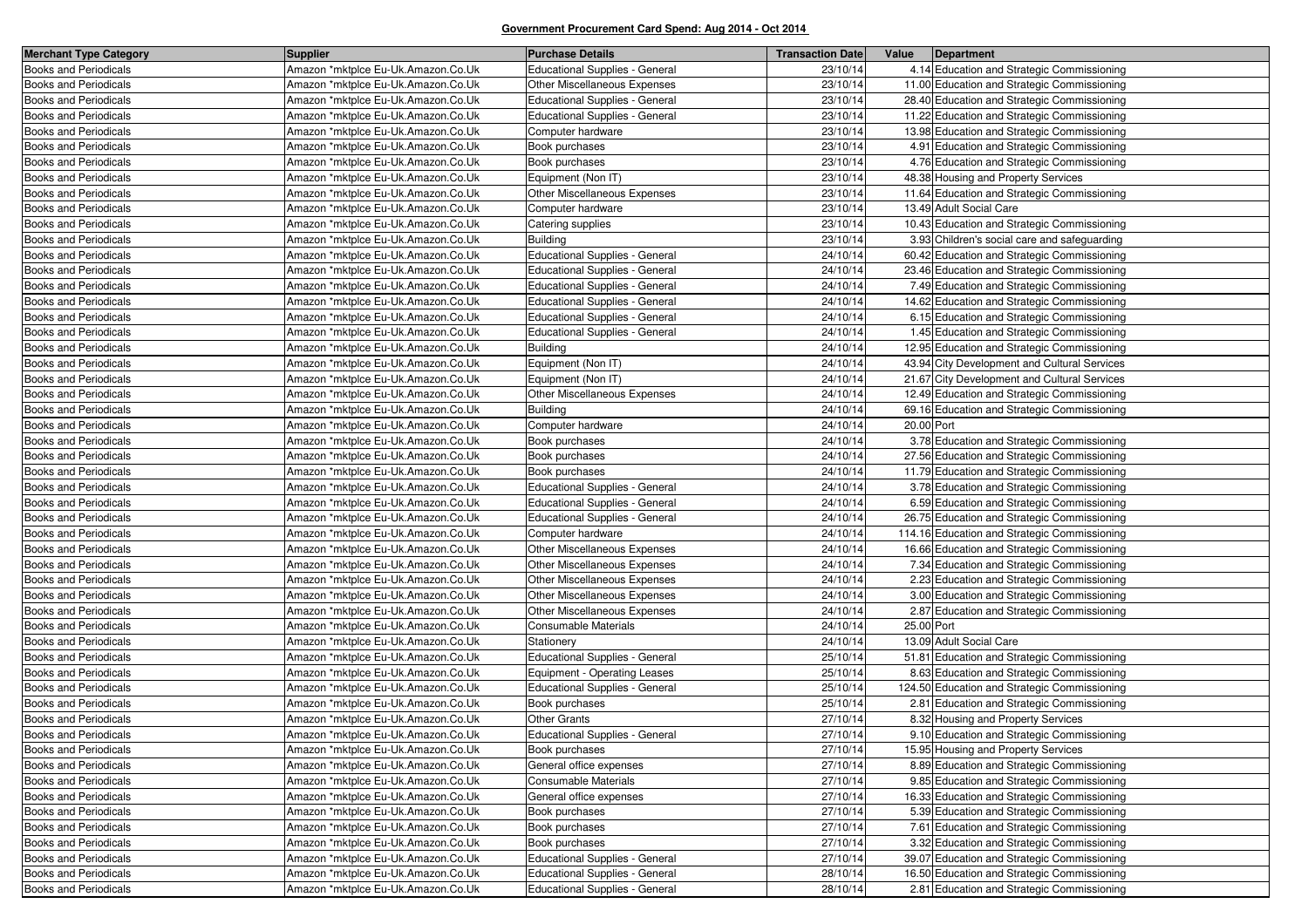| <b>Merchant Type Category</b> | <b>Supplier</b>                    | <b>Purchase Details</b>               | <b>Transaction Date</b> | Value<br>Department                          |
|-------------------------------|------------------------------------|---------------------------------------|-------------------------|----------------------------------------------|
| <b>Books and Periodicals</b>  | Amazon *mktplce Eu-Uk.Amazon.Co.Uk | Educational Supplies - General        | 23/10/14                | 4.14 Education and Strategic Commissioning   |
| <b>Books and Periodicals</b>  | Amazon *mktplce Eu-Uk.Amazon.Co.Uk | Other Miscellaneous Expenses          | 23/10/14                | 11.00 Education and Strategic Commissioning  |
| <b>Books and Periodicals</b>  | Amazon *mktplce Eu-Uk.Amazon.Co.Uk | <b>Educational Supplies - General</b> | 23/10/14                | 28.40 Education and Strategic Commissioning  |
| <b>Books and Periodicals</b>  | Amazon *mktplce Eu-Uk.Amazon.Co.Uk | Educational Supplies - General        | 23/10/14                | 11.22 Education and Strategic Commissioning  |
| <b>Books and Periodicals</b>  | Amazon *mktplce Eu-Uk.Amazon.Co.Uk | Computer hardware                     | 23/10/14                | 13.98 Education and Strategic Commissioning  |
| <b>Books and Periodicals</b>  | Amazon *mktplce Eu-Uk.Amazon.Co.Uk | Book purchases                        | 23/10/14                | 4.91 Education and Strategic Commissioning   |
| <b>Books and Periodicals</b>  | Amazon *mktplce Eu-Uk.Amazon.Co.Uk | Book purchases                        | 23/10/14                | 4.76 Education and Strategic Commissioning   |
| <b>Books and Periodicals</b>  | Amazon *mktplce Eu-Uk.Amazon.Co.Uk | Equipment (Non IT)                    | 23/10/14                | 48.38 Housing and Property Services          |
| <b>Books and Periodicals</b>  | Amazon *mktplce Eu-Uk.Amazon.Co.Uk | Other Miscellaneous Expenses          | 23/10/14                | 11.64 Education and Strategic Commissioning  |
| <b>Books and Periodicals</b>  | Amazon *mktplce Eu-Uk.Amazon.Co.Uk | Computer hardware                     | 23/10/14                | 13.49 Adult Social Care                      |
| <b>Books and Periodicals</b>  | Amazon *mktplce Eu-Uk.Amazon.Co.Uk | Catering supplies                     | 23/10/14                | 10.43 Education and Strategic Commissioning  |
| <b>Books and Periodicals</b>  | Amazon *mktplce Eu-Uk.Amazon.Co.Uk | <b>Building</b>                       | 23/10/14                | 3.93 Children's social care and safeguarding |
| <b>Books and Periodicals</b>  | Amazon *mktplce Eu-Uk.Amazon.Co.Uk | Educational Supplies - General        | 24/10/14                | 60.42 Education and Strategic Commissioning  |
| <b>Books and Periodicals</b>  | Amazon *mktplce Eu-Uk.Amazon.Co.Uk | Educational Supplies - General        | 24/10/14                | 23.46 Education and Strategic Commissioning  |
| <b>Books and Periodicals</b>  | Amazon *mktplce Eu-Uk.Amazon.Co.Uk | <b>Educational Supplies - General</b> | 24/10/14                | 7.49 Education and Strategic Commissioning   |
| <b>Books and Periodicals</b>  | Amazon *mktplce Eu-Uk.Amazon.Co.Uk | Educational Supplies - General        | 24/10/14                | 14.62 Education and Strategic Commissioning  |
| <b>Books and Periodicals</b>  | Amazon *mktplce Eu-Uk.Amazon.Co.Uk | <b>Educational Supplies - General</b> | 24/10/14                | 6.15 Education and Strategic Commissioning   |
| <b>Books and Periodicals</b>  | Amazon *mktplce Eu-Uk.Amazon.Co.Uk | Educational Supplies - General        | 24/10/14                | 1.45 Education and Strategic Commissioning   |
| <b>Books and Periodicals</b>  | Amazon *mktplce Eu-Uk.Amazon.Co.Uk | <b>Building</b>                       | 24/10/14                | 12.95 Education and Strategic Commissioning  |
| <b>Books and Periodicals</b>  | Amazon *mktplce Eu-Uk.Amazon.Co.Uk | Equipment (Non IT)                    | 24/10/14                | 43.94 City Development and Cultural Services |
| <b>Books and Periodicals</b>  | Amazon *mktplce Eu-Uk.Amazon.Co.Uk | Equipment (Non IT)                    | 24/10/14                | 21.67 City Development and Cultural Services |
| <b>Books and Periodicals</b>  | Amazon *mktplce Eu-Uk.Amazon.Co.Uk | Other Miscellaneous Expenses          | 24/10/14                | 12.49 Education and Strategic Commissioning  |
| <b>Books and Periodicals</b>  | Amazon *mktplce Eu-Uk.Amazon.Co.Uk | <b>Building</b>                       | 24/10/14                | 69.16 Education and Strategic Commissioning  |
| <b>Books and Periodicals</b>  | Amazon *mktplce Eu-Uk.Amazon.Co.Uk | Computer hardware                     | 24/10/14                | 20.00 Port                                   |
| <b>Books and Periodicals</b>  | Amazon *mktplce Eu-Uk.Amazon.Co.Uk | Book purchases                        | 24/10/14                | 3.78 Education and Strategic Commissioning   |
| Books and Periodicals         | Amazon *mktplce Eu-Uk.Amazon.Co.Uk | Book purchases                        | 24/10/14                | 27.56 Education and Strategic Commissioning  |
| <b>Books and Periodicals</b>  | Amazon *mktplce Eu-Uk.Amazon.Co.Uk | Book purchases                        | 24/10/14                | 11.79 Education and Strategic Commissioning  |
| <b>Books and Periodicals</b>  | Amazon *mktplce Eu-Uk.Amazon.Co.Uk | Educational Supplies - General        | 24/10/14                | 3.78 Education and Strategic Commissioning   |
| <b>Books and Periodicals</b>  | Amazon *mktplce Eu-Uk.Amazon.Co.Uk | Educational Supplies - General        | 24/10/14                | 6.59 Education and Strategic Commissioning   |
| <b>Books and Periodicals</b>  | Amazon *mktplce Eu-Uk.Amazon.Co.Uk | Educational Supplies - General        | 24/10/14                | 26.75 Education and Strategic Commissioning  |
| <b>Books and Periodicals</b>  | Amazon *mktplce Eu-Uk.Amazon.Co.Uk | Computer hardware                     | 24/10/14                | 114.16 Education and Strategic Commissioning |
| Books and Periodicals         | Amazon *mktplce Eu-Uk.Amazon.Co.Uk | Other Miscellaneous Expenses          | 24/10/14                | 16.66 Education and Strategic Commissioning  |
| <b>Books and Periodicals</b>  | Amazon *mktplce Eu-Uk.Amazon.Co.Uk | Other Miscellaneous Expenses          | 24/10/14                | 7.34 Education and Strategic Commissioning   |
| Books and Periodicals         | Amazon *mktplce Eu-Uk.Amazon.Co.Uk | Other Miscellaneous Expenses          | 24/10/14                | 2.23 Education and Strategic Commissioning   |
| <b>Books and Periodicals</b>  | Amazon *mktplce Eu-Uk.Amazon.Co.Uk | Other Miscellaneous Expenses          | 24/10/14                | 3.00 Education and Strategic Commissioning   |
| <b>Books and Periodicals</b>  | Amazon *mktplce Eu-Uk.Amazon.Co.Uk | Other Miscellaneous Expenses          | 24/10/14                | 2.87 Education and Strategic Commissioning   |
| <b>Books and Periodicals</b>  | Amazon *mktplce Eu-Uk.Amazon.Co.Uk | Consumable Materials                  | 24/10/14                | 25.00 Port                                   |
| Books and Periodicals         | Amazon *mktplce Eu-Uk.Amazon.Co.Uk | Stationery                            | 24/10/14                | 13.09 Adult Social Care                      |
| <b>Books and Periodicals</b>  | Amazon *mktplce Eu-Uk.Amazon.Co.Uk | Educational Supplies - General        | 25/10/14                | 51.81 Education and Strategic Commissioning  |
| <b>Books and Periodicals</b>  | Amazon *mktplce Eu-Uk.Amazon.Co.Uk | Equipment - Operating Leases          | 25/10/14                | 8.63 Education and Strategic Commissioning   |
| <b>Books and Periodicals</b>  | Amazon *mktplce Eu-Uk.Amazon.Co.Uk | <b>Educational Supplies - General</b> | 25/10/14                | 124.50 Education and Strategic Commissioning |
| <b>Books and Periodicals</b>  | Amazon *mktplce Eu-Uk.Amazon.Co.Uk | Book purchases                        | 25/10/14                | 2.81 Education and Strategic Commissioning   |
| <b>Books and Periodicals</b>  | Amazon *mktplce Eu-Uk.Amazon.Co.Uk | <b>Other Grants</b>                   | 27/10/14                | 8.32 Housing and Property Services           |
| <b>Books and Periodicals</b>  | Amazon *mktplce Eu-Uk.Amazon.Co.Uk | Educational Supplies - General        | 27/10/14                | 9.10 Education and Strategic Commissioning   |
| <b>Books and Periodicals</b>  | Amazon *mktplce Eu-Uk.Amazon.Co.Uk | Book purchases                        | 27/10/14                | 15.95 Housing and Property Services          |
| <b>Books and Periodicals</b>  | Amazon *mktplce Eu-Uk.Amazon.Co.Uk | General office expenses               | 27/10/14                | 8.89 Education and Strategic Commissioning   |
| <b>Books and Periodicals</b>  | Amazon *mktplce Eu-Uk.Amazon.Co.Uk | Consumable Materials                  | 27/10/14                | 9.85 Education and Strategic Commissioning   |
| <b>Books and Periodicals</b>  | Amazon *mktplce Eu-Uk.Amazon.Co.Uk | General office expenses               | 27/10/14                | 16.33 Education and Strategic Commissioning  |
| <b>Books and Periodicals</b>  | Amazon *mktplce Eu-Uk.Amazon.Co.Uk | Book purchases                        | 27/10/14                | 5.39 Education and Strategic Commissioning   |
| Books and Periodicals         | Amazon *mktplce Eu-Uk.Amazon.Co.Uk | Book purchases                        | 27/10/14                | 7.61 Education and Strategic Commissioning   |
| <b>Books and Periodicals</b>  | Amazon *mktplce Eu-Uk.Amazon.Co.Uk | Book purchases                        | 27/10/14                | 3.32 Education and Strategic Commissioning   |
| <b>Books and Periodicals</b>  | Amazon *mktplce Eu-Uk.Amazon.Co.Uk | Educational Supplies - General        | 27/10/14                | 39.07 Education and Strategic Commissioning  |
| <b>Books and Periodicals</b>  | Amazon *mktplce Eu-Uk.Amazon.Co.Uk | Educational Supplies - General        | 28/10/14                | 16.50 Education and Strategic Commissioning  |
| <b>Books and Periodicals</b>  | Amazon *mktplce Eu-Uk.Amazon.Co.Uk | Educational Supplies - General        | 28/10/14                | 2.81 Education and Strategic Commissioning   |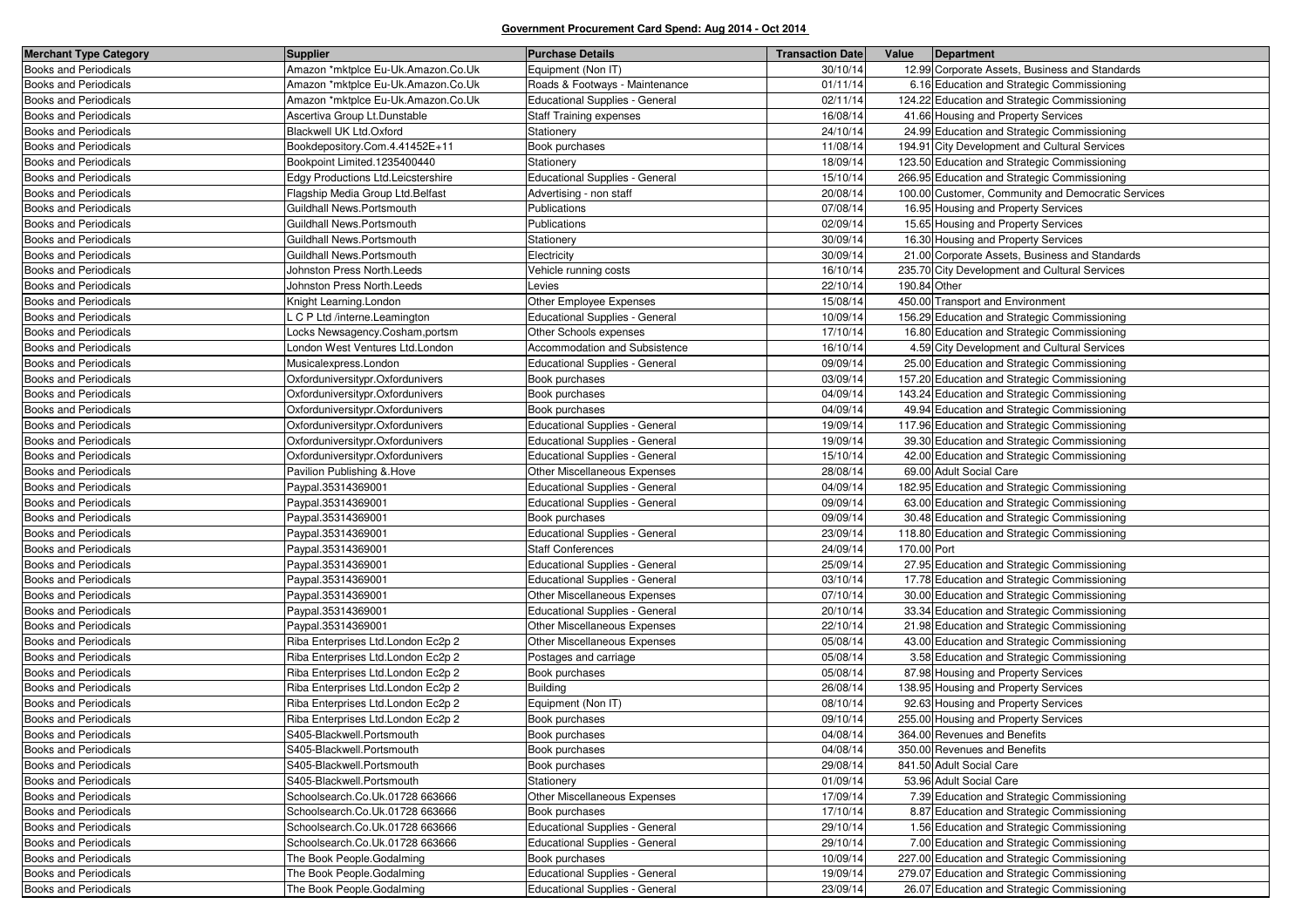| <b>Merchant Type Category</b> | <b>Supplier</b>                    | <b>Purchase Details</b>               | <b>Transaction Date</b> | Value<br>Department                                |
|-------------------------------|------------------------------------|---------------------------------------|-------------------------|----------------------------------------------------|
| <b>Books and Periodicals</b>  | Amazon *mktplce Eu-Uk.Amazon.Co.Uk | Equipment (Non IT)                    | 30/10/14                | 12.99 Corporate Assets, Business and Standards     |
| <b>Books and Periodicals</b>  | Amazon *mktplce Eu-Uk.Amazon.Co.Uk | Roads & Footways - Maintenance        | 01/11/14                | 6.16 Education and Strategic Commissioning         |
| <b>Books and Periodicals</b>  | Amazon *mktplce Eu-Uk.Amazon.Co.Uk | <b>Educational Supplies - General</b> | 02/11/14                | 124.22 Education and Strategic Commissioning       |
| <b>Books and Periodicals</b>  | Ascertiva Group Lt.Dunstable       | <b>Staff Training expenses</b>        | 16/08/14                | 41.66 Housing and Property Services                |
| <b>Books and Periodicals</b>  | Blackwell UK Ltd.Oxford            | Stationery                            | 24/10/14                | 24.99 Education and Strategic Commissioning        |
| <b>Books and Periodicals</b>  | Bookdepository.Com.4.41452E+11     | Book purchases                        | 11/08/14                | 194.91 City Development and Cultural Services      |
| <b>Books and Periodicals</b>  | Bookpoint Limited.1235400440       | Stationery                            | 18/09/14                | 123.50 Education and Strategic Commissioning       |
| <b>Books and Periodicals</b>  | Edgy Productions Ltd.Leicstershire | <b>Educational Supplies - General</b> | 15/10/14                | 266.95 Education and Strategic Commissioning       |
| <b>Books and Periodicals</b>  | Flagship Media Group Ltd.Belfast   | Advertising - non staff               | 20/08/14                | 100.00 Customer, Community and Democratic Services |
| <b>Books and Periodicals</b>  | Guildhall News.Portsmouth          | Publications                          | 07/08/14                | 16.95 Housing and Property Services                |
| <b>Books and Periodicals</b>  | Guildhall News.Portsmouth          | Publications                          | 02/09/14                | 15.65 Housing and Property Services                |
| Books and Periodicals         | Guildhall News.Portsmouth          | Stationery                            | 30/09/14                | 16.30 Housing and Property Services                |
| <b>Books and Periodicals</b>  | Guildhall News.Portsmouth          | Electricity                           | 30/09/14                | 21.00 Corporate Assets, Business and Standards     |
| <b>Books and Periodicals</b>  | Johnston Press North. Leeds        | Vehicle running costs                 | 16/10/14                | 235.70 City Development and Cultural Services      |
| <b>Books and Periodicals</b>  | Johnston Press North.Leeds         | Levies                                | 22/10/14                | 190.84 Other                                       |
| <b>Books and Periodicals</b>  | Knight Learning.London             | Other Employee Expenses               | 15/08/14                | 450.00 Transport and Environment                   |
| <b>Books and Periodicals</b>  | L C P Ltd /interne.Leamington      | <b>Educational Supplies - General</b> | 10/09/14                | 156.29 Education and Strategic Commissioning       |
| <b>Books and Periodicals</b>  | Locks Newsagency.Cosham,portsm     | Other Schools expenses                | 17/10/14                | 16.80 Education and Strategic Commissioning        |
| <b>Books and Periodicals</b>  | London West Ventures Ltd.London    | Accommodation and Subsistence         | 16/10/14                | 4.59 City Development and Cultural Services        |
| <b>Books and Periodicals</b>  | Musicalexpress.London              | <b>Educational Supplies - General</b> | 09/09/14                | 25.00 Education and Strategic Commissioning        |
| <b>Books and Periodicals</b>  | Oxforduniversitypr.Oxfordunivers   | Book purchases                        | 03/09/14                | 157.20 Education and Strategic Commissioning       |
| <b>Books and Periodicals</b>  | Oxforduniversitypr.Oxfordunivers   | Book purchases                        | 04/09/14                | 143.24 Education and Strategic Commissioning       |
| <b>Books and Periodicals</b>  | Oxforduniversitypr.Oxfordunivers   | Book purchases                        | 04/09/14                | 49.94 Education and Strategic Commissioning        |
| <b>Books and Periodicals</b>  | Oxforduniversitypr.Oxfordunivers   | <b>Educational Supplies - General</b> | 19/09/14                | 117.96 Education and Strategic Commissioning       |
| <b>Books and Periodicals</b>  | Oxforduniversitypr.Oxfordunivers   | <b>Educational Supplies - General</b> | 19/09/14                | 39.30 Education and Strategic Commissioning        |
| <b>Books and Periodicals</b>  | Oxforduniversitypr.Oxfordunivers   | Educational Supplies - General        | 15/10/14                | 42.00 Education and Strategic Commissioning        |
| <b>Books and Periodicals</b>  | Pavilion Publishing & Hove         | Other Miscellaneous Expenses          | 28/08/14                | 69.00 Adult Social Care                            |
| <b>Books and Periodicals</b>  | Paypal.35314369001                 | <b>Educational Supplies - General</b> | 04/09/14                | 182.95 Education and Strategic Commissioning       |
| <b>Books and Periodicals</b>  | Paypal.35314369001                 | <b>Educational Supplies - General</b> | 09/09/14                | 63.00 Education and Strategic Commissioning        |
| <b>Books and Periodicals</b>  | Paypal.35314369001                 | Book purchases                        | 09/09/14                | 30.48 Education and Strategic Commissioning        |
| <b>Books and Periodicals</b>  | Paypal.35314369001                 | <b>Educational Supplies - General</b> | 23/09/14                | 118.80 Education and Strategic Commissioning       |
| <b>Books and Periodicals</b>  | Paypal.35314369001                 | <b>Staff Conferences</b>              | 24/09/14                | 170.00 Port                                        |
| <b>Books and Periodicals</b>  | Paypal.35314369001                 | <b>Educational Supplies - General</b> | 25/09/14                | 27.95 Education and Strategic Commissioning        |
| <b>Books and Periodicals</b>  | Paypal.35314369001                 | <b>Educational Supplies - General</b> | 03/10/14                | 17.78 Education and Strategic Commissioning        |
| <b>Books and Periodicals</b>  | Paypal.35314369001                 | Other Miscellaneous Expenses          | 07/10/14                | 30.00 Education and Strategic Commissioning        |
| Books and Periodicals         | Paypal.35314369001                 | <b>Educational Supplies - General</b> | 20/10/14                | 33.34 Education and Strategic Commissioning        |
| <b>Books and Periodicals</b>  | Paypal.35314369001                 | Other Miscellaneous Expenses          | 22/10/14                | 21.98 Education and Strategic Commissioning        |
| <b>Books and Periodicals</b>  | Riba Enterprises Ltd.London Ec2p 2 | Other Miscellaneous Expenses          | 05/08/14                | 43.00 Education and Strategic Commissioning        |
| <b>Books and Periodicals</b>  | Riba Enterprises Ltd.London Ec2p 2 | Postages and carriage                 | 05/08/14                | 3.58 Education and Strategic Commissioning         |
| Books and Periodicals         | Riba Enterprises Ltd.London Ec2p 2 | Book purchases                        | 05/08/14                | 87.98 Housing and Property Services                |
| <b>Books and Periodicals</b>  | Riba Enterprises Ltd.London Ec2p 2 | <b>Building</b>                       | 26/08/14                | 138.95 Housing and Property Services               |
| <b>Books and Periodicals</b>  | Riba Enterprises Ltd.London Ec2p 2 | Equipment (Non IT)                    | 08/10/14                | 92.63 Housing and Property Services                |
| <b>Books and Periodicals</b>  | Riba Enterprises Ltd.London Ec2p 2 | Book purchases                        | 09/10/14                | 255.00 Housing and Property Services               |
| <b>Books and Periodicals</b>  | S405-Blackwell.Portsmouth          | Book purchases                        | 04/08/14                | 364.00 Revenues and Benefits                       |
| <b>Books and Periodicals</b>  | S405-Blackwell.Portsmouth          | Book purchases                        | 04/08/14                | 350.00 Revenues and Benefits                       |
| <b>Books and Periodicals</b>  | S405-Blackwell.Portsmouth          | Book purchases                        | 29/08/14                | 841.50 Adult Social Care                           |
| <b>Books and Periodicals</b>  | S405-Blackwell.Portsmouth          | Stationery                            | 01/09/14                | 53.96 Adult Social Care                            |
| <b>Books and Periodicals</b>  | Schoolsearch.Co.Uk.01728 663666    | Other Miscellaneous Expenses          | 17/09/14                | 7.39 Education and Strategic Commissioning         |
| <b>Books and Periodicals</b>  | Schoolsearch.Co.Uk.01728 663666    | Book purchases                        | 17/10/14                | 8.87 Education and Strategic Commissioning         |
| <b>Books and Periodicals</b>  | Schoolsearch.Co.Uk.01728 663666    | <b>Educational Supplies - General</b> | 29/10/14                | 1.56 Education and Strategic Commissioning         |
| <b>Books and Periodicals</b>  | Schoolsearch.Co.Uk.01728 663666    | <b>Educational Supplies - General</b> | 29/10/14                | 7.00 Education and Strategic Commissioning         |
| <b>Books and Periodicals</b>  | The Book People.Godalming          | Book purchases                        | 10/09/14                | 227.00 Education and Strategic Commissioning       |
| <b>Books and Periodicals</b>  | The Book People.Godalming          | Educational Supplies - General        | 19/09/14                | 279.07 Education and Strategic Commissioning       |
| <b>Books and Periodicals</b>  | The Book People.Godalming          | Educational Supplies - General        | 23/09/14                | 26.07 Education and Strategic Commissioning        |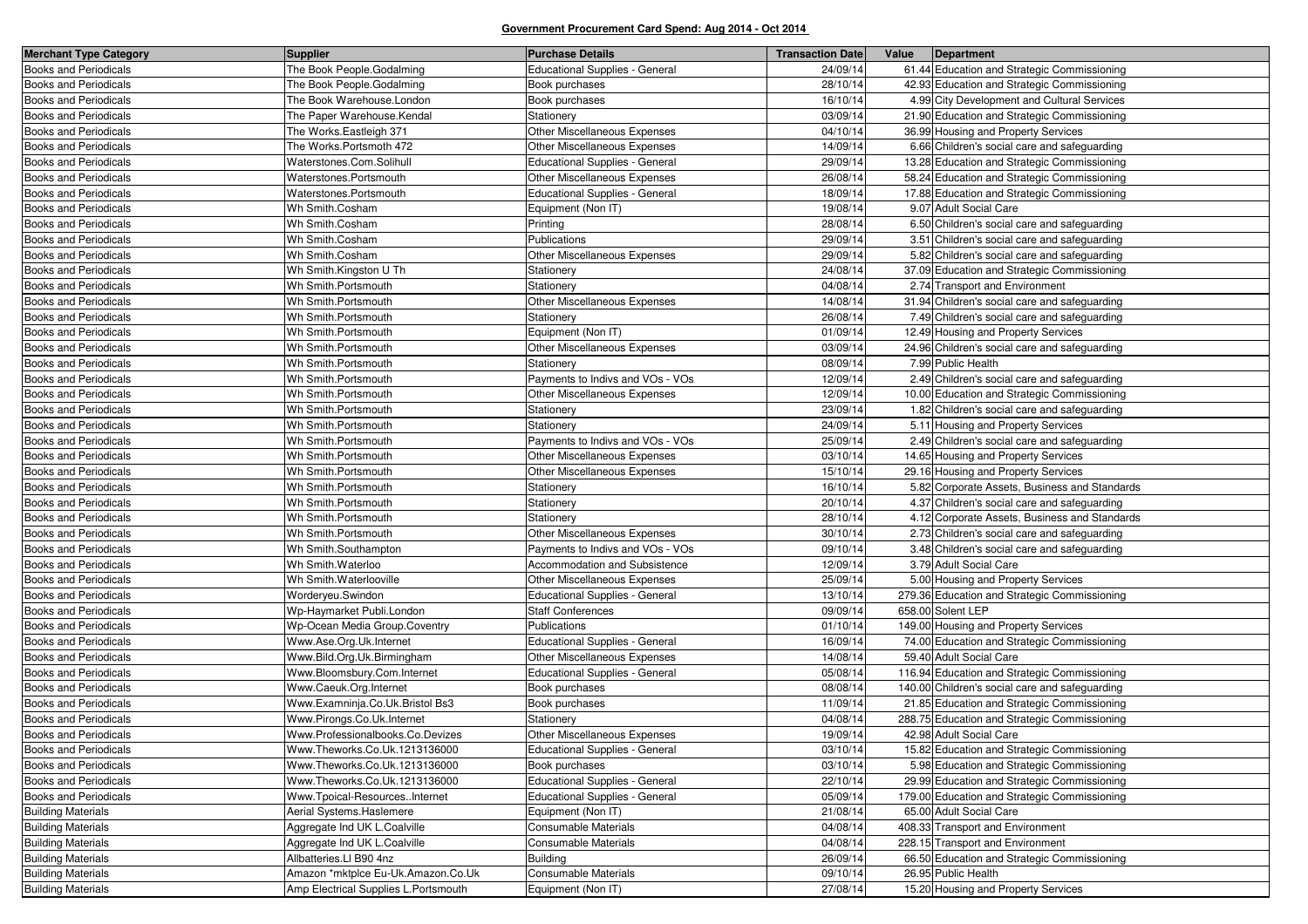| <b>Merchant Type Category</b> | <b>Supplier</b>                       | <b>Purchase Details</b>               | <b>Transaction Date</b> | Value | Department                                     |
|-------------------------------|---------------------------------------|---------------------------------------|-------------------------|-------|------------------------------------------------|
| <b>Books and Periodicals</b>  | The Book People.Godalming             | <b>Educational Supplies - General</b> | 24/09/14                |       | 61.44 Education and Strategic Commissioning    |
| <b>Books and Periodicals</b>  | The Book People.Godalming             | Book purchases                        | 28/10/14                |       | 42.93 Education and Strategic Commissioning    |
| <b>Books and Periodicals</b>  | The Book Warehouse.London             | Book purchases                        | 16/10/14                |       | 4.99 City Development and Cultural Services    |
| <b>Books and Periodicals</b>  | The Paper Warehouse.Kendal            | Stationery                            | 03/09/14                |       | 21.90 Education and Strategic Commissioning    |
| <b>Books and Periodicals</b>  | The Works.Eastleigh 371               | Other Miscellaneous Expenses          | 04/10/14                |       | 36.99 Housing and Property Services            |
| <b>Books and Periodicals</b>  | The Works.Portsmoth 472               | Other Miscellaneous Expenses          | 14/09/14                |       | 6.66 Children's social care and safeguarding   |
| <b>Books and Periodicals</b>  | Waterstones.Com.Solihull              | <b>Educational Supplies - General</b> | 29/09/14                |       | 13.28 Education and Strategic Commissioning    |
| <b>Books and Periodicals</b>  | Waterstones.Portsmouth                | Other Miscellaneous Expenses          | 26/08/14                |       | 58.24 Education and Strategic Commissioning    |
| <b>Books and Periodicals</b>  | Waterstones.Portsmouth                | Educational Supplies - General        | 18/09/14                |       | 17.88 Education and Strategic Commissioning    |
| <b>Books and Periodicals</b>  | Wh Smith.Cosham                       | Equipment (Non IT)                    | 19/08/14                |       | 9.07 Adult Social Care                         |
| Books and Periodicals         | Wh Smith.Cosham                       | Printing                              | 28/08/14                |       | 6.50 Children's social care and safeguarding   |
| <b>Books and Periodicals</b>  | Wh Smith.Cosham                       | Publications                          | 29/09/14                |       | 3.51 Children's social care and safeguarding   |
| <b>Books and Periodicals</b>  | Wh Smith.Cosham                       | <b>Other Miscellaneous Expenses</b>   | 29/09/14                |       | 5.82 Children's social care and safeguarding   |
| Books and Periodicals         | Wh Smith.Kingston U Th                | Stationery                            | 24/08/14                |       | 37.09 Education and Strategic Commissioning    |
| <b>Books and Periodicals</b>  | Wh Smith.Portsmouth                   | Stationery                            | 04/08/14                |       | 2.74 Transport and Environment                 |
| <b>Books and Periodicals</b>  | Wh Smith.Portsmouth                   | Other Miscellaneous Expenses          | 14/08/14                |       | 31.94 Children's social care and safeguarding  |
| <b>Books and Periodicals</b>  | Wh Smith.Portsmouth                   | Stationery                            | 26/08/14                |       | 7.49 Children's social care and safeguarding   |
| <b>Books and Periodicals</b>  | Wh Smith.Portsmouth                   | Equipment (Non IT)                    | 01/09/14                |       | 12.49 Housing and Property Services            |
| <b>Books and Periodicals</b>  | Wh Smith.Portsmouth                   | Other Miscellaneous Expenses          | 03/09/14                |       | 24.96 Children's social care and safeguarding  |
| <b>Books and Periodicals</b>  | Wh Smith.Portsmouth                   | Stationery                            | 08/09/14                |       | 7.99 Public Health                             |
| Books and Periodicals         | Wh Smith.Portsmouth                   | Payments to Indivs and VOs - VOs      | 12/09/14                |       | 2.49 Children's social care and safeguarding   |
| <b>Books and Periodicals</b>  | Wh Smith.Portsmouth                   | Other Miscellaneous Expenses          | 12/09/14                |       | 10.00 Education and Strategic Commissioning    |
| <b>Books and Periodicals</b>  | Wh Smith.Portsmouth                   | Stationery                            | 23/09/14                |       | 1.82 Children's social care and safeguarding   |
| <b>Books and Periodicals</b>  | Wh Smith.Portsmouth                   | Stationery                            | 24/09/14                |       | 5.11 Housing and Property Services             |
| <b>Books and Periodicals</b>  | Wh Smith.Portsmouth                   | Payments to Indivs and VOs - VOs      | 25/09/14                |       | 2.49 Children's social care and safeguarding   |
| <b>Books and Periodicals</b>  | Wh Smith.Portsmouth                   | Other Miscellaneous Expenses          | 03/10/14                |       | 14.65 Housing and Property Services            |
| <b>Books and Periodicals</b>  | Wh Smith.Portsmouth                   | Other Miscellaneous Expenses          | 15/10/14                |       | 29.16 Housing and Property Services            |
| <b>Books and Periodicals</b>  | Wh Smith.Portsmouth                   | Stationery                            | 16/10/14                |       | 5.82 Corporate Assets, Business and Standards  |
| <b>Books and Periodicals</b>  | Wh Smith.Portsmouth                   | Stationery                            | 20/10/14                |       | 4.37 Children's social care and safeguarding   |
| <b>Books and Periodicals</b>  | Wh Smith.Portsmouth                   | Stationery                            | 28/10/14                |       | 4.12 Corporate Assets, Business and Standards  |
| <b>Books and Periodicals</b>  | Wh Smith.Portsmouth                   | Other Miscellaneous Expenses          | 30/10/14                |       | 2.73 Children's social care and safeguarding   |
| <b>Books and Periodicals</b>  | Wh Smith.Southampton                  | Payments to Indivs and VOs - VOs      | 09/10/14                |       | 3.48 Children's social care and safeguarding   |
| <b>Books and Periodicals</b>  | Wh Smith. Waterloo                    | Accommodation and Subsistence         | 12/09/14                |       | 3.79 Adult Social Care                         |
| <b>Books and Periodicals</b>  | Wh Smith Waterlooville                | Other Miscellaneous Expenses          | 25/09/14                |       | 5.00 Housing and Property Services             |
| Books and Periodicals         | Worderyeu.Swindon                     | <b>Educational Supplies - General</b> | 13/10/14                |       | 279.36 Education and Strategic Commissioning   |
| <b>Books and Periodicals</b>  | Wp-Haymarket Publi.London             | <b>Staff Conferences</b>              | 09/09/14                |       | 658.00 Solent LEP                              |
| <b>Books and Periodicals</b>  | Wp-Ocean Media Group.Coventry         | Publications                          | 01/10/14                |       | 149.00 Housing and Property Services           |
| <b>Books and Periodicals</b>  | Www.Ase.Org.Uk.Internet               | <b>Educational Supplies - General</b> | 16/09/14                |       | 74.00 Education and Strategic Commissioning    |
| <b>Books and Periodicals</b>  | Www.Bild.Org.Uk.Birmingham            | Other Miscellaneous Expenses          | 14/08/14                |       | 59.40 Adult Social Care                        |
| <b>Books and Periodicals</b>  | Www.Bloomsbury.Com.Internet           | Educational Supplies - General        | 05/08/14                |       | 116.94 Education and Strategic Commissioning   |
| <b>Books and Periodicals</b>  | Www.Caeuk.Org.Internet                | Book purchases                        | 08/08/14                |       | 140.00 Children's social care and safeguarding |
| <b>Books and Periodicals</b>  | Www.Examninja.Co.Uk.Bristol Bs3       | Book purchases                        | 11/09/14                |       | 21.85 Education and Strategic Commissioning    |
| <b>Books and Periodicals</b>  | Www.Pirongs.Co.Uk.Internet            | Stationery                            | 04/08/14                |       | 288.75 Education and Strategic Commissioning   |
| Books and Periodicals         | Www.Professionalbooks.Co.Devizes      | Other Miscellaneous Expenses          | 19/09/14                |       | 42.98 Adult Social Care                        |
| <b>Books and Periodicals</b>  | Www.Theworks.Co.Uk.1213136000         | <b>Educational Supplies - General</b> | 03/10/14                |       | 15.82 Education and Strategic Commissioning    |
| <b>Books and Periodicals</b>  | Www.Theworks.Co.Uk.1213136000         | Book purchases                        | 03/10/14                |       | 5.98 Education and Strategic Commissioning     |
| <b>Books and Periodicals</b>  | Www.Theworks.Co.Uk.1213136000         | <b>Educational Supplies - General</b> | 22/10/14                |       | 29.99 Education and Strategic Commissioning    |
| <b>Books and Periodicals</b>  | Www.Tpoical-ResourcesInternet         | <b>Educational Supplies - General</b> | 05/09/14                |       | 179.00 Education and Strategic Commissioning   |
| <b>Building Materials</b>     | Aerial Systems. Haslemere             | Equipment (Non IT)                    | 21/08/14                |       | 65.00 Adult Social Care                        |
| <b>Building Materials</b>     | Aggregate Ind UK L.Coalville          | Consumable Materials                  | 04/08/14                |       | 408.33 Transport and Environment               |
| <b>Building Materials</b>     | Aggregate Ind UK L.Coalville          | Consumable Materials                  | 04/08/14                |       | 228.15 Transport and Environment               |
| <b>Building Materials</b>     | Allbatteries.LI B90 4nz               | <b>Building</b>                       | 26/09/14                |       | 66.50 Education and Strategic Commissioning    |
| <b>Building Materials</b>     | Amazon *mktplce Eu-Uk.Amazon.Co.Uk    | Consumable Materials                  | 09/10/14                |       | 26.95 Public Health                            |
| <b>Building Materials</b>     | Amp Electrical Supplies L. Portsmouth | Equipment (Non IT)                    | 27/08/14                |       | 15.20 Housing and Property Services            |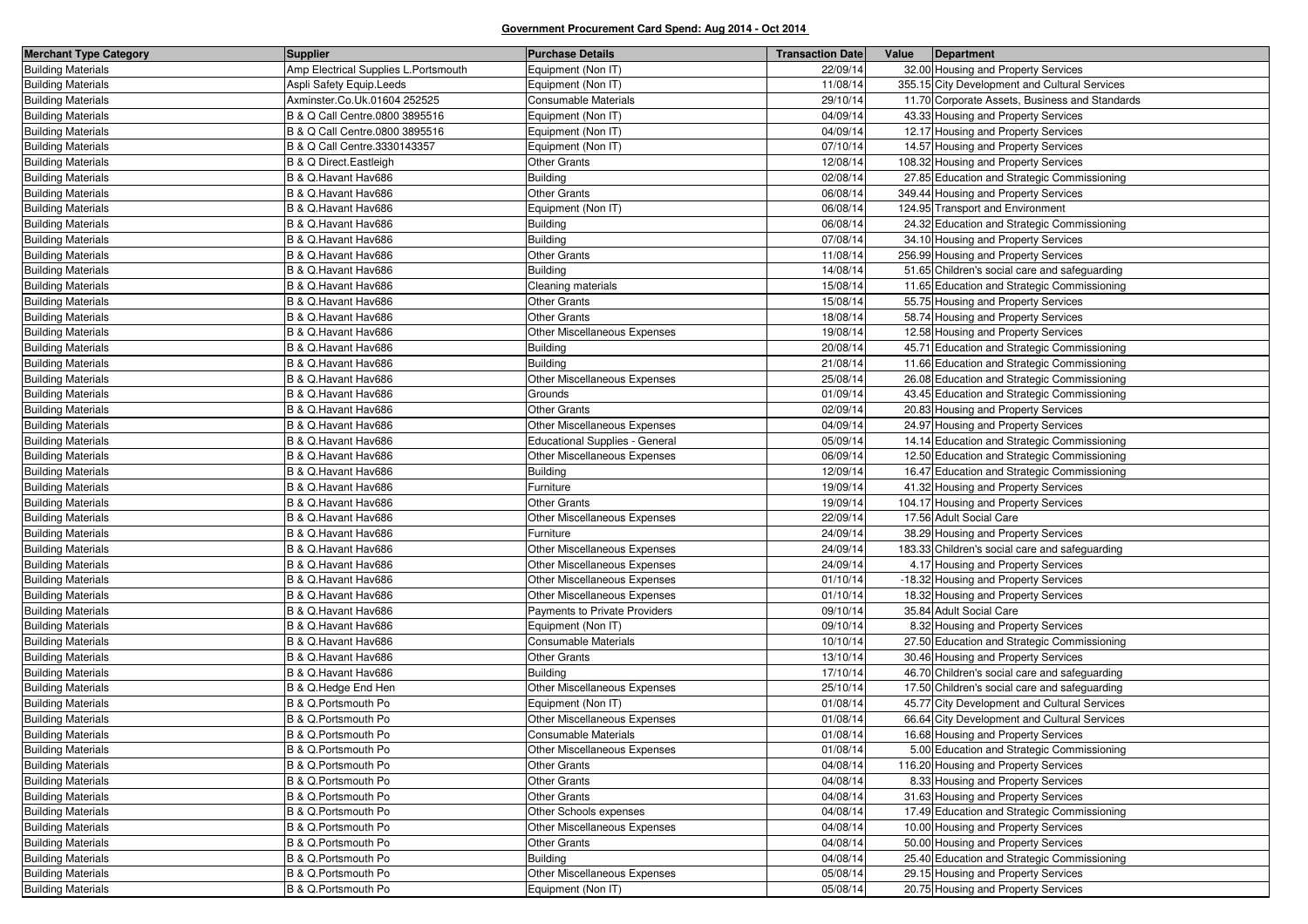| <b>Merchant Type Category</b> | <b>Supplier</b>                       | <b>Purchase Details</b>               | <b>Transaction Date</b> | Value | Department                                     |
|-------------------------------|---------------------------------------|---------------------------------------|-------------------------|-------|------------------------------------------------|
| <b>Building Materials</b>     | Amp Electrical Supplies L. Portsmouth | Equipment (Non IT)                    | 22/09/14                |       | 32.00 Housing and Property Services            |
| <b>Building Materials</b>     | Aspli Safety Equip.Leeds              | Equipment (Non IT)                    | 11/08/14                |       | 355.15 City Development and Cultural Services  |
| <b>Building Materials</b>     | Axminster.Co.Uk.01604 252525          | Consumable Materials                  | 29/10/14                |       | 11.70 Corporate Assets, Business and Standards |
| <b>Building Materials</b>     | B & Q Call Centre.0800 3895516        | Equipment (Non IT)                    | 04/09/14                |       | 43.33 Housing and Property Services            |
| <b>Building Materials</b>     | B & Q Call Centre.0800 3895516        | Equipment (Non IT)                    | 04/09/14                |       | 12.17 Housing and Property Services            |
| <b>Building Materials</b>     | B & Q Call Centre.3330143357          | Equipment (Non IT)                    | 07/10/14                |       | 14.57 Housing and Property Services            |
| <b>Building Materials</b>     | B & Q Direct. Eastleigh               | <b>Other Grants</b>                   | 12/08/14                |       | 108.32 Housing and Property Services           |
| <b>Building Materials</b>     | B & Q.Havant Hav686                   | <b>Building</b>                       | 02/08/14                |       | 27.85 Education and Strategic Commissioning    |
| <b>Building Materials</b>     | B & Q.Havant Hav686                   | <b>Other Grants</b>                   | 06/08/14                |       | 349.44 Housing and Property Services           |
| <b>Building Materials</b>     | B & Q.Havant Hav686                   | Equipment (Non IT)                    | 06/08/14                |       | 124.95 Transport and Environment               |
| <b>Building Materials</b>     | B & Q.Havant Hav686                   | <b>Building</b>                       | 06/08/14                |       | 24.32 Education and Strategic Commissioning    |
| <b>Building Materials</b>     | B & Q.Havant Hav686                   | <b>Building</b>                       | 07/08/14                |       | 34.10 Housing and Property Services            |
| <b>Building Materials</b>     | B & Q.Havant Hav686                   | <b>Other Grants</b>                   | 11/08/14                |       | 256.99 Housing and Property Services           |
| <b>Building Materials</b>     | B & Q.Havant Hav686                   | <b>Building</b>                       | 14/08/14                |       | 51.65 Children's social care and safeguarding  |
| <b>Building Materials</b>     | B & Q.Havant Hav686                   | Cleaning materials                    | 15/08/14                |       | 11.65 Education and Strategic Commissioning    |
| <b>Building Materials</b>     | B & Q.Havant Hav686                   | <b>Other Grants</b>                   | 15/08/14                |       | 55.75 Housing and Property Services            |
| <b>Building Materials</b>     | B & Q.Havant Hav686                   | <b>Other Grants</b>                   | 18/08/14                |       | 58.74 Housing and Property Services            |
| <b>Building Materials</b>     | B & Q.Havant Hav686                   | Other Miscellaneous Expenses          | 19/08/14                |       | 12.58 Housing and Property Services            |
| <b>Building Materials</b>     | B & Q.Havant Hav686                   | <b>Building</b>                       | 20/08/14                |       | 45.71 Education and Strategic Commissioning    |
| <b>Building Materials</b>     | B & Q.Havant Hav686                   | <b>Building</b>                       | 21/08/14                |       | 11.66 Education and Strategic Commissioning    |
| <b>Building Materials</b>     | B & Q.Havant Hav686                   | Other Miscellaneous Expenses          | 25/08/14                |       | 26.08 Education and Strategic Commissioning    |
| <b>Building Materials</b>     | B & Q.Havant Hav686                   | Grounds                               | 01/09/14                |       | 43.45 Education and Strategic Commissioning    |
| <b>Building Materials</b>     | B & Q.Havant Hav686                   | <b>Other Grants</b>                   | 02/09/14                |       | 20.83 Housing and Property Services            |
| <b>Building Materials</b>     | B & Q.Havant Hav686                   | Other Miscellaneous Expenses          | 04/09/14                |       | 24.97 Housing and Property Services            |
| <b>Building Materials</b>     | B & Q.Havant Hav686                   | <b>Educational Supplies - General</b> | 05/09/14                |       | 14.14 Education and Strategic Commissioning    |
| <b>Building Materials</b>     | B & Q.Havant Hav686                   | Other Miscellaneous Expenses          | 06/09/14                |       | 12.50 Education and Strategic Commissioning    |
| <b>Building Materials</b>     | B & Q.Havant Hav686                   | <b>Building</b>                       | 12/09/14                |       | 16.47 Education and Strategic Commissioning    |
| <b>Building Materials</b>     | B & Q.Havant Hav686                   | Furniture                             | 19/09/14                |       | 41.32 Housing and Property Services            |
| <b>Building Materials</b>     | B & Q.Havant Hav686                   | <b>Other Grants</b>                   | 19/09/14                |       | 104.17 Housing and Property Services           |
| <b>Building Materials</b>     | B & Q.Havant Hav686                   | Other Miscellaneous Expenses          | 22/09/14                |       | 17.56 Adult Social Care                        |
| <b>Building Materials</b>     | B & Q.Havant Hav686                   | Furniture                             | 24/09/14                |       | 38.29 Housing and Property Services            |
| <b>Building Materials</b>     | B & Q.Havant Hav686                   | Other Miscellaneous Expenses          | 24/09/14                |       | 183.33 Children's social care and safeguarding |
| <b>Building Materials</b>     | B & Q.Havant Hav686                   | Other Miscellaneous Expenses          | 24/09/14                |       | 4.17 Housing and Property Services             |
| <b>Building Materials</b>     | B & Q.Havant Hav686                   | Other Miscellaneous Expenses          | 01/10/14                |       | -18.32 Housing and Property Services           |
| <b>Building Materials</b>     | B & Q.Havant Hav686                   | Other Miscellaneous Expenses          | 01/10/14                |       | 18.32 Housing and Property Services            |
| <b>Building Materials</b>     | B & Q.Havant Hav686                   | Payments to Private Providers         | 09/10/14                |       | 35.84 Adult Social Care                        |
| <b>Building Materials</b>     | B & Q.Havant Hav686                   | Equipment (Non IT)                    | 09/10/14                |       | 8.32 Housing and Property Services             |
| <b>Building Materials</b>     | B & Q.Havant Hav686                   | Consumable Materials                  | 10/10/14                |       | 27.50 Education and Strategic Commissioning    |
| <b>Building Materials</b>     | B & Q.Havant Hav686                   | <b>Other Grants</b>                   | 13/10/14                |       | 30.46 Housing and Property Services            |
| <b>Building Materials</b>     | B & Q.Havant Hav686                   | <b>Building</b>                       | 17/10/14                |       | 46.70 Children's social care and safeguarding  |
| <b>Building Materials</b>     | B & Q.Hedge End Hen                   | Other Miscellaneous Expenses          | 25/10/14                |       | 17.50 Children's social care and safeguarding  |
| <b>Building Materials</b>     | B & Q.Portsmouth Po                   | Equipment (Non IT)                    | 01/08/14                |       | 45.77 City Development and Cultural Services   |
| <b>Building Materials</b>     | B & Q.Portsmouth Po                   | Other Miscellaneous Expenses          | 01/08/14                |       | 66.64 City Development and Cultural Services   |
| <b>Building Materials</b>     | B & Q.Portsmouth Po                   | <b>Consumable Materials</b>           | 01/08/14                |       | 16.68 Housing and Property Services            |
| <b>Building Materials</b>     | B & Q.Portsmouth Po                   | Other Miscellaneous Expenses          | 01/08/14                |       | 5.00 Education and Strategic Commissioning     |
| <b>Building Materials</b>     | B & Q.Portsmouth Po                   | <b>Other Grants</b>                   | 04/08/14                |       | 116.20 Housing and Property Services           |
| <b>Building Materials</b>     | B & Q.Portsmouth Po                   | <b>Other Grants</b>                   | 04/08/14                |       | 8.33 Housing and Property Services             |
| <b>Building Materials</b>     | B & Q.Portsmouth Po                   | <b>Other Grants</b>                   | 04/08/14                |       | 31.63 Housing and Property Services            |
| <b>Building Materials</b>     | B & Q.Portsmouth Po                   | Other Schools expenses                | 04/08/14                |       | 17.49 Education and Strategic Commissioning    |
| <b>Building Materials</b>     | B & Q.Portsmouth Po                   | Other Miscellaneous Expenses          | 04/08/14                |       | 10.00 Housing and Property Services            |
| <b>Building Materials</b>     | B & Q.Portsmouth Po                   | Other Grants                          | 04/08/14                |       | 50.00 Housing and Property Services            |
| <b>Building Materials</b>     | B & Q.Portsmouth Po                   | <b>Building</b>                       | 04/08/14                |       | 25.40 Education and Strategic Commissioning    |
| <b>Building Materials</b>     | B & Q.Portsmouth Po                   | Other Miscellaneous Expenses          | 05/08/14                |       | 29.15 Housing and Property Services            |
| <b>Building Materials</b>     | B & Q.Portsmouth Po                   | Equipment (Non IT)                    | 05/08/14                |       | 20.75 Housing and Property Services            |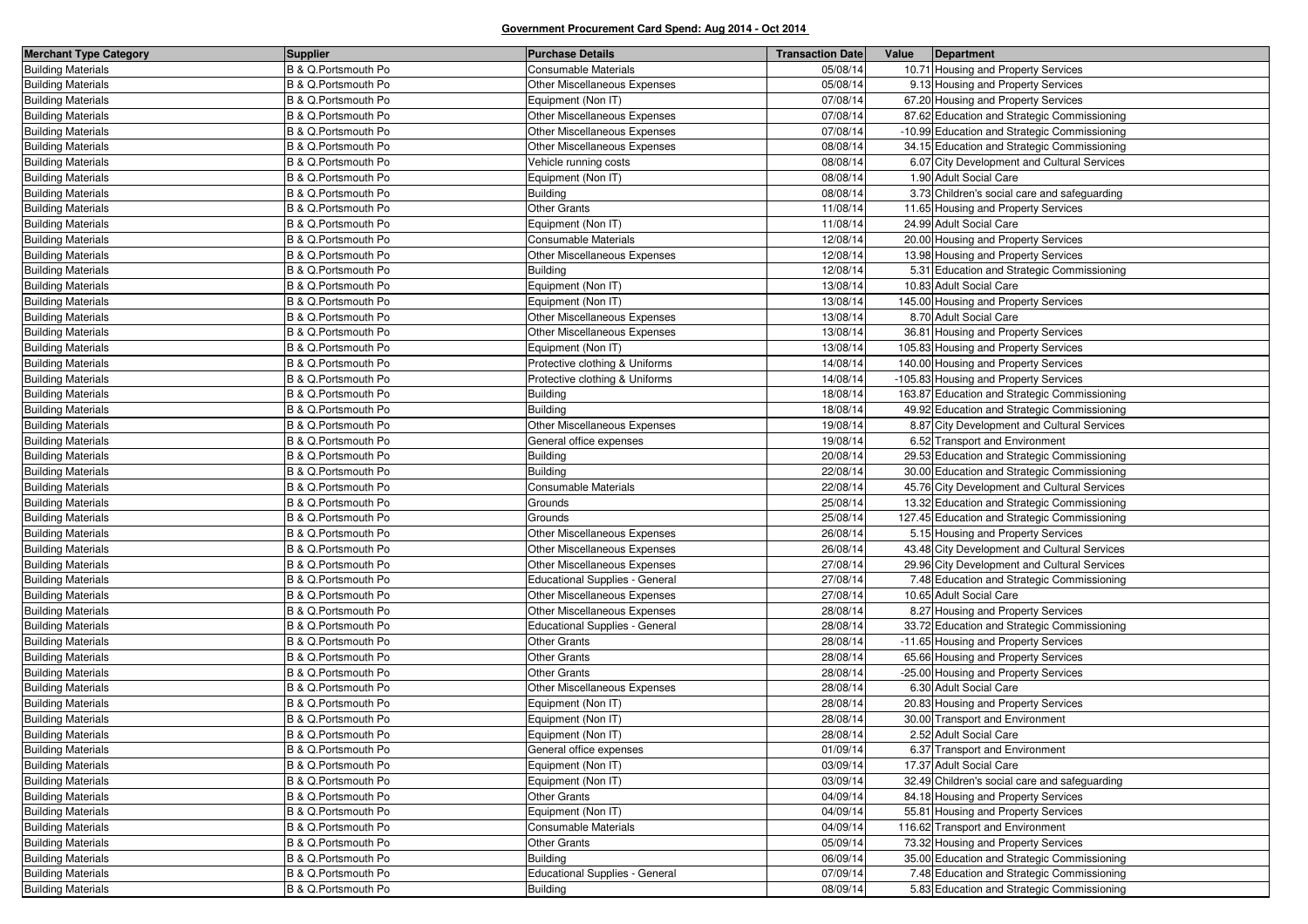| <b>Merchant Type Category</b> | <b>Supplier</b>     | <b>Purchase Details</b>        | <b>Transaction Date</b> | Value | Department                                    |
|-------------------------------|---------------------|--------------------------------|-------------------------|-------|-----------------------------------------------|
| <b>Building Materials</b>     | B & Q.Portsmouth Po | <b>Consumable Materials</b>    | 05/08/14                |       | 10.71 Housing and Property Services           |
| <b>Building Materials</b>     | B & Q.Portsmouth Po | Other Miscellaneous Expenses   | 05/08/14                |       | 9.13 Housing and Property Services            |
| <b>Building Materials</b>     | B & Q.Portsmouth Po | Equipment (Non IT)             | 07/08/14                |       | 67.20 Housing and Property Services           |
| <b>Building Materials</b>     | B & Q.Portsmouth Po | Other Miscellaneous Expenses   | 07/08/14                |       | 87.62 Education and Strategic Commissioning   |
| <b>Building Materials</b>     | B & Q.Portsmouth Po | Other Miscellaneous Expenses   | 07/08/14                |       | -10.99 Education and Strategic Commissioning  |
| <b>Building Materials</b>     | B & Q.Portsmouth Po | Other Miscellaneous Expenses   | 08/08/14                |       | 34.15 Education and Strategic Commissioning   |
| <b>Building Materials</b>     | B & Q.Portsmouth Po | Vehicle running costs          | 08/08/14                |       | 6.07 City Development and Cultural Services   |
| <b>Building Materials</b>     | B & Q.Portsmouth Po | Equipment (Non IT)             | 08/08/14                |       | 1.90 Adult Social Care                        |
| <b>Building Materials</b>     | B & Q.Portsmouth Po | <b>Building</b>                | 08/08/14                |       | 3.73 Children's social care and safeguarding  |
| <b>Building Materials</b>     | B & Q.Portsmouth Po | <b>Other Grants</b>            | 11/08/14                |       | 11.65 Housing and Property Services           |
| <b>Building Materials</b>     | B & Q.Portsmouth Po | Equipment (Non IT)             | 11/08/14                |       | 24.99 Adult Social Care                       |
| <b>Building Materials</b>     | B & Q.Portsmouth Po | Consumable Materials           | 12/08/14                |       | 20.00 Housing and Property Services           |
| <b>Building Materials</b>     | B & Q.Portsmouth Po | Other Miscellaneous Expenses   | 12/08/14                |       | 13.98 Housing and Property Services           |
| <b>Building Materials</b>     | B & Q.Portsmouth Po | Building                       | 12/08/14                |       | 5.31 Education and Strategic Commissioning    |
| <b>Building Materials</b>     | B & Q.Portsmouth Po | Equipment (Non IT)             | 13/08/14                |       | 10.83 Adult Social Care                       |
| <b>Building Materials</b>     | B & Q.Portsmouth Po | Equipment (Non IT)             | 13/08/14                |       | 145.00 Housing and Property Services          |
| <b>Building Materials</b>     | B & Q.Portsmouth Po | Other Miscellaneous Expenses   | 13/08/14                |       | 8.70 Adult Social Care                        |
| <b>Building Materials</b>     | B & Q.Portsmouth Po | Other Miscellaneous Expenses   | 13/08/14                |       | 36.81 Housing and Property Services           |
| <b>Building Materials</b>     | B & Q.Portsmouth Po | Equipment (Non IT)             | 13/08/14                |       | 105.83 Housing and Property Services          |
| <b>Building Materials</b>     | B & Q.Portsmouth Po | Protective clothing & Uniforms | 14/08/14                |       | 140.00 Housing and Property Services          |
| <b>Building Materials</b>     | B & Q.Portsmouth Po | Protective clothing & Uniforms | 14/08/14                |       | -105.83 Housing and Property Services         |
| <b>Building Materials</b>     | B & Q.Portsmouth Po | <b>Building</b>                | 18/08/14                |       | 163.87 Education and Strategic Commissioning  |
| <b>Building Materials</b>     | B & Q.Portsmouth Po | Building                       | 18/08/14                |       | 49.92 Education and Strategic Commissioning   |
| <b>Building Materials</b>     | B & Q.Portsmouth Po | Other Miscellaneous Expenses   | 19/08/14                |       | 8.87 City Development and Cultural Services   |
| <b>Building Materials</b>     | B & Q.Portsmouth Po | General office expenses        | 19/08/14                |       | 6.52 Transport and Environment                |
| <b>Building Materials</b>     | B & Q.Portsmouth Po | <b>Building</b>                | 20/08/14                |       | 29.53 Education and Strategic Commissioning   |
| <b>Building Materials</b>     | B & Q.Portsmouth Po | <b>Building</b>                | 22/08/14                |       | 30.00 Education and Strategic Commissioning   |
| <b>Building Materials</b>     | B & Q.Portsmouth Po | Consumable Materials           | 22/08/14                |       | 45.76 City Development and Cultural Services  |
| <b>Building Materials</b>     | B & Q.Portsmouth Po | Grounds                        | 25/08/14                |       | 13.32 Education and Strategic Commissioning   |
| <b>Building Materials</b>     | B & Q.Portsmouth Po | Grounds                        | 25/08/14                |       | 127.45 Education and Strategic Commissioning  |
| <b>Building Materials</b>     | B & Q.Portsmouth Po | Other Miscellaneous Expenses   | 26/08/14                |       | 5.15 Housing and Property Services            |
| <b>Building Materials</b>     | B & Q.Portsmouth Po | Other Miscellaneous Expenses   | 26/08/14                |       | 43.48 City Development and Cultural Services  |
| <b>Building Materials</b>     | B & Q.Portsmouth Po | Other Miscellaneous Expenses   | 27/08/14                |       | 29.96 City Development and Cultural Services  |
| <b>Building Materials</b>     | B & Q.Portsmouth Po | Educational Supplies - General | 27/08/14                |       | 7.48 Education and Strategic Commissioning    |
| <b>Building Materials</b>     | B & Q.Portsmouth Po | Other Miscellaneous Expenses   | 27/08/14                |       | 10.65 Adult Social Care                       |
| <b>Building Materials</b>     | B & Q.Portsmouth Po | Other Miscellaneous Expenses   | 28/08/14                |       | 8.27 Housing and Property Services            |
| <b>Building Materials</b>     | B & Q.Portsmouth Po | Educational Supplies - General | 28/08/14                |       | 33.72 Education and Strategic Commissioning   |
| <b>Building Materials</b>     | B & Q.Portsmouth Po | <b>Other Grants</b>            | 28/08/14                |       | -11.65 Housing and Property Services          |
| <b>Building Materials</b>     | B & Q.Portsmouth Po | <b>Other Grants</b>            | 28/08/14                |       | 65.66 Housing and Property Services           |
| <b>Building Materials</b>     | B & Q.Portsmouth Po | <b>Other Grants</b>            | 28/08/14                |       | -25.00 Housing and Property Services          |
| <b>Building Materials</b>     | B & Q.Portsmouth Po | Other Miscellaneous Expenses   | 28/08/14                |       | 6.30 Adult Social Care                        |
| <b>Building Materials</b>     | B & Q.Portsmouth Po | Equipment (Non IT)             | 28/08/14                |       | 20.83 Housing and Property Services           |
| <b>Building Materials</b>     | B & Q.Portsmouth Po | Equipment (Non IT)             | 28/08/14                |       | 30.00 Transport and Environment               |
| <b>Building Materials</b>     | B & Q.Portsmouth Po | Equipment (Non IT)             | 28/08/14                |       | 2.52 Adult Social Care                        |
| <b>Building Materials</b>     | B & Q.Portsmouth Po | General office expenses        | 01/09/14                |       | 6.37 Transport and Environment                |
| <b>Building Materials</b>     | B & Q.Portsmouth Po | Equipment (Non IT)             | 03/09/14                |       | 17.37 Adult Social Care                       |
| <b>Building Materials</b>     | B & Q.Portsmouth Po | Equipment (Non IT)             | 03/09/14                |       | 32.49 Children's social care and safeguarding |
| <b>Building Materials</b>     | B & Q.Portsmouth Po | <b>Other Grants</b>            | 04/09/14                |       | 84.18 Housing and Property Services           |
| <b>Building Materials</b>     | B & Q.Portsmouth Po | Equipment (Non IT)             | 04/09/14                |       | 55.81 Housing and Property Services           |
| <b>Building Materials</b>     | B & Q.Portsmouth Po | Consumable Materials           | 04/09/14                |       | 116.62 Transport and Environment              |
| <b>Building Materials</b>     | B & Q.Portsmouth Po | <b>Other Grants</b>            | 05/09/14                |       | 73.32 Housing and Property Services           |
| <b>Building Materials</b>     | B & Q.Portsmouth Po | <b>Building</b>                | 06/09/14                |       | 35.00 Education and Strategic Commissioning   |
| <b>Building Materials</b>     | B & Q.Portsmouth Po | Educational Supplies - General | 07/09/14                |       | 7.48 Education and Strategic Commissioning    |
| <b>Building Materials</b>     | B & Q.Portsmouth Po | <b>Building</b>                | 08/09/14                |       | 5.83 Education and Strategic Commissioning    |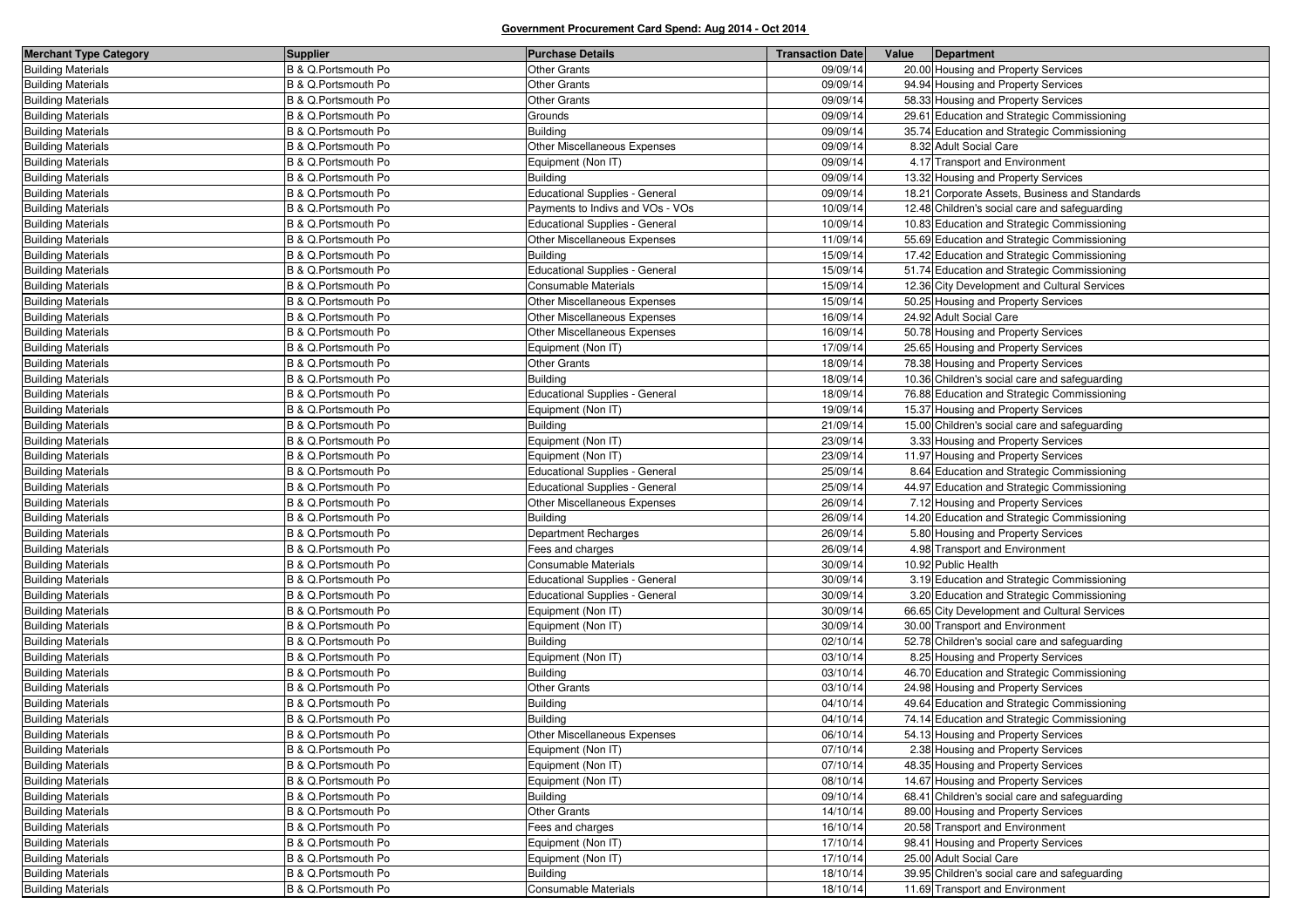| <b>Merchant Type Category</b> | <b>Supplier</b>     | <b>Purchase Details</b>               | <b>Transaction Date</b> | Value | Department                                     |
|-------------------------------|---------------------|---------------------------------------|-------------------------|-------|------------------------------------------------|
| <b>Building Materials</b>     | B & Q.Portsmouth Po | <b>Other Grants</b>                   | 09/09/14                |       | 20.00 Housing and Property Services            |
| <b>Building Materials</b>     | B & Q.Portsmouth Po | <b>Other Grants</b>                   | 09/09/14                |       | 94.94 Housing and Property Services            |
| <b>Building Materials</b>     | B & Q.Portsmouth Po | Other Grants                          | 09/09/14                |       | 58.33 Housing and Property Services            |
| <b>Building Materials</b>     | B & Q.Portsmouth Po | Grounds                               | 09/09/14                |       | 29.61 Education and Strategic Commissioning    |
| <b>Building Materials</b>     | B & Q.Portsmouth Po | <b>Building</b>                       | 09/09/14                |       | 35.74 Education and Strategic Commissioning    |
| <b>Building Materials</b>     | B & Q.Portsmouth Po | Other Miscellaneous Expenses          | 09/09/14                |       | 8.32 Adult Social Care                         |
| <b>Building Materials</b>     | B & Q.Portsmouth Po | Equipment (Non IT)                    | 09/09/14                |       | 4.17 Transport and Environment                 |
| <b>Building Materials</b>     | B & Q.Portsmouth Po | <b>Building</b>                       | 09/09/14                |       | 13.32 Housing and Property Services            |
| <b>Building Materials</b>     | B & Q.Portsmouth Po | Educational Supplies - General        | 09/09/14                |       | 18.21 Corporate Assets, Business and Standards |
| <b>Building Materials</b>     | B & Q.Portsmouth Po | Payments to Indivs and VOs - VOs      | 10/09/14                |       | 12.48 Children's social care and safeguarding  |
| <b>Building Materials</b>     | B & Q.Portsmouth Po | Educational Supplies - General        | 10/09/14                |       | 10.83 Education and Strategic Commissioning    |
| <b>Building Materials</b>     | B & Q.Portsmouth Po | Other Miscellaneous Expenses          | 11/09/14                |       | 55.69 Education and Strategic Commissioning    |
| <b>Building Materials</b>     | B & Q.Portsmouth Po | <b>Building</b>                       | 15/09/14                |       | 17.42 Education and Strategic Commissioning    |
| <b>Building Materials</b>     | B & Q.Portsmouth Po | Educational Supplies - General        | 15/09/14                |       | 51.74 Education and Strategic Commissioning    |
| <b>Building Materials</b>     | B & Q.Portsmouth Po | <b>Consumable Materials</b>           | 15/09/14                |       | 12.36 City Development and Cultural Services   |
| <b>Building Materials</b>     | B & Q.Portsmouth Po | Other Miscellaneous Expenses          | 15/09/14                |       | 50.25 Housing and Property Services            |
| <b>Building Materials</b>     | B & Q.Portsmouth Po | Other Miscellaneous Expenses          | 16/09/14                |       | 24.92 Adult Social Care                        |
| <b>Building Materials</b>     | B & Q.Portsmouth Po | Other Miscellaneous Expenses          | 16/09/14                |       | 50.78 Housing and Property Services            |
| <b>Building Materials</b>     | B & Q.Portsmouth Po | Equipment (Non IT)                    | 17/09/14                |       | 25.65 Housing and Property Services            |
| <b>Building Materials</b>     | B & Q.Portsmouth Po | <b>Other Grants</b>                   | 18/09/14                |       | 78.38 Housing and Property Services            |
| <b>Building Materials</b>     | B & Q.Portsmouth Po | <b>Building</b>                       | 18/09/14                |       | 10.36 Children's social care and safeguarding  |
| <b>Building Materials</b>     | B & Q.Portsmouth Po | Educational Supplies - General        | 18/09/14                |       | 76.88 Education and Strategic Commissioning    |
| <b>Building Materials</b>     | B & Q.Portsmouth Po | Equipment (Non IT)                    | 19/09/14                |       | 15.37 Housing and Property Services            |
| <b>Building Materials</b>     | B & Q.Portsmouth Po | Building                              | 21/09/14                |       | 15.00 Children's social care and safeguarding  |
| <b>Building Materials</b>     | B & Q.Portsmouth Po | Equipment (Non IT)                    | 23/09/14                |       | 3.33 Housing and Property Services             |
| <b>Building Materials</b>     | B & Q.Portsmouth Po | Equipment (Non IT)                    | 23/09/14                |       | 11.97 Housing and Property Services            |
| <b>Building Materials</b>     | B & Q.Portsmouth Po | Educational Supplies - General        | 25/09/14                |       | 8.64 Education and Strategic Commissioning     |
| <b>Building Materials</b>     | B & Q.Portsmouth Po | <b>Educational Supplies - General</b> | 25/09/14                |       | 44.97 Education and Strategic Commissioning    |
| <b>Building Materials</b>     | B & Q.Portsmouth Po | Other Miscellaneous Expenses          | 26/09/14                |       | 7.12 Housing and Property Services             |
| <b>Building Materials</b>     | B & Q.Portsmouth Po | <b>Building</b>                       | 26/09/14                |       | 14.20 Education and Strategic Commissioning    |
| <b>Building Materials</b>     | B & Q.Portsmouth Po | Department Recharges                  | 26/09/14                |       | 5.80 Housing and Property Services             |
| <b>Building Materials</b>     | B & Q.Portsmouth Po | Fees and charges                      | 26/09/14                |       | 4.98 Transport and Environment                 |
| <b>Building Materials</b>     | B & Q.Portsmouth Po | <b>Consumable Materials</b>           | 30/09/14                |       | 10.92 Public Health                            |
| <b>Building Materials</b>     | B & Q.Portsmouth Po | <b>Educational Supplies - General</b> | 30/09/14                |       | 3.19 Education and Strategic Commissioning     |
| <b>Building Materials</b>     | B & Q.Portsmouth Po | <b>Educational Supplies - General</b> | 30/09/14                |       | 3.20 Education and Strategic Commissioning     |
| <b>Building Materials</b>     | B & Q.Portsmouth Po | Equipment (Non IT)                    | 30/09/14                |       | 66.65 City Development and Cultural Services   |
| <b>Building Materials</b>     | B & Q.Portsmouth Po | Equipment (Non IT)                    | 30/09/14                |       | 30.00 Transport and Environment                |
| <b>Building Materials</b>     | B & Q.Portsmouth Po | <b>Building</b>                       | 02/10/14                |       | 52.78 Children's social care and safeguarding  |
| <b>Building Materials</b>     | B & Q.Portsmouth Po | Equipment (Non IT)                    | 03/10/14                |       | 8.25 Housing and Property Services             |
| <b>Building Materials</b>     | B & Q.Portsmouth Po | <b>Building</b>                       | 03/10/14                |       | 46.70 Education and Strategic Commissioning    |
| <b>Building Materials</b>     | B & Q.Portsmouth Po | <b>Other Grants</b>                   | 03/10/14                |       | 24.98 Housing and Property Services            |
| <b>Building Materials</b>     | B & Q.Portsmouth Po | <b>Building</b>                       | 04/10/14                |       | 49.64 Education and Strategic Commissioning    |
| <b>Building Materials</b>     | B & Q.Portsmouth Po | <b>Building</b>                       | 04/10/14                |       | 74.14 Education and Strategic Commissioning    |
| <b>Building Materials</b>     | B & Q.Portsmouth Po | Other Miscellaneous Expenses          | 06/10/14                |       | 54.13 Housing and Property Services            |
| <b>Building Materials</b>     | B & Q.Portsmouth Po | Equipment (Non IT)                    | 07/10/14                |       | 2.38 Housing and Property Services             |
| <b>Building Materials</b>     | B & Q.Portsmouth Po | Equipment (Non IT)                    | 07/10/14                |       | 48.35 Housing and Property Services            |
| <b>Building Materials</b>     | B & Q.Portsmouth Po | Equipment (Non IT)                    | 08/10/14                |       | 14.67 Housing and Property Services            |
| <b>Building Materials</b>     | B & Q.Portsmouth Po | <b>Building</b>                       | 09/10/14                |       | 68.41 Children's social care and safeguarding  |
| <b>Building Materials</b>     | B & Q.Portsmouth Po | <b>Other Grants</b>                   | 14/10/14                |       | 89.00 Housing and Property Services            |
| <b>Building Materials</b>     | B & Q.Portsmouth Po | Fees and charges                      | 16/10/14                |       | 20.58 Transport and Environment                |
| <b>Building Materials</b>     | B & Q.Portsmouth Po | Equipment (Non IT)                    | 17/10/14                |       | 98.41 Housing and Property Services            |
| <b>Building Materials</b>     | B & Q.Portsmouth Po | Equipment (Non IT)                    | 17/10/14                |       | 25.00 Adult Social Care                        |
| <b>Building Materials</b>     | B & Q.Portsmouth Po | <b>Building</b>                       | 18/10/14                |       | 39.95 Children's social care and safeguarding  |
| <b>Building Materials</b>     | B & Q.Portsmouth Po | <b>Consumable Materials</b>           | 18/10/14                |       | 11.69 Transport and Environment                |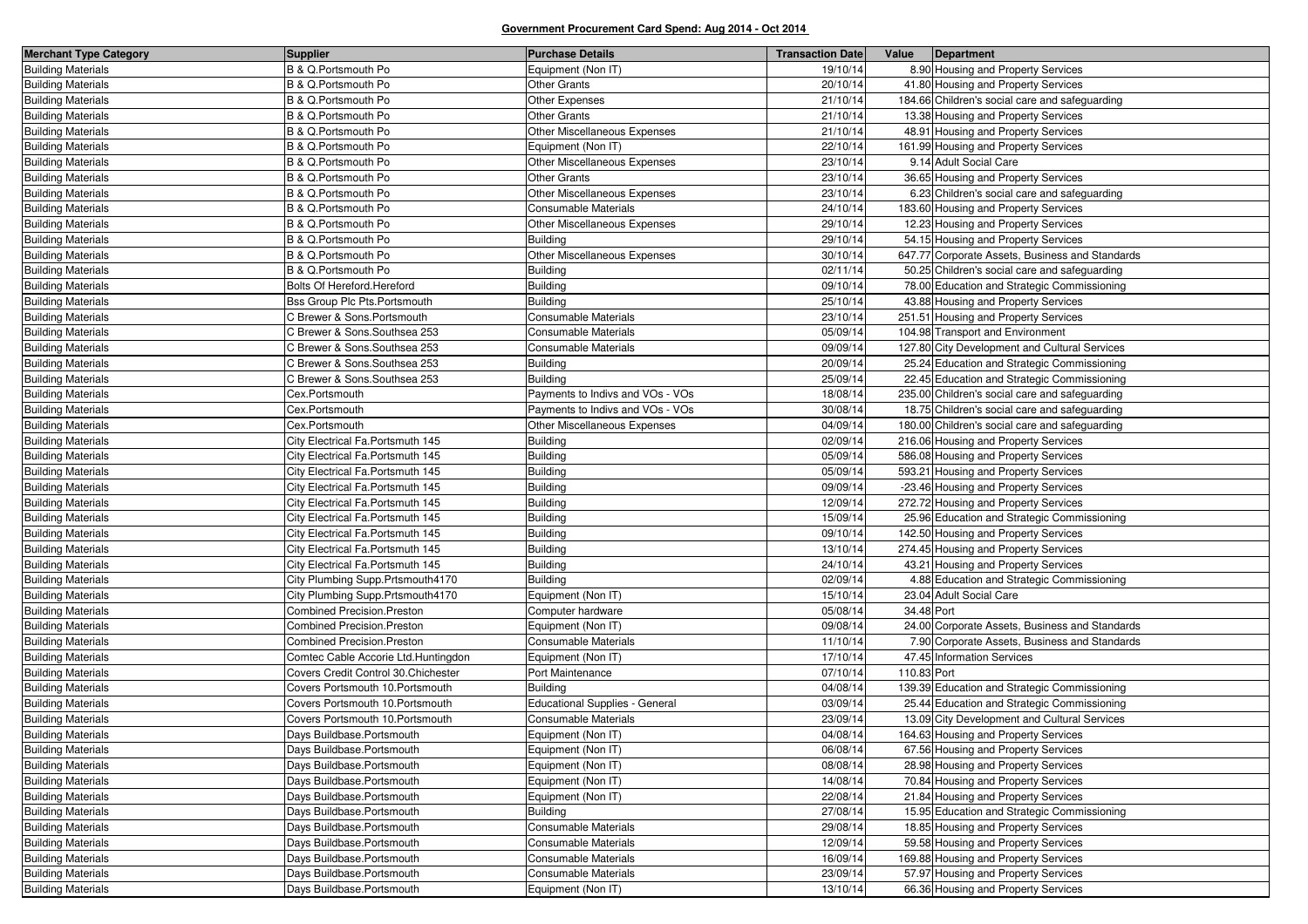| <b>Merchant Type Category</b> | <b>Supplier</b>                      | <b>Purchase Details</b>               | <b>Transaction Date</b> | Value       | Department                                      |
|-------------------------------|--------------------------------------|---------------------------------------|-------------------------|-------------|-------------------------------------------------|
| <b>Building Materials</b>     | B & Q.Portsmouth Po                  | Equipment (Non IT)                    | 19/10/14                |             | 8.90 Housing and Property Services              |
| <b>Building Materials</b>     | B & Q.Portsmouth Po                  | <b>Other Grants</b>                   | 20/10/14                |             | 41.80 Housing and Property Services             |
| <b>Building Materials</b>     | B & Q.Portsmouth Po                  | Other Expenses                        | 21/10/14                |             | 184.66 Children's social care and safeguarding  |
| <b>Building Materials</b>     | B & Q.Portsmouth Po                  | <b>Other Grants</b>                   | 21/10/14                |             | 13.38 Housing and Property Services             |
| <b>Building Materials</b>     | B & Q.Portsmouth Po                  | Other Miscellaneous Expenses          | 21/10/14                |             | 48.91 Housing and Property Services             |
| <b>Building Materials</b>     | B & Q.Portsmouth Po                  | Equipment (Non IT)                    | 22/10/14                |             | 161.99 Housing and Property Services            |
| <b>Building Materials</b>     | B & Q.Portsmouth Po                  | Other Miscellaneous Expenses          | 23/10/14                |             | 9.14 Adult Social Care                          |
| <b>Building Materials</b>     | B & Q.Portsmouth Po                  | <b>Other Grants</b>                   | 23/10/14                |             | 36.65 Housing and Property Services             |
| <b>Building Materials</b>     | B & Q.Portsmouth Po                  | Other Miscellaneous Expenses          | 23/10/14                |             | 6.23 Children's social care and safeguarding    |
| <b>Building Materials</b>     | B & Q.Portsmouth Po                  | <b>Consumable Materials</b>           | 24/10/14                |             | 183.60 Housing and Property Services            |
| <b>Building Materials</b>     | B & Q.Portsmouth Po                  | Other Miscellaneous Expenses          | 29/10/14                |             | 12.23 Housing and Property Services             |
| <b>Building Materials</b>     | B & Q.Portsmouth Po                  | <b>Building</b>                       | 29/10/14                |             | 54.15 Housing and Property Services             |
| <b>Building Materials</b>     | B & Q.Portsmouth Po                  | Other Miscellaneous Expenses          | 30/10/14                |             | 647.77 Corporate Assets, Business and Standards |
| <b>Building Materials</b>     | B & Q.Portsmouth Po                  | <b>Building</b>                       | 02/11/14                |             | 50.25 Children's social care and safeguarding   |
| <b>Building Materials</b>     | Bolts Of Hereford.Hereford           | <b>Building</b>                       | 09/10/14                |             | 78.00 Education and Strategic Commissioning     |
| <b>Building Materials</b>     | Bss Group Plc Pts.Portsmouth         | <b>Building</b>                       | 25/10/14                |             | 43.88 Housing and Property Services             |
| <b>Building Materials</b>     | C Brewer & Sons.Portsmouth           | Consumable Materials                  | 23/10/14                |             | 251.51 Housing and Property Services            |
| <b>Building Materials</b>     | C Brewer & Sons.Southsea 253         | Consumable Materials                  | 05/09/14                |             | 104.98 Transport and Environment                |
| <b>Building Materials</b>     | C Brewer & Sons.Southsea 253         | <b>Consumable Materials</b>           | 09/09/14                |             | 127.80 City Development and Cultural Services   |
| <b>Building Materials</b>     | C Brewer & Sons.Southsea 253         | <b>Building</b>                       | 20/09/14                |             | 25.24 Education and Strategic Commissioning     |
| <b>Building Materials</b>     | C Brewer & Sons.Southsea 253         | <b>Building</b>                       | 25/09/14                |             | 22.45 Education and Strategic Commissioning     |
| <b>Building Materials</b>     | Cex.Portsmouth                       | Payments to Indivs and VOs - VOs      | 18/08/14                |             | 235.00 Children's social care and safeguarding  |
| <b>Building Materials</b>     | Cex.Portsmouth                       | Payments to Indivs and VOs - VOs      | 30/08/14                |             | 18.75 Children's social care and safeguarding   |
| <b>Building Materials</b>     | Cex.Portsmouth                       | Other Miscellaneous Expenses          | 04/09/14                |             | 180.00 Children's social care and safeguarding  |
| <b>Building Materials</b>     | City Electrical Fa.Portsmuth 145     | Building                              | 02/09/14                |             | 216.06 Housing and Property Services            |
| <b>Building Materials</b>     | City Electrical Fa. Portsmuth 145    | <b>Building</b>                       | 05/09/14                |             | 586.08 Housing and Property Services            |
| <b>Building Materials</b>     | City Electrical Fa.Portsmuth 145     | <b>Building</b>                       | 05/09/14                |             | 593.21 Housing and Property Services            |
| <b>Building Materials</b>     | City Electrical Fa. Portsmuth 145    | <b>Building</b>                       | 09/09/14                |             | -23.46 Housing and Property Services            |
| <b>Building Materials</b>     | City Electrical Fa.Portsmuth 145     | <b>Building</b>                       | 12/09/14                |             | 272.72 Housing and Property Services            |
| <b>Building Materials</b>     | City Electrical Fa.Portsmuth 145     | <b>Building</b>                       | 15/09/14                |             | 25.96 Education and Strategic Commissioning     |
| <b>Building Materials</b>     | City Electrical Fa.Portsmuth 145     | <b>Building</b>                       | 09/10/14                |             | 142.50 Housing and Property Services            |
| <b>Building Materials</b>     | City Electrical Fa.Portsmuth 145     | <b>Building</b>                       | 13/10/14                |             | 274.45 Housing and Property Services            |
| <b>Building Materials</b>     | City Electrical Fa.Portsmuth 145     | <b>Building</b>                       | 24/10/14                |             | 43.21 Housing and Property Services             |
| <b>Building Materials</b>     | City Plumbing Supp.Prtsmouth4170     | <b>Building</b>                       | 02/09/14                |             | 4.88 Education and Strategic Commissioning      |
| <b>Building Materials</b>     | City Plumbing Supp.Prtsmouth4170     | Equipment (Non IT)                    | 15/10/14                |             | 23.04 Adult Social Care                         |
| <b>Building Materials</b>     | <b>Combined Precision.Preston</b>    | Computer hardware                     | 05/08/14                | 34.48 Port  |                                                 |
| <b>Building Materials</b>     | <b>Combined Precision.Preston</b>    | Equipment (Non IT)                    | 09/08/14                |             | 24.00 Corporate Assets, Business and Standards  |
| <b>Building Materials</b>     | Combined Precision.Preston           | Consumable Materials                  | 11/10/14                |             | 7.90 Corporate Assets, Business and Standards   |
| <b>Building Materials</b>     | Comtec Cable Accorie Ltd.Huntingdon  | Equipment (Non IT)                    | 17/10/14                |             | 47.45 Information Services                      |
| <b>Building Materials</b>     | Covers Credit Control 30. Chichester | Port Maintenance                      | 07/10/14                | 110.83 Port |                                                 |
| <b>Building Materials</b>     | Covers Portsmouth 10. Portsmouth     | <b>Building</b>                       | 04/08/14                |             | 139.39 Education and Strategic Commissioning    |
| <b>Building Materials</b>     | Covers Portsmouth 10. Portsmouth     | <b>Educational Supplies - General</b> | 03/09/14                |             | 25.44 Education and Strategic Commissioning     |
| <b>Building Materials</b>     | Covers Portsmouth 10. Portsmouth     | Consumable Materials                  | 23/09/14                |             | 13.09 City Development and Cultural Services    |
| <b>Building Materials</b>     | Days Buildbase.Portsmouth            | Equipment (Non IT)                    | 04/08/14                |             | 164.63 Housing and Property Services            |
| <b>Building Materials</b>     | Days Buildbase.Portsmouth            | Equipment (Non IT)                    | 06/08/14                |             | 67.56 Housing and Property Services             |
| <b>Building Materials</b>     | Days Buildbase.Portsmouth            | Equipment (Non IT)                    | 08/08/14                |             | 28.98 Housing and Property Services             |
| <b>Building Materials</b>     | Days Buildbase.Portsmouth            | Equipment (Non IT)                    | 14/08/14                |             | 70.84 Housing and Property Services             |
| <b>Building Materials</b>     | Days Buildbase.Portsmouth            | Equipment (Non IT)                    | 22/08/14                |             | 21.84 Housing and Property Services             |
| <b>Building Materials</b>     | Days Buildbase.Portsmouth            | <b>Building</b>                       | 27/08/14                |             | 15.95 Education and Strategic Commissioning     |
| <b>Building Materials</b>     | Days Buildbase.Portsmouth            | Consumable Materials                  | 29/08/14                |             | 18.85 Housing and Property Services             |
| <b>Building Materials</b>     | Days Buildbase.Portsmouth            | Consumable Materials                  | 12/09/14                |             | 59.58 Housing and Property Services             |
| <b>Building Materials</b>     | Days Buildbase.Portsmouth            | Consumable Materials                  | 16/09/14                |             | 169.88 Housing and Property Services            |
| <b>Building Materials</b>     | Days Buildbase.Portsmouth            | Consumable Materials                  | 23/09/14                |             | 57.97 Housing and Property Services             |
| <b>Building Materials</b>     | Days Buildbase.Portsmouth            | Equipment (Non IT)                    | 13/10/14                |             | 66.36 Housing and Property Services             |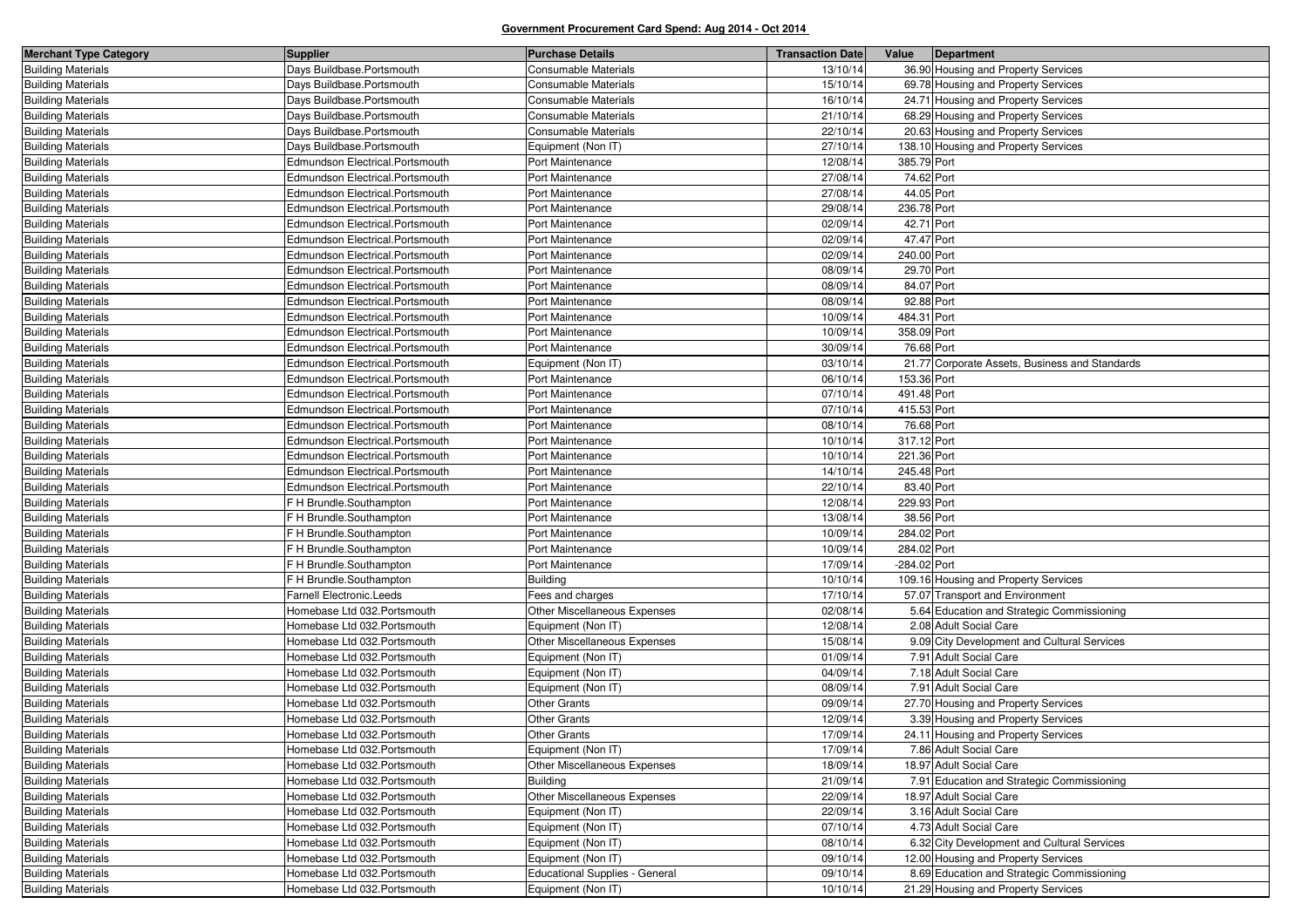| <b>Merchant Type Category</b> | Supplier                        | <b>Purchase Details</b>               | <b>Transaction Date</b> | Value        | Department                                     |
|-------------------------------|---------------------------------|---------------------------------------|-------------------------|--------------|------------------------------------------------|
| <b>Building Materials</b>     | Days Buildbase.Portsmouth       | Consumable Materials                  | 13/10/14                |              | 36.90 Housing and Property Services            |
| <b>Building Materials</b>     | Days Buildbase.Portsmouth       | Consumable Materials                  | 15/10/14                |              | 69.78 Housing and Property Services            |
| <b>Building Materials</b>     | Days Buildbase.Portsmouth       | Consumable Materials                  | 16/10/14                |              | 24.71 Housing and Property Services            |
| <b>Building Materials</b>     | Days Buildbase.Portsmouth       | Consumable Materials                  | 21/10/14                |              | 68.29 Housing and Property Services            |
| <b>Building Materials</b>     | Days Buildbase.Portsmouth       | Consumable Materials                  | 22/10/14                |              | 20.63 Housing and Property Services            |
| <b>Building Materials</b>     | Days Buildbase.Portsmouth       | Equipment (Non IT)                    | 27/10/14                |              | 138.10 Housing and Property Services           |
| <b>Building Materials</b>     | Edmundson Electrical.Portsmouth | Port Maintenance                      | 12/08/14                | 385.79 Port  |                                                |
| <b>Building Materials</b>     | Edmundson Electrical.Portsmouth | Port Maintenance                      | 27/08/14                | 74.62 Port   |                                                |
| <b>Building Materials</b>     | Edmundson Electrical.Portsmouth | Port Maintenance                      | 27/08/14                | 44.05 Port   |                                                |
| <b>Building Materials</b>     | Edmundson Electrical.Portsmouth | Port Maintenance                      | 29/08/14                | 236.78 Port  |                                                |
| <b>Building Materials</b>     | Edmundson Electrical.Portsmouth | Port Maintenance                      | 02/09/14                | 42.71 Port   |                                                |
| <b>Building Materials</b>     | Edmundson Electrical.Portsmouth | Port Maintenance                      | 02/09/14                | 47.47 Port   |                                                |
| <b>Building Materials</b>     | Edmundson Electrical.Portsmouth | Port Maintenance                      | 02/09/14                | 240.00 Port  |                                                |
| <b>Building Materials</b>     | Edmundson Electrical.Portsmouth | Port Maintenance                      | 08/09/14                | 29.70 Port   |                                                |
| <b>Building Materials</b>     | Edmundson Electrical.Portsmouth | Port Maintenance                      | 08/09/14                | 84.07 Port   |                                                |
| <b>Building Materials</b>     | Edmundson Electrical.Portsmouth | Port Maintenance                      | 08/09/14                | 92.88 Port   |                                                |
| <b>Building Materials</b>     | Edmundson Electrical.Portsmouth | Port Maintenance                      | 10/09/14                | 484.31 Port  |                                                |
| <b>Building Materials</b>     | Edmundson Electrical.Portsmouth | Port Maintenance                      | 10/09/14                | 358.09 Port  |                                                |
| <b>Building Materials</b>     | Edmundson Electrical.Portsmouth | Port Maintenance                      | 30/09/14                | 76.68 Port   |                                                |
| <b>Building Materials</b>     | Edmundson Electrical.Portsmouth | Equipment (Non IT)                    | 03/10/14                |              | 21.77 Corporate Assets, Business and Standards |
| <b>Building Materials</b>     | Edmundson Electrical.Portsmouth | Port Maintenance                      | 06/10/14                | 153.36 Port  |                                                |
| <b>Building Materials</b>     | Edmundson Electrical.Portsmouth | Port Maintenance                      | 07/10/14                | 491.48 Port  |                                                |
| <b>Building Materials</b>     | Edmundson Electrical.Portsmouth | Port Maintenance                      | 07/10/14                | 415.53 Port  |                                                |
| <b>Building Materials</b>     | Edmundson Electrical.Portsmouth | Port Maintenance                      | 08/10/14                | 76.68 Port   |                                                |
| <b>Building Materials</b>     | Edmundson Electrical.Portsmouth | Port Maintenance                      | 10/10/14                | 317.12 Port  |                                                |
| <b>Building Materials</b>     | Edmundson Electrical.Portsmouth | Port Maintenance                      | 10/10/14                | 221.36 Port  |                                                |
| <b>Building Materials</b>     | Edmundson Electrical.Portsmouth | Port Maintenance                      | 14/10/14                | 245.48 Port  |                                                |
| <b>Building Materials</b>     | Edmundson Electrical.Portsmouth | Port Maintenance                      | 22/10/14                | 83.40 Port   |                                                |
| <b>Building Materials</b>     | F H Brundle.Southampton         | Port Maintenance                      | 12/08/14                | 229.93 Port  |                                                |
| <b>Building Materials</b>     | F H Brundle.Southampton         | Port Maintenance                      | 13/08/14                | 38.56 Port   |                                                |
| <b>Building Materials</b>     | F H Brundle.Southampton         | Port Maintenance                      | 10/09/14                | 284.02 Port  |                                                |
| <b>Building Materials</b>     | F H Brundle.Southampton         | Port Maintenance                      | 10/09/14                | 284.02 Port  |                                                |
| <b>Building Materials</b>     | F H Brundle.Southampton         | Port Maintenance                      | 17/09/14                | -284.02 Port |                                                |
| <b>Building Materials</b>     | F H Brundle.Southampton         | <b>Building</b>                       | 10/10/14                |              | 109.16 Housing and Property Services           |
| <b>Building Materials</b>     | Farnell Electronic.Leeds        | Fees and charges                      | 17/10/14                |              | 57.07 Transport and Environment                |
| <b>Building Materials</b>     | Homebase Ltd 032. Portsmouth    | Other Miscellaneous Expenses          | 02/08/14                |              | 5.64 Education and Strategic Commissioning     |
| <b>Building Materials</b>     | Homebase Ltd 032. Portsmouth    | Equipment (Non IT)                    | 12/08/14                |              | 2.08 Adult Social Care                         |
| <b>Building Materials</b>     | Homebase Ltd 032. Portsmouth    | Other Miscellaneous Expenses          | 15/08/14                |              | 9.09 City Development and Cultural Services    |
| <b>Building Materials</b>     | Homebase Ltd 032.Portsmouth     | Equipment (Non IT)                    | 01/09/14                |              | 7.91 Adult Social Care                         |
| <b>Building Materials</b>     | Homebase Ltd 032. Portsmouth    | Equipment (Non IT)                    | 04/09/14                |              | 7.18 Adult Social Care                         |
| <b>Building Materials</b>     | Homebase Ltd 032.Portsmouth     | Equipment (Non IT)                    | 08/09/14                |              | 7.91 Adult Social Care                         |
| <b>Building Materials</b>     | Homebase Ltd 032. Portsmouth    | <b>Other Grants</b>                   | 09/09/14                |              | 27.70 Housing and Property Services            |
| <b>Building Materials</b>     | Homebase Ltd 032. Portsmouth    | <b>Other Grants</b>                   | 12/09/14                |              | 3.39 Housing and Property Services             |
| <b>Building Materials</b>     | Homebase Ltd 032. Portsmouth    | <b>Other Grants</b>                   | 17/09/14                |              | 24.11 Housing and Property Services            |
| <b>Building Materials</b>     | Homebase Ltd 032. Portsmouth    | Equipment (Non IT)                    | 17/09/14                |              | 7.86 Adult Social Care                         |
| <b>Building Materials</b>     | Homebase Ltd 032. Portsmouth    | Other Miscellaneous Expenses          | 18/09/14                |              | 18.97 Adult Social Care                        |
| <b>Building Materials</b>     | Homebase Ltd 032. Portsmouth    | <b>Building</b>                       | 21/09/14                |              | 7.91 Education and Strategic Commissioning     |
| <b>Building Materials</b>     | Homebase Ltd 032. Portsmouth    | Other Miscellaneous Expenses          | 22/09/14                |              | 18.97 Adult Social Care                        |
| <b>Building Materials</b>     | Homebase Ltd 032. Portsmouth    | Equipment (Non IT)                    | 22/09/14                |              | 3.16 Adult Social Care                         |
| <b>Building Materials</b>     | Homebase Ltd 032. Portsmouth    | Equipment (Non IT)                    | 07/10/14                |              | 4.73 Adult Social Care                         |
| <b>Building Materials</b>     | Homebase Ltd 032. Portsmouth    | Equipment (Non IT)                    | 08/10/14                |              | 6.32 City Development and Cultural Services    |
| <b>Building Materials</b>     | Homebase Ltd 032. Portsmouth    | Equipment (Non IT)                    | 09/10/14                |              | 12.00 Housing and Property Services            |
| <b>Building Materials</b>     | Homebase Ltd 032.Portsmouth     | <b>Educational Supplies - General</b> | 09/10/14                |              | 8.69 Education and Strategic Commissioning     |
| <b>Building Materials</b>     | Homebase Ltd 032. Portsmouth    | Equipment (Non IT)                    | 10/10/14                |              | 21.29 Housing and Property Services            |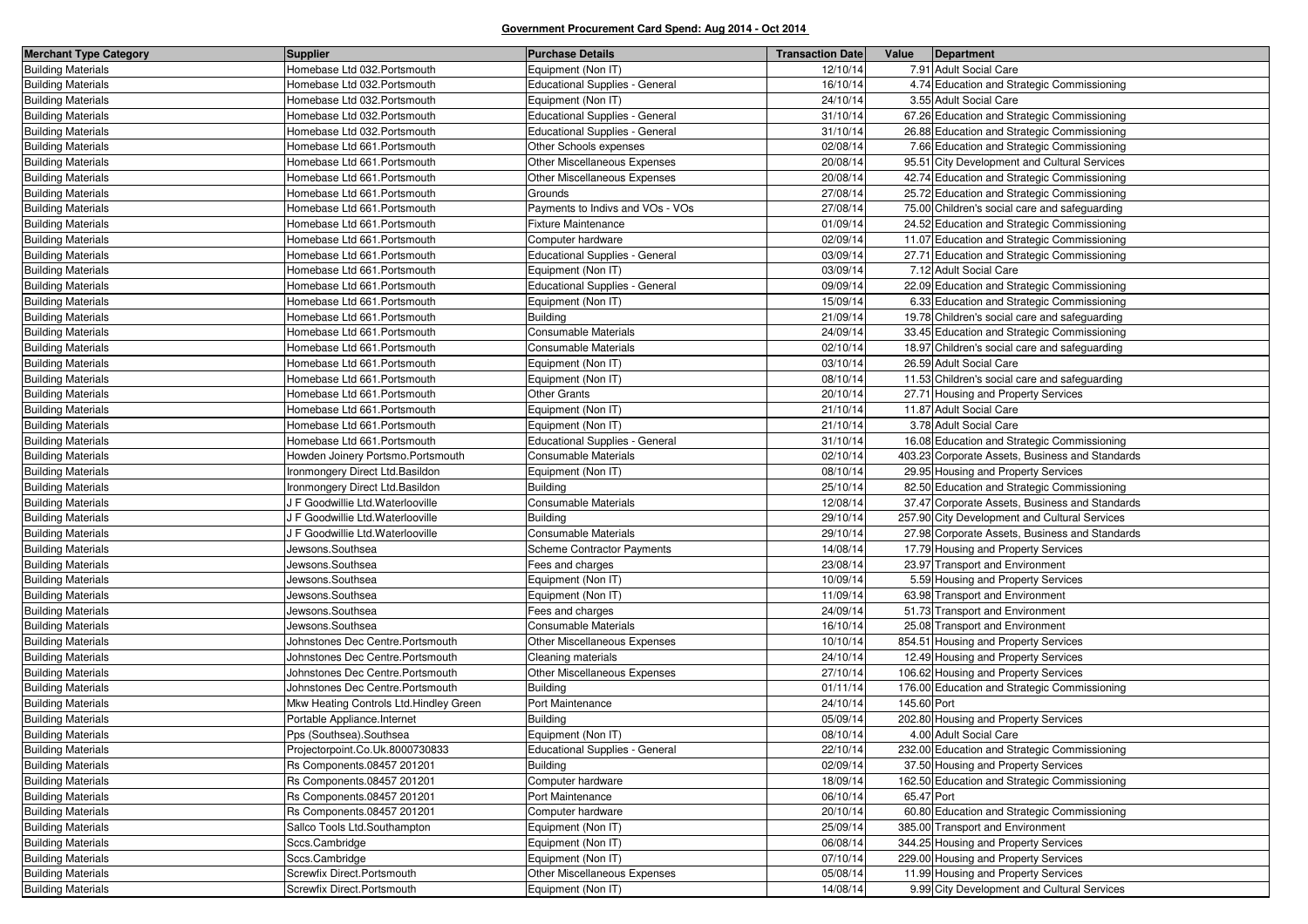| <b>Merchant Type Category</b> | <b>Supplier</b>                         | <b>Purchase Details</b>               | <b>Transaction Date</b> | Value<br>Department                             |
|-------------------------------|-----------------------------------------|---------------------------------------|-------------------------|-------------------------------------------------|
| <b>Building Materials</b>     | Homebase Ltd 032.Portsmouth             | Equipment (Non IT)                    | 12/10/14                | 7.91 Adult Social Care                          |
| <b>Building Materials</b>     | Homebase Ltd 032.Portsmouth             | Educational Supplies - General        | 16/10/14                | 4.74 Education and Strategic Commissioning      |
| <b>Building Materials</b>     | Homebase Ltd 032.Portsmouth             | Equipment (Non IT)                    | 24/10/14                | 3.55 Adult Social Care                          |
| <b>Building Materials</b>     | Homebase Ltd 032.Portsmouth             | <b>Educational Supplies - General</b> | 31/10/14                | 67.26 Education and Strategic Commissioning     |
| <b>Building Materials</b>     | Homebase Ltd 032.Portsmouth             | <b>Educational Supplies - General</b> | 31/10/14                | 26.88 Education and Strategic Commissioning     |
| <b>Building Materials</b>     | Homebase Ltd 661. Portsmouth            | Other Schools expenses                | 02/08/14                | 7.66 Education and Strategic Commissioning      |
| <b>Building Materials</b>     | Homebase Ltd 661.Portsmouth             | Other Miscellaneous Expenses          | 20/08/14                | 95.51 City Development and Cultural Services    |
| <b>Building Materials</b>     | Homebase Ltd 661.Portsmouth             | Other Miscellaneous Expenses          | 20/08/14                | 42.74 Education and Strategic Commissioning     |
| <b>Building Materials</b>     | Homebase Ltd 661. Portsmouth            | Grounds                               | 27/08/14                | 25.72 Education and Strategic Commissioning     |
| <b>Building Materials</b>     | Homebase Ltd 661.Portsmouth             | Payments to Indivs and VOs - VOs      | 27/08/14                | 75.00 Children's social care and safeguarding   |
| <b>Building Materials</b>     | Homebase Ltd 661.Portsmouth             | Fixture Maintenance                   | 01/09/14                | 24.52 Education and Strategic Commissioning     |
| <b>Building Materials</b>     | Homebase Ltd 661. Portsmouth            | Computer hardware                     | 02/09/14                | 11.07 Education and Strategic Commissioning     |
| <b>Building Materials</b>     | Homebase Ltd 661.Portsmouth             | <b>Educational Supplies - General</b> | 03/09/14                | 27.71 Education and Strategic Commissioning     |
| <b>Building Materials</b>     | Homebase Ltd 661. Portsmouth            | Equipment (Non IT)                    | 03/09/14                | 7.12 Adult Social Care                          |
| <b>Building Materials</b>     | Homebase Ltd 661. Portsmouth            | <b>Educational Supplies - General</b> | 09/09/14                | 22.09 Education and Strategic Commissioning     |
| <b>Building Materials</b>     | Homebase Ltd 661.Portsmouth             | Equipment (Non IT)                    | 15/09/14                | 6.33 Education and Strategic Commissioning      |
| <b>Building Materials</b>     | Homebase Ltd 661.Portsmouth             | <b>Building</b>                       | 21/09/14                | 19.78 Children's social care and safeguarding   |
| <b>Building Materials</b>     | Homebase Ltd 661. Portsmouth            | Consumable Materials                  | 24/09/14                | 33.45 Education and Strategic Commissioning     |
| <b>Building Materials</b>     | Homebase Ltd 661.Portsmouth             | Consumable Materials                  | 02/10/14                | 18.97 Children's social care and safeguarding   |
| <b>Building Materials</b>     | Homebase Ltd 661.Portsmouth             | Equipment (Non IT)                    | 03/10/14                | 26.59 Adult Social Care                         |
| <b>Building Materials</b>     | Homebase Ltd 661. Portsmouth            | Equipment (Non IT)                    | 08/10/14                | 11.53 Children's social care and safeguarding   |
| <b>Building Materials</b>     | Homebase Ltd 661.Portsmouth             | Other Grants                          | 20/10/14                | 27.71 Housing and Property Services             |
| <b>Building Materials</b>     | Homebase Ltd 661.Portsmouth             | Equipment (Non IT)                    | 21/10/14                | 11.87 Adult Social Care                         |
| <b>Building Materials</b>     | Homebase Ltd 661. Portsmouth            | Equipment (Non IT)                    | 21/10/14                | 3.78 Adult Social Care                          |
| <b>Building Materials</b>     | Homebase Ltd 661.Portsmouth             | <b>Educational Supplies - General</b> | 31/10/14                | 16.08 Education and Strategic Commissioning     |
| <b>Building Materials</b>     | Howden Joinery Portsmo.Portsmouth       | Consumable Materials                  | 02/10/14                | 403.23 Corporate Assets, Business and Standards |
| <b>Building Materials</b>     | Ironmongery Direct Ltd.Basildon         | Equipment (Non IT)                    | 08/10/14                | 29.95 Housing and Property Services             |
| <b>Building Materials</b>     | Ironmongery Direct Ltd.Basildon         | <b>Building</b>                       | 25/10/14                | 82.50 Education and Strategic Commissioning     |
| <b>Building Materials</b>     | J F Goodwillie Ltd. Waterlooville       | Consumable Materials                  | 12/08/14                | 37.47 Corporate Assets, Business and Standards  |
| <b>Building Materials</b>     | J F Goodwillie Ltd. Waterlooville       | <b>Building</b>                       | 29/10/14                | 257.90 City Development and Cultural Services   |
| <b>Building Materials</b>     | J F Goodwillie Ltd.Waterlooville        | Consumable Materials                  | 29/10/14                | 27.98 Corporate Assets, Business and Standards  |
| <b>Building Materials</b>     | Jewsons.Southsea                        | Scheme Contractor Payments            | 14/08/14                | 17.79 Housing and Property Services             |
| <b>Building Materials</b>     | Jewsons.Southsea                        | Fees and charges                      | 23/08/14                | 23.97 Transport and Environment                 |
| <b>Building Materials</b>     | Jewsons.Southsea                        | Equipment (Non IT)                    | 10/09/14                | 5.59 Housing and Property Services              |
| <b>Building Materials</b>     | Jewsons.Southsea                        | Equipment (Non IT)                    | 11/09/14                | 63.98 Transport and Environment                 |
| <b>Building Materials</b>     | Jewsons.Southsea                        | Fees and charges                      | 24/09/14                | 51.73 Transport and Environment                 |
| <b>Building Materials</b>     | Jewsons.Southsea                        | Consumable Materials                  | 16/10/14                | 25.08 Transport and Environment                 |
| <b>Building Materials</b>     | Johnstones Dec Centre.Portsmouth        | Other Miscellaneous Expenses          | 10/10/14                | 854.51 Housing and Property Services            |
| <b>Building Materials</b>     | Johnstones Dec Centre.Portsmouth        | Cleaning materials                    | 24/10/14                | 12.49 Housing and Property Services             |
| <b>Building Materials</b>     | Johnstones Dec Centre.Portsmouth        | Other Miscellaneous Expenses          | 27/10/14                | 106.62 Housing and Property Services            |
| <b>Building Materials</b>     | Johnstones Dec Centre.Portsmouth        | <b>Building</b>                       | 01/11/14                | 176.00 Education and Strategic Commissioning    |
| <b>Building Materials</b>     | Mkw Heating Controls Ltd. Hindley Green | Port Maintenance                      | 24/10/14                | 145.60 Port                                     |
| <b>Building Materials</b>     | Portable Appliance.Internet             | <b>Building</b>                       | 05/09/14                | 202.80 Housing and Property Services            |
| <b>Building Materials</b>     | Pps (Southsea).Southsea                 | Equipment (Non IT)                    | 08/10/14                | 4.00 Adult Social Care                          |
| <b>Building Materials</b>     | Projectorpoint.Co.Uk.8000730833         | <b>Educational Supplies - General</b> | 22/10/14                | 232.00 Education and Strategic Commissioning    |
| <b>Building Materials</b>     | Rs Components.08457 201201              | <b>Building</b>                       | 02/09/14                | 37.50 Housing and Property Services             |
| <b>Building Materials</b>     | Rs Components.08457 201201              | Computer hardware                     | 18/09/14                | 162.50 Education and Strategic Commissioning    |
| <b>Building Materials</b>     | Rs Components.08457 201201              | Port Maintenance                      | 06/10/14                | 65.47 Port                                      |
| <b>Building Materials</b>     | Rs Components.08457 201201              | Computer hardware                     | 20/10/14                | 60.80 Education and Strategic Commissioning     |
| <b>Building Materials</b>     | Sallco Tools Ltd.Southampton            | Equipment (Non IT)                    | 25/09/14                | 385.00 Transport and Environment                |
| <b>Building Materials</b>     | Sccs.Cambridge                          | Equipment (Non IT)                    | 06/08/14                | 344.25 Housing and Property Services            |
| <b>Building Materials</b>     | Sccs.Cambridge                          | Equipment (Non IT)                    | 07/10/14                | 229.00 Housing and Property Services            |
| <b>Building Materials</b>     | Screwfix Direct.Portsmouth              | Other Miscellaneous Expenses          | 05/08/14                | 11.99 Housing and Property Services             |
| <b>Building Materials</b>     | Screwfix Direct.Portsmouth              | Equipment (Non IT)                    | 14/08/14                | 9.99 City Development and Cultural Services     |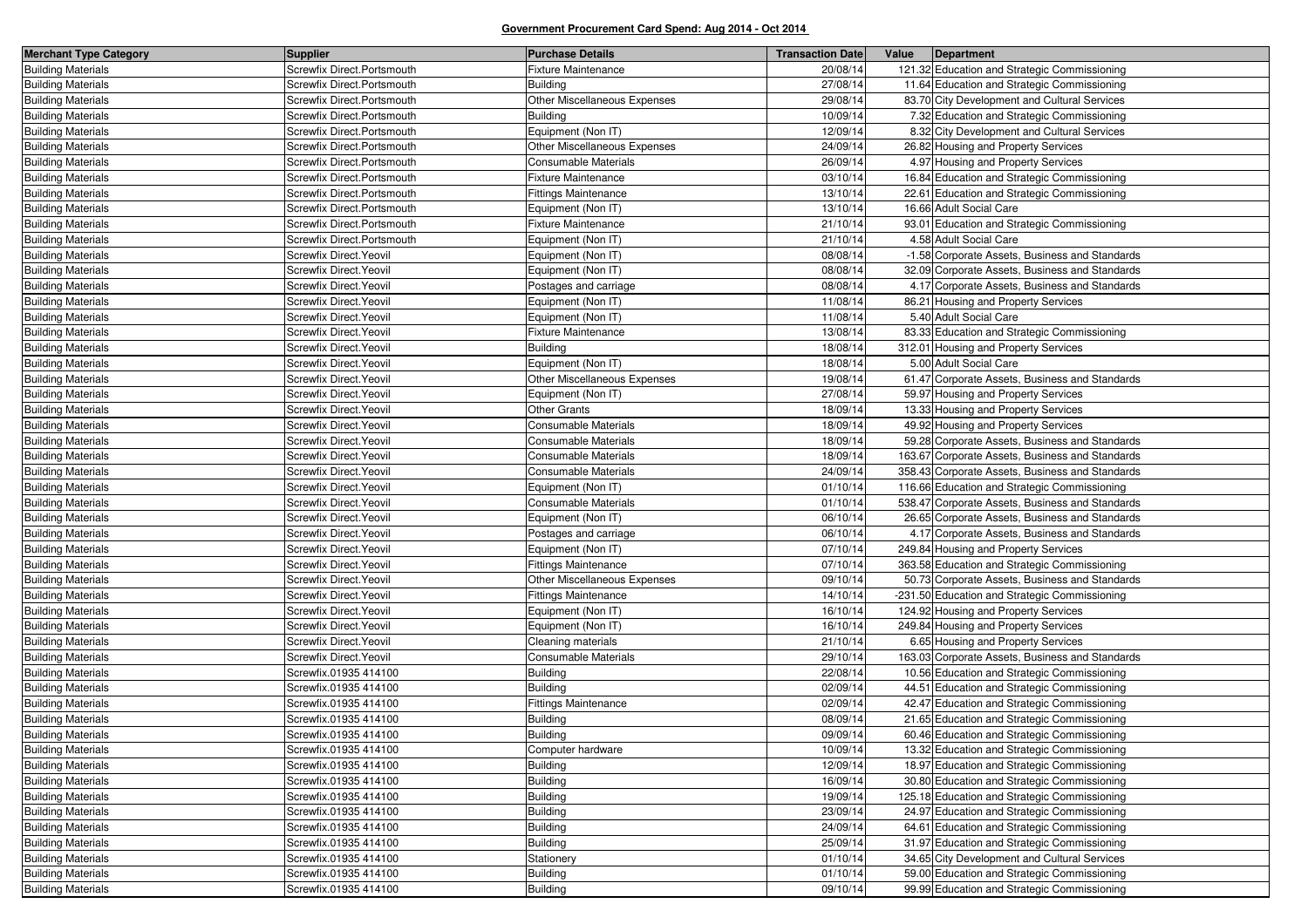| Screwfix Direct.Portsmouth<br><b>Building Materials</b><br><b>Fixture Maintenance</b><br>20/08/14<br>121.32 Education and Strategic Commissioning<br>Screwfix Direct.Portsmouth<br>27/08/14<br>11.64 Education and Strategic Commissioning<br>Building<br>Other Miscellaneous Expenses<br>29/08/14<br><b>Building Materials</b><br>Screwfix Direct.Portsmouth<br>83.70 City Development and Cultural Services<br>Screwfix Direct.Portsmouth<br>10/09/14<br>7.32 Education and Strategic Commissioning<br>Building<br>Screwfix Direct.Portsmouth<br>Equipment (Non IT)<br>12/09/14<br>8.32 City Development and Cultural Services<br>Other Miscellaneous Expenses<br>24/09/14<br><b>Building Materials</b><br>Screwfix Direct.Portsmouth<br>26.82 Housing and Property Services<br><b>Building Materials</b><br>Screwfix Direct.Portsmouth<br>Consumable Materials<br>26/09/14<br>4.97 Housing and Property Services<br>Screwfix Direct.Portsmouth<br><b>Fixture Maintenance</b><br>03/10/14<br>16.84 Education and Strategic Commissioning<br><b>Building Materials</b><br>Screwfix Direct.Portsmouth<br><b>Fittings Maintenance</b><br>13/10/14<br>22.61 Education and Strategic Commissioning<br>Screwfix Direct.Portsmouth<br>Equipment (Non IT)<br>13/10/14<br>16.66 Adult Social Care<br>Fixture Maintenance<br>93.01 Education and Strategic Commissioning<br>Screwfix Direct.Portsmouth<br>21/10/14<br>Screwfix Direct.Portsmouth<br>Equipment (Non IT)<br>21/10/14<br>4.58 Adult Social Care<br>Screwfix Direct. Yeovil<br>Equipment (Non IT)<br>08/08/14<br>-1.58 Corporate Assets, Business and Standards<br>32.09 Corporate Assets, Business and Standards<br>Screwfix Direct. Yeovil<br>Equipment (Non IT)<br>08/08/14<br>08/08/14<br>Screwfix Direct. Yeovil<br>4.17 Corporate Assets, Business and Standards<br>Postages and carriage<br><b>Building Materials</b><br>Screwfix Direct. Yeovil<br>11/08/14<br>86.21 Housing and Property Services<br>Equipment (Non IT)<br>5.40 Adult Social Care<br>Screwfix Direct. Yeovil<br>Equipment (Non IT)<br>11/08/14<br>13/08/14<br><b>Building Materials</b><br>Screwfix Direct. Yeovil<br><b>Fixture Maintenance</b><br>83.33 Education and Strategic Commissioning<br>Screwfix Direct. Yeovil<br><b>Building</b><br>18/08/14<br>312.01 Housing and Property Services<br>Screwfix Direct. Yeovil<br>Equipment (Non IT)<br>18/08/14<br>5.00 Adult Social Care<br>19/08/14<br>Screwfix Direct. Yeovil<br>Other Miscellaneous Expenses<br>61.47 Corporate Assets, Business and Standards<br><b>Building Materials</b><br>Screwfix Direct. Yeovil<br>Equipment (Non IT)<br>27/08/14<br>59.97 Housing and Property Services<br>Other Grants<br><b>Building Materials</b><br>Screwfix Direct. Yeovil<br>18/09/14<br>13.33 Housing and Property Services<br>Consumable Materials<br><b>Building Materials</b><br>Screwfix Direct. Yeovil<br>18/09/14<br>49.92 Housing and Property Services<br><b>Building Materials</b><br>Screwfix Direct. Yeovil<br>Consumable Materials<br>18/09/14<br>59.28 Corporate Assets, Business and Standards<br><b>Building Materials</b><br>Screwfix Direct. Yeovil<br>Consumable Materials<br>18/09/14<br>163.67 Corporate Assets, Business and Standards<br>24/09/14<br><b>Building Materials</b><br>Screwfix Direct. Yeovil<br>Consumable Materials<br>358.43 Corporate Assets, Business and Standards<br><b>Building Materials</b><br>Screwfix Direct. Yeovil<br>Equipment (Non IT)<br>01/10/14<br>116.66 Education and Strategic Commissioning<br><b>Building Materials</b><br>Screwfix Direct. Yeovil<br>Consumable Materials<br>01/10/14<br>538.47 Corporate Assets, Business and Standards<br><b>Building Materials</b><br>Screwfix Direct. Yeovil<br>Equipment (Non IT)<br>06/10/14<br>26.65 Corporate Assets, Business and Standards<br><b>Building Materials</b><br>Screwfix Direct. Yeovil<br>06/10/14<br>4.17 Corporate Assets, Business and Standards<br>Postages and carriage<br><b>Building Materials</b><br>07/10/14<br>249.84 Housing and Property Services<br>Screwfix Direct. Yeovil<br>Equipment (Non IT)<br>363.58 Education and Strategic Commissioning<br><b>Building Materials</b><br>Screwfix Direct. Yeovil<br>Fittings Maintenance<br>07/10/14<br><b>Building Materials</b><br>Screwfix Direct. Yeovil<br><b>Other Miscellaneous Expenses</b><br>09/10/14<br>50.73 Corporate Assets, Business and Standards<br><b>Building Materials</b><br>Screwfix Direct. Yeovil<br><b>Fittings Maintenance</b><br>14/10/14<br>-231.50 Education and Strategic Commissioning<br>16/10/14<br>124.92 Housing and Property Services<br><b>Building Materials</b><br>Screwfix Direct. Yeovil<br>Equipment (Non IT)<br><b>Building Materials</b><br>Equipment (Non IT)<br>16/10/14<br>249.84 Housing and Property Services<br>Screwfix Direct. Yeovil<br><b>Building Materials</b><br>21/10/14<br>6.65 Housing and Property Services<br>Screwfix Direct. Yeovil<br>Cleaning materials<br>29/10/14<br><b>Building Materials</b><br>Screwfix Direct. Yeovil<br>Consumable Materials<br>163.03 Corporate Assets, Business and Standards<br><b>Building Materials</b><br>Screwfix.01935 414100<br><b>Building</b><br>22/08/14<br>10.56 Education and Strategic Commissioning<br><b>Building</b><br>02/09/14<br><b>Building Materials</b><br>Screwfix.01935 414100<br>44.51 Education and Strategic Commissioning<br>Screwfix.01935 414100<br>42.47 Education and Strategic Commissioning<br><b>Building Materials</b><br>Fittings Maintenance<br>02/09/14<br><b>Building Materials</b><br>Screwfix.01935 414100<br><b>Building</b><br>08/09/14<br>21.65 Education and Strategic Commissioning<br><b>Building</b><br><b>Building Materials</b><br>Screwfix.01935 414100<br>09/09/14<br>60.46 Education and Strategic Commissioning<br>13.32 Education and Strategic Commissioning<br><b>Building Materials</b><br>Screwfix.01935 414100<br>Computer hardware<br>10/09/14<br>18.97 Education and Strategic Commissioning<br><b>Building Materials</b><br>Screwfix.01935 414100<br><b>Building</b><br>12/09/14<br>Building<br>16/09/14<br>30.80 Education and Strategic Commissioning<br><b>Building Materials</b><br>Screwfix.01935 414100<br><b>Building</b><br>125.18 Education and Strategic Commissioning<br><b>Building Materials</b><br>Screwfix.01935 414100<br>19/09/14<br><b>Building</b><br>24.97 Education and Strategic Commissioning<br><b>Building Materials</b><br>Screwfix.01935 414100<br>23/09/14<br>Screwfix.01935 414100<br><b>Building</b><br>24/09/14<br>64.61 Education and Strategic Commissioning<br><b>Building Materials</b><br>Building<br>31.97 Education and Strategic Commissioning<br><b>Building Materials</b><br>Screwfix.01935 414100<br>25/09/14<br><b>Building Materials</b><br>Screwfix.01935 414100<br>01/10/14<br>34.65 City Development and Cultural Services<br>Stationery<br><b>Building Materials</b><br>Screwfix.01935 414100<br>59.00 Education and Strategic Commissioning<br><b>Building</b><br>01/10/14<br>99.99 Education and Strategic Commissioning<br><b>Building Materials</b><br>Screwfix.01935 414100<br><b>Building</b><br>09/10/14 | <b>Merchant Type Category</b> | <b>Supplier</b> | <b>Purchase Details</b> | <b>Transaction Date</b> | Value<br>Department |
|----------------------------------------------------------------------------------------------------------------------------------------------------------------------------------------------------------------------------------------------------------------------------------------------------------------------------------------------------------------------------------------------------------------------------------------------------------------------------------------------------------------------------------------------------------------------------------------------------------------------------------------------------------------------------------------------------------------------------------------------------------------------------------------------------------------------------------------------------------------------------------------------------------------------------------------------------------------------------------------------------------------------------------------------------------------------------------------------------------------------------------------------------------------------------------------------------------------------------------------------------------------------------------------------------------------------------------------------------------------------------------------------------------------------------------------------------------------------------------------------------------------------------------------------------------------------------------------------------------------------------------------------------------------------------------------------------------------------------------------------------------------------------------------------------------------------------------------------------------------------------------------------------------------------------------------------------------------------------------------------------------------------------------------------------------------------------------------------------------------------------------------------------------------------------------------------------------------------------------------------------------------------------------------------------------------------------------------------------------------------------------------------------------------------------------------------------------------------------------------------------------------------------------------------------------------------------------------------------------------------------------------------------------------------------------------------------------------------------------------------------------------------------------------------------------------------------------------------------------------------------------------------------------------------------------------------------------------------------------------------------------------------------------------------------------------------------------------------------------------------------------------------------------------------------------------------------------------------------------------------------------------------------------------------------------------------------------------------------------------------------------------------------------------------------------------------------------------------------------------------------------------------------------------------------------------------------------------------------------------------------------------------------------------------------------------------------------------------------------------------------------------------------------------------------------------------------------------------------------------------------------------------------------------------------------------------------------------------------------------------------------------------------------------------------------------------------------------------------------------------------------------------------------------------------------------------------------------------------------------------------------------------------------------------------------------------------------------------------------------------------------------------------------------------------------------------------------------------------------------------------------------------------------------------------------------------------------------------------------------------------------------------------------------------------------------------------------------------------------------------------------------------------------------------------------------------------------------------------------------------------------------------------------------------------------------------------------------------------------------------------------------------------------------------------------------------------------------------------------------------------------------------------------------------------------------------------------------------------------------------------------------------------------------------------------------------------------------------------------------------------------------------------------------------------------------------------------------------------------------------------------------------------------------------------------------------------------------------------------------------------------------------------------------------------------------------------------------------------------------------------------------------------------------------------------------------------------------------------------------------------------------------------------------------------------------------------------------------------------------------------------------------------------------------------------------------------------------------------------------------------------------------------------------------------------------------------------------------------------------------------------------------------------------------------------------------------------------------------------------------------------------------------------------------------------------------------------------------------------------------------------------------------------------------------------------------------------------------------------------------------------------------------------------------------------------------------------------------------------------------------------------------------------------------------------------------------------------------------------------------------------------------------------------------------------------------------------------------------------------------------------------------------------------------------------------------------------------------------------------------------------------------------------------------------------|-------------------------------|-----------------|-------------------------|-------------------------|---------------------|
|                                                                                                                                                                                                                                                                                                                                                                                                                                                                                                                                                                                                                                                                                                                                                                                                                                                                                                                                                                                                                                                                                                                                                                                                                                                                                                                                                                                                                                                                                                                                                                                                                                                                                                                                                                                                                                                                                                                                                                                                                                                                                                                                                                                                                                                                                                                                                                                                                                                                                                                                                                                                                                                                                                                                                                                                                                                                                                                                                                                                                                                                                                                                                                                                                                                                                                                                                                                                                                                                                                                                                                                                                                                                                                                                                                                                                                                                                                                                                                                                                                                                                                                                                                                                                                                                                                                                                                                                                                                                                                                                                                                                                                                                                                                                                                                                                                                                                                                                                                                                                                                                                                                                                                                                                                                                                                                                                                                                                                                                                                                                                                                                                                                                                                                                                                                                                                                                                                                                                                                                                                                                                                                                                                                                                                                                                                                                                                                                                                                                                                                                                                                                                                                                                                                                                                                                                                                                                                                                                                                                                                                                                                                                                                                  |                               |                 |                         |                         |                     |
|                                                                                                                                                                                                                                                                                                                                                                                                                                                                                                                                                                                                                                                                                                                                                                                                                                                                                                                                                                                                                                                                                                                                                                                                                                                                                                                                                                                                                                                                                                                                                                                                                                                                                                                                                                                                                                                                                                                                                                                                                                                                                                                                                                                                                                                                                                                                                                                                                                                                                                                                                                                                                                                                                                                                                                                                                                                                                                                                                                                                                                                                                                                                                                                                                                                                                                                                                                                                                                                                                                                                                                                                                                                                                                                                                                                                                                                                                                                                                                                                                                                                                                                                                                                                                                                                                                                                                                                                                                                                                                                                                                                                                                                                                                                                                                                                                                                                                                                                                                                                                                                                                                                                                                                                                                                                                                                                                                                                                                                                                                                                                                                                                                                                                                                                                                                                                                                                                                                                                                                                                                                                                                                                                                                                                                                                                                                                                                                                                                                                                                                                                                                                                                                                                                                                                                                                                                                                                                                                                                                                                                                                                                                                                                                  | <b>Building Materials</b>     |                 |                         |                         |                     |
|                                                                                                                                                                                                                                                                                                                                                                                                                                                                                                                                                                                                                                                                                                                                                                                                                                                                                                                                                                                                                                                                                                                                                                                                                                                                                                                                                                                                                                                                                                                                                                                                                                                                                                                                                                                                                                                                                                                                                                                                                                                                                                                                                                                                                                                                                                                                                                                                                                                                                                                                                                                                                                                                                                                                                                                                                                                                                                                                                                                                                                                                                                                                                                                                                                                                                                                                                                                                                                                                                                                                                                                                                                                                                                                                                                                                                                                                                                                                                                                                                                                                                                                                                                                                                                                                                                                                                                                                                                                                                                                                                                                                                                                                                                                                                                                                                                                                                                                                                                                                                                                                                                                                                                                                                                                                                                                                                                                                                                                                                                                                                                                                                                                                                                                                                                                                                                                                                                                                                                                                                                                                                                                                                                                                                                                                                                                                                                                                                                                                                                                                                                                                                                                                                                                                                                                                                                                                                                                                                                                                                                                                                                                                                                                  |                               |                 |                         |                         |                     |
|                                                                                                                                                                                                                                                                                                                                                                                                                                                                                                                                                                                                                                                                                                                                                                                                                                                                                                                                                                                                                                                                                                                                                                                                                                                                                                                                                                                                                                                                                                                                                                                                                                                                                                                                                                                                                                                                                                                                                                                                                                                                                                                                                                                                                                                                                                                                                                                                                                                                                                                                                                                                                                                                                                                                                                                                                                                                                                                                                                                                                                                                                                                                                                                                                                                                                                                                                                                                                                                                                                                                                                                                                                                                                                                                                                                                                                                                                                                                                                                                                                                                                                                                                                                                                                                                                                                                                                                                                                                                                                                                                                                                                                                                                                                                                                                                                                                                                                                                                                                                                                                                                                                                                                                                                                                                                                                                                                                                                                                                                                                                                                                                                                                                                                                                                                                                                                                                                                                                                                                                                                                                                                                                                                                                                                                                                                                                                                                                                                                                                                                                                                                                                                                                                                                                                                                                                                                                                                                                                                                                                                                                                                                                                                                  | <b>Building Materials</b>     |                 |                         |                         |                     |
|                                                                                                                                                                                                                                                                                                                                                                                                                                                                                                                                                                                                                                                                                                                                                                                                                                                                                                                                                                                                                                                                                                                                                                                                                                                                                                                                                                                                                                                                                                                                                                                                                                                                                                                                                                                                                                                                                                                                                                                                                                                                                                                                                                                                                                                                                                                                                                                                                                                                                                                                                                                                                                                                                                                                                                                                                                                                                                                                                                                                                                                                                                                                                                                                                                                                                                                                                                                                                                                                                                                                                                                                                                                                                                                                                                                                                                                                                                                                                                                                                                                                                                                                                                                                                                                                                                                                                                                                                                                                                                                                                                                                                                                                                                                                                                                                                                                                                                                                                                                                                                                                                                                                                                                                                                                                                                                                                                                                                                                                                                                                                                                                                                                                                                                                                                                                                                                                                                                                                                                                                                                                                                                                                                                                                                                                                                                                                                                                                                                                                                                                                                                                                                                                                                                                                                                                                                                                                                                                                                                                                                                                                                                                                                                  | <b>Building Materials</b>     |                 |                         |                         |                     |
|                                                                                                                                                                                                                                                                                                                                                                                                                                                                                                                                                                                                                                                                                                                                                                                                                                                                                                                                                                                                                                                                                                                                                                                                                                                                                                                                                                                                                                                                                                                                                                                                                                                                                                                                                                                                                                                                                                                                                                                                                                                                                                                                                                                                                                                                                                                                                                                                                                                                                                                                                                                                                                                                                                                                                                                                                                                                                                                                                                                                                                                                                                                                                                                                                                                                                                                                                                                                                                                                                                                                                                                                                                                                                                                                                                                                                                                                                                                                                                                                                                                                                                                                                                                                                                                                                                                                                                                                                                                                                                                                                                                                                                                                                                                                                                                                                                                                                                                                                                                                                                                                                                                                                                                                                                                                                                                                                                                                                                                                                                                                                                                                                                                                                                                                                                                                                                                                                                                                                                                                                                                                                                                                                                                                                                                                                                                                                                                                                                                                                                                                                                                                                                                                                                                                                                                                                                                                                                                                                                                                                                                                                                                                                                                  |                               |                 |                         |                         |                     |
|                                                                                                                                                                                                                                                                                                                                                                                                                                                                                                                                                                                                                                                                                                                                                                                                                                                                                                                                                                                                                                                                                                                                                                                                                                                                                                                                                                                                                                                                                                                                                                                                                                                                                                                                                                                                                                                                                                                                                                                                                                                                                                                                                                                                                                                                                                                                                                                                                                                                                                                                                                                                                                                                                                                                                                                                                                                                                                                                                                                                                                                                                                                                                                                                                                                                                                                                                                                                                                                                                                                                                                                                                                                                                                                                                                                                                                                                                                                                                                                                                                                                                                                                                                                                                                                                                                                                                                                                                                                                                                                                                                                                                                                                                                                                                                                                                                                                                                                                                                                                                                                                                                                                                                                                                                                                                                                                                                                                                                                                                                                                                                                                                                                                                                                                                                                                                                                                                                                                                                                                                                                                                                                                                                                                                                                                                                                                                                                                                                                                                                                                                                                                                                                                                                                                                                                                                                                                                                                                                                                                                                                                                                                                                                                  |                               |                 |                         |                         |                     |
|                                                                                                                                                                                                                                                                                                                                                                                                                                                                                                                                                                                                                                                                                                                                                                                                                                                                                                                                                                                                                                                                                                                                                                                                                                                                                                                                                                                                                                                                                                                                                                                                                                                                                                                                                                                                                                                                                                                                                                                                                                                                                                                                                                                                                                                                                                                                                                                                                                                                                                                                                                                                                                                                                                                                                                                                                                                                                                                                                                                                                                                                                                                                                                                                                                                                                                                                                                                                                                                                                                                                                                                                                                                                                                                                                                                                                                                                                                                                                                                                                                                                                                                                                                                                                                                                                                                                                                                                                                                                                                                                                                                                                                                                                                                                                                                                                                                                                                                                                                                                                                                                                                                                                                                                                                                                                                                                                                                                                                                                                                                                                                                                                                                                                                                                                                                                                                                                                                                                                                                                                                                                                                                                                                                                                                                                                                                                                                                                                                                                                                                                                                                                                                                                                                                                                                                                                                                                                                                                                                                                                                                                                                                                                                                  | <b>Building Materials</b>     |                 |                         |                         |                     |
|                                                                                                                                                                                                                                                                                                                                                                                                                                                                                                                                                                                                                                                                                                                                                                                                                                                                                                                                                                                                                                                                                                                                                                                                                                                                                                                                                                                                                                                                                                                                                                                                                                                                                                                                                                                                                                                                                                                                                                                                                                                                                                                                                                                                                                                                                                                                                                                                                                                                                                                                                                                                                                                                                                                                                                                                                                                                                                                                                                                                                                                                                                                                                                                                                                                                                                                                                                                                                                                                                                                                                                                                                                                                                                                                                                                                                                                                                                                                                                                                                                                                                                                                                                                                                                                                                                                                                                                                                                                                                                                                                                                                                                                                                                                                                                                                                                                                                                                                                                                                                                                                                                                                                                                                                                                                                                                                                                                                                                                                                                                                                                                                                                                                                                                                                                                                                                                                                                                                                                                                                                                                                                                                                                                                                                                                                                                                                                                                                                                                                                                                                                                                                                                                                                                                                                                                                                                                                                                                                                                                                                                                                                                                                                                  |                               |                 |                         |                         |                     |
|                                                                                                                                                                                                                                                                                                                                                                                                                                                                                                                                                                                                                                                                                                                                                                                                                                                                                                                                                                                                                                                                                                                                                                                                                                                                                                                                                                                                                                                                                                                                                                                                                                                                                                                                                                                                                                                                                                                                                                                                                                                                                                                                                                                                                                                                                                                                                                                                                                                                                                                                                                                                                                                                                                                                                                                                                                                                                                                                                                                                                                                                                                                                                                                                                                                                                                                                                                                                                                                                                                                                                                                                                                                                                                                                                                                                                                                                                                                                                                                                                                                                                                                                                                                                                                                                                                                                                                                                                                                                                                                                                                                                                                                                                                                                                                                                                                                                                                                                                                                                                                                                                                                                                                                                                                                                                                                                                                                                                                                                                                                                                                                                                                                                                                                                                                                                                                                                                                                                                                                                                                                                                                                                                                                                                                                                                                                                                                                                                                                                                                                                                                                                                                                                                                                                                                                                                                                                                                                                                                                                                                                                                                                                                                                  | <b>Building Materials</b>     |                 |                         |                         |                     |
|                                                                                                                                                                                                                                                                                                                                                                                                                                                                                                                                                                                                                                                                                                                                                                                                                                                                                                                                                                                                                                                                                                                                                                                                                                                                                                                                                                                                                                                                                                                                                                                                                                                                                                                                                                                                                                                                                                                                                                                                                                                                                                                                                                                                                                                                                                                                                                                                                                                                                                                                                                                                                                                                                                                                                                                                                                                                                                                                                                                                                                                                                                                                                                                                                                                                                                                                                                                                                                                                                                                                                                                                                                                                                                                                                                                                                                                                                                                                                                                                                                                                                                                                                                                                                                                                                                                                                                                                                                                                                                                                                                                                                                                                                                                                                                                                                                                                                                                                                                                                                                                                                                                                                                                                                                                                                                                                                                                                                                                                                                                                                                                                                                                                                                                                                                                                                                                                                                                                                                                                                                                                                                                                                                                                                                                                                                                                                                                                                                                                                                                                                                                                                                                                                                                                                                                                                                                                                                                                                                                                                                                                                                                                                                                  | <b>Building Materials</b>     |                 |                         |                         |                     |
|                                                                                                                                                                                                                                                                                                                                                                                                                                                                                                                                                                                                                                                                                                                                                                                                                                                                                                                                                                                                                                                                                                                                                                                                                                                                                                                                                                                                                                                                                                                                                                                                                                                                                                                                                                                                                                                                                                                                                                                                                                                                                                                                                                                                                                                                                                                                                                                                                                                                                                                                                                                                                                                                                                                                                                                                                                                                                                                                                                                                                                                                                                                                                                                                                                                                                                                                                                                                                                                                                                                                                                                                                                                                                                                                                                                                                                                                                                                                                                                                                                                                                                                                                                                                                                                                                                                                                                                                                                                                                                                                                                                                                                                                                                                                                                                                                                                                                                                                                                                                                                                                                                                                                                                                                                                                                                                                                                                                                                                                                                                                                                                                                                                                                                                                                                                                                                                                                                                                                                                                                                                                                                                                                                                                                                                                                                                                                                                                                                                                                                                                                                                                                                                                                                                                                                                                                                                                                                                                                                                                                                                                                                                                                                                  | <b>Building Materials</b>     |                 |                         |                         |                     |
|                                                                                                                                                                                                                                                                                                                                                                                                                                                                                                                                                                                                                                                                                                                                                                                                                                                                                                                                                                                                                                                                                                                                                                                                                                                                                                                                                                                                                                                                                                                                                                                                                                                                                                                                                                                                                                                                                                                                                                                                                                                                                                                                                                                                                                                                                                                                                                                                                                                                                                                                                                                                                                                                                                                                                                                                                                                                                                                                                                                                                                                                                                                                                                                                                                                                                                                                                                                                                                                                                                                                                                                                                                                                                                                                                                                                                                                                                                                                                                                                                                                                                                                                                                                                                                                                                                                                                                                                                                                                                                                                                                                                                                                                                                                                                                                                                                                                                                                                                                                                                                                                                                                                                                                                                                                                                                                                                                                                                                                                                                                                                                                                                                                                                                                                                                                                                                                                                                                                                                                                                                                                                                                                                                                                                                                                                                                                                                                                                                                                                                                                                                                                                                                                                                                                                                                                                                                                                                                                                                                                                                                                                                                                                                                  | <b>Building Materials</b>     |                 |                         |                         |                     |
|                                                                                                                                                                                                                                                                                                                                                                                                                                                                                                                                                                                                                                                                                                                                                                                                                                                                                                                                                                                                                                                                                                                                                                                                                                                                                                                                                                                                                                                                                                                                                                                                                                                                                                                                                                                                                                                                                                                                                                                                                                                                                                                                                                                                                                                                                                                                                                                                                                                                                                                                                                                                                                                                                                                                                                                                                                                                                                                                                                                                                                                                                                                                                                                                                                                                                                                                                                                                                                                                                                                                                                                                                                                                                                                                                                                                                                                                                                                                                                                                                                                                                                                                                                                                                                                                                                                                                                                                                                                                                                                                                                                                                                                                                                                                                                                                                                                                                                                                                                                                                                                                                                                                                                                                                                                                                                                                                                                                                                                                                                                                                                                                                                                                                                                                                                                                                                                                                                                                                                                                                                                                                                                                                                                                                                                                                                                                                                                                                                                                                                                                                                                                                                                                                                                                                                                                                                                                                                                                                                                                                                                                                                                                                                                  | <b>Building Materials</b>     |                 |                         |                         |                     |
|                                                                                                                                                                                                                                                                                                                                                                                                                                                                                                                                                                                                                                                                                                                                                                                                                                                                                                                                                                                                                                                                                                                                                                                                                                                                                                                                                                                                                                                                                                                                                                                                                                                                                                                                                                                                                                                                                                                                                                                                                                                                                                                                                                                                                                                                                                                                                                                                                                                                                                                                                                                                                                                                                                                                                                                                                                                                                                                                                                                                                                                                                                                                                                                                                                                                                                                                                                                                                                                                                                                                                                                                                                                                                                                                                                                                                                                                                                                                                                                                                                                                                                                                                                                                                                                                                                                                                                                                                                                                                                                                                                                                                                                                                                                                                                                                                                                                                                                                                                                                                                                                                                                                                                                                                                                                                                                                                                                                                                                                                                                                                                                                                                                                                                                                                                                                                                                                                                                                                                                                                                                                                                                                                                                                                                                                                                                                                                                                                                                                                                                                                                                                                                                                                                                                                                                                                                                                                                                                                                                                                                                                                                                                                                                  | <b>Building Materials</b>     |                 |                         |                         |                     |
|                                                                                                                                                                                                                                                                                                                                                                                                                                                                                                                                                                                                                                                                                                                                                                                                                                                                                                                                                                                                                                                                                                                                                                                                                                                                                                                                                                                                                                                                                                                                                                                                                                                                                                                                                                                                                                                                                                                                                                                                                                                                                                                                                                                                                                                                                                                                                                                                                                                                                                                                                                                                                                                                                                                                                                                                                                                                                                                                                                                                                                                                                                                                                                                                                                                                                                                                                                                                                                                                                                                                                                                                                                                                                                                                                                                                                                                                                                                                                                                                                                                                                                                                                                                                                                                                                                                                                                                                                                                                                                                                                                                                                                                                                                                                                                                                                                                                                                                                                                                                                                                                                                                                                                                                                                                                                                                                                                                                                                                                                                                                                                                                                                                                                                                                                                                                                                                                                                                                                                                                                                                                                                                                                                                                                                                                                                                                                                                                                                                                                                                                                                                                                                                                                                                                                                                                                                                                                                                                                                                                                                                                                                                                                                                  |                               |                 |                         |                         |                     |
|                                                                                                                                                                                                                                                                                                                                                                                                                                                                                                                                                                                                                                                                                                                                                                                                                                                                                                                                                                                                                                                                                                                                                                                                                                                                                                                                                                                                                                                                                                                                                                                                                                                                                                                                                                                                                                                                                                                                                                                                                                                                                                                                                                                                                                                                                                                                                                                                                                                                                                                                                                                                                                                                                                                                                                                                                                                                                                                                                                                                                                                                                                                                                                                                                                                                                                                                                                                                                                                                                                                                                                                                                                                                                                                                                                                                                                                                                                                                                                                                                                                                                                                                                                                                                                                                                                                                                                                                                                                                                                                                                                                                                                                                                                                                                                                                                                                                                                                                                                                                                                                                                                                                                                                                                                                                                                                                                                                                                                                                                                                                                                                                                                                                                                                                                                                                                                                                                                                                                                                                                                                                                                                                                                                                                                                                                                                                                                                                                                                                                                                                                                                                                                                                                                                                                                                                                                                                                                                                                                                                                                                                                                                                                                                  | <b>Building Materials</b>     |                 |                         |                         |                     |
|                                                                                                                                                                                                                                                                                                                                                                                                                                                                                                                                                                                                                                                                                                                                                                                                                                                                                                                                                                                                                                                                                                                                                                                                                                                                                                                                                                                                                                                                                                                                                                                                                                                                                                                                                                                                                                                                                                                                                                                                                                                                                                                                                                                                                                                                                                                                                                                                                                                                                                                                                                                                                                                                                                                                                                                                                                                                                                                                                                                                                                                                                                                                                                                                                                                                                                                                                                                                                                                                                                                                                                                                                                                                                                                                                                                                                                                                                                                                                                                                                                                                                                                                                                                                                                                                                                                                                                                                                                                                                                                                                                                                                                                                                                                                                                                                                                                                                                                                                                                                                                                                                                                                                                                                                                                                                                                                                                                                                                                                                                                                                                                                                                                                                                                                                                                                                                                                                                                                                                                                                                                                                                                                                                                                                                                                                                                                                                                                                                                                                                                                                                                                                                                                                                                                                                                                                                                                                                                                                                                                                                                                                                                                                                                  |                               |                 |                         |                         |                     |
|                                                                                                                                                                                                                                                                                                                                                                                                                                                                                                                                                                                                                                                                                                                                                                                                                                                                                                                                                                                                                                                                                                                                                                                                                                                                                                                                                                                                                                                                                                                                                                                                                                                                                                                                                                                                                                                                                                                                                                                                                                                                                                                                                                                                                                                                                                                                                                                                                                                                                                                                                                                                                                                                                                                                                                                                                                                                                                                                                                                                                                                                                                                                                                                                                                                                                                                                                                                                                                                                                                                                                                                                                                                                                                                                                                                                                                                                                                                                                                                                                                                                                                                                                                                                                                                                                                                                                                                                                                                                                                                                                                                                                                                                                                                                                                                                                                                                                                                                                                                                                                                                                                                                                                                                                                                                                                                                                                                                                                                                                                                                                                                                                                                                                                                                                                                                                                                                                                                                                                                                                                                                                                                                                                                                                                                                                                                                                                                                                                                                                                                                                                                                                                                                                                                                                                                                                                                                                                                                                                                                                                                                                                                                                                                  | <b>Building Materials</b>     |                 |                         |                         |                     |
|                                                                                                                                                                                                                                                                                                                                                                                                                                                                                                                                                                                                                                                                                                                                                                                                                                                                                                                                                                                                                                                                                                                                                                                                                                                                                                                                                                                                                                                                                                                                                                                                                                                                                                                                                                                                                                                                                                                                                                                                                                                                                                                                                                                                                                                                                                                                                                                                                                                                                                                                                                                                                                                                                                                                                                                                                                                                                                                                                                                                                                                                                                                                                                                                                                                                                                                                                                                                                                                                                                                                                                                                                                                                                                                                                                                                                                                                                                                                                                                                                                                                                                                                                                                                                                                                                                                                                                                                                                                                                                                                                                                                                                                                                                                                                                                                                                                                                                                                                                                                                                                                                                                                                                                                                                                                                                                                                                                                                                                                                                                                                                                                                                                                                                                                                                                                                                                                                                                                                                                                                                                                                                                                                                                                                                                                                                                                                                                                                                                                                                                                                                                                                                                                                                                                                                                                                                                                                                                                                                                                                                                                                                                                                                                  | <b>Building Materials</b>     |                 |                         |                         |                     |
|                                                                                                                                                                                                                                                                                                                                                                                                                                                                                                                                                                                                                                                                                                                                                                                                                                                                                                                                                                                                                                                                                                                                                                                                                                                                                                                                                                                                                                                                                                                                                                                                                                                                                                                                                                                                                                                                                                                                                                                                                                                                                                                                                                                                                                                                                                                                                                                                                                                                                                                                                                                                                                                                                                                                                                                                                                                                                                                                                                                                                                                                                                                                                                                                                                                                                                                                                                                                                                                                                                                                                                                                                                                                                                                                                                                                                                                                                                                                                                                                                                                                                                                                                                                                                                                                                                                                                                                                                                                                                                                                                                                                                                                                                                                                                                                                                                                                                                                                                                                                                                                                                                                                                                                                                                                                                                                                                                                                                                                                                                                                                                                                                                                                                                                                                                                                                                                                                                                                                                                                                                                                                                                                                                                                                                                                                                                                                                                                                                                                                                                                                                                                                                                                                                                                                                                                                                                                                                                                                                                                                                                                                                                                                                                  | <b>Building Materials</b>     |                 |                         |                         |                     |
|                                                                                                                                                                                                                                                                                                                                                                                                                                                                                                                                                                                                                                                                                                                                                                                                                                                                                                                                                                                                                                                                                                                                                                                                                                                                                                                                                                                                                                                                                                                                                                                                                                                                                                                                                                                                                                                                                                                                                                                                                                                                                                                                                                                                                                                                                                                                                                                                                                                                                                                                                                                                                                                                                                                                                                                                                                                                                                                                                                                                                                                                                                                                                                                                                                                                                                                                                                                                                                                                                                                                                                                                                                                                                                                                                                                                                                                                                                                                                                                                                                                                                                                                                                                                                                                                                                                                                                                                                                                                                                                                                                                                                                                                                                                                                                                                                                                                                                                                                                                                                                                                                                                                                                                                                                                                                                                                                                                                                                                                                                                                                                                                                                                                                                                                                                                                                                                                                                                                                                                                                                                                                                                                                                                                                                                                                                                                                                                                                                                                                                                                                                                                                                                                                                                                                                                                                                                                                                                                                                                                                                                                                                                                                                                  |                               |                 |                         |                         |                     |
|                                                                                                                                                                                                                                                                                                                                                                                                                                                                                                                                                                                                                                                                                                                                                                                                                                                                                                                                                                                                                                                                                                                                                                                                                                                                                                                                                                                                                                                                                                                                                                                                                                                                                                                                                                                                                                                                                                                                                                                                                                                                                                                                                                                                                                                                                                                                                                                                                                                                                                                                                                                                                                                                                                                                                                                                                                                                                                                                                                                                                                                                                                                                                                                                                                                                                                                                                                                                                                                                                                                                                                                                                                                                                                                                                                                                                                                                                                                                                                                                                                                                                                                                                                                                                                                                                                                                                                                                                                                                                                                                                                                                                                                                                                                                                                                                                                                                                                                                                                                                                                                                                                                                                                                                                                                                                                                                                                                                                                                                                                                                                                                                                                                                                                                                                                                                                                                                                                                                                                                                                                                                                                                                                                                                                                                                                                                                                                                                                                                                                                                                                                                                                                                                                                                                                                                                                                                                                                                                                                                                                                                                                                                                                                                  |                               |                 |                         |                         |                     |
|                                                                                                                                                                                                                                                                                                                                                                                                                                                                                                                                                                                                                                                                                                                                                                                                                                                                                                                                                                                                                                                                                                                                                                                                                                                                                                                                                                                                                                                                                                                                                                                                                                                                                                                                                                                                                                                                                                                                                                                                                                                                                                                                                                                                                                                                                                                                                                                                                                                                                                                                                                                                                                                                                                                                                                                                                                                                                                                                                                                                                                                                                                                                                                                                                                                                                                                                                                                                                                                                                                                                                                                                                                                                                                                                                                                                                                                                                                                                                                                                                                                                                                                                                                                                                                                                                                                                                                                                                                                                                                                                                                                                                                                                                                                                                                                                                                                                                                                                                                                                                                                                                                                                                                                                                                                                                                                                                                                                                                                                                                                                                                                                                                                                                                                                                                                                                                                                                                                                                                                                                                                                                                                                                                                                                                                                                                                                                                                                                                                                                                                                                                                                                                                                                                                                                                                                                                                                                                                                                                                                                                                                                                                                                                                  |                               |                 |                         |                         |                     |
|                                                                                                                                                                                                                                                                                                                                                                                                                                                                                                                                                                                                                                                                                                                                                                                                                                                                                                                                                                                                                                                                                                                                                                                                                                                                                                                                                                                                                                                                                                                                                                                                                                                                                                                                                                                                                                                                                                                                                                                                                                                                                                                                                                                                                                                                                                                                                                                                                                                                                                                                                                                                                                                                                                                                                                                                                                                                                                                                                                                                                                                                                                                                                                                                                                                                                                                                                                                                                                                                                                                                                                                                                                                                                                                                                                                                                                                                                                                                                                                                                                                                                                                                                                                                                                                                                                                                                                                                                                                                                                                                                                                                                                                                                                                                                                                                                                                                                                                                                                                                                                                                                                                                                                                                                                                                                                                                                                                                                                                                                                                                                                                                                                                                                                                                                                                                                                                                                                                                                                                                                                                                                                                                                                                                                                                                                                                                                                                                                                                                                                                                                                                                                                                                                                                                                                                                                                                                                                                                                                                                                                                                                                                                                                                  |                               |                 |                         |                         |                     |
|                                                                                                                                                                                                                                                                                                                                                                                                                                                                                                                                                                                                                                                                                                                                                                                                                                                                                                                                                                                                                                                                                                                                                                                                                                                                                                                                                                                                                                                                                                                                                                                                                                                                                                                                                                                                                                                                                                                                                                                                                                                                                                                                                                                                                                                                                                                                                                                                                                                                                                                                                                                                                                                                                                                                                                                                                                                                                                                                                                                                                                                                                                                                                                                                                                                                                                                                                                                                                                                                                                                                                                                                                                                                                                                                                                                                                                                                                                                                                                                                                                                                                                                                                                                                                                                                                                                                                                                                                                                                                                                                                                                                                                                                                                                                                                                                                                                                                                                                                                                                                                                                                                                                                                                                                                                                                                                                                                                                                                                                                                                                                                                                                                                                                                                                                                                                                                                                                                                                                                                                                                                                                                                                                                                                                                                                                                                                                                                                                                                                                                                                                                                                                                                                                                                                                                                                                                                                                                                                                                                                                                                                                                                                                                                  |                               |                 |                         |                         |                     |
|                                                                                                                                                                                                                                                                                                                                                                                                                                                                                                                                                                                                                                                                                                                                                                                                                                                                                                                                                                                                                                                                                                                                                                                                                                                                                                                                                                                                                                                                                                                                                                                                                                                                                                                                                                                                                                                                                                                                                                                                                                                                                                                                                                                                                                                                                                                                                                                                                                                                                                                                                                                                                                                                                                                                                                                                                                                                                                                                                                                                                                                                                                                                                                                                                                                                                                                                                                                                                                                                                                                                                                                                                                                                                                                                                                                                                                                                                                                                                                                                                                                                                                                                                                                                                                                                                                                                                                                                                                                                                                                                                                                                                                                                                                                                                                                                                                                                                                                                                                                                                                                                                                                                                                                                                                                                                                                                                                                                                                                                                                                                                                                                                                                                                                                                                                                                                                                                                                                                                                                                                                                                                                                                                                                                                                                                                                                                                                                                                                                                                                                                                                                                                                                                                                                                                                                                                                                                                                                                                                                                                                                                                                                                                                                  |                               |                 |                         |                         |                     |
|                                                                                                                                                                                                                                                                                                                                                                                                                                                                                                                                                                                                                                                                                                                                                                                                                                                                                                                                                                                                                                                                                                                                                                                                                                                                                                                                                                                                                                                                                                                                                                                                                                                                                                                                                                                                                                                                                                                                                                                                                                                                                                                                                                                                                                                                                                                                                                                                                                                                                                                                                                                                                                                                                                                                                                                                                                                                                                                                                                                                                                                                                                                                                                                                                                                                                                                                                                                                                                                                                                                                                                                                                                                                                                                                                                                                                                                                                                                                                                                                                                                                                                                                                                                                                                                                                                                                                                                                                                                                                                                                                                                                                                                                                                                                                                                                                                                                                                                                                                                                                                                                                                                                                                                                                                                                                                                                                                                                                                                                                                                                                                                                                                                                                                                                                                                                                                                                                                                                                                                                                                                                                                                                                                                                                                                                                                                                                                                                                                                                                                                                                                                                                                                                                                                                                                                                                                                                                                                                                                                                                                                                                                                                                                                  |                               |                 |                         |                         |                     |
|                                                                                                                                                                                                                                                                                                                                                                                                                                                                                                                                                                                                                                                                                                                                                                                                                                                                                                                                                                                                                                                                                                                                                                                                                                                                                                                                                                                                                                                                                                                                                                                                                                                                                                                                                                                                                                                                                                                                                                                                                                                                                                                                                                                                                                                                                                                                                                                                                                                                                                                                                                                                                                                                                                                                                                                                                                                                                                                                                                                                                                                                                                                                                                                                                                                                                                                                                                                                                                                                                                                                                                                                                                                                                                                                                                                                                                                                                                                                                                                                                                                                                                                                                                                                                                                                                                                                                                                                                                                                                                                                                                                                                                                                                                                                                                                                                                                                                                                                                                                                                                                                                                                                                                                                                                                                                                                                                                                                                                                                                                                                                                                                                                                                                                                                                                                                                                                                                                                                                                                                                                                                                                                                                                                                                                                                                                                                                                                                                                                                                                                                                                                                                                                                                                                                                                                                                                                                                                                                                                                                                                                                                                                                                                                  |                               |                 |                         |                         |                     |
|                                                                                                                                                                                                                                                                                                                                                                                                                                                                                                                                                                                                                                                                                                                                                                                                                                                                                                                                                                                                                                                                                                                                                                                                                                                                                                                                                                                                                                                                                                                                                                                                                                                                                                                                                                                                                                                                                                                                                                                                                                                                                                                                                                                                                                                                                                                                                                                                                                                                                                                                                                                                                                                                                                                                                                                                                                                                                                                                                                                                                                                                                                                                                                                                                                                                                                                                                                                                                                                                                                                                                                                                                                                                                                                                                                                                                                                                                                                                                                                                                                                                                                                                                                                                                                                                                                                                                                                                                                                                                                                                                                                                                                                                                                                                                                                                                                                                                                                                                                                                                                                                                                                                                                                                                                                                                                                                                                                                                                                                                                                                                                                                                                                                                                                                                                                                                                                                                                                                                                                                                                                                                                                                                                                                                                                                                                                                                                                                                                                                                                                                                                                                                                                                                                                                                                                                                                                                                                                                                                                                                                                                                                                                                                                  |                               |                 |                         |                         |                     |
|                                                                                                                                                                                                                                                                                                                                                                                                                                                                                                                                                                                                                                                                                                                                                                                                                                                                                                                                                                                                                                                                                                                                                                                                                                                                                                                                                                                                                                                                                                                                                                                                                                                                                                                                                                                                                                                                                                                                                                                                                                                                                                                                                                                                                                                                                                                                                                                                                                                                                                                                                                                                                                                                                                                                                                                                                                                                                                                                                                                                                                                                                                                                                                                                                                                                                                                                                                                                                                                                                                                                                                                                                                                                                                                                                                                                                                                                                                                                                                                                                                                                                                                                                                                                                                                                                                                                                                                                                                                                                                                                                                                                                                                                                                                                                                                                                                                                                                                                                                                                                                                                                                                                                                                                                                                                                                                                                                                                                                                                                                                                                                                                                                                                                                                                                                                                                                                                                                                                                                                                                                                                                                                                                                                                                                                                                                                                                                                                                                                                                                                                                                                                                                                                                                                                                                                                                                                                                                                                                                                                                                                                                                                                                                                  |                               |                 |                         |                         |                     |
|                                                                                                                                                                                                                                                                                                                                                                                                                                                                                                                                                                                                                                                                                                                                                                                                                                                                                                                                                                                                                                                                                                                                                                                                                                                                                                                                                                                                                                                                                                                                                                                                                                                                                                                                                                                                                                                                                                                                                                                                                                                                                                                                                                                                                                                                                                                                                                                                                                                                                                                                                                                                                                                                                                                                                                                                                                                                                                                                                                                                                                                                                                                                                                                                                                                                                                                                                                                                                                                                                                                                                                                                                                                                                                                                                                                                                                                                                                                                                                                                                                                                                                                                                                                                                                                                                                                                                                                                                                                                                                                                                                                                                                                                                                                                                                                                                                                                                                                                                                                                                                                                                                                                                                                                                                                                                                                                                                                                                                                                                                                                                                                                                                                                                                                                                                                                                                                                                                                                                                                                                                                                                                                                                                                                                                                                                                                                                                                                                                                                                                                                                                                                                                                                                                                                                                                                                                                                                                                                                                                                                                                                                                                                                                                  |                               |                 |                         |                         |                     |
|                                                                                                                                                                                                                                                                                                                                                                                                                                                                                                                                                                                                                                                                                                                                                                                                                                                                                                                                                                                                                                                                                                                                                                                                                                                                                                                                                                                                                                                                                                                                                                                                                                                                                                                                                                                                                                                                                                                                                                                                                                                                                                                                                                                                                                                                                                                                                                                                                                                                                                                                                                                                                                                                                                                                                                                                                                                                                                                                                                                                                                                                                                                                                                                                                                                                                                                                                                                                                                                                                                                                                                                                                                                                                                                                                                                                                                                                                                                                                                                                                                                                                                                                                                                                                                                                                                                                                                                                                                                                                                                                                                                                                                                                                                                                                                                                                                                                                                                                                                                                                                                                                                                                                                                                                                                                                                                                                                                                                                                                                                                                                                                                                                                                                                                                                                                                                                                                                                                                                                                                                                                                                                                                                                                                                                                                                                                                                                                                                                                                                                                                                                                                                                                                                                                                                                                                                                                                                                                                                                                                                                                                                                                                                                                  |                               |                 |                         |                         |                     |
|                                                                                                                                                                                                                                                                                                                                                                                                                                                                                                                                                                                                                                                                                                                                                                                                                                                                                                                                                                                                                                                                                                                                                                                                                                                                                                                                                                                                                                                                                                                                                                                                                                                                                                                                                                                                                                                                                                                                                                                                                                                                                                                                                                                                                                                                                                                                                                                                                                                                                                                                                                                                                                                                                                                                                                                                                                                                                                                                                                                                                                                                                                                                                                                                                                                                                                                                                                                                                                                                                                                                                                                                                                                                                                                                                                                                                                                                                                                                                                                                                                                                                                                                                                                                                                                                                                                                                                                                                                                                                                                                                                                                                                                                                                                                                                                                                                                                                                                                                                                                                                                                                                                                                                                                                                                                                                                                                                                                                                                                                                                                                                                                                                                                                                                                                                                                                                                                                                                                                                                                                                                                                                                                                                                                                                                                                                                                                                                                                                                                                                                                                                                                                                                                                                                                                                                                                                                                                                                                                                                                                                                                                                                                                                                  |                               |                 |                         |                         |                     |
|                                                                                                                                                                                                                                                                                                                                                                                                                                                                                                                                                                                                                                                                                                                                                                                                                                                                                                                                                                                                                                                                                                                                                                                                                                                                                                                                                                                                                                                                                                                                                                                                                                                                                                                                                                                                                                                                                                                                                                                                                                                                                                                                                                                                                                                                                                                                                                                                                                                                                                                                                                                                                                                                                                                                                                                                                                                                                                                                                                                                                                                                                                                                                                                                                                                                                                                                                                                                                                                                                                                                                                                                                                                                                                                                                                                                                                                                                                                                                                                                                                                                                                                                                                                                                                                                                                                                                                                                                                                                                                                                                                                                                                                                                                                                                                                                                                                                                                                                                                                                                                                                                                                                                                                                                                                                                                                                                                                                                                                                                                                                                                                                                                                                                                                                                                                                                                                                                                                                                                                                                                                                                                                                                                                                                                                                                                                                                                                                                                                                                                                                                                                                                                                                                                                                                                                                                                                                                                                                                                                                                                                                                                                                                                                  |                               |                 |                         |                         |                     |
|                                                                                                                                                                                                                                                                                                                                                                                                                                                                                                                                                                                                                                                                                                                                                                                                                                                                                                                                                                                                                                                                                                                                                                                                                                                                                                                                                                                                                                                                                                                                                                                                                                                                                                                                                                                                                                                                                                                                                                                                                                                                                                                                                                                                                                                                                                                                                                                                                                                                                                                                                                                                                                                                                                                                                                                                                                                                                                                                                                                                                                                                                                                                                                                                                                                                                                                                                                                                                                                                                                                                                                                                                                                                                                                                                                                                                                                                                                                                                                                                                                                                                                                                                                                                                                                                                                                                                                                                                                                                                                                                                                                                                                                                                                                                                                                                                                                                                                                                                                                                                                                                                                                                                                                                                                                                                                                                                                                                                                                                                                                                                                                                                                                                                                                                                                                                                                                                                                                                                                                                                                                                                                                                                                                                                                                                                                                                                                                                                                                                                                                                                                                                                                                                                                                                                                                                                                                                                                                                                                                                                                                                                                                                                                                  |                               |                 |                         |                         |                     |
|                                                                                                                                                                                                                                                                                                                                                                                                                                                                                                                                                                                                                                                                                                                                                                                                                                                                                                                                                                                                                                                                                                                                                                                                                                                                                                                                                                                                                                                                                                                                                                                                                                                                                                                                                                                                                                                                                                                                                                                                                                                                                                                                                                                                                                                                                                                                                                                                                                                                                                                                                                                                                                                                                                                                                                                                                                                                                                                                                                                                                                                                                                                                                                                                                                                                                                                                                                                                                                                                                                                                                                                                                                                                                                                                                                                                                                                                                                                                                                                                                                                                                                                                                                                                                                                                                                                                                                                                                                                                                                                                                                                                                                                                                                                                                                                                                                                                                                                                                                                                                                                                                                                                                                                                                                                                                                                                                                                                                                                                                                                                                                                                                                                                                                                                                                                                                                                                                                                                                                                                                                                                                                                                                                                                                                                                                                                                                                                                                                                                                                                                                                                                                                                                                                                                                                                                                                                                                                                                                                                                                                                                                                                                                                                  |                               |                 |                         |                         |                     |
|                                                                                                                                                                                                                                                                                                                                                                                                                                                                                                                                                                                                                                                                                                                                                                                                                                                                                                                                                                                                                                                                                                                                                                                                                                                                                                                                                                                                                                                                                                                                                                                                                                                                                                                                                                                                                                                                                                                                                                                                                                                                                                                                                                                                                                                                                                                                                                                                                                                                                                                                                                                                                                                                                                                                                                                                                                                                                                                                                                                                                                                                                                                                                                                                                                                                                                                                                                                                                                                                                                                                                                                                                                                                                                                                                                                                                                                                                                                                                                                                                                                                                                                                                                                                                                                                                                                                                                                                                                                                                                                                                                                                                                                                                                                                                                                                                                                                                                                                                                                                                                                                                                                                                                                                                                                                                                                                                                                                                                                                                                                                                                                                                                                                                                                                                                                                                                                                                                                                                                                                                                                                                                                                                                                                                                                                                                                                                                                                                                                                                                                                                                                                                                                                                                                                                                                                                                                                                                                                                                                                                                                                                                                                                                                  |                               |                 |                         |                         |                     |
|                                                                                                                                                                                                                                                                                                                                                                                                                                                                                                                                                                                                                                                                                                                                                                                                                                                                                                                                                                                                                                                                                                                                                                                                                                                                                                                                                                                                                                                                                                                                                                                                                                                                                                                                                                                                                                                                                                                                                                                                                                                                                                                                                                                                                                                                                                                                                                                                                                                                                                                                                                                                                                                                                                                                                                                                                                                                                                                                                                                                                                                                                                                                                                                                                                                                                                                                                                                                                                                                                                                                                                                                                                                                                                                                                                                                                                                                                                                                                                                                                                                                                                                                                                                                                                                                                                                                                                                                                                                                                                                                                                                                                                                                                                                                                                                                                                                                                                                                                                                                                                                                                                                                                                                                                                                                                                                                                                                                                                                                                                                                                                                                                                                                                                                                                                                                                                                                                                                                                                                                                                                                                                                                                                                                                                                                                                                                                                                                                                                                                                                                                                                                                                                                                                                                                                                                                                                                                                                                                                                                                                                                                                                                                                                  |                               |                 |                         |                         |                     |
|                                                                                                                                                                                                                                                                                                                                                                                                                                                                                                                                                                                                                                                                                                                                                                                                                                                                                                                                                                                                                                                                                                                                                                                                                                                                                                                                                                                                                                                                                                                                                                                                                                                                                                                                                                                                                                                                                                                                                                                                                                                                                                                                                                                                                                                                                                                                                                                                                                                                                                                                                                                                                                                                                                                                                                                                                                                                                                                                                                                                                                                                                                                                                                                                                                                                                                                                                                                                                                                                                                                                                                                                                                                                                                                                                                                                                                                                                                                                                                                                                                                                                                                                                                                                                                                                                                                                                                                                                                                                                                                                                                                                                                                                                                                                                                                                                                                                                                                                                                                                                                                                                                                                                                                                                                                                                                                                                                                                                                                                                                                                                                                                                                                                                                                                                                                                                                                                                                                                                                                                                                                                                                                                                                                                                                                                                                                                                                                                                                                                                                                                                                                                                                                                                                                                                                                                                                                                                                                                                                                                                                                                                                                                                                                  |                               |                 |                         |                         |                     |
|                                                                                                                                                                                                                                                                                                                                                                                                                                                                                                                                                                                                                                                                                                                                                                                                                                                                                                                                                                                                                                                                                                                                                                                                                                                                                                                                                                                                                                                                                                                                                                                                                                                                                                                                                                                                                                                                                                                                                                                                                                                                                                                                                                                                                                                                                                                                                                                                                                                                                                                                                                                                                                                                                                                                                                                                                                                                                                                                                                                                                                                                                                                                                                                                                                                                                                                                                                                                                                                                                                                                                                                                                                                                                                                                                                                                                                                                                                                                                                                                                                                                                                                                                                                                                                                                                                                                                                                                                                                                                                                                                                                                                                                                                                                                                                                                                                                                                                                                                                                                                                                                                                                                                                                                                                                                                                                                                                                                                                                                                                                                                                                                                                                                                                                                                                                                                                                                                                                                                                                                                                                                                                                                                                                                                                                                                                                                                                                                                                                                                                                                                                                                                                                                                                                                                                                                                                                                                                                                                                                                                                                                                                                                                                                  |                               |                 |                         |                         |                     |
|                                                                                                                                                                                                                                                                                                                                                                                                                                                                                                                                                                                                                                                                                                                                                                                                                                                                                                                                                                                                                                                                                                                                                                                                                                                                                                                                                                                                                                                                                                                                                                                                                                                                                                                                                                                                                                                                                                                                                                                                                                                                                                                                                                                                                                                                                                                                                                                                                                                                                                                                                                                                                                                                                                                                                                                                                                                                                                                                                                                                                                                                                                                                                                                                                                                                                                                                                                                                                                                                                                                                                                                                                                                                                                                                                                                                                                                                                                                                                                                                                                                                                                                                                                                                                                                                                                                                                                                                                                                                                                                                                                                                                                                                                                                                                                                                                                                                                                                                                                                                                                                                                                                                                                                                                                                                                                                                                                                                                                                                                                                                                                                                                                                                                                                                                                                                                                                                                                                                                                                                                                                                                                                                                                                                                                                                                                                                                                                                                                                                                                                                                                                                                                                                                                                                                                                                                                                                                                                                                                                                                                                                                                                                                                                  |                               |                 |                         |                         |                     |
|                                                                                                                                                                                                                                                                                                                                                                                                                                                                                                                                                                                                                                                                                                                                                                                                                                                                                                                                                                                                                                                                                                                                                                                                                                                                                                                                                                                                                                                                                                                                                                                                                                                                                                                                                                                                                                                                                                                                                                                                                                                                                                                                                                                                                                                                                                                                                                                                                                                                                                                                                                                                                                                                                                                                                                                                                                                                                                                                                                                                                                                                                                                                                                                                                                                                                                                                                                                                                                                                                                                                                                                                                                                                                                                                                                                                                                                                                                                                                                                                                                                                                                                                                                                                                                                                                                                                                                                                                                                                                                                                                                                                                                                                                                                                                                                                                                                                                                                                                                                                                                                                                                                                                                                                                                                                                                                                                                                                                                                                                                                                                                                                                                                                                                                                                                                                                                                                                                                                                                                                                                                                                                                                                                                                                                                                                                                                                                                                                                                                                                                                                                                                                                                                                                                                                                                                                                                                                                                                                                                                                                                                                                                                                                                  |                               |                 |                         |                         |                     |
|                                                                                                                                                                                                                                                                                                                                                                                                                                                                                                                                                                                                                                                                                                                                                                                                                                                                                                                                                                                                                                                                                                                                                                                                                                                                                                                                                                                                                                                                                                                                                                                                                                                                                                                                                                                                                                                                                                                                                                                                                                                                                                                                                                                                                                                                                                                                                                                                                                                                                                                                                                                                                                                                                                                                                                                                                                                                                                                                                                                                                                                                                                                                                                                                                                                                                                                                                                                                                                                                                                                                                                                                                                                                                                                                                                                                                                                                                                                                                                                                                                                                                                                                                                                                                                                                                                                                                                                                                                                                                                                                                                                                                                                                                                                                                                                                                                                                                                                                                                                                                                                                                                                                                                                                                                                                                                                                                                                                                                                                                                                                                                                                                                                                                                                                                                                                                                                                                                                                                                                                                                                                                                                                                                                                                                                                                                                                                                                                                                                                                                                                                                                                                                                                                                                                                                                                                                                                                                                                                                                                                                                                                                                                                                                  |                               |                 |                         |                         |                     |
|                                                                                                                                                                                                                                                                                                                                                                                                                                                                                                                                                                                                                                                                                                                                                                                                                                                                                                                                                                                                                                                                                                                                                                                                                                                                                                                                                                                                                                                                                                                                                                                                                                                                                                                                                                                                                                                                                                                                                                                                                                                                                                                                                                                                                                                                                                                                                                                                                                                                                                                                                                                                                                                                                                                                                                                                                                                                                                                                                                                                                                                                                                                                                                                                                                                                                                                                                                                                                                                                                                                                                                                                                                                                                                                                                                                                                                                                                                                                                                                                                                                                                                                                                                                                                                                                                                                                                                                                                                                                                                                                                                                                                                                                                                                                                                                                                                                                                                                                                                                                                                                                                                                                                                                                                                                                                                                                                                                                                                                                                                                                                                                                                                                                                                                                                                                                                                                                                                                                                                                                                                                                                                                                                                                                                                                                                                                                                                                                                                                                                                                                                                                                                                                                                                                                                                                                                                                                                                                                                                                                                                                                                                                                                                                  |                               |                 |                         |                         |                     |
|                                                                                                                                                                                                                                                                                                                                                                                                                                                                                                                                                                                                                                                                                                                                                                                                                                                                                                                                                                                                                                                                                                                                                                                                                                                                                                                                                                                                                                                                                                                                                                                                                                                                                                                                                                                                                                                                                                                                                                                                                                                                                                                                                                                                                                                                                                                                                                                                                                                                                                                                                                                                                                                                                                                                                                                                                                                                                                                                                                                                                                                                                                                                                                                                                                                                                                                                                                                                                                                                                                                                                                                                                                                                                                                                                                                                                                                                                                                                                                                                                                                                                                                                                                                                                                                                                                                                                                                                                                                                                                                                                                                                                                                                                                                                                                                                                                                                                                                                                                                                                                                                                                                                                                                                                                                                                                                                                                                                                                                                                                                                                                                                                                                                                                                                                                                                                                                                                                                                                                                                                                                                                                                                                                                                                                                                                                                                                                                                                                                                                                                                                                                                                                                                                                                                                                                                                                                                                                                                                                                                                                                                                                                                                                                  |                               |                 |                         |                         |                     |
|                                                                                                                                                                                                                                                                                                                                                                                                                                                                                                                                                                                                                                                                                                                                                                                                                                                                                                                                                                                                                                                                                                                                                                                                                                                                                                                                                                                                                                                                                                                                                                                                                                                                                                                                                                                                                                                                                                                                                                                                                                                                                                                                                                                                                                                                                                                                                                                                                                                                                                                                                                                                                                                                                                                                                                                                                                                                                                                                                                                                                                                                                                                                                                                                                                                                                                                                                                                                                                                                                                                                                                                                                                                                                                                                                                                                                                                                                                                                                                                                                                                                                                                                                                                                                                                                                                                                                                                                                                                                                                                                                                                                                                                                                                                                                                                                                                                                                                                                                                                                                                                                                                                                                                                                                                                                                                                                                                                                                                                                                                                                                                                                                                                                                                                                                                                                                                                                                                                                                                                                                                                                                                                                                                                                                                                                                                                                                                                                                                                                                                                                                                                                                                                                                                                                                                                                                                                                                                                                                                                                                                                                                                                                                                                  |                               |                 |                         |                         |                     |
|                                                                                                                                                                                                                                                                                                                                                                                                                                                                                                                                                                                                                                                                                                                                                                                                                                                                                                                                                                                                                                                                                                                                                                                                                                                                                                                                                                                                                                                                                                                                                                                                                                                                                                                                                                                                                                                                                                                                                                                                                                                                                                                                                                                                                                                                                                                                                                                                                                                                                                                                                                                                                                                                                                                                                                                                                                                                                                                                                                                                                                                                                                                                                                                                                                                                                                                                                                                                                                                                                                                                                                                                                                                                                                                                                                                                                                                                                                                                                                                                                                                                                                                                                                                                                                                                                                                                                                                                                                                                                                                                                                                                                                                                                                                                                                                                                                                                                                                                                                                                                                                                                                                                                                                                                                                                                                                                                                                                                                                                                                                                                                                                                                                                                                                                                                                                                                                                                                                                                                                                                                                                                                                                                                                                                                                                                                                                                                                                                                                                                                                                                                                                                                                                                                                                                                                                                                                                                                                                                                                                                                                                                                                                                                                  |                               |                 |                         |                         |                     |
|                                                                                                                                                                                                                                                                                                                                                                                                                                                                                                                                                                                                                                                                                                                                                                                                                                                                                                                                                                                                                                                                                                                                                                                                                                                                                                                                                                                                                                                                                                                                                                                                                                                                                                                                                                                                                                                                                                                                                                                                                                                                                                                                                                                                                                                                                                                                                                                                                                                                                                                                                                                                                                                                                                                                                                                                                                                                                                                                                                                                                                                                                                                                                                                                                                                                                                                                                                                                                                                                                                                                                                                                                                                                                                                                                                                                                                                                                                                                                                                                                                                                                                                                                                                                                                                                                                                                                                                                                                                                                                                                                                                                                                                                                                                                                                                                                                                                                                                                                                                                                                                                                                                                                                                                                                                                                                                                                                                                                                                                                                                                                                                                                                                                                                                                                                                                                                                                                                                                                                                                                                                                                                                                                                                                                                                                                                                                                                                                                                                                                                                                                                                                                                                                                                                                                                                                                                                                                                                                                                                                                                                                                                                                                                                  |                               |                 |                         |                         |                     |
|                                                                                                                                                                                                                                                                                                                                                                                                                                                                                                                                                                                                                                                                                                                                                                                                                                                                                                                                                                                                                                                                                                                                                                                                                                                                                                                                                                                                                                                                                                                                                                                                                                                                                                                                                                                                                                                                                                                                                                                                                                                                                                                                                                                                                                                                                                                                                                                                                                                                                                                                                                                                                                                                                                                                                                                                                                                                                                                                                                                                                                                                                                                                                                                                                                                                                                                                                                                                                                                                                                                                                                                                                                                                                                                                                                                                                                                                                                                                                                                                                                                                                                                                                                                                                                                                                                                                                                                                                                                                                                                                                                                                                                                                                                                                                                                                                                                                                                                                                                                                                                                                                                                                                                                                                                                                                                                                                                                                                                                                                                                                                                                                                                                                                                                                                                                                                                                                                                                                                                                                                                                                                                                                                                                                                                                                                                                                                                                                                                                                                                                                                                                                                                                                                                                                                                                                                                                                                                                                                                                                                                                                                                                                                                                  |                               |                 |                         |                         |                     |
|                                                                                                                                                                                                                                                                                                                                                                                                                                                                                                                                                                                                                                                                                                                                                                                                                                                                                                                                                                                                                                                                                                                                                                                                                                                                                                                                                                                                                                                                                                                                                                                                                                                                                                                                                                                                                                                                                                                                                                                                                                                                                                                                                                                                                                                                                                                                                                                                                                                                                                                                                                                                                                                                                                                                                                                                                                                                                                                                                                                                                                                                                                                                                                                                                                                                                                                                                                                                                                                                                                                                                                                                                                                                                                                                                                                                                                                                                                                                                                                                                                                                                                                                                                                                                                                                                                                                                                                                                                                                                                                                                                                                                                                                                                                                                                                                                                                                                                                                                                                                                                                                                                                                                                                                                                                                                                                                                                                                                                                                                                                                                                                                                                                                                                                                                                                                                                                                                                                                                                                                                                                                                                                                                                                                                                                                                                                                                                                                                                                                                                                                                                                                                                                                                                                                                                                                                                                                                                                                                                                                                                                                                                                                                                                  |                               |                 |                         |                         |                     |
|                                                                                                                                                                                                                                                                                                                                                                                                                                                                                                                                                                                                                                                                                                                                                                                                                                                                                                                                                                                                                                                                                                                                                                                                                                                                                                                                                                                                                                                                                                                                                                                                                                                                                                                                                                                                                                                                                                                                                                                                                                                                                                                                                                                                                                                                                                                                                                                                                                                                                                                                                                                                                                                                                                                                                                                                                                                                                                                                                                                                                                                                                                                                                                                                                                                                                                                                                                                                                                                                                                                                                                                                                                                                                                                                                                                                                                                                                                                                                                                                                                                                                                                                                                                                                                                                                                                                                                                                                                                                                                                                                                                                                                                                                                                                                                                                                                                                                                                                                                                                                                                                                                                                                                                                                                                                                                                                                                                                                                                                                                                                                                                                                                                                                                                                                                                                                                                                                                                                                                                                                                                                                                                                                                                                                                                                                                                                                                                                                                                                                                                                                                                                                                                                                                                                                                                                                                                                                                                                                                                                                                                                                                                                                                                  |                               |                 |                         |                         |                     |
|                                                                                                                                                                                                                                                                                                                                                                                                                                                                                                                                                                                                                                                                                                                                                                                                                                                                                                                                                                                                                                                                                                                                                                                                                                                                                                                                                                                                                                                                                                                                                                                                                                                                                                                                                                                                                                                                                                                                                                                                                                                                                                                                                                                                                                                                                                                                                                                                                                                                                                                                                                                                                                                                                                                                                                                                                                                                                                                                                                                                                                                                                                                                                                                                                                                                                                                                                                                                                                                                                                                                                                                                                                                                                                                                                                                                                                                                                                                                                                                                                                                                                                                                                                                                                                                                                                                                                                                                                                                                                                                                                                                                                                                                                                                                                                                                                                                                                                                                                                                                                                                                                                                                                                                                                                                                                                                                                                                                                                                                                                                                                                                                                                                                                                                                                                                                                                                                                                                                                                                                                                                                                                                                                                                                                                                                                                                                                                                                                                                                                                                                                                                                                                                                                                                                                                                                                                                                                                                                                                                                                                                                                                                                                                                  |                               |                 |                         |                         |                     |
|                                                                                                                                                                                                                                                                                                                                                                                                                                                                                                                                                                                                                                                                                                                                                                                                                                                                                                                                                                                                                                                                                                                                                                                                                                                                                                                                                                                                                                                                                                                                                                                                                                                                                                                                                                                                                                                                                                                                                                                                                                                                                                                                                                                                                                                                                                                                                                                                                                                                                                                                                                                                                                                                                                                                                                                                                                                                                                                                                                                                                                                                                                                                                                                                                                                                                                                                                                                                                                                                                                                                                                                                                                                                                                                                                                                                                                                                                                                                                                                                                                                                                                                                                                                                                                                                                                                                                                                                                                                                                                                                                                                                                                                                                                                                                                                                                                                                                                                                                                                                                                                                                                                                                                                                                                                                                                                                                                                                                                                                                                                                                                                                                                                                                                                                                                                                                                                                                                                                                                                                                                                                                                                                                                                                                                                                                                                                                                                                                                                                                                                                                                                                                                                                                                                                                                                                                                                                                                                                                                                                                                                                                                                                                                                  |                               |                 |                         |                         |                     |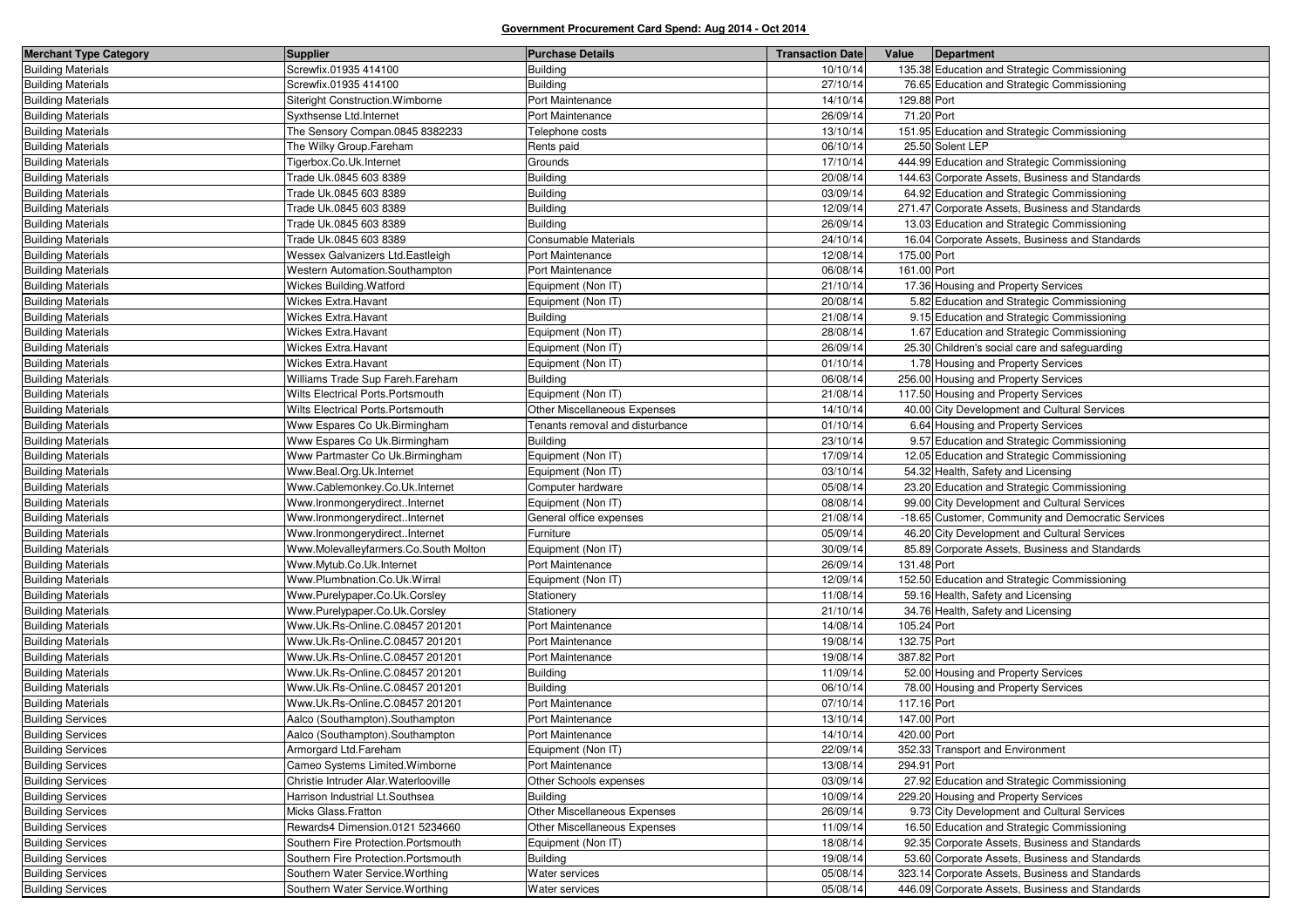| <b>Merchant Type Category</b> | <b>Supplier</b>                       | <b>Purchase Details</b>             | <b>Transaction Date</b> | Value<br>Department                                |
|-------------------------------|---------------------------------------|-------------------------------------|-------------------------|----------------------------------------------------|
| <b>Building Materials</b>     | Screwfix.01935 414100                 | <b>Building</b>                     | 10/10/14                | 135.38 Education and Strategic Commissioning       |
| <b>Building Materials</b>     | Screwfix.01935 414100                 | <b>Building</b>                     | 27/10/14                | 76.65 Education and Strategic Commissioning        |
| <b>Building Materials</b>     | Siteright Construction. Wimborne      | Port Maintenance                    | 14/10/14                | 129.88 Port                                        |
| <b>Building Materials</b>     | Syxthsense Ltd.Internet               | Port Maintenance                    | 26/09/14                | 71.20 Port                                         |
| <b>Building Materials</b>     | The Sensory Compan.0845 8382233       | Felephone costs                     | 13/10/14                | 151.95 Education and Strategic Commissioning       |
| <b>Building Materials</b>     | The Wilky Group.Fareham               | Rents paid                          | 06/10/14                | 25.50 Solent LEP                                   |
| <b>Building Materials</b>     | Tigerbox.Co.Uk.Internet               | Grounds                             | 17/10/14                | 444.99 Education and Strategic Commissioning       |
| <b>Building Materials</b>     | Trade Uk.0845 603 8389                | <b>Building</b>                     | 20/08/14                | 144.63 Corporate Assets, Business and Standards    |
| <b>Building Materials</b>     | Trade Uk.0845 603 8389                | <b>Building</b>                     | 03/09/14                | 64.92 Education and Strategic Commissioning        |
| <b>Building Materials</b>     | Trade Uk.0845 603 8389                | <b>Building</b>                     | 12/09/14                | 271.47 Corporate Assets, Business and Standards    |
| <b>Building Materials</b>     | Trade Uk.0845 603 8389                | <b>Building</b>                     | 26/09/14                | 13.03 Education and Strategic Commissioning        |
| <b>Building Materials</b>     | Trade Uk.0845 603 8389                | <b>Consumable Materials</b>         | 24/10/14                | 16.04 Corporate Assets, Business and Standards     |
| <b>Building Materials</b>     | Wessex Galvanizers Ltd.Eastleigh      | Port Maintenance                    | 12/08/14                | 175.00 Port                                        |
| <b>Building Materials</b>     | Western Automation.Southampton        | Port Maintenance                    | 06/08/14                | 161.00 Port                                        |
| <b>Building Materials</b>     | Wickes Building. Watford              | Equipment (Non IT)                  | 21/10/14                | 17.36 Housing and Property Services                |
| <b>Building Materials</b>     | Wickes Extra.Havant                   | Equipment (Non IT)                  | 20/08/14                | 5.82 Education and Strategic Commissioning         |
| <b>Building Materials</b>     | <b>Wickes Extra.Havant</b>            | <b>Building</b>                     | 21/08/14                | 9.15 Education and Strategic Commissioning         |
| <b>Building Materials</b>     | <b>Wickes Extra.Havant</b>            | Equipment (Non IT)                  | 28/08/14                | 1.67 Education and Strategic Commissioning         |
| <b>Building Materials</b>     | <b>Wickes Extra.Havant</b>            | Equipment (Non IT)                  | 26/09/14                | 25.30 Children's social care and safeguarding      |
| <b>Building Materials</b>     | <b>Wickes Extra.Havant</b>            | Equipment (Non IT)                  | 01/10/14                | 1.78 Housing and Property Services                 |
| <b>Building Materials</b>     | Williams Trade Sup Fareh.Fareham      | <b>Building</b>                     | 06/08/14                | 256.00 Housing and Property Services               |
| <b>Building Materials</b>     | Wilts Electrical Ports.Portsmouth     | Equipment (Non IT)                  | 21/08/14                | 117.50 Housing and Property Services               |
| <b>Building Materials</b>     | Wilts Electrical Ports.Portsmouth     | <b>Other Miscellaneous Expenses</b> | 14/10/14                | 40.00 City Development and Cultural Services       |
| <b>Building Materials</b>     | Www Espares Co Uk.Birmingham          | Tenants removal and disturbance     | 01/10/14                | 6.64 Housing and Property Services                 |
| <b>Building Materials</b>     | Www Espares Co Uk.Birmingham          | <b>Building</b>                     | 23/10/14                | 9.57 Education and Strategic Commissioning         |
| <b>Building Materials</b>     | Www Partmaster Co Uk.Birmingham       | Equipment (Non IT)                  | 17/09/14                | 12.05 Education and Strategic Commissioning        |
| <b>Building Materials</b>     | Www.Beal.Org.Uk.Internet              | Equipment (Non IT)                  | 03/10/14                | 54.32 Health, Safety and Licensing                 |
| <b>Building Materials</b>     | Www.Cablemonkey.Co.Uk.Internet        | Computer hardware                   | 05/08/14                | 23.20 Education and Strategic Commissioning        |
| <b>Building Materials</b>     | Www.IronmongerydirectInternet         | Equipment (Non IT)                  | 08/08/14                | 99.00 City Development and Cultural Services       |
| <b>Building Materials</b>     | Www.IronmongerydirectInternet         | General office expenses             | 21/08/14                | -18.65 Customer, Community and Democratic Services |
| <b>Building Materials</b>     | Www.IronmongerydirectInternet         | Furniture                           | 05/09/14                | 46.20 City Development and Cultural Services       |
| <b>Building Materials</b>     | Www.Molevalleyfarmers.Co.South Molton | Equipment (Non IT)                  | 30/09/14                | 85.89 Corporate Assets, Business and Standards     |
| <b>Building Materials</b>     | Www.Mytub.Co.Uk.Internet              | Port Maintenance                    | 26/09/14                | 131.48 Port                                        |
| <b>Building Materials</b>     | Www.Plumbnation.Co.Uk.Wirral          | Equipment (Non IT)                  | 12/09/14                | 152.50 Education and Strategic Commissioning       |
| <b>Building Materials</b>     | Www.Purelypaper.Co.Uk.Corsley         | Stationery                          | 11/08/14                | 59.16 Health, Safety and Licensing                 |
| <b>Building Materials</b>     | Www.Purelypaper.Co.Uk.Corsley         | Stationery                          | 21/10/14                | 34.76 Health, Safety and Licensing                 |
| <b>Building Materials</b>     | Www.Uk.Rs-Online.C.08457 201201       | Port Maintenance                    | 14/08/14                | 105.24 Port                                        |
| <b>Building Materials</b>     | Www.Uk.Rs-Online.C.08457 201201       | Port Maintenance                    | 19/08/14                | 132.75 Port                                        |
| <b>Building Materials</b>     | Www.Uk.Rs-Online.C.08457 201201       | Port Maintenance                    | 19/08/14                | 387.82 Port                                        |
| <b>Building Materials</b>     | Www.Uk.Rs-Online.C.08457 201201       | <b>Building</b>                     | 11/09/14                | 52.00 Housing and Property Services                |
| <b>Building Materials</b>     | Www.Uk.Rs-Online.C.08457 201201       | <b>Building</b>                     | 06/10/14                | 78.00 Housing and Property Services                |
| <b>Building Materials</b>     | Www.Uk.Rs-Online.C.08457 201201       | Port Maintenance                    | 07/10/14                | 117.16 Port                                        |
| <b>Building Services</b>      | Aalco (Southampton).Southampton       | Port Maintenance                    | 13/10/14                | 147.00 Port                                        |
| <b>Building Services</b>      | Aalco (Southampton). Southampton      | Port Maintenance                    | 14/10/14                | 420.00 Port                                        |
| <b>Building Services</b>      | Armorgard Ltd.Fareham                 | Equipment (Non IT)                  | 22/09/14                | 352.33 Transport and Environment                   |
| <b>Building Services</b>      | Cameo Systems Limited. Wimborne       | Port Maintenance                    | 13/08/14                | 294.91 Port                                        |
| <b>Building Services</b>      | Christie Intruder Alar. Waterlooville | Other Schools expenses              | 03/09/14                | 27.92 Education and Strategic Commissioning        |
| <b>Building Services</b>      | Harrison Industrial Lt.Southsea       | Building                            | 10/09/14                | 229.20 Housing and Property Services               |
| <b>Building Services</b>      | Micks Glass.Fratton                   | Other Miscellaneous Expenses        | 26/09/14                | 9.73 City Development and Cultural Services        |
| <b>Building Services</b>      | Rewards4 Dimension.0121 5234660       | Other Miscellaneous Expenses        | 11/09/14                | 16.50 Education and Strategic Commissioning        |
| <b>Building Services</b>      | Southern Fire Protection.Portsmouth   | Equipment (Non IT)                  | 18/08/14                | 92.35 Corporate Assets, Business and Standards     |
| <b>Building Services</b>      | Southern Fire Protection.Portsmouth   | Building                            | 19/08/14                | 53.60 Corporate Assets, Business and Standards     |
| <b>Building Services</b>      | Southern Water Service. Worthing      | Water services                      | 05/08/14                | 323.14 Corporate Assets, Business and Standards    |
| <b>Building Services</b>      | Southern Water Service. Worthing      | Water services                      | 05/08/14                | 446.09 Corporate Assets, Business and Standards    |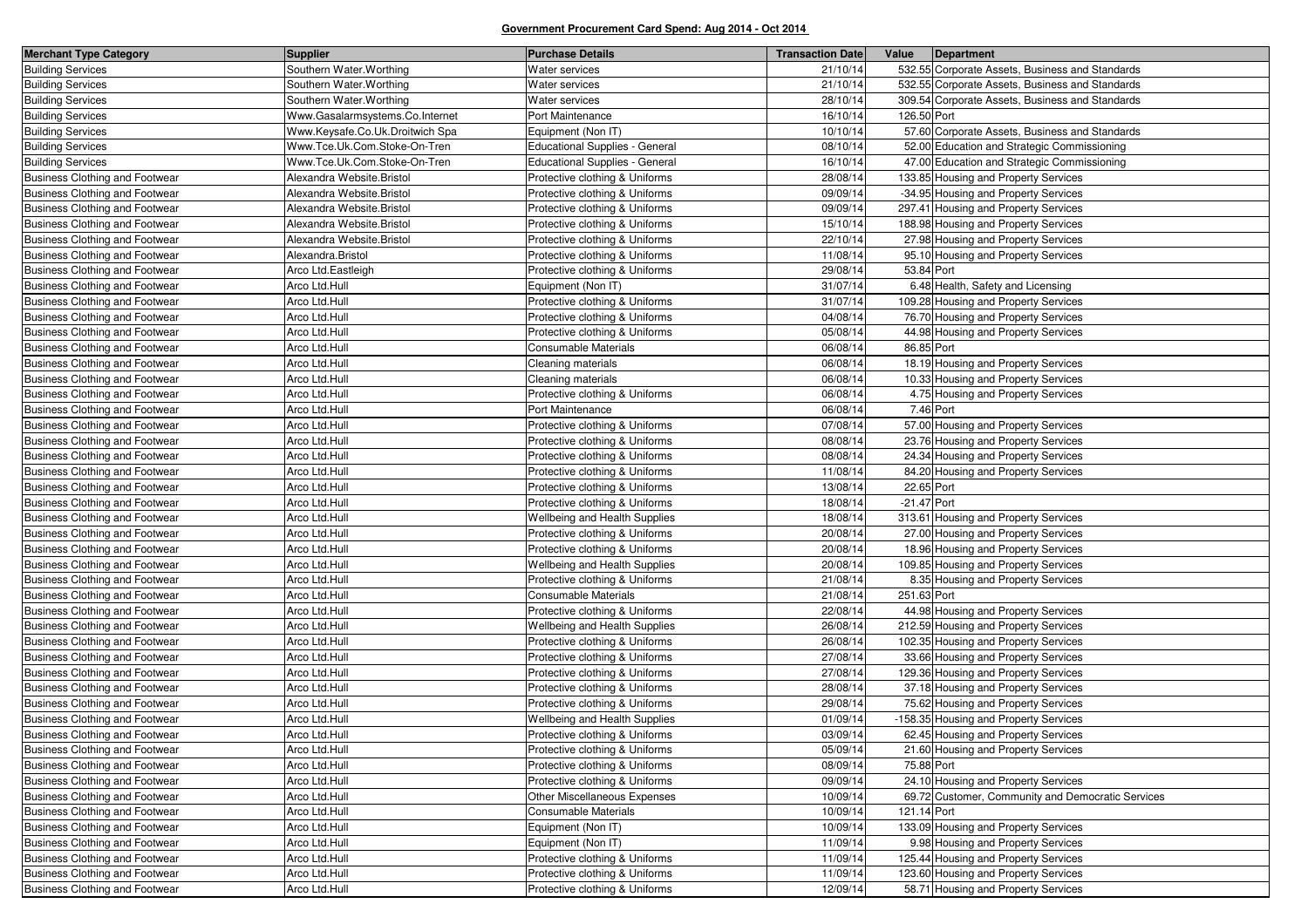| <b>Merchant Type Category</b>         | <b>Supplier</b>                 | <b>Purchase Details</b>               | <b>Transaction Date</b> | Value         | Department                                        |
|---------------------------------------|---------------------------------|---------------------------------------|-------------------------|---------------|---------------------------------------------------|
| <b>Building Services</b>              | Southern Water Worthing         | Water services                        | 21/10/14                |               | 532.55 Corporate Assets, Business and Standards   |
| <b>Building Services</b>              | Southern Water. Worthing        | Water services                        | 21/10/14                |               | 532.55 Corporate Assets, Business and Standards   |
| <b>Building Services</b>              | Southern Water. Worthing        | Water services                        | 28/10/14                |               | 309.54 Corporate Assets, Business and Standards   |
| <b>Building Services</b>              | Www.Gasalarmsystems.Co.Internet | Port Maintenance                      | 16/10/14                | 126.50 Port   |                                                   |
| <b>Building Services</b>              | Www.Keysafe.Co.Uk.Droitwich Spa | Equipment (Non IT)                    | 10/10/14                |               | 57.60 Corporate Assets, Business and Standards    |
| <b>Building Services</b>              | Www.Tce.Uk.Com.Stoke-On-Tren    | <b>Educational Supplies - General</b> | 08/10/14                |               | 52.00 Education and Strategic Commissioning       |
| <b>Building Services</b>              | Www.Tce.Uk.Com.Stoke-On-Tren    | Educational Supplies - General        | 16/10/14                |               | 47.00 Education and Strategic Commissioning       |
| <b>Business Clothing and Footwear</b> | Alexandra Website.Bristol       | Protective clothing & Uniforms        | 28/08/14                |               | 133.85 Housing and Property Services              |
| <b>Business Clothing and Footwear</b> | Alexandra Website.Bristol       | Protective clothing & Uniforms        | 09/09/14                |               | -34.95 Housing and Property Services              |
| <b>Business Clothing and Footwear</b> | Alexandra Website.Bristol       | Protective clothing & Uniforms        | 09/09/14                |               | 297.41 Housing and Property Services              |
| <b>Business Clothing and Footwear</b> | Alexandra Website.Bristol       | Protective clothing & Uniforms        | 15/10/14                |               | 188.98 Housing and Property Services              |
| <b>Business Clothing and Footwear</b> | Alexandra Website.Bristol       | Protective clothing & Uniforms        | 22/10/14                |               | 27.98 Housing and Property Services               |
| <b>Business Clothing and Footwear</b> | Alexandra.Bristol               | Protective clothing & Uniforms        | 11/08/14                |               | 95.10 Housing and Property Services               |
| <b>Business Clothing and Footwear</b> | Arco Ltd.Eastleigh              | Protective clothing & Uniforms        | 29/08/14                | 53.84 Port    |                                                   |
| <b>Business Clothing and Footwear</b> | Arco Ltd.Hull                   | Equipment (Non IT)                    | 31/07/14                |               | 6.48 Health, Safety and Licensing                 |
| <b>Business Clothing and Footwear</b> | Arco Ltd.Hull                   | Protective clothing & Uniforms        | 31/07/14                |               | 109.28 Housing and Property Services              |
| <b>Business Clothing and Footwear</b> | Arco Ltd.Hull                   | Protective clothing & Uniforms        | 04/08/14                |               | 76.70 Housing and Property Services               |
| <b>Business Clothing and Footwear</b> | Arco Ltd.Hull                   | Protective clothing & Uniforms        | 05/08/14                |               | 44.98 Housing and Property Services               |
| <b>Business Clothing and Footwear</b> | Arco Ltd.Hull                   | Consumable Materials                  | 06/08/14                | 86.85 Port    |                                                   |
| <b>Business Clothing and Footwear</b> | Arco Ltd.Hull                   | Cleaning materials                    | 06/08/14                |               | 18.19 Housing and Property Services               |
| <b>Business Clothing and Footwear</b> | Arco Ltd.Hull                   | Cleaning materials                    | 06/08/14                |               | 10.33 Housing and Property Services               |
| <b>Business Clothing and Footwear</b> | Arco Ltd.Hull                   | Protective clothing & Uniforms        | 06/08/14                |               | 4.75 Housing and Property Services                |
| <b>Business Clothing and Footwear</b> | Arco Ltd.Hull                   | Port Maintenance                      | 06/08/14                | 7.46 Port     |                                                   |
| <b>Business Clothing and Footwear</b> | Arco Ltd.Hull                   | Protective clothing & Uniforms        | 07/08/14                |               | 57.00 Housing and Property Services               |
| <b>Business Clothing and Footwear</b> | Arco Ltd.Hull                   | Protective clothing & Uniforms        | 08/08/14                |               | 23.76 Housing and Property Services               |
| <b>Business Clothing and Footwear</b> | Arco Ltd.Hull                   | Protective clothing & Uniforms        | 08/08/14                |               | 24.34 Housing and Property Services               |
| <b>Business Clothing and Footwear</b> | Arco Ltd.Hull                   | Protective clothing & Uniforms        | 11/08/14                |               | 84.20 Housing and Property Services               |
| <b>Business Clothing and Footwear</b> | Arco Ltd.Hull                   | Protective clothing & Uniforms        | 13/08/14                | 22.65 Port    |                                                   |
| <b>Business Clothing and Footwear</b> | Arco Ltd.Hull                   | Protective clothing & Uniforms        | 18/08/14                | $-21.47$ Port |                                                   |
| <b>Business Clothing and Footwear</b> | Arco Ltd.Hull                   | Wellbeing and Health Supplies         | 18/08/14                |               | 313.61 Housing and Property Services              |
| <b>Business Clothing and Footwear</b> | Arco Ltd.Hull                   | Protective clothing & Uniforms        | 20/08/14                |               | 27.00 Housing and Property Services               |
| <b>Business Clothing and Footwear</b> | Arco Ltd.Hull                   | Protective clothing & Uniforms        | 20/08/14                |               | 18.96 Housing and Property Services               |
| <b>Business Clothing and Footwear</b> | Arco Ltd.Hull                   | Wellbeing and Health Supplies         | 20/08/14                |               | 109.85 Housing and Property Services              |
| <b>Business Clothing and Footwear</b> | Arco Ltd.Hull                   | Protective clothing & Uniforms        | 21/08/14                |               | 8.35 Housing and Property Services                |
| <b>Business Clothing and Footwear</b> | Arco Ltd.Hull                   | Consumable Materials                  | 21/08/14                | 251.63 Port   |                                                   |
| <b>Business Clothing and Footwear</b> | Arco Ltd.Hull                   | Protective clothing & Uniforms        | 22/08/14                |               | 44.98 Housing and Property Services               |
| <b>Business Clothing and Footwear</b> | Arco Ltd.Hull                   | Wellbeing and Health Supplies         | 26/08/14                |               | 212.59 Housing and Property Services              |
| <b>Business Clothing and Footwear</b> | Arco Ltd.Hull                   | Protective clothing & Uniforms        | 26/08/14                |               | 102.35 Housing and Property Services              |
| <b>Business Clothing and Footwear</b> | Arco Ltd.Hull                   | Protective clothing & Uniforms        | 27/08/14                |               | 33.66 Housing and Property Services               |
| <b>Business Clothing and Footwear</b> | Arco Ltd.Hull                   | Protective clothing & Uniforms        | 27/08/14                |               | 129.36 Housing and Property Services              |
| <b>Business Clothing and Footwear</b> | Arco Ltd.Hull                   | Protective clothing & Uniforms        | 28/08/14                |               | 37.18 Housing and Property Services               |
| <b>Business Clothing and Footwear</b> | Arco Ltd.Hull                   | Protective clothing & Uniforms        | 29/08/14                |               | 75.62 Housing and Property Services               |
| <b>Business Clothing and Footwear</b> | Arco Ltd.Hull                   | Wellbeing and Health Supplies         | 01/09/14                |               | -158.35 Housing and Property Services             |
| <b>Business Clothing and Footwear</b> | Arco Ltd.Hull                   | Protective clothing & Uniforms        | 03/09/14                |               | 62.45 Housing and Property Services               |
| <b>Business Clothing and Footwear</b> | Arco Ltd.Hull                   | Protective clothing & Uniforms        | 05/09/14                |               | 21.60 Housing and Property Services               |
| Business Clothing and Footwear        | Arco Ltd.Hull                   | Protective clothing & Uniforms        | 08/09/14                | 75.88 Port    |                                                   |
| Business Clothing and Footwear        | Arco Ltd.Hull                   | Protective clothing & Uniforms        | 09/09/14                |               | 24.10 Housing and Property Services               |
| Business Clothing and Footwear        | Arco Ltd.Hull                   | Other Miscellaneous Expenses          | 10/09/14                |               | 69.72 Customer, Community and Democratic Services |
| <b>Business Clothing and Footwear</b> | Arco Ltd.Hull                   | Consumable Materials                  | 10/09/14                | 121.14 Port   |                                                   |
| Business Clothing and Footwear        | Arco Ltd.Hull                   | Equipment (Non IT)                    | 10/09/14                |               | 133.09 Housing and Property Services              |
| Business Clothing and Footwear        | Arco Ltd.Hull                   | Equipment (Non IT)                    | 11/09/14                |               | 9.98 Housing and Property Services                |
| <b>Business Clothing and Footwear</b> | Arco Ltd.Hull                   | Protective clothing & Uniforms        | 11/09/14                |               | 125.44 Housing and Property Services              |
| Business Clothing and Footwear        | Arco Ltd.Hull                   | Protective clothing & Uniforms        | 11/09/14                |               | 123.60 Housing and Property Services              |
| <b>Business Clothing and Footwear</b> | Arco Ltd.Hull                   | Protective clothing & Uniforms        | 12/09/14                |               | 58.71 Housing and Property Services               |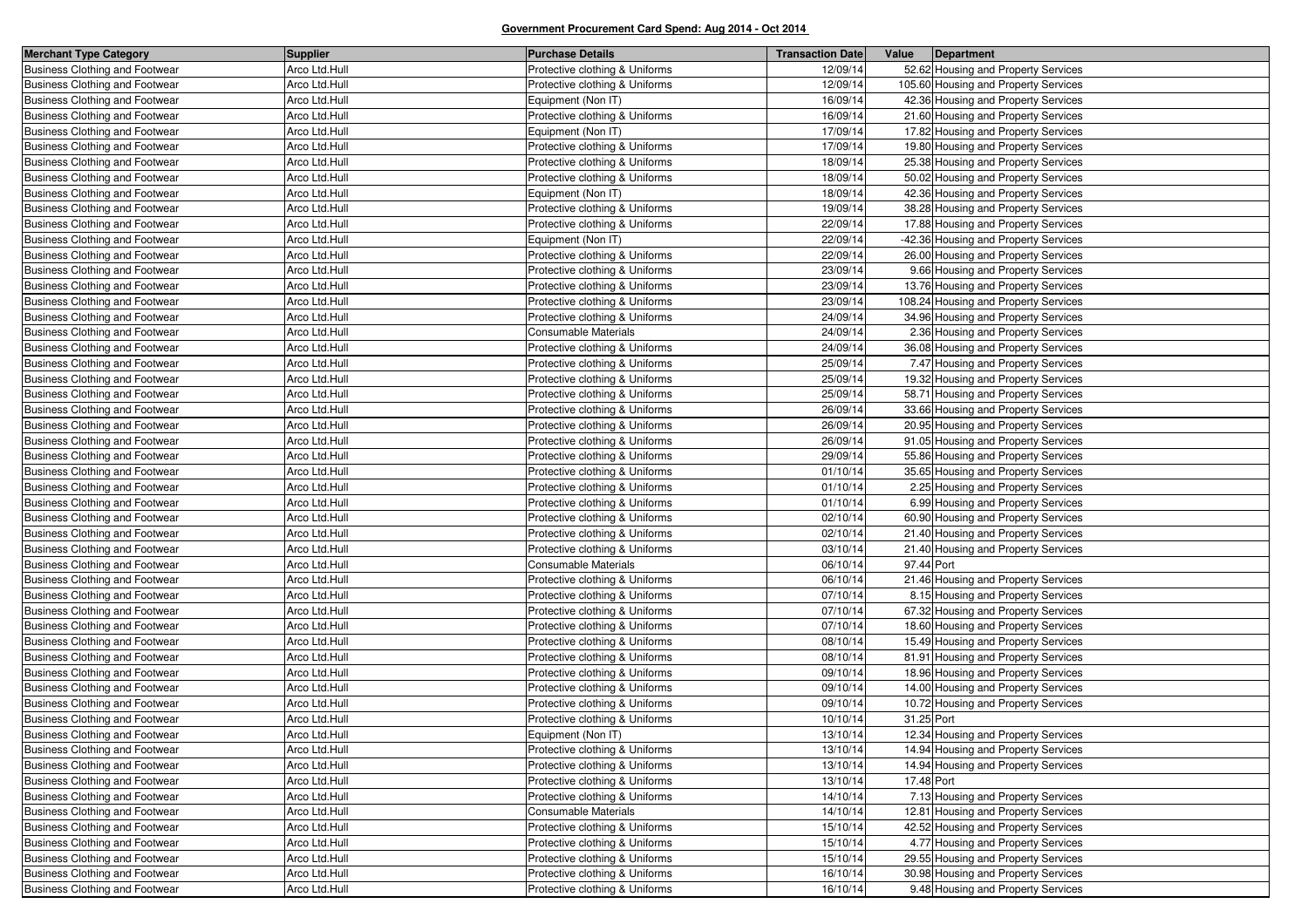| <b>Merchant Type Category</b>         | <b>Supplier</b> | <b>Purchase Details</b>        | <b>Transaction Date</b> | Value      | Department                           |
|---------------------------------------|-----------------|--------------------------------|-------------------------|------------|--------------------------------------|
| <b>Business Clothing and Footwear</b> | Arco Ltd.Hull   | Protective clothing & Uniforms | 12/09/14                |            | 52.62 Housing and Property Services  |
| <b>Business Clothing and Footwear</b> | Arco Ltd.Hull   | Protective clothing & Uniforms | 12/09/14                |            | 105.60 Housing and Property Services |
| <b>Business Clothing and Footwear</b> | Arco Ltd.Hull   | Equipment (Non IT)             | 16/09/14                |            | 42.36 Housing and Property Services  |
| <b>Business Clothing and Footwear</b> | Arco Ltd.Hull   | Protective clothing & Uniforms | 16/09/14                |            | 21.60 Housing and Property Services  |
| <b>Business Clothing and Footwear</b> | Arco Ltd.Hull   | Equipment (Non IT)             | 17/09/14                |            | 17.82 Housing and Property Services  |
| <b>Business Clothing and Footwear</b> | Arco Ltd.Hull   | Protective clothing & Uniforms | 17/09/14                |            | 19.80 Housing and Property Services  |
| <b>Business Clothing and Footwear</b> | Arco Ltd.Hull   | Protective clothing & Uniforms | 18/09/14                |            | 25.38 Housing and Property Services  |
| <b>Business Clothing and Footwear</b> | Arco Ltd.Hull   | Protective clothing & Uniforms | 18/09/14                |            | 50.02 Housing and Property Services  |
| <b>Business Clothing and Footwear</b> | Arco Ltd.Hull   | Equipment (Non IT)             | 18/09/14                |            | 42.36 Housing and Property Services  |
| <b>Business Clothing and Footwear</b> | Arco Ltd.Hull   | Protective clothing & Uniforms | 19/09/14                |            | 38.28 Housing and Property Services  |
| <b>Business Clothing and Footwear</b> | Arco Ltd.Hull   | Protective clothing & Uniforms | 22/09/14                |            | 17.88 Housing and Property Services  |
| <b>Business Clothing and Footwear</b> | Arco Ltd.Hull   | Equipment (Non IT)             | 22/09/14                |            | -42.36 Housing and Property Services |
| <b>Business Clothing and Footwear</b> | Arco Ltd.Hull   | Protective clothing & Uniforms | 22/09/14                |            | 26.00 Housing and Property Services  |
| <b>Business Clothing and Footwear</b> | Arco Ltd.Hull   | Protective clothing & Uniforms | 23/09/14                |            | 9.66 Housing and Property Services   |
| <b>Business Clothing and Footwear</b> | Arco Ltd.Hull   | Protective clothing & Uniforms | 23/09/14                |            | 13.76 Housing and Property Services  |
| Business Clothing and Footwear        | Arco Ltd.Hull   | Protective clothing & Uniforms | 23/09/14                |            | 108.24 Housing and Property Services |
| <b>Business Clothing and Footwear</b> | Arco Ltd.Hull   | Protective clothing & Uniforms | 24/09/14                |            | 34.96 Housing and Property Services  |
| <b>Business Clothing and Footwear</b> | Arco Ltd.Hull   | Consumable Materials           | 24/09/14                |            | 2.36 Housing and Property Services   |
| <b>Business Clothing and Footwear</b> | Arco Ltd.Hull   | Protective clothing & Uniforms | 24/09/14                |            | 36.08 Housing and Property Services  |
| <b>Business Clothing and Footwear</b> | Arco Ltd.Hull   | Protective clothing & Uniforms | 25/09/14                |            | 7.47 Housing and Property Services   |
| <b>Business Clothing and Footwear</b> | Arco Ltd.Hull   | Protective clothing & Uniforms | 25/09/14                |            | 19.32 Housing and Property Services  |
| <b>Business Clothing and Footwear</b> | Arco Ltd.Hull   | Protective clothing & Uniforms | 25/09/14                |            | 58.71 Housing and Property Services  |
| <b>Business Clothing and Footwear</b> | Arco Ltd.Hull   | Protective clothing & Uniforms | 26/09/14                |            | 33.66 Housing and Property Services  |
| <b>Business Clothing and Footwear</b> | Arco Ltd.Hull   | Protective clothing & Uniforms | 26/09/14                |            | 20.95 Housing and Property Services  |
| <b>Business Clothing and Footwear</b> | Arco Ltd.Hull   | Protective clothing & Uniforms | 26/09/14                |            | 91.05 Housing and Property Services  |
| <b>Business Clothing and Footwear</b> | Arco Ltd.Hull   | Protective clothing & Uniforms | 29/09/14                |            | 55.86 Housing and Property Services  |
| <b>Business Clothing and Footwear</b> | Arco Ltd.Hull   | Protective clothing & Uniforms | 01/10/14                |            | 35.65 Housing and Property Services  |
| Business Clothing and Footwear        | Arco Ltd.Hull   | Protective clothing & Uniforms | 01/10/14                |            | 2.25 Housing and Property Services   |
| <b>Business Clothing and Footwear</b> | Arco Ltd.Hull   | Protective clothing & Uniforms | 01/10/14                |            | 6.99 Housing and Property Services   |
| <b>Business Clothing and Footwear</b> | Arco Ltd.Hull   | Protective clothing & Uniforms | 02/10/14                |            | 60.90 Housing and Property Services  |
| Business Clothing and Footwear        | Arco Ltd.Hull   | Protective clothing & Uniforms | 02/10/14                |            | 21.40 Housing and Property Services  |
| <b>Business Clothing and Footwear</b> | Arco Ltd.Hull   | Protective clothing & Uniforms | 03/10/14                |            | 21.40 Housing and Property Services  |
| <b>Business Clothing and Footwear</b> | Arco Ltd.Hull   | <b>Consumable Materials</b>    | 06/10/14                | 97.44 Port |                                      |
| <b>Business Clothing and Footwear</b> | Arco Ltd.Hull   | Protective clothing & Uniforms | 06/10/14                |            | 21.46 Housing and Property Services  |
| <b>Business Clothing and Footwear</b> | Arco Ltd.Hull   | Protective clothing & Uniforms | 07/10/14                |            | 8.15 Housing and Property Services   |
| <b>Business Clothing and Footwear</b> | Arco Ltd.Hull   | Protective clothing & Uniforms | 07/10/14                |            | 67.32 Housing and Property Services  |
| <b>Business Clothing and Footwear</b> | Arco Ltd.Hull   | Protective clothing & Uniforms | 07/10/14                |            | 18.60 Housing and Property Services  |
| <b>Business Clothing and Footwear</b> | Arco Ltd.Hull   | Protective clothing & Uniforms | 08/10/14                |            | 15.49 Housing and Property Services  |
| <b>Business Clothing and Footwear</b> | Arco Ltd.Hull   | Protective clothing & Uniforms | 08/10/14                |            | 81.91 Housing and Property Services  |
| <b>Business Clothing and Footwear</b> | Arco Ltd.Hull   | Protective clothing & Uniforms | 09/10/14                |            | 18.96 Housing and Property Services  |
| <b>Business Clothing and Footwear</b> | Arco Ltd.Hull   | Protective clothing & Uniforms | 09/10/14                |            | 14.00 Housing and Property Services  |
| Business Clothing and Footwear        | Arco Ltd.Hull   | Protective clothing & Uniforms | 09/10/14                |            | 10.72 Housing and Property Services  |
| <b>Business Clothing and Footwear</b> | Arco Ltd.Hull   | Protective clothing & Uniforms | 10/10/14                | 31.25 Port |                                      |
| <b>Business Clothing and Footwear</b> | Arco Ltd.Hull   | Equipment (Non IT)             | 13/10/14                |            | 12.34 Housing and Property Services  |
| <b>Business Clothing and Footwear</b> | Arco Ltd.Hull   | Protective clothing & Uniforms | 13/10/14                |            | 14.94 Housing and Property Services  |
| <b>Business Clothing and Footwear</b> | Arco Ltd.Hull   | Protective clothing & Uniforms | 13/10/14                |            | 14.94 Housing and Property Services  |
| Business Clothing and Footwear        | Arco Ltd.Hull   | Protective clothing & Uniforms | 13/10/14                | 17.48 Port |                                      |
| Business Clothing and Footwear        | Arco Ltd.Hull   | Protective clothing & Uniforms | 14/10/14                |            | 7.13 Housing and Property Services   |
| <b>Business Clothing and Footwear</b> | Arco Ltd.Hull   | <b>Consumable Materials</b>    | 14/10/14                |            | 12.81 Housing and Property Services  |
| Business Clothing and Footwear        | Arco Ltd.Hull   | Protective clothing & Uniforms | 15/10/14                |            | 42.52 Housing and Property Services  |
| Business Clothing and Footwear        | Arco Ltd.Hull   | Protective clothing & Uniforms | 15/10/14                |            | 4.77 Housing and Property Services   |
| Business Clothing and Footwear        | Arco Ltd.Hull   | Protective clothing & Uniforms | 15/10/14                |            | 29.55 Housing and Property Services  |
| Business Clothing and Footwear        | Arco Ltd.Hull   | Protective clothing & Uniforms | 16/10/14                |            | 30.98 Housing and Property Services  |
| Business Clothing and Footwear        | Arco Ltd.Hull   | Protective clothing & Uniforms | 16/10/14                |            | 9.48 Housing and Property Services   |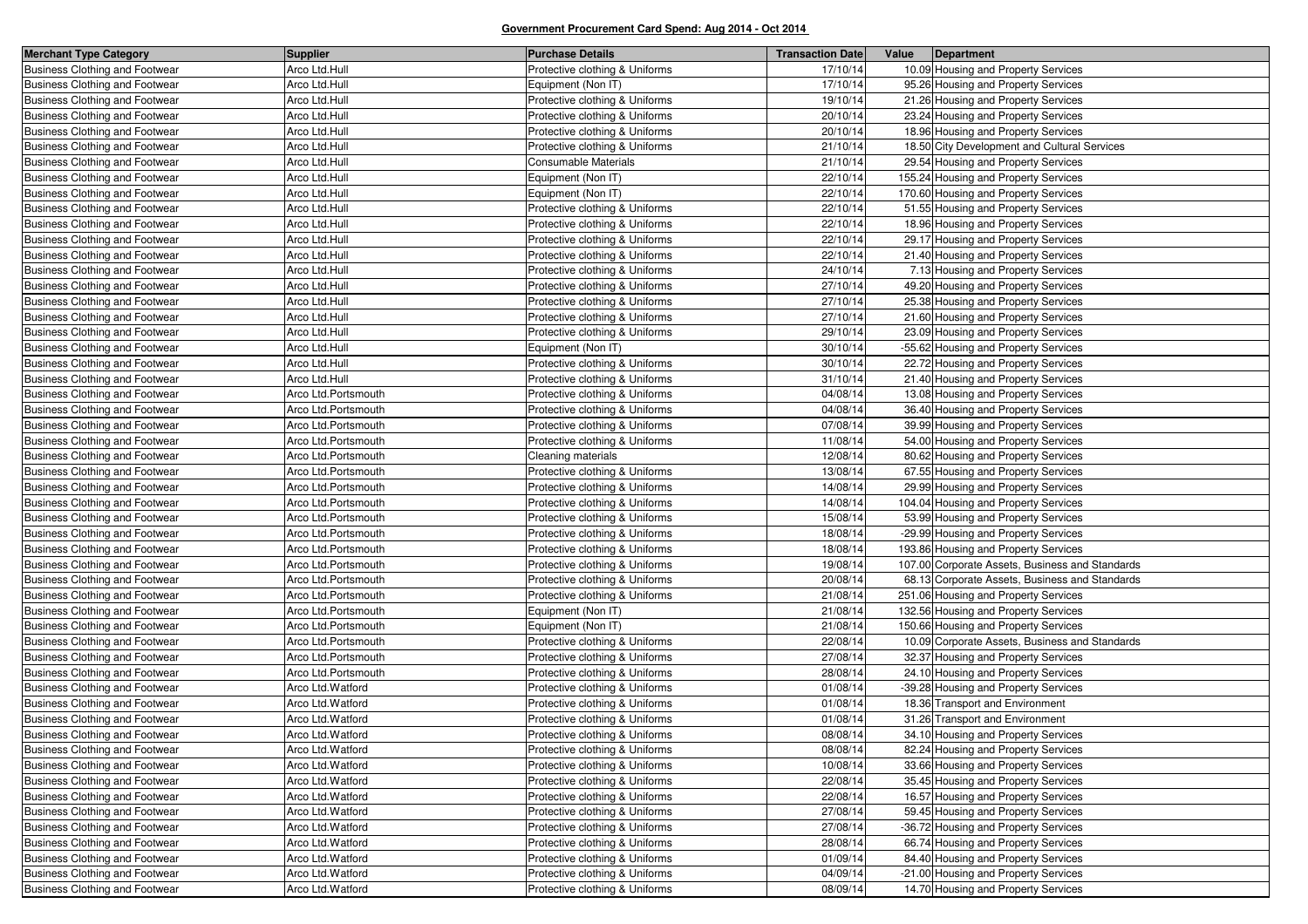| <b>Merchant Type Category</b>         | Supplier             | <b>Purchase Details</b>        | <b>Transaction Date</b> | Value | Department                                      |
|---------------------------------------|----------------------|--------------------------------|-------------------------|-------|-------------------------------------------------|
| <b>Business Clothing and Footwear</b> | Arco Ltd.Hull        | Protective clothing & Uniforms | 17/10/14                |       | 10.09 Housing and Property Services             |
| <b>Business Clothing and Footwear</b> | Arco Ltd.Hull        | Equipment (Non IT)             | 17/10/14                |       | 95.26 Housing and Property Services             |
| <b>Business Clothing and Footwear</b> | Arco Ltd.Hull        | Protective clothing & Uniforms | 19/10/14                |       | 21.26 Housing and Property Services             |
| <b>Business Clothing and Footwear</b> | Arco Ltd.Hull        | Protective clothing & Uniforms | 20/10/14                |       | 23.24 Housing and Property Services             |
| <b>Business Clothing and Footwear</b> | Arco Ltd.Hull        | Protective clothing & Uniforms | 20/10/14                |       | 18.96 Housing and Property Services             |
| <b>Business Clothing and Footwear</b> | Arco Ltd.Hull        | Protective clothing & Uniforms | 21/10/14                |       | 18.50 City Development and Cultural Services    |
| <b>Business Clothing and Footwear</b> | Arco Ltd.Hull        | Consumable Materials           | 21/10/14                |       | 29.54 Housing and Property Services             |
| <b>Business Clothing and Footwear</b> | Arco Ltd.Hull        | Equipment (Non IT)             | 22/10/14                |       | 155.24 Housing and Property Services            |
| <b>Business Clothing and Footwear</b> | Arco Ltd.Hull        | Equipment (Non IT)             | 22/10/14                |       | 170.60 Housing and Property Services            |
| <b>Business Clothing and Footwear</b> | Arco Ltd.Hull        | Protective clothing & Uniforms | 22/10/14                |       | 51.55 Housing and Property Services             |
| <b>Business Clothing and Footwear</b> | Arco Ltd.Hull        | Protective clothing & Uniforms | 22/10/14                |       | 18.96 Housing and Property Services             |
| <b>Business Clothing and Footwear</b> | Arco Ltd.Hull        | Protective clothing & Uniforms | 22/10/14                |       | 29.17 Housing and Property Services             |
| <b>Business Clothing and Footwear</b> | Arco Ltd.Hull        | Protective clothing & Uniforms | 22/10/14                |       | 21.40 Housing and Property Services             |
| <b>Business Clothing and Footwear</b> | Arco Ltd.Hull        | Protective clothing & Uniforms | 24/10/14                |       | 7.13 Housing and Property Services              |
| <b>Business Clothing and Footwear</b> | Arco Ltd.Hull        | Protective clothing & Uniforms | 27/10/14                |       | 49.20 Housing and Property Services             |
| <b>Business Clothing and Footwear</b> | Arco Ltd.Hull        | Protective clothing & Uniforms | 27/10/14                |       | 25.38 Housing and Property Services             |
| <b>Business Clothing and Footwear</b> | Arco Ltd.Hull        | Protective clothing & Uniforms | 27/10/14                |       | 21.60 Housing and Property Services             |
| <b>Business Clothing and Footwear</b> | Arco Ltd.Hull        | Protective clothing & Uniforms | 29/10/14                |       | 23.09 Housing and Property Services             |
| <b>Business Clothing and Footwear</b> | Arco Ltd.Hull        | Equipment (Non IT)             | 30/10/14                |       | -55.62 Housing and Property Services            |
| <b>Business Clothing and Footwear</b> | Arco Ltd.Hull        | Protective clothing & Uniforms | 30/10/14                |       | 22.72 Housing and Property Services             |
| <b>Business Clothing and Footwear</b> | Arco Ltd.Hull        | Protective clothing & Uniforms | 31/10/14                |       | 21.40 Housing and Property Services             |
| <b>Business Clothing and Footwear</b> | Arco Ltd.Portsmouth  | Protective clothing & Uniforms | 04/08/14                |       | 13.08 Housing and Property Services             |
| <b>Business Clothing and Footwear</b> | Arco Ltd.Portsmouth  | Protective clothing & Uniforms | 04/08/14                |       | 36.40 Housing and Property Services             |
| <b>Business Clothing and Footwear</b> | Arco Ltd.Portsmouth  | Protective clothing & Uniforms | 07/08/14                |       | 39.99 Housing and Property Services             |
| <b>Business Clothing and Footwear</b> | Arco Ltd.Portsmouth  | Protective clothing & Uniforms | 11/08/14                |       | 54.00 Housing and Property Services             |
| <b>Business Clothing and Footwear</b> | Arco Ltd.Portsmouth  | Cleaning materials             | 12/08/14                |       | 80.62 Housing and Property Services             |
| <b>Business Clothing and Footwear</b> | Arco Ltd.Portsmouth  | Protective clothing & Uniforms | 13/08/14                |       | 67.55 Housing and Property Services             |
| <b>Business Clothing and Footwear</b> | Arco Ltd. Portsmouth | Protective clothing & Uniforms | 14/08/14                |       | 29.99 Housing and Property Services             |
| <b>Business Clothing and Footwear</b> | Arco Ltd.Portsmouth  | Protective clothing & Uniforms | 14/08/14                |       | 104.04 Housing and Property Services            |
| <b>Business Clothing and Footwear</b> | Arco Ltd.Portsmouth  | Protective clothing & Uniforms | 15/08/14                |       | 53.99 Housing and Property Services             |
| Business Clothing and Footwear        | Arco Ltd. Portsmouth | Protective clothing & Uniforms | 18/08/14                |       | -29.99 Housing and Property Services            |
| <b>Business Clothing and Footwear</b> | Arco Ltd.Portsmouth  | Protective clothing & Uniforms | 18/08/14                |       | 193.86 Housing and Property Services            |
| <b>Business Clothing and Footwear</b> | Arco Ltd.Portsmouth  | Protective clothing & Uniforms | 19/08/14                |       | 107.00 Corporate Assets, Business and Standards |
| <b>Business Clothing and Footwear</b> | Arco Ltd.Portsmouth  | Protective clothing & Uniforms | 20/08/14                |       | 68.13 Corporate Assets, Business and Standards  |
| <b>Business Clothing and Footwear</b> | Arco Ltd.Portsmouth  | Protective clothing & Uniforms | 21/08/14                |       | 251.06 Housing and Property Services            |
| <b>Business Clothing and Footwear</b> | Arco Ltd.Portsmouth  | Equipment (Non IT)             | 21/08/14                |       | 132.56 Housing and Property Services            |
| <b>Business Clothing and Footwear</b> | Arco Ltd.Portsmouth  | Equipment (Non IT)             | 21/08/14                |       | 150.66 Housing and Property Services            |
| <b>Business Clothing and Footwear</b> | Arco Ltd.Portsmouth  | Protective clothing & Uniforms | 22/08/14                |       | 10.09 Corporate Assets, Business and Standards  |
| <b>Business Clothing and Footwear</b> | Arco Ltd.Portsmouth  | Protective clothing & Uniforms | 27/08/14                |       | 32.37 Housing and Property Services             |
| <b>Business Clothing and Footwear</b> | Arco Ltd.Portsmouth  | Protective clothing & Uniforms | 28/08/14                |       | 24.10 Housing and Property Services             |
| <b>Business Clothing and Footwear</b> | Arco Ltd.Watford     | Protective clothing & Uniforms | 01/08/14                |       | -39.28 Housing and Property Services            |
| Business Clothing and Footwear        | Arco Ltd.Watford     | Protective clothing & Uniforms | 01/08/14                |       | 18.36 Transport and Environment                 |
| <b>Business Clothing and Footwear</b> | Arco Ltd.Watford     | Protective clothing & Uniforms | 01/08/14                |       | 31.26 Transport and Environment                 |
| <b>Business Clothing and Footwear</b> | Arco Ltd.Watford     | Protective clothing & Uniforms | 08/08/14                |       | 34.10 Housing and Property Services             |
| <b>Business Clothing and Footwear</b> | Arco Ltd.Watford     | Protective clothing & Uniforms | 08/08/14                |       | 82.24 Housing and Property Services             |
| <b>Business Clothing and Footwear</b> | Arco Ltd.Watford     | Protective clothing & Uniforms | 10/08/14                |       | 33.66 Housing and Property Services             |
| <b>Business Clothing and Footwear</b> | Arco Ltd.Watford     | Protective clothing & Uniforms | 22/08/14                |       | 35.45 Housing and Property Services             |
| <b>Business Clothing and Footwear</b> | Arco Ltd.Watford     | Protective clothing & Uniforms | 22/08/14                |       | 16.57 Housing and Property Services             |
| <b>Business Clothing and Footwear</b> | Arco Ltd.Watford     | Protective clothing & Uniforms | 27/08/14                |       | 59.45 Housing and Property Services             |
| Business Clothing and Footwear        | Arco Ltd.Watford     | Protective clothing & Uniforms | 27/08/14                |       | -36.72 Housing and Property Services            |
| Business Clothing and Footwear        | Arco Ltd.Watford     | Protective clothing & Uniforms | 28/08/14                |       | 66.74 Housing and Property Services             |
| <b>Business Clothing and Footwear</b> | Arco Ltd.Watford     | Protective clothing & Uniforms | 01/09/14                |       | 84.40 Housing and Property Services             |
| Business Clothing and Footwear        | Arco Ltd.Watford     | Protective clothing & Uniforms | 04/09/14                |       | -21.00 Housing and Property Services            |
| Business Clothing and Footwear        | Arco Ltd.Watford     | Protective clothing & Uniforms | 08/09/14                |       | 14.70 Housing and Property Services             |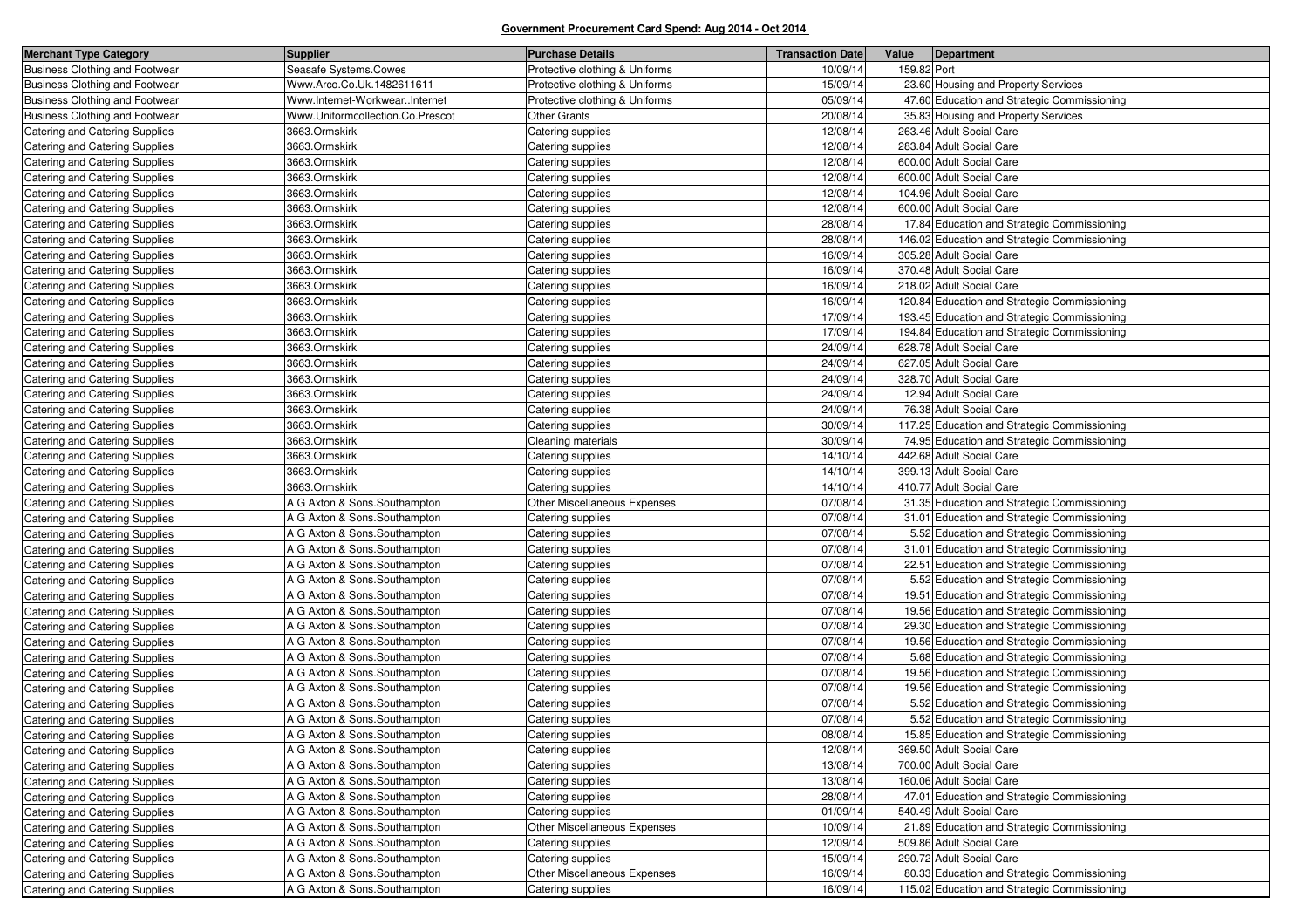| <b>Merchant Type Category</b>         | <b>Supplier</b>                  | <b>Purchase Details</b>        | <b>Transaction Date</b> | Value       | Department                                   |
|---------------------------------------|----------------------------------|--------------------------------|-------------------------|-------------|----------------------------------------------|
| Business Clothing and Footwear        | Seasafe Systems.Cowes            | Protective clothing & Uniforms | 10/09/14                | 159.82 Port |                                              |
| <b>Business Clothing and Footwear</b> | Www.Arco.Co.Uk.1482611611        | Protective clothing & Uniforms | 15/09/14                |             | 23.60 Housing and Property Services          |
| <b>Business Clothing and Footwear</b> | Www.Internet-WorkwearInternet    | Protective clothing & Uniforms | 05/09/14                |             | 47.60 Education and Strategic Commissioning  |
| Business Clothing and Footwear        | Www.Uniformcollection.Co.Prescot | <b>Other Grants</b>            | 20/08/14                |             | 35.83 Housing and Property Services          |
| Catering and Catering Supplies        | 3663.Ormskirk                    | Catering supplies              | 12/08/14                |             | 263.46 Adult Social Care                     |
| Catering and Catering Supplies        | 3663.Ormskirk                    | Catering supplies              | 12/08/14                |             | 283.84 Adult Social Care                     |
| Catering and Catering Supplies        | 3663.Ormskirk                    | Catering supplies              | 12/08/14                |             | 600.00 Adult Social Care                     |
| Catering and Catering Supplies        | 3663.Ormskirk                    | Catering supplies              | 12/08/14                |             | 600.00 Adult Social Care                     |
| Catering and Catering Supplies        | 3663.Ormskirk                    | Catering supplies              | 12/08/14                |             | 104.96 Adult Social Care                     |
| Catering and Catering Supplies        | 3663.Ormskirk                    | Catering supplies              | 12/08/14                |             | 600.00 Adult Social Care                     |
| Catering and Catering Supplies        | 3663.Ormskirk                    | Catering supplies              | 28/08/14                |             | 17.84 Education and Strategic Commissioning  |
| Catering and Catering Supplies        | 3663.Ormskirk                    | Catering supplies              | 28/08/14                |             | 146.02 Education and Strategic Commissioning |
| Catering and Catering Supplies        | 3663.Ormskirk                    | Catering supplies              | 16/09/14                |             | 305.28 Adult Social Care                     |
| Catering and Catering Supplies        | 3663.Ormskirk                    | Catering supplies              | 16/09/14                |             | 370.48 Adult Social Care                     |
| Catering and Catering Supplies        | 3663.Ormskirk                    | Catering supplies              | 16/09/14                |             | 218.02 Adult Social Care                     |
| Catering and Catering Supplies        | 3663.Ormskirk                    | Catering supplies              | 16/09/14                |             | 120.84 Education and Strategic Commissioning |
| Catering and Catering Supplies        | 3663.Ormskirk                    | Catering supplies              | 17/09/14                |             | 193.45 Education and Strategic Commissioning |
| Catering and Catering Supplies        | 3663.Ormskirk                    | Catering supplies              | 17/09/14                |             | 194.84 Education and Strategic Commissioning |
| Catering and Catering Supplies        | 3663.Ormskirk                    | Catering supplies              | 24/09/14                |             | 628.78 Adult Social Care                     |
| Catering and Catering Supplies        | 3663.Ormskirk                    | Catering supplies              | 24/09/14                |             | 627.05 Adult Social Care                     |
| Catering and Catering Supplies        | 3663.Ormskirk                    | Catering supplies              | 24/09/14                |             | 328.70 Adult Social Care                     |
| Catering and Catering Supplies        | 3663.Ormskirk                    | Catering supplies              | 24/09/14                |             | 12.94 Adult Social Care                      |
| Catering and Catering Supplies        | 3663.Ormskirk                    | Catering supplies              | 24/09/14                |             | 76.38 Adult Social Care                      |
| Catering and Catering Supplies        | 3663.Ormskirk                    | Catering supplies              | 30/09/14                |             | 117.25 Education and Strategic Commissioning |
| Catering and Catering Supplies        | 3663.Ormskirk                    | Cleaning materials             | 30/09/14                |             | 74.95 Education and Strategic Commissioning  |
| Catering and Catering Supplies        | 3663.Ormskirk                    | Catering supplies              | 14/10/14                |             | 442.68 Adult Social Care                     |
| Catering and Catering Supplies        | 3663.Ormskirk                    | Catering supplies              | 14/10/14                |             | 399.13 Adult Social Care                     |
| Catering and Catering Supplies        | 3663.Ormskirk                    | Catering supplies              | 14/10/14                |             | 410.77 Adult Social Care                     |
| Catering and Catering Supplies        | A G Axton & Sons.Southampton     | Other Miscellaneous Expenses   | 07/08/14                |             | 31.35 Education and Strategic Commissioning  |
| <b>Catering and Catering Supplies</b> | A G Axton & Sons.Southampton     | Catering supplies              | 07/08/14                |             | 31.01 Education and Strategic Commissioning  |
| Catering and Catering Supplies        | A G Axton & Sons.Southampton     | Catering supplies              | 07/08/14                |             | 5.52 Education and Strategic Commissioning   |
| Catering and Catering Supplies        | A G Axton & Sons.Southampton     | Catering supplies              | 07/08/14                |             | 31.01 Education and Strategic Commissioning  |
| Catering and Catering Supplies        | A G Axton & Sons.Southampton     | Catering supplies              | 07/08/14                |             | 22.51 Education and Strategic Commissioning  |
| Catering and Catering Supplies        | A G Axton & Sons.Southampton     | Catering supplies              | 07/08/14                |             | 5.52 Education and Strategic Commissioning   |
| Catering and Catering Supplies        | A G Axton & Sons.Southampton     | Catering supplies              | 07/08/14                |             | 19.51 Education and Strategic Commissioning  |
| Catering and Catering Supplies        | A G Axton & Sons.Southampton     | Catering supplies              | 07/08/14                |             | 19.56 Education and Strategic Commissioning  |
| Catering and Catering Supplies        | A G Axton & Sons.Southampton     | Catering supplies              | 07/08/14                |             | 29.30 Education and Strategic Commissioning  |
| Catering and Catering Supplies        | A G Axton & Sons.Southampton     | Catering supplies              | 07/08/14                |             | 19.56 Education and Strategic Commissioning  |
| Catering and Catering Supplies        | A G Axton & Sons.Southampton     | Catering supplies              | 07/08/14                |             | 5.68 Education and Strategic Commissioning   |
| Catering and Catering Supplies        | A G Axton & Sons.Southampton     | Catering supplies              | 07/08/14                |             | 19.56 Education and Strategic Commissioning  |
| Catering and Catering Supplies        | A G Axton & Sons.Southampton     | Catering supplies              | 07/08/14                |             | 19.56 Education and Strategic Commissioning  |
| Catering and Catering Supplies        | A G Axton & Sons.Southampton     | Catering supplies              | 07/08/14                |             | 5.52 Education and Strategic Commissioning   |
| Catering and Catering Supplies        | A G Axton & Sons.Southampton     | Catering supplies              | 07/08/14                |             | 5.52 Education and Strategic Commissioning   |
| Catering and Catering Supplies        | A G Axton & Sons.Southampton     | Catering supplies              | 08/08/14                |             | 15.85 Education and Strategic Commissioning  |
| Catering and Catering Supplies        | A G Axton & Sons.Southampton     | Catering supplies              | 12/08/14                |             | 369.50 Adult Social Care                     |
| Catering and Catering Supplies        | A G Axton & Sons.Southampton     | Catering supplies              | 13/08/14                |             | 700.00 Adult Social Care                     |
| Catering and Catering Supplies        | A G Axton & Sons.Southampton     | Catering supplies              | 13/08/14                |             | 160.06 Adult Social Care                     |
| Catering and Catering Supplies        | A G Axton & Sons.Southampton     | Catering supplies              | 28/08/14                |             | 47.01 Education and Strategic Commissioning  |
| Catering and Catering Supplies        | A G Axton & Sons.Southampton     | Catering supplies              | 01/09/14                |             | 540.49 Adult Social Care                     |
| Catering and Catering Supplies        | A G Axton & Sons.Southampton     | Other Miscellaneous Expenses   | 10/09/14                |             | 21.89 Education and Strategic Commissioning  |
| Catering and Catering Supplies        | A G Axton & Sons.Southampton     | Catering supplies              | 12/09/14                |             | 509.86 Adult Social Care                     |
| Catering and Catering Supplies        | A G Axton & Sons.Southampton     | Catering supplies              | 15/09/14                |             | 290.72 Adult Social Care                     |
| Catering and Catering Supplies        | A G Axton & Sons.Southampton     | Other Miscellaneous Expenses   | 16/09/14                |             | 80.33 Education and Strategic Commissioning  |
| Catering and Catering Supplies        | A G Axton & Sons.Southampton     | Catering supplies              | 16/09/14                |             | 115.02 Education and Strategic Commissioning |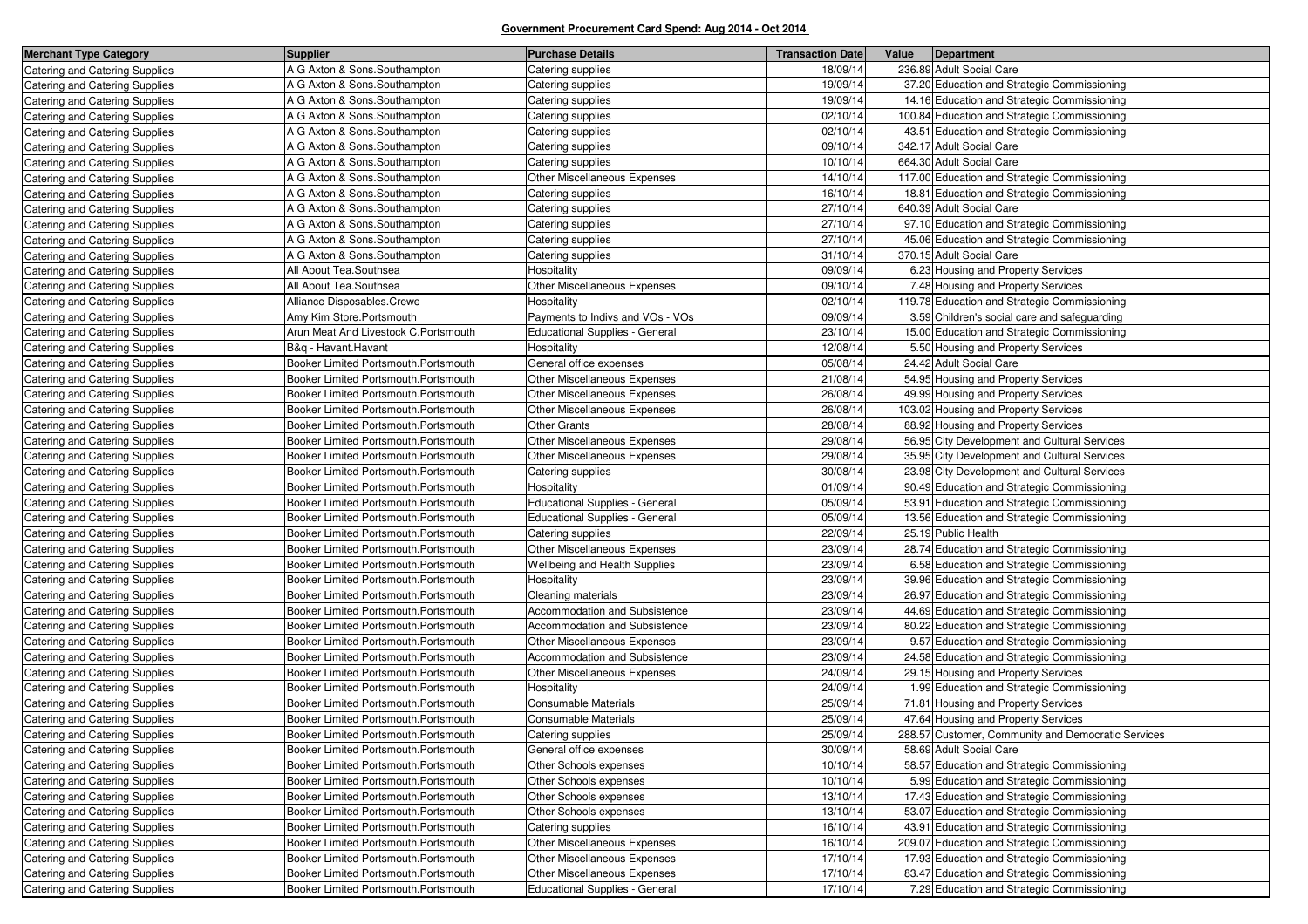| <b>Merchant Type Category</b>         | <b>Supplier</b>                      | <b>Purchase Details</b>               | <b>Transaction Date</b> | Value | Department                                         |
|---------------------------------------|--------------------------------------|---------------------------------------|-------------------------|-------|----------------------------------------------------|
| <b>Catering and Catering Supplies</b> | A G Axton & Sons.Southampton         | Catering supplies                     | 18/09/14                |       | 236.89 Adult Social Care                           |
| Catering and Catering Supplies        | A G Axton & Sons.Southampton         | Catering supplies                     | 19/09/14                |       | 37.20 Education and Strategic Commissioning        |
| Catering and Catering Supplies        | A G Axton & Sons.Southampton         | Catering supplies                     | 19/09/14                |       | 14.16 Education and Strategic Commissioning        |
| Catering and Catering Supplies        | A G Axton & Sons.Southampton         | Catering supplies                     | 02/10/14                |       | 100.84 Education and Strategic Commissioning       |
| Catering and Catering Supplies        | A G Axton & Sons.Southampton         | Catering supplies                     | 02/10/14                |       | 43.51 Education and Strategic Commissioning        |
| Catering and Catering Supplies        | A G Axton & Sons.Southampton         | Catering supplies                     | 09/10/14                |       | 342.17 Adult Social Care                           |
| Catering and Catering Supplies        | A G Axton & Sons.Southampton         | Catering supplies                     | 10/10/14                |       | 664.30 Adult Social Care                           |
| Catering and Catering Supplies        | A G Axton & Sons.Southampton         | Other Miscellaneous Expenses          | 14/10/14                |       | 117.00 Education and Strategic Commissioning       |
| Catering and Catering Supplies        | A G Axton & Sons.Southampton         | Catering supplies                     | 16/10/14                |       | 18.81 Education and Strategic Commissioning        |
| Catering and Catering Supplies        | A G Axton & Sons.Southampton         | Catering supplies                     | 27/10/14                |       | 640.39 Adult Social Care                           |
| Catering and Catering Supplies        | A G Axton & Sons.Southampton         | Catering supplies                     | 27/10/14                |       | 97.10 Education and Strategic Commissioning        |
| Catering and Catering Supplies        | A G Axton & Sons.Southampton         | Catering supplies                     | 27/10/14                |       | 45.06 Education and Strategic Commissioning        |
| Catering and Catering Supplies        | A G Axton & Sons.Southampton         | Catering supplies                     | 31/10/14                |       | 370.15 Adult Social Care                           |
| Catering and Catering Supplies        | All About Tea.Southsea               | Hospitality                           | 09/09/14                |       | 6.23 Housing and Property Services                 |
| Catering and Catering Supplies        | All About Tea.Southsea               | Other Miscellaneous Expenses          | 09/10/14                |       | 7.48 Housing and Property Services                 |
| Catering and Catering Supplies        | Alliance Disposables.Crewe           | Hospitality                           | 02/10/14                |       | 119.78 Education and Strategic Commissioning       |
| Catering and Catering Supplies        | Amy Kim Store.Portsmouth             | Payments to Indivs and VOs - VOs      | 09/09/14                |       | 3.59 Children's social care and safeguarding       |
| Catering and Catering Supplies        | Arun Meat And Livestock C.Portsmouth | <b>Educational Supplies - General</b> | 23/10/14                |       | 15.00 Education and Strategic Commissioning        |
| Catering and Catering Supplies        | B&q - Havant.Havant                  | Hospitality                           | 12/08/14                |       | 5.50 Housing and Property Services                 |
| Catering and Catering Supplies        | Booker Limited Portsmouth.Portsmouth | General office expenses               | 05/08/14                |       | 24.42 Adult Social Care                            |
| Catering and Catering Supplies        | Booker Limited Portsmouth.Portsmouth | Other Miscellaneous Expenses          | 21/08/14                |       | 54.95 Housing and Property Services                |
| Catering and Catering Supplies        | Booker Limited Portsmouth.Portsmouth | Other Miscellaneous Expenses          | 26/08/14                |       | 49.99 Housing and Property Services                |
| Catering and Catering Supplies        | Booker Limited Portsmouth.Portsmouth | Other Miscellaneous Expenses          | 26/08/14                |       | 103.02 Housing and Property Services               |
| Catering and Catering Supplies        | Booker Limited Portsmouth.Portsmouth | <b>Other Grants</b>                   | 28/08/14                |       | 88.92 Housing and Property Services                |
| Catering and Catering Supplies        | Booker Limited Portsmouth.Portsmouth | Other Miscellaneous Expenses          | 29/08/14                |       | 56.95 City Development and Cultural Services       |
| Catering and Catering Supplies        | Booker Limited Portsmouth.Portsmouth | Other Miscellaneous Expenses          | 29/08/14                |       | 35.95 City Development and Cultural Services       |
| Catering and Catering Supplies        | Booker Limited Portsmouth.Portsmouth | Catering supplies                     | 30/08/14                |       | 23.98 City Development and Cultural Services       |
| <b>Catering and Catering Supplies</b> | Booker Limited Portsmouth.Portsmouth | Hospitality                           | 01/09/14                |       | 90.49 Education and Strategic Commissioning        |
| Catering and Catering Supplies        | Booker Limited Portsmouth.Portsmouth | <b>Educational Supplies - General</b> | 05/09/14                |       | 53.91 Education and Strategic Commissioning        |
| Catering and Catering Supplies        | Booker Limited Portsmouth.Portsmouth | <b>Educational Supplies - General</b> | 05/09/14                |       | 13.56 Education and Strategic Commissioning        |
| Catering and Catering Supplies        | Booker Limited Portsmouth.Portsmouth | Catering supplies                     | 22/09/14                |       | 25.19 Public Health                                |
| Catering and Catering Supplies        | Booker Limited Portsmouth.Portsmouth | Other Miscellaneous Expenses          | 23/09/14                |       | 28.74 Education and Strategic Commissioning        |
| Catering and Catering Supplies        | Booker Limited Portsmouth.Portsmouth | Wellbeing and Health Supplies         | 23/09/14                |       | 6.58 Education and Strategic Commissioning         |
| Catering and Catering Supplies        | Booker Limited Portsmouth.Portsmouth | Hospitality                           | 23/09/14                |       | 39.96 Education and Strategic Commissioning        |
| Catering and Catering Supplies        | Booker Limited Portsmouth.Portsmouth | Cleaning materials                    | 23/09/14                |       | 26.97 Education and Strategic Commissioning        |
| Catering and Catering Supplies        | Booker Limited Portsmouth.Portsmouth | Accommodation and Subsistence         | 23/09/14                |       | 44.69 Education and Strategic Commissioning        |
| Catering and Catering Supplies        | Booker Limited Portsmouth.Portsmouth | Accommodation and Subsistence         | 23/09/14                |       | 80.22 Education and Strategic Commissioning        |
| Catering and Catering Supplies        | Booker Limited Portsmouth.Portsmouth | Other Miscellaneous Expenses          | 23/09/14                |       | 9.57 Education and Strategic Commissioning         |
| Catering and Catering Supplies        | Booker Limited Portsmouth.Portsmouth | Accommodation and Subsistence         | 23/09/14                |       | 24.58 Education and Strategic Commissioning        |
| Catering and Catering Supplies        | Booker Limited Portsmouth.Portsmouth | Other Miscellaneous Expenses          | 24/09/14                |       | 29.15 Housing and Property Services                |
| Catering and Catering Supplies        | Booker Limited Portsmouth.Portsmouth | Hospitality                           | 24/09/14                |       | 1.99 Education and Strategic Commissioning         |
| Catering and Catering Supplies        | Booker Limited Portsmouth.Portsmouth | Consumable Materials                  | 25/09/14                |       | 71.81 Housing and Property Services                |
| Catering and Catering Supplies        | Booker Limited Portsmouth.Portsmouth | Consumable Materials                  | 25/09/14                |       | 47.64 Housing and Property Services                |
| Catering and Catering Supplies        | Booker Limited Portsmouth.Portsmouth | Catering supplies                     | 25/09/14                |       | 288.57 Customer, Community and Democratic Services |
| Catering and Catering Supplies        | Booker Limited Portsmouth.Portsmouth | General office expenses               | 30/09/14                |       | 58.69 Adult Social Care                            |
| Catering and Catering Supplies        | Booker Limited Portsmouth.Portsmouth | Other Schools expenses                | 10/10/14                |       | 58.57 Education and Strategic Commissioning        |
| Catering and Catering Supplies        | Booker Limited Portsmouth.Portsmouth | Other Schools expenses                | 10/10/14                |       | 5.99 Education and Strategic Commissioning         |
| Catering and Catering Supplies        | Booker Limited Portsmouth.Portsmouth | Other Schools expenses                | 13/10/14                |       | 17.43 Education and Strategic Commissioning        |
| Catering and Catering Supplies        | Booker Limited Portsmouth.Portsmouth | Other Schools expenses                | 13/10/14                |       | 53.07 Education and Strategic Commissioning        |
| Catering and Catering Supplies        | Booker Limited Portsmouth.Portsmouth | Catering supplies                     | 16/10/14                |       | 43.91 Education and Strategic Commissioning        |
| Catering and Catering Supplies        | Booker Limited Portsmouth.Portsmouth | Other Miscellaneous Expenses          | 16/10/14                |       | 209.07 Education and Strategic Commissioning       |
| Catering and Catering Supplies        | Booker Limited Portsmouth.Portsmouth | Other Miscellaneous Expenses          | 17/10/14                |       | 17.93 Education and Strategic Commissioning        |
| Catering and Catering Supplies        | Booker Limited Portsmouth.Portsmouth | Other Miscellaneous Expenses          | 17/10/14                |       | 83.47 Education and Strategic Commissioning        |
| Catering and Catering Supplies        | Booker Limited Portsmouth.Portsmouth | Educational Supplies - General        | 17/10/14                |       | 7.29 Education and Strategic Commissioning         |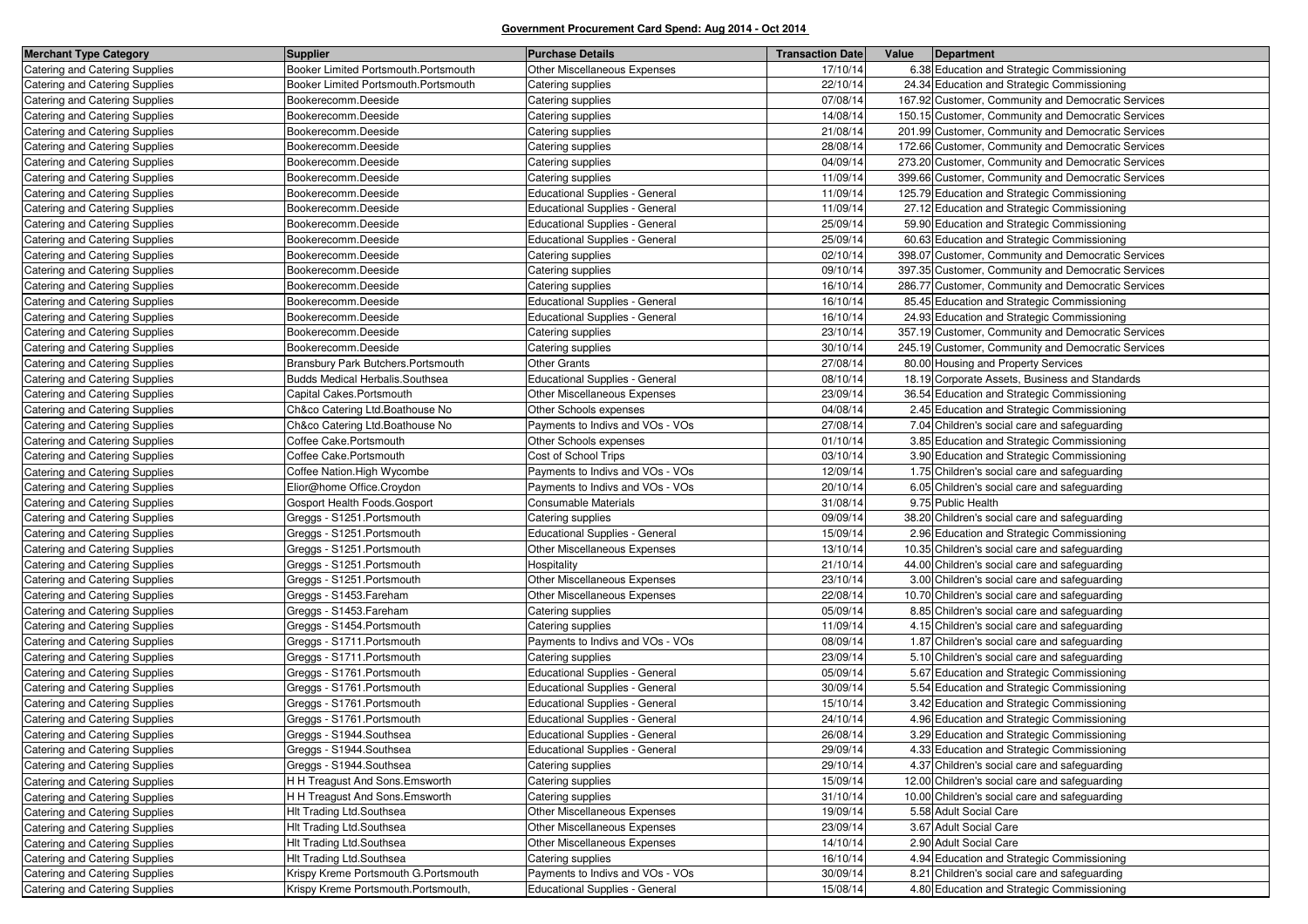| Catering and Catering Supplies<br>Booker Limited Portsmouth.Portsmouth<br>Other Miscellaneous Expenses<br>17/10/14<br>6.38 Education and Strategic Commissioning<br>Booker Limited Portsmouth.Portsmouth<br>22/10/14<br>24.34 Education and Strategic Commissioning<br>Catering and Catering Supplies<br>Catering supplies<br>07/08/14<br>167.92 Customer, Community and Democratic Services<br>Catering and Catering Supplies<br>Bookerecomm.Deeside<br>Catering supplies<br>Catering and Catering Supplies<br>14/08/14<br>150.15 Customer, Community and Democratic Services<br>Bookerecomm.Deeside<br>Catering supplies<br>21/08/14<br>201.99 Customer, Community and Democratic Services<br>Catering and Catering Supplies<br>Bookerecomm.Deeside<br>Catering supplies<br>28/08/14<br><b>Catering and Catering Supplies</b><br>Bookerecomm.Deeside<br>Catering supplies<br>172.66 Customer, Community and Democratic Services<br>Catering and Catering Supplies<br>Bookerecomm.Deeside<br>04/09/14<br>273.20 Customer, Community and Democratic Services<br>Catering supplies<br>11/09/14<br>399.66 Customer, Community and Democratic Services<br>Catering and Catering Supplies<br>Bookerecomm.Deeside<br>Catering supplies<br>11/09/14<br><b>Catering and Catering Supplies</b><br><b>Educational Supplies - General</b><br>125.79 Education and Strategic Commissioning<br>Bookerecomm.Deeside<br>Catering and Catering Supplies<br><b>Educational Supplies - General</b><br>11/09/14<br>27.12 Education and Strategic Commissioning<br>Bookerecomm.Deeside<br>25/09/14<br>59.90 Education and Strategic Commissioning<br>Catering and Catering Supplies<br>Bookerecomm.Deeside<br>Educational Supplies - General<br>25/09/14<br>Bookerecomm.Deeside<br><b>Educational Supplies - General</b><br>60.63 Education and Strategic Commissioning<br>Catering and Catering Supplies<br>Catering and Catering Supplies<br>Bookerecomm.Deeside<br>02/10/14<br>398.07 Customer, Community and Democratic Services<br>Catering supplies<br>09/10/14<br>Catering and Catering Supplies<br>Bookerecomm.Deeside<br>Catering supplies<br>397.35 Customer, Community and Democratic Services<br>16/10/14<br>286.77 Customer, Community and Democratic Services<br>Catering and Catering Supplies<br>Bookerecomm.Deeside<br>Catering supplies<br><b>Catering and Catering Supplies</b><br>Bookerecomm.Deeside<br><b>Educational Supplies - General</b><br>16/10/14<br>85.45 Education and Strategic Commissioning<br><b>Educational Supplies - General</b><br>16/10/14<br>24.93 Education and Strategic Commissioning<br>Catering and Catering Supplies<br>Bookerecomm.Deeside<br>Catering supplies<br>23/10/14<br>357.19 Customer, Community and Democratic Services<br>Catering and Catering Supplies<br>Bookerecomm.Deeside<br><b>Catering and Catering Supplies</b><br>Bookerecomm.Deeside<br>30/10/14<br>245.19 Customer, Community and Democratic Services<br>Catering supplies<br><b>Other Grants</b><br>27/08/14<br>80.00 Housing and Property Services<br>Catering and Catering Supplies<br>Bransbury Park Butchers. Portsmouth<br>08/10/14<br>Budds Medical Herbalis.Southsea<br><b>Educational Supplies - General</b><br>18.19 Corporate Assets, Business and Standards<br>Catering and Catering Supplies<br><b>Catering and Catering Supplies</b><br>Capital Cakes.Portsmouth<br>Other Miscellaneous Expenses<br>23/09/14<br>36.54 Education and Strategic Commissioning<br>04/08/14<br>2.45 Education and Strategic Commissioning<br>Catering and Catering Supplies<br>Ch&co Catering Ltd. Boathouse No<br>Other Schools expenses<br>27/08/14<br>7.04 Children's social care and safeguarding<br>Ch&co Catering Ltd.Boathouse No<br>Payments to Indivs and VOs - VOs<br>Catering and Catering Supplies<br><b>Catering and Catering Supplies</b><br>Coffee Cake.Portsmouth<br>Other Schools expenses<br>01/10/14<br>3.85 Education and Strategic Commissioning<br>Coffee Cake.Portsmouth<br>Cost of School Trips<br>03/10/14<br>3.90 Education and Strategic Commissioning<br>Catering and Catering Supplies<br>12/09/14<br>Coffee Nation. High Wycombe<br>Payments to Indivs and VOs - VOs<br>1.75 Children's social care and safeguarding<br>Catering and Catering Supplies<br>Payments to Indivs and VOs - VOs<br>20/10/14<br>6.05 Children's social care and safeguarding<br><b>Catering and Catering Supplies</b><br>Elior@home Office.Croydon<br>31/08/14<br>9.75 Public Health<br>Consumable Materials<br>Gosport Health Foods.Gosport<br>Catering and Catering Supplies<br>09/09/14<br>Catering and Catering Supplies<br>Greggs - S1251. Portsmouth<br>Catering supplies<br>38.20 Children's social care and safeguarding<br><b>Educational Supplies - General</b><br>15/09/14<br>2.96 Education and Strategic Commissioning<br>Catering and Catering Supplies<br>Greggs - S1251. Portsmouth<br>Other Miscellaneous Expenses<br>13/10/14<br>10.35 Children's social care and safeguarding<br>Catering and Catering Supplies<br>Greggs - S1251. Portsmouth<br>Catering and Catering Supplies<br>Greggs - S1251. Portsmouth<br>Hospitality<br>21/10/14<br>44.00 Children's social care and safeguarding<br>Other Miscellaneous Expenses<br>Greggs - S1251. Portsmouth<br>23/10/14<br>3.00 Children's social care and safeguarding<br>Catering and Catering Supplies<br>22/08/14<br>Catering and Catering Supplies<br>Greggs - S1453. Fareham<br>Other Miscellaneous Expenses<br>10.70 Children's social care and safeguarding<br>Catering and Catering Supplies<br>Greggs - S1453. Fareham<br>05/09/14<br>8.85 Children's social care and safeguarding<br>Catering supplies<br>11/09/14<br>Catering and Catering Supplies<br>Greggs - S1454. Portsmouth<br>Catering supplies<br>4.15 Children's social care and safeguarding<br>Catering and Catering Supplies<br>Greggs - S1711. Portsmouth<br>Payments to Indivs and VOs - VOs<br>08/09/14<br>1.87 Children's social care and safeguarding<br>Catering and Catering Supplies<br>Greggs - S1711. Portsmouth<br>Catering supplies<br>23/09/14<br>5.10 Children's social care and safeguarding<br>Educational Supplies - General<br>05/09/14<br>5.67 Education and Strategic Commissioning<br>Catering and Catering Supplies<br>Greggs - S1761. Portsmouth<br>30/09/14<br>Catering and Catering Supplies<br>Greggs - S1761. Portsmouth<br><b>Educational Supplies - General</b><br>5.54 Education and Strategic Commissioning<br>15/10/14<br>3.42 Education and Strategic Commissioning<br>Catering and Catering Supplies<br>Greggs - S1761. Portsmouth<br><b>Educational Supplies - General</b><br><b>Educational Supplies - General</b><br>24/10/14<br>4.96 Education and Strategic Commissioning<br>Catering and Catering Supplies<br>Greggs - S1761. Portsmouth<br><b>Catering and Catering Supplies</b><br>Greggs - S1944.Southsea<br><b>Educational Supplies - General</b><br>26/08/14<br>3.29 Education and Strategic Commissioning<br>Catering and Catering Supplies<br>Greggs - S1944. Southsea<br>Educational Supplies - General<br>29/09/14<br>4.33 Education and Strategic Commissioning<br>29/10/14<br>4.37 Children's social care and safeguarding<br>Catering and Catering Supplies<br>Greggs - S1944.Southsea<br>Catering supplies<br>15/09/14<br>H H Treagust And Sons. Emsworth<br>Catering supplies<br>12.00 Children's social care and safeguarding<br>Catering and Catering Supplies<br>Catering and Catering Supplies<br>H H Treagust And Sons. Emsworth<br>Catering supplies<br>31/10/14<br>10.00 Children's social care and safeguarding<br>Other Miscellaneous Expenses<br>Hlt Trading Ltd.Southsea<br>19/09/14<br>5.58 Adult Social Care<br>Catering and Catering Supplies<br>23/09/14<br>3.67 Adult Social Care<br><b>HIt Trading Ltd.Southsea</b><br>Other Miscellaneous Expenses<br>Catering and Catering Supplies<br>2.90 Adult Social Care<br>Hlt Trading Ltd.Southsea<br>Other Miscellaneous Expenses<br>14/10/14<br>Catering and Catering Supplies<br>4.94 Education and Strategic Commissioning<br>Hlt Trading Ltd.Southsea<br>16/10/14<br>Catering and Catering Supplies<br>Catering supplies<br>Krispy Kreme Portsmouth G.Portsmouth<br>Payments to Indivs and VOs - VOs<br>Catering and Catering Supplies<br>30/09/14<br>8.21 Children's social care and safeguarding<br>Catering and Catering Supplies<br>4.80 Education and Strategic Commissioning<br>Krispy Kreme Portsmouth.Portsmouth,<br><b>Educational Supplies - General</b><br>15/08/14 | <b>Merchant Type Category</b> | <b>Supplier</b> | <b>Purchase Details</b> | <b>Transaction Date</b> | Value | Department |
|--------------------------------------------------------------------------------------------------------------------------------------------------------------------------------------------------------------------------------------------------------------------------------------------------------------------------------------------------------------------------------------------------------------------------------------------------------------------------------------------------------------------------------------------------------------------------------------------------------------------------------------------------------------------------------------------------------------------------------------------------------------------------------------------------------------------------------------------------------------------------------------------------------------------------------------------------------------------------------------------------------------------------------------------------------------------------------------------------------------------------------------------------------------------------------------------------------------------------------------------------------------------------------------------------------------------------------------------------------------------------------------------------------------------------------------------------------------------------------------------------------------------------------------------------------------------------------------------------------------------------------------------------------------------------------------------------------------------------------------------------------------------------------------------------------------------------------------------------------------------------------------------------------------------------------------------------------------------------------------------------------------------------------------------------------------------------------------------------------------------------------------------------------------------------------------------------------------------------------------------------------------------------------------------------------------------------------------------------------------------------------------------------------------------------------------------------------------------------------------------------------------------------------------------------------------------------------------------------------------------------------------------------------------------------------------------------------------------------------------------------------------------------------------------------------------------------------------------------------------------------------------------------------------------------------------------------------------------------------------------------------------------------------------------------------------------------------------------------------------------------------------------------------------------------------------------------------------------------------------------------------------------------------------------------------------------------------------------------------------------------------------------------------------------------------------------------------------------------------------------------------------------------------------------------------------------------------------------------------------------------------------------------------------------------------------------------------------------------------------------------------------------------------------------------------------------------------------------------------------------------------------------------------------------------------------------------------------------------------------------------------------------------------------------------------------------------------------------------------------------------------------------------------------------------------------------------------------------------------------------------------------------------------------------------------------------------------------------------------------------------------------------------------------------------------------------------------------------------------------------------------------------------------------------------------------------------------------------------------------------------------------------------------------------------------------------------------------------------------------------------------------------------------------------------------------------------------------------------------------------------------------------------------------------------------------------------------------------------------------------------------------------------------------------------------------------------------------------------------------------------------------------------------------------------------------------------------------------------------------------------------------------------------------------------------------------------------------------------------------------------------------------------------------------------------------------------------------------------------------------------------------------------------------------------------------------------------------------------------------------------------------------------------------------------------------------------------------------------------------------------------------------------------------------------------------------------------------------------------------------------------------------------------------------------------------------------------------------------------------------------------------------------------------------------------------------------------------------------------------------------------------------------------------------------------------------------------------------------------------------------------------------------------------------------------------------------------------------------------------------------------------------------------------------------------------------------------------------------------------------------------------------------------------------------------------------------------------------------------------------------------------------------------------------------------------------------------------------------------------------------------------------------------------------------------------------------------------------------------------------------------------------------------------------------------------------------------------------------------------------------------------------------------------------------------------------------------------------------------------------------------------------------------------------------------------------------------------------------------------------------------------------------------------------------------------------------------------------------------------------------------------------------------------------------------------------------------------------------------------------------------------------------------------------------------------------------------------------------------------------------------------------------------------------------------------------------------------------------------------------------------------------------------------------------------------------------------------------------------------------------------------------------------------------------------------------------------------------------------------------------------------------------------------------------------------------------------------------------------------------------------------------------------------------------------------------------------------------------------------------------------------------------------------------------------------------------------------------------------------------------------------------------------------------------------------------------------------------------------------------------------------------------------------------------|-------------------------------|-----------------|-------------------------|-------------------------|-------|------------|
|                                                                                                                                                                                                                                                                                                                                                                                                                                                                                                                                                                                                                                                                                                                                                                                                                                                                                                                                                                                                                                                                                                                                                                                                                                                                                                                                                                                                                                                                                                                                                                                                                                                                                                                                                                                                                                                                                                                                                                                                                                                                                                                                                                                                                                                                                                                                                                                                                                                                                                                                                                                                                                                                                                                                                                                                                                                                                                                                                                                                                                                                                                                                                                                                                                                                                                                                                                                                                                                                                                                                                                                                                                                                                                                                                                                                                                                                                                                                                                                                                                                                                                                                                                                                                                                                                                                                                                                                                                                                                                                                                                                                                                                                                                                                                                                                                                                                                                                                                                                                                                                                                                                                                                                                                                                                                                                                                                                                                                                                                                                                                                                                                                                                                                                                                                                                                                                                                                                                                                                                                                                                                                                                                                                                                                                                                                                                                                                                                                                                                                                                                                                                                                                                                                                                                                                                                                                                                                                                                                                                                                                                                                                                                                                                                                                                                                                                                                                                                                                                                                                                                                                                                                                                                                                                                                                                                                                                                                                                                                                                                                                                                                                                                                                                                                                                                                                                                                                                                                                                                                                                                  |                               |                 |                         |                         |       |            |
|                                                                                                                                                                                                                                                                                                                                                                                                                                                                                                                                                                                                                                                                                                                                                                                                                                                                                                                                                                                                                                                                                                                                                                                                                                                                                                                                                                                                                                                                                                                                                                                                                                                                                                                                                                                                                                                                                                                                                                                                                                                                                                                                                                                                                                                                                                                                                                                                                                                                                                                                                                                                                                                                                                                                                                                                                                                                                                                                                                                                                                                                                                                                                                                                                                                                                                                                                                                                                                                                                                                                                                                                                                                                                                                                                                                                                                                                                                                                                                                                                                                                                                                                                                                                                                                                                                                                                                                                                                                                                                                                                                                                                                                                                                                                                                                                                                                                                                                                                                                                                                                                                                                                                                                                                                                                                                                                                                                                                                                                                                                                                                                                                                                                                                                                                                                                                                                                                                                                                                                                                                                                                                                                                                                                                                                                                                                                                                                                                                                                                                                                                                                                                                                                                                                                                                                                                                                                                                                                                                                                                                                                                                                                                                                                                                                                                                                                                                                                                                                                                                                                                                                                                                                                                                                                                                                                                                                                                                                                                                                                                                                                                                                                                                                                                                                                                                                                                                                                                                                                                                                                                  |                               |                 |                         |                         |       |            |
|                                                                                                                                                                                                                                                                                                                                                                                                                                                                                                                                                                                                                                                                                                                                                                                                                                                                                                                                                                                                                                                                                                                                                                                                                                                                                                                                                                                                                                                                                                                                                                                                                                                                                                                                                                                                                                                                                                                                                                                                                                                                                                                                                                                                                                                                                                                                                                                                                                                                                                                                                                                                                                                                                                                                                                                                                                                                                                                                                                                                                                                                                                                                                                                                                                                                                                                                                                                                                                                                                                                                                                                                                                                                                                                                                                                                                                                                                                                                                                                                                                                                                                                                                                                                                                                                                                                                                                                                                                                                                                                                                                                                                                                                                                                                                                                                                                                                                                                                                                                                                                                                                                                                                                                                                                                                                                                                                                                                                                                                                                                                                                                                                                                                                                                                                                                                                                                                                                                                                                                                                                                                                                                                                                                                                                                                                                                                                                                                                                                                                                                                                                                                                                                                                                                                                                                                                                                                                                                                                                                                                                                                                                                                                                                                                                                                                                                                                                                                                                                                                                                                                                                                                                                                                                                                                                                                                                                                                                                                                                                                                                                                                                                                                                                                                                                                                                                                                                                                                                                                                                                                                  |                               |                 |                         |                         |       |            |
|                                                                                                                                                                                                                                                                                                                                                                                                                                                                                                                                                                                                                                                                                                                                                                                                                                                                                                                                                                                                                                                                                                                                                                                                                                                                                                                                                                                                                                                                                                                                                                                                                                                                                                                                                                                                                                                                                                                                                                                                                                                                                                                                                                                                                                                                                                                                                                                                                                                                                                                                                                                                                                                                                                                                                                                                                                                                                                                                                                                                                                                                                                                                                                                                                                                                                                                                                                                                                                                                                                                                                                                                                                                                                                                                                                                                                                                                                                                                                                                                                                                                                                                                                                                                                                                                                                                                                                                                                                                                                                                                                                                                                                                                                                                                                                                                                                                                                                                                                                                                                                                                                                                                                                                                                                                                                                                                                                                                                                                                                                                                                                                                                                                                                                                                                                                                                                                                                                                                                                                                                                                                                                                                                                                                                                                                                                                                                                                                                                                                                                                                                                                                                                                                                                                                                                                                                                                                                                                                                                                                                                                                                                                                                                                                                                                                                                                                                                                                                                                                                                                                                                                                                                                                                                                                                                                                                                                                                                                                                                                                                                                                                                                                                                                                                                                                                                                                                                                                                                                                                                                                                  |                               |                 |                         |                         |       |            |
|                                                                                                                                                                                                                                                                                                                                                                                                                                                                                                                                                                                                                                                                                                                                                                                                                                                                                                                                                                                                                                                                                                                                                                                                                                                                                                                                                                                                                                                                                                                                                                                                                                                                                                                                                                                                                                                                                                                                                                                                                                                                                                                                                                                                                                                                                                                                                                                                                                                                                                                                                                                                                                                                                                                                                                                                                                                                                                                                                                                                                                                                                                                                                                                                                                                                                                                                                                                                                                                                                                                                                                                                                                                                                                                                                                                                                                                                                                                                                                                                                                                                                                                                                                                                                                                                                                                                                                                                                                                                                                                                                                                                                                                                                                                                                                                                                                                                                                                                                                                                                                                                                                                                                                                                                                                                                                                                                                                                                                                                                                                                                                                                                                                                                                                                                                                                                                                                                                                                                                                                                                                                                                                                                                                                                                                                                                                                                                                                                                                                                                                                                                                                                                                                                                                                                                                                                                                                                                                                                                                                                                                                                                                                                                                                                                                                                                                                                                                                                                                                                                                                                                                                                                                                                                                                                                                                                                                                                                                                                                                                                                                                                                                                                                                                                                                                                                                                                                                                                                                                                                                                                  |                               |                 |                         |                         |       |            |
|                                                                                                                                                                                                                                                                                                                                                                                                                                                                                                                                                                                                                                                                                                                                                                                                                                                                                                                                                                                                                                                                                                                                                                                                                                                                                                                                                                                                                                                                                                                                                                                                                                                                                                                                                                                                                                                                                                                                                                                                                                                                                                                                                                                                                                                                                                                                                                                                                                                                                                                                                                                                                                                                                                                                                                                                                                                                                                                                                                                                                                                                                                                                                                                                                                                                                                                                                                                                                                                                                                                                                                                                                                                                                                                                                                                                                                                                                                                                                                                                                                                                                                                                                                                                                                                                                                                                                                                                                                                                                                                                                                                                                                                                                                                                                                                                                                                                                                                                                                                                                                                                                                                                                                                                                                                                                                                                                                                                                                                                                                                                                                                                                                                                                                                                                                                                                                                                                                                                                                                                                                                                                                                                                                                                                                                                                                                                                                                                                                                                                                                                                                                                                                                                                                                                                                                                                                                                                                                                                                                                                                                                                                                                                                                                                                                                                                                                                                                                                                                                                                                                                                                                                                                                                                                                                                                                                                                                                                                                                                                                                                                                                                                                                                                                                                                                                                                                                                                                                                                                                                                                                  |                               |                 |                         |                         |       |            |
|                                                                                                                                                                                                                                                                                                                                                                                                                                                                                                                                                                                                                                                                                                                                                                                                                                                                                                                                                                                                                                                                                                                                                                                                                                                                                                                                                                                                                                                                                                                                                                                                                                                                                                                                                                                                                                                                                                                                                                                                                                                                                                                                                                                                                                                                                                                                                                                                                                                                                                                                                                                                                                                                                                                                                                                                                                                                                                                                                                                                                                                                                                                                                                                                                                                                                                                                                                                                                                                                                                                                                                                                                                                                                                                                                                                                                                                                                                                                                                                                                                                                                                                                                                                                                                                                                                                                                                                                                                                                                                                                                                                                                                                                                                                                                                                                                                                                                                                                                                                                                                                                                                                                                                                                                                                                                                                                                                                                                                                                                                                                                                                                                                                                                                                                                                                                                                                                                                                                                                                                                                                                                                                                                                                                                                                                                                                                                                                                                                                                                                                                                                                                                                                                                                                                                                                                                                                                                                                                                                                                                                                                                                                                                                                                                                                                                                                                                                                                                                                                                                                                                                                                                                                                                                                                                                                                                                                                                                                                                                                                                                                                                                                                                                                                                                                                                                                                                                                                                                                                                                                                                  |                               |                 |                         |                         |       |            |
|                                                                                                                                                                                                                                                                                                                                                                                                                                                                                                                                                                                                                                                                                                                                                                                                                                                                                                                                                                                                                                                                                                                                                                                                                                                                                                                                                                                                                                                                                                                                                                                                                                                                                                                                                                                                                                                                                                                                                                                                                                                                                                                                                                                                                                                                                                                                                                                                                                                                                                                                                                                                                                                                                                                                                                                                                                                                                                                                                                                                                                                                                                                                                                                                                                                                                                                                                                                                                                                                                                                                                                                                                                                                                                                                                                                                                                                                                                                                                                                                                                                                                                                                                                                                                                                                                                                                                                                                                                                                                                                                                                                                                                                                                                                                                                                                                                                                                                                                                                                                                                                                                                                                                                                                                                                                                                                                                                                                                                                                                                                                                                                                                                                                                                                                                                                                                                                                                                                                                                                                                                                                                                                                                                                                                                                                                                                                                                                                                                                                                                                                                                                                                                                                                                                                                                                                                                                                                                                                                                                                                                                                                                                                                                                                                                                                                                                                                                                                                                                                                                                                                                                                                                                                                                                                                                                                                                                                                                                                                                                                                                                                                                                                                                                                                                                                                                                                                                                                                                                                                                                                                  |                               |                 |                         |                         |       |            |
|                                                                                                                                                                                                                                                                                                                                                                                                                                                                                                                                                                                                                                                                                                                                                                                                                                                                                                                                                                                                                                                                                                                                                                                                                                                                                                                                                                                                                                                                                                                                                                                                                                                                                                                                                                                                                                                                                                                                                                                                                                                                                                                                                                                                                                                                                                                                                                                                                                                                                                                                                                                                                                                                                                                                                                                                                                                                                                                                                                                                                                                                                                                                                                                                                                                                                                                                                                                                                                                                                                                                                                                                                                                                                                                                                                                                                                                                                                                                                                                                                                                                                                                                                                                                                                                                                                                                                                                                                                                                                                                                                                                                                                                                                                                                                                                                                                                                                                                                                                                                                                                                                                                                                                                                                                                                                                                                                                                                                                                                                                                                                                                                                                                                                                                                                                                                                                                                                                                                                                                                                                                                                                                                                                                                                                                                                                                                                                                                                                                                                                                                                                                                                                                                                                                                                                                                                                                                                                                                                                                                                                                                                                                                                                                                                                                                                                                                                                                                                                                                                                                                                                                                                                                                                                                                                                                                                                                                                                                                                                                                                                                                                                                                                                                                                                                                                                                                                                                                                                                                                                                                                  |                               |                 |                         |                         |       |            |
|                                                                                                                                                                                                                                                                                                                                                                                                                                                                                                                                                                                                                                                                                                                                                                                                                                                                                                                                                                                                                                                                                                                                                                                                                                                                                                                                                                                                                                                                                                                                                                                                                                                                                                                                                                                                                                                                                                                                                                                                                                                                                                                                                                                                                                                                                                                                                                                                                                                                                                                                                                                                                                                                                                                                                                                                                                                                                                                                                                                                                                                                                                                                                                                                                                                                                                                                                                                                                                                                                                                                                                                                                                                                                                                                                                                                                                                                                                                                                                                                                                                                                                                                                                                                                                                                                                                                                                                                                                                                                                                                                                                                                                                                                                                                                                                                                                                                                                                                                                                                                                                                                                                                                                                                                                                                                                                                                                                                                                                                                                                                                                                                                                                                                                                                                                                                                                                                                                                                                                                                                                                                                                                                                                                                                                                                                                                                                                                                                                                                                                                                                                                                                                                                                                                                                                                                                                                                                                                                                                                                                                                                                                                                                                                                                                                                                                                                                                                                                                                                                                                                                                                                                                                                                                                                                                                                                                                                                                                                                                                                                                                                                                                                                                                                                                                                                                                                                                                                                                                                                                                                                  |                               |                 |                         |                         |       |            |
|                                                                                                                                                                                                                                                                                                                                                                                                                                                                                                                                                                                                                                                                                                                                                                                                                                                                                                                                                                                                                                                                                                                                                                                                                                                                                                                                                                                                                                                                                                                                                                                                                                                                                                                                                                                                                                                                                                                                                                                                                                                                                                                                                                                                                                                                                                                                                                                                                                                                                                                                                                                                                                                                                                                                                                                                                                                                                                                                                                                                                                                                                                                                                                                                                                                                                                                                                                                                                                                                                                                                                                                                                                                                                                                                                                                                                                                                                                                                                                                                                                                                                                                                                                                                                                                                                                                                                                                                                                                                                                                                                                                                                                                                                                                                                                                                                                                                                                                                                                                                                                                                                                                                                                                                                                                                                                                                                                                                                                                                                                                                                                                                                                                                                                                                                                                                                                                                                                                                                                                                                                                                                                                                                                                                                                                                                                                                                                                                                                                                                                                                                                                                                                                                                                                                                                                                                                                                                                                                                                                                                                                                                                                                                                                                                                                                                                                                                                                                                                                                                                                                                                                                                                                                                                                                                                                                                                                                                                                                                                                                                                                                                                                                                                                                                                                                                                                                                                                                                                                                                                                                                  |                               |                 |                         |                         |       |            |
|                                                                                                                                                                                                                                                                                                                                                                                                                                                                                                                                                                                                                                                                                                                                                                                                                                                                                                                                                                                                                                                                                                                                                                                                                                                                                                                                                                                                                                                                                                                                                                                                                                                                                                                                                                                                                                                                                                                                                                                                                                                                                                                                                                                                                                                                                                                                                                                                                                                                                                                                                                                                                                                                                                                                                                                                                                                                                                                                                                                                                                                                                                                                                                                                                                                                                                                                                                                                                                                                                                                                                                                                                                                                                                                                                                                                                                                                                                                                                                                                                                                                                                                                                                                                                                                                                                                                                                                                                                                                                                                                                                                                                                                                                                                                                                                                                                                                                                                                                                                                                                                                                                                                                                                                                                                                                                                                                                                                                                                                                                                                                                                                                                                                                                                                                                                                                                                                                                                                                                                                                                                                                                                                                                                                                                                                                                                                                                                                                                                                                                                                                                                                                                                                                                                                                                                                                                                                                                                                                                                                                                                                                                                                                                                                                                                                                                                                                                                                                                                                                                                                                                                                                                                                                                                                                                                                                                                                                                                                                                                                                                                                                                                                                                                                                                                                                                                                                                                                                                                                                                                                                  |                               |                 |                         |                         |       |            |
|                                                                                                                                                                                                                                                                                                                                                                                                                                                                                                                                                                                                                                                                                                                                                                                                                                                                                                                                                                                                                                                                                                                                                                                                                                                                                                                                                                                                                                                                                                                                                                                                                                                                                                                                                                                                                                                                                                                                                                                                                                                                                                                                                                                                                                                                                                                                                                                                                                                                                                                                                                                                                                                                                                                                                                                                                                                                                                                                                                                                                                                                                                                                                                                                                                                                                                                                                                                                                                                                                                                                                                                                                                                                                                                                                                                                                                                                                                                                                                                                                                                                                                                                                                                                                                                                                                                                                                                                                                                                                                                                                                                                                                                                                                                                                                                                                                                                                                                                                                                                                                                                                                                                                                                                                                                                                                                                                                                                                                                                                                                                                                                                                                                                                                                                                                                                                                                                                                                                                                                                                                                                                                                                                                                                                                                                                                                                                                                                                                                                                                                                                                                                                                                                                                                                                                                                                                                                                                                                                                                                                                                                                                                                                                                                                                                                                                                                                                                                                                                                                                                                                                                                                                                                                                                                                                                                                                                                                                                                                                                                                                                                                                                                                                                                                                                                                                                                                                                                                                                                                                                                                  |                               |                 |                         |                         |       |            |
|                                                                                                                                                                                                                                                                                                                                                                                                                                                                                                                                                                                                                                                                                                                                                                                                                                                                                                                                                                                                                                                                                                                                                                                                                                                                                                                                                                                                                                                                                                                                                                                                                                                                                                                                                                                                                                                                                                                                                                                                                                                                                                                                                                                                                                                                                                                                                                                                                                                                                                                                                                                                                                                                                                                                                                                                                                                                                                                                                                                                                                                                                                                                                                                                                                                                                                                                                                                                                                                                                                                                                                                                                                                                                                                                                                                                                                                                                                                                                                                                                                                                                                                                                                                                                                                                                                                                                                                                                                                                                                                                                                                                                                                                                                                                                                                                                                                                                                                                                                                                                                                                                                                                                                                                                                                                                                                                                                                                                                                                                                                                                                                                                                                                                                                                                                                                                                                                                                                                                                                                                                                                                                                                                                                                                                                                                                                                                                                                                                                                                                                                                                                                                                                                                                                                                                                                                                                                                                                                                                                                                                                                                                                                                                                                                                                                                                                                                                                                                                                                                                                                                                                                                                                                                                                                                                                                                                                                                                                                                                                                                                                                                                                                                                                                                                                                                                                                                                                                                                                                                                                                                  |                               |                 |                         |                         |       |            |
|                                                                                                                                                                                                                                                                                                                                                                                                                                                                                                                                                                                                                                                                                                                                                                                                                                                                                                                                                                                                                                                                                                                                                                                                                                                                                                                                                                                                                                                                                                                                                                                                                                                                                                                                                                                                                                                                                                                                                                                                                                                                                                                                                                                                                                                                                                                                                                                                                                                                                                                                                                                                                                                                                                                                                                                                                                                                                                                                                                                                                                                                                                                                                                                                                                                                                                                                                                                                                                                                                                                                                                                                                                                                                                                                                                                                                                                                                                                                                                                                                                                                                                                                                                                                                                                                                                                                                                                                                                                                                                                                                                                                                                                                                                                                                                                                                                                                                                                                                                                                                                                                                                                                                                                                                                                                                                                                                                                                                                                                                                                                                                                                                                                                                                                                                                                                                                                                                                                                                                                                                                                                                                                                                                                                                                                                                                                                                                                                                                                                                                                                                                                                                                                                                                                                                                                                                                                                                                                                                                                                                                                                                                                                                                                                                                                                                                                                                                                                                                                                                                                                                                                                                                                                                                                                                                                                                                                                                                                                                                                                                                                                                                                                                                                                                                                                                                                                                                                                                                                                                                                                                  |                               |                 |                         |                         |       |            |
|                                                                                                                                                                                                                                                                                                                                                                                                                                                                                                                                                                                                                                                                                                                                                                                                                                                                                                                                                                                                                                                                                                                                                                                                                                                                                                                                                                                                                                                                                                                                                                                                                                                                                                                                                                                                                                                                                                                                                                                                                                                                                                                                                                                                                                                                                                                                                                                                                                                                                                                                                                                                                                                                                                                                                                                                                                                                                                                                                                                                                                                                                                                                                                                                                                                                                                                                                                                                                                                                                                                                                                                                                                                                                                                                                                                                                                                                                                                                                                                                                                                                                                                                                                                                                                                                                                                                                                                                                                                                                                                                                                                                                                                                                                                                                                                                                                                                                                                                                                                                                                                                                                                                                                                                                                                                                                                                                                                                                                                                                                                                                                                                                                                                                                                                                                                                                                                                                                                                                                                                                                                                                                                                                                                                                                                                                                                                                                                                                                                                                                                                                                                                                                                                                                                                                                                                                                                                                                                                                                                                                                                                                                                                                                                                                                                                                                                                                                                                                                                                                                                                                                                                                                                                                                                                                                                                                                                                                                                                                                                                                                                                                                                                                                                                                                                                                                                                                                                                                                                                                                                                                  |                               |                 |                         |                         |       |            |
|                                                                                                                                                                                                                                                                                                                                                                                                                                                                                                                                                                                                                                                                                                                                                                                                                                                                                                                                                                                                                                                                                                                                                                                                                                                                                                                                                                                                                                                                                                                                                                                                                                                                                                                                                                                                                                                                                                                                                                                                                                                                                                                                                                                                                                                                                                                                                                                                                                                                                                                                                                                                                                                                                                                                                                                                                                                                                                                                                                                                                                                                                                                                                                                                                                                                                                                                                                                                                                                                                                                                                                                                                                                                                                                                                                                                                                                                                                                                                                                                                                                                                                                                                                                                                                                                                                                                                                                                                                                                                                                                                                                                                                                                                                                                                                                                                                                                                                                                                                                                                                                                                                                                                                                                                                                                                                                                                                                                                                                                                                                                                                                                                                                                                                                                                                                                                                                                                                                                                                                                                                                                                                                                                                                                                                                                                                                                                                                                                                                                                                                                                                                                                                                                                                                                                                                                                                                                                                                                                                                                                                                                                                                                                                                                                                                                                                                                                                                                                                                                                                                                                                                                                                                                                                                                                                                                                                                                                                                                                                                                                                                                                                                                                                                                                                                                                                                                                                                                                                                                                                                                                  |                               |                 |                         |                         |       |            |
|                                                                                                                                                                                                                                                                                                                                                                                                                                                                                                                                                                                                                                                                                                                                                                                                                                                                                                                                                                                                                                                                                                                                                                                                                                                                                                                                                                                                                                                                                                                                                                                                                                                                                                                                                                                                                                                                                                                                                                                                                                                                                                                                                                                                                                                                                                                                                                                                                                                                                                                                                                                                                                                                                                                                                                                                                                                                                                                                                                                                                                                                                                                                                                                                                                                                                                                                                                                                                                                                                                                                                                                                                                                                                                                                                                                                                                                                                                                                                                                                                                                                                                                                                                                                                                                                                                                                                                                                                                                                                                                                                                                                                                                                                                                                                                                                                                                                                                                                                                                                                                                                                                                                                                                                                                                                                                                                                                                                                                                                                                                                                                                                                                                                                                                                                                                                                                                                                                                                                                                                                                                                                                                                                                                                                                                                                                                                                                                                                                                                                                                                                                                                                                                                                                                                                                                                                                                                                                                                                                                                                                                                                                                                                                                                                                                                                                                                                                                                                                                                                                                                                                                                                                                                                                                                                                                                                                                                                                                                                                                                                                                                                                                                                                                                                                                                                                                                                                                                                                                                                                                                                  |                               |                 |                         |                         |       |            |
|                                                                                                                                                                                                                                                                                                                                                                                                                                                                                                                                                                                                                                                                                                                                                                                                                                                                                                                                                                                                                                                                                                                                                                                                                                                                                                                                                                                                                                                                                                                                                                                                                                                                                                                                                                                                                                                                                                                                                                                                                                                                                                                                                                                                                                                                                                                                                                                                                                                                                                                                                                                                                                                                                                                                                                                                                                                                                                                                                                                                                                                                                                                                                                                                                                                                                                                                                                                                                                                                                                                                                                                                                                                                                                                                                                                                                                                                                                                                                                                                                                                                                                                                                                                                                                                                                                                                                                                                                                                                                                                                                                                                                                                                                                                                                                                                                                                                                                                                                                                                                                                                                                                                                                                                                                                                                                                                                                                                                                                                                                                                                                                                                                                                                                                                                                                                                                                                                                                                                                                                                                                                                                                                                                                                                                                                                                                                                                                                                                                                                                                                                                                                                                                                                                                                                                                                                                                                                                                                                                                                                                                                                                                                                                                                                                                                                                                                                                                                                                                                                                                                                                                                                                                                                                                                                                                                                                                                                                                                                                                                                                                                                                                                                                                                                                                                                                                                                                                                                                                                                                                                                  |                               |                 |                         |                         |       |            |
|                                                                                                                                                                                                                                                                                                                                                                                                                                                                                                                                                                                                                                                                                                                                                                                                                                                                                                                                                                                                                                                                                                                                                                                                                                                                                                                                                                                                                                                                                                                                                                                                                                                                                                                                                                                                                                                                                                                                                                                                                                                                                                                                                                                                                                                                                                                                                                                                                                                                                                                                                                                                                                                                                                                                                                                                                                                                                                                                                                                                                                                                                                                                                                                                                                                                                                                                                                                                                                                                                                                                                                                                                                                                                                                                                                                                                                                                                                                                                                                                                                                                                                                                                                                                                                                                                                                                                                                                                                                                                                                                                                                                                                                                                                                                                                                                                                                                                                                                                                                                                                                                                                                                                                                                                                                                                                                                                                                                                                                                                                                                                                                                                                                                                                                                                                                                                                                                                                                                                                                                                                                                                                                                                                                                                                                                                                                                                                                                                                                                                                                                                                                                                                                                                                                                                                                                                                                                                                                                                                                                                                                                                                                                                                                                                                                                                                                                                                                                                                                                                                                                                                                                                                                                                                                                                                                                                                                                                                                                                                                                                                                                                                                                                                                                                                                                                                                                                                                                                                                                                                                                                  |                               |                 |                         |                         |       |            |
|                                                                                                                                                                                                                                                                                                                                                                                                                                                                                                                                                                                                                                                                                                                                                                                                                                                                                                                                                                                                                                                                                                                                                                                                                                                                                                                                                                                                                                                                                                                                                                                                                                                                                                                                                                                                                                                                                                                                                                                                                                                                                                                                                                                                                                                                                                                                                                                                                                                                                                                                                                                                                                                                                                                                                                                                                                                                                                                                                                                                                                                                                                                                                                                                                                                                                                                                                                                                                                                                                                                                                                                                                                                                                                                                                                                                                                                                                                                                                                                                                                                                                                                                                                                                                                                                                                                                                                                                                                                                                                                                                                                                                                                                                                                                                                                                                                                                                                                                                                                                                                                                                                                                                                                                                                                                                                                                                                                                                                                                                                                                                                                                                                                                                                                                                                                                                                                                                                                                                                                                                                                                                                                                                                                                                                                                                                                                                                                                                                                                                                                                                                                                                                                                                                                                                                                                                                                                                                                                                                                                                                                                                                                                                                                                                                                                                                                                                                                                                                                                                                                                                                                                                                                                                                                                                                                                                                                                                                                                                                                                                                                                                                                                                                                                                                                                                                                                                                                                                                                                                                                                                  |                               |                 |                         |                         |       |            |
|                                                                                                                                                                                                                                                                                                                                                                                                                                                                                                                                                                                                                                                                                                                                                                                                                                                                                                                                                                                                                                                                                                                                                                                                                                                                                                                                                                                                                                                                                                                                                                                                                                                                                                                                                                                                                                                                                                                                                                                                                                                                                                                                                                                                                                                                                                                                                                                                                                                                                                                                                                                                                                                                                                                                                                                                                                                                                                                                                                                                                                                                                                                                                                                                                                                                                                                                                                                                                                                                                                                                                                                                                                                                                                                                                                                                                                                                                                                                                                                                                                                                                                                                                                                                                                                                                                                                                                                                                                                                                                                                                                                                                                                                                                                                                                                                                                                                                                                                                                                                                                                                                                                                                                                                                                                                                                                                                                                                                                                                                                                                                                                                                                                                                                                                                                                                                                                                                                                                                                                                                                                                                                                                                                                                                                                                                                                                                                                                                                                                                                                                                                                                                                                                                                                                                                                                                                                                                                                                                                                                                                                                                                                                                                                                                                                                                                                                                                                                                                                                                                                                                                                                                                                                                                                                                                                                                                                                                                                                                                                                                                                                                                                                                                                                                                                                                                                                                                                                                                                                                                                                                  |                               |                 |                         |                         |       |            |
|                                                                                                                                                                                                                                                                                                                                                                                                                                                                                                                                                                                                                                                                                                                                                                                                                                                                                                                                                                                                                                                                                                                                                                                                                                                                                                                                                                                                                                                                                                                                                                                                                                                                                                                                                                                                                                                                                                                                                                                                                                                                                                                                                                                                                                                                                                                                                                                                                                                                                                                                                                                                                                                                                                                                                                                                                                                                                                                                                                                                                                                                                                                                                                                                                                                                                                                                                                                                                                                                                                                                                                                                                                                                                                                                                                                                                                                                                                                                                                                                                                                                                                                                                                                                                                                                                                                                                                                                                                                                                                                                                                                                                                                                                                                                                                                                                                                                                                                                                                                                                                                                                                                                                                                                                                                                                                                                                                                                                                                                                                                                                                                                                                                                                                                                                                                                                                                                                                                                                                                                                                                                                                                                                                                                                                                                                                                                                                                                                                                                                                                                                                                                                                                                                                                                                                                                                                                                                                                                                                                                                                                                                                                                                                                                                                                                                                                                                                                                                                                                                                                                                                                                                                                                                                                                                                                                                                                                                                                                                                                                                                                                                                                                                                                                                                                                                                                                                                                                                                                                                                                                                  |                               |                 |                         |                         |       |            |
|                                                                                                                                                                                                                                                                                                                                                                                                                                                                                                                                                                                                                                                                                                                                                                                                                                                                                                                                                                                                                                                                                                                                                                                                                                                                                                                                                                                                                                                                                                                                                                                                                                                                                                                                                                                                                                                                                                                                                                                                                                                                                                                                                                                                                                                                                                                                                                                                                                                                                                                                                                                                                                                                                                                                                                                                                                                                                                                                                                                                                                                                                                                                                                                                                                                                                                                                                                                                                                                                                                                                                                                                                                                                                                                                                                                                                                                                                                                                                                                                                                                                                                                                                                                                                                                                                                                                                                                                                                                                                                                                                                                                                                                                                                                                                                                                                                                                                                                                                                                                                                                                                                                                                                                                                                                                                                                                                                                                                                                                                                                                                                                                                                                                                                                                                                                                                                                                                                                                                                                                                                                                                                                                                                                                                                                                                                                                                                                                                                                                                                                                                                                                                                                                                                                                                                                                                                                                                                                                                                                                                                                                                                                                                                                                                                                                                                                                                                                                                                                                                                                                                                                                                                                                                                                                                                                                                                                                                                                                                                                                                                                                                                                                                                                                                                                                                                                                                                                                                                                                                                                                                  |                               |                 |                         |                         |       |            |
|                                                                                                                                                                                                                                                                                                                                                                                                                                                                                                                                                                                                                                                                                                                                                                                                                                                                                                                                                                                                                                                                                                                                                                                                                                                                                                                                                                                                                                                                                                                                                                                                                                                                                                                                                                                                                                                                                                                                                                                                                                                                                                                                                                                                                                                                                                                                                                                                                                                                                                                                                                                                                                                                                                                                                                                                                                                                                                                                                                                                                                                                                                                                                                                                                                                                                                                                                                                                                                                                                                                                                                                                                                                                                                                                                                                                                                                                                                                                                                                                                                                                                                                                                                                                                                                                                                                                                                                                                                                                                                                                                                                                                                                                                                                                                                                                                                                                                                                                                                                                                                                                                                                                                                                                                                                                                                                                                                                                                                                                                                                                                                                                                                                                                                                                                                                                                                                                                                                                                                                                                                                                                                                                                                                                                                                                                                                                                                                                                                                                                                                                                                                                                                                                                                                                                                                                                                                                                                                                                                                                                                                                                                                                                                                                                                                                                                                                                                                                                                                                                                                                                                                                                                                                                                                                                                                                                                                                                                                                                                                                                                                                                                                                                                                                                                                                                                                                                                                                                                                                                                                                                  |                               |                 |                         |                         |       |            |
|                                                                                                                                                                                                                                                                                                                                                                                                                                                                                                                                                                                                                                                                                                                                                                                                                                                                                                                                                                                                                                                                                                                                                                                                                                                                                                                                                                                                                                                                                                                                                                                                                                                                                                                                                                                                                                                                                                                                                                                                                                                                                                                                                                                                                                                                                                                                                                                                                                                                                                                                                                                                                                                                                                                                                                                                                                                                                                                                                                                                                                                                                                                                                                                                                                                                                                                                                                                                                                                                                                                                                                                                                                                                                                                                                                                                                                                                                                                                                                                                                                                                                                                                                                                                                                                                                                                                                                                                                                                                                                                                                                                                                                                                                                                                                                                                                                                                                                                                                                                                                                                                                                                                                                                                                                                                                                                                                                                                                                                                                                                                                                                                                                                                                                                                                                                                                                                                                                                                                                                                                                                                                                                                                                                                                                                                                                                                                                                                                                                                                                                                                                                                                                                                                                                                                                                                                                                                                                                                                                                                                                                                                                                                                                                                                                                                                                                                                                                                                                                                                                                                                                                                                                                                                                                                                                                                                                                                                                                                                                                                                                                                                                                                                                                                                                                                                                                                                                                                                                                                                                                                                  |                               |                 |                         |                         |       |            |
|                                                                                                                                                                                                                                                                                                                                                                                                                                                                                                                                                                                                                                                                                                                                                                                                                                                                                                                                                                                                                                                                                                                                                                                                                                                                                                                                                                                                                                                                                                                                                                                                                                                                                                                                                                                                                                                                                                                                                                                                                                                                                                                                                                                                                                                                                                                                                                                                                                                                                                                                                                                                                                                                                                                                                                                                                                                                                                                                                                                                                                                                                                                                                                                                                                                                                                                                                                                                                                                                                                                                                                                                                                                                                                                                                                                                                                                                                                                                                                                                                                                                                                                                                                                                                                                                                                                                                                                                                                                                                                                                                                                                                                                                                                                                                                                                                                                                                                                                                                                                                                                                                                                                                                                                                                                                                                                                                                                                                                                                                                                                                                                                                                                                                                                                                                                                                                                                                                                                                                                                                                                                                                                                                                                                                                                                                                                                                                                                                                                                                                                                                                                                                                                                                                                                                                                                                                                                                                                                                                                                                                                                                                                                                                                                                                                                                                                                                                                                                                                                                                                                                                                                                                                                                                                                                                                                                                                                                                                                                                                                                                                                                                                                                                                                                                                                                                                                                                                                                                                                                                                                                  |                               |                 |                         |                         |       |            |
|                                                                                                                                                                                                                                                                                                                                                                                                                                                                                                                                                                                                                                                                                                                                                                                                                                                                                                                                                                                                                                                                                                                                                                                                                                                                                                                                                                                                                                                                                                                                                                                                                                                                                                                                                                                                                                                                                                                                                                                                                                                                                                                                                                                                                                                                                                                                                                                                                                                                                                                                                                                                                                                                                                                                                                                                                                                                                                                                                                                                                                                                                                                                                                                                                                                                                                                                                                                                                                                                                                                                                                                                                                                                                                                                                                                                                                                                                                                                                                                                                                                                                                                                                                                                                                                                                                                                                                                                                                                                                                                                                                                                                                                                                                                                                                                                                                                                                                                                                                                                                                                                                                                                                                                                                                                                                                                                                                                                                                                                                                                                                                                                                                                                                                                                                                                                                                                                                                                                                                                                                                                                                                                                                                                                                                                                                                                                                                                                                                                                                                                                                                                                                                                                                                                                                                                                                                                                                                                                                                                                                                                                                                                                                                                                                                                                                                                                                                                                                                                                                                                                                                                                                                                                                                                                                                                                                                                                                                                                                                                                                                                                                                                                                                                                                                                                                                                                                                                                                                                                                                                                                  |                               |                 |                         |                         |       |            |
|                                                                                                                                                                                                                                                                                                                                                                                                                                                                                                                                                                                                                                                                                                                                                                                                                                                                                                                                                                                                                                                                                                                                                                                                                                                                                                                                                                                                                                                                                                                                                                                                                                                                                                                                                                                                                                                                                                                                                                                                                                                                                                                                                                                                                                                                                                                                                                                                                                                                                                                                                                                                                                                                                                                                                                                                                                                                                                                                                                                                                                                                                                                                                                                                                                                                                                                                                                                                                                                                                                                                                                                                                                                                                                                                                                                                                                                                                                                                                                                                                                                                                                                                                                                                                                                                                                                                                                                                                                                                                                                                                                                                                                                                                                                                                                                                                                                                                                                                                                                                                                                                                                                                                                                                                                                                                                                                                                                                                                                                                                                                                                                                                                                                                                                                                                                                                                                                                                                                                                                                                                                                                                                                                                                                                                                                                                                                                                                                                                                                                                                                                                                                                                                                                                                                                                                                                                                                                                                                                                                                                                                                                                                                                                                                                                                                                                                                                                                                                                                                                                                                                                                                                                                                                                                                                                                                                                                                                                                                                                                                                                                                                                                                                                                                                                                                                                                                                                                                                                                                                                                                                  |                               |                 |                         |                         |       |            |
|                                                                                                                                                                                                                                                                                                                                                                                                                                                                                                                                                                                                                                                                                                                                                                                                                                                                                                                                                                                                                                                                                                                                                                                                                                                                                                                                                                                                                                                                                                                                                                                                                                                                                                                                                                                                                                                                                                                                                                                                                                                                                                                                                                                                                                                                                                                                                                                                                                                                                                                                                                                                                                                                                                                                                                                                                                                                                                                                                                                                                                                                                                                                                                                                                                                                                                                                                                                                                                                                                                                                                                                                                                                                                                                                                                                                                                                                                                                                                                                                                                                                                                                                                                                                                                                                                                                                                                                                                                                                                                                                                                                                                                                                                                                                                                                                                                                                                                                                                                                                                                                                                                                                                                                                                                                                                                                                                                                                                                                                                                                                                                                                                                                                                                                                                                                                                                                                                                                                                                                                                                                                                                                                                                                                                                                                                                                                                                                                                                                                                                                                                                                                                                                                                                                                                                                                                                                                                                                                                                                                                                                                                                                                                                                                                                                                                                                                                                                                                                                                                                                                                                                                                                                                                                                                                                                                                                                                                                                                                                                                                                                                                                                                                                                                                                                                                                                                                                                                                                                                                                                                                  |                               |                 |                         |                         |       |            |
|                                                                                                                                                                                                                                                                                                                                                                                                                                                                                                                                                                                                                                                                                                                                                                                                                                                                                                                                                                                                                                                                                                                                                                                                                                                                                                                                                                                                                                                                                                                                                                                                                                                                                                                                                                                                                                                                                                                                                                                                                                                                                                                                                                                                                                                                                                                                                                                                                                                                                                                                                                                                                                                                                                                                                                                                                                                                                                                                                                                                                                                                                                                                                                                                                                                                                                                                                                                                                                                                                                                                                                                                                                                                                                                                                                                                                                                                                                                                                                                                                                                                                                                                                                                                                                                                                                                                                                                                                                                                                                                                                                                                                                                                                                                                                                                                                                                                                                                                                                                                                                                                                                                                                                                                                                                                                                                                                                                                                                                                                                                                                                                                                                                                                                                                                                                                                                                                                                                                                                                                                                                                                                                                                                                                                                                                                                                                                                                                                                                                                                                                                                                                                                                                                                                                                                                                                                                                                                                                                                                                                                                                                                                                                                                                                                                                                                                                                                                                                                                                                                                                                                                                                                                                                                                                                                                                                                                                                                                                                                                                                                                                                                                                                                                                                                                                                                                                                                                                                                                                                                                                                  |                               |                 |                         |                         |       |            |
|                                                                                                                                                                                                                                                                                                                                                                                                                                                                                                                                                                                                                                                                                                                                                                                                                                                                                                                                                                                                                                                                                                                                                                                                                                                                                                                                                                                                                                                                                                                                                                                                                                                                                                                                                                                                                                                                                                                                                                                                                                                                                                                                                                                                                                                                                                                                                                                                                                                                                                                                                                                                                                                                                                                                                                                                                                                                                                                                                                                                                                                                                                                                                                                                                                                                                                                                                                                                                                                                                                                                                                                                                                                                                                                                                                                                                                                                                                                                                                                                                                                                                                                                                                                                                                                                                                                                                                                                                                                                                                                                                                                                                                                                                                                                                                                                                                                                                                                                                                                                                                                                                                                                                                                                                                                                                                                                                                                                                                                                                                                                                                                                                                                                                                                                                                                                                                                                                                                                                                                                                                                                                                                                                                                                                                                                                                                                                                                                                                                                                                                                                                                                                                                                                                                                                                                                                                                                                                                                                                                                                                                                                                                                                                                                                                                                                                                                                                                                                                                                                                                                                                                                                                                                                                                                                                                                                                                                                                                                                                                                                                                                                                                                                                                                                                                                                                                                                                                                                                                                                                                                                  |                               |                 |                         |                         |       |            |
|                                                                                                                                                                                                                                                                                                                                                                                                                                                                                                                                                                                                                                                                                                                                                                                                                                                                                                                                                                                                                                                                                                                                                                                                                                                                                                                                                                                                                                                                                                                                                                                                                                                                                                                                                                                                                                                                                                                                                                                                                                                                                                                                                                                                                                                                                                                                                                                                                                                                                                                                                                                                                                                                                                                                                                                                                                                                                                                                                                                                                                                                                                                                                                                                                                                                                                                                                                                                                                                                                                                                                                                                                                                                                                                                                                                                                                                                                                                                                                                                                                                                                                                                                                                                                                                                                                                                                                                                                                                                                                                                                                                                                                                                                                                                                                                                                                                                                                                                                                                                                                                                                                                                                                                                                                                                                                                                                                                                                                                                                                                                                                                                                                                                                                                                                                                                                                                                                                                                                                                                                                                                                                                                                                                                                                                                                                                                                                                                                                                                                                                                                                                                                                                                                                                                                                                                                                                                                                                                                                                                                                                                                                                                                                                                                                                                                                                                                                                                                                                                                                                                                                                                                                                                                                                                                                                                                                                                                                                                                                                                                                                                                                                                                                                                                                                                                                                                                                                                                                                                                                                                                  |                               |                 |                         |                         |       |            |
|                                                                                                                                                                                                                                                                                                                                                                                                                                                                                                                                                                                                                                                                                                                                                                                                                                                                                                                                                                                                                                                                                                                                                                                                                                                                                                                                                                                                                                                                                                                                                                                                                                                                                                                                                                                                                                                                                                                                                                                                                                                                                                                                                                                                                                                                                                                                                                                                                                                                                                                                                                                                                                                                                                                                                                                                                                                                                                                                                                                                                                                                                                                                                                                                                                                                                                                                                                                                                                                                                                                                                                                                                                                                                                                                                                                                                                                                                                                                                                                                                                                                                                                                                                                                                                                                                                                                                                                                                                                                                                                                                                                                                                                                                                                                                                                                                                                                                                                                                                                                                                                                                                                                                                                                                                                                                                                                                                                                                                                                                                                                                                                                                                                                                                                                                                                                                                                                                                                                                                                                                                                                                                                                                                                                                                                                                                                                                                                                                                                                                                                                                                                                                                                                                                                                                                                                                                                                                                                                                                                                                                                                                                                                                                                                                                                                                                                                                                                                                                                                                                                                                                                                                                                                                                                                                                                                                                                                                                                                                                                                                                                                                                                                                                                                                                                                                                                                                                                                                                                                                                                                                  |                               |                 |                         |                         |       |            |
|                                                                                                                                                                                                                                                                                                                                                                                                                                                                                                                                                                                                                                                                                                                                                                                                                                                                                                                                                                                                                                                                                                                                                                                                                                                                                                                                                                                                                                                                                                                                                                                                                                                                                                                                                                                                                                                                                                                                                                                                                                                                                                                                                                                                                                                                                                                                                                                                                                                                                                                                                                                                                                                                                                                                                                                                                                                                                                                                                                                                                                                                                                                                                                                                                                                                                                                                                                                                                                                                                                                                                                                                                                                                                                                                                                                                                                                                                                                                                                                                                                                                                                                                                                                                                                                                                                                                                                                                                                                                                                                                                                                                                                                                                                                                                                                                                                                                                                                                                                                                                                                                                                                                                                                                                                                                                                                                                                                                                                                                                                                                                                                                                                                                                                                                                                                                                                                                                                                                                                                                                                                                                                                                                                                                                                                                                                                                                                                                                                                                                                                                                                                                                                                                                                                                                                                                                                                                                                                                                                                                                                                                                                                                                                                                                                                                                                                                                                                                                                                                                                                                                                                                                                                                                                                                                                                                                                                                                                                                                                                                                                                                                                                                                                                                                                                                                                                                                                                                                                                                                                                                                  |                               |                 |                         |                         |       |            |
|                                                                                                                                                                                                                                                                                                                                                                                                                                                                                                                                                                                                                                                                                                                                                                                                                                                                                                                                                                                                                                                                                                                                                                                                                                                                                                                                                                                                                                                                                                                                                                                                                                                                                                                                                                                                                                                                                                                                                                                                                                                                                                                                                                                                                                                                                                                                                                                                                                                                                                                                                                                                                                                                                                                                                                                                                                                                                                                                                                                                                                                                                                                                                                                                                                                                                                                                                                                                                                                                                                                                                                                                                                                                                                                                                                                                                                                                                                                                                                                                                                                                                                                                                                                                                                                                                                                                                                                                                                                                                                                                                                                                                                                                                                                                                                                                                                                                                                                                                                                                                                                                                                                                                                                                                                                                                                                                                                                                                                                                                                                                                                                                                                                                                                                                                                                                                                                                                                                                                                                                                                                                                                                                                                                                                                                                                                                                                                                                                                                                                                                                                                                                                                                                                                                                                                                                                                                                                                                                                                                                                                                                                                                                                                                                                                                                                                                                                                                                                                                                                                                                                                                                                                                                                                                                                                                                                                                                                                                                                                                                                                                                                                                                                                                                                                                                                                                                                                                                                                                                                                                                                  |                               |                 |                         |                         |       |            |
|                                                                                                                                                                                                                                                                                                                                                                                                                                                                                                                                                                                                                                                                                                                                                                                                                                                                                                                                                                                                                                                                                                                                                                                                                                                                                                                                                                                                                                                                                                                                                                                                                                                                                                                                                                                                                                                                                                                                                                                                                                                                                                                                                                                                                                                                                                                                                                                                                                                                                                                                                                                                                                                                                                                                                                                                                                                                                                                                                                                                                                                                                                                                                                                                                                                                                                                                                                                                                                                                                                                                                                                                                                                                                                                                                                                                                                                                                                                                                                                                                                                                                                                                                                                                                                                                                                                                                                                                                                                                                                                                                                                                                                                                                                                                                                                                                                                                                                                                                                                                                                                                                                                                                                                                                                                                                                                                                                                                                                                                                                                                                                                                                                                                                                                                                                                                                                                                                                                                                                                                                                                                                                                                                                                                                                                                                                                                                                                                                                                                                                                                                                                                                                                                                                                                                                                                                                                                                                                                                                                                                                                                                                                                                                                                                                                                                                                                                                                                                                                                                                                                                                                                                                                                                                                                                                                                                                                                                                                                                                                                                                                                                                                                                                                                                                                                                                                                                                                                                                                                                                                                                  |                               |                 |                         |                         |       |            |
|                                                                                                                                                                                                                                                                                                                                                                                                                                                                                                                                                                                                                                                                                                                                                                                                                                                                                                                                                                                                                                                                                                                                                                                                                                                                                                                                                                                                                                                                                                                                                                                                                                                                                                                                                                                                                                                                                                                                                                                                                                                                                                                                                                                                                                                                                                                                                                                                                                                                                                                                                                                                                                                                                                                                                                                                                                                                                                                                                                                                                                                                                                                                                                                                                                                                                                                                                                                                                                                                                                                                                                                                                                                                                                                                                                                                                                                                                                                                                                                                                                                                                                                                                                                                                                                                                                                                                                                                                                                                                                                                                                                                                                                                                                                                                                                                                                                                                                                                                                                                                                                                                                                                                                                                                                                                                                                                                                                                                                                                                                                                                                                                                                                                                                                                                                                                                                                                                                                                                                                                                                                                                                                                                                                                                                                                                                                                                                                                                                                                                                                                                                                                                                                                                                                                                                                                                                                                                                                                                                                                                                                                                                                                                                                                                                                                                                                                                                                                                                                                                                                                                                                                                                                                                                                                                                                                                                                                                                                                                                                                                                                                                                                                                                                                                                                                                                                                                                                                                                                                                                                                                  |                               |                 |                         |                         |       |            |
|                                                                                                                                                                                                                                                                                                                                                                                                                                                                                                                                                                                                                                                                                                                                                                                                                                                                                                                                                                                                                                                                                                                                                                                                                                                                                                                                                                                                                                                                                                                                                                                                                                                                                                                                                                                                                                                                                                                                                                                                                                                                                                                                                                                                                                                                                                                                                                                                                                                                                                                                                                                                                                                                                                                                                                                                                                                                                                                                                                                                                                                                                                                                                                                                                                                                                                                                                                                                                                                                                                                                                                                                                                                                                                                                                                                                                                                                                                                                                                                                                                                                                                                                                                                                                                                                                                                                                                                                                                                                                                                                                                                                                                                                                                                                                                                                                                                                                                                                                                                                                                                                                                                                                                                                                                                                                                                                                                                                                                                                                                                                                                                                                                                                                                                                                                                                                                                                                                                                                                                                                                                                                                                                                                                                                                                                                                                                                                                                                                                                                                                                                                                                                                                                                                                                                                                                                                                                                                                                                                                                                                                                                                                                                                                                                                                                                                                                                                                                                                                                                                                                                                                                                                                                                                                                                                                                                                                                                                                                                                                                                                                                                                                                                                                                                                                                                                                                                                                                                                                                                                                                                  |                               |                 |                         |                         |       |            |
|                                                                                                                                                                                                                                                                                                                                                                                                                                                                                                                                                                                                                                                                                                                                                                                                                                                                                                                                                                                                                                                                                                                                                                                                                                                                                                                                                                                                                                                                                                                                                                                                                                                                                                                                                                                                                                                                                                                                                                                                                                                                                                                                                                                                                                                                                                                                                                                                                                                                                                                                                                                                                                                                                                                                                                                                                                                                                                                                                                                                                                                                                                                                                                                                                                                                                                                                                                                                                                                                                                                                                                                                                                                                                                                                                                                                                                                                                                                                                                                                                                                                                                                                                                                                                                                                                                                                                                                                                                                                                                                                                                                                                                                                                                                                                                                                                                                                                                                                                                                                                                                                                                                                                                                                                                                                                                                                                                                                                                                                                                                                                                                                                                                                                                                                                                                                                                                                                                                                                                                                                                                                                                                                                                                                                                                                                                                                                                                                                                                                                                                                                                                                                                                                                                                                                                                                                                                                                                                                                                                                                                                                                                                                                                                                                                                                                                                                                                                                                                                                                                                                                                                                                                                                                                                                                                                                                                                                                                                                                                                                                                                                                                                                                                                                                                                                                                                                                                                                                                                                                                                                                  |                               |                 |                         |                         |       |            |
|                                                                                                                                                                                                                                                                                                                                                                                                                                                                                                                                                                                                                                                                                                                                                                                                                                                                                                                                                                                                                                                                                                                                                                                                                                                                                                                                                                                                                                                                                                                                                                                                                                                                                                                                                                                                                                                                                                                                                                                                                                                                                                                                                                                                                                                                                                                                                                                                                                                                                                                                                                                                                                                                                                                                                                                                                                                                                                                                                                                                                                                                                                                                                                                                                                                                                                                                                                                                                                                                                                                                                                                                                                                                                                                                                                                                                                                                                                                                                                                                                                                                                                                                                                                                                                                                                                                                                                                                                                                                                                                                                                                                                                                                                                                                                                                                                                                                                                                                                                                                                                                                                                                                                                                                                                                                                                                                                                                                                                                                                                                                                                                                                                                                                                                                                                                                                                                                                                                                                                                                                                                                                                                                                                                                                                                                                                                                                                                                                                                                                                                                                                                                                                                                                                                                                                                                                                                                                                                                                                                                                                                                                                                                                                                                                                                                                                                                                                                                                                                                                                                                                                                                                                                                                                                                                                                                                                                                                                                                                                                                                                                                                                                                                                                                                                                                                                                                                                                                                                                                                                                                                  |                               |                 |                         |                         |       |            |
|                                                                                                                                                                                                                                                                                                                                                                                                                                                                                                                                                                                                                                                                                                                                                                                                                                                                                                                                                                                                                                                                                                                                                                                                                                                                                                                                                                                                                                                                                                                                                                                                                                                                                                                                                                                                                                                                                                                                                                                                                                                                                                                                                                                                                                                                                                                                                                                                                                                                                                                                                                                                                                                                                                                                                                                                                                                                                                                                                                                                                                                                                                                                                                                                                                                                                                                                                                                                                                                                                                                                                                                                                                                                                                                                                                                                                                                                                                                                                                                                                                                                                                                                                                                                                                                                                                                                                                                                                                                                                                                                                                                                                                                                                                                                                                                                                                                                                                                                                                                                                                                                                                                                                                                                                                                                                                                                                                                                                                                                                                                                                                                                                                                                                                                                                                                                                                                                                                                                                                                                                                                                                                                                                                                                                                                                                                                                                                                                                                                                                                                                                                                                                                                                                                                                                                                                                                                                                                                                                                                                                                                                                                                                                                                                                                                                                                                                                                                                                                                                                                                                                                                                                                                                                                                                                                                                                                                                                                                                                                                                                                                                                                                                                                                                                                                                                                                                                                                                                                                                                                                                                  |                               |                 |                         |                         |       |            |
|                                                                                                                                                                                                                                                                                                                                                                                                                                                                                                                                                                                                                                                                                                                                                                                                                                                                                                                                                                                                                                                                                                                                                                                                                                                                                                                                                                                                                                                                                                                                                                                                                                                                                                                                                                                                                                                                                                                                                                                                                                                                                                                                                                                                                                                                                                                                                                                                                                                                                                                                                                                                                                                                                                                                                                                                                                                                                                                                                                                                                                                                                                                                                                                                                                                                                                                                                                                                                                                                                                                                                                                                                                                                                                                                                                                                                                                                                                                                                                                                                                                                                                                                                                                                                                                                                                                                                                                                                                                                                                                                                                                                                                                                                                                                                                                                                                                                                                                                                                                                                                                                                                                                                                                                                                                                                                                                                                                                                                                                                                                                                                                                                                                                                                                                                                                                                                                                                                                                                                                                                                                                                                                                                                                                                                                                                                                                                                                                                                                                                                                                                                                                                                                                                                                                                                                                                                                                                                                                                                                                                                                                                                                                                                                                                                                                                                                                                                                                                                                                                                                                                                                                                                                                                                                                                                                                                                                                                                                                                                                                                                                                                                                                                                                                                                                                                                                                                                                                                                                                                                                                                  |                               |                 |                         |                         |       |            |
|                                                                                                                                                                                                                                                                                                                                                                                                                                                                                                                                                                                                                                                                                                                                                                                                                                                                                                                                                                                                                                                                                                                                                                                                                                                                                                                                                                                                                                                                                                                                                                                                                                                                                                                                                                                                                                                                                                                                                                                                                                                                                                                                                                                                                                                                                                                                                                                                                                                                                                                                                                                                                                                                                                                                                                                                                                                                                                                                                                                                                                                                                                                                                                                                                                                                                                                                                                                                                                                                                                                                                                                                                                                                                                                                                                                                                                                                                                                                                                                                                                                                                                                                                                                                                                                                                                                                                                                                                                                                                                                                                                                                                                                                                                                                                                                                                                                                                                                                                                                                                                                                                                                                                                                                                                                                                                                                                                                                                                                                                                                                                                                                                                                                                                                                                                                                                                                                                                                                                                                                                                                                                                                                                                                                                                                                                                                                                                                                                                                                                                                                                                                                                                                                                                                                                                                                                                                                                                                                                                                                                                                                                                                                                                                                                                                                                                                                                                                                                                                                                                                                                                                                                                                                                                                                                                                                                                                                                                                                                                                                                                                                                                                                                                                                                                                                                                                                                                                                                                                                                                                                                  |                               |                 |                         |                         |       |            |
|                                                                                                                                                                                                                                                                                                                                                                                                                                                                                                                                                                                                                                                                                                                                                                                                                                                                                                                                                                                                                                                                                                                                                                                                                                                                                                                                                                                                                                                                                                                                                                                                                                                                                                                                                                                                                                                                                                                                                                                                                                                                                                                                                                                                                                                                                                                                                                                                                                                                                                                                                                                                                                                                                                                                                                                                                                                                                                                                                                                                                                                                                                                                                                                                                                                                                                                                                                                                                                                                                                                                                                                                                                                                                                                                                                                                                                                                                                                                                                                                                                                                                                                                                                                                                                                                                                                                                                                                                                                                                                                                                                                                                                                                                                                                                                                                                                                                                                                                                                                                                                                                                                                                                                                                                                                                                                                                                                                                                                                                                                                                                                                                                                                                                                                                                                                                                                                                                                                                                                                                                                                                                                                                                                                                                                                                                                                                                                                                                                                                                                                                                                                                                                                                                                                                                                                                                                                                                                                                                                                                                                                                                                                                                                                                                                                                                                                                                                                                                                                                                                                                                                                                                                                                                                                                                                                                                                                                                                                                                                                                                                                                                                                                                                                                                                                                                                                                                                                                                                                                                                                                                  |                               |                 |                         |                         |       |            |
|                                                                                                                                                                                                                                                                                                                                                                                                                                                                                                                                                                                                                                                                                                                                                                                                                                                                                                                                                                                                                                                                                                                                                                                                                                                                                                                                                                                                                                                                                                                                                                                                                                                                                                                                                                                                                                                                                                                                                                                                                                                                                                                                                                                                                                                                                                                                                                                                                                                                                                                                                                                                                                                                                                                                                                                                                                                                                                                                                                                                                                                                                                                                                                                                                                                                                                                                                                                                                                                                                                                                                                                                                                                                                                                                                                                                                                                                                                                                                                                                                                                                                                                                                                                                                                                                                                                                                                                                                                                                                                                                                                                                                                                                                                                                                                                                                                                                                                                                                                                                                                                                                                                                                                                                                                                                                                                                                                                                                                                                                                                                                                                                                                                                                                                                                                                                                                                                                                                                                                                                                                                                                                                                                                                                                                                                                                                                                                                                                                                                                                                                                                                                                                                                                                                                                                                                                                                                                                                                                                                                                                                                                                                                                                                                                                                                                                                                                                                                                                                                                                                                                                                                                                                                                                                                                                                                                                                                                                                                                                                                                                                                                                                                                                                                                                                                                                                                                                                                                                                                                                                                                  |                               |                 |                         |                         |       |            |
|                                                                                                                                                                                                                                                                                                                                                                                                                                                                                                                                                                                                                                                                                                                                                                                                                                                                                                                                                                                                                                                                                                                                                                                                                                                                                                                                                                                                                                                                                                                                                                                                                                                                                                                                                                                                                                                                                                                                                                                                                                                                                                                                                                                                                                                                                                                                                                                                                                                                                                                                                                                                                                                                                                                                                                                                                                                                                                                                                                                                                                                                                                                                                                                                                                                                                                                                                                                                                                                                                                                                                                                                                                                                                                                                                                                                                                                                                                                                                                                                                                                                                                                                                                                                                                                                                                                                                                                                                                                                                                                                                                                                                                                                                                                                                                                                                                                                                                                                                                                                                                                                                                                                                                                                                                                                                                                                                                                                                                                                                                                                                                                                                                                                                                                                                                                                                                                                                                                                                                                                                                                                                                                                                                                                                                                                                                                                                                                                                                                                                                                                                                                                                                                                                                                                                                                                                                                                                                                                                                                                                                                                                                                                                                                                                                                                                                                                                                                                                                                                                                                                                                                                                                                                                                                                                                                                                                                                                                                                                                                                                                                                                                                                                                                                                                                                                                                                                                                                                                                                                                                                                  |                               |                 |                         |                         |       |            |
|                                                                                                                                                                                                                                                                                                                                                                                                                                                                                                                                                                                                                                                                                                                                                                                                                                                                                                                                                                                                                                                                                                                                                                                                                                                                                                                                                                                                                                                                                                                                                                                                                                                                                                                                                                                                                                                                                                                                                                                                                                                                                                                                                                                                                                                                                                                                                                                                                                                                                                                                                                                                                                                                                                                                                                                                                                                                                                                                                                                                                                                                                                                                                                                                                                                                                                                                                                                                                                                                                                                                                                                                                                                                                                                                                                                                                                                                                                                                                                                                                                                                                                                                                                                                                                                                                                                                                                                                                                                                                                                                                                                                                                                                                                                                                                                                                                                                                                                                                                                                                                                                                                                                                                                                                                                                                                                                                                                                                                                                                                                                                                                                                                                                                                                                                                                                                                                                                                                                                                                                                                                                                                                                                                                                                                                                                                                                                                                                                                                                                                                                                                                                                                                                                                                                                                                                                                                                                                                                                                                                                                                                                                                                                                                                                                                                                                                                                                                                                                                                                                                                                                                                                                                                                                                                                                                                                                                                                                                                                                                                                                                                                                                                                                                                                                                                                                                                                                                                                                                                                                                                                  |                               |                 |                         |                         |       |            |
|                                                                                                                                                                                                                                                                                                                                                                                                                                                                                                                                                                                                                                                                                                                                                                                                                                                                                                                                                                                                                                                                                                                                                                                                                                                                                                                                                                                                                                                                                                                                                                                                                                                                                                                                                                                                                                                                                                                                                                                                                                                                                                                                                                                                                                                                                                                                                                                                                                                                                                                                                                                                                                                                                                                                                                                                                                                                                                                                                                                                                                                                                                                                                                                                                                                                                                                                                                                                                                                                                                                                                                                                                                                                                                                                                                                                                                                                                                                                                                                                                                                                                                                                                                                                                                                                                                                                                                                                                                                                                                                                                                                                                                                                                                                                                                                                                                                                                                                                                                                                                                                                                                                                                                                                                                                                                                                                                                                                                                                                                                                                                                                                                                                                                                                                                                                                                                                                                                                                                                                                                                                                                                                                                                                                                                                                                                                                                                                                                                                                                                                                                                                                                                                                                                                                                                                                                                                                                                                                                                                                                                                                                                                                                                                                                                                                                                                                                                                                                                                                                                                                                                                                                                                                                                                                                                                                                                                                                                                                                                                                                                                                                                                                                                                                                                                                                                                                                                                                                                                                                                                                                  |                               |                 |                         |                         |       |            |
|                                                                                                                                                                                                                                                                                                                                                                                                                                                                                                                                                                                                                                                                                                                                                                                                                                                                                                                                                                                                                                                                                                                                                                                                                                                                                                                                                                                                                                                                                                                                                                                                                                                                                                                                                                                                                                                                                                                                                                                                                                                                                                                                                                                                                                                                                                                                                                                                                                                                                                                                                                                                                                                                                                                                                                                                                                                                                                                                                                                                                                                                                                                                                                                                                                                                                                                                                                                                                                                                                                                                                                                                                                                                                                                                                                                                                                                                                                                                                                                                                                                                                                                                                                                                                                                                                                                                                                                                                                                                                                                                                                                                                                                                                                                                                                                                                                                                                                                                                                                                                                                                                                                                                                                                                                                                                                                                                                                                                                                                                                                                                                                                                                                                                                                                                                                                                                                                                                                                                                                                                                                                                                                                                                                                                                                                                                                                                                                                                                                                                                                                                                                                                                                                                                                                                                                                                                                                                                                                                                                                                                                                                                                                                                                                                                                                                                                                                                                                                                                                                                                                                                                                                                                                                                                                                                                                                                                                                                                                                                                                                                                                                                                                                                                                                                                                                                                                                                                                                                                                                                                                                  |                               |                 |                         |                         |       |            |
|                                                                                                                                                                                                                                                                                                                                                                                                                                                                                                                                                                                                                                                                                                                                                                                                                                                                                                                                                                                                                                                                                                                                                                                                                                                                                                                                                                                                                                                                                                                                                                                                                                                                                                                                                                                                                                                                                                                                                                                                                                                                                                                                                                                                                                                                                                                                                                                                                                                                                                                                                                                                                                                                                                                                                                                                                                                                                                                                                                                                                                                                                                                                                                                                                                                                                                                                                                                                                                                                                                                                                                                                                                                                                                                                                                                                                                                                                                                                                                                                                                                                                                                                                                                                                                                                                                                                                                                                                                                                                                                                                                                                                                                                                                                                                                                                                                                                                                                                                                                                                                                                                                                                                                                                                                                                                                                                                                                                                                                                                                                                                                                                                                                                                                                                                                                                                                                                                                                                                                                                                                                                                                                                                                                                                                                                                                                                                                                                                                                                                                                                                                                                                                                                                                                                                                                                                                                                                                                                                                                                                                                                                                                                                                                                                                                                                                                                                                                                                                                                                                                                                                                                                                                                                                                                                                                                                                                                                                                                                                                                                                                                                                                                                                                                                                                                                                                                                                                                                                                                                                                                                  |                               |                 |                         |                         |       |            |
|                                                                                                                                                                                                                                                                                                                                                                                                                                                                                                                                                                                                                                                                                                                                                                                                                                                                                                                                                                                                                                                                                                                                                                                                                                                                                                                                                                                                                                                                                                                                                                                                                                                                                                                                                                                                                                                                                                                                                                                                                                                                                                                                                                                                                                                                                                                                                                                                                                                                                                                                                                                                                                                                                                                                                                                                                                                                                                                                                                                                                                                                                                                                                                                                                                                                                                                                                                                                                                                                                                                                                                                                                                                                                                                                                                                                                                                                                                                                                                                                                                                                                                                                                                                                                                                                                                                                                                                                                                                                                                                                                                                                                                                                                                                                                                                                                                                                                                                                                                                                                                                                                                                                                                                                                                                                                                                                                                                                                                                                                                                                                                                                                                                                                                                                                                                                                                                                                                                                                                                                                                                                                                                                                                                                                                                                                                                                                                                                                                                                                                                                                                                                                                                                                                                                                                                                                                                                                                                                                                                                                                                                                                                                                                                                                                                                                                                                                                                                                                                                                                                                                                                                                                                                                                                                                                                                                                                                                                                                                                                                                                                                                                                                                                                                                                                                                                                                                                                                                                                                                                                                                  |                               |                 |                         |                         |       |            |
|                                                                                                                                                                                                                                                                                                                                                                                                                                                                                                                                                                                                                                                                                                                                                                                                                                                                                                                                                                                                                                                                                                                                                                                                                                                                                                                                                                                                                                                                                                                                                                                                                                                                                                                                                                                                                                                                                                                                                                                                                                                                                                                                                                                                                                                                                                                                                                                                                                                                                                                                                                                                                                                                                                                                                                                                                                                                                                                                                                                                                                                                                                                                                                                                                                                                                                                                                                                                                                                                                                                                                                                                                                                                                                                                                                                                                                                                                                                                                                                                                                                                                                                                                                                                                                                                                                                                                                                                                                                                                                                                                                                                                                                                                                                                                                                                                                                                                                                                                                                                                                                                                                                                                                                                                                                                                                                                                                                                                                                                                                                                                                                                                                                                                                                                                                                                                                                                                                                                                                                                                                                                                                                                                                                                                                                                                                                                                                                                                                                                                                                                                                                                                                                                                                                                                                                                                                                                                                                                                                                                                                                                                                                                                                                                                                                                                                                                                                                                                                                                                                                                                                                                                                                                                                                                                                                                                                                                                                                                                                                                                                                                                                                                                                                                                                                                                                                                                                                                                                                                                                                                                  |                               |                 |                         |                         |       |            |
|                                                                                                                                                                                                                                                                                                                                                                                                                                                                                                                                                                                                                                                                                                                                                                                                                                                                                                                                                                                                                                                                                                                                                                                                                                                                                                                                                                                                                                                                                                                                                                                                                                                                                                                                                                                                                                                                                                                                                                                                                                                                                                                                                                                                                                                                                                                                                                                                                                                                                                                                                                                                                                                                                                                                                                                                                                                                                                                                                                                                                                                                                                                                                                                                                                                                                                                                                                                                                                                                                                                                                                                                                                                                                                                                                                                                                                                                                                                                                                                                                                                                                                                                                                                                                                                                                                                                                                                                                                                                                                                                                                                                                                                                                                                                                                                                                                                                                                                                                                                                                                                                                                                                                                                                                                                                                                                                                                                                                                                                                                                                                                                                                                                                                                                                                                                                                                                                                                                                                                                                                                                                                                                                                                                                                                                                                                                                                                                                                                                                                                                                                                                                                                                                                                                                                                                                                                                                                                                                                                                                                                                                                                                                                                                                                                                                                                                                                                                                                                                                                                                                                                                                                                                                                                                                                                                                                                                                                                                                                                                                                                                                                                                                                                                                                                                                                                                                                                                                                                                                                                                                                  |                               |                 |                         |                         |       |            |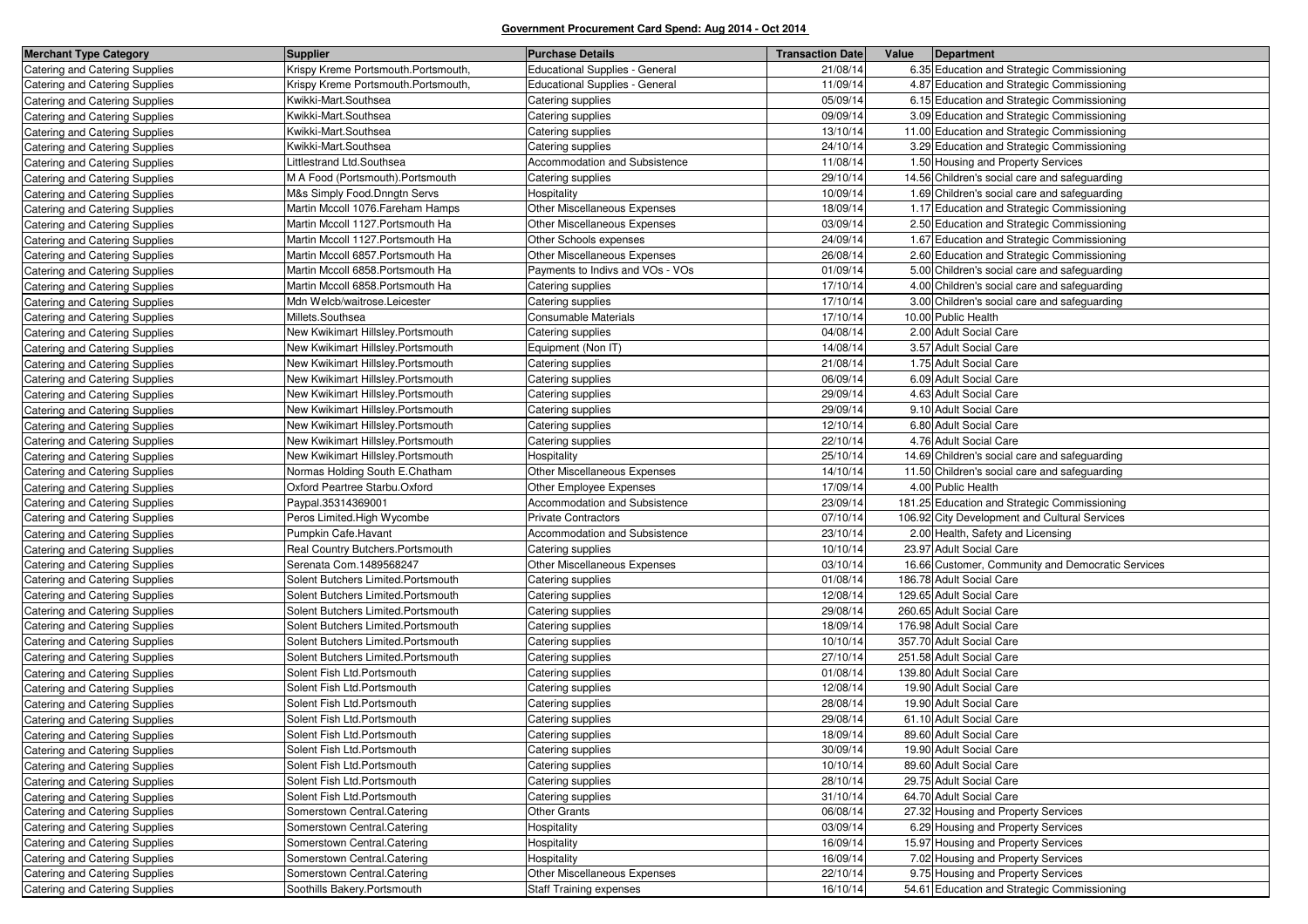| <b>Merchant Type Category</b>         | <b>Supplier</b>                     | <b>Purchase Details</b>               | <b>Transaction Date</b> | Value<br>Department                               |
|---------------------------------------|-------------------------------------|---------------------------------------|-------------------------|---------------------------------------------------|
| <b>Catering and Catering Supplies</b> | Krispy Kreme Portsmouth.Portsmouth, | <b>Educational Supplies - General</b> | 21/08/14                | 6.35 Education and Strategic Commissioning        |
| Catering and Catering Supplies        | Krispy Kreme Portsmouth.Portsmouth, | <b>Educational Supplies - General</b> | 11/09/14                | 4.87 Education and Strategic Commissioning        |
| Catering and Catering Supplies        | Kwikki-Mart.Southsea                | Catering supplies                     | 05/09/14                | 6.15 Education and Strategic Commissioning        |
| Catering and Catering Supplies        | Kwikki-Mart.Southsea                | Catering supplies                     | 09/09/14                | 3.09 Education and Strategic Commissioning        |
| Catering and Catering Supplies        | Kwikki-Mart.Southsea                | Catering supplies                     | 13/10/14                | 11.00 Education and Strategic Commissioning       |
| Catering and Catering Supplies        | Kwikki-Mart.Southsea                | Catering supplies                     | 24/10/14                | 3.29 Education and Strategic Commissioning        |
| Catering and Catering Supplies        | Littlestrand Ltd.Southsea           | Accommodation and Subsistence         | 11/08/14                | 1.50 Housing and Property Services                |
| Catering and Catering Supplies        | M A Food (Portsmouth).Portsmouth    | Catering supplies                     | 29/10/14                | 14.56 Children's social care and safeguarding     |
| Catering and Catering Supplies        | M&s Simply Food.Dnngtn Servs        | Hospitality                           | 10/09/14                | 1.69 Children's social care and safeguarding      |
| Catering and Catering Supplies        | Martin Mccoll 1076. Fareham Hamps   | Other Miscellaneous Expenses          | 18/09/14                | 1.17 Education and Strategic Commissioning        |
| Catering and Catering Supplies        | Martin Mccoll 1127. Portsmouth Ha   | Other Miscellaneous Expenses          | 03/09/14                | 2.50 Education and Strategic Commissioning        |
| Catering and Catering Supplies        | Martin Mccoll 1127. Portsmouth Ha   | Other Schools expenses                | 24/09/14                | 1.67 Education and Strategic Commissioning        |
| Catering and Catering Supplies        | Martin Mccoll 6857. Portsmouth Ha   | Other Miscellaneous Expenses          | 26/08/14                | 2.60 Education and Strategic Commissioning        |
| Catering and Catering Supplies        | Martin Mccoll 6858. Portsmouth Ha   | Payments to Indivs and VOs - VOs      | 01/09/14                | 5.00 Children's social care and safeguarding      |
| Catering and Catering Supplies        | Martin Mccoll 6858. Portsmouth Ha   | Catering supplies                     | 17/10/14                | 4.00 Children's social care and safeguarding      |
| Catering and Catering Supplies        | Mdn Welcb/waitrose.Leicester        | Catering supplies                     | 17/10/14                | 3.00 Children's social care and safeguarding      |
| Catering and Catering Supplies        | Millets.Southsea                    | Consumable Materials                  | 17/10/14                | 10.00 Public Health                               |
| Catering and Catering Supplies        | New Kwikimart Hillsley.Portsmouth   | Catering supplies                     | 04/08/14                | 2.00 Adult Social Care                            |
| Catering and Catering Supplies        | New Kwikimart Hillsley.Portsmouth   | Equipment (Non IT)                    | 14/08/14                | 3.57 Adult Social Care                            |
| Catering and Catering Supplies        | New Kwikimart Hillsley.Portsmouth   | Catering supplies                     | 21/08/14                | 1.75 Adult Social Care                            |
| Catering and Catering Supplies        | New Kwikimart Hillsley.Portsmouth   | Catering supplies                     | 06/09/14                | 6.09 Adult Social Care                            |
| Catering and Catering Supplies        | New Kwikimart Hillsley.Portsmouth   | Catering supplies                     | 29/09/14                | 4.63 Adult Social Care                            |
| Catering and Catering Supplies        | New Kwikimart Hillsley.Portsmouth   | Catering supplies                     | 29/09/14                | 9.10 Adult Social Care                            |
| Catering and Catering Supplies        | New Kwikimart Hillsley.Portsmouth   | Catering supplies                     | 12/10/14                | 6.80 Adult Social Care                            |
| Catering and Catering Supplies        | New Kwikimart Hillsley.Portsmouth   | Catering supplies                     | 22/10/14                | 4.76 Adult Social Care                            |
| Catering and Catering Supplies        | New Kwikimart Hillsley.Portsmouth   | Hospitality                           | 25/10/14                | 14.69 Children's social care and safeguarding     |
| Catering and Catering Supplies        | Normas Holding South E.Chatham      | Other Miscellaneous Expenses          | 14/10/14                | 11.50 Children's social care and safeguarding     |
| Catering and Catering Supplies        | Oxford Peartree Starbu Oxford       | Other Employee Expenses               | 17/09/14                | 4.00 Public Health                                |
| Catering and Catering Supplies        | Paypal.35314369001                  | Accommodation and Subsistence         | 23/09/14                | 181.25 Education and Strategic Commissioning      |
| Catering and Catering Supplies        | Peros Limited. High Wycombe         | <b>Private Contractors</b>            | 07/10/14                | 106.92 City Development and Cultural Services     |
| Catering and Catering Supplies        | Pumpkin Cafe.Havant                 | Accommodation and Subsistence         | 23/10/14                | 2.00 Health, Safety and Licensing                 |
| Catering and Catering Supplies        | Real Country Butchers. Portsmouth   | Catering supplies                     | 10/10/14                | 23.97 Adult Social Care                           |
| Catering and Catering Supplies        | Serenata Com.1489568247             | Other Miscellaneous Expenses          | 03/10/14                | 16.66 Customer, Community and Democratic Services |
| Catering and Catering Supplies        | Solent Butchers Limited.Portsmouth  | Catering supplies                     | 01/08/14                | 186.78 Adult Social Care                          |
| Catering and Catering Supplies        | Solent Butchers Limited.Portsmouth  | Catering supplies                     | 12/08/14                | 129.65 Adult Social Care                          |
| Catering and Catering Supplies        | Solent Butchers Limited.Portsmouth  | Catering supplies                     | 29/08/14                | 260.65 Adult Social Care                          |
| Catering and Catering Supplies        | Solent Butchers Limited.Portsmouth  | Catering supplies                     | 18/09/14                | 176.98 Adult Social Care                          |
| Catering and Catering Supplies        | Solent Butchers Limited.Portsmouth  | Catering supplies                     | 10/10/14                | 357.70 Adult Social Care                          |
| Catering and Catering Supplies        | Solent Butchers Limited.Portsmouth  | Catering supplies                     | 27/10/14                | 251.58 Adult Social Care                          |
| Catering and Catering Supplies        | Solent Fish Ltd.Portsmouth          | Catering supplies                     | 01/08/14                | 139.80 Adult Social Care                          |
| Catering and Catering Supplies        | Solent Fish Ltd.Portsmouth          | Catering supplies                     | 12/08/14                | 19.90 Adult Social Care                           |
| Catering and Catering Supplies        | Solent Fish Ltd.Portsmouth          | Catering supplies                     | 28/08/14                | 19.90 Adult Social Care                           |
| Catering and Catering Supplies        | Solent Fish Ltd.Portsmouth          | Catering supplies                     | 29/08/14                | 61.10 Adult Social Care                           |
| Catering and Catering Supplies        | Solent Fish Ltd.Portsmouth          | Catering supplies                     | 18/09/14                | 89.60 Adult Social Care                           |
| Catering and Catering Supplies        | Solent Fish Ltd.Portsmouth          | Catering supplies                     | 30/09/14                | 19.90 Adult Social Care                           |
| Catering and Catering Supplies        | Solent Fish Ltd.Portsmouth          | Catering supplies                     | 10/10/14                | 89.60 Adult Social Care                           |
| Catering and Catering Supplies        | Solent Fish Ltd.Portsmouth          | Catering supplies                     | 28/10/14                | 29.75 Adult Social Care                           |
| Catering and Catering Supplies        | Solent Fish Ltd.Portsmouth          | Catering supplies                     | 31/10/14                | 64.70 Adult Social Care                           |
| Catering and Catering Supplies        | Somerstown Central Catering         | Other Grants                          | 06/08/14                | 27.32 Housing and Property Services               |
| Catering and Catering Supplies        | Somerstown Central.Catering         | Hospitality                           | 03/09/14                | 6.29 Housing and Property Services                |
| Catering and Catering Supplies        | Somerstown Central Catering         | Hospitality                           | 16/09/14                | 15.97 Housing and Property Services               |
| Catering and Catering Supplies        | Somerstown Central.Catering         | Hospitality                           | 16/09/14                | 7.02 Housing and Property Services                |
| Catering and Catering Supplies        | Somerstown Central.Catering         | Other Miscellaneous Expenses          | 22/10/14                | 9.75 Housing and Property Services                |
| Catering and Catering Supplies        | Soothills Bakery.Portsmouth         | <b>Staff Training expenses</b>        | 16/10/14                | 54.61 Education and Strategic Commissioning       |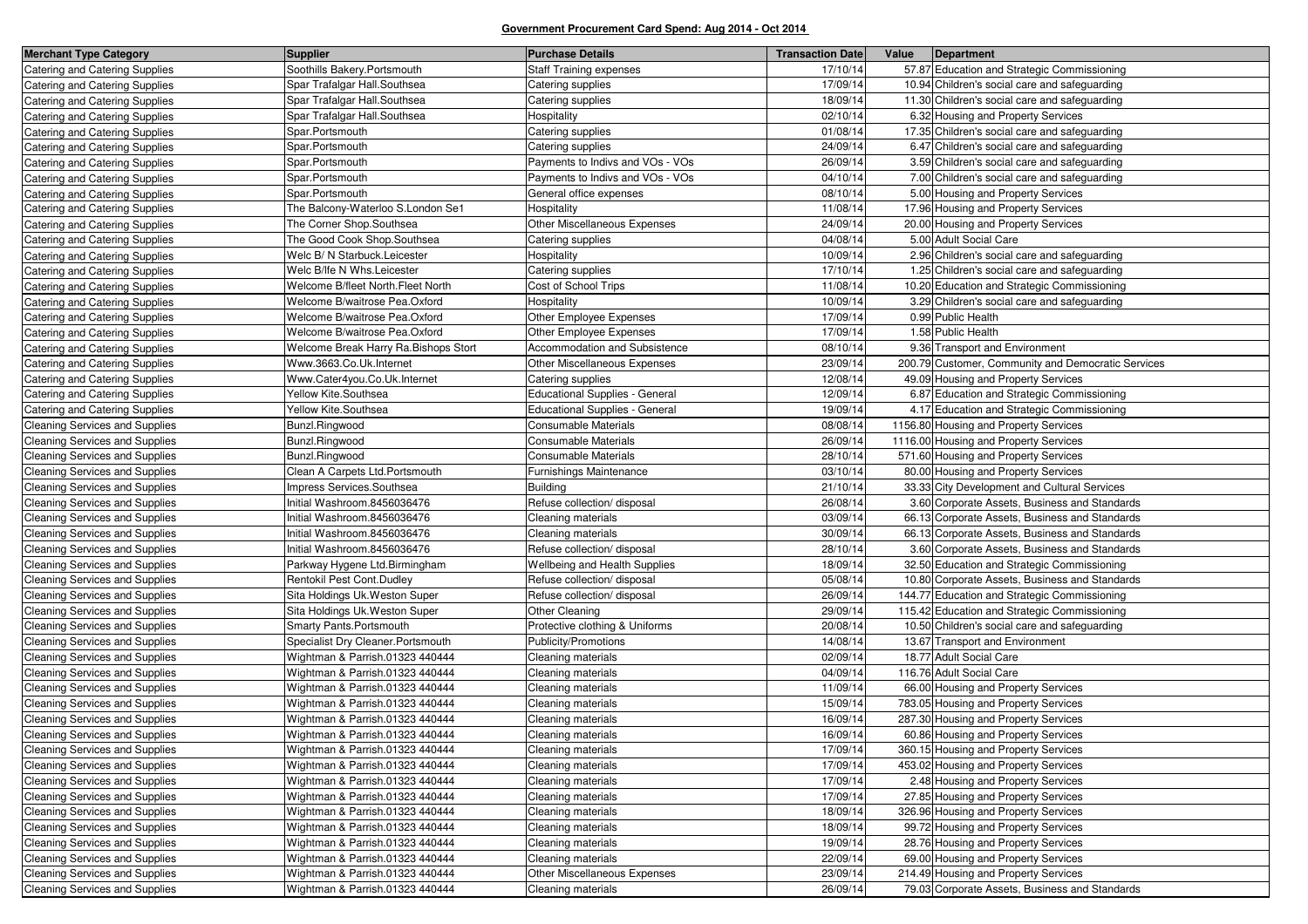| <b>Merchant Type Category</b>         | <b>Supplier</b>                       | <b>Purchase Details</b>               | <b>Transaction Date</b> | Value | Department                                         |
|---------------------------------------|---------------------------------------|---------------------------------------|-------------------------|-------|----------------------------------------------------|
| Catering and Catering Supplies        | Soothills Bakery Portsmouth           | <b>Staff Training expenses</b>        | 17/10/14                |       | 57.87 Education and Strategic Commissioning        |
| Catering and Catering Supplies        | Spar Trafalgar Hall.Southsea          | Catering supplies                     | 17/09/14                |       | 10.94 Children's social care and safeguarding      |
| Catering and Catering Supplies        | Spar Trafalgar Hall.Southsea          | Catering supplies                     | 18/09/14                |       | 11.30 Children's social care and safeguarding      |
| Catering and Catering Supplies        | Spar Trafalgar Hall.Southsea          | Hospitality                           | 02/10/14                |       | 6.32 Housing and Property Services                 |
| <b>Catering and Catering Supplies</b> | Spar.Portsmouth                       | Catering supplies                     | 01/08/14                |       | 17.35 Children's social care and safeguarding      |
| Catering and Catering Supplies        | Spar.Portsmouth                       | Catering supplies                     | 24/09/14                |       | 6.47 Children's social care and safeguarding       |
| Catering and Catering Supplies        | Spar.Portsmouth                       | Payments to Indivs and VOs - VOs      | 26/09/14                |       | 3.59 Children's social care and safeguarding       |
| Catering and Catering Supplies        | Spar.Portsmouth                       | Payments to Indivs and VOs - VOs      | 04/10/14                |       | 7.00 Children's social care and safeguarding       |
| Catering and Catering Supplies        | Spar.Portsmouth                       | General office expenses               | 08/10/14                |       | 5.00 Housing and Property Services                 |
| Catering and Catering Supplies        | The Balcony-Waterloo S.London Se1     | Hospitality                           | 11/08/14                |       | 17.96 Housing and Property Services                |
| <b>Catering and Catering Supplies</b> | The Corner Shop.Southsea              | Other Miscellaneous Expenses          | 24/09/14                |       | 20.00 Housing and Property Services                |
| Catering and Catering Supplies        | The Good Cook Shop.Southsea           | Catering supplies                     | 04/08/14                |       | 5.00 Adult Social Care                             |
| Catering and Catering Supplies        | Welc B/ N Starbuck.Leicester          | Hospitality                           | 10/09/14                |       | 2.96 Children's social care and safeguarding       |
| <b>Catering and Catering Supplies</b> | Welc B/lfe N Whs.Leicester            | Catering supplies                     | 17/10/14                |       | 1.25 Children's social care and safeguarding       |
| Catering and Catering Supplies        | Welcome B/fleet North. Fleet North    | Cost of School Trips                  | 11/08/14                |       | 10.20 Education and Strategic Commissioning        |
| <b>Catering and Catering Supplies</b> | Welcome B/waitrose Pea.Oxford         | Hospitality                           | 10/09/14                |       | 3.29 Children's social care and safeguarding       |
| Catering and Catering Supplies        | Welcome B/waitrose Pea.Oxford         | Other Employee Expenses               | 17/09/14                |       | 0.99 Public Health                                 |
| <b>Catering and Catering Supplies</b> | Welcome B/waitrose Pea.Oxford         | Other Employee Expenses               | 17/09/14                |       | 1.58 Public Health                                 |
| <b>Catering and Catering Supplies</b> | Welcome Break Harry Ra. Bishops Stort | Accommodation and Subsistence         | 08/10/14                |       | 9.36 Transport and Environment                     |
| Catering and Catering Supplies        | Www.3663.Co.Uk.Internet               | <b>Other Miscellaneous Expenses</b>   | 23/09/14                |       | 200.79 Customer, Community and Democratic Services |
| Catering and Catering Supplies        | Www.Cater4you.Co.Uk.Internet          | Catering supplies                     | 12/08/14                |       | 49.09 Housing and Property Services                |
| Catering and Catering Supplies        | Yellow Kite.Southsea                  | <b>Educational Supplies - General</b> | 12/09/14                |       | 6.87 Education and Strategic Commissioning         |
| Catering and Catering Supplies        | Yellow Kite.Southsea                  | <b>Educational Supplies - General</b> | 19/09/14                |       | 4.17 Education and Strategic Commissioning         |
| <b>Cleaning Services and Supplies</b> | Bunzl.Ringwood                        | <b>Consumable Materials</b>           | 08/08/14                |       | 1156.80 Housing and Property Services              |
| Cleaning Services and Supplies        | Bunzl.Ringwood                        | Consumable Materials                  | 26/09/14                |       | 1116.00 Housing and Property Services              |
| <b>Cleaning Services and Supplies</b> | Bunzl.Ringwood                        | Consumable Materials                  | 28/10/14                |       | 571.60 Housing and Property Services               |
| <b>Cleaning Services and Supplies</b> | Clean A Carpets Ltd. Portsmouth       | Furnishings Maintenance               | 03/10/14                |       | 80.00 Housing and Property Services                |
| Cleaning Services and Supplies        | Impress Services.Southsea             | <b>Building</b>                       | 21/10/14                |       | 33.33 City Development and Cultural Services       |
| <b>Cleaning Services and Supplies</b> | Initial Washroom.8456036476           | Refuse collection/ disposal           | 26/08/14                |       | 3.60 Corporate Assets, Business and Standards      |
| <b>Cleaning Services and Supplies</b> | Initial Washroom.8456036476           | Cleaning materials                    | 03/09/14                |       | 66.13 Corporate Assets, Business and Standards     |
| Cleaning Services and Supplies        | Initial Washroom.8456036476           | Cleaning materials                    | 30/09/14                |       | 66.13 Corporate Assets, Business and Standards     |
| <b>Cleaning Services and Supplies</b> | Initial Washroom.8456036476           | Refuse collection/ disposal           | 28/10/14                |       | 3.60 Corporate Assets, Business and Standards      |
| <b>Cleaning Services and Supplies</b> | Parkway Hygene Ltd. Birmingham        | Wellbeing and Health Supplies         | 18/09/14                |       | 32.50 Education and Strategic Commissioning        |
| Cleaning Services and Supplies        | Rentokil Pest Cont.Dudley             | Refuse collection/ disposal           | 05/08/14                |       | 10.80 Corporate Assets, Business and Standards     |
| <b>Cleaning Services and Supplies</b> | Sita Holdings Uk. Weston Super        | Refuse collection/ disposal           | 26/09/14                |       | 144.77 Education and Strategic Commissioning       |
| <b>Cleaning Services and Supplies</b> | Sita Holdings Uk. Weston Super        | Other Cleaning                        | 29/09/14                |       | 115.42 Education and Strategic Commissioning       |
| <b>Cleaning Services and Supplies</b> | <b>Smarty Pants. Portsmouth</b>       | Protective clothing & Uniforms        | 20/08/14                |       | 10.50 Children's social care and safeguarding      |
| <b>Cleaning Services and Supplies</b> | Specialist Dry Cleaner.Portsmouth     | Publicity/Promotions                  | 14/08/14                |       | 13.67 Transport and Environment                    |
| <b>Cleaning Services and Supplies</b> | Wightman & Parrish.01323 440444       | Cleaning materials                    | 02/09/14                |       | 18.77 Adult Social Care                            |
| <b>Cleaning Services and Supplies</b> | Wightman & Parrish.01323 440444       | Cleaning materials                    | 04/09/14                |       | 116.76 Adult Social Care                           |
| <b>Cleaning Services and Supplies</b> | Wightman & Parrish.01323 440444       | Cleaning materials                    | 11/09/14                |       | 66.00 Housing and Property Services                |
| <b>Cleaning Services and Supplies</b> | Wightman & Parrish.01323 440444       | Cleaning materials                    | 15/09/14                |       | 783.05 Housing and Property Services               |
| <b>Cleaning Services and Supplies</b> | Wightman & Parrish.01323 440444       | Cleaning materials                    | 16/09/14                |       | 287.30 Housing and Property Services               |
| Cleaning Services and Supplies        | Wightman & Parrish.01323 440444       | Cleaning materials                    | 16/09/14                |       | 60.86 Housing and Property Services                |
| Cleaning Services and Supplies        | Wightman & Parrish.01323 440444       | Cleaning materials                    | 17/09/14                |       | 360.15 Housing and Property Services               |
| Cleaning Services and Supplies        | Wightman & Parrish.01323 440444       | Cleaning materials                    | 17/09/14                |       | 453.02 Housing and Property Services               |
| <b>Cleaning Services and Supplies</b> | Wightman & Parrish.01323 440444       | Cleaning materials                    | 17/09/14                |       | 2.48 Housing and Property Services                 |
| Cleaning Services and Supplies        | Wightman & Parrish.01323 440444       | Cleaning materials                    | 17/09/14                |       | 27.85 Housing and Property Services                |
| <b>Cleaning Services and Supplies</b> | Wightman & Parrish.01323 440444       | Cleaning materials                    | 18/09/14                |       | 326.96 Housing and Property Services               |
| Cleaning Services and Supplies        | Wightman & Parrish.01323 440444       | Cleaning materials                    | 18/09/14                |       | 99.72 Housing and Property Services                |
| Cleaning Services and Supplies        | Wightman & Parrish.01323 440444       | Cleaning materials                    | 19/09/14                |       | 28.76 Housing and Property Services                |
| <b>Cleaning Services and Supplies</b> | Wightman & Parrish.01323 440444       | Cleaning materials                    | 22/09/14                |       | 69.00 Housing and Property Services                |
| Cleaning Services and Supplies        | Wightman & Parrish.01323 440444       | Other Miscellaneous Expenses          | 23/09/14                |       | 214.49 Housing and Property Services               |
| Cleaning Services and Supplies        | Wightman & Parrish.01323 440444       | Cleaning materials                    | 26/09/14                |       | 79.03 Corporate Assets, Business and Standards     |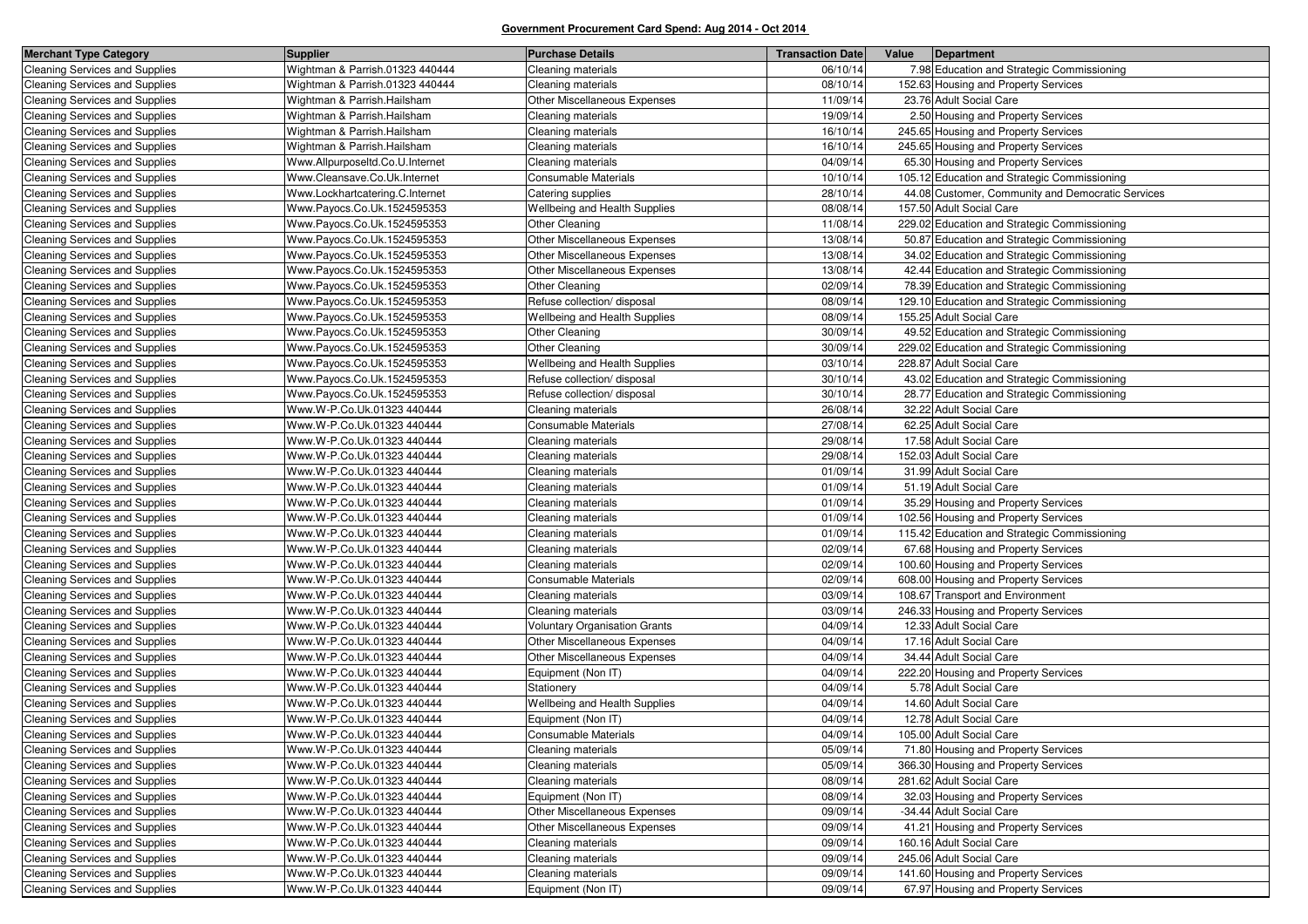| <b>Merchant Type Category</b>         | <b>Supplier</b>                 | <b>Purchase Details</b>              | <b>Transaction Date</b> | Value<br>Department                               |
|---------------------------------------|---------------------------------|--------------------------------------|-------------------------|---------------------------------------------------|
| <b>Cleaning Services and Supplies</b> | Wightman & Parrish.01323 440444 | Cleaning materials                   | 06/10/14                | 7.98 Education and Strategic Commissioning        |
| <b>Cleaning Services and Supplies</b> | Wightman & Parrish.01323 440444 | Cleaning materials                   | 08/10/14                | 152.63 Housing and Property Services              |
| Cleaning Services and Supplies        | Wightman & Parrish.Hailsham     | Other Miscellaneous Expenses         | 11/09/14                | 23.76 Adult Social Care                           |
| <b>Cleaning Services and Supplies</b> | Wightman & Parrish.Hailsham     | Cleaning materials                   | 19/09/14                | 2.50 Housing and Property Services                |
| <b>Cleaning Services and Supplies</b> | Wightman & Parrish.Hailsham     | Cleaning materials                   | 16/10/14                | 245.65 Housing and Property Services              |
| <b>Cleaning Services and Supplies</b> | Wightman & Parrish.Hailsham     | Cleaning materials                   | 16/10/14                | 245.65 Housing and Property Services              |
| <b>Cleaning Services and Supplies</b> | Www.Allpurposeltd.Co.U.Internet | Cleaning materials                   | 04/09/14                | 65.30 Housing and Property Services               |
| <b>Cleaning Services and Supplies</b> | Www.Cleansave.Co.Uk.Internet    | Consumable Materials                 | 10/10/14                | 105.12 Education and Strategic Commissioning      |
| <b>Cleaning Services and Supplies</b> | Www.Lockhartcatering.C.Internet | Catering supplies                    | 28/10/14                | 44.08 Customer, Community and Democratic Services |
| <b>Cleaning Services and Supplies</b> | Www.Payocs.Co.Uk.1524595353     | Wellbeing and Health Supplies        | 08/08/14                | 157.50 Adult Social Care                          |
| <b>Cleaning Services and Supplies</b> | Www.Payocs.Co.Uk.1524595353     | Other Cleaning                       | 11/08/14                | 229.02 Education and Strategic Commissioning      |
| <b>Cleaning Services and Supplies</b> | Www.Payocs.Co.Uk.1524595353     | Other Miscellaneous Expenses         | 13/08/14                | 50.87 Education and Strategic Commissioning       |
| <b>Cleaning Services and Supplies</b> | Www.Payocs.Co.Uk.1524595353     | Other Miscellaneous Expenses         | 13/08/14                | 34.02 Education and Strategic Commissioning       |
| <b>Cleaning Services and Supplies</b> | Www.Payocs.Co.Uk.1524595353     | Other Miscellaneous Expenses         | 13/08/14                | 42.44 Education and Strategic Commissioning       |
| <b>Cleaning Services and Supplies</b> | Www.Payocs.Co.Uk.1524595353     | Other Cleaning                       | 02/09/14                | 78.39 Education and Strategic Commissioning       |
| <b>Cleaning Services and Supplies</b> | Www.Payocs.Co.Uk.1524595353     | Refuse collection/ disposal          | 08/09/14                | 129.10 Education and Strategic Commissioning      |
| <b>Cleaning Services and Supplies</b> | Www.Payocs.Co.Uk.1524595353     | <b>Wellbeing and Health Supplies</b> | 08/09/14                | 155.25 Adult Social Care                          |
| Cleaning Services and Supplies        | Www.Payocs.Co.Uk.1524595353     | Other Cleaning                       | 30/09/14                | 49.52 Education and Strategic Commissioning       |
| <b>Cleaning Services and Supplies</b> | Www.Payocs.Co.Uk.1524595353     | Other Cleaning                       | 30/09/14                | 229.02 Education and Strategic Commissioning      |
| <b>Cleaning Services and Supplies</b> | Www.Payocs.Co.Uk.1524595353     | Wellbeing and Health Supplies        | 03/10/14                | 228.87 Adult Social Care                          |
|                                       | Www.Payocs.Co.Uk.1524595353     | Refuse collection/ disposal          | 30/10/14                | 43.02 Education and Strategic Commissioning       |
| <b>Cleaning Services and Supplies</b> | Www.Payocs.Co.Uk.1524595353     |                                      |                         |                                                   |
| <b>Cleaning Services and Supplies</b> |                                 | Refuse collection/ disposal          | 30/10/14                | 28.77 Education and Strategic Commissioning       |
| <b>Cleaning Services and Supplies</b> | Www.W-P.Co.Uk.01323 440444      | Cleaning materials                   | 26/08/14                | 32.22 Adult Social Care                           |
| <b>Cleaning Services and Supplies</b> | Www.W-P.Co.Uk.01323 440444      | <b>Consumable Materials</b>          | 27/08/14                | 62.25 Adult Social Care                           |
| <b>Cleaning Services and Supplies</b> | Www.W-P.Co.Uk.01323 440444      | Cleaning materials                   | 29/08/14                | 17.58 Adult Social Care                           |
| <b>Cleaning Services and Supplies</b> | Www.W-P.Co.Uk.01323 440444      | Cleaning materials                   | 29/08/14                | 152.03 Adult Social Care                          |
| <b>Cleaning Services and Supplies</b> | Www.W-P.Co.Uk.01323 440444      | Cleaning materials                   | 01/09/14                | 31.99 Adult Social Care                           |
| <b>Cleaning Services and Supplies</b> | Www.W-P.Co.Uk.01323 440444      | Cleaning materials                   | 01/09/14                | 51.19 Adult Social Care                           |
| <b>Cleaning Services and Supplies</b> | Www.W-P.Co.Uk.01323 440444      | Cleaning materials                   | 01/09/14                | 35.29 Housing and Property Services               |
| <b>Cleaning Services and Supplies</b> | Www.W-P.Co.Uk.01323 440444      | Cleaning materials                   | 01/09/14                | 102.56 Housing and Property Services              |
| <b>Cleaning Services and Supplies</b> | Www.W-P.Co.Uk.01323 440444      | Cleaning materials                   | 01/09/14                | 115.42 Education and Strategic Commissioning      |
| <b>Cleaning Services and Supplies</b> | Www.W-P.Co.Uk.01323 440444      | Cleaning materials                   | 02/09/14                | 67.68 Housing and Property Services               |
| <b>Cleaning Services and Supplies</b> | Www.W-P.Co.Uk.01323 440444      | Cleaning materials                   | 02/09/14                | 100.60 Housing and Property Services              |
| <b>Cleaning Services and Supplies</b> | Www.W-P.Co.Uk.01323 440444      | Consumable Materials                 | 02/09/14                | 608.00 Housing and Property Services              |
| <b>Cleaning Services and Supplies</b> | Www.W-P.Co.Uk.01323 440444      | Cleaning materials                   | 03/09/14                | 108.67 Transport and Environment                  |
| <b>Cleaning Services and Supplies</b> | Www.W-P.Co.Uk.01323 440444      | Cleaning materials                   | 03/09/14                | 246.33 Housing and Property Services              |
| <b>Cleaning Services and Supplies</b> | Www.W-P.Co.Uk.01323 440444      | <b>Voluntary Organisation Grants</b> | 04/09/14                | 12.33 Adult Social Care                           |
| <b>Cleaning Services and Supplies</b> | Www.W-P.Co.Uk.01323 440444      | Other Miscellaneous Expenses         | 04/09/14                | 17.16 Adult Social Care                           |
| <b>Cleaning Services and Supplies</b> | Www.W-P.Co.Uk.01323 440444      | Other Miscellaneous Expenses         | 04/09/14                | 34.44 Adult Social Care                           |
| <b>Cleaning Services and Supplies</b> | Www.W-P.Co.Uk.01323 440444      | Equipment (Non IT)                   | 04/09/14                | 222.20 Housing and Property Services              |
| <b>Cleaning Services and Supplies</b> | Www.W-P.Co.Uk.01323 440444      | Stationery                           | 04/09/14                | 5.78 Adult Social Care                            |
| <b>Cleaning Services and Supplies</b> | Www.W-P.Co.Uk.01323 440444      | Wellbeing and Health Supplies        | 04/09/14                | 14.60 Adult Social Care                           |
| <b>Cleaning Services and Supplies</b> | Www.W-P.Co.Uk.01323 440444      | Equipment (Non IT)                   | 04/09/14                | 12.78 Adult Social Care                           |
| <b>Cleaning Services and Supplies</b> | Www.W-P.Co.Uk.01323 440444      | <b>Consumable Materials</b>          | 04/09/14                | 105.00 Adult Social Care                          |
| <b>Cleaning Services and Supplies</b> | Www.W-P.Co.Uk.01323 440444      | Cleaning materials                   | 05/09/14                | 71.80 Housing and Property Services               |
| <b>Cleaning Services and Supplies</b> | Www.W-P.Co.Uk.01323 440444      | Cleaning materials                   | 05/09/14                | 366.30 Housing and Property Services              |
| <b>Cleaning Services and Supplies</b> | Www.W-P.Co.Uk.01323 440444      | Cleaning materials                   | 08/09/14                | 281.62 Adult Social Care                          |
| <b>Cleaning Services and Supplies</b> | Www.W-P.Co.Uk.01323 440444      | Equipment (Non IT)                   | 08/09/14                | 32.03 Housing and Property Services               |
| <b>Cleaning Services and Supplies</b> | Www.W-P.Co.Uk.01323 440444      | Other Miscellaneous Expenses         | 09/09/14                | -34.44 Adult Social Care                          |
| <b>Cleaning Services and Supplies</b> | Www.W-P.Co.Uk.01323 440444      | Other Miscellaneous Expenses         | 09/09/14                | 41.21 Housing and Property Services               |
| <b>Cleaning Services and Supplies</b> | Www.W-P.Co.Uk.01323 440444      | Cleaning materials                   | 09/09/14                | 160.16 Adult Social Care                          |
| <b>Cleaning Services and Supplies</b> | Www.W-P.Co.Uk.01323 440444      | Cleaning materials                   | 09/09/14                | 245.06 Adult Social Care                          |
| <b>Cleaning Services and Supplies</b> | Www.W-P.Co.Uk.01323 440444      | Cleaning materials                   | 09/09/14                | 141.60 Housing and Property Services              |
| Cleaning Services and Supplies        | Www.W-P.Co.Uk.01323 440444      | Equipment (Non IT)                   | 09/09/14                | 67.97 Housing and Property Services               |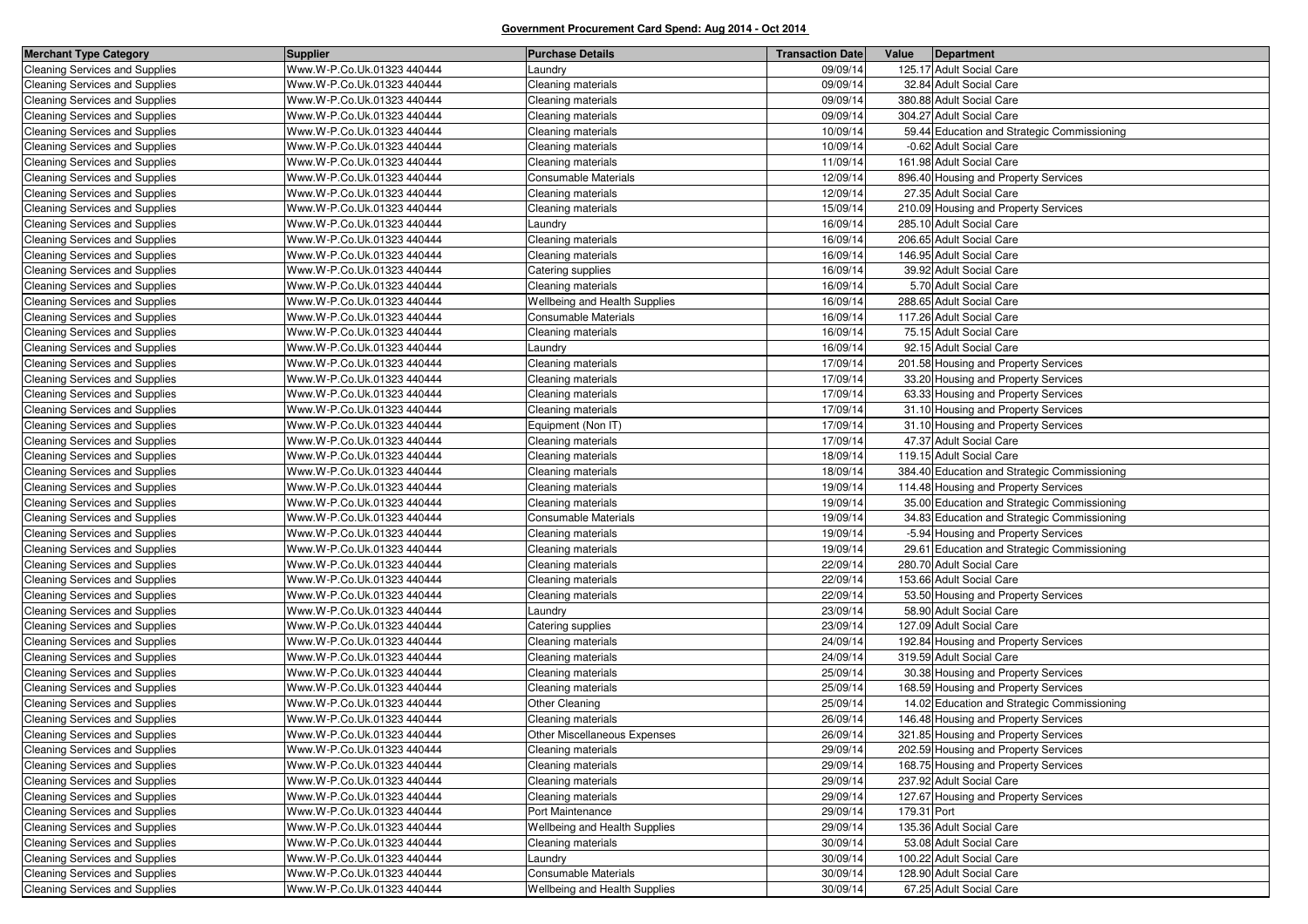| <b>Merchant Type Category</b>         | <b>Supplier</b>            | <b>Purchase Details</b>              | <b>Transaction Date</b> | Value<br>Department                          |
|---------------------------------------|----------------------------|--------------------------------------|-------------------------|----------------------------------------------|
| <b>Cleaning Services and Supplies</b> | Www.W-P.Co.Uk.01323 440444 | .aundry                              | 09/09/14                | 125.17 Adult Social Care                     |
| <b>Cleaning Services and Supplies</b> | Www.W-P.Co.Uk.01323 440444 | Cleaning materials                   | 09/09/14                | 32.84 Adult Social Care                      |
| <b>Cleaning Services and Supplies</b> | Www.W-P.Co.Uk.01323 440444 | Cleaning materials                   | 09/09/14                | 380.88 Adult Social Care                     |
| <b>Cleaning Services and Supplies</b> | Www.W-P.Co.Uk.01323 440444 | <b>Cleaning materials</b>            | 09/09/14                | 304.27 Adult Social Care                     |
| <b>Cleaning Services and Supplies</b> | Www.W-P.Co.Uk.01323 440444 | Cleaning materials                   | 10/09/14                | 59.44 Education and Strategic Commissioning  |
| Cleaning Services and Supplies        | Www.W-P.Co.Uk.01323 440444 | Cleaning materials                   | 10/09/14                | -0.62 Adult Social Care                      |
| <b>Cleaning Services and Supplies</b> | Www.W-P.Co.Uk.01323 440444 | <b>Cleaning materials</b>            | 11/09/14                | 161.98 Adult Social Care                     |
| <b>Cleaning Services and Supplies</b> | Www.W-P.Co.Uk.01323 440444 | <b>Consumable Materials</b>          | 12/09/14                | 896.40 Housing and Property Services         |
| <b>Cleaning Services and Supplies</b> | Www.W-P.Co.Uk.01323 440444 | <b>Cleaning materials</b>            | 12/09/14                | 27.35 Adult Social Care                      |
| <b>Cleaning Services and Supplies</b> | Www.W-P.Co.Uk.01323 440444 | <b>Cleaning materials</b>            | 15/09/14                | 210.09 Housing and Property Services         |
| <b>Cleaning Services and Supplies</b> | Www.W-P.Co.Uk.01323 440444 | Laundry                              | 16/09/14                | 285.10 Adult Social Care                     |
| <b>Cleaning Services and Supplies</b> | Www.W-P.Co.Uk.01323 440444 | Cleaning materials                   | 16/09/14                | 206.65 Adult Social Care                     |
| <b>Cleaning Services and Supplies</b> | Www.W-P.Co.Uk.01323 440444 | <b>Cleaning materials</b>            | 16/09/14                | 146.95 Adult Social Care                     |
| <b>Cleaning Services and Supplies</b> | Www.W-P.Co.Uk.01323 440444 | Catering supplies                    | 16/09/14                | 39.92 Adult Social Care                      |
| <b>Cleaning Services and Supplies</b> | Www.W-P.Co.Uk.01323 440444 | Cleaning materials                   | 16/09/14                | 5.70 Adult Social Care                       |
| <b>Cleaning Services and Supplies</b> | Www.W-P.Co.Uk.01323 440444 | <b>Wellbeing and Health Supplies</b> | 16/09/14                | 288.65 Adult Social Care                     |
| <b>Cleaning Services and Supplies</b> | Www.W-P.Co.Uk.01323 440444 | <b>Consumable Materials</b>          | 16/09/14                | 117.26 Adult Social Care                     |
| <b>Cleaning Services and Supplies</b> | Www.W-P.Co.Uk.01323 440444 | Cleaning materials                   | 16/09/14                | 75.15 Adult Social Care                      |
| <b>Cleaning Services and Supplies</b> | Www.W-P.Co.Uk.01323 440444 | Laundry                              | 16/09/14                | 92.15 Adult Social Care                      |
| <b>Cleaning Services and Supplies</b> | Www.W-P.Co.Uk.01323 440444 | Cleaning materials                   | 17/09/14                | 201.58 Housing and Property Services         |
| <b>Cleaning Services and Supplies</b> | Www.W-P.Co.Uk.01323 440444 | Cleaning materials                   | 17/09/14                | 33.20 Housing and Property Services          |
| <b>Cleaning Services and Supplies</b> | Www.W-P.Co.Uk.01323 440444 | <b>Cleaning materials</b>            | 17/09/14                | 63.33 Housing and Property Services          |
| <b>Cleaning Services and Supplies</b> | Www.W-P.Co.Uk.01323 440444 | Cleaning materials                   | 17/09/14                | 31.10 Housing and Property Services          |
| <b>Cleaning Services and Supplies</b> | Www.W-P.Co.Uk.01323 440444 | Equipment (Non IT)                   | 17/09/14                | 31.10 Housing and Property Services          |
| <b>Cleaning Services and Supplies</b> | Www.W-P.Co.Uk.01323 440444 | <b>Cleaning materials</b>            | 17/09/14                | 47.37 Adult Social Care                      |
| <b>Cleaning Services and Supplies</b> | Www.W-P.Co.Uk.01323 440444 | Cleaning materials                   | 18/09/14                | 119.15 Adult Social Care                     |
| <b>Cleaning Services and Supplies</b> | Www.W-P.Co.Uk.01323 440444 | Cleaning materials                   | 18/09/14                | 384.40 Education and Strategic Commissioning |
| <b>Cleaning Services and Supplies</b> | Www.W-P.Co.Uk.01323 440444 | Cleaning materials                   | 19/09/14                | 114.48 Housing and Property Services         |
| <b>Cleaning Services and Supplies</b> | Www.W-P.Co.Uk.01323 440444 | <b>Cleaning materials</b>            | 19/09/14                | 35.00 Education and Strategic Commissioning  |
| <b>Cleaning Services and Supplies</b> | Www.W-P.Co.Uk.01323 440444 | Consumable Materials                 | 19/09/14                | 34.83 Education and Strategic Commissioning  |
| <b>Cleaning Services and Supplies</b> | Www.W-P.Co.Uk.01323 440444 | Cleaning materials                   | 19/09/14                | -5.94 Housing and Property Services          |
| <b>Cleaning Services and Supplies</b> | Www.W-P.Co.Uk.01323 440444 | Cleaning materials                   | 19/09/14                | 29.61 Education and Strategic Commissioning  |
| <b>Cleaning Services and Supplies</b> | Www.W-P.Co.Uk.01323 440444 | Cleaning materials                   | 22/09/14                | 280.70 Adult Social Care                     |
| <b>Cleaning Services and Supplies</b> | Www.W-P.Co.Uk.01323 440444 | <b>Cleaning materials</b>            | 22/09/14                | 153.66 Adult Social Care                     |
| <b>Cleaning Services and Supplies</b> | Www.W-P.Co.Uk.01323 440444 | Cleaning materials                   | 22/09/14                | 53.50 Housing and Property Services          |
| <b>Cleaning Services and Supplies</b> | Www.W-P.Co.Uk.01323 440444 | _aundry                              | 23/09/14                | 58.90 Adult Social Care                      |
| <b>Cleaning Services and Supplies</b> | Www.W-P.Co.Uk.01323 440444 | Catering supplies                    | 23/09/14                | 127.09 Adult Social Care                     |
| <b>Cleaning Services and Supplies</b> | Www.W-P.Co.Uk.01323 440444 | Cleaning materials                   | 24/09/14                | 192.84 Housing and Property Services         |
| <b>Cleaning Services and Supplies</b> | Www.W-P.Co.Uk.01323 440444 | Cleaning materials                   | 24/09/14                | 319.59 Adult Social Care                     |
| Cleaning Services and Supplies        | Www.W-P.Co.Uk.01323 440444 | <b>Cleaning materials</b>            | 25/09/14                | 30.38 Housing and Property Services          |
| <b>Cleaning Services and Supplies</b> | Www.W-P.Co.Uk.01323 440444 | <b>Cleaning materials</b>            | 25/09/14                | 168.59 Housing and Property Services         |
| <b>Cleaning Services and Supplies</b> | Www.W-P.Co.Uk.01323 440444 | Other Cleaning                       | 25/09/14                | 14.02 Education and Strategic Commissioning  |
| <b>Cleaning Services and Supplies</b> | Www.W-P.Co.Uk.01323 440444 | <b>Cleaning materials</b>            | 26/09/14                | 146.48 Housing and Property Services         |
| <b>Cleaning Services and Supplies</b> | Www.W-P.Co.Uk.01323 440444 | Other Miscellaneous Expenses         | 26/09/14                | 321.85 Housing and Property Services         |
| Cleaning Services and Supplies        | Www.W-P.Co.Uk.01323 440444 | Cleaning materials                   | 29/09/14                | 202.59 Housing and Property Services         |
| <b>Cleaning Services and Supplies</b> | Www.W-P.Co.Uk.01323 440444 | Cleaning materials                   | 29/09/14                | 168.75 Housing and Property Services         |
| Cleaning Services and Supplies        | Www.W-P.Co.Uk.01323 440444 | Cleaning materials                   | 29/09/14                | 237.92 Adult Social Care                     |
| <b>Cleaning Services and Supplies</b> | Www.W-P.Co.Uk.01323 440444 | Cleaning materials                   | 29/09/14                | 127.67 Housing and Property Services         |
| Cleaning Services and Supplies        | Www.W-P.Co.Uk.01323 440444 | Port Maintenance                     | 29/09/14                | 179.31 Port                                  |
| Cleaning Services and Supplies        | Www.W-P.Co.Uk.01323 440444 | Wellbeing and Health Supplies        | 29/09/14                | 135.36 Adult Social Care                     |
| <b>Cleaning Services and Supplies</b> | Www.W-P.Co.Uk.01323 440444 | <b>Cleaning materials</b>            | 30/09/14                | 53.08 Adult Social Care                      |
| <b>Cleaning Services and Supplies</b> | Www.W-P.Co.Uk.01323 440444 | Laundry                              | 30/09/14                | 100.22 Adult Social Care                     |
| Cleaning Services and Supplies        | Www.W-P.Co.Uk.01323 440444 | Consumable Materials                 | 30/09/14                | 128.90 Adult Social Care                     |
| Cleaning Services and Supplies        | Www.W-P.Co.Uk.01323 440444 | Wellbeing and Health Supplies        | 30/09/14                | 67.25 Adult Social Care                      |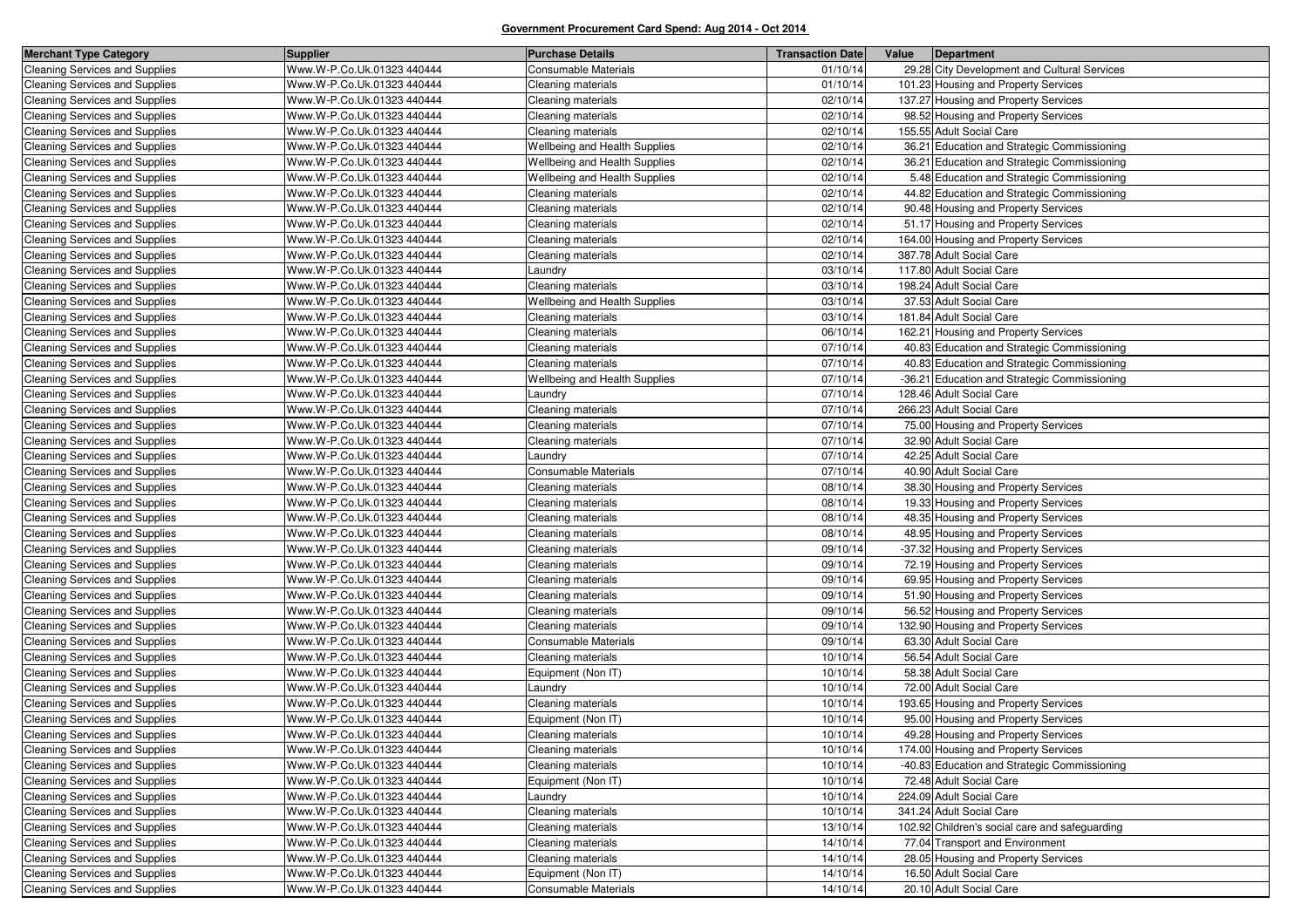| <b>Merchant Type Category</b>         | <b>Supplier</b>            | <b>Purchase Details</b>       | <b>Transaction Date</b> | Value | Department                                     |
|---------------------------------------|----------------------------|-------------------------------|-------------------------|-------|------------------------------------------------|
| <b>Cleaning Services and Supplies</b> | Www.W-P.Co.Uk.01323 440444 | <b>Consumable Materials</b>   | 01/10/14                |       | 29.28 City Development and Cultural Services   |
| <b>Cleaning Services and Supplies</b> | Www.W-P.Co.Uk.01323 440444 | Cleaning materials            | 01/10/14                |       | 101.23 Housing and Property Services           |
| <b>Cleaning Services and Supplies</b> | Www.W-P.Co.Uk.01323 440444 | Cleaning materials            | 02/10/14                |       | 137.27 Housing and Property Services           |
| Cleaning Services and Supplies        | Www.W-P.Co.Uk.01323 440444 | Cleaning materials            | 02/10/14                |       | 98.52 Housing and Property Services            |
| <b>Cleaning Services and Supplies</b> | Www.W-P.Co.Uk.01323 440444 | Cleaning materials            | 02/10/14                |       | 155.55 Adult Social Care                       |
| <b>Cleaning Services and Supplies</b> | Www.W-P.Co.Uk.01323 440444 | Wellbeing and Health Supplies | 02/10/14                |       | 36.21 Education and Strategic Commissioning    |
| Cleaning Services and Supplies        | Www.W-P.Co.Uk.01323 440444 | Wellbeing and Health Supplies | 02/10/14                |       | 36.21 Education and Strategic Commissioning    |
| <b>Cleaning Services and Supplies</b> | Www.W-P.Co.Uk.01323 440444 | Wellbeing and Health Supplies | 02/10/14                |       | 5.48 Education and Strategic Commissioning     |
| <b>Cleaning Services and Supplies</b> | Www.W-P.Co.Uk.01323 440444 | Cleaning materials            | 02/10/14                |       | 44.82 Education and Strategic Commissioning    |
| Cleaning Services and Supplies        | Www.W-P.Co.Uk.01323 440444 | Cleaning materials            | 02/10/14                |       | 90.48 Housing and Property Services            |
| <b>Cleaning Services and Supplies</b> | Www.W-P.Co.Uk.01323 440444 | Cleaning materials            | 02/10/14                |       | 51.17 Housing and Property Services            |
| <b>Cleaning Services and Supplies</b> | Www.W-P.Co.Uk.01323 440444 | Cleaning materials            | 02/10/14                |       | 164.00 Housing and Property Services           |
| Cleaning Services and Supplies        | Www.W-P.Co.Uk.01323 440444 | Cleaning materials            | 02/10/14                |       | 387.78 Adult Social Care                       |
| <b>Cleaning Services and Supplies</b> | Www.W-P.Co.Uk.01323 440444 | Laundry                       | 03/10/14                |       | 117.80 Adult Social Care                       |
| Cleaning Services and Supplies        | Www.W-P.Co.Uk.01323 440444 | Cleaning materials            | 03/10/14                |       | 198.24 Adult Social Care                       |
| Cleaning Services and Supplies        | Www.W-P.Co.Uk.01323 440444 | Wellbeing and Health Supplies | 03/10/14                |       | 37.53 Adult Social Care                        |
| <b>Cleaning Services and Supplies</b> | Www.W-P.Co.Uk.01323 440444 | Cleaning materials            | 03/10/14                |       | 181.84 Adult Social Care                       |
| Cleaning Services and Supplies        | Www.W-P.Co.Uk.01323 440444 | Cleaning materials            | 06/10/14                |       | 162.21 Housing and Property Services           |
| <b>Cleaning Services and Supplies</b> | Www.W-P.Co.Uk.01323 440444 | Cleaning materials            | 07/10/14                |       | 40.83 Education and Strategic Commissioning    |
| <b>Cleaning Services and Supplies</b> | Www.W-P.Co.Uk.01323 440444 | Cleaning materials            | 07/10/14                |       | 40.83 Education and Strategic Commissioning    |
| <b>Cleaning Services and Supplies</b> | Www.W-P.Co.Uk.01323 440444 | Wellbeing and Health Supplies | 07/10/14                |       | -36.21 Education and Strategic Commissioning   |
| Cleaning Services and Supplies        | Www.W-P.Co.Uk.01323 440444 | Laundry                       | 07/10/14                |       | 128.46 Adult Social Care                       |
| <b>Cleaning Services and Supplies</b> | Www.W-P.Co.Uk.01323 440444 | Cleaning materials            | 07/10/14                |       | 266.23 Adult Social Care                       |
| <b>Cleaning Services and Supplies</b> | Www.W-P.Co.Uk.01323 440444 | Cleaning materials            | 07/10/14                |       | 75.00 Housing and Property Services            |
| <b>Cleaning Services and Supplies</b> | Www.W-P.Co.Uk.01323 440444 | Cleaning materials            | 07/10/14                |       | 32.90 Adult Social Care                        |
| <b>Cleaning Services and Supplies</b> | Www.W-P.Co.Uk.01323 440444 | Laundry                       | 07/10/14                |       | 42.25 Adult Social Care                        |
| <b>Cleaning Services and Supplies</b> | Www.W-P.Co.Uk.01323 440444 | <b>Consumable Materials</b>   | 07/10/14                |       | 40.90 Adult Social Care                        |
| <b>Cleaning Services and Supplies</b> | Www.W-P.Co.Uk.01323 440444 | Cleaning materials            | 08/10/14                |       | 38.30 Housing and Property Services            |
| <b>Cleaning Services and Supplies</b> | Www.W-P.Co.Uk.01323 440444 | Cleaning materials            | 08/10/14                |       | 19.33 Housing and Property Services            |
| <b>Cleaning Services and Supplies</b> | Www.W-P.Co.Uk.01323 440444 | Cleaning materials            | 08/10/14                |       | 48.35 Housing and Property Services            |
| <b>Cleaning Services and Supplies</b> | Www.W-P.Co.Uk.01323 440444 | Cleaning materials            | 08/10/14                |       | 48.95 Housing and Property Services            |
| <b>Cleaning Services and Supplies</b> | Www.W-P.Co.Uk.01323 440444 | Cleaning materials            | 09/10/14                |       | -37.32 Housing and Property Services           |
| <b>Cleaning Services and Supplies</b> | Www.W-P.Co.Uk.01323 440444 | Cleaning materials            | 09/10/14                |       | 72.19 Housing and Property Services            |
| <b>Cleaning Services and Supplies</b> | Www.W-P.Co.Uk.01323 440444 | Cleaning materials            | 09/10/14                |       | 69.95 Housing and Property Services            |
| <b>Cleaning Services and Supplies</b> | Www.W-P.Co.Uk.01323 440444 | Cleaning materials            | 09/10/14                |       | 51.90 Housing and Property Services            |
| <b>Cleaning Services and Supplies</b> | Www.W-P.Co.Uk.01323 440444 | Cleaning materials            | 09/10/14                |       | 56.52 Housing and Property Services            |
| <b>Cleaning Services and Supplies</b> | Www.W-P.Co.Uk.01323 440444 | Cleaning materials            | 09/10/14                |       | 132.90 Housing and Property Services           |
| <b>Cleaning Services and Supplies</b> | Www.W-P.Co.Uk.01323 440444 | Consumable Materials          | 09/10/14                |       | 63.30 Adult Social Care                        |
| <b>Cleaning Services and Supplies</b> | Www.W-P.Co.Uk.01323 440444 | Cleaning materials            | 10/10/14                |       | 56.54 Adult Social Care                        |
| <b>Cleaning Services and Supplies</b> | Www.W-P.Co.Uk.01323 440444 | Equipment (Non IT)            | 10/10/14                |       | 58.38 Adult Social Care                        |
| <b>Cleaning Services and Supplies</b> | Www.W-P.Co.Uk.01323 440444 | Laundry                       | 10/10/14                |       | 72.00 Adult Social Care                        |
| <b>Cleaning Services and Supplies</b> | Www.W-P.Co.Uk.01323 440444 | Cleaning materials            | 10/10/14                |       | 193.65 Housing and Property Services           |
| <b>Cleaning Services and Supplies</b> | Www.W-P.Co.Uk.01323 440444 | Equipment (Non IT)            | 10/10/14                |       | 95.00 Housing and Property Services            |
| <b>Cleaning Services and Supplies</b> | Www.W-P.Co.Uk.01323 440444 | Cleaning materials            | 10/10/14                |       | 49.28 Housing and Property Services            |
| <b>Cleaning Services and Supplies</b> | Www.W-P.Co.Uk.01323 440444 | Cleaning materials            | 10/10/14                |       | 174.00 Housing and Property Services           |
| <b>Cleaning Services and Supplies</b> | Www.W-P.Co.Uk.01323 440444 | Cleaning materials            | 10/10/14                |       | -40.83 Education and Strategic Commissioning   |
| <b>Cleaning Services and Supplies</b> | Www.W-P.Co.Uk.01323 440444 | Equipment (Non IT)            | 10/10/14                |       | 72.48 Adult Social Care                        |
| <b>Cleaning Services and Supplies</b> | Www.W-P.Co.Uk.01323 440444 | Laundry                       | 10/10/14                |       | 224.09 Adult Social Care                       |
| <b>Cleaning Services and Supplies</b> | Www.W-P.Co.Uk.01323 440444 | Cleaning materials            | 10/10/14                |       | 341.24 Adult Social Care                       |
| Cleaning Services and Supplies        | Www.W-P.Co.Uk.01323 440444 | Cleaning materials            | 13/10/14                |       | 102.92 Children's social care and safeguarding |
| Cleaning Services and Supplies        | Www.W-P.Co.Uk.01323 440444 | Cleaning materials            | 14/10/14                |       | 77.04 Transport and Environment                |
| Cleaning Services and Supplies        | Www.W-P.Co.Uk.01323 440444 | Cleaning materials            | 14/10/14                |       | 28.05 Housing and Property Services            |
| Cleaning Services and Supplies        | Www.W-P.Co.Uk.01323 440444 | Equipment (Non IT)            | 14/10/14                |       | 16.50 Adult Social Care                        |
| Cleaning Services and Supplies        | Www.W-P.Co.Uk.01323 440444 | <b>Consumable Materials</b>   | 14/10/14                |       | 20.10 Adult Social Care                        |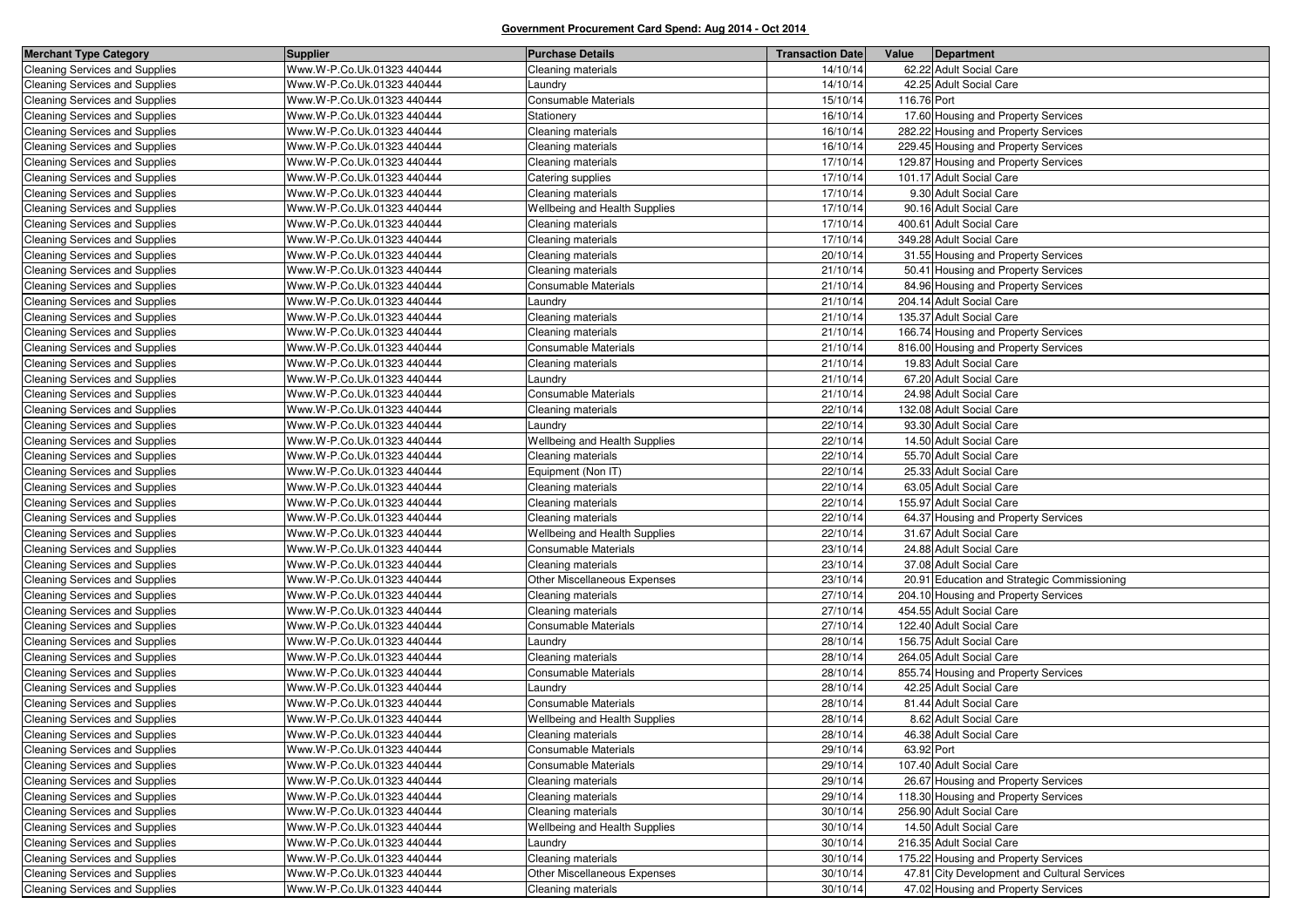| <b>Merchant Type Category</b>         | <b>Supplier</b>            | <b>Purchase Details</b>       | <b>Transaction Date</b> | Value       | Department                                   |
|---------------------------------------|----------------------------|-------------------------------|-------------------------|-------------|----------------------------------------------|
| <b>Cleaning Services and Supplies</b> | Www.W-P.Co.Uk.01323 440444 | Cleaning materials            | 14/10/14                |             | 62.22 Adult Social Care                      |
| Cleaning Services and Supplies        | Www.W-P.Co.Uk.01323 440444 | aundry.                       | 14/10/14                |             | 42.25 Adult Social Care                      |
| <b>Cleaning Services and Supplies</b> | Www.W-P.Co.Uk.01323 440444 | <b>Consumable Materials</b>   | 15/10/14                | 116.76 Port |                                              |
| <b>Cleaning Services and Supplies</b> | Www.W-P.Co.Uk.01323 440444 | Stationery                    | 16/10/14                |             | 17.60 Housing and Property Services          |
| <b>Cleaning Services and Supplies</b> | Www.W-P.Co.Uk.01323 440444 | Cleaning materials            | 16/10/14                |             | 282.22 Housing and Property Services         |
| <b>Cleaning Services and Supplies</b> | Www.W-P.Co.Uk.01323 440444 | Cleaning materials            | 16/10/14                |             | 229.45 Housing and Property Services         |
| <b>Cleaning Services and Supplies</b> | Www.W-P.Co.Uk.01323 440444 | Cleaning materials            | 17/10/14                |             | 129.87 Housing and Property Services         |
| <b>Cleaning Services and Supplies</b> | Www.W-P.Co.Uk.01323 440444 | Catering supplies             | 17/10/14                |             | 101.17 Adult Social Care                     |
| <b>Cleaning Services and Supplies</b> | Www.W-P.Co.Uk.01323 440444 | Cleaning materials            | 17/10/14                |             | 9.30 Adult Social Care                       |
| <b>Cleaning Services and Supplies</b> | Www.W-P.Co.Uk.01323 440444 | Wellbeing and Health Supplies | 17/10/14                |             | 90.16 Adult Social Care                      |
| <b>Cleaning Services and Supplies</b> | Www.W-P.Co.Uk.01323 440444 | Cleaning materials            | 17/10/14                |             | 400.61 Adult Social Care                     |
| <b>Cleaning Services and Supplies</b> | Www.W-P.Co.Uk.01323 440444 | Cleaning materials            | 17/10/14                |             | 349.28 Adult Social Care                     |
| <b>Cleaning Services and Supplies</b> | Www.W-P.Co.Uk.01323 440444 | Cleaning materials            | 20/10/14                |             | 31.55 Housing and Property Services          |
| <b>Cleaning Services and Supplies</b> | Www.W-P.Co.Uk.01323 440444 | Cleaning materials            | 21/10/14                |             | 50.41 Housing and Property Services          |
| <b>Cleaning Services and Supplies</b> | Www.W-P.Co.Uk.01323 440444 | Consumable Materials          | 21/10/14                |             | 84.96 Housing and Property Services          |
| <b>Cleaning Services and Supplies</b> | Www.W-P.Co.Uk.01323 440444 | Laundry                       | 21/10/14                |             | 204.14 Adult Social Care                     |
| <b>Cleaning Services and Supplies</b> | Www.W-P.Co.Uk.01323 440444 | Cleaning materials            | 21/10/14                |             | 135.37 Adult Social Care                     |
| <b>Cleaning Services and Supplies</b> | Www.W-P.Co.Uk.01323 440444 | Cleaning materials            | 21/10/14                |             | 166.74 Housing and Property Services         |
| Cleaning Services and Supplies        | Www.W-P.Co.Uk.01323 440444 | Consumable Materials          | 21/10/14                |             | 816.00 Housing and Property Services         |
| <b>Cleaning Services and Supplies</b> | Www.W-P.Co.Uk.01323 440444 | Cleaning materials            | 21/10/14                |             | 19.83 Adult Social Care                      |
| <b>Cleaning Services and Supplies</b> | Www.W-P.Co.Uk.01323 440444 | Laundry                       | 21/10/14                |             | 67.20 Adult Social Care                      |
| <b>Cleaning Services and Supplies</b> | Www.W-P.Co.Uk.01323 440444 | <b>Consumable Materials</b>   | 21/10/14                |             | 24.98 Adult Social Care                      |
| <b>Cleaning Services and Supplies</b> | Www.W-P.Co.Uk.01323 440444 | Cleaning materials            | 22/10/14                |             | 132.08 Adult Social Care                     |
| <b>Cleaning Services and Supplies</b> | Www.W-P.Co.Uk.01323 440444 | Laundry                       | 22/10/14                |             | 93.30 Adult Social Care                      |
| Cleaning Services and Supplies        | Www.W-P.Co.Uk.01323 440444 | Wellbeing and Health Supplies | 22/10/14                |             | 14.50 Adult Social Care                      |
| <b>Cleaning Services and Supplies</b> | Www.W-P.Co.Uk.01323 440444 | Cleaning materials            | 22/10/14                |             | 55.70 Adult Social Care                      |
| <b>Cleaning Services and Supplies</b> | Www.W-P.Co.Uk.01323 440444 | Equipment (Non IT)            | 22/10/14                |             | 25.33 Adult Social Care                      |
| <b>Cleaning Services and Supplies</b> | Www.W-P.Co.Uk.01323 440444 | Cleaning materials            | 22/10/14                |             | 63.05 Adult Social Care                      |
| <b>Cleaning Services and Supplies</b> | Www.W-P.Co.Uk.01323 440444 | Cleaning materials            | 22/10/14                |             | 155.97 Adult Social Care                     |
| <b>Cleaning Services and Supplies</b> | Www.W-P.Co.Uk.01323 440444 | Cleaning materials            | 22/10/14                |             | 64.37 Housing and Property Services          |
| Cleaning Services and Supplies        | Www.W-P.Co.Uk.01323 440444 | Wellbeing and Health Supplies | 22/10/14                |             | 31.67 Adult Social Care                      |
| <b>Cleaning Services and Supplies</b> | Www.W-P.Co.Uk.01323 440444 | Consumable Materials          | 23/10/14                |             | 24.88 Adult Social Care                      |
| <b>Cleaning Services and Supplies</b> | Www.W-P.Co.Uk.01323 440444 | Cleaning materials            | 23/10/14                |             | 37.08 Adult Social Care                      |
| <b>Cleaning Services and Supplies</b> | Www.W-P.Co.Uk.01323 440444 | Other Miscellaneous Expenses  | 23/10/14                |             | 20.91 Education and Strategic Commissioning  |
| <b>Cleaning Services and Supplies</b> | Www.W-P.Co.Uk.01323 440444 | Cleaning materials            | 27/10/14                |             | 204.10 Housing and Property Services         |
| Cleaning Services and Supplies        | Www.W-P.Co.Uk.01323 440444 | Cleaning materials            | 27/10/14                |             | 454.55 Adult Social Care                     |
| <b>Cleaning Services and Supplies</b> | Www.W-P.Co.Uk.01323 440444 | Consumable Materials          | 27/10/14                |             | 122.40 Adult Social Care                     |
| <b>Cleaning Services and Supplies</b> | Www.W-P.Co.Uk.01323 440444 | Laundry                       | 28/10/14                |             | 156.75 Adult Social Care                     |
| <b>Cleaning Services and Supplies</b> | Www.W-P.Co.Uk.01323 440444 | Cleaning materials            | 28/10/14                |             | 264.05 Adult Social Care                     |
| <b>Cleaning Services and Supplies</b> | Www.W-P.Co.Uk.01323 440444 | Consumable Materials          | 28/10/14                |             | 855.74 Housing and Property Services         |
| <b>Cleaning Services and Supplies</b> | Www.W-P.Co.Uk.01323 440444 | Laundry                       | 28/10/14                |             | 42.25 Adult Social Care                      |
| Cleaning Services and Supplies        | Www.W-P.Co.Uk.01323 440444 | Consumable Materials          | 28/10/14                |             | 81.44 Adult Social Care                      |
| Cleaning Services and Supplies        | Www.W-P.Co.Uk.01323 440444 | Wellbeing and Health Supplies | 28/10/14                |             | 8.62 Adult Social Care                       |
| <b>Cleaning Services and Supplies</b> | Www.W-P.Co.Uk.01323 440444 | Cleaning materials            | 28/10/14                |             | 46.38 Adult Social Care                      |
| <b>Cleaning Services and Supplies</b> | Www.W-P.Co.Uk.01323 440444 | <b>Consumable Materials</b>   | 29/10/14                | 63.92 Port  |                                              |
| Cleaning Services and Supplies        | Www.W-P.Co.Uk.01323 440444 | Consumable Materials          | 29/10/14                |             | 107.40 Adult Social Care                     |
| <b>Cleaning Services and Supplies</b> | Www.W-P.Co.Uk.01323 440444 | Cleaning materials            | 29/10/14                |             | 26.67 Housing and Property Services          |
| <b>Cleaning Services and Supplies</b> | Www.W-P.Co.Uk.01323 440444 | Cleaning materials            | 29/10/14                |             | 118.30 Housing and Property Services         |
| Cleaning Services and Supplies        | Www.W-P.Co.Uk.01323 440444 | Cleaning materials            | 30/10/14                |             | 256.90 Adult Social Care                     |
| Cleaning Services and Supplies        | Www.W-P.Co.Uk.01323 440444 | Wellbeing and Health Supplies | 30/10/14                |             | 14.50 Adult Social Care                      |
| <b>Cleaning Services and Supplies</b> | Www.W-P.Co.Uk.01323 440444 | Laundry                       | 30/10/14                |             | 216.35 Adult Social Care                     |
| Cleaning Services and Supplies        | Www.W-P.Co.Uk.01323 440444 | Cleaning materials            | 30/10/14                |             | 175.22 Housing and Property Services         |
| Cleaning Services and Supplies        | Www.W-P.Co.Uk.01323 440444 | Other Miscellaneous Expenses  | 30/10/14                |             | 47.81 City Development and Cultural Services |
| <b>Cleaning Services and Supplies</b> | Www.W-P.Co.Uk.01323 440444 | Cleaning materials            | 30/10/14                |             | 47.02 Housing and Property Services          |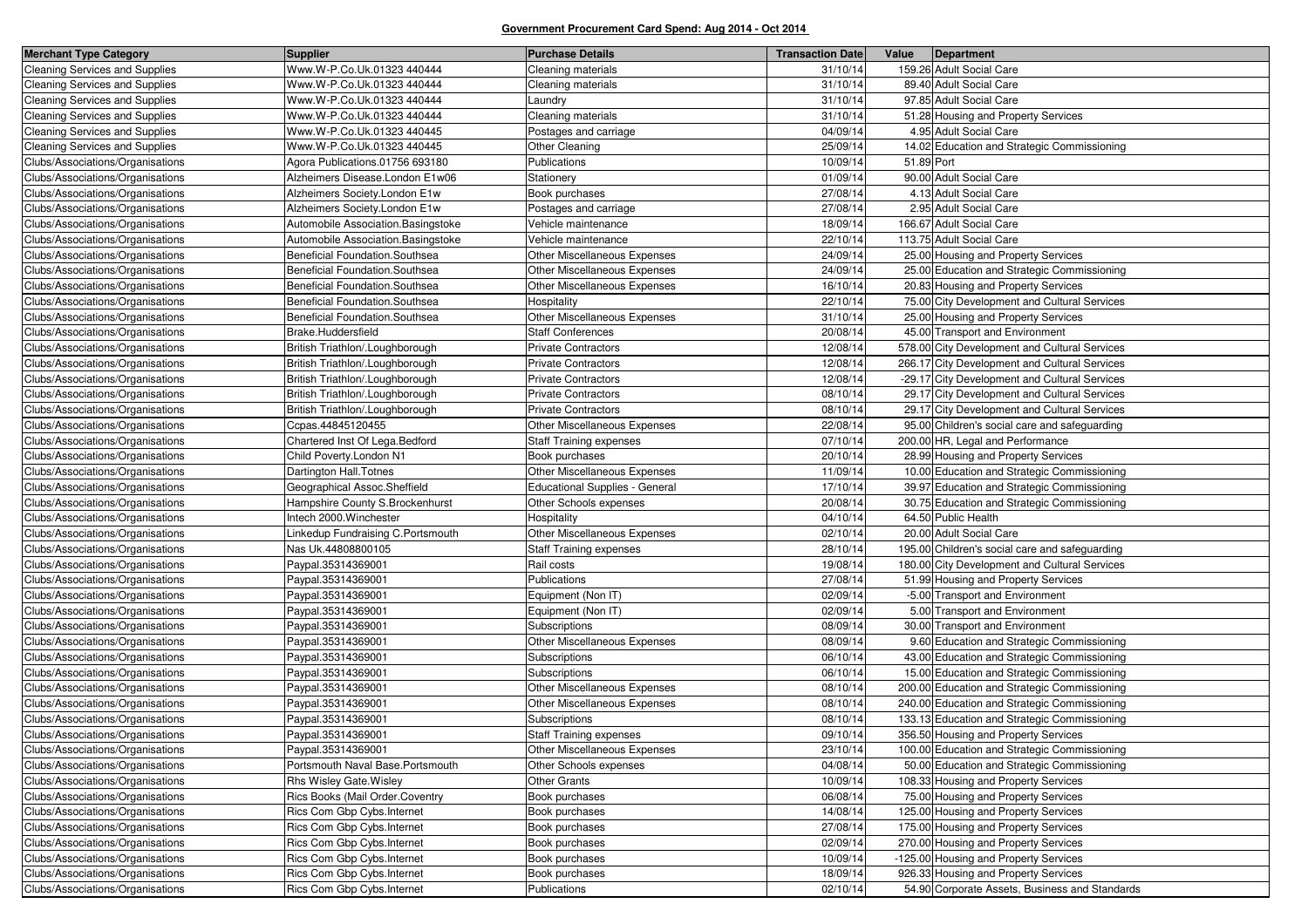| <b>Merchant Type Category</b>         | Supplier                            | <b>Purchase Details</b>               | <b>Transaction Date</b> | Value      | Department                                     |
|---------------------------------------|-------------------------------------|---------------------------------------|-------------------------|------------|------------------------------------------------|
| <b>Cleaning Services and Supplies</b> | Www.W-P.Co.Uk.01323 440444          | Cleaning materials                    | 31/10/14                |            | 159.26 Adult Social Care                       |
| <b>Cleaning Services and Supplies</b> | Www.W-P.Co.Uk.01323 440444          | Cleaning materials                    | 31/10/14                |            | 89.40 Adult Social Care                        |
| <b>Cleaning Services and Supplies</b> | Www.W-P.Co.Uk.01323 440444          | ∟aundry                               | 31/10/14                |            | 97.85 Adult Social Care                        |
| <b>Cleaning Services and Supplies</b> | Www.W-P.Co.Uk.01323 440444          | Cleaning materials                    | 31/10/14                |            | 51.28 Housing and Property Services            |
| <b>Cleaning Services and Supplies</b> | Www.W-P.Co.Uk.01323 440445          | Postages and carriage                 | 04/09/14                |            | 4.95 Adult Social Care                         |
| Cleaning Services and Supplies        | Www.W-P.Co.Uk.01323 440445          | Other Cleaning                        | 25/09/14                |            | 14.02 Education and Strategic Commissioning    |
| Clubs/Associations/Organisations      | Agora Publications.01756 693180     | Publications                          | 10/09/14                | 51.89 Port |                                                |
| Clubs/Associations/Organisations      | Alzheimers Disease.London E1w06     | Stationery                            | 01/09/14                |            | 90.00 Adult Social Care                        |
| Clubs/Associations/Organisations      | Alzheimers Society.London E1w       | Book purchases                        | 27/08/14                |            | 4.13 Adult Social Care                         |
| Clubs/Associations/Organisations      | Alzheimers Society.London E1w       | Postages and carriage                 | 27/08/14                |            | 2.95 Adult Social Care                         |
| Clubs/Associations/Organisations      | Automobile Association.Basingstoke  | Vehicle maintenance                   | 18/09/14                |            | 166.67 Adult Social Care                       |
| Clubs/Associations/Organisations      | Automobile Association. Basingstoke | Vehicle maintenance                   | 22/10/14                |            | 113.75 Adult Social Care                       |
| Clubs/Associations/Organisations      | Beneficial Foundation.Southsea      | Other Miscellaneous Expenses          | 24/09/14                |            | 25.00 Housing and Property Services            |
| Clubs/Associations/Organisations      | Beneficial Foundation.Southsea      | Other Miscellaneous Expenses          | 24/09/14                |            | 25.00 Education and Strategic Commissioning    |
| Clubs/Associations/Organisations      | Beneficial Foundation.Southsea      | Other Miscellaneous Expenses          | 16/10/14                |            | 20.83 Housing and Property Services            |
| Clubs/Associations/Organisations      | Beneficial Foundation.Southsea      | Hospitality                           | 22/10/14                |            | 75.00 City Development and Cultural Services   |
| Clubs/Associations/Organisations      | Beneficial Foundation.Southsea      | Other Miscellaneous Expenses          | 31/10/14                |            | 25.00 Housing and Property Services            |
| Clubs/Associations/Organisations      | Brake.Huddersfield                  | <b>Staff Conferences</b>              | 20/08/14                |            | 45.00 Transport and Environment                |
| Clubs/Associations/Organisations      | British Triathlon/.Loughborough     | <b>Private Contractors</b>            | 12/08/14                |            | 578.00 City Development and Cultural Services  |
| Clubs/Associations/Organisations      | British Triathlon/.Loughborough     | Private Contractors                   | 12/08/14                |            | 266.17 City Development and Cultural Services  |
| Clubs/Associations/Organisations      | British Triathlon/.Loughborough     | <b>Private Contractors</b>            | 12/08/14                |            | -29.17 City Development and Cultural Services  |
| Clubs/Associations/Organisations      | British Triathlon/.Loughborough     | <b>Private Contractors</b>            | 08/10/14                |            | 29.17 City Development and Cultural Services   |
| Clubs/Associations/Organisations      | British Triathlon/.Loughborough     | <b>Private Contractors</b>            | 08/10/14                |            | 29.17 City Development and Cultural Services   |
| Clubs/Associations/Organisations      | Ccpas.44845120455                   | Other Miscellaneous Expenses          | 22/08/14                |            | 95.00 Children's social care and safeguarding  |
| Clubs/Associations/Organisations      | Chartered Inst Of Lega.Bedford      | <b>Staff Training expenses</b>        | 07/10/14                |            | 200.00 HR, Legal and Performance               |
| Clubs/Associations/Organisations      | Child Poverty.London N1             | Book purchases                        | 20/10/14                |            | 28.99 Housing and Property Services            |
| Clubs/Associations/Organisations      | Dartington Hall. Totnes             | Other Miscellaneous Expenses          | 11/09/14                |            | 10.00 Education and Strategic Commissioning    |
| Clubs/Associations/Organisations      | Geographical Assoc.Sheffield        | <b>Educational Supplies - General</b> | 17/10/14                |            | 39.97 Education and Strategic Commissioning    |
| Clubs/Associations/Organisations      | Hampshire County S. Brockenhurst    | Other Schools expenses                | 20/08/14                |            | 30.75 Education and Strategic Commissioning    |
| Clubs/Associations/Organisations      | Intech 2000. Winchester             | Hospitality                           | 04/10/14                |            | 64.50 Public Health                            |
| Clubs/Associations/Organisations      | Linkedup Fundraising C.Portsmouth   | Other Miscellaneous Expenses          | 02/10/14                |            | 20.00 Adult Social Care                        |
| Clubs/Associations/Organisations      | Nas Uk.44808800105                  | <b>Staff Training expenses</b>        | 28/10/14                |            | 195.00 Children's social care and safeguarding |
| Clubs/Associations/Organisations      | Paypal.35314369001                  | Rail costs                            | 19/08/14                |            | 180.00 City Development and Cultural Services  |
| Clubs/Associations/Organisations      | Paypal.35314369001                  | Publications                          | 27/08/14                |            | 51.99 Housing and Property Services            |
| Clubs/Associations/Organisations      | Paypal.35314369001                  | Equipment (Non IT)                    | 02/09/14                |            | -5.00 Transport and Environment                |
| Clubs/Associations/Organisations      | Paypal.35314369001                  | Equipment (Non IT)                    | 02/09/14                |            | 5.00 Transport and Environment                 |
| Clubs/Associations/Organisations      | Paypal.35314369001                  | Subscriptions                         | 08/09/14                |            | 30.00 Transport and Environment                |
| Clubs/Associations/Organisations      | Paypal.35314369001                  | Other Miscellaneous Expenses          | 08/09/14                |            | 9.60 Education and Strategic Commissioning     |
| Clubs/Associations/Organisations      | Paypal.35314369001                  | Subscriptions                         | 06/10/14                |            | 43.00 Education and Strategic Commissioning    |
| Clubs/Associations/Organisations      | Paypal.35314369001                  | Subscriptions                         | 06/10/14                |            | 15.00 Education and Strategic Commissioning    |
| Clubs/Associations/Organisations      | Paypal.35314369001                  | Other Miscellaneous Expenses          | 08/10/14                |            | 200.00 Education and Strategic Commissioning   |
| Clubs/Associations/Organisations      | Paypal.35314369001                  | Other Miscellaneous Expenses          | 08/10/14                |            | 240.00 Education and Strategic Commissioning   |
| Clubs/Associations/Organisations      | Paypal.35314369001                  | Subscriptions                         | 08/10/14                |            | 133.13 Education and Strategic Commissioning   |
| Clubs/Associations/Organisations      | Paypal.35314369001                  | <b>Staff Training expenses</b>        | 09/10/14                |            | 356.50 Housing and Property Services           |
| Clubs/Associations/Organisations      | Paypal.35314369001                  | Other Miscellaneous Expenses          | 23/10/14                |            | 100.00 Education and Strategic Commissioning   |
| Clubs/Associations/Organisations      | Portsmouth Naval Base.Portsmouth    | Other Schools expenses                | 04/08/14                |            | 50.00 Education and Strategic Commissioning    |
| Clubs/Associations/Organisations      | Rhs Wisley Gate. Wisley             | <b>Other Grants</b>                   | 10/09/14                |            | 108.33 Housing and Property Services           |
| Clubs/Associations/Organisations      | Rics Books (Mail Order.Coventry     | Book purchases                        | 06/08/14                |            | 75.00 Housing and Property Services            |
| Clubs/Associations/Organisations      | Rics Com Gbp Cybs. Internet         | Book purchases                        | 14/08/14                |            | 125.00 Housing and Property Services           |
| Clubs/Associations/Organisations      | Rics Com Gbp Cybs. Internet         | Book purchases                        | 27/08/14                |            | 175.00 Housing and Property Services           |
| Clubs/Associations/Organisations      | Rics Com Gbp Cybs. Internet         | Book purchases                        | 02/09/14                |            | 270.00 Housing and Property Services           |
| Clubs/Associations/Organisations      | Rics Com Gbp Cybs.Internet          | Book purchases                        | 10/09/14                |            | -125.00 Housing and Property Services          |
| Clubs/Associations/Organisations      | Rics Com Gbp Cybs. Internet         | Book purchases                        | 18/09/14                |            | 926.33 Housing and Property Services           |
| Clubs/Associations/Organisations      | Rics Com Gbp Cybs. Internet         | Publications                          | 02/10/14                |            | 54.90 Corporate Assets, Business and Standards |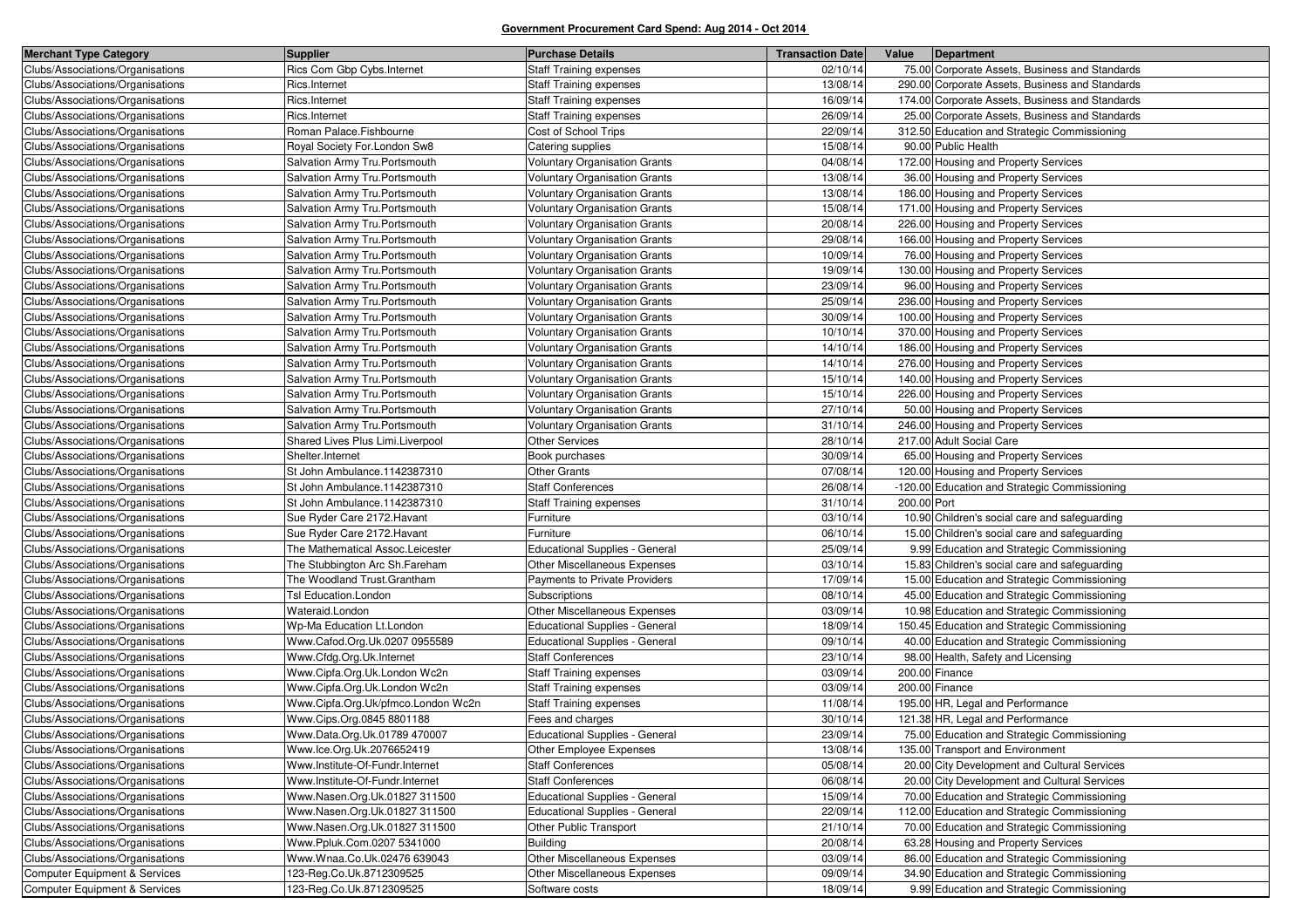| <b>Merchant Type Category</b>            | <b>Supplier</b>                    | <b>Purchase Details</b>               | <b>Transaction Date</b> | Value       | Department                                      |
|------------------------------------------|------------------------------------|---------------------------------------|-------------------------|-------------|-------------------------------------------------|
| Clubs/Associations/Organisations         | Rics Com Gbp Cybs.Internet         | <b>Staff Training expenses</b>        | 02/10/14                |             | 75.00 Corporate Assets, Business and Standards  |
| Clubs/Associations/Organisations         | Rics.Internet                      | <b>Staff Training expenses</b>        | 13/08/14                |             | 290.00 Corporate Assets, Business and Standards |
| Clubs/Associations/Organisations         | Rics.Internet                      | Staff Training expenses               | 16/09/14                |             | 174.00 Corporate Assets, Business and Standards |
| Clubs/Associations/Organisations         | Rics.Internet                      | <b>Staff Training expenses</b>        | 26/09/14                |             | 25.00 Corporate Assets, Business and Standards  |
| Clubs/Associations/Organisations         | Roman Palace.Fishbourne            | Cost of School Trips                  | 22/09/14                |             | 312.50 Education and Strategic Commissioning    |
| Clubs/Associations/Organisations         | Royal Society For.London Sw8       | Catering supplies                     | 15/08/14                |             | 90.00 Public Health                             |
| Clubs/Associations/Organisations         | Salvation Army Tru. Portsmouth     | Voluntary Organisation Grants         | 04/08/14                |             | 172.00 Housing and Property Services            |
| Clubs/Associations/Organisations         | Salvation Army Tru. Portsmouth     | <b>Voluntary Organisation Grants</b>  | 13/08/14                |             | 36.00 Housing and Property Services             |
| Clubs/Associations/Organisations         | Salvation Army Tru. Portsmouth     | Voluntary Organisation Grants         | 13/08/14                |             | 186.00 Housing and Property Services            |
| Clubs/Associations/Organisations         | Salvation Army Tru. Portsmouth     | <b>Voluntary Organisation Grants</b>  | 15/08/14                |             | 171.00 Housing and Property Services            |
| Clubs/Associations/Organisations         | Salvation Army Tru. Portsmouth     | <b>Voluntary Organisation Grants</b>  | 20/08/14                |             | 226.00 Housing and Property Services            |
| Clubs/Associations/Organisations         | Salvation Army Tru.Portsmouth      | Voluntary Organisation Grants         | 29/08/14                |             | 166.00 Housing and Property Services            |
| Clubs/Associations/Organisations         | Salvation Army Tru. Portsmouth     | <b>Voluntary Organisation Grants</b>  | 10/09/14                |             | 76.00 Housing and Property Services             |
| Clubs/Associations/Organisations         | Salvation Army Tru. Portsmouth     | Voluntary Organisation Grants         | 19/09/14                |             | 130.00 Housing and Property Services            |
| Clubs/Associations/Organisations         | Salvation Army Tru. Portsmouth     | <b>Voluntary Organisation Grants</b>  | 23/09/14                |             | 96.00 Housing and Property Services             |
| Clubs/Associations/Organisations         | Salvation Army Tru. Portsmouth     | <b>Voluntary Organisation Grants</b>  | 25/09/14                |             | 236.00 Housing and Property Services            |
| Clubs/Associations/Organisations         | Salvation Army Tru. Portsmouth     | <b>Voluntary Organisation Grants</b>  | 30/09/14                |             | 100.00 Housing and Property Services            |
| Clubs/Associations/Organisations         | Salvation Army Tru. Portsmouth     | <b>Voluntary Organisation Grants</b>  | 10/10/14                |             | 370.00 Housing and Property Services            |
| Clubs/Associations/Organisations         | Salvation Army Tru. Portsmouth     | Voluntary Organisation Grants         | 14/10/14                |             | 186.00 Housing and Property Services            |
| Clubs/Associations/Organisations         | Salvation Army Tru. Portsmouth     | <b>Voluntary Organisation Grants</b>  | 14/10/14                |             | 276.00 Housing and Property Services            |
| Clubs/Associations/Organisations         | Salvation Army Tru. Portsmouth     | <b>Voluntary Organisation Grants</b>  | 15/10/14                |             | 140.00 Housing and Property Services            |
| Clubs/Associations/Organisations         | Salvation Army Tru. Portsmouth     | Voluntary Organisation Grants         | 15/10/14                |             | 226.00 Housing and Property Services            |
| Clubs/Associations/Organisations         | Salvation Army Tru. Portsmouth     | Voluntary Organisation Grants         | 27/10/14                |             | 50.00 Housing and Property Services             |
| Clubs/Associations/Organisations         | Salvation Army Tru. Portsmouth     | <b>Voluntary Organisation Grants</b>  | 31/10/14                |             | 246.00 Housing and Property Services            |
| Clubs/Associations/Organisations         | Shared Lives Plus Limi.Liverpool   | Other Services                        | 28/10/14                |             | 217.00 Adult Social Care                        |
| Clubs/Associations/Organisations         | Shelter.Internet                   | Book purchases                        | 30/09/14                |             | 65.00 Housing and Property Services             |
| Clubs/Associations/Organisations         | St John Ambulance.1142387310       | <b>Other Grants</b>                   | 07/08/14                |             | 120.00 Housing and Property Services            |
| Clubs/Associations/Organisations         | St John Ambulance.1142387310       | <b>Staff Conferences</b>              | 26/08/14                |             | -120.00 Education and Strategic Commissioning   |
| Clubs/Associations/Organisations         | St John Ambulance.1142387310       | Staff Training expenses               | 31/10/14                | 200.00 Port |                                                 |
| Clubs/Associations/Organisations         | Sue Ryder Care 2172. Havant        | Furniture                             | 03/10/14                |             | 10.90 Children's social care and safeguarding   |
| Clubs/Associations/Organisations         | Sue Ryder Care 2172. Havant        | Furniture                             | 06/10/14                |             | 15.00 Children's social care and safeguarding   |
| Clubs/Associations/Organisations         | The Mathematical Assoc.Leicester   | Educational Supplies - General        | 25/09/14                |             | 9.99 Education and Strategic Commissioning      |
| Clubs/Associations/Organisations         | The Stubbington Arc Sh.Fareham     | Other Miscellaneous Expenses          | 03/10/14                |             | 15.83 Children's social care and safeguarding   |
| Clubs/Associations/Organisations         | The Woodland Trust.Grantham        | Payments to Private Providers         | 17/09/14                |             | 15.00 Education and Strategic Commissioning     |
| Clubs/Associations/Organisations         | Tsl Education.London               | Subscriptions                         | 08/10/14                |             | 45.00 Education and Strategic Commissioning     |
| Clubs/Associations/Organisations         | Wateraid.London                    | Other Miscellaneous Expenses          | 03/09/14                |             | 10.98 Education and Strategic Commissioning     |
| Clubs/Associations/Organisations         | Wp-Ma Education Lt.London          | Educational Supplies - General        | 18/09/14                |             | 150.45 Education and Strategic Commissioning    |
| Clubs/Associations/Organisations         | Www.Cafod.Org.Uk.0207 0955589      | <b>Educational Supplies - General</b> | 09/10/14                |             | 40.00 Education and Strategic Commissioning     |
| Clubs/Associations/Organisations         | Www.Cfdg.Org.Uk.Internet           | <b>Staff Conferences</b>              | 23/10/14                |             | 98.00 Health, Safety and Licensing              |
| Clubs/Associations/Organisations         | Www.Cipfa.Org.Uk.London Wc2n       | <b>Staff Training expenses</b>        | 03/09/14                |             | 200.00 Finance                                  |
| Clubs/Associations/Organisations         | Www.Cipfa.Org.Uk.London Wc2n       | Staff Training expenses               | 03/09/14                |             | 200.00 Finance                                  |
| Clubs/Associations/Organisations         | Www.Cipfa.Org.Uk/pfmco.London Wc2n | <b>Staff Training expenses</b>        | 11/08/14                |             | 195.00 HR, Legal and Performance                |
| Clubs/Associations/Organisations         | Www.Cips.Org.0845 8801188          | Fees and charges                      | 30/10/14                |             | 121.38 HR, Legal and Performance                |
| Clubs/Associations/Organisations         | Www.Data.Org.Uk.01789 470007       | <b>Educational Supplies - General</b> | 23/09/14                |             | 75.00 Education and Strategic Commissioning     |
| Clubs/Associations/Organisations         | Www.lce.Org.Uk.2076652419          | Other Employee Expenses               | 13/08/14                |             | 135.00 Transport and Environment                |
| Clubs/Associations/Organisations         | Www.Institute-Of-Fundr.Internet    | <b>Staff Conferences</b>              | 05/08/14                |             | 20.00 City Development and Cultural Services    |
| Clubs/Associations/Organisations         | Www.Institute-Of-Fundr.Internet    | <b>Staff Conferences</b>              | 06/08/14                |             | 20.00 City Development and Cultural Services    |
| Clubs/Associations/Organisations         | Www.Nasen.Org.Uk.01827 311500      | <b>Educational Supplies - General</b> | 15/09/14                |             | 70.00 Education and Strategic Commissioning     |
| Clubs/Associations/Organisations         | Www.Nasen.Org.Uk.01827 311500      | <b>Educational Supplies - General</b> | 22/09/14                |             | 112.00 Education and Strategic Commissioning    |
| Clubs/Associations/Organisations         | Www.Nasen.Org.Uk.01827 311500      | Other Public Transport                | 21/10/14                |             | 70.00 Education and Strategic Commissioning     |
| Clubs/Associations/Organisations         | Www.Ppluk.Com.0207 5341000         | <b>Building</b>                       | 20/08/14                |             | 63.28 Housing and Property Services             |
| Clubs/Associations/Organisations         | Www.Wnaa.Co.Uk.02476 639043        | Other Miscellaneous Expenses          | 03/09/14                |             | 86.00 Education and Strategic Commissioning     |
| Computer Equipment & Services            | 123-Reg.Co.Uk.8712309525           | Other Miscellaneous Expenses          | 09/09/14                |             | 34.90 Education and Strategic Commissioning     |
| <b>Computer Equipment &amp; Services</b> | 123-Reg.Co.Uk.8712309525           | Software costs                        | 18/09/14                |             | 9.99 Education and Strategic Commissioning      |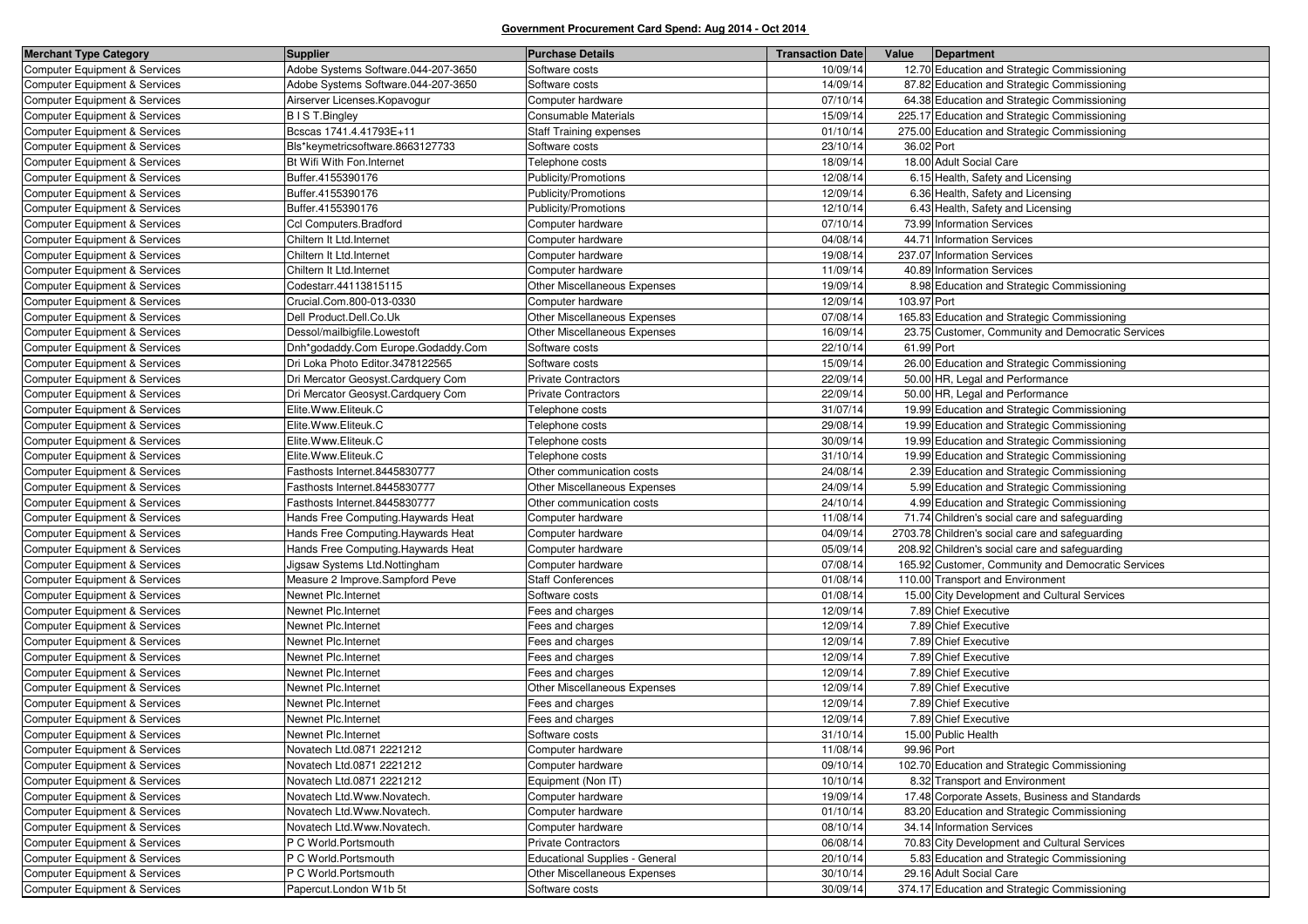| <b>Merchant Type Category</b>            | <b>Supplier</b>                     | <b>Purchase Details</b>        | <b>Transaction Date</b> | Value       | Department                                         |
|------------------------------------------|-------------------------------------|--------------------------------|-------------------------|-------------|----------------------------------------------------|
| Computer Equipment & Services            | Adobe Systems Software.044-207-3650 | Software costs                 | 10/09/14                |             | 12.70 Education and Strategic Commissioning        |
| <b>Computer Equipment &amp; Services</b> | Adobe Systems Software.044-207-3650 | Software costs                 | 14/09/14                |             | 87.82 Education and Strategic Commissioning        |
| <b>Computer Equipment &amp; Services</b> | Airserver Licenses. Kopavogur       | Computer hardware              | 07/10/14                |             | 64.38 Education and Strategic Commissioning        |
| Computer Equipment & Services            | B I S T. Bingley                    | Consumable Materials           | 15/09/14                |             | 225.17 Education and Strategic Commissioning       |
| <b>Computer Equipment &amp; Services</b> | Bcscas 1741.4.41793E+11             | <b>Staff Training expenses</b> | 01/10/14                |             | 275.00 Education and Strategic Commissioning       |
| <b>Computer Equipment &amp; Services</b> | Bls*keymetricsoftware.8663127733    | Software costs                 | 23/10/14                | 36.02 Port  |                                                    |
| Computer Equipment & Services            | Bt Wifi With Fon.Internet           | Telephone costs                | 18/09/14                |             | 18.00 Adult Social Care                            |
| <b>Computer Equipment &amp; Services</b> | Buffer.4155390176                   | Publicity/Promotions           | 12/08/14                |             | 6.15 Health, Safety and Licensing                  |
| <b>Computer Equipment &amp; Services</b> | Buffer.4155390176                   | Publicity/Promotions           | 12/09/14                |             | 6.36 Health, Safety and Licensing                  |
| Computer Equipment & Services            | Buffer.4155390176                   | Publicity/Promotions           | 12/10/14                |             | 6.43 Health, Safety and Licensing                  |
| <b>Computer Equipment &amp; Services</b> | Ccl Computers.Bradford              | Computer hardware              | 07/10/14                |             | 73.99 Information Services                         |
| <b>Computer Equipment &amp; Services</b> | Chiltern It Ltd.Internet            | Computer hardware              | 04/08/14                |             | 44.71 Information Services                         |
| <b>Computer Equipment &amp; Services</b> | Chiltern It Ltd.Internet            | Computer hardware              | 19/08/14                |             | 237.07 Information Services                        |
| <b>Computer Equipment &amp; Services</b> | Chiltern It Ltd.Internet            | Computer hardware              | 11/09/14                |             | 40.89 Information Services                         |
| <b>Computer Equipment &amp; Services</b> | Codestarr.44113815115               | Other Miscellaneous Expenses   | 19/09/14                |             | 8.98 Education and Strategic Commissioning         |
| Computer Equipment & Services            | Crucial.Com.800-013-0330            | Computer hardware              | 12/09/14                | 103.97 Port |                                                    |
| <b>Computer Equipment &amp; Services</b> | Dell Product.Dell.Co.Uk             | Other Miscellaneous Expenses   | 07/08/14                |             | 165.83 Education and Strategic Commissioning       |
| <b>Computer Equipment &amp; Services</b> | Dessol/mailbigfile.Lowestoft        | Other Miscellaneous Expenses   | 16/09/14                |             | 23.75 Customer, Community and Democratic Services  |
| <b>Computer Equipment &amp; Services</b> | Dnh*godaddy.Com Europe.Godaddy.Com  | Software costs                 | 22/10/14                | 61.99 Port  |                                                    |
| <b>Computer Equipment &amp; Services</b> | Dri Loka Photo Editor.3478122565    | Software costs                 | 15/09/14                |             | 26.00 Education and Strategic Commissioning        |
| Computer Equipment & Services            | Dri Mercator Geosyst.Cardquery Com  | <b>Private Contractors</b>     | 22/09/14                |             | 50.00 HR, Legal and Performance                    |
| <b>Computer Equipment &amp; Services</b> | Dri Mercator Geosyst.Cardquery Com  | <b>Private Contractors</b>     | 22/09/14                |             | 50.00 HR, Legal and Performance                    |
| <b>Computer Equipment &amp; Services</b> | Elite.Www.Eliteuk.C                 | Telephone costs                | 31/07/14                |             | 19.99 Education and Strategic Commissioning        |
| <b>Computer Equipment &amp; Services</b> | Elite.Www.Eliteuk.C                 | Telephone costs                | 29/08/14                |             | 19.99 Education and Strategic Commissioning        |
| <b>Computer Equipment &amp; Services</b> | Elite.Www.Eliteuk.C                 | Telephone costs                | 30/09/14                |             | 19.99 Education and Strategic Commissioning        |
| <b>Computer Equipment &amp; Services</b> | Elite.Www.Eliteuk.C                 | Telephone costs                | 31/10/14                |             | 19.99 Education and Strategic Commissioning        |
| Computer Equipment & Services            | Fasthosts Internet.8445830777       | Other communication costs      | 24/08/14                |             | 2.39 Education and Strategic Commissioning         |
| <b>Computer Equipment &amp; Services</b> | Fasthosts Internet.8445830777       | Other Miscellaneous Expenses   | 24/09/14                |             | 5.99 Education and Strategic Commissioning         |
| <b>Computer Equipment &amp; Services</b> | Fasthosts Internet.8445830777       | Other communication costs      | 24/10/14                |             | 4.99 Education and Strategic Commissioning         |
| Computer Equipment & Services            | Hands Free Computing. Haywards Heat | Computer hardware              | 11/08/14                |             | 71.74 Children's social care and safeguarding      |
| <b>Computer Equipment &amp; Services</b> | Hands Free Computing. Haywards Heat | Computer hardware              | 04/09/14                |             | 2703.78 Children's social care and safeguarding    |
| <b>Computer Equipment &amp; Services</b> | Hands Free Computing. Haywards Heat | Computer hardware              | 05/09/14                |             | 208.92 Children's social care and safeguarding     |
| Computer Equipment & Services            | Jigsaw Systems Ltd.Nottingham       | Computer hardware              | 07/08/14                |             | 165.92 Customer, Community and Democratic Services |
| <b>Computer Equipment &amp; Services</b> | Measure 2 Improve.Sampford Peve     | <b>Staff Conferences</b>       | 01/08/14                |             | 110.00 Transport and Environment                   |
| <b>Computer Equipment &amp; Services</b> | Newnet Plc.Internet                 | Software costs                 | 01/08/14                |             | 15.00 City Development and Cultural Services       |
| <b>Computer Equipment &amp; Services</b> | Newnet Plc.Internet                 | Fees and charges               | 12/09/14                |             | 7.89 Chief Executive                               |
| <b>Computer Equipment &amp; Services</b> | Newnet Plc.Internet                 | Fees and charges               | 12/09/14                |             | 7.89 Chief Executive                               |
| <b>Computer Equipment &amp; Services</b> | Newnet Plc.Internet                 | Fees and charges               | 12/09/14                |             | 7.89 Chief Executive                               |
| Computer Equipment & Services            | Newnet Plc.Internet                 | Fees and charges               | 12/09/14                |             | 7.89 Chief Executive                               |
| <b>Computer Equipment &amp; Services</b> | Newnet Plc.Internet                 | Fees and charges               | 12/09/14                |             | 7.89 Chief Executive                               |
| <b>Computer Equipment &amp; Services</b> | Newnet Plc.Internet                 | Other Miscellaneous Expenses   | 12/09/14                |             | 7.89 Chief Executive                               |
| Computer Equipment & Services            | Newnet Plc.Internet                 | Fees and charges               | 12/09/14                |             | 7.89 Chief Executive                               |
| <b>Computer Equipment &amp; Services</b> | Newnet Plc.Internet                 | Fees and charges               | 12/09/14                |             | 7.89 Chief Executive                               |
| Computer Equipment & Services            | Newnet Plc.Internet                 | Software costs                 | 31/10/14                |             | 15.00 Public Health                                |
| <b>Computer Equipment &amp; Services</b> | Novatech Ltd.0871 2221212           | Computer hardware              | 11/08/14                | 99.96 Port  |                                                    |
| Computer Equipment & Services            | Novatech Ltd.0871 2221212           | Computer hardware              | 09/10/14                |             | 102.70 Education and Strategic Commissioning       |
| Computer Equipment & Services            | Novatech Ltd.0871 2221212           | Equipment (Non IT)             | 10/10/14                |             | 8.32 Transport and Environment                     |
| Computer Equipment & Services            | Novatech Ltd.Www.Novatech.          | Computer hardware              | 19/09/14                |             | 17.48 Corporate Assets, Business and Standards     |
| <b>Computer Equipment &amp; Services</b> | Novatech Ltd.Www.Novatech.          | Computer hardware              | 01/10/14                |             | 83.20 Education and Strategic Commissioning        |
| Computer Equipment & Services            | Novatech Ltd.Www.Novatech.          | Computer hardware              | 08/10/14                |             | 34.14 Information Services                         |
| Computer Equipment & Services            | P C World.Portsmouth                | <b>Private Contractors</b>     | 06/08/14                |             | 70.83 City Development and Cultural Services       |
| <b>Computer Equipment &amp; Services</b> | P C World.Portsmouth                | Educational Supplies - General | 20/10/14                |             | 5.83 Education and Strategic Commissioning         |
| <b>Computer Equipment &amp; Services</b> | P C World.Portsmouth                | Other Miscellaneous Expenses   | 30/10/14                |             | 29.16 Adult Social Care                            |
| <b>Computer Equipment &amp; Services</b> | Papercut.London W1b 5t              | Software costs                 | 30/09/14                |             | 374.17 Education and Strategic Commissioning       |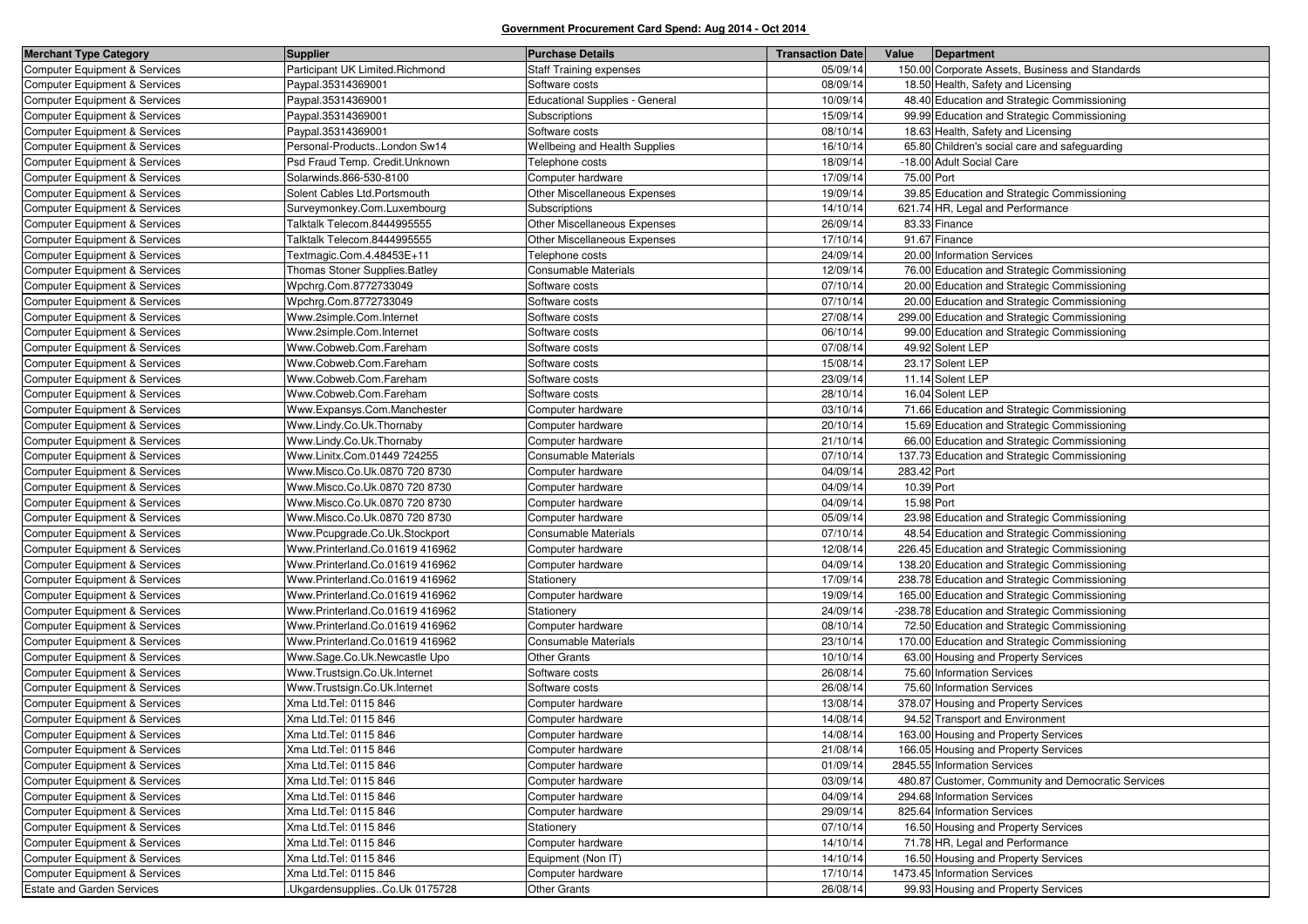| <b>Merchant Type Category</b>            | <b>Supplier</b>                 | <b>Purchase Details</b>               | <b>Transaction Date</b> | Value       | Department                                         |
|------------------------------------------|---------------------------------|---------------------------------------|-------------------------|-------------|----------------------------------------------------|
| Computer Equipment & Services            | Participant UK Limited.Richmond | <b>Staff Training expenses</b>        | 05/09/14                |             | 150.00 Corporate Assets, Business and Standards    |
| <b>Computer Equipment &amp; Services</b> | Paypal.35314369001              | Software costs                        | 08/09/14                |             | 18.50 Health, Safety and Licensing                 |
| <b>Computer Equipment &amp; Services</b> | Paypal.35314369001              | <b>Educational Supplies - General</b> | 10/09/14                |             | 48.40 Education and Strategic Commissioning        |
| Computer Equipment & Services            | Paypal.35314369001              | Subscriptions                         | 15/09/14                |             | 99.99 Education and Strategic Commissioning        |
| <b>Computer Equipment &amp; Services</b> | Paypal.35314369001              | Software costs                        | 08/10/14                |             | 18.63 Health, Safety and Licensing                 |
| <b>Computer Equipment &amp; Services</b> | Personal-ProductsLondon Sw14    | Wellbeing and Health Supplies         | 16/10/14                |             | 65.80 Children's social care and safeguarding      |
| Computer Equipment & Services            | Psd Fraud Temp. Credit.Unknown  | Telephone costs                       | 18/09/14                |             | -18.00 Adult Social Care                           |
| <b>Computer Equipment &amp; Services</b> | Solarwinds.866-530-8100         | Computer hardware                     | 17/09/14                | 75.00 Port  |                                                    |
| <b>Computer Equipment &amp; Services</b> | Solent Cables Ltd. Portsmouth   | Other Miscellaneous Expenses          | 19/09/14                |             | 39.85 Education and Strategic Commissioning        |
| Computer Equipment & Services            | Surveymonkey.Com.Luxembourg     | Subscriptions                         | 14/10/14                |             | 621.74 HR, Legal and Performance                   |
| <b>Computer Equipment &amp; Services</b> | Talktalk Telecom.8444995555     | Other Miscellaneous Expenses          | 26/09/14                |             | 83.33 Finance                                      |
| <b>Computer Equipment &amp; Services</b> | Talktalk Telecom.8444995555     | Other Miscellaneous Expenses          | 17/10/14                |             | 91.67 Finance                                      |
| Computer Equipment & Services            | Textmagic.Com.4.48453E+11       | Telephone costs                       | 24/09/14                |             | 20.00 Information Services                         |
| <b>Computer Equipment &amp; Services</b> | Thomas Stoner Supplies. Batley  | <b>Consumable Materials</b>           | 12/09/14                |             | 76.00 Education and Strategic Commissioning        |
| <b>Computer Equipment &amp; Services</b> | Wpchrg.Com.8772733049           | Software costs                        | 07/10/14                |             | 20.00 Education and Strategic Commissioning        |
| Computer Equipment & Services            | Wpchrg.Com.8772733049           | Software costs                        | 07/10/14                |             | 20.00 Education and Strategic Commissioning        |
| <b>Computer Equipment &amp; Services</b> | Www.2simple.Com.Internet        | Software costs                        | 27/08/14                |             | 299.00 Education and Strategic Commissioning       |
| <b>Computer Equipment &amp; Services</b> | Www.2simple.Com.Internet        | Software costs                        | 06/10/14                |             | 99.00 Education and Strategic Commissioning        |
| Computer Equipment & Services            | Www.Cobweb.Com.Fareham          | Software costs                        | 07/08/14                |             | 49.92 Solent LEP                                   |
| <b>Computer Equipment &amp; Services</b> | Www.Cobweb.Com.Fareham          | Software costs                        | 15/08/14                |             | 23.17 Solent LEP                                   |
| <b>Computer Equipment &amp; Services</b> | Www.Cobweb.Com.Fareham          | Software costs                        | 23/09/14                |             | 11.14 Solent LEP                                   |
| Computer Equipment & Services            | Www.Cobweb.Com.Fareham          | Software costs                        | 28/10/14                |             | 16.04 Solent LEP                                   |
| <b>Computer Equipment &amp; Services</b> | Www.Expansys.Com.Manchester     | Computer hardware                     | 03/10/14                |             | 71.66 Education and Strategic Commissioning        |
| <b>Computer Equipment &amp; Services</b> | Www.Lindy.Co.Uk.Thornaby        | Computer hardware                     | 20/10/14                |             | 15.69 Education and Strategic Commissioning        |
| Computer Equipment & Services            | Www.Lindy.Co.Uk.Thornaby        | Computer hardware                     | 21/10/14                |             | 66.00 Education and Strategic Commissioning        |
| <b>Computer Equipment &amp; Services</b> | Www.Linitx.Com.01449 724255     | Consumable Materials                  | 07/10/14                |             | 137.73 Education and Strategic Commissioning       |
| <b>Computer Equipment &amp; Services</b> | Www.Misco.Co.Uk.0870 720 8730   | Computer hardware                     | 04/09/14                | 283.42 Port |                                                    |
| Computer Equipment & Services            | Www.Misco.Co.Uk.0870 720 8730   | Computer hardware                     | 04/09/14                | 10.39 Port  |                                                    |
| <b>Computer Equipment &amp; Services</b> | Www.Misco.Co.Uk.0870 720 8730   | Computer hardware                     | 04/09/14                | 15.98 Port  |                                                    |
| <b>Computer Equipment &amp; Services</b> | Www.Misco.Co.Uk.0870 720 8730   | Computer hardware                     | 05/09/14                |             | 23.98 Education and Strategic Commissioning        |
| Computer Equipment & Services            | Www.Pcupgrade.Co.Uk.Stockport   | <b>Consumable Materials</b>           | 07/10/14                |             | 48.54 Education and Strategic Commissioning        |
| <b>Computer Equipment &amp; Services</b> | Www.Printerland.Co.01619 416962 | Computer hardware                     | 12/08/14                |             | 226.45 Education and Strategic Commissioning       |
| <b>Computer Equipment &amp; Services</b> | Www.Printerland.Co.01619 416962 | Computer hardware                     | 04/09/14                |             | 138.20 Education and Strategic Commissioning       |
| <b>Computer Equipment &amp; Services</b> | Www.Printerland.Co.01619 416962 | Stationery                            | 17/09/14                |             | 238.78 Education and Strategic Commissioning       |
| <b>Computer Equipment &amp; Services</b> | Www.Printerland.Co.01619 416962 | Computer hardware                     | 19/09/14                |             | 165.00 Education and Strategic Commissioning       |
| <b>Computer Equipment &amp; Services</b> | Www.Printerland.Co.01619 416962 | Stationery                            | 24/09/14                |             | -238.78 Education and Strategic Commissioning      |
| <b>Computer Equipment &amp; Services</b> | Www.Printerland.Co.01619 416962 | Computer hardware                     | 08/10/14                |             | 72.50 Education and Strategic Commissioning        |
| <b>Computer Equipment &amp; Services</b> | Www.Printerland.Co.01619 416962 | Consumable Materials                  | 23/10/14                |             | 170.00 Education and Strategic Commissioning       |
| <b>Computer Equipment &amp; Services</b> | Www.Sage.Co.Uk.Newcastle Upo    | <b>Other Grants</b>                   | 10/10/14                |             | 63.00 Housing and Property Services                |
| Computer Equipment & Services            | Www.Trustsign.Co.Uk.Internet    | Software costs                        | 26/08/14                |             | 75.60 Information Services                         |
| <b>Computer Equipment &amp; Services</b> | Www.Trustsign.Co.Uk.Internet    | Software costs                        | 26/08/14                |             | 75.60 Information Services                         |
| <b>Computer Equipment &amp; Services</b> | Xma Ltd.Tel: 0115 846           | Computer hardware                     | 13/08/14                |             | 378.07 Housing and Property Services               |
| <b>Computer Equipment &amp; Services</b> | Xma Ltd.Tel: 0115 846           | Computer hardware                     | 14/08/14                |             | 94.52 Transport and Environment                    |
| Computer Equipment & Services            | Xma Ltd.Tel: 0115 846           | Computer hardware                     | 14/08/14                |             | 163.00 Housing and Property Services               |
| Computer Equipment & Services            | Xma Ltd.Tel: 0115 846           | Computer hardware                     | 21/08/14                |             | 166.05 Housing and Property Services               |
| Computer Equipment & Services            | Xma Ltd.Tel: 0115 846           | Computer hardware                     | 01/09/14                |             | 2845.55 Information Services                       |
| <b>Computer Equipment &amp; Services</b> | Xma Ltd.Tel: 0115 846           | Computer hardware                     | 03/09/14                |             | 480.87 Customer, Community and Democratic Services |
| Computer Equipment & Services            | Xma Ltd.Tel: 0115 846           | Computer hardware                     | 04/09/14                |             | 294.68 Information Services                        |
| Computer Equipment & Services            | Xma Ltd.Tel: 0115 846           | Computer hardware                     | 29/09/14                |             | 825.64 Information Services                        |
| <b>Computer Equipment &amp; Services</b> | Xma Ltd.Tel: 0115 846           | Stationery                            | 07/10/14                |             | 16.50 Housing and Property Services                |
| Computer Equipment & Services            | Xma Ltd.Tel: 0115 846           | Computer hardware                     | 14/10/14                |             | 71.78 HR, Legal and Performance                    |
| Computer Equipment & Services            | Xma Ltd.Tel: 0115 846           | Equipment (Non IT)                    | 14/10/14                |             | 16.50 Housing and Property Services                |
| Computer Equipment & Services            | Xma Ltd.Tel: 0115 846           | Computer hardware                     | 17/10/14                |             | 1473.45 Information Services                       |
| <b>Estate and Garden Services</b>        | .UkgardensuppliesCo.Uk 0175728  | <b>Other Grants</b>                   | 26/08/14                |             | 99.93 Housing and Property Services                |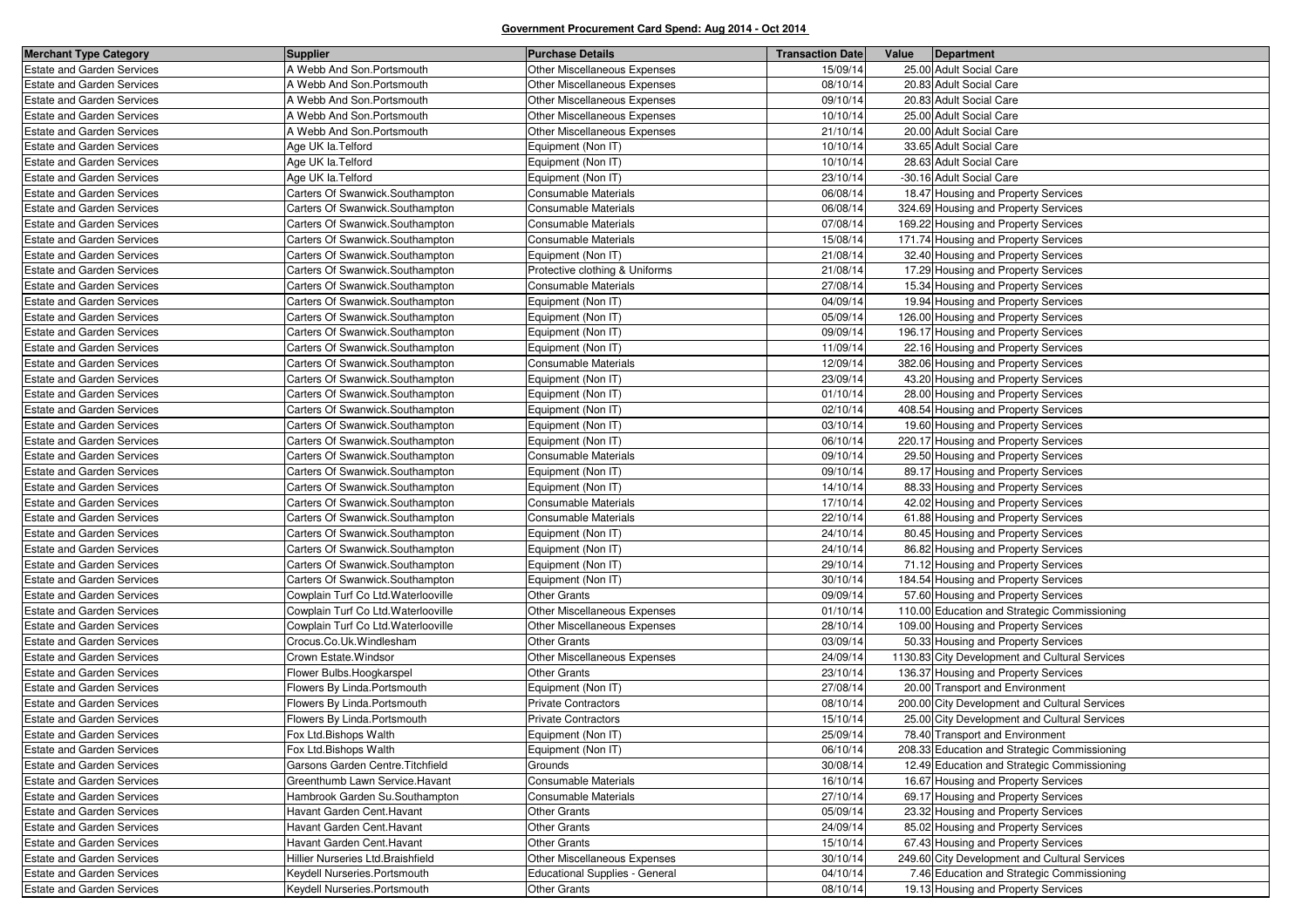| <b>Merchant Type Category</b>     | <b>Supplier</b>                     | <b>Purchase Details</b>        | <b>Transaction Date</b> | Value | Department                                     |
|-----------------------------------|-------------------------------------|--------------------------------|-------------------------|-------|------------------------------------------------|
| <b>Estate and Garden Services</b> | A Webb And Son.Portsmouth           | Other Miscellaneous Expenses   | 15/09/14                |       | 25.00 Adult Social Care                        |
| Estate and Garden Services        | A Webb And Son. Portsmouth          | Other Miscellaneous Expenses   | 08/10/14                |       | 20.83 Adult Social Care                        |
| <b>Estate and Garden Services</b> | A Webb And Son. Portsmouth          | Other Miscellaneous Expenses   | 09/10/14                |       | 20.83 Adult Social Care                        |
| <b>Estate and Garden Services</b> | A Webb And Son. Portsmouth          | Other Miscellaneous Expenses   | 10/10/14                |       | 25.00 Adult Social Care                        |
| <b>Estate and Garden Services</b> | A Webb And Son. Portsmouth          | Other Miscellaneous Expenses   | 21/10/14                |       | 20.00 Adult Social Care                        |
| <b>Estate and Garden Services</b> | Age UK la. Telford                  | Equipment (Non IT)             | 10/10/14                |       | 33.65 Adult Social Care                        |
| <b>Estate and Garden Services</b> | Age UK la. Telford                  | Equipment (Non IT)             | 10/10/14                |       | 28.63 Adult Social Care                        |
| <b>Estate and Garden Services</b> | Age UK la. Telford                  | Equipment (Non IT)             | 23/10/14                |       | -30.16 Adult Social Care                       |
| <b>Estate and Garden Services</b> | Carters Of Swanwick.Southampton     | Consumable Materials           | 06/08/14                |       | 18.47 Housing and Property Services            |
| <b>Estate and Garden Services</b> | Carters Of Swanwick.Southampton     | <b>Consumable Materials</b>    | 06/08/14                |       | 324.69 Housing and Property Services           |
| <b>Estate and Garden Services</b> | Carters Of Swanwick.Southampton     | Consumable Materials           | 07/08/14                |       | 169.22 Housing and Property Services           |
| <b>Estate and Garden Services</b> | Carters Of Swanwick.Southampton     | Consumable Materials           | 15/08/14                |       | 171.74 Housing and Property Services           |
| <b>Estate and Garden Services</b> | Carters Of Swanwick.Southampton     | Equipment (Non IT)             | 21/08/14                |       | 32.40 Housing and Property Services            |
| <b>Estate and Garden Services</b> | Carters Of Swanwick.Southampton     | Protective clothing & Uniforms | 21/08/14                |       | 17.29 Housing and Property Services            |
| <b>Estate and Garden Services</b> | Carters Of Swanwick.Southampton     | Consumable Materials           | 27/08/14                |       | 15.34 Housing and Property Services            |
| <b>Estate and Garden Services</b> | Carters Of Swanwick.Southampton     | Equipment (Non IT)             | 04/09/14                |       | 19.94 Housing and Property Services            |
| <b>Estate and Garden Services</b> | Carters Of Swanwick.Southampton     | Equipment (Non IT)             | 05/09/14                |       | 126.00 Housing and Property Services           |
| <b>Estate and Garden Services</b> | Carters Of Swanwick.Southampton     | Equipment (Non IT)             | 09/09/14                |       | 196.17 Housing and Property Services           |
| <b>Estate and Garden Services</b> | Carters Of Swanwick.Southampton     | Equipment (Non IT)             | 11/09/14                |       | 22.16 Housing and Property Services            |
| <b>Estate and Garden Services</b> | Carters Of Swanwick.Southampton     | Consumable Materials           | 12/09/14                |       | 382.06 Housing and Property Services           |
| <b>Estate and Garden Services</b> | Carters Of Swanwick.Southampton     | Equipment (Non IT)             | 23/09/14                |       | 43.20 Housing and Property Services            |
| <b>Estate and Garden Services</b> | Carters Of Swanwick.Southampton     | Equipment (Non IT)             | 01/10/14                |       | 28.00 Housing and Property Services            |
| <b>Estate and Garden Services</b> | Carters Of Swanwick.Southampton     | Equipment (Non IT)             | 02/10/14                |       | 408.54 Housing and Property Services           |
| Estate and Garden Services        | Carters Of Swanwick.Southampton     | Equipment (Non IT)             | 03/10/14                |       | 19.60 Housing and Property Services            |
| <b>Estate and Garden Services</b> | Carters Of Swanwick.Southampton     | Equipment (Non IT)             | 06/10/14                |       | 220.17 Housing and Property Services           |
| <b>Estate and Garden Services</b> | Carters Of Swanwick.Southampton     | Consumable Materials           | 09/10/14                |       | 29.50 Housing and Property Services            |
| <b>Estate and Garden Services</b> | Carters Of Swanwick.Southampton     | Equipment (Non IT)             | 09/10/14                |       | 89.17 Housing and Property Services            |
| <b>Estate and Garden Services</b> | Carters Of Swanwick.Southampton     | Equipment (Non IT)             | 14/10/14                |       | 88.33 Housing and Property Services            |
| <b>Estate and Garden Services</b> | Carters Of Swanwick.Southampton     | Consumable Materials           | 17/10/14                |       | 42.02 Housing and Property Services            |
| <b>Estate and Garden Services</b> | Carters Of Swanwick.Southampton     | Consumable Materials           | 22/10/14                |       | 61.88 Housing and Property Services            |
| Estate and Garden Services        | Carters Of Swanwick.Southampton     | Equipment (Non IT)             | 24/10/14                |       | 80.45 Housing and Property Services            |
| Estate and Garden Services        | Carters Of Swanwick.Southampton     | Equipment (Non IT)             | 24/10/14                |       | 86.82 Housing and Property Services            |
| <b>Estate and Garden Services</b> | Carters Of Swanwick.Southampton     | Equipment (Non IT)             | 29/10/14                |       | 71.12 Housing and Property Services            |
| <b>Estate and Garden Services</b> | Carters Of Swanwick.Southampton     | Equipment (Non IT)             | 30/10/14                |       | 184.54 Housing and Property Services           |
| Estate and Garden Services        | Cowplain Turf Co Ltd. Waterlooville | <b>Other Grants</b>            | 09/09/14                |       | 57.60 Housing and Property Services            |
| <b>Estate and Garden Services</b> | Cowplain Turf Co Ltd. Waterlooville | Other Miscellaneous Expenses   | 01/10/14                |       | 110.00 Education and Strategic Commissioning   |
| <b>Estate and Garden Services</b> | Cowplain Turf Co Ltd. Waterlooville | Other Miscellaneous Expenses   | 28/10/14                |       | 109.00 Housing and Property Services           |
| Estate and Garden Services        | Crocus.Co.Uk.Windlesham             | <b>Other Grants</b>            | 03/09/14                |       | 50.33 Housing and Property Services            |
| <b>Estate and Garden Services</b> | Crown Estate. Windsor               | Other Miscellaneous Expenses   | 24/09/14                |       | 1130.83 City Development and Cultural Services |
| <b>Estate and Garden Services</b> | Flower Bulbs.Hoogkarspel            | <b>Other Grants</b>            | 23/10/14                |       | 136.37 Housing and Property Services           |
| <b>Estate and Garden Services</b> | Flowers By Linda.Portsmouth         | Equipment (Non IT)             | 27/08/14                |       | 20.00 Transport and Environment                |
| <b>Estate and Garden Services</b> | Flowers By Linda.Portsmouth         | Private Contractors            | 08/10/14                |       | 200.00 City Development and Cultural Services  |
| Estate and Garden Services        | Flowers By Linda.Portsmouth         | <b>Private Contractors</b>     | 15/10/14                |       | 25.00 City Development and Cultural Services   |
| <b>Estate and Garden Services</b> | Fox Ltd.Bishops Walth               | Equipment (Non IT)             | 25/09/14                |       | 78.40 Transport and Environment                |
| <b>Estate and Garden Services</b> | Fox Ltd.Bishops Walth               | Equipment (Non IT)             | 06/10/14                |       | 208.33 Education and Strategic Commissioning   |
| <b>Estate and Garden Services</b> | Garsons Garden Centre. Titchfield   | Grounds                        | 30/08/14                |       | 12.49 Education and Strategic Commissioning    |
| <b>Estate and Garden Services</b> | Greenthumb Lawn Service. Havant     | Consumable Materials           | 16/10/14                |       | 16.67 Housing and Property Services            |
| <b>Estate and Garden Services</b> | Hambrook Garden Su.Southampton      | Consumable Materials           | 27/10/14                |       | 69.17 Housing and Property Services            |
| <b>Estate and Garden Services</b> | Havant Garden Cent. Havant          | <b>Other Grants</b>            | 05/09/14                |       | 23.32 Housing and Property Services            |
| <b>Estate and Garden Services</b> | Havant Garden Cent. Havant          | <b>Other Grants</b>            | 24/09/14                |       | 85.02 Housing and Property Services            |
| Estate and Garden Services        | Havant Garden Cent. Havant          | <b>Other Grants</b>            | 15/10/14                |       | 67.43 Housing and Property Services            |
| <b>Estate and Garden Services</b> | Hillier Nurseries Ltd. Braishfield  | Other Miscellaneous Expenses   | 30/10/14                |       | 249.60 City Development and Cultural Services  |
| <b>Estate and Garden Services</b> | Keydell Nurseries. Portsmouth       | Educational Supplies - General | 04/10/14                |       | 7.46 Education and Strategic Commissioning     |
| <b>Estate and Garden Services</b> | Keydell Nurseries.Portsmouth        | <b>Other Grants</b>            | 08/10/14                |       | 19.13 Housing and Property Services            |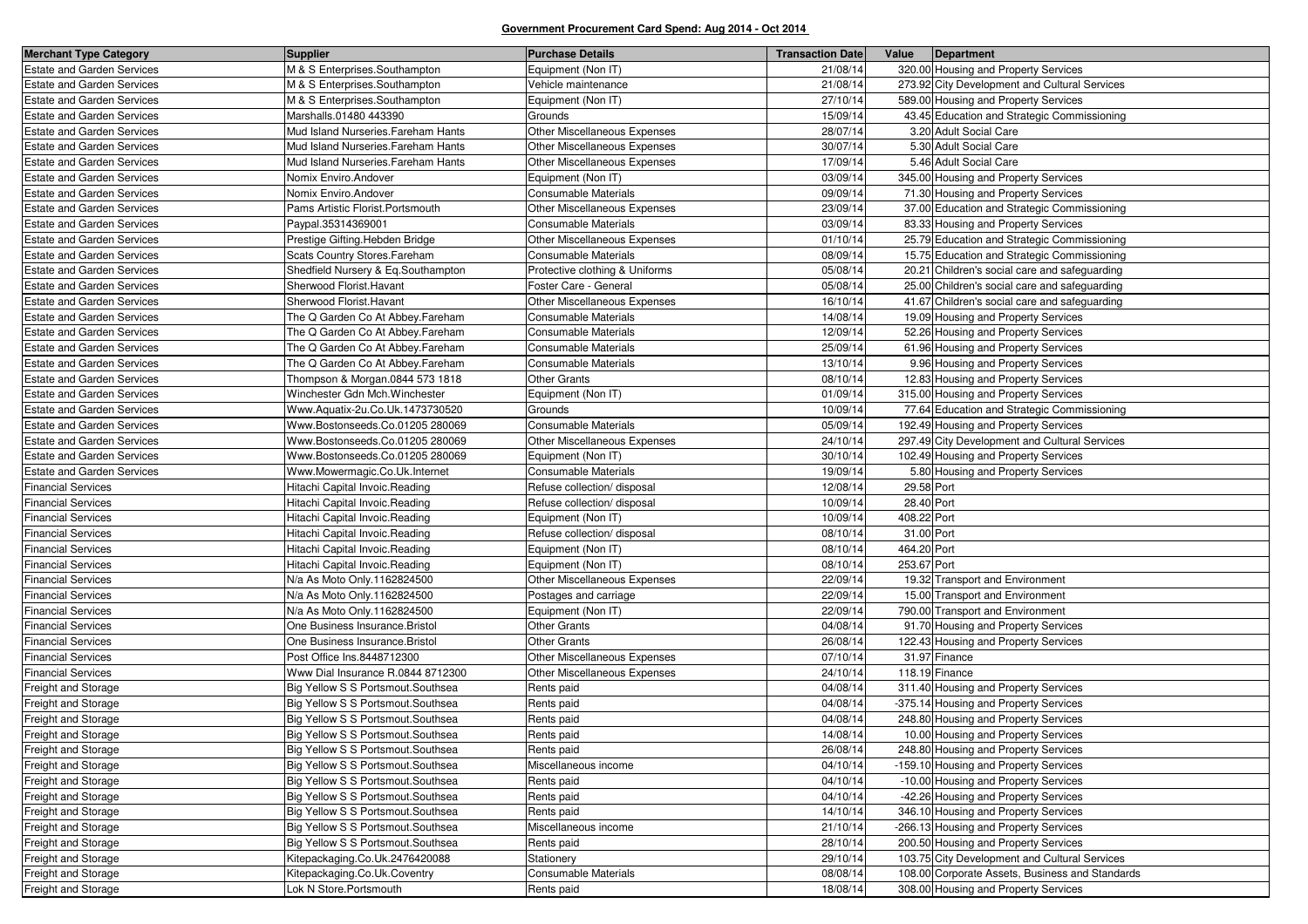| <b>Merchant Type Category</b>     | <b>Supplier</b>                     | <b>Purchase Details</b>        | <b>Transaction Date</b> | Value       | Department                                      |
|-----------------------------------|-------------------------------------|--------------------------------|-------------------------|-------------|-------------------------------------------------|
| <b>Estate and Garden Services</b> | M & S Enterprises.Southampton       | Equipment (Non IT)             | 21/08/14                |             | 320.00 Housing and Property Services            |
| <b>Estate and Garden Services</b> | M & S Enterprises.Southampton       | Vehicle maintenance            | 21/08/14                |             | 273.92 City Development and Cultural Services   |
| <b>Estate and Garden Services</b> | M & S Enterprises.Southampton       | Equipment (Non IT)             | 27/10/14                |             | 589.00 Housing and Property Services            |
| <b>Estate and Garden Services</b> | Marshalls.01480 443390              | Grounds                        | 15/09/14                |             | 43.45 Education and Strategic Commissioning     |
| <b>Estate and Garden Services</b> | Mud Island Nurseries. Fareham Hants | Other Miscellaneous Expenses   | 28/07/14                |             | 3.20 Adult Social Care                          |
| <b>Estate and Garden Services</b> | Mud Island Nurseries. Fareham Hants | Other Miscellaneous Expenses   | 30/07/14                |             | 5.30 Adult Social Care                          |
| <b>Estate and Garden Services</b> | Mud Island Nurseries. Fareham Hants | Other Miscellaneous Expenses   | 17/09/14                |             | 5.46 Adult Social Care                          |
| <b>Estate and Garden Services</b> | Nomix Enviro.Andover                | Equipment (Non IT)             | 03/09/14                |             | 345.00 Housing and Property Services            |
| <b>Estate and Garden Services</b> | Nomix Enviro.Andover                | Consumable Materials           | 09/09/14                |             | 71.30 Housing and Property Services             |
| <b>Estate and Garden Services</b> | Pams Artistic Florist.Portsmouth    | Other Miscellaneous Expenses   | 23/09/14                |             | 37.00 Education and Strategic Commissioning     |
| <b>Estate and Garden Services</b> | Paypal.35314369001                  | Consumable Materials           | 03/09/14                |             | 83.33 Housing and Property Services             |
| <b>Estate and Garden Services</b> | Prestige Gifting. Hebden Bridge     | Other Miscellaneous Expenses   | 01/10/14                |             | 25.79 Education and Strategic Commissioning     |
| <b>Estate and Garden Services</b> | Scats Country Stores. Fareham       | Consumable Materials           | 08/09/14                |             | 15.75 Education and Strategic Commissioning     |
| <b>Estate and Garden Services</b> | Shedfield Nursery & Eq.Southampton  | Protective clothing & Uniforms | 05/08/14                |             | 20.21 Children's social care and safeguarding   |
| <b>Estate and Garden Services</b> | Sherwood Florist. Havant            | Foster Care - General          | 05/08/14                |             | 25.00 Children's social care and safeguarding   |
| <b>Estate and Garden Services</b> | Sherwood Florist. Havant            | Other Miscellaneous Expenses   | 16/10/14                |             | 41.67 Children's social care and safeguarding   |
| <b>Estate and Garden Services</b> | The Q Garden Co At Abbey.Fareham    | Consumable Materials           | 14/08/14                |             | 19.09 Housing and Property Services             |
| <b>Estate and Garden Services</b> | The Q Garden Co At Abbey. Fareham   | Consumable Materials           | 12/09/14                |             | 52.26 Housing and Property Services             |
| <b>Estate and Garden Services</b> | The Q Garden Co At Abbey. Fareham   | Consumable Materials           | 25/09/14                |             | 61.96 Housing and Property Services             |
| <b>Estate and Garden Services</b> | The Q Garden Co At Abbey.Fareham    | Consumable Materials           | 13/10/14                |             | 9.96 Housing and Property Services              |
| <b>Estate and Garden Services</b> | Thompson & Morgan.0844 573 1818     | <b>Other Grants</b>            | 08/10/14                |             | 12.83 Housing and Property Services             |
| <b>Estate and Garden Services</b> | Winchester Gdn Mch. Winchester      | Equipment (Non IT)             | 01/09/14                |             | 315.00 Housing and Property Services            |
| <b>Estate and Garden Services</b> | Www.Aquatix-2u.Co.Uk.1473730520     | Grounds                        | 10/09/14                |             | 77.64 Education and Strategic Commissioning     |
| <b>Estate and Garden Services</b> | Www.Bostonseeds.Co.01205 280069     | Consumable Materials           | 05/09/14                |             | 192.49 Housing and Property Services            |
| <b>Estate and Garden Services</b> | Www.Bostonseeds.Co.01205 280069     | Other Miscellaneous Expenses   | 24/10/14                |             | 297.49 City Development and Cultural Services   |
| <b>Estate and Garden Services</b> | Www.Bostonseeds.Co.01205 280069     | Equipment (Non IT)             | 30/10/14                |             | 102.49 Housing and Property Services            |
| <b>Estate and Garden Services</b> | Www.Mowermagic.Co.Uk.Internet       | Consumable Materials           | 19/09/14                |             | 5.80 Housing and Property Services              |
| Financial Services                | Hitachi Capital Invoic.Reading      | Refuse collection/ disposal    | 12/08/14                | 29.58 Port  |                                                 |
| <b>Financial Services</b>         | Hitachi Capital Invoic.Reading      | Refuse collection/ disposal    | 10/09/14                | 28.40 Port  |                                                 |
| <b>Financial Services</b>         | Hitachi Capital Invoic.Reading      | Equipment (Non IT)             | 10/09/14                | 408.22 Port |                                                 |
| <b>Financial Services</b>         | Hitachi Capital Invoic.Reading      | Refuse collection/ disposal    | 08/10/14                | 31.00 Port  |                                                 |
| <b>Financial Services</b>         | Hitachi Capital Invoic.Reading      | Equipment (Non IT)             | 08/10/14                | 464.20 Port |                                                 |
| <b>Financial Services</b>         | Hitachi Capital Invoic.Reading      | Equipment (Non IT)             | 08/10/14                | 253.67 Port |                                                 |
| <b>Financial Services</b>         | N/a As Moto Only.1162824500         | Other Miscellaneous Expenses   | 22/09/14                |             | 19.32 Transport and Environment                 |
| <b>Financial Services</b>         | N/a As Moto Only.1162824500         | Postages and carriage          | 22/09/14                |             | 15.00 Transport and Environment                 |
| <b>Financial Services</b>         | N/a As Moto Only.1162824500         | Equipment (Non IT)             | 22/09/14                |             | 790.00 Transport and Environment                |
| <b>Financial Services</b>         | One Business Insurance. Bristol     | <b>Other Grants</b>            | 04/08/14                |             | 91.70 Housing and Property Services             |
| <b>Financial Services</b>         | One Business Insurance. Bristol     | <b>Other Grants</b>            | 26/08/14                |             | 122.43 Housing and Property Services            |
| <b>Financial Services</b>         | Post Office Ins.8448712300          | Other Miscellaneous Expenses   | 07/10/14                |             | 31.97 Finance                                   |
| <b>Financial Services</b>         | Www Dial Insurance R.0844 8712300   | Other Miscellaneous Expenses   | 24/10/14                |             | 118.19 Finance                                  |
| Freight and Storage               | Big Yellow S S Portsmout. Southsea  | Rents paid                     | 04/08/14                |             | 311.40 Housing and Property Services            |
| Freight and Storage               | Big Yellow S S Portsmout. Southsea  | Rents paid                     | 04/08/14                |             | -375.14 Housing and Property Services           |
| Freight and Storage               | Big Yellow S S Portsmout. Southsea  | Rents paid                     | 04/08/14                |             | 248.80 Housing and Property Services            |
| Freight and Storage               | Big Yellow S S Portsmout. Southsea  | Rents paid                     | 14/08/14                |             | 10.00 Housing and Property Services             |
| Freight and Storage               | Big Yellow S S Portsmout. Southsea  | Rents paid                     | 26/08/14                |             | 248.80 Housing and Property Services            |
| Freight and Storage               | Big Yellow S S Portsmout. Southsea  | Miscellaneous income           | 04/10/14                |             | -159.10 Housing and Property Services           |
| Freight and Storage               | Big Yellow S S Portsmout. Southsea  | Rents paid                     | 04/10/14                |             | -10.00 Housing and Property Services            |
| Freight and Storage               | Big Yellow S S Portsmout. Southsea  | Rents paid                     | 04/10/14                |             | -42.26 Housing and Property Services            |
| Freight and Storage               | Big Yellow S S Portsmout. Southsea  | Rents paid                     | 14/10/14                |             | 346.10 Housing and Property Services            |
| Freight and Storage               | Big Yellow S S Portsmout. Southsea  | Miscellaneous income           | 21/10/14                |             | -266.13 Housing and Property Services           |
| Freight and Storage               | Big Yellow S S Portsmout. Southsea  | Rents paid                     | 28/10/14                |             | 200.50 Housing and Property Services            |
| Freight and Storage               | Kitepackaging.Co.Uk.2476420088      | Stationery                     | 29/10/14                |             | 103.75 City Development and Cultural Services   |
| Freight and Storage               | Kitepackaging.Co.Uk.Coventry        | Consumable Materials           | 08/08/14                |             | 108.00 Corporate Assets, Business and Standards |
| Freight and Storage               | Lok N Store.Portsmouth              | Rents paid                     | 18/08/14                |             | 308.00 Housing and Property Services            |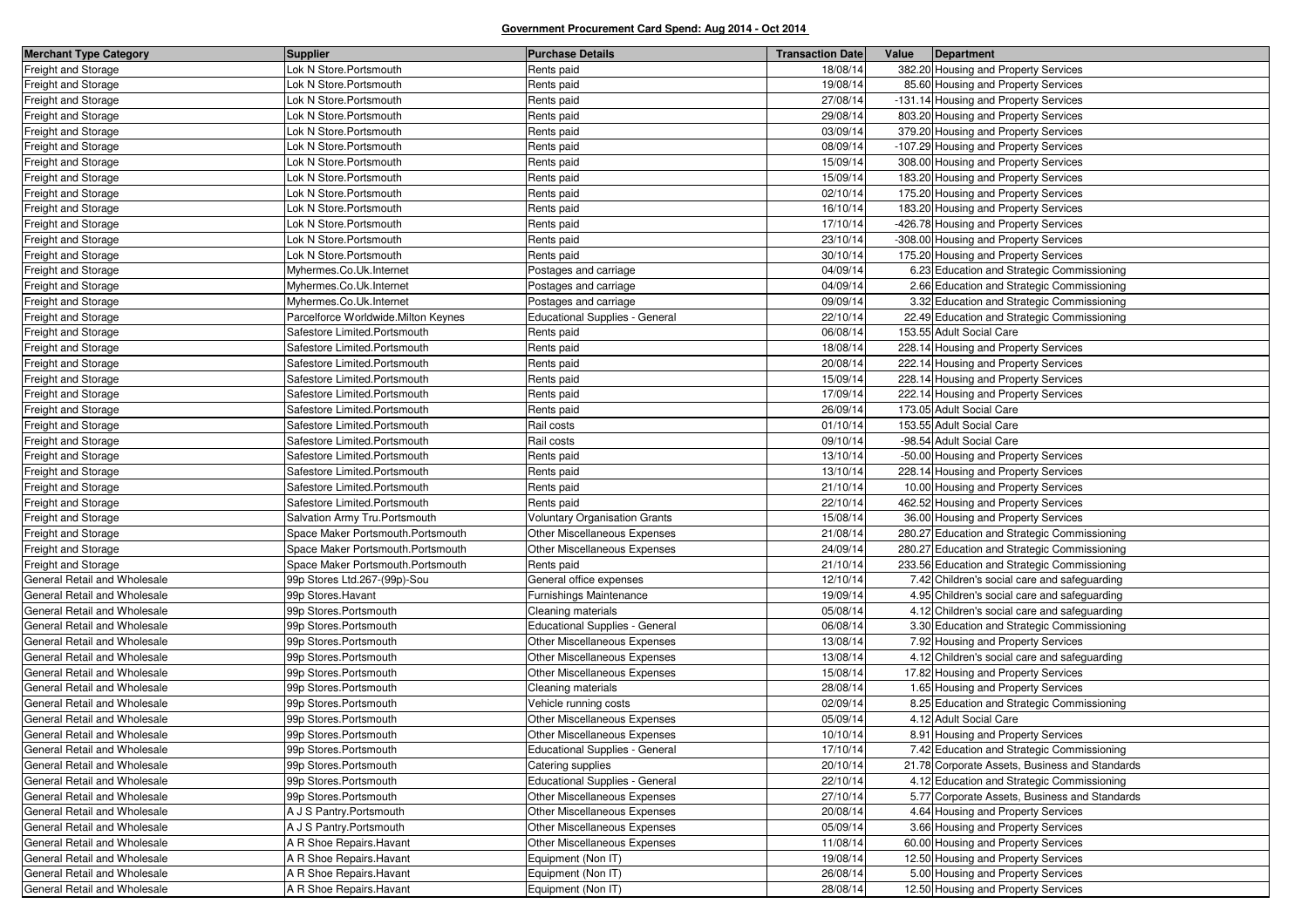| <b>Merchant Type Category</b> | <b>Supplier</b>                     | <b>Purchase Details</b>               | <b>Transaction Date</b> | Value | Department                                     |
|-------------------------------|-------------------------------------|---------------------------------------|-------------------------|-------|------------------------------------------------|
| Freight and Storage           | Lok N Store.Portsmouth              | Rents paid                            | 18/08/14                |       | 382.20 Housing and Property Services           |
| Freight and Storage           | ok N Store.Portsmouth               | Rents paid                            | 19/08/14                |       | 85.60 Housing and Property Services            |
| Freight and Storage           | ok N Store.Portsmouth               | Rents paid                            | 27/08/14                |       | -131.14 Housing and Property Services          |
| Freight and Storage           | Lok N Store.Portsmouth              | Rents paid                            | 29/08/14                |       | 803.20 Housing and Property Services           |
| Freight and Storage           | ok N Store.Portsmouth               | Rents paid                            | 03/09/14                |       | 379.20 Housing and Property Services           |
| Freight and Storage           | ok N Store.Portsmouth               | Rents paid                            | 08/09/14                |       | -107.29 Housing and Property Services          |
| Freight and Storage           | Lok N Store.Portsmouth              | Rents paid                            | 15/09/14                |       | 308.00 Housing and Property Services           |
| Freight and Storage           | ok N Store.Portsmouth               | Rents paid                            | 15/09/14                |       | 183.20 Housing and Property Services           |
| Freight and Storage           | ok N Store.Portsmouth               | Rents paid                            | 02/10/14                |       | 175.20 Housing and Property Services           |
| Freight and Storage           | Lok N Store.Portsmouth              | Rents paid                            | 16/10/14                |       | 183.20 Housing and Property Services           |
| Freight and Storage           | Lok N Store.Portsmouth              | Rents paid                            | 17/10/14                |       | -426.78 Housing and Property Services          |
| Freight and Storage           | ok N Store.Portsmouth               | Rents paid                            | 23/10/14                |       | -308.00 Housing and Property Services          |
| Freight and Storage           | Lok N Store.Portsmouth              | Rents paid                            | 30/10/14                |       | 175.20 Housing and Property Services           |
| Freight and Storage           | Myhermes.Co.Uk.Internet             | Postages and carriage                 | 04/09/14                |       | 6.23 Education and Strategic Commissioning     |
| Freight and Storage           | Myhermes.Co.Uk.Internet             | Postages and carriage                 | 04/09/14                |       | 2.66 Education and Strategic Commissioning     |
| Freight and Storage           | Myhermes.Co.Uk.Internet             | Postages and carriage                 | 09/09/14                |       | 3.32 Education and Strategic Commissioning     |
| Freight and Storage           | Parcelforce Worldwide.Milton Keynes | Educational Supplies - General        | 22/10/14                |       | 22.49 Education and Strategic Commissioning    |
| Freight and Storage           | Safestore Limited.Portsmouth        | Rents paid                            | 06/08/14                |       | 153.55 Adult Social Care                       |
| Freight and Storage           | Safestore Limited.Portsmouth        | Rents paid                            | 18/08/14                |       | 228.14 Housing and Property Services           |
| Freight and Storage           | Safestore Limited.Portsmouth        | Rents paid                            | 20/08/14                |       | 222.14 Housing and Property Services           |
| <b>Freight and Storage</b>    | Safestore Limited.Portsmouth        | Rents paid                            | 15/09/14                |       | 228.14 Housing and Property Services           |
| Freight and Storage           | Safestore Limited.Portsmouth        | Rents paid                            | 17/09/14                |       | 222.14 Housing and Property Services           |
| Freight and Storage           | Safestore Limited.Portsmouth        | Rents paid                            | 26/09/14                |       | 173.05 Adult Social Care                       |
| Freight and Storage           | Safestore Limited.Portsmouth        | Rail costs                            | 01/10/14                |       | 153.55 Adult Social Care                       |
| Freight and Storage           | Safestore Limited.Portsmouth        | Rail costs                            | 09/10/14                |       | -98.54 Adult Social Care                       |
| Freight and Storage           | Safestore Limited.Portsmouth        | Rents paid                            | 13/10/14                |       | -50.00 Housing and Property Services           |
| Freight and Storage           | Safestore Limited.Portsmouth        | Rents paid                            | 13/10/14                |       | 228.14 Housing and Property Services           |
| Freight and Storage           | Safestore Limited.Portsmouth        | Rents paid                            | 21/10/14                |       | 10.00 Housing and Property Services            |
| Freight and Storage           | Safestore Limited.Portsmouth        | Rents paid                            | 22/10/14                |       | 462.52 Housing and Property Services           |
| Freight and Storage           | Salvation Army Tru.Portsmouth       | <b>Voluntary Organisation Grants</b>  | 15/08/14                |       | 36.00 Housing and Property Services            |
| Freight and Storage           | Space Maker Portsmouth.Portsmouth   | Other Miscellaneous Expenses          | 21/08/14                |       | 280.27 Education and Strategic Commissioning   |
| Freight and Storage           | Space Maker Portsmouth.Portsmouth   | Other Miscellaneous Expenses          | 24/09/14                |       | 280.27 Education and Strategic Commissioning   |
| Freight and Storage           | Space Maker Portsmouth.Portsmouth   | Rents paid                            | 21/10/14                |       | 233.56 Education and Strategic Commissioning   |
| General Retail and Wholesale  | 99p Stores Ltd.267-(99p)-Sou        | General office expenses               | 12/10/14                |       | 7.42 Children's social care and safeguarding   |
| General Retail and Wholesale  | 99p Stores. Havant                  | Furnishings Maintenance               | 19/09/14                |       | 4.95 Children's social care and safeguarding   |
| General Retail and Wholesale  | 99p Stores.Portsmouth               | Cleaning materials                    | 05/08/14                |       | 4.12 Children's social care and safeguarding   |
| General Retail and Wholesale  | 99p Stores.Portsmouth               | <b>Educational Supplies - General</b> | 06/08/14                |       | 3.30 Education and Strategic Commissioning     |
| General Retail and Wholesale  | 99p Stores.Portsmouth               | Other Miscellaneous Expenses          | 13/08/14                |       | 7.92 Housing and Property Services             |
| General Retail and Wholesale  | 99p Stores.Portsmouth               | Other Miscellaneous Expenses          | 13/08/14                |       | 4.12 Children's social care and safeguarding   |
| General Retail and Wholesale  | 99p Stores.Portsmouth               | <b>Other Miscellaneous Expenses</b>   | 15/08/14                |       | 17.82 Housing and Property Services            |
| General Retail and Wholesale  | 99p Stores.Portsmouth               | Cleaning materials                    | 28/08/14                |       | 1.65 Housing and Property Services             |
| General Retail and Wholesale  | 99p Stores.Portsmouth               | Vehicle running costs                 | 02/09/14                |       | 8.25 Education and Strategic Commissioning     |
| General Retail and Wholesale  | 99p Stores.Portsmouth               | Other Miscellaneous Expenses          | 05/09/14                |       | 4.12 Adult Social Care                         |
| General Retail and Wholesale  | 99p Stores.Portsmouth               | Other Miscellaneous Expenses          | 10/10/14                |       | 8.91 Housing and Property Services             |
| General Retail and Wholesale  | 99p Stores.Portsmouth               | Educational Supplies - General        | 17/10/14                |       | 7.42 Education and Strategic Commissioning     |
| General Retail and Wholesale  | 99p Stores.Portsmouth               | Catering supplies                     | 20/10/14                |       | 21.78 Corporate Assets, Business and Standards |
| General Retail and Wholesale  | 99p Stores.Portsmouth               | <b>Educational Supplies - General</b> | 22/10/14                |       | 4.12 Education and Strategic Commissioning     |
| General Retail and Wholesale  | 99p Stores.Portsmouth               | Other Miscellaneous Expenses          | 27/10/14                |       | 5.77 Corporate Assets, Business and Standards  |
| General Retail and Wholesale  | A J S Pantry.Portsmouth             | Other Miscellaneous Expenses          | 20/08/14                |       | 4.64 Housing and Property Services             |
| General Retail and Wholesale  | A J S Pantry. Portsmouth            | Other Miscellaneous Expenses          | 05/09/14                |       | 3.66 Housing and Property Services             |
| General Retail and Wholesale  | A R Shoe Repairs. Havant            | Other Miscellaneous Expenses          | 11/08/14                |       | 60.00 Housing and Property Services            |
| General Retail and Wholesale  | A R Shoe Repairs. Havant            | Equipment (Non IT)                    | 19/08/14                |       | 12.50 Housing and Property Services            |
| General Retail and Wholesale  | A R Shoe Repairs. Havant            | Equipment (Non IT)                    | 26/08/14                |       | 5.00 Housing and Property Services             |
| General Retail and Wholesale  | A R Shoe Repairs. Havant            | Equipment (Non IT)                    | 28/08/14                |       | 12.50 Housing and Property Services            |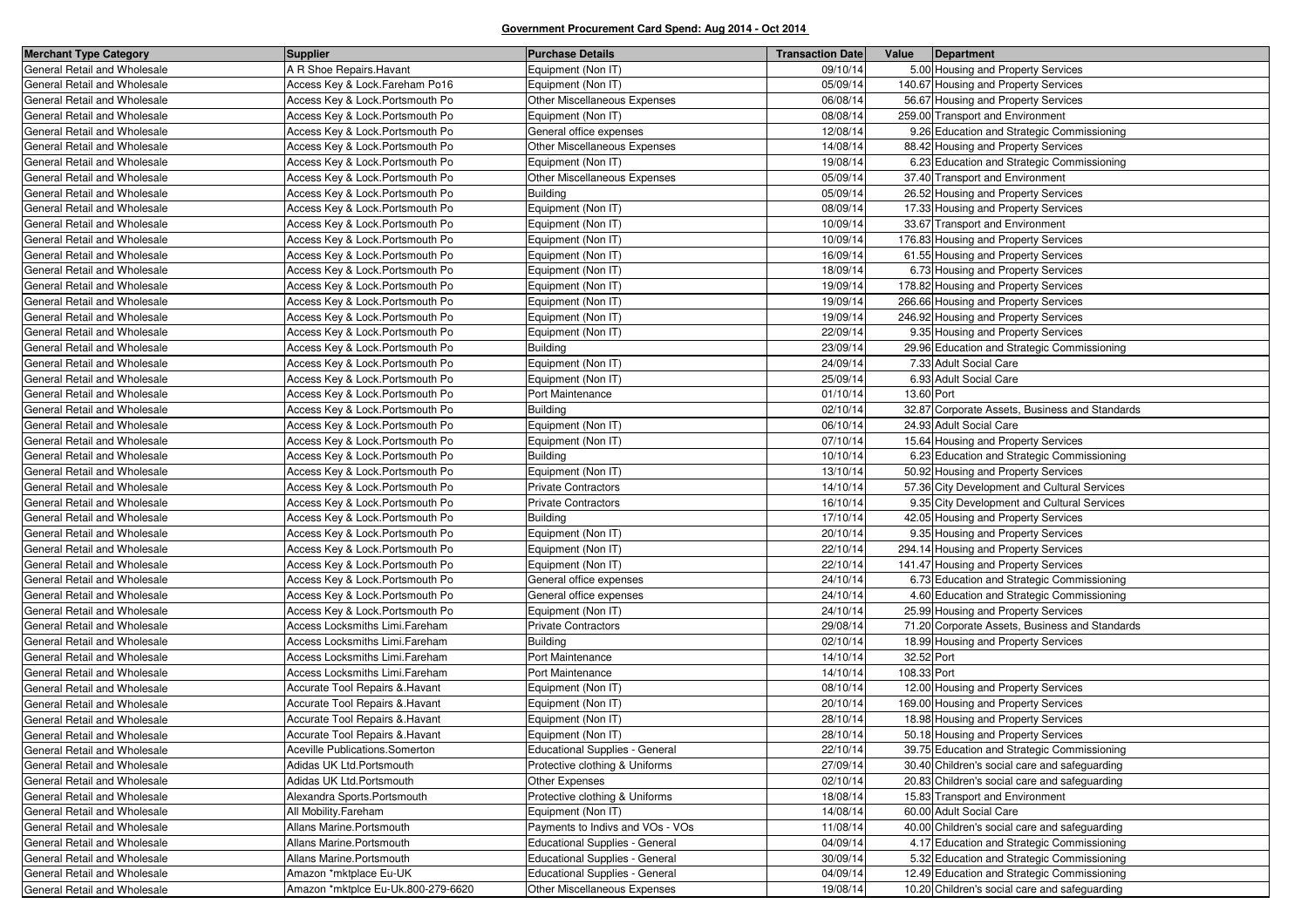| <b>Merchant Type Category</b> | <b>Supplier</b>                    | <b>Purchase Details</b>               | <b>Transaction Date</b> | Value       | Department                                     |
|-------------------------------|------------------------------------|---------------------------------------|-------------------------|-------------|------------------------------------------------|
| General Retail and Wholesale  | A R Shoe Repairs. Havant           | Equipment (Non IT)                    | 09/10/14                |             | 5.00 Housing and Property Services             |
| General Retail and Wholesale  | Access Key & Lock.Fareham Po16     | Equipment (Non IT)                    | 05/09/14                |             | 140.67 Housing and Property Services           |
| General Retail and Wholesale  | Access Key & Lock.Portsmouth Po    | Other Miscellaneous Expenses          | 06/08/14                |             | 56.67 Housing and Property Services            |
| General Retail and Wholesale  | Access Key & Lock.Portsmouth Po    | Equipment (Non IT)                    | 08/08/14                |             | 259.00 Transport and Environment               |
| General Retail and Wholesale  | Access Key & Lock.Portsmouth Po    | General office expenses               | 12/08/14                |             | 9.26 Education and Strategic Commissioning     |
| General Retail and Wholesale  | Access Key & Lock.Portsmouth Po    | Other Miscellaneous Expenses          | 14/08/14                |             | 88.42 Housing and Property Services            |
| General Retail and Wholesale  | Access Key & Lock.Portsmouth Po    | Equipment (Non IT)                    | 19/08/14                |             | 6.23 Education and Strategic Commissioning     |
| General Retail and Wholesale  | Access Key & Lock.Portsmouth Po    | Other Miscellaneous Expenses          | 05/09/14                |             | 37.40 Transport and Environment                |
| General Retail and Wholesale  | Access Key & Lock.Portsmouth Po    | <b>Building</b>                       | 05/09/14                |             | 26.52 Housing and Property Services            |
| General Retail and Wholesale  | Access Key & Lock.Portsmouth Po    | Equipment (Non IT)                    | 08/09/14                |             | 17.33 Housing and Property Services            |
| General Retail and Wholesale  | Access Key & Lock.Portsmouth Po    | Equipment (Non IT)                    | 10/09/14                |             | 33.67 Transport and Environment                |
| General Retail and Wholesale  | Access Key & Lock.Portsmouth Po    | Equipment (Non IT)                    | 10/09/14                |             | 176.83 Housing and Property Services           |
| General Retail and Wholesale  | Access Key & Lock.Portsmouth Po    | Equipment (Non IT)                    | 16/09/14                |             | 61.55 Housing and Property Services            |
| General Retail and Wholesale  | Access Key & Lock.Portsmouth Po    | Equipment (Non IT)                    | 18/09/14                |             | 6.73 Housing and Property Services             |
| General Retail and Wholesale  | Access Key & Lock.Portsmouth Po    | Equipment (Non IT)                    | 19/09/14                |             | 178.82 Housing and Property Services           |
| General Retail and Wholesale  | Access Key & Lock.Portsmouth Po    | Equipment (Non IT)                    | 19/09/14                |             | 266.66 Housing and Property Services           |
| General Retail and Wholesale  | Access Key & Lock.Portsmouth Po    | Equipment (Non IT)                    | 19/09/14                |             | 246.92 Housing and Property Services           |
| General Retail and Wholesale  | Access Key & Lock.Portsmouth Po    | Equipment (Non IT)                    | 22/09/14                |             | 9.35 Housing and Property Services             |
| General Retail and Wholesale  | Access Key & Lock.Portsmouth Po    | <b>Building</b>                       | 23/09/14                |             | 29.96 Education and Strategic Commissioning    |
| General Retail and Wholesale  | Access Key & Lock.Portsmouth Po    | Equipment (Non IT)                    | 24/09/14                |             | 7.33 Adult Social Care                         |
| General Retail and Wholesale  | Access Key & Lock.Portsmouth Po    | Equipment (Non IT)                    | 25/09/14                |             | 6.93 Adult Social Care                         |
| General Retail and Wholesale  | Access Key & Lock.Portsmouth Po    | Port Maintenance                      | 01/10/14                | 13.60 Port  |                                                |
| General Retail and Wholesale  | Access Key & Lock.Portsmouth Po    | <b>Building</b>                       | 02/10/14                |             | 32.87 Corporate Assets, Business and Standards |
| General Retail and Wholesale  | Access Key & Lock.Portsmouth Po    | Equipment (Non IT)                    | 06/10/14                |             | 24.93 Adult Social Care                        |
| General Retail and Wholesale  | Access Key & Lock.Portsmouth Po    | Equipment (Non IT)                    | 07/10/14                |             | 15.64 Housing and Property Services            |
| General Retail and Wholesale  | Access Key & Lock.Portsmouth Po    | <b>Building</b>                       | 10/10/14                |             | 6.23 Education and Strategic Commissioning     |
| General Retail and Wholesale  | Access Key & Lock. Portsmouth Po   | Equipment (Non IT)                    | 13/10/14                |             | 50.92 Housing and Property Services            |
| General Retail and Wholesale  | Access Key & Lock.Portsmouth Po    | <b>Private Contractors</b>            | 14/10/14                |             | 57.36 City Development and Cultural Services   |
| General Retail and Wholesale  | Access Key & Lock.Portsmouth Po    | Private Contractors                   | 16/10/14                |             | 9.35 City Development and Cultural Services    |
| General Retail and Wholesale  | Access Key & Lock. Portsmouth Po   | <b>Building</b>                       | 17/10/14                |             | 42.05 Housing and Property Services            |
| General Retail and Wholesale  | Access Key & Lock.Portsmouth Po    | Equipment (Non IT)                    | 20/10/14                |             | 9.35 Housing and Property Services             |
| General Retail and Wholesale  | Access Key & Lock.Portsmouth Po    | Equipment (Non IT)                    | 22/10/14                |             | 294.14 Housing and Property Services           |
| General Retail and Wholesale  | Access Key & Lock.Portsmouth Po    | Equipment (Non IT)                    | 22/10/14                |             | 141.47 Housing and Property Services           |
| General Retail and Wholesale  | Access Key & Lock.Portsmouth Po    | General office expenses               | 24/10/14                |             | 6.73 Education and Strategic Commissioning     |
| General Retail and Wholesale  | Access Key & Lock.Portsmouth Po    | General office expenses               | 24/10/14                |             | 4.60 Education and Strategic Commissioning     |
| General Retail and Wholesale  | Access Key & Lock.Portsmouth Po    | Equipment (Non IT)                    | 24/10/14                |             | 25.99 Housing and Property Services            |
| General Retail and Wholesale  | Access Locksmiths Limi.Fareham     | <b>Private Contractors</b>            | 29/08/14                |             | 71.20 Corporate Assets, Business and Standards |
| General Retail and Wholesale  | Access Locksmiths Limi.Fareham     | Building                              | 02/10/14                |             | 18.99 Housing and Property Services            |
| General Retail and Wholesale  | Access Locksmiths Limi.Fareham     | Port Maintenance                      | 14/10/14                | 32.52 Port  |                                                |
| General Retail and Wholesale  | Access Locksmiths Limi.Fareham     | Port Maintenance                      | 14/10/14                | 108.33 Port |                                                |
| General Retail and Wholesale  | Accurate Tool Repairs & Havant     | Equipment (Non IT)                    | 08/10/14                |             | 12.00 Housing and Property Services            |
| General Retail and Wholesale  | Accurate Tool Repairs & Havant     | Equipment (Non IT)                    | 20/10/14                |             | 169.00 Housing and Property Services           |
| General Retail and Wholesale  | Accurate Tool Repairs & Havant     | Equipment (Non IT)                    | 28/10/14                |             | 18.98 Housing and Property Services            |
| General Retail and Wholesale  | Accurate Tool Repairs & Havant     | Equipment (Non IT)                    | 28/10/14                |             | 50.18 Housing and Property Services            |
| General Retail and Wholesale  | Aceville Publications.Somerton     | <b>Educational Supplies - General</b> | 22/10/14                |             | 39.75 Education and Strategic Commissioning    |
| General Retail and Wholesale  | Adidas UK Ltd.Portsmouth           | Protective clothing & Uniforms        | 27/09/14                |             | 30.40 Children's social care and safeguarding  |
| General Retail and Wholesale  | Adidas UK Ltd.Portsmouth           | Other Expenses                        | 02/10/14                |             | 20.83 Children's social care and safeguarding  |
| General Retail and Wholesale  | Alexandra Sports.Portsmouth        | Protective clothing & Uniforms        | 18/08/14                |             | 15.83 Transport and Environment                |
| General Retail and Wholesale  | All Mobility.Fareham               | Equipment (Non IT)                    | 14/08/14                |             | 60.00 Adult Social Care                        |
| General Retail and Wholesale  | Allans Marine.Portsmouth           | Payments to Indivs and VOs - VOs      | 11/08/14                |             | 40.00 Children's social care and safeguarding  |
| General Retail and Wholesale  | Allans Marine.Portsmouth           | <b>Educational Supplies - General</b> | 04/09/14                |             | 4.17 Education and Strategic Commissioning     |
| General Retail and Wholesale  | Allans Marine.Portsmouth           | <b>Educational Supplies - General</b> | 30/09/14                |             | 5.32 Education and Strategic Commissioning     |
| General Retail and Wholesale  | Amazon *mktplace Eu-UK             | <b>Educational Supplies - General</b> | 04/09/14                |             | 12.49 Education and Strategic Commissioning    |
| General Retail and Wholesale  | Amazon *mktplce Eu-Uk.800-279-6620 | Other Miscellaneous Expenses          | 19/08/14                |             | 10.20 Children's social care and safeguarding  |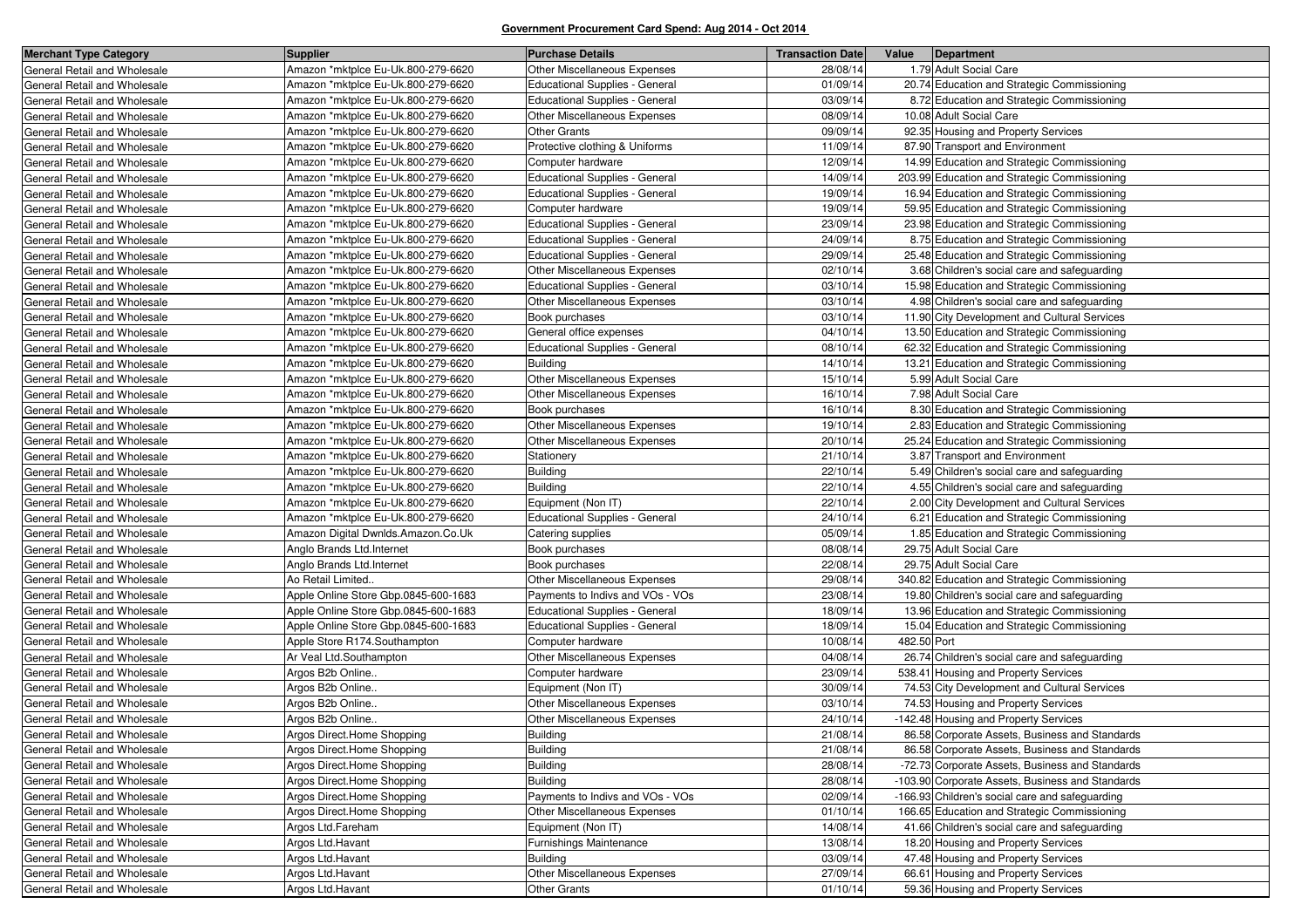| <b>Merchant Type Category</b> | <b>Supplier</b>                      | <b>Purchase Details</b>               | <b>Transaction Date</b> | Value<br>Department                              |
|-------------------------------|--------------------------------------|---------------------------------------|-------------------------|--------------------------------------------------|
| General Retail and Wholesale  | Amazon *mktplce Eu-Uk.800-279-6620   | Other Miscellaneous Expenses          | 28/08/14                | 1.79 Adult Social Care                           |
| General Retail and Wholesale  | Amazon *mktplce Eu-Uk.800-279-6620   | <b>Educational Supplies - General</b> | 01/09/14                | 20.74 Education and Strategic Commissioning      |
| General Retail and Wholesale  | Amazon *mktplce Eu-Uk.800-279-6620   | <b>Educational Supplies - General</b> | 03/09/14                | 8.72 Education and Strategic Commissioning       |
| General Retail and Wholesale  | Amazon *mktplce Eu-Uk.800-279-6620   | Other Miscellaneous Expenses          | 08/09/14                | 10.08 Adult Social Care                          |
| General Retail and Wholesale  | Amazon *mktplce Eu-Uk.800-279-6620   | <b>Other Grants</b>                   | 09/09/14                | 92.35 Housing and Property Services              |
| General Retail and Wholesale  | Amazon *mktplce Eu-Uk.800-279-6620   | Protective clothing & Uniforms        | 11/09/14                | 87.90 Transport and Environment                  |
| General Retail and Wholesale  | Amazon *mktplce Eu-Uk.800-279-6620   | Computer hardware                     | 12/09/14                | 14.99 Education and Strategic Commissioning      |
| General Retail and Wholesale  | Amazon *mktplce Eu-Uk.800-279-6620   | <b>Educational Supplies - General</b> | 14/09/14                | 203.99 Education and Strategic Commissioning     |
| General Retail and Wholesale  | Amazon *mktplce Eu-Uk.800-279-6620   | <b>Educational Supplies - General</b> | 19/09/14                | 16.94 Education and Strategic Commissioning      |
| General Retail and Wholesale  | Amazon *mktplce Eu-Uk.800-279-6620   | Computer hardware                     | 19/09/14                | 59.95 Education and Strategic Commissioning      |
| General Retail and Wholesale  | Amazon *mktplce Eu-Uk.800-279-6620   | <b>Educational Supplies - General</b> | 23/09/14                | 23.98 Education and Strategic Commissioning      |
| General Retail and Wholesale  | Amazon *mktplce Eu-Uk.800-279-6620   | <b>Educational Supplies - General</b> | 24/09/14                | 8.75 Education and Strategic Commissioning       |
| General Retail and Wholesale  | Amazon *mktplce Eu-Uk.800-279-6620   | <b>Educational Supplies - General</b> | 29/09/14                | 25.48 Education and Strategic Commissioning      |
| General Retail and Wholesale  | Amazon *mktplce Eu-Uk.800-279-6620   | Other Miscellaneous Expenses          | 02/10/14                | 3.68 Children's social care and safeguarding     |
| General Retail and Wholesale  | Amazon *mktplce Eu-Uk.800-279-6620   | <b>Educational Supplies - General</b> | 03/10/14                | 15.98 Education and Strategic Commissioning      |
| General Retail and Wholesale  | Amazon *mktplce Eu-Uk.800-279-6620   | Other Miscellaneous Expenses          | 03/10/14                | 4.98 Children's social care and safeguarding     |
| General Retail and Wholesale  | Amazon *mktplce Eu-Uk.800-279-6620   | Book purchases                        | 03/10/14                | 11.90 City Development and Cultural Services     |
| General Retail and Wholesale  | Amazon *mktplce Eu-Uk.800-279-6620   | General office expenses               | 04/10/14                | 13.50 Education and Strategic Commissioning      |
| General Retail and Wholesale  | Amazon *mktplce Eu-Uk.800-279-6620   | <b>Educational Supplies - General</b> | 08/10/14                | 62.32 Education and Strategic Commissioning      |
| General Retail and Wholesale  | Amazon *mktplce Eu-Uk.800-279-6620   | <b>Building</b>                       | 14/10/14                | 13.21 Education and Strategic Commissioning      |
| General Retail and Wholesale  | Amazon *mktplce Eu-Uk.800-279-6620   | Other Miscellaneous Expenses          | 15/10/14                | 5.99 Adult Social Care                           |
| General Retail and Wholesale  | Amazon *mktplce Eu-Uk.800-279-6620   | Other Miscellaneous Expenses          | 16/10/14                | 7.98 Adult Social Care                           |
| General Retail and Wholesale  | Amazon *mktplce Eu-Uk.800-279-6620   | Book purchases                        | 16/10/14                | 8.30 Education and Strategic Commissioning       |
| General Retail and Wholesale  | Amazon *mktplce Eu-Uk.800-279-6620   | Other Miscellaneous Expenses          | 19/10/14                | 2.83 Education and Strategic Commissioning       |
| General Retail and Wholesale  | Amazon *mktplce Eu-Uk.800-279-6620   | Other Miscellaneous Expenses          | 20/10/14                | 25.24 Education and Strategic Commissioning      |
| General Retail and Wholesale  | Amazon *mktplce Eu-Uk.800-279-6620   | Stationery                            | 21/10/14                | 3.87 Transport and Environment                   |
| General Retail and Wholesale  | Amazon *mktplce Eu-Uk.800-279-6620   | <b>Building</b>                       | 22/10/14                | 5.49 Children's social care and safeguarding     |
| General Retail and Wholesale  | Amazon *mktplce Eu-Uk.800-279-6620   | <b>Building</b>                       | 22/10/14                | 4.55 Children's social care and safeguarding     |
| General Retail and Wholesale  | Amazon *mktplce Eu-Uk.800-279-6620   | Equipment (Non IT)                    | 22/10/14                | 2.00 City Development and Cultural Services      |
| General Retail and Wholesale  | Amazon *mktplce Eu-Uk.800-279-6620   | <b>Educational Supplies - General</b> | 24/10/14                | 6.21 Education and Strategic Commissioning       |
| General Retail and Wholesale  | Amazon Digital Dwnlds.Amazon.Co.Uk   | Catering supplies                     | 05/09/14                | 1.85 Education and Strategic Commissioning       |
| General Retail and Wholesale  | Anglo Brands Ltd.Internet            | Book purchases                        | 08/08/14                | 29.75 Adult Social Care                          |
| General Retail and Wholesale  | Anglo Brands Ltd.Internet            | Book purchases                        | 22/08/14                | 29.75 Adult Social Care                          |
| General Retail and Wholesale  | Ao Retail Limited                    | Other Miscellaneous Expenses          | 29/08/14                | 340.82 Education and Strategic Commissioning     |
| General Retail and Wholesale  | Apple Online Store Gbp.0845-600-1683 | Payments to Indivs and VOs - VOs      | 23/08/14                | 19.80 Children's social care and safeguarding    |
| General Retail and Wholesale  | Apple Online Store Gbp.0845-600-1683 | <b>Educational Supplies - General</b> | 18/09/14                | 13.96 Education and Strategic Commissioning      |
| General Retail and Wholesale  | Apple Online Store Gbp.0845-600-1683 | <b>Educational Supplies - General</b> | 18/09/14                | 15.04 Education and Strategic Commissioning      |
| General Retail and Wholesale  | Apple Store R174. Southampton        | Computer hardware                     | 10/08/14                | 482.50 Port                                      |
| General Retail and Wholesale  | Ar Veal Ltd.Southampton              | Other Miscellaneous Expenses          | 04/08/14                | 26.74 Children's social care and safeguarding    |
| General Retail and Wholesale  | Argos B2b Online                     | Computer hardware                     | 23/09/14                | 538.41 Housing and Property Services             |
| General Retail and Wholesale  | Argos B2b Online                     | Equipment (Non IT)                    | 30/09/14                | 74.53 City Development and Cultural Services     |
| General Retail and Wholesale  | Argos B2b Online.                    | Other Miscellaneous Expenses          | 03/10/14                | 74.53 Housing and Property Services              |
| General Retail and Wholesale  | Argos B2b Online                     | Other Miscellaneous Expenses          | 24/10/14                | -142.48 Housing and Property Services            |
| General Retail and Wholesale  | Argos Direct.Home Shopping           | <b>Building</b>                       | 21/08/14                | 86.58 Corporate Assets, Business and Standards   |
| General Retail and Wholesale  | Argos Direct.Home Shopping           | <b>Building</b>                       | 21/08/14                | 86.58 Corporate Assets, Business and Standards   |
| General Retail and Wholesale  | Argos Direct.Home Shopping           | <b>Building</b>                       | 28/08/14                | -72.73 Corporate Assets, Business and Standards  |
| General Retail and Wholesale  | Argos Direct.Home Shopping           | Building                              | 28/08/14                | -103.90 Corporate Assets, Business and Standards |
| General Retail and Wholesale  | Argos Direct.Home Shopping           | Payments to Indivs and VOs - VOs      | 02/09/14                | -166.93 Children's social care and safeguarding  |
| General Retail and Wholesale  | Argos Direct.Home Shopping           | Other Miscellaneous Expenses          | 01/10/14                | 166.65 Education and Strategic Commissioning     |
| General Retail and Wholesale  | Argos Ltd.Fareham                    | Equipment (Non IT)                    | 14/08/14                | 41.66 Children's social care and safeguarding    |
| General Retail and Wholesale  | Argos Ltd. Havant                    | <b>Furnishings Maintenance</b>        | 13/08/14                | 18.20 Housing and Property Services              |
| General Retail and Wholesale  | Argos Ltd. Havant                    | <b>Building</b>                       | 03/09/14                | 47.48 Housing and Property Services              |
| General Retail and Wholesale  | Argos Ltd. Havant                    | Other Miscellaneous Expenses          | 27/09/14                | 66.61 Housing and Property Services              |
| General Retail and Wholesale  | Argos Ltd. Havant                    | <b>Other Grants</b>                   | 01/10/14                | 59.36 Housing and Property Services              |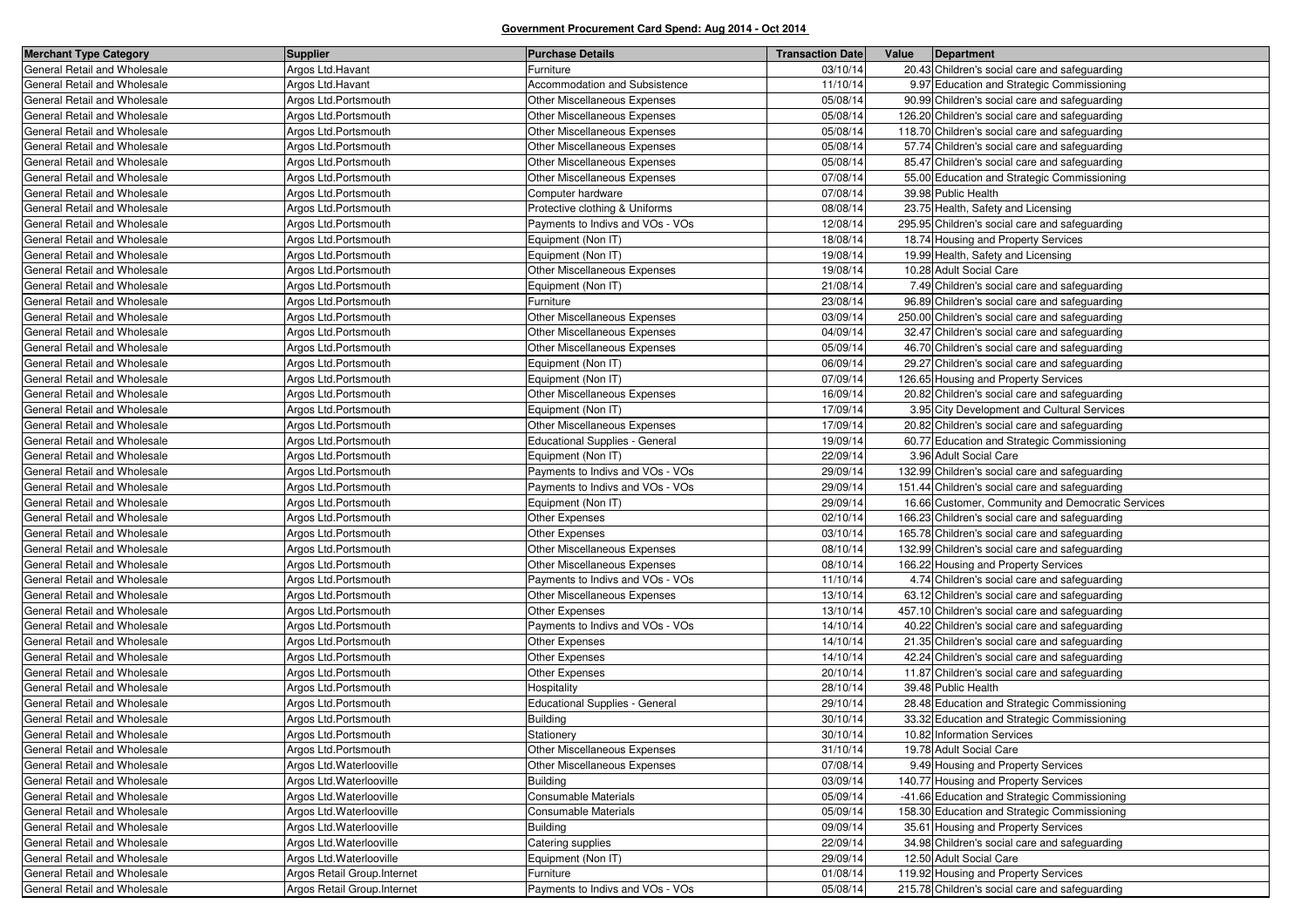| <b>Merchant Type Category</b> | <b>Supplier</b>              | <b>Purchase Details</b>               | <b>Transaction Date</b> | Value | Department                                        |
|-------------------------------|------------------------------|---------------------------------------|-------------------------|-------|---------------------------------------------------|
| General Retail and Wholesale  | Argos Ltd.Havant             | Furniture                             | 03/10/14                |       | 20.43 Children's social care and safeguarding     |
| General Retail and Wholesale  | Argos Ltd.Havant             | Accommodation and Subsistence         | 11/10/14                |       | 9.97 Education and Strategic Commissioning        |
| General Retail and Wholesale  | Argos Ltd.Portsmouth         | Other Miscellaneous Expenses          | 05/08/14                |       | 90.99 Children's social care and safeguarding     |
| General Retail and Wholesale  | Argos Ltd.Portsmouth         | Other Miscellaneous Expenses          | 05/08/14                |       | 126.20 Children's social care and safeguarding    |
| General Retail and Wholesale  | Argos Ltd.Portsmouth         | Other Miscellaneous Expenses          | 05/08/14                |       | 118.70 Children's social care and safeguarding    |
| General Retail and Wholesale  | Argos Ltd.Portsmouth         | Other Miscellaneous Expenses          | 05/08/14                |       | 57.74 Children's social care and safeguarding     |
| General Retail and Wholesale  | Argos Ltd.Portsmouth         | Other Miscellaneous Expenses          | 05/08/14                |       | 85.47 Children's social care and safeguarding     |
| General Retail and Wholesale  | Argos Ltd.Portsmouth         | Other Miscellaneous Expenses          | 07/08/14                |       | 55.00 Education and Strategic Commissioning       |
| General Retail and Wholesale  | Argos Ltd.Portsmouth         | Computer hardware                     | 07/08/14                |       | 39.98 Public Health                               |
| General Retail and Wholesale  | Argos Ltd.Portsmouth         | Protective clothing & Uniforms        | 08/08/14                |       | 23.75 Health, Safety and Licensing                |
| General Retail and Wholesale  | Argos Ltd.Portsmouth         | Payments to Indivs and VOs - VOs      | 12/08/14                |       | 295.95 Children's social care and safeguarding    |
| General Retail and Wholesale  | Argos Ltd.Portsmouth         | Equipment (Non IT)                    | 18/08/14                |       | 18.74 Housing and Property Services               |
| General Retail and Wholesale  | Argos Ltd.Portsmouth         | Equipment (Non IT)                    | 19/08/14                |       | 19.99 Health, Safety and Licensing                |
| General Retail and Wholesale  | Argos Ltd.Portsmouth         | Other Miscellaneous Expenses          | 19/08/14                |       | 10.28 Adult Social Care                           |
| General Retail and Wholesale  | Argos Ltd.Portsmouth         | Equipment (Non IT)                    | 21/08/14                |       | 7.49 Children's social care and safeguarding      |
| General Retail and Wholesale  | Argos Ltd.Portsmouth         | Furniture                             | 23/08/14                |       | 96.89 Children's social care and safeguarding     |
| General Retail and Wholesale  | Argos Ltd.Portsmouth         | Other Miscellaneous Expenses          | 03/09/14                |       | 250.00 Children's social care and safeguarding    |
| General Retail and Wholesale  | Argos Ltd.Portsmouth         | Other Miscellaneous Expenses          | 04/09/14                |       | 32.47 Children's social care and safeguarding     |
| General Retail and Wholesale  | Argos Ltd.Portsmouth         | Other Miscellaneous Expenses          | 05/09/14                |       | 46.70 Children's social care and safeguarding     |
| General Retail and Wholesale  | Argos Ltd.Portsmouth         | Equipment (Non IT)                    | 06/09/14                |       | 29.27 Children's social care and safeguarding     |
| General Retail and Wholesale  | Argos Ltd.Portsmouth         | Equipment (Non IT)                    | 07/09/14                |       | 126.65 Housing and Property Services              |
| General Retail and Wholesale  | Argos Ltd.Portsmouth         | Other Miscellaneous Expenses          | 16/09/14                |       | 20.82 Children's social care and safeguarding     |
| General Retail and Wholesale  | Argos Ltd.Portsmouth         | Equipment (Non IT)                    | 17/09/14                |       | 3.95 City Development and Cultural Services       |
| General Retail and Wholesale  | Argos Ltd.Portsmouth         | Other Miscellaneous Expenses          | 17/09/14                |       | 20.82 Children's social care and safeguarding     |
| General Retail and Wholesale  | Argos Ltd.Portsmouth         | <b>Educational Supplies - General</b> | 19/09/14                |       | 60.77 Education and Strategic Commissioning       |
| General Retail and Wholesale  | Argos Ltd.Portsmouth         | Equipment (Non IT)                    | 22/09/14                |       | 3.96 Adult Social Care                            |
| General Retail and Wholesale  | Argos Ltd.Portsmouth         | Payments to Indivs and VOs - VOs      | 29/09/14                |       | 132.99 Children's social care and safeguarding    |
| General Retail and Wholesale  | Argos Ltd.Portsmouth         | Payments to Indivs and VOs - VOs      | 29/09/14                |       | 151.44 Children's social care and safeguarding    |
| General Retail and Wholesale  | Argos Ltd.Portsmouth         | Equipment (Non IT)                    | 29/09/14                |       | 16.66 Customer, Community and Democratic Services |
| General Retail and Wholesale  | Argos Ltd.Portsmouth         | <b>Other Expenses</b>                 | 02/10/14                |       | 166.23 Children's social care and safeguarding    |
| General Retail and Wholesale  | Argos Ltd.Portsmouth         | Other Expenses                        | 03/10/14                |       | 165.78 Children's social care and safeguarding    |
| General Retail and Wholesale  | Argos Ltd.Portsmouth         | Other Miscellaneous Expenses          | 08/10/14                |       | 132.99 Children's social care and safeguarding    |
| General Retail and Wholesale  | Argos Ltd.Portsmouth         | Other Miscellaneous Expenses          | 08/10/14                |       | 166.22 Housing and Property Services              |
| General Retail and Wholesale  | Argos Ltd.Portsmouth         | Payments to Indivs and VOs - VOs      | 11/10/14                |       | 4.74 Children's social care and safeguarding      |
| General Retail and Wholesale  | Argos Ltd.Portsmouth         | Other Miscellaneous Expenses          | 13/10/14                |       | 63.12 Children's social care and safeguarding     |
| General Retail and Wholesale  | Argos Ltd.Portsmouth         | Other Expenses                        | 13/10/14                |       | 457.10 Children's social care and safeguarding    |
| General Retail and Wholesale  | Argos Ltd.Portsmouth         | Payments to Indivs and VOs - VOs      | 14/10/14                |       | 40.22 Children's social care and safeguarding     |
| General Retail and Wholesale  | Argos Ltd.Portsmouth         | Other Expenses                        | 14/10/14                |       | 21.35 Children's social care and safeguarding     |
| General Retail and Wholesale  | Argos Ltd.Portsmouth         | Other Expenses                        | 14/10/14                |       | 42.24 Children's social care and safeguarding     |
| General Retail and Wholesale  | Argos Ltd.Portsmouth         | <b>Other Expenses</b>                 | 20/10/14                |       | 11.87 Children's social care and safeguarding     |
| General Retail and Wholesale  | Argos Ltd.Portsmouth         | Hospitality                           | 28/10/14                |       | 39.48 Public Health                               |
| General Retail and Wholesale  | Argos Ltd.Portsmouth         | Educational Supplies - General        | 29/10/14                |       | 28.48 Education and Strategic Commissioning       |
| General Retail and Wholesale  | Argos Ltd.Portsmouth         | <b>Building</b>                       | 30/10/14                |       | 33.32 Education and Strategic Commissioning       |
| General Retail and Wholesale  | Argos Ltd.Portsmouth         | Stationery                            | 30/10/14                |       | 10.82 Information Services                        |
| General Retail and Wholesale  | Argos Ltd.Portsmouth         | Other Miscellaneous Expenses          | 31/10/14                |       | 19.78 Adult Social Care                           |
| General Retail and Wholesale  | Argos Ltd.Waterlooville      | Other Miscellaneous Expenses          | 07/08/14                |       | 9.49 Housing and Property Services                |
| General Retail and Wholesale  | Argos Ltd.Waterlooville      | <b>Building</b>                       | 03/09/14                |       | 140.77 Housing and Property Services              |
| General Retail and Wholesale  | Argos Ltd.Waterlooville      | <b>Consumable Materials</b>           | 05/09/14                |       | -41.66 Education and Strategic Commissioning      |
| General Retail and Wholesale  | Argos Ltd.Waterlooville      | <b>Consumable Materials</b>           | 05/09/14                |       | 158.30 Education and Strategic Commissioning      |
| General Retail and Wholesale  | Argos Ltd.Waterlooville      | <b>Building</b>                       | 09/09/14                |       | 35.61 Housing and Property Services               |
| General Retail and Wholesale  | Argos Ltd.Waterlooville      | Catering supplies                     | 22/09/14                |       | 34.98 Children's social care and safeguarding     |
| General Retail and Wholesale  | Argos Ltd.Waterlooville      | Equipment (Non IT)                    | 29/09/14                |       | 12.50 Adult Social Care                           |
| General Retail and Wholesale  | Argos Retail Group. Internet | Furniture                             | 01/08/14                |       | 119.92 Housing and Property Services              |
| General Retail and Wholesale  | Argos Retail Group. Internet | Payments to Indivs and VOs - VOs      | 05/08/14                |       | 215.78 Children's social care and safeguarding    |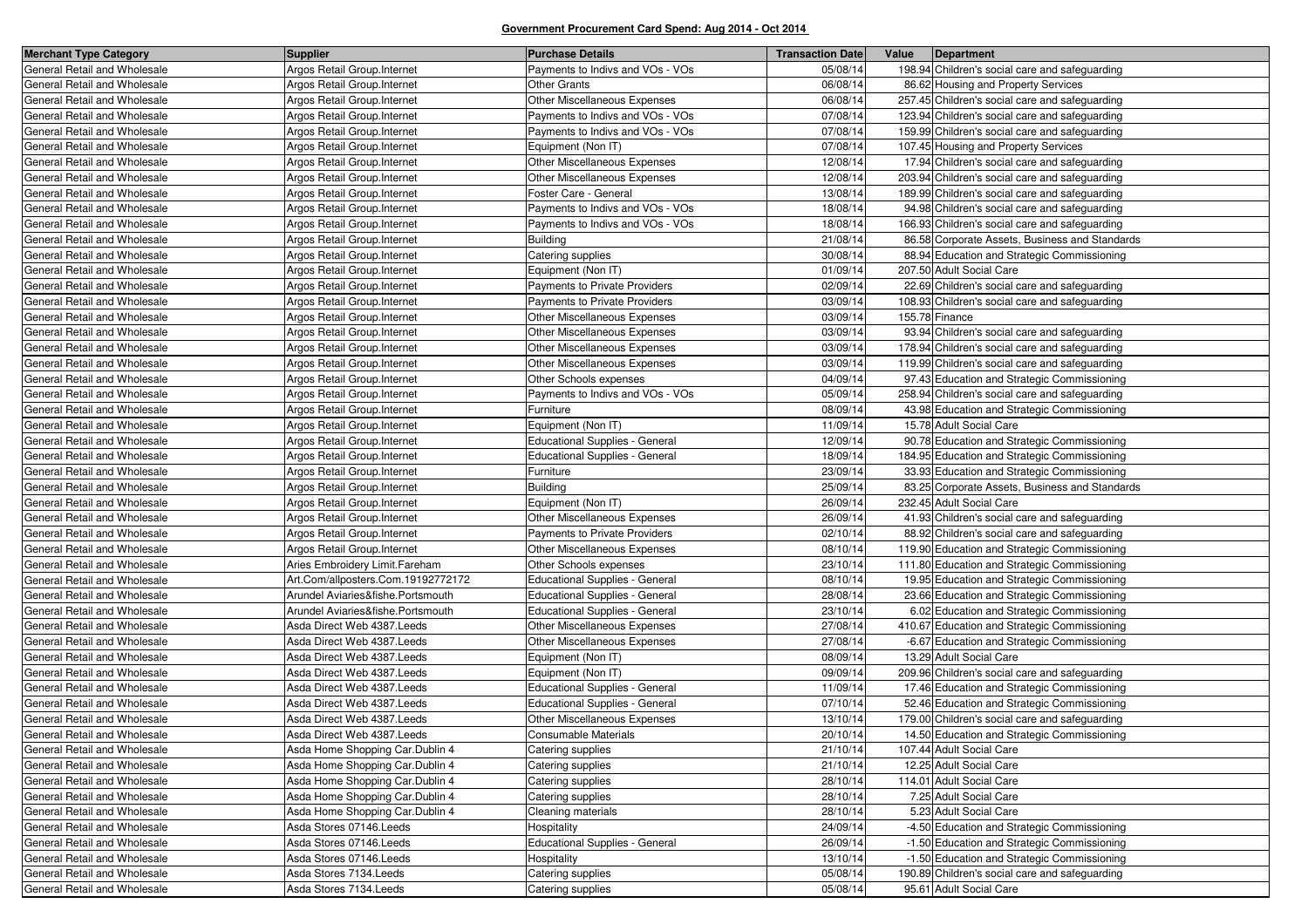| <b>Merchant Type Category</b> | <b>Supplier</b>                    | <b>Purchase Details</b>               | <b>Transaction Date</b> | Value<br>Department                            |
|-------------------------------|------------------------------------|---------------------------------------|-------------------------|------------------------------------------------|
| General Retail and Wholesale  | Argos Retail Group.Internet        | Payments to Indivs and VOs - VOs      | 05/08/14                | 198.94 Children's social care and safeguarding |
| General Retail and Wholesale  | Argos Retail Group. Internet       | <b>Other Grants</b>                   | 06/08/14                | 86.62 Housing and Property Services            |
| General Retail and Wholesale  | Argos Retail Group.Internet        | Other Miscellaneous Expenses          | 06/08/14                | 257.45 Children's social care and safeguarding |
| General Retail and Wholesale  | Argos Retail Group.Internet        | Payments to Indivs and VOs - VOs      | 07/08/14                | 123.94 Children's social care and safeguarding |
| General Retail and Wholesale  | Argos Retail Group.Internet        | Payments to Indivs and VOs - VOs      | 07/08/14                | 159.99 Children's social care and safeguarding |
| General Retail and Wholesale  | Argos Retail Group.Internet        | Equipment (Non IT)                    | 07/08/14                | 107.45 Housing and Property Services           |
| General Retail and Wholesale  | Argos Retail Group. Internet       | Other Miscellaneous Expenses          | 12/08/14                | 17.94 Children's social care and safeguarding  |
| General Retail and Wholesale  | Argos Retail Group. Internet       | Other Miscellaneous Expenses          | 12/08/14                | 203.94 Children's social care and safeguarding |
| General Retail and Wholesale  | Argos Retail Group.Internet        | Foster Care - General                 | 13/08/14                | 189.99 Children's social care and safeguarding |
| General Retail and Wholesale  | Argos Retail Group. Internet       | Payments to Indivs and VOs - VOs      | 18/08/14                | 94.98 Children's social care and safeguarding  |
| General Retail and Wholesale  | Argos Retail Group. Internet       | Payments to Indivs and VOs - VOs      | 18/08/14                | 166.93 Children's social care and safeguarding |
| General Retail and Wholesale  | Argos Retail Group. Internet       | <b>Building</b>                       | 21/08/14                | 86.58 Corporate Assets, Business and Standards |
| General Retail and Wholesale  | Argos Retail Group. Internet       | Catering supplies                     | 30/08/14                | 88.94 Education and Strategic Commissioning    |
| General Retail and Wholesale  | Argos Retail Group. Internet       | Equipment (Non IT)                    | 01/09/14                | 207.50 Adult Social Care                       |
| General Retail and Wholesale  | Argos Retail Group.Internet        | Payments to Private Providers         | 02/09/14                | 22.69 Children's social care and safeguarding  |
| General Retail and Wholesale  | Argos Retail Group. Internet       | Payments to Private Providers         | 03/09/14                | 108.93 Children's social care and safeguarding |
| General Retail and Wholesale  | Argos Retail Group. Internet       | Other Miscellaneous Expenses          | 03/09/14                | 155.78 Finance                                 |
| General Retail and Wholesale  | Argos Retail Group. Internet       | Other Miscellaneous Expenses          | 03/09/14                | 93.94 Children's social care and safeguarding  |
| General Retail and Wholesale  | Argos Retail Group. Internet       | Other Miscellaneous Expenses          | 03/09/14                | 178.94 Children's social care and safeguarding |
| General Retail and Wholesale  | Argos Retail Group. Internet       | Other Miscellaneous Expenses          | 03/09/14                | 119.99 Children's social care and safeguarding |
| General Retail and Wholesale  | Argos Retail Group. Internet       | Other Schools expenses                | 04/09/14                | 97.43 Education and Strategic Commissioning    |
| General Retail and Wholesale  | Argos Retail Group. Internet       | Payments to Indivs and VOs - VOs      | 05/09/14                | 258.94 Children's social care and safeguarding |
| General Retail and Wholesale  | Argos Retail Group. Internet       | Furniture                             | 08/09/14                | 43.98 Education and Strategic Commissioning    |
| General Retail and Wholesale  | Argos Retail Group. Internet       | Equipment (Non IT)                    | 11/09/14                | 15.78 Adult Social Care                        |
| General Retail and Wholesale  | Argos Retail Group. Internet       | <b>Educational Supplies - General</b> | 12/09/14                | 90.78 Education and Strategic Commissioning    |
| General Retail and Wholesale  | Argos Retail Group. Internet       | <b>Educational Supplies - General</b> | 18/09/14                | 184.95 Education and Strategic Commissioning   |
| General Retail and Wholesale  | Argos Retail Group. Internet       | Furniture                             | 23/09/14                | 33.93 Education and Strategic Commissioning    |
| General Retail and Wholesale  | Argos Retail Group. Internet       | <b>Building</b>                       | 25/09/14                | 83.25 Corporate Assets, Business and Standards |
| General Retail and Wholesale  | Argos Retail Group. Internet       | Equipment (Non IT)                    | 26/09/14                | 232.45 Adult Social Care                       |
| General Retail and Wholesale  | Argos Retail Group. Internet       | Other Miscellaneous Expenses          | 26/09/14                | 41.93 Children's social care and safeguarding  |
| General Retail and Wholesale  | Argos Retail Group.Internet        | <b>Payments to Private Providers</b>  | 02/10/14                | 88.92 Children's social care and safeguarding  |
| General Retail and Wholesale  | Argos Retail Group. Internet       | Other Miscellaneous Expenses          | 08/10/14                | 119.90 Education and Strategic Commissioning   |
| General Retail and Wholesale  | Aries Embroidery Limit. Fareham    | Other Schools expenses                | 23/10/14                | 111.80 Education and Strategic Commissioning   |
| General Retail and Wholesale  | Art.Com/allposters.Com.19192772172 | <b>Educational Supplies - General</b> | 08/10/14                | 19.95 Education and Strategic Commissioning    |
| General Retail and Wholesale  | Arundel Aviaries&fishe.Portsmouth  | <b>Educational Supplies - General</b> | 28/08/14                | 23.66 Education and Strategic Commissioning    |
| General Retail and Wholesale  | Arundel Aviaries&fishe.Portsmouth  | Educational Supplies - General        | 23/10/14                | 6.02 Education and Strategic Commissioning     |
| General Retail and Wholesale  | Asda Direct Web 4387. Leeds        | Other Miscellaneous Expenses          | 27/08/14                | 410.67 Education and Strategic Commissioning   |
| General Retail and Wholesale  | Asda Direct Web 4387. Leeds        | Other Miscellaneous Expenses          | 27/08/14                | -6.67 Education and Strategic Commissioning    |
| General Retail and Wholesale  | Asda Direct Web 4387. Leeds        | Equipment (Non IT)                    | 08/09/14                | 13.29 Adult Social Care                        |
| General Retail and Wholesale  | Asda Direct Web 4387. Leeds        | Equipment (Non IT)                    | 09/09/14                | 209.96 Children's social care and safeguarding |
| General Retail and Wholesale  | Asda Direct Web 4387. Leeds        | <b>Educational Supplies - General</b> | 11/09/14                | 17.46 Education and Strategic Commissioning    |
| General Retail and Wholesale  | Asda Direct Web 4387.Leeds         | Educational Supplies - General        | 07/10/14                | 52.46 Education and Strategic Commissioning    |
| General Retail and Wholesale  | Asda Direct Web 4387. Leeds        | Other Miscellaneous Expenses          | 13/10/14                | 179.00 Children's social care and safeguarding |
| General Retail and Wholesale  | Asda Direct Web 4387. Leeds        | Consumable Materials                  | 20/10/14                | 14.50 Education and Strategic Commissioning    |
| General Retail and Wholesale  | Asda Home Shopping Car.Dublin 4    | Catering supplies                     | 21/10/14                | 107.44 Adult Social Care                       |
| General Retail and Wholesale  | Asda Home Shopping Car.Dublin 4    | Catering supplies                     | 21/10/14                | 12.25 Adult Social Care                        |
| General Retail and Wholesale  | Asda Home Shopping Car.Dublin 4    | Catering supplies                     | 28/10/14                | 114.01 Adult Social Care                       |
| General Retail and Wholesale  | Asda Home Shopping Car.Dublin 4    | Catering supplies                     | 28/10/14                | 7.25 Adult Social Care                         |
| General Retail and Wholesale  | Asda Home Shopping Car.Dublin 4    | Cleaning materials                    | 28/10/14                | 5.23 Adult Social Care                         |
| General Retail and Wholesale  | Asda Stores 07146.Leeds            | Hospitality                           | 24/09/14                | -4.50 Education and Strategic Commissioning    |
| General Retail and Wholesale  | Asda Stores 07146. Leeds           | <b>Educational Supplies - General</b> | 26/09/14                | -1.50 Education and Strategic Commissioning    |
| General Retail and Wholesale  | Asda Stores 07146.Leeds            | Hospitality                           | 13/10/14                | -1.50 Education and Strategic Commissioning    |
| General Retail and Wholesale  | Asda Stores 7134. Leeds            | Catering supplies                     | 05/08/14                | 190.89 Children's social care and safeguarding |
| General Retail and Wholesale  | Asda Stores 7134. Leeds            | Catering supplies                     | 05/08/14                | 95.61 Adult Social Care                        |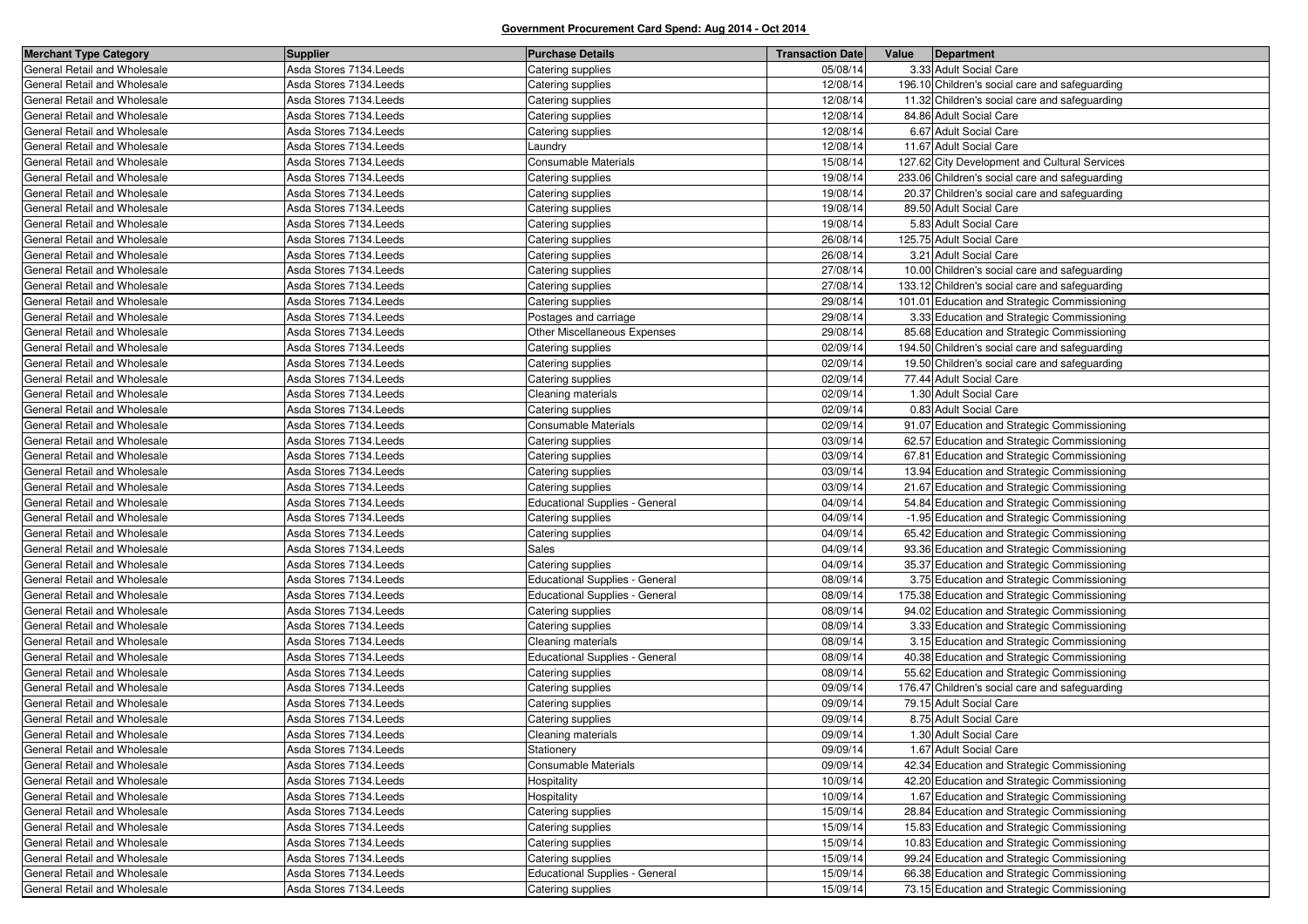| <b>Merchant Type Category</b> | <b>Supplier</b>         | <b>Purchase Details</b>               | <b>Transaction Date</b> | Value | Department                                     |
|-------------------------------|-------------------------|---------------------------------------|-------------------------|-------|------------------------------------------------|
| General Retail and Wholesale  | Asda Stores 7134. Leeds | Catering supplies                     | 05/08/14                |       | 3.33 Adult Social Care                         |
| General Retail and Wholesale  | Asda Stores 7134. Leeds | Catering supplies                     | 12/08/14                |       | 196.10 Children's social care and safeguarding |
| General Retail and Wholesale  | Asda Stores 7134. Leeds | Catering supplies                     | 12/08/14                |       | 11.32 Children's social care and safeguarding  |
| General Retail and Wholesale  | Asda Stores 7134. Leeds | Catering supplies                     | 12/08/14                |       | 84.86 Adult Social Care                        |
| General Retail and Wholesale  | Asda Stores 7134. Leeds | Catering supplies                     | 12/08/14                |       | 6.67 Adult Social Care                         |
| General Retail and Wholesale  | Asda Stores 7134. Leeds | _aundry                               | 12/08/14                |       | 11.67 Adult Social Care                        |
| General Retail and Wholesale  | Asda Stores 7134. Leeds | Consumable Materials                  | 15/08/14                |       | 127.62 City Development and Cultural Services  |
| General Retail and Wholesale  | Asda Stores 7134. Leeds | Catering supplies                     | 19/08/14                |       | 233.06 Children's social care and safeguarding |
| General Retail and Wholesale  | Asda Stores 7134. Leeds | Catering supplies                     | 19/08/14                |       | 20.37 Children's social care and safeguarding  |
| General Retail and Wholesale  | Asda Stores 7134. Leeds | Catering supplies                     | 19/08/14                |       | 89.50 Adult Social Care                        |
| General Retail and Wholesale  | Asda Stores 7134. Leeds | Catering supplies                     | 19/08/14                |       | 5.83 Adult Social Care                         |
| General Retail and Wholesale  | Asda Stores 7134. Leeds | Catering supplies                     | 26/08/14                |       | 125.75 Adult Social Care                       |
| General Retail and Wholesale  | Asda Stores 7134. Leeds | Catering supplies                     | 26/08/14                |       | 3.21 Adult Social Care                         |
| General Retail and Wholesale  | Asda Stores 7134. Leeds | Catering supplies                     | 27/08/14                |       | 10.00 Children's social care and safeguarding  |
| General Retail and Wholesale  | Asda Stores 7134. Leeds | Catering supplies                     | 27/08/14                |       | 133.12 Children's social care and safeguarding |
| General Retail and Wholesale  | Asda Stores 7134. Leeds | Catering supplies                     | 29/08/14                |       | 101.01 Education and Strategic Commissioning   |
| General Retail and Wholesale  | Asda Stores 7134. Leeds | Postages and carriage                 | 29/08/14                |       | 3.33 Education and Strategic Commissioning     |
| General Retail and Wholesale  | Asda Stores 7134. Leeds | Other Miscellaneous Expenses          | 29/08/14                |       | 85.68 Education and Strategic Commissioning    |
| General Retail and Wholesale  | Asda Stores 7134. Leeds | Catering supplies                     | 02/09/14                |       | 194.50 Children's social care and safeguarding |
| General Retail and Wholesale  | Asda Stores 7134. Leeds | Catering supplies                     | 02/09/14                |       | 19.50 Children's social care and safeguarding  |
| General Retail and Wholesale  | Asda Stores 7134. Leeds | Catering supplies                     | 02/09/14                |       | 77.44 Adult Social Care                        |
| General Retail and Wholesale  | Asda Stores 7134. Leeds | Cleaning materials                    | 02/09/14                |       | 1.30 Adult Social Care                         |
| General Retail and Wholesale  | Asda Stores 7134. Leeds | Catering supplies                     | 02/09/14                |       | 0.83 Adult Social Care                         |
| General Retail and Wholesale  | Asda Stores 7134. Leeds | Consumable Materials                  | 02/09/14                |       | 91.07 Education and Strategic Commissioning    |
| General Retail and Wholesale  | Asda Stores 7134. Leeds | Catering supplies                     | 03/09/14                |       | 62.57 Education and Strategic Commissioning    |
| General Retail and Wholesale  | Asda Stores 7134. Leeds | Catering supplies                     | 03/09/14                |       | 67.81 Education and Strategic Commissioning    |
| General Retail and Wholesale  | Asda Stores 7134. Leeds | Catering supplies                     | 03/09/14                |       | 13.94 Education and Strategic Commissioning    |
| General Retail and Wholesale  | Asda Stores 7134. Leeds | Catering supplies                     | 03/09/14                |       | 21.67 Education and Strategic Commissioning    |
| General Retail and Wholesale  | Asda Stores 7134. Leeds | <b>Educational Supplies - General</b> | 04/09/14                |       | 54.84 Education and Strategic Commissioning    |
| General Retail and Wholesale  | Asda Stores 7134. Leeds | Catering supplies                     | 04/09/14                |       | -1.95 Education and Strategic Commissioning    |
| General Retail and Wholesale  | Asda Stores 7134. Leeds | Catering supplies                     | 04/09/14                |       | 65.42 Education and Strategic Commissioning    |
| General Retail and Wholesale  | Asda Stores 7134. Leeds | Sales                                 | 04/09/14                |       | 93.36 Education and Strategic Commissioning    |
| General Retail and Wholesale  | Asda Stores 7134. Leeds | Catering supplies                     | 04/09/14                |       | 35.37 Education and Strategic Commissioning    |
| General Retail and Wholesale  | Asda Stores 7134. Leeds | Educational Supplies - General        | 08/09/14                |       | 3.75 Education and Strategic Commissioning     |
| General Retail and Wholesale  | Asda Stores 7134. Leeds | <b>Educational Supplies - General</b> | 08/09/14                |       | 175.38 Education and Strategic Commissioning   |
| General Retail and Wholesale  | Asda Stores 7134. Leeds | Catering supplies                     | 08/09/14                |       | 94.02 Education and Strategic Commissioning    |
| General Retail and Wholesale  | Asda Stores 7134. Leeds | Catering supplies                     | 08/09/14                |       | 3.33 Education and Strategic Commissioning     |
| General Retail and Wholesale  | Asda Stores 7134. Leeds | Cleaning materials                    | 08/09/14                |       | 3.15 Education and Strategic Commissioning     |
| General Retail and Wholesale  | Asda Stores 7134. Leeds | <b>Educational Supplies - General</b> | 08/09/14                |       | 40.38 Education and Strategic Commissioning    |
| General Retail and Wholesale  | Asda Stores 7134. Leeds | Catering supplies                     | 08/09/14                |       | 55.62 Education and Strategic Commissioning    |
| General Retail and Wholesale  | Asda Stores 7134. Leeds | Catering supplies                     | 09/09/14                |       | 176.47 Children's social care and safeguarding |
| General Retail and Wholesale  | Asda Stores 7134. Leeds | Catering supplies                     | 09/09/14                |       | 79.15 Adult Social Care                        |
| General Retail and Wholesale  | Asda Stores 7134. Leeds | Catering supplies                     | 09/09/14                |       | 8.75 Adult Social Care                         |
| General Retail and Wholesale  | Asda Stores 7134. Leeds | Cleaning materials                    | 09/09/14                |       | 1.30 Adult Social Care                         |
| General Retail and Wholesale  | Asda Stores 7134. Leeds | Stationery                            | 09/09/14                |       | 1.67 Adult Social Care                         |
| General Retail and Wholesale  | Asda Stores 7134. Leeds | Consumable Materials                  | 09/09/14                |       | 42.34 Education and Strategic Commissioning    |
| General Retail and Wholesale  | Asda Stores 7134. Leeds | Hospitality                           | 10/09/14                |       | 42.20 Education and Strategic Commissioning    |
| General Retail and Wholesale  | Asda Stores 7134. Leeds | Hospitality                           | 10/09/14                |       | 1.67 Education and Strategic Commissioning     |
| General Retail and Wholesale  | Asda Stores 7134. Leeds | Catering supplies                     | 15/09/14                |       | 28.84 Education and Strategic Commissioning    |
| General Retail and Wholesale  | Asda Stores 7134. Leeds | Catering supplies                     | 15/09/14                |       | 15.83 Education and Strategic Commissioning    |
| General Retail and Wholesale  | Asda Stores 7134. Leeds | Catering supplies                     | 15/09/14                |       | 10.83 Education and Strategic Commissioning    |
| General Retail and Wholesale  | Asda Stores 7134. Leeds | Catering supplies                     | 15/09/14                |       | 99.24 Education and Strategic Commissioning    |
| General Retail and Wholesale  | Asda Stores 7134. Leeds | Educational Supplies - General        | 15/09/14                |       | 66.38 Education and Strategic Commissioning    |
| General Retail and Wholesale  | Asda Stores 7134. Leeds | Catering supplies                     | 15/09/14                |       | 73.15 Education and Strategic Commissioning    |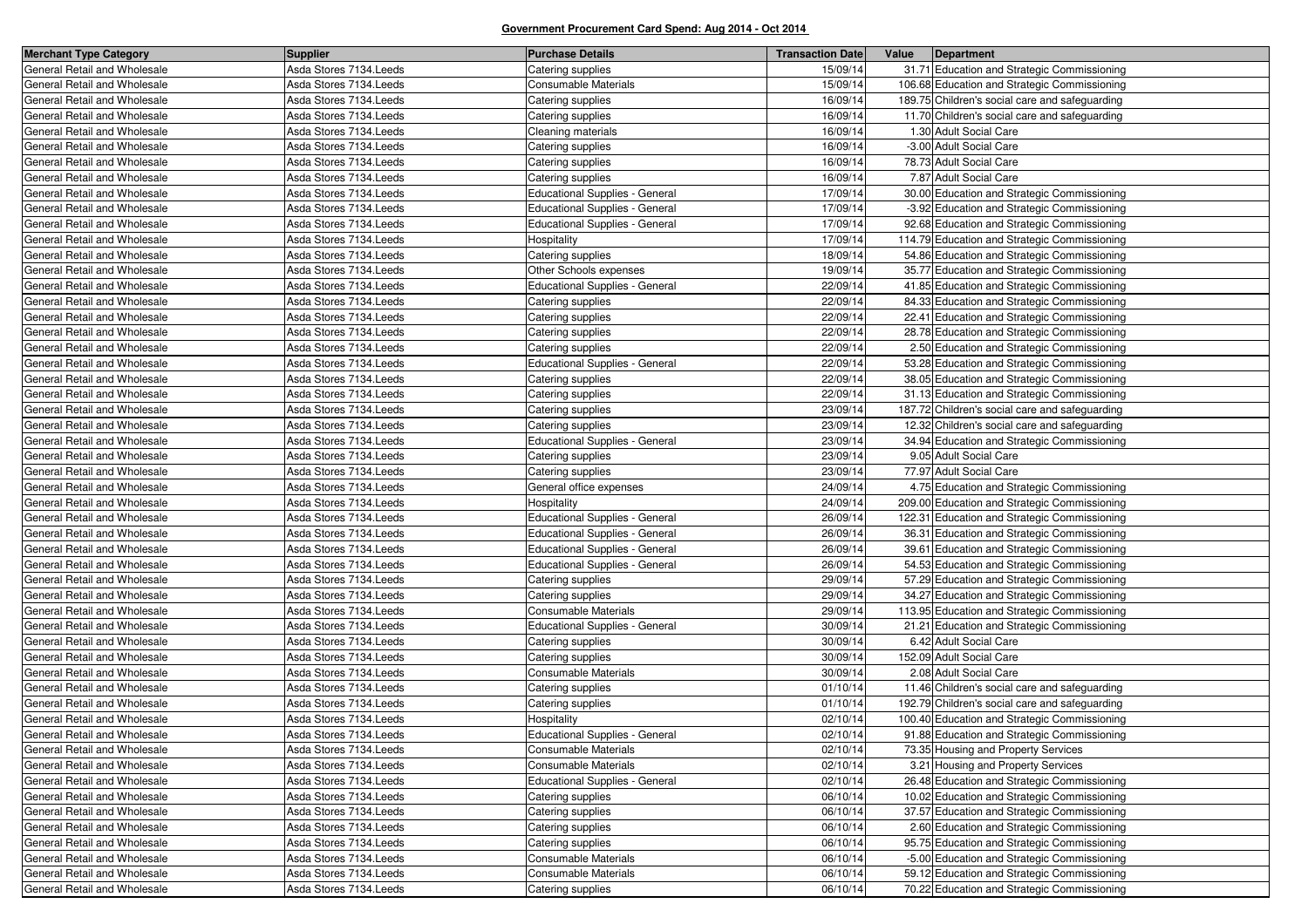| <b>Merchant Type Category</b> | <b>Supplier</b>         | <b>Purchase Details</b>               | <b>Transaction Date</b> | Value | Department                                     |
|-------------------------------|-------------------------|---------------------------------------|-------------------------|-------|------------------------------------------------|
| General Retail and Wholesale  | Asda Stores 7134. Leeds | Catering supplies                     | 15/09/14                |       | 31.71 Education and Strategic Commissioning    |
| General Retail and Wholesale  | Asda Stores 7134. Leeds | Consumable Materials                  | 15/09/14                |       | 106.68 Education and Strategic Commissioning   |
| General Retail and Wholesale  | Asda Stores 7134. Leeds | Catering supplies                     | 16/09/14                |       | 189.75 Children's social care and safeguarding |
| General Retail and Wholesale  | Asda Stores 7134. Leeds | Catering supplies                     | 16/09/14                |       | 11.70 Children's social care and safeguarding  |
| General Retail and Wholesale  | Asda Stores 7134. Leeds | Cleaning materials                    | 16/09/14                |       | 1.30 Adult Social Care                         |
| General Retail and Wholesale  | Asda Stores 7134. Leeds | Catering supplies                     | 16/09/14                |       | -3.00 Adult Social Care                        |
| General Retail and Wholesale  | Asda Stores 7134. Leeds | Catering supplies                     | 16/09/14                |       | 78.73 Adult Social Care                        |
| General Retail and Wholesale  | Asda Stores 7134. Leeds | Catering supplies                     | 16/09/14                |       | 7.87 Adult Social Care                         |
| General Retail and Wholesale  | Asda Stores 7134. Leeds | <b>Educational Supplies - General</b> | 17/09/14                |       | 30.00 Education and Strategic Commissioning    |
| General Retail and Wholesale  | Asda Stores 7134. Leeds | <b>Educational Supplies - General</b> | 17/09/14                |       | -3.92 Education and Strategic Commissioning    |
| General Retail and Wholesale  | Asda Stores 7134. Leeds | <b>Educational Supplies - General</b> | 17/09/14                |       | 92.68 Education and Strategic Commissioning    |
| General Retail and Wholesale  | Asda Stores 7134. Leeds | Hospitality                           | 17/09/14                |       | 114.79 Education and Strategic Commissioning   |
| General Retail and Wholesale  | Asda Stores 7134. Leeds | Catering supplies                     | 18/09/14                |       | 54.86 Education and Strategic Commissioning    |
| General Retail and Wholesale  | Asda Stores 7134. Leeds | Other Schools expenses                | 19/09/14                |       | 35.77 Education and Strategic Commissioning    |
| General Retail and Wholesale  | Asda Stores 7134. Leeds | <b>Educational Supplies - General</b> | 22/09/14                |       | 41.85 Education and Strategic Commissioning    |
| General Retail and Wholesale  | Asda Stores 7134. Leeds | Catering supplies                     | 22/09/14                |       | 84.33 Education and Strategic Commissioning    |
| General Retail and Wholesale  | Asda Stores 7134. Leeds | Catering supplies                     | 22/09/14                |       | 22.41 Education and Strategic Commissioning    |
| General Retail and Wholesale  | Asda Stores 7134. Leeds | Catering supplies                     | 22/09/14                |       | 28.78 Education and Strategic Commissioning    |
| General Retail and Wholesale  | Asda Stores 7134. Leeds | Catering supplies                     | 22/09/14                |       | 2.50 Education and Strategic Commissioning     |
| General Retail and Wholesale  | Asda Stores 7134. Leeds | <b>Educational Supplies - General</b> | 22/09/14                |       | 53.28 Education and Strategic Commissioning    |
| General Retail and Wholesale  | Asda Stores 7134. Leeds | Catering supplies                     | 22/09/14                |       | 38.05 Education and Strategic Commissioning    |
| General Retail and Wholesale  | Asda Stores 7134. Leeds | Catering supplies                     | 22/09/14                |       | 31.13 Education and Strategic Commissioning    |
| General Retail and Wholesale  | Asda Stores 7134. Leeds | Catering supplies                     | 23/09/14                |       | 187.72 Children's social care and safeguarding |
| General Retail and Wholesale  | Asda Stores 7134. Leeds | Catering supplies                     | 23/09/14                |       | 12.32 Children's social care and safeguarding  |
| General Retail and Wholesale  | Asda Stores 7134. Leeds | Educational Supplies - General        | 23/09/14                |       | 34.94 Education and Strategic Commissioning    |
| General Retail and Wholesale  | Asda Stores 7134. Leeds | Catering supplies                     | 23/09/14                |       | 9.05 Adult Social Care                         |
| General Retail and Wholesale  | Asda Stores 7134. Leeds | Catering supplies                     | 23/09/14                |       | 77.97 Adult Social Care                        |
| General Retail and Wholesale  | Asda Stores 7134. Leeds | General office expenses               | 24/09/14                |       | 4.75 Education and Strategic Commissioning     |
| General Retail and Wholesale  | Asda Stores 7134. Leeds | Hospitality                           | 24/09/14                |       | 209.00 Education and Strategic Commissioning   |
| General Retail and Wholesale  | Asda Stores 7134. Leeds | Educational Supplies - General        | 26/09/14                |       | 122.31 Education and Strategic Commissioning   |
| General Retail and Wholesale  | Asda Stores 7134. Leeds | Educational Supplies - General        | 26/09/14                |       | 36.31 Education and Strategic Commissioning    |
| General Retail and Wholesale  | Asda Stores 7134. Leeds | <b>Educational Supplies - General</b> | 26/09/14                |       | 39.61 Education and Strategic Commissioning    |
| General Retail and Wholesale  | Asda Stores 7134. Leeds | Educational Supplies - General        | 26/09/14                |       | 54.53 Education and Strategic Commissioning    |
| General Retail and Wholesale  | Asda Stores 7134. Leeds | Catering supplies                     | 29/09/14                |       | 57.29 Education and Strategic Commissioning    |
| General Retail and Wholesale  | Asda Stores 7134. Leeds | Catering supplies                     | 29/09/14                |       | 34.27 Education and Strategic Commissioning    |
| General Retail and Wholesale  | Asda Stores 7134. Leeds | Consumable Materials                  | 29/09/14                |       | 113.95 Education and Strategic Commissioning   |
| General Retail and Wholesale  | Asda Stores 7134. Leeds | <b>Educational Supplies - General</b> | 30/09/14                |       | 21.21 Education and Strategic Commissioning    |
| General Retail and Wholesale  | Asda Stores 7134. Leeds | Catering supplies                     | 30/09/14                |       | 6.42 Adult Social Care                         |
| General Retail and Wholesale  | Asda Stores 7134. Leeds | Catering supplies                     | 30/09/14                |       | 152.09 Adult Social Care                       |
| General Retail and Wholesale  | Asda Stores 7134. Leeds | Consumable Materials                  | 30/09/14                |       | 2.08 Adult Social Care                         |
| General Retail and Wholesale  | Asda Stores 7134. Leeds | Catering supplies                     | 01/10/14                |       | 11.46 Children's social care and safeguarding  |
| General Retail and Wholesale  | Asda Stores 7134. Leeds | Catering supplies                     | 01/10/14                |       | 192.79 Children's social care and safeguarding |
| General Retail and Wholesale  | Asda Stores 7134. Leeds | Hospitality                           | 02/10/14                |       | 100.40 Education and Strategic Commissioning   |
| General Retail and Wholesale  | Asda Stores 7134. Leeds | Educational Supplies - General        | 02/10/14                |       | 91.88 Education and Strategic Commissioning    |
| General Retail and Wholesale  | Asda Stores 7134. Leeds | Consumable Materials                  | 02/10/14                |       | 73.35 Housing and Property Services            |
| General Retail and Wholesale  | Asda Stores 7134. Leeds | Consumable Materials                  | 02/10/14                |       | 3.21 Housing and Property Services             |
| General Retail and Wholesale  | Asda Stores 7134. Leeds | Educational Supplies - General        | 02/10/14                |       | 26.48 Education and Strategic Commissioning    |
| General Retail and Wholesale  | Asda Stores 7134. Leeds | Catering supplies                     | 06/10/14                |       | 10.02 Education and Strategic Commissioning    |
| General Retail and Wholesale  | Asda Stores 7134. Leeds | Catering supplies                     | 06/10/14                |       | 37.57 Education and Strategic Commissioning    |
| General Retail and Wholesale  | Asda Stores 7134. Leeds | Catering supplies                     | 06/10/14                |       | 2.60 Education and Strategic Commissioning     |
| General Retail and Wholesale  | Asda Stores 7134. Leeds | Catering supplies                     | 06/10/14                |       | 95.75 Education and Strategic Commissioning    |
| General Retail and Wholesale  | Asda Stores 7134. Leeds | Consumable Materials                  | 06/10/14                |       | -5.00 Education and Strategic Commissioning    |
| General Retail and Wholesale  | Asda Stores 7134. Leeds | Consumable Materials                  | 06/10/14                |       | 59.12 Education and Strategic Commissioning    |
| General Retail and Wholesale  | Asda Stores 7134. Leeds | Catering supplies                     | 06/10/14                |       | 70.22 Education and Strategic Commissioning    |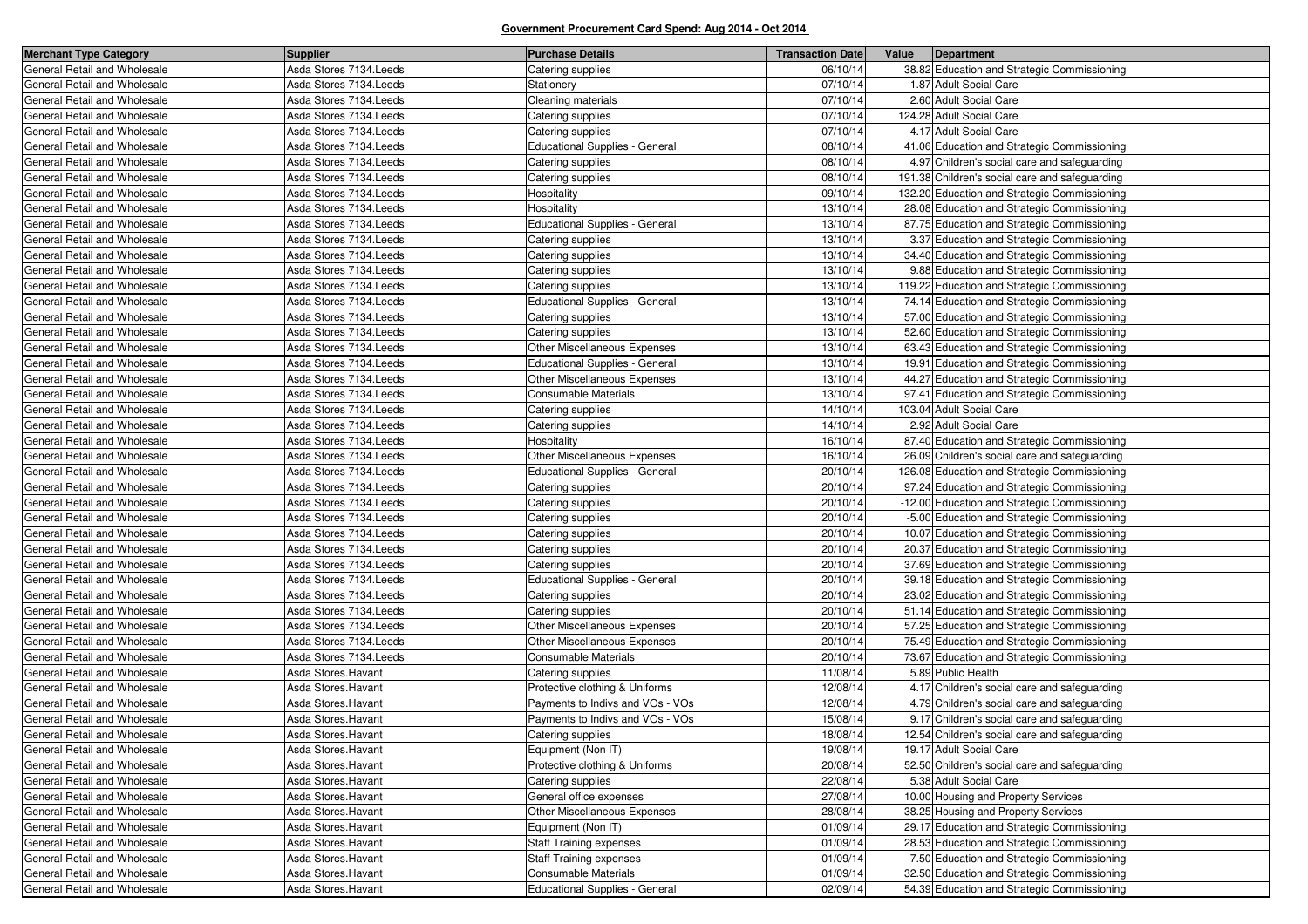| General Retail and Wholesale<br>Asda Stores 7134. Leeds<br>Catering supplies<br>38.82 Education and Strategic Commissioning<br>06/10/14<br>General Retail and Wholesale<br>Asda Stores 7134. Leeds<br>07/10/14<br>1.87 Adult Social Care<br>Stationery<br>07/10/14<br>2.60 Adult Social Care<br>General Retail and Wholesale<br>Asda Stores 7134. Leeds<br>Cleaning materials<br>General Retail and Wholesale<br>124.28 Adult Social Care<br>Asda Stores 7134. Leeds<br>Catering supplies<br>07/10/14<br>4.17 Adult Social Care<br>Asda Stores 7134. Leeds<br>07/10/14<br>General Retail and Wholesale<br>Catering supplies<br>08/10/14<br>General Retail and Wholesale<br>Asda Stores 7134. Leeds<br><b>Educational Supplies - General</b><br>41.06 Education and Strategic Commissioning<br>General Retail and Wholesale<br>Asda Stores 7134. Leeds<br>Catering supplies<br>08/10/14<br>4.97 Children's social care and safeguarding<br>Asda Stores 7134. Leeds<br>08/10/14<br>191.38 Children's social care and safeguarding<br>General Retail and Wholesale<br>Catering supplies<br>09/10/14<br>General Retail and Wholesale<br>Asda Stores 7134. Leeds<br>Hospitality<br>132.20 Education and Strategic Commissioning<br>General Retail and Wholesale<br>Asda Stores 7134. Leeds<br>Hospitality<br>13/10/14<br>28.08 Education and Strategic Commissioning<br><b>Educational Supplies - General</b><br>Asda Stores 7134. Leeds<br>13/10/14<br>87.75 Education and Strategic Commissioning<br>General Retail and Wholesale<br>13/10/14<br>General Retail and Wholesale<br>Asda Stores 7134. Leeds<br>Catering supplies<br>3.37 Education and Strategic Commissioning<br>34.40 Education and Strategic Commissioning<br>General Retail and Wholesale<br>Asda Stores 7134. Leeds<br>Catering supplies<br>13/10/14<br>Asda Stores 7134. Leeds<br>13/10/14<br>9.88 Education and Strategic Commissioning<br>General Retail and Wholesale<br>Catering supplies<br>General Retail and Wholesale<br>13/10/14<br>Asda Stores 7134. Leeds<br>Catering supplies<br>119.22 Education and Strategic Commissioning<br>74.14 Education and Strategic Commissioning<br>General Retail and Wholesale<br>Asda Stores 7134. Leeds<br>Educational Supplies - General<br>13/10/14<br>Asda Stores 7134. Leeds<br>13/10/14<br>57.00 Education and Strategic Commissioning<br>General Retail and Wholesale<br>Catering supplies<br>13/10/14<br>General Retail and Wholesale<br>Asda Stores 7134. Leeds<br>Catering supplies<br>52.60 Education and Strategic Commissioning<br>Other Miscellaneous Expenses<br>General Retail and Wholesale<br>Asda Stores 7134. Leeds<br>13/10/14<br>63.43 Education and Strategic Commissioning<br>Asda Stores 7134. Leeds<br><b>Educational Supplies - General</b><br>13/10/14<br>19.91 Education and Strategic Commissioning<br>General Retail and Wholesale<br>13/10/14<br>General Retail and Wholesale<br>Asda Stores 7134. Leeds<br>Other Miscellaneous Expenses<br>44.27 Education and Strategic Commissioning<br>General Retail and Wholesale<br>Asda Stores 7134. Leeds<br>Consumable Materials<br>13/10/14<br>97.41 Education and Strategic Commissioning<br>Asda Stores 7134. Leeds<br>14/10/14<br>103.04 Adult Social Care<br>General Retail and Wholesale<br>Catering supplies<br>General Retail and Wholesale<br>Asda Stores 7134. Leeds<br>14/10/14<br>2.92 Adult Social Care<br>Catering supplies<br>General Retail and Wholesale<br>Asda Stores 7134. Leeds<br>Hospitality<br>16/10/14<br>87.40 Education and Strategic Commissioning<br>Asda Stores 7134. Leeds<br>Other Miscellaneous Expenses<br>16/10/14<br>26.09 Children's social care and safeguarding<br>General Retail and Wholesale<br>General Retail and Wholesale<br>20/10/14<br>126.08 Education and Strategic Commissioning<br>Asda Stores 7134. Leeds<br><b>Educational Supplies - General</b><br>Asda Stores 7134. Leeds<br>20/10/14<br>97.24 Education and Strategic Commissioning<br>General Retail and Wholesale<br>Catering supplies<br>Asda Stores 7134. Leeds<br>Catering supplies<br>20/10/14<br>-12.00 Education and Strategic Commissioning<br>General Retail and Wholesale<br>General Retail and Wholesale<br>20/10/14<br>-5.00 Education and Strategic Commissioning<br>Asda Stores 7134. Leeds<br>Catering supplies<br>Asda Stores 7134. Leeds<br>20/10/14<br>10.07 Education and Strategic Commissioning<br>General Retail and Wholesale<br>Catering supplies<br>20.37 Education and Strategic Commissioning<br>Asda Stores 7134. Leeds<br>Catering supplies<br>20/10/14<br>General Retail and Wholesale<br>General Retail and Wholesale<br>20/10/14<br>37.69 Education and Strategic Commissioning<br>Asda Stores 7134. Leeds<br>Catering supplies<br>Asda Stores 7134. Leeds<br>Educational Supplies - General<br>20/10/14<br>39.18 Education and Strategic Commissioning<br>General Retail and Wholesale<br>General Retail and Wholesale<br>Asda Stores 7134. Leeds<br>Catering supplies<br>20/10/14<br>23.02 Education and Strategic Commissioning<br>General Retail and Wholesale<br>Asda Stores 7134. Leeds<br>Catering supplies<br>20/10/14<br>51.14 Education and Strategic Commissioning<br>Other Miscellaneous Expenses<br>20/10/14<br>57.25 Education and Strategic Commissioning<br>General Retail and Wholesale<br>Asda Stores 7134. Leeds<br>Other Miscellaneous Expenses<br>75.49 Education and Strategic Commissioning<br>General Retail and Wholesale<br>Asda Stores 7134. Leeds<br>20/10/14<br>General Retail and Wholesale<br>Consumable Materials<br>73.67 Education and Strategic Commissioning<br>Asda Stores 7134. Leeds<br>20/10/14<br>5.89 Public Health<br>Asda Stores. Havant<br>Catering supplies<br>11/08/14<br>General Retail and Wholesale<br>12/08/14<br>General Retail and Wholesale<br>Asda Stores. Havant<br>Protective clothing & Uniforms<br>4.17 Children's social care and safeguarding<br>General Retail and Wholesale<br>Asda Stores. Havant<br>Payments to Indivs and VOs - VOs<br>12/08/14<br>4.79 Children's social care and safeguarding<br>Asda Stores. Havant<br>15/08/14<br>9.17 Children's social care and safeguarding<br>General Retail and Wholesale<br>Payments to Indivs and VOs - VOs<br>General Retail and Wholesale<br>Asda Stores. Havant<br>18/08/14<br>12.54 Children's social care and safeguarding<br>Catering supplies<br>General Retail and Wholesale<br>Asda Stores.Havant<br>Equipment (Non IT)<br>19/08/14<br>19.17 Adult Social Care<br>General Retail and Wholesale<br>20/08/14<br>52.50 Children's social care and safeguarding<br>Asda Stores. Havant<br>Protective clothing & Uniforms<br>General Retail and Wholesale<br>22/08/14<br>Asda Stores. Havant<br>Catering supplies<br>5.38 Adult Social Care<br>General Retail and Wholesale<br>Asda Stores. Havant<br>General office expenses<br>27/08/14<br>10.00 Housing and Property Services<br>28/08/14<br>Asda Stores. Havant<br>Other Miscellaneous Expenses<br>38.25 Housing and Property Services<br>General Retail and Wholesale<br>01/09/14<br>29.17 Education and Strategic Commissioning<br>General Retail and Wholesale<br>Asda Stores. Havant<br>Equipment (Non IT)<br>General Retail and Wholesale<br>Asda Stores.Havant<br><b>Staff Training expenses</b><br>01/09/14<br>28.53 Education and Strategic Commissioning<br>General Retail and Wholesale<br>Asda Stores. Havant<br><b>Staff Training expenses</b><br>01/09/14<br>7.50 Education and Strategic Commissioning<br>General Retail and Wholesale<br>32.50 Education and Strategic Commissioning<br>Asda Stores. Havant<br>Consumable Materials<br>01/09/14<br>54.39 Education and Strategic Commissioning<br>02/09/14 | <b>Merchant Type Category</b> | <b>Supplier</b>     | <b>Purchase Details</b>        | <b>Transaction Date</b> | Value | Department |
|-------------------------------------------------------------------------------------------------------------------------------------------------------------------------------------------------------------------------------------------------------------------------------------------------------------------------------------------------------------------------------------------------------------------------------------------------------------------------------------------------------------------------------------------------------------------------------------------------------------------------------------------------------------------------------------------------------------------------------------------------------------------------------------------------------------------------------------------------------------------------------------------------------------------------------------------------------------------------------------------------------------------------------------------------------------------------------------------------------------------------------------------------------------------------------------------------------------------------------------------------------------------------------------------------------------------------------------------------------------------------------------------------------------------------------------------------------------------------------------------------------------------------------------------------------------------------------------------------------------------------------------------------------------------------------------------------------------------------------------------------------------------------------------------------------------------------------------------------------------------------------------------------------------------------------------------------------------------------------------------------------------------------------------------------------------------------------------------------------------------------------------------------------------------------------------------------------------------------------------------------------------------------------------------------------------------------------------------------------------------------------------------------------------------------------------------------------------------------------------------------------------------------------------------------------------------------------------------------------------------------------------------------------------------------------------------------------------------------------------------------------------------------------------------------------------------------------------------------------------------------------------------------------------------------------------------------------------------------------------------------------------------------------------------------------------------------------------------------------------------------------------------------------------------------------------------------------------------------------------------------------------------------------------------------------------------------------------------------------------------------------------------------------------------------------------------------------------------------------------------------------------------------------------------------------------------------------------------------------------------------------------------------------------------------------------------------------------------------------------------------------------------------------------------------------------------------------------------------------------------------------------------------------------------------------------------------------------------------------------------------------------------------------------------------------------------------------------------------------------------------------------------------------------------------------------------------------------------------------------------------------------------------------------------------------------------------------------------------------------------------------------------------------------------------------------------------------------------------------------------------------------------------------------------------------------------------------------------------------------------------------------------------------------------------------------------------------------------------------------------------------------------------------------------------------------------------------------------------------------------------------------------------------------------------------------------------------------------------------------------------------------------------------------------------------------------------------------------------------------------------------------------------------------------------------------------------------------------------------------------------------------------------------------------------------------------------------------------------------------------------------------------------------------------------------------------------------------------------------------------------------------------------------------------------------------------------------------------------------------------------------------------------------------------------------------------------------------------------------------------------------------------------------------------------------------------------------------------------------------------------------------------------------------------------------------------------------------------------------------------------------------------------------------------------------------------------------------------------------------------------------------------------------------------------------------------------------------------------------------------------------------------------------------------------------------------------------------------------------------------------------------------------------------------------------------------------------------------------------------------------------------------------------------------------------------------------------------------------------------------------------------------------------------------------------------------------------------------------------------------------------------------------------------------------------------------------------------------------------------------------------------------------------------------------------------------------------------------------------------------------------------------------------------------------------------------------------------------------------------------------------------------------------------------------------------------------------------------------------------------------------------------------------------------------------------------------------------------------------------------------------------------------------------------------------------------------------------------------------------------------------------------------------------------------------------------------------------------------------------------------------------------------------------------------------------------------------------------------------|-------------------------------|---------------------|--------------------------------|-------------------------|-------|------------|
|                                                                                                                                                                                                                                                                                                                                                                                                                                                                                                                                                                                                                                                                                                                                                                                                                                                                                                                                                                                                                                                                                                                                                                                                                                                                                                                                                                                                                                                                                                                                                                                                                                                                                                                                                                                                                                                                                                                                                                                                                                                                                                                                                                                                                                                                                                                                                                                                                                                                                                                                                                                                                                                                                                                                                                                                                                                                                                                                                                                                                                                                                                                                                                                                                                                                                                                                                                                                                                                                                                                                                                                                                                                                                                                                                                                                                                                                                                                                                                                                                                                                                                                                                                                                                                                                                                                                                                                                                                                                                                                                                                                                                                                                                                                                                                                                                                                                                                                                                                                                                                                                                                                                                                                                                                                                                                                                                                                                                                                                                                                                                                                                                                                                                                                                                                                                                                                                                                                                                                                                                                                                                                                                                                                                                                                                                                                                                                                                                                                                                                                                                                                                                                                                                                                                                                                                                                                                                                                                                                                                                                                                                                                                                                                                                                                                                                                                                                                                                                                                                                                                                                                                                                                                                                                               |                               |                     |                                |                         |       |            |
|                                                                                                                                                                                                                                                                                                                                                                                                                                                                                                                                                                                                                                                                                                                                                                                                                                                                                                                                                                                                                                                                                                                                                                                                                                                                                                                                                                                                                                                                                                                                                                                                                                                                                                                                                                                                                                                                                                                                                                                                                                                                                                                                                                                                                                                                                                                                                                                                                                                                                                                                                                                                                                                                                                                                                                                                                                                                                                                                                                                                                                                                                                                                                                                                                                                                                                                                                                                                                                                                                                                                                                                                                                                                                                                                                                                                                                                                                                                                                                                                                                                                                                                                                                                                                                                                                                                                                                                                                                                                                                                                                                                                                                                                                                                                                                                                                                                                                                                                                                                                                                                                                                                                                                                                                                                                                                                                                                                                                                                                                                                                                                                                                                                                                                                                                                                                                                                                                                                                                                                                                                                                                                                                                                                                                                                                                                                                                                                                                                                                                                                                                                                                                                                                                                                                                                                                                                                                                                                                                                                                                                                                                                                                                                                                                                                                                                                                                                                                                                                                                                                                                                                                                                                                                                                               |                               |                     |                                |                         |       |            |
|                                                                                                                                                                                                                                                                                                                                                                                                                                                                                                                                                                                                                                                                                                                                                                                                                                                                                                                                                                                                                                                                                                                                                                                                                                                                                                                                                                                                                                                                                                                                                                                                                                                                                                                                                                                                                                                                                                                                                                                                                                                                                                                                                                                                                                                                                                                                                                                                                                                                                                                                                                                                                                                                                                                                                                                                                                                                                                                                                                                                                                                                                                                                                                                                                                                                                                                                                                                                                                                                                                                                                                                                                                                                                                                                                                                                                                                                                                                                                                                                                                                                                                                                                                                                                                                                                                                                                                                                                                                                                                                                                                                                                                                                                                                                                                                                                                                                                                                                                                                                                                                                                                                                                                                                                                                                                                                                                                                                                                                                                                                                                                                                                                                                                                                                                                                                                                                                                                                                                                                                                                                                                                                                                                                                                                                                                                                                                                                                                                                                                                                                                                                                                                                                                                                                                                                                                                                                                                                                                                                                                                                                                                                                                                                                                                                                                                                                                                                                                                                                                                                                                                                                                                                                                                                               |                               |                     |                                |                         |       |            |
|                                                                                                                                                                                                                                                                                                                                                                                                                                                                                                                                                                                                                                                                                                                                                                                                                                                                                                                                                                                                                                                                                                                                                                                                                                                                                                                                                                                                                                                                                                                                                                                                                                                                                                                                                                                                                                                                                                                                                                                                                                                                                                                                                                                                                                                                                                                                                                                                                                                                                                                                                                                                                                                                                                                                                                                                                                                                                                                                                                                                                                                                                                                                                                                                                                                                                                                                                                                                                                                                                                                                                                                                                                                                                                                                                                                                                                                                                                                                                                                                                                                                                                                                                                                                                                                                                                                                                                                                                                                                                                                                                                                                                                                                                                                                                                                                                                                                                                                                                                                                                                                                                                                                                                                                                                                                                                                                                                                                                                                                                                                                                                                                                                                                                                                                                                                                                                                                                                                                                                                                                                                                                                                                                                                                                                                                                                                                                                                                                                                                                                                                                                                                                                                                                                                                                                                                                                                                                                                                                                                                                                                                                                                                                                                                                                                                                                                                                                                                                                                                                                                                                                                                                                                                                                                               |                               |                     |                                |                         |       |            |
|                                                                                                                                                                                                                                                                                                                                                                                                                                                                                                                                                                                                                                                                                                                                                                                                                                                                                                                                                                                                                                                                                                                                                                                                                                                                                                                                                                                                                                                                                                                                                                                                                                                                                                                                                                                                                                                                                                                                                                                                                                                                                                                                                                                                                                                                                                                                                                                                                                                                                                                                                                                                                                                                                                                                                                                                                                                                                                                                                                                                                                                                                                                                                                                                                                                                                                                                                                                                                                                                                                                                                                                                                                                                                                                                                                                                                                                                                                                                                                                                                                                                                                                                                                                                                                                                                                                                                                                                                                                                                                                                                                                                                                                                                                                                                                                                                                                                                                                                                                                                                                                                                                                                                                                                                                                                                                                                                                                                                                                                                                                                                                                                                                                                                                                                                                                                                                                                                                                                                                                                                                                                                                                                                                                                                                                                                                                                                                                                                                                                                                                                                                                                                                                                                                                                                                                                                                                                                                                                                                                                                                                                                                                                                                                                                                                                                                                                                                                                                                                                                                                                                                                                                                                                                                                               |                               |                     |                                |                         |       |            |
|                                                                                                                                                                                                                                                                                                                                                                                                                                                                                                                                                                                                                                                                                                                                                                                                                                                                                                                                                                                                                                                                                                                                                                                                                                                                                                                                                                                                                                                                                                                                                                                                                                                                                                                                                                                                                                                                                                                                                                                                                                                                                                                                                                                                                                                                                                                                                                                                                                                                                                                                                                                                                                                                                                                                                                                                                                                                                                                                                                                                                                                                                                                                                                                                                                                                                                                                                                                                                                                                                                                                                                                                                                                                                                                                                                                                                                                                                                                                                                                                                                                                                                                                                                                                                                                                                                                                                                                                                                                                                                                                                                                                                                                                                                                                                                                                                                                                                                                                                                                                                                                                                                                                                                                                                                                                                                                                                                                                                                                                                                                                                                                                                                                                                                                                                                                                                                                                                                                                                                                                                                                                                                                                                                                                                                                                                                                                                                                                                                                                                                                                                                                                                                                                                                                                                                                                                                                                                                                                                                                                                                                                                                                                                                                                                                                                                                                                                                                                                                                                                                                                                                                                                                                                                                                               |                               |                     |                                |                         |       |            |
|                                                                                                                                                                                                                                                                                                                                                                                                                                                                                                                                                                                                                                                                                                                                                                                                                                                                                                                                                                                                                                                                                                                                                                                                                                                                                                                                                                                                                                                                                                                                                                                                                                                                                                                                                                                                                                                                                                                                                                                                                                                                                                                                                                                                                                                                                                                                                                                                                                                                                                                                                                                                                                                                                                                                                                                                                                                                                                                                                                                                                                                                                                                                                                                                                                                                                                                                                                                                                                                                                                                                                                                                                                                                                                                                                                                                                                                                                                                                                                                                                                                                                                                                                                                                                                                                                                                                                                                                                                                                                                                                                                                                                                                                                                                                                                                                                                                                                                                                                                                                                                                                                                                                                                                                                                                                                                                                                                                                                                                                                                                                                                                                                                                                                                                                                                                                                                                                                                                                                                                                                                                                                                                                                                                                                                                                                                                                                                                                                                                                                                                                                                                                                                                                                                                                                                                                                                                                                                                                                                                                                                                                                                                                                                                                                                                                                                                                                                                                                                                                                                                                                                                                                                                                                                                               |                               |                     |                                |                         |       |            |
|                                                                                                                                                                                                                                                                                                                                                                                                                                                                                                                                                                                                                                                                                                                                                                                                                                                                                                                                                                                                                                                                                                                                                                                                                                                                                                                                                                                                                                                                                                                                                                                                                                                                                                                                                                                                                                                                                                                                                                                                                                                                                                                                                                                                                                                                                                                                                                                                                                                                                                                                                                                                                                                                                                                                                                                                                                                                                                                                                                                                                                                                                                                                                                                                                                                                                                                                                                                                                                                                                                                                                                                                                                                                                                                                                                                                                                                                                                                                                                                                                                                                                                                                                                                                                                                                                                                                                                                                                                                                                                                                                                                                                                                                                                                                                                                                                                                                                                                                                                                                                                                                                                                                                                                                                                                                                                                                                                                                                                                                                                                                                                                                                                                                                                                                                                                                                                                                                                                                                                                                                                                                                                                                                                                                                                                                                                                                                                                                                                                                                                                                                                                                                                                                                                                                                                                                                                                                                                                                                                                                                                                                                                                                                                                                                                                                                                                                                                                                                                                                                                                                                                                                                                                                                                                               |                               |                     |                                |                         |       |            |
|                                                                                                                                                                                                                                                                                                                                                                                                                                                                                                                                                                                                                                                                                                                                                                                                                                                                                                                                                                                                                                                                                                                                                                                                                                                                                                                                                                                                                                                                                                                                                                                                                                                                                                                                                                                                                                                                                                                                                                                                                                                                                                                                                                                                                                                                                                                                                                                                                                                                                                                                                                                                                                                                                                                                                                                                                                                                                                                                                                                                                                                                                                                                                                                                                                                                                                                                                                                                                                                                                                                                                                                                                                                                                                                                                                                                                                                                                                                                                                                                                                                                                                                                                                                                                                                                                                                                                                                                                                                                                                                                                                                                                                                                                                                                                                                                                                                                                                                                                                                                                                                                                                                                                                                                                                                                                                                                                                                                                                                                                                                                                                                                                                                                                                                                                                                                                                                                                                                                                                                                                                                                                                                                                                                                                                                                                                                                                                                                                                                                                                                                                                                                                                                                                                                                                                                                                                                                                                                                                                                                                                                                                                                                                                                                                                                                                                                                                                                                                                                                                                                                                                                                                                                                                                                               |                               |                     |                                |                         |       |            |
|                                                                                                                                                                                                                                                                                                                                                                                                                                                                                                                                                                                                                                                                                                                                                                                                                                                                                                                                                                                                                                                                                                                                                                                                                                                                                                                                                                                                                                                                                                                                                                                                                                                                                                                                                                                                                                                                                                                                                                                                                                                                                                                                                                                                                                                                                                                                                                                                                                                                                                                                                                                                                                                                                                                                                                                                                                                                                                                                                                                                                                                                                                                                                                                                                                                                                                                                                                                                                                                                                                                                                                                                                                                                                                                                                                                                                                                                                                                                                                                                                                                                                                                                                                                                                                                                                                                                                                                                                                                                                                                                                                                                                                                                                                                                                                                                                                                                                                                                                                                                                                                                                                                                                                                                                                                                                                                                                                                                                                                                                                                                                                                                                                                                                                                                                                                                                                                                                                                                                                                                                                                                                                                                                                                                                                                                                                                                                                                                                                                                                                                                                                                                                                                                                                                                                                                                                                                                                                                                                                                                                                                                                                                                                                                                                                                                                                                                                                                                                                                                                                                                                                                                                                                                                                                               |                               |                     |                                |                         |       |            |
|                                                                                                                                                                                                                                                                                                                                                                                                                                                                                                                                                                                                                                                                                                                                                                                                                                                                                                                                                                                                                                                                                                                                                                                                                                                                                                                                                                                                                                                                                                                                                                                                                                                                                                                                                                                                                                                                                                                                                                                                                                                                                                                                                                                                                                                                                                                                                                                                                                                                                                                                                                                                                                                                                                                                                                                                                                                                                                                                                                                                                                                                                                                                                                                                                                                                                                                                                                                                                                                                                                                                                                                                                                                                                                                                                                                                                                                                                                                                                                                                                                                                                                                                                                                                                                                                                                                                                                                                                                                                                                                                                                                                                                                                                                                                                                                                                                                                                                                                                                                                                                                                                                                                                                                                                                                                                                                                                                                                                                                                                                                                                                                                                                                                                                                                                                                                                                                                                                                                                                                                                                                                                                                                                                                                                                                                                                                                                                                                                                                                                                                                                                                                                                                                                                                                                                                                                                                                                                                                                                                                                                                                                                                                                                                                                                                                                                                                                                                                                                                                                                                                                                                                                                                                                                                               |                               |                     |                                |                         |       |            |
|                                                                                                                                                                                                                                                                                                                                                                                                                                                                                                                                                                                                                                                                                                                                                                                                                                                                                                                                                                                                                                                                                                                                                                                                                                                                                                                                                                                                                                                                                                                                                                                                                                                                                                                                                                                                                                                                                                                                                                                                                                                                                                                                                                                                                                                                                                                                                                                                                                                                                                                                                                                                                                                                                                                                                                                                                                                                                                                                                                                                                                                                                                                                                                                                                                                                                                                                                                                                                                                                                                                                                                                                                                                                                                                                                                                                                                                                                                                                                                                                                                                                                                                                                                                                                                                                                                                                                                                                                                                                                                                                                                                                                                                                                                                                                                                                                                                                                                                                                                                                                                                                                                                                                                                                                                                                                                                                                                                                                                                                                                                                                                                                                                                                                                                                                                                                                                                                                                                                                                                                                                                                                                                                                                                                                                                                                                                                                                                                                                                                                                                                                                                                                                                                                                                                                                                                                                                                                                                                                                                                                                                                                                                                                                                                                                                                                                                                                                                                                                                                                                                                                                                                                                                                                                                               |                               |                     |                                |                         |       |            |
|                                                                                                                                                                                                                                                                                                                                                                                                                                                                                                                                                                                                                                                                                                                                                                                                                                                                                                                                                                                                                                                                                                                                                                                                                                                                                                                                                                                                                                                                                                                                                                                                                                                                                                                                                                                                                                                                                                                                                                                                                                                                                                                                                                                                                                                                                                                                                                                                                                                                                                                                                                                                                                                                                                                                                                                                                                                                                                                                                                                                                                                                                                                                                                                                                                                                                                                                                                                                                                                                                                                                                                                                                                                                                                                                                                                                                                                                                                                                                                                                                                                                                                                                                                                                                                                                                                                                                                                                                                                                                                                                                                                                                                                                                                                                                                                                                                                                                                                                                                                                                                                                                                                                                                                                                                                                                                                                                                                                                                                                                                                                                                                                                                                                                                                                                                                                                                                                                                                                                                                                                                                                                                                                                                                                                                                                                                                                                                                                                                                                                                                                                                                                                                                                                                                                                                                                                                                                                                                                                                                                                                                                                                                                                                                                                                                                                                                                                                                                                                                                                                                                                                                                                                                                                                                               |                               |                     |                                |                         |       |            |
|                                                                                                                                                                                                                                                                                                                                                                                                                                                                                                                                                                                                                                                                                                                                                                                                                                                                                                                                                                                                                                                                                                                                                                                                                                                                                                                                                                                                                                                                                                                                                                                                                                                                                                                                                                                                                                                                                                                                                                                                                                                                                                                                                                                                                                                                                                                                                                                                                                                                                                                                                                                                                                                                                                                                                                                                                                                                                                                                                                                                                                                                                                                                                                                                                                                                                                                                                                                                                                                                                                                                                                                                                                                                                                                                                                                                                                                                                                                                                                                                                                                                                                                                                                                                                                                                                                                                                                                                                                                                                                                                                                                                                                                                                                                                                                                                                                                                                                                                                                                                                                                                                                                                                                                                                                                                                                                                                                                                                                                                                                                                                                                                                                                                                                                                                                                                                                                                                                                                                                                                                                                                                                                                                                                                                                                                                                                                                                                                                                                                                                                                                                                                                                                                                                                                                                                                                                                                                                                                                                                                                                                                                                                                                                                                                                                                                                                                                                                                                                                                                                                                                                                                                                                                                                                               |                               |                     |                                |                         |       |            |
|                                                                                                                                                                                                                                                                                                                                                                                                                                                                                                                                                                                                                                                                                                                                                                                                                                                                                                                                                                                                                                                                                                                                                                                                                                                                                                                                                                                                                                                                                                                                                                                                                                                                                                                                                                                                                                                                                                                                                                                                                                                                                                                                                                                                                                                                                                                                                                                                                                                                                                                                                                                                                                                                                                                                                                                                                                                                                                                                                                                                                                                                                                                                                                                                                                                                                                                                                                                                                                                                                                                                                                                                                                                                                                                                                                                                                                                                                                                                                                                                                                                                                                                                                                                                                                                                                                                                                                                                                                                                                                                                                                                                                                                                                                                                                                                                                                                                                                                                                                                                                                                                                                                                                                                                                                                                                                                                                                                                                                                                                                                                                                                                                                                                                                                                                                                                                                                                                                                                                                                                                                                                                                                                                                                                                                                                                                                                                                                                                                                                                                                                                                                                                                                                                                                                                                                                                                                                                                                                                                                                                                                                                                                                                                                                                                                                                                                                                                                                                                                                                                                                                                                                                                                                                                                               |                               |                     |                                |                         |       |            |
|                                                                                                                                                                                                                                                                                                                                                                                                                                                                                                                                                                                                                                                                                                                                                                                                                                                                                                                                                                                                                                                                                                                                                                                                                                                                                                                                                                                                                                                                                                                                                                                                                                                                                                                                                                                                                                                                                                                                                                                                                                                                                                                                                                                                                                                                                                                                                                                                                                                                                                                                                                                                                                                                                                                                                                                                                                                                                                                                                                                                                                                                                                                                                                                                                                                                                                                                                                                                                                                                                                                                                                                                                                                                                                                                                                                                                                                                                                                                                                                                                                                                                                                                                                                                                                                                                                                                                                                                                                                                                                                                                                                                                                                                                                                                                                                                                                                                                                                                                                                                                                                                                                                                                                                                                                                                                                                                                                                                                                                                                                                                                                                                                                                                                                                                                                                                                                                                                                                                                                                                                                                                                                                                                                                                                                                                                                                                                                                                                                                                                                                                                                                                                                                                                                                                                                                                                                                                                                                                                                                                                                                                                                                                                                                                                                                                                                                                                                                                                                                                                                                                                                                                                                                                                                                               |                               |                     |                                |                         |       |            |
|                                                                                                                                                                                                                                                                                                                                                                                                                                                                                                                                                                                                                                                                                                                                                                                                                                                                                                                                                                                                                                                                                                                                                                                                                                                                                                                                                                                                                                                                                                                                                                                                                                                                                                                                                                                                                                                                                                                                                                                                                                                                                                                                                                                                                                                                                                                                                                                                                                                                                                                                                                                                                                                                                                                                                                                                                                                                                                                                                                                                                                                                                                                                                                                                                                                                                                                                                                                                                                                                                                                                                                                                                                                                                                                                                                                                                                                                                                                                                                                                                                                                                                                                                                                                                                                                                                                                                                                                                                                                                                                                                                                                                                                                                                                                                                                                                                                                                                                                                                                                                                                                                                                                                                                                                                                                                                                                                                                                                                                                                                                                                                                                                                                                                                                                                                                                                                                                                                                                                                                                                                                                                                                                                                                                                                                                                                                                                                                                                                                                                                                                                                                                                                                                                                                                                                                                                                                                                                                                                                                                                                                                                                                                                                                                                                                                                                                                                                                                                                                                                                                                                                                                                                                                                                                               |                               |                     |                                |                         |       |            |
|                                                                                                                                                                                                                                                                                                                                                                                                                                                                                                                                                                                                                                                                                                                                                                                                                                                                                                                                                                                                                                                                                                                                                                                                                                                                                                                                                                                                                                                                                                                                                                                                                                                                                                                                                                                                                                                                                                                                                                                                                                                                                                                                                                                                                                                                                                                                                                                                                                                                                                                                                                                                                                                                                                                                                                                                                                                                                                                                                                                                                                                                                                                                                                                                                                                                                                                                                                                                                                                                                                                                                                                                                                                                                                                                                                                                                                                                                                                                                                                                                                                                                                                                                                                                                                                                                                                                                                                                                                                                                                                                                                                                                                                                                                                                                                                                                                                                                                                                                                                                                                                                                                                                                                                                                                                                                                                                                                                                                                                                                                                                                                                                                                                                                                                                                                                                                                                                                                                                                                                                                                                                                                                                                                                                                                                                                                                                                                                                                                                                                                                                                                                                                                                                                                                                                                                                                                                                                                                                                                                                                                                                                                                                                                                                                                                                                                                                                                                                                                                                                                                                                                                                                                                                                                                               |                               |                     |                                |                         |       |            |
|                                                                                                                                                                                                                                                                                                                                                                                                                                                                                                                                                                                                                                                                                                                                                                                                                                                                                                                                                                                                                                                                                                                                                                                                                                                                                                                                                                                                                                                                                                                                                                                                                                                                                                                                                                                                                                                                                                                                                                                                                                                                                                                                                                                                                                                                                                                                                                                                                                                                                                                                                                                                                                                                                                                                                                                                                                                                                                                                                                                                                                                                                                                                                                                                                                                                                                                                                                                                                                                                                                                                                                                                                                                                                                                                                                                                                                                                                                                                                                                                                                                                                                                                                                                                                                                                                                                                                                                                                                                                                                                                                                                                                                                                                                                                                                                                                                                                                                                                                                                                                                                                                                                                                                                                                                                                                                                                                                                                                                                                                                                                                                                                                                                                                                                                                                                                                                                                                                                                                                                                                                                                                                                                                                                                                                                                                                                                                                                                                                                                                                                                                                                                                                                                                                                                                                                                                                                                                                                                                                                                                                                                                                                                                                                                                                                                                                                                                                                                                                                                                                                                                                                                                                                                                                                               |                               |                     |                                |                         |       |            |
|                                                                                                                                                                                                                                                                                                                                                                                                                                                                                                                                                                                                                                                                                                                                                                                                                                                                                                                                                                                                                                                                                                                                                                                                                                                                                                                                                                                                                                                                                                                                                                                                                                                                                                                                                                                                                                                                                                                                                                                                                                                                                                                                                                                                                                                                                                                                                                                                                                                                                                                                                                                                                                                                                                                                                                                                                                                                                                                                                                                                                                                                                                                                                                                                                                                                                                                                                                                                                                                                                                                                                                                                                                                                                                                                                                                                                                                                                                                                                                                                                                                                                                                                                                                                                                                                                                                                                                                                                                                                                                                                                                                                                                                                                                                                                                                                                                                                                                                                                                                                                                                                                                                                                                                                                                                                                                                                                                                                                                                                                                                                                                                                                                                                                                                                                                                                                                                                                                                                                                                                                                                                                                                                                                                                                                                                                                                                                                                                                                                                                                                                                                                                                                                                                                                                                                                                                                                                                                                                                                                                                                                                                                                                                                                                                                                                                                                                                                                                                                                                                                                                                                                                                                                                                                                               |                               |                     |                                |                         |       |            |
|                                                                                                                                                                                                                                                                                                                                                                                                                                                                                                                                                                                                                                                                                                                                                                                                                                                                                                                                                                                                                                                                                                                                                                                                                                                                                                                                                                                                                                                                                                                                                                                                                                                                                                                                                                                                                                                                                                                                                                                                                                                                                                                                                                                                                                                                                                                                                                                                                                                                                                                                                                                                                                                                                                                                                                                                                                                                                                                                                                                                                                                                                                                                                                                                                                                                                                                                                                                                                                                                                                                                                                                                                                                                                                                                                                                                                                                                                                                                                                                                                                                                                                                                                                                                                                                                                                                                                                                                                                                                                                                                                                                                                                                                                                                                                                                                                                                                                                                                                                                                                                                                                                                                                                                                                                                                                                                                                                                                                                                                                                                                                                                                                                                                                                                                                                                                                                                                                                                                                                                                                                                                                                                                                                                                                                                                                                                                                                                                                                                                                                                                                                                                                                                                                                                                                                                                                                                                                                                                                                                                                                                                                                                                                                                                                                                                                                                                                                                                                                                                                                                                                                                                                                                                                                                               |                               |                     |                                |                         |       |            |
|                                                                                                                                                                                                                                                                                                                                                                                                                                                                                                                                                                                                                                                                                                                                                                                                                                                                                                                                                                                                                                                                                                                                                                                                                                                                                                                                                                                                                                                                                                                                                                                                                                                                                                                                                                                                                                                                                                                                                                                                                                                                                                                                                                                                                                                                                                                                                                                                                                                                                                                                                                                                                                                                                                                                                                                                                                                                                                                                                                                                                                                                                                                                                                                                                                                                                                                                                                                                                                                                                                                                                                                                                                                                                                                                                                                                                                                                                                                                                                                                                                                                                                                                                                                                                                                                                                                                                                                                                                                                                                                                                                                                                                                                                                                                                                                                                                                                                                                                                                                                                                                                                                                                                                                                                                                                                                                                                                                                                                                                                                                                                                                                                                                                                                                                                                                                                                                                                                                                                                                                                                                                                                                                                                                                                                                                                                                                                                                                                                                                                                                                                                                                                                                                                                                                                                                                                                                                                                                                                                                                                                                                                                                                                                                                                                                                                                                                                                                                                                                                                                                                                                                                                                                                                                                               |                               |                     |                                |                         |       |            |
|                                                                                                                                                                                                                                                                                                                                                                                                                                                                                                                                                                                                                                                                                                                                                                                                                                                                                                                                                                                                                                                                                                                                                                                                                                                                                                                                                                                                                                                                                                                                                                                                                                                                                                                                                                                                                                                                                                                                                                                                                                                                                                                                                                                                                                                                                                                                                                                                                                                                                                                                                                                                                                                                                                                                                                                                                                                                                                                                                                                                                                                                                                                                                                                                                                                                                                                                                                                                                                                                                                                                                                                                                                                                                                                                                                                                                                                                                                                                                                                                                                                                                                                                                                                                                                                                                                                                                                                                                                                                                                                                                                                                                                                                                                                                                                                                                                                                                                                                                                                                                                                                                                                                                                                                                                                                                                                                                                                                                                                                                                                                                                                                                                                                                                                                                                                                                                                                                                                                                                                                                                                                                                                                                                                                                                                                                                                                                                                                                                                                                                                                                                                                                                                                                                                                                                                                                                                                                                                                                                                                                                                                                                                                                                                                                                                                                                                                                                                                                                                                                                                                                                                                                                                                                                                               |                               |                     |                                |                         |       |            |
|                                                                                                                                                                                                                                                                                                                                                                                                                                                                                                                                                                                                                                                                                                                                                                                                                                                                                                                                                                                                                                                                                                                                                                                                                                                                                                                                                                                                                                                                                                                                                                                                                                                                                                                                                                                                                                                                                                                                                                                                                                                                                                                                                                                                                                                                                                                                                                                                                                                                                                                                                                                                                                                                                                                                                                                                                                                                                                                                                                                                                                                                                                                                                                                                                                                                                                                                                                                                                                                                                                                                                                                                                                                                                                                                                                                                                                                                                                                                                                                                                                                                                                                                                                                                                                                                                                                                                                                                                                                                                                                                                                                                                                                                                                                                                                                                                                                                                                                                                                                                                                                                                                                                                                                                                                                                                                                                                                                                                                                                                                                                                                                                                                                                                                                                                                                                                                                                                                                                                                                                                                                                                                                                                                                                                                                                                                                                                                                                                                                                                                                                                                                                                                                                                                                                                                                                                                                                                                                                                                                                                                                                                                                                                                                                                                                                                                                                                                                                                                                                                                                                                                                                                                                                                                                               |                               |                     |                                |                         |       |            |
|                                                                                                                                                                                                                                                                                                                                                                                                                                                                                                                                                                                                                                                                                                                                                                                                                                                                                                                                                                                                                                                                                                                                                                                                                                                                                                                                                                                                                                                                                                                                                                                                                                                                                                                                                                                                                                                                                                                                                                                                                                                                                                                                                                                                                                                                                                                                                                                                                                                                                                                                                                                                                                                                                                                                                                                                                                                                                                                                                                                                                                                                                                                                                                                                                                                                                                                                                                                                                                                                                                                                                                                                                                                                                                                                                                                                                                                                                                                                                                                                                                                                                                                                                                                                                                                                                                                                                                                                                                                                                                                                                                                                                                                                                                                                                                                                                                                                                                                                                                                                                                                                                                                                                                                                                                                                                                                                                                                                                                                                                                                                                                                                                                                                                                                                                                                                                                                                                                                                                                                                                                                                                                                                                                                                                                                                                                                                                                                                                                                                                                                                                                                                                                                                                                                                                                                                                                                                                                                                                                                                                                                                                                                                                                                                                                                                                                                                                                                                                                                                                                                                                                                                                                                                                                                               |                               |                     |                                |                         |       |            |
|                                                                                                                                                                                                                                                                                                                                                                                                                                                                                                                                                                                                                                                                                                                                                                                                                                                                                                                                                                                                                                                                                                                                                                                                                                                                                                                                                                                                                                                                                                                                                                                                                                                                                                                                                                                                                                                                                                                                                                                                                                                                                                                                                                                                                                                                                                                                                                                                                                                                                                                                                                                                                                                                                                                                                                                                                                                                                                                                                                                                                                                                                                                                                                                                                                                                                                                                                                                                                                                                                                                                                                                                                                                                                                                                                                                                                                                                                                                                                                                                                                                                                                                                                                                                                                                                                                                                                                                                                                                                                                                                                                                                                                                                                                                                                                                                                                                                                                                                                                                                                                                                                                                                                                                                                                                                                                                                                                                                                                                                                                                                                                                                                                                                                                                                                                                                                                                                                                                                                                                                                                                                                                                                                                                                                                                                                                                                                                                                                                                                                                                                                                                                                                                                                                                                                                                                                                                                                                                                                                                                                                                                                                                                                                                                                                                                                                                                                                                                                                                                                                                                                                                                                                                                                                                               |                               |                     |                                |                         |       |            |
|                                                                                                                                                                                                                                                                                                                                                                                                                                                                                                                                                                                                                                                                                                                                                                                                                                                                                                                                                                                                                                                                                                                                                                                                                                                                                                                                                                                                                                                                                                                                                                                                                                                                                                                                                                                                                                                                                                                                                                                                                                                                                                                                                                                                                                                                                                                                                                                                                                                                                                                                                                                                                                                                                                                                                                                                                                                                                                                                                                                                                                                                                                                                                                                                                                                                                                                                                                                                                                                                                                                                                                                                                                                                                                                                                                                                                                                                                                                                                                                                                                                                                                                                                                                                                                                                                                                                                                                                                                                                                                                                                                                                                                                                                                                                                                                                                                                                                                                                                                                                                                                                                                                                                                                                                                                                                                                                                                                                                                                                                                                                                                                                                                                                                                                                                                                                                                                                                                                                                                                                                                                                                                                                                                                                                                                                                                                                                                                                                                                                                                                                                                                                                                                                                                                                                                                                                                                                                                                                                                                                                                                                                                                                                                                                                                                                                                                                                                                                                                                                                                                                                                                                                                                                                                                               |                               |                     |                                |                         |       |            |
|                                                                                                                                                                                                                                                                                                                                                                                                                                                                                                                                                                                                                                                                                                                                                                                                                                                                                                                                                                                                                                                                                                                                                                                                                                                                                                                                                                                                                                                                                                                                                                                                                                                                                                                                                                                                                                                                                                                                                                                                                                                                                                                                                                                                                                                                                                                                                                                                                                                                                                                                                                                                                                                                                                                                                                                                                                                                                                                                                                                                                                                                                                                                                                                                                                                                                                                                                                                                                                                                                                                                                                                                                                                                                                                                                                                                                                                                                                                                                                                                                                                                                                                                                                                                                                                                                                                                                                                                                                                                                                                                                                                                                                                                                                                                                                                                                                                                                                                                                                                                                                                                                                                                                                                                                                                                                                                                                                                                                                                                                                                                                                                                                                                                                                                                                                                                                                                                                                                                                                                                                                                                                                                                                                                                                                                                                                                                                                                                                                                                                                                                                                                                                                                                                                                                                                                                                                                                                                                                                                                                                                                                                                                                                                                                                                                                                                                                                                                                                                                                                                                                                                                                                                                                                                                               |                               |                     |                                |                         |       |            |
|                                                                                                                                                                                                                                                                                                                                                                                                                                                                                                                                                                                                                                                                                                                                                                                                                                                                                                                                                                                                                                                                                                                                                                                                                                                                                                                                                                                                                                                                                                                                                                                                                                                                                                                                                                                                                                                                                                                                                                                                                                                                                                                                                                                                                                                                                                                                                                                                                                                                                                                                                                                                                                                                                                                                                                                                                                                                                                                                                                                                                                                                                                                                                                                                                                                                                                                                                                                                                                                                                                                                                                                                                                                                                                                                                                                                                                                                                                                                                                                                                                                                                                                                                                                                                                                                                                                                                                                                                                                                                                                                                                                                                                                                                                                                                                                                                                                                                                                                                                                                                                                                                                                                                                                                                                                                                                                                                                                                                                                                                                                                                                                                                                                                                                                                                                                                                                                                                                                                                                                                                                                                                                                                                                                                                                                                                                                                                                                                                                                                                                                                                                                                                                                                                                                                                                                                                                                                                                                                                                                                                                                                                                                                                                                                                                                                                                                                                                                                                                                                                                                                                                                                                                                                                                                               |                               |                     |                                |                         |       |            |
|                                                                                                                                                                                                                                                                                                                                                                                                                                                                                                                                                                                                                                                                                                                                                                                                                                                                                                                                                                                                                                                                                                                                                                                                                                                                                                                                                                                                                                                                                                                                                                                                                                                                                                                                                                                                                                                                                                                                                                                                                                                                                                                                                                                                                                                                                                                                                                                                                                                                                                                                                                                                                                                                                                                                                                                                                                                                                                                                                                                                                                                                                                                                                                                                                                                                                                                                                                                                                                                                                                                                                                                                                                                                                                                                                                                                                                                                                                                                                                                                                                                                                                                                                                                                                                                                                                                                                                                                                                                                                                                                                                                                                                                                                                                                                                                                                                                                                                                                                                                                                                                                                                                                                                                                                                                                                                                                                                                                                                                                                                                                                                                                                                                                                                                                                                                                                                                                                                                                                                                                                                                                                                                                                                                                                                                                                                                                                                                                                                                                                                                                                                                                                                                                                                                                                                                                                                                                                                                                                                                                                                                                                                                                                                                                                                                                                                                                                                                                                                                                                                                                                                                                                                                                                                                               |                               |                     |                                |                         |       |            |
|                                                                                                                                                                                                                                                                                                                                                                                                                                                                                                                                                                                                                                                                                                                                                                                                                                                                                                                                                                                                                                                                                                                                                                                                                                                                                                                                                                                                                                                                                                                                                                                                                                                                                                                                                                                                                                                                                                                                                                                                                                                                                                                                                                                                                                                                                                                                                                                                                                                                                                                                                                                                                                                                                                                                                                                                                                                                                                                                                                                                                                                                                                                                                                                                                                                                                                                                                                                                                                                                                                                                                                                                                                                                                                                                                                                                                                                                                                                                                                                                                                                                                                                                                                                                                                                                                                                                                                                                                                                                                                                                                                                                                                                                                                                                                                                                                                                                                                                                                                                                                                                                                                                                                                                                                                                                                                                                                                                                                                                                                                                                                                                                                                                                                                                                                                                                                                                                                                                                                                                                                                                                                                                                                                                                                                                                                                                                                                                                                                                                                                                                                                                                                                                                                                                                                                                                                                                                                                                                                                                                                                                                                                                                                                                                                                                                                                                                                                                                                                                                                                                                                                                                                                                                                                                               |                               |                     |                                |                         |       |            |
|                                                                                                                                                                                                                                                                                                                                                                                                                                                                                                                                                                                                                                                                                                                                                                                                                                                                                                                                                                                                                                                                                                                                                                                                                                                                                                                                                                                                                                                                                                                                                                                                                                                                                                                                                                                                                                                                                                                                                                                                                                                                                                                                                                                                                                                                                                                                                                                                                                                                                                                                                                                                                                                                                                                                                                                                                                                                                                                                                                                                                                                                                                                                                                                                                                                                                                                                                                                                                                                                                                                                                                                                                                                                                                                                                                                                                                                                                                                                                                                                                                                                                                                                                                                                                                                                                                                                                                                                                                                                                                                                                                                                                                                                                                                                                                                                                                                                                                                                                                                                                                                                                                                                                                                                                                                                                                                                                                                                                                                                                                                                                                                                                                                                                                                                                                                                                                                                                                                                                                                                                                                                                                                                                                                                                                                                                                                                                                                                                                                                                                                                                                                                                                                                                                                                                                                                                                                                                                                                                                                                                                                                                                                                                                                                                                                                                                                                                                                                                                                                                                                                                                                                                                                                                                                               |                               |                     |                                |                         |       |            |
|                                                                                                                                                                                                                                                                                                                                                                                                                                                                                                                                                                                                                                                                                                                                                                                                                                                                                                                                                                                                                                                                                                                                                                                                                                                                                                                                                                                                                                                                                                                                                                                                                                                                                                                                                                                                                                                                                                                                                                                                                                                                                                                                                                                                                                                                                                                                                                                                                                                                                                                                                                                                                                                                                                                                                                                                                                                                                                                                                                                                                                                                                                                                                                                                                                                                                                                                                                                                                                                                                                                                                                                                                                                                                                                                                                                                                                                                                                                                                                                                                                                                                                                                                                                                                                                                                                                                                                                                                                                                                                                                                                                                                                                                                                                                                                                                                                                                                                                                                                                                                                                                                                                                                                                                                                                                                                                                                                                                                                                                                                                                                                                                                                                                                                                                                                                                                                                                                                                                                                                                                                                                                                                                                                                                                                                                                                                                                                                                                                                                                                                                                                                                                                                                                                                                                                                                                                                                                                                                                                                                                                                                                                                                                                                                                                                                                                                                                                                                                                                                                                                                                                                                                                                                                                                               |                               |                     |                                |                         |       |            |
|                                                                                                                                                                                                                                                                                                                                                                                                                                                                                                                                                                                                                                                                                                                                                                                                                                                                                                                                                                                                                                                                                                                                                                                                                                                                                                                                                                                                                                                                                                                                                                                                                                                                                                                                                                                                                                                                                                                                                                                                                                                                                                                                                                                                                                                                                                                                                                                                                                                                                                                                                                                                                                                                                                                                                                                                                                                                                                                                                                                                                                                                                                                                                                                                                                                                                                                                                                                                                                                                                                                                                                                                                                                                                                                                                                                                                                                                                                                                                                                                                                                                                                                                                                                                                                                                                                                                                                                                                                                                                                                                                                                                                                                                                                                                                                                                                                                                                                                                                                                                                                                                                                                                                                                                                                                                                                                                                                                                                                                                                                                                                                                                                                                                                                                                                                                                                                                                                                                                                                                                                                                                                                                                                                                                                                                                                                                                                                                                                                                                                                                                                                                                                                                                                                                                                                                                                                                                                                                                                                                                                                                                                                                                                                                                                                                                                                                                                                                                                                                                                                                                                                                                                                                                                                                               |                               |                     |                                |                         |       |            |
|                                                                                                                                                                                                                                                                                                                                                                                                                                                                                                                                                                                                                                                                                                                                                                                                                                                                                                                                                                                                                                                                                                                                                                                                                                                                                                                                                                                                                                                                                                                                                                                                                                                                                                                                                                                                                                                                                                                                                                                                                                                                                                                                                                                                                                                                                                                                                                                                                                                                                                                                                                                                                                                                                                                                                                                                                                                                                                                                                                                                                                                                                                                                                                                                                                                                                                                                                                                                                                                                                                                                                                                                                                                                                                                                                                                                                                                                                                                                                                                                                                                                                                                                                                                                                                                                                                                                                                                                                                                                                                                                                                                                                                                                                                                                                                                                                                                                                                                                                                                                                                                                                                                                                                                                                                                                                                                                                                                                                                                                                                                                                                                                                                                                                                                                                                                                                                                                                                                                                                                                                                                                                                                                                                                                                                                                                                                                                                                                                                                                                                                                                                                                                                                                                                                                                                                                                                                                                                                                                                                                                                                                                                                                                                                                                                                                                                                                                                                                                                                                                                                                                                                                                                                                                                                               |                               |                     |                                |                         |       |            |
|                                                                                                                                                                                                                                                                                                                                                                                                                                                                                                                                                                                                                                                                                                                                                                                                                                                                                                                                                                                                                                                                                                                                                                                                                                                                                                                                                                                                                                                                                                                                                                                                                                                                                                                                                                                                                                                                                                                                                                                                                                                                                                                                                                                                                                                                                                                                                                                                                                                                                                                                                                                                                                                                                                                                                                                                                                                                                                                                                                                                                                                                                                                                                                                                                                                                                                                                                                                                                                                                                                                                                                                                                                                                                                                                                                                                                                                                                                                                                                                                                                                                                                                                                                                                                                                                                                                                                                                                                                                                                                                                                                                                                                                                                                                                                                                                                                                                                                                                                                                                                                                                                                                                                                                                                                                                                                                                                                                                                                                                                                                                                                                                                                                                                                                                                                                                                                                                                                                                                                                                                                                                                                                                                                                                                                                                                                                                                                                                                                                                                                                                                                                                                                                                                                                                                                                                                                                                                                                                                                                                                                                                                                                                                                                                                                                                                                                                                                                                                                                                                                                                                                                                                                                                                                                               |                               |                     |                                |                         |       |            |
|                                                                                                                                                                                                                                                                                                                                                                                                                                                                                                                                                                                                                                                                                                                                                                                                                                                                                                                                                                                                                                                                                                                                                                                                                                                                                                                                                                                                                                                                                                                                                                                                                                                                                                                                                                                                                                                                                                                                                                                                                                                                                                                                                                                                                                                                                                                                                                                                                                                                                                                                                                                                                                                                                                                                                                                                                                                                                                                                                                                                                                                                                                                                                                                                                                                                                                                                                                                                                                                                                                                                                                                                                                                                                                                                                                                                                                                                                                                                                                                                                                                                                                                                                                                                                                                                                                                                                                                                                                                                                                                                                                                                                                                                                                                                                                                                                                                                                                                                                                                                                                                                                                                                                                                                                                                                                                                                                                                                                                                                                                                                                                                                                                                                                                                                                                                                                                                                                                                                                                                                                                                                                                                                                                                                                                                                                                                                                                                                                                                                                                                                                                                                                                                                                                                                                                                                                                                                                                                                                                                                                                                                                                                                                                                                                                                                                                                                                                                                                                                                                                                                                                                                                                                                                                                               |                               |                     |                                |                         |       |            |
|                                                                                                                                                                                                                                                                                                                                                                                                                                                                                                                                                                                                                                                                                                                                                                                                                                                                                                                                                                                                                                                                                                                                                                                                                                                                                                                                                                                                                                                                                                                                                                                                                                                                                                                                                                                                                                                                                                                                                                                                                                                                                                                                                                                                                                                                                                                                                                                                                                                                                                                                                                                                                                                                                                                                                                                                                                                                                                                                                                                                                                                                                                                                                                                                                                                                                                                                                                                                                                                                                                                                                                                                                                                                                                                                                                                                                                                                                                                                                                                                                                                                                                                                                                                                                                                                                                                                                                                                                                                                                                                                                                                                                                                                                                                                                                                                                                                                                                                                                                                                                                                                                                                                                                                                                                                                                                                                                                                                                                                                                                                                                                                                                                                                                                                                                                                                                                                                                                                                                                                                                                                                                                                                                                                                                                                                                                                                                                                                                                                                                                                                                                                                                                                                                                                                                                                                                                                                                                                                                                                                                                                                                                                                                                                                                                                                                                                                                                                                                                                                                                                                                                                                                                                                                                                               |                               |                     |                                |                         |       |            |
|                                                                                                                                                                                                                                                                                                                                                                                                                                                                                                                                                                                                                                                                                                                                                                                                                                                                                                                                                                                                                                                                                                                                                                                                                                                                                                                                                                                                                                                                                                                                                                                                                                                                                                                                                                                                                                                                                                                                                                                                                                                                                                                                                                                                                                                                                                                                                                                                                                                                                                                                                                                                                                                                                                                                                                                                                                                                                                                                                                                                                                                                                                                                                                                                                                                                                                                                                                                                                                                                                                                                                                                                                                                                                                                                                                                                                                                                                                                                                                                                                                                                                                                                                                                                                                                                                                                                                                                                                                                                                                                                                                                                                                                                                                                                                                                                                                                                                                                                                                                                                                                                                                                                                                                                                                                                                                                                                                                                                                                                                                                                                                                                                                                                                                                                                                                                                                                                                                                                                                                                                                                                                                                                                                                                                                                                                                                                                                                                                                                                                                                                                                                                                                                                                                                                                                                                                                                                                                                                                                                                                                                                                                                                                                                                                                                                                                                                                                                                                                                                                                                                                                                                                                                                                                                               |                               |                     |                                |                         |       |            |
|                                                                                                                                                                                                                                                                                                                                                                                                                                                                                                                                                                                                                                                                                                                                                                                                                                                                                                                                                                                                                                                                                                                                                                                                                                                                                                                                                                                                                                                                                                                                                                                                                                                                                                                                                                                                                                                                                                                                                                                                                                                                                                                                                                                                                                                                                                                                                                                                                                                                                                                                                                                                                                                                                                                                                                                                                                                                                                                                                                                                                                                                                                                                                                                                                                                                                                                                                                                                                                                                                                                                                                                                                                                                                                                                                                                                                                                                                                                                                                                                                                                                                                                                                                                                                                                                                                                                                                                                                                                                                                                                                                                                                                                                                                                                                                                                                                                                                                                                                                                                                                                                                                                                                                                                                                                                                                                                                                                                                                                                                                                                                                                                                                                                                                                                                                                                                                                                                                                                                                                                                                                                                                                                                                                                                                                                                                                                                                                                                                                                                                                                                                                                                                                                                                                                                                                                                                                                                                                                                                                                                                                                                                                                                                                                                                                                                                                                                                                                                                                                                                                                                                                                                                                                                                                               |                               |                     |                                |                         |       |            |
|                                                                                                                                                                                                                                                                                                                                                                                                                                                                                                                                                                                                                                                                                                                                                                                                                                                                                                                                                                                                                                                                                                                                                                                                                                                                                                                                                                                                                                                                                                                                                                                                                                                                                                                                                                                                                                                                                                                                                                                                                                                                                                                                                                                                                                                                                                                                                                                                                                                                                                                                                                                                                                                                                                                                                                                                                                                                                                                                                                                                                                                                                                                                                                                                                                                                                                                                                                                                                                                                                                                                                                                                                                                                                                                                                                                                                                                                                                                                                                                                                                                                                                                                                                                                                                                                                                                                                                                                                                                                                                                                                                                                                                                                                                                                                                                                                                                                                                                                                                                                                                                                                                                                                                                                                                                                                                                                                                                                                                                                                                                                                                                                                                                                                                                                                                                                                                                                                                                                                                                                                                                                                                                                                                                                                                                                                                                                                                                                                                                                                                                                                                                                                                                                                                                                                                                                                                                                                                                                                                                                                                                                                                                                                                                                                                                                                                                                                                                                                                                                                                                                                                                                                                                                                                                               |                               |                     |                                |                         |       |            |
|                                                                                                                                                                                                                                                                                                                                                                                                                                                                                                                                                                                                                                                                                                                                                                                                                                                                                                                                                                                                                                                                                                                                                                                                                                                                                                                                                                                                                                                                                                                                                                                                                                                                                                                                                                                                                                                                                                                                                                                                                                                                                                                                                                                                                                                                                                                                                                                                                                                                                                                                                                                                                                                                                                                                                                                                                                                                                                                                                                                                                                                                                                                                                                                                                                                                                                                                                                                                                                                                                                                                                                                                                                                                                                                                                                                                                                                                                                                                                                                                                                                                                                                                                                                                                                                                                                                                                                                                                                                                                                                                                                                                                                                                                                                                                                                                                                                                                                                                                                                                                                                                                                                                                                                                                                                                                                                                                                                                                                                                                                                                                                                                                                                                                                                                                                                                                                                                                                                                                                                                                                                                                                                                                                                                                                                                                                                                                                                                                                                                                                                                                                                                                                                                                                                                                                                                                                                                                                                                                                                                                                                                                                                                                                                                                                                                                                                                                                                                                                                                                                                                                                                                                                                                                                                               |                               |                     |                                |                         |       |            |
|                                                                                                                                                                                                                                                                                                                                                                                                                                                                                                                                                                                                                                                                                                                                                                                                                                                                                                                                                                                                                                                                                                                                                                                                                                                                                                                                                                                                                                                                                                                                                                                                                                                                                                                                                                                                                                                                                                                                                                                                                                                                                                                                                                                                                                                                                                                                                                                                                                                                                                                                                                                                                                                                                                                                                                                                                                                                                                                                                                                                                                                                                                                                                                                                                                                                                                                                                                                                                                                                                                                                                                                                                                                                                                                                                                                                                                                                                                                                                                                                                                                                                                                                                                                                                                                                                                                                                                                                                                                                                                                                                                                                                                                                                                                                                                                                                                                                                                                                                                                                                                                                                                                                                                                                                                                                                                                                                                                                                                                                                                                                                                                                                                                                                                                                                                                                                                                                                                                                                                                                                                                                                                                                                                                                                                                                                                                                                                                                                                                                                                                                                                                                                                                                                                                                                                                                                                                                                                                                                                                                                                                                                                                                                                                                                                                                                                                                                                                                                                                                                                                                                                                                                                                                                                                               |                               |                     |                                |                         |       |            |
|                                                                                                                                                                                                                                                                                                                                                                                                                                                                                                                                                                                                                                                                                                                                                                                                                                                                                                                                                                                                                                                                                                                                                                                                                                                                                                                                                                                                                                                                                                                                                                                                                                                                                                                                                                                                                                                                                                                                                                                                                                                                                                                                                                                                                                                                                                                                                                                                                                                                                                                                                                                                                                                                                                                                                                                                                                                                                                                                                                                                                                                                                                                                                                                                                                                                                                                                                                                                                                                                                                                                                                                                                                                                                                                                                                                                                                                                                                                                                                                                                                                                                                                                                                                                                                                                                                                                                                                                                                                                                                                                                                                                                                                                                                                                                                                                                                                                                                                                                                                                                                                                                                                                                                                                                                                                                                                                                                                                                                                                                                                                                                                                                                                                                                                                                                                                                                                                                                                                                                                                                                                                                                                                                                                                                                                                                                                                                                                                                                                                                                                                                                                                                                                                                                                                                                                                                                                                                                                                                                                                                                                                                                                                                                                                                                                                                                                                                                                                                                                                                                                                                                                                                                                                                                                               |                               |                     |                                |                         |       |            |
|                                                                                                                                                                                                                                                                                                                                                                                                                                                                                                                                                                                                                                                                                                                                                                                                                                                                                                                                                                                                                                                                                                                                                                                                                                                                                                                                                                                                                                                                                                                                                                                                                                                                                                                                                                                                                                                                                                                                                                                                                                                                                                                                                                                                                                                                                                                                                                                                                                                                                                                                                                                                                                                                                                                                                                                                                                                                                                                                                                                                                                                                                                                                                                                                                                                                                                                                                                                                                                                                                                                                                                                                                                                                                                                                                                                                                                                                                                                                                                                                                                                                                                                                                                                                                                                                                                                                                                                                                                                                                                                                                                                                                                                                                                                                                                                                                                                                                                                                                                                                                                                                                                                                                                                                                                                                                                                                                                                                                                                                                                                                                                                                                                                                                                                                                                                                                                                                                                                                                                                                                                                                                                                                                                                                                                                                                                                                                                                                                                                                                                                                                                                                                                                                                                                                                                                                                                                                                                                                                                                                                                                                                                                                                                                                                                                                                                                                                                                                                                                                                                                                                                                                                                                                                                                               |                               |                     |                                |                         |       |            |
|                                                                                                                                                                                                                                                                                                                                                                                                                                                                                                                                                                                                                                                                                                                                                                                                                                                                                                                                                                                                                                                                                                                                                                                                                                                                                                                                                                                                                                                                                                                                                                                                                                                                                                                                                                                                                                                                                                                                                                                                                                                                                                                                                                                                                                                                                                                                                                                                                                                                                                                                                                                                                                                                                                                                                                                                                                                                                                                                                                                                                                                                                                                                                                                                                                                                                                                                                                                                                                                                                                                                                                                                                                                                                                                                                                                                                                                                                                                                                                                                                                                                                                                                                                                                                                                                                                                                                                                                                                                                                                                                                                                                                                                                                                                                                                                                                                                                                                                                                                                                                                                                                                                                                                                                                                                                                                                                                                                                                                                                                                                                                                                                                                                                                                                                                                                                                                                                                                                                                                                                                                                                                                                                                                                                                                                                                                                                                                                                                                                                                                                                                                                                                                                                                                                                                                                                                                                                                                                                                                                                                                                                                                                                                                                                                                                                                                                                                                                                                                                                                                                                                                                                                                                                                                                               |                               |                     |                                |                         |       |            |
|                                                                                                                                                                                                                                                                                                                                                                                                                                                                                                                                                                                                                                                                                                                                                                                                                                                                                                                                                                                                                                                                                                                                                                                                                                                                                                                                                                                                                                                                                                                                                                                                                                                                                                                                                                                                                                                                                                                                                                                                                                                                                                                                                                                                                                                                                                                                                                                                                                                                                                                                                                                                                                                                                                                                                                                                                                                                                                                                                                                                                                                                                                                                                                                                                                                                                                                                                                                                                                                                                                                                                                                                                                                                                                                                                                                                                                                                                                                                                                                                                                                                                                                                                                                                                                                                                                                                                                                                                                                                                                                                                                                                                                                                                                                                                                                                                                                                                                                                                                                                                                                                                                                                                                                                                                                                                                                                                                                                                                                                                                                                                                                                                                                                                                                                                                                                                                                                                                                                                                                                                                                                                                                                                                                                                                                                                                                                                                                                                                                                                                                                                                                                                                                                                                                                                                                                                                                                                                                                                                                                                                                                                                                                                                                                                                                                                                                                                                                                                                                                                                                                                                                                                                                                                                                               |                               |                     |                                |                         |       |            |
|                                                                                                                                                                                                                                                                                                                                                                                                                                                                                                                                                                                                                                                                                                                                                                                                                                                                                                                                                                                                                                                                                                                                                                                                                                                                                                                                                                                                                                                                                                                                                                                                                                                                                                                                                                                                                                                                                                                                                                                                                                                                                                                                                                                                                                                                                                                                                                                                                                                                                                                                                                                                                                                                                                                                                                                                                                                                                                                                                                                                                                                                                                                                                                                                                                                                                                                                                                                                                                                                                                                                                                                                                                                                                                                                                                                                                                                                                                                                                                                                                                                                                                                                                                                                                                                                                                                                                                                                                                                                                                                                                                                                                                                                                                                                                                                                                                                                                                                                                                                                                                                                                                                                                                                                                                                                                                                                                                                                                                                                                                                                                                                                                                                                                                                                                                                                                                                                                                                                                                                                                                                                                                                                                                                                                                                                                                                                                                                                                                                                                                                                                                                                                                                                                                                                                                                                                                                                                                                                                                                                                                                                                                                                                                                                                                                                                                                                                                                                                                                                                                                                                                                                                                                                                                                               |                               |                     |                                |                         |       |            |
|                                                                                                                                                                                                                                                                                                                                                                                                                                                                                                                                                                                                                                                                                                                                                                                                                                                                                                                                                                                                                                                                                                                                                                                                                                                                                                                                                                                                                                                                                                                                                                                                                                                                                                                                                                                                                                                                                                                                                                                                                                                                                                                                                                                                                                                                                                                                                                                                                                                                                                                                                                                                                                                                                                                                                                                                                                                                                                                                                                                                                                                                                                                                                                                                                                                                                                                                                                                                                                                                                                                                                                                                                                                                                                                                                                                                                                                                                                                                                                                                                                                                                                                                                                                                                                                                                                                                                                                                                                                                                                                                                                                                                                                                                                                                                                                                                                                                                                                                                                                                                                                                                                                                                                                                                                                                                                                                                                                                                                                                                                                                                                                                                                                                                                                                                                                                                                                                                                                                                                                                                                                                                                                                                                                                                                                                                                                                                                                                                                                                                                                                                                                                                                                                                                                                                                                                                                                                                                                                                                                                                                                                                                                                                                                                                                                                                                                                                                                                                                                                                                                                                                                                                                                                                                                               |                               |                     |                                |                         |       |            |
|                                                                                                                                                                                                                                                                                                                                                                                                                                                                                                                                                                                                                                                                                                                                                                                                                                                                                                                                                                                                                                                                                                                                                                                                                                                                                                                                                                                                                                                                                                                                                                                                                                                                                                                                                                                                                                                                                                                                                                                                                                                                                                                                                                                                                                                                                                                                                                                                                                                                                                                                                                                                                                                                                                                                                                                                                                                                                                                                                                                                                                                                                                                                                                                                                                                                                                                                                                                                                                                                                                                                                                                                                                                                                                                                                                                                                                                                                                                                                                                                                                                                                                                                                                                                                                                                                                                                                                                                                                                                                                                                                                                                                                                                                                                                                                                                                                                                                                                                                                                                                                                                                                                                                                                                                                                                                                                                                                                                                                                                                                                                                                                                                                                                                                                                                                                                                                                                                                                                                                                                                                                                                                                                                                                                                                                                                                                                                                                                                                                                                                                                                                                                                                                                                                                                                                                                                                                                                                                                                                                                                                                                                                                                                                                                                                                                                                                                                                                                                                                                                                                                                                                                                                                                                                                               |                               |                     |                                |                         |       |            |
|                                                                                                                                                                                                                                                                                                                                                                                                                                                                                                                                                                                                                                                                                                                                                                                                                                                                                                                                                                                                                                                                                                                                                                                                                                                                                                                                                                                                                                                                                                                                                                                                                                                                                                                                                                                                                                                                                                                                                                                                                                                                                                                                                                                                                                                                                                                                                                                                                                                                                                                                                                                                                                                                                                                                                                                                                                                                                                                                                                                                                                                                                                                                                                                                                                                                                                                                                                                                                                                                                                                                                                                                                                                                                                                                                                                                                                                                                                                                                                                                                                                                                                                                                                                                                                                                                                                                                                                                                                                                                                                                                                                                                                                                                                                                                                                                                                                                                                                                                                                                                                                                                                                                                                                                                                                                                                                                                                                                                                                                                                                                                                                                                                                                                                                                                                                                                                                                                                                                                                                                                                                                                                                                                                                                                                                                                                                                                                                                                                                                                                                                                                                                                                                                                                                                                                                                                                                                                                                                                                                                                                                                                                                                                                                                                                                                                                                                                                                                                                                                                                                                                                                                                                                                                                                               |                               |                     |                                |                         |       |            |
|                                                                                                                                                                                                                                                                                                                                                                                                                                                                                                                                                                                                                                                                                                                                                                                                                                                                                                                                                                                                                                                                                                                                                                                                                                                                                                                                                                                                                                                                                                                                                                                                                                                                                                                                                                                                                                                                                                                                                                                                                                                                                                                                                                                                                                                                                                                                                                                                                                                                                                                                                                                                                                                                                                                                                                                                                                                                                                                                                                                                                                                                                                                                                                                                                                                                                                                                                                                                                                                                                                                                                                                                                                                                                                                                                                                                                                                                                                                                                                                                                                                                                                                                                                                                                                                                                                                                                                                                                                                                                                                                                                                                                                                                                                                                                                                                                                                                                                                                                                                                                                                                                                                                                                                                                                                                                                                                                                                                                                                                                                                                                                                                                                                                                                                                                                                                                                                                                                                                                                                                                                                                                                                                                                                                                                                                                                                                                                                                                                                                                                                                                                                                                                                                                                                                                                                                                                                                                                                                                                                                                                                                                                                                                                                                                                                                                                                                                                                                                                                                                                                                                                                                                                                                                                                               |                               |                     |                                |                         |       |            |
|                                                                                                                                                                                                                                                                                                                                                                                                                                                                                                                                                                                                                                                                                                                                                                                                                                                                                                                                                                                                                                                                                                                                                                                                                                                                                                                                                                                                                                                                                                                                                                                                                                                                                                                                                                                                                                                                                                                                                                                                                                                                                                                                                                                                                                                                                                                                                                                                                                                                                                                                                                                                                                                                                                                                                                                                                                                                                                                                                                                                                                                                                                                                                                                                                                                                                                                                                                                                                                                                                                                                                                                                                                                                                                                                                                                                                                                                                                                                                                                                                                                                                                                                                                                                                                                                                                                                                                                                                                                                                                                                                                                                                                                                                                                                                                                                                                                                                                                                                                                                                                                                                                                                                                                                                                                                                                                                                                                                                                                                                                                                                                                                                                                                                                                                                                                                                                                                                                                                                                                                                                                                                                                                                                                                                                                                                                                                                                                                                                                                                                                                                                                                                                                                                                                                                                                                                                                                                                                                                                                                                                                                                                                                                                                                                                                                                                                                                                                                                                                                                                                                                                                                                                                                                                                               |                               |                     |                                |                         |       |            |
|                                                                                                                                                                                                                                                                                                                                                                                                                                                                                                                                                                                                                                                                                                                                                                                                                                                                                                                                                                                                                                                                                                                                                                                                                                                                                                                                                                                                                                                                                                                                                                                                                                                                                                                                                                                                                                                                                                                                                                                                                                                                                                                                                                                                                                                                                                                                                                                                                                                                                                                                                                                                                                                                                                                                                                                                                                                                                                                                                                                                                                                                                                                                                                                                                                                                                                                                                                                                                                                                                                                                                                                                                                                                                                                                                                                                                                                                                                                                                                                                                                                                                                                                                                                                                                                                                                                                                                                                                                                                                                                                                                                                                                                                                                                                                                                                                                                                                                                                                                                                                                                                                                                                                                                                                                                                                                                                                                                                                                                                                                                                                                                                                                                                                                                                                                                                                                                                                                                                                                                                                                                                                                                                                                                                                                                                                                                                                                                                                                                                                                                                                                                                                                                                                                                                                                                                                                                                                                                                                                                                                                                                                                                                                                                                                                                                                                                                                                                                                                                                                                                                                                                                                                                                                                                               | General Retail and Wholesale  | Asda Stores. Havant | Educational Supplies - General |                         |       |            |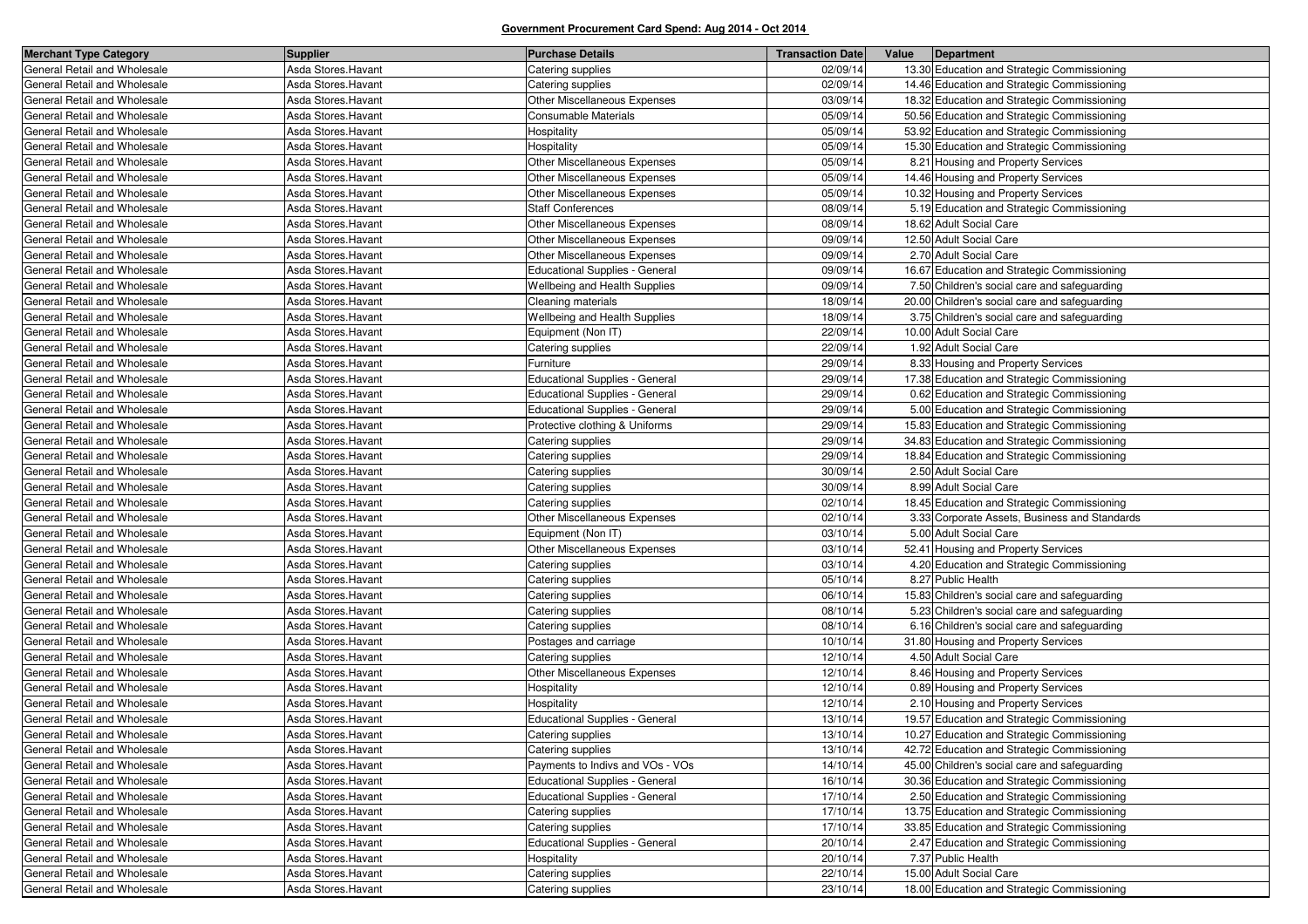| <b>Merchant Type Category</b> | <b>Supplier</b>     | <b>Purchase Details</b>                | <b>Transaction Date</b> | Value | Department                                    |
|-------------------------------|---------------------|----------------------------------------|-------------------------|-------|-----------------------------------------------|
| General Retail and Wholesale  | Asda Stores. Havant | Catering supplies                      | 02/09/14                |       | 13.30 Education and Strategic Commissioning   |
| General Retail and Wholesale  | Asda Stores. Havant | Catering supplies                      | 02/09/14                |       | 14.46 Education and Strategic Commissioning   |
| General Retail and Wholesale  | Asda Stores. Havant | Other Miscellaneous Expenses           | 03/09/14                |       | 18.32 Education and Strategic Commissioning   |
| General Retail and Wholesale  | Asda Stores. Havant | Consumable Materials                   | 05/09/14                |       | 50.56 Education and Strategic Commissioning   |
| General Retail and Wholesale  | Asda Stores. Havant | Hospitality                            | 05/09/14                |       | 53.92 Education and Strategic Commissioning   |
| General Retail and Wholesale  | Asda Stores. Havant | Hospitality                            | 05/09/14                |       | 15.30 Education and Strategic Commissioning   |
| General Retail and Wholesale  | Asda Stores. Havant | Other Miscellaneous Expenses           | 05/09/14                |       | 8.21 Housing and Property Services            |
| General Retail and Wholesale  | Asda Stores. Havant | Other Miscellaneous Expenses           | 05/09/14                |       | 14.46 Housing and Property Services           |
| General Retail and Wholesale  | Asda Stores. Havant | Other Miscellaneous Expenses           | 05/09/14                |       | 10.32 Housing and Property Services           |
| General Retail and Wholesale  | Asda Stores. Havant | <b>Staff Conferences</b>               | 08/09/14                |       | 5.19 Education and Strategic Commissioning    |
| General Retail and Wholesale  | Asda Stores. Havant | <b>Other Miscellaneous Expenses</b>    | 08/09/14                |       | 18.62 Adult Social Care                       |
| General Retail and Wholesale  | Asda Stores. Havant | Other Miscellaneous Expenses           | 09/09/14                |       | 12.50 Adult Social Care                       |
| General Retail and Wholesale  | Asda Stores.Havant  | <b>Other Miscellaneous Expenses</b>    | 09/09/14                |       | 2.70 Adult Social Care                        |
| General Retail and Wholesale  | Asda Stores.Havant  | <b>Educational Supplies - General</b>  | 09/09/14                |       | 16.67 Education and Strategic Commissioning   |
| General Retail and Wholesale  | Asda Stores. Havant | Wellbeing and Health Supplies          | 09/09/14                |       | 7.50 Children's social care and safeguarding  |
| General Retail and Wholesale  | Asda Stores. Havant | Cleaning materials                     | 18/09/14                |       | 20.00 Children's social care and safeguarding |
| General Retail and Wholesale  | Asda Stores. Havant | Wellbeing and Health Supplies          | 18/09/14                |       | 3.75 Children's social care and safeguarding  |
| General Retail and Wholesale  | Asda Stores. Havant | Equipment (Non IT)                     | 22/09/14                |       | 10.00 Adult Social Care                       |
| General Retail and Wholesale  | Asda Stores. Havant | Catering supplies                      | 22/09/14                |       | 1.92 Adult Social Care                        |
| General Retail and Wholesale  | Asda Stores.Havant  | Furniture                              | 29/09/14                |       | 8.33 Housing and Property Services            |
| General Retail and Wholesale  | Asda Stores. Havant | <b>Educational Supplies - General</b>  | 29/09/14                |       | 17.38 Education and Strategic Commissioning   |
| General Retail and Wholesale  | Asda Stores. Havant | <b>Educational Supplies - General</b>  | 29/09/14                |       | 0.62 Education and Strategic Commissioning    |
| General Retail and Wholesale  | Asda Stores. Havant | <b>Educational Supplies - General</b>  | 29/09/14                |       | 5.00 Education and Strategic Commissioning    |
| General Retail and Wholesale  | Asda Stores.Havant  | Protective clothing & Uniforms         | 29/09/14                |       | 15.83 Education and Strategic Commissioning   |
| General Retail and Wholesale  | Asda Stores.Havant  | Catering supplies                      | 29/09/14                |       | 34.83 Education and Strategic Commissioning   |
| General Retail and Wholesale  | Asda Stores. Havant | Catering supplies                      | 29/09/14                |       | 18.84 Education and Strategic Commissioning   |
| General Retail and Wholesale  | Asda Stores. Havant | Catering supplies                      | 30/09/14                |       | 2.50 Adult Social Care                        |
| General Retail and Wholesale  | Asda Stores.Havant  | Catering supplies                      | 30/09/14                |       | 8.99 Adult Social Care                        |
| General Retail and Wholesale  | Asda Stores. Havant | Catering supplies                      | 02/10/14                |       | 18.45 Education and Strategic Commissioning   |
| General Retail and Wholesale  | Asda Stores. Havant | Other Miscellaneous Expenses           | 02/10/14                |       | 3.33 Corporate Assets, Business and Standards |
| General Retail and Wholesale  | Asda Stores.Havant  | Equipment (Non IT)                     | 03/10/14                |       | 5.00 Adult Social Care                        |
| General Retail and Wholesale  | Asda Stores.Havant  | Other Miscellaneous Expenses           | 03/10/14                |       | 52.41 Housing and Property Services           |
| General Retail and Wholesale  | Asda Stores. Havant | Catering supplies                      | 03/10/14                |       | 4.20 Education and Strategic Commissioning    |
| General Retail and Wholesale  | Asda Stores.Havant  | Catering supplies                      | 05/10/14                |       | 8.27 Public Health                            |
| General Retail and Wholesale  | Asda Stores. Havant | Catering supplies                      | 06/10/14                |       | 15.83 Children's social care and safeguarding |
| General Retail and Wholesale  | Asda Stores. Havant | Catering supplies                      | 08/10/14                |       | 5.23 Children's social care and safeguarding  |
| General Retail and Wholesale  | Asda Stores.Havant  | Catering supplies                      | 08/10/14                |       | 6.16 Children's social care and safeguarding  |
| General Retail and Wholesale  | Asda Stores. Havant | Postages and carriage                  | 10/10/14                |       | 31.80 Housing and Property Services           |
| General Retail and Wholesale  | Asda Stores. Havant | Catering supplies                      | 12/10/14                |       | 4.50 Adult Social Care                        |
| General Retail and Wholesale  | Asda Stores. Havant | Other Miscellaneous Expenses           | 12/10/14                |       | 8.46 Housing and Property Services            |
| General Retail and Wholesale  | Asda Stores. Havant | Hospitality                            | 12/10/14                |       | 0.89 Housing and Property Services            |
| General Retail and Wholesale  | Asda Stores.Havant  | Hospitality                            | 12/10/14                |       | 2.10 Housing and Property Services            |
| General Retail and Wholesale  | Asda Stores.Havant  | <b>Educational Supplies - General</b>  | 13/10/14                |       | 19.57 Education and Strategic Commissioning   |
| General Retail and Wholesale  | Asda Stores. Havant | Catering supplies                      | 13/10/14                |       | 10.27 Education and Strategic Commissioning   |
| General Retail and Wholesale  | Asda Stores.Havant  | Catering supplies                      | 13/10/14                |       | 42.72 Education and Strategic Commissioning   |
| General Retail and Wholesale  | Asda Stores.Havant  | Payments to Indivs and VOs - VOs       | 14/10/14                |       | 45.00 Children's social care and safeguarding |
| General Retail and Wholesale  | Asda Stores. Havant | <b>Educational Supplies - General</b>  | 16/10/14                |       | 30.36 Education and Strategic Commissioning   |
| General Retail and Wholesale  | Asda Stores. Havant | <b>Educational Supplies - General</b>  | 17/10/14                |       | 2.50 Education and Strategic Commissioning    |
| General Retail and Wholesale  | Asda Stores. Havant |                                        | 17/10/14                |       | 13.75 Education and Strategic Commissioning   |
| General Retail and Wholesale  | Asda Stores. Havant | Catering supplies<br>Catering supplies | 17/10/14                |       | 33.85 Education and Strategic Commissioning   |
| General Retail and Wholesale  | Asda Stores.Havant  | <b>Educational Supplies - General</b>  | 20/10/14                |       | 2.47 Education and Strategic Commissioning    |
| General Retail and Wholesale  |                     |                                        |                         |       |                                               |
|                               | Asda Stores. Havant | Hospitality                            | 20/10/14                |       | 7.37 Public Health                            |
| General Retail and Wholesale  | Asda Stores. Havant | Catering supplies                      | 22/10/14                |       | 15.00 Adult Social Care                       |
| General Retail and Wholesale  | Asda Stores. Havant | Catering supplies                      | 23/10/14                |       | 18.00 Education and Strategic Commissioning   |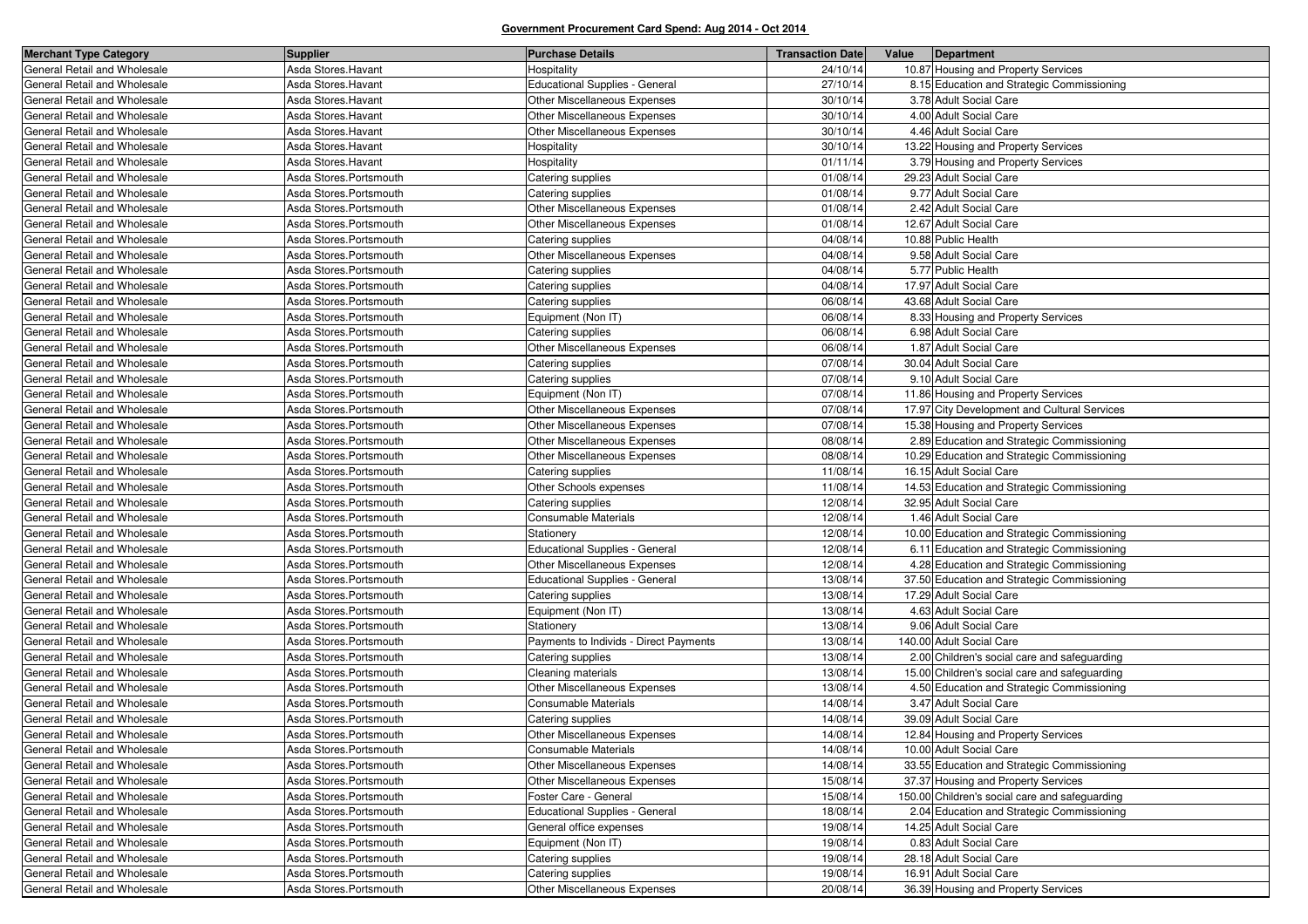| <b>Merchant Type Category</b>                                | <b>Supplier</b>                                  | <b>Purchase Details</b>                           | <b>Transaction Date</b> | Value<br>Department                                            |
|--------------------------------------------------------------|--------------------------------------------------|---------------------------------------------------|-------------------------|----------------------------------------------------------------|
| General Retail and Wholesale                                 | Asda Stores. Havant                              | Hospitality                                       | 24/10/14                | 10.87 Housing and Property Services                            |
| General Retail and Wholesale                                 | Asda Stores. Havant                              | <b>Educational Supplies - General</b>             | 27/10/14                | 8.15 Education and Strategic Commissioning                     |
| General Retail and Wholesale                                 | Asda Stores.Havant                               | Other Miscellaneous Expenses                      | 30/10/14                | 3.78 Adult Social Care                                         |
| General Retail and Wholesale                                 | Asda Stores. Havant                              | Other Miscellaneous Expenses                      | 30/10/14                | 4.00 Adult Social Care                                         |
| General Retail and Wholesale                                 | Asda Stores. Havant                              | <b>Other Miscellaneous Expenses</b>               | 30/10/14                | 4.46 Adult Social Care                                         |
| General Retail and Wholesale                                 | Asda Stores.Havant                               | Hospitality                                       | 30/10/14                | 13.22 Housing and Property Services                            |
| General Retail and Wholesale                                 | Asda Stores. Havant                              | Hospitality                                       | 01/11/14                | 3.79 Housing and Property Services                             |
| General Retail and Wholesale                                 | Asda Stores.Portsmouth                           | Catering supplies                                 | 01/08/14                | 29.23 Adult Social Care                                        |
| General Retail and Wholesale                                 | Asda Stores.Portsmouth                           | Catering supplies                                 | 01/08/14                | 9.77 Adult Social Care                                         |
| General Retail and Wholesale                                 | Asda Stores.Portsmouth                           | Other Miscellaneous Expenses                      | 01/08/14                | 2.42 Adult Social Care                                         |
| General Retail and Wholesale                                 | Asda Stores.Portsmouth                           | Other Miscellaneous Expenses                      | 01/08/14                | 12.67 Adult Social Care                                        |
| General Retail and Wholesale                                 | Asda Stores.Portsmouth                           | Catering supplies                                 | 04/08/14                | 10.88 Public Health                                            |
| General Retail and Wholesale                                 | Asda Stores.Portsmouth                           | Other Miscellaneous Expenses                      | 04/08/14                | 9.58 Adult Social Care                                         |
| General Retail and Wholesale                                 | Asda Stores.Portsmouth                           | Catering supplies                                 | 04/08/14                | 5.77 Public Health                                             |
| General Retail and Wholesale                                 | Asda Stores.Portsmouth                           | Catering supplies                                 | 04/08/14                | 17.97 Adult Social Care                                        |
| General Retail and Wholesale                                 | Asda Stores.Portsmouth                           | Catering supplies                                 | 06/08/14                | 43.68 Adult Social Care                                        |
| General Retail and Wholesale                                 | Asda Stores.Portsmouth                           | Equipment (Non IT)                                | 06/08/14                | 8.33 Housing and Property Services                             |
| General Retail and Wholesale                                 | Asda Stores.Portsmouth                           | Catering supplies                                 | 06/08/14                | 6.98 Adult Social Care                                         |
| General Retail and Wholesale                                 | Asda Stores.Portsmouth                           | Other Miscellaneous Expenses                      | 06/08/14                | 1.87 Adult Social Care                                         |
| General Retail and Wholesale                                 | Asda Stores.Portsmouth                           | Catering supplies                                 | 07/08/14                | 30.04 Adult Social Care                                        |
| General Retail and Wholesale                                 | Asda Stores.Portsmouth                           | Catering supplies                                 | 07/08/14                | 9.10 Adult Social Care                                         |
| General Retail and Wholesale                                 | Asda Stores.Portsmouth                           | Equipment (Non IT)                                | 07/08/14                | 11.86 Housing and Property Services                            |
| General Retail and Wholesale                                 | Asda Stores.Portsmouth                           | Other Miscellaneous Expenses                      | 07/08/14                | 17.97 City Development and Cultural Services                   |
| General Retail and Wholesale                                 | Asda Stores.Portsmouth                           | Other Miscellaneous Expenses                      | 07/08/14                | 15.38 Housing and Property Services                            |
| General Retail and Wholesale                                 | Asda Stores.Portsmouth                           | <b>Other Miscellaneous Expenses</b>               | 08/08/14                | 2.89 Education and Strategic Commissioning                     |
| General Retail and Wholesale                                 | Asda Stores.Portsmouth                           | Other Miscellaneous Expenses                      | 08/08/14                | 10.29 Education and Strategic Commissioning                    |
| General Retail and Wholesale                                 | Asda Stores.Portsmouth                           | Catering supplies                                 | 11/08/14                | 16.15 Adult Social Care                                        |
| General Retail and Wholesale                                 | Asda Stores.Portsmouth                           | Other Schools expenses                            | 11/08/14                | 14.53 Education and Strategic Commissioning                    |
| General Retail and Wholesale                                 | Asda Stores.Portsmouth                           | Catering supplies                                 | 12/08/14                | 32.95 Adult Social Care                                        |
| General Retail and Wholesale                                 | Asda Stores.Portsmouth                           | Consumable Materials                              | 12/08/14                | 1.46 Adult Social Care                                         |
| General Retail and Wholesale                                 | Asda Stores.Portsmouth                           | Stationery                                        | 12/08/14                | 10.00 Education and Strategic Commissioning                    |
| General Retail and Wholesale                                 | Asda Stores.Portsmouth                           | Educational Supplies - General                    | 12/08/14                | 6.11 Education and Strategic Commissioning                     |
| General Retail and Wholesale                                 | Asda Stores.Portsmouth                           | Other Miscellaneous Expenses                      | 12/08/14                | 4.28 Education and Strategic Commissioning                     |
| General Retail and Wholesale                                 | Asda Stores.Portsmouth                           | Educational Supplies - General                    | 13/08/14                | 37.50 Education and Strategic Commissioning                    |
| General Retail and Wholesale                                 | Asda Stores.Portsmouth                           | Catering supplies                                 | 13/08/14                | 17.29 Adult Social Care                                        |
| General Retail and Wholesale                                 | Asda Stores.Portsmouth                           | Equipment (Non IT)                                | 13/08/14                | 4.63 Adult Social Care                                         |
| General Retail and Wholesale                                 | Asda Stores.Portsmouth                           | Stationery                                        | 13/08/14                | 9.06 Adult Social Care                                         |
| General Retail and Wholesale                                 | Asda Stores.Portsmouth                           | Payments to Individs - Direct Payments            | 13/08/14                | 140.00 Adult Social Care                                       |
| General Retail and Wholesale                                 | Asda Stores.Portsmouth                           | Catering supplies                                 | 13/08/14                | 2.00 Children's social care and safeguarding                   |
| General Retail and Wholesale                                 | Asda Stores.Portsmouth                           | Cleaning materials                                | 13/08/14                | 15.00 Children's social care and safeguarding                  |
| General Retail and Wholesale                                 | Asda Stores.Portsmouth                           | Other Miscellaneous Expenses                      | 13/08/14                | 4.50 Education and Strategic Commissioning                     |
| General Retail and Wholesale                                 | Asda Stores.Portsmouth                           | Consumable Materials                              | 14/08/14                | 3.47 Adult Social Care                                         |
| General Retail and Wholesale                                 | Asda Stores.Portsmouth                           | Catering supplies                                 | 14/08/14                | 39.09 Adult Social Care                                        |
| General Retail and Wholesale                                 | Asda Stores.Portsmouth                           | <b>Other Miscellaneous Expenses</b>               | 14/08/14                | 12.84 Housing and Property Services                            |
| General Retail and Wholesale                                 | Asda Stores.Portsmouth                           | <b>Consumable Materials</b>                       | 14/08/14                | 10.00 Adult Social Care                                        |
| General Retail and Wholesale                                 | Asda Stores.Portsmouth                           | Other Miscellaneous Expenses                      | 14/08/14                | 33.55 Education and Strategic Commissioning                    |
| General Retail and Wholesale                                 | Asda Stores.Portsmouth                           | Other Miscellaneous Expenses                      | 15/08/14                | 37.37 Housing and Property Services                            |
| General Retail and Wholesale                                 | Asda Stores.Portsmouth                           | Foster Care - General                             | 15/08/14                | 150.00 Children's social care and safeguarding                 |
| General Retail and Wholesale                                 | Asda Stores.Portsmouth                           | Educational Supplies - General                    | 18/08/14                | 2.04 Education and Strategic Commissioning                     |
| General Retail and Wholesale                                 |                                                  | General office expenses                           | 19/08/14                | 14.25 Adult Social Care                                        |
| General Retail and Wholesale                                 | Asda Stores.Portsmouth<br>Asda Stores.Portsmouth | Equipment (Non IT)                                | 19/08/14                | 0.83 Adult Social Care                                         |
| General Retail and Wholesale                                 | Asda Stores.Portsmouth                           |                                                   | 19/08/14                | 28.18 Adult Social Care                                        |
|                                                              |                                                  | Catering supplies                                 |                         |                                                                |
| General Retail and Wholesale<br>General Retail and Wholesale | Asda Stores.Portsmouth<br>Asda Stores.Portsmouth | Catering supplies<br>Other Miscellaneous Expenses | 19/08/14<br>20/08/14    | 16.91 Adult Social Care<br>36.39 Housing and Property Services |
|                                                              |                                                  |                                                   |                         |                                                                |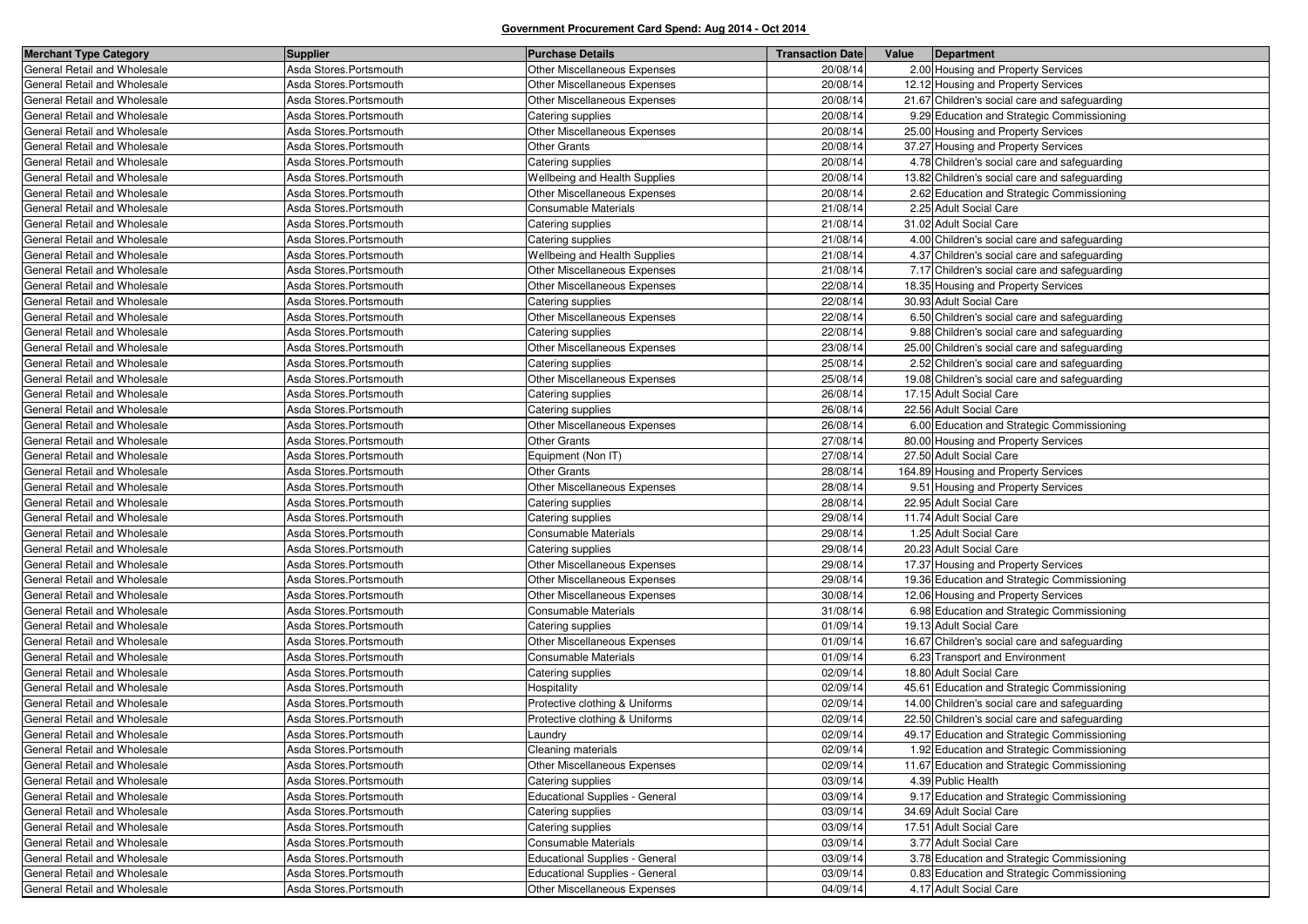| <b>Merchant Type Category</b> | <b>Supplier</b>         | <b>Purchase Details</b>             | <b>Transaction Date</b> | Value | Department                                    |
|-------------------------------|-------------------------|-------------------------------------|-------------------------|-------|-----------------------------------------------|
| General Retail and Wholesale  | Asda Stores.Portsmouth  | Other Miscellaneous Expenses        | 20/08/14                |       | 2.00 Housing and Property Services            |
| General Retail and Wholesale  | Asda Stores.Portsmouth  | Other Miscellaneous Expenses        | 20/08/14                |       | 12.12 Housing and Property Services           |
| General Retail and Wholesale  | Asda Stores.Portsmouth  | Other Miscellaneous Expenses        | 20/08/14                |       | 21.67 Children's social care and safeguarding |
| General Retail and Wholesale  | Asda Stores.Portsmouth  | Catering supplies                   | 20/08/14                |       | 9.29 Education and Strategic Commissioning    |
| General Retail and Wholesale  | Asda Stores.Portsmouth  | Other Miscellaneous Expenses        | 20/08/14                |       | 25.00 Housing and Property Services           |
| General Retail and Wholesale  | Asda Stores.Portsmouth  | <b>Other Grants</b>                 | 20/08/14                |       | 37.27 Housing and Property Services           |
| General Retail and Wholesale  | Asda Stores.Portsmouth  | Catering supplies                   | 20/08/14                |       | 4.78 Children's social care and safeguarding  |
| General Retail and Wholesale  | Asda Stores.Portsmouth  | Wellbeing and Health Supplies       | 20/08/14                |       | 13.82 Children's social care and safeguarding |
| General Retail and Wholesale  | Asda Stores.Portsmouth  | Other Miscellaneous Expenses        | 20/08/14                |       | 2.62 Education and Strategic Commissioning    |
| General Retail and Wholesale  | Asda Stores.Portsmouth  | Consumable Materials                | 21/08/14                |       | 2.25 Adult Social Care                        |
| General Retail and Wholesale  | Asda Stores.Portsmouth  | Catering supplies                   | 21/08/14                |       | 31.02 Adult Social Care                       |
| General Retail and Wholesale  | Asda Stores.Portsmouth  | Catering supplies                   | 21/08/14                |       | 4.00 Children's social care and safeguarding  |
| General Retail and Wholesale  | Asda Stores.Portsmouth  | Wellbeing and Health Supplies       | 21/08/14                |       | 4.37 Children's social care and safeguarding  |
| General Retail and Wholesale  | Asda Stores.Portsmouth  | Other Miscellaneous Expenses        | 21/08/14                |       | 7.17 Children's social care and safeguarding  |
| General Retail and Wholesale  | Asda Stores.Portsmouth  | Other Miscellaneous Expenses        | 22/08/14                |       | 18.35 Housing and Property Services           |
| General Retail and Wholesale  | Asda Stores.Portsmouth  | Catering supplies                   | 22/08/14                |       | 30.93 Adult Social Care                       |
| General Retail and Wholesale  | Asda Stores.Portsmouth  | Other Miscellaneous Expenses        | 22/08/14                |       | 6.50 Children's social care and safeguarding  |
| General Retail and Wholesale  | Asda Stores.Portsmouth  | Catering supplies                   | 22/08/14                |       | 9.88 Children's social care and safeguarding  |
| General Retail and Wholesale  | Asda Stores.Portsmouth  | Other Miscellaneous Expenses        | 23/08/14                |       | 25.00 Children's social care and safeguarding |
| General Retail and Wholesale  | Asda Stores.Portsmouth  | Catering supplies                   | 25/08/14                |       | 2.52 Children's social care and safeguarding  |
| General Retail and Wholesale  | Asda Stores.Portsmouth  | Other Miscellaneous Expenses        | 25/08/14                |       | 19.08 Children's social care and safeguarding |
| General Retail and Wholesale  | Asda Stores.Portsmouth  | Catering supplies                   | 26/08/14                |       | 17.15 Adult Social Care                       |
| General Retail and Wholesale  | Asda Stores.Portsmouth  | Catering supplies                   | 26/08/14                |       | 22.56 Adult Social Care                       |
| General Retail and Wholesale  | Asda Stores.Portsmouth  | Other Miscellaneous Expenses        | 26/08/14                |       | 6.00 Education and Strategic Commissioning    |
| General Retail and Wholesale  | Asda Stores.Portsmouth  | <b>Other Grants</b>                 | 27/08/14                |       | 80.00 Housing and Property Services           |
| General Retail and Wholesale  | Asda Stores.Portsmouth  | Equipment (Non IT)                  | 27/08/14                |       | 27.50 Adult Social Care                       |
| General Retail and Wholesale  | Asda Stores.Portsmouth  | <b>Other Grants</b>                 | 28/08/14                |       | 164.89 Housing and Property Services          |
| General Retail and Wholesale  | Asda Stores.Portsmouth  | <b>Other Miscellaneous Expenses</b> | 28/08/14                |       | 9.51 Housing and Property Services            |
| General Retail and Wholesale  | Asda Stores.Portsmouth  | Catering supplies                   | 28/08/14                |       | 22.95 Adult Social Care                       |
| General Retail and Wholesale  | Asda Stores.Portsmouth  | Catering supplies                   | 29/08/14                |       | 11.74 Adult Social Care                       |
| General Retail and Wholesale  | Asda Stores.Portsmouth  | Consumable Materials                | 29/08/14                |       | 1.25 Adult Social Care                        |
| General Retail and Wholesale  | Asda Stores.Portsmouth  | Catering supplies                   | 29/08/14                |       | 20.23 Adult Social Care                       |
| General Retail and Wholesale  | Asda Stores.Portsmouth  | Other Miscellaneous Expenses        | 29/08/14                |       | 17.37 Housing and Property Services           |
| General Retail and Wholesale  | Asda Stores.Portsmouth  | Other Miscellaneous Expenses        | 29/08/14                |       | 19.36 Education and Strategic Commissioning   |
| General Retail and Wholesale  | Asda Stores.Portsmouth  | Other Miscellaneous Expenses        | 30/08/14                |       | 12.06 Housing and Property Services           |
| General Retail and Wholesale  | Asda Stores.Portsmouth  | Consumable Materials                | 31/08/14                |       | 6.98 Education and Strategic Commissioning    |
| General Retail and Wholesale  | Asda Stores.Portsmouth  | Catering supplies                   | 01/09/14                |       | 19.13 Adult Social Care                       |
| General Retail and Wholesale  | Asda Stores.Portsmouth  | Other Miscellaneous Expenses        | 01/09/14                |       | 16.67 Children's social care and safeguarding |
| General Retail and Wholesale  | Asda Stores.Portsmouth  | Consumable Materials                | 01/09/14                |       | 6.23 Transport and Environment                |
| General Retail and Wholesale  | Asda Stores.Portsmouth  | Catering supplies                   | 02/09/14                |       | 18.80 Adult Social Care                       |
| General Retail and Wholesale  | Asda Stores.Portsmouth  | Hospitality                         | 02/09/14                |       | 45.61 Education and Strategic Commissioning   |
| General Retail and Wholesale  | Asda Stores.Portsmouth  | Protective clothing & Uniforms      | 02/09/14                |       | 14.00 Children's social care and safeguarding |
| General Retail and Wholesale  | Asda Stores.Portsmouth  | Protective clothing & Uniforms      | 02/09/14                |       | 22.50 Children's social care and safeguarding |
| General Retail and Wholesale  | Asda Stores.Portsmouth  | Laundry                             | 02/09/14                |       | 49.17 Education and Strategic Commissioning   |
| General Retail and Wholesale  | Asda Stores.Portsmouth  | Cleaning materials                  | 02/09/14                |       | 1.92 Education and Strategic Commissioning    |
| General Retail and Wholesale  | Asda Stores.Portsmouth  | Other Miscellaneous Expenses        | 02/09/14                |       | 11.67 Education and Strategic Commissioning   |
| General Retail and Wholesale  | Asda Stores.Portsmouth  | Catering supplies                   | 03/09/14                |       | 4.39 Public Health                            |
| General Retail and Wholesale  | Asda Stores. Portsmouth | Educational Supplies - General      | 03/09/14                |       | 9.17 Education and Strategic Commissioning    |
| General Retail and Wholesale  | Asda Stores.Portsmouth  | Catering supplies                   | 03/09/14                |       | 34.69 Adult Social Care                       |
| General Retail and Wholesale  | Asda Stores.Portsmouth  | Catering supplies                   | 03/09/14                |       | 17.51 Adult Social Care                       |
| General Retail and Wholesale  | Asda Stores. Portsmouth | Consumable Materials                | 03/09/14                |       | 3.77 Adult Social Care                        |
| General Retail and Wholesale  | Asda Stores. Portsmouth | Educational Supplies - General      | 03/09/14                |       | 3.78 Education and Strategic Commissioning    |
| General Retail and Wholesale  | Asda Stores.Portsmouth  | Educational Supplies - General      | 03/09/14                |       | 0.83 Education and Strategic Commissioning    |
| General Retail and Wholesale  | Asda Stores. Portsmouth | Other Miscellaneous Expenses        | 04/09/14                |       | 4.17 Adult Social Care                        |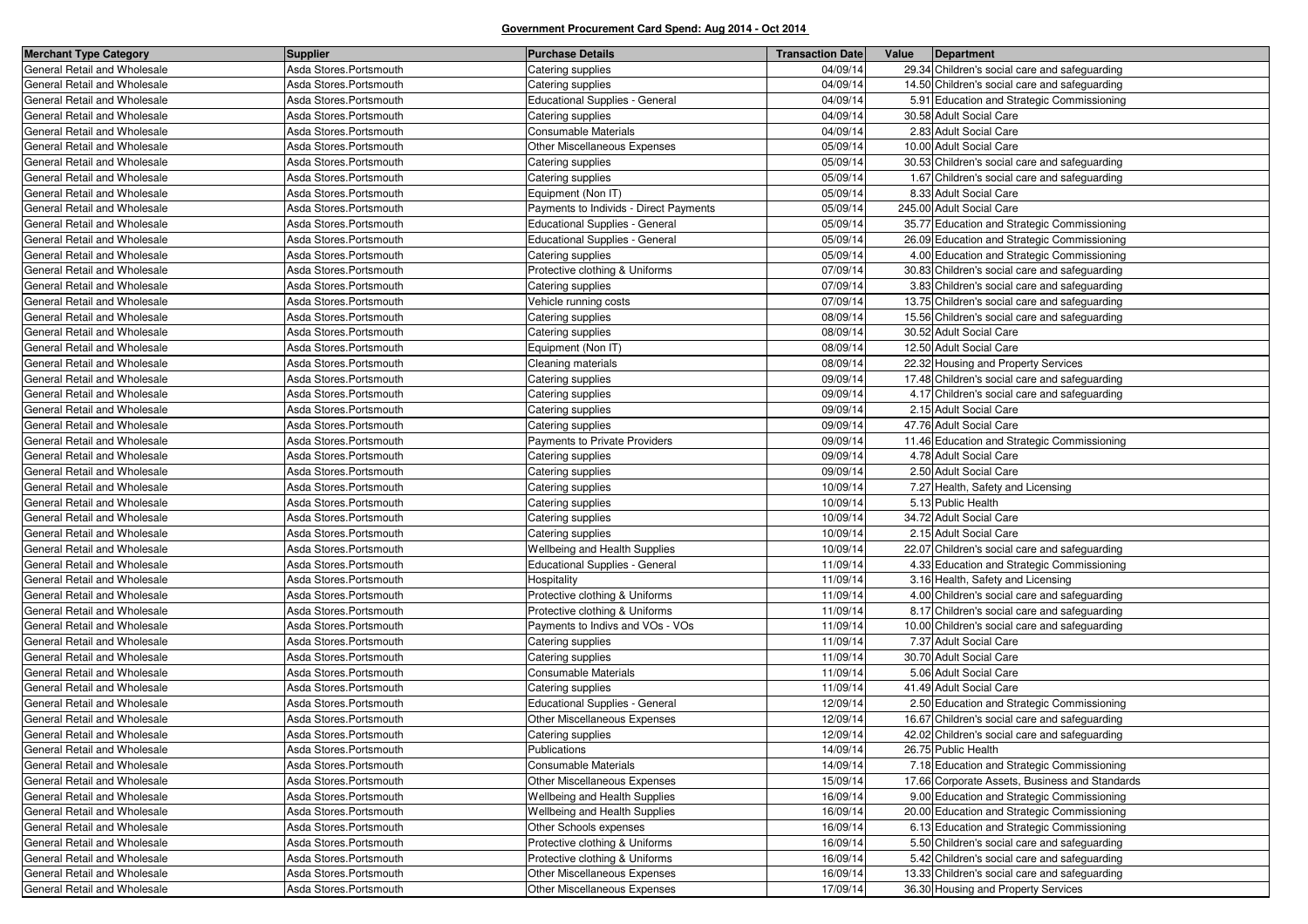| <b>Merchant Type Category</b> | <b>Supplier</b>         | <b>Purchase Details</b>                | <b>Transaction Date</b> | Value<br>Department                            |
|-------------------------------|-------------------------|----------------------------------------|-------------------------|------------------------------------------------|
| General Retail and Wholesale  | Asda Stores.Portsmouth  | Catering supplies                      | 04/09/14                | 29.34 Children's social care and safeguarding  |
| General Retail and Wholesale  | Asda Stores.Portsmouth  | Catering supplies                      | 04/09/14                | 14.50 Children's social care and safeguarding  |
| General Retail and Wholesale  | Asda Stores.Portsmouth  | <b>Educational Supplies - General</b>  | 04/09/14                | 5.91 Education and Strategic Commissioning     |
| General Retail and Wholesale  | Asda Stores.Portsmouth  | Catering supplies                      | 04/09/14                | 30.58 Adult Social Care                        |
| General Retail and Wholesale  | Asda Stores.Portsmouth  | Consumable Materials                   | 04/09/14                | 2.83 Adult Social Care                         |
| General Retail and Wholesale  | Asda Stores.Portsmouth  | Other Miscellaneous Expenses           | 05/09/14                | 10.00 Adult Social Care                        |
| General Retail and Wholesale  | Asda Stores.Portsmouth  | Catering supplies                      | 05/09/14                | 30.53 Children's social care and safeguarding  |
| General Retail and Wholesale  | Asda Stores.Portsmouth  | Catering supplies                      | 05/09/14                | 1.67 Children's social care and safeguarding   |
| General Retail and Wholesale  | Asda Stores.Portsmouth  | Equipment (Non IT)                     | 05/09/14                | 8.33 Adult Social Care                         |
| General Retail and Wholesale  | Asda Stores.Portsmouth  | Payments to Individs - Direct Payments | 05/09/14                | 245.00 Adult Social Care                       |
| General Retail and Wholesale  | Asda Stores.Portsmouth  | <b>Educational Supplies - General</b>  | 05/09/14                | 35.77 Education and Strategic Commissioning    |
| General Retail and Wholesale  | Asda Stores.Portsmouth  | <b>Educational Supplies - General</b>  | 05/09/14                | 26.09 Education and Strategic Commissioning    |
| General Retail and Wholesale  | Asda Stores.Portsmouth  | Catering supplies                      | 05/09/14                | 4.00 Education and Strategic Commissioning     |
| General Retail and Wholesale  | Asda Stores.Portsmouth  | Protective clothing & Uniforms         | 07/09/14                | 30.83 Children's social care and safeguarding  |
| General Retail and Wholesale  | Asda Stores.Portsmouth  | Catering supplies                      | 07/09/14                | 3.83 Children's social care and safeguarding   |
| General Retail and Wholesale  | Asda Stores.Portsmouth  | Vehicle running costs                  | 07/09/14                | 13.75 Children's social care and safeguarding  |
| General Retail and Wholesale  | Asda Stores.Portsmouth  | Catering supplies                      | 08/09/14                | 15.56 Children's social care and safeguarding  |
| General Retail and Wholesale  | Asda Stores.Portsmouth  | Catering supplies                      | 08/09/14                | 30.52 Adult Social Care                        |
| General Retail and Wholesale  | Asda Stores.Portsmouth  | Equipment (Non IT)                     | 08/09/14                | 12.50 Adult Social Care                        |
| General Retail and Wholesale  | Asda Stores.Portsmouth  | Cleaning materials                     | 08/09/14                | 22.32 Housing and Property Services            |
| General Retail and Wholesale  | Asda Stores.Portsmouth  | Catering supplies                      | 09/09/14                | 17.48 Children's social care and safeguarding  |
| General Retail and Wholesale  | Asda Stores.Portsmouth  | Catering supplies                      | 09/09/14                | 4.17 Children's social care and safeguarding   |
| General Retail and Wholesale  | Asda Stores.Portsmouth  | Catering supplies                      | 09/09/14                | 2.15 Adult Social Care                         |
| General Retail and Wholesale  | Asda Stores.Portsmouth  | Catering supplies                      | 09/09/14                | 47.76 Adult Social Care                        |
| General Retail and Wholesale  | Asda Stores.Portsmouth  | Payments to Private Providers          | 09/09/14                | 11.46 Education and Strategic Commissioning    |
| General Retail and Wholesale  | Asda Stores.Portsmouth  | Catering supplies                      | 09/09/14                | 4.78 Adult Social Care                         |
| General Retail and Wholesale  | Asda Stores.Portsmouth  | Catering supplies                      | 09/09/14                | 2.50 Adult Social Care                         |
| General Retail and Wholesale  | Asda Stores.Portsmouth  | Catering supplies                      | 10/09/14                | 7.27 Health, Safety and Licensing              |
| General Retail and Wholesale  | Asda Stores.Portsmouth  | Catering supplies                      | 10/09/14                | 5.13 Public Health                             |
| General Retail and Wholesale  | Asda Stores.Portsmouth  | Catering supplies                      | 10/09/14                | 34.72 Adult Social Care                        |
| General Retail and Wholesale  | Asda Stores.Portsmouth  | Catering supplies                      | 10/09/14                | 2.15 Adult Social Care                         |
| General Retail and Wholesale  | Asda Stores. Portsmouth | Wellbeing and Health Supplies          | 10/09/14                | 22.07 Children's social care and safeguarding  |
| General Retail and Wholesale  | Asda Stores.Portsmouth  | <b>Educational Supplies - General</b>  | 11/09/14                | 4.33 Education and Strategic Commissioning     |
| General Retail and Wholesale  | Asda Stores.Portsmouth  | Hospitality                            | 11/09/14                | 3.16 Health, Safety and Licensing              |
| General Retail and Wholesale  | Asda Stores.Portsmouth  | Protective clothing & Uniforms         | 11/09/14                | 4.00 Children's social care and safeguarding   |
| General Retail and Wholesale  | Asda Stores.Portsmouth  | Protective clothing & Uniforms         | 11/09/14                | 8.17 Children's social care and safeguarding   |
| General Retail and Wholesale  | Asda Stores.Portsmouth  | Payments to Indivs and VOs - VOs       | 11/09/14                | 10.00 Children's social care and safeguarding  |
| General Retail and Wholesale  | Asda Stores.Portsmouth  | Catering supplies                      | 11/09/14                | 7.37 Adult Social Care                         |
| General Retail and Wholesale  | Asda Stores.Portsmouth  | Catering supplies                      | 11/09/14                | 30.70 Adult Social Care                        |
| General Retail and Wholesale  | Asda Stores.Portsmouth  | Consumable Materials                   | 11/09/14                | 5.06 Adult Social Care                         |
| General Retail and Wholesale  | Asda Stores.Portsmouth  | Catering supplies                      | 11/09/14                | 41.49 Adult Social Care                        |
| General Retail and Wholesale  | Asda Stores.Portsmouth  | <b>Educational Supplies - General</b>  | 12/09/14                | 2.50 Education and Strategic Commissioning     |
| General Retail and Wholesale  | Asda Stores.Portsmouth  | Other Miscellaneous Expenses           | 12/09/14                | 16.67 Children's social care and safeguarding  |
| General Retail and Wholesale  | Asda Stores.Portsmouth  | Catering supplies                      | 12/09/14                | 42.02 Children's social care and safeguarding  |
| General Retail and Wholesale  | Asda Stores.Portsmouth  | Publications                           | 14/09/14                | 26.75 Public Health                            |
| General Retail and Wholesale  | Asda Stores.Portsmouth  | Consumable Materials                   | 14/09/14                | 7.18 Education and Strategic Commissioning     |
| General Retail and Wholesale  | Asda Stores.Portsmouth  | Other Miscellaneous Expenses           | 15/09/14                | 17.66 Corporate Assets, Business and Standards |
| General Retail and Wholesale  | Asda Stores.Portsmouth  | Wellbeing and Health Supplies          | 16/09/14                | 9.00 Education and Strategic Commissioning     |
| General Retail and Wholesale  | Asda Stores.Portsmouth  | Wellbeing and Health Supplies          | 16/09/14                | 20.00 Education and Strategic Commissioning    |
| General Retail and Wholesale  | Asda Stores.Portsmouth  | Other Schools expenses                 | 16/09/14                | 6.13 Education and Strategic Commissioning     |
| General Retail and Wholesale  | Asda Stores.Portsmouth  | Protective clothing & Uniforms         | 16/09/14                | 5.50 Children's social care and safeguarding   |
| General Retail and Wholesale  | Asda Stores.Portsmouth  | Protective clothing & Uniforms         | 16/09/14                | 5.42 Children's social care and safeguarding   |
| General Retail and Wholesale  | Asda Stores.Portsmouth  | Other Miscellaneous Expenses           | 16/09/14                | 13.33 Children's social care and safeguarding  |
| General Retail and Wholesale  | Asda Stores.Portsmouth  | Other Miscellaneous Expenses           | 17/09/14                | 36.30 Housing and Property Services            |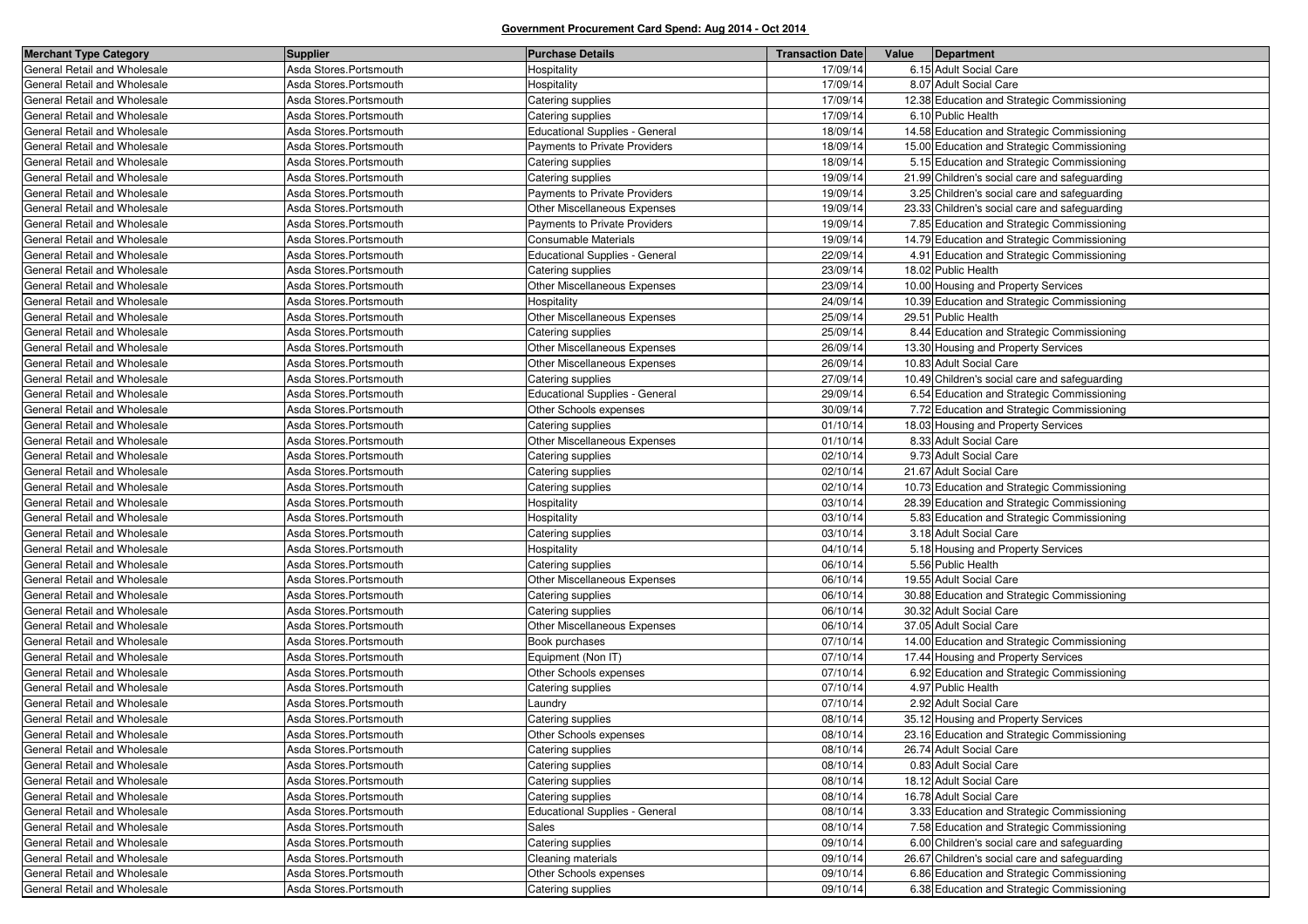| <b>Merchant Type Category</b> | <b>Supplier</b>        | <b>Purchase Details</b>               | <b>Transaction Date</b> | Value | Department                                    |
|-------------------------------|------------------------|---------------------------------------|-------------------------|-------|-----------------------------------------------|
| General Retail and Wholesale  | Asda Stores.Portsmouth | Hospitality                           | 17/09/14                |       | 6.15 Adult Social Care                        |
| General Retail and Wholesale  | Asda Stores.Portsmouth | Hospitality                           | 17/09/14                |       | 8.07 Adult Social Care                        |
| General Retail and Wholesale  | Asda Stores.Portsmouth | Catering supplies                     | 17/09/14                |       | 12.38 Education and Strategic Commissioning   |
| General Retail and Wholesale  | Asda Stores.Portsmouth | Catering supplies                     | 17/09/14                |       | 6.10 Public Health                            |
| General Retail and Wholesale  | Asda Stores.Portsmouth | <b>Educational Supplies - General</b> | 18/09/14                |       | 14.58 Education and Strategic Commissioning   |
| General Retail and Wholesale  | Asda Stores.Portsmouth | Payments to Private Providers         | 18/09/14                |       | 15.00 Education and Strategic Commissioning   |
| General Retail and Wholesale  | Asda Stores.Portsmouth | Catering supplies                     | 18/09/14                |       | 5.15 Education and Strategic Commissioning    |
| General Retail and Wholesale  | Asda Stores.Portsmouth | Catering supplies                     | 19/09/14                |       | 21.99 Children's social care and safeguarding |
| General Retail and Wholesale  | Asda Stores.Portsmouth | Payments to Private Providers         | 19/09/14                |       | 3.25 Children's social care and safeguarding  |
| General Retail and Wholesale  | Asda Stores.Portsmouth | Other Miscellaneous Expenses          | 19/09/14                |       | 23.33 Children's social care and safeguarding |
| General Retail and Wholesale  | Asda Stores.Portsmouth | Payments to Private Providers         | 19/09/14                |       | 7.85 Education and Strategic Commissioning    |
| General Retail and Wholesale  | Asda Stores.Portsmouth | Consumable Materials                  | 19/09/14                |       | 14.79 Education and Strategic Commissioning   |
| General Retail and Wholesale  | Asda Stores.Portsmouth | <b>Educational Supplies - General</b> | 22/09/14                |       | 4.91 Education and Strategic Commissioning    |
| General Retail and Wholesale  | Asda Stores.Portsmouth | Catering supplies                     | 23/09/14                |       | 18.02 Public Health                           |
| General Retail and Wholesale  | Asda Stores.Portsmouth | Other Miscellaneous Expenses          | 23/09/14                |       | 10.00 Housing and Property Services           |
| General Retail and Wholesale  | Asda Stores.Portsmouth | Hospitality                           | 24/09/14                |       | 10.39 Education and Strategic Commissioning   |
| General Retail and Wholesale  | Asda Stores.Portsmouth | Other Miscellaneous Expenses          | 25/09/14                |       | 29.51 Public Health                           |
| General Retail and Wholesale  | Asda Stores.Portsmouth | Catering supplies                     | 25/09/14                |       | 8.44 Education and Strategic Commissioning    |
| General Retail and Wholesale  | Asda Stores.Portsmouth | Other Miscellaneous Expenses          | 26/09/14                |       | 13.30 Housing and Property Services           |
| General Retail and Wholesale  | Asda Stores.Portsmouth | Other Miscellaneous Expenses          | 26/09/14                |       | 10.83 Adult Social Care                       |
| General Retail and Wholesale  | Asda Stores.Portsmouth | Catering supplies                     | 27/09/14                |       | 10.49 Children's social care and safeguarding |
| General Retail and Wholesale  | Asda Stores.Portsmouth | Educational Supplies - General        | 29/09/14                |       | 6.54 Education and Strategic Commissioning    |
| General Retail and Wholesale  | Asda Stores.Portsmouth | Other Schools expenses                | 30/09/14                |       | 7.72 Education and Strategic Commissioning    |
| General Retail and Wholesale  | Asda Stores.Portsmouth | Catering supplies                     | 01/10/14                |       | 18.03 Housing and Property Services           |
| General Retail and Wholesale  | Asda Stores.Portsmouth | Other Miscellaneous Expenses          | 01/10/14                |       | 8.33 Adult Social Care                        |
| General Retail and Wholesale  | Asda Stores.Portsmouth | Catering supplies                     | 02/10/14                |       | 9.73 Adult Social Care                        |
| General Retail and Wholesale  | Asda Stores.Portsmouth | Catering supplies                     | 02/10/14                |       | 21.67 Adult Social Care                       |
| General Retail and Wholesale  | Asda Stores.Portsmouth | Catering supplies                     | 02/10/14                |       | 10.73 Education and Strategic Commissioning   |
| General Retail and Wholesale  | Asda Stores.Portsmouth | Hospitality                           | 03/10/14                |       | 28.39 Education and Strategic Commissioning   |
| General Retail and Wholesale  | Asda Stores.Portsmouth | Hospitality                           | 03/10/14                |       | 5.83 Education and Strategic Commissioning    |
| General Retail and Wholesale  | Asda Stores.Portsmouth | Catering supplies                     | 03/10/14                |       | 3.18 Adult Social Care                        |
| General Retail and Wholesale  | Asda Stores.Portsmouth | Hospitality                           | 04/10/14                |       | 5.18 Housing and Property Services            |
| General Retail and Wholesale  | Asda Stores.Portsmouth | Catering supplies                     | 06/10/14                |       | 5.56 Public Health                            |
| General Retail and Wholesale  | Asda Stores.Portsmouth | Other Miscellaneous Expenses          | 06/10/14                |       | 19.55 Adult Social Care                       |
| General Retail and Wholesale  | Asda Stores.Portsmouth | Catering supplies                     | 06/10/14                |       | 30.88 Education and Strategic Commissioning   |
| General Retail and Wholesale  | Asda Stores.Portsmouth | Catering supplies                     | 06/10/14                |       | 30.32 Adult Social Care                       |
| General Retail and Wholesale  | Asda Stores.Portsmouth | Other Miscellaneous Expenses          | 06/10/14                |       | 37.05 Adult Social Care                       |
| General Retail and Wholesale  | Asda Stores.Portsmouth | Book purchases                        | 07/10/14                |       | 14.00 Education and Strategic Commissioning   |
| General Retail and Wholesale  | Asda Stores.Portsmouth | Equipment (Non IT)                    | 07/10/14                |       | 17.44 Housing and Property Services           |
| General Retail and Wholesale  | Asda Stores.Portsmouth | Other Schools expenses                | 07/10/14                |       | 6.92 Education and Strategic Commissioning    |
| General Retail and Wholesale  | Asda Stores.Portsmouth | Catering supplies                     | 07/10/14                |       | 4.97 Public Health                            |
| General Retail and Wholesale  | Asda Stores.Portsmouth | Laundry                               | 07/10/14                |       | 2.92 Adult Social Care                        |
| General Retail and Wholesale  | Asda Stores.Portsmouth | Catering supplies                     | 08/10/14                |       | 35.12 Housing and Property Services           |
| General Retail and Wholesale  | Asda Stores.Portsmouth | Other Schools expenses                | 08/10/14                |       | 23.16 Education and Strategic Commissioning   |
| General Retail and Wholesale  | Asda Stores.Portsmouth | Catering supplies                     | 08/10/14                |       | 26.74 Adult Social Care                       |
| General Retail and Wholesale  | Asda Stores.Portsmouth | Catering supplies                     | 08/10/14                |       | 0.83 Adult Social Care                        |
| General Retail and Wholesale  | Asda Stores.Portsmouth | Catering supplies                     | 08/10/14                |       | 18.12 Adult Social Care                       |
| General Retail and Wholesale  | Asda Stores.Portsmouth | Catering supplies                     | 08/10/14                |       | 16.78 Adult Social Care                       |
| General Retail and Wholesale  | Asda Stores.Portsmouth | <b>Educational Supplies - General</b> | 08/10/14                |       | 3.33 Education and Strategic Commissioning    |
| General Retail and Wholesale  | Asda Stores.Portsmouth | Sales                                 | 08/10/14                |       | 7.58 Education and Strategic Commissioning    |
| General Retail and Wholesale  | Asda Stores.Portsmouth | Catering supplies                     | 09/10/14                |       | 6.00 Children's social care and safeguarding  |
| General Retail and Wholesale  | Asda Stores.Portsmouth | Cleaning materials                    | 09/10/14                |       | 26.67 Children's social care and safeguarding |
| General Retail and Wholesale  | Asda Stores.Portsmouth | Other Schools expenses                | 09/10/14                |       | 6.86 Education and Strategic Commissioning    |
| General Retail and Wholesale  | Asda Stores.Portsmouth | Catering supplies                     | 09/10/14                |       | 6.38 Education and Strategic Commissioning    |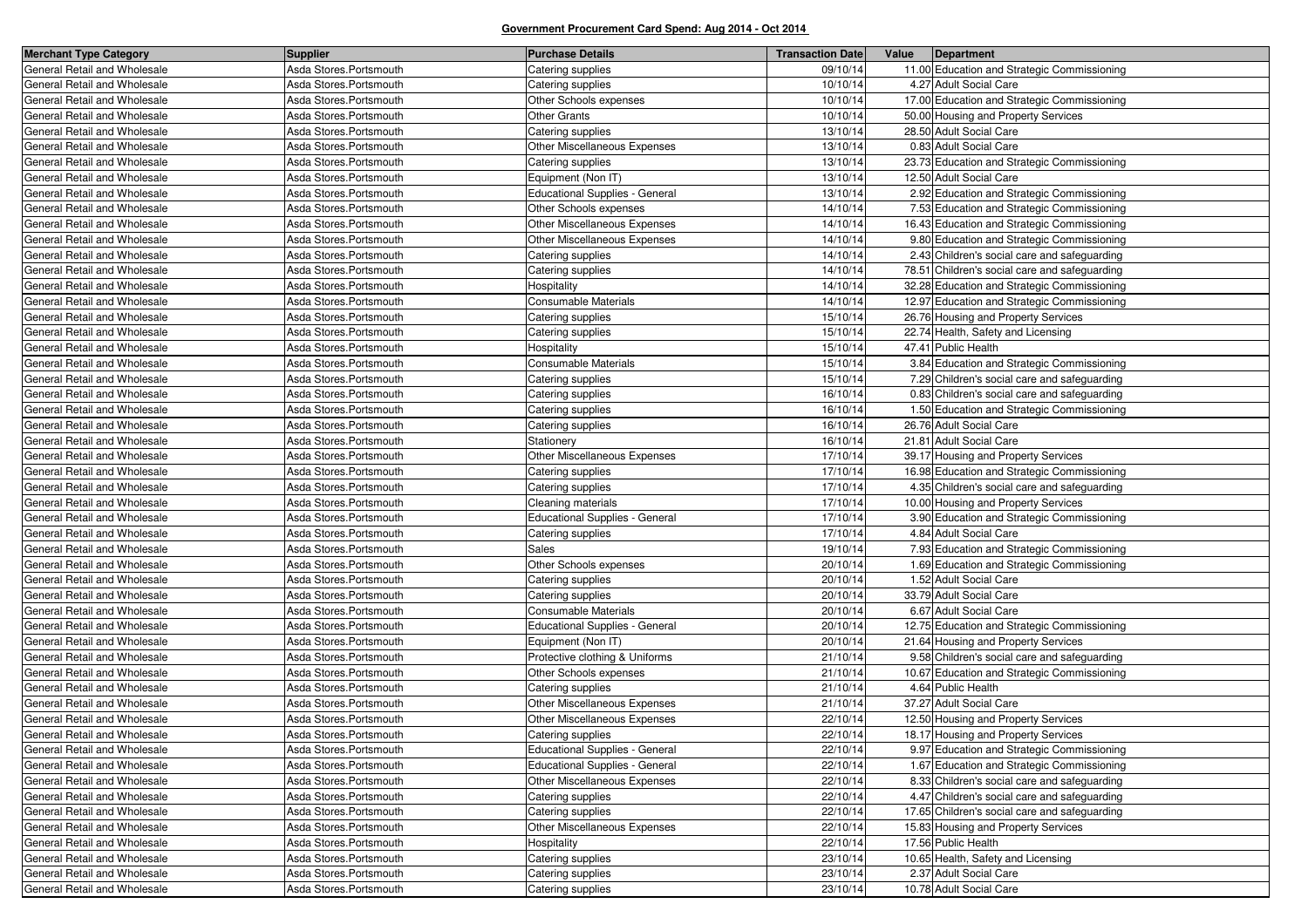| <b>Merchant Type Category</b> | <b>Supplier</b>        | <b>Purchase Details</b>             | <b>Transaction Date</b> | Value<br>Department                           |
|-------------------------------|------------------------|-------------------------------------|-------------------------|-----------------------------------------------|
| General Retail and Wholesale  | Asda Stores.Portsmouth | Catering supplies                   | 09/10/14                | 11.00 Education and Strategic Commissioning   |
| General Retail and Wholesale  | Asda Stores.Portsmouth | Catering supplies                   | 10/10/14                | 4.27 Adult Social Care                        |
| General Retail and Wholesale  | Asda Stores.Portsmouth | Other Schools expenses              | 10/10/14                | 17.00 Education and Strategic Commissioning   |
| General Retail and Wholesale  | Asda Stores.Portsmouth | Other Grants                        | 10/10/14                | 50.00 Housing and Property Services           |
| General Retail and Wholesale  | Asda Stores.Portsmouth | Catering supplies                   | 13/10/14                | 28.50 Adult Social Care                       |
| General Retail and Wholesale  | Asda Stores.Portsmouth | Other Miscellaneous Expenses        | 13/10/14                | 0.83 Adult Social Care                        |
| General Retail and Wholesale  | Asda Stores.Portsmouth | Catering supplies                   | 13/10/14                | 23.73 Education and Strategic Commissioning   |
| General Retail and Wholesale  | Asda Stores.Portsmouth | Equipment (Non IT)                  | 13/10/14                | 12.50 Adult Social Care                       |
| General Retail and Wholesale  | Asda Stores.Portsmouth | Educational Supplies - General      | 13/10/14                | 2.92 Education and Strategic Commissioning    |
| General Retail and Wholesale  | Asda Stores.Portsmouth | Other Schools expenses              | 14/10/14                | 7.53 Education and Strategic Commissioning    |
| General Retail and Wholesale  | Asda Stores.Portsmouth | Other Miscellaneous Expenses        | 14/10/14                | 16.43 Education and Strategic Commissioning   |
| General Retail and Wholesale  | Asda Stores.Portsmouth | <b>Other Miscellaneous Expenses</b> | 14/10/14                | 9.80 Education and Strategic Commissioning    |
| General Retail and Wholesale  | Asda Stores.Portsmouth | Catering supplies                   | 14/10/14                | 2.43 Children's social care and safeguarding  |
| General Retail and Wholesale  | Asda Stores.Portsmouth | Catering supplies                   | 14/10/14                | 78.51 Children's social care and safeguarding |
| General Retail and Wholesale  | Asda Stores.Portsmouth | Hospitality                         | 14/10/14                | 32.28 Education and Strategic Commissioning   |
| General Retail and Wholesale  | Asda Stores.Portsmouth | <b>Consumable Materials</b>         | 14/10/14                | 12.97 Education and Strategic Commissioning   |
| General Retail and Wholesale  | Asda Stores.Portsmouth | Catering supplies                   | 15/10/14                | 26.76 Housing and Property Services           |
| General Retail and Wholesale  | Asda Stores.Portsmouth | Catering supplies                   | 15/10/14                | 22.74 Health, Safety and Licensing            |
| General Retail and Wholesale  | Asda Stores.Portsmouth | Hospitality                         | 15/10/14                | 47.41 Public Health                           |
| General Retail and Wholesale  | Asda Stores.Portsmouth | Consumable Materials                | 15/10/14                | 3.84 Education and Strategic Commissioning    |
| General Retail and Wholesale  | Asda Stores.Portsmouth | Catering supplies                   | 15/10/14                | 7.29 Children's social care and safeguarding  |
| General Retail and Wholesale  | Asda Stores.Portsmouth | Catering supplies                   | 16/10/14                | 0.83 Children's social care and safeguarding  |
| General Retail and Wholesale  | Asda Stores.Portsmouth | Catering supplies                   | 16/10/14                | 1.50 Education and Strategic Commissioning    |
| General Retail and Wholesale  | Asda Stores.Portsmouth | Catering supplies                   | 16/10/14                | 26.76 Adult Social Care                       |
| General Retail and Wholesale  | Asda Stores.Portsmouth | Stationery                          | 16/10/14                | 21.81 Adult Social Care                       |
| General Retail and Wholesale  | Asda Stores.Portsmouth | Other Miscellaneous Expenses        | 17/10/14                | 39.17 Housing and Property Services           |
| General Retail and Wholesale  | Asda Stores.Portsmouth | Catering supplies                   | 17/10/14                | 16.98 Education and Strategic Commissioning   |
| General Retail and Wholesale  | Asda Stores.Portsmouth | Catering supplies                   | 17/10/14                | 4.35 Children's social care and safeguarding  |
| General Retail and Wholesale  | Asda Stores.Portsmouth | Cleaning materials                  | 17/10/14                | 10.00 Housing and Property Services           |
| General Retail and Wholesale  | Asda Stores.Portsmouth | Educational Supplies - General      | 17/10/14                | 3.90 Education and Strategic Commissioning    |
| General Retail and Wholesale  | Asda Stores.Portsmouth | Catering supplies                   | 17/10/14                | 4.84 Adult Social Care                        |
| General Retail and Wholesale  | Asda Stores.Portsmouth | Sales                               | 19/10/14                | 7.93 Education and Strategic Commissioning    |
| General Retail and Wholesale  | Asda Stores.Portsmouth | Other Schools expenses              | 20/10/14                | 1.69 Education and Strategic Commissioning    |
| General Retail and Wholesale  | Asda Stores.Portsmouth | Catering supplies                   | 20/10/14                | 1.52 Adult Social Care                        |
| General Retail and Wholesale  | Asda Stores.Portsmouth | Catering supplies                   | 20/10/14                | 33.79 Adult Social Care                       |
| General Retail and Wholesale  | Asda Stores.Portsmouth | <b>Consumable Materials</b>         | 20/10/14                | 6.67 Adult Social Care                        |
| General Retail and Wholesale  | Asda Stores.Portsmouth | Educational Supplies - General      | 20/10/14                | 12.75 Education and Strategic Commissioning   |
| General Retail and Wholesale  | Asda Stores.Portsmouth | Equipment (Non IT)                  | 20/10/14                | 21.64 Housing and Property Services           |
| General Retail and Wholesale  | Asda Stores.Portsmouth | Protective clothing & Uniforms      | 21/10/14                | 9.58 Children's social care and safeguarding  |
| General Retail and Wholesale  | Asda Stores.Portsmouth | Other Schools expenses              | 21/10/14                | 10.67 Education and Strategic Commissioning   |
| General Retail and Wholesale  | Asda Stores.Portsmouth | Catering supplies                   | 21/10/14                | 4.64 Public Health                            |
| General Retail and Wholesale  | Asda Stores.Portsmouth | Other Miscellaneous Expenses        | 21/10/14                | 37.27 Adult Social Care                       |
| General Retail and Wholesale  | Asda Stores.Portsmouth | Other Miscellaneous Expenses        | 22/10/14                | 12.50 Housing and Property Services           |
| General Retail and Wholesale  | Asda Stores.Portsmouth | Catering supplies                   | 22/10/14                | 18.17 Housing and Property Services           |
| General Retail and Wholesale  | Asda Stores.Portsmouth | Educational Supplies - General      | 22/10/14                | 9.97 Education and Strategic Commissioning    |
| General Retail and Wholesale  | Asda Stores.Portsmouth | Educational Supplies - General      | 22/10/14                | 1.67 Education and Strategic Commissioning    |
| General Retail and Wholesale  | Asda Stores.Portsmouth | Other Miscellaneous Expenses        | 22/10/14                | 8.33 Children's social care and safeguarding  |
| General Retail and Wholesale  | Asda Stores.Portsmouth | Catering supplies                   | 22/10/14                | 4.47 Children's social care and safeguarding  |
| General Retail and Wholesale  | Asda Stores.Portsmouth | Catering supplies                   | 22/10/14                | 17.65 Children's social care and safeguarding |
| General Retail and Wholesale  | Asda Stores.Portsmouth | Other Miscellaneous Expenses        | 22/10/14                | 15.83 Housing and Property Services           |
| General Retail and Wholesale  | Asda Stores.Portsmouth | Hospitality                         | 22/10/14                | 17.56 Public Health                           |
| General Retail and Wholesale  | Asda Stores.Portsmouth | Catering supplies                   | 23/10/14                | 10.65 Health, Safety and Licensing            |
| General Retail and Wholesale  | Asda Stores.Portsmouth | Catering supplies                   | 23/10/14                | 2.37 Adult Social Care                        |
| General Retail and Wholesale  | Asda Stores.Portsmouth | Catering supplies                   | 23/10/14                | 10.78 Adult Social Care                       |
|                               |                        |                                     |                         |                                               |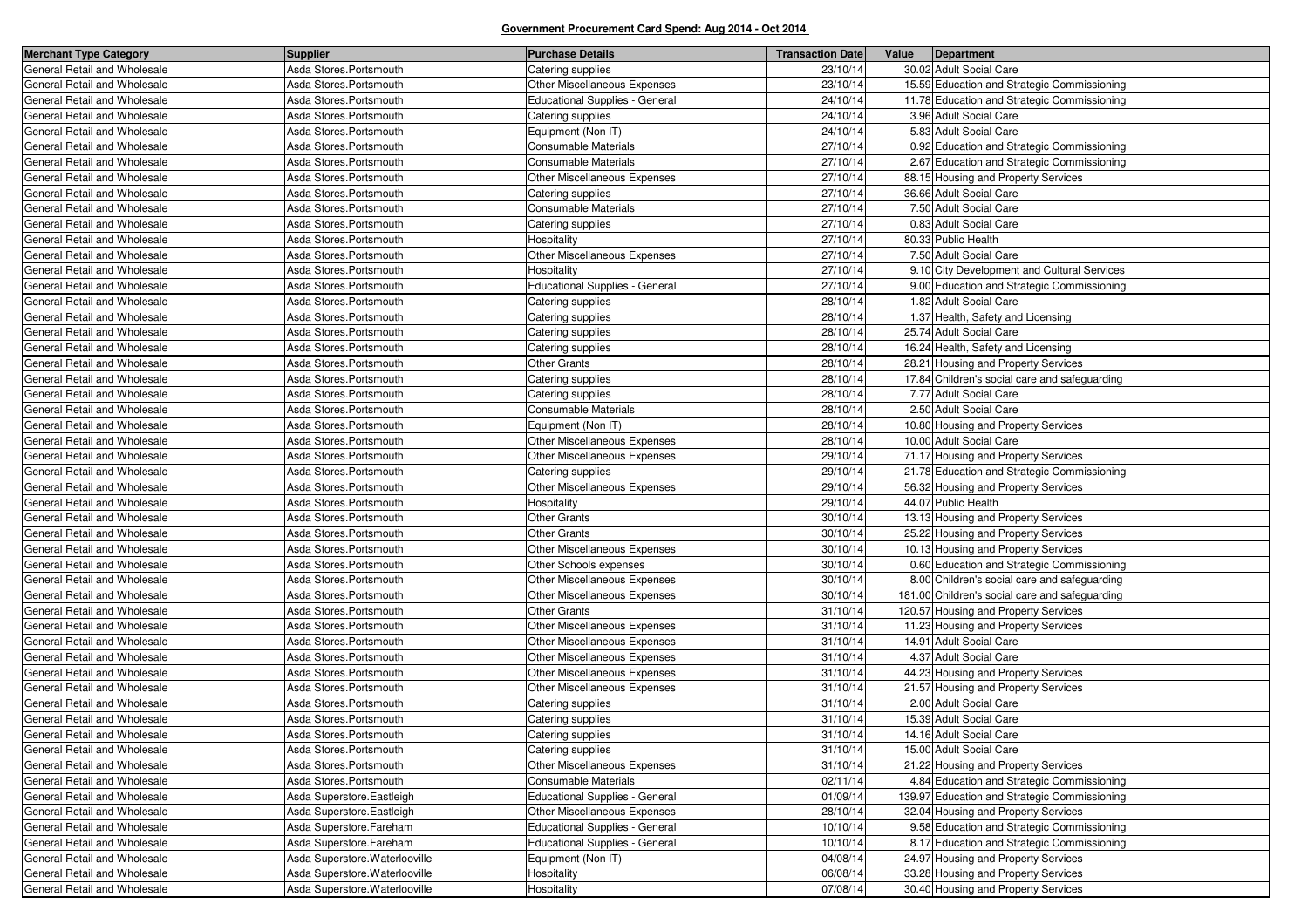| <b>Merchant Type Category</b> | <b>Supplier</b>                | <b>Purchase Details</b>               | <b>Transaction Date</b> | Value | Department                                     |
|-------------------------------|--------------------------------|---------------------------------------|-------------------------|-------|------------------------------------------------|
| General Retail and Wholesale  | Asda Stores.Portsmouth         | Catering supplies                     | 23/10/14                |       | 30.02 Adult Social Care                        |
| General Retail and Wholesale  | Asda Stores.Portsmouth         | Other Miscellaneous Expenses          | 23/10/14                |       | 15.59 Education and Strategic Commissioning    |
| General Retail and Wholesale  | Asda Stores.Portsmouth         | <b>Educational Supplies - General</b> | 24/10/14                |       | 11.78 Education and Strategic Commissioning    |
| General Retail and Wholesale  | Asda Stores.Portsmouth         | Catering supplies                     | 24/10/14                |       | 3.96 Adult Social Care                         |
| General Retail and Wholesale  | Asda Stores.Portsmouth         | Equipment (Non IT)                    | 24/10/14                |       | 5.83 Adult Social Care                         |
| General Retail and Wholesale  | Asda Stores.Portsmouth         | <b>Consumable Materials</b>           | 27/10/14                |       | 0.92 Education and Strategic Commissioning     |
| General Retail and Wholesale  | Asda Stores.Portsmouth         | Consumable Materials                  | 27/10/14                |       | 2.67 Education and Strategic Commissioning     |
| General Retail and Wholesale  | Asda Stores.Portsmouth         | Other Miscellaneous Expenses          | 27/10/14                |       | 88.15 Housing and Property Services            |
| General Retail and Wholesale  | Asda Stores.Portsmouth         | Catering supplies                     | 27/10/14                |       | 36.66 Adult Social Care                        |
| General Retail and Wholesale  | Asda Stores.Portsmouth         | Consumable Materials                  | 27/10/14                |       | 7.50 Adult Social Care                         |
| General Retail and Wholesale  | Asda Stores.Portsmouth         | Catering supplies                     | 27/10/14                |       | 0.83 Adult Social Care                         |
| General Retail and Wholesale  | Asda Stores.Portsmouth         | Hospitality                           | 27/10/14                |       | 80.33 Public Health                            |
| General Retail and Wholesale  | Asda Stores.Portsmouth         | Other Miscellaneous Expenses          | 27/10/14                |       | 7.50 Adult Social Care                         |
| General Retail and Wholesale  | Asda Stores.Portsmouth         | Hospitality                           | 27/10/14                |       | 9.10 City Development and Cultural Services    |
| General Retail and Wholesale  | Asda Stores.Portsmouth         | Educational Supplies - General        | 27/10/14                |       | 9.00 Education and Strategic Commissioning     |
| General Retail and Wholesale  | Asda Stores.Portsmouth         | Catering supplies                     | 28/10/14                |       | 1.82 Adult Social Care                         |
| General Retail and Wholesale  | Asda Stores.Portsmouth         | Catering supplies                     | 28/10/14                |       | 1.37 Health, Safety and Licensing              |
| General Retail and Wholesale  | Asda Stores.Portsmouth         | Catering supplies                     | 28/10/14                |       | 25.74 Adult Social Care                        |
| General Retail and Wholesale  | Asda Stores.Portsmouth         | Catering supplies                     | 28/10/14                |       | 16.24 Health, Safety and Licensing             |
| General Retail and Wholesale  | Asda Stores.Portsmouth         | <b>Other Grants</b>                   | 28/10/14                |       | 28.21 Housing and Property Services            |
| General Retail and Wholesale  | Asda Stores.Portsmouth         | Catering supplies                     | 28/10/14                |       | 17.84 Children's social care and safeguarding  |
| General Retail and Wholesale  | Asda Stores.Portsmouth         | Catering supplies                     | 28/10/14                |       | 7.77 Adult Social Care                         |
| General Retail and Wholesale  | Asda Stores.Portsmouth         | Consumable Materials                  | 28/10/14                |       | 2.50 Adult Social Care                         |
| General Retail and Wholesale  | Asda Stores.Portsmouth         | Equipment (Non IT)                    | 28/10/14                |       | 10.80 Housing and Property Services            |
| General Retail and Wholesale  | Asda Stores.Portsmouth         | Other Miscellaneous Expenses          | 28/10/14                |       | 10.00 Adult Social Care                        |
| General Retail and Wholesale  | Asda Stores.Portsmouth         | Other Miscellaneous Expenses          | 29/10/14                |       | 71.17 Housing and Property Services            |
| General Retail and Wholesale  | Asda Stores.Portsmouth         | Catering supplies                     | 29/10/14                |       | 21.78 Education and Strategic Commissioning    |
| General Retail and Wholesale  | Asda Stores.Portsmouth         | Other Miscellaneous Expenses          | 29/10/14                |       | 56.32 Housing and Property Services            |
| General Retail and Wholesale  | Asda Stores.Portsmouth         | <b>Hospitality</b>                    | 29/10/14                |       | 44.07 Public Health                            |
| General Retail and Wholesale  | Asda Stores.Portsmouth         | <b>Other Grants</b>                   | 30/10/14                |       | 13.13 Housing and Property Services            |
| General Retail and Wholesale  | Asda Stores.Portsmouth         | <b>Other Grants</b>                   | 30/10/14                |       | 25.22 Housing and Property Services            |
| General Retail and Wholesale  | Asda Stores.Portsmouth         | Other Miscellaneous Expenses          | 30/10/14                |       | 10.13 Housing and Property Services            |
| General Retail and Wholesale  | Asda Stores.Portsmouth         | Other Schools expenses                | 30/10/14                |       | 0.60 Education and Strategic Commissioning     |
| General Retail and Wholesale  | Asda Stores.Portsmouth         | Other Miscellaneous Expenses          | 30/10/14                |       | 8.00 Children's social care and safeguarding   |
| General Retail and Wholesale  | Asda Stores.Portsmouth         | Other Miscellaneous Expenses          | 30/10/14                |       | 181.00 Children's social care and safeguarding |
| General Retail and Wholesale  | Asda Stores.Portsmouth         | <b>Other Grants</b>                   | 31/10/14                |       | 120.57 Housing and Property Services           |
| General Retail and Wholesale  | Asda Stores.Portsmouth         | Other Miscellaneous Expenses          | 31/10/14                |       | 11.23 Housing and Property Services            |
| General Retail and Wholesale  | Asda Stores.Portsmouth         | Other Miscellaneous Expenses          | 31/10/14                |       | 14.91 Adult Social Care                        |
| General Retail and Wholesale  | Asda Stores.Portsmouth         | Other Miscellaneous Expenses          | 31/10/14                |       | 4.37 Adult Social Care                         |
| General Retail and Wholesale  | Asda Stores.Portsmouth         | Other Miscellaneous Expenses          | 31/10/14                |       | 44.23 Housing and Property Services            |
| General Retail and Wholesale  | Asda Stores.Portsmouth         | Other Miscellaneous Expenses          | 31/10/14                |       | 21.57 Housing and Property Services            |
| General Retail and Wholesale  | Asda Stores.Portsmouth         | Catering supplies                     | 31/10/14                |       | 2.00 Adult Social Care                         |
| General Retail and Wholesale  | Asda Stores.Portsmouth         | Catering supplies                     | 31/10/14                |       | 15.39 Adult Social Care                        |
| General Retail and Wholesale  | Asda Stores.Portsmouth         | Catering supplies                     | 31/10/14                |       | 14.16 Adult Social Care                        |
| General Retail and Wholesale  | Asda Stores.Portsmouth         | Catering supplies                     | 31/10/14                |       | 15.00 Adult Social Care                        |
| General Retail and Wholesale  | Asda Stores.Portsmouth         | Other Miscellaneous Expenses          | 31/10/14                |       | 21.22 Housing and Property Services            |
| General Retail and Wholesale  | Asda Stores.Portsmouth         | <b>Consumable Materials</b>           | 02/11/14                |       | 4.84 Education and Strategic Commissioning     |
| General Retail and Wholesale  | Asda Superstore. Eastleigh     | Educational Supplies - General        | 01/09/14                |       | 139.97 Education and Strategic Commissioning   |
| General Retail and Wholesale  | Asda Superstore. Eastleigh     | Other Miscellaneous Expenses          | 28/10/14                |       | 32.04 Housing and Property Services            |
| General Retail and Wholesale  | Asda Superstore.Fareham        | Educational Supplies - General        | 10/10/14                |       | 9.58 Education and Strategic Commissioning     |
| General Retail and Wholesale  | Asda Superstore.Fareham        | <b>Educational Supplies - General</b> | 10/10/14                |       | 8.17 Education and Strategic Commissioning     |
| General Retail and Wholesale  | Asda Superstore. Waterlooville | Equipment (Non IT)                    | 04/08/14                |       | 24.97 Housing and Property Services            |
| General Retail and Wholesale  | Asda Superstore. Waterlooville | Hospitality                           | 06/08/14                |       | 33.28 Housing and Property Services            |
| General Retail and Wholesale  | Asda Superstore. Waterlooville | Hospitality                           | 07/08/14                |       | 30.40 Housing and Property Services            |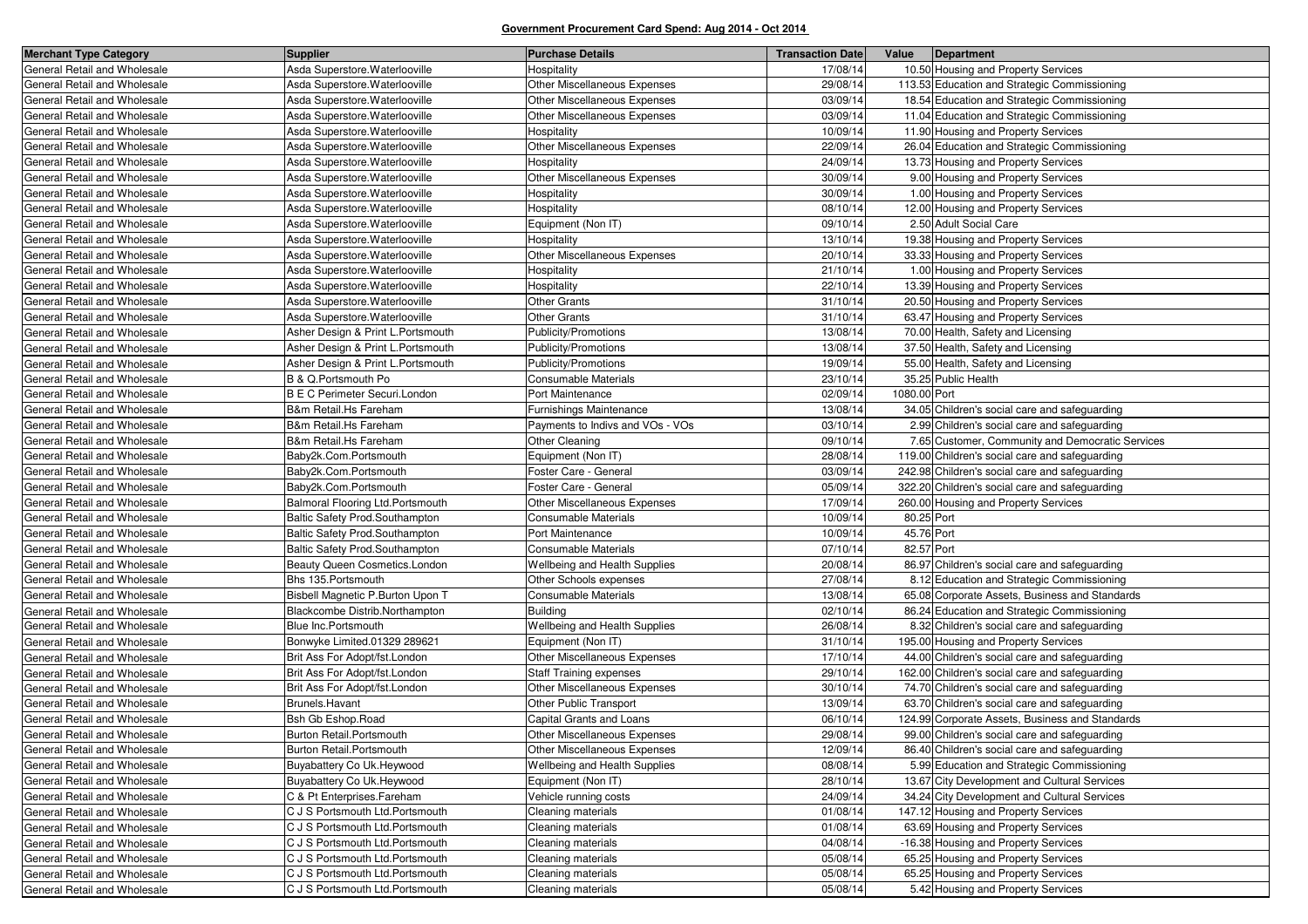| <b>Merchant Type Category</b> | <b>Supplier</b>                      | <b>Purchase Details</b>              | <b>Transaction Date</b> | Value        | Department                                       |
|-------------------------------|--------------------------------------|--------------------------------------|-------------------------|--------------|--------------------------------------------------|
| General Retail and Wholesale  | Asda Superstore Waterlooville        | Hospitality                          | 17/08/14                |              | 10.50 Housing and Property Services              |
| General Retail and Wholesale  | Asda Superstore. Waterlooville       | Other Miscellaneous Expenses         | 29/08/14                |              | 113.53 Education and Strategic Commissioning     |
| General Retail and Wholesale  | Asda Superstore. Waterlooville       | <b>Other Miscellaneous Expenses</b>  | 03/09/14                |              | 18.54 Education and Strategic Commissioning      |
| General Retail and Wholesale  | Asda Superstore. Waterlooville       | Other Miscellaneous Expenses         | 03/09/14                |              | 11.04 Education and Strategic Commissioning      |
| General Retail and Wholesale  | Asda Superstore. Waterlooville       | Hospitality                          | 10/09/14                |              | 11.90 Housing and Property Services              |
| General Retail and Wholesale  | Asda Superstore. Waterlooville       | Other Miscellaneous Expenses         | 22/09/14                |              | 26.04 Education and Strategic Commissioning      |
| General Retail and Wholesale  | Asda Superstore. Waterlooville       | Hospitality                          | 24/09/14                |              | 13.73 Housing and Property Services              |
| General Retail and Wholesale  | Asda Superstore. Waterlooville       | Other Miscellaneous Expenses         | 30/09/14                |              | 9.00 Housing and Property Services               |
| General Retail and Wholesale  | Asda Superstore. Waterlooville       | Hospitality                          | 30/09/14                |              | 1.00 Housing and Property Services               |
| General Retail and Wholesale  | Asda Superstore. Waterlooville       | Hospitality                          | 08/10/14                |              | 12.00 Housing and Property Services              |
| General Retail and Wholesale  | Asda Superstore. Waterlooville       | Equipment (Non IT)                   | 09/10/14                |              | 2.50 Adult Social Care                           |
| General Retail and Wholesale  | Asda Superstore. Waterlooville       | Hospitality                          | 13/10/14                |              | 19.38 Housing and Property Services              |
| General Retail and Wholesale  | Asda Superstore. Waterlooville       | Other Miscellaneous Expenses         | 20/10/14                |              | 33.33 Housing and Property Services              |
| General Retail and Wholesale  | Asda Superstore. Waterlooville       | Hospitality                          | 21/10/14                |              | 1.00 Housing and Property Services               |
| General Retail and Wholesale  | Asda Superstore. Waterlooville       | Hospitality                          | 22/10/14                |              | 13.39 Housing and Property Services              |
| General Retail and Wholesale  | Asda Superstore. Waterlooville       | <b>Other Grants</b>                  | 31/10/14                |              | 20.50 Housing and Property Services              |
| General Retail and Wholesale  | Asda Superstore. Waterlooville       | Other Grants                         | 31/10/14                |              | 63.47 Housing and Property Services              |
| General Retail and Wholesale  | Asher Design & Print L.Portsmouth    | Publicity/Promotions                 | 13/08/14                |              | 70.00 Health, Safety and Licensing               |
| General Retail and Wholesale  | Asher Design & Print L.Portsmouth    | Publicity/Promotions                 | 13/08/14                |              | 37.50 Health, Safety and Licensing               |
| General Retail and Wholesale  | Asher Design & Print L.Portsmouth    | Publicity/Promotions                 | 19/09/14                |              | 55.00 Health, Safety and Licensing               |
| General Retail and Wholesale  | B & Q.Portsmouth Po                  | Consumable Materials                 | 23/10/14                |              | 35.25 Public Health                              |
| General Retail and Wholesale  | <b>B E C Perimeter Securi.London</b> | Port Maintenance                     | 02/09/14                | 1080.00 Port |                                                  |
| General Retail and Wholesale  | B&m Retail.Hs Fareham                | Furnishings Maintenance              | 13/08/14                |              | 34.05 Children's social care and safeguarding    |
| General Retail and Wholesale  | B&m Retail.Hs Fareham                | Payments to Indivs and VOs - VOs     | 03/10/14                |              | 2.99 Children's social care and safeguarding     |
| General Retail and Wholesale  | B&m Retail.Hs Fareham                | <b>Other Cleaning</b>                | 09/10/14                |              | 7.65 Customer, Community and Democratic Services |
| General Retail and Wholesale  | Baby2k.Com.Portsmouth                | Equipment (Non IT)                   | 28/08/14                |              | 119.00 Children's social care and safeguarding   |
| General Retail and Wholesale  | Baby2k.Com.Portsmouth                | Foster Care - General                | 03/09/14                |              | 242.98 Children's social care and safeguarding   |
| General Retail and Wholesale  | Baby2k.Com.Portsmouth                | Foster Care - General                | 05/09/14                |              | 322.20 Children's social care and safeguarding   |
| General Retail and Wholesale  | Balmoral Flooring Ltd.Portsmouth     | Other Miscellaneous Expenses         | 17/09/14                |              | 260.00 Housing and Property Services             |
| General Retail and Wholesale  | Baltic Safety Prod.Southampton       | Consumable Materials                 | 10/09/14                | 80.25 Port   |                                                  |
| General Retail and Wholesale  | Baltic Safety Prod.Southampton       | Port Maintenance                     | 10/09/14                | 45.76 Port   |                                                  |
| General Retail and Wholesale  | Baltic Safety Prod.Southampton       | Consumable Materials                 | 07/10/14                | 82.57 Port   |                                                  |
| General Retail and Wholesale  | Beauty Queen Cosmetics.London        | Wellbeing and Health Supplies        | 20/08/14                |              | 86.97 Children's social care and safeguarding    |
| General Retail and Wholesale  | Bhs 135. Portsmouth                  | Other Schools expenses               | 27/08/14                |              | 8.12 Education and Strategic Commissioning       |
| General Retail and Wholesale  | Bisbell Magnetic P.Burton Upon T     | Consumable Materials                 | 13/08/14                |              | 65.08 Corporate Assets, Business and Standards   |
| General Retail and Wholesale  | Blackcombe Distrib.Northampton       | <b>Building</b>                      | 02/10/14                |              | 86.24 Education and Strategic Commissioning      |
| General Retail and Wholesale  | Blue Inc.Portsmouth                  | <b>Wellbeing and Health Supplies</b> | 26/08/14                |              | 8.32 Children's social care and safeguarding     |
| General Retail and Wholesale  | Bonwyke Limited.01329 289621         | Equipment (Non IT)                   | 31/10/14                |              | 195.00 Housing and Property Services             |
| General Retail and Wholesale  | Brit Ass For Adopt/fst.London        | Other Miscellaneous Expenses         | 17/10/14                |              | 44.00 Children's social care and safeguarding    |
| General Retail and Wholesale  | Brit Ass For Adopt/fst.London        | <b>Staff Training expenses</b>       | 29/10/14                |              | 162.00 Children's social care and safeguarding   |
| General Retail and Wholesale  | Brit Ass For Adopt/fst.London        | Other Miscellaneous Expenses         | 30/10/14                |              | 74.70 Children's social care and safeguarding    |
| General Retail and Wholesale  | Brunels.Havant                       | Other Public Transport               | 13/09/14                |              | 63.70 Children's social care and safeguarding    |
| General Retail and Wholesale  | <b>Bsh Gb Eshop.Road</b>             | Capital Grants and Loans             | 06/10/14                |              | 124.99 Corporate Assets, Business and Standards  |
| General Retail and Wholesale  | Burton Retail.Portsmouth             | Other Miscellaneous Expenses         | 29/08/14                |              | 99.00 Children's social care and safeguarding    |
| General Retail and Wholesale  | Burton Retail.Portsmouth             | Other Miscellaneous Expenses         | 12/09/14                |              | 86.40 Children's social care and safeguarding    |
| General Retail and Wholesale  | Buyabattery Co Uk. Heywood           | Wellbeing and Health Supplies        | 08/08/14                |              | 5.99 Education and Strategic Commissioning       |
| General Retail and Wholesale  | Buyabattery Co Uk. Heywood           | Equipment (Non IT)                   | 28/10/14                |              | 13.67 City Development and Cultural Services     |
| General Retail and Wholesale  | C & Pt Enterprises.Fareham           | Vehicle running costs                | 24/09/14                |              | 34.24 City Development and Cultural Services     |
| General Retail and Wholesale  | C J S Portsmouth Ltd. Portsmouth     | Cleaning materials                   | 01/08/14                |              | 147.12 Housing and Property Services             |
| General Retail and Wholesale  | C J S Portsmouth Ltd. Portsmouth     | Cleaning materials                   | 01/08/14                |              | 63.69 Housing and Property Services              |
| General Retail and Wholesale  | C J S Portsmouth Ltd. Portsmouth     | Cleaning materials                   | 04/08/14                |              | -16.38 Housing and Property Services             |
| General Retail and Wholesale  | C J S Portsmouth Ltd. Portsmouth     | Cleaning materials                   | 05/08/14                |              | 65.25 Housing and Property Services              |
| General Retail and Wholesale  | C J S Portsmouth Ltd. Portsmouth     | Cleaning materials                   | 05/08/14                |              | 65.25 Housing and Property Services              |
| General Retail and Wholesale  | C J S Portsmouth Ltd. Portsmouth     | Cleaning materials                   | 05/08/14                |              | 5.42 Housing and Property Services               |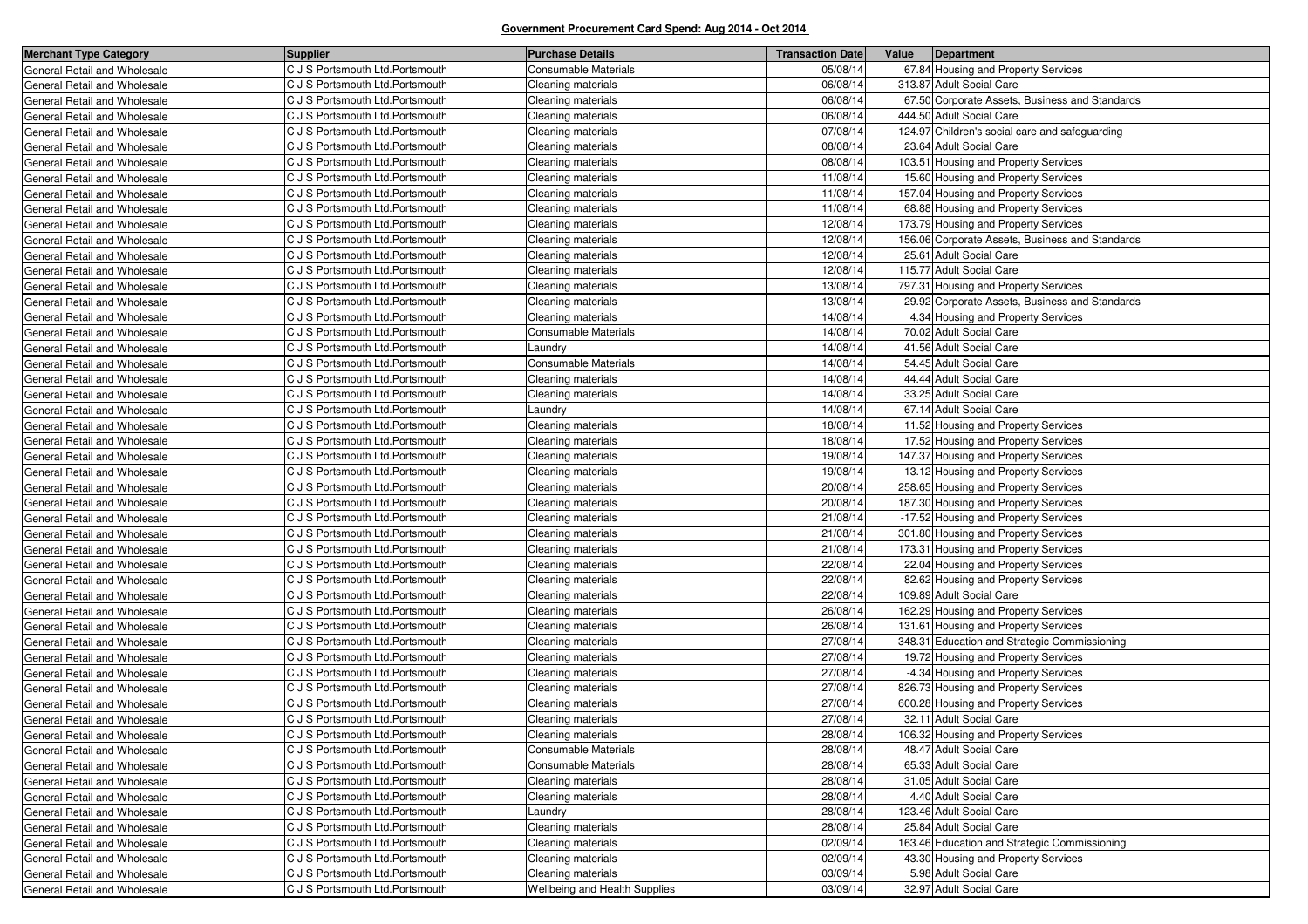| <b>Merchant Type Category</b> | <b>Supplier</b>                  | <b>Purchase Details</b>       | <b>Transaction Date</b> | Value | Department                                      |
|-------------------------------|----------------------------------|-------------------------------|-------------------------|-------|-------------------------------------------------|
| General Retail and Wholesale  | C J S Portsmouth Ltd. Portsmouth | <b>Consumable Materials</b>   | 05/08/14                |       | 67.84 Housing and Property Services             |
| General Retail and Wholesale  | C J S Portsmouth Ltd. Portsmouth | Cleaning materials            | 06/08/14                |       | 313.87 Adult Social Care                        |
| General Retail and Wholesale  | C J S Portsmouth Ltd. Portsmouth | Cleaning materials            | 06/08/14                |       | 67.50 Corporate Assets, Business and Standards  |
| General Retail and Wholesale  | C J S Portsmouth Ltd. Portsmouth | Cleaning materials            | 06/08/14                |       | 444.50 Adult Social Care                        |
| General Retail and Wholesale  | C J S Portsmouth Ltd. Portsmouth | Cleaning materials            | 07/08/14                |       | 124.97 Children's social care and safeguarding  |
| General Retail and Wholesale  | C J S Portsmouth Ltd. Portsmouth | Cleaning materials            | 08/08/14                |       | 23.64 Adult Social Care                         |
| General Retail and Wholesale  | C J S Portsmouth Ltd. Portsmouth | Cleaning materials            | 08/08/14                |       | 103.51 Housing and Property Services            |
| General Retail and Wholesale  | C J S Portsmouth Ltd. Portsmouth | Cleaning materials            | 11/08/14                |       | 15.60 Housing and Property Services             |
| General Retail and Wholesale  | C J S Portsmouth Ltd. Portsmouth | Cleaning materials            | 11/08/14                |       | 157.04 Housing and Property Services            |
| General Retail and Wholesale  | C J S Portsmouth Ltd. Portsmouth | Cleaning materials            | 11/08/14                |       | 68.88 Housing and Property Services             |
| General Retail and Wholesale  | C J S Portsmouth Ltd. Portsmouth | Cleaning materials            | 12/08/14                |       | 173.79 Housing and Property Services            |
| General Retail and Wholesale  | C J S Portsmouth Ltd. Portsmouth | Cleaning materials            | 12/08/14                |       | 156.06 Corporate Assets, Business and Standards |
| General Retail and Wholesale  | C J S Portsmouth Ltd. Portsmouth | Cleaning materials            | 12/08/14                |       | 25.61 Adult Social Care                         |
| General Retail and Wholesale  | C J S Portsmouth Ltd. Portsmouth | Cleaning materials            | 12/08/14                |       | 115.77 Adult Social Care                        |
| General Retail and Wholesale  | C J S Portsmouth Ltd. Portsmouth | Cleaning materials            | 13/08/14                |       | 797.31 Housing and Property Services            |
| General Retail and Wholesale  | C J S Portsmouth Ltd. Portsmouth | Cleaning materials            | 13/08/14                |       | 29.92 Corporate Assets, Business and Standards  |
| General Retail and Wholesale  | C J S Portsmouth Ltd. Portsmouth | Cleaning materials            | 14/08/14                |       | 4.34 Housing and Property Services              |
| General Retail and Wholesale  | C J S Portsmouth Ltd. Portsmouth | Consumable Materials          | 14/08/14                |       | 70.02 Adult Social Care                         |
| General Retail and Wholesale  | C J S Portsmouth Ltd. Portsmouth | aundry.                       | 14/08/14                |       | 41.56 Adult Social Care                         |
| General Retail and Wholesale  | C J S Portsmouth Ltd. Portsmouth | Consumable Materials          | 14/08/14                |       | 54.45 Adult Social Care                         |
| General Retail and Wholesale  | C J S Portsmouth Ltd. Portsmouth | Cleaning materials            | 14/08/14                |       | 44.44 Adult Social Care                         |
| General Retail and Wholesale  | C J S Portsmouth Ltd. Portsmouth | Cleaning materials            | 14/08/14                |       | 33.25 Adult Social Care                         |
| General Retail and Wholesale  | C J S Portsmouth Ltd. Portsmouth | Laundry                       | 14/08/14                |       | 67.14 Adult Social Care                         |
| General Retail and Wholesale  | C J S Portsmouth Ltd. Portsmouth | Cleaning materials            | 18/08/14                |       | 11.52 Housing and Property Services             |
| General Retail and Wholesale  | C J S Portsmouth Ltd. Portsmouth | Cleaning materials            | 18/08/14                |       | 17.52 Housing and Property Services             |
| General Retail and Wholesale  | C J S Portsmouth Ltd. Portsmouth | Cleaning materials            | 19/08/14                |       | 147.37 Housing and Property Services            |
| General Retail and Wholesale  | C J S Portsmouth Ltd. Portsmouth | Cleaning materials            | 19/08/14                |       | 13.12 Housing and Property Services             |
| General Retail and Wholesale  | C J S Portsmouth Ltd. Portsmouth | Cleaning materials            | 20/08/14                |       | 258.65 Housing and Property Services            |
| General Retail and Wholesale  | C J S Portsmouth Ltd. Portsmouth | Cleaning materials            | 20/08/14                |       | 187.30 Housing and Property Services            |
| General Retail and Wholesale  | C J S Portsmouth Ltd. Portsmouth | Cleaning materials            | 21/08/14                |       | -17.52 Housing and Property Services            |
| General Retail and Wholesale  | C J S Portsmouth Ltd. Portsmouth | Cleaning materials            | 21/08/14                |       | 301.80 Housing and Property Services            |
| General Retail and Wholesale  | C J S Portsmouth Ltd. Portsmouth | Cleaning materials            | 21/08/14                |       | 173.31 Housing and Property Services            |
| General Retail and Wholesale  | C J S Portsmouth Ltd. Portsmouth | Cleaning materials            | 22/08/14                |       | 22.04 Housing and Property Services             |
| General Retail and Wholesale  | C J S Portsmouth Ltd. Portsmouth | Cleaning materials            | 22/08/14                |       | 82.62 Housing and Property Services             |
| General Retail and Wholesale  | C J S Portsmouth Ltd. Portsmouth | Cleaning materials            | 22/08/14                |       | 109.89 Adult Social Care                        |
| General Retail and Wholesale  | C J S Portsmouth Ltd. Portsmouth | Cleaning materials            | 26/08/14                |       | 162.29 Housing and Property Services            |
| General Retail and Wholesale  | C J S Portsmouth Ltd. Portsmouth | Cleaning materials            | 26/08/14                |       | 131.61 Housing and Property Services            |
| General Retail and Wholesale  | C J S Portsmouth Ltd. Portsmouth | Cleaning materials            | 27/08/14                |       | 348.31 Education and Strategic Commissioning    |
| General Retail and Wholesale  | C J S Portsmouth Ltd. Portsmouth | Cleaning materials            | 27/08/14                |       | 19.72 Housing and Property Services             |
| General Retail and Wholesale  | C J S Portsmouth Ltd. Portsmouth | Cleaning materials            | 27/08/14                |       | -4.34 Housing and Property Services             |
| General Retail and Wholesale  | C J S Portsmouth Ltd. Portsmouth | Cleaning materials            | 27/08/14                |       | 826.73 Housing and Property Services            |
| General Retail and Wholesale  | C J S Portsmouth Ltd. Portsmouth | Cleaning materials            | 27/08/14                |       | 600.28 Housing and Property Services            |
| General Retail and Wholesale  | C J S Portsmouth Ltd. Portsmouth | Cleaning materials            | 27/08/14                |       | 32.11 Adult Social Care                         |
| General Retail and Wholesale  | C J S Portsmouth Ltd. Portsmouth | Cleaning materials            | 28/08/14                |       | 106.32 Housing and Property Services            |
| General Retail and Wholesale  | C J S Portsmouth Ltd. Portsmouth | Consumable Materials          | 28/08/14                |       | 48.47 Adult Social Care                         |
| General Retail and Wholesale  | C J S Portsmouth Ltd. Portsmouth | Consumable Materials          | 28/08/14                |       | 65.33 Adult Social Care                         |
| General Retail and Wholesale  | C J S Portsmouth Ltd. Portsmouth | Cleaning materials            | 28/08/14                |       | 31.05 Adult Social Care                         |
| General Retail and Wholesale  | C J S Portsmouth Ltd. Portsmouth | Cleaning materials            | 28/08/14                |       | 4.40 Adult Social Care                          |
| General Retail and Wholesale  | C J S Portsmouth Ltd. Portsmouth | Laundry                       | 28/08/14                |       | 123.46 Adult Social Care                        |
| General Retail and Wholesale  | C J S Portsmouth Ltd. Portsmouth | Cleaning materials            | 28/08/14                |       | 25.84 Adult Social Care                         |
| General Retail and Wholesale  | C J S Portsmouth Ltd. Portsmouth | Cleaning materials            | 02/09/14                |       | 163.46 Education and Strategic Commissioning    |
| General Retail and Wholesale  | C J S Portsmouth Ltd. Portsmouth | Cleaning materials            | 02/09/14                |       | 43.30 Housing and Property Services             |
| General Retail and Wholesale  | C J S Portsmouth Ltd. Portsmouth | Cleaning materials            | 03/09/14                |       | 5.98 Adult Social Care                          |
| General Retail and Wholesale  | C J S Portsmouth Ltd. Portsmouth | Wellbeing and Health Supplies | 03/09/14                |       | 32.97 Adult Social Care                         |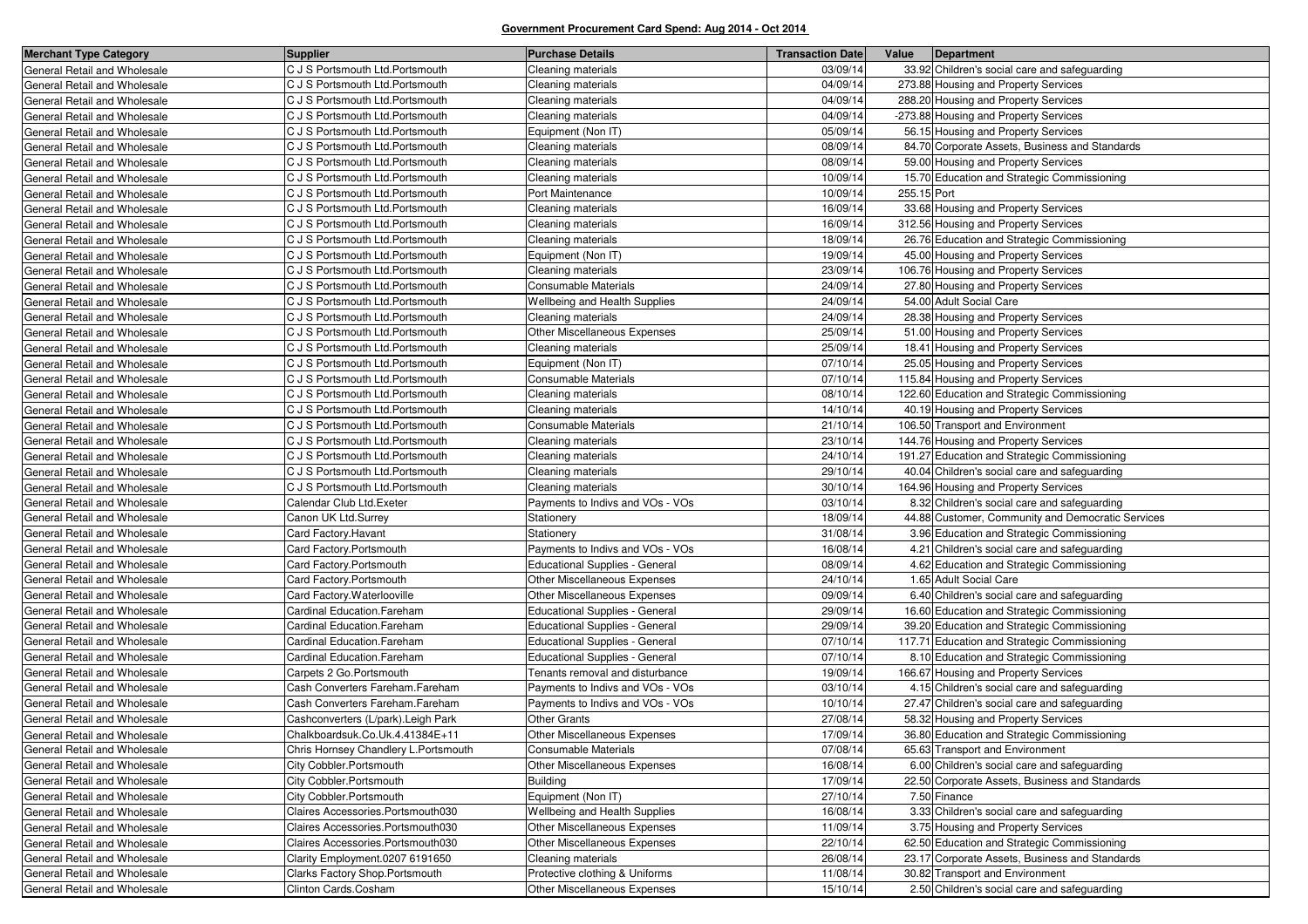| <b>Merchant Type Category</b> | <b>Supplier</b>                       | <b>Purchase Details</b>               | <b>Transaction Date</b> | Value       | Department                                        |
|-------------------------------|---------------------------------------|---------------------------------------|-------------------------|-------------|---------------------------------------------------|
| General Retail and Wholesale  | C J S Portsmouth Ltd. Portsmouth      | Cleaning materials                    | 03/09/14                |             | 33.92 Children's social care and safeguarding     |
| General Retail and Wholesale  | C J S Portsmouth Ltd. Portsmouth      | Cleaning materials                    | 04/09/14                |             | 273.88 Housing and Property Services              |
| General Retail and Wholesale  | C J S Portsmouth Ltd. Portsmouth      | Cleaning materials                    | 04/09/14                |             | 288.20 Housing and Property Services              |
| General Retail and Wholesale  | C J S Portsmouth Ltd. Portsmouth      | Cleaning materials                    | 04/09/14                |             | -273.88 Housing and Property Services             |
| General Retail and Wholesale  | C J S Portsmouth Ltd. Portsmouth      | Equipment (Non IT)                    | 05/09/14                |             | 56.15 Housing and Property Services               |
| General Retail and Wholesale  | C J S Portsmouth Ltd. Portsmouth      | Cleaning materials                    | 08/09/14                |             | 84.70 Corporate Assets, Business and Standards    |
| General Retail and Wholesale  | C J S Portsmouth Ltd. Portsmouth      | Cleaning materials                    | 08/09/14                |             | 59.00 Housing and Property Services               |
| General Retail and Wholesale  | C J S Portsmouth Ltd. Portsmouth      | Cleaning materials                    | 10/09/14                |             | 15.70 Education and Strategic Commissioning       |
| General Retail and Wholesale  | C J S Portsmouth Ltd. Portsmouth      | Port Maintenance                      | 10/09/14                | 255.15 Port |                                                   |
| General Retail and Wholesale  | C J S Portsmouth Ltd. Portsmouth      | Cleaning materials                    | 16/09/14                |             | 33.68 Housing and Property Services               |
| General Retail and Wholesale  | C J S Portsmouth Ltd. Portsmouth      | Cleaning materials                    | 16/09/14                |             | 312.56 Housing and Property Services              |
| General Retail and Wholesale  | C J S Portsmouth Ltd. Portsmouth      | Cleaning materials                    | 18/09/14                |             | 26.76 Education and Strategic Commissioning       |
| General Retail and Wholesale  | C J S Portsmouth Ltd. Portsmouth      | Equipment (Non IT)                    | 19/09/14                |             | 45.00 Housing and Property Services               |
| General Retail and Wholesale  | C J S Portsmouth Ltd. Portsmouth      | Cleaning materials                    | 23/09/14                |             | 106.76 Housing and Property Services              |
| General Retail and Wholesale  | C J S Portsmouth Ltd. Portsmouth      | <b>Consumable Materials</b>           | 24/09/14                |             | 27.80 Housing and Property Services               |
| General Retail and Wholesale  | C J S Portsmouth Ltd. Portsmouth      | Wellbeing and Health Supplies         | 24/09/14                |             | 54.00 Adult Social Care                           |
| General Retail and Wholesale  | C J S Portsmouth Ltd. Portsmouth      | Cleaning materials                    | 24/09/14                |             | 28.38 Housing and Property Services               |
| General Retail and Wholesale  | C J S Portsmouth Ltd. Portsmouth      | Other Miscellaneous Expenses          | 25/09/14                |             | 51.00 Housing and Property Services               |
| General Retail and Wholesale  | C J S Portsmouth Ltd. Portsmouth      | Cleaning materials                    | 25/09/14                |             | 18.41 Housing and Property Services               |
| General Retail and Wholesale  | C J S Portsmouth Ltd. Portsmouth      | Equipment (Non IT)                    | 07/10/14                |             | 25.05 Housing and Property Services               |
| General Retail and Wholesale  | C J S Portsmouth Ltd. Portsmouth      | <b>Consumable Materials</b>           | 07/10/14                |             | 115.84 Housing and Property Services              |
| General Retail and Wholesale  | C J S Portsmouth Ltd. Portsmouth      | Cleaning materials                    | 08/10/14                |             | 122.60 Education and Strategic Commissioning      |
| General Retail and Wholesale  | C J S Portsmouth Ltd. Portsmouth      | Cleaning materials                    | 14/10/14                |             | 40.19 Housing and Property Services               |
| General Retail and Wholesale  | C J S Portsmouth Ltd. Portsmouth      | <b>Consumable Materials</b>           | 21/10/14                |             | 106.50 Transport and Environment                  |
| General Retail and Wholesale  | C J S Portsmouth Ltd. Portsmouth      | Cleaning materials                    | 23/10/14                |             | 144.76 Housing and Property Services              |
| General Retail and Wholesale  | C J S Portsmouth Ltd. Portsmouth      | Cleaning materials                    | 24/10/14                |             | 191.27 Education and Strategic Commissioning      |
| General Retail and Wholesale  | C J S Portsmouth Ltd. Portsmouth      | Cleaning materials                    | 29/10/14                |             | 40.04 Children's social care and safeguarding     |
| General Retail and Wholesale  | C J S Portsmouth Ltd. Portsmouth      | Cleaning materials                    | 30/10/14                |             | 164.96 Housing and Property Services              |
| General Retail and Wholesale  | Calendar Club Ltd.Exeter              | Payments to Indivs and VOs - VOs      | 03/10/14                |             | 8.32 Children's social care and safeguarding      |
| General Retail and Wholesale  | Canon UK Ltd.Surrey                   | Stationery                            | 18/09/14                |             | 44.88 Customer, Community and Democratic Services |
| General Retail and Wholesale  | Card Factory. Havant                  | Stationery                            | 31/08/14                |             | 3.96 Education and Strategic Commissioning        |
| General Retail and Wholesale  | Card Factory.Portsmouth               | Payments to Indivs and VOs - VOs      | 16/08/14                |             | 4.21 Children's social care and safeguarding      |
| General Retail and Wholesale  | Card Factory.Portsmouth               | Educational Supplies - General        | 08/09/14                |             | 4.62 Education and Strategic Commissioning        |
| General Retail and Wholesale  | Card Factory.Portsmouth               | Other Miscellaneous Expenses          | 24/10/14                |             | 1.65 Adult Social Care                            |
| General Retail and Wholesale  | Card Factory. Waterlooville           | Other Miscellaneous Expenses          | 09/09/14                |             | 6.40 Children's social care and safeguarding      |
| General Retail and Wholesale  | Cardinal Education.Fareham            | Educational Supplies - General        | 29/09/14                |             | 16.60 Education and Strategic Commissioning       |
| General Retail and Wholesale  | Cardinal Education.Fareham            | <b>Educational Supplies - General</b> | 29/09/14                |             | 39.20 Education and Strategic Commissioning       |
| General Retail and Wholesale  | Cardinal Education.Fareham            | Educational Supplies - General        | 07/10/14                |             | 117.71 Education and Strategic Commissioning      |
| General Retail and Wholesale  | Cardinal Education.Fareham            | Educational Supplies - General        | 07/10/14                |             | 8.10 Education and Strategic Commissioning        |
| General Retail and Wholesale  | Carpets 2 Go.Portsmouth               | Tenants removal and disturbance       | 19/09/14                |             | 166.67 Housing and Property Services              |
| General Retail and Wholesale  | Cash Converters Fareham.Fareham       | Payments to Indivs and VOs - VOs      | 03/10/14                |             | 4.15 Children's social care and safeguarding      |
| General Retail and Wholesale  | Cash Converters Fareham.Fareham       | Payments to Indivs and VOs - VOs      | 10/10/14                |             | 27.47 Children's social care and safeguarding     |
| General Retail and Wholesale  | Cashconverters (L/park). Leigh Park   | <b>Other Grants</b>                   | 27/08/14                |             | 58.32 Housing and Property Services               |
| General Retail and Wholesale  | Chalkboardsuk.Co.Uk.4.41384E+11       | Other Miscellaneous Expenses          | 17/09/14                |             | 36.80 Education and Strategic Commissioning       |
| General Retail and Wholesale  | Chris Hornsey Chandlery L. Portsmouth | <b>Consumable Materials</b>           | 07/08/14                |             | 65.63 Transport and Environment                   |
| General Retail and Wholesale  | City Cobbler.Portsmouth               | Other Miscellaneous Expenses          | 16/08/14                |             | 6.00 Children's social care and safeguarding      |
| General Retail and Wholesale  | City Cobbler.Portsmouth               | <b>Building</b>                       | 17/09/14                |             | 22.50 Corporate Assets, Business and Standards    |
| General Retail and Wholesale  | City Cobbler.Portsmouth               | Equipment (Non IT)                    | 27/10/14                |             | 7.50 Finance                                      |
| General Retail and Wholesale  | Claires Accessories.Portsmouth030     | Wellbeing and Health Supplies         | 16/08/14                |             | 3.33 Children's social care and safeguarding      |
| General Retail and Wholesale  | Claires Accessories.Portsmouth030     | Other Miscellaneous Expenses          | 11/09/14                |             | 3.75 Housing and Property Services                |
| General Retail and Wholesale  | Claires Accessories.Portsmouth030     | Other Miscellaneous Expenses          | 22/10/14                |             | 62.50 Education and Strategic Commissioning       |
| General Retail and Wholesale  | Clarity Employment.0207 6191650       | Cleaning materials                    | 26/08/14                |             | 23.17 Corporate Assets, Business and Standards    |
| General Retail and Wholesale  | Clarks Factory Shop.Portsmouth        | Protective clothing & Uniforms        | 11/08/14                |             | 30.82 Transport and Environment                   |
| General Retail and Wholesale  | Clinton Cards.Cosham                  | Other Miscellaneous Expenses          | 15/10/14                |             | 2.50 Children's social care and safeguarding      |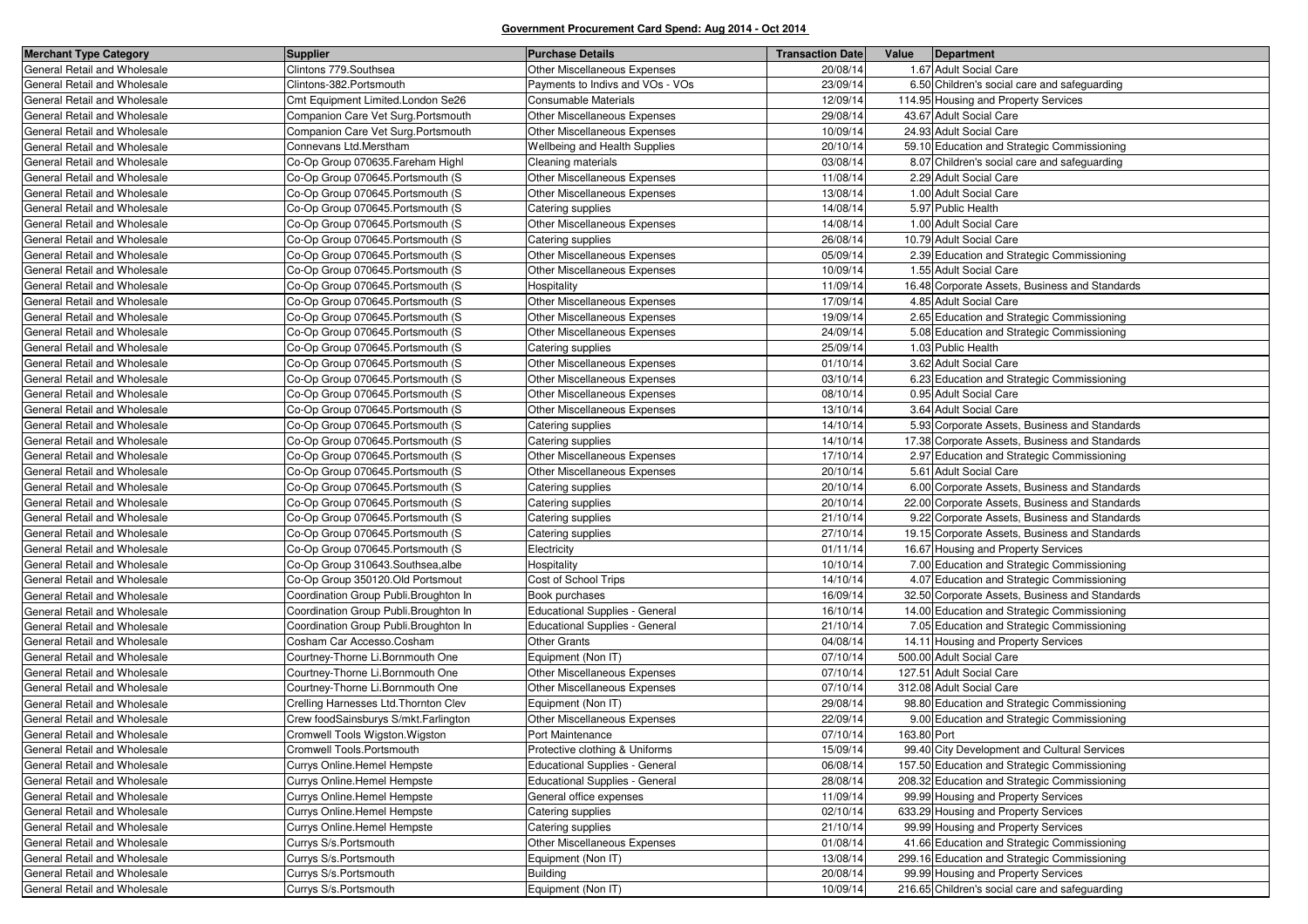| <b>Merchant Type Category</b> | <b>Supplier</b>                        | <b>Purchase Details</b>               | <b>Transaction Date</b> | Value       | Department                                     |
|-------------------------------|----------------------------------------|---------------------------------------|-------------------------|-------------|------------------------------------------------|
| General Retail and Wholesale  | Clintons 779. Southsea                 | Other Miscellaneous Expenses          | 20/08/14                |             | 1.67 Adult Social Care                         |
| General Retail and Wholesale  | Clintons-382.Portsmouth                | Payments to Indivs and VOs - VOs      | 23/09/14                |             | 6.50 Children's social care and safeguarding   |
| General Retail and Wholesale  | Cmt Equipment Limited.London Se26      | Consumable Materials                  | 12/09/14                |             | 114.95 Housing and Property Services           |
| General Retail and Wholesale  | Companion Care Vet Surg. Portsmouth    | Other Miscellaneous Expenses          | 29/08/14                |             | 43.67 Adult Social Care                        |
| General Retail and Wholesale  | Companion Care Vet Surg. Portsmouth    | Other Miscellaneous Expenses          | 10/09/14                |             | 24.93 Adult Social Care                        |
| General Retail and Wholesale  | Connevans Ltd.Merstham                 | Wellbeing and Health Supplies         | 20/10/14                |             | 59.10 Education and Strategic Commissioning    |
| General Retail and Wholesale  | Co-Op Group 070635. Fareham Highl      | Cleaning materials                    | 03/08/14                |             | 8.07 Children's social care and safeguarding   |
| General Retail and Wholesale  | Co-Op Group 070645. Portsmouth (S      | Other Miscellaneous Expenses          | 11/08/14                |             | 2.29 Adult Social Care                         |
| General Retail and Wholesale  | Co-Op Group 070645. Portsmouth (S      | Other Miscellaneous Expenses          | 13/08/14                |             | 1.00 Adult Social Care                         |
| General Retail and Wholesale  | Co-Op Group 070645. Portsmouth (S      | Catering supplies                     | 14/08/14                |             | 5.97 Public Health                             |
| General Retail and Wholesale  | Co-Op Group 070645. Portsmouth (S      | Other Miscellaneous Expenses          | 14/08/14                |             | 1.00 Adult Social Care                         |
| General Retail and Wholesale  | Co-Op Group 070645. Portsmouth (S      | Catering supplies                     | 26/08/14                |             | 10.79 Adult Social Care                        |
| General Retail and Wholesale  | Co-Op Group 070645. Portsmouth (S      | Other Miscellaneous Expenses          | 05/09/14                |             | 2.39 Education and Strategic Commissioning     |
| General Retail and Wholesale  | Co-Op Group 070645. Portsmouth (S      | Other Miscellaneous Expenses          | 10/09/14                |             | 1.55 Adult Social Care                         |
| General Retail and Wholesale  | Co-Op Group 070645. Portsmouth (S      | Hospitality                           | 11/09/14                |             | 16.48 Corporate Assets, Business and Standards |
| General Retail and Wholesale  | Co-Op Group 070645. Portsmouth (S      | Other Miscellaneous Expenses          | 17/09/14                |             | 4.85 Adult Social Care                         |
| General Retail and Wholesale  | Co-Op Group 070645. Portsmouth (S      | Other Miscellaneous Expenses          | 19/09/14                |             | 2.65 Education and Strategic Commissioning     |
| General Retail and Wholesale  | Co-Op Group 070645. Portsmouth (S      | Other Miscellaneous Expenses          | 24/09/14                |             | 5.08 Education and Strategic Commissioning     |
| General Retail and Wholesale  | Co-Op Group 070645. Portsmouth (S      | Catering supplies                     | 25/09/14                |             | 1.03 Public Health                             |
| General Retail and Wholesale  | Co-Op Group 070645. Portsmouth (S      | Other Miscellaneous Expenses          | 01/10/14                |             | 3.62 Adult Social Care                         |
| General Retail and Wholesale  | Co-Op Group 070645. Portsmouth (S      | Other Miscellaneous Expenses          | 03/10/14                |             | 6.23 Education and Strategic Commissioning     |
| General Retail and Wholesale  | Co-Op Group 070645. Portsmouth (S      | Other Miscellaneous Expenses          | 08/10/14                |             | 0.95 Adult Social Care                         |
| General Retail and Wholesale  | Co-Op Group 070645. Portsmouth (S      | Other Miscellaneous Expenses          | 13/10/14                |             | 3.64 Adult Social Care                         |
| General Retail and Wholesale  | Co-Op Group 070645. Portsmouth (S      | Catering supplies                     | 14/10/14                |             | 5.93 Corporate Assets, Business and Standards  |
| General Retail and Wholesale  | Co-Op Group 070645. Portsmouth (S      | Catering supplies                     | 14/10/14                |             | 17.38 Corporate Assets, Business and Standards |
| General Retail and Wholesale  | Co-Op Group 070645. Portsmouth (S      | Other Miscellaneous Expenses          | 17/10/14                |             | 2.97 Education and Strategic Commissioning     |
| General Retail and Wholesale  | Co-Op Group 070645. Portsmouth (S      | Other Miscellaneous Expenses          | 20/10/14                |             | 5.61 Adult Social Care                         |
| General Retail and Wholesale  | Co-Op Group 070645. Portsmouth (S      | Catering supplies                     | 20/10/14                |             | 6.00 Corporate Assets, Business and Standards  |
| General Retail and Wholesale  | Co-Op Group 070645. Portsmouth (S      | Catering supplies                     | 20/10/14                |             | 22.00 Corporate Assets, Business and Standards |
| General Retail and Wholesale  | Co-Op Group 070645. Portsmouth (S      | Catering supplies                     | 21/10/14                |             | 9.22 Corporate Assets, Business and Standards  |
| General Retail and Wholesale  | Co-Op Group 070645. Portsmouth (S      | Catering supplies                     | 27/10/14                |             | 19.15 Corporate Assets, Business and Standards |
| General Retail and Wholesale  | Co-Op Group 070645. Portsmouth (S      | Electricity                           | 01/11/14                |             | 16.67 Housing and Property Services            |
| General Retail and Wholesale  | Co-Op Group 310643. Southsea, albe     | Hospitality                           | 10/10/14                |             | 7.00 Education and Strategic Commissioning     |
| General Retail and Wholesale  | Co-Op Group 350120.Old Portsmout       | Cost of School Trips                  | 14/10/14                |             | 4.07 Education and Strategic Commissioning     |
| General Retail and Wholesale  | Coordination Group Publi. Broughton In | Book purchases                        | 16/09/14                |             | 32.50 Corporate Assets, Business and Standards |
| General Retail and Wholesale  | Coordination Group Publi. Broughton In | Educational Supplies - General        | 16/10/14                |             | 14.00 Education and Strategic Commissioning    |
| General Retail and Wholesale  | Coordination Group Publi. Broughton In | Educational Supplies - General        | 21/10/14                |             | 7.05 Education and Strategic Commissioning     |
| General Retail and Wholesale  | Cosham Car Accesso.Cosham              | <b>Other Grants</b>                   | 04/08/14                |             | 14.11 Housing and Property Services            |
| General Retail and Wholesale  | Courtney-Thorne Li.Bornmouth One       | Equipment (Non IT)                    | 07/10/14                |             | 500.00 Adult Social Care                       |
| General Retail and Wholesale  | Courtney-Thorne Li.Bornmouth One       | Other Miscellaneous Expenses          | 07/10/14                |             | 127.51 Adult Social Care                       |
| General Retail and Wholesale  | Courtney-Thorne Li.Bornmouth One       | <b>Other Miscellaneous Expenses</b>   | 07/10/14                |             | 312.08 Adult Social Care                       |
| General Retail and Wholesale  | Crelling Harnesses Ltd. Thornton Clev  | Equipment (Non IT)                    | 29/08/14                |             | 98.80 Education and Strategic Commissioning    |
| General Retail and Wholesale  | Crew foodSainsburys S/mkt.Farlington   | Other Miscellaneous Expenses          | 22/09/14                |             | 9.00 Education and Strategic Commissioning     |
| General Retail and Wholesale  | Cromwell Tools Wigston. Wigston        | Port Maintenance                      | 07/10/14                | 163.80 Port |                                                |
| General Retail and Wholesale  | Cromwell Tools.Portsmouth              | Protective clothing & Uniforms        | 15/09/14                |             | 99.40 City Development and Cultural Services   |
| General Retail and Wholesale  | Currys Online.Hemel Hempste            | <b>Educational Supplies - General</b> | 06/08/14                |             | 157.50 Education and Strategic Commissioning   |
| General Retail and Wholesale  | <b>Currys Online.Hemel Hempste</b>     | <b>Educational Supplies - General</b> | 28/08/14                |             | 208.32 Education and Strategic Commissioning   |
| General Retail and Wholesale  | Currys Online.Hemel Hempste            | General office expenses               | 11/09/14                |             | 99.99 Housing and Property Services            |
| General Retail and Wholesale  | Currys Online.Hemel Hempste            | Catering supplies                     | 02/10/14                |             | 633.29 Housing and Property Services           |
| General Retail and Wholesale  | Currys Online. Hemel Hempste           | Catering supplies                     | 21/10/14                |             | 99.99 Housing and Property Services            |
| General Retail and Wholesale  | Currys S/s.Portsmouth                  | Other Miscellaneous Expenses          | 01/08/14                |             | 41.66 Education and Strategic Commissioning    |
| General Retail and Wholesale  | Currys S/s.Portsmouth                  | Equipment (Non IT)                    | 13/08/14                |             | 299.16 Education and Strategic Commissioning   |
| General Retail and Wholesale  | Currys S/s.Portsmouth                  | <b>Building</b>                       | 20/08/14                |             | 99.99 Housing and Property Services            |
| General Retail and Wholesale  | Currys S/s.Portsmouth                  | Equipment (Non IT)                    | 10/09/14                |             | 216.65 Children's social care and safeguarding |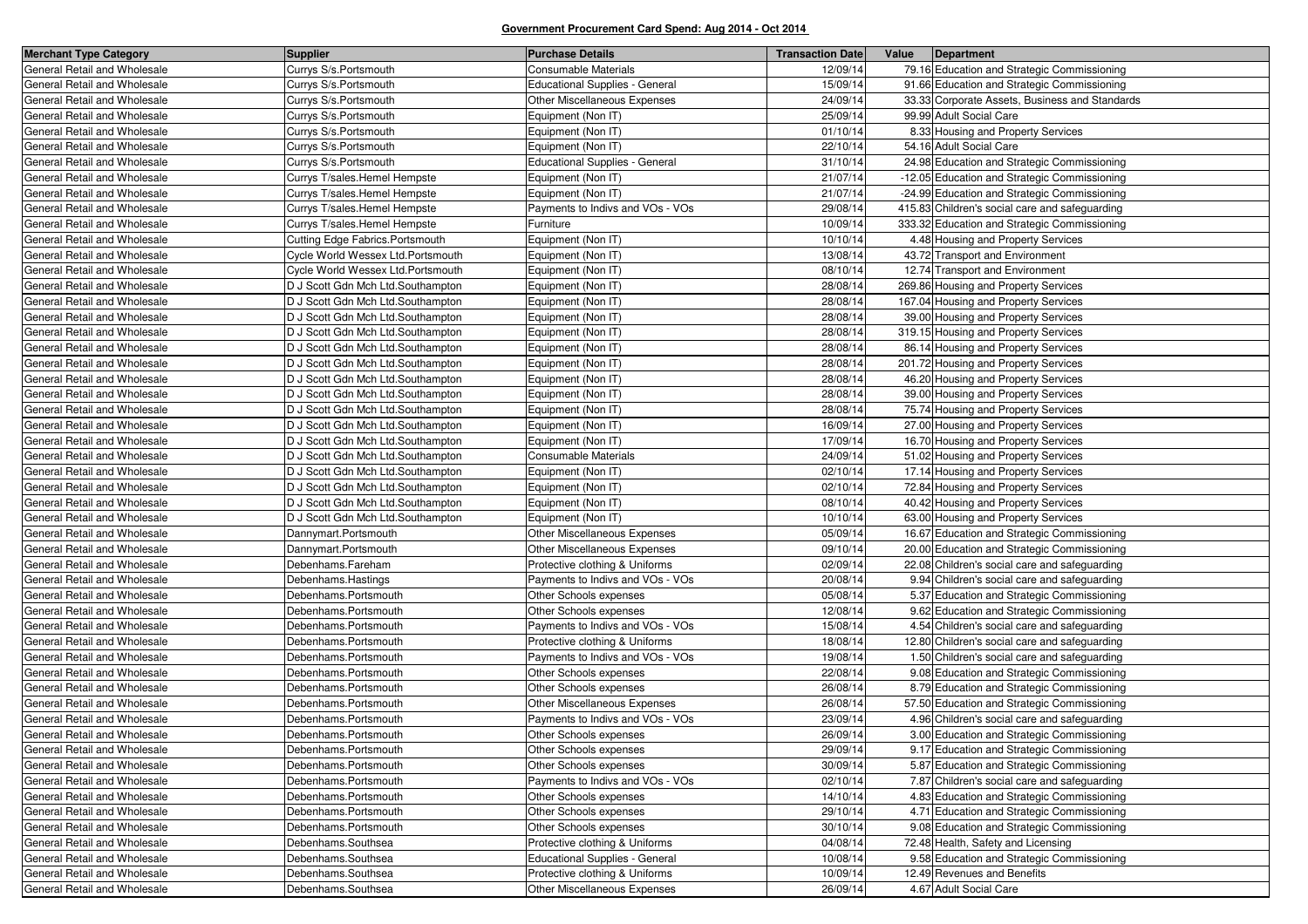| <b>Merchant Type Category</b> | <b>Supplier</b>                   | <b>Purchase Details</b>               | <b>Transaction Date</b> | Value | Department                                     |
|-------------------------------|-----------------------------------|---------------------------------------|-------------------------|-------|------------------------------------------------|
| General Retail and Wholesale  | Currys S/s.Portsmouth             | Consumable Materials                  | 12/09/14                |       | 79.16 Education and Strategic Commissioning    |
| General Retail and Wholesale  | Currys S/s.Portsmouth             | <b>Educational Supplies - General</b> | 15/09/14                |       | 91.66 Education and Strategic Commissioning    |
| General Retail and Wholesale  | Currys S/s.Portsmouth             | Other Miscellaneous Expenses          | 24/09/14                |       | 33.33 Corporate Assets, Business and Standards |
| General Retail and Wholesale  | Currys S/s.Portsmouth             | Equipment (Non IT)                    | 25/09/14                |       | 99.99 Adult Social Care                        |
| General Retail and Wholesale  | Currys S/s.Portsmouth             | Equipment (Non IT)                    | 01/10/14                |       | 8.33 Housing and Property Services             |
| General Retail and Wholesale  | Currys S/s.Portsmouth             | Equipment (Non IT)                    | 22/10/14                |       | 54.16 Adult Social Care                        |
| General Retail and Wholesale  | Currys S/s.Portsmouth             | <b>Educational Supplies - General</b> | 31/10/14                |       | 24.98 Education and Strategic Commissioning    |
| General Retail and Wholesale  | Currys T/sales.Hemel Hempste      | Equipment (Non IT)                    | 21/07/14                |       | -12.05 Education and Strategic Commissioning   |
| General Retail and Wholesale  | Currys T/sales.Hemel Hempste      | Equipment (Non IT)                    | 21/07/14                |       | -24.99 Education and Strategic Commissioning   |
| General Retail and Wholesale  | Currys T/sales.Hemel Hempste      | Payments to Indivs and VOs - VOs      | 29/08/14                |       | 415.83 Children's social care and safeguarding |
| General Retail and Wholesale  | Currys T/sales.Hemel Hempste      | Furniture                             | 10/09/14                |       | 333.32 Education and Strategic Commissioning   |
| General Retail and Wholesale  | Cutting Edge Fabrics.Portsmouth   | Equipment (Non IT)                    | 10/10/14                |       | 4.48 Housing and Property Services             |
| General Retail and Wholesale  | Cycle World Wessex Ltd.Portsmouth | Equipment (Non IT)                    | 13/08/14                |       | 43.72 Transport and Environment                |
| General Retail and Wholesale  | Cycle World Wessex Ltd.Portsmouth | Equipment (Non IT)                    | 08/10/14                |       | 12.74 Transport and Environment                |
| General Retail and Wholesale  | D J Scott Gdn Mch Ltd.Southampton | Equipment (Non IT)                    | 28/08/14                |       | 269.86 Housing and Property Services           |
| General Retail and Wholesale  | D J Scott Gdn Mch Ltd.Southampton | Equipment (Non IT)                    | 28/08/14                |       | 167.04 Housing and Property Services           |
| General Retail and Wholesale  | D J Scott Gdn Mch Ltd.Southampton | Equipment (Non IT)                    | 28/08/14                |       | 39.00 Housing and Property Services            |
| General Retail and Wholesale  | D J Scott Gdn Mch Ltd.Southampton | Equipment (Non IT)                    | 28/08/14                |       | 319.15 Housing and Property Services           |
| General Retail and Wholesale  | D J Scott Gdn Mch Ltd.Southampton | Equipment (Non IT)                    | 28/08/14                |       | 86.14 Housing and Property Services            |
| General Retail and Wholesale  | D J Scott Gdn Mch Ltd.Southampton | Equipment (Non IT)                    | 28/08/14                |       | 201.72 Housing and Property Services           |
| General Retail and Wholesale  | D J Scott Gdn Mch Ltd.Southampton | Equipment (Non IT)                    | 28/08/14                |       | 46.20 Housing and Property Services            |
| General Retail and Wholesale  | D J Scott Gdn Mch Ltd.Southampton | Equipment (Non IT)                    | 28/08/14                |       | 39.00 Housing and Property Services            |
| General Retail and Wholesale  | D J Scott Gdn Mch Ltd.Southampton | Equipment (Non IT)                    | 28/08/14                |       | 75.74 Housing and Property Services            |
| General Retail and Wholesale  | D J Scott Gdn Mch Ltd.Southampton | Equipment (Non IT)                    | 16/09/14                |       | 27.00 Housing and Property Services            |
| General Retail and Wholesale  | D J Scott Gdn Mch Ltd.Southampton | Equipment (Non IT)                    | 17/09/14                |       | 16.70 Housing and Property Services            |
| General Retail and Wholesale  | D J Scott Gdn Mch Ltd.Southampton | Consumable Materials                  | 24/09/14                |       | 51.02 Housing and Property Services            |
| General Retail and Wholesale  | D J Scott Gdn Mch Ltd.Southampton | Equipment (Non IT)                    | 02/10/14                |       | 17.14 Housing and Property Services            |
| General Retail and Wholesale  | D J Scott Gdn Mch Ltd.Southampton | Equipment (Non IT)                    | 02/10/14                |       | 72.84 Housing and Property Services            |
| General Retail and Wholesale  | D J Scott Gdn Mch Ltd.Southampton | Equipment (Non IT)                    | 08/10/14                |       | 40.42 Housing and Property Services            |
| General Retail and Wholesale  | D J Scott Gdn Mch Ltd.Southampton | Equipment (Non IT)                    | 10/10/14                |       | 63.00 Housing and Property Services            |
| General Retail and Wholesale  | Dannymart.Portsmouth              | Other Miscellaneous Expenses          | 05/09/14                |       | 16.67 Education and Strategic Commissioning    |
| General Retail and Wholesale  | Dannymart.Portsmouth              | Other Miscellaneous Expenses          | 09/10/14                |       | 20.00 Education and Strategic Commissioning    |
| General Retail and Wholesale  | Debenhams.Fareham                 | Protective clothing & Uniforms        | 02/09/14                |       | 22.08 Children's social care and safeguarding  |
| General Retail and Wholesale  | Debenhams.Hastings                | Payments to Indivs and VOs - VOs      | 20/08/14                |       | 9.94 Children's social care and safeguarding   |
| General Retail and Wholesale  | Debenhams.Portsmouth              | Other Schools expenses                | 05/08/14                |       | 5.37 Education and Strategic Commissioning     |
| General Retail and Wholesale  | Debenhams.Portsmouth              | Other Schools expenses                | 12/08/14                |       | 9.62 Education and Strategic Commissioning     |
| General Retail and Wholesale  | Debenhams.Portsmouth              | Payments to Indivs and VOs - VOs      | 15/08/14                |       | 4.54 Children's social care and safeguarding   |
| General Retail and Wholesale  | Debenhams.Portsmouth              | Protective clothing & Uniforms        | 18/08/14                |       | 12.80 Children's social care and safeguarding  |
| General Retail and Wholesale  | Debenhams.Portsmouth              | Payments to Indivs and VOs - VOs      | 19/08/14                |       | 1.50 Children's social care and safeguarding   |
| General Retail and Wholesale  | Debenhams.Portsmouth              | Other Schools expenses                | 22/08/14                |       | 9.08 Education and Strategic Commissioning     |
| General Retail and Wholesale  | Debenhams.Portsmouth              | Other Schools expenses                | 26/08/14                |       | 8.79 Education and Strategic Commissioning     |
| General Retail and Wholesale  | Debenhams.Portsmouth              | Other Miscellaneous Expenses          | 26/08/14                |       | 57.50 Education and Strategic Commissioning    |
| General Retail and Wholesale  | Debenhams.Portsmouth              | Payments to Indivs and VOs - VOs      | 23/09/14                |       | 4.96 Children's social care and safeguarding   |
| General Retail and Wholesale  | Debenhams.Portsmouth              | Other Schools expenses                | 26/09/14                |       | 3.00 Education and Strategic Commissioning     |
| General Retail and Wholesale  | Debenhams.Portsmouth              | Other Schools expenses                | 29/09/14                |       | 9.17 Education and Strategic Commissioning     |
| General Retail and Wholesale  | Debenhams.Portsmouth              | Other Schools expenses                | 30/09/14                |       | 5.87 Education and Strategic Commissioning     |
| General Retail and Wholesale  | Debenhams.Portsmouth              | Payments to Indivs and VOs - VOs      | 02/10/14                |       | 7.87 Children's social care and safeguarding   |
| General Retail and Wholesale  | Debenhams.Portsmouth              | Other Schools expenses                | 14/10/14                |       | 4.83 Education and Strategic Commissioning     |
| General Retail and Wholesale  | Debenhams.Portsmouth              | Other Schools expenses                | 29/10/14                |       | 4.71 Education and Strategic Commissioning     |
| General Retail and Wholesale  | Debenhams.Portsmouth              | Other Schools expenses                | 30/10/14                |       | 9.08 Education and Strategic Commissioning     |
| General Retail and Wholesale  | Debenhams.Southsea                | Protective clothing & Uniforms        | 04/08/14                |       | 72.48 Health, Safety and Licensing             |
| General Retail and Wholesale  | Debenhams.Southsea                | <b>Educational Supplies - General</b> | 10/08/14                |       | 9.58 Education and Strategic Commissioning     |
| General Retail and Wholesale  | Debenhams.Southsea                | Protective clothing & Uniforms        | 10/09/14                |       | 12.49 Revenues and Benefits                    |
| General Retail and Wholesale  | Debenhams.Southsea                | Other Miscellaneous Expenses          | 26/09/14                |       | 4.67 Adult Social Care                         |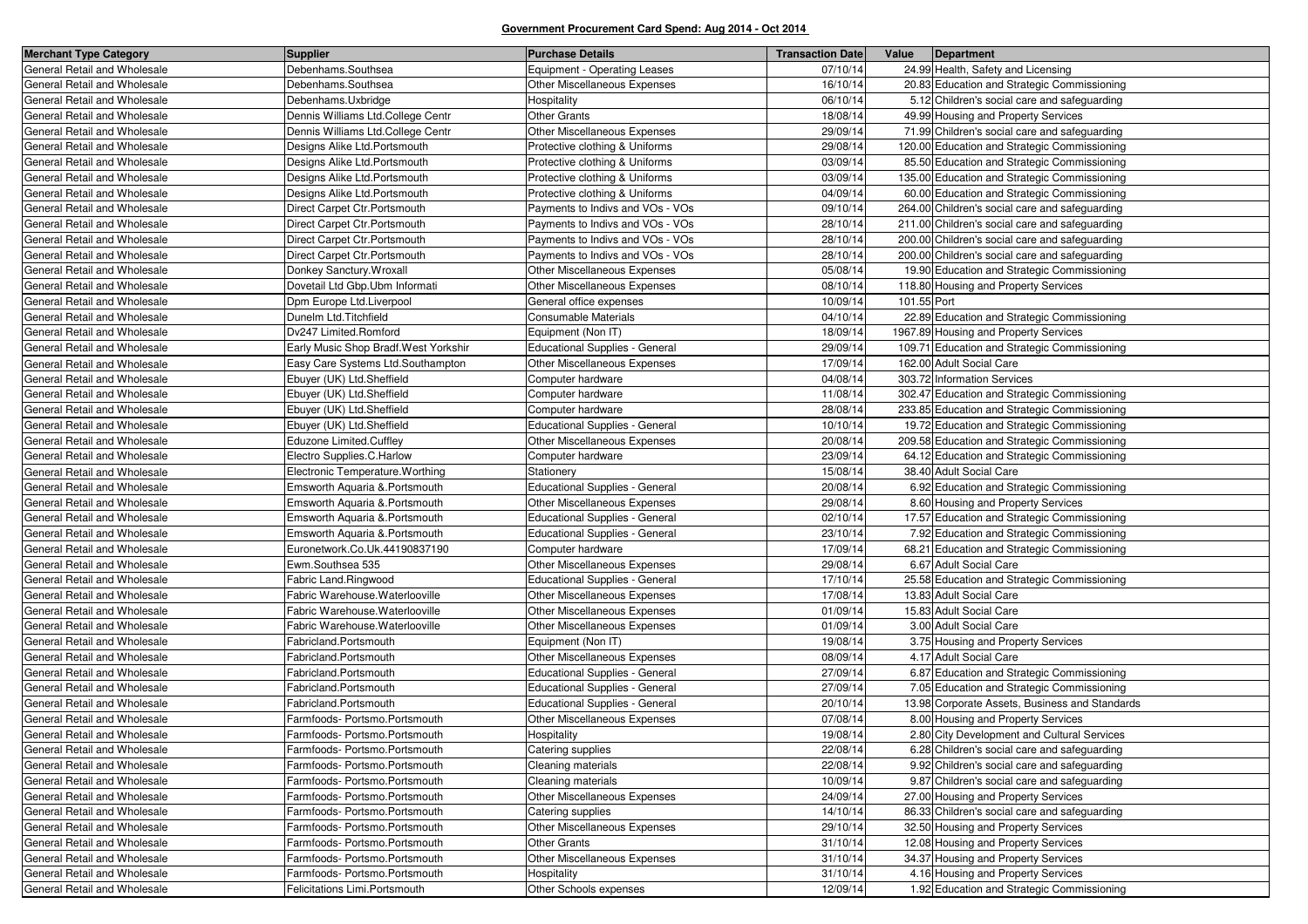| <b>Merchant Type Category</b> | <b>Supplier</b>                       | <b>Purchase Details</b>               | <b>Transaction Date</b> | Value<br>Department                            |
|-------------------------------|---------------------------------------|---------------------------------------|-------------------------|------------------------------------------------|
| General Retail and Wholesale  | Debenhams.Southsea                    | Equipment - Operating Leases          | 07/10/14                | 24.99 Health, Safety and Licensing             |
| General Retail and Wholesale  | Debenhams.Southsea                    | Other Miscellaneous Expenses          | 16/10/14                | 20.83 Education and Strategic Commissioning    |
| General Retail and Wholesale  | Debenhams.Uxbridge                    | Hospitality                           | 06/10/14                | 5.12 Children's social care and safeguarding   |
| General Retail and Wholesale  | Dennis Williams Ltd.College Centr     | <b>Other Grants</b>                   | 18/08/14                | 49.99 Housing and Property Services            |
| General Retail and Wholesale  | Dennis Williams Ltd.College Centr     | Other Miscellaneous Expenses          | 29/09/14                | 71.99 Children's social care and safeguarding  |
| General Retail and Wholesale  | Designs Alike Ltd. Portsmouth         | Protective clothing & Uniforms        | 29/08/14                | 120.00 Education and Strategic Commissioning   |
| General Retail and Wholesale  | Designs Alike Ltd.Portsmouth          | Protective clothing & Uniforms        | 03/09/14                | 85.50 Education and Strategic Commissioning    |
| General Retail and Wholesale  | Designs Alike Ltd.Portsmouth          | Protective clothing & Uniforms        | 03/09/14                | 135.00 Education and Strategic Commissioning   |
| General Retail and Wholesale  | Designs Alike Ltd. Portsmouth         | Protective clothing & Uniforms        | 04/09/14                | 60.00 Education and Strategic Commissioning    |
| General Retail and Wholesale  | Direct Carpet Ctr. Portsmouth         | Payments to Indivs and VOs - VOs      | 09/10/14                | 264.00 Children's social care and safeguarding |
| General Retail and Wholesale  | Direct Carpet Ctr. Portsmouth         | Payments to Indivs and VOs - VOs      | 28/10/14                | 211.00 Children's social care and safeguarding |
| General Retail and Wholesale  | Direct Carpet Ctr. Portsmouth         | Payments to Indivs and VOs - VOs      | 28/10/14                | 200.00 Children's social care and safeguarding |
| General Retail and Wholesale  | Direct Carpet Ctr. Portsmouth         | Payments to Indivs and VOs - VOs      | 28/10/14                | 200.00 Children's social care and safeguarding |
| General Retail and Wholesale  | Donkey Sanctury. Wroxall              | Other Miscellaneous Expenses          | 05/08/14                | 19.90 Education and Strategic Commissioning    |
| General Retail and Wholesale  | Dovetail Ltd Gbp. Ubm Informati       | Other Miscellaneous Expenses          | 08/10/14                | 118.80 Housing and Property Services           |
| General Retail and Wholesale  | Dpm Europe Ltd.Liverpool              | General office expenses               | 10/09/14                | 101.55 Port                                    |
| General Retail and Wholesale  | Dunelm Ltd. Titchfield                | Consumable Materials                  | 04/10/14                | 22.89 Education and Strategic Commissioning    |
| General Retail and Wholesale  | Dv247 Limited.Romford                 | Equipment (Non IT)                    | 18/09/14                | 1967.89 Housing and Property Services          |
| General Retail and Wholesale  | Early Music Shop Bradf. West Yorkshir | Educational Supplies - General        | 29/09/14                | 109.71 Education and Strategic Commissioning   |
| General Retail and Wholesale  | Easy Care Systems Ltd.Southampton     | Other Miscellaneous Expenses          | 17/09/14                | 162.00 Adult Social Care                       |
| General Retail and Wholesale  | Ebuyer (UK) Ltd.Sheffield             | Computer hardware                     | 04/08/14                | 303.72 Information Services                    |
| General Retail and Wholesale  | Ebuyer (UK) Ltd.Sheffield             | Computer hardware                     | 11/08/14                | 302.47 Education and Strategic Commissioning   |
| General Retail and Wholesale  | Ebuyer (UK) Ltd.Sheffield             | Computer hardware                     | 28/08/14                | 233.85 Education and Strategic Commissioning   |
| General Retail and Wholesale  | Ebuyer (UK) Ltd.Sheffield             | Educational Supplies - General        | 10/10/14                | 19.72 Education and Strategic Commissioning    |
| General Retail and Wholesale  | Eduzone Limited.Cuffley               | Other Miscellaneous Expenses          | 20/08/14                | 209.58 Education and Strategic Commissioning   |
| General Retail and Wholesale  | Electro Supplies.C.Harlow             | Computer hardware                     | 23/09/14                | 64.12 Education and Strategic Commissioning    |
| General Retail and Wholesale  | Electronic Temperature. Worthing      | Stationery                            | 15/08/14                | 38.40 Adult Social Care                        |
| General Retail and Wholesale  | Emsworth Aguaria & Portsmouth         | Educational Supplies - General        | 20/08/14                | 6.92 Education and Strategic Commissioning     |
| General Retail and Wholesale  | Emsworth Aquaria & Portsmouth         | Other Miscellaneous Expenses          | 29/08/14                | 8.60 Housing and Property Services             |
| General Retail and Wholesale  | Emsworth Aquaria & Portsmouth         | Educational Supplies - General        | 02/10/14                | 17.57 Education and Strategic Commissioning    |
| General Retail and Wholesale  | Emsworth Aquaria & Portsmouth         | Educational Supplies - General        | 23/10/14                | 7.92 Education and Strategic Commissioning     |
| General Retail and Wholesale  | Euronetwork.Co.Uk.44190837190         | Computer hardware                     | 17/09/14                | 68.21 Education and Strategic Commissioning    |
| General Retail and Wholesale  | Ewm.Southsea 535                      | Other Miscellaneous Expenses          | 29/08/14                | 6.67 Adult Social Care                         |
| General Retail and Wholesale  | Fabric Land.Ringwood                  | <b>Educational Supplies - General</b> | 17/10/14                | 25.58 Education and Strategic Commissioning    |
| General Retail and Wholesale  | Fabric Warehouse.Waterlooville        | Other Miscellaneous Expenses          | 17/08/14                | 13.83 Adult Social Care                        |
| General Retail and Wholesale  | Fabric Warehouse.Waterlooville        | Other Miscellaneous Expenses          | 01/09/14                | 15.83 Adult Social Care                        |
| General Retail and Wholesale  | Fabric Warehouse.Waterlooville        | Other Miscellaneous Expenses          | 01/09/14                | 3.00 Adult Social Care                         |
| General Retail and Wholesale  | Fabricland.Portsmouth                 | Equipment (Non IT)                    | 19/08/14                | 3.75 Housing and Property Services             |
| General Retail and Wholesale  | Fabricland.Portsmouth                 | Other Miscellaneous Expenses          | 08/09/14                | 4.17 Adult Social Care                         |
| General Retail and Wholesale  | Fabricland.Portsmouth                 | <b>Educational Supplies - General</b> | 27/09/14                | 6.87 Education and Strategic Commissioning     |
| General Retail and Wholesale  | Fabricland.Portsmouth                 | Educational Supplies - General        | 27/09/14                | 7.05 Education and Strategic Commissioning     |
| General Retail and Wholesale  | Fabricland.Portsmouth                 | Educational Supplies - General        | 20/10/14                | 13.98 Corporate Assets, Business and Standards |
| General Retail and Wholesale  | Farmfoods- Portsmo.Portsmouth         | Other Miscellaneous Expenses          | 07/08/14                | 8.00 Housing and Property Services             |
| General Retail and Wholesale  | Farmfoods- Portsmo.Portsmouth         | Hospitality                           | 19/08/14                | 2.80 City Development and Cultural Services    |
| General Retail and Wholesale  | Farmfoods- Portsmo.Portsmouth         | Catering supplies                     | 22/08/14                | 6.28 Children's social care and safeguarding   |
| General Retail and Wholesale  | Farmfoods- Portsmo.Portsmouth         | Cleaning materials                    | 22/08/14                | 9.92 Children's social care and safeguarding   |
| General Retail and Wholesale  | Farmfoods- Portsmo.Portsmouth         | Cleaning materials                    | 10/09/14                | 9.87 Children's social care and safeguarding   |
| General Retail and Wholesale  | Farmfoods- Portsmo.Portsmouth         | Other Miscellaneous Expenses          | 24/09/14                | 27.00 Housing and Property Services            |
| General Retail and Wholesale  | Farmfoods- Portsmo.Portsmouth         | Catering supplies                     | 14/10/14                | 86.33 Children's social care and safeguarding  |
| General Retail and Wholesale  | Farmfoods- Portsmo.Portsmouth         | Other Miscellaneous Expenses          | 29/10/14                | 32.50 Housing and Property Services            |
| General Retail and Wholesale  | Farmfoods- Portsmo.Portsmouth         | <b>Other Grants</b>                   | 31/10/14                | 12.08 Housing and Property Services            |
| General Retail and Wholesale  | Farmfoods- Portsmo.Portsmouth         | Other Miscellaneous Expenses          | 31/10/14                | 34.37 Housing and Property Services            |
| General Retail and Wholesale  | Farmfoods- Portsmo.Portsmouth         | Hospitality                           | 31/10/14                | 4.16 Housing and Property Services             |
| General Retail and Wholesale  | Felicitations Limi.Portsmouth         | Other Schools expenses                | 12/09/14                | 1.92 Education and Strategic Commissioning     |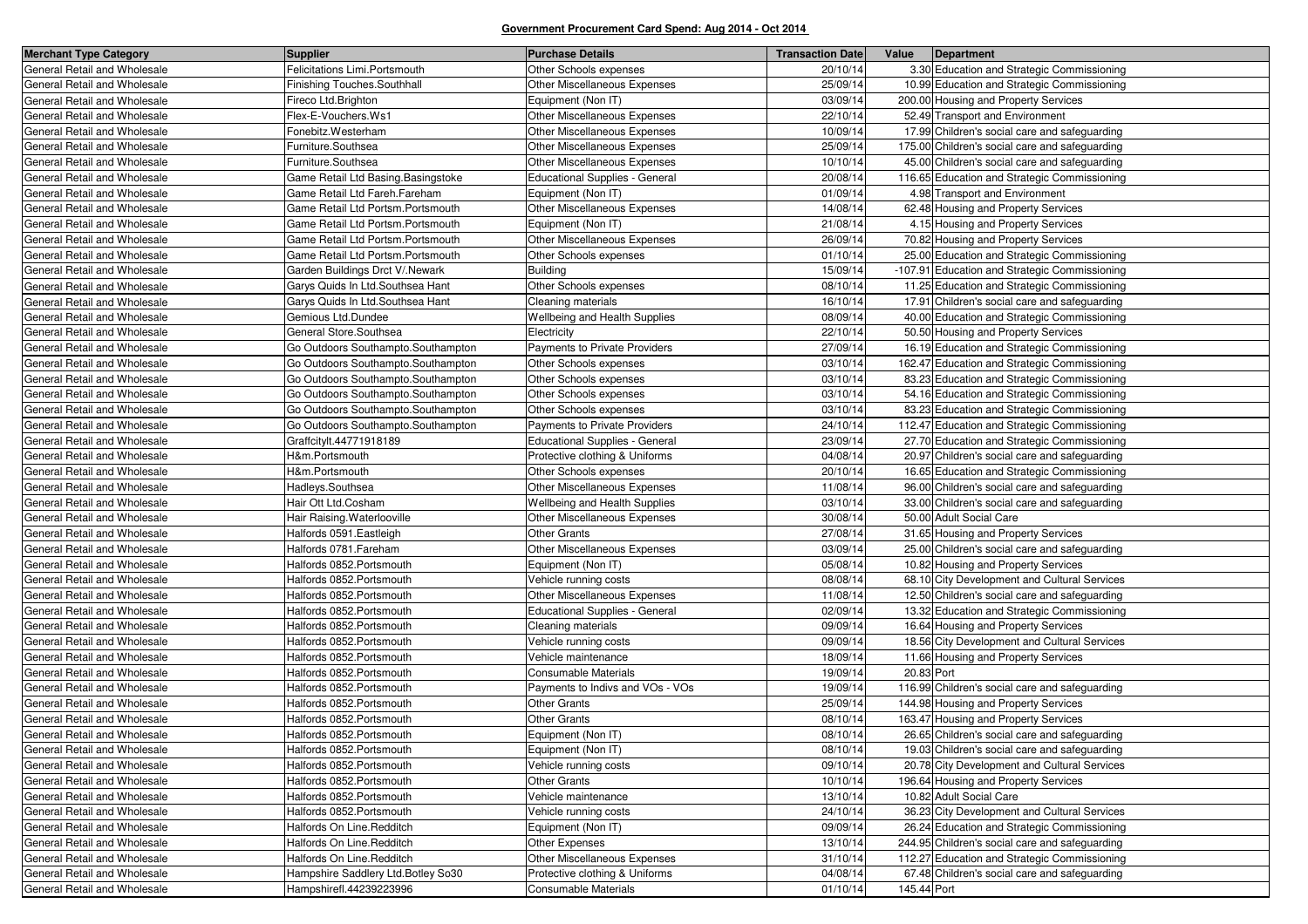| <b>Merchant Type Category</b> | <b>Supplier</b>                    | <b>Purchase Details</b>               | <b>Transaction Date</b> | Value       | Department                                     |
|-------------------------------|------------------------------------|---------------------------------------|-------------------------|-------------|------------------------------------------------|
| General Retail and Wholesale  | Felicitations Limi.Portsmouth      | Other Schools expenses                | 20/10/14                |             | 3.30 Education and Strategic Commissioning     |
| General Retail and Wholesale  | Finishing Touches.Southhall        | Other Miscellaneous Expenses          | 25/09/14                |             | 10.99 Education and Strategic Commissioning    |
| General Retail and Wholesale  | Fireco Ltd.Brighton                | Equipment (Non IT)                    | 03/09/14                |             | 200.00 Housing and Property Services           |
| General Retail and Wholesale  | Flex-E-Vouchers.Ws1                | Other Miscellaneous Expenses          | 22/10/14                |             | 52.49 Transport and Environment                |
| General Retail and Wholesale  | Fonebitz.Westerham                 | Other Miscellaneous Expenses          | 10/09/14                |             | 17.99 Children's social care and safeguarding  |
| General Retail and Wholesale  | Furniture.Southsea                 | <b>Other Miscellaneous Expenses</b>   | 25/09/14                |             | 175.00 Children's social care and safeguarding |
| General Retail and Wholesale  | Furniture.Southsea                 | Other Miscellaneous Expenses          | 10/10/14                |             | 45.00 Children's social care and safeguarding  |
| General Retail and Wholesale  | Game Retail Ltd Basing.Basingstoke | Educational Supplies - General        | 20/08/14                |             | 116.65 Education and Strategic Commissioning   |
| General Retail and Wholesale  | Game Retail Ltd Fareh.Fareham      | Equipment (Non IT)                    | 01/09/14                |             | 4.98 Transport and Environment                 |
| General Retail and Wholesale  | Game Retail Ltd Portsm.Portsmouth  | Other Miscellaneous Expenses          | 14/08/14                |             | 62.48 Housing and Property Services            |
| General Retail and Wholesale  | Game Retail Ltd Portsm.Portsmouth  | Equipment (Non IT)                    | 21/08/14                |             | 4.15 Housing and Property Services             |
| General Retail and Wholesale  | Game Retail Ltd Portsm.Portsmouth  | Other Miscellaneous Expenses          | 26/09/14                |             | 70.82 Housing and Property Services            |
| General Retail and Wholesale  | Game Retail Ltd Portsm.Portsmouth  | Other Schools expenses                | 01/10/14                |             | 25.00 Education and Strategic Commissioning    |
| General Retail and Wholesale  | Garden Buildings Drct V/.Newark    | Building                              | 15/09/14                |             | -107.91 Education and Strategic Commissioning  |
| General Retail and Wholesale  | Garys Quids In Ltd. Southsea Hant  | Other Schools expenses                | 08/10/14                |             | 11.25 Education and Strategic Commissioning    |
| General Retail and Wholesale  | Garys Quids In Ltd.Southsea Hant   | Cleaning materials                    | 16/10/14                |             | 17.91 Children's social care and safeguarding  |
| General Retail and Wholesale  | Gemious Ltd.Dundee                 | Wellbeing and Health Supplies         | 08/09/14                |             | 40.00 Education and Strategic Commissioning    |
| General Retail and Wholesale  | General Store.Southsea             | Electricity                           | 22/10/14                |             | 50.50 Housing and Property Services            |
| General Retail and Wholesale  | Go Outdoors Southampto.Southampton | Payments to Private Providers         | 27/09/14                |             | 16.19 Education and Strategic Commissioning    |
| General Retail and Wholesale  | Go Outdoors Southampto.Southampton | Other Schools expenses                | 03/10/14                |             | 162.47 Education and Strategic Commissioning   |
| General Retail and Wholesale  | Go Outdoors Southampto.Southampton | Other Schools expenses                | 03/10/14                |             | 83.23 Education and Strategic Commissioning    |
| General Retail and Wholesale  | Go Outdoors Southampto.Southampton | Other Schools expenses                | 03/10/14                |             | 54.16 Education and Strategic Commissioning    |
| General Retail and Wholesale  | Go Outdoors Southampto.Southampton | Other Schools expenses                | 03/10/14                |             | 83.23 Education and Strategic Commissioning    |
| General Retail and Wholesale  | Go Outdoors Southampto.Southampton | Payments to Private Providers         | 24/10/14                |             | 112.47 Education and Strategic Commissioning   |
| General Retail and Wholesale  | Graffcitylt.44771918189            | <b>Educational Supplies - General</b> | 23/09/14                |             | 27.70 Education and Strategic Commissioning    |
| General Retail and Wholesale  | H&m.Portsmouth                     | Protective clothing & Uniforms        | 04/08/14                |             | 20.97 Children's social care and safeguarding  |
| General Retail and Wholesale  | H&m.Portsmouth                     | Other Schools expenses                | 20/10/14                |             | 16.65 Education and Strategic Commissioning    |
| General Retail and Wholesale  | Hadleys.Southsea                   | Other Miscellaneous Expenses          | 11/08/14                |             | 96.00 Children's social care and safeguarding  |
| General Retail and Wholesale  | Hair Ott Ltd.Cosham                | Wellbeing and Health Supplies         | 03/10/14                |             | 33.00 Children's social care and safeguarding  |
| General Retail and Wholesale  | Hair Raising. Waterlooville        | Other Miscellaneous Expenses          | 30/08/14                |             | 50.00 Adult Social Care                        |
| General Retail and Wholesale  | Halfords 0591. Eastleigh           | <b>Other Grants</b>                   | 27/08/14                |             | 31.65 Housing and Property Services            |
| General Retail and Wholesale  | Halfords 0781. Fareham             | Other Miscellaneous Expenses          | 03/09/14                |             | 25.00 Children's social care and safeguarding  |
| General Retail and Wholesale  | Halfords 0852. Portsmouth          | Equipment (Non IT)                    | 05/08/14                |             | 10.82 Housing and Property Services            |
| General Retail and Wholesale  | Halfords 0852. Portsmouth          | Vehicle running costs                 | 08/08/14                |             | 68.10 City Development and Cultural Services   |
| General Retail and Wholesale  | Halfords 0852. Portsmouth          | Other Miscellaneous Expenses          | 11/08/14                |             | 12.50 Children's social care and safeguarding  |
| General Retail and Wholesale  | Halfords 0852. Portsmouth          | <b>Educational Supplies - General</b> | 02/09/14                |             | 13.32 Education and Strategic Commissioning    |
| General Retail and Wholesale  | Halfords 0852. Portsmouth          | Cleaning materials                    | 09/09/14                |             | 16.64 Housing and Property Services            |
| General Retail and Wholesale  | Halfords 0852. Portsmouth          | Vehicle running costs                 | 09/09/14                |             | 18.56 City Development and Cultural Services   |
| General Retail and Wholesale  | Halfords 0852. Portsmouth          | Vehicle maintenance                   | 18/09/14                |             | 11.66 Housing and Property Services            |
| General Retail and Wholesale  | Halfords 0852. Portsmouth          | Consumable Materials                  | 19/09/14                | 20.83 Port  |                                                |
| General Retail and Wholesale  | Halfords 0852. Portsmouth          | Payments to Indivs and VOs - VOs      | 19/09/14                |             | 116.99 Children's social care and safeguarding |
| General Retail and Wholesale  | Halfords 0852. Portsmouth          | <b>Other Grants</b>                   | 25/09/14                |             | 144.98 Housing and Property Services           |
| General Retail and Wholesale  | Halfords 0852. Portsmouth          | <b>Other Grants</b>                   | 08/10/14                |             | 163.47 Housing and Property Services           |
| General Retail and Wholesale  | Halfords 0852. Portsmouth          | Equipment (Non IT)                    | 08/10/14                |             | 26.65 Children's social care and safeguarding  |
| General Retail and Wholesale  | Halfords 0852. Portsmouth          | Equipment (Non IT)                    | 08/10/14                |             | 19.03 Children's social care and safeguarding  |
| General Retail and Wholesale  | Halfords 0852. Portsmouth          | Vehicle running costs                 | 09/10/14                |             | 20.78 City Development and Cultural Services   |
| General Retail and Wholesale  | Halfords 0852. Portsmouth          | <b>Other Grants</b>                   | 10/10/14                |             | 196.64 Housing and Property Services           |
| General Retail and Wholesale  | Halfords 0852. Portsmouth          | Vehicle maintenance                   | 13/10/14                |             | 10.82 Adult Social Care                        |
| General Retail and Wholesale  | Halfords 0852. Portsmouth          | Vehicle running costs                 | 24/10/14                |             | 36.23 City Development and Cultural Services   |
| General Retail and Wholesale  | Halfords On Line.Redditch          | Equipment (Non IT)                    | 09/09/14                |             | 26.24 Education and Strategic Commissioning    |
| General Retail and Wholesale  | Halfords On Line.Redditch          | Other Expenses                        | 13/10/14                |             | 244.95 Children's social care and safeguarding |
| General Retail and Wholesale  | Halfords On Line.Redditch          | Other Miscellaneous Expenses          | 31/10/14                |             | 112.27 Education and Strategic Commissioning   |
| General Retail and Wholesale  | Hampshire Saddlery Ltd.Botley So30 | Protective clothing & Uniforms        | 04/08/14                |             | 67.48 Children's social care and safeguarding  |
| General Retail and Wholesale  | Hampshirefl.44239223996            | Consumable Materials                  | 01/10/14                | 145.44 Port |                                                |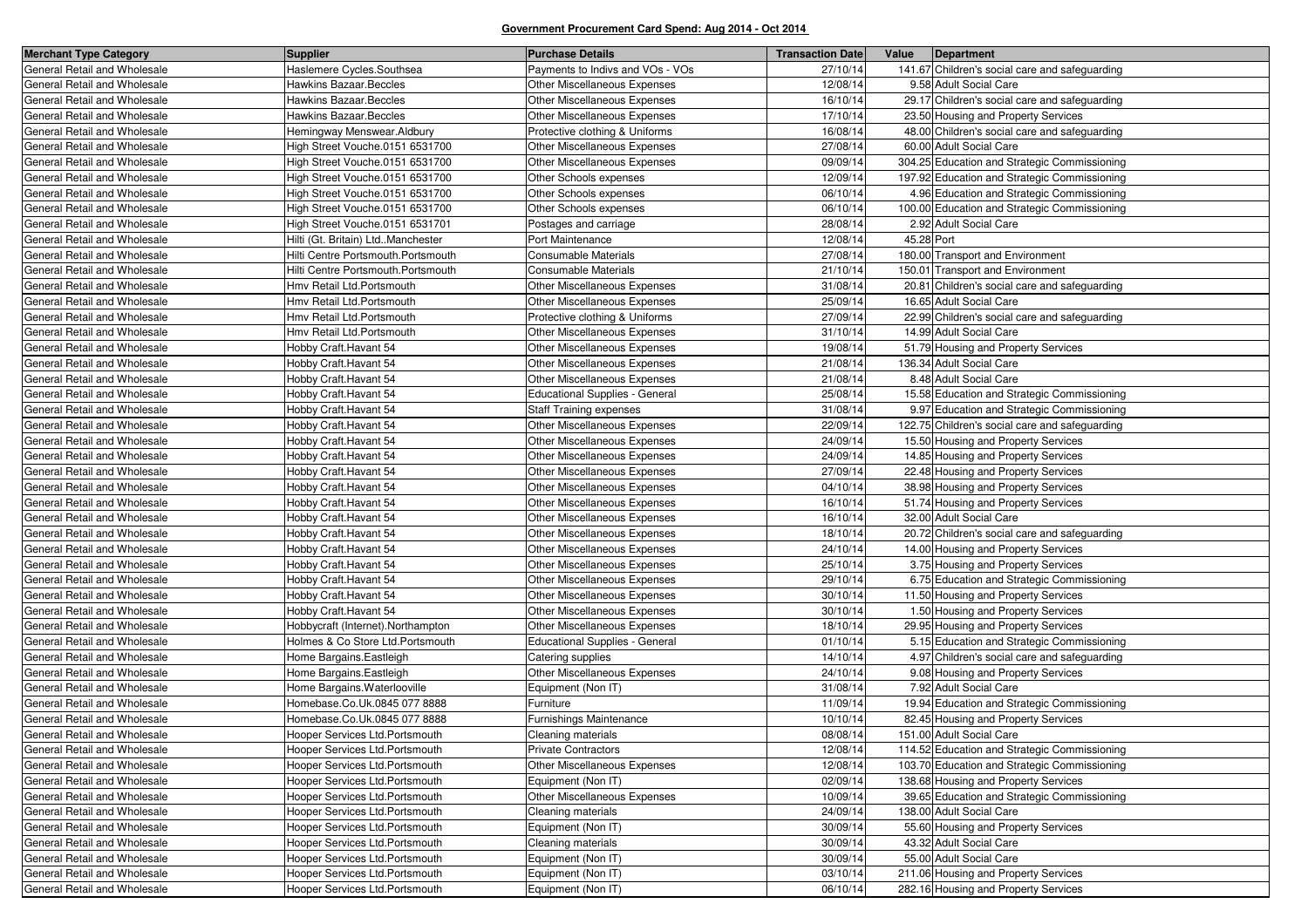| <b>Merchant Type Category</b> | <b>Supplier</b>                     | <b>Purchase Details</b>               | <b>Transaction Date</b> | Value      | Department                                     |
|-------------------------------|-------------------------------------|---------------------------------------|-------------------------|------------|------------------------------------------------|
| General Retail and Wholesale  | Haslemere Cycles.Southsea           | Payments to Indivs and VOs - VOs      | 27/10/14                |            | 141.67 Children's social care and safeguarding |
| General Retail and Wholesale  | Hawkins Bazaar.Beccles              | <b>Other Miscellaneous Expenses</b>   | 12/08/14                |            | 9.58 Adult Social Care                         |
| General Retail and Wholesale  | Hawkins Bazaar.Beccles              | Other Miscellaneous Expenses          | 16/10/14                |            | 29.17 Children's social care and safeguarding  |
| General Retail and Wholesale  | <b>Hawkins Bazaar.Beccles</b>       | Other Miscellaneous Expenses          | 17/10/14                |            | 23.50 Housing and Property Services            |
| General Retail and Wholesale  | Hemingway Menswear.Aldbury          | Protective clothing & Uniforms        | 16/08/14                |            | 48.00 Children's social care and safeguarding  |
| General Retail and Wholesale  | High Street Vouche.0151 6531700     | Other Miscellaneous Expenses          | 27/08/14                |            | 60.00 Adult Social Care                        |
| General Retail and Wholesale  | High Street Vouche.0151 6531700     | Other Miscellaneous Expenses          | 09/09/14                |            | 304.25 Education and Strategic Commissioning   |
| General Retail and Wholesale  | High Street Vouche.0151 6531700     | Other Schools expenses                | 12/09/14                |            | 197.92 Education and Strategic Commissioning   |
| General Retail and Wholesale  | High Street Vouche.0151 6531700     | Other Schools expenses                | 06/10/14                |            | 4.96 Education and Strategic Commissioning     |
| General Retail and Wholesale  | High Street Vouche.0151 6531700     | Other Schools expenses                | 06/10/14                |            | 100.00 Education and Strategic Commissioning   |
| General Retail and Wholesale  | High Street Vouche.0151 6531701     | Postages and carriage                 | 28/08/14                |            | 2.92 Adult Social Care                         |
| General Retail and Wholesale  | Hilti (Gt. Britain) Ltd. Manchester | Port Maintenance                      | 12/08/14                | 45.28 Port |                                                |
| General Retail and Wholesale  | Hilti Centre Portsmouth.Portsmouth  | <b>Consumable Materials</b>           | 27/08/14                |            | 180.00 Transport and Environment               |
| General Retail and Wholesale  | Hilti Centre Portsmouth.Portsmouth  | Consumable Materials                  | 21/10/14                |            | 150.01 Transport and Environment               |
| General Retail and Wholesale  | Hmv Retail Ltd.Portsmouth           | Other Miscellaneous Expenses          | 31/08/14                |            | 20.81 Children's social care and safeguarding  |
| General Retail and Wholesale  | Hmv Retail Ltd.Portsmouth           | Other Miscellaneous Expenses          | 25/09/14                |            | 16.65 Adult Social Care                        |
| General Retail and Wholesale  | Hmv Retail Ltd.Portsmouth           | Protective clothing & Uniforms        | 27/09/14                |            | 22.99 Children's social care and safeguarding  |
| General Retail and Wholesale  | Hmv Retail Ltd.Portsmouth           | Other Miscellaneous Expenses          | 31/10/14                |            | 14.99 Adult Social Care                        |
| General Retail and Wholesale  | Hobby Craft. Havant 54              | Other Miscellaneous Expenses          | 19/08/14                |            | 51.79 Housing and Property Services            |
| General Retail and Wholesale  | Hobby Craft. Havant 54              | Other Miscellaneous Expenses          | 21/08/14                |            | 136.34 Adult Social Care                       |
| General Retail and Wholesale  | Hobby Craft. Havant 54              | Other Miscellaneous Expenses          | 21/08/14                |            | 8.48 Adult Social Care                         |
| General Retail and Wholesale  | Hobby Craft. Havant 54              | <b>Educational Supplies - General</b> | 25/08/14                |            | 15.58 Education and Strategic Commissioning    |
| General Retail and Wholesale  | Hobby Craft.Havant 54               | <b>Staff Training expenses</b>        | 31/08/14                |            | 9.97 Education and Strategic Commissioning     |
| General Retail and Wholesale  | Hobby Craft.Havant 54               | Other Miscellaneous Expenses          | 22/09/14                |            | 122.75 Children's social care and safeguarding |
| General Retail and Wholesale  | Hobby Craft. Havant 54              | Other Miscellaneous Expenses          | 24/09/14                |            | 15.50 Housing and Property Services            |
| General Retail and Wholesale  | Hobby Craft. Havant 54              | <b>Other Miscellaneous Expenses</b>   | 24/09/14                |            | 14.85 Housing and Property Services            |
| General Retail and Wholesale  | Hobby Craft. Havant 54              | Other Miscellaneous Expenses          | 27/09/14                |            | 22.48 Housing and Property Services            |
| General Retail and Wholesale  | Hobby Craft. Havant 54              | Other Miscellaneous Expenses          | 04/10/14                |            | 38.98 Housing and Property Services            |
| General Retail and Wholesale  | Hobby Craft. Havant 54              | <b>Other Miscellaneous Expenses</b>   | 16/10/14                |            | 51.74 Housing and Property Services            |
| General Retail and Wholesale  | Hobby Craft.Havant 54               | Other Miscellaneous Expenses          | 16/10/14                |            | 32.00 Adult Social Care                        |
| General Retail and Wholesale  | Hobby Craft.Havant 54               | Other Miscellaneous Expenses          | 18/10/14                |            | 20.72 Children's social care and safeguarding  |
| General Retail and Wholesale  | Hobby Craft. Havant 54              | <b>Other Miscellaneous Expenses</b>   | 24/10/14                |            | 14.00 Housing and Property Services            |
| General Retail and Wholesale  | Hobby Craft.Havant 54               | Other Miscellaneous Expenses          | 25/10/14                |            | 3.75 Housing and Property Services             |
| General Retail and Wholesale  | Hobby Craft.Havant 54               | Other Miscellaneous Expenses          | 29/10/14                |            | 6.75 Education and Strategic Commissioning     |
| General Retail and Wholesale  | Hobby Craft. Havant 54              | Other Miscellaneous Expenses          | 30/10/14                |            | 11.50 Housing and Property Services            |
| General Retail and Wholesale  | Hobby Craft. Havant 54              | Other Miscellaneous Expenses          | 30/10/14                |            | 1.50 Housing and Property Services             |
| General Retail and Wholesale  | Hobbycraft (Internet).Northampton   | <b>Other Miscellaneous Expenses</b>   | 18/10/14                |            | 29.95 Housing and Property Services            |
| General Retail and Wholesale  | Holmes & Co Store Ltd.Portsmouth    | Educational Supplies - General        | 01/10/14                |            | 5.15 Education and Strategic Commissioning     |
| General Retail and Wholesale  | Home Bargains. Eastleigh            | Catering supplies                     | 14/10/14                |            | 4.97 Children's social care and safeguarding   |
| General Retail and Wholesale  | Home Bargains. Eastleigh            | Other Miscellaneous Expenses          | 24/10/14                |            | 9.08 Housing and Property Services             |
| General Retail and Wholesale  | Home Bargains. Waterlooville        | Equipment (Non IT)                    | 31/08/14                |            | 7.92 Adult Social Care                         |
| General Retail and Wholesale  | Homebase.Co.Uk.0845 077 8888        | Furniture                             | 11/09/14                |            | 19.94 Education and Strategic Commissioning    |
| General Retail and Wholesale  | Homebase.Co.Uk.0845 077 8888        | Furnishings Maintenance               | 10/10/14                |            | 82.45 Housing and Property Services            |
| General Retail and Wholesale  | Hooper Services Ltd.Portsmouth      | Cleaning materials                    | 08/08/14                |            | 151.00 Adult Social Care                       |
| General Retail and Wholesale  | Hooper Services Ltd.Portsmouth      | <b>Private Contractors</b>            | 12/08/14                |            | 114.52 Education and Strategic Commissioning   |
| General Retail and Wholesale  | Hooper Services Ltd.Portsmouth      | Other Miscellaneous Expenses          | 12/08/14                |            | 103.70 Education and Strategic Commissioning   |
| General Retail and Wholesale  | Hooper Services Ltd.Portsmouth      | Equipment (Non IT)                    | 02/09/14                |            | 138.68 Housing and Property Services           |
| General Retail and Wholesale  | Hooper Services Ltd.Portsmouth      | Other Miscellaneous Expenses          | 10/09/14                |            | 39.65 Education and Strategic Commissioning    |
| General Retail and Wholesale  | Hooper Services Ltd.Portsmouth      | Cleaning materials                    | 24/09/14                |            | 138.00 Adult Social Care                       |
| General Retail and Wholesale  | Hooper Services Ltd.Portsmouth      | Equipment (Non IT)                    | 30/09/14                |            | 55.60 Housing and Property Services            |
| General Retail and Wholesale  | Hooper Services Ltd.Portsmouth      | Cleaning materials                    | 30/09/14                |            | 43.32 Adult Social Care                        |
| General Retail and Wholesale  | Hooper Services Ltd.Portsmouth      | Equipment (Non IT)                    | 30/09/14                |            | 55.00 Adult Social Care                        |
| General Retail and Wholesale  | Hooper Services Ltd.Portsmouth      | Equipment (Non IT)                    | 03/10/14                |            | 211.06 Housing and Property Services           |
| General Retail and Wholesale  | Hooper Services Ltd.Portsmouth      | Equipment (Non IT)                    | 06/10/14                |            | 282.16 Housing and Property Services           |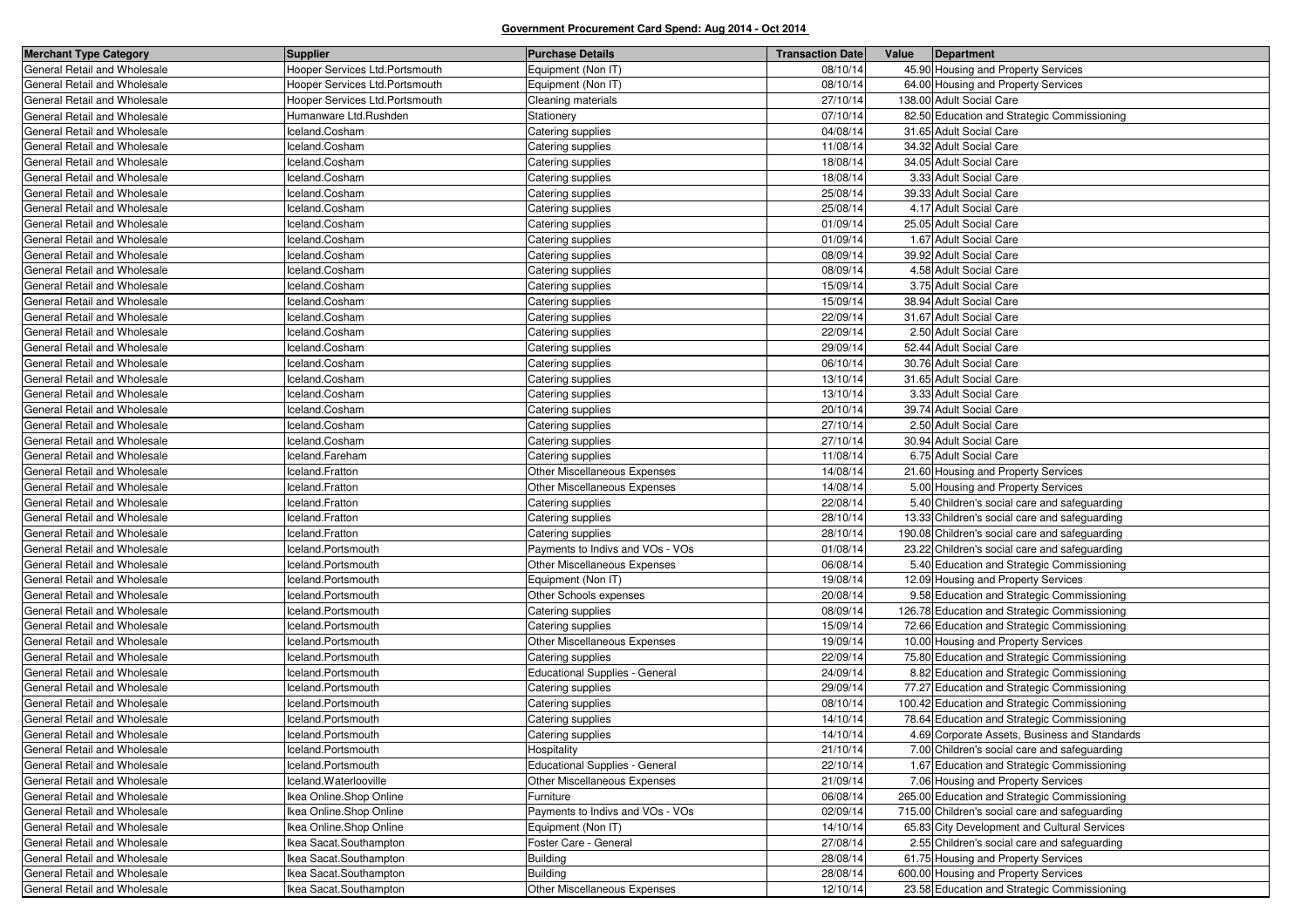| <b>Merchant Type Category</b> | <b>Supplier</b>                | <b>Purchase Details</b>               | <b>Transaction Date</b> | Value | Department                                     |
|-------------------------------|--------------------------------|---------------------------------------|-------------------------|-------|------------------------------------------------|
| General Retail and Wholesale  | Hooper Services Ltd.Portsmouth | Equipment (Non IT)                    | 08/10/14                |       | 45.90 Housing and Property Services            |
| General Retail and Wholesale  | Hooper Services Ltd.Portsmouth | Equipment (Non IT)                    | 08/10/14                |       | 64.00 Housing and Property Services            |
| General Retail and Wholesale  | Hooper Services Ltd.Portsmouth | Cleaning materials                    | 27/10/14                |       | 138.00 Adult Social Care                       |
| General Retail and Wholesale  | Humanware Ltd.Rushden          | Stationery                            | 07/10/14                |       | 82.50 Education and Strategic Commissioning    |
| General Retail and Wholesale  | celand.Cosham                  | Catering supplies                     | 04/08/14                |       | 31.65 Adult Social Care                        |
| General Retail and Wholesale  | Iceland.Cosham                 | Catering supplies                     | 11/08/14                |       | 34.32 Adult Social Care                        |
| General Retail and Wholesale  | Iceland.Cosham                 | Catering supplies                     | 18/08/14                |       | 34.05 Adult Social Care                        |
| General Retail and Wholesale  | celand.Cosham                  | Catering supplies                     | 18/08/14                |       | 3.33 Adult Social Care                         |
| General Retail and Wholesale  | celand.Cosham                  | Catering supplies                     | 25/08/14                |       | 39.33 Adult Social Care                        |
| General Retail and Wholesale  | Iceland.Cosham                 | Catering supplies                     | 25/08/14                |       | 4.17 Adult Social Care                         |
| General Retail and Wholesale  | celand.Cosham                  | Catering supplies                     | 01/09/14                |       | 25.05 Adult Social Care                        |
| General Retail and Wholesale  | celand.Cosham                  | Catering supplies                     | 01/09/14                |       | 1.67 Adult Social Care                         |
| General Retail and Wholesale  | celand.Cosham                  | Catering supplies                     | 08/09/14                |       | 39.92 Adult Social Care                        |
| General Retail and Wholesale  | celand.Cosham                  | Catering supplies                     | 08/09/14                |       | 4.58 Adult Social Care                         |
| General Retail and Wholesale  | celand.Cosham                  | Catering supplies                     | 15/09/14                |       | 3.75 Adult Social Care                         |
| General Retail and Wholesale  | celand.Cosham                  | Catering supplies                     | 15/09/14                |       | 38.94 Adult Social Care                        |
| General Retail and Wholesale  | Iceland.Cosham                 | Catering supplies                     | 22/09/14                |       | 31.67 Adult Social Care                        |
| General Retail and Wholesale  | celand.Cosham                  | Catering supplies                     | 22/09/14                |       | 2.50 Adult Social Care                         |
| General Retail and Wholesale  | celand.Cosham                  | Catering supplies                     | 29/09/14                |       | 52.44 Adult Social Care                        |
| General Retail and Wholesale  | celand.Cosham                  | Catering supplies                     | 06/10/14                |       | 30.76 Adult Social Care                        |
| General Retail and Wholesale  | Iceland.Cosham                 | Catering supplies                     | 13/10/14                |       | 31.65 Adult Social Care                        |
| General Retail and Wholesale  | celand.Cosham                  | Catering supplies                     | 13/10/14                |       | 3.33 Adult Social Care                         |
| General Retail and Wholesale  | celand.Cosham                  | Catering supplies                     | 20/10/14                |       | 39.74 Adult Social Care                        |
| General Retail and Wholesale  | celand.Cosham                  | Catering supplies                     | 27/10/14                |       | 2.50 Adult Social Care                         |
| General Retail and Wholesale  | Iceland.Cosham                 | Catering supplies                     | 27/10/14                |       | 30.94 Adult Social Care                        |
| General Retail and Wholesale  | celand.Fareham                 | Catering supplies                     | 11/08/14                |       | 6.75 Adult Social Care                         |
| General Retail and Wholesale  | Iceland.Fratton                | Other Miscellaneous Expenses          | 14/08/14                |       | 21.60 Housing and Property Services            |
| General Retail and Wholesale  | celand.Fratton                 | Other Miscellaneous Expenses          | 14/08/14                |       | 5.00 Housing and Property Services             |
| General Retail and Wholesale  | celand.Fratton                 | Catering supplies                     | 22/08/14                |       | 5.40 Children's social care and safeguarding   |
| General Retail and Wholesale  | celand.Fratton                 | Catering supplies                     | 28/10/14                |       | 13.33 Children's social care and safeguarding  |
| General Retail and Wholesale  | celand.Fratton                 | Catering supplies                     | 28/10/14                |       | 190.08 Children's social care and safeguarding |
| General Retail and Wholesale  | celand.Portsmouth              | Payments to Indivs and VOs - VOs      | 01/08/14                |       | 23.22 Children's social care and safeguarding  |
| General Retail and Wholesale  | celand.Portsmouth              | Other Miscellaneous Expenses          | 06/08/14                |       | 5.40 Education and Strategic Commissioning     |
| General Retail and Wholesale  | celand.Portsmouth              | Equipment (Non IT)                    | 19/08/14                |       | 12.09 Housing and Property Services            |
| General Retail and Wholesale  | celand.Portsmouth              | Other Schools expenses                | 20/08/14                |       | 9.58 Education and Strategic Commissioning     |
| General Retail and Wholesale  | celand.Portsmouth              | Catering supplies                     | 08/09/14                |       | 126.78 Education and Strategic Commissioning   |
| General Retail and Wholesale  | celand.Portsmouth              | Catering supplies                     | 15/09/14                |       | 72.66 Education and Strategic Commissioning    |
| General Retail and Wholesale  | celand.Portsmouth              | Other Miscellaneous Expenses          | 19/09/14                |       | 10.00 Housing and Property Services            |
| General Retail and Wholesale  | celand.Portsmouth              | Catering supplies                     | 22/09/14                |       | 75.80 Education and Strategic Commissioning    |
| General Retail and Wholesale  | celand.Portsmouth              | Educational Supplies - General        | 24/09/14                |       | 8.82 Education and Strategic Commissioning     |
| General Retail and Wholesale  | celand.Portsmouth              | Catering supplies                     | 29/09/14                |       | 77.27 Education and Strategic Commissioning    |
| General Retail and Wholesale  | celand.Portsmouth              | Catering supplies                     | 08/10/14                |       | 100.42 Education and Strategic Commissioning   |
| General Retail and Wholesale  | celand.Portsmouth              | Catering supplies                     | 14/10/14                |       | 78.64 Education and Strategic Commissioning    |
| General Retail and Wholesale  | celand.Portsmouth              | Catering supplies                     | 14/10/14                |       | 4.69 Corporate Assets, Business and Standards  |
| General Retail and Wholesale  | Iceland.Portsmouth             | Hospitality                           | 21/10/14                |       | 7.00 Children's social care and safeguarding   |
| General Retail and Wholesale  | Iceland.Portsmouth             | <b>Educational Supplies - General</b> | 22/10/14                |       | 1.67 Education and Strategic Commissioning     |
| General Retail and Wholesale  | celand.Waterlooville           | Other Miscellaneous Expenses          | 21/09/14                |       | 7.06 Housing and Property Services             |
| General Retail and Wholesale  | Ikea Online.Shop Online        | Furniture                             | 06/08/14                |       | 265.00 Education and Strategic Commissioning   |
| General Retail and Wholesale  | Ikea Online.Shop Online        | Payments to Indivs and VOs - VOs      | 02/09/14                |       | 715.00 Children's social care and safeguarding |
| General Retail and Wholesale  | kea Online.Shop Online         | Equipment (Non IT)                    | 14/10/14                |       | 65.83 City Development and Cultural Services   |
| General Retail and Wholesale  | lkea Sacat Southampton         | Foster Care - General                 | 27/08/14                |       | 2.55 Children's social care and safeguarding   |
| General Retail and Wholesale  | lkea Sacat Southampton         | <b>Building</b>                       | 28/08/14                |       | 61.75 Housing and Property Services            |
| General Retail and Wholesale  | Ikea Sacat.Southampton         | <b>Building</b>                       | 28/08/14                |       | 600.00 Housing and Property Services           |
| General Retail and Wholesale  | Ikea Sacat.Southampton         | Other Miscellaneous Expenses          | 12/10/14                |       | 23.58 Education and Strategic Commissioning    |
|                               |                                |                                       |                         |       |                                                |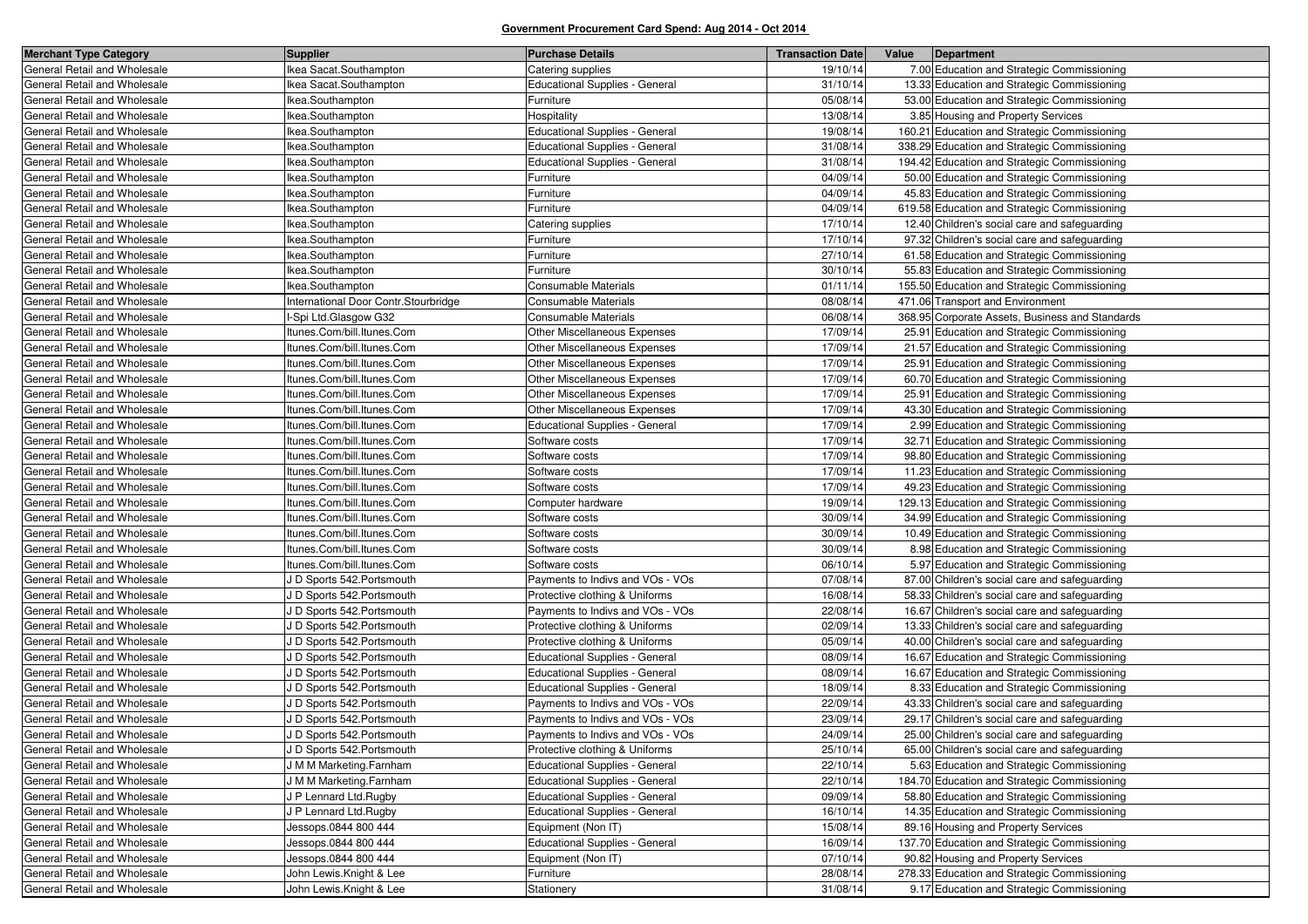| <b>Merchant Type Category</b> | <b>Supplier</b>                      | <b>Purchase Details</b>               | <b>Transaction Date</b> | Value | Department                                      |
|-------------------------------|--------------------------------------|---------------------------------------|-------------------------|-------|-------------------------------------------------|
| General Retail and Wholesale  | Ikea Sacat.Southampton               | Catering supplies                     | 19/10/14                |       | 7.00 Education and Strategic Commissioning      |
| General Retail and Wholesale  | Ikea Sacat.Southampton               | <b>Educational Supplies - General</b> | 31/10/14                |       | 13.33 Education and Strategic Commissioning     |
| General Retail and Wholesale  | Ikea.Southampton                     | Furniture                             | 05/08/14                |       | 53.00 Education and Strategic Commissioning     |
| General Retail and Wholesale  | Ikea.Southampton                     | Hospitality                           | 13/08/14                |       | 3.85 Housing and Property Services              |
| General Retail and Wholesale  | Ikea.Southampton                     | <b>Educational Supplies - General</b> | 19/08/14                |       | 160.21 Education and Strategic Commissioning    |
| General Retail and Wholesale  | Ikea.Southampton                     | <b>Educational Supplies - General</b> | 31/08/14                |       | 338.29 Education and Strategic Commissioning    |
| General Retail and Wholesale  | Ikea.Southampton                     | <b>Educational Supplies - General</b> | 31/08/14                |       | 194.42 Education and Strategic Commissioning    |
| General Retail and Wholesale  | Ikea.Southampton                     | Furniture                             | 04/09/14                |       | 50.00 Education and Strategic Commissioning     |
| General Retail and Wholesale  | Ikea.Southampton                     | Furniture                             | 04/09/14                |       | 45.83 Education and Strategic Commissioning     |
| General Retail and Wholesale  | Ikea.Southampton                     | Furniture                             | 04/09/14                |       | 619.58 Education and Strategic Commissioning    |
| General Retail and Wholesale  | Ikea.Southampton                     | Catering supplies                     | 17/10/14                |       | 12.40 Children's social care and safeguarding   |
| General Retail and Wholesale  | Ikea.Southampton                     | Furniture                             | 17/10/14                |       | 97.32 Children's social care and safeguarding   |
| General Retail and Wholesale  | Ikea.Southampton                     | Furniture                             | 27/10/14                |       | 61.58 Education and Strategic Commissioning     |
| General Retail and Wholesale  | Ikea.Southampton                     | Furniture                             | 30/10/14                |       | 55.83 Education and Strategic Commissioning     |
| General Retail and Wholesale  | Ikea.Southampton                     | Consumable Materials                  | 01/11/14                |       | 155.50 Education and Strategic Commissioning    |
| General Retail and Wholesale  | International Door Contr.Stourbridge | Consumable Materials                  | 08/08/14                |       | 471.06 Transport and Environment                |
| General Retail and Wholesale  | -Spi Ltd.Glasgow G32                 | Consumable Materials                  | 06/08/14                |       | 368.95 Corporate Assets, Business and Standards |
| General Retail and Wholesale  | Itunes.Com/bill.Itunes.Com           | Other Miscellaneous Expenses          | 17/09/14                |       | 25.91 Education and Strategic Commissioning     |
| General Retail and Wholesale  | Itunes.Com/bill.Itunes.Com           | <b>Other Miscellaneous Expenses</b>   | 17/09/14                |       | 21.57 Education and Strategic Commissioning     |
| General Retail and Wholesale  | Itunes.Com/bill.Itunes.Com           | Other Miscellaneous Expenses          | 17/09/14                |       | 25.91 Education and Strategic Commissioning     |
| General Retail and Wholesale  | Itunes.Com/bill.Itunes.Com           | Other Miscellaneous Expenses          | 17/09/14                |       | 60.70 Education and Strategic Commissioning     |
| General Retail and Wholesale  | Itunes.Com/bill.Itunes.Com           | Other Miscellaneous Expenses          | 17/09/14                |       | 25.91 Education and Strategic Commissioning     |
| General Retail and Wholesale  | Itunes.Com/bill.Itunes.Com           | Other Miscellaneous Expenses          | 17/09/14                |       | 43.30 Education and Strategic Commissioning     |
| General Retail and Wholesale  | Itunes.Com/bill.Itunes.Com           | <b>Educational Supplies - General</b> | 17/09/14                |       | 2.99 Education and Strategic Commissioning      |
| General Retail and Wholesale  | Itunes.Com/bill.Itunes.Com           | Software costs                        | 17/09/14                |       | 32.71 Education and Strategic Commissioning     |
| General Retail and Wholesale  | Itunes.Com/bill.Itunes.Com           | Software costs                        | 17/09/14                |       | 98.80 Education and Strategic Commissioning     |
| General Retail and Wholesale  | Itunes.Com/bill.Itunes.Com           | Software costs                        | 17/09/14                |       | 11.23 Education and Strategic Commissioning     |
| General Retail and Wholesale  | Itunes.Com/bill.Itunes.Com           | Software costs                        | 17/09/14                |       | 49.23 Education and Strategic Commissioning     |
| General Retail and Wholesale  | Itunes.Com/bill.Itunes.Com           | Computer hardware                     | 19/09/14                |       | 129.13 Education and Strategic Commissioning    |
| General Retail and Wholesale  | Itunes.Com/bill.Itunes.Com           | Software costs                        | 30/09/14                |       | 34.99 Education and Strategic Commissioning     |
| General Retail and Wholesale  | Itunes.Com/bill.Itunes.Com           | Software costs                        | 30/09/14                |       | 10.49 Education and Strategic Commissioning     |
| General Retail and Wholesale  | Itunes.Com/bill.Itunes.Com           | Software costs                        | 30/09/14                |       | 8.98 Education and Strategic Commissioning      |
| General Retail and Wholesale  | Itunes.Com/bill.Itunes.Com           | Software costs                        | 06/10/14                |       | 5.97 Education and Strategic Commissioning      |
| General Retail and Wholesale  | J D Sports 542. Portsmouth           | Payments to Indivs and VOs - VOs      | 07/08/14                |       | 87.00 Children's social care and safeguarding   |
| General Retail and Wholesale  | J D Sports 542. Portsmouth           | Protective clothing & Uniforms        | 16/08/14                |       | 58.33 Children's social care and safeguarding   |
| General Retail and Wholesale  | J D Sports 542. Portsmouth           | Payments to Indivs and VOs - VOs      | 22/08/14                |       | 16.67 Children's social care and safeguarding   |
| General Retail and Wholesale  | J D Sports 542. Portsmouth           | Protective clothing & Uniforms        | 02/09/14                |       | 13.33 Children's social care and safeguarding   |
| General Retail and Wholesale  | J D Sports 542. Portsmouth           | Protective clothing & Uniforms        | 05/09/14                |       | 40.00 Children's social care and safeguarding   |
| General Retail and Wholesale  | J D Sports 542. Portsmouth           | Educational Supplies - General        | 08/09/14                |       | 16.67 Education and Strategic Commissioning     |
| General Retail and Wholesale  | J D Sports 542. Portsmouth           | Educational Supplies - General        | 08/09/14                |       | 16.67 Education and Strategic Commissioning     |
| General Retail and Wholesale  | J D Sports 542. Portsmouth           | <b>Educational Supplies - General</b> | 18/09/14                |       | 8.33 Education and Strategic Commissioning      |
| General Retail and Wholesale  | J D Sports 542. Portsmouth           | Payments to Indivs and VOs - VOs      | 22/09/14                |       | 43.33 Children's social care and safeguarding   |
| General Retail and Wholesale  | J D Sports 542. Portsmouth           | Payments to Indivs and VOs - VOs      | 23/09/14                |       | 29.17 Children's social care and safeguarding   |
| General Retail and Wholesale  | J D Sports 542. Portsmouth           | Payments to Indivs and VOs - VOs      | 24/09/14                |       | 25.00 Children's social care and safeguarding   |
| General Retail and Wholesale  | J D Sports 542. Portsmouth           | Protective clothing & Uniforms        | 25/10/14                |       | 65.00 Children's social care and safeguarding   |
| General Retail and Wholesale  | J M M Marketing.Farnham              | Educational Supplies - General        | 22/10/14                |       | 5.63 Education and Strategic Commissioning      |
| General Retail and Wholesale  | J M M Marketing.Farnham              | Educational Supplies - General        | 22/10/14                |       | 184.70 Education and Strategic Commissioning    |
| General Retail and Wholesale  | J P Lennard Ltd.Rugby                | Educational Supplies - General        | 09/09/14                |       | 58.80 Education and Strategic Commissioning     |
| General Retail and Wholesale  | J P Lennard Ltd.Rugby                | Educational Supplies - General        | 16/10/14                |       | 14.35 Education and Strategic Commissioning     |
| General Retail and Wholesale  | Jessops.0844 800 444                 | Equipment (Non IT)                    | 15/08/14                |       | 89.16 Housing and Property Services             |
| General Retail and Wholesale  | Jessops.0844 800 444                 | Educational Supplies - General        | 16/09/14                |       | 137.70 Education and Strategic Commissioning    |
| General Retail and Wholesale  | Jessops.0844 800 444                 | Equipment (Non IT)                    | 07/10/14                |       | 90.82 Housing and Property Services             |
| General Retail and Wholesale  | John Lewis.Knight & Lee              | Furniture                             | 28/08/14                |       | 278.33 Education and Strategic Commissioning    |
| General Retail and Wholesale  | John Lewis.Knight & Lee              | Stationery                            | 31/08/14                |       | 9.17 Education and Strategic Commissioning      |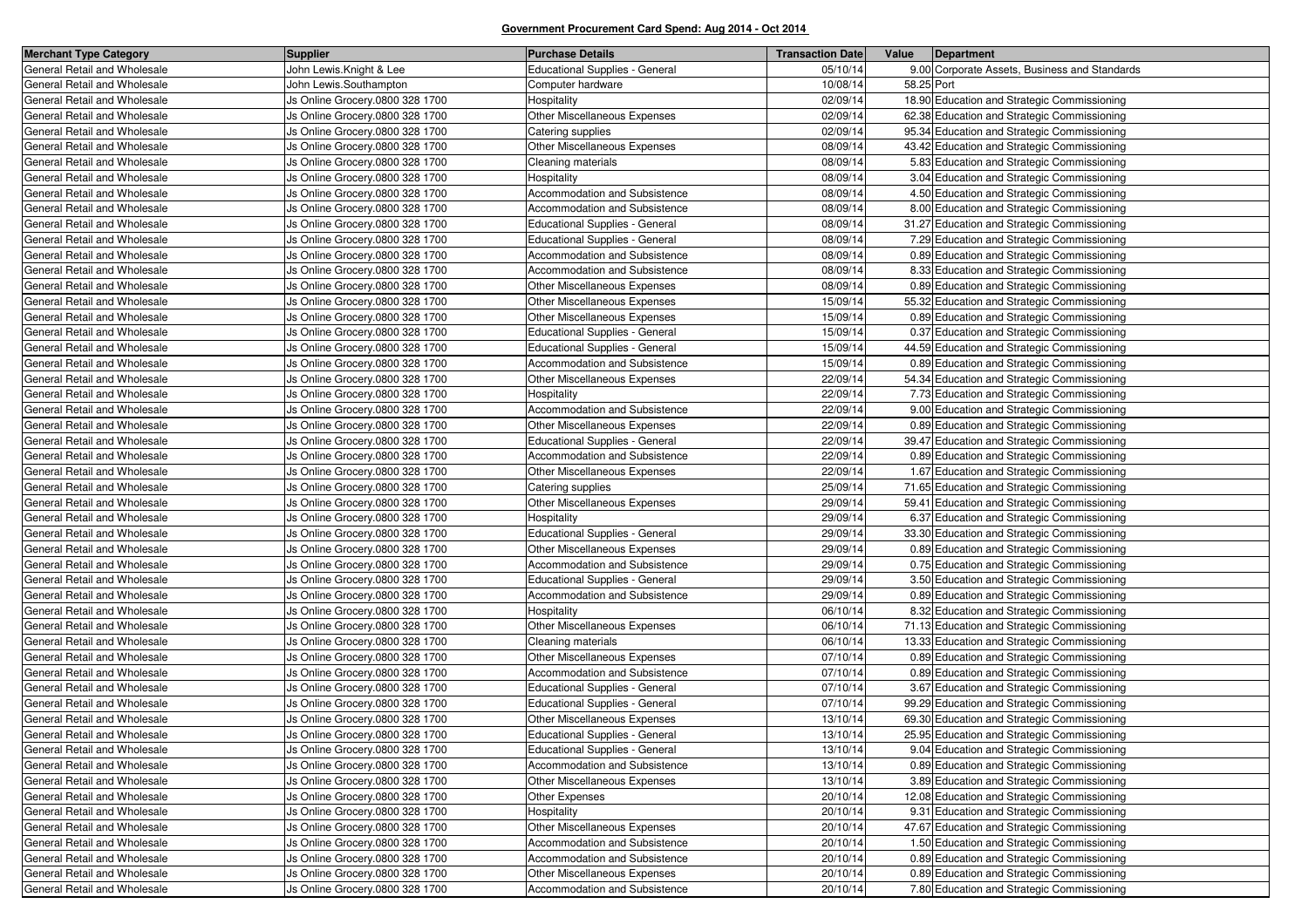| <b>Merchant Type Category</b> | <b>Supplier</b>                 | <b>Purchase Details</b>               | <b>Transaction Date</b> | Value      | Department                                    |
|-------------------------------|---------------------------------|---------------------------------------|-------------------------|------------|-----------------------------------------------|
| General Retail and Wholesale  | John Lewis.Knight & Lee         | <b>Educational Supplies - General</b> | 05/10/14                |            | 9.00 Corporate Assets, Business and Standards |
| General Retail and Wholesale  | John Lewis.Southampton          | Computer hardware                     | 10/08/14                | 58.25 Port |                                               |
| General Retail and Wholesale  | Js Online Grocery.0800 328 1700 | Hospitality                           | 02/09/14                |            | 18.90 Education and Strategic Commissioning   |
| General Retail and Wholesale  | Js Online Grocery.0800 328 1700 | Other Miscellaneous Expenses          | 02/09/14                |            | 62.38 Education and Strategic Commissioning   |
| General Retail and Wholesale  | Js Online Grocery.0800 328 1700 | Catering supplies                     | 02/09/14                |            | 95.34 Education and Strategic Commissioning   |
| General Retail and Wholesale  | Js Online Grocery.0800 328 1700 | Other Miscellaneous Expenses          | 08/09/14                |            | 43.42 Education and Strategic Commissioning   |
| General Retail and Wholesale  | Js Online Grocery.0800 328 1700 | Cleaning materials                    | 08/09/14                |            | 5.83 Education and Strategic Commissioning    |
| General Retail and Wholesale  | Js Online Grocery.0800 328 1700 | Hospitality                           | 08/09/14                |            | 3.04 Education and Strategic Commissioning    |
| General Retail and Wholesale  | Js Online Grocery.0800 328 1700 | Accommodation and Subsistence         | 08/09/14                |            | 4.50 Education and Strategic Commissioning    |
| General Retail and Wholesale  | Js Online Grocery.0800 328 1700 | Accommodation and Subsistence         | 08/09/14                |            | 8.00 Education and Strategic Commissioning    |
| General Retail and Wholesale  | Js Online Grocery.0800 328 1700 | Educational Supplies - General        | 08/09/14                |            | 31.27 Education and Strategic Commissioning   |
| General Retail and Wholesale  | Js Online Grocery.0800 328 1700 | <b>Educational Supplies - General</b> | 08/09/14                |            | 7.29 Education and Strategic Commissioning    |
| General Retail and Wholesale  | Js Online Grocery.0800 328 1700 | Accommodation and Subsistence         | 08/09/14                |            | 0.89 Education and Strategic Commissioning    |
| General Retail and Wholesale  | Js Online Grocery.0800 328 1700 | Accommodation and Subsistence         | 08/09/14                |            | 8.33 Education and Strategic Commissioning    |
| General Retail and Wholesale  | Js Online Grocery.0800 328 1700 | Other Miscellaneous Expenses          | 08/09/14                |            | 0.89 Education and Strategic Commissioning    |
| General Retail and Wholesale  | Js Online Grocery.0800 328 1700 | Other Miscellaneous Expenses          | 15/09/14                |            | 55.32 Education and Strategic Commissioning   |
| General Retail and Wholesale  | Js Online Grocery.0800 328 1700 | Other Miscellaneous Expenses          | 15/09/14                |            | 0.89 Education and Strategic Commissioning    |
| General Retail and Wholesale  | Js Online Grocery.0800 328 1700 | <b>Educational Supplies - General</b> | 15/09/14                |            | 0.37 Education and Strategic Commissioning    |
| General Retail and Wholesale  | Js Online Grocery.0800 328 1700 | <b>Educational Supplies - General</b> | 15/09/14                |            | 44.59 Education and Strategic Commissioning   |
| General Retail and Wholesale  | Js Online Grocery.0800 328 1700 | Accommodation and Subsistence         | 15/09/14                |            | 0.89 Education and Strategic Commissioning    |
| General Retail and Wholesale  | Js Online Grocery.0800 328 1700 | Other Miscellaneous Expenses          | 22/09/14                |            | 54.34 Education and Strategic Commissioning   |
| General Retail and Wholesale  | Js Online Grocery.0800 328 1700 | Hospitality                           | 22/09/14                |            | 7.73 Education and Strategic Commissioning    |
| General Retail and Wholesale  | Js Online Grocery.0800 328 1700 | Accommodation and Subsistence         | 22/09/14                |            | 9.00 Education and Strategic Commissioning    |
| General Retail and Wholesale  | Js Online Grocery.0800 328 1700 | Other Miscellaneous Expenses          | 22/09/14                |            | 0.89 Education and Strategic Commissioning    |
| General Retail and Wholesale  | Js Online Grocery.0800 328 1700 | <b>Educational Supplies - General</b> | 22/09/14                |            | 39.47 Education and Strategic Commissioning   |
| General Retail and Wholesale  | Js Online Grocery.0800 328 1700 | Accommodation and Subsistence         | 22/09/14                |            | 0.89 Education and Strategic Commissioning    |
| General Retail and Wholesale  | Js Online Grocery.0800 328 1700 | Other Miscellaneous Expenses          | 22/09/14                |            | 1.67 Education and Strategic Commissioning    |
| General Retail and Wholesale  | Js Online Grocery.0800 328 1700 | Catering supplies                     | 25/09/14                |            | 71.65 Education and Strategic Commissioning   |
| General Retail and Wholesale  | Js Online Grocery.0800 328 1700 | Other Miscellaneous Expenses          | 29/09/14                |            | 59.41 Education and Strategic Commissioning   |
| General Retail and Wholesale  | Js Online Grocery.0800 328 1700 | Hospitality                           | 29/09/14                |            | 6.37 Education and Strategic Commissioning    |
| General Retail and Wholesale  | Js Online Grocery.0800 328 1700 | <b>Educational Supplies - General</b> | 29/09/14                |            | 33.30 Education and Strategic Commissioning   |
| General Retail and Wholesale  | Js Online Grocery.0800 328 1700 | Other Miscellaneous Expenses          | 29/09/14                |            | 0.89 Education and Strategic Commissioning    |
| General Retail and Wholesale  | Js Online Grocery.0800 328 1700 | Accommodation and Subsistence         | 29/09/14                |            | 0.75 Education and Strategic Commissioning    |
| General Retail and Wholesale  | Js Online Grocery.0800 328 1700 | <b>Educational Supplies - General</b> | 29/09/14                |            | 3.50 Education and Strategic Commissioning    |
| General Retail and Wholesale  | Js Online Grocery.0800 328 1700 | Accommodation and Subsistence         | 29/09/14                |            | 0.89 Education and Strategic Commissioning    |
| General Retail and Wholesale  | Js Online Grocery.0800 328 1700 | Hospitality                           | 06/10/14                |            | 8.32 Education and Strategic Commissioning    |
| General Retail and Wholesale  | Js Online Grocery.0800 328 1700 | Other Miscellaneous Expenses          | 06/10/14                |            | 71.13 Education and Strategic Commissioning   |
| General Retail and Wholesale  | Js Online Grocery.0800 328 1700 | Cleaning materials                    | 06/10/14                |            | 13.33 Education and Strategic Commissioning   |
| General Retail and Wholesale  | Js Online Grocery.0800 328 1700 | Other Miscellaneous Expenses          | 07/10/14                |            | 0.89 Education and Strategic Commissioning    |
| General Retail and Wholesale  | Js Online Grocery.0800 328 1700 | Accommodation and Subsistence         | 07/10/14                |            | 0.89 Education and Strategic Commissioning    |
| General Retail and Wholesale  | Js Online Grocery.0800 328 1700 | <b>Educational Supplies - General</b> | 07/10/14                |            | 3.67 Education and Strategic Commissioning    |
| General Retail and Wholesale  | Js Online Grocery.0800 328 1700 | Educational Supplies - General        | 07/10/14                |            | 99.29 Education and Strategic Commissioning   |
| General Retail and Wholesale  | Js Online Grocery.0800 328 1700 | Other Miscellaneous Expenses          | 13/10/14                |            | 69.30 Education and Strategic Commissioning   |
| General Retail and Wholesale  | Js Online Grocery.0800 328 1700 | Educational Supplies - General        | 13/10/14                |            | 25.95 Education and Strategic Commissioning   |
| General Retail and Wholesale  | Js Online Grocery.0800 328 1700 | <b>Educational Supplies - General</b> | 13/10/14                |            | 9.04 Education and Strategic Commissioning    |
| General Retail and Wholesale  | Js Online Grocery.0800 328 1700 | Accommodation and Subsistence         | 13/10/14                |            | 0.89 Education and Strategic Commissioning    |
| General Retail and Wholesale  | Js Online Grocery.0800 328 1700 | Other Miscellaneous Expenses          | 13/10/14                |            | 3.89 Education and Strategic Commissioning    |
| General Retail and Wholesale  | Js Online Grocery.0800 328 1700 | Other Expenses                        | 20/10/14                |            | 12.08 Education and Strategic Commissioning   |
| General Retail and Wholesale  | Js Online Grocery.0800 328 1700 | Hospitality                           | 20/10/14                |            | 9.31 Education and Strategic Commissioning    |
| General Retail and Wholesale  | Js Online Grocery.0800 328 1700 | Other Miscellaneous Expenses          | 20/10/14                |            | 47.67 Education and Strategic Commissioning   |
| General Retail and Wholesale  | Js Online Grocery.0800 328 1700 | Accommodation and Subsistence         | 20/10/14                |            | 1.50 Education and Strategic Commissioning    |
| General Retail and Wholesale  | Js Online Grocery.0800 328 1700 | Accommodation and Subsistence         | 20/10/14                |            | 0.89 Education and Strategic Commissioning    |
| General Retail and Wholesale  | Js Online Grocery.0800 328 1700 | Other Miscellaneous Expenses          | 20/10/14                |            | 0.89 Education and Strategic Commissioning    |
| General Retail and Wholesale  | Js Online Grocery.0800 328 1700 | Accommodation and Subsistence         | 20/10/14                |            | 7.80 Education and Strategic Commissioning    |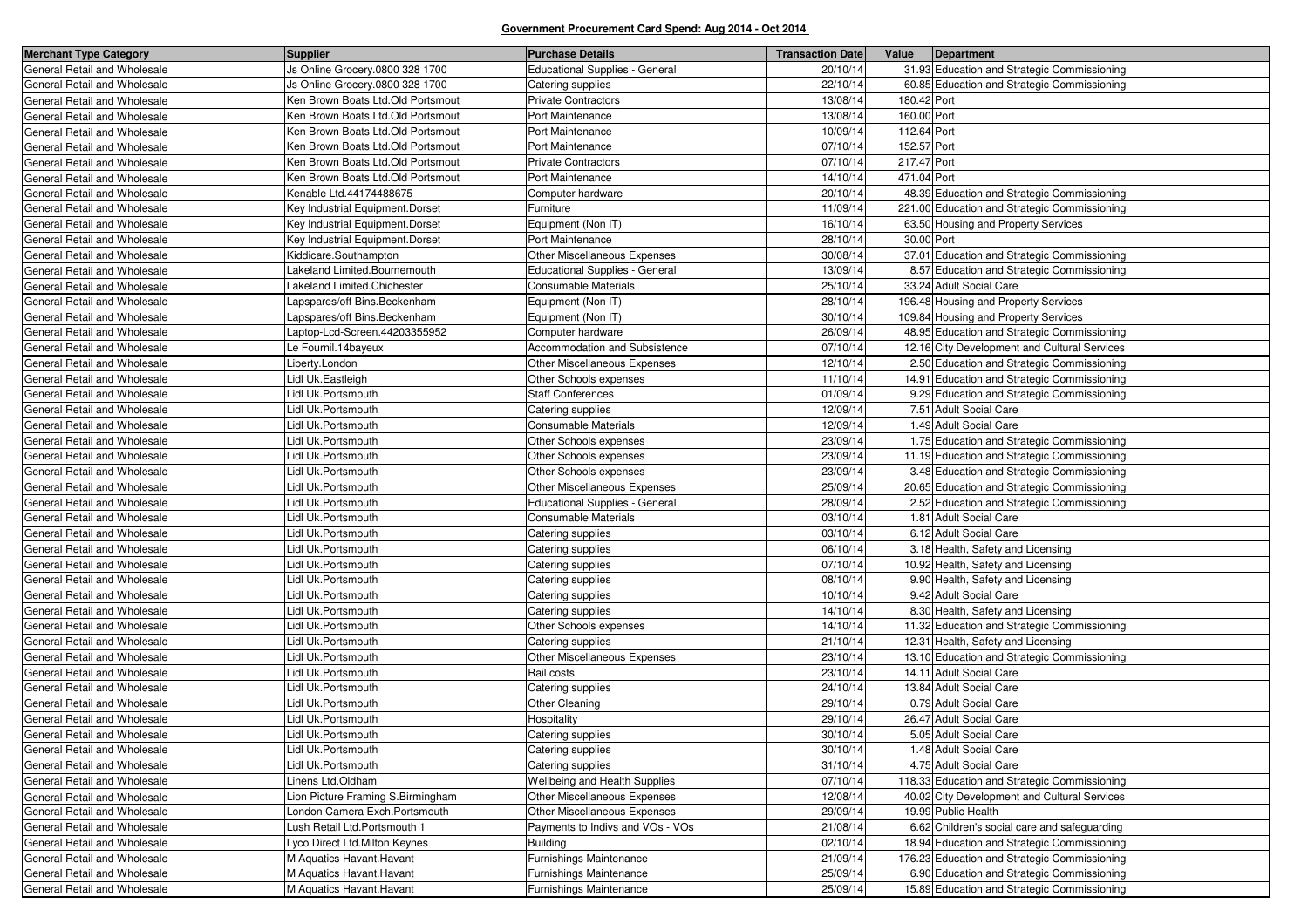| <b>Merchant Type Category</b> | <b>Supplier</b>                   | <b>Purchase Details</b>               | <b>Transaction Date</b> | Value       | Department                                   |
|-------------------------------|-----------------------------------|---------------------------------------|-------------------------|-------------|----------------------------------------------|
| General Retail and Wholesale  | Js Online Grocery.0800 328 1700   | <b>Educational Supplies - General</b> | 20/10/14                |             | 31.93 Education and Strategic Commissioning  |
| General Retail and Wholesale  | Js Online Grocery.0800 328 1700   | Catering supplies                     | 22/10/14                |             | 60.85 Education and Strategic Commissioning  |
| General Retail and Wholesale  | Ken Brown Boats Ltd.Old Portsmout | <b>Private Contractors</b>            | 13/08/14                | 180.42 Port |                                              |
| General Retail and Wholesale  | Ken Brown Boats Ltd.Old Portsmout | Port Maintenance                      | 13/08/14                | 160.00 Port |                                              |
| General Retail and Wholesale  | Ken Brown Boats Ltd.Old Portsmout | Port Maintenance                      | 10/09/14                | 112.64 Port |                                              |
| General Retail and Wholesale  | Ken Brown Boats Ltd.Old Portsmout | Port Maintenance                      | 07/10/14                | 152.57 Port |                                              |
| General Retail and Wholesale  | Ken Brown Boats Ltd.Old Portsmout | <b>Private Contractors</b>            | 07/10/14                | 217.47 Port |                                              |
| General Retail and Wholesale  | Ken Brown Boats Ltd.Old Portsmout | Port Maintenance                      | 14/10/14                | 471.04 Port |                                              |
| General Retail and Wholesale  | Kenable Ltd.44174488675           | Computer hardware                     | 20/10/14                |             | 48.39 Education and Strategic Commissioning  |
| General Retail and Wholesale  | Key Industrial Equipment.Dorset   | Furniture                             | 11/09/14                |             | 221.00 Education and Strategic Commissioning |
| General Retail and Wholesale  | Key Industrial Equipment.Dorset   | Equipment (Non IT)                    | 16/10/14                |             | 63.50 Housing and Property Services          |
| General Retail and Wholesale  | Key Industrial Equipment.Dorset   | Port Maintenance                      | 28/10/14                | 30.00 Port  |                                              |
| General Retail and Wholesale  | Kiddicare.Southampton             | Other Miscellaneous Expenses          | 30/08/14                |             | 37.01 Education and Strategic Commissioning  |
| General Retail and Wholesale  | akeland Limited.Bournemouth       | <b>Educational Supplies - General</b> | 13/09/14                |             | 8.57 Education and Strategic Commissioning   |
| General Retail and Wholesale  | akeland Limited.Chichester        | Consumable Materials                  | 25/10/14                |             | 33.24 Adult Social Care                      |
| General Retail and Wholesale  | apspares/off Bins.Beckenham       | Equipment (Non IT)                    | 28/10/14                |             | 196.48 Housing and Property Services         |
| General Retail and Wholesale  | apspares/off Bins.Beckenham       | Equipment (Non IT)                    | 30/10/14                |             | 109.84 Housing and Property Services         |
| General Retail and Wholesale  | _aptop-Lcd-Screen.44203355952     | Computer hardware                     | 26/09/14                |             | 48.95 Education and Strategic Commissioning  |
| General Retail and Wholesale  | Le Fournil.14bayeux               | Accommodation and Subsistence         | 07/10/14                |             | 12.16 City Development and Cultural Services |
| General Retail and Wholesale  | Liberty.London                    | Other Miscellaneous Expenses          | 12/10/14                |             | 2.50 Education and Strategic Commissioning   |
| General Retail and Wholesale  | Lidl Uk.Eastleigh                 | Other Schools expenses                | 11/10/14                |             | 14.91 Education and Strategic Commissioning  |
| General Retail and Wholesale  | Lidl Uk.Portsmouth                | <b>Staff Conferences</b>              | 01/09/14                |             | 9.29 Education and Strategic Commissioning   |
| General Retail and Wholesale  | idl Uk.Portsmouth                 | Catering supplies                     | 12/09/14                |             | 7.51 Adult Social Care                       |
| General Retail and Wholesale  | Lidl Uk.Portsmouth                | Consumable Materials                  | 12/09/14                |             | 1.49 Adult Social Care                       |
| General Retail and Wholesale  | Lidl Uk.Portsmouth                | Other Schools expenses                | 23/09/14                |             | 1.75 Education and Strategic Commissioning   |
| General Retail and Wholesale  | Lidl Uk.Portsmouth                | Other Schools expenses                | 23/09/14                |             | 11.19 Education and Strategic Commissioning  |
| General Retail and Wholesale  | Lidl Uk.Portsmouth                | Other Schools expenses                | 23/09/14                |             | 3.48 Education and Strategic Commissioning   |
| General Retail and Wholesale  | Lidl Uk.Portsmouth                | Other Miscellaneous Expenses          | 25/09/14                |             | 20.65 Education and Strategic Commissioning  |
| General Retail and Wholesale  | idl Uk.Portsmouth                 | <b>Educational Supplies - General</b> | 28/09/14                |             | 2.52 Education and Strategic Commissioning   |
| General Retail and Wholesale  | Lidl Uk.Portsmouth                | Consumable Materials                  | 03/10/14                |             | 1.81 Adult Social Care                       |
| General Retail and Wholesale  | Lidl Uk.Portsmouth                | Catering supplies                     | 03/10/14                |             | 6.12 Adult Social Care                       |
| General Retail and Wholesale  | idl Uk.Portsmouth                 | Catering supplies                     | 06/10/14                |             | 3.18 Health, Safety and Licensing            |
| General Retail and Wholesale  | Lidl Uk.Portsmouth                | Catering supplies                     | 07/10/14                |             | 10.92 Health, Safety and Licensing           |
| General Retail and Wholesale  | Lidl Uk.Portsmouth                | Catering supplies                     | 08/10/14                |             | 9.90 Health, Safety and Licensing            |
| General Retail and Wholesale  | idl Uk.Portsmouth                 | Catering supplies                     | 10/10/14                |             | 9.42 Adult Social Care                       |
| General Retail and Wholesale  | Lidl Uk.Portsmouth                | Catering supplies                     | 14/10/14                |             | 8.30 Health, Safety and Licensing            |
| General Retail and Wholesale  | Lidl Uk.Portsmouth                | Other Schools expenses                | 14/10/14                |             | 11.32 Education and Strategic Commissioning  |
| General Retail and Wholesale  | idl Uk.Portsmouth                 | Catering supplies                     | 21/10/14                |             | 12.31 Health, Safety and Licensing           |
| General Retail and Wholesale  | Lidl Uk.Portsmouth                | Other Miscellaneous Expenses          | 23/10/14                |             | 13.10 Education and Strategic Commissioning  |
| General Retail and Wholesale  | Lidl Uk.Portsmouth                | Rail costs                            | 23/10/14                |             | 14.11 Adult Social Care                      |
| General Retail and Wholesale  | idl Uk.Portsmouth                 | Catering supplies                     | 24/10/14                |             | 13.84 Adult Social Care                      |
| General Retail and Wholesale  | Lidl Uk.Portsmouth                | Other Cleaning                        | 29/10/14                |             | 0.79 Adult Social Care                       |
| General Retail and Wholesale  | Lidl Uk.Portsmouth                | Hospitality                           | 29/10/14                |             | 26.47 Adult Social Care                      |
| General Retail and Wholesale  | Lidl Uk.Portsmouth                | Catering supplies                     | 30/10/14                |             | 5.05 Adult Social Care                       |
| General Retail and Wholesale  | Lidl Uk.Portsmouth                | Catering supplies                     | 30/10/14                |             | 1.48 Adult Social Care                       |
| General Retail and Wholesale  | Lidl Uk.Portsmouth                | Catering supplies                     | 31/10/14                |             | 4.75 Adult Social Care                       |
| General Retail and Wholesale  | Linens Ltd.Oldham                 | Wellbeing and Health Supplies         | 07/10/14                |             | 118.33 Education and Strategic Commissioning |
| General Retail and Wholesale  | Lion Picture Framing S.Birmingham | Other Miscellaneous Expenses          | 12/08/14                |             | 40.02 City Development and Cultural Services |
| General Retail and Wholesale  | London Camera Exch.Portsmouth     | Other Miscellaneous Expenses          | 29/09/14                |             | 19.99 Public Health                          |
| General Retail and Wholesale  | ush Retail Ltd.Portsmouth 1       | Payments to Indivs and VOs - VOs      | 21/08/14                |             | 6.62 Children's social care and safeguarding |
| General Retail and Wholesale  | Lyco Direct Ltd. Milton Keynes    | <b>Building</b>                       | 02/10/14                |             | 18.94 Education and Strategic Commissioning  |
| General Retail and Wholesale  | M Aquatics Havant. Havant         | Furnishings Maintenance               | 21/09/14                |             | 176.23 Education and Strategic Commissioning |
| General Retail and Wholesale  | M Aquatics Havant. Havant         | Furnishings Maintenance               | 25/09/14                |             | 6.90 Education and Strategic Commissioning   |
| General Retail and Wholesale  | M Aquatics Havant. Havant         | Furnishings Maintenance               | 25/09/14                |             | 15.89 Education and Strategic Commissioning  |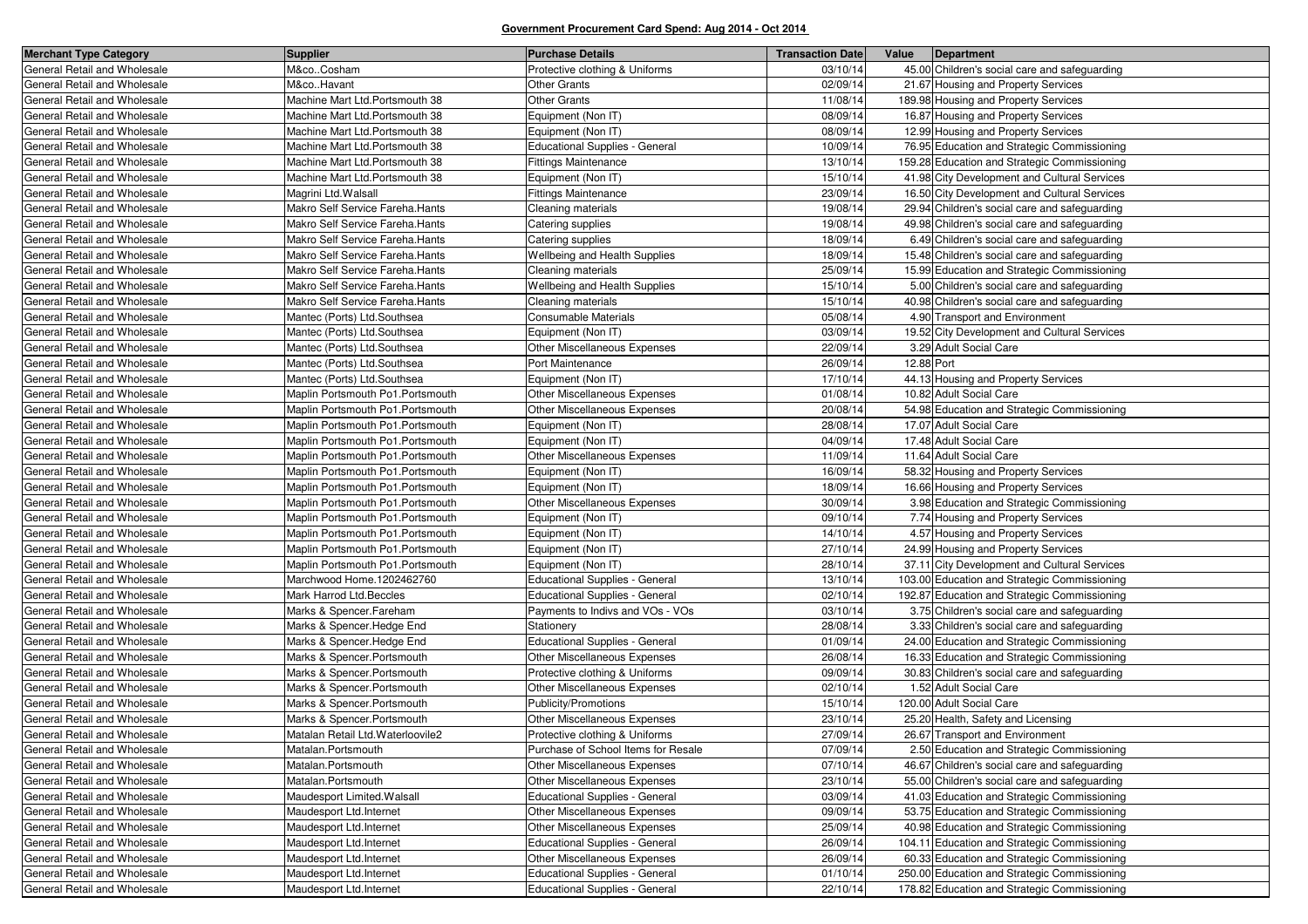| <b>Merchant Type Category</b> | <b>Supplier</b>                   | <b>Purchase Details</b>               | <b>Transaction Date</b> | Value      | Department                                    |
|-------------------------------|-----------------------------------|---------------------------------------|-------------------------|------------|-----------------------------------------------|
| General Retail and Wholesale  | M&coCosham                        | Protective clothing & Uniforms        | 03/10/14                |            | 45.00 Children's social care and safeguarding |
| General Retail and Wholesale  | M&coHavant                        | Other Grants                          | 02/09/14                |            | 21.67 Housing and Property Services           |
| General Retail and Wholesale  | Machine Mart Ltd.Portsmouth 38    | <b>Other Grants</b>                   | 11/08/14                |            | 189.98 Housing and Property Services          |
| General Retail and Wholesale  | Machine Mart Ltd.Portsmouth 38    | Equipment (Non IT)                    | 08/09/14                |            | 16.87 Housing and Property Services           |
| General Retail and Wholesale  | Machine Mart Ltd.Portsmouth 38    | Equipment (Non IT)                    | 08/09/14                |            | 12.99 Housing and Property Services           |
| General Retail and Wholesale  | Machine Mart Ltd.Portsmouth 38    | <b>Educational Supplies - General</b> | 10/09/14                |            | 76.95 Education and Strategic Commissioning   |
| General Retail and Wholesale  | Machine Mart Ltd.Portsmouth 38    | <b>Fittings Maintenance</b>           | 13/10/14                |            | 159.28 Education and Strategic Commissioning  |
| General Retail and Wholesale  | Machine Mart Ltd.Portsmouth 38    | Equipment (Non IT)                    | 15/10/14                |            | 41.98 City Development and Cultural Services  |
| General Retail and Wholesale  | Magrini Ltd. Walsall              | <b>Fittings Maintenance</b>           | 23/09/14                |            | 16.50 City Development and Cultural Services  |
| General Retail and Wholesale  | Makro Self Service Fareha.Hants   | Cleaning materials                    | 19/08/14                |            | 29.94 Children's social care and safeguarding |
| General Retail and Wholesale  | Makro Self Service Fareha. Hants  | Catering supplies                     | 19/08/14                |            | 49.98 Children's social care and safeguarding |
| General Retail and Wholesale  | Makro Self Service Fareha. Hants  | Catering supplies                     | 18/09/14                |            | 6.49 Children's social care and safeguarding  |
| General Retail and Wholesale  | Makro Self Service Fareha.Hants   | Wellbeing and Health Supplies         | 18/09/14                |            | 15.48 Children's social care and safeguarding |
| General Retail and Wholesale  | Makro Self Service Fareha.Hants   | Cleaning materials                    | 25/09/14                |            | 15.99 Education and Strategic Commissioning   |
| General Retail and Wholesale  | Makro Self Service Fareha. Hants  | Wellbeing and Health Supplies         | 15/10/14                |            | 5.00 Children's social care and safeguarding  |
| General Retail and Wholesale  | Makro Self Service Fareha. Hants  | Cleaning materials                    | 15/10/14                |            | 40.98 Children's social care and safeguarding |
| General Retail and Wholesale  | Mantec (Ports) Ltd.Southsea       | Consumable Materials                  | 05/08/14                |            | 4.90 Transport and Environment                |
| General Retail and Wholesale  | Mantec (Ports) Ltd.Southsea       | Equipment (Non IT)                    | 03/09/14                |            | 19.52 City Development and Cultural Services  |
| General Retail and Wholesale  | Mantec (Ports) Ltd.Southsea       | <b>Other Miscellaneous Expenses</b>   | 22/09/14                |            | 3.29 Adult Social Care                        |
| General Retail and Wholesale  | Mantec (Ports) Ltd.Southsea       | Port Maintenance                      | 26/09/14                | 12.88 Port |                                               |
| General Retail and Wholesale  | Mantec (Ports) Ltd.Southsea       | Equipment (Non IT)                    | 17/10/14                |            | 44.13 Housing and Property Services           |
| General Retail and Wholesale  | Maplin Portsmouth Po1.Portsmouth  | <b>Other Miscellaneous Expenses</b>   | 01/08/14                |            | 10.82 Adult Social Care                       |
| General Retail and Wholesale  | Maplin Portsmouth Po1.Portsmouth  | <b>Other Miscellaneous Expenses</b>   | 20/08/14                |            | 54.98 Education and Strategic Commissioning   |
| General Retail and Wholesale  | Maplin Portsmouth Po1. Portsmouth | Equipment (Non IT)                    | 28/08/14                |            | 17.07 Adult Social Care                       |
| General Retail and Wholesale  | Maplin Portsmouth Po1.Portsmouth  | Equipment (Non IT)                    | 04/09/14                |            | 17.48 Adult Social Care                       |
| General Retail and Wholesale  | Maplin Portsmouth Po1.Portsmouth  | <b>Other Miscellaneous Expenses</b>   | 11/09/14                |            | 11.64 Adult Social Care                       |
| General Retail and Wholesale  | Maplin Portsmouth Po1. Portsmouth | Equipment (Non IT)                    | 16/09/14                |            | 58.32 Housing and Property Services           |
| General Retail and Wholesale  | Maplin Portsmouth Po1.Portsmouth  | Equipment (Non IT)                    | 18/09/14                |            | 16.66 Housing and Property Services           |
| General Retail and Wholesale  | Maplin Portsmouth Po1.Portsmouth  | Other Miscellaneous Expenses          | 30/09/14                |            | 3.98 Education and Strategic Commissioning    |
| General Retail and Wholesale  | Maplin Portsmouth Po1.Portsmouth  | Equipment (Non IT)                    | 09/10/14                |            | 7.74 Housing and Property Services            |
| General Retail and Wholesale  | Maplin Portsmouth Po1.Portsmouth  | Equipment (Non IT)                    | 14/10/14                |            | 4.57 Housing and Property Services            |
| General Retail and Wholesale  | Maplin Portsmouth Po1.Portsmouth  | Equipment (Non IT)                    | 27/10/14                |            | 24.99 Housing and Property Services           |
| General Retail and Wholesale  | Maplin Portsmouth Po1.Portsmouth  | Equipment (Non IT)                    | 28/10/14                |            | 37.11 City Development and Cultural Services  |
| General Retail and Wholesale  | Marchwood Home.1202462760         | Educational Supplies - General        | 13/10/14                |            | 103.00 Education and Strategic Commissioning  |
| General Retail and Wholesale  | Mark Harrod Ltd.Beccles           | Educational Supplies - General        | 02/10/14                |            | 192.87 Education and Strategic Commissioning  |
| General Retail and Wholesale  | Marks & Spencer.Fareham           | Payments to Indivs and VOs - VOs      | 03/10/14                |            | 3.75 Children's social care and safeguarding  |
| General Retail and Wholesale  | Marks & Spencer. Hedge End        | Stationery                            | 28/08/14                |            | 3.33 Children's social care and safeguarding  |
| General Retail and Wholesale  | Marks & Spencer. Hedge End        | Educational Supplies - General        | 01/09/14                |            | 24.00 Education and Strategic Commissioning   |
| General Retail and Wholesale  | Marks & Spencer.Portsmouth        | Other Miscellaneous Expenses          | 26/08/14                |            | 16.33 Education and Strategic Commissioning   |
| General Retail and Wholesale  | Marks & Spencer.Portsmouth        | Protective clothing & Uniforms        | 09/09/14                |            | 30.83 Children's social care and safeguarding |
| General Retail and Wholesale  | Marks & Spencer.Portsmouth        | Other Miscellaneous Expenses          | 02/10/14                |            | 1.52 Adult Social Care                        |
| General Retail and Wholesale  | Marks & Spencer Portsmouth        | Publicity/Promotions                  | 15/10/14                |            | 120.00 Adult Social Care                      |
| General Retail and Wholesale  | Marks & Spencer.Portsmouth        | Other Miscellaneous Expenses          | 23/10/14                |            | 25.20 Health, Safety and Licensing            |
| General Retail and Wholesale  | Matalan Retail Ltd. Waterloovile2 | Protective clothing & Uniforms        | 27/09/14                |            | 26.67 Transport and Environment               |
| General Retail and Wholesale  | Matalan.Portsmouth                | Purchase of School Items for Resale   | 07/09/14                |            | 2.50 Education and Strategic Commissioning    |
| General Retail and Wholesale  | Matalan.Portsmouth                | Other Miscellaneous Expenses          | 07/10/14                |            | 46.67 Children's social care and safeguarding |
| General Retail and Wholesale  | Matalan.Portsmouth                | Other Miscellaneous Expenses          | 23/10/14                |            | 55.00 Children's social care and safeguarding |
| General Retail and Wholesale  | Maudesport Limited. Walsall       | <b>Educational Supplies - General</b> | 03/09/14                |            | 41.03 Education and Strategic Commissioning   |
| General Retail and Wholesale  | Maudesport Ltd.Internet           | Other Miscellaneous Expenses          | 09/09/14                |            | 53.75 Education and Strategic Commissioning   |
| General Retail and Wholesale  | Maudesport Ltd.Internet           | Other Miscellaneous Expenses          | 25/09/14                |            | 40.98 Education and Strategic Commissioning   |
| General Retail and Wholesale  | Maudesport Ltd.Internet           | Educational Supplies - General        | 26/09/14                |            | 104.11 Education and Strategic Commissioning  |
| General Retail and Wholesale  | Maudesport Ltd.Internet           | Other Miscellaneous Expenses          | 26/09/14                |            | 60.33 Education and Strategic Commissioning   |
| General Retail and Wholesale  | Maudesport Ltd.Internet           | Educational Supplies - General        | 01/10/14                |            | 250.00 Education and Strategic Commissioning  |
| General Retail and Wholesale  | Maudesport Ltd.Internet           | Educational Supplies - General        | 22/10/14                |            | 178.82 Education and Strategic Commissioning  |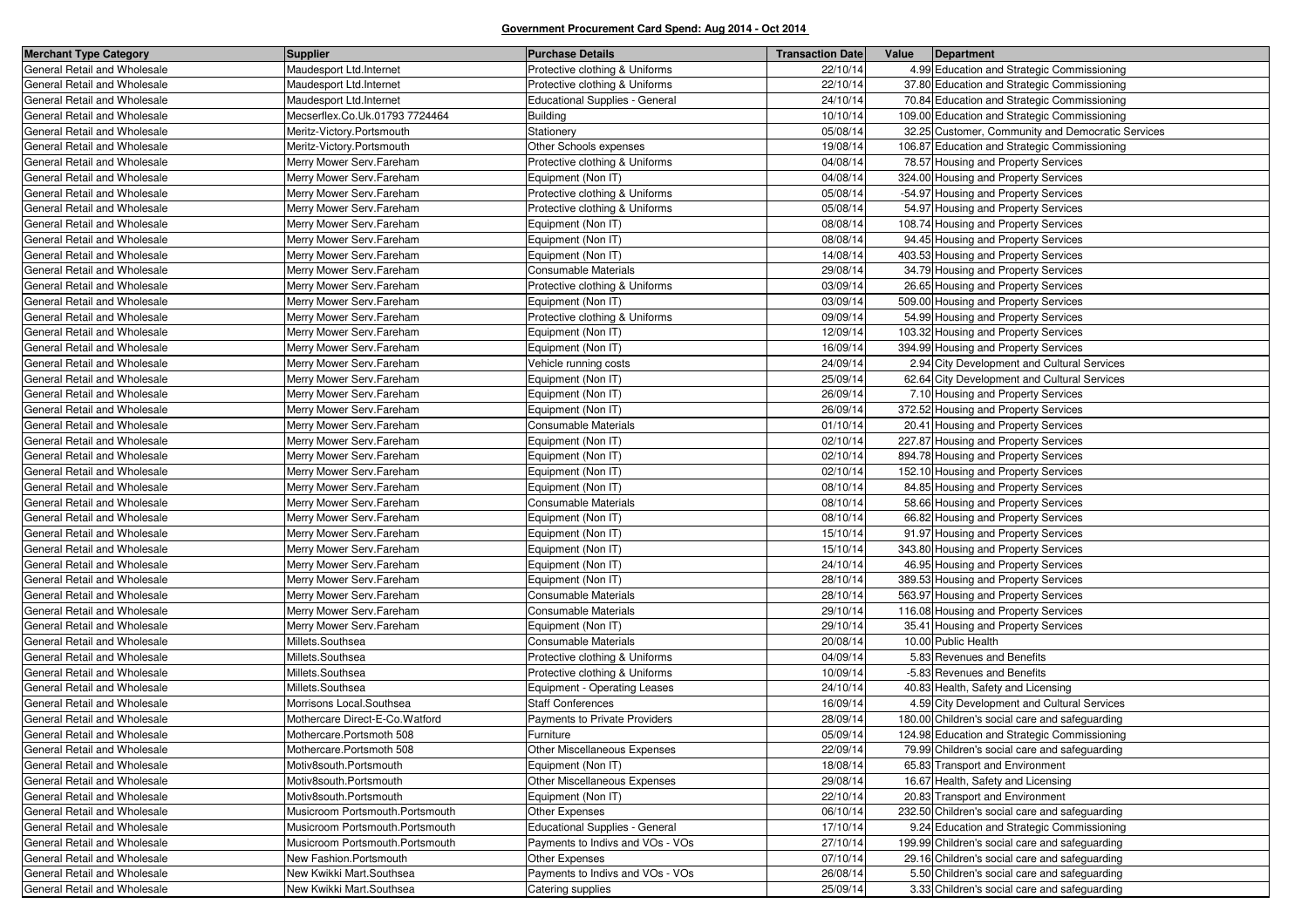| <b>Merchant Type Category</b> | <b>Supplier</b>                 | <b>Purchase Details</b>               | <b>Transaction Date</b> | Value<br>Department                               |
|-------------------------------|---------------------------------|---------------------------------------|-------------------------|---------------------------------------------------|
| General Retail and Wholesale  | Maudesport Ltd.Internet         | Protective clothing & Uniforms        | 22/10/14                | 4.99 Education and Strategic Commissioning        |
| General Retail and Wholesale  | Maudesport Ltd.Internet         | Protective clothing & Uniforms        | 22/10/14                | 37.80 Education and Strategic Commissioning       |
| General Retail and Wholesale  | Maudesport Ltd.Internet         | <b>Educational Supplies - General</b> | 24/10/14                | 70.84 Education and Strategic Commissioning       |
| General Retail and Wholesale  | Mecserflex.Co.Uk.01793 7724464  | <b>Building</b>                       | 10/10/14                | 109.00 Education and Strategic Commissioning      |
| General Retail and Wholesale  | Meritz-Victory.Portsmouth       | Stationery                            | 05/08/14                | 32.25 Customer, Community and Democratic Services |
| General Retail and Wholesale  | Meritz-Victory.Portsmouth       | Other Schools expenses                | 19/08/14                | 106.87 Education and Strategic Commissioning      |
| General Retail and Wholesale  | Merry Mower Serv.Fareham        | Protective clothing & Uniforms        | 04/08/14                | 78.57 Housing and Property Services               |
| General Retail and Wholesale  | Merry Mower Serv.Fareham        | Equipment (Non IT)                    | 04/08/14                | 324.00 Housing and Property Services              |
| General Retail and Wholesale  | Merry Mower Serv.Fareham        | Protective clothing & Uniforms        | 05/08/14                | -54.97 Housing and Property Services              |
| General Retail and Wholesale  | Merry Mower Serv.Fareham        | Protective clothing & Uniforms        | 05/08/14                | 54.97 Housing and Property Services               |
| General Retail and Wholesale  | Merry Mower Serv.Fareham        | Equipment (Non IT)                    | 08/08/14                | 108.74 Housing and Property Services              |
| General Retail and Wholesale  | Merry Mower Serv.Fareham        | Equipment (Non IT)                    | 08/08/14                | 94.45 Housing and Property Services               |
| General Retail and Wholesale  | Merry Mower Serv.Fareham        | Equipment (Non IT)                    | 14/08/14                | 403.53 Housing and Property Services              |
| General Retail and Wholesale  | Merry Mower Serv.Fareham        | Consumable Materials                  | 29/08/14                | 34.79 Housing and Property Services               |
| General Retail and Wholesale  | Merry Mower Serv.Fareham        | Protective clothing & Uniforms        | 03/09/14                | 26.65 Housing and Property Services               |
| General Retail and Wholesale  | Merry Mower Serv.Fareham        | Equipment (Non IT)                    | 03/09/14                | 509.00 Housing and Property Services              |
| General Retail and Wholesale  | Merry Mower Serv.Fareham        | Protective clothing & Uniforms        | 09/09/14                | 54.99 Housing and Property Services               |
| General Retail and Wholesale  | Merry Mower Serv.Fareham        | Equipment (Non IT)                    | 12/09/14                | 103.32 Housing and Property Services              |
| General Retail and Wholesale  | Merry Mower Serv.Fareham        | Equipment (Non IT)                    | 16/09/14                | 394.99 Housing and Property Services              |
| General Retail and Wholesale  | Merry Mower Serv.Fareham        | Vehicle running costs                 | 24/09/14                | 2.94 City Development and Cultural Services       |
| General Retail and Wholesale  | Merry Mower Serv.Fareham        | Equipment (Non IT)                    | 25/09/14                | 62.64 City Development and Cultural Services      |
| General Retail and Wholesale  | Merry Mower Serv.Fareham        | Equipment (Non IT)                    | 26/09/14                | 7.10 Housing and Property Services                |
| General Retail and Wholesale  | Merry Mower Serv.Fareham        | Equipment (Non IT)                    | 26/09/14                | 372.52 Housing and Property Services              |
| General Retail and Wholesale  | Merry Mower Serv.Fareham        | <b>Consumable Materials</b>           | 01/10/14                | 20.41 Housing and Property Services               |
| General Retail and Wholesale  | Merry Mower Serv.Fareham        | Equipment (Non IT)                    | 02/10/14                | 227.87 Housing and Property Services              |
| General Retail and Wholesale  | Merry Mower Serv.Fareham        | Equipment (Non IT)                    | 02/10/14                | 894.78 Housing and Property Services              |
| General Retail and Wholesale  | Merry Mower Serv.Fareham        | Equipment (Non IT)                    | 02/10/14                | 152.10 Housing and Property Services              |
| General Retail and Wholesale  | Merry Mower Serv.Fareham        | Equipment (Non IT)                    | 08/10/14                | 84.85 Housing and Property Services               |
| General Retail and Wholesale  | Merry Mower Serv.Fareham        | Consumable Materials                  | 08/10/14                | 58.66 Housing and Property Services               |
| General Retail and Wholesale  | Merry Mower Serv.Fareham        | Equipment (Non IT)                    | 08/10/14                | 66.82 Housing and Property Services               |
| General Retail and Wholesale  | Merry Mower Serv.Fareham        | Equipment (Non IT)                    | 15/10/14                | 91.97 Housing and Property Services               |
| General Retail and Wholesale  | Merry Mower Serv.Fareham        | Equipment (Non IT)                    | 15/10/14                | 343.80 Housing and Property Services              |
| General Retail and Wholesale  | Merry Mower Serv.Fareham        | Equipment (Non IT)                    | 24/10/14                | 46.95 Housing and Property Services               |
| General Retail and Wholesale  | Merry Mower Serv.Fareham        | Equipment (Non IT)                    | 28/10/14                | 389.53 Housing and Property Services              |
| General Retail and Wholesale  | Merry Mower Serv.Fareham        | Consumable Materials                  | 28/10/14                | 563.97 Housing and Property Services              |
| General Retail and Wholesale  | Merry Mower Serv.Fareham        | Consumable Materials                  | 29/10/14                | 116.08 Housing and Property Services              |
| General Retail and Wholesale  | Merry Mower Serv.Fareham        | Equipment (Non IT)                    | 29/10/14                | 35.41 Housing and Property Services               |
| General Retail and Wholesale  | Millets.Southsea                | Consumable Materials                  | 20/08/14                | 10.00 Public Health                               |
| General Retail and Wholesale  | Millets.Southsea                | Protective clothing & Uniforms        | 04/09/14                | 5.83 Revenues and Benefits                        |
| General Retail and Wholesale  | Millets.Southsea                | Protective clothing & Uniforms        | 10/09/14                | -5.83 Revenues and Benefits                       |
| General Retail and Wholesale  | Millets.Southsea                | Equipment - Operating Leases          | 24/10/14                | 40.83 Health, Safety and Licensing                |
| General Retail and Wholesale  | Morrisons Local.Southsea        | <b>Staff Conferences</b>              | 16/09/14                | 4.59 City Development and Cultural Services       |
| General Retail and Wholesale  | Mothercare Direct-E-Co. Watford | Payments to Private Providers         | 28/09/14                | 180.00 Children's social care and safeguarding    |
| General Retail and Wholesale  | Mothercare.Portsmoth 508        | Furniture                             | 05/09/14                | 124.98 Education and Strategic Commissioning      |
| General Retail and Wholesale  | Mothercare.Portsmoth 508        | Other Miscellaneous Expenses          | 22/09/14                | 79.99 Children's social care and safeguarding     |
| General Retail and Wholesale  | Motiv8south.Portsmouth          | Equipment (Non IT)                    | 18/08/14                | 65.83 Transport and Environment                   |
| General Retail and Wholesale  | Motiv8south.Portsmouth          | Other Miscellaneous Expenses          | 29/08/14                | 16.67 Health, Safety and Licensing                |
| General Retail and Wholesale  | Motiv8south.Portsmouth          | Equipment (Non IT)                    | 22/10/14                | 20.83 Transport and Environment                   |
| General Retail and Wholesale  | Musicroom Portsmouth.Portsmouth | Other Expenses                        | 06/10/14                | 232.50 Children's social care and safeguarding    |
| General Retail and Wholesale  | Musicroom Portsmouth.Portsmouth | Educational Supplies - General        | 17/10/14                | 9.24 Education and Strategic Commissioning        |
| General Retail and Wholesale  | Musicroom Portsmouth.Portsmouth | Payments to Indivs and VOs - VOs      | 27/10/14                | 199.99 Children's social care and safeguarding    |
| General Retail and Wholesale  | New Fashion.Portsmouth          | Other Expenses                        | 07/10/14                | 29.16 Children's social care and safeguarding     |
| General Retail and Wholesale  | New Kwikki Mart.Southsea        | Payments to Indivs and VOs - VOs      | 26/08/14                | 5.50 Children's social care and safeguarding      |
| General Retail and Wholesale  | New Kwikki Mart.Southsea        | Catering supplies                     | 25/09/14                | 3.33 Children's social care and safeguarding      |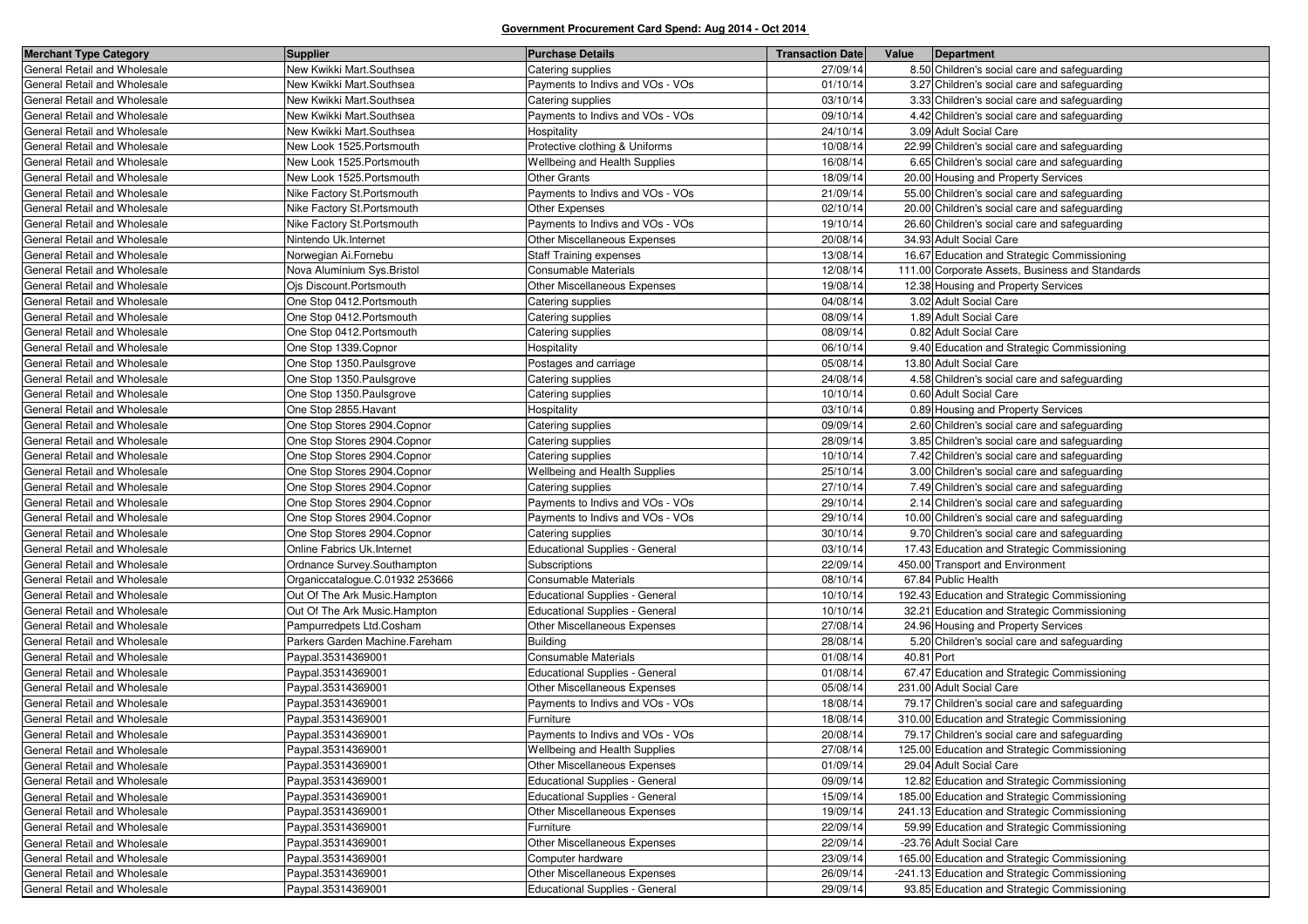| <b>Merchant Type Category</b> | <b>Supplier</b>                 | <b>Purchase Details</b>               | <b>Transaction Date</b> | Value      | <b>Department</b>                               |
|-------------------------------|---------------------------------|---------------------------------------|-------------------------|------------|-------------------------------------------------|
| General Retail and Wholesale  | New Kwikki Mart.Southsea        | Catering supplies                     | 27/09/14                |            | 8.50 Children's social care and safeguarding    |
| General Retail and Wholesale  | New Kwikki Mart.Southsea        | Payments to Indivs and VOs - VOs      | 01/10/14                |            | 3.27 Children's social care and safeguarding    |
| General Retail and Wholesale  | New Kwikki Mart.Southsea        | Catering supplies                     | 03/10/14                |            | 3.33 Children's social care and safeguarding    |
| General Retail and Wholesale  | New Kwikki Mart.Southsea        | Payments to Indivs and VOs - VOs      | 09/10/14                |            | 4.42 Children's social care and safeguarding    |
| General Retail and Wholesale  | New Kwikki Mart.Southsea        | Hospitality                           | 24/10/14                |            | 3.09 Adult Social Care                          |
| General Retail and Wholesale  | New Look 1525. Portsmouth       | Protective clothing & Uniforms        | 10/08/14                |            | 22.99 Children's social care and safeguarding   |
| General Retail and Wholesale  | New Look 1525. Portsmouth       | Wellbeing and Health Supplies         | 16/08/14                |            | 6.65 Children's social care and safeguarding    |
| General Retail and Wholesale  | New Look 1525. Portsmouth       | <b>Other Grants</b>                   | 18/09/14                |            | 20.00 Housing and Property Services             |
| General Retail and Wholesale  | Nike Factory St.Portsmouth      | Payments to Indivs and VOs - VOs      | 21/09/14                |            | 55.00 Children's social care and safeguarding   |
| General Retail and Wholesale  | Nike Factory St.Portsmouth      | Other Expenses                        | 02/10/14                |            | 20.00 Children's social care and safeguarding   |
| General Retail and Wholesale  | Nike Factory St.Portsmouth      | Payments to Indivs and VOs - VOs      | 19/10/14                |            | 26.60 Children's social care and safeguarding   |
| General Retail and Wholesale  | Nintendo Uk.Internet            | Other Miscellaneous Expenses          | 20/08/14                |            | 34.93 Adult Social Care                         |
| General Retail and Wholesale  | Norwegian Ai.Fornebu            | <b>Staff Training expenses</b>        | 13/08/14                |            | 16.67 Education and Strategic Commissioning     |
| General Retail and Wholesale  | Nova Aluminium Sys. Bristol     | Consumable Materials                  | 12/08/14                |            | 111.00 Corporate Assets, Business and Standards |
| General Retail and Wholesale  | Ojs Discount.Portsmouth         | Other Miscellaneous Expenses          | 19/08/14                |            | 12.38 Housing and Property Services             |
| General Retail and Wholesale  | One Stop 0412. Portsmouth       | Catering supplies                     | 04/08/14                |            | 3.02 Adult Social Care                          |
| General Retail and Wholesale  | One Stop 0412. Portsmouth       | Catering supplies                     | 08/09/14                |            | 1.89 Adult Social Care                          |
| General Retail and Wholesale  | One Stop 0412. Portsmouth       | Catering supplies                     | 08/09/14                |            | 0.82 Adult Social Care                          |
| General Retail and Wholesale  | One Stop 1339.Copnor            | Hospitality                           | 06/10/14                |            | 9.40 Education and Strategic Commissioning      |
| General Retail and Wholesale  | One Stop 1350. Paulsgrove       | Postages and carriage                 | 05/08/14                |            | 13.80 Adult Social Care                         |
| General Retail and Wholesale  | One Stop 1350. Paulsgrove       | Catering supplies                     | 24/08/14                |            | 4.58 Children's social care and safeguarding    |
| General Retail and Wholesale  | One Stop 1350. Paulsgrove       | Catering supplies                     | 10/10/14                |            | 0.60 Adult Social Care                          |
| General Retail and Wholesale  | One Stop 2855. Havant           | Hospitality                           | 03/10/14                |            | 0.89 Housing and Property Services              |
| General Retail and Wholesale  | One Stop Stores 2904.Copnor     | Catering supplies                     | 09/09/14                |            | 2.60 Children's social care and safeguarding    |
| General Retail and Wholesale  | One Stop Stores 2904. Copnor    | Catering supplies                     | 28/09/14                |            | 3.85 Children's social care and safeguarding    |
| General Retail and Wholesale  | One Stop Stores 2904.Copnor     | Catering supplies                     | 10/10/14                |            | 7.42 Children's social care and safeguarding    |
| General Retail and Wholesale  | One Stop Stores 2904.Copnor     | Wellbeing and Health Supplies         | 25/10/14                |            | 3.00 Children's social care and safeguarding    |
| General Retail and Wholesale  | One Stop Stores 2904. Copnor    | Catering supplies                     | 27/10/14                |            | 7.49 Children's social care and safeguarding    |
| General Retail and Wholesale  | One Stop Stores 2904. Copnor    | Payments to Indivs and VOs - VOs      | 29/10/14                |            | 2.14 Children's social care and safeguarding    |
| General Retail and Wholesale  | One Stop Stores 2904.Copnor     | Payments to Indivs and VOs - VOs      | 29/10/14                |            | 10.00 Children's social care and safeguarding   |
| General Retail and Wholesale  | One Stop Stores 2904.Copnor     | Catering supplies                     | 30/10/14                |            | 9.70 Children's social care and safeguarding    |
| General Retail and Wholesale  | Online Fabrics Uk.Internet      | <b>Educational Supplies - General</b> | 03/10/14                |            | 17.43 Education and Strategic Commissioning     |
| General Retail and Wholesale  | Ordnance Survey.Southampton     | Subscriptions                         | 22/09/14                |            | 450.00 Transport and Environment                |
| General Retail and Wholesale  | Organiccatalogue.C.01932 253666 | Consumable Materials                  | 08/10/14                |            | 67.84 Public Health                             |
| General Retail and Wholesale  | Out Of The Ark Music.Hampton    | <b>Educational Supplies - General</b> | 10/10/14                |            | 192.43 Education and Strategic Commissioning    |
| General Retail and Wholesale  | Out Of The Ark Music.Hampton    | Educational Supplies - General        | 10/10/14                |            | 32.21 Education and Strategic Commissioning     |
| General Retail and Wholesale  | Pampurredpets Ltd.Cosham        | Other Miscellaneous Expenses          | 27/08/14                |            | 24.96 Housing and Property Services             |
| General Retail and Wholesale  | Parkers Garden Machine.Fareham  | <b>Building</b>                       | 28/08/14                |            | 5.20 Children's social care and safeguarding    |
| General Retail and Wholesale  | Paypal.35314369001              | Consumable Materials                  | 01/08/14                | 40.81 Port |                                                 |
| General Retail and Wholesale  | Paypal.35314369001              | <b>Educational Supplies - General</b> | 01/08/14                |            | 67.47 Education and Strategic Commissioning     |
| General Retail and Wholesale  | Paypal.35314369001              | Other Miscellaneous Expenses          | 05/08/14                |            | 231.00 Adult Social Care                        |
| General Retail and Wholesale  | Paypal.35314369001              | Payments to Indivs and VOs - VOs      | 18/08/14                |            | 79.17 Children's social care and safeguarding   |
| General Retail and Wholesale  | Paypal.35314369001              | Furniture                             | 18/08/14                |            | 310.00 Education and Strategic Commissioning    |
| General Retail and Wholesale  | Paypal.35314369001              | Payments to Indivs and VOs - VOs      | 20/08/14                |            | 79.17 Children's social care and safeguarding   |
| General Retail and Wholesale  | Paypal.35314369001              | Wellbeing and Health Supplies         | 27/08/14                |            | 125.00 Education and Strategic Commissioning    |
| General Retail and Wholesale  | Paypal.35314369001              | Other Miscellaneous Expenses          | 01/09/14                |            | 29.04 Adult Social Care                         |
| General Retail and Wholesale  | Paypal.35314369001              | <b>Educational Supplies - General</b> | 09/09/14                |            | 12.82 Education and Strategic Commissioning     |
| General Retail and Wholesale  | Paypal.35314369001              | Educational Supplies - General        | 15/09/14                |            | 185.00 Education and Strategic Commissioning    |
| General Retail and Wholesale  | Paypal.35314369001              | Other Miscellaneous Expenses          | 19/09/14                |            | 241.13 Education and Strategic Commissioning    |
| General Retail and Wholesale  | Paypal.35314369001              | Furniture                             | 22/09/14                |            | 59.99 Education and Strategic Commissioning     |
| General Retail and Wholesale  | Paypal.35314369001              | Other Miscellaneous Expenses          | 22/09/14                |            | -23.76 Adult Social Care                        |
| General Retail and Wholesale  | Paypal.35314369001              | Computer hardware                     | 23/09/14                |            | 165.00 Education and Strategic Commissioning    |
| General Retail and Wholesale  | Paypal.35314369001              | Other Miscellaneous Expenses          | 26/09/14                |            | -241.13 Education and Strategic Commissioning   |
| General Retail and Wholesale  | Paypal.35314369001              | <b>Educational Supplies - General</b> | 29/09/14                |            | 93.85 Education and Strategic Commissioning     |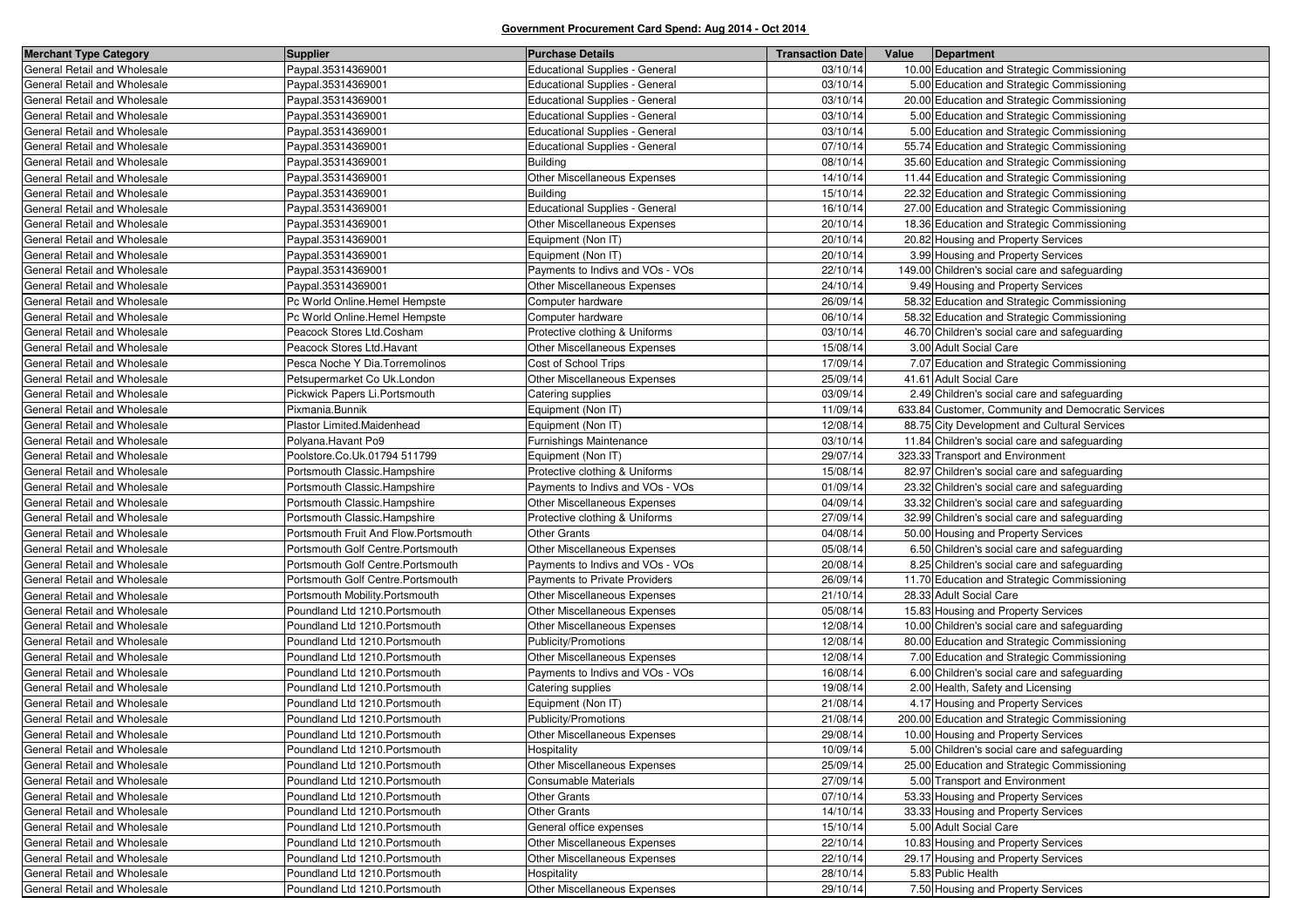| <b>Merchant Type Category</b> | <b>Supplier</b>                      | <b>Purchase Details</b>               | <b>Transaction Date</b> | Value | Department                                         |
|-------------------------------|--------------------------------------|---------------------------------------|-------------------------|-------|----------------------------------------------------|
| General Retail and Wholesale  | Paypal.35314369001                   | Educational Supplies - General        | 03/10/14                |       | 10.00 Education and Strategic Commissioning        |
| General Retail and Wholesale  | Paypal.35314369001                   | <b>Educational Supplies - General</b> | 03/10/14                |       | 5.00 Education and Strategic Commissioning         |
| General Retail and Wholesale  | Paypal.35314369001                   | <b>Educational Supplies - General</b> | 03/10/14                |       | 20.00 Education and Strategic Commissioning        |
| General Retail and Wholesale  | Paypal.35314369001                   | <b>Educational Supplies - General</b> | 03/10/14                |       | 5.00 Education and Strategic Commissioning         |
| General Retail and Wholesale  | Paypal.35314369001                   | <b>Educational Supplies - General</b> | 03/10/14                |       | 5.00 Education and Strategic Commissioning         |
| General Retail and Wholesale  | Paypal.35314369001                   | <b>Educational Supplies - General</b> | 07/10/14                |       | 55.74 Education and Strategic Commissioning        |
| General Retail and Wholesale  | Paypal.35314369001                   | <b>Building</b>                       | 08/10/14                |       | 35.60 Education and Strategic Commissioning        |
| General Retail and Wholesale  | Paypal.35314369001                   | Other Miscellaneous Expenses          | 14/10/14                |       | 11.44 Education and Strategic Commissioning        |
| General Retail and Wholesale  | Paypal.35314369001                   | <b>Building</b>                       | 15/10/14                |       | 22.32 Education and Strategic Commissioning        |
| General Retail and Wholesale  | Paypal.35314369001                   | <b>Educational Supplies - General</b> | 16/10/14                |       | 27.00 Education and Strategic Commissioning        |
| General Retail and Wholesale  | Paypal.35314369001                   | Other Miscellaneous Expenses          | 20/10/14                |       | 18.36 Education and Strategic Commissioning        |
| General Retail and Wholesale  | Paypal.35314369001                   | Equipment (Non IT)                    | 20/10/14                |       | 20.82 Housing and Property Services                |
| General Retail and Wholesale  | Paypal.35314369001                   | Equipment (Non IT)                    | 20/10/14                |       | 3.99 Housing and Property Services                 |
| General Retail and Wholesale  | Paypal.35314369001                   | Payments to Indivs and VOs - VOs      | 22/10/14                |       | 149.00 Children's social care and safeguarding     |
| General Retail and Wholesale  | Paypal.35314369001                   | Other Miscellaneous Expenses          | 24/10/14                |       | 9.49 Housing and Property Services                 |
| General Retail and Wholesale  | Pc World Online.Hemel Hempste        | Computer hardware                     | 26/09/14                |       | 58.32 Education and Strategic Commissioning        |
| General Retail and Wholesale  | Pc World Online.Hemel Hempste        | Computer hardware                     | 06/10/14                |       | 58.32 Education and Strategic Commissioning        |
| General Retail and Wholesale  | Peacock Stores Ltd.Cosham            | Protective clothing & Uniforms        | 03/10/14                |       | 46.70 Children's social care and safeguarding      |
| General Retail and Wholesale  | Peacock Stores Ltd.Havant            | Other Miscellaneous Expenses          | 15/08/14                |       | 3.00 Adult Social Care                             |
| General Retail and Wholesale  | Pesca Noche Y Dia.Torremolinos       | Cost of School Trips                  | 17/09/14                |       | 7.07 Education and Strategic Commissioning         |
| General Retail and Wholesale  | Petsupermarket Co Uk.London          | Other Miscellaneous Expenses          | 25/09/14                |       | 41.61 Adult Social Care                            |
| General Retail and Wholesale  | Pickwick Papers Li.Portsmouth        | Catering supplies                     | 03/09/14                |       | 2.49 Children's social care and safeguarding       |
| General Retail and Wholesale  | Pixmania.Bunnik                      | Equipment (Non IT)                    | 11/09/14                |       | 633.84 Customer, Community and Democratic Services |
| General Retail and Wholesale  | Plastor Limited.Maidenhead           | Equipment (Non IT)                    | 12/08/14                |       | 88.75 City Development and Cultural Services       |
| General Retail and Wholesale  | Polvana.Havant Po9                   | <b>Furnishings Maintenance</b>        | 03/10/14                |       | 11.84 Children's social care and safeguarding      |
| General Retail and Wholesale  | Poolstore.Co.Uk.01794 511799         | Equipment (Non IT)                    | 29/07/14                |       | 323.33 Transport and Environment                   |
| General Retail and Wholesale  | Portsmouth Classic.Hampshire         | Protective clothing & Uniforms        | 15/08/14                |       | 82.97 Children's social care and safeguarding      |
| General Retail and Wholesale  | Portsmouth Classic.Hampshire         | Payments to Indivs and VOs - VOs      | 01/09/14                |       | 23.32 Children's social care and safeguarding      |
| General Retail and Wholesale  | Portsmouth Classic.Hampshire         | Other Miscellaneous Expenses          | 04/09/14                |       | 33.32 Children's social care and safeguarding      |
| General Retail and Wholesale  | Portsmouth Classic.Hampshire         | Protective clothing & Uniforms        | 27/09/14                |       | 32.99 Children's social care and safeguarding      |
| General Retail and Wholesale  | Portsmouth Fruit And Flow.Portsmouth | <b>Other Grants</b>                   | 04/08/14                |       | 50.00 Housing and Property Services                |
| General Retail and Wholesale  | Portsmouth Golf Centre.Portsmouth    | Other Miscellaneous Expenses          | 05/08/14                |       | 6.50 Children's social care and safeguarding       |
| General Retail and Wholesale  | Portsmouth Golf Centre.Portsmouth    | Payments to Indivs and VOs - VOs      | 20/08/14                |       | 8.25 Children's social care and safeguarding       |
| General Retail and Wholesale  | Portsmouth Golf Centre.Portsmouth    | <b>Payments to Private Providers</b>  | 26/09/14                |       | 11.70 Education and Strategic Commissioning        |
| General Retail and Wholesale  | Portsmouth Mobility.Portsmouth       | Other Miscellaneous Expenses          | 21/10/14                |       | 28.33 Adult Social Care                            |
| General Retail and Wholesale  | Poundland Ltd 1210. Portsmouth       | Other Miscellaneous Expenses          | 05/08/14                |       | 15.83 Housing and Property Services                |
| General Retail and Wholesale  | Poundland Ltd 1210.Portsmouth        | Other Miscellaneous Expenses          | 12/08/14                |       | 10.00 Children's social care and safeguarding      |
| General Retail and Wholesale  | Poundland Ltd 1210. Portsmouth       | Publicity/Promotions                  | 12/08/14                |       | 80.00 Education and Strategic Commissioning        |
| General Retail and Wholesale  | Poundland Ltd 1210. Portsmouth       | Other Miscellaneous Expenses          | 12/08/14                |       | 7.00 Education and Strategic Commissioning         |
| General Retail and Wholesale  | Poundland Ltd 1210.Portsmouth        | Payments to Indivs and VOs - VOs      | 16/08/14                |       | 6.00 Children's social care and safeguarding       |
| General Retail and Wholesale  | Poundland Ltd 1210.Portsmouth        | Catering supplies                     | 19/08/14                |       | 2.00 Health, Safety and Licensing                  |
| General Retail and Wholesale  | Poundland Ltd 1210.Portsmouth        | Equipment (Non IT)                    | 21/08/14                |       | 4.17 Housing and Property Services                 |
| General Retail and Wholesale  | Poundland Ltd 1210.Portsmouth        | Publicity/Promotions                  | 21/08/14                |       | 200.00 Education and Strategic Commissioning       |
| General Retail and Wholesale  | Poundland Ltd 1210.Portsmouth        | Other Miscellaneous Expenses          | 29/08/14                |       | 10.00 Housing and Property Services                |
| General Retail and Wholesale  | Poundland Ltd 1210. Portsmouth       | Hospitality                           | 10/09/14                |       | 5.00 Children's social care and safeguarding       |
| General Retail and Wholesale  | Poundland Ltd 1210. Portsmouth       | Other Miscellaneous Expenses          | 25/09/14                |       | 25.00 Education and Strategic Commissioning        |
| General Retail and Wholesale  | Poundland Ltd 1210. Portsmouth       | Consumable Materials                  | 27/09/14                |       | 5.00 Transport and Environment                     |
| General Retail and Wholesale  | Poundland Ltd 1210. Portsmouth       | <b>Other Grants</b>                   | 07/10/14                |       | 53.33 Housing and Property Services                |
| General Retail and Wholesale  | Poundland Ltd 1210.Portsmouth        | <b>Other Grants</b>                   | 14/10/14                |       | 33.33 Housing and Property Services                |
| General Retail and Wholesale  | Poundland Ltd 1210.Portsmouth        | General office expenses               | 15/10/14                |       | 5.00 Adult Social Care                             |
| General Retail and Wholesale  | Poundland Ltd 1210.Portsmouth        | Other Miscellaneous Expenses          | 22/10/14                |       | 10.83 Housing and Property Services                |
| General Retail and Wholesale  | Poundland Ltd 1210. Portsmouth       | Other Miscellaneous Expenses          | 22/10/14                |       | 29.17 Housing and Property Services                |
| General Retail and Wholesale  | Poundland Ltd 1210. Portsmouth       | Hospitality                           | 28/10/14                |       | 5.83 Public Health                                 |
| General Retail and Wholesale  | Poundland Ltd 1210. Portsmouth       | Other Miscellaneous Expenses          | 29/10/14                |       | 7.50 Housing and Property Services                 |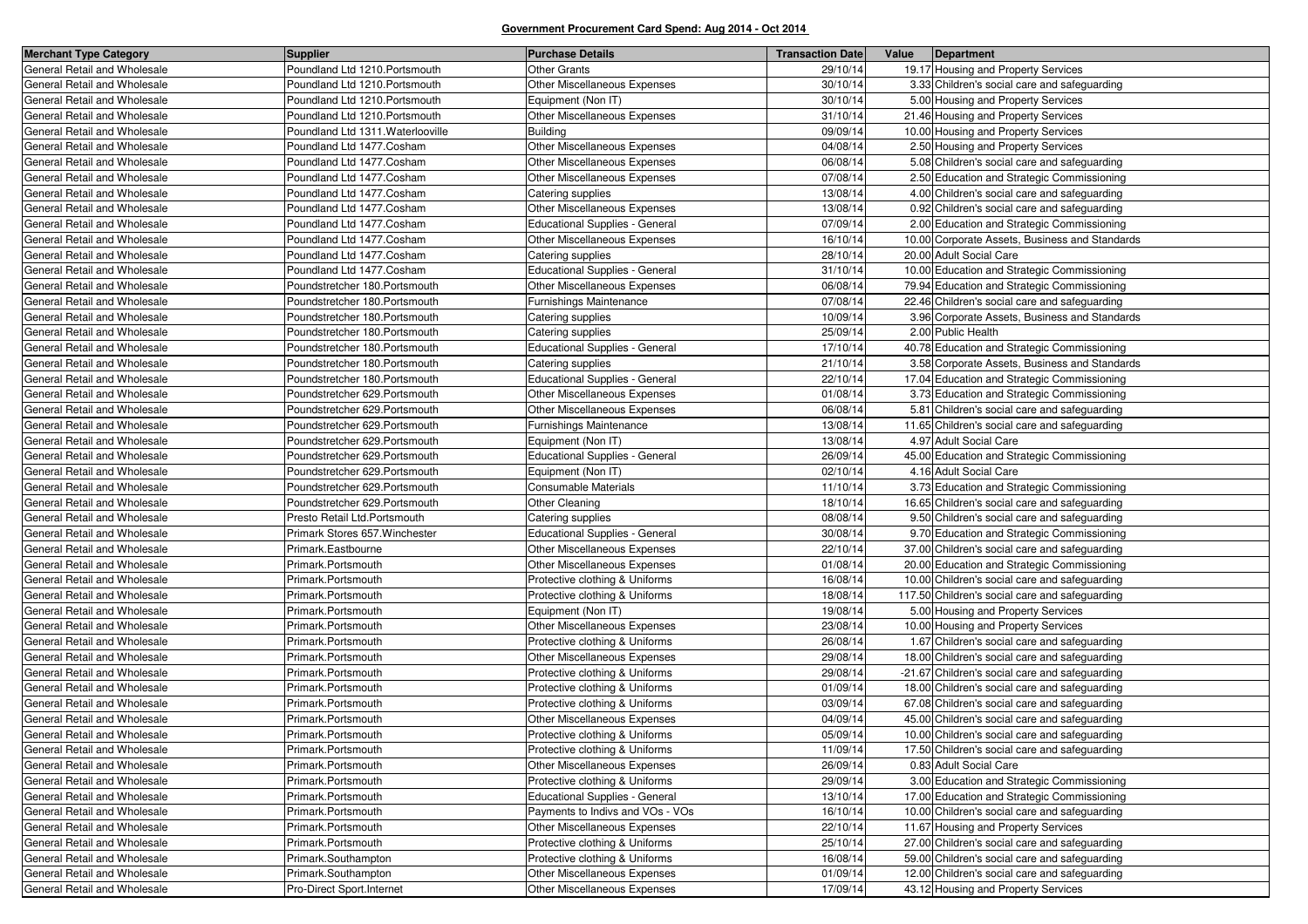| <b>Merchant Type Category</b> | <b>Supplier</b>                   | <b>Purchase Details</b>               | <b>Transaction Date</b> | Value | Department                                     |
|-------------------------------|-----------------------------------|---------------------------------------|-------------------------|-------|------------------------------------------------|
| General Retail and Wholesale  | Poundland Ltd 1210. Portsmouth    | <b>Other Grants</b>                   | 29/10/14                |       | 19.17 Housing and Property Services            |
| General Retail and Wholesale  | Poundland Ltd 1210. Portsmouth    | Other Miscellaneous Expenses          | 30/10/14                |       | 3.33 Children's social care and safeguarding   |
| General Retail and Wholesale  | Poundland Ltd 1210. Portsmouth    | Equipment (Non IT)                    | 30/10/14                |       | 5.00 Housing and Property Services             |
| General Retail and Wholesale  | Poundland Ltd 1210. Portsmouth    | Other Miscellaneous Expenses          | 31/10/14                |       | 21.46 Housing and Property Services            |
| General Retail and Wholesale  | Poundland Ltd 1311. Waterlooville | <b>Building</b>                       | 09/09/14                |       | 10.00 Housing and Property Services            |
| General Retail and Wholesale  | Poundland Ltd 1477.Cosham         | Other Miscellaneous Expenses          | 04/08/14                |       | 2.50 Housing and Property Services             |
| General Retail and Wholesale  | Poundland Ltd 1477.Cosham         | <b>Other Miscellaneous Expenses</b>   | 06/08/14                |       | 5.08 Children's social care and safeguarding   |
| General Retail and Wholesale  | Poundland Ltd 1477.Cosham         | <b>Other Miscellaneous Expenses</b>   | 07/08/14                |       | 2.50 Education and Strategic Commissioning     |
| General Retail and Wholesale  | Poundland Ltd 1477.Cosham         | Catering supplies                     | 13/08/14                |       | 4.00 Children's social care and safeguarding   |
| General Retail and Wholesale  | Poundland Ltd 1477.Cosham         | Other Miscellaneous Expenses          | 13/08/14                |       | 0.92 Children's social care and safeguarding   |
| General Retail and Wholesale  | Poundland Ltd 1477.Cosham         | <b>Educational Supplies - General</b> | 07/09/14                |       | 2.00 Education and Strategic Commissioning     |
| General Retail and Wholesale  | Poundland Ltd 1477.Cosham         | Other Miscellaneous Expenses          | 16/10/14                |       | 10.00 Corporate Assets, Business and Standards |
| General Retail and Wholesale  | Poundland Ltd 1477.Cosham         | Catering supplies                     | 28/10/14                |       | 20.00 Adult Social Care                        |
| General Retail and Wholesale  | Poundland Ltd 1477.Cosham         | <b>Educational Supplies - General</b> | 31/10/14                |       | 10.00 Education and Strategic Commissioning    |
| General Retail and Wholesale  | Poundstretcher 180. Portsmouth    | Other Miscellaneous Expenses          | 06/08/14                |       | 79.94 Education and Strategic Commissioning    |
| General Retail and Wholesale  | Poundstretcher 180. Portsmouth    | Furnishings Maintenance               | 07/08/14                |       | 22.46 Children's social care and safeguarding  |
| General Retail and Wholesale  | Poundstretcher 180. Portsmouth    | Catering supplies                     | 10/09/14                |       | 3.96 Corporate Assets, Business and Standards  |
| General Retail and Wholesale  | Poundstretcher 180. Portsmouth    | Catering supplies                     | 25/09/14                |       | 2.00 Public Health                             |
| General Retail and Wholesale  | Poundstretcher 180. Portsmouth    | <b>Educational Supplies - General</b> | 17/10/14                |       | 40.78 Education and Strategic Commissioning    |
| General Retail and Wholesale  | Poundstretcher 180. Portsmouth    | Catering supplies                     | 21/10/14                |       | 3.58 Corporate Assets, Business and Standards  |
| General Retail and Wholesale  | Poundstretcher 180. Portsmouth    | Educational Supplies - General        | 22/10/14                |       | 17.04 Education and Strategic Commissioning    |
| General Retail and Wholesale  | Poundstretcher 629. Portsmouth    | Other Miscellaneous Expenses          | 01/08/14                |       | 3.73 Education and Strategic Commissioning     |
| General Retail and Wholesale  | Poundstretcher 629. Portsmouth    | <b>Other Miscellaneous Expenses</b>   | 06/08/14                |       | 5.81 Children's social care and safeguarding   |
| General Retail and Wholesale  | Poundstretcher 629. Portsmouth    | Furnishings Maintenance               | 13/08/14                |       | 11.65 Children's social care and safeguarding  |
| General Retail and Wholesale  | Poundstretcher 629. Portsmouth    | Equipment (Non IT)                    | 13/08/14                |       | 4.97 Adult Social Care                         |
| General Retail and Wholesale  | Poundstretcher 629. Portsmouth    | <b>Educational Supplies - General</b> | 26/09/14                |       | 45.00 Education and Strategic Commissioning    |
| General Retail and Wholesale  | Poundstretcher 629. Portsmouth    | Equipment (Non IT)                    | 02/10/14                |       | 4.16 Adult Social Care                         |
| General Retail and Wholesale  | Poundstretcher 629. Portsmouth    | Consumable Materials                  | 11/10/14                |       | 3.73 Education and Strategic Commissioning     |
| General Retail and Wholesale  | Poundstretcher 629. Portsmouth    | Other Cleaning                        | 18/10/14                |       | 16.65 Children's social care and safeguarding  |
| General Retail and Wholesale  | Presto Retail Ltd. Portsmouth     | Catering supplies                     | 08/08/14                |       | 9.50 Children's social care and safeguarding   |
| General Retail and Wholesale  | Primark Stores 657. Winchester    | <b>Educational Supplies - General</b> | 30/08/14                |       | 9.70 Education and Strategic Commissioning     |
| General Retail and Wholesale  | Primark.Eastbourne                | Other Miscellaneous Expenses          | 22/10/14                |       | 37.00 Children's social care and safeguarding  |
| General Retail and Wholesale  | Primark.Portsmouth                | Other Miscellaneous Expenses          | 01/08/14                |       | 20.00 Education and Strategic Commissioning    |
| General Retail and Wholesale  | Primark.Portsmouth                | Protective clothing & Uniforms        | 16/08/14                |       | 10.00 Children's social care and safeguarding  |
| General Retail and Wholesale  | Primark.Portsmouth                | Protective clothing & Uniforms        | 18/08/14                |       | 117.50 Children's social care and safeguarding |
| General Retail and Wholesale  | Primark.Portsmouth                | Equipment (Non IT)                    | 19/08/14                |       | 5.00 Housing and Property Services             |
| General Retail and Wholesale  | Primark.Portsmouth                | Other Miscellaneous Expenses          | 23/08/14                |       | 10.00 Housing and Property Services            |
| General Retail and Wholesale  | Primark.Portsmouth                | Protective clothing & Uniforms        | 26/08/14                |       | 1.67 Children's social care and safeguarding   |
| General Retail and Wholesale  | Primark.Portsmouth                | Other Miscellaneous Expenses          | 29/08/14                |       | 18.00 Children's social care and safeguarding  |
| General Retail and Wholesale  | Primark.Portsmouth                | Protective clothing & Uniforms        | 29/08/14                |       | -21.67 Children's social care and safeguarding |
| General Retail and Wholesale  | Primark.Portsmouth                | Protective clothing & Uniforms        | 01/09/14                |       | 18.00 Children's social care and safeguarding  |
| General Retail and Wholesale  | Primark.Portsmouth                | Protective clothing & Uniforms        | 03/09/14                |       | 67.08 Children's social care and safeguarding  |
| General Retail and Wholesale  | Primark.Portsmouth                | Other Miscellaneous Expenses          | 04/09/14                |       | 45.00 Children's social care and safeguarding  |
| General Retail and Wholesale  | Primark.Portsmouth                | Protective clothing & Uniforms        | 05/09/14                |       | 10.00 Children's social care and safeguarding  |
| General Retail and Wholesale  | Primark.Portsmouth                | Protective clothing & Uniforms        | 11/09/14                |       | 17.50 Children's social care and safeguarding  |
| General Retail and Wholesale  | Primark.Portsmouth                | <b>Other Miscellaneous Expenses</b>   | 26/09/14                |       | 0.83 Adult Social Care                         |
| General Retail and Wholesale  | Primark.Portsmouth                | Protective clothing & Uniforms        | 29/09/14                |       | 3.00 Education and Strategic Commissioning     |
| General Retail and Wholesale  | Primark.Portsmouth                | <b>Educational Supplies - General</b> | 13/10/14                |       | 17.00 Education and Strategic Commissioning    |
| General Retail and Wholesale  | Primark.Portsmouth                | Payments to Indivs and VOs - VOs      | 16/10/14                |       | 10.00 Children's social care and safeguarding  |
| General Retail and Wholesale  | Primark.Portsmouth                | Other Miscellaneous Expenses          | 22/10/14                |       | 11.67 Housing and Property Services            |
| General Retail and Wholesale  | Primark.Portsmouth                | Protective clothing & Uniforms        | 25/10/14                |       | 27.00 Children's social care and safeguarding  |
| General Retail and Wholesale  | Primark.Southampton               | Protective clothing & Uniforms        | 16/08/14                |       | 59.00 Children's social care and safeguarding  |
| General Retail and Wholesale  | Primark.Southampton               | Other Miscellaneous Expenses          | 01/09/14                |       | 12.00 Children's social care and safeguarding  |
| General Retail and Wholesale  | Pro-Direct Sport.Internet         | Other Miscellaneous Expenses          | 17/09/14                |       | 43.12 Housing and Property Services            |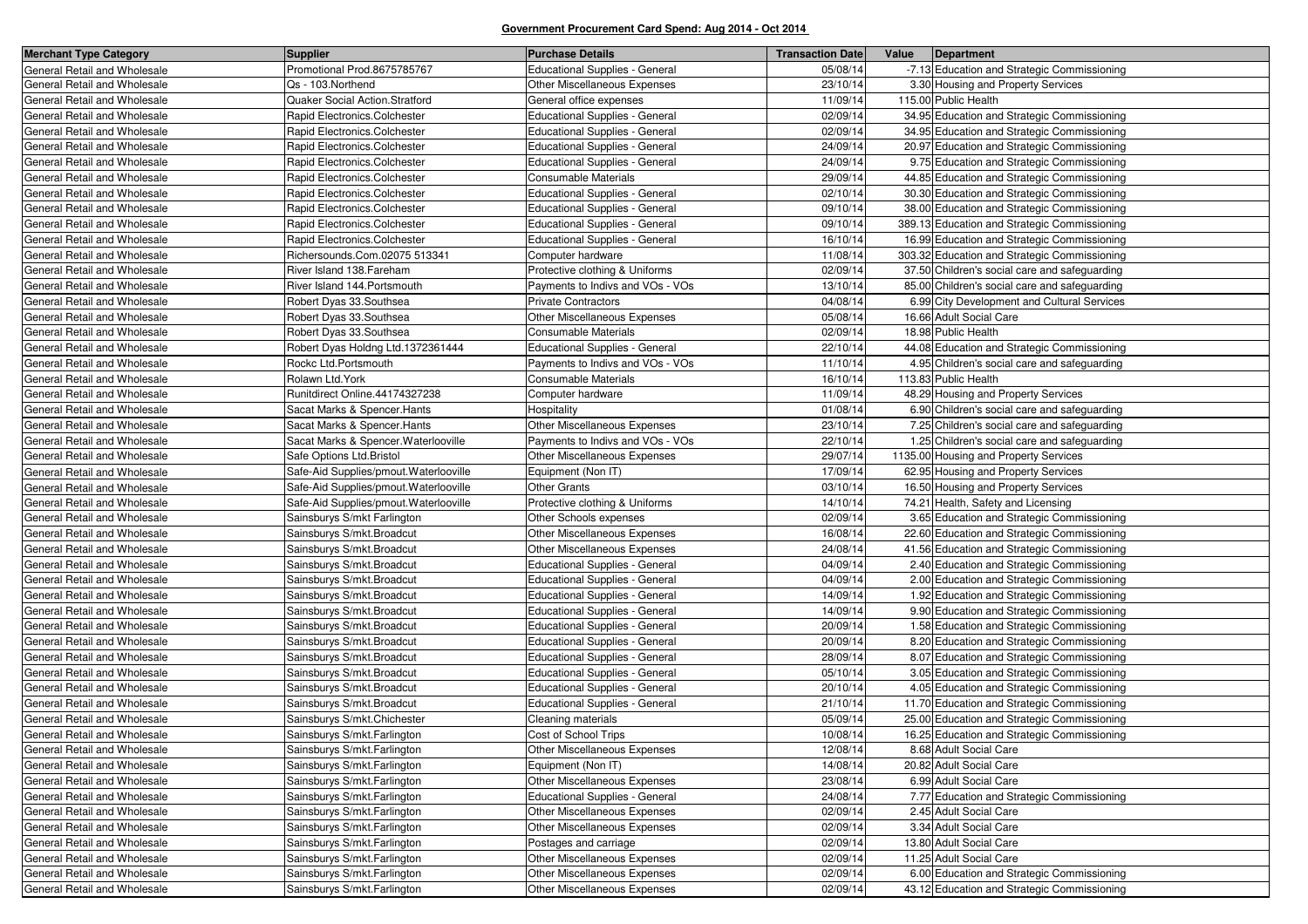| <b>Merchant Type Category</b> | <b>Supplier</b>                        | <b>Purchase Details</b>               | <b>Transaction Date</b> | Value | Department                                    |
|-------------------------------|----------------------------------------|---------------------------------------|-------------------------|-------|-----------------------------------------------|
| General Retail and Wholesale  | Promotional Prod.8675785767            | <b>Educational Supplies - General</b> | 05/08/14                |       | -7.13 Education and Strategic Commissioning   |
| General Retail and Wholesale  | Qs - 103.Northend                      | Other Miscellaneous Expenses          | 23/10/14                |       | 3.30 Housing and Property Services            |
| General Retail and Wholesale  | Quaker Social Action.Stratford         | General office expenses               | 11/09/14                |       | 115.00 Public Health                          |
| General Retail and Wholesale  | Rapid Electronics.Colchester           | <b>Educational Supplies - General</b> | 02/09/14                |       | 34.95 Education and Strategic Commissioning   |
| General Retail and Wholesale  | Rapid Electronics.Colchester           | <b>Educational Supplies - General</b> | 02/09/14                |       | 34.95 Education and Strategic Commissioning   |
| General Retail and Wholesale  | Rapid Electronics.Colchester           | <b>Educational Supplies - General</b> | 24/09/14                |       | 20.97 Education and Strategic Commissioning   |
| General Retail and Wholesale  | Rapid Electronics.Colchester           | Educational Supplies - General        | 24/09/14                |       | 9.75 Education and Strategic Commissioning    |
| General Retail and Wholesale  | Rapid Electronics.Colchester           | Consumable Materials                  | 29/09/14                |       | 44.85 Education and Strategic Commissioning   |
| General Retail and Wholesale  | Rapid Electronics.Colchester           | <b>Educational Supplies - General</b> | 02/10/14                |       | 30.30 Education and Strategic Commissioning   |
| General Retail and Wholesale  | Rapid Electronics.Colchester           | Educational Supplies - General        | 09/10/14                |       | 38.00 Education and Strategic Commissioning   |
| General Retail and Wholesale  | Rapid Electronics.Colchester           | Educational Supplies - General        | 09/10/14                |       | 389.13 Education and Strategic Commissioning  |
| General Retail and Wholesale  | Rapid Electronics.Colchester           | <b>Educational Supplies - General</b> | 16/10/14                |       | 16.99 Education and Strategic Commissioning   |
| General Retail and Wholesale  | Richersounds.Com.02075 513341          | Computer hardware                     | 11/08/14                |       | 303.32 Education and Strategic Commissioning  |
| General Retail and Wholesale  | River Island 138. Fareham              | Protective clothing & Uniforms        | 02/09/14                |       | 37.50 Children's social care and safeguarding |
| General Retail and Wholesale  | River Island 144. Portsmouth           | Payments to Indivs and VOs - VOs      | 13/10/14                |       | 85.00 Children's social care and safeguarding |
| General Retail and Wholesale  | Robert Dyas 33.Southsea                | <b>Private Contractors</b>            | 04/08/14                |       | 6.99 City Development and Cultural Services   |
| General Retail and Wholesale  | Robert Dyas 33.Southsea                | Other Miscellaneous Expenses          | 05/08/14                |       | 16.66 Adult Social Care                       |
| General Retail and Wholesale  | Robert Dyas 33.Southsea                | Consumable Materials                  | 02/09/14                |       | 18.98 Public Health                           |
| General Retail and Wholesale  | Robert Dyas Holdng Ltd.1372361444      | Educational Supplies - General        | 22/10/14                |       | 44.08 Education and Strategic Commissioning   |
| General Retail and Wholesale  | Rockc Ltd.Portsmouth                   | Payments to Indivs and VOs - VOs      | 11/10/14                |       | 4.95 Children's social care and safeguarding  |
| General Retail and Wholesale  | Rolawn Ltd.York                        | <b>Consumable Materials</b>           | 16/10/14                |       | 113.83 Public Health                          |
| General Retail and Wholesale  | Runitdirect Online.44174327238         | Computer hardware                     | 11/09/14                |       | 48.29 Housing and Property Services           |
| General Retail and Wholesale  | Sacat Marks & Spencer. Hants           | Hospitality                           | 01/08/14                |       | 6.90 Children's social care and safeguarding  |
| General Retail and Wholesale  | Sacat Marks & Spencer. Hants           | Other Miscellaneous Expenses          | 23/10/14                |       | 7.25 Children's social care and safeguarding  |
| General Retail and Wholesale  | Sacat Marks & Spencer. Waterlooville   | Payments to Indivs and VOs - VOs      | 22/10/14                |       | 1.25 Children's social care and safeguarding  |
| General Retail and Wholesale  | Safe Options Ltd. Bristol              | <b>Other Miscellaneous Expenses</b>   | 29/07/14                |       | 1135.00 Housing and Property Services         |
| General Retail and Wholesale  | Safe-Aid Supplies/pmout. Waterlooville | Equipment (Non IT)                    | 17/09/14                |       | 62.95 Housing and Property Services           |
| General Retail and Wholesale  | Safe-Aid Supplies/pmout. Waterlooville | <b>Other Grants</b>                   | 03/10/14                |       | 16.50 Housing and Property Services           |
| General Retail and Wholesale  | Safe-Aid Supplies/pmout. Waterlooville | Protective clothing & Uniforms        | 14/10/14                |       | 74.21 Health, Safety and Licensing            |
| General Retail and Wholesale  | Sainsburys S/mkt Farlington            | Other Schools expenses                | 02/09/14                |       | 3.65 Education and Strategic Commissioning    |
| General Retail and Wholesale  | Sainsburys S/mkt.Broadcut              | <b>Other Miscellaneous Expenses</b>   | 16/08/14                |       | 22.60 Education and Strategic Commissioning   |
| General Retail and Wholesale  | Sainsburys S/mkt.Broadcut              | Other Miscellaneous Expenses          | 24/08/14                |       | 41.56 Education and Strategic Commissioning   |
| General Retail and Wholesale  | Sainsburys S/mkt. Broadcut             | Educational Supplies - General        | 04/09/14                |       | 2.40 Education and Strategic Commissioning    |
| General Retail and Wholesale  | Sainsburys S/mkt.Broadcut              | <b>Educational Supplies - General</b> | 04/09/14                |       | 2.00 Education and Strategic Commissioning    |
| General Retail and Wholesale  | Sainsburys S/mkt.Broadcut              | Educational Supplies - General        | 14/09/14                |       | 1.92 Education and Strategic Commissioning    |
| General Retail and Wholesale  | Sainsburys S/mkt. Broadcut             | <b>Educational Supplies - General</b> | 14/09/14                |       | 9.90 Education and Strategic Commissioning    |
| General Retail and Wholesale  | Sainsburys S/mkt. Broadcut             | <b>Educational Supplies - General</b> | 20/09/14                |       | 1.58 Education and Strategic Commissioning    |
| General Retail and Wholesale  | Sainsburys S/mkt. Broadcut             | Educational Supplies - General        | 20/09/14                |       | 8.20 Education and Strategic Commissioning    |
| General Retail and Wholesale  | Sainsburys S/mkt.Broadcut              | <b>Educational Supplies - General</b> | 28/09/14                |       | 8.07 Education and Strategic Commissioning    |
| General Retail and Wholesale  | Sainsburys S/mkt. Broadcut             | <b>Educational Supplies - General</b> | 05/10/14                |       | 3.05 Education and Strategic Commissioning    |
| General Retail and Wholesale  | Sainsburys S/mkt. Broadcut             | Educational Supplies - General        | 20/10/14                |       | 4.05 Education and Strategic Commissioning    |
| General Retail and Wholesale  | Sainsburys S/mkt. Broadcut             | <b>Educational Supplies - General</b> | 21/10/14                |       | 11.70 Education and Strategic Commissioning   |
| General Retail and Wholesale  | Sainsburys S/mkt.Chichester            | Cleaning materials                    | 05/09/14                |       | 25.00 Education and Strategic Commissioning   |
| General Retail and Wholesale  | Sainsburys S/mkt.Farlington            | Cost of School Trips                  | 10/08/14                |       | 16.25 Education and Strategic Commissioning   |
| General Retail and Wholesale  | Sainsburys S/mkt.Farlington            | Other Miscellaneous Expenses          | 12/08/14                |       | 8.68 Adult Social Care                        |
| General Retail and Wholesale  | Sainsburys S/mkt.Farlington            | Equipment (Non IT)                    | 14/08/14                |       | 20.82 Adult Social Care                       |
| General Retail and Wholesale  | Sainsburys S/mkt.Farlington            | Other Miscellaneous Expenses          | 23/08/14                |       | 6.99 Adult Social Care                        |
| General Retail and Wholesale  | Sainsburys S/mkt.Farlington            | <b>Educational Supplies - General</b> | 24/08/14                |       | 7.77 Education and Strategic Commissioning    |
| General Retail and Wholesale  | Sainsburys S/mkt.Farlington            | Other Miscellaneous Expenses          | 02/09/14                |       | 2.45 Adult Social Care                        |
| General Retail and Wholesale  | Sainsburys S/mkt.Farlington            | Other Miscellaneous Expenses          | 02/09/14                |       | 3.34 Adult Social Care                        |
| General Retail and Wholesale  | Sainsburys S/mkt.Farlington            | Postages and carriage                 | 02/09/14                |       | 13.80 Adult Social Care                       |
| General Retail and Wholesale  | Sainsburys S/mkt.Farlington            | Other Miscellaneous Expenses          | 02/09/14                |       | 11.25 Adult Social Care                       |
| General Retail and Wholesale  | Sainsburys S/mkt.Farlington            | Other Miscellaneous Expenses          | 02/09/14                |       | 6.00 Education and Strategic Commissioning    |
| General Retail and Wholesale  | Sainsburys S/mkt.Farlington            | Other Miscellaneous Expenses          | 02/09/14                |       | 43.12 Education and Strategic Commissioning   |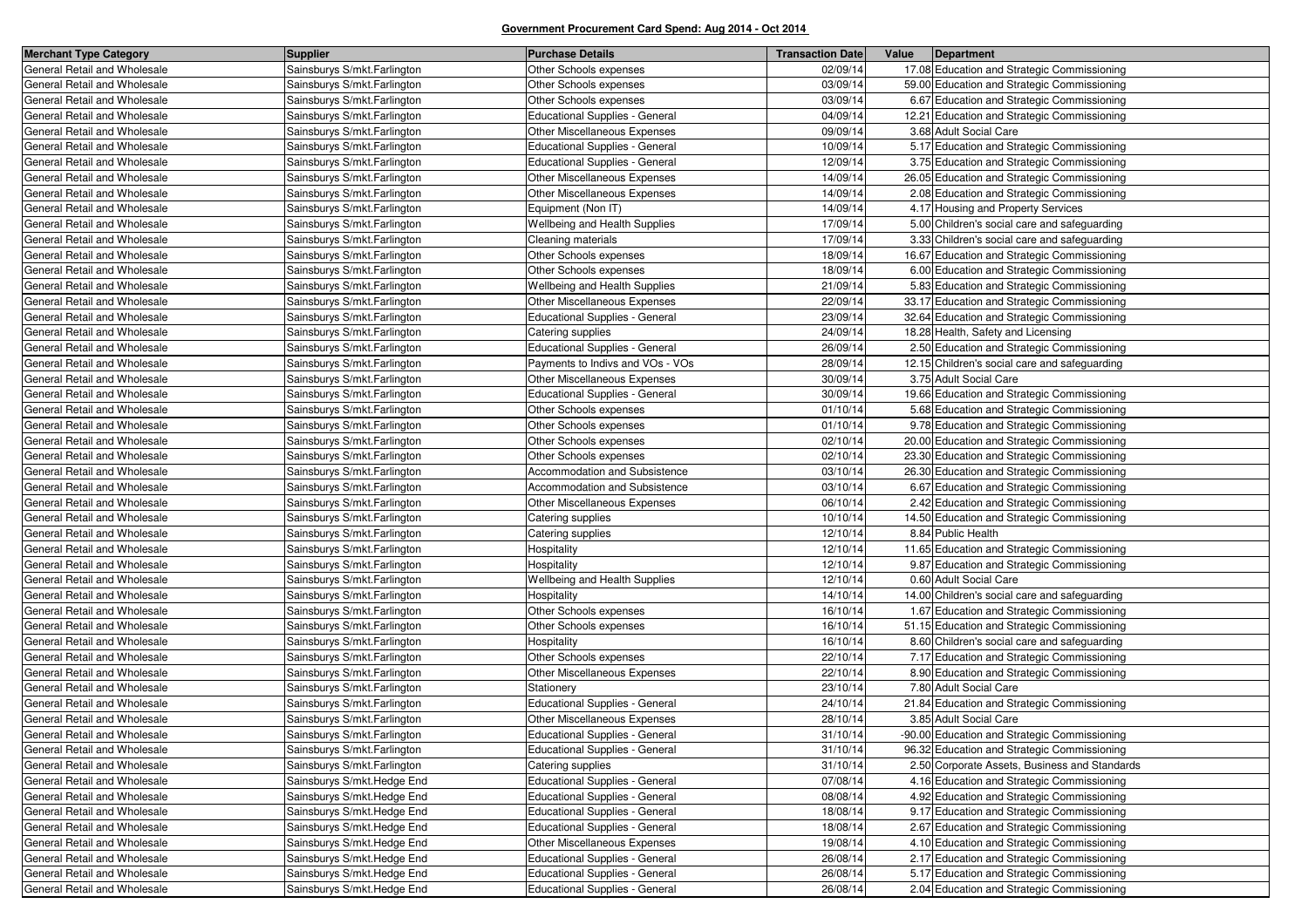| <b>Merchant Type Category</b> | <b>Supplier</b>              | <b>Purchase Details</b>               | <b>Transaction Date</b> | Value | Department                                    |
|-------------------------------|------------------------------|---------------------------------------|-------------------------|-------|-----------------------------------------------|
| General Retail and Wholesale  | Sainsburys S/mkt.Farlington  | Other Schools expenses                | 02/09/14                |       | 17.08 Education and Strategic Commissioning   |
| General Retail and Wholesale  | Sainsburys S/mkt.Farlington  | Other Schools expenses                | 03/09/14                |       | 59.00 Education and Strategic Commissioning   |
| General Retail and Wholesale  | Sainsburys S/mkt.Farlington  | Other Schools expenses                | 03/09/14                |       | 6.67 Education and Strategic Commissioning    |
| General Retail and Wholesale  | Sainsburys S/mkt.Farlington  | Educational Supplies - General        | 04/09/14                |       | 12.21 Education and Strategic Commissioning   |
| General Retail and Wholesale  | Sainsburys S/mkt.Farlington  | Other Miscellaneous Expenses          | 09/09/14                |       | 3.68 Adult Social Care                        |
| General Retail and Wholesale  | Sainsburys S/mkt.Farlington  | <b>Educational Supplies - General</b> | 10/09/14                |       | 5.17 Education and Strategic Commissioning    |
| General Retail and Wholesale  | Sainsburys S/mkt.Farlington  | Educational Supplies - General        | 12/09/14                |       | 3.75 Education and Strategic Commissioning    |
| General Retail and Wholesale  | Sainsburys S/mkt.Farlington  | Other Miscellaneous Expenses          | 14/09/14                |       | 26.05 Education and Strategic Commissioning   |
| General Retail and Wholesale  | Sainsburys S/mkt.Farlington  | Other Miscellaneous Expenses          | 14/09/14                |       | 2.08 Education and Strategic Commissioning    |
| General Retail and Wholesale  | Sainsburys S/mkt.Farlington  | Equipment (Non IT)                    | 14/09/14                |       | 4.17 Housing and Property Services            |
| General Retail and Wholesale  | Sainsburys S/mkt.Farlington  | Wellbeing and Health Supplies         | 17/09/14                |       | 5.00 Children's social care and safeguarding  |
| General Retail and Wholesale  | Sainsburys S/mkt.Farlington  | Cleaning materials                    | 17/09/14                |       | 3.33 Children's social care and safeguarding  |
| General Retail and Wholesale  | Sainsburys S/mkt.Farlington  | Other Schools expenses                | 18/09/14                |       | 16.67 Education and Strategic Commissioning   |
| General Retail and Wholesale  | Sainsburys S/mkt.Farlington  | Other Schools expenses                | 18/09/14                |       | 6.00 Education and Strategic Commissioning    |
| General Retail and Wholesale  | Sainsburys S/mkt.Farlington  | Wellbeing and Health Supplies         | 21/09/14                |       | 5.83 Education and Strategic Commissioning    |
| General Retail and Wholesale  | Sainsburys S/mkt. Farlington | Other Miscellaneous Expenses          | 22/09/14                |       | 33.17 Education and Strategic Commissioning   |
| General Retail and Wholesale  | Sainsburys S/mkt.Farlington  | <b>Educational Supplies - General</b> | 23/09/14                |       | 32.64 Education and Strategic Commissioning   |
| General Retail and Wholesale  | Sainsburys S/mkt.Farlington  | Catering supplies                     | 24/09/14                |       | 18.28 Health, Safety and Licensing            |
| General Retail and Wholesale  | Sainsburys S/mkt.Farlington  | <b>Educational Supplies - General</b> | 26/09/14                |       | 2.50 Education and Strategic Commissioning    |
| General Retail and Wholesale  | Sainsburys S/mkt.Farlington  | Payments to Indivs and VOs - VOs      | 28/09/14                |       | 12.15 Children's social care and safeguarding |
| General Retail and Wholesale  | Sainsburys S/mkt.Farlington  | Other Miscellaneous Expenses          | 30/09/14                |       | 3.75 Adult Social Care                        |
| General Retail and Wholesale  | Sainsburys S/mkt.Farlington  | Educational Supplies - General        | 30/09/14                |       | 19.66 Education and Strategic Commissioning   |
| General Retail and Wholesale  | Sainsburys S/mkt.Farlington  | Other Schools expenses                | 01/10/14                |       | 5.68 Education and Strategic Commissioning    |
| General Retail and Wholesale  | Sainsburys S/mkt.Farlington  | Other Schools expenses                | 01/10/14                |       | 9.78 Education and Strategic Commissioning    |
| General Retail and Wholesale  | Sainsburys S/mkt.Farlington  | Other Schools expenses                | 02/10/14                |       | 20.00 Education and Strategic Commissioning   |
| General Retail and Wholesale  | Sainsburys S/mkt.Farlington  | Other Schools expenses                | 02/10/14                |       | 23.30 Education and Strategic Commissioning   |
| General Retail and Wholesale  | Sainsburys S/mkt.Farlington  | Accommodation and Subsistence         | 03/10/14                |       | 26.30 Education and Strategic Commissioning   |
| General Retail and Wholesale  | Sainsburys S/mkt.Farlington  | Accommodation and Subsistence         | 03/10/14                |       | 6.67 Education and Strategic Commissioning    |
| General Retail and Wholesale  | Sainsburys S/mkt.Farlington  | Other Miscellaneous Expenses          | 06/10/14                |       | 2.42 Education and Strategic Commissioning    |
| General Retail and Wholesale  | Sainsburys S/mkt.Farlington  | Catering supplies                     | 10/10/14                |       | 14.50 Education and Strategic Commissioning   |
| General Retail and Wholesale  | Sainsburys S/mkt.Farlington  | Catering supplies                     | 12/10/14                |       | 8.84 Public Health                            |
| General Retail and Wholesale  | Sainsburys S/mkt.Farlington  | Hospitality                           | 12/10/14                |       | 11.65 Education and Strategic Commissioning   |
| General Retail and Wholesale  | Sainsburys S/mkt.Farlington  | Hospitality                           | 12/10/14                |       | 9.87 Education and Strategic Commissioning    |
| General Retail and Wholesale  | Sainsburys S/mkt.Farlington  | Wellbeing and Health Supplies         | 12/10/14                |       | 0.60 Adult Social Care                        |
| General Retail and Wholesale  | Sainsburys S/mkt.Farlington  | Hospitality                           | 14/10/14                |       | 14.00 Children's social care and safeguarding |
| General Retail and Wholesale  | Sainsburys S/mkt.Farlington  | Other Schools expenses                | 16/10/14                |       | 1.67 Education and Strategic Commissioning    |
| General Retail and Wholesale  | Sainsburys S/mkt. Farlington | Other Schools expenses                | 16/10/14                |       | 51.15 Education and Strategic Commissioning   |
| General Retail and Wholesale  | Sainsburys S/mkt.Farlington  | Hospitality                           | 16/10/14                |       | 8.60 Children's social care and safeguarding  |
| General Retail and Wholesale  | Sainsburys S/mkt.Farlington  | Other Schools expenses                | 22/10/14                |       | 7.17 Education and Strategic Commissioning    |
| General Retail and Wholesale  | Sainsburys S/mkt.Farlington  | Other Miscellaneous Expenses          | 22/10/14                |       | 8.90 Education and Strategic Commissioning    |
| General Retail and Wholesale  | Sainsburys S/mkt.Farlington  | Stationery                            | 23/10/14                |       | 7.80 Adult Social Care                        |
| General Retail and Wholesale  | Sainsburys S/mkt.Farlington  | Educational Supplies - General        | 24/10/14                |       | 21.84 Education and Strategic Commissioning   |
| General Retail and Wholesale  | Sainsburys S/mkt.Farlington  | Other Miscellaneous Expenses          | 28/10/14                |       | 3.85 Adult Social Care                        |
| General Retail and Wholesale  | Sainsburys S/mkt.Farlington  | <b>Educational Supplies - General</b> | 31/10/14                |       | -90.00 Education and Strategic Commissioning  |
| General Retail and Wholesale  | Sainsburys S/mkt.Farlington  | Educational Supplies - General        | 31/10/14                |       | 96.32 Education and Strategic Commissioning   |
| General Retail and Wholesale  | Sainsburys S/mkt.Farlington  | Catering supplies                     | 31/10/14                |       | 2.50 Corporate Assets, Business and Standards |
| General Retail and Wholesale  | Sainsburys S/mkt.Hedge End   | Educational Supplies - General        | 07/08/14                |       | 4.16 Education and Strategic Commissioning    |
| General Retail and Wholesale  | Sainsburys S/mkt.Hedge End   | Educational Supplies - General        | 08/08/14                |       | 4.92 Education and Strategic Commissioning    |
| General Retail and Wholesale  | Sainsburys S/mkt.Hedge End   | Educational Supplies - General        | 18/08/14                |       | 9.17 Education and Strategic Commissioning    |
| General Retail and Wholesale  | Sainsburys S/mkt.Hedge End   | Educational Supplies - General        | 18/08/14                |       | 2.67 Education and Strategic Commissioning    |
| General Retail and Wholesale  | Sainsburys S/mkt.Hedge End   | Other Miscellaneous Expenses          | 19/08/14                |       | 4.10 Education and Strategic Commissioning    |
| General Retail and Wholesale  | Sainsburys S/mkt.Hedge End   | Educational Supplies - General        | 26/08/14                |       | 2.17 Education and Strategic Commissioning    |
| General Retail and Wholesale  | Sainsburys S/mkt.Hedge End   | Educational Supplies - General        | 26/08/14                |       | 5.17 Education and Strategic Commissioning    |
| General Retail and Wholesale  | Sainsburys S/mkt.Hedge End   | Educational Supplies - General        | 26/08/14                |       | 2.04 Education and Strategic Commissioning    |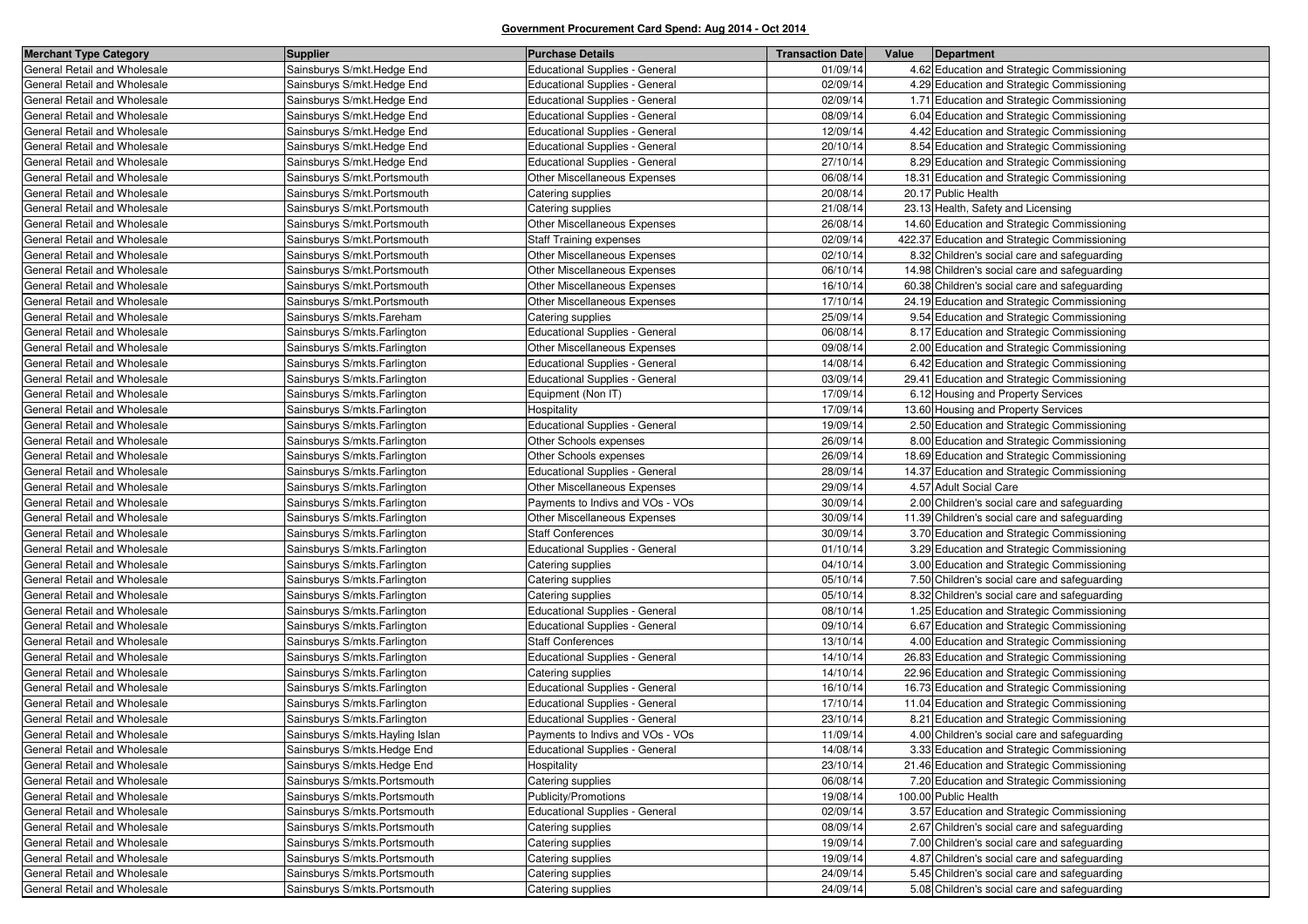| <b>Merchant Type Category</b> | <b>Supplier</b>                  | <b>Purchase Details</b>               | <b>Transaction Date</b> | Value<br>Department                           |
|-------------------------------|----------------------------------|---------------------------------------|-------------------------|-----------------------------------------------|
| General Retail and Wholesale  | Sainsburys S/mkt.Hedge End       | <b>Educational Supplies - General</b> | 01/09/14                | 4.62 Education and Strategic Commissioning    |
| General Retail and Wholesale  | Sainsburys S/mkt.Hedge End       | Educational Supplies - General        | 02/09/14                | 4.29 Education and Strategic Commissioning    |
| General Retail and Wholesale  | Sainsburys S/mkt.Hedge End       | <b>Educational Supplies - General</b> | 02/09/14                | 1.71 Education and Strategic Commissioning    |
| General Retail and Wholesale  | Sainsburys S/mkt.Hedge End       | <b>Educational Supplies - General</b> | 08/09/14                | 6.04 Education and Strategic Commissioning    |
| General Retail and Wholesale  | Sainsburys S/mkt.Hedge End       | <b>Educational Supplies - General</b> | 12/09/14                | 4.42 Education and Strategic Commissioning    |
| General Retail and Wholesale  | Sainsburys S/mkt.Hedge End       | <b>Educational Supplies - General</b> | 20/10/14                | 8.54 Education and Strategic Commissioning    |
| General Retail and Wholesale  | Sainsburys S/mkt.Hedge End       | <b>Educational Supplies - General</b> | 27/10/14                | 8.29 Education and Strategic Commissioning    |
| General Retail and Wholesale  | Sainsburys S/mkt.Portsmouth      | Other Miscellaneous Expenses          | 06/08/14                | 18.31 Education and Strategic Commissioning   |
| General Retail and Wholesale  | Sainsburys S/mkt.Portsmouth      | Catering supplies                     | 20/08/14                | 20.17 Public Health                           |
| General Retail and Wholesale  | Sainsburys S/mkt.Portsmouth      | Catering supplies                     | 21/08/14                | 23.13 Health, Safety and Licensing            |
| General Retail and Wholesale  | Sainsburys S/mkt.Portsmouth      | Other Miscellaneous Expenses          | 26/08/14                | 14.60 Education and Strategic Commissioning   |
| General Retail and Wholesale  | Sainsburys S/mkt.Portsmouth      | <b>Staff Training expenses</b>        | 02/09/14                | 422.37 Education and Strategic Commissioning  |
| General Retail and Wholesale  | Sainsburys S/mkt.Portsmouth      | Other Miscellaneous Expenses          | 02/10/14                | 8.32 Children's social care and safeguarding  |
| General Retail and Wholesale  | Sainsburys S/mkt.Portsmouth      | Other Miscellaneous Expenses          | 06/10/14                | 14.98 Children's social care and safeguarding |
| General Retail and Wholesale  | Sainsburys S/mkt.Portsmouth      | Other Miscellaneous Expenses          | 16/10/14                | 60.38 Children's social care and safeguarding |
| General Retail and Wholesale  | Sainsburys S/mkt.Portsmouth      | Other Miscellaneous Expenses          | 17/10/14                | 24.19 Education and Strategic Commissioning   |
| General Retail and Wholesale  | Sainsburys S/mkts.Fareham        | Catering supplies                     | 25/09/14                | 9.54 Education and Strategic Commissioning    |
| General Retail and Wholesale  | Sainsburys S/mkts. Farlington    | Educational Supplies - General        | 06/08/14                | 8.17 Education and Strategic Commissioning    |
| General Retail and Wholesale  | Sainsburys S/mkts. Farlington    | Other Miscellaneous Expenses          | 09/08/14                | 2.00 Education and Strategic Commissioning    |
| General Retail and Wholesale  | Sainsburys S/mkts. Farlington    | Educational Supplies - General        | 14/08/14                | 6.42 Education and Strategic Commissioning    |
| General Retail and Wholesale  | Sainsburys S/mkts. Farlington    | <b>Educational Supplies - General</b> | 03/09/14                | 29.41 Education and Strategic Commissioning   |
| General Retail and Wholesale  | Sainsburys S/mkts.Farlington     | Equipment (Non IT)                    | 17/09/14                | 6.12 Housing and Property Services            |
| General Retail and Wholesale  | Sainsburys S/mkts. Farlington    | Hospitality                           | 17/09/14                | 13.60 Housing and Property Services           |
| General Retail and Wholesale  | Sainsburys S/mkts. Farlington    | <b>Educational Supplies - General</b> | 19/09/14                | 2.50 Education and Strategic Commissioning    |
| General Retail and Wholesale  | Sainsburys S/mkts. Farlington    | Other Schools expenses                | 26/09/14                | 8.00 Education and Strategic Commissioning    |
| General Retail and Wholesale  | Sainsburys S/mkts. Farlington    | Other Schools expenses                | 26/09/14                | 18.69 Education and Strategic Commissioning   |
| General Retail and Wholesale  | Sainsburys S/mkts. Farlington    | <b>Educational Supplies - General</b> | 28/09/14                | 14.37 Education and Strategic Commissioning   |
| General Retail and Wholesale  | Sainsburys S/mkts. Farlington    | Other Miscellaneous Expenses          | 29/09/14                | 4.57 Adult Social Care                        |
| General Retail and Wholesale  | Sainsburys S/mkts. Farlington    | Payments to Indivs and VOs - VOs      | 30/09/14                | 2.00 Children's social care and safeguarding  |
| General Retail and Wholesale  | Sainsburys S/mkts. Farlington    | Other Miscellaneous Expenses          | 30/09/14                | 11.39 Children's social care and safeguarding |
| General Retail and Wholesale  | Sainsburys S/mkts. Farlington    | <b>Staff Conferences</b>              | 30/09/14                | 3.70 Education and Strategic Commissioning    |
| General Retail and Wholesale  | Sainsburys S/mkts. Farlington    | Educational Supplies - General        | 01/10/14                | 3.29 Education and Strategic Commissioning    |
| General Retail and Wholesale  | Sainsburys S/mkts. Farlington    | Catering supplies                     | 04/10/14                | 3.00 Education and Strategic Commissioning    |
| General Retail and Wholesale  | Sainsburys S/mkts. Farlington    | Catering supplies                     | 05/10/14                | 7.50 Children's social care and safeguarding  |
| General Retail and Wholesale  | Sainsburys S/mkts. Farlington    | Catering supplies                     | 05/10/14                | 8.32 Children's social care and safeguarding  |
| General Retail and Wholesale  | Sainsburys S/mkts. Farlington    | <b>Educational Supplies - General</b> | 08/10/14                | 1.25 Education and Strategic Commissioning    |
| General Retail and Wholesale  | Sainsburys S/mkts. Farlington    | <b>Educational Supplies - General</b> | 09/10/14                | 6.67 Education and Strategic Commissioning    |
| General Retail and Wholesale  | Sainsburys S/mkts. Farlington    | Staff Conferences                     | 13/10/14                | 4.00 Education and Strategic Commissioning    |
| General Retail and Wholesale  | Sainsburys S/mkts. Farlington    | <b>Educational Supplies - General</b> | 14/10/14                | 26.83 Education and Strategic Commissioning   |
| General Retail and Wholesale  | Sainsburys S/mkts. Farlington    | Catering supplies                     | 14/10/14                | 22.96 Education and Strategic Commissioning   |
| General Retail and Wholesale  | Sainsburys S/mkts. Farlington    | <b>Educational Supplies - General</b> | 16/10/14                | 16.73 Education and Strategic Commissioning   |
| General Retail and Wholesale  | Sainsburys S/mkts. Farlington    | <b>Educational Supplies - General</b> | 17/10/14                | 11.04 Education and Strategic Commissioning   |
| General Retail and Wholesale  | Sainsburys S/mkts. Farlington    | <b>Educational Supplies - General</b> | 23/10/14                | 8.21 Education and Strategic Commissioning    |
| General Retail and Wholesale  | Sainsburys S/mkts. Hayling Islan | Payments to Indivs and VOs - VOs      | 11/09/14                | 4.00 Children's social care and safeguarding  |
| General Retail and Wholesale  | Sainsburys S/mkts.Hedge End      | <b>Educational Supplies - General</b> | 14/08/14                | 3.33 Education and Strategic Commissioning    |
| General Retail and Wholesale  | Sainsburys S/mkts.Hedge End      | Hospitality                           | 23/10/14                | 21.46 Education and Strategic Commissioning   |
| General Retail and Wholesale  | Sainsburys S/mkts.Portsmouth     | Catering supplies                     | 06/08/14                | 7.20 Education and Strategic Commissioning    |
| General Retail and Wholesale  | Sainsburys S/mkts.Portsmouth     | Publicity/Promotions                  | 19/08/14                | 100.00 Public Health                          |
| General Retail and Wholesale  | Sainsburys S/mkts.Portsmouth     | Educational Supplies - General        | 02/09/14                | 3.57 Education and Strategic Commissioning    |
| General Retail and Wholesale  | Sainsburys S/mkts.Portsmouth     | Catering supplies                     | 08/09/14                | 2.67 Children's social care and safeguarding  |
| General Retail and Wholesale  | Sainsburys S/mkts.Portsmouth     | Catering supplies                     | 19/09/14                | 7.00 Children's social care and safeguarding  |
| General Retail and Wholesale  | Sainsburys S/mkts.Portsmouth     | Catering supplies                     | 19/09/14                | 4.87 Children's social care and safeguarding  |
| General Retail and Wholesale  | Sainsburys S/mkts.Portsmouth     | Catering supplies                     | 24/09/14                | 5.45 Children's social care and safeguarding  |
| General Retail and Wholesale  | Sainsburys S/mkts.Portsmouth     | Catering supplies                     | 24/09/14                | 5.08 Children's social care and safeguarding  |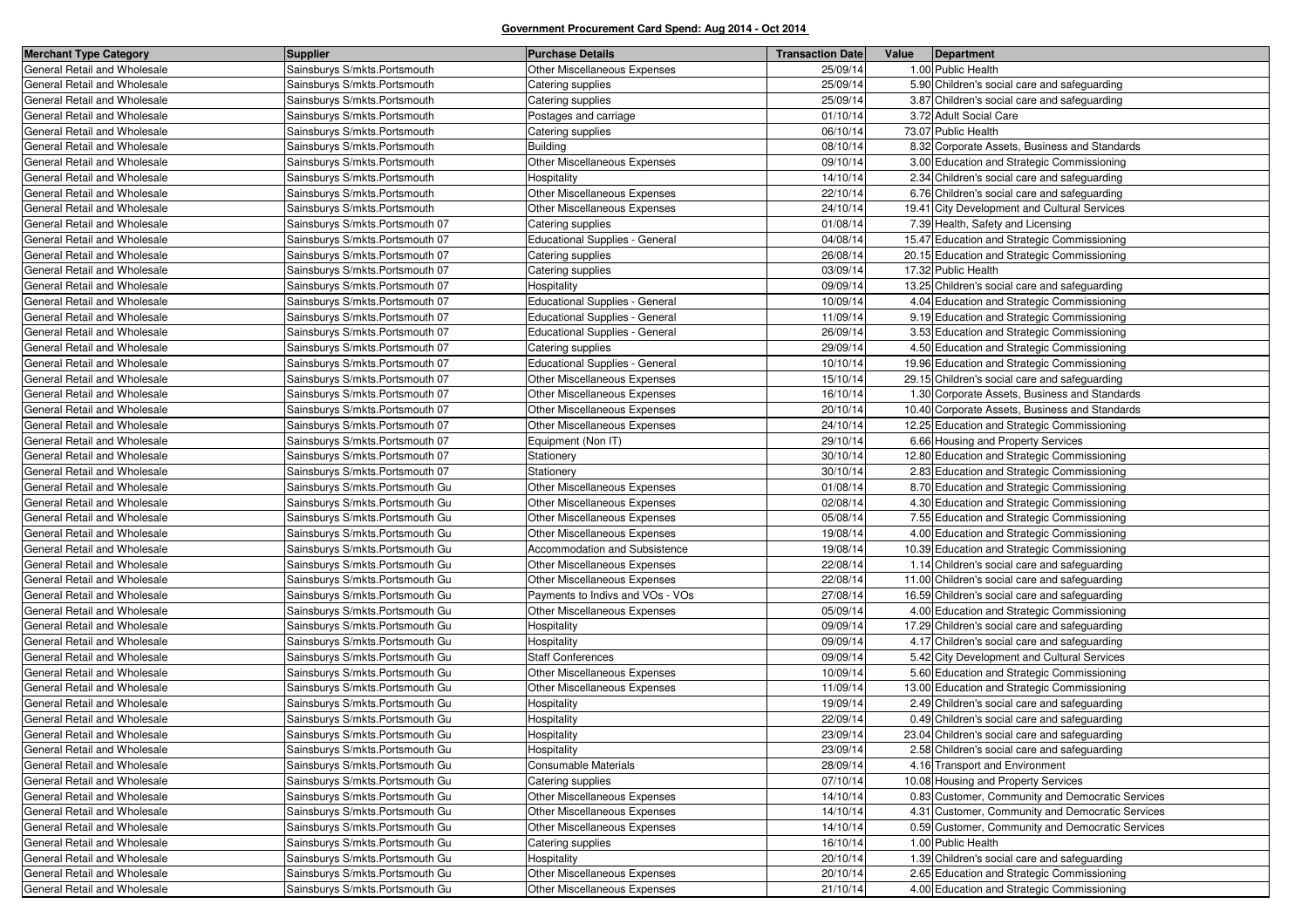| <b>Merchant Type Category</b> | <b>Supplier</b>                  | <b>Purchase Details</b>               | <b>Transaction Date</b> | Value | Department                                       |
|-------------------------------|----------------------------------|---------------------------------------|-------------------------|-------|--------------------------------------------------|
| General Retail and Wholesale  | Sainsburys S/mkts.Portsmouth     | Other Miscellaneous Expenses          | 25/09/14                |       | 1.00 Public Health                               |
| General Retail and Wholesale  | Sainsburys S/mkts.Portsmouth     | Catering supplies                     | 25/09/14                |       | 5.90 Children's social care and safeguarding     |
| General Retail and Wholesale  | Sainsburys S/mkts.Portsmouth     | Catering supplies                     | 25/09/14                |       | 3.87 Children's social care and safeguarding     |
| General Retail and Wholesale  | Sainsburys S/mkts.Portsmouth     | Postages and carriage                 | 01/10/14                |       | 3.72 Adult Social Care                           |
| General Retail and Wholesale  | Sainsburys S/mkts.Portsmouth     | Catering supplies                     | 06/10/14                |       | 73.07 Public Health                              |
| General Retail and Wholesale  | Sainsburys S/mkts.Portsmouth     | <b>Building</b>                       | 08/10/14                |       | 8.32 Corporate Assets, Business and Standards    |
| General Retail and Wholesale  | Sainsburys S/mkts.Portsmouth     | Other Miscellaneous Expenses          | 09/10/14                |       | 3.00 Education and Strategic Commissioning       |
| General Retail and Wholesale  | Sainsburys S/mkts.Portsmouth     | Hospitality                           | 14/10/14                |       | 2.34 Children's social care and safeguarding     |
| General Retail and Wholesale  | Sainsburys S/mkts.Portsmouth     | Other Miscellaneous Expenses          | 22/10/14                |       | 6.76 Children's social care and safeguarding     |
| General Retail and Wholesale  | Sainsburys S/mkts.Portsmouth     | Other Miscellaneous Expenses          | 24/10/14                |       | 19.41 City Development and Cultural Services     |
| General Retail and Wholesale  | Sainsburys S/mkts.Portsmouth 07  | Catering supplies                     | 01/08/14                |       | 7.39 Health, Safety and Licensing                |
| General Retail and Wholesale  | Sainsburys S/mkts. Portsmouth 07 | <b>Educational Supplies - General</b> | 04/08/14                |       | 15.47 Education and Strategic Commissioning      |
| General Retail and Wholesale  | Sainsburys S/mkts. Portsmouth 07 | Catering supplies                     | 26/08/14                |       | 20.15 Education and Strategic Commissioning      |
| General Retail and Wholesale  | Sainsburys S/mkts.Portsmouth 07  | Catering supplies                     | 03/09/14                |       | 17.32 Public Health                              |
| General Retail and Wholesale  | Sainsburys S/mkts. Portsmouth 07 | Hospitality                           | 09/09/14                |       | 13.25 Children's social care and safeguarding    |
| General Retail and Wholesale  | Sainsburys S/mkts.Portsmouth 07  | <b>Educational Supplies - General</b> | 10/09/14                |       | 4.04 Education and Strategic Commissioning       |
| General Retail and Wholesale  | Sainsburys S/mkts.Portsmouth 07  | <b>Educational Supplies - General</b> | 11/09/14                |       | 9.19 Education and Strategic Commissioning       |
| General Retail and Wholesale  | Sainsburys S/mkts. Portsmouth 07 | <b>Educational Supplies - General</b> | 26/09/14                |       | 3.53 Education and Strategic Commissioning       |
| General Retail and Wholesale  | Sainsburys S/mkts.Portsmouth 07  | Catering supplies                     | 29/09/14                |       | 4.50 Education and Strategic Commissioning       |
| General Retail and Wholesale  | Sainsburys S/mkts.Portsmouth 07  | <b>Educational Supplies - General</b> | 10/10/14                |       | 19.96 Education and Strategic Commissioning      |
| General Retail and Wholesale  | Sainsburys S/mkts. Portsmouth 07 | Other Miscellaneous Expenses          | 15/10/14                |       | 29.15 Children's social care and safeguarding    |
| General Retail and Wholesale  | Sainsburys S/mkts.Portsmouth 07  | Other Miscellaneous Expenses          | 16/10/14                |       | 1.30 Corporate Assets, Business and Standards    |
| General Retail and Wholesale  | Sainsburys S/mkts.Portsmouth 07  | Other Miscellaneous Expenses          | 20/10/14                |       | 10.40 Corporate Assets, Business and Standards   |
| General Retail and Wholesale  | Sainsburys S/mkts.Portsmouth 07  | Other Miscellaneous Expenses          | 24/10/14                |       | 12.25 Education and Strategic Commissioning      |
| General Retail and Wholesale  | Sainsburys S/mkts.Portsmouth 07  | Equipment (Non IT)                    | 29/10/14                |       | 6.66 Housing and Property Services               |
| General Retail and Wholesale  | Sainsburys S/mkts. Portsmouth 07 | Stationery                            | 30/10/14                |       | 12.80 Education and Strategic Commissioning      |
| General Retail and Wholesale  | Sainsburys S/mkts.Portsmouth 07  | Stationery                            | 30/10/14                |       | 2.83 Education and Strategic Commissioning       |
| General Retail and Wholesale  | Sainsburys S/mkts. Portsmouth Gu | Other Miscellaneous Expenses          | 01/08/14                |       | 8.70 Education and Strategic Commissioning       |
| General Retail and Wholesale  | Sainsburys S/mkts. Portsmouth Gu | Other Miscellaneous Expenses          | 02/08/14                |       | 4.30 Education and Strategic Commissioning       |
| General Retail and Wholesale  | Sainsburys S/mkts. Portsmouth Gu | Other Miscellaneous Expenses          | 05/08/14                |       | 7.55 Education and Strategic Commissioning       |
| General Retail and Wholesale  | Sainsburys S/mkts. Portsmouth Gu | Other Miscellaneous Expenses          | 19/08/14                |       | 4.00 Education and Strategic Commissioning       |
| General Retail and Wholesale  | Sainsburys S/mkts. Portsmouth Gu | Accommodation and Subsistence         | 19/08/14                |       | 10.39 Education and Strategic Commissioning      |
| General Retail and Wholesale  | Sainsburys S/mkts. Portsmouth Gu | Other Miscellaneous Expenses          | 22/08/14                |       | 1.14 Children's social care and safeguarding     |
| General Retail and Wholesale  | Sainsburys S/mkts. Portsmouth Gu | Other Miscellaneous Expenses          | 22/08/14                |       | 11.00 Children's social care and safeguarding    |
| General Retail and Wholesale  | Sainsburys S/mkts. Portsmouth Gu | Payments to Indivs and VOs - VOs      | 27/08/14                |       | 16.59 Children's social care and safeguarding    |
| General Retail and Wholesale  | Sainsburys S/mkts. Portsmouth Gu | Other Miscellaneous Expenses          | 05/09/14                |       | 4.00 Education and Strategic Commissioning       |
| General Retail and Wholesale  | Sainsburys S/mkts. Portsmouth Gu | Hospitality                           | 09/09/14                |       | 17.29 Children's social care and safeguarding    |
| General Retail and Wholesale  | Sainsburys S/mkts. Portsmouth Gu | Hospitality                           | 09/09/14                |       | 4.17 Children's social care and safeguarding     |
| General Retail and Wholesale  | Sainsburys S/mkts. Portsmouth Gu | <b>Staff Conferences</b>              | 09/09/14                |       | 5.42 City Development and Cultural Services      |
| General Retail and Wholesale  | Sainsburys S/mkts. Portsmouth Gu | Other Miscellaneous Expenses          | 10/09/14                |       | 5.60 Education and Strategic Commissioning       |
| General Retail and Wholesale  | Sainsburys S/mkts. Portsmouth Gu | Other Miscellaneous Expenses          | 11/09/14                |       | 13.00 Education and Strategic Commissioning      |
| General Retail and Wholesale  | Sainsburys S/mkts. Portsmouth Gu | Hospitality                           | 19/09/14                |       | 2.49 Children's social care and safeguarding     |
| General Retail and Wholesale  | Sainsburys S/mkts. Portsmouth Gu | Hospitality                           | 22/09/14                |       | 0.49 Children's social care and safeguarding     |
| General Retail and Wholesale  | Sainsburys S/mkts. Portsmouth Gu | Hospitality                           | 23/09/14                |       | 23.04 Children's social care and safeguarding    |
| General Retail and Wholesale  | Sainsburys S/mkts. Portsmouth Gu | Hospitality                           | 23/09/14                |       | 2.58 Children's social care and safeguarding     |
| General Retail and Wholesale  | Sainsburys S/mkts. Portsmouth Gu | Consumable Materials                  | 28/09/14                |       | 4.16 Transport and Environment                   |
| General Retail and Wholesale  | Sainsburys S/mkts. Portsmouth Gu | Catering supplies                     | 07/10/14                |       | 10.08 Housing and Property Services              |
| General Retail and Wholesale  | Sainsburys S/mkts.Portsmouth Gu  | Other Miscellaneous Expenses          | 14/10/14                |       | 0.83 Customer, Community and Democratic Services |
| General Retail and Wholesale  | Sainsburys S/mkts. Portsmouth Gu | Other Miscellaneous Expenses          | 14/10/14                |       | 4.31 Customer, Community and Democratic Services |
| General Retail and Wholesale  | Sainsburys S/mkts. Portsmouth Gu | Other Miscellaneous Expenses          | 14/10/14                |       | 0.59 Customer, Community and Democratic Services |
| General Retail and Wholesale  | Sainsburys S/mkts.Portsmouth Gu  | Catering supplies                     | 16/10/14                |       | 1.00 Public Health                               |
| General Retail and Wholesale  | Sainsburys S/mkts.Portsmouth Gu  | Hospitality                           | 20/10/14                |       | 1.39 Children's social care and safeguarding     |
| General Retail and Wholesale  | Sainsburys S/mkts. Portsmouth Gu | Other Miscellaneous Expenses          | 20/10/14                |       | 2.65 Education and Strategic Commissioning       |
| General Retail and Wholesale  | Sainsburys S/mkts.Portsmouth Gu  | Other Miscellaneous Expenses          | 21/10/14                |       | 4.00 Education and Strategic Commissioning       |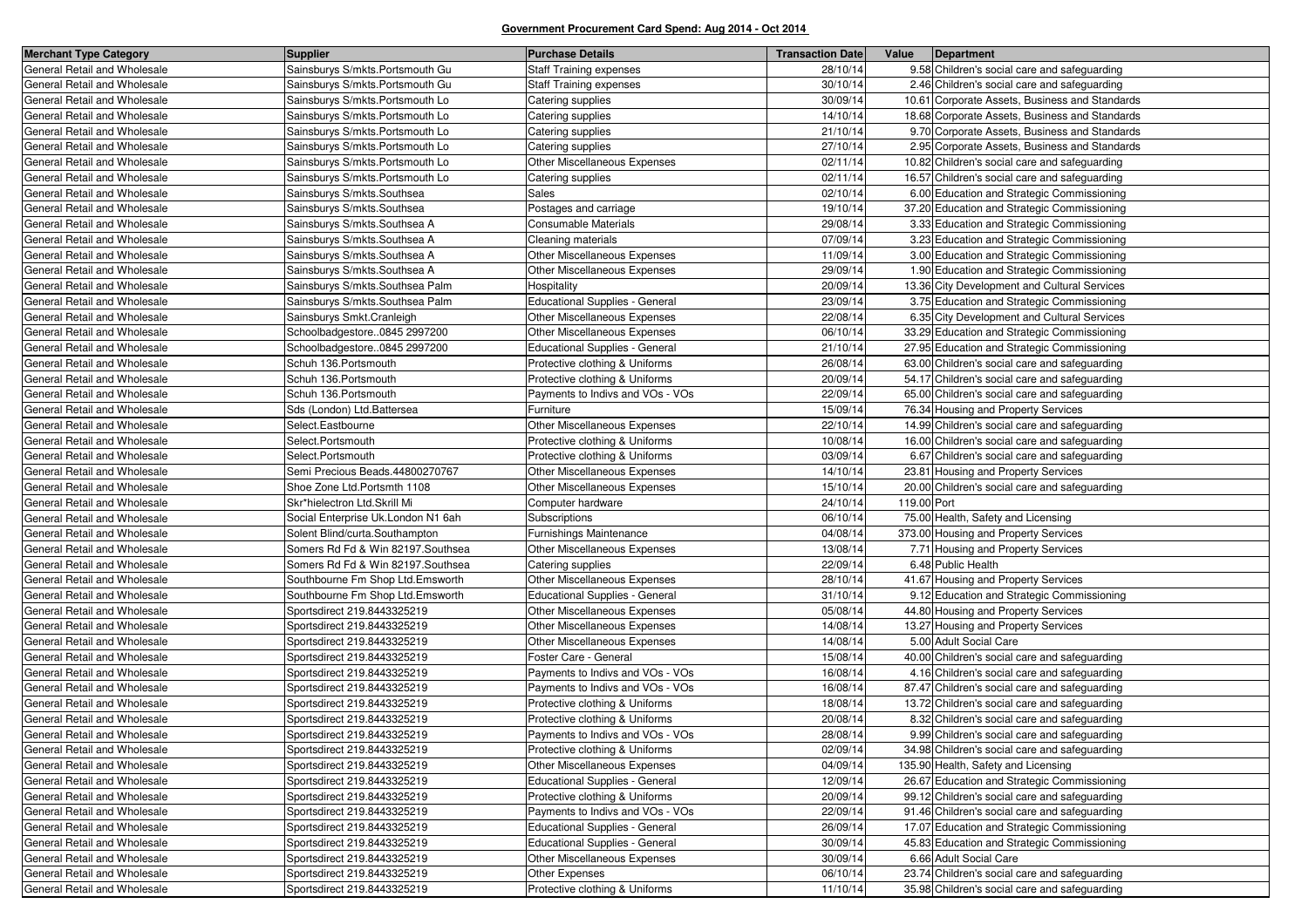| <b>Merchant Type Category</b> | <b>Supplier</b>                    | <b>Purchase Details</b>               | <b>Transaction Date</b> | Value<br>Department                            |
|-------------------------------|------------------------------------|---------------------------------------|-------------------------|------------------------------------------------|
| General Retail and Wholesale  | Sainsburys S/mkts. Portsmouth Gu   | <b>Staff Training expenses</b>        | 28/10/14                | 9.58 Children's social care and safeguarding   |
| General Retail and Wholesale  | Sainsburys S/mkts.Portsmouth Gu    | <b>Staff Training expenses</b>        | 30/10/14                | 2.46 Children's social care and safeguarding   |
| General Retail and Wholesale  | Sainsburys S/mkts. Portsmouth Lo   | Catering supplies                     | 30/09/14                | 10.61 Corporate Assets, Business and Standards |
| General Retail and Wholesale  | Sainsburys S/mkts. Portsmouth Lo   | Catering supplies                     | 14/10/14                | 18.68 Corporate Assets, Business and Standards |
| General Retail and Wholesale  | Sainsburys S/mkts. Portsmouth Lo   | Catering supplies                     | 21/10/14                | 9.70 Corporate Assets, Business and Standards  |
| General Retail and Wholesale  | Sainsburys S/mkts. Portsmouth Lo   | Catering supplies                     | 27/10/14                | 2.95 Corporate Assets, Business and Standards  |
| General Retail and Wholesale  | Sainsburys S/mkts. Portsmouth Lo   | Other Miscellaneous Expenses          | 02/11/14                | 10.82 Children's social care and safeguarding  |
| General Retail and Wholesale  | Sainsburys S/mkts. Portsmouth Lo   | Catering supplies                     | 02/11/14                | 16.57 Children's social care and safeguarding  |
| General Retail and Wholesale  | Sainsburys S/mkts.Southsea         | Sales                                 | 02/10/14                | 6.00 Education and Strategic Commissioning     |
| General Retail and Wholesale  | Sainsburys S/mkts. Southsea        | Postages and carriage                 | 19/10/14                | 37.20 Education and Strategic Commissioning    |
| General Retail and Wholesale  | Sainsburys S/mkts. Southsea A      | Consumable Materials                  | 29/08/14                | 3.33 Education and Strategic Commissioning     |
| General Retail and Wholesale  | Sainsburys S/mkts.Southsea A       | Cleaning materials                    | 07/09/14                | 3.23 Education and Strategic Commissioning     |
| General Retail and Wholesale  | Sainsburys S/mkts.Southsea A       | Other Miscellaneous Expenses          | 11/09/14                | 3.00 Education and Strategic Commissioning     |
| General Retail and Wholesale  | Sainsburys S/mkts. Southsea A      | Other Miscellaneous Expenses          | 29/09/14                | 1.90 Education and Strategic Commissioning     |
| General Retail and Wholesale  | Sainsburys S/mkts.Southsea Palm    | Hospitality                           | 20/09/14                | 13.36 City Development and Cultural Services   |
| General Retail and Wholesale  | Sainsburys S/mkts. Southsea Palm   | Educational Supplies - General        | 23/09/14                | 3.75 Education and Strategic Commissioning     |
| General Retail and Wholesale  | Sainsburys Smkt.Cranleigh          | Other Miscellaneous Expenses          | 22/08/14                | 6.35 City Development and Cultural Services    |
| General Retail and Wholesale  | Schoolbadgestore0845 2997200       | Other Miscellaneous Expenses          | 06/10/14                | 33.29 Education and Strategic Commissioning    |
| General Retail and Wholesale  | Schoolbadgestore0845 2997200       | <b>Educational Supplies - General</b> | 21/10/14                | 27.95 Education and Strategic Commissioning    |
| General Retail and Wholesale  | Schuh 136. Portsmouth              | Protective clothing & Uniforms        | 26/08/14                | 63.00 Children's social care and safeguarding  |
| General Retail and Wholesale  | Schuh 136. Portsmouth              | Protective clothing & Uniforms        | 20/09/14                | 54.17 Children's social care and safeguarding  |
| General Retail and Wholesale  | Schuh 136. Portsmouth              | Payments to Indivs and VOs - VOs      | 22/09/14                | 65.00 Children's social care and safeguarding  |
| General Retail and Wholesale  | Sds (London) Ltd.Battersea         | Furniture                             | 15/09/14                | 76.34 Housing and Property Services            |
| General Retail and Wholesale  | Select.Eastbourne                  | Other Miscellaneous Expenses          | 22/10/14                | 14.99 Children's social care and safeguarding  |
| General Retail and Wholesale  | Select.Portsmouth                  | Protective clothing & Uniforms        | 10/08/14                | 16.00 Children's social care and safeguarding  |
| General Retail and Wholesale  | Select.Portsmouth                  | Protective clothing & Uniforms        | 03/09/14                | 6.67 Children's social care and safeguarding   |
| General Retail and Wholesale  | Semi Precious Beads.44800270767    | Other Miscellaneous Expenses          | 14/10/14                | 23.81 Housing and Property Services            |
| General Retail and Wholesale  | Shoe Zone Ltd. Portsmth 1108       | Other Miscellaneous Expenses          | 15/10/14                | 20.00 Children's social care and safeguarding  |
| General Retail and Wholesale  | Skr*hielectron Ltd.Skrill Mi       | Computer hardware                     | 24/10/14                | 119.00 Port                                    |
| General Retail and Wholesale  | Social Enterprise Uk.London N1 6ah | Subscriptions                         | 06/10/14                | 75.00 Health, Safety and Licensing             |
| General Retail and Wholesale  | Solent Blind/curta.Southampton     | Furnishings Maintenance               | 04/08/14                | 373.00 Housing and Property Services           |
| General Retail and Wholesale  | Somers Rd Fd & Win 82197.Southsea  | Other Miscellaneous Expenses          | 13/08/14                | 7.71 Housing and Property Services             |
| General Retail and Wholesale  | Somers Rd Fd & Win 82197.Southsea  | Catering supplies                     | 22/09/14                | 6.48 Public Health                             |
| General Retail and Wholesale  | Southbourne Fm Shop Ltd.Emsworth   | Other Miscellaneous Expenses          | 28/10/14                | 41.67 Housing and Property Services            |
| General Retail and Wholesale  | Southbourne Fm Shop Ltd.Emsworth   | <b>Educational Supplies - General</b> | 31/10/14                | 9.12 Education and Strategic Commissioning     |
| General Retail and Wholesale  | Sportsdirect 219.8443325219        | Other Miscellaneous Expenses          | 05/08/14                | 44.80 Housing and Property Services            |
| General Retail and Wholesale  | Sportsdirect 219.8443325219        | Other Miscellaneous Expenses          | 14/08/14                | 13.27 Housing and Property Services            |
| General Retail and Wholesale  | Sportsdirect 219.8443325219        | Other Miscellaneous Expenses          | 14/08/14                | 5.00 Adult Social Care                         |
| General Retail and Wholesale  | Sportsdirect 219.8443325219        | Foster Care - General                 | 15/08/14                | 40.00 Children's social care and safeguarding  |
| General Retail and Wholesale  | Sportsdirect 219.8443325219        | Payments to Indivs and VOs - VOs      | 16/08/14                | 4.16 Children's social care and safeguarding   |
| General Retail and Wholesale  | Sportsdirect 219.8443325219        | Payments to Indivs and VOs - VOs      | 16/08/14                | 87.47 Children's social care and safeguarding  |
| General Retail and Wholesale  | Sportsdirect 219.8443325219        | Protective clothing & Uniforms        | 18/08/14                | 13.72 Children's social care and safeguarding  |
| General Retail and Wholesale  | Sportsdirect 219.8443325219        | Protective clothing & Uniforms        | 20/08/14                | 8.32 Children's social care and safeguarding   |
| General Retail and Wholesale  | Sportsdirect 219.8443325219        | Payments to Indivs and VOs - VOs      | 28/08/14                | 9.99 Children's social care and safeguarding   |
| General Retail and Wholesale  | Sportsdirect 219.8443325219        | Protective clothing & Uniforms        | 02/09/14                | 34.98 Children's social care and safeguarding  |
| General Retail and Wholesale  | Sportsdirect 219.8443325219        | Other Miscellaneous Expenses          | 04/09/14                | 135.90 Health, Safety and Licensing            |
| General Retail and Wholesale  | Sportsdirect 219.8443325219        | Educational Supplies - General        | 12/09/14                | 26.67 Education and Strategic Commissioning    |
| General Retail and Wholesale  | Sportsdirect 219.8443325219        | Protective clothing & Uniforms        | 20/09/14                | 99.12 Children's social care and safeguarding  |
| General Retail and Wholesale  | Sportsdirect 219.8443325219        | Payments to Indivs and VOs - VOs      | 22/09/14                | 91.46 Children's social care and safeguarding  |
| General Retail and Wholesale  | Sportsdirect 219.8443325219        | <b>Educational Supplies - General</b> | 26/09/14                | 17.07 Education and Strategic Commissioning    |
| General Retail and Wholesale  | Sportsdirect 219.8443325219        | Educational Supplies - General        | 30/09/14                | 45.83 Education and Strategic Commissioning    |
| General Retail and Wholesale  | Sportsdirect 219.8443325219        | Other Miscellaneous Expenses          | 30/09/14                | 6.66 Adult Social Care                         |
| General Retail and Wholesale  | Sportsdirect 219.8443325219        | Other Expenses                        | 06/10/14                | 23.74 Children's social care and safeguarding  |
| General Retail and Wholesale  | Sportsdirect 219.8443325219        | Protective clothing & Uniforms        | 11/10/14                | 35.98 Children's social care and safeguarding  |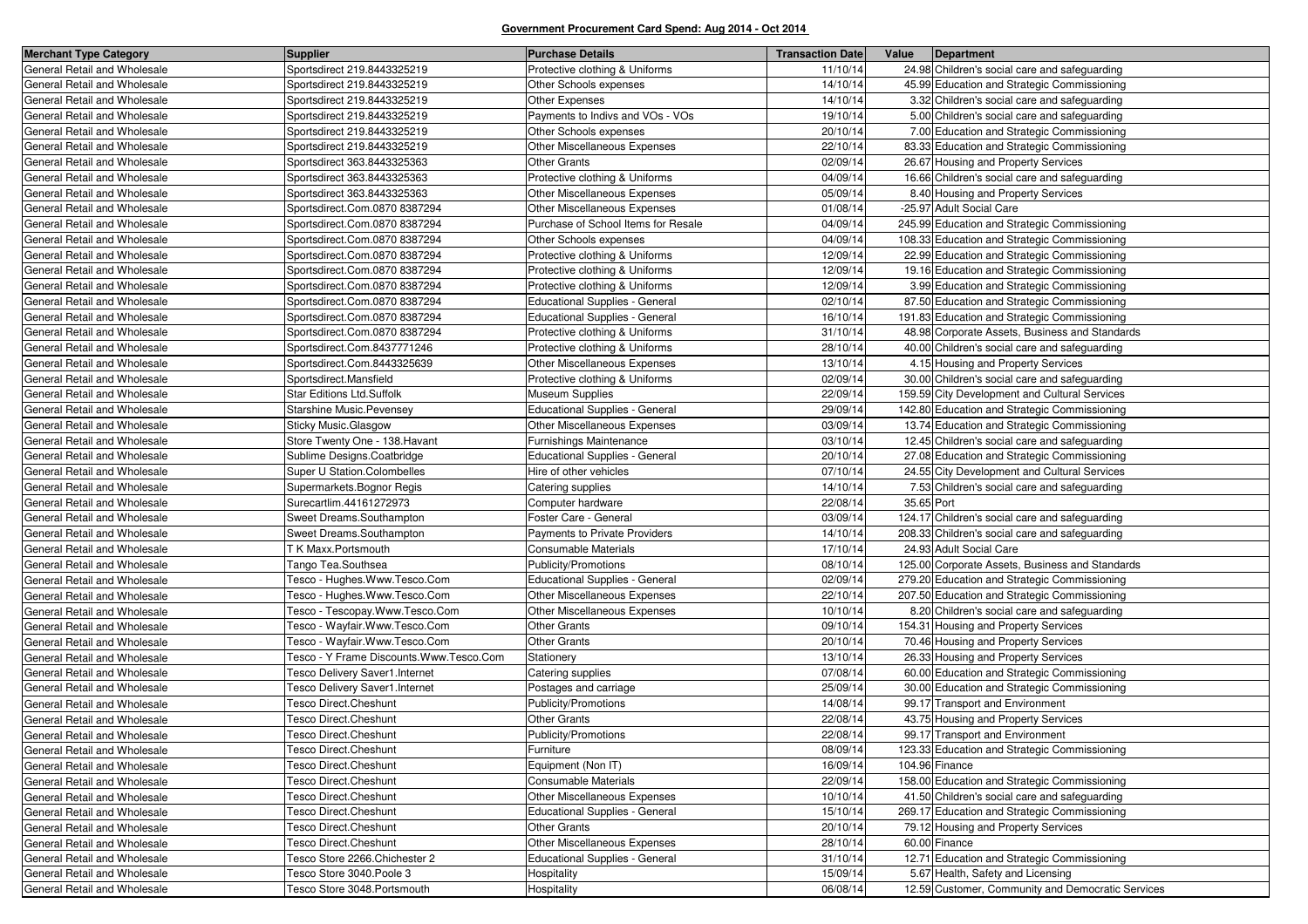| <b>Merchant Type Category</b> | <b>Supplier</b>                         | <b>Purchase Details</b>               | <b>Transaction Date</b> | Value      | Department                                        |
|-------------------------------|-----------------------------------------|---------------------------------------|-------------------------|------------|---------------------------------------------------|
| General Retail and Wholesale  | Sportsdirect 219.8443325219             | Protective clothing & Uniforms        | 11/10/14                |            | 24.98 Children's social care and safeguarding     |
| General Retail and Wholesale  | Sportsdirect 219.8443325219             | Other Schools expenses                | 14/10/14                |            | 45.99 Education and Strategic Commissioning       |
| General Retail and Wholesale  | Sportsdirect 219.8443325219             | Other Expenses                        | 14/10/14                |            | 3.32 Children's social care and safeguarding      |
| General Retail and Wholesale  | Sportsdirect 219.8443325219             | Payments to Indivs and VOs - VOs      | 19/10/14                |            | 5.00 Children's social care and safeguarding      |
| General Retail and Wholesale  | Sportsdirect 219.8443325219             | Other Schools expenses                | 20/10/14                |            | 7.00 Education and Strategic Commissioning        |
| General Retail and Wholesale  | Sportsdirect 219.8443325219             | Other Miscellaneous Expenses          | 22/10/14                |            | 83.33 Education and Strategic Commissioning       |
| General Retail and Wholesale  | Sportsdirect 363.8443325363             | <b>Other Grants</b>                   | 02/09/14                |            | 26.67 Housing and Property Services               |
| General Retail and Wholesale  | Sportsdirect 363.8443325363             | Protective clothing & Uniforms        | 04/09/14                |            | 16.66 Children's social care and safeguarding     |
| General Retail and Wholesale  | Sportsdirect 363.8443325363             | <b>Other Miscellaneous Expenses</b>   | 05/09/14                |            | 8.40 Housing and Property Services                |
| General Retail and Wholesale  | Sportsdirect.Com.0870 8387294           | Other Miscellaneous Expenses          | 01/08/14                |            | -25.97 Adult Social Care                          |
| General Retail and Wholesale  | Sportsdirect.Com.0870 8387294           | Purchase of School Items for Resale   | 04/09/14                |            | 245.99 Education and Strategic Commissioning      |
| General Retail and Wholesale  | Sportsdirect.Com.0870 8387294           | Other Schools expenses                | 04/09/14                |            | 108.33 Education and Strategic Commissioning      |
| General Retail and Wholesale  | Sportsdirect.Com.0870 8387294           | Protective clothing & Uniforms        | 12/09/14                |            | 22.99 Education and Strategic Commissioning       |
| General Retail and Wholesale  | Sportsdirect.Com.0870 8387294           | Protective clothing & Uniforms        | 12/09/14                |            | 19.16 Education and Strategic Commissioning       |
| General Retail and Wholesale  | Sportsdirect.Com.0870 8387294           | Protective clothing & Uniforms        | 12/09/14                |            | 3.99 Education and Strategic Commissioning        |
| General Retail and Wholesale  | Sportsdirect.Com.0870 8387294           | <b>Educational Supplies - General</b> | 02/10/14                |            | 87.50 Education and Strategic Commissioning       |
| General Retail and Wholesale  | Sportsdirect.Com.0870 8387294           | Educational Supplies - General        | 16/10/14                |            | 191.83 Education and Strategic Commissioning      |
| General Retail and Wholesale  | Sportsdirect.Com.0870 8387294           | Protective clothing & Uniforms        | 31/10/14                |            | 48.98 Corporate Assets, Business and Standards    |
| General Retail and Wholesale  | Sportsdirect.Com.8437771246             | Protective clothing & Uniforms        | 28/10/14                |            | 40.00 Children's social care and safeguarding     |
| General Retail and Wholesale  | Sportsdirect.Com.8443325639             | <b>Other Miscellaneous Expenses</b>   | 13/10/14                |            | 4.15 Housing and Property Services                |
| General Retail and Wholesale  | Sportsdirect.Mansfield                  | Protective clothing & Uniforms        | 02/09/14                |            | 30.00 Children's social care and safeguarding     |
| General Retail and Wholesale  | <b>Star Editions Ltd.Suffolk</b>        | <b>Museum Supplies</b>                | 22/09/14                |            | 159.59 City Development and Cultural Services     |
| General Retail and Wholesale  | <b>Starshine Music.Pevensey</b>         | <b>Educational Supplies - General</b> | 29/09/14                |            | 142.80 Education and Strategic Commissioning      |
| General Retail and Wholesale  | Sticky Music.Glasgow                    | Other Miscellaneous Expenses          | 03/09/14                |            | 13.74 Education and Strategic Commissioning       |
| General Retail and Wholesale  | Store Twenty One - 138. Havant          | Furnishings Maintenance               | 03/10/14                |            | 12.45 Children's social care and safeguarding     |
| General Retail and Wholesale  | Sublime Designs.Coatbridge              | <b>Educational Supplies - General</b> | 20/10/14                |            | 27.08 Education and Strategic Commissioning       |
| General Retail and Wholesale  | Super U Station.Colombelles             | Hire of other vehicles                | 07/10/14                |            | 24.55 City Development and Cultural Services      |
| General Retail and Wholesale  | Supermarkets. Bognor Regis              | Catering supplies                     | 14/10/14                |            | 7.53 Children's social care and safeguarding      |
| General Retail and Wholesale  | Surecartlim.44161272973                 | Computer hardware                     | 22/08/14                | 35.65 Port |                                                   |
| General Retail and Wholesale  | Sweet Dreams.Southampton                | Foster Care - General                 | 03/09/14                |            | 124.17 Children's social care and safeguarding    |
| General Retail and Wholesale  | Sweet Dreams.Southampton                | <b>Payments to Private Providers</b>  | 14/10/14                |            | 208.33 Children's social care and safeguarding    |
| General Retail and Wholesale  | T K Maxx.Portsmouth                     | Consumable Materials                  | 17/10/14                |            | 24.93 Adult Social Care                           |
| General Retail and Wholesale  | Tango Tea.Southsea                      | Publicity/Promotions                  | 08/10/14                |            | 125.00 Corporate Assets, Business and Standards   |
| General Retail and Wholesale  | Tesco - Hughes.Www.Tesco.Com            | <b>Educational Supplies - General</b> | 02/09/14                |            | 279.20 Education and Strategic Commissioning      |
| General Retail and Wholesale  | Tesco - Hughes.Www.Tesco.Com            | Other Miscellaneous Expenses          | 22/10/14                |            | 207.50 Education and Strategic Commissioning      |
| General Retail and Wholesale  | Tesco - Tescopay.Www.Tesco.Com          | Other Miscellaneous Expenses          | 10/10/14                |            | 8.20 Children's social care and safeguarding      |
| General Retail and Wholesale  | Tesco - Wayfair.Www.Tesco.Com           | <b>Other Grants</b>                   | 09/10/14                |            | 154.31 Housing and Property Services              |
| General Retail and Wholesale  | Tesco - Wayfair.Www.Tesco.Com           | Other Grants                          | 20/10/14                |            | 70.46 Housing and Property Services               |
| General Retail and Wholesale  | Tesco - Y Frame Discounts.Www.Tesco.Com | Stationery                            | 13/10/14                |            | 26.33 Housing and Property Services               |
| General Retail and Wholesale  | Tesco Delivery Saver1. Internet         | Catering supplies                     | 07/08/14                |            | 60.00 Education and Strategic Commissioning       |
| General Retail and Wholesale  | Tesco Delivery Saver1. Internet         | Postages and carriage                 | 25/09/14                |            | 30.00 Education and Strategic Commissioning       |
| General Retail and Wholesale  | Tesco Direct.Cheshunt                   | Publicity/Promotions                  | 14/08/14                |            | 99.17 Transport and Environment                   |
| General Retail and Wholesale  | Tesco Direct.Cheshunt                   | <b>Other Grants</b>                   | 22/08/14                |            | 43.75 Housing and Property Services               |
| General Retail and Wholesale  | <b>Tesco Direct.Cheshunt</b>            | Publicity/Promotions                  | 22/08/14                |            | 99.17 Transport and Environment                   |
| General Retail and Wholesale  | Tesco Direct.Cheshunt                   | Furniture                             | 08/09/14                |            | 123.33 Education and Strategic Commissioning      |
| General Retail and Wholesale  | Tesco Direct.Cheshunt                   | Equipment (Non IT)                    | 16/09/14                |            | 104.96 Finance                                    |
| General Retail and Wholesale  | Tesco Direct.Cheshunt                   | Consumable Materials                  | 22/09/14                |            | 158.00 Education and Strategic Commissioning      |
| General Retail and Wholesale  | Tesco Direct.Cheshunt                   | Other Miscellaneous Expenses          | 10/10/14                |            | 41.50 Children's social care and safeguarding     |
| General Retail and Wholesale  | Tesco Direct.Cheshunt                   | <b>Educational Supplies - General</b> | 15/10/14                |            | 269.17 Education and Strategic Commissioning      |
| General Retail and Wholesale  | Tesco Direct.Cheshunt                   | <b>Other Grants</b>                   | 20/10/14                |            | 79.12 Housing and Property Services               |
| General Retail and Wholesale  | Tesco Direct.Cheshunt                   | Other Miscellaneous Expenses          | 28/10/14                |            | 60.00 Finance                                     |
| General Retail and Wholesale  | Tesco Store 2266. Chichester 2          | <b>Educational Supplies - General</b> | 31/10/14                |            | 12.71 Education and Strategic Commissioning       |
| General Retail and Wholesale  | Tesco Store 3040. Poole 3               | Hospitality                           | 15/09/14                |            | 5.67 Health, Safety and Licensing                 |
| General Retail and Wholesale  | Tesco Store 3048. Portsmouth            | Hospitality                           | 06/08/14                |            | 12.59 Customer, Community and Democratic Services |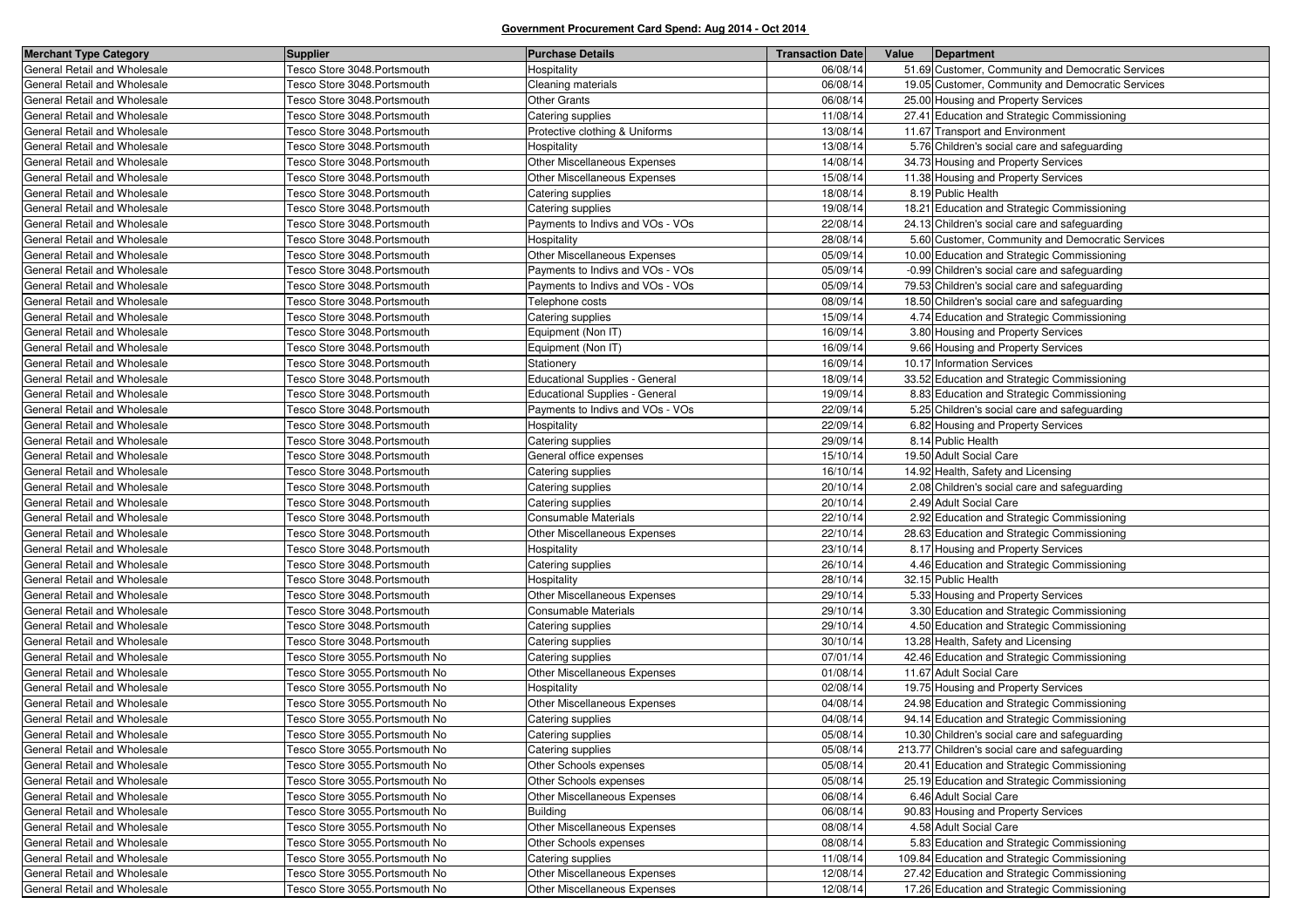| <b>Merchant Type Category</b> | <b>Supplier</b>                 | <b>Purchase Details</b>          | <b>Transaction Date</b> | Value | Department                                        |
|-------------------------------|---------------------------------|----------------------------------|-------------------------|-------|---------------------------------------------------|
| General Retail and Wholesale  | Tesco Store 3048.Portsmouth     | Hospitality                      | 06/08/14                |       | 51.69 Customer, Community and Democratic Services |
| General Retail and Wholesale  | Tesco Store 3048.Portsmouth     | Cleaning materials               | 06/08/14                |       | 19.05 Customer, Community and Democratic Services |
| General Retail and Wholesale  | Tesco Store 3048.Portsmouth     | <b>Other Grants</b>              | 06/08/14                |       | 25.00 Housing and Property Services               |
| General Retail and Wholesale  | Tesco Store 3048. Portsmouth    | Catering supplies                | 11/08/14                |       | 27.41 Education and Strategic Commissioning       |
| General Retail and Wholesale  | Tesco Store 3048. Portsmouth    | Protective clothing & Uniforms   | 13/08/14                |       | 11.67 Transport and Environment                   |
| General Retail and Wholesale  | Tesco Store 3048.Portsmouth     | Hospitality                      | 13/08/14                |       | 5.76 Children's social care and safeguarding      |
| General Retail and Wholesale  | Tesco Store 3048.Portsmouth     | Other Miscellaneous Expenses     | 14/08/14                |       | 34.73 Housing and Property Services               |
| General Retail and Wholesale  | Tesco Store 3048. Portsmouth    | Other Miscellaneous Expenses     | 15/08/14                |       | 11.38 Housing and Property Services               |
| General Retail and Wholesale  | Tesco Store 3048.Portsmouth     | Catering supplies                | 18/08/14                |       | 8.19 Public Health                                |
| General Retail and Wholesale  | Tesco Store 3048.Portsmouth     | Catering supplies                | 19/08/14                |       | 18.21 Education and Strategic Commissioning       |
| General Retail and Wholesale  | Tesco Store 3048. Portsmouth    | Payments to Indivs and VOs - VOs | 22/08/14                |       | 24.13 Children's social care and safeguarding     |
| General Retail and Wholesale  | Tesco Store 3048.Portsmouth     | Hospitality                      | 28/08/14                |       | 5.60 Customer, Community and Democratic Services  |
| General Retail and Wholesale  | Tesco Store 3048. Portsmouth    | Other Miscellaneous Expenses     | 05/09/14                |       | 10.00 Education and Strategic Commissioning       |
| General Retail and Wholesale  | Tesco Store 3048. Portsmouth    | Payments to Indivs and VOs - VOs | 05/09/14                |       | -0.99 Children's social care and safeguarding     |
| General Retail and Wholesale  | Tesco Store 3048.Portsmouth     | Payments to Indivs and VOs - VOs | 05/09/14                |       | 79.53 Children's social care and safeguarding     |
| General Retail and Wholesale  | Tesco Store 3048.Portsmouth     | Telephone costs                  | 08/09/14                |       | 18.50 Children's social care and safeguarding     |
| General Retail and Wholesale  | Tesco Store 3048.Portsmouth     | Catering supplies                | 15/09/14                |       | 4.74 Education and Strategic Commissioning        |
| General Retail and Wholesale  | Tesco Store 3048.Portsmouth     | Equipment (Non IT)               | 16/09/14                |       | 3.80 Housing and Property Services                |
| General Retail and Wholesale  | Tesco Store 3048.Portsmouth     | Equipment (Non IT)               | 16/09/14                |       | 9.66 Housing and Property Services                |
| General Retail and Wholesale  | Tesco Store 3048.Portsmouth     | Stationery                       | 16/09/14                |       | 10.17 Information Services                        |
| General Retail and Wholesale  | Tesco Store 3048.Portsmouth     | Educational Supplies - General   | 18/09/14                |       | 33.52 Education and Strategic Commissioning       |
| General Retail and Wholesale  | Tesco Store 3048.Portsmouth     | Educational Supplies - General   | 19/09/14                |       | 8.83 Education and Strategic Commissioning        |
| General Retail and Wholesale  | Tesco Store 3048. Portsmouth    | Payments to Indivs and VOs - VOs | 22/09/14                |       | 5.25 Children's social care and safeguarding      |
| General Retail and Wholesale  | Tesco Store 3048.Portsmouth     | Hospitality                      | 22/09/14                |       | 6.82 Housing and Property Services                |
| General Retail and Wholesale  | Tesco Store 3048.Portsmouth     | Catering supplies                | 29/09/14                |       | 8.14 Public Health                                |
| General Retail and Wholesale  | Tesco Store 3048.Portsmouth     | General office expenses          | 15/10/14                |       | 19.50 Adult Social Care                           |
| General Retail and Wholesale  | Tesco Store 3048.Portsmouth     | Catering supplies                | 16/10/14                |       | 14.92 Health, Safety and Licensing                |
| General Retail and Wholesale  | Tesco Store 3048.Portsmouth     | Catering supplies                | 20/10/14                |       | 2.08 Children's social care and safeguarding      |
| General Retail and Wholesale  | Tesco Store 3048.Portsmouth     | Catering supplies                | 20/10/14                |       | 2.49 Adult Social Care                            |
| General Retail and Wholesale  | Tesco Store 3048.Portsmouth     | Consumable Materials             | 22/10/14                |       | 2.92 Education and Strategic Commissioning        |
| General Retail and Wholesale  | Tesco Store 3048.Portsmouth     | Other Miscellaneous Expenses     | 22/10/14                |       | 28.63 Education and Strategic Commissioning       |
| General Retail and Wholesale  | Tesco Store 3048. Portsmouth    | Hospitality                      | 23/10/14                |       | 8.17 Housing and Property Services                |
| General Retail and Wholesale  | Tesco Store 3048. Portsmouth    | Catering supplies                | 26/10/14                |       | 4.46 Education and Strategic Commissioning        |
| General Retail and Wholesale  | Tesco Store 3048.Portsmouth     | Hospitality                      | 28/10/14                |       | 32.15 Public Health                               |
| General Retail and Wholesale  | Tesco Store 3048.Portsmouth     | Other Miscellaneous Expenses     | 29/10/14                |       | 5.33 Housing and Property Services                |
| General Retail and Wholesale  | Tesco Store 3048.Portsmouth     | Consumable Materials             | 29/10/14                |       | 3.30 Education and Strategic Commissioning        |
| General Retail and Wholesale  | Tesco Store 3048.Portsmouth     | Catering supplies                | 29/10/14                |       | 4.50 Education and Strategic Commissioning        |
| General Retail and Wholesale  | Tesco Store 3048.Portsmouth     | Catering supplies                | 30/10/14                |       | 13.28 Health, Safety and Licensing                |
| General Retail and Wholesale  | Tesco Store 3055. Portsmouth No | Catering supplies                | 07/01/14                |       | 42.46 Education and Strategic Commissioning       |
| General Retail and Wholesale  | Tesco Store 3055. Portsmouth No | Other Miscellaneous Expenses     | 01/08/14                |       | 11.67 Adult Social Care                           |
| General Retail and Wholesale  | Tesco Store 3055.Portsmouth No  | Hospitality                      | 02/08/14                |       | 19.75 Housing and Property Services               |
| General Retail and Wholesale  | Tesco Store 3055. Portsmouth No | Other Miscellaneous Expenses     | 04/08/14                |       | 24.98 Education and Strategic Commissioning       |
| General Retail and Wholesale  | Tesco Store 3055. Portsmouth No | Catering supplies                | 04/08/14                |       | 94.14 Education and Strategic Commissioning       |
| General Retail and Wholesale  | Tesco Store 3055. Portsmouth No | Catering supplies                | 05/08/14                |       | 10.30 Children's social care and safeguarding     |
| General Retail and Wholesale  | Tesco Store 3055. Portsmouth No | Catering supplies                | 05/08/14                |       | 213.77 Children's social care and safeguarding    |
| General Retail and Wholesale  | Tesco Store 3055. Portsmouth No | Other Schools expenses           | 05/08/14                |       | 20.41 Education and Strategic Commissioning       |
| General Retail and Wholesale  | Tesco Store 3055.Portsmouth No  | Other Schools expenses           | 05/08/14                |       | 25.19 Education and Strategic Commissioning       |
| General Retail and Wholesale  | Tesco Store 3055. Portsmouth No | Other Miscellaneous Expenses     | 06/08/14                |       | 6.46 Adult Social Care                            |
| General Retail and Wholesale  | Tesco Store 3055.Portsmouth No  | <b>Building</b>                  | 06/08/14                |       | 90.83 Housing and Property Services               |
| General Retail and Wholesale  | Tesco Store 3055.Portsmouth No  | Other Miscellaneous Expenses     | 08/08/14                |       | 4.58 Adult Social Care                            |
| General Retail and Wholesale  | Tesco Store 3055. Portsmouth No | Other Schools expenses           | 08/08/14                |       | 5.83 Education and Strategic Commissioning        |
| General Retail and Wholesale  | Tesco Store 3055. Portsmouth No | Catering supplies                | 11/08/14                |       | 109.84 Education and Strategic Commissioning      |
| General Retail and Wholesale  | Tesco Store 3055.Portsmouth No  | Other Miscellaneous Expenses     | 12/08/14                |       | 27.42 Education and Strategic Commissioning       |
| General Retail and Wholesale  | Tesco Store 3055. Portsmouth No | Other Miscellaneous Expenses     | 12/08/14                |       | 17.26 Education and Strategic Commissioning       |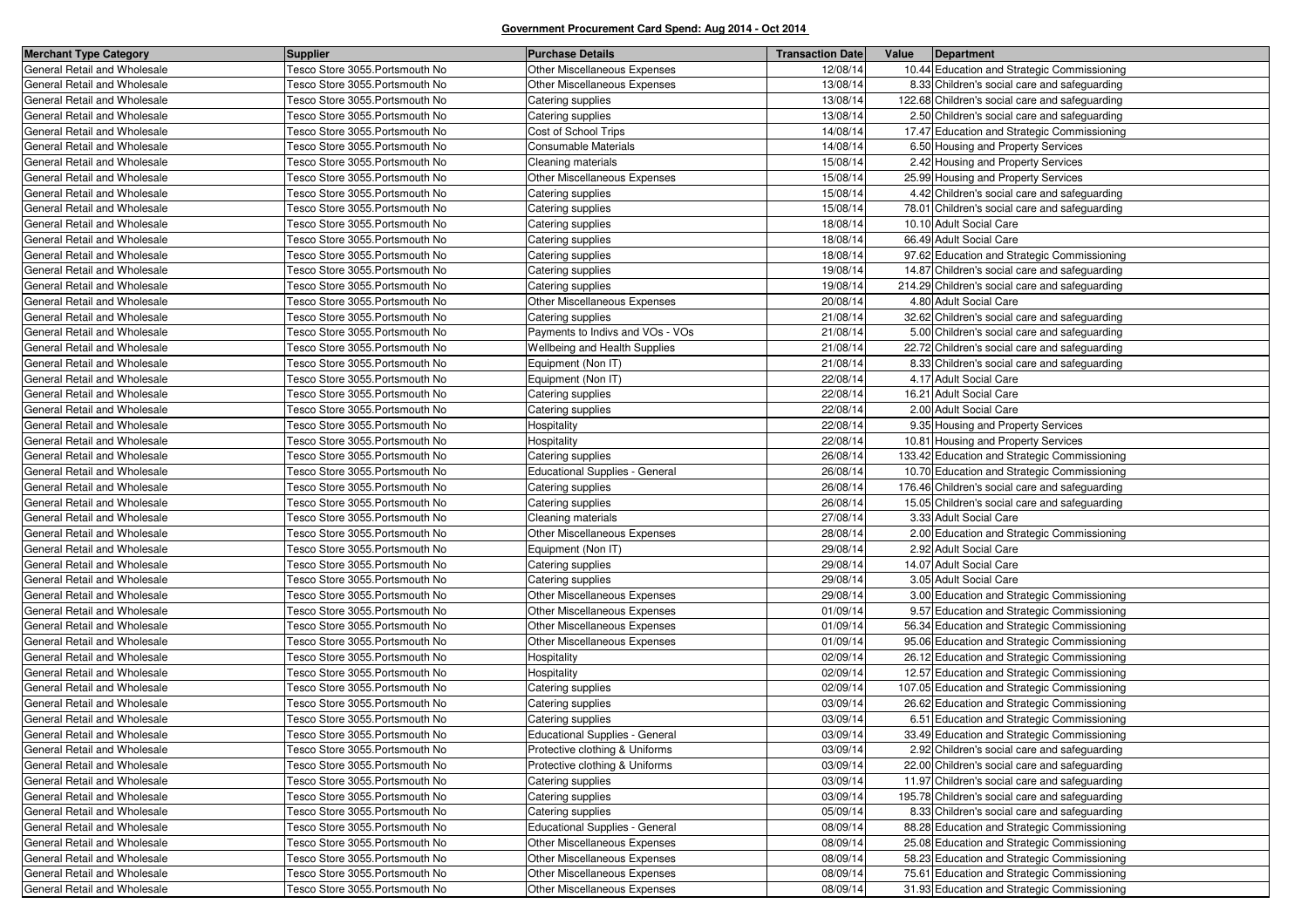| <b>Merchant Type Category</b> | <b>Supplier</b>                 | <b>Purchase Details</b>               | <b>Transaction Date</b> | Value | Department                                     |
|-------------------------------|---------------------------------|---------------------------------------|-------------------------|-------|------------------------------------------------|
| General Retail and Wholesale  | Tesco Store 3055. Portsmouth No | Other Miscellaneous Expenses          | 12/08/14                |       | 10.44 Education and Strategic Commissioning    |
| General Retail and Wholesale  | Tesco Store 3055. Portsmouth No | Other Miscellaneous Expenses          | 13/08/14                |       | 8.33 Children's social care and safeguarding   |
| General Retail and Wholesale  | Tesco Store 3055.Portsmouth No  | Catering supplies                     | 13/08/14                |       | 122.68 Children's social care and safeguarding |
| General Retail and Wholesale  | Tesco Store 3055. Portsmouth No | Catering supplies                     | 13/08/14                |       | 2.50 Children's social care and safeguarding   |
| General Retail and Wholesale  | Tesco Store 3055.Portsmouth No  | Cost of School Trips                  | 14/08/14                |       | 17.47 Education and Strategic Commissioning    |
| General Retail and Wholesale  | Tesco Store 3055. Portsmouth No | Consumable Materials                  | 14/08/14                |       | 6.50 Housing and Property Services             |
| General Retail and Wholesale  | Tesco Store 3055.Portsmouth No  | Cleaning materials                    | 15/08/14                |       | 2.42 Housing and Property Services             |
| General Retail and Wholesale  | Tesco Store 3055.Portsmouth No  | <b>Other Miscellaneous Expenses</b>   | 15/08/14                |       | 25.99 Housing and Property Services            |
| General Retail and Wholesale  | Tesco Store 3055. Portsmouth No | Catering supplies                     | 15/08/14                |       | 4.42 Children's social care and safeguarding   |
| General Retail and Wholesale  | Tesco Store 3055.Portsmouth No  | Catering supplies                     | 15/08/14                |       | 78.01 Children's social care and safeguarding  |
| General Retail and Wholesale  | Tesco Store 3055.Portsmouth No  | Catering supplies                     | 18/08/14                |       | 10.10 Adult Social Care                        |
| General Retail and Wholesale  | Tesco Store 3055. Portsmouth No | Catering supplies                     | 18/08/14                |       | 66.49 Adult Social Care                        |
| General Retail and Wholesale  | Tesco Store 3055.Portsmouth No  | Catering supplies                     | 18/08/14                |       | 97.62 Education and Strategic Commissioning    |
| General Retail and Wholesale  | Tesco Store 3055. Portsmouth No | Catering supplies                     | 19/08/14                |       | 14.87 Children's social care and safeguarding  |
| General Retail and Wholesale  | Tesco Store 3055. Portsmouth No | Catering supplies                     | 19/08/14                |       | 214.29 Children's social care and safeguarding |
| General Retail and Wholesale  | Tesco Store 3055.Portsmouth No  | Other Miscellaneous Expenses          | 20/08/14                |       | 4.80 Adult Social Care                         |
| General Retail and Wholesale  | Tesco Store 3055.Portsmouth No  | Catering supplies                     | 21/08/14                |       | 32.62 Children's social care and safeguarding  |
| General Retail and Wholesale  | Tesco Store 3055. Portsmouth No | Payments to Indivs and VOs - VOs      | 21/08/14                |       | 5.00 Children's social care and safeguarding   |
| General Retail and Wholesale  | Tesco Store 3055. Portsmouth No | Wellbeing and Health Supplies         | 21/08/14                |       | 22.72 Children's social care and safeguarding  |
| General Retail and Wholesale  | Tesco Store 3055. Portsmouth No | Equipment (Non IT)                    | 21/08/14                |       | 8.33 Children's social care and safeguarding   |
| General Retail and Wholesale  | Tesco Store 3055. Portsmouth No | Equipment (Non IT)                    | 22/08/14                |       | 4.17 Adult Social Care                         |
| General Retail and Wholesale  | Tesco Store 3055.Portsmouth No  | Catering supplies                     | 22/08/14                |       | 16.21 Adult Social Care                        |
| General Retail and Wholesale  | Tesco Store 3055. Portsmouth No | Catering supplies                     | 22/08/14                |       | 2.00 Adult Social Care                         |
| General Retail and Wholesale  | Tesco Store 3055.Portsmouth No  | Hospitality                           | 22/08/14                |       | 9.35 Housing and Property Services             |
| General Retail and Wholesale  | Tesco Store 3055.Portsmouth No  | Hospitality                           | 22/08/14                |       | 10.81 Housing and Property Services            |
| General Retail and Wholesale  | Tesco Store 3055. Portsmouth No | Catering supplies                     | 26/08/14                |       | 133.42 Education and Strategic Commissioning   |
| General Retail and Wholesale  | Tesco Store 3055. Portsmouth No | <b>Educational Supplies - General</b> | 26/08/14                |       | 10.70 Education and Strategic Commissioning    |
| General Retail and Wholesale  | Tesco Store 3055. Portsmouth No | Catering supplies                     | 26/08/14                |       | 176.46 Children's social care and safeguarding |
| General Retail and Wholesale  | Tesco Store 3055. Portsmouth No | Catering supplies                     | 26/08/14                |       | 15.05 Children's social care and safeguarding  |
| General Retail and Wholesale  | Tesco Store 3055. Portsmouth No | Cleaning materials                    | 27/08/14                |       | 3.33 Adult Social Care                         |
| General Retail and Wholesale  | Tesco Store 3055. Portsmouth No | Other Miscellaneous Expenses          | 28/08/14                |       | 2.00 Education and Strategic Commissioning     |
| General Retail and Wholesale  | Tesco Store 3055.Portsmouth No  | Equipment (Non IT)                    | 29/08/14                |       | 2.92 Adult Social Care                         |
| General Retail and Wholesale  | Tesco Store 3055. Portsmouth No | Catering supplies                     | 29/08/14                |       | 14.07 Adult Social Care                        |
| General Retail and Wholesale  | Tesco Store 3055. Portsmouth No | Catering supplies                     | 29/08/14                |       | 3.05 Adult Social Care                         |
| General Retail and Wholesale  | Tesco Store 3055.Portsmouth No  | Other Miscellaneous Expenses          | 29/08/14                |       | 3.00 Education and Strategic Commissioning     |
| General Retail and Wholesale  | Tesco Store 3055.Portsmouth No  | Other Miscellaneous Expenses          | 01/09/14                |       | 9.57 Education and Strategic Commissioning     |
| General Retail and Wholesale  | Tesco Store 3055. Portsmouth No | <b>Other Miscellaneous Expenses</b>   | 01/09/14                |       | 56.34 Education and Strategic Commissioning    |
| General Retail and Wholesale  | Tesco Store 3055.Portsmouth No  | Other Miscellaneous Expenses          | 01/09/14                |       | 95.06 Education and Strategic Commissioning    |
| General Retail and Wholesale  | Tesco Store 3055.Portsmouth No  | Hospitality                           | 02/09/14                |       | 26.12 Education and Strategic Commissioning    |
| General Retail and Wholesale  | Tesco Store 3055. Portsmouth No | Hospitality                           | 02/09/14                |       | 12.57 Education and Strategic Commissioning    |
| General Retail and Wholesale  | Tesco Store 3055.Portsmouth No  | Catering supplies                     | 02/09/14                |       | 107.05 Education and Strategic Commissioning   |
| General Retail and Wholesale  | Tesco Store 3055. Portsmouth No | Catering supplies                     | 03/09/14                |       | 26.62 Education and Strategic Commissioning    |
| General Retail and Wholesale  | Tesco Store 3055. Portsmouth No | Catering supplies                     | 03/09/14                |       | 6.51 Education and Strategic Commissioning     |
| General Retail and Wholesale  | Tesco Store 3055. Portsmouth No | <b>Educational Supplies - General</b> | 03/09/14                |       | 33.49 Education and Strategic Commissioning    |
| General Retail and Wholesale  | Tesco Store 3055. Portsmouth No | Protective clothing & Uniforms        | 03/09/14                |       | 2.92 Children's social care and safeguarding   |
| General Retail and Wholesale  | Tesco Store 3055. Portsmouth No | Protective clothing & Uniforms        | 03/09/14                |       | 22.00 Children's social care and safeguarding  |
| General Retail and Wholesale  | Tesco Store 3055. Portsmouth No | Catering supplies                     | 03/09/14                |       | 11.97 Children's social care and safeguarding  |
| General Retail and Wholesale  | Tesco Store 3055. Portsmouth No | Catering supplies                     | 03/09/14                |       | 195.78 Children's social care and safeguarding |
| General Retail and Wholesale  | Tesco Store 3055. Portsmouth No | Catering supplies                     | 05/09/14                |       | 8.33 Children's social care and safeguarding   |
| General Retail and Wholesale  | Tesco Store 3055. Portsmouth No | Educational Supplies - General        | 08/09/14                |       | 88.28 Education and Strategic Commissioning    |
| General Retail and Wholesale  | Tesco Store 3055. Portsmouth No | Other Miscellaneous Expenses          | 08/09/14                |       | 25.08 Education and Strategic Commissioning    |
| General Retail and Wholesale  | Tesco Store 3055. Portsmouth No | Other Miscellaneous Expenses          | 08/09/14                |       | 58.23 Education and Strategic Commissioning    |
| General Retail and Wholesale  | Tesco Store 3055. Portsmouth No | Other Miscellaneous Expenses          | 08/09/14                |       | 75.61 Education and Strategic Commissioning    |
| General Retail and Wholesale  | Tesco Store 3055. Portsmouth No | Other Miscellaneous Expenses          | 08/09/14                |       | 31.93 Education and Strategic Commissioning    |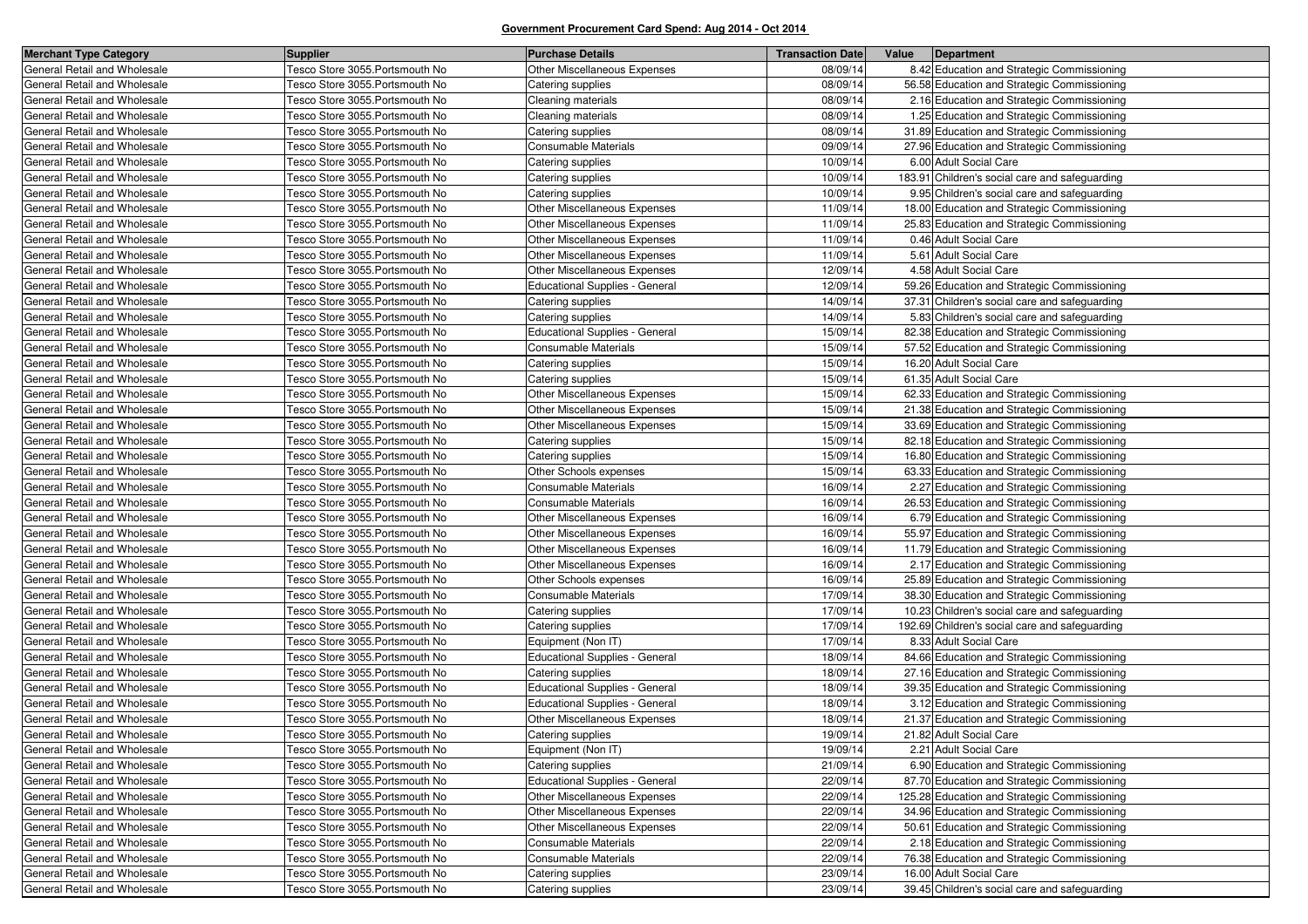| <b>Merchant Type Category</b> | <b>Supplier</b>                 | <b>Purchase Details</b>               | <b>Transaction Date</b> | Value<br>Department                            |
|-------------------------------|---------------------------------|---------------------------------------|-------------------------|------------------------------------------------|
| General Retail and Wholesale  | Tesco Store 3055. Portsmouth No | Other Miscellaneous Expenses          | 08/09/14                | 8.42 Education and Strategic Commissioning     |
| General Retail and Wholesale  | Tesco Store 3055. Portsmouth No | Catering supplies                     | 08/09/14                | 56.58 Education and Strategic Commissioning    |
| General Retail and Wholesale  | Tesco Store 3055. Portsmouth No | Cleaning materials                    | 08/09/14                | 2.16 Education and Strategic Commissioning     |
| General Retail and Wholesale  | Tesco Store 3055. Portsmouth No | Cleaning materials                    | 08/09/14                | 1.25 Education and Strategic Commissioning     |
| General Retail and Wholesale  | Tesco Store 3055. Portsmouth No | Catering supplies                     | 08/09/14                | 31.89 Education and Strategic Commissioning    |
| General Retail and Wholesale  | Tesco Store 3055.Portsmouth No  | <b>Consumable Materials</b>           | 09/09/14                | 27.96 Education and Strategic Commissioning    |
| General Retail and Wholesale  | Tesco Store 3055.Portsmouth No  | Catering supplies                     | 10/09/14                | 6.00 Adult Social Care                         |
| General Retail and Wholesale  | Tesco Store 3055.Portsmouth No  | Catering supplies                     | 10/09/14                | 183.91 Children's social care and safeguarding |
| General Retail and Wholesale  | Tesco Store 3055. Portsmouth No | Catering supplies                     | 10/09/14                | 9.95 Children's social care and safeguarding   |
| General Retail and Wholesale  | Tesco Store 3055.Portsmouth No  | Other Miscellaneous Expenses          | 11/09/14                | 18.00 Education and Strategic Commissioning    |
| General Retail and Wholesale  | Tesco Store 3055.Portsmouth No  | Other Miscellaneous Expenses          | 11/09/14                | 25.83 Education and Strategic Commissioning    |
| General Retail and Wholesale  | Tesco Store 3055. Portsmouth No | Other Miscellaneous Expenses          | 11/09/14                | 0.46 Adult Social Care                         |
| General Retail and Wholesale  | Tesco Store 3055.Portsmouth No  | Other Miscellaneous Expenses          | 11/09/14                | 5.61 Adult Social Care                         |
| General Retail and Wholesale  | Tesco Store 3055. Portsmouth No | Other Miscellaneous Expenses          | 12/09/14                | 4.58 Adult Social Care                         |
| General Retail and Wholesale  | Tesco Store 3055. Portsmouth No | <b>Educational Supplies - General</b> | 12/09/14                | 59.26 Education and Strategic Commissioning    |
| General Retail and Wholesale  | Tesco Store 3055.Portsmouth No  | Catering supplies                     | 14/09/14                | 37.31 Children's social care and safeguarding  |
| General Retail and Wholesale  | Tesco Store 3055. Portsmouth No | Catering supplies                     | 14/09/14                | 5.83 Children's social care and safeguarding   |
| General Retail and Wholesale  | Tesco Store 3055. Portsmouth No | Educational Supplies - General        | 15/09/14                | 82.38 Education and Strategic Commissioning    |
| General Retail and Wholesale  | Tesco Store 3055. Portsmouth No | Consumable Materials                  | 15/09/14                | 57.52 Education and Strategic Commissioning    |
| General Retail and Wholesale  | Tesco Store 3055. Portsmouth No | Catering supplies                     | 15/09/14                | 16.20 Adult Social Care                        |
| General Retail and Wholesale  | Tesco Store 3055. Portsmouth No | Catering supplies                     | 15/09/14                | 61.35 Adult Social Care                        |
| General Retail and Wholesale  | Tesco Store 3055.Portsmouth No  | Other Miscellaneous Expenses          | 15/09/14                | 62.33 Education and Strategic Commissioning    |
| General Retail and Wholesale  | Tesco Store 3055. Portsmouth No | Other Miscellaneous Expenses          | 15/09/14                | 21.38 Education and Strategic Commissioning    |
| General Retail and Wholesale  | Tesco Store 3055. Portsmouth No | Other Miscellaneous Expenses          | 15/09/14                | 33.69 Education and Strategic Commissioning    |
| General Retail and Wholesale  | Tesco Store 3055. Portsmouth No | Catering supplies                     | 15/09/14                | 82.18 Education and Strategic Commissioning    |
| General Retail and Wholesale  | Tesco Store 3055. Portsmouth No | Catering supplies                     | 15/09/14                | 16.80 Education and Strategic Commissioning    |
| General Retail and Wholesale  | Tesco Store 3055. Portsmouth No | Other Schools expenses                | 15/09/14                | 63.33 Education and Strategic Commissioning    |
| General Retail and Wholesale  | Tesco Store 3055. Portsmouth No | <b>Consumable Materials</b>           | 16/09/14                | 2.27 Education and Strategic Commissioning     |
| General Retail and Wholesale  | Tesco Store 3055. Portsmouth No | Consumable Materials                  | 16/09/14                | 26.53 Education and Strategic Commissioning    |
| General Retail and Wholesale  | Tesco Store 3055. Portsmouth No | Other Miscellaneous Expenses          | 16/09/14                | 6.79 Education and Strategic Commissioning     |
| General Retail and Wholesale  | Tesco Store 3055.Portsmouth No  | Other Miscellaneous Expenses          | 16/09/14                | 55.97 Education and Strategic Commissioning    |
| General Retail and Wholesale  | Tesco Store 3055.Portsmouth No  | Other Miscellaneous Expenses          | 16/09/14                | 11.79 Education and Strategic Commissioning    |
| General Retail and Wholesale  | Tesco Store 3055. Portsmouth No | Other Miscellaneous Expenses          | 16/09/14                | 2.17 Education and Strategic Commissioning     |
| General Retail and Wholesale  | Tesco Store 3055. Portsmouth No | Other Schools expenses                | 16/09/14                | 25.89 Education and Strategic Commissioning    |
| General Retail and Wholesale  | Tesco Store 3055.Portsmouth No  | Consumable Materials                  | 17/09/14                | 38.30 Education and Strategic Commissioning    |
| General Retail and Wholesale  | Tesco Store 3055. Portsmouth No | Catering supplies                     | 17/09/14                | 10.23 Children's social care and safeguarding  |
| General Retail and Wholesale  | Tesco Store 3055. Portsmouth No | Catering supplies                     | 17/09/14                | 192.69 Children's social care and safeguarding |
| General Retail and Wholesale  | Tesco Store 3055.Portsmouth No  | Equipment (Non IT)                    | 17/09/14                | 8.33 Adult Social Care                         |
| General Retail and Wholesale  | Tesco Store 3055. Portsmouth No | Educational Supplies - General        | 18/09/14                | 84.66 Education and Strategic Commissioning    |
| General Retail and Wholesale  | Tesco Store 3055. Portsmouth No | Catering supplies                     | 18/09/14                | 27.16 Education and Strategic Commissioning    |
| General Retail and Wholesale  | Tesco Store 3055.Portsmouth No  | Educational Supplies - General        | 18/09/14                | 39.35 Education and Strategic Commissioning    |
| General Retail and Wholesale  | Tesco Store 3055. Portsmouth No | Educational Supplies - General        | 18/09/14                | 3.12 Education and Strategic Commissioning     |
| General Retail and Wholesale  | Tesco Store 3055. Portsmouth No | Other Miscellaneous Expenses          | 18/09/14                | 21.37 Education and Strategic Commissioning    |
| General Retail and Wholesale  | Tesco Store 3055. Portsmouth No | Catering supplies                     | 19/09/14                | 21.82 Adult Social Care                        |
| General Retail and Wholesale  | Tesco Store 3055. Portsmouth No | Equipment (Non IT)                    | 19/09/14                | 2.21 Adult Social Care                         |
| General Retail and Wholesale  | Tesco Store 3055. Portsmouth No | Catering supplies                     | 21/09/14                | 6.90 Education and Strategic Commissioning     |
| General Retail and Wholesale  | Tesco Store 3055. Portsmouth No | <b>Educational Supplies - General</b> | 22/09/14                | 87.70 Education and Strategic Commissioning    |
| General Retail and Wholesale  | Tesco Store 3055. Portsmouth No | Other Miscellaneous Expenses          | 22/09/14                | 125.28 Education and Strategic Commissioning   |
| General Retail and Wholesale  | Tesco Store 3055. Portsmouth No | Other Miscellaneous Expenses          | 22/09/14                | 34.96 Education and Strategic Commissioning    |
| General Retail and Wholesale  | Tesco Store 3055.Portsmouth No  | Other Miscellaneous Expenses          | 22/09/14                | 50.61 Education and Strategic Commissioning    |
| General Retail and Wholesale  | Tesco Store 3055.Portsmouth No  | Consumable Materials                  | 22/09/14                | 2.18 Education and Strategic Commissioning     |
| General Retail and Wholesale  | Tesco Store 3055. Portsmouth No | Consumable Materials                  | 22/09/14                | 76.38 Education and Strategic Commissioning    |
| General Retail and Wholesale  | Tesco Store 3055.Portsmouth No  | Catering supplies                     | 23/09/14                | 16.00 Adult Social Care                        |
| General Retail and Wholesale  | Tesco Store 3055. Portsmouth No | Catering supplies                     | 23/09/14                | 39.45 Children's social care and safeguarding  |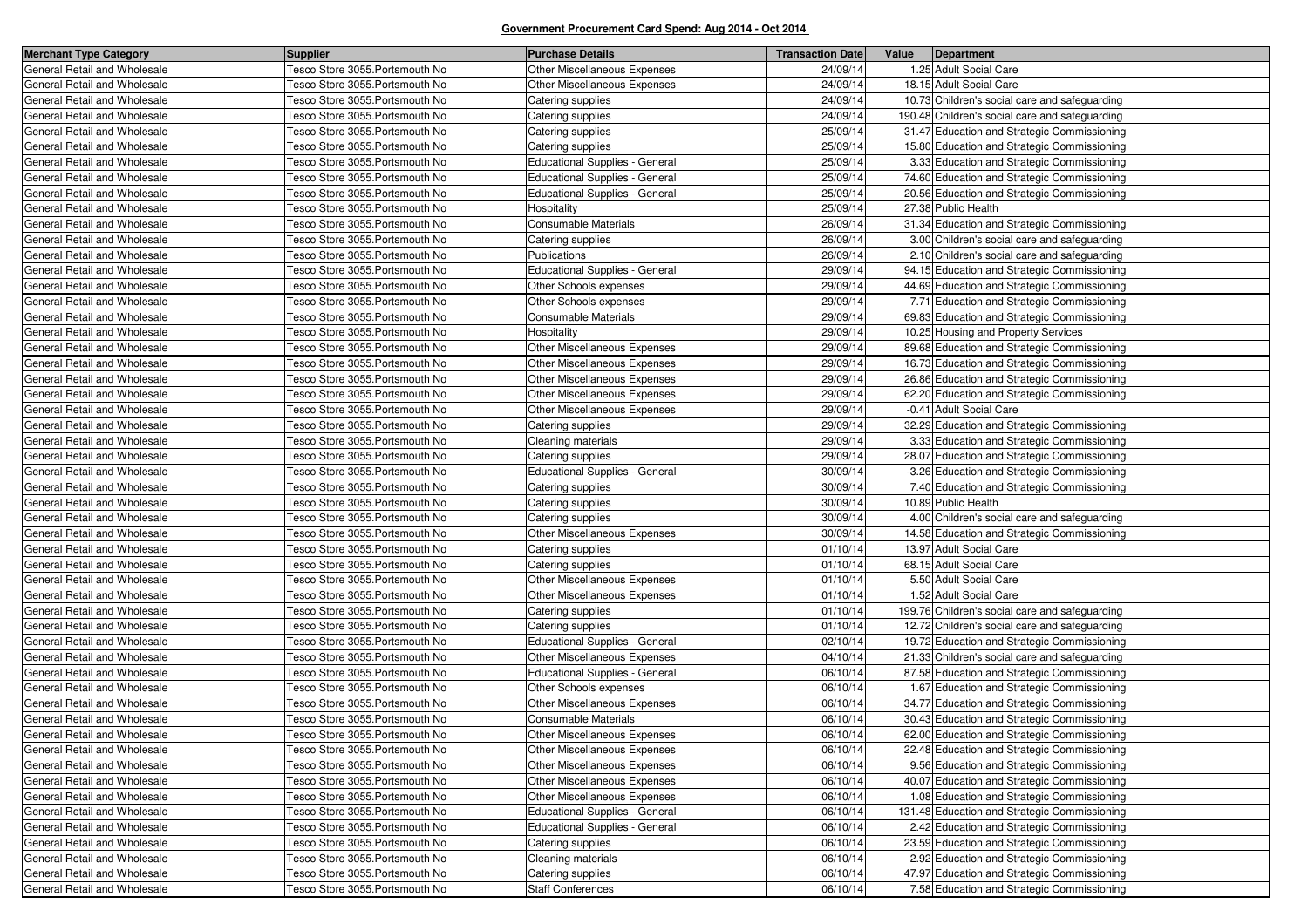| <b>Merchant Type Category</b> | <b>Supplier</b>                 | <b>Purchase Details</b>               | <b>Transaction Date</b> | Value | Department                                     |
|-------------------------------|---------------------------------|---------------------------------------|-------------------------|-------|------------------------------------------------|
| General Retail and Wholesale  | Tesco Store 3055. Portsmouth No | Other Miscellaneous Expenses          | 24/09/14                |       | 1.25 Adult Social Care                         |
| General Retail and Wholesale  | Tesco Store 3055. Portsmouth No | Other Miscellaneous Expenses          | 24/09/14                |       | 18.15 Adult Social Care                        |
| General Retail and Wholesale  | Tesco Store 3055. Portsmouth No | Catering supplies                     | 24/09/14                |       | 10.73 Children's social care and safeguarding  |
| General Retail and Wholesale  | Tesco Store 3055. Portsmouth No | Catering supplies                     | 24/09/14                |       | 190.48 Children's social care and safeguarding |
| General Retail and Wholesale  | Tesco Store 3055. Portsmouth No | Catering supplies                     | 25/09/14                |       | 31.47 Education and Strategic Commissioning    |
| General Retail and Wholesale  | Tesco Store 3055. Portsmouth No | Catering supplies                     | 25/09/14                |       | 15.80 Education and Strategic Commissioning    |
| General Retail and Wholesale  | Tesco Store 3055. Portsmouth No | <b>Educational Supplies - General</b> | 25/09/14                |       | 3.33 Education and Strategic Commissioning     |
| General Retail and Wholesale  | Tesco Store 3055. Portsmouth No | <b>Educational Supplies - General</b> | 25/09/14                |       | 74.60 Education and Strategic Commissioning    |
| General Retail and Wholesale  | Tesco Store 3055. Portsmouth No | <b>Educational Supplies - General</b> | 25/09/14                |       | 20.56 Education and Strategic Commissioning    |
| General Retail and Wholesale  | Tesco Store 3055. Portsmouth No | Hospitality                           | 25/09/14                |       | 27.38 Public Health                            |
| General Retail and Wholesale  | Tesco Store 3055. Portsmouth No | Consumable Materials                  | 26/09/14                |       | 31.34 Education and Strategic Commissioning    |
| General Retail and Wholesale  | Tesco Store 3055. Portsmouth No | Catering supplies                     | 26/09/14                |       | 3.00 Children's social care and safeguarding   |
| General Retail and Wholesale  | Tesco Store 3055. Portsmouth No | Publications                          | 26/09/14                |       | 2.10 Children's social care and safeguarding   |
| General Retail and Wholesale  | Tesco Store 3055. Portsmouth No | <b>Educational Supplies - General</b> | 29/09/14                |       | 94.15 Education and Strategic Commissioning    |
| General Retail and Wholesale  | Tesco Store 3055. Portsmouth No | Other Schools expenses                | 29/09/14                |       | 44.69 Education and Strategic Commissioning    |
| General Retail and Wholesale  | Tesco Store 3055. Portsmouth No | Other Schools expenses                | 29/09/14                |       | 7.71 Education and Strategic Commissioning     |
| General Retail and Wholesale  | Tesco Store 3055. Portsmouth No | Consumable Materials                  | 29/09/14                |       | 69.83 Education and Strategic Commissioning    |
| General Retail and Wholesale  | Tesco Store 3055. Portsmouth No | Hospitality                           | 29/09/14                |       | 10.25 Housing and Property Services            |
| General Retail and Wholesale  | Tesco Store 3055. Portsmouth No | Other Miscellaneous Expenses          | 29/09/14                |       | 89.68 Education and Strategic Commissioning    |
| General Retail and Wholesale  | Tesco Store 3055. Portsmouth No | Other Miscellaneous Expenses          | 29/09/14                |       | 16.73 Education and Strategic Commissioning    |
| General Retail and Wholesale  | Tesco Store 3055. Portsmouth No | Other Miscellaneous Expenses          | 29/09/14                |       | 26.86 Education and Strategic Commissioning    |
| General Retail and Wholesale  | Tesco Store 3055. Portsmouth No | Other Miscellaneous Expenses          | 29/09/14                |       | 62.20 Education and Strategic Commissioning    |
| General Retail and Wholesale  | Tesco Store 3055. Portsmouth No | Other Miscellaneous Expenses          | 29/09/14                |       | -0.41 Adult Social Care                        |
| General Retail and Wholesale  | Tesco Store 3055. Portsmouth No | Catering supplies                     | 29/09/14                |       | 32.29 Education and Strategic Commissioning    |
| General Retail and Wholesale  | Tesco Store 3055. Portsmouth No | Cleaning materials                    | 29/09/14                |       | 3.33 Education and Strategic Commissioning     |
| General Retail and Wholesale  | Tesco Store 3055. Portsmouth No | Catering supplies                     | 29/09/14                |       | 28.07 Education and Strategic Commissioning    |
| General Retail and Wholesale  | Tesco Store 3055. Portsmouth No | <b>Educational Supplies - General</b> | 30/09/14                |       | -3.26 Education and Strategic Commissioning    |
| General Retail and Wholesale  | Tesco Store 3055. Portsmouth No | Catering supplies                     | 30/09/14                |       | 7.40 Education and Strategic Commissioning     |
| General Retail and Wholesale  | Tesco Store 3055. Portsmouth No | Catering supplies                     | 30/09/14                |       | 10.89 Public Health                            |
| General Retail and Wholesale  | Tesco Store 3055. Portsmouth No | Catering supplies                     | 30/09/14                |       | 4.00 Children's social care and safeguarding   |
| General Retail and Wholesale  | Tesco Store 3055. Portsmouth No | Other Miscellaneous Expenses          | 30/09/14                |       | 14.58 Education and Strategic Commissioning    |
| General Retail and Wholesale  | Tesco Store 3055. Portsmouth No | Catering supplies                     | 01/10/14                |       | 13.97 Adult Social Care                        |
| General Retail and Wholesale  | Tesco Store 3055. Portsmouth No | Catering supplies                     | 01/10/14                |       | 68.15 Adult Social Care                        |
| General Retail and Wholesale  | Tesco Store 3055. Portsmouth No | Other Miscellaneous Expenses          | 01/10/14                |       | 5.50 Adult Social Care                         |
| General Retail and Wholesale  | Tesco Store 3055. Portsmouth No | Other Miscellaneous Expenses          | 01/10/14                |       | 1.52 Adult Social Care                         |
| General Retail and Wholesale  | Tesco Store 3055. Portsmouth No | Catering supplies                     | 01/10/14                |       | 199.76 Children's social care and safeguarding |
| General Retail and Wholesale  | Tesco Store 3055. Portsmouth No | Catering supplies                     | 01/10/14                |       | 12.72 Children's social care and safeguarding  |
| General Retail and Wholesale  | Tesco Store 3055. Portsmouth No | <b>Educational Supplies - General</b> | 02/10/14                |       | 19.72 Education and Strategic Commissioning    |
| General Retail and Wholesale  | Tesco Store 3055. Portsmouth No | Other Miscellaneous Expenses          | 04/10/14                |       | 21.33 Children's social care and safeguarding  |
| General Retail and Wholesale  | Tesco Store 3055. Portsmouth No | Educational Supplies - General        | 06/10/14                |       | 87.58 Education and Strategic Commissioning    |
| General Retail and Wholesale  | Tesco Store 3055. Portsmouth No | Other Schools expenses                | 06/10/14                |       | 1.67 Education and Strategic Commissioning     |
| General Retail and Wholesale  | Tesco Store 3055.Portsmouth No  | Other Miscellaneous Expenses          | 06/10/14                |       | 34.77 Education and Strategic Commissioning    |
| General Retail and Wholesale  | Tesco Store 3055. Portsmouth No | Consumable Materials                  | 06/10/14                |       | 30.43 Education and Strategic Commissioning    |
| General Retail and Wholesale  | Tesco Store 3055. Portsmouth No | Other Miscellaneous Expenses          | 06/10/14                |       | 62.00 Education and Strategic Commissioning    |
| General Retail and Wholesale  | Tesco Store 3055. Portsmouth No | <b>Other Miscellaneous Expenses</b>   | 06/10/14                |       | 22.48 Education and Strategic Commissioning    |
| General Retail and Wholesale  | Tesco Store 3055. Portsmouth No | Other Miscellaneous Expenses          | 06/10/14                |       | 9.56 Education and Strategic Commissioning     |
| General Retail and Wholesale  | Tesco Store 3055.Portsmouth No  | Other Miscellaneous Expenses          | 06/10/14                |       | 40.07 Education and Strategic Commissioning    |
| General Retail and Wholesale  | Tesco Store 3055 Portsmouth No  | Other Miscellaneous Expenses          | 06/10/14                |       | 1.08 Education and Strategic Commissioning     |
| General Retail and Wholesale  | Tesco Store 3055.Portsmouth No  | <b>Educational Supplies - General</b> | 06/10/14                |       | 131.48 Education and Strategic Commissioning   |
| General Retail and Wholesale  | Tesco Store 3055.Portsmouth No  | <b>Educational Supplies - General</b> | 06/10/14                |       | 2.42 Education and Strategic Commissioning     |
| General Retail and Wholesale  | Tesco Store 3055. Portsmouth No | Catering supplies                     | 06/10/14                |       | 23.59 Education and Strategic Commissioning    |
| General Retail and Wholesale  | Tesco Store 3055. Portsmouth No | Cleaning materials                    | 06/10/14                |       | 2.92 Education and Strategic Commissioning     |
| General Retail and Wholesale  | Tesco Store 3055. Portsmouth No | Catering supplies                     | 06/10/14                |       | 47.97 Education and Strategic Commissioning    |
| General Retail and Wholesale  | Tesco Store 3055. Portsmouth No | <b>Staff Conferences</b>              | 06/10/14                |       | 7.58 Education and Strategic Commissioning     |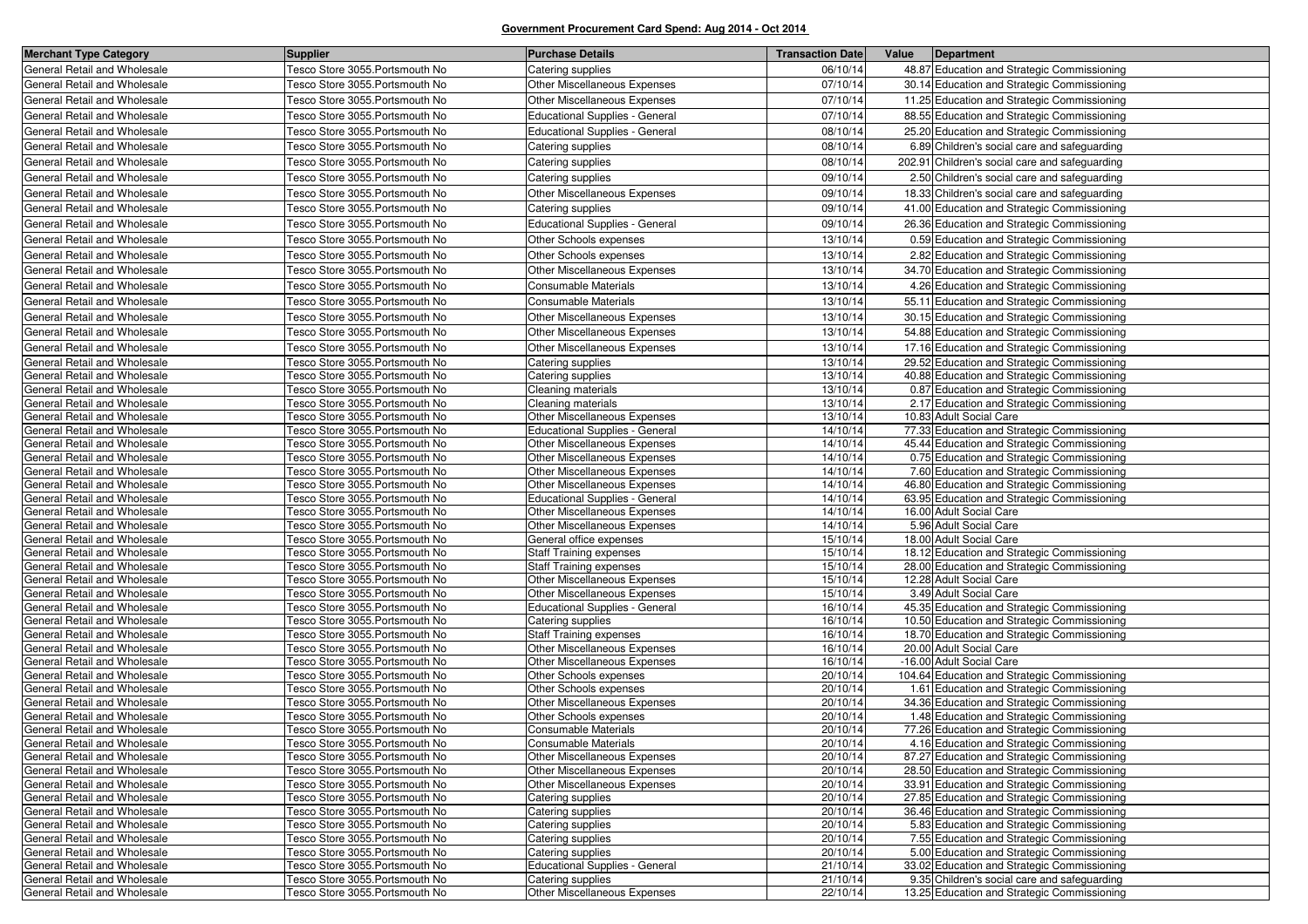| <b>Merchant Type Category</b>                                | <b>Supplier</b>                                                    | <b>Purchase Details</b>                                        | <b>Transaction Date</b> | Value | Department                                                                                 |
|--------------------------------------------------------------|--------------------------------------------------------------------|----------------------------------------------------------------|-------------------------|-------|--------------------------------------------------------------------------------------------|
| General Retail and Wholesale                                 | Tesco Store 3055. Portsmouth No                                    | Catering supplies                                              | 06/10/14                |       | 48.87 Education and Strategic Commissioning                                                |
| General Retail and Wholesale                                 | Tesco Store 3055. Portsmouth No                                    | Other Miscellaneous Expenses                                   | 07/10/14                |       | 30.14 Education and Strategic Commissioning                                                |
| General Retail and Wholesale                                 | Tesco Store 3055. Portsmouth No                                    | Other Miscellaneous Expenses                                   | 07/10/14                |       | 11.25 Education and Strategic Commissioning                                                |
| General Retail and Wholesale                                 | Tesco Store 3055. Portsmouth No                                    | <b>Educational Supplies - General</b>                          | 07/10/14                |       | 88.55 Education and Strategic Commissioning                                                |
| General Retail and Wholesale                                 | Tesco Store 3055. Portsmouth No                                    | <b>Educational Supplies - General</b>                          | 08/10/14                |       | 25.20 Education and Strategic Commissioning                                                |
| General Retail and Wholesale                                 | Tesco Store 3055. Portsmouth No                                    | Catering supplies                                              | 08/10/14                |       | 6.89 Children's social care and safeguarding                                               |
| General Retail and Wholesale                                 | Tesco Store 3055. Portsmouth No                                    | Catering supplies                                              | 08/10/14                |       | 202.91 Children's social care and safeguarding                                             |
| General Retail and Wholesale                                 | Tesco Store 3055. Portsmouth No                                    | Catering supplies                                              | 09/10/14                |       | 2.50 Children's social care and safeguarding                                               |
| General Retail and Wholesale                                 | Tesco Store 3055. Portsmouth No                                    | Other Miscellaneous Expenses                                   | 09/10/14                |       | 18.33 Children's social care and safeguarding                                              |
| General Retail and Wholesale                                 | Tesco Store 3055. Portsmouth No                                    | Catering supplies                                              | 09/10/14                |       | 41.00 Education and Strategic Commissioning                                                |
| General Retail and Wholesale                                 | Tesco Store 3055. Portsmouth No                                    | <b>Educational Supplies - General</b>                          | 09/10/14                |       | 26.36 Education and Strategic Commissioning                                                |
| General Retail and Wholesale                                 | Tesco Store 3055. Portsmouth No                                    | Other Schools expenses                                         | 13/10/14                |       | 0.59 Education and Strategic Commissioning                                                 |
| General Retail and Wholesale                                 | Tesco Store 3055. Portsmouth No                                    | Other Schools expenses                                         | 13/10/14                |       | 2.82 Education and Strategic Commissioning                                                 |
| General Retail and Wholesale                                 | Tesco Store 3055. Portsmouth No                                    | Other Miscellaneous Expenses                                   | 13/10/14                |       | 34.70 Education and Strategic Commissioning                                                |
| General Retail and Wholesale                                 | Tesco Store 3055. Portsmouth No                                    | <b>Consumable Materials</b>                                    | 13/10/14                |       | 4.26 Education and Strategic Commissioning                                                 |
| General Retail and Wholesale                                 | Tesco Store 3055. Portsmouth No                                    | Consumable Materials                                           | 13/10/14                |       | 55.11 Education and Strategic Commissioning                                                |
| General Retail and Wholesale                                 | Tesco Store 3055. Portsmouth No                                    | Other Miscellaneous Expenses                                   | 13/10/14                |       | 30.15 Education and Strategic Commissioning                                                |
| General Retail and Wholesale                                 | Tesco Store 3055. Portsmouth No                                    | Other Miscellaneous Expenses                                   | 13/10/14                |       | 54.88 Education and Strategic Commissioning                                                |
| General Retail and Wholesale                                 | Tesco Store 3055. Portsmouth No                                    |                                                                | 13/10/14                |       |                                                                                            |
| General Retail and Wholesale                                 | Tesco Store 3055. Portsmouth No                                    | Other Miscellaneous Expenses                                   | 13/10/14                |       | 17.16 Education and Strategic Commissioning<br>29.52 Education and Strategic Commissioning |
| General Retail and Wholesale                                 | Tesco Store 3055. Portsmouth No                                    | Catering supplies<br>Catering supplies                         | 13/10/14                |       | 40.88 Education and Strategic Commissioning                                                |
| General Retail and Wholesale                                 | Tesco Store 3055.Portsmouth No                                     | Cleaning materials                                             | 13/10/14                |       | 0.87 Education and Strategic Commissioning                                                 |
| General Retail and Wholesale                                 | Tesco Store 3055. Portsmouth No                                    | Cleaning materials                                             | 13/10/14                |       | 2.17 Education and Strategic Commissioning                                                 |
| General Retail and Wholesale                                 | Tesco Store 3055. Portsmouth No                                    | Other Miscellaneous Expenses                                   | 13/10/14                |       | 10.83 Adult Social Care                                                                    |
| General Retail and Wholesale                                 | Tesco Store 3055. Portsmouth No                                    | <b>Educational Supplies - General</b>                          | 14/10/14                |       | 77.33 Education and Strategic Commissioning                                                |
| General Retail and Wholesale                                 | Tesco Store 3055.Portsmouth No                                     | Other Miscellaneous Expenses                                   | 14/10/14                |       | 45.44 Education and Strategic Commissioning                                                |
| General Retail and Wholesale                                 | Tesco Store 3055. Portsmouth No                                    | Other Miscellaneous Expenses                                   | 14/10/14                |       | 0.75 Education and Strategic Commissioning                                                 |
| General Retail and Wholesale                                 | Tesco Store 3055.Portsmouth No                                     | Other Miscellaneous Expenses                                   | 14/10/14                |       | 7.60 Education and Strategic Commissioning                                                 |
| General Retail and Wholesale                                 | Tesco Store 3055. Portsmouth No                                    | Other Miscellaneous Expenses                                   | 14/10/14                |       | 46.80 Education and Strategic Commissioning                                                |
| General Retail and Wholesale                                 | Tesco Store 3055. Portsmouth No                                    | <b>Educational Supplies - General</b>                          | 14/10/14                |       | 63.95 Education and Strategic Commissioning                                                |
| General Retail and Wholesale                                 | Tesco Store 3055. Portsmouth No                                    | <b>Other Miscellaneous Expenses</b>                            | 14/10/14                |       | 16.00 Adult Social Care                                                                    |
| General Retail and Wholesale                                 | Tesco Store 3055. Portsmouth No                                    | Other Miscellaneous Expenses                                   | 14/10/14                |       | 5.96 Adult Social Care                                                                     |
| General Retail and Wholesale                                 | Tesco Store 3055. Portsmouth No                                    | General office expenses                                        | 15/10/14                |       | 18.00 Adult Social Care                                                                    |
| General Retail and Wholesale                                 | Tesco Store 3055.Portsmouth No                                     | <b>Staff Training expenses</b>                                 | 15/10/14<br>15/10/14    |       | 18.12 Education and Strategic Commissioning                                                |
| General Retail and Wholesale<br>General Retail and Wholesale | Tesco Store 3055.Portsmouth No<br>Tesco Store 3055. Portsmouth No  | <b>Staff Training expenses</b><br>Other Miscellaneous Expenses | 15/10/14                |       | 28.00 Education and Strategic Commissioning<br>12.28 Adult Social Care                     |
| General Retail and Wholesale                                 | Tesco Store 3055. Portsmouth No                                    | Other Miscellaneous Expenses                                   | 15/10/14                |       | 3.49 Adult Social Care                                                                     |
| General Retail and Wholesale                                 | Tesco Store 3055.Portsmouth No                                     | <b>Educational Supplies - General</b>                          | 16/10/14                |       | 45.35 Education and Strategic Commissioning                                                |
| General Retail and Wholesale                                 | Tesco Store 3055.Portsmouth No                                     | Catering supplies                                              | 16/10/14                |       | 10.50 Education and Strategic Commissioning                                                |
| General Retail and Wholesale                                 | Tesco Store 3055. Portsmouth No                                    | <b>Staff Training expenses</b>                                 | 16/10/14                |       | 18.70 Education and Strategic Commissioning                                                |
| General Retail and Wholesale                                 | Tesco Store 3055.Portsmouth No                                     | Other Miscellaneous Expenses                                   | 16/10/14                |       | 20.00 Adult Social Care                                                                    |
| General Retail and Wholesale                                 | Tesco Store 3055. Portsmouth No                                    | <b>Other Miscellaneous Expenses</b>                            | 16/10/14                |       | -16.00 Adult Social Care                                                                   |
| General Retail and Wholesale                                 | Tesco Store 3055. Portsmouth No                                    | Other Schools expenses                                         | 20/10/14                |       | 104.64 Education and Strategic Commissioning                                               |
| General Retail and Wholesale                                 | Tesco Store 3055. Portsmouth No                                    | Other Schools expenses                                         | 20/10/14                |       | 1.61 Education and Strategic Commissioning                                                 |
| General Retail and Wholesale                                 | Tesco Store 3055. Portsmouth No                                    | Other Miscellaneous Expenses                                   | 20/10/14                |       | 34.36 Education and Strategic Commissioning                                                |
| General Retail and Wholesale                                 | Tesco Store 3055. Portsmouth No                                    | Other Schools expenses                                         | 20/10/14                |       | 1.48 Education and Strategic Commissioning                                                 |
| General Retail and Wholesale                                 | Tesco Store 3055.Portsmouth No                                     | Consumable Materials                                           | 20/10/14                |       | 77.26 Education and Strategic Commissioning                                                |
| General Retail and Wholesale                                 | Tesco Store 3055. Portsmouth No                                    | Consumable Materials                                           | 20/10/14                |       | 4.16 Education and Strategic Commissioning                                                 |
| General Retail and Wholesale<br>General Retail and Wholesale | Tesco Store 3055. Portsmouth No<br>Tesco Store 3055. Portsmouth No | Other Miscellaneous Expenses<br>Other Miscellaneous Expenses   | 20/10/14<br>20/10/14    |       | 87.27 Education and Strategic Commissioning<br>28.50 Education and Strategic Commissioning |
| General Retail and Wholesale                                 | Tesco Store 3055. Portsmouth No                                    | <b>Other Miscellaneous Expenses</b>                            | 20/10/14                |       | 33.91 Education and Strategic Commissioning                                                |
| General Retail and Wholesale                                 | Tesco Store 3055. Portsmouth No                                    | Catering supplies                                              | 20/10/14                |       | 27.85 Education and Strategic Commissioning                                                |
| General Retail and Wholesale                                 | Tesco Store 3055.Portsmouth No                                     | Catering supplies                                              | 20/10/14                |       | 36.46 Education and Strategic Commissioning                                                |
| General Retail and Wholesale                                 | Tesco Store 3055. Portsmouth No                                    | Catering supplies                                              | 20/10/14                |       | 5.83 Education and Strategic Commissioning                                                 |
| General Retail and Wholesale                                 | Tesco Store 3055. Portsmouth No                                    | Catering supplies                                              | 20/10/14                |       | 7.55 Education and Strategic Commissioning                                                 |
| General Retail and Wholesale                                 | Tesco Store 3055. Portsmouth No                                    | Catering supplies                                              | 20/10/14                |       | 5.00 Education and Strategic Commissioning                                                 |
| General Retail and Wholesale                                 | Tesco Store 3055. Portsmouth No                                    | <b>Educational Supplies - General</b>                          | 21/10/14                |       | 33.02 Education and Strategic Commissioning                                                |
| General Retail and Wholesale                                 | Tesco Store 3055. Portsmouth No                                    | Catering supplies                                              | 21/10/14                |       | 9.35 Children's social care and safeguarding                                               |
| General Retail and Wholesale                                 | Tesco Store 3055. Portsmouth No                                    | Other Miscellaneous Expenses                                   | 22/10/14                |       | 13.25 Education and Strategic Commissioning                                                |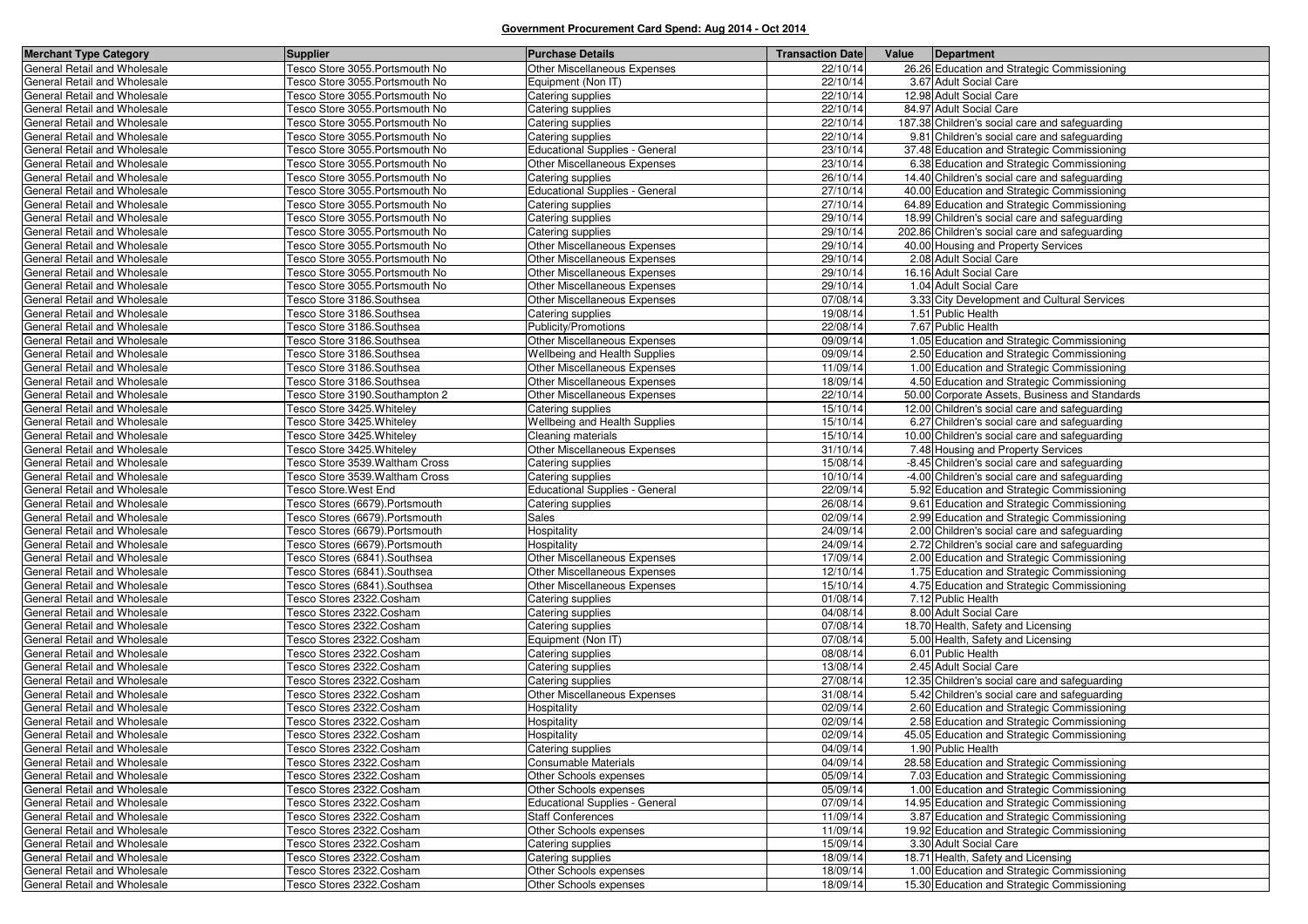| <b>Merchant Type Category</b>                                | <b>Supplier</b>                                      | <b>Purchase Details</b>                | <b>Transaction Date</b> | Value<br>Department                            |
|--------------------------------------------------------------|------------------------------------------------------|----------------------------------------|-------------------------|------------------------------------------------|
| General Retail and Wholesale                                 | Tesco Store 3055. Portsmouth No                      | Other Miscellaneous Expenses           | 22/10/14                | 26.26 Education and Strategic Commissioning    |
| General Retail and Wholesale                                 | Tesco Store 3055.Portsmouth No                       | Equipment (Non IT)                     | 22/10/14                | 3.67 Adult Social Care                         |
| General Retail and Wholesale                                 | Tesco Store 3055.Portsmouth No                       | Catering supplies                      | 22/10/14                | 12.98 Adult Social Care                        |
| General Retail and Wholesale                                 | Tesco Store 3055.Portsmouth No                       | Catering supplies                      | 22/10/14                | 84.97 Adult Social Care                        |
| General Retail and Wholesale                                 | Tesco Store 3055. Portsmouth No                      | Catering supplies                      | 22/10/14                | 187.38 Children's social care and safeguarding |
| General Retail and Wholesale                                 | Tesco Store 3055.Portsmouth No                       | Catering supplies                      | 22/10/14                | 9.81 Children's social care and safeguarding   |
| General Retail and Wholesale                                 | Tesco Store 3055. Portsmouth No                      | <b>Educational Supplies - General</b>  | 23/10/14                | 37.48 Education and Strategic Commissioning    |
| General Retail and Wholesale                                 | Tesco Store 3055.Portsmouth No                       | Other Miscellaneous Expenses           | 23/10/14                | 6.38 Education and Strategic Commissioning     |
| General Retail and Wholesale                                 | Tesco Store 3055.Portsmouth No                       | Catering supplies                      | 26/10/14                | 14.40 Children's social care and safeguarding  |
| General Retail and Wholesale                                 | Tesco Store 3055.Portsmouth No                       | Educational Supplies - General         | 27/10/14                | 40.00 Education and Strategic Commissioning    |
| General Retail and Wholesale                                 | Tesco Store 3055.Portsmouth No                       | Catering supplies                      | 27/10/14                | 64.89 Education and Strategic Commissioning    |
| General Retail and Wholesale                                 | Tesco Store 3055. Portsmouth No                      | Catering supplies                      | 29/10/14                | 18.99 Children's social care and safeguarding  |
| General Retail and Wholesale                                 | Tesco Store 3055.Portsmouth No                       | Catering supplies                      | 29/10/14                | 202.86 Children's social care and safeguarding |
| General Retail and Wholesale                                 | Tesco Store 3055.Portsmouth No                       | Other Miscellaneous Expenses           | 29/10/14                | 40.00 Housing and Property Services            |
| General Retail and Wholesale                                 | Tesco Store 3055. Portsmouth No                      | Other Miscellaneous Expenses           | 29/10/14                | 2.08 Adult Social Care                         |
| General Retail and Wholesale                                 | Tesco Store 3055.Portsmouth No                       | Other Miscellaneous Expenses           | 29/10/14                | 16.16 Adult Social Care                        |
| General Retail and Wholesale                                 | Tesco Store 3055.Portsmouth No                       | Other Miscellaneous Expenses           | 29/10/14                | 1.04 Adult Social Care                         |
| General Retail and Wholesale                                 | Tesco Store 3186. Southsea                           | Other Miscellaneous Expenses           | 07/08/14                | 3.33 City Development and Cultural Services    |
| General Retail and Wholesale                                 | Tesco Store 3186.Southsea                            | Catering supplies                      | 19/08/14                | 1.51 Public Health                             |
| General Retail and Wholesale                                 | Tesco Store 3186.Southsea                            | Publicity/Promotions                   | 22/08/14                | 7.67 Public Health                             |
| General Retail and Wholesale                                 | Tesco Store 3186.Southsea                            | Other Miscellaneous Expenses           | 09/09/14                | 1.05 Education and Strategic Commissioning     |
| General Retail and Wholesale                                 | Tesco Store 3186.Southsea                            | Wellbeing and Health Supplies          | 09/09/14                | 2.50 Education and Strategic Commissioning     |
| General Retail and Wholesale                                 | Tesco Store 3186.Southsea                            | Other Miscellaneous Expenses           | 11/09/14                | 1.00 Education and Strategic Commissioning     |
| General Retail and Wholesale                                 | Tesco Store 3186. Southsea                           | Other Miscellaneous Expenses           | 18/09/14                | 4.50 Education and Strategic Commissioning     |
| General Retail and Wholesale                                 | Tesco Store 3190. Southampton 2                      | Other Miscellaneous Expenses           | 22/10/14                | 50.00 Corporate Assets, Business and Standards |
| General Retail and Wholesale                                 | Tesco Store 3425. Whiteley                           | Catering supplies                      | 15/10/14                | 12.00 Children's social care and safeguarding  |
| General Retail and Wholesale                                 | Tesco Store 3425. Whiteley                           | Wellbeing and Health Supplies          | 15/10/14                | 6.27 Children's social care and safeguarding   |
| General Retail and Wholesale                                 | Tesco Store 3425. Whiteley                           | Cleaning materials                     | 15/10/14                | 10.00 Children's social care and safeguarding  |
| General Retail and Wholesale                                 | Tesco Store 3425. Whiteley                           | Other Miscellaneous Expenses           | 31/10/14                | 7.48 Housing and Property Services             |
| General Retail and Wholesale                                 | Tesco Store 3539. Waltham Cross                      | Catering supplies                      | 15/08/14                | -8.45 Children's social care and safeguarding  |
| General Retail and Wholesale                                 | Tesco Store 3539. Waltham Cross                      | Catering supplies                      | 10/10/14                | -4.00 Children's social care and safeguarding  |
| General Retail and Wholesale                                 | Tesco Store.West End                                 | Educational Supplies - General         | 22/09/14                | 5.92 Education and Strategic Commissioning     |
| General Retail and Wholesale                                 | Tesco Stores (6679).Portsmouth                       | Catering supplies                      | 26/08/14                | 9.61 Education and Strategic Commissioning     |
| General Retail and Wholesale                                 | Tesco Stores (6679).Portsmouth                       | Sales                                  | 02/09/14                | 2.99 Education and Strategic Commissioning     |
| General Retail and Wholesale                                 | Tesco Stores (6679).Portsmouth                       | Hospitality                            | 24/09/14                | 2.00 Children's social care and safeguarding   |
| General Retail and Wholesale                                 | Tesco Stores (6679).Portsmouth                       | Hospitality                            | 24/09/14                | 2.72 Children's social care and safeguarding   |
| General Retail and Wholesale                                 | Tesco Stores (6841). Southsea                        | Other Miscellaneous Expenses           | 17/09/14                | 2.00 Education and Strategic Commissioning     |
| General Retail and Wholesale                                 | Tesco Stores (6841). Southsea                        | Other Miscellaneous Expenses           | 12/10/14                | 1.75 Education and Strategic Commissioning     |
| General Retail and Wholesale                                 | Tesco Stores (6841). Southsea                        | Other Miscellaneous Expenses           | 15/10/14                | 4.75 Education and Strategic Commissioning     |
| General Retail and Wholesale<br>General Retail and Wholesale | Tesco Stores 2322.Cosham                             | Catering supplies                      | 01/08/14<br>04/08/14    | 7.12 Public Health<br>8.00 Adult Social Care   |
| General Retail and Wholesale                                 | Tesco Stores 2322.Cosham<br>Tesco Stores 2322.Cosham | Catering supplies<br>Catering supplies | 07/08/14                | 18.70 Health, Safety and Licensing             |
| General Retail and Wholesale                                 | Tesco Stores 2322.Cosham                             | Equipment (Non IT)                     | 07/08/14                | 5.00 Health, Safety and Licensing              |
| General Retail and Wholesale                                 | Tesco Stores 2322.Cosham                             | Catering supplies                      | 08/08/14                | 6.01 Public Health                             |
| General Retail and Wholesale                                 | Tesco Stores 2322.Cosham                             | Catering supplies                      | 13/08/14                | 2.45 Adult Social Care                         |
| General Retail and Wholesale                                 | Tesco Stores 2322.Cosham                             | Catering supplies                      | 27/08/14                | 12.35 Children's social care and safeguarding  |
| General Retail and Wholesale                                 | Tesco Stores 2322.Cosham                             | Other Miscellaneous Expenses           | 31/08/14                | 5.42 Children's social care and safeguarding   |
| General Retail and Wholesale                                 | Tesco Stores 2322.Cosham                             | Hospitality                            | 02/09/14                | 2.60 Education and Strategic Commissioning     |
| General Retail and Wholesale                                 | Tesco Stores 2322.Cosham                             | Hospitality                            | 02/09/14                | 2.58 Education and Strategic Commissioning     |
| General Retail and Wholesale                                 | Tesco Stores 2322.Cosham                             | Hospitality                            | 02/09/14                | 45.05 Education and Strategic Commissioning    |
| General Retail and Wholesale                                 | Tesco Stores 2322.Cosham                             | Catering supplies                      | 04/09/14                | 1.90 Public Health                             |
| General Retail and Wholesale                                 | Tesco Stores 2322.Cosham                             | Consumable Materials                   | 04/09/14                | 28.58 Education and Strategic Commissioning    |
| General Retail and Wholesale                                 | Tesco Stores 2322.Cosham                             | Other Schools expenses                 | 05/09/14                | 7.03 Education and Strategic Commissioning     |
| General Retail and Wholesale                                 | Tesco Stores 2322.Cosham                             | Other Schools expenses                 | 05/09/14                | 1.00 Education and Strategic Commissioning     |
| General Retail and Wholesale                                 | Tesco Stores 2322.Cosham                             | <b>Educational Supplies - General</b>  | 07/09/14                | 14.95 Education and Strategic Commissioning    |
| General Retail and Wholesale                                 | Tesco Stores 2322.Cosham                             | <b>Staff Conferences</b>               | 11/09/14                | 3.87 Education and Strategic Commissioning     |
| General Retail and Wholesale                                 | Tesco Stores 2322.Cosham                             | Other Schools expenses                 | 11/09/14                | 19.92 Education and Strategic Commissioning    |
| General Retail and Wholesale                                 | Tesco Stores 2322.Cosham                             | Catering supplies                      | 15/09/14                | 3.30 Adult Social Care                         |
| General Retail and Wholesale                                 | Tesco Stores 2322.Cosham                             | Catering supplies                      | 18/09/14                | 18.71 Health, Safety and Licensing             |
| General Retail and Wholesale                                 | Tesco Stores 2322.Cosham                             | Other Schools expenses                 | 18/09/14                | 1.00 Education and Strategic Commissioning     |
| General Retail and Wholesale                                 | Tesco Stores 2322.Cosham                             | Other Schools expenses                 | 18/09/14                | 15.30 Education and Strategic Commissioning    |
|                                                              |                                                      |                                        |                         |                                                |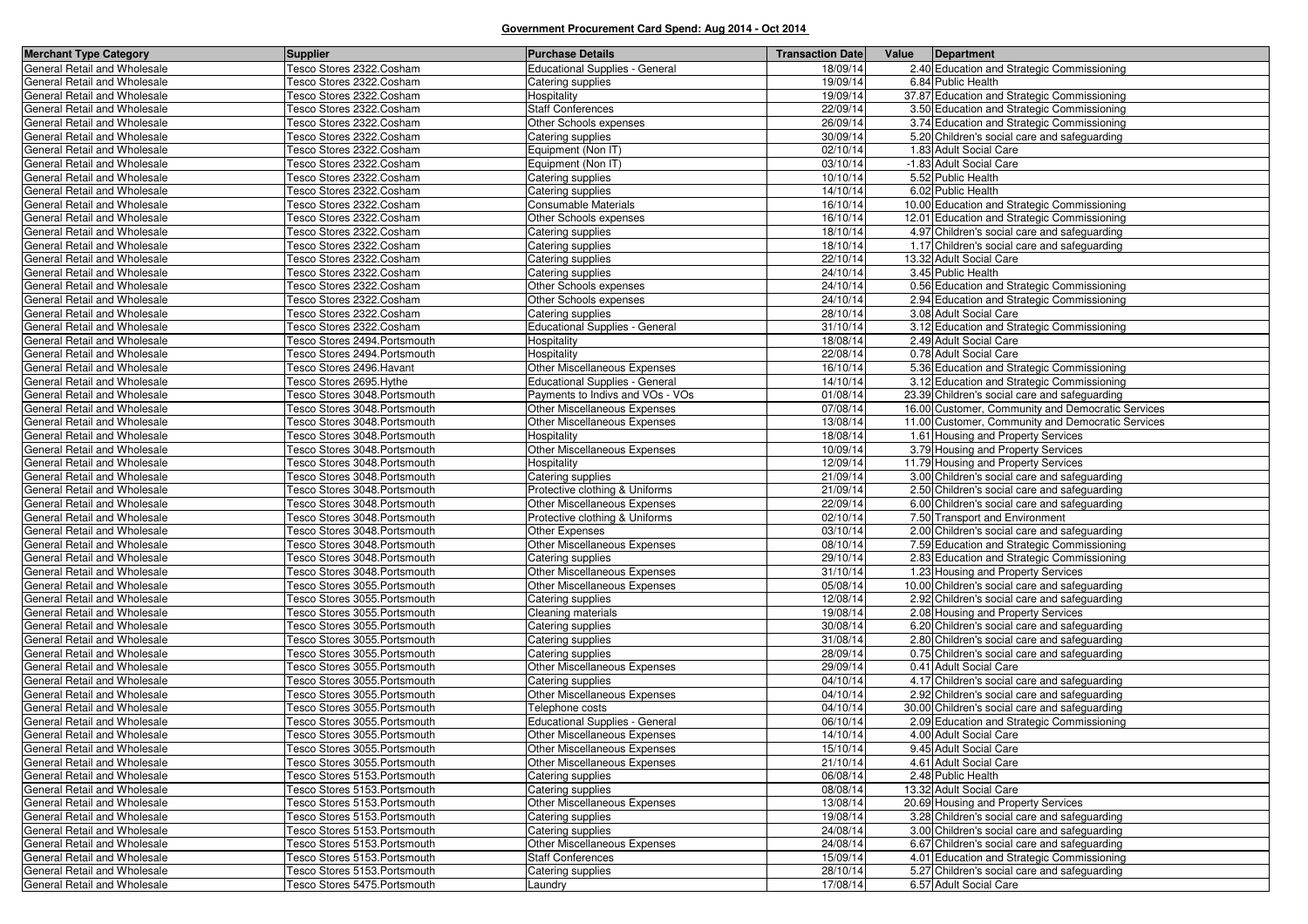| <b>Merchant Type Category</b> | <b>Supplier</b>                 | <b>Purchase Details</b>               | <b>Transaction Date</b> | Value | Department                                        |
|-------------------------------|---------------------------------|---------------------------------------|-------------------------|-------|---------------------------------------------------|
| General Retail and Wholesale  | Tesco Stores 2322.Cosham        | Educational Supplies - General        | 18/09/14                |       | 2.40 Education and Strategic Commissioning        |
| General Retail and Wholesale  | Fesco Stores 2322.Cosham        | Catering supplies                     | 19/09/14                |       | 6.84 Public Health                                |
| General Retail and Wholesale  | Fesco Stores 2322.Cosham        | Hospitality                           | 19/09/14                |       | 37.87 Education and Strategic Commissioning       |
| General Retail and Wholesale  | Fesco Stores 2322.Cosham        | <b>Staff Conferences</b>              | 22/09/14                |       | 3.50 Education and Strategic Commissioning        |
| General Retail and Wholesale  | Tesco Stores 2322.Cosham        | Other Schools expenses                | 26/09/14                |       | 3.74 Education and Strategic Commissioning        |
| General Retail and Wholesale  | Tesco Stores 2322.Cosham        | Catering supplies                     | 30/09/14                |       | 5.20 Children's social care and safeguarding      |
| General Retail and Wholesale  | Fesco Stores 2322.Cosham        | Equipment (Non IT)                    | 02/10/14                |       | 1.83 Adult Social Care                            |
| General Retail and Wholesale  | Fesco Stores 2322.Cosham        | Equipment (Non IT)                    | 03/10/14                |       | -1.83 Adult Social Care                           |
| General Retail and Wholesale  | Tesco Stores 2322.Cosham        | Catering supplies                     | 10/10/14                |       | 5.52 Public Health                                |
| General Retail and Wholesale  | Fesco Stores 2322.Cosham        | Catering supplies                     | 14/10/14                |       | 6.02 Public Health                                |
| General Retail and Wholesale  | Fesco Stores 2322.Cosham        | Consumable Materials                  | 16/10/14                |       | 10.00 Education and Strategic Commissioning       |
| General Retail and Wholesale  | <b>Fesco Stores 2322.Cosham</b> | Other Schools expenses                | 16/10/14                |       | 12.01 Education and Strategic Commissioning       |
| General Retail and Wholesale  | Fesco Stores 2322.Cosham        | Catering supplies                     | 18/10/14                |       | 4.97 Children's social care and safeguarding      |
| General Retail and Wholesale  | Fesco Stores 2322.Cosham        | Catering supplies                     | 18/10/14                |       | 1.17 Children's social care and safeguarding      |
| General Retail and Wholesale  | <b>Fesco Stores 2322.Cosham</b> | Catering supplies                     | 22/10/14                |       | 13.32 Adult Social Care                           |
| General Retail and Wholesale  | Fesco Stores 2322.Cosham        | Catering supplies                     | 24/10/14                |       | 3.45 Public Health                                |
| General Retail and Wholesale  | Tesco Stores 2322.Cosham        | Other Schools expenses                | 24/10/14                |       | 0.56 Education and Strategic Commissioning        |
| General Retail and Wholesale  | Tesco Stores 2322.Cosham        | Other Schools expenses                | 24/10/14                |       | 2.94 Education and Strategic Commissioning        |
| General Retail and Wholesale  | Tesco Stores 2322.Cosham        | Catering supplies                     | 28/10/14                |       | 3.08 Adult Social Care                            |
| General Retail and Wholesale  | Fesco Stores 2322.Cosham        | <b>Educational Supplies - General</b> | 31/10/14                |       | 3.12 Education and Strategic Commissioning        |
| General Retail and Wholesale  | Fesco Stores 2494.Portsmouth    | Hospitality                           | 18/08/14                |       | 2.49 Adult Social Care                            |
| General Retail and Wholesale  | Fesco Stores 2494.Portsmouth    | Hospitality                           | 22/08/14                |       | 0.78 Adult Social Care                            |
| General Retail and Wholesale  | Fesco Stores 2496.Havant        | Other Miscellaneous Expenses          | 16/10/14                |       | 5.36 Education and Strategic Commissioning        |
| General Retail and Wholesale  | Fesco Stores 2695.Hythe         | <b>Educational Supplies - General</b> | 14/10/14                |       | 3.12 Education and Strategic Commissioning        |
| General Retail and Wholesale  | Fesco Stores 3048.Portsmouth    | Payments to Indivs and VOs - VOs      | 01/08/14                |       | 23.39 Children's social care and safeguarding     |
| General Retail and Wholesale  | esco Stores 3048. Portsmouth    | Other Miscellaneous Expenses          | 07/08/14                |       | 16.00 Customer, Community and Democratic Services |
| General Retail and Wholesale  | Fesco Stores 3048.Portsmouth    | Other Miscellaneous Expenses          | 13/08/14                |       | 11.00 Customer, Community and Democratic Services |
| General Retail and Wholesale  | Fesco Stores 3048.Portsmouth    | Hospitality                           | 18/08/14                |       | 1.61 Housing and Property Services                |
| General Retail and Wholesale  | Fesco Stores 3048.Portsmouth    | Other Miscellaneous Expenses          | 10/09/14                |       | 3.79 Housing and Property Services                |
| General Retail and Wholesale  | Fesco Stores 3048.Portsmouth    | Hospitality                           | 12/09/14                |       | 11.79 Housing and Property Services               |
| General Retail and Wholesale  | Fesco Stores 3048.Portsmouth    | Catering supplies                     | 21/09/14                |       | 3.00 Children's social care and safeguarding      |
| General Retail and Wholesale  | Tesco Stores 3048.Portsmouth    | Protective clothing & Uniforms        | 21/09/14                |       | 2.50 Children's social care and safeguarding      |
| General Retail and Wholesale  | Fesco Stores 3048.Portsmouth    | Other Miscellaneous Expenses          | 22/09/14                |       | 6.00 Children's social care and safeguarding      |
| General Retail and Wholesale  | Fesco Stores 3048.Portsmouth    | Protective clothing & Uniforms        | 02/10/14                |       | 7.50 Transport and Environment                    |
| General Retail and Wholesale  | Fesco Stores 3048.Portsmouth    | Other Expenses                        | 03/10/14                |       | 2.00 Children's social care and safeguarding      |
| General Retail and Wholesale  | Fesco Stores 3048.Portsmouth    | Other Miscellaneous Expenses          | 08/10/14                |       | 7.59 Education and Strategic Commissioning        |
| General Retail and Wholesale  | Fesco Stores 3048.Portsmouth    | Catering supplies                     | 29/10/14                |       | 2.83 Education and Strategic Commissioning        |
| General Retail and Wholesale  | Fesco Stores 3048.Portsmouth    | Other Miscellaneous Expenses          | 31/10/14                |       | 1.23 Housing and Property Services                |
| General Retail and Wholesale  | Fesco Stores 3055.Portsmouth    | Other Miscellaneous Expenses          | 05/08/14                |       | 10.00 Children's social care and safeguarding     |
| General Retail and Wholesale  | Fesco Stores 3055.Portsmouth    | Catering supplies                     | 12/08/14                |       | 2.92 Children's social care and safeguarding      |
| General Retail and Wholesale  | Fesco Stores 3055.Portsmouth    | Cleaning materials                    | 19/08/14                |       | 2.08 Housing and Property Services                |
| General Retail and Wholesale  | Tesco Stores 3055.Portsmouth    | Catering supplies                     | 30/08/14                |       | 6.20 Children's social care and safeguarding      |
| General Retail and Wholesale  | Tesco Stores 3055.Portsmouth    | Catering supplies                     | 31/08/14                |       | 2.80 Children's social care and safeguarding      |
| General Retail and Wholesale  | Tesco Stores 3055.Portsmouth    | Catering supplies                     | 28/09/14                |       | 0.75 Children's social care and safeguarding      |
| General Retail and Wholesale  | Tesco Stores 3055.Portsmouth    | Other Miscellaneous Expenses          | 29/09/14                |       | 0.41 Adult Social Care                            |
| General Retail and Wholesale  | Fesco Stores 3055.Portsmouth    | Catering supplies                     | 04/10/14                |       | 4.17 Children's social care and safeguarding      |
| General Retail and Wholesale  | Fesco Stores 3055.Portsmouth    | Other Miscellaneous Expenses          | 04/10/14                |       | 2.92 Children's social care and safeguarding      |
| General Retail and Wholesale  | esco Stores 3055. Portsmouth    | Telephone costs                       | 04/10/14                |       | 30.00 Children's social care and safeguarding     |
| General Retail and Wholesale  | Fesco Stores 3055. Portsmouth   | <b>Educational Supplies - General</b> | 06/10/14                |       | 2.09 Education and Strategic Commissioning        |
| General Retail and Wholesale  | Tesco Stores 3055.Portsmouth    | Other Miscellaneous Expenses          | 14/10/14                |       | 4.00 Adult Social Care                            |
| General Retail and Wholesale  | Tesco Stores 3055. Portsmouth   | Other Miscellaneous Expenses          | 15/10/14                |       | 9.45 Adult Social Care                            |
| General Retail and Wholesale  | Fesco Stores 3055.Portsmouth    | Other Miscellaneous Expenses          | 21/10/14                |       | 4.61 Adult Social Care                            |
| General Retail and Wholesale  | Fesco Stores 5153.Portsmouth    | Catering supplies                     | 06/08/14                |       | 2.48 Public Health                                |
| General Retail and Wholesale  | Tesco Stores 5153.Portsmouth    | Catering supplies                     | 08/08/14                |       | 13.32 Adult Social Care                           |
| General Retail and Wholesale  | Tesco Stores 5153.Portsmouth    | Other Miscellaneous Expenses          | 13/08/14                |       | 20.69 Housing and Property Services               |
| General Retail and Wholesale  | Tesco Stores 5153.Portsmouth    | Catering supplies                     | 19/08/14                |       | 3.28 Children's social care and safeguarding      |
| General Retail and Wholesale  | Tesco Stores 5153.Portsmouth    | Catering supplies                     | 24/08/14                |       | 3.00 Children's social care and safeguarding      |
| General Retail and Wholesale  | Fesco Stores 5153.Portsmouth    | Other Miscellaneous Expenses          | 24/08/14                |       | 6.67 Children's social care and safeguarding      |
| General Retail and Wholesale  | Fesco Stores 5153.Portsmouth    | <b>Staff Conferences</b>              | 15/09/14                |       | 4.01 Education and Strategic Commissioning        |
| General Retail and Wholesale  | Fesco Stores 5153.Portsmouth    | Catering supplies                     | 28/10/14                |       | 5.27 Children's social care and safeguarding      |
| General Retail and Wholesale  | Tesco Stores 5475.Portsmouth    | Laundry                               | 17/08/14                |       | 6.57 Adult Social Care                            |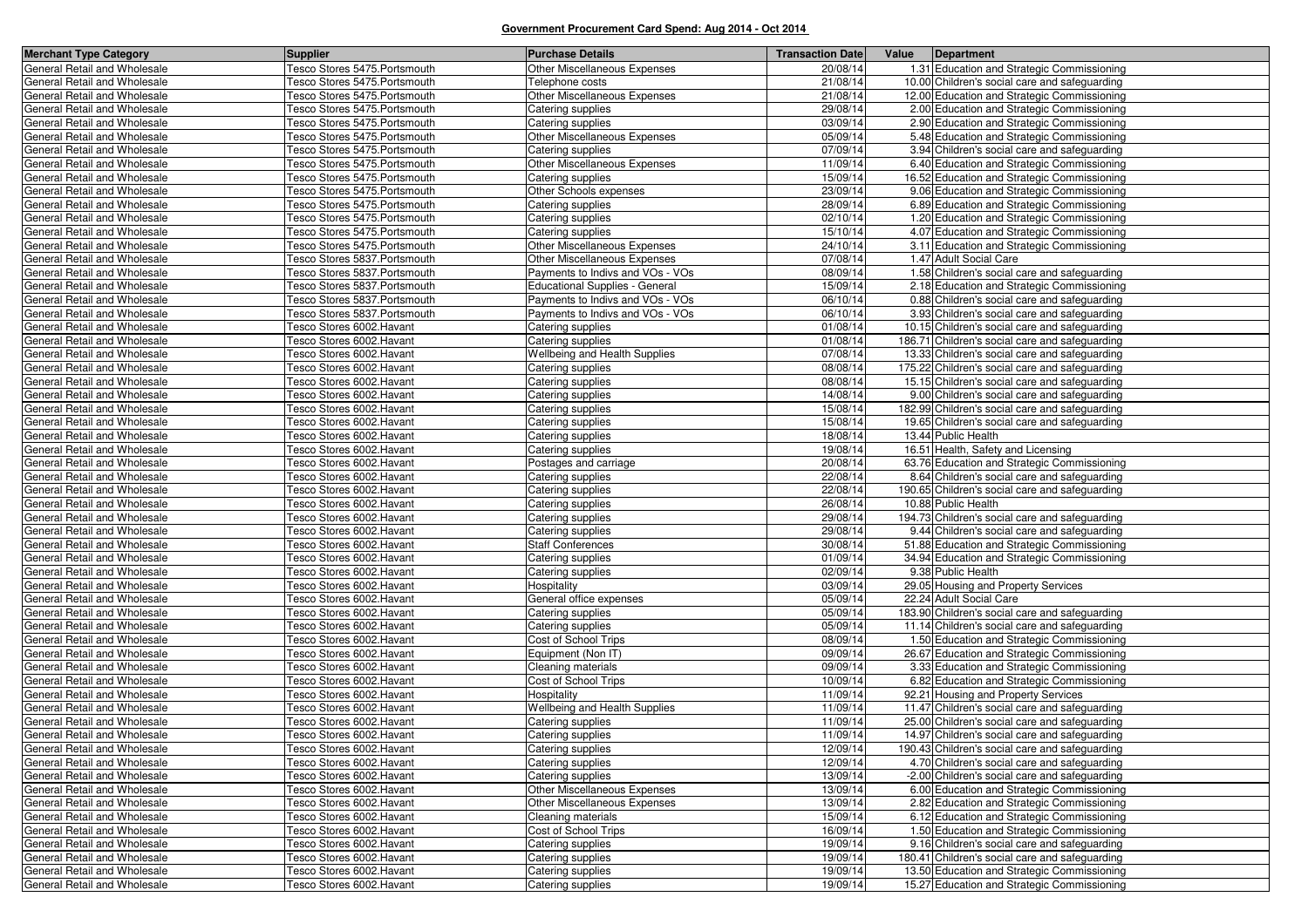| <b>Merchant Type Category</b>                                | <b>Supplier</b>                                      | <b>Purchase Details</b>                      | <b>Transaction Date</b> | Value<br>Department                                            |
|--------------------------------------------------------------|------------------------------------------------------|----------------------------------------------|-------------------------|----------------------------------------------------------------|
| General Retail and Wholesale                                 | Tesco Stores 5475. Portsmouth                        | Other Miscellaneous Expenses                 | 20/08/14                | 1.31 Education and Strategic Commissioning                     |
| General Retail and Wholesale                                 | Tesco Stores 5475. Portsmouth                        | Telephone costs                              | 21/08/14                | 10.00 Children's social care and safeguarding                  |
| General Retail and Wholesale                                 | Tesco Stores 5475.Portsmouth                         | Other Miscellaneous Expenses                 | 21/08/14                | 12.00 Education and Strategic Commissioning                    |
| General Retail and Wholesale                                 | Tesco Stores 5475.Portsmouth                         | Catering supplies                            | 29/08/14                | 2.00 Education and Strategic Commissioning                     |
| General Retail and Wholesale                                 | Tesco Stores 5475.Portsmouth                         | Catering supplies                            | 03/09/14                | 2.90 Education and Strategic Commissioning                     |
| General Retail and Wholesale                                 | Tesco Stores 5475. Portsmouth                        | Other Miscellaneous Expenses                 | 05/09/14                | 5.48 Education and Strategic Commissioning                     |
| General Retail and Wholesale                                 | Tesco Stores 5475. Portsmouth                        | Catering supplies                            | 07/09/14                | 3.94 Children's social care and safeguarding                   |
| General Retail and Wholesale                                 | Tesco Stores 5475.Portsmouth                         | Other Miscellaneous Expenses                 | 11/09/14                | 6.40 Education and Strategic Commissioning                     |
| General Retail and Wholesale                                 | Tesco Stores 5475.Portsmouth                         | Catering supplies                            | 15/09/14                | 16.52 Education and Strategic Commissioning                    |
| General Retail and Wholesale                                 | Tesco Stores 5475.Portsmouth                         | Other Schools expenses                       | 23/09/14                | 9.06 Education and Strategic Commissioning                     |
| General Retail and Wholesale                                 | Tesco Stores 5475.Portsmouth                         | Catering supplies                            | 28/09/14                | 6.89 Education and Strategic Commissioning                     |
| General Retail and Wholesale                                 | Tesco Stores 5475.Portsmouth                         | Catering supplies                            | 02/10/14                | 1.20 Education and Strategic Commissioning                     |
| General Retail and Wholesale                                 | Tesco Stores 5475. Portsmouth                        | Catering supplies                            | 15/10/14                | 4.07 Education and Strategic Commissioning                     |
| General Retail and Wholesale                                 | Tesco Stores 5475. Portsmouth                        | Other Miscellaneous Expenses                 | 24/10/14                | 3.11 Education and Strategic Commissioning                     |
| General Retail and Wholesale                                 | Tesco Stores 5837.Portsmouth                         | Other Miscellaneous Expenses                 | 07/08/14                | 1.47 Adult Social Care                                         |
| General Retail and Wholesale                                 | Tesco Stores 5837.Portsmouth                         | Payments to Indivs and VOs - VOs             | 08/09/14                | 1.58 Children's social care and safeguarding                   |
| General Retail and Wholesale                                 | Tesco Stores 5837.Portsmouth                         | <b>Educational Supplies - General</b>        | 15/09/14                | 2.18 Education and Strategic Commissioning                     |
| General Retail and Wholesale                                 | Tesco Stores 5837.Portsmouth                         | Payments to Indivs and VOs - VOs             | 06/10/14                | 0.88 Children's social care and safeguarding                   |
| General Retail and Wholesale                                 | Tesco Stores 5837.Portsmouth                         | Payments to Indivs and VOs - VOs             | 06/10/14                | 3.93 Children's social care and safeguarding                   |
| General Retail and Wholesale                                 | Tesco Stores 6002.Havant                             | Catering supplies                            | 01/08/14                | 10.15 Children's social care and safeguarding                  |
| General Retail and Wholesale                                 | Tesco Stores 6002.Havant                             | Catering supplies                            | 01/08/14                | 186.71 Children's social care and safeguarding                 |
| General Retail and Wholesale                                 | Tesco Stores 6002.Havant                             | Wellbeing and Health Supplies                | 07/08/14                | 13.33 Children's social care and safeguarding                  |
| General Retail and Wholesale                                 | Tesco Stores 6002.Havant                             | Catering supplies                            | 08/08/14                | 175.22 Children's social care and safeguarding                 |
| General Retail and Wholesale                                 | Tesco Stores 6002.Havant                             | Catering supplies                            | 08/08/14                | 15.15 Children's social care and safeguarding                  |
| General Retail and Wholesale                                 | Tesco Stores 6002.Havant                             | Catering supplies                            | 14/08/14                | 9.00 Children's social care and safeguarding                   |
| General Retail and Wholesale                                 | Tesco Stores 6002.Havant                             | Catering supplies                            | 15/08/14                | 182.99 Children's social care and safeguarding                 |
| General Retail and Wholesale                                 | Tesco Stores 6002. Havant                            | Catering supplies                            | 15/08/14                | 19.65 Children's social care and safeguarding                  |
| General Retail and Wholesale                                 | Tesco Stores 6002.Havant                             | Catering supplies                            | 18/08/14                | 13.44 Public Health                                            |
| General Retail and Wholesale                                 | Tesco Stores 6002.Havant                             | Catering supplies                            | 19/08/14                | 16.51 Health, Safety and Licensing                             |
| General Retail and Wholesale                                 | Tesco Stores 6002.Havant                             | Postages and carriage                        | 20/08/14                | 63.76 Education and Strategic Commissioning                    |
| General Retail and Wholesale                                 | Tesco Stores 6002. Havant                            | Catering supplies                            | 22/08/14                | 8.64 Children's social care and safeguarding                   |
| General Retail and Wholesale                                 | Tesco Stores 6002. Havant                            | Catering supplies                            | 22/08/14                | 190.65 Children's social care and safeguarding                 |
| General Retail and Wholesale                                 | Tesco Stores 6002.Havant                             | Catering supplies                            | 26/08/14                | 10.88 Public Health                                            |
| General Retail and Wholesale                                 | Tesco Stores 6002.Havant                             | Catering supplies                            | 29/08/14                | 194.73 Children's social care and safeguarding                 |
| General Retail and Wholesale                                 | Tesco Stores 6002.Havant                             | Catering supplies                            | 29/08/14                | 9.44 Children's social care and safeguarding                   |
| General Retail and Wholesale                                 | Tesco Stores 6002.Havant                             | <b>Staff Conferences</b>                     | 30/08/14                | 51.88 Education and Strategic Commissioning                    |
| General Retail and Wholesale                                 | Tesco Stores 6002.Havant                             | Catering supplies                            | 01/09/14                | 34.94 Education and Strategic Commissioning                    |
| General Retail and Wholesale                                 | Tesco Stores 6002.Havant                             | Catering supplies                            | 02/09/14                | 9.38 Public Health                                             |
| General Retail and Wholesale                                 | Tesco Stores 6002.Havant                             | Hospitality                                  | 03/09/14<br>05/09/14    | 29.05 Housing and Property Services<br>22.24 Adult Social Care |
| General Retail and Wholesale<br>General Retail and Wholesale | Tesco Stores 6002.Havant<br>Tesco Stores 6002.Havant | General office expenses<br>Catering supplies | 05/09/14                | 183.90 Children's social care and safeguarding                 |
| General Retail and Wholesale                                 | Tesco Stores 6002.Havant                             | Catering supplies                            | 05/09/14                | 11.14 Children's social care and safeguarding                  |
| General Retail and Wholesale                                 | Tesco Stores 6002.Havant                             | Cost of School Trips                         | 08/09/14                | 1.50 Education and Strategic Commissioning                     |
| General Retail and Wholesale                                 | Tesco Stores 6002.Havant                             | Equipment (Non IT)                           | 09/09/14                | 26.67 Education and Strategic Commissioning                    |
| General Retail and Wholesale                                 | Tesco Stores 6002. Havant                            | Cleaning materials                           | 09/09/14                | 3.33 Education and Strategic Commissioning                     |
| General Retail and Wholesale                                 | Tesco Stores 6002.Havant                             | Cost of School Trips                         | 10/09/14                | 6.82 Education and Strategic Commissioning                     |
| General Retail and Wholesale                                 | Tesco Stores 6002.Havant                             | Hospitality                                  | 11/09/14                | 92.21 Housing and Property Services                            |
| General Retail and Wholesale                                 | Tesco Stores 6002.Havant                             | Wellbeing and Health Supplies                | 11/09/14                | 11.47 Children's social care and safeguarding                  |
| General Retail and Wholesale                                 | Tesco Stores 6002.Havant                             | Catering supplies                            | 11/09/14                | 25.00 Children's social care and safeguarding                  |
| General Retail and Wholesale                                 | Tesco Stores 6002. Havant                            | Catering supplies                            | 11/09/14                | 14.97 Children's social care and safeguarding                  |
| General Retail and Wholesale                                 | Tesco Stores 6002. Havant                            | Catering supplies                            | 12/09/14                | 190.43 Children's social care and safeguarding                 |
| General Retail and Wholesale                                 | Tesco Stores 6002. Havant                            | Catering supplies                            | 12/09/14                | 4.70 Children's social care and safeguarding                   |
| General Retail and Wholesale                                 | Tesco Stores 6002. Havant                            | Catering supplies                            | 13/09/14                | -2.00 Children's social care and safeguarding                  |
| General Retail and Wholesale                                 | Tesco Stores 6002.Havant                             | Other Miscellaneous Expenses                 | 13/09/14                | 6.00 Education and Strategic Commissioning                     |
| General Retail and Wholesale                                 | Tesco Stores 6002.Havant                             | Other Miscellaneous Expenses                 | 13/09/14                | 2.82 Education and Strategic Commissioning                     |
| General Retail and Wholesale                                 | Tesco Stores 6002.Havant                             | Cleaning materials                           | 15/09/14                | 6.12 Education and Strategic Commissioning                     |
| General Retail and Wholesale                                 | Tesco Stores 6002. Havant                            | Cost of School Trips                         | 16/09/14                | 1.50 Education and Strategic Commissioning                     |
| General Retail and Wholesale                                 | Tesco Stores 6002.Havant                             | Catering supplies                            | 19/09/14                | 9.16 Children's social care and safeguarding                   |
| General Retail and Wholesale                                 | Tesco Stores 6002.Havant                             | Catering supplies                            | 19/09/14                | 180.41 Children's social care and safeguarding                 |
| General Retail and Wholesale                                 | Tesco Stores 6002.Havant                             | Catering supplies                            | 19/09/14                | 13.50 Education and Strategic Commissioning                    |
| General Retail and Wholesale                                 | Tesco Stores 6002. Havant                            | Catering supplies                            | 19/09/14                | 15.27 Education and Strategic Commissioning                    |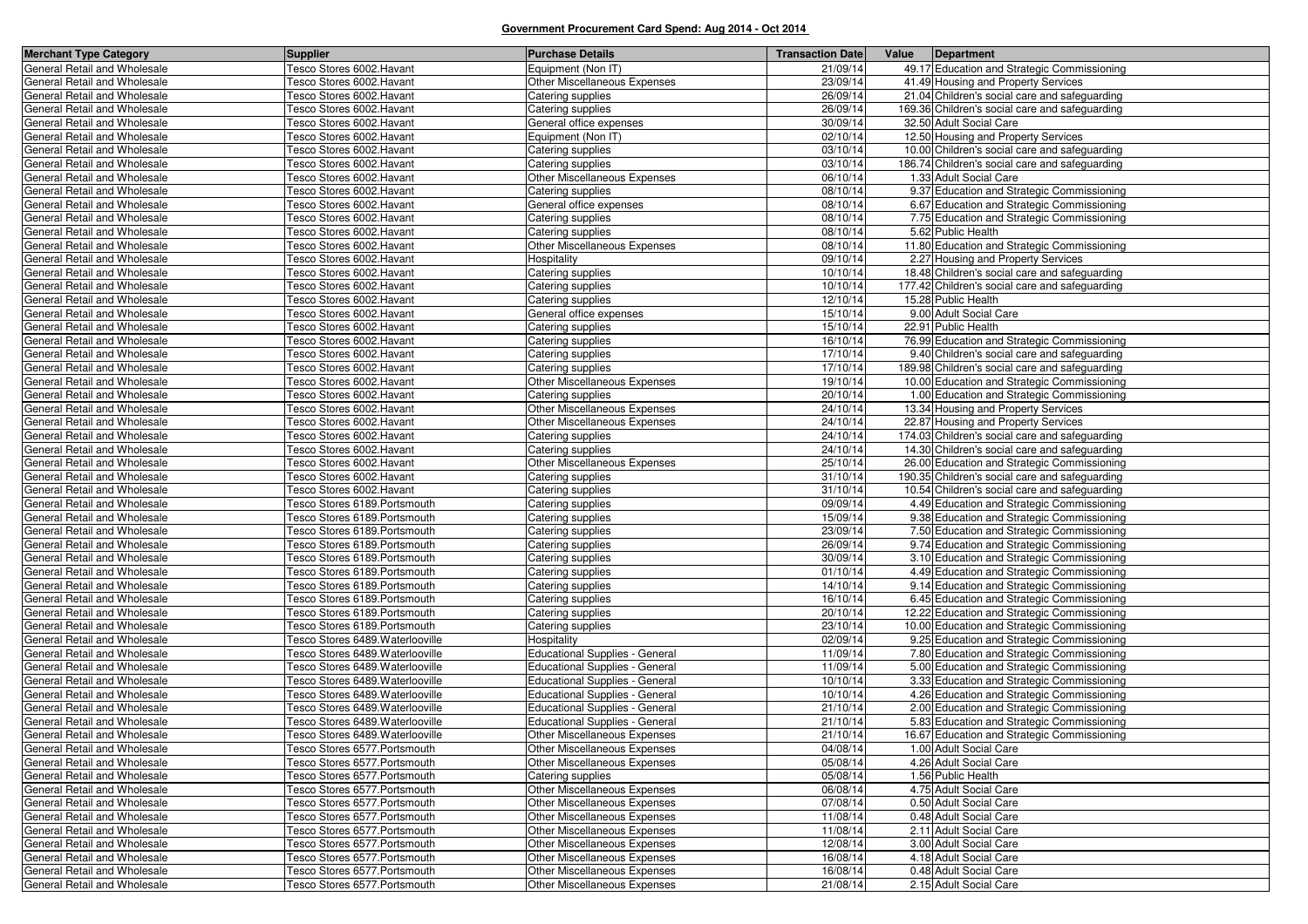| <b>Merchant Type Category</b>                                | <b>Supplier</b>                  | <b>Purchase Details</b>               | <b>Transaction Date</b> | Value | Department                                     |
|--------------------------------------------------------------|----------------------------------|---------------------------------------|-------------------------|-------|------------------------------------------------|
| General Retail and Wholesale                                 | Tesco Stores 6002. Havant        | Equipment (Non IT)                    | 21/09/14                |       | 49.17 Education and Strategic Commissioning    |
| General Retail and Wholesale                                 | Tesco Stores 6002.Havant         | Other Miscellaneous Expenses          | 23/09/14                |       | 41.49 Housing and Property Services            |
| General Retail and Wholesale                                 | Tesco Stores 6002.Havant         | Catering supplies                     | 26/09/14                |       | 21.04 Children's social care and safeguarding  |
| General Retail and Wholesale                                 | Tesco Stores 6002.Havant         | Catering supplies                     | 26/09/14                |       | 169.36 Children's social care and safeguarding |
| General Retail and Wholesale                                 | Tesco Stores 6002.Havant         | General office expenses               | 30/09/14                |       | 32.50 Adult Social Care                        |
| General Retail and Wholesale                                 | Tesco Stores 6002. Havant        | Equipment (Non IT)                    | 02/10/14                |       | 12.50 Housing and Property Services            |
| General Retail and Wholesale                                 | Tesco Stores 6002.Havant         | Catering supplies                     | 03/10/14                |       | 10.00 Children's social care and safeguarding  |
| General Retail and Wholesale                                 | Tesco Stores 6002.Havant         | Catering supplies                     | 03/10/14                |       | 186.74 Children's social care and safeguarding |
| General Retail and Wholesale                                 | Tesco Stores 6002.Havant         | Other Miscellaneous Expenses          | 06/10/14                |       | 1.33 Adult Social Care                         |
| General Retail and Wholesale                                 | Tesco Stores 6002.Havant         | Catering supplies                     | 08/10/14                |       | 9.37 Education and Strategic Commissioning     |
| General Retail and Wholesale                                 | Tesco Stores 6002.Havant         | General office expenses               | 08/10/14                |       | 6.67 Education and Strategic Commissioning     |
| General Retail and Wholesale                                 | Tesco Stores 6002.Havant         | Catering supplies                     | 08/10/14                |       | 7.75 Education and Strategic Commissioning     |
| General Retail and Wholesale                                 | Tesco Stores 6002.Havant         | Catering supplies                     | 08/10/14                |       | 5.62 Public Health                             |
| <b>General Retail and Wholesale</b>                          | Tesco Stores 6002.Havant         | Other Miscellaneous Expenses          | 08/10/14                |       | 11.80 Education and Strategic Commissioning    |
| General Retail and Wholesale                                 | Tesco Stores 6002.Havant         | Hospitality                           | 09/10/14                |       | 2.27 Housing and Property Services             |
| General Retail and Wholesale                                 | Tesco Stores 6002.Havant         | Catering supplies                     | 10/10/14                |       | 18.48 Children's social care and safeguarding  |
| General Retail and Wholesale                                 | Tesco Stores 6002.Havant         | Catering supplies                     | 10/10/14                |       | 177.42 Children's social care and safeguarding |
| General Retail and Wholesale                                 | Tesco Stores 6002. Havant        | Catering supplies                     | 12/10/14                |       | 15.28 Public Health                            |
| General Retail and Wholesale                                 | Tesco Stores 6002.Havant         | General office expenses               | 15/10/14                |       | 9.00 Adult Social Care                         |
| General Retail and Wholesale                                 | Tesco Stores 6002.Havant         | Catering supplies                     | 15/10/14                |       | 22.91 Public Health                            |
| General Retail and Wholesale                                 | Tesco Stores 6002.Havant         | Catering supplies                     | 16/10/14                |       | 76.99 Education and Strategic Commissioning    |
| General Retail and Wholesale                                 | Tesco Stores 6002.Havant         | Catering supplies                     | 17/10/14                |       | 9.40 Children's social care and safeguarding   |
| General Retail and Wholesale                                 | Tesco Stores 6002.Havant         | Catering supplies                     | 17/10/14                |       | 189.98 Children's social care and safeguarding |
| General Retail and Wholesale                                 | Tesco Stores 6002.Havant         | Other Miscellaneous Expenses          | 19/10/14                |       | 10.00 Education and Strategic Commissioning    |
| General Retail and Wholesale                                 | Tesco Stores 6002.Havant         | Catering supplies                     | 20/10/14                |       | 1.00 Education and Strategic Commissioning     |
| General Retail and Wholesale                                 | Tesco Stores 6002.Havant         | Other Miscellaneous Expenses          | 24/10/14                |       | 13.34 Housing and Property Services            |
| General Retail and Wholesale                                 | Tesco Stores 6002.Havant         | Other Miscellaneous Expenses          | 24/10/14                |       | 22.87 Housing and Property Services            |
| General Retail and Wholesale                                 | Tesco Stores 6002.Havant         | Catering supplies                     | 24/10/14                |       | 174.03 Children's social care and safeguarding |
| General Retail and Wholesale                                 | Tesco Stores 6002.Havant         | Catering supplies                     | 24/10/14                |       | 14.30 Children's social care and safeguarding  |
| General Retail and Wholesale                                 | Tesco Stores 6002.Havant         | Other Miscellaneous Expenses          | 25/10/14                |       | 26.00 Education and Strategic Commissioning    |
| General Retail and Wholesale                                 | Tesco Stores 6002. Havant        | Catering supplies                     | 31/10/14                |       | 190.35 Children's social care and safeguarding |
| General Retail and Wholesale                                 | Tesco Stores 6002. Havant        | Catering supplies                     | 31/10/14                |       | 10.54 Children's social care and safeguarding  |
| General Retail and Wholesale                                 | Tesco Stores 6189.Portsmouth     | Catering supplies                     | 09/09/14                |       | 4.49 Education and Strategic Commissioning     |
| General Retail and Wholesale                                 | Tesco Stores 6189.Portsmouth     | Catering supplies                     | 15/09/14                |       | 9.38 Education and Strategic Commissioning     |
| General Retail and Wholesale                                 | Tesco Stores 6189.Portsmouth     | Catering supplies                     | 23/09/14                |       | 7.50 Education and Strategic Commissioning     |
| General Retail and Wholesale                                 | Tesco Stores 6189.Portsmouth     | Catering supplies                     | 26/09/14                |       | 9.74 Education and Strategic Commissioning     |
| General Retail and Wholesale                                 | Tesco Stores 6189.Portsmouth     | Catering supplies                     | 30/09/14                |       | 3.10 Education and Strategic Commissioning     |
| General Retail and Wholesale                                 | Tesco Stores 6189.Portsmouth     | Catering supplies                     | 01/10/14                |       | 4.49 Education and Strategic Commissioning     |
| General Retail and Wholesale                                 | Tesco Stores 6189.Portsmouth     | Catering supplies                     | 14/10/14                |       | 9.14 Education and Strategic Commissioning     |
| General Retail and Wholesale                                 | Tesco Stores 6189.Portsmouth     | Catering supplies                     | 16/10/14                |       | 6.45 Education and Strategic Commissioning     |
| General Retail and Wholesale                                 | Tesco Stores 6189.Portsmouth     | Catering supplies                     | 20/10/14                |       | 12.22 Education and Strategic Commissioning    |
| General Retail and Wholesale                                 | Tesco Stores 6189.Portsmouth     | Catering supplies                     | 23/10/14                |       | 10.00 Education and Strategic Commissioning    |
| General Retail and Wholesale                                 | Tesco Stores 6489. Waterlooville | Hospitality                           | 02/09/14                |       | 9.25 Education and Strategic Commissioning     |
| General Retail and Wholesale                                 | Tesco Stores 6489. Waterlooville | <b>Educational Supplies - General</b> | 11/09/14                |       | 7.80 Education and Strategic Commissioning     |
| General Retail and Wholesale                                 | Tesco Stores 6489. Waterlooville | <b>Educational Supplies - General</b> | 11/09/14                |       | 5.00 Education and Strategic Commissioning     |
| General Retail and Wholesale                                 | Tesco Stores 6489. Waterlooville | <b>Educational Supplies - General</b> | 10/10/14                |       | 3.33 Education and Strategic Commissioning     |
| General Retail and Wholesale                                 | Tesco Stores 6489. Waterlooville | <b>Educational Supplies - General</b> | 10/10/14                |       | 4.26 Education and Strategic Commissioning     |
| General Retail and Wholesale                                 | Tesco Stores 6489. Waterlooville | <b>Educational Supplies - General</b> | 21/10/14                |       | 2.00 Education and Strategic Commissioning     |
| General Retail and Wholesale                                 | Tesco Stores 6489. Waterlooville | <b>Educational Supplies - General</b> | 21/10/14                |       | 5.83 Education and Strategic Commissioning     |
| General Retail and Wholesale                                 | Tesco Stores 6489. Waterlooville | Other Miscellaneous Expenses          | 21/10/14                |       | 16.67 Education and Strategic Commissioning    |
| General Retail and Wholesale                                 | Tesco Stores 6577. Portsmouth    | Other Miscellaneous Expenses          | 04/08/14                |       | 1.00 Adult Social Care                         |
| General Retail and Wholesale                                 | Tesco Stores 6577. Portsmouth    | Other Miscellaneous Expenses          | 05/08/14                |       | 4.26 Adult Social Care                         |
| General Retail and Wholesale                                 | Tesco Stores 6577. Portsmouth    | Catering supplies                     | 05/08/14                |       | 1.56 Public Health                             |
| General Retail and Wholesale                                 | Tesco Stores 6577. Portsmouth    | Other Miscellaneous Expenses          | 06/08/14                |       | 4.75 Adult Social Care                         |
| General Retail and Wholesale                                 | Tesco Stores 6577. Portsmouth    | Other Miscellaneous Expenses          | 07/08/14                |       | 0.50 Adult Social Care                         |
| General Retail and Wholesale                                 | Tesco Stores 6577. Portsmouth    | Other Miscellaneous Expenses          | 11/08/14                |       | 0.48 Adult Social Care                         |
| General Retail and Wholesale                                 | Tesco Stores 6577. Portsmouth    | Other Miscellaneous Expenses          | 11/08/14                |       | 2.11 Adult Social Care                         |
| General Retail and Wholesale<br>General Retail and Wholesale | Tesco Stores 6577.Portsmouth     | Other Miscellaneous Expenses          | 12/08/14                |       | 3.00 Adult Social Care                         |
|                                                              | Tesco Stores 6577.Portsmouth     | Other Miscellaneous Expenses          | 16/08/14                |       | 4.18 Adult Social Care                         |
| General Retail and Wholesale                                 | Tesco Stores 6577.Portsmouth     | Other Miscellaneous Expenses          | 16/08/14                |       | 0.48 Adult Social Care                         |
| General Retail and Wholesale                                 | Tesco Stores 6577. Portsmouth    | Other Miscellaneous Expenses          | 21/08/14                |       | 2.15 Adult Social Care                         |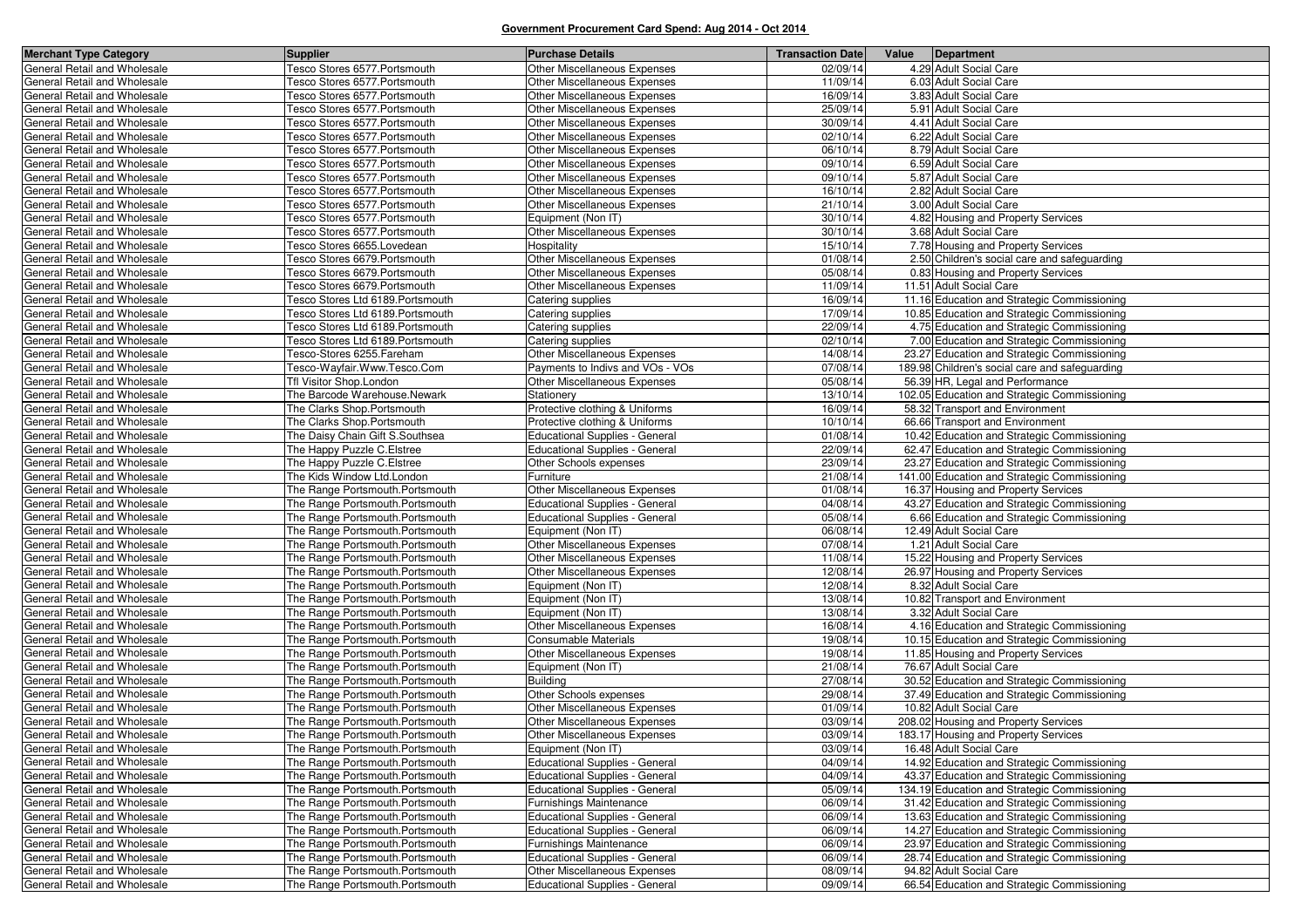| <b>Merchant Type Category</b>                                | <b>Supplier</b>                                                    | <b>Purchase Details</b>                                                        | <b>Transaction Date</b> | Value | Department                                                                                 |
|--------------------------------------------------------------|--------------------------------------------------------------------|--------------------------------------------------------------------------------|-------------------------|-------|--------------------------------------------------------------------------------------------|
| General Retail and Wholesale                                 | Tesco Stores 6577. Portsmouth                                      | Other Miscellaneous Expenses                                                   | 02/09/14                |       | 4.29 Adult Social Care                                                                     |
| General Retail and Wholesale                                 | Fesco Stores 6577.Portsmouth                                       | <b>Other Miscellaneous Expenses</b>                                            | 11/09/14                |       | 6.03 Adult Social Care                                                                     |
| General Retail and Wholesale                                 | Fesco Stores 6577.Portsmouth                                       | Other Miscellaneous Expenses                                                   | 16/09/14                |       | 3.83 Adult Social Care                                                                     |
| General Retail and Wholesale                                 | Fesco Stores 6577.Portsmouth                                       | Other Miscellaneous Expenses                                                   | 25/09/14                |       | 5.91 Adult Social Care                                                                     |
| General Retail and Wholesale                                 | Fesco Stores 6577.Portsmouth                                       | Other Miscellaneous Expenses                                                   | 30/09/14                |       | 4.41 Adult Social Care                                                                     |
| General Retail and Wholesale                                 | Fesco Stores 6577.Portsmouth                                       | Other Miscellaneous Expenses                                                   | 02/10/14                |       | 6.22 Adult Social Care                                                                     |
| General Retail and Wholesale                                 | Fesco Stores 6577.Portsmouth                                       | Other Miscellaneous Expenses                                                   | 06/10/14                |       | 8.79 Adult Social Care                                                                     |
| General Retail and Wholesale                                 | Fesco Stores 6577.Portsmouth                                       | Other Miscellaneous Expenses                                                   | 09/10/14                |       | 6.59 Adult Social Care                                                                     |
| General Retail and Wholesale                                 | Tesco Stores 6577.Portsmouth                                       | <b>Other Miscellaneous Expenses</b>                                            | 09/10/14                |       | 5.87 Adult Social Care                                                                     |
| General Retail and Wholesale                                 | Tesco Stores 6577.Portsmouth                                       | Other Miscellaneous Expenses                                                   | 16/10/14                |       | 2.82 Adult Social Care                                                                     |
| General Retail and Wholesale                                 | Fesco Stores 6577.Portsmouth                                       | Other Miscellaneous Expenses                                                   | 21/10/14                |       | 3.00 Adult Social Care                                                                     |
| General Retail and Wholesale                                 | Tesco Stores 6577.Portsmouth                                       | Equipment (Non IT)                                                             | 30/10/14                |       | 4.82 Housing and Property Services                                                         |
| General Retail and Wholesale                                 | Fesco Stores 6577.Portsmouth                                       | Other Miscellaneous Expenses                                                   | 30/10/14                |       | 3.68 Adult Social Care                                                                     |
| General Retail and Wholesale                                 | Fesco Stores 6655.Lovedean                                         | Hospitality                                                                    | 15/10/14                |       | 7.78 Housing and Property Services                                                         |
| General Retail and Wholesale                                 | esco Stores 6679. Portsmouth                                       | Other Miscellaneous Expenses                                                   | 01/08/14                |       | 2.50 Children's social care and safeguarding                                               |
| General Retail and Wholesale                                 | Fesco Stores 6679.Portsmouth                                       | Other Miscellaneous Expenses                                                   | 05/08/14                |       | 0.83 Housing and Property Services                                                         |
| General Retail and Wholesale                                 | Fesco Stores 6679.Portsmouth                                       | Other Miscellaneous Expenses                                                   | 11/09/14                |       | 11.51 Adult Social Care                                                                    |
| General Retail and Wholesale                                 | esco Stores Ltd 6189.Portsmouth                                    | Catering supplies                                                              | 16/09/14                |       | 11.16 Education and Strategic Commissioning                                                |
| General Retail and Wholesale                                 | esco Stores Ltd 6189.Portsmouth                                    | Catering supplies                                                              | 17/09/14                |       | 10.85 Education and Strategic Commissioning                                                |
| General Retail and Wholesale                                 | Fesco Stores Ltd 6189.Portsmouth                                   | Catering supplies                                                              | 22/09/14                |       | 4.75 Education and Strategic Commissioning                                                 |
| General Retail and Wholesale                                 | Fesco Stores Ltd 6189.Portsmouth                                   | Catering supplies                                                              | 02/10/14                |       | 7.00 Education and Strategic Commissioning                                                 |
| General Retail and Wholesale                                 | Tesco-Stores 6255.Fareham                                          | Other Miscellaneous Expenses                                                   | 14/08/14                |       | 23.27 Education and Strategic Commissioning                                                |
| General Retail and Wholesale                                 | Tesco-Wayfair.Www.Tesco.Com                                        | Payments to Indivs and VOs - VOs                                               | 07/08/14                |       | 189.98 Children's social care and safeguarding                                             |
| General Retail and Wholesale                                 | Tfl Visitor Shop.London                                            | Other Miscellaneous Expenses                                                   | 05/08/14                |       | 56.39 HR. Legal and Performance                                                            |
| General Retail and Wholesale                                 | The Barcode Warehouse.Newark                                       | Stationery                                                                     | 13/10/14                |       | 102.05 Education and Strategic Commissioning                                               |
| General Retail and Wholesale                                 | The Clarks Shop.Portsmouth                                         | Protective clothing & Uniforms                                                 | 16/09/14                |       | 58.32 Transport and Environment                                                            |
| General Retail and Wholesale                                 | The Clarks Shop.Portsmouth                                         | Protective clothing & Uniforms                                                 | 10/10/14                |       | 66.66 Transport and Environment                                                            |
| General Retail and Wholesale                                 | The Daisy Chain Gift S.Southsea                                    | <b>Educational Supplies - General</b>                                          | 01/08/14                |       | 10.42 Education and Strategic Commissioning                                                |
| General Retail and Wholesale                                 | The Happy Puzzle C. Elstree                                        | <b>Educational Supplies - General</b>                                          | 22/09/14                |       | 62.47 Education and Strategic Commissioning                                                |
| General Retail and Wholesale                                 | The Happy Puzzle C.Elstree                                         | Other Schools expenses                                                         | 23/09/14                |       | 23.27 Education and Strategic Commissioning                                                |
| General Retail and Wholesale                                 | The Kids Window Ltd.London                                         | Furniture                                                                      | 21/08/14                |       | 141.00 Education and Strategic Commissioning                                               |
| General Retail and Wholesale                                 | The Range Portsmouth.Portsmouth                                    | Other Miscellaneous Expenses                                                   | 01/08/14                |       | 16.37 Housing and Property Services                                                        |
| General Retail and Wholesale                                 | The Range Portsmouth.Portsmouth                                    | <b>Educational Supplies - General</b>                                          | 04/08/14                |       | 43.27 Education and Strategic Commissioning                                                |
| General Retail and Wholesale                                 | The Range Portsmouth.Portsmouth                                    | <b>Educational Supplies - General</b>                                          | 05/08/14                |       | 6.66 Education and Strategic Commissioning                                                 |
| General Retail and Wholesale                                 | The Range Portsmouth.Portsmouth                                    | Equipment (Non IT)                                                             | 06/08/14                |       | 12.49 Adult Social Care                                                                    |
| General Retail and Wholesale                                 | The Range Portsmouth.Portsmouth                                    | Other Miscellaneous Expenses                                                   | 07/08/14                |       | 1.21 Adult Social Care                                                                     |
| General Retail and Wholesale                                 | The Range Portsmouth.Portsmouth                                    | <b>Other Miscellaneous Expenses</b>                                            | 11/08/14                |       | 15.22 Housing and Property Services                                                        |
| General Retail and Wholesale                                 | The Range Portsmouth.Portsmouth                                    | Other Miscellaneous Expenses                                                   | 12/08/14                |       | 26.97 Housing and Property Services                                                        |
| General Retail and Wholesale                                 | The Range Portsmouth.Portsmouth                                    | Equipment (Non IT)                                                             | 12/08/14                |       | 8.32 Adult Social Care                                                                     |
| General Retail and Wholesale                                 | The Range Portsmouth.Portsmouth                                    | Equipment (Non IT)                                                             | 13/08/14                |       | 10.82 Transport and Environment                                                            |
| General Retail and Wholesale                                 | The Range Portsmouth.Portsmouth                                    | Equipment (Non IT)                                                             | 13/08/14                |       | 3.32 Adult Social Care                                                                     |
| General Retail and Wholesale                                 | The Range Portsmouth.Portsmouth                                    | Other Miscellaneous Expenses                                                   | 16/08/14                |       | 4.16 Education and Strategic Commissioning                                                 |
| General Retail and Wholesale                                 | The Range Portsmouth.Portsmouth                                    | Consumable Materials                                                           | 19/08/14                |       | 10.15 Education and Strategic Commissioning                                                |
| General Retail and Wholesale                                 | The Range Portsmouth.Portsmouth                                    | Other Miscellaneous Expenses                                                   | 19/08/14                |       | 11.85 Housing and Property Services                                                        |
| General Retail and Wholesale                                 | The Range Portsmouth.Portsmouth                                    | Equipment (Non IT)                                                             | 21/08/14                |       | 76.67 Adult Social Care                                                                    |
| General Retail and Wholesale                                 | The Range Portsmouth.Portsmouth                                    | <b>Building</b>                                                                | 27/08/14                |       | 30.52 Education and Strategic Commissioning<br>37.49 Education and Strategic Commissioning |
| General Retail and Wholesale<br>General Retail and Wholesale | The Range Portsmouth.Portsmouth                                    | Other Schools expenses                                                         | 29/08/14                |       |                                                                                            |
|                                                              | The Range Portsmouth.Portsmouth                                    | <b>Other Miscellaneous Expenses</b>                                            | 01/09/14                |       | 10.82 Adult Social Care<br>208.02 Housing and Property Services                            |
| General Retail and Wholesale<br>General Retail and Wholesale | The Range Portsmouth.Portsmouth<br>The Range Portsmouth.Portsmouth | <b>Other Miscellaneous Expenses</b><br><b>Other Miscellaneous Expenses</b>     | 03/09/14<br>03/09/14    |       | 183.17 Housing and Property Services                                                       |
|                                                              |                                                                    | Equipment (Non IT)                                                             |                         |       |                                                                                            |
| General Retail and Wholesale<br>General Retail and Wholesale | The Range Portsmouth.Portsmouth<br>The Range Portsmouth.Portsmouth | <b>Educational Supplies - General</b>                                          | 03/09/14<br>04/09/14    |       | 16.48 Adult Social Care<br>14.92 Education and Strategic Commissioning                     |
| General Retail and Wholesale                                 | The Range Portsmouth.Portsmouth                                    | <b>Educational Supplies - General</b>                                          | 04/09/14                |       | 43.37 Education and Strategic Commissioning                                                |
| General Retail and Wholesale                                 | The Range Portsmouth.Portsmouth                                    | <b>Educational Supplies - General</b>                                          | 05/09/14                |       | 134.19 Education and Strategic Commissioning                                               |
| General Retail and Wholesale                                 | The Range Portsmouth.Portsmouth                                    | Furnishings Maintenance                                                        | 06/09/14                |       | 31.42 Education and Strategic Commissioning                                                |
| General Retail and Wholesale                                 |                                                                    |                                                                                | 06/09/14                |       | 13.63 Education and Strategic Commissioning                                                |
| General Retail and Wholesale                                 | The Range Portsmouth.Portsmouth<br>The Range Portsmouth.Portsmouth | <b>Educational Supplies - General</b><br><b>Educational Supplies - General</b> | 06/09/14                |       | 14.27 Education and Strategic Commissioning                                                |
| General Retail and Wholesale                                 | The Range Portsmouth.Portsmouth                                    | Furnishings Maintenance                                                        | 06/09/14                |       | 23.97 Education and Strategic Commissioning                                                |
| General Retail and Wholesale                                 | The Range Portsmouth.Portsmouth                                    |                                                                                | 06/09/14                |       |                                                                                            |
| General Retail and Wholesale                                 | The Range Portsmouth.Portsmouth                                    | <b>Educational Supplies - General</b><br>Other Miscellaneous Expenses          | 08/09/14                |       | 28.74 Education and Strategic Commissioning<br>94.82 Adult Social Care                     |
| General Retail and Wholesale                                 | The Range Portsmouth.Portsmouth                                    | <b>Educational Supplies - General</b>                                          | 09/09/14                |       | 66.54 Education and Strategic Commissioning                                                |
|                                                              |                                                                    |                                                                                |                         |       |                                                                                            |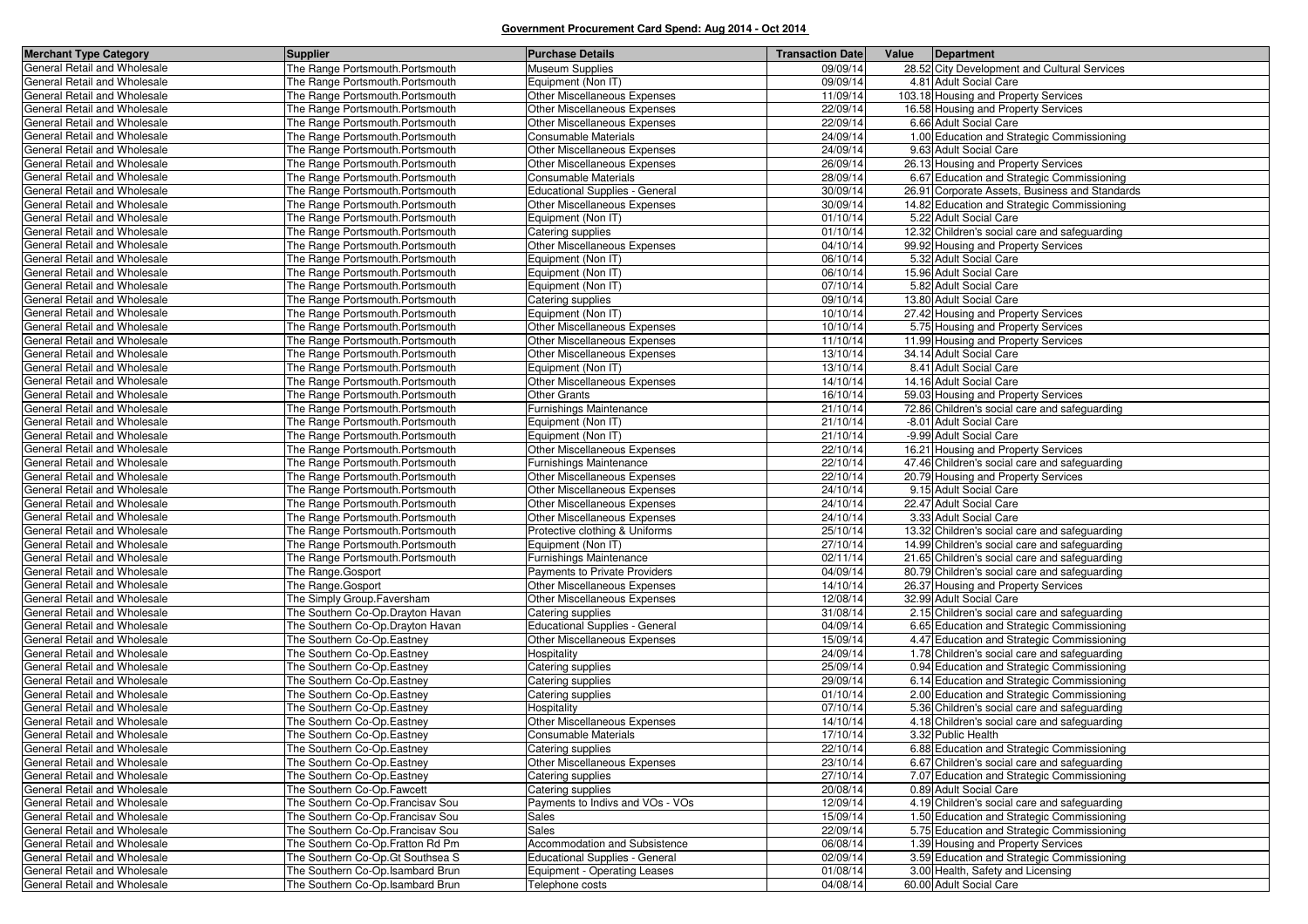| <b>Merchant Type Category</b>                                | <b>Supplier</b>                                                | <b>Purchase Details</b>                                  | <b>Transaction Datel</b> | Value<br>Department                                                                  |
|--------------------------------------------------------------|----------------------------------------------------------------|----------------------------------------------------------|--------------------------|--------------------------------------------------------------------------------------|
| General Retail and Wholesale                                 | The Range Portsmouth.Portsmouth                                | Museum Supplies                                          | 09/09/14                 | 28.52 City Development and Cultural Services                                         |
| General Retail and Wholesale                                 | The Range Portsmouth.Portsmouth                                | Equipment (Non IT)                                       | 09/09/14                 | 4.81 Adult Social Care                                                               |
| General Retail and Wholesale                                 | The Range Portsmouth.Portsmouth                                | Other Miscellaneous Expenses                             | 11/09/14                 | 103.18 Housing and Property Services                                                 |
| General Retail and Wholesale                                 | The Range Portsmouth.Portsmouth                                | <b>Other Miscellaneous Expenses</b>                      | 22/09/14                 | 16.58 Housing and Property Services                                                  |
| General Retail and Wholesale                                 | The Range Portsmouth.Portsmouth                                | Other Miscellaneous Expenses                             | 22/09/14                 | 6.66 Adult Social Care                                                               |
| General Retail and Wholesale                                 | The Range Portsmouth.Portsmouth                                | Consumable Materials                                     | 24/09/14                 | 1.00 Education and Strategic Commissioning                                           |
| General Retail and Wholesale                                 | The Range Portsmouth.Portsmouth                                | Other Miscellaneous Expenses                             | 24/09/14                 | 9.63 Adult Social Care                                                               |
| General Retail and Wholesale                                 | The Range Portsmouth.Portsmouth                                | Other Miscellaneous Expenses                             | 26/09/14                 | 26.13 Housing and Property Services                                                  |
| General Retail and Wholesale                                 | The Range Portsmouth.Portsmouth                                | <b>Consumable Materials</b>                              | 28/09/14                 | 6.67 Education and Strategic Commissioning                                           |
| General Retail and Wholesale                                 | The Range Portsmouth.Portsmouth                                | <b>Educational Supplies - General</b>                    | 30/09/14                 | 26.91 Corporate Assets, Business and Standards                                       |
| General Retail and Wholesale                                 | The Range Portsmouth.Portsmouth                                | Other Miscellaneous Expenses                             | 30/09/14                 | 14.82 Education and Strategic Commissioning                                          |
| General Retail and Wholesale                                 | The Range Portsmouth.Portsmouth                                | Equipment (Non IT)                                       | 01/10/14                 | 5.22 Adult Social Care                                                               |
| General Retail and Wholesale                                 | The Range Portsmouth.Portsmouth                                | Catering supplies                                        | 01/10/14                 | 12.32 Children's social care and safeguarding                                        |
| General Retail and Wholesale                                 | The Range Portsmouth.Portsmouth                                | Other Miscellaneous Expenses                             | 04/10/14                 | 99.92 Housing and Property Services                                                  |
| General Retail and Wholesale                                 | The Range Portsmouth.Portsmouth                                | Equipment (Non IT)                                       | 06/10/14                 | 5.32 Adult Social Care                                                               |
| General Retail and Wholesale                                 | The Range Portsmouth.Portsmouth                                | Equipment (Non IT)                                       | 06/10/14                 | 15.96 Adult Social Care                                                              |
| General Retail and Wholesale                                 | The Range Portsmouth.Portsmouth                                | Equipment (Non IT)                                       | 07/10/14                 | 5.82 Adult Social Care                                                               |
| General Retail and Wholesale                                 | The Range Portsmouth.Portsmouth                                | Catering supplies                                        | 09/10/14                 | 13.80 Adult Social Care                                                              |
| General Retail and Wholesale                                 | The Range Portsmouth.Portsmouth                                | Equipment (Non IT)                                       | 10/10/14                 | 27.42 Housing and Property Services                                                  |
| General Retail and Wholesale                                 | The Range Portsmouth.Portsmouth                                | Other Miscellaneous Expenses                             | 10/10/14                 | 5.75 Housing and Property Services                                                   |
| General Retail and Wholesale                                 | The Range Portsmouth.Portsmouth                                | <b>Other Miscellaneous Expenses</b>                      | 11/10/14                 | 11.99 Housing and Property Services                                                  |
| General Retail and Wholesale                                 | The Range Portsmouth.Portsmouth                                | Other Miscellaneous Expenses                             | 13/10/14                 | 34.14 Adult Social Care                                                              |
| General Retail and Wholesale                                 | The Range Portsmouth.Portsmouth                                | Equipment (Non IT)                                       | 13/10/14                 | 8.41 Adult Social Care                                                               |
| General Retail and Wholesale                                 | The Range Portsmouth.Portsmouth                                | Other Miscellaneous Expenses                             | 14/10/14                 | 14.16 Adult Social Care                                                              |
| General Retail and Wholesale                                 | The Range Portsmouth.Portsmouth                                | <b>Other Grants</b>                                      | 16/10/14                 | 59.03 Housing and Property Services                                                  |
| General Retail and Wholesale                                 | The Range Portsmouth.Portsmouth                                | Furnishings Maintenance                                  | 21/10/14                 | 72.86 Children's social care and safeguarding                                        |
| General Retail and Wholesale                                 | The Range Portsmouth.Portsmouth                                | Equipment (Non IT)                                       | 21/10/14                 | -8.01 Adult Social Care                                                              |
| General Retail and Wholesale                                 | The Range Portsmouth.Portsmouth                                | Equipment (Non IT)                                       | 21/10/14                 | -9.99 Adult Social Care                                                              |
| General Retail and Wholesale                                 | The Range Portsmouth.Portsmouth                                | Other Miscellaneous Expenses                             | 22/10/14                 | 16.21 Housing and Property Services                                                  |
| General Retail and Wholesale                                 | The Range Portsmouth.Portsmouth                                | <b>Furnishings Maintenance</b>                           | 22/10/14                 | 47.46 Children's social care and safeguarding                                        |
| General Retail and Wholesale                                 | The Range Portsmouth.Portsmouth                                | Other Miscellaneous Expenses                             | 22/10/14                 | 20.79 Housing and Property Services                                                  |
| General Retail and Wholesale                                 | The Range Portsmouth.Portsmouth                                | Other Miscellaneous Expenses                             | 24/10/14                 | 9.15 Adult Social Care                                                               |
| General Retail and Wholesale                                 | The Range Portsmouth.Portsmouth                                | Other Miscellaneous Expenses                             | 24/10/14                 | 22.47 Adult Social Care                                                              |
| General Retail and Wholesale                                 | The Range Portsmouth.Portsmouth                                | <b>Other Miscellaneous Expenses</b>                      | 24/10/14                 | 3.33 Adult Social Care                                                               |
| General Retail and Wholesale                                 | The Range Portsmouth.Portsmouth                                | Protective clothing & Uniforms                           | 25/10/14                 | 13.32 Children's social care and safeguarding                                        |
| General Retail and Wholesale                                 | The Range Portsmouth.Portsmouth                                | Equipment (Non IT)                                       | 27/10/14                 | 14.99 Children's social care and safeguarding                                        |
| General Retail and Wholesale                                 | The Range Portsmouth.Portsmouth                                | Furnishings Maintenance<br>Payments to Private Providers | 02/11/14<br>04/09/14     | 21.65 Children's social care and safeguarding                                        |
| General Retail and Wholesale<br>General Retail and Wholesale | The Range.Gosport<br>The Range.Gosport                         | Other Miscellaneous Expenses                             | 14/10/14                 | 80.79 Children's social care and safeguarding<br>26.37 Housing and Property Services |
|                                                              |                                                                |                                                          | 12/08/14                 | 32.99 Adult Social Care                                                              |
| General Retail and Wholesale<br>General Retail and Wholesale | The Simply Group.Faversham<br>The Southern Co-Op.Drayton Havan | Other Miscellaneous Expenses<br>Catering supplies        | 31/08/14                 | 2.15 Children's social care and safeguarding                                         |
| General Retail and Wholesale                                 | The Southern Co-Op.Drayton Havan                               | <b>Educational Supplies - General</b>                    | 04/09/14                 | 6.65 Education and Strategic Commissioning                                           |
| General Retail and Wholesale                                 | The Southern Co-Op.Eastney                                     | Other Miscellaneous Expenses                             | 15/09/14                 | 4.47 Education and Strategic Commissioning                                           |
| General Retail and Wholesale                                 | The Southern Co-Op.Eastney                                     | Hospitality                                              | 24/09/14                 | 1.78 Children's social care and safeguarding                                         |
| General Retail and Wholesale                                 | The Southern Co-Op.Eastney                                     | Catering supplies                                        | 25/09/14                 | 0.94 Education and Strategic Commissioning                                           |
| General Retail and Wholesale                                 | The Southern Co-Op.Eastney                                     | Catering supplies                                        | 29/09/14                 | 6.14 Education and Strategic Commissioning                                           |
| General Retail and Wholesale                                 | The Southern Co-Op.Eastney                                     | Catering supplies                                        | 01/10/14                 | 2.00 Education and Strategic Commissioning                                           |
| General Retail and Wholesale                                 | The Southern Co-Op.Eastney                                     | Hospitality                                              | 07/10/14                 | 5.36 Children's social care and safeguarding                                         |
| General Retail and Wholesale                                 | The Southern Co-Op.Eastney                                     | Other Miscellaneous Expenses                             | 14/10/14                 | 4.18 Children's social care and safeguarding                                         |
| General Retail and Wholesale                                 | The Southern Co-Op.Eastney                                     | Consumable Materials                                     | 17/10/14                 | 3.32 Public Health                                                                   |
| General Retail and Wholesale                                 | The Southern Co-Op. Eastney                                    | Catering supplies                                        | 22/10/14                 | 6.88 Education and Strategic Commissioning                                           |
| General Retail and Wholesale                                 | The Southern Co-Op.Eastney                                     | Other Miscellaneous Expenses                             | 23/10/14                 | 6.67 Children's social care and safeguarding                                         |
| General Retail and Wholesale                                 | The Southern Co-Op.Eastney                                     | Catering supplies                                        | 27/10/14                 | 7.07 Education and Strategic Commissioning                                           |
| General Retail and Wholesale                                 | The Southern Co-Op.Fawcett                                     | Catering supplies                                        | 20/08/14                 | 0.89 Adult Social Care                                                               |
| General Retail and Wholesale                                 | The Southern Co-Op. Francisav Sou                              | Payments to Indivs and VOs - VOs                         | 12/09/14                 | 4.19 Children's social care and safeguarding                                         |
| General Retail and Wholesale                                 | The Southern Co-Op.Francisav Sou                               | Sales                                                    | 15/09/14                 | 1.50 Education and Strategic Commissioning                                           |
| General Retail and Wholesale                                 | The Southern Co-Op.Francisav Sou                               | <b>Sales</b>                                             | 22/09/14                 | 5.75 Education and Strategic Commissioning                                           |
| General Retail and Wholesale                                 | The Southern Co-Op. Fratton Rd Pm                              | Accommodation and Subsistence                            | 06/08/14                 | 1.39 Housing and Property Services                                                   |
| General Retail and Wholesale                                 | The Southern Co-Op.Gt Southsea S                               | <b>Educational Supplies - General</b>                    | 02/09/14                 | 3.59 Education and Strategic Commissioning                                           |
| General Retail and Wholesale                                 | The Southern Co-Op.Isambard Brun                               | Equipment - Operating Leases                             | 01/08/14                 | 3.00 Health, Safety and Licensing                                                    |
| General Retail and Wholesale                                 | The Southern Co-Op.Isambard Brun                               | Telephone costs                                          | 04/08/14                 | 60.00 Adult Social Care                                                              |
|                                                              |                                                                |                                                          |                          |                                                                                      |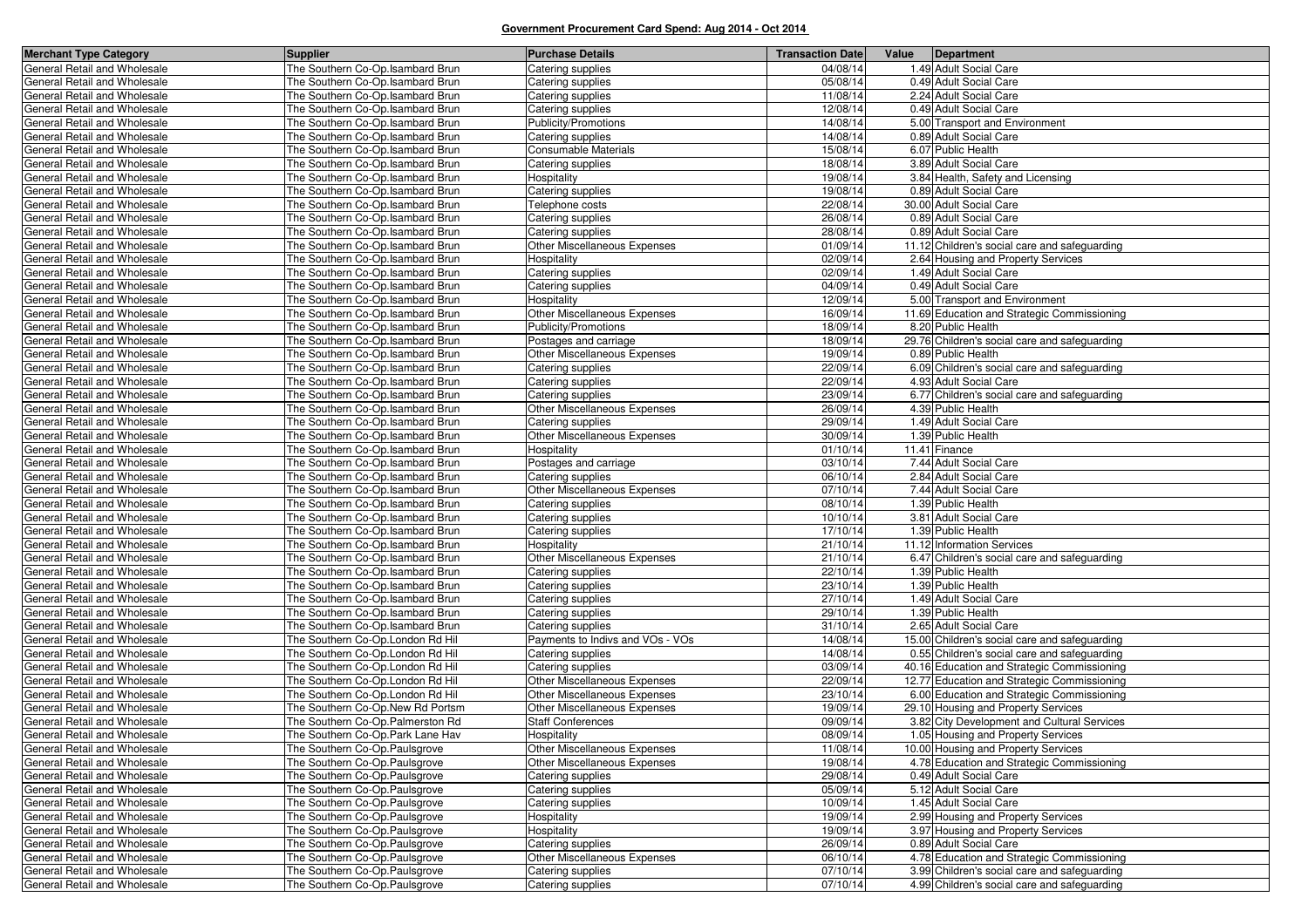| <b>Merchant Type Category</b>                                | <b>Supplier</b>                                                      | <b>Purchase Details</b>              | <b>Transaction Date</b> | Value Department                              |
|--------------------------------------------------------------|----------------------------------------------------------------------|--------------------------------------|-------------------------|-----------------------------------------------|
| General Retail and Wholesale                                 | The Southern Co-Op.Isambard Brun                                     | Catering supplies                    | 04/08/14                | 1.49 Adult Social Care                        |
| General Retail and Wholesale                                 | The Southern Co-Op.Isambard Brun                                     | Catering supplies                    | 05/08/14                | 0.49 Adult Social Care                        |
| General Retail and Wholesale                                 | The Southern Co-Op.Isambard Brun                                     | Catering supplies                    | 11/08/14                | 2.24 Adult Social Care                        |
| General Retail and Wholesale                                 | The Southern Co-Op.Isambard Brun                                     | Catering supplies                    | 12/08/14                | 0.49 Adult Social Care                        |
| General Retail and Wholesale                                 | The Southern Co-Op.Isambard Brun                                     | Publicity/Promotions                 | 14/08/14                | 5.00 Transport and Environment                |
| General Retail and Wholesale                                 | The Southern Co-Op.Isambard Brun                                     | Catering supplies                    | 14/08/14                | 0.89 Adult Social Care                        |
| General Retail and Wholesale                                 | The Southern Co-Op.Isambard Brun                                     | Consumable Materials                 | 15/08/14                | 6.07 Public Health                            |
| General Retail and Wholesale                                 | The Southern Co-Op.Isambard Brun                                     | Catering supplies                    | 18/08/14                | 3.89 Adult Social Care                        |
| General Retail and Wholesale                                 | The Southern Co-Op.Isambard Brun                                     | Hospitality                          | 19/08/14                | 3.84 Health, Safety and Licensing             |
| General Retail and Wholesale                                 | The Southern Co-Op.Isambard Brun                                     | Catering supplies                    | 19/08/14                | 0.89 Adult Social Care                        |
| General Retail and Wholesale                                 | The Southern Co-Op.Isambard Brun                                     | <b>Telephone costs</b>               | 22/08/14                | 30.00 Adult Social Care                       |
| General Retail and Wholesale                                 | The Southern Co-Op.Isambard Brun                                     | Catering supplies                    | 26/08/14                | 0.89 Adult Social Care                        |
| General Retail and Wholesale                                 | The Southern Co-Op.Isambard Brun                                     | Catering supplies                    | 28/08/14                | 0.89 Adult Social Care                        |
| General Retail and Wholesale                                 | The Southern Co-Op.Isambard Brun                                     | Other Miscellaneous Expenses         | 01/09/14                | 11.12 Children's social care and safeguarding |
| General Retail and Wholesale                                 | The Southern Co-Op.Isambard Brun                                     | Hospitality                          | 02/09/14                | 2.64 Housing and Property Services            |
| General Retail and Wholesale                                 | The Southern Co-Op.Isambard Brun                                     | Catering supplies                    | 02/09/14                | 1.49 Adult Social Care                        |
| General Retail and Wholesale                                 | The Southern Co-Op.Isambard Brun                                     | Catering supplies                    | 04/09/14                | 0.49 Adult Social Care                        |
| General Retail and Wholesale                                 | The Southern Co-Op.Isambard Brun                                     | Hospitality                          | 12/09/14                | 5.00 Transport and Environment                |
| General Retail and Wholesale                                 | The Southern Co-Op. Isambard Brun                                    | Other Miscellaneous Expenses         | 16/09/14                | 11.69 Education and Strategic Commissioning   |
| General Retail and Wholesale                                 | The Southern Co-Op.Isambard Brun                                     | Publicity/Promotions                 | 18/09/14                | 8.20 Public Health                            |
| General Retail and Wholesale                                 | The Southern Co-Op.Isambard Brun                                     | Postages and carriage                | 18/09/14                | 29.76 Children's social care and safeguarding |
| General Retail and Wholesale                                 | The Southern Co-Op.Isambard Brun                                     | Other Miscellaneous Expenses         | 19/09/14                | 0.89 Public Health                            |
| General Retail and Wholesale                                 | The Southern Co-Op.Isambard Brun                                     | Catering supplies                    | 22/09/14                | 6.09 Children's social care and safeguarding  |
| General Retail and Wholesale                                 | The Southern Co-Op.Isambard Brun                                     | Catering supplies                    | 22/09/14                | 4.93 Adult Social Care                        |
| General Retail and Wholesale                                 | The Southern Co-Op.Isambard Brun                                     | Catering supplies                    | 23/09/14                | 6.77 Children's social care and safeguarding  |
| General Retail and Wholesale                                 | The Southern Co-Op.Isambard Brun                                     | Other Miscellaneous Expenses         | 26/09/14                | 4.39 Public Health                            |
| General Retail and Wholesale                                 | The Southern Co-Op.Isambard Brun<br>The Southern Co-Op.Isambard Brun | Catering supplies                    | 29/09/14                | 1.49 Adult Social Care                        |
| General Retail and Wholesale                                 | The Southern Co-Op.Isambard Brun                                     | Other Miscellaneous Expenses         | 30/09/14                | 1.39 Public Health<br>11.41 Finance           |
| General Retail and Wholesale<br>General Retail and Wholesale | The Southern Co-Op.Isambard Brun                                     | Hospitality<br>Postages and carriage | 01/10/14<br>03/10/14    | 7.44 Adult Social Care                        |
| General Retail and Wholesale                                 | The Southern Co-Op.Isambard Brun                                     | Catering supplies                    | 06/10/14                | 2.84 Adult Social Care                        |
| General Retail and Wholesale                                 | The Southern Co-Op.Isambard Brun                                     | Other Miscellaneous Expenses         | 07/10/14                | 7.44 Adult Social Care                        |
| General Retail and Wholesale                                 | The Southern Co-Op.Isambard Brun                                     | Catering supplies                    | 08/10/14                | 1.39 Public Health                            |
| General Retail and Wholesale                                 | The Southern Co-Op.Isambard Brun                                     | Catering supplies                    | 10/10/14                | 3.81 Adult Social Care                        |
| General Retail and Wholesale                                 | The Southern Co-Op.Isambard Brun                                     | Catering supplies                    | 17/10/14                | 1.39 Public Health                            |
| General Retail and Wholesale                                 | The Southern Co-Op. Isambard Brun                                    | Hospitality                          | 21/10/14                | 11.12 Information Services                    |
| General Retail and Wholesale                                 | The Southern Co-Op.Isambard Brun                                     | <b>Other Miscellaneous Expenses</b>  | 21/10/14                | 6.47 Children's social care and safeguarding  |
| General Retail and Wholesale                                 | The Southern Co-Op. Isambard Brun                                    | Catering supplies                    | 22/10/14                | 1.39 Public Health                            |
| General Retail and Wholesale                                 | The Southern Co-Op. Isambard Brun                                    | Catering supplies                    | 23/10/14                | 1.39 Public Health                            |
| General Retail and Wholesale                                 | The Southern Co-Op.Isambard Brun                                     | Catering supplies                    | 27/10/14                | 1.49 Adult Social Care                        |
| General Retail and Wholesale                                 | The Southern Co-Op.Isambard Brun                                     | Catering supplies                    | 29/10/14                | 1.39 Public Health                            |
| General Retail and Wholesale                                 | The Southern Co-Op.Isambard Brun                                     | Catering supplies                    | 31/10/14                | 2.65 Adult Social Care                        |
| General Retail and Wholesale                                 | The Southern Co-Op.London Rd Hil                                     | Payments to Indivs and VOs - VOs     | 14/08/14                | 15.00 Children's social care and safeguarding |
| General Retail and Wholesale                                 | The Southern Co-Op.London Rd Hil                                     | Catering supplies                    | 14/08/14                | 0.55 Children's social care and safeguarding  |
| General Retail and Wholesale                                 | The Southern Co-Op.London Rd Hil                                     | Catering supplies                    | 03/09/14                | 40.16 Education and Strategic Commissioning   |
| General Retail and Wholesale                                 | The Southern Co-Op.London Rd Hil                                     | Other Miscellaneous Expenses         | 22/09/14                | 12.77 Education and Strategic Commissioning   |
| General Retail and Wholesale                                 | The Southern Co-Op. London Rd Hil                                    | Other Miscellaneous Expenses         | 23/10/14                | 6.00 Education and Strategic Commissioning    |
| General Retail and Wholesale                                 | The Southern Co-Op.New Rd Portsm                                     | Other Miscellaneous Expenses         | 19/09/14                | 29.10 Housing and Property Services           |
| General Retail and Wholesale                                 | The Southern Co-Op.Palmerston Rd                                     | Staff Conferences                    | 09/09/14                | 3.82 City Development and Cultural Services   |
| General Retail and Wholesale                                 | The Southern Co-Op. Park Lane Hav                                    | Hospitality                          | 08/09/14                | 1.05 Housing and Property Services            |
| General Retail and Wholesale                                 | The Southern Co-Op. Paulsgrove                                       | Other Miscellaneous Expenses         | 11/08/14                | 10.00 Housing and Property Services           |
| General Retail and Wholesale                                 | The Southern Co-Op.Paulsgrove                                        | Other Miscellaneous Expenses         | 19/08/14                | 4.78 Education and Strategic Commissioning    |
| General Retail and Wholesale                                 | The Southern Co-Op. Paulsgrove                                       | Catering supplies                    | 29/08/14                | 0.49 Adult Social Care                        |
| General Retail and Wholesale                                 | The Southern Co-Op. Paulsgrove                                       | Catering supplies                    | 05/09/14                | 5.12 Adult Social Care                        |
| General Retail and Wholesale                                 | The Southern Co-Op. Paulsgrove                                       | Catering supplies                    | 10/09/14                | 1.45 Adult Social Care                        |
| General Retail and Wholesale                                 | The Southern Co-Op. Paulsgrove                                       | Hospitality                          | 19/09/14                | 2.99 Housing and Property Services            |
| General Retail and Wholesale                                 | The Southern Co-Op.Paulsgrove                                        | Hospitality                          | 19/09/14                | 3.97 Housing and Property Services            |
| General Retail and Wholesale                                 | The Southern Co-Op.Paulsgrove                                        | Catering supplies                    | 26/09/14                | 0.89 Adult Social Care                        |
| General Retail and Wholesale                                 | The Southern Co-Op.Paulsgrove                                        | <b>Other Miscellaneous Expenses</b>  | 06/10/14                | 4.78 Education and Strategic Commissioning    |
| General Retail and Wholesale                                 | The Southern Co-Op. Paulsgrove                                       | Catering supplies                    | 07/10/14                | 3.99 Children's social care and safeguarding  |
| General Retail and Wholesale                                 | The Southern Co-Op.Paulsgrove                                        | Catering supplies                    | 07/10/14                | 4.99 Children's social care and safeguarding  |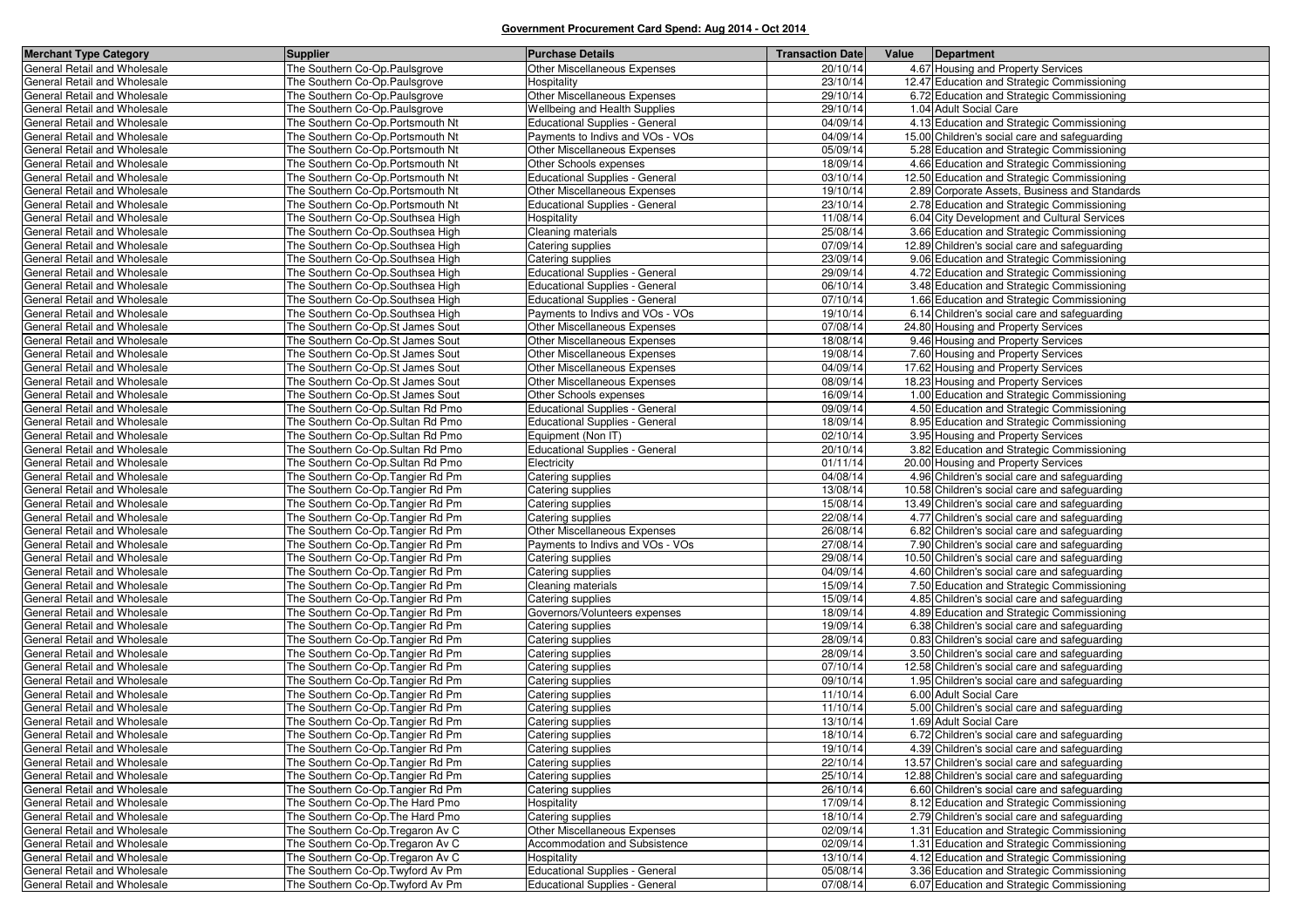| <b>Merchant Type Category</b>                                | <b>Supplier</b>                                                       | <b>Purchase Details</b>                            | <b>Transaction Date</b> | Value | Department                                                                                 |
|--------------------------------------------------------------|-----------------------------------------------------------------------|----------------------------------------------------|-------------------------|-------|--------------------------------------------------------------------------------------------|
| General Retail and Wholesale                                 | The Southern Co-Op.Paulsgrove                                         | Other Miscellaneous Expenses                       | 20/10/14                |       | 4.67 Housing and Property Services                                                         |
| General Retail and Wholesale                                 | The Southern Co-Op.Paulsgrove                                         | Hospitality                                        | 23/10/14                |       | 12.47 Education and Strategic Commissioning                                                |
| General Retail and Wholesale                                 | The Southern Co-Op.Paulsgrove                                         | Other Miscellaneous Expenses                       | 29/10/14                |       | 6.72 Education and Strategic Commissioning                                                 |
| General Retail and Wholesale                                 | The Southern Co-Op.Paulsgrove                                         | <b>Wellbeing and Health Supplies</b>               | 29/10/14                |       | 1.04 Adult Social Care                                                                     |
| General Retail and Wholesale                                 | The Southern Co-Op.Portsmouth Nt                                      | <b>Educational Supplies - General</b>              | 04/09/14                |       | 4.13 Education and Strategic Commissioning                                                 |
| General Retail and Wholesale                                 | The Southern Co-Op.Portsmouth Nt                                      | Payments to Indivs and VOs - VOs                   | 04/09/14                |       | 15.00 Children's social care and safeguarding                                              |
| General Retail and Wholesale                                 | The Southern Co-Op. Portsmouth Nt                                     | Other Miscellaneous Expenses                       | 05/09/14                |       | 5.28 Education and Strategic Commissioning                                                 |
| General Retail and Wholesale                                 | The Southern Co-Op.Portsmouth Nt                                      | Other Schools expenses                             | 18/09/14                |       | 4.66 Education and Strategic Commissioning                                                 |
| General Retail and Wholesale                                 | The Southern Co-Op.Portsmouth Nt                                      | <b>Educational Supplies - General</b>              | 03/10/14                |       | 12.50 Education and Strategic Commissioning                                                |
| General Retail and Wholesale                                 | The Southern Co-Op.Portsmouth Nt                                      | Other Miscellaneous Expenses                       | 19/10/14                |       | 2.89 Corporate Assets, Business and Standards                                              |
| General Retail and Wholesale                                 | The Southern Co-Op.Portsmouth Nt                                      | <b>Educational Supplies - General</b>              | 23/10/14                |       | 2.78 Education and Strategic Commissioning                                                 |
| General Retail and Wholesale                                 | The Southern Co-Op.Southsea High                                      | Hospitality                                        | 11/08/14                |       | 6.04 City Development and Cultural Services                                                |
| General Retail and Wholesale                                 | The Southern Co-Op.Southsea High                                      | Cleaning materials                                 | 25/08/14                |       | 3.66 Education and Strategic Commissioning                                                 |
| General Retail and Wholesale                                 | The Southern Co-Op.Southsea High                                      | Catering supplies                                  | 07/09/14                |       | 12.89 Children's social care and safeguarding                                              |
| General Retail and Wholesale                                 | The Southern Co-Op.Southsea High                                      | Catering supplies                                  | 23/09/14                |       | 9.06 Education and Strategic Commissioning                                                 |
| General Retail and Wholesale                                 | The Southern Co-Op.Southsea High                                      | <b>Educational Supplies - General</b>              | 29/09/14                |       | 4.72 Education and Strategic Commissioning                                                 |
| General Retail and Wholesale                                 | The Southern Co-Op.Southsea High                                      | <b>Educational Supplies - General</b>              | 06/10/14                |       | 3.48 Education and Strategic Commissioning                                                 |
| General Retail and Wholesale                                 | The Southern Co-Op.Southsea High                                      | <b>Educational Supplies - General</b>              | 07/10/14                |       | 1.66 Education and Strategic Commissioning                                                 |
| General Retail and Wholesale                                 | The Southern Co-Op.Southsea High                                      | Payments to Indivs and VOs - VOs                   | 19/10/14                |       | 6.14 Children's social care and safeguarding                                               |
| General Retail and Wholesale                                 | The Southern Co-Op.St James Sout                                      | <b>Other Miscellaneous Expenses</b>                | 07/08/14                |       | 24.80 Housing and Property Services                                                        |
| General Retail and Wholesale                                 | The Southern Co-Op.St James Sout                                      | <b>Other Miscellaneous Expenses</b>                | 18/08/14                |       | 9.46 Housing and Property Services                                                         |
| General Retail and Wholesale                                 | The Southern Co-Op.St James Sout                                      | Other Miscellaneous Expenses                       | 19/08/14                |       | 7.60 Housing and Property Services                                                         |
| General Retail and Wholesale                                 | The Southern Co-Op.St James Sout                                      | Other Miscellaneous Expenses                       | 04/09/14                |       | 17.62 Housing and Property Services                                                        |
| General Retail and Wholesale                                 | The Southern Co-Op.St James Sout                                      | Other Miscellaneous Expenses                       | 08/09/14                |       | 18.23 Housing and Property Services                                                        |
| General Retail and Wholesale                                 | The Southern Co-Op.St James Sout                                      | Other Schools expenses                             | 16/09/14                |       | 1.00 Education and Strategic Commissioning                                                 |
| General Retail and Wholesale                                 | The Southern Co-Op.Sultan Rd Pmo                                      | <b>Educational Supplies - General</b>              | 09/09/14                |       | 4.50 Education and Strategic Commissioning                                                 |
| General Retail and Wholesale                                 | The Southern Co-Op.Sultan Rd Pmo                                      | <b>Educational Supplies - General</b>              | 18/09/14                |       | 8.95 Education and Strategic Commissioning                                                 |
| General Retail and Wholesale                                 | The Southern Co-Op.Sultan Rd Pmo                                      | Equipment (Non IT)                                 | 02/10/14                |       | 3.95 Housing and Property Services                                                         |
| General Retail and Wholesale                                 | The Southern Co-Op.Sultan Rd Pmo                                      | <b>Educational Supplies - General</b>              | 20/10/14                |       | 3.82 Education and Strategic Commissioning                                                 |
| General Retail and Wholesale                                 | The Southern Co-Op.Sultan Rd Pmo                                      | Electricity                                        | 01/11/14                |       | 20.00 Housing and Property Services                                                        |
| General Retail and Wholesale                                 | The Southern Co-Op.Tangier Rd Pm                                      | Catering supplies                                  | 04/08/14                |       | 4.96 Children's social care and safeguarding                                               |
| General Retail and Wholesale                                 | The Southern Co-Op. Tangier Rd Pm                                     | Catering supplies                                  | 13/08/14                |       | 10.58 Children's social care and safeguarding                                              |
| General Retail and Wholesale                                 | The Southern Co-Op. Tangier Rd Pm                                     | Catering supplies                                  | 15/08/14                |       | 13.49 Children's social care and safeguarding                                              |
| General Retail and Wholesale                                 | The Southern Co-Op. Tangier Rd Pm                                     | Catering supplies                                  | 22/08/14                |       | 4.77 Children's social care and safeguarding                                               |
| General Retail and Wholesale                                 | The Southern Co-Op.Tangier Rd Pm                                      | Other Miscellaneous Expenses                       | 26/08/14                |       | 6.82 Children's social care and safeguarding                                               |
| General Retail and Wholesale                                 | The Southern Co-Op.Tangier Rd Pm                                      | Payments to Indivs and VOs - VOs                   | 27/08/14<br>29/08/14    |       | 7.90 Children's social care and safeguarding                                               |
| General Retail and Wholesale<br>General Retail and Wholesale | The Southern Co-Op. Tangier Rd Pm                                     | Catering supplies                                  | 04/09/14                |       | 10.50 Children's social care and safeguarding                                              |
| General Retail and Wholesale                                 | The Southern Co-Op.Tangier Rd Pm<br>The Southern Co-Op. Tangier Rd Pm | Catering supplies                                  | 15/09/14                |       | 4.60 Children's social care and safeguarding                                               |
| General Retail and Wholesale                                 | The Southern Co-Op. Tangier Rd Pm                                     | Cleaning materials                                 | 15/09/14                |       | 7.50 Education and Strategic Commissioning<br>4.85 Children's social care and safeguarding |
| General Retail and Wholesale                                 | The Southern Co-Op.Tangier Rd Pm                                      | Catering supplies<br>Governors/Volunteers expenses | 18/09/14                |       | 4.89 Education and Strategic Commissioning                                                 |
| General Retail and Wholesale                                 | The Southern Co-Op.Tangier Rd Pm                                      | Catering supplies                                  | 19/09/14                |       | 6.38 Children's social care and safeguarding                                               |
| General Retail and Wholesale                                 | The Southern Co-Op. Tangier Rd Pm                                     | Catering supplies                                  | 28/09/14                |       | 0.83 Children's social care and safeguarding                                               |
| General Retail and Wholesale                                 | The Southern Co-Op.Tangier Rd Pm                                      | Catering supplies                                  | 28/09/14                |       | 3.50 Children's social care and safeguarding                                               |
| General Retail and Wholesale                                 | The Southern Co-Op. Tangier Rd Pm                                     | Catering supplies                                  | 07/10/14                |       | 12.58 Children's social care and safeguarding                                              |
| General Retail and Wholesale                                 | The Southern Co-Op. Tangier Rd Pm                                     | Catering supplies                                  | 09/10/14                |       | 1.95 Children's social care and safeguarding                                               |
| General Retail and Wholesale                                 | The Southern Co-Op.Tangier Rd Pm                                      | Catering supplies                                  | 11/10/14                |       | 6.00 Adult Social Care                                                                     |
| General Retail and Wholesale                                 | The Southern Co-Op.Tangier Rd Pm                                      | Catering supplies                                  | 11/10/14                |       | 5.00 Children's social care and safeguarding                                               |
| General Retail and Wholesale                                 | The Southern Co-Op.Tangier Rd Pm                                      | Catering supplies                                  | 13/10/14                |       | 1.69 Adult Social Care                                                                     |
| General Retail and Wholesale                                 | The Southern Co-Op. Tangier Rd Pm                                     | Catering supplies                                  | 18/10/14                |       | 6.72 Children's social care and safeguarding                                               |
| General Retail and Wholesale                                 | The Southern Co-Op. Tangier Rd Pm                                     | Catering supplies                                  | 19/10/14                |       | 4.39 Children's social care and safeguarding                                               |
| General Retail and Wholesale                                 | The Southern Co-Op. Tangier Rd Pm                                     | Catering supplies                                  | 22/10/14                |       | 13.57 Children's social care and safeguarding                                              |
| General Retail and Wholesale                                 | The Southern Co-Op. Tangier Rd Pm                                     | Catering supplies                                  | 25/10/14                |       | 12.88 Children's social care and safeguarding                                              |
| General Retail and Wholesale                                 | The Southern Co-Op. Tangier Rd Pm                                     | Catering supplies                                  | 26/10/14                |       | 6.60 Children's social care and safeguarding                                               |
| General Retail and Wholesale                                 | The Southern Co-Op. The Hard Pmo                                      | Hospitality                                        | 17/09/14                |       | 8.12 Education and Strategic Commissioning                                                 |
| General Retail and Wholesale                                 | The Southern Co-Op. The Hard Pmo                                      | Catering supplies                                  | $18/10/\overline{14}$   |       | 2.79 Children's social care and safeguarding                                               |
| General Retail and Wholesale                                 | The Southern Co-Op. Tregaron Av C                                     | Other Miscellaneous Expenses                       | 02/09/14                |       | 1.31 Education and Strategic Commissioning                                                 |
| General Retail and Wholesale                                 | The Southern Co-Op. Tregaron Av C                                     | Accommodation and Subsistence                      | 02/09/14                |       | 1.31 Education and Strategic Commissioning                                                 |
| General Retail and Wholesale                                 | The Southern Co-Op. Tregaron Av C                                     | Hospitality                                        | 13/10/14                |       | 4.12 Education and Strategic Commissioning                                                 |
| General Retail and Wholesale                                 | The Southern Co-Op. Twyford Av Pm                                     | <b>Educational Supplies - General</b>              | 05/08/14                |       | 3.36 Education and Strategic Commissioning                                                 |
| General Retail and Wholesale                                 | The Southern Co-Op. Twyford Av Pm                                     | <b>Educational Supplies - General</b>              | 07/08/14                |       | 6.07 Education and Strategic Commissioning                                                 |
|                                                              |                                                                       |                                                    |                         |       |                                                                                            |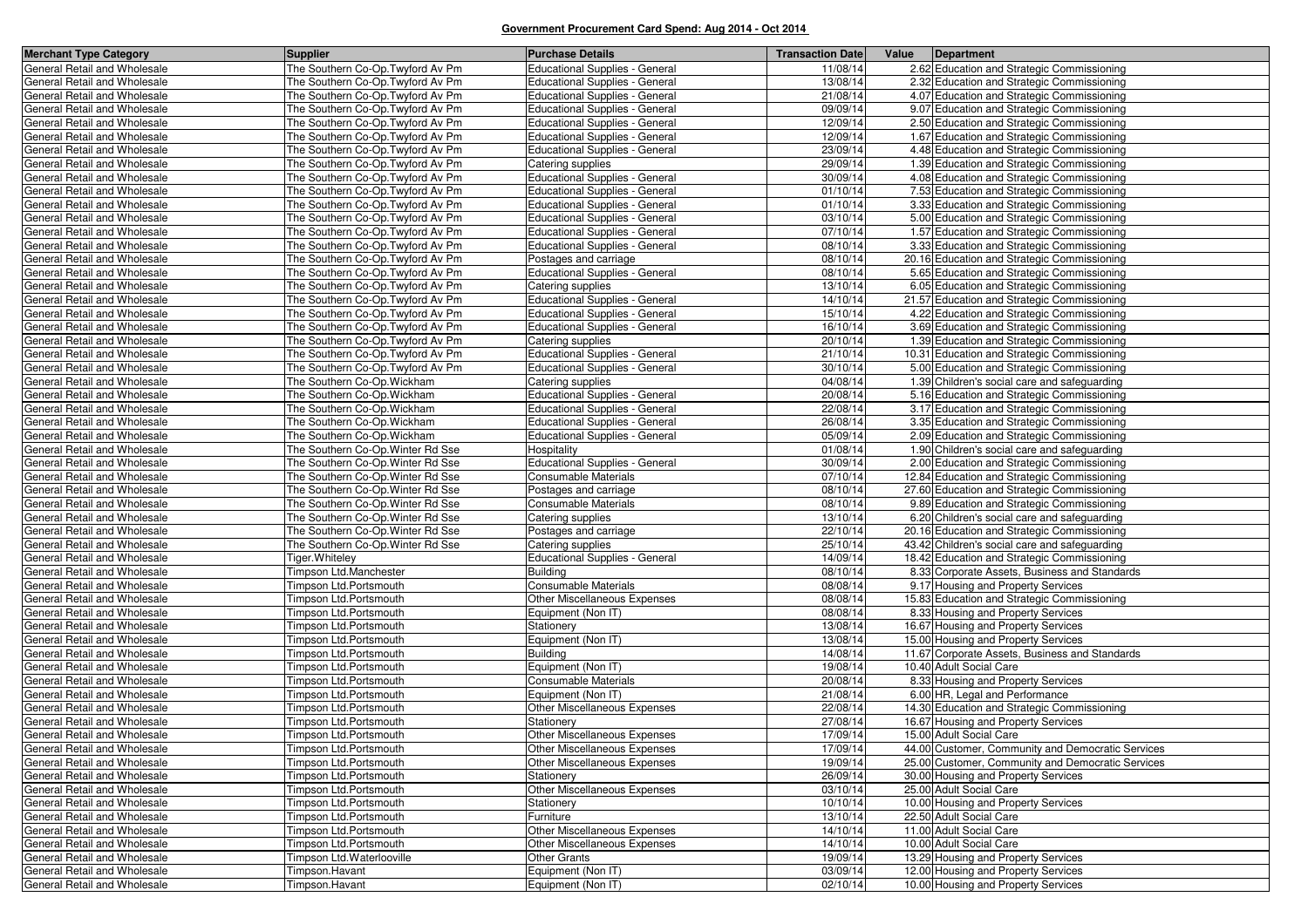| <b>Merchant Type Category</b>                                | Supplier                                                | <b>Purchase Details</b>                                  | <b>Transaction Date</b> | Value | Department                                                                          |
|--------------------------------------------------------------|---------------------------------------------------------|----------------------------------------------------------|-------------------------|-------|-------------------------------------------------------------------------------------|
| General Retail and Wholesale                                 | The Southern Co-Op. Twyford Av Pm                       | Educational Supplies - General                           | 11/08/14                |       | 2.62 Education and Strategic Commissioning                                          |
| General Retail and Wholesale                                 | The Southern Co-Op. Twyford Av Pm                       | <b>Educational Supplies - General</b>                    | 13/08/14                |       | 2.32 Education and Strategic Commissioning                                          |
| General Retail and Wholesale                                 | The Southern Co-Op. Twyford Av Pm                       | <b>Educational Supplies - General</b>                    | 21/08/14                |       | 4.07 Education and Strategic Commissioning                                          |
| General Retail and Wholesale                                 | The Southern Co-Op. Twyford Av Pm                       | <b>Educational Supplies - General</b>                    | 09/09/14                |       | 9.07 Education and Strategic Commissioning                                          |
| General Retail and Wholesale                                 | The Southern Co-Op. Twyford Av Pm                       | <b>Educational Supplies - General</b>                    | 12/09/14                |       | 2.50 Education and Strategic Commissioning                                          |
| General Retail and Wholesale                                 | The Southern Co-Op. Twyford Av Pm                       | <b>Educational Supplies - General</b>                    | 12/09/14                |       | 1.67 Education and Strategic Commissioning                                          |
| General Retail and Wholesale                                 | The Southern Co-Op. Twyford Av Pm                       | <b>Educational Supplies - General</b>                    | 23/09/14                |       | 4.48 Education and Strategic Commissioning                                          |
| General Retail and Wholesale                                 | The Southern Co-Op. Twyford Av Pm                       | Catering supplies                                        | 29/09/14                |       | 1.39 Education and Strategic Commissioning                                          |
| General Retail and Wholesale                                 | The Southern Co-Op. Twyford Av Pm                       | <b>Educational Supplies - General</b>                    | 30/09/14                |       | 4.08 Education and Strategic Commissioning                                          |
| General Retail and Wholesale                                 | The Southern Co-Op. Twyford Av Pm                       | <b>Educational Supplies - General</b>                    | 01/10/14                |       | 7.53 Education and Strategic Commissioning                                          |
| General Retail and Wholesale                                 | The Southern Co-Op. Twyford Av Pm                       | <b>Educational Supplies - General</b>                    | 01/10/14                |       | 3.33 Education and Strategic Commissioning                                          |
| General Retail and Wholesale                                 | The Southern Co-Op. Twyford Av Pm                       | <b>Educational Supplies - General</b>                    | 03/10/14                |       | 5.00 Education and Strategic Commissioning                                          |
| General Retail and Wholesale                                 | The Southern Co-Op. Twyford Av Pm                       | <b>Educational Supplies - General</b>                    | 07/10/14                |       | 1.57 Education and Strategic Commissioning                                          |
| General Retail and Wholesale                                 | The Southern Co-Op. Twyford Av Pm                       | Educational Supplies - General                           | 08/10/14                |       | 3.33 Education and Strategic Commissioning                                          |
| General Retail and Wholesale                                 | The Southern Co-Op. Twyford Av Pm                       | Postages and carriage                                    | 08/10/14                |       | 20.16 Education and Strategic Commissioning                                         |
| General Retail and Wholesale                                 | The Southern Co-Op. Twyford Av Pm                       | <b>Educational Supplies - General</b>                    | 08/10/14                |       | 5.65 Education and Strategic Commissioning                                          |
| General Retail and Wholesale                                 | The Southern Co-Op. Twyford Av Pm                       | Catering supplies                                        | 13/10/14                |       | 6.05 Education and Strategic Commissioning                                          |
| General Retail and Wholesale                                 | The Southern Co-Op. Twyford Av Pm                       | <b>Educational Supplies - General</b>                    | 14/10/14                |       | 21.57 Education and Strategic Commissioning                                         |
| General Retail and Wholesale                                 | The Southern Co-Op. Twyford Av Pm                       | <b>Educational Supplies - General</b>                    | 15/10/14                |       | 4.22 Education and Strategic Commissioning                                          |
| General Retail and Wholesale                                 | The Southern Co-Op. Twyford Av Pm                       | <b>Educational Supplies - General</b>                    | 16/10/14                |       | 3.69 Education and Strategic Commissioning                                          |
| General Retail and Wholesale                                 | The Southern Co-Op. Twyford Av Pm                       | Catering supplies                                        | 20/10/14                |       | 1.39 Education and Strategic Commissioning                                          |
| General Retail and Wholesale                                 | The Southern Co-Op. Twyford Av Pm                       | <b>Educational Supplies - General</b>                    | 21/10/14                |       | 10.31 Education and Strategic Commissioning                                         |
| General Retail and Wholesale                                 | The Southern Co-Op. Twyford Av Pm                       | <b>Educational Supplies - General</b>                    | 30/10/14                |       | 5.00 Education and Strategic Commissioning                                          |
| General Retail and Wholesale                                 | The Southern Co-Op. Wickham                             | Catering supplies                                        | 04/08/14                |       | 1.39 Children's social care and safeguarding                                        |
| General Retail and Wholesale                                 | The Southern Co-Op. Wickham                             | <b>Educational Supplies - General</b>                    | 20/08/14                |       | 5.16 Education and Strategic Commissioning                                          |
| General Retail and Wholesale                                 | The Southern Co-Op. Wickham                             | <b>Educational Supplies - General</b>                    | 22/08/14                |       | 3.17 Education and Strategic Commissioning                                          |
| General Retail and Wholesale                                 | The Southern Co-Op. Wickham                             | <b>Educational Supplies - General</b>                    | 26/08/14                |       | 3.35 Education and Strategic Commissioning                                          |
| General Retail and Wholesale                                 | The Southern Co-Op. Wickham                             | <b>Educational Supplies - General</b>                    | 05/09/14                |       | 2.09 Education and Strategic Commissioning                                          |
| General Retail and Wholesale                                 | The Southern Co-Op. Winter Rd Sse                       | Hospitality                                              | 01/08/14                |       | 1.90 Children's social care and safeguarding                                        |
| General Retail and Wholesale                                 | The Southern Co-Op. Winter Rd Sse                       | <b>Educational Supplies - General</b>                    | 30/09/14                |       | 2.00 Education and Strategic Commissioning                                          |
| General Retail and Wholesale                                 | The Southern Co-Op. Winter Rd Sse                       | <b>Consumable Materials</b>                              | 07/10/14                |       | 12.84 Education and Strategic Commissioning                                         |
| General Retail and Wholesale                                 | The Southern Co-Op. Winter Rd Sse                       | Postages and carriage                                    | 08/10/14                |       | 27.60 Education and Strategic Commissioning                                         |
| General Retail and Wholesale                                 | The Southern Co-Op. Winter Rd Sse                       | Consumable Materials                                     | 08/10/14                |       | 9.89 Education and Strategic Commissioning                                          |
| General Retail and Wholesale                                 | The Southern Co-Op. Winter Rd Sse                       | Catering supplies                                        | 13/10/14                |       | 6.20 Children's social care and safeguarding                                        |
| General Retail and Wholesale                                 | The Southern Co-Op. Winter Rd Sse                       | Postages and carriage                                    | 22/10/14                |       | 20.16 Education and Strategic Commissioning                                         |
| General Retail and Wholesale                                 | The Southern Co-Op. Winter Rd Sse                       | Catering supplies                                        | 25/10/14                |       | 43.42 Children's social care and safeguarding                                       |
| General Retail and Wholesale<br>General Retail and Wholesale | Tiger. Whiteley                                         | <b>Educational Supplies - General</b><br><b>Building</b> | 14/09/14<br>08/10/14    |       | 18.42 Education and Strategic Commissioning                                         |
| General Retail and Wholesale                                 | Timpson Ltd.Manchester<br>Timpson Ltd.Portsmouth        | Consumable Materials                                     | 08/08/14                |       | 8.33 Corporate Assets, Business and Standards<br>9.17 Housing and Property Services |
|                                                              |                                                         |                                                          | 08/08/14                |       |                                                                                     |
| General Retail and Wholesale<br>General Retail and Wholesale | Timpson Ltd.Portsmouth<br><b>Timpson Ltd.Portsmouth</b> | Other Miscellaneous Expenses<br>Equipment (Non IT)       | 08/08/14                |       | 15.83 Education and Strategic Commissioning<br>8.33 Housing and Property Services   |
| General Retail and Wholesale                                 | Timpson Ltd.Portsmouth                                  | Stationery                                               | 13/08/14                |       | 16.67 Housing and Property Services                                                 |
| General Retail and Wholesale                                 | Timpson Ltd.Portsmouth                                  | Equipment (Non IT)                                       | 13/08/14                |       | 15.00 Housing and Property Services                                                 |
| General Retail and Wholesale                                 | Timpson Ltd.Portsmouth                                  | <b>Building</b>                                          | 14/08/14                |       | 11.67 Corporate Assets, Business and Standards                                      |
| General Retail and Wholesale                                 | Timpson Ltd.Portsmouth                                  | Equipment (Non IT)                                       | 19/08/14                |       | 10.40 Adult Social Care                                                             |
| General Retail and Wholesale                                 | Timpson Ltd.Portsmouth                                  | Consumable Materials                                     | 20/08/14                |       | 8.33 Housing and Property Services                                                  |
| General Retail and Wholesale                                 | Timpson Ltd.Portsmouth                                  | Equipment (Non IT)                                       | 21/08/14                |       | 6.00 HR, Legal and Performance                                                      |
| General Retail and Wholesale                                 | Timpson Ltd.Portsmouth                                  | Other Miscellaneous Expenses                             | 22/08/14                |       | 14.30 Education and Strategic Commissioning                                         |
| General Retail and Wholesale                                 | Timpson Ltd.Portsmouth                                  | Stationery                                               | 27/08/14                |       | 16.67 Housing and Property Services                                                 |
| General Retail and Wholesale                                 | Timpson Ltd.Portsmouth                                  | Other Miscellaneous Expenses                             | 17/09/14                |       | 15.00 Adult Social Care                                                             |
| General Retail and Wholesale                                 | Timpson Ltd.Portsmouth                                  | Other Miscellaneous Expenses                             | 17/09/14                |       | 44.00 Customer, Community and Democratic Services                                   |
| General Retail and Wholesale                                 | Timpson Ltd.Portsmouth                                  | Other Miscellaneous Expenses                             | 19/09/14                |       | 25.00 Customer, Community and Democratic Services                                   |
| General Retail and Wholesale                                 | Timpson Ltd.Portsmouth                                  | Stationery                                               | 26/09/14                |       | 30.00 Housing and Property Services                                                 |
| General Retail and Wholesale                                 | Timpson Ltd.Portsmouth                                  | Other Miscellaneous Expenses                             | 03/10/14                |       | 25.00 Adult Social Care                                                             |
| General Retail and Wholesale                                 | Timpson Ltd.Portsmouth                                  | Stationery                                               | 10/10/14                |       | 10.00 Housing and Property Services                                                 |
| General Retail and Wholesale                                 | Timpson Ltd.Portsmouth                                  | Furniture                                                | 13/10/14                |       | 22.50 Adult Social Care                                                             |
| General Retail and Wholesale                                 | Timpson Ltd.Portsmouth                                  | Other Miscellaneous Expenses                             | 14/10/14                |       | 11.00 Adult Social Care                                                             |
| General Retail and Wholesale                                 | Timpson Ltd.Portsmouth                                  | Other Miscellaneous Expenses                             | 14/10/14                |       | 10.00 Adult Social Care                                                             |
| General Retail and Wholesale                                 | Timpson Ltd.Waterlooville                               | <b>Other Grants</b>                                      | 19/09/14                |       | 13.29 Housing and Property Services                                                 |
| General Retail and Wholesale                                 | Timpson.Havant                                          | Equipment (Non IT)                                       | 03/09/14                |       | 12.00 Housing and Property Services                                                 |
| General Retail and Wholesale                                 | Timpson.Havant                                          | Equipment (Non IT)                                       | 02/10/14                |       | 10.00 Housing and Property Services                                                 |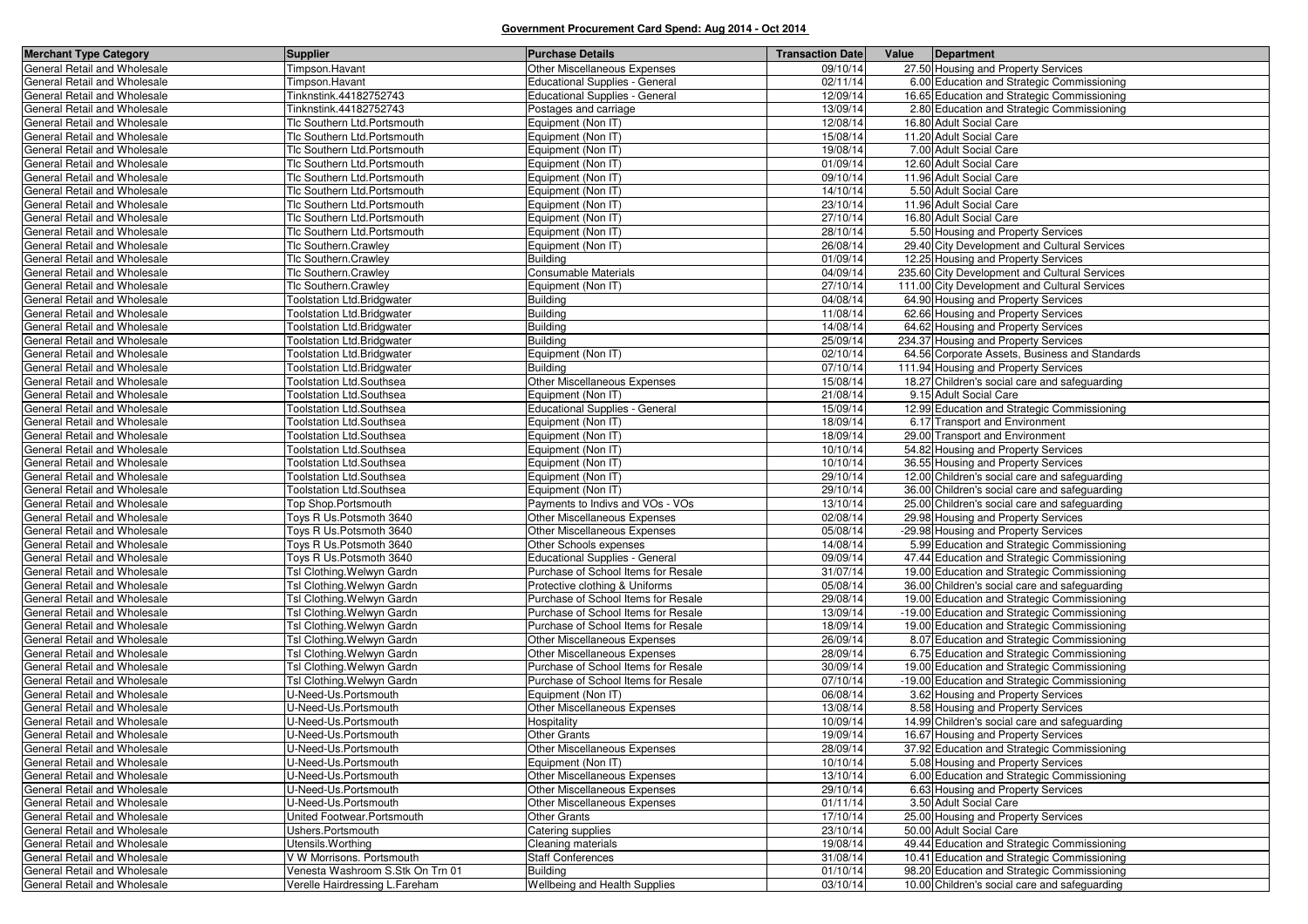| <b>Merchant Type Category</b> | <b>Supplier</b>                   | <b>Purchase Details</b>                                      | <b>Transaction Date</b> | Value | Department                                                                                   |
|-------------------------------|-----------------------------------|--------------------------------------------------------------|-------------------------|-------|----------------------------------------------------------------------------------------------|
| General Retail and Wholesale  | Timpson.Havant                    | Other Miscellaneous Expenses                                 | 09/10/14                |       | 27.50 Housing and Property Services                                                          |
| General Retail and Wholesale  | Timpson.Havant                    | <b>Educational Supplies - General</b>                        | 02/11/14                |       | 6.00 Education and Strategic Commissioning                                                   |
| General Retail and Wholesale  | Tinknstink.44182752743            | <b>Educational Supplies - General</b>                        | 12/09/14                |       | 16.65 Education and Strategic Commissioning                                                  |
| General Retail and Wholesale  | Tinknstink.44182752743            | Postages and carriage                                        | 13/09/14                |       | 2.80 Education and Strategic Commissioning                                                   |
| General Retail and Wholesale  | Tlc Southern Ltd.Portsmouth       | Equipment (Non IT)                                           | 12/08/14                |       | 16.80 Adult Social Care                                                                      |
| General Retail and Wholesale  | Tlc Southern Ltd.Portsmouth       | Equipment (Non IT)                                           | 15/08/14                |       | 11.20 Adult Social Care                                                                      |
| General Retail and Wholesale  | Tlc Southern Ltd.Portsmouth       | Equipment (Non IT)                                           | 19/08/14                |       | 7.00 Adult Social Care                                                                       |
| General Retail and Wholesale  | Tlc Southern Ltd.Portsmouth       | Equipment (Non IT)                                           | 01/09/14                |       | 12.60 Adult Social Care                                                                      |
| General Retail and Wholesale  | Tlc Southern Ltd.Portsmouth       | Equipment (Non IT)                                           | 09/10/14                |       | 11.96 Adult Social Care                                                                      |
| General Retail and Wholesale  | Tlc Southern Ltd.Portsmouth       | Equipment (Non IT)                                           | 14/10/14                |       | 5.50 Adult Social Care                                                                       |
| General Retail and Wholesale  | Tlc Southern Ltd.Portsmouth       | Equipment (Non IT)                                           | 23/10/14                |       | 11.96 Adult Social Care                                                                      |
| General Retail and Wholesale  | Tlc Southern Ltd. Portsmouth      | Equipment (Non IT)                                           | 27/10/14                |       | 16.80 Adult Social Care                                                                      |
| General Retail and Wholesale  | Tlc Southern Ltd.Portsmouth       | Equipment (Non IT)                                           | 28/10/14                |       | 5.50 Housing and Property Services                                                           |
| General Retail and Wholesale  | Tlc Southern.Crawley              | Equipment (Non IT)                                           | 26/08/14                |       | 29.40 City Development and Cultural Services                                                 |
| General Retail and Wholesale  | Tlc Southern.Crawley              | <b>Building</b>                                              | 01/09/14                |       | 12.25 Housing and Property Services                                                          |
| General Retail and Wholesale  | <b>TIc Southern.Crawley</b>       | <b>Consumable Materials</b>                                  | 04/09/14                |       | 235.60 City Development and Cultural Services                                                |
| General Retail and Wholesale  | Tlc Southern.Crawley              | Equipment (Non IT)                                           | 27/10/14                |       | 111.00 City Development and Cultural Services                                                |
| General Retail and Wholesale  | <b>Toolstation Ltd.Bridgwater</b> | <b>Building</b>                                              | 04/08/14                |       | 64.90 Housing and Property Services                                                          |
| General Retail and Wholesale  | <b>Toolstation Ltd.Bridgwater</b> | <b>Building</b>                                              | 11/08/14                |       | 62.66 Housing and Property Services                                                          |
| General Retail and Wholesale  | <b>Toolstation Ltd.Bridgwater</b> | <b>Building</b>                                              | 14/08/14                |       | 64.62 Housing and Property Services                                                          |
| General Retail and Wholesale  | <b>Toolstation Ltd.Bridgwater</b> | <b>Building</b>                                              | 25/09/14                |       | 234.37 Housing and Property Services                                                         |
| General Retail and Wholesale  | <b>Toolstation Ltd.Bridgwater</b> | Equipment (Non IT)                                           | 02/10/14                |       | 64.56 Corporate Assets, Business and Standards                                               |
| General Retail and Wholesale  | <b>Toolstation Ltd.Bridgwater</b> | <b>Building</b>                                              | 07/10/14                |       | 111.94 Housing and Property Services                                                         |
| General Retail and Wholesale  | <b>Toolstation Ltd.Southsea</b>   | Other Miscellaneous Expenses                                 | 15/08/14                |       | 18.27 Children's social care and safeguarding                                                |
| General Retail and Wholesale  | <b>Toolstation Ltd.Southsea</b>   | Equipment (Non IT)                                           | 21/08/14                |       | 9.15 Adult Social Care                                                                       |
| General Retail and Wholesale  | <b>Toolstation Ltd.Southsea</b>   | <b>Educational Supplies - General</b>                        | 15/09/14                |       | 12.99 Education and Strategic Commissioning                                                  |
| General Retail and Wholesale  | <b>Toolstation Ltd.Southsea</b>   | Equipment (Non IT)                                           | 18/09/14                |       | 6.17 Transport and Environment                                                               |
| General Retail and Wholesale  | <b>Toolstation Ltd.Southsea</b>   | Equipment (Non IT)                                           | 18/09/14                |       | 29.00 Transport and Environment                                                              |
| General Retail and Wholesale  | <b>Toolstation Ltd.Southsea</b>   | Equipment (Non IT)                                           | 10/10/14                |       | 54.82 Housing and Property Services                                                          |
| General Retail and Wholesale  | <b>Toolstation Ltd.Southsea</b>   | Equipment (Non IT)                                           | 10/10/14                |       | 36.55 Housing and Property Services                                                          |
| General Retail and Wholesale  | <b>Toolstation Ltd.Southsea</b>   | Equipment (Non IT)                                           | 29/10/14                |       | 12.00 Children's social care and safeguarding                                                |
| General Retail and Wholesale  | <b>Toolstation Ltd.Southsea</b>   | Equipment (Non IT)                                           | 29/10/14                |       | 36.00 Children's social care and safeguarding                                                |
| General Retail and Wholesale  | Top Shop.Portsmouth               | Payments to Indivs and VOs - VOs                             | 13/10/14                |       | 25.00 Children's social care and safeguarding                                                |
| General Retail and Wholesale  | Toys R Us. Potsmoth 3640          | Other Miscellaneous Expenses                                 | 02/08/14                |       | 29.98 Housing and Property Services                                                          |
| General Retail and Wholesale  | Toys R Us. Potsmoth 3640          | Other Miscellaneous Expenses                                 | 05/08/14                |       | -29.98 Housing and Property Services                                                         |
| General Retail and Wholesale  | Toys R Us. Potsmoth 3640          | Other Schools expenses                                       | 14/08/14                |       | 5.99 Education and Strategic Commissioning                                                   |
| General Retail and Wholesale  | Toys R Us. Potsmoth 3640          | <b>Educational Supplies - General</b>                        | 09/09/14                |       | 47.44 Education and Strategic Commissioning                                                  |
| General Retail and Wholesale  | Tsl Clothing. Welwyn Gardn        | Purchase of School Items for Resale                          | 31/07/14                |       | 19.00 Education and Strategic Commissioning                                                  |
| General Retail and Wholesale  | Tsl Clothing. Welwyn Gardn        | Protective clothing & Uniforms                               | 05/08/14                |       | 36.00 Children's social care and safeguarding                                                |
| General Retail and Wholesale  | Tsl Clothing. Welwyn Gardn        | Purchase of School Items for Resale                          | 29/08/14                |       | 19.00 Education and Strategic Commissioning                                                  |
| General Retail and Wholesale  | Tsl Clothing. Welwyn Gardn        | Purchase of School Items for Resale                          | 13/09/14                |       | -19.00 Education and Strategic Commissioning                                                 |
| General Retail and Wholesale  | Tsl Clothing. Welwyn Gardn        | Purchase of School Items for Resale                          | 18/09/14                |       | 19.00 Education and Strategic Commissioning                                                  |
| General Retail and Wholesale  | Tsl Clothing. Welwyn Gardn        | Other Miscellaneous Expenses                                 | 26/09/14                |       | 8.07 Education and Strategic Commissioning                                                   |
| General Retail and Wholesale  | Tsl Clothing. Welwyn Gardn        | Other Miscellaneous Expenses                                 | 28/09/14                |       | 6.75 Education and Strategic Commissioning                                                   |
| General Retail and Wholesale  | Tsl Clothing. Welwyn Gardn        | Purchase of School Items for Resale                          | 30/09/14                |       | 19.00 Education and Strategic Commissioning                                                  |
| General Retail and Wholesale  | Tsl Clothing. Welwyn Gardn        | Purchase of School Items for Resale                          | 07/10/14                |       | -19.00 Education and Strategic Commissioning                                                 |
| General Retail and Wholesale  | U-Need-Us.Portsmouth              | Equipment (Non IT)                                           | 06/08/14                |       | 3.62 Housing and Property Services                                                           |
| General Retail and Wholesale  | U-Need-Us.Portsmouth              | Other Miscellaneous Expenses                                 | 13/08/14                |       | 8.58 Housing and Property Services                                                           |
| General Retail and Wholesale  | U-Need-Us.Portsmouth              | Hospitality                                                  | 10/09/14                |       | 14.99 Children's social care and safeguarding                                                |
| General Retail and Wholesale  | U-Need-Us.Portsmouth              | <b>Other Grants</b>                                          | 19/09/14                |       | 16.67 Housing and Property Services                                                          |
| General Retail and Wholesale  | U-Need-Us.Portsmouth              | Other Miscellaneous Expenses                                 | 28/09/14                |       | 37.92 Education and Strategic Commissioning                                                  |
| General Retail and Wholesale  | U-Need-Us.Portsmouth              | Equipment (Non IT)                                           | 10/10/14                |       | 5.08 Housing and Property Services                                                           |
| General Retail and Wholesale  | U-Need-Us.Portsmouth              | Other Miscellaneous Expenses                                 | 13/10/14                |       | 6.00 Education and Strategic Commissioning                                                   |
| General Retail and Wholesale  | U-Need-Us.Portsmouth              | Other Miscellaneous Expenses<br>Other Miscellaneous Expenses | 29/10/14                |       | 6.63 Housing and Property Services                                                           |
| General Retail and Wholesale  | U-Need-Us.Portsmouth              |                                                              | 01/11/14                |       | 3.50 Adult Social Care                                                                       |
| General Retail and Wholesale  | United Footwear.Portsmouth        | <b>Other Grants</b>                                          | 17/10/14                |       | 25.00 Housing and Property Services                                                          |
| General Retail and Wholesale  | Ushers.Portsmouth                 | Catering supplies                                            | 23/10/14                |       | 50.00 Adult Social Care                                                                      |
| General Retail and Wholesale  | Utensils. Worthing                | Cleaning materials                                           | 19/08/14                |       | 49.44 Education and Strategic Commissioning                                                  |
| General Retail and Wholesale  | V W Morrisons. Portsmouth         | <b>Staff Conferences</b>                                     | 31/08/14                |       | 10.41 Education and Strategic Commissioning                                                  |
| General Retail and Wholesale  | Venesta Washroom S.Stk On Trn 01  | <b>Building</b><br>Wellbeing and Health Supplies             | 01/10/14                |       | 98.20 Education and Strategic Commissioning<br>10.00 Children's social care and safeguarding |
| General Retail and Wholesale  | Verelle Hairdressing L.Fareham    |                                                              | 03/10/14                |       |                                                                                              |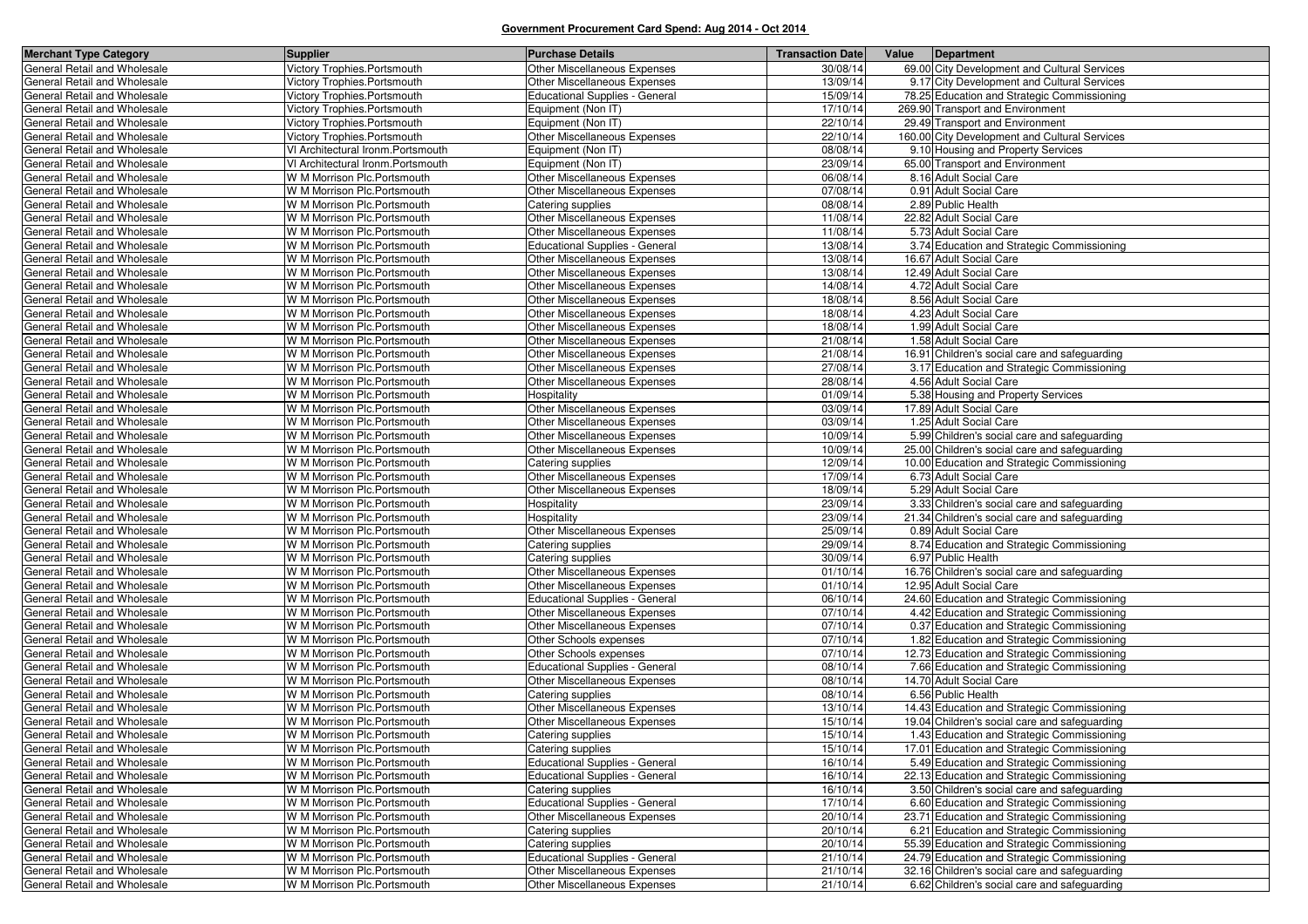| <b>Merchant Type Category</b>                                | <b>Supplier</b>                                            | <b>Purchase Details</b>                          | <b>Transaction Date</b> | Value | Department                                                                                |
|--------------------------------------------------------------|------------------------------------------------------------|--------------------------------------------------|-------------------------|-------|-------------------------------------------------------------------------------------------|
| General Retail and Wholesale                                 | Victory Trophies.Portsmouth                                | Other Miscellaneous Expenses                     | 30/08/14                |       | 69.00 City Development and Cultural Services                                              |
| General Retail and Wholesale                                 | Victory Trophies.Portsmouth                                | Other Miscellaneous Expenses                     | 13/09/14                |       | 9.17 City Development and Cultural Services                                               |
| General Retail and Wholesale                                 | Victory Trophies.Portsmouth                                | <b>Educational Supplies - General</b>            | 15/09/14                |       | 78.25 Education and Strategic Commissioning                                               |
| General Retail and Wholesale                                 | Victory Trophies.Portsmouth                                | Equipment (Non IT)                               | 17/10/14                |       | 269.90 Transport and Environment                                                          |
| General Retail and Wholesale                                 | Victory Trophies.Portsmouth                                | Equipment (Non IT)                               | 22/10/14                |       | 29.49 Transport and Environment                                                           |
| General Retail and Wholesale                                 | Victory Trophies.Portsmouth                                | <b>Other Miscellaneous Expenses</b>              | 22/10/14                |       | 160.00 City Development and Cultural Services                                             |
| General Retail and Wholesale                                 | VI Architectural Ironm.Portsmouth                          | Equipment (Non IT)                               | 08/08/14                |       | 9.10 Housing and Property Services                                                        |
| General Retail and Wholesale                                 | VI Architectural Ironm.Portsmouth                          | Equipment (Non IT)                               | 23/09/14                |       | 65.00 Transport and Environment                                                           |
| General Retail and Wholesale                                 | W M Morrison Plc.Portsmouth                                | Other Miscellaneous Expenses                     | 06/08/14                |       | 8.16 Adult Social Care                                                                    |
| General Retail and Wholesale                                 | W M Morrison Plc.Portsmouth                                | Other Miscellaneous Expenses                     | 07/08/14                |       | 0.91 Adult Social Care                                                                    |
| General Retail and Wholesale                                 | W M Morrison Plc.Portsmouth                                | Catering supplies                                | 08/08/14                |       | 2.89 Public Health                                                                        |
| General Retail and Wholesale                                 | W M Morrison Plc.Portsmouth                                | Other Miscellaneous Expenses                     | 11/08/14                |       | 22.82 Adult Social Care                                                                   |
| General Retail and Wholesale                                 | W M Morrison Plc.Portsmouth                                | Other Miscellaneous Expenses                     | 11/08/14                |       | 5.73 Adult Social Care                                                                    |
| General Retail and Wholesale                                 | W M Morrison Plc.Portsmouth                                | <b>Educational Supplies - General</b>            | 13/08/14                |       | 3.74 Education and Strategic Commissioning                                                |
| General Retail and Wholesale                                 | W M Morrison Plc.Portsmouth                                | Other Miscellaneous Expenses                     | 13/08/14                |       | 16.67 Adult Social Care                                                                   |
| General Retail and Wholesale                                 | W M Morrison Plc.Portsmouth                                | Other Miscellaneous Expenses                     | 13/08/14                |       | 12.49 Adult Social Care                                                                   |
| General Retail and Wholesale                                 | W M Morrison Plc.Portsmouth                                | Other Miscellaneous Expenses                     | 14/08/14                |       | 4.72 Adult Social Care                                                                    |
| General Retail and Wholesale                                 | W M Morrison Plc.Portsmouth                                | Other Miscellaneous Expenses                     | 18/08/14                |       | 8.56 Adult Social Care                                                                    |
| General Retail and Wholesale                                 | W M Morrison Plc.Portsmouth                                | <b>Other Miscellaneous Expenses</b>              | 18/08/14                |       | 4.23 Adult Social Care                                                                    |
| General Retail and Wholesale                                 | W M Morrison Plc.Portsmouth                                | <b>Other Miscellaneous Expenses</b>              | 18/08/14                |       | 1.99 Adult Social Care                                                                    |
| General Retail and Wholesale                                 | W M Morrison Plc.Portsmouth                                | <b>Other Miscellaneous Expenses</b>              | 21/08/14                |       | 1.58 Adult Social Care                                                                    |
| General Retail and Wholesale                                 | W M Morrison Plc.Portsmouth                                | Other Miscellaneous Expenses                     | 21/08/14                |       | 16.91 Children's social care and safeguarding                                             |
| General Retail and Wholesale                                 | W M Morrison Plc.Portsmouth                                | Other Miscellaneous Expenses                     | 27/08/14                |       | 3.17 Education and Strategic Commissioning                                                |
| General Retail and Wholesale                                 | W M Morrison Plc.Portsmouth                                | <b>Other Miscellaneous Expenses</b>              | 28/08/14                |       | 4.56 Adult Social Care                                                                    |
| General Retail and Wholesale                                 | W M Morrison Plc.Portsmouth                                | Hospitality                                      | 01/09/14                |       | 5.38 Housing and Property Services                                                        |
| General Retail and Wholesale                                 | W M Morrison Plc.Portsmouth                                | Other Miscellaneous Expenses                     | 03/09/14                |       | 17.89 Adult Social Care                                                                   |
| General Retail and Wholesale                                 | W M Morrison Plc.Portsmouth                                | Other Miscellaneous Expenses                     | 03/09/14                |       | 1.25 Adult Social Care                                                                    |
| General Retail and Wholesale                                 | W M Morrison Plc.Portsmouth                                | Other Miscellaneous Expenses                     | 10/09/14                |       | 5.99 Children's social care and safeguarding                                              |
| General Retail and Wholesale                                 | W M Morrison Plc.Portsmouth                                | Other Miscellaneous Expenses                     | 10/09/14                |       | 25.00 Children's social care and safeguarding                                             |
| General Retail and Wholesale                                 | W M Morrison Plc.Portsmouth                                | Catering supplies                                | 12/09/14                |       | 10.00 Education and Strategic Commissioning                                               |
| General Retail and Wholesale                                 | W M Morrison Plc.Portsmouth                                | Other Miscellaneous Expenses                     | 17/09/14                |       | 6.73 Adult Social Care                                                                    |
| General Retail and Wholesale                                 | W M Morrison Plc.Portsmouth                                | Other Miscellaneous Expenses                     | 18/09/14                |       | 5.29 Adult Social Care                                                                    |
| General Retail and Wholesale                                 | W M Morrison Plc.Portsmouth                                | Hospitality                                      | 23/09/14                |       | 3.33 Children's social care and safeguarding                                              |
| General Retail and Wholesale                                 | W M Morrison Plc.Portsmouth                                | Hospitality                                      | 23/09/14                |       | 21.34 Children's social care and safeguarding                                             |
| General Retail and Wholesale                                 | W M Morrison Plc.Portsmouth                                | Other Miscellaneous Expenses                     | 25/09/14                |       | 0.89 Adult Social Care                                                                    |
| General Retail and Wholesale                                 | W M Morrison Plc.Portsmouth                                | Catering supplies                                | 29/09/14                |       | 8.74 Education and Strategic Commissioning                                                |
| General Retail and Wholesale                                 | W M Morrison Plc.Portsmouth                                | Catering supplies                                | 30/09/14                |       | 6.97 Public Health                                                                        |
| General Retail and Wholesale                                 | W M Morrison Plc.Portsmouth                                | Other Miscellaneous Expenses                     | 01/10/14                |       | 16.76 Children's social care and safeguarding                                             |
| General Retail and Wholesale                                 | W M Morrison Plc.Portsmouth                                | Other Miscellaneous Expenses                     | 01/10/14                |       | 12.95 Adult Social Care                                                                   |
| General Retail and Wholesale                                 | W M Morrison Plc.Portsmouth                                | <b>Educational Supplies - General</b>            | 06/10/14                |       | 24.60 Education and Strategic Commissioning                                               |
| General Retail and Wholesale<br>General Retail and Wholesale | W M Morrison Plc.Portsmouth                                | Other Miscellaneous Expenses                     | 07/10/14<br>07/10/14    |       | 4.42 Education and Strategic Commissioning                                                |
| General Retail and Wholesale                                 | W M Morrison Plc.Portsmouth                                | Other Miscellaneous Expenses                     |                         |       | 0.37 Education and Strategic Commissioning                                                |
| General Retail and Wholesale                                 | W M Morrison Plc.Portsmouth<br>W M Morrison Plc.Portsmouth | Other Schools expenses<br>Other Schools expenses | 07/10/14<br>07/10/14    |       | 1.82 Education and Strategic Commissioning                                                |
| General Retail and Wholesale                                 | W M Morrison Plc.Portsmouth                                | <b>Educational Supplies - General</b>            | 08/10/14                |       | 12.73 Education and Strategic Commissioning<br>7.66 Education and Strategic Commissioning |
| General Retail and Wholesale                                 | W M Morrison Plc.Portsmouth                                | <b>Other Miscellaneous Expenses</b>              | 08/10/14                |       | 14.70 Adult Social Care                                                                   |
| General Retail and Wholesale                                 | W M Morrison Plc.Portsmouth                                | Catering supplies                                | 08/10/14                |       | 6.56 Public Health                                                                        |
| General Retail and Wholesale                                 | W M Morrison Plc.Portsmouth                                | Other Miscellaneous Expenses                     | 13/10/14                |       | 14.43 Education and Strategic Commissioning                                               |
| General Retail and Wholesale                                 | W M Morrison Plc.Portsmouth                                | Other Miscellaneous Expenses                     | 15/10/14                |       | 19.04 Children's social care and safeguarding                                             |
| General Retail and Wholesale                                 | W M Morrison Plc.Portsmouth                                | Catering supplies                                | 15/10/14                |       | 1.43 Education and Strategic Commissioning                                                |
| General Retail and Wholesale                                 | W M Morrison Plc. Portsmouth                               | Catering supplies                                | 15/10/14                |       | 17.01 Education and Strategic Commissioning                                               |
| General Retail and Wholesale                                 | W M Morrison Plc.Portsmouth                                | <b>Educational Supplies - General</b>            | 16/10/14                |       | 5.49 Education and Strategic Commissioning                                                |
| General Retail and Wholesale                                 | W M Morrison Plc.Portsmouth                                | Educational Supplies - General                   | 16/10/14                |       | 22.13 Education and Strategic Commissioning                                               |
| General Retail and Wholesale                                 | W M Morrison Plc.Portsmouth                                | Catering supplies                                | 16/10/14                |       | 3.50 Children's social care and safeguarding                                              |
| General Retail and Wholesale                                 | W M Morrison Plc.Portsmouth                                | <b>Educational Supplies - General</b>            | 17/10/14                |       | 6.60 Education and Strategic Commissioning                                                |
| General Retail and Wholesale                                 | W M Morrison Plc.Portsmouth                                | Other Miscellaneous Expenses                     | 20/10/14                |       | 23.71 Education and Strategic Commissioning                                               |
| General Retail and Wholesale                                 | W M Morrison Plc.Portsmouth                                | Catering supplies                                | 20/10/14                |       | 6.21 Education and Strategic Commissioning                                                |
| General Retail and Wholesale                                 | W M Morrison Plc.Portsmouth                                | Catering supplies                                | 20/10/14                |       | 55.39 Education and Strategic Commissioning                                               |
| General Retail and Wholesale                                 | W M Morrison Plc.Portsmouth                                | Educational Supplies - General                   | 21/10/14                |       | 24.79 Education and Strategic Commissioning                                               |
| General Retail and Wholesale                                 | W M Morrison Plc.Portsmouth                                | Other Miscellaneous Expenses                     | 21/10/14                |       | 32.16 Children's social care and safeguarding                                             |
| General Retail and Wholesale                                 | W M Morrison Plc.Portsmouth                                | Other Miscellaneous Expenses                     | 21/10/14                |       | 6.62 Children's social care and safeguarding                                              |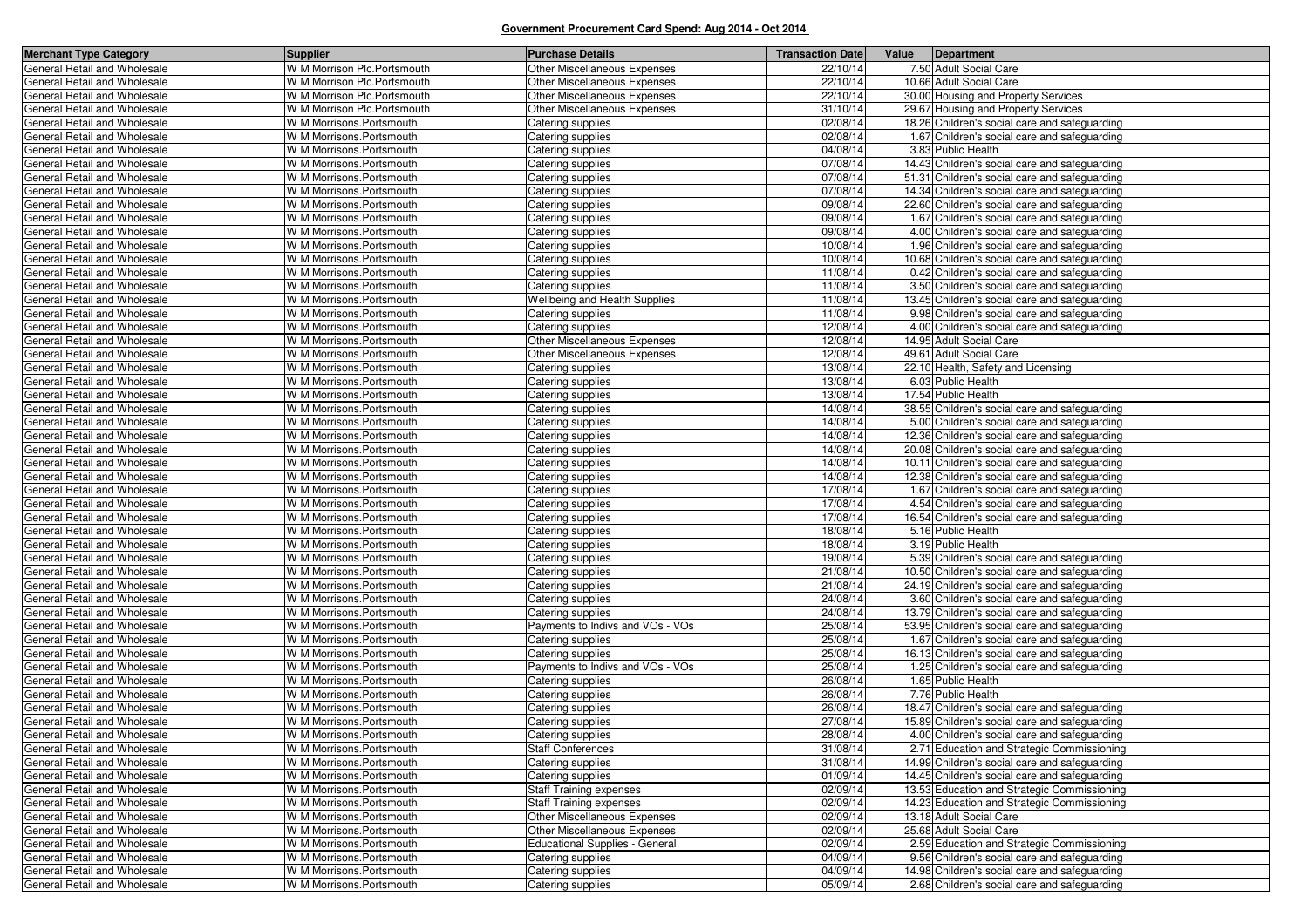| <b>Merchant Type Category</b>                                | <b>Supplier</b>                                       | <b>Purchase Details</b>                | <b>Transaction Date</b> | Value | Department                                                                                    |
|--------------------------------------------------------------|-------------------------------------------------------|----------------------------------------|-------------------------|-------|-----------------------------------------------------------------------------------------------|
| General Retail and Wholesale                                 | W M Morrison Plc. Portsmouth                          | Other Miscellaneous Expenses           | 22/10/14                |       | 7.50 Adult Social Care                                                                        |
| General Retail and Wholesale                                 | W M Morrison Plc. Portsmouth                          | Other Miscellaneous Expenses           | 22/10/14                |       | 10.66 Adult Social Care                                                                       |
| General Retail and Wholesale                                 | W M Morrison Plc.Portsmouth                           | Other Miscellaneous Expenses           | 22/10/14                |       | 30.00 Housing and Property Services                                                           |
| General Retail and Wholesale                                 | W M Morrison Plc. Portsmouth                          | Other Miscellaneous Expenses           | 31/10/14                |       | 29.67 Housing and Property Services                                                           |
| General Retail and Wholesale                                 | W M Morrisons.Portsmouth                              | Catering supplies                      | 02/08/14                |       | 18.26 Children's social care and safeguarding                                                 |
| General Retail and Wholesale                                 | W M Morrisons.Portsmouth                              | Catering supplies                      | 02/08/14                |       | 1.67 Children's social care and safeguarding                                                  |
| General Retail and Wholesale                                 | W M Morrisons.Portsmouth                              | Catering supplies                      | 04/08/14                |       | 3.83 Public Health                                                                            |
| General Retail and Wholesale                                 | W M Morrisons.Portsmouth                              | Catering supplies                      | 07/08/14                |       | 14.43 Children's social care and safeguarding                                                 |
| General Retail and Wholesale                                 | W M Morrisons. Portsmouth                             | Catering supplies                      | 07/08/14                |       | 51.31 Children's social care and safeguarding                                                 |
| General Retail and Wholesale                                 | W M Morrisons.Portsmouth                              | Catering supplies                      | 07/08/14                |       | 14.34 Children's social care and safeguarding                                                 |
| General Retail and Wholesale                                 | W M Morrisons.Portsmouth                              | Catering supplies                      | 09/08/14                |       | 22.60 Children's social care and safeguarding                                                 |
| General Retail and Wholesale                                 | W M Morrisons.Portsmouth                              | Catering supplies                      | 09/08/14                |       | 1.67 Children's social care and safeguarding                                                  |
| General Retail and Wholesale                                 | W M Morrisons.Portsmouth                              | Catering supplies                      | 09/08/14                |       | 4.00 Children's social care and safeguarding                                                  |
| General Retail and Wholesale                                 | W M Morrisons.Portsmouth                              | Catering supplies                      | 10/08/14                |       | 1.96 Children's social care and safeguarding                                                  |
| General Retail and Wholesale                                 | W M Morrisons.Portsmouth                              | Catering supplies                      | 10/08/14                |       | 10.68 Children's social care and safeguarding                                                 |
| General Retail and Wholesale                                 | W M Morrisons.Portsmouth                              | Catering supplies                      | 11/08/14<br>11/08/14    |       | 0.42 Children's social care and safeguarding                                                  |
| General Retail and Wholesale                                 | W M Morrisons.Portsmouth                              | Catering supplies                      | 11/08/14                |       | 3.50 Children's social care and safeguarding                                                  |
| General Retail and Wholesale<br>General Retail and Wholesale | W M Morrisons.Portsmouth<br>W M Morrisons.Portsmouth  | Wellbeing and Health Supplies          | 11/08/14                |       | 13.45 Children's social care and safeguarding<br>9.98 Children's social care and safeguarding |
| General Retail and Wholesale                                 | W M Morrisons. Portsmouth                             | Catering supplies<br>Catering supplies | 12/08/14                |       | 4.00 Children's social care and safeguarding                                                  |
| General Retail and Wholesale                                 | W M Morrisons.Portsmouth                              | Other Miscellaneous Expenses           | 12/08/14                |       | 14.95 Adult Social Care                                                                       |
| General Retail and Wholesale                                 | W M Morrisons.Portsmouth                              | Other Miscellaneous Expenses           | 12/08/14                |       | 49.61 Adult Social Care                                                                       |
| General Retail and Wholesale                                 | W M Morrisons.Portsmouth                              | Catering supplies                      | 13/08/14                |       | 22.10 Health, Safety and Licensing                                                            |
| General Retail and Wholesale                                 | W M Morrisons.Portsmouth                              | Catering supplies                      | 13/08/14                |       | 6.03 Public Health                                                                            |
| General Retail and Wholesale                                 | W M Morrisons.Portsmouth                              | Catering supplies                      | 13/08/14                |       | 17.54 Public Health                                                                           |
| General Retail and Wholesale                                 | W M Morrisons.Portsmouth                              | Catering supplies                      | 14/08/14                |       | 38.55 Children's social care and safeguarding                                                 |
| General Retail and Wholesale                                 | W M Morrisons. Portsmouth                             | Catering supplies                      | 14/08/14                |       | 5.00 Children's social care and safeguarding                                                  |
| General Retail and Wholesale                                 | W M Morrisons. Portsmouth                             | Catering supplies                      | 14/08/14                |       | 12.36 Children's social care and safeguarding                                                 |
| General Retail and Wholesale                                 | W M Morrisons.Portsmouth                              | Catering supplies                      | 14/08/14                |       | 20.08 Children's social care and safeguarding                                                 |
| General Retail and Wholesale                                 | W M Morrisons. Portsmouth                             | Catering supplies                      | 14/08/14                |       | 10.11 Children's social care and safeguarding                                                 |
| General Retail and Wholesale                                 | W M Morrisons.Portsmouth                              | Catering supplies                      | 14/08/14                |       | 12.38 Children's social care and safeguarding                                                 |
| General Retail and Wholesale                                 | W M Morrisons.Portsmouth                              | Catering supplies                      | 17/08/14                |       | 1.67 Children's social care and safeguarding                                                  |
| General Retail and Wholesale                                 | W M Morrisons.Portsmouth                              | Catering supplies                      | 17/08/14                |       | 4.54 Children's social care and safeguarding                                                  |
| General Retail and Wholesale                                 | W M Morrisons.Portsmouth                              | Catering supplies                      | 17/08/14                |       | 16.54 Children's social care and safeguarding                                                 |
| General Retail and Wholesale                                 | W M Morrisons. Portsmouth                             | Catering supplies                      | 18/08/14                |       | 5.16 Public Health                                                                            |
| General Retail and Wholesale                                 | W M Morrisons.Portsmouth                              | Catering supplies                      | 18/08/14                |       | 3.19 Public Health                                                                            |
| General Retail and Wholesale                                 | W M Morrisons.Portsmouth                              | Catering supplies                      | 19/08/14                |       | 5.39 Children's social care and safeguarding                                                  |
| General Retail and Wholesale                                 | W M Morrisons.Portsmouth                              | Catering supplies                      | 21/08/14                |       | 10.50 Children's social care and safeguarding                                                 |
| General Retail and Wholesale                                 | W M Morrisons.Portsmouth                              | Catering supplies                      | 21/08/14<br>24/08/14    |       | 24.19 Children's social care and safeguarding                                                 |
| General Retail and Wholesale<br>General Retail and Wholesale | W M Morrisons.Portsmouth<br>W M Morrisons. Portsmouth | Catering supplies<br>Catering supplies | 24/08/14                |       | 3.60 Children's social care and safeguarding<br>13.79 Children's social care and safeguarding |
| General Retail and Wholesale                                 | W M Morrisons.Portsmouth                              | Payments to Indivs and VOs - VOs       | 25/08/14                |       | 53.95 Children's social care and safeguarding                                                 |
| General Retail and Wholesale                                 | W M Morrisons.Portsmouth                              | Catering supplies                      | 25/08/14                |       | 1.67 Children's social care and safeguarding                                                  |
| General Retail and Wholesale                                 | W M Morrisons.Portsmouth                              | Catering supplies                      | 25/08/14                |       | 16.13 Children's social care and safeguarding                                                 |
| General Retail and Wholesale                                 | W M Morrisons.Portsmouth                              | Payments to Indivs and VOs - VOs       | 25/08/14                |       | 1.25 Children's social care and safeguarding                                                  |
| General Retail and Wholesale                                 | W M Morrisons. Portsmouth                             | Catering supplies                      | 26/08/14                |       | 1.65 Public Health                                                                            |
| General Retail and Wholesale                                 | W M Morrisons. Portsmouth                             | Catering supplies                      | 26/08/14                |       | 7.76 Public Health                                                                            |
| General Retail and Wholesale                                 | W M Morrisons. Portsmouth                             | Catering supplies                      | 26/08/14                |       | 18.47 Children's social care and safeguarding                                                 |
| General Retail and Wholesale                                 | W M Morrisons. Portsmouth                             | Catering supplies                      | 27/08/14                |       | 15.89 Children's social care and safeguarding                                                 |
| General Retail and Wholesale                                 | W M Morrisons. Portsmouth                             | Catering supplies                      | 28/08/14                |       | 4.00 Children's social care and safeguarding                                                  |
| General Retail and Wholesale                                 | W M Morrisons.Portsmouth                              | <b>Staff Conferences</b>               | 31/08/14                |       | 2.71 Education and Strategic Commissioning                                                    |
| General Retail and Wholesale                                 | W M Morrisons.Portsmouth                              | Catering supplies                      | 31/08/14                |       | 14.99 Children's social care and safeguarding                                                 |
| General Retail and Wholesale                                 | W M Morrisons.Portsmouth                              | Catering supplies                      | 01/09/14                |       | 14.45 Children's social care and safeguarding                                                 |
| General Retail and Wholesale                                 | W M Morrisons.Portsmouth                              | <b>Staff Training expenses</b>         | 02/09/14                |       | 13.53 Education and Strategic Commissioning                                                   |
| General Retail and Wholesale                                 | W M Morrisons. Portsmouth                             | <b>Staff Training expenses</b>         | 02/09/14                |       | 14.23 Education and Strategic Commissioning                                                   |
| General Retail and Wholesale                                 | W M Morrisons.Portsmouth                              | Other Miscellaneous Expenses           | 02/09/14                |       | 13.18 Adult Social Care                                                                       |
| General Retail and Wholesale                                 | W M Morrisons. Portsmouth                             | Other Miscellaneous Expenses           | 02/09/14                |       | 25.68 Adult Social Care                                                                       |
| General Retail and Wholesale                                 | W M Morrisons. Portsmouth                             | Educational Supplies - General         | 02/09/14                |       | 2.59 Education and Strategic Commissioning                                                    |
| General Retail and Wholesale                                 | W M Morrisons.Portsmouth                              | Catering supplies                      | 04/09/14                |       | 9.56 Children's social care and safeguarding                                                  |
| General Retail and Wholesale                                 | W M Morrisons.Portsmouth                              | Catering supplies                      | 04/09/14                |       | 14.98 Children's social care and safeguarding                                                 |
| General Retail and Wholesale                                 | W M Morrisons. Portsmouth                             | Catering supplies                      | 05/09/14                |       | 2.68 Children's social care and safeguarding                                                  |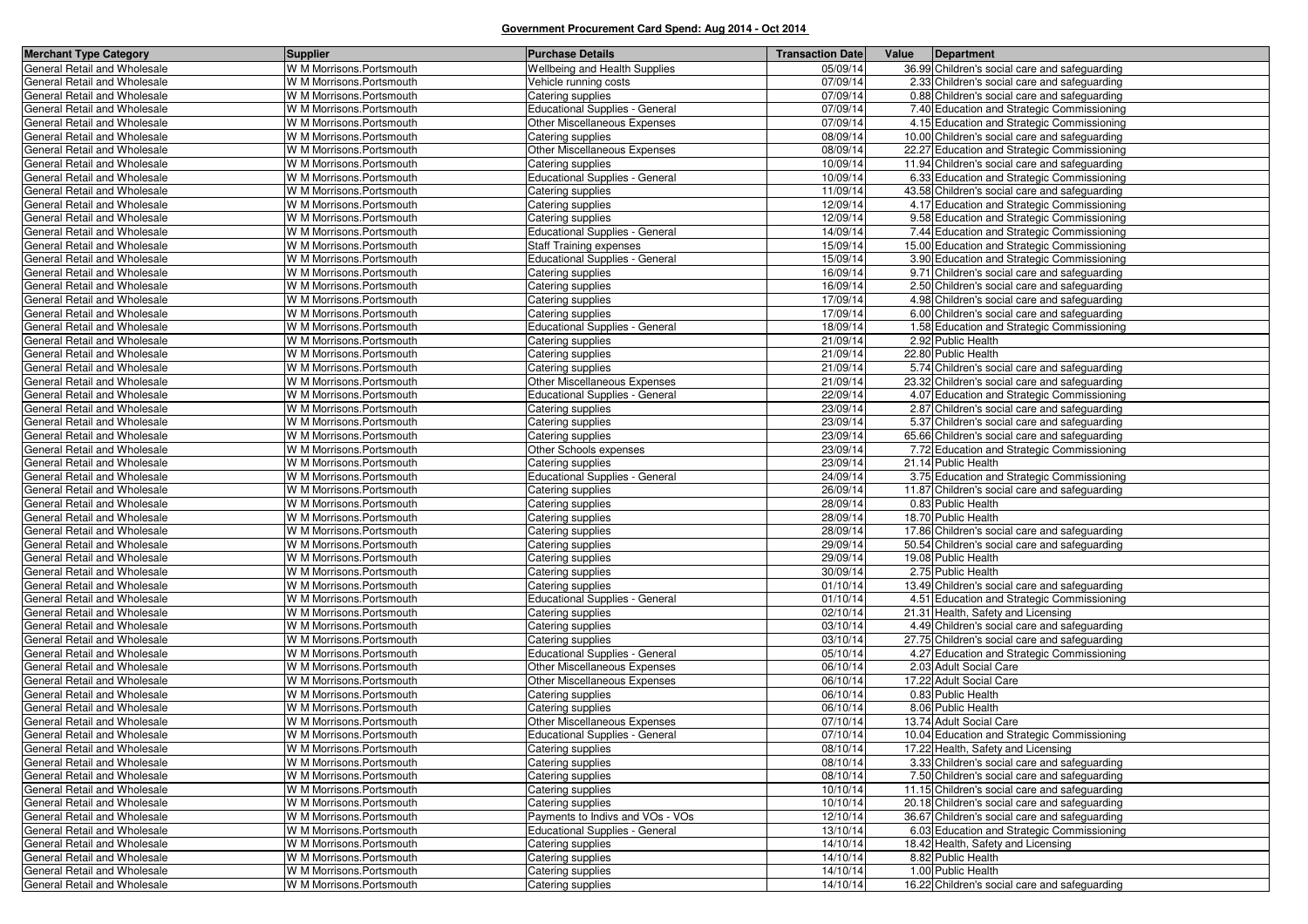| <b>Merchant Type Category</b> | <b>Supplier</b>           | <b>Purchase Details</b>               | <b>Transaction Date</b> | Value | Department                                    |
|-------------------------------|---------------------------|---------------------------------------|-------------------------|-------|-----------------------------------------------|
| General Retail and Wholesale  | W M Morrisons.Portsmouth  | <b>Wellbeing and Health Supplies</b>  | 05/09/14                |       | 36.99 Children's social care and safeguarding |
| General Retail and Wholesale  | W M Morrisons.Portsmouth  | Vehicle running costs                 | 07/09/14                |       | 2.33 Children's social care and safeguarding  |
| General Retail and Wholesale  | W M Morrisons.Portsmouth  | Catering supplies                     | 07/09/14                |       | 0.88 Children's social care and safeguarding  |
| General Retail and Wholesale  | W M Morrisons.Portsmouth  | Educational Supplies - General        | 07/09/14                |       | 7.40 Education and Strategic Commissioning    |
| General Retail and Wholesale  | W M Morrisons.Portsmouth  | <b>Other Miscellaneous Expenses</b>   | 07/09/14                |       | 4.15 Education and Strategic Commissioning    |
| General Retail and Wholesale  | W M Morrisons.Portsmouth  | Catering supplies                     | 08/09/14                |       | 10.00 Children's social care and safeguarding |
| General Retail and Wholesale  | W M Morrisons.Portsmouth  | Other Miscellaneous Expenses          | 08/09/14                |       | 22.27 Education and Strategic Commissioning   |
| General Retail and Wholesale  | W M Morrisons.Portsmouth  | Catering supplies                     | 10/09/14                |       | 11.94 Children's social care and safeguarding |
| General Retail and Wholesale  | W M Morrisons.Portsmouth  | <b>Educational Supplies - General</b> | 10/09/14                |       | 6.33 Education and Strategic Commissioning    |
| General Retail and Wholesale  | W M Morrisons.Portsmouth  | Catering supplies                     | 11/09/14                |       | 43.58 Children's social care and safeguarding |
| General Retail and Wholesale  | W M Morrisons.Portsmouth  | Catering supplies                     | 12/09/14                |       | 4.17 Education and Strategic Commissioning    |
| General Retail and Wholesale  | W M Morrisons.Portsmouth  | Catering supplies                     | 12/09/14                |       | 9.58 Education and Strategic Commissioning    |
| General Retail and Wholesale  | W M Morrisons.Portsmouth  | Educational Supplies - General        | 14/09/14                |       | 7.44 Education and Strategic Commissioning    |
| General Retail and Wholesale  | W M Morrisons.Portsmouth  | <b>Staff Training expenses</b>        | 15/09/14                |       | 15.00 Education and Strategic Commissioning   |
| General Retail and Wholesale  | W M Morrisons.Portsmouth  | <b>Educational Supplies - General</b> | 15/09/14                |       | 3.90 Education and Strategic Commissioning    |
| General Retail and Wholesale  | W M Morrisons.Portsmouth  | Catering supplies                     | 16/09/14                |       | 9.71 Children's social care and safeguarding  |
| General Retail and Wholesale  | W M Morrisons.Portsmouth  | Catering supplies                     | 16/09/14                |       | 2.50 Children's social care and safeguarding  |
| General Retail and Wholesale  | W M Morrisons.Portsmouth  | Catering supplies                     | 17/09/14                |       | 4.98 Children's social care and safeguarding  |
| General Retail and Wholesale  | W M Morrisons.Portsmouth  | Catering supplies                     | 17/09/14                |       | 6.00 Children's social care and safeguarding  |
| General Retail and Wholesale  | W M Morrisons.Portsmouth  | Educational Supplies - General        | 18/09/14                |       | 1.58 Education and Strategic Commissioning    |
| General Retail and Wholesale  | W M Morrisons.Portsmouth  | Catering supplies                     | 21/09/14                |       | 2.92 Public Health                            |
| General Retail and Wholesale  | W M Morrisons.Portsmouth  | Catering supplies                     | 21/09/14                |       | 22.80 Public Health                           |
| General Retail and Wholesale  | W M Morrisons.Portsmouth  | Catering supplies                     | 21/09/14                |       | 5.74 Children's social care and safeguarding  |
| General Retail and Wholesale  | W M Morrisons.Portsmouth  | Other Miscellaneous Expenses          | 21/09/14                |       | 23.32 Children's social care and safeguarding |
| General Retail and Wholesale  | W M Morrisons.Portsmouth  | Educational Supplies - General        | 22/09/14                |       | 4.07 Education and Strategic Commissioning    |
| General Retail and Wholesale  | W M Morrisons.Portsmouth  | Catering supplies                     | 23/09/14                |       | 2.87 Children's social care and safeguarding  |
| General Retail and Wholesale  | W M Morrisons.Portsmouth  | Catering supplies                     | 23/09/14                |       | 5.37 Children's social care and safeguarding  |
| General Retail and Wholesale  | W M Morrisons.Portsmouth  | Catering supplies                     | 23/09/14                |       | 65.66 Children's social care and safeguarding |
| General Retail and Wholesale  | W M Morrisons.Portsmouth  | Other Schools expenses                | 23/09/14                |       | 7.72 Education and Strategic Commissioning    |
| General Retail and Wholesale  | W M Morrisons.Portsmouth  | Catering supplies                     | 23/09/14                |       | 21.14 Public Health                           |
| General Retail and Wholesale  | W M Morrisons.Portsmouth  | <b>Educational Supplies - General</b> | 24/09/14                |       | 3.75 Education and Strategic Commissioning    |
| General Retail and Wholesale  | W M Morrisons.Portsmouth  | Catering supplies                     | 26/09/14                |       | 11.87 Children's social care and safeguarding |
| General Retail and Wholesale  | W M Morrisons.Portsmouth  | Catering supplies                     | 28/09/14                |       | 0.83 Public Health                            |
| General Retail and Wholesale  | W M Morrisons.Portsmouth  | Catering supplies                     | 28/09/14                |       | 18.70 Public Health                           |
| General Retail and Wholesale  | W M Morrisons.Portsmouth  | Catering supplies                     | 28/09/14                |       | 17.86 Children's social care and safeguarding |
| General Retail and Wholesale  | W M Morrisons.Portsmouth  | Catering supplies                     | 29/09/14                |       | 50.54 Children's social care and safeguarding |
| General Retail and Wholesale  | W M Morrisons.Portsmouth  | Catering supplies                     | 29/09/14                |       | 19.08 Public Health                           |
| General Retail and Wholesale  | W M Morrisons.Portsmouth  | Catering supplies                     | 30/09/14                |       | 2.75 Public Health                            |
| General Retail and Wholesale  | W M Morrisons.Portsmouth  | Catering supplies                     | 01/10/14                |       | 13.49 Children's social care and safeguarding |
| General Retail and Wholesale  | W M Morrisons.Portsmouth  | <b>Educational Supplies - General</b> | 01/10/14                |       | 4.51 Education and Strategic Commissioning    |
| General Retail and Wholesale  | W M Morrisons.Portsmouth  | Catering supplies                     | 02/10/14                |       | 21.31 Health, Safety and Licensing            |
| General Retail and Wholesale  | W M Morrisons.Portsmouth  | Catering supplies                     | 03/10/14                |       | 4.49 Children's social care and safeguarding  |
| General Retail and Wholesale  | W M Morrisons. Portsmouth | Catering supplies                     | 03/10/14                |       | 27.75 Children's social care and safeguarding |
| General Retail and Wholesale  | W M Morrisons.Portsmouth  | <b>Educational Supplies - General</b> | 05/10/14                |       | 4.27 Education and Strategic Commissioning    |
| General Retail and Wholesale  | W M Morrisons.Portsmouth  | Other Miscellaneous Expenses          | 06/10/14                |       | 2.03 Adult Social Care                        |
| General Retail and Wholesale  | W M Morrisons.Portsmouth  | <b>Other Miscellaneous Expenses</b>   | 06/10/14                |       | 17.22 Adult Social Care                       |
| General Retail and Wholesale  | W M Morrisons.Portsmouth  | Catering supplies                     | 06/10/14                |       | 0.83 Public Health                            |
| General Retail and Wholesale  | W M Morrisons. Portsmouth | Catering supplies                     | 06/10/14                |       | 8.06 Public Health                            |
| General Retail and Wholesale  | W M Morrisons.Portsmouth  | Other Miscellaneous Expenses          | 07/10/14                |       | 13.74 Adult Social Care                       |
| General Retail and Wholesale  | W M Morrisons.Portsmouth  | <b>Educational Supplies - General</b> | 07/10/14                |       | 10.04 Education and Strategic Commissioning   |
| General Retail and Wholesale  | W M Morrisons. Portsmouth | Catering supplies                     | 08/10/14                |       | 17.22 Health, Safety and Licensing            |
| General Retail and Wholesale  | W M Morrisons.Portsmouth  | Catering supplies                     | 08/10/14                |       | 3.33 Children's social care and safeguarding  |
| General Retail and Wholesale  | W M Morrisons.Portsmouth  | Catering supplies                     | 08/10/14                |       | 7.50 Children's social care and safeguarding  |
| General Retail and Wholesale  | W M Morrisons.Portsmouth  | Catering supplies                     | 10/10/14                |       | 11.15 Children's social care and safeguarding |
| General Retail and Wholesale  | W M Morrisons.Portsmouth  | Catering supplies                     | 10/10/14                |       | 20.18 Children's social care and safeguarding |
| General Retail and Wholesale  | W M Morrisons.Portsmouth  | Payments to Indivs and VOs - VOs      | 12/10/14                |       | 36.67 Children's social care and safeguarding |
| General Retail and Wholesale  | W M Morrisons.Portsmouth  | <b>Educational Supplies - General</b> | 13/10/14                |       | 6.03 Education and Strategic Commissioning    |
| General Retail and Wholesale  | W M Morrisons.Portsmouth  | Catering supplies                     | 14/10/14                |       | 18.42 Health, Safety and Licensing            |
| General Retail and Wholesale  | W M Morrisons. Portsmouth | Catering supplies                     | 14/10/14                |       | 8.82 Public Health                            |
| General Retail and Wholesale  | W M Morrisons. Portsmouth | Catering supplies                     | 14/10/14                |       | 1.00 Public Health                            |
| General Retail and Wholesale  | W M Morrisons. Portsmouth | Catering supplies                     | 14/10/14                |       | 16.22 Children's social care and safeguarding |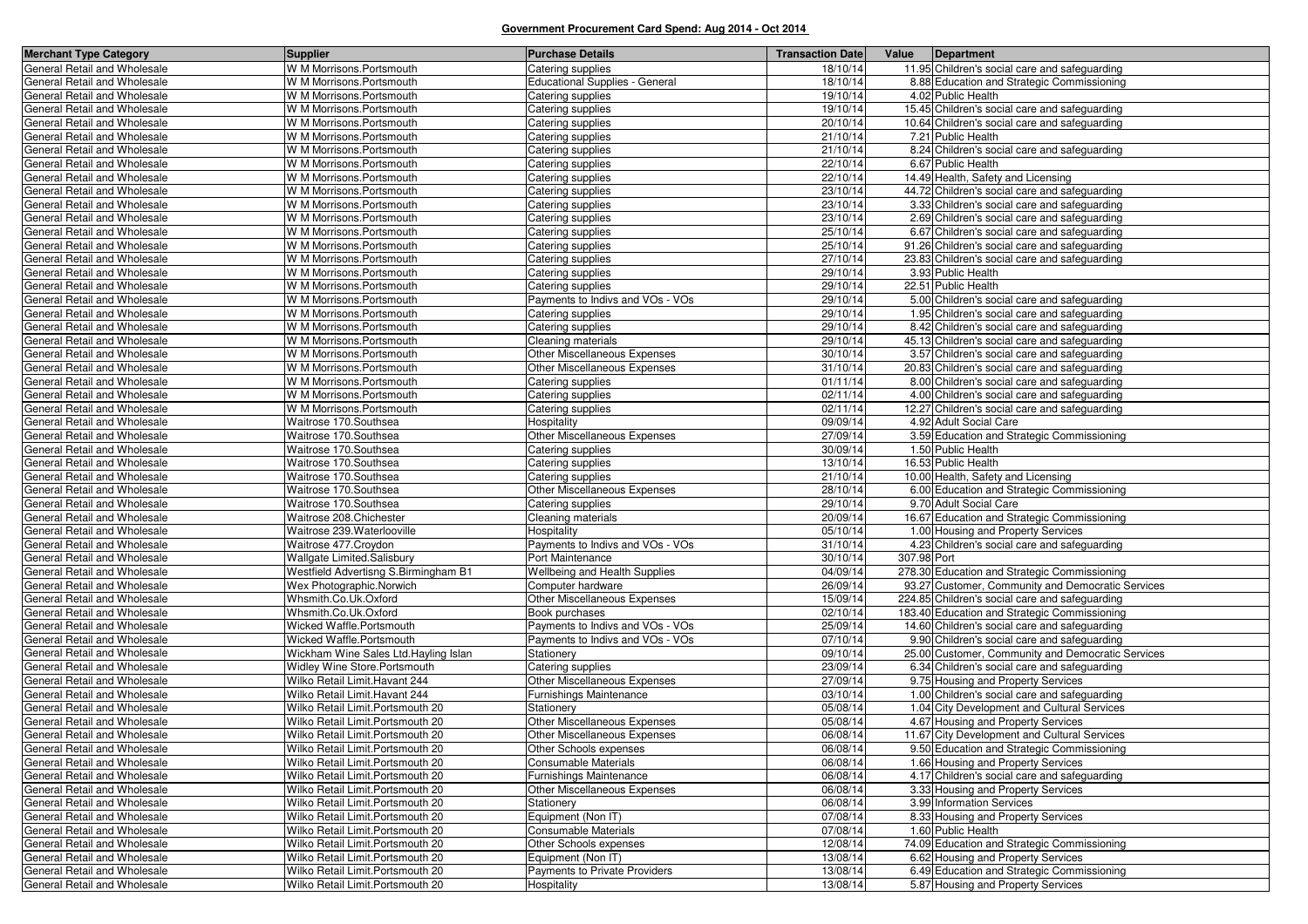| <b>Merchant Type Category</b>                                | <b>Supplier</b>                                                  | <b>Purchase Details</b>                                  | <b>Transaction Date</b> | Value       | Department                                                                         |
|--------------------------------------------------------------|------------------------------------------------------------------|----------------------------------------------------------|-------------------------|-------------|------------------------------------------------------------------------------------|
| General Retail and Wholesale                                 | W M Morrisons.Portsmouth                                         | Catering supplies                                        | 18/10/14                |             | 11.95 Children's social care and safeguarding                                      |
| General Retail and Wholesale                                 | W M Morrisons.Portsmouth                                         | <b>Educational Supplies - General</b>                    | 18/10/14                |             | 8.88 Education and Strategic Commissioning                                         |
| General Retail and Wholesale                                 | W M Morrisons.Portsmouth                                         | Catering supplies                                        | 19/10/14                |             | 4.02 Public Health                                                                 |
| General Retail and Wholesale                                 | W M Morrisons.Portsmouth                                         | Catering supplies                                        | 19/10/14                |             | 15.45 Children's social care and safeguarding                                      |
| General Retail and Wholesale                                 | W M Morrisons. Portsmouth                                        | Catering supplies                                        | 20/10/14                |             | 10.64 Children's social care and safeguarding                                      |
| General Retail and Wholesale                                 | W M Morrisons.Portsmouth                                         | Catering supplies                                        | 21/10/14                |             | 7.21 Public Health                                                                 |
| General Retail and Wholesale                                 | W M Morrisons.Portsmouth                                         | Catering supplies                                        | 21/10/14                |             | 8.24 Children's social care and safeguarding                                       |
| General Retail and Wholesale                                 | W M Morrisons.Portsmouth                                         | Catering supplies                                        | 22/10/14                |             | 6.67 Public Health                                                                 |
| General Retail and Wholesale                                 | W M Morrisons.Portsmouth                                         | Catering supplies                                        | 22/10/14                |             | 14.49 Health, Safety and Licensing                                                 |
| General Retail and Wholesale                                 | W M Morrisons.Portsmouth                                         | Catering supplies                                        | 23/10/14                |             | 44.72 Children's social care and safeguarding                                      |
| General Retail and Wholesale                                 | W M Morrisons.Portsmouth                                         | Catering supplies                                        | 23/10/14                |             | 3.33 Children's social care and safeguarding                                       |
| General Retail and Wholesale                                 | W M Morrisons.Portsmouth                                         | Catering supplies                                        | 23/10/14                |             | 2.69 Children's social care and safeguarding                                       |
| General Retail and Wholesale                                 | W M Morrisons.Portsmouth                                         | Catering supplies                                        | 25/10/14                |             | 6.67 Children's social care and safeguarding                                       |
| General Retail and Wholesale                                 | W M Morrisons.Portsmouth                                         | Catering supplies                                        | 25/10/14                |             | 91.26 Children's social care and safeguarding                                      |
| General Retail and Wholesale                                 | W M Morrisons.Portsmouth                                         | Catering supplies                                        | 27/10/14                |             | 23.83 Children's social care and safeguarding                                      |
| General Retail and Wholesale                                 | W M Morrisons.Portsmouth                                         | Catering supplies                                        | 29/10/14                |             | 3.93 Public Health                                                                 |
| General Retail and Wholesale                                 | W M Morrisons.Portsmouth                                         | Catering supplies                                        | 29/10/14                |             | 22.51 Public Health                                                                |
| General Retail and Wholesale                                 | W M Morrisons.Portsmouth                                         | Payments to Indivs and VOs - VOs                         | 29/10/14                |             | 5.00 Children's social care and safeguarding                                       |
| General Retail and Wholesale                                 | W M Morrisons.Portsmouth                                         | Catering supplies                                        | 29/10/14                |             | 1.95 Children's social care and safeguarding                                       |
| General Retail and Wholesale                                 | W M Morrisons.Portsmouth                                         | Catering supplies                                        | 29/10/14                |             | 8.42 Children's social care and safeguarding                                       |
| General Retail and Wholesale                                 | W M Morrisons.Portsmouth                                         | Cleaning materials                                       | 29/10/14                |             | 45.13 Children's social care and safeguarding                                      |
| General Retail and Wholesale                                 | W M Morrisons.Portsmouth                                         | Other Miscellaneous Expenses                             | 30/10/14                |             | 3.57 Children's social care and safeguarding                                       |
| General Retail and Wholesale                                 | W M Morrisons.Portsmouth                                         | Other Miscellaneous Expenses                             | 31/10/14                |             | 20.83 Children's social care and safeguarding                                      |
| General Retail and Wholesale                                 | W M Morrisons.Portsmouth                                         | Catering supplies                                        | 01/11/14                |             | 8.00 Children's social care and safeguarding                                       |
| General Retail and Wholesale                                 | W M Morrisons.Portsmouth                                         | Catering supplies                                        | 02/11/14                |             | 4.00 Children's social care and safeguarding                                       |
| General Retail and Wholesale                                 | W M Morrisons.Portsmouth                                         | Catering supplies                                        | 02/11/14                |             | 12.27 Children's social care and safeguarding                                      |
| General Retail and Wholesale                                 | Waitrose 170.Southsea                                            | Hospitality                                              | 09/09/14                |             | 4.92 Adult Social Care                                                             |
| General Retail and Wholesale                                 | Waitrose 170.Southsea                                            | Other Miscellaneous Expenses                             | 27/09/14                |             | 3.59 Education and Strategic Commissioning                                         |
| General Retail and Wholesale                                 | Waitrose 170.Southsea                                            | Catering supplies                                        | 30/09/14                |             | 1.50 Public Health                                                                 |
| General Retail and Wholesale                                 | Waitrose 170.Southsea                                            | Catering supplies                                        | 13/10/14                |             | 16.53 Public Health                                                                |
| General Retail and Wholesale                                 | Waitrose 170.Southsea                                            | Catering supplies                                        | 21/10/14                |             | 10.00 Health, Safety and Licensing                                                 |
| General Retail and Wholesale                                 | Waitrose 170.Southsea                                            | Other Miscellaneous Expenses                             | 28/10/14                |             | 6.00 Education and Strategic Commissioning                                         |
| General Retail and Wholesale                                 | Waitrose 170.Southsea                                            | Catering supplies                                        | 29/10/14                |             | 9.70 Adult Social Care                                                             |
| General Retail and Wholesale                                 | Waitrose 208.Chichester                                          | Cleaning materials                                       | 20/09/14                |             | 16.67 Education and Strategic Commissioning                                        |
| General Retail and Wholesale                                 | Waitrose 239. Waterlooville                                      | Hospitality                                              | 05/10/14                |             | 1.00 Housing and Property Services                                                 |
| General Retail and Wholesale                                 | Waitrose 477.Croydon                                             | Payments to Indivs and VOs - VOs                         | 31/10/14                |             | 4.23 Children's social care and safeguarding                                       |
| General Retail and Wholesale                                 | Wallgate Limited.Salisbury                                       | Port Maintenance                                         | 30/10/14                | 307.98 Port |                                                                                    |
| General Retail and Wholesale                                 | Westfield Advertisng S.Birmingham B1                             | Wellbeing and Health Supplies                            | 04/09/14                |             | 278.30 Education and Strategic Commissioning                                       |
| General Retail and Wholesale                                 | Wex Photographic.Norwich                                         | Computer hardware                                        | 26/09/14                |             | 93.27 Customer, Community and Democratic Services                                  |
| General Retail and Wholesale                                 | Whsmith.Co.Uk.Oxford                                             | Other Miscellaneous Expenses                             | 15/09/14                |             | 224.85 Children's social care and safeguarding                                     |
| General Retail and Wholesale                                 | Whsmith.Co.Uk.Oxford                                             | Book purchases                                           | 02/10/14                |             | 183.40 Education and Strategic Commissioning                                       |
| General Retail and Wholesale                                 | Wicked Waffle.Portsmouth                                         | Payments to Indivs and VOs - VOs                         | 25/09/14                |             | 14.60 Children's social care and safeguarding                                      |
| General Retail and Wholesale<br>General Retail and Wholesale | Wicked Waffle.Portsmouth<br>Wickham Wine Sales Ltd.Hayling Islan | Payments to Indivs and VOs - VOs                         | 07/10/14                |             | 9.90 Children's social care and safeguarding                                       |
| General Retail and Wholesale                                 | Widley Wine Store.Portsmouth                                     | Stationery                                               | 09/10/14                |             | 25.00 Customer, Community and Democratic Services                                  |
| General Retail and Wholesale                                 | Wilko Retail Limit. Havant 244                                   | Catering supplies<br><b>Other Miscellaneous Expenses</b> | 23/09/14<br>27/09/14    |             | 6.34 Children's social care and safeguarding                                       |
| General Retail and Wholesale                                 | Wilko Retail Limit. Havant 244                                   | Furnishings Maintenance                                  | 03/10/14                |             | 9.75 Housing and Property Services<br>1.00 Children's social care and safeguarding |
| General Retail and Wholesale                                 | Wilko Retail Limit. Portsmouth 20                                |                                                          | 05/08/14                |             | 1.04 City Development and Cultural Services                                        |
| General Retail and Wholesale                                 | Wilko Retail Limit. Portsmouth 20                                | Stationery<br>Other Miscellaneous Expenses               | 05/08/14                |             | 4.67 Housing and Property Services                                                 |
| General Retail and Wholesale                                 | Wilko Retail Limit. Portsmouth 20                                | <b>Other Miscellaneous Expenses</b>                      | 06/08/14                |             | 11.67 City Development and Cultural Services                                       |
| General Retail and Wholesale                                 | Wilko Retail Limit. Portsmouth 20                                | Other Schools expenses                                   | 06/08/14                |             | 9.50 Education and Strategic Commissioning                                         |
| General Retail and Wholesale                                 | Wilko Retail Limit. Portsmouth 20                                | Consumable Materials                                     | 06/08/14                |             | 1.66 Housing and Property Services                                                 |
| General Retail and Wholesale                                 | Wilko Retail Limit. Portsmouth 20                                | <b>Furnishings Maintenance</b>                           | 06/08/14                |             | 4.17 Children's social care and safeguarding                                       |
| General Retail and Wholesale                                 | Wilko Retail Limit. Portsmouth 20                                | Other Miscellaneous Expenses                             | 06/08/14                |             | 3.33 Housing and Property Services                                                 |
| General Retail and Wholesale                                 | Wilko Retail Limit. Portsmouth 20                                | Stationery                                               | 06/08/14                |             | 3.99 Information Services                                                          |
| General Retail and Wholesale                                 | Wilko Retail Limit. Portsmouth 20                                | Equipment (Non IT)                                       | 07/08/14                |             | 8.33 Housing and Property Services                                                 |
| General Retail and Wholesale                                 | Wilko Retail Limit. Portsmouth 20                                | Consumable Materials                                     | 07/08/14                |             | 1.60 Public Health                                                                 |
| General Retail and Wholesale                                 | Wilko Retail Limit. Portsmouth 20                                | Other Schools expenses                                   | 12/08/14                |             | 74.09 Education and Strategic Commissioning                                        |
| General Retail and Wholesale                                 | Wilko Retail Limit. Portsmouth 20                                | Equipment (Non IT)                                       | 13/08/14                |             | 6.62 Housing and Property Services                                                 |
| General Retail and Wholesale                                 | Wilko Retail Limit. Portsmouth 20                                | Payments to Private Providers                            | 13/08/14                |             | 6.49 Education and Strategic Commissioning                                         |
| General Retail and Wholesale                                 | Wilko Retail Limit. Portsmouth 20                                | Hospitality                                              | 13/08/14                |             | 5.87 Housing and Property Services                                                 |
|                                                              |                                                                  |                                                          |                         |             |                                                                                    |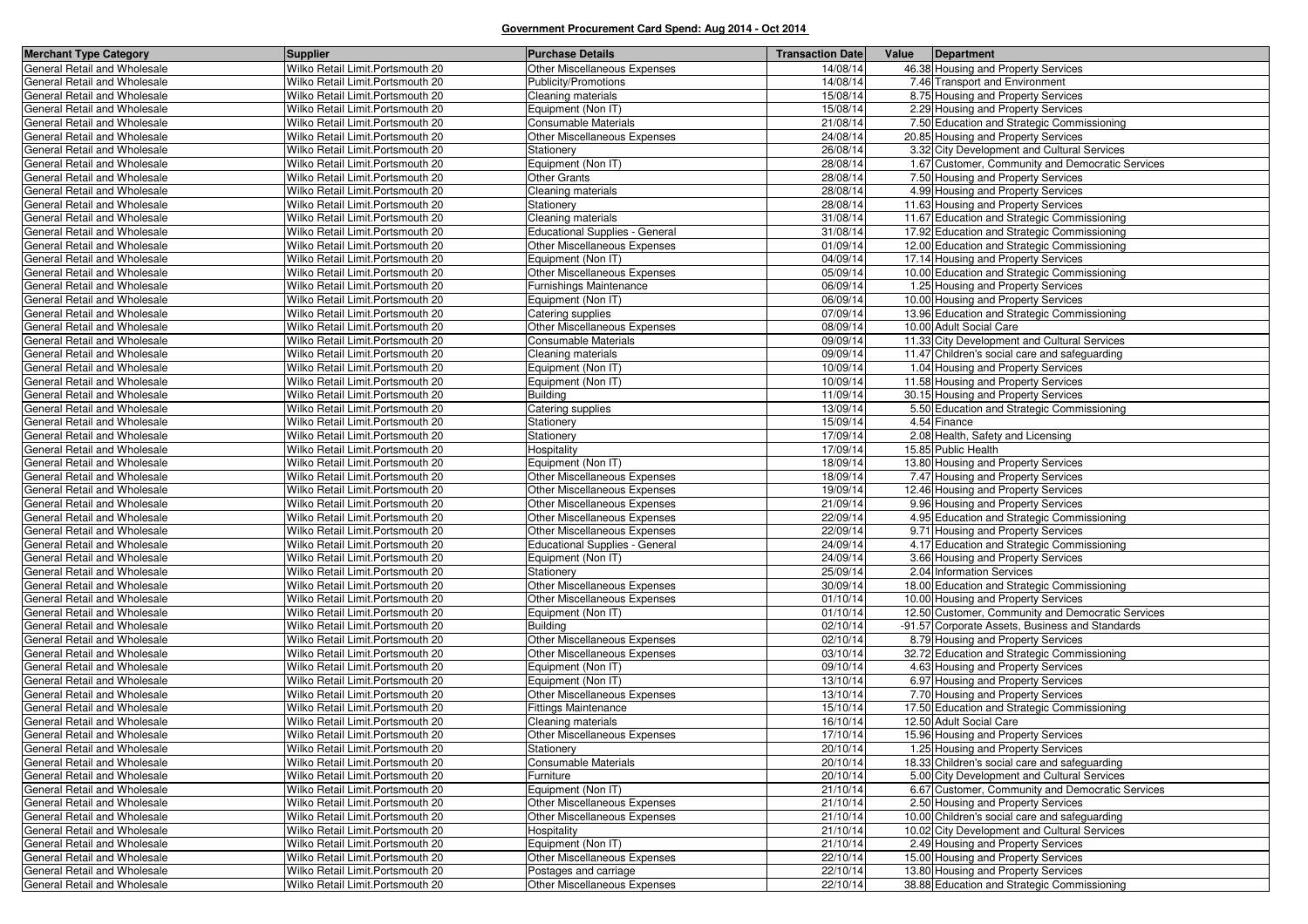| <b>Merchant Type Category</b>                                | <b>Supplier</b>                                                        | <b>Purchase Details</b>                                      | <b>Transaction Date</b> | Value<br>Department                                                               |
|--------------------------------------------------------------|------------------------------------------------------------------------|--------------------------------------------------------------|-------------------------|-----------------------------------------------------------------------------------|
| General Retail and Wholesale                                 | Wilko Retail Limit. Portsmouth 20                                      | Other Miscellaneous Expenses                                 | 14/08/14                | 46.38 Housing and Property Services                                               |
| General Retail and Wholesale                                 | Wilko Retail Limit. Portsmouth 20                                      | Publicity/Promotions                                         | 14/08/14                | 7.46 Transport and Environment                                                    |
| General Retail and Wholesale                                 | Wilko Retail Limit. Portsmouth 20                                      | Cleaning materials                                           | 15/08/14                | 8.75 Housing and Property Services                                                |
| General Retail and Wholesale                                 | Wilko Retail Limit. Portsmouth 20                                      | Equipment (Non IT)                                           | 15/08/14                | 2.29 Housing and Property Services                                                |
| General Retail and Wholesale                                 | Wilko Retail Limit. Portsmouth 20                                      | Consumable Materials                                         | 21/08/14                | 7.50 Education and Strategic Commissioning                                        |
| General Retail and Wholesale                                 | Wilko Retail Limit. Portsmouth 20                                      | Other Miscellaneous Expenses                                 | 24/08/14                | 20.85 Housing and Property Services                                               |
| General Retail and Wholesale                                 | Wilko Retail Limit. Portsmouth 20                                      | Stationery                                                   | 26/08/14                | 3.32 City Development and Cultural Services                                       |
| General Retail and Wholesale                                 | Wilko Retail Limit. Portsmouth 20                                      | Equipment (Non IT)                                           | 28/08/14                | 1.67 Customer, Community and Democratic Services                                  |
| General Retail and Wholesale                                 | Wilko Retail Limit. Portsmouth 20                                      | <b>Other Grants</b>                                          | 28/08/14                | 7.50 Housing and Property Services                                                |
| General Retail and Wholesale                                 | Wilko Retail Limit. Portsmouth 20                                      | Cleaning materials                                           | 28/08/14                | 4.99 Housing and Property Services                                                |
| General Retail and Wholesale                                 | Wilko Retail Limit. Portsmouth 20                                      | Stationery                                                   | 28/08/14                | 11.63 Housing and Property Services                                               |
| General Retail and Wholesale                                 | Wilko Retail Limit. Portsmouth 20                                      | Cleaning materials                                           | 31/08/14                | 11.67 Education and Strategic Commissioning                                       |
| General Retail and Wholesale                                 | Wilko Retail Limit. Portsmouth 20                                      | <b>Educational Supplies - General</b>                        | 31/08/14                | 17.92 Education and Strategic Commissioning                                       |
| General Retail and Wholesale                                 | Wilko Retail Limit. Portsmouth 20                                      | Other Miscellaneous Expenses                                 | 01/09/14                | 12.00 Education and Strategic Commissioning                                       |
| General Retail and Wholesale                                 | Wilko Retail Limit. Portsmouth 20                                      | Equipment (Non IT)                                           | 04/09/14                | 17.14 Housing and Property Services                                               |
| General Retail and Wholesale                                 | Wilko Retail Limit. Portsmouth 20                                      | Other Miscellaneous Expenses                                 | 05/09/14                | 10.00 Education and Strategic Commissioning                                       |
| General Retail and Wholesale                                 | Wilko Retail Limit. Portsmouth 20                                      | Furnishings Maintenance                                      | 06/09/14                | 1.25 Housing and Property Services                                                |
| General Retail and Wholesale                                 | Wilko Retail Limit. Portsmouth 20                                      | Equipment (Non IT)                                           | 06/09/14                | 10.00 Housing and Property Services                                               |
| General Retail and Wholesale                                 | Wilko Retail Limit. Portsmouth 20                                      | Catering supplies                                            | 07/09/14                | 13.96 Education and Strategic Commissioning                                       |
| General Retail and Wholesale                                 | Wilko Retail Limit. Portsmouth 20                                      | Other Miscellaneous Expenses                                 | 08/09/14                | 10.00 Adult Social Care                                                           |
| General Retail and Wholesale                                 | Wilko Retail Limit. Portsmouth 20                                      | Consumable Materials                                         | 09/09/14                | 11.33 City Development and Cultural Services                                      |
| General Retail and Wholesale                                 | Wilko Retail Limit. Portsmouth 20                                      | Cleaning materials                                           | 09/09/14                | 11.47 Children's social care and safeguarding                                     |
| General Retail and Wholesale                                 | Wilko Retail Limit. Portsmouth 20                                      | Equipment (Non IT)                                           | 10/09/14                | 1.04 Housing and Property Services                                                |
| General Retail and Wholesale                                 | Wilko Retail Limit. Portsmouth 20                                      | Equipment (Non IT)                                           | 10/09/14                | 11.58 Housing and Property Services                                               |
| General Retail and Wholesale                                 | Wilko Retail Limit. Portsmouth 20                                      | Building                                                     | 11/09/14                | 30.15 Housing and Property Services                                               |
| General Retail and Wholesale                                 | Wilko Retail Limit. Portsmouth 20                                      | Catering supplies                                            | 13/09/14                | 5.50 Education and Strategic Commissioning                                        |
| General Retail and Wholesale                                 | Wilko Retail Limit. Portsmouth 20                                      | Stationery                                                   | 15/09/14                | 4.54 Finance                                                                      |
| General Retail and Wholesale                                 | Wilko Retail Limit. Portsmouth 20                                      | Stationery                                                   | 17/09/14                | 2.08 Health, Safety and Licensing                                                 |
| General Retail and Wholesale                                 | Wilko Retail Limit. Portsmouth 20                                      | Hospitality                                                  | 17/09/14                | 15.85 Public Health                                                               |
| General Retail and Wholesale                                 | Wilko Retail Limit. Portsmouth 20                                      | Equipment (Non IT)                                           | 18/09/14                | 13.80 Housing and Property Services                                               |
| General Retail and Wholesale                                 | Wilko Retail Limit. Portsmouth 20                                      | <b>Other Miscellaneous Expenses</b>                          | 18/09/14                | 7.47 Housing and Property Services                                                |
| General Retail and Wholesale                                 | Wilko Retail Limit. Portsmouth 20                                      | <b>Other Miscellaneous Expenses</b>                          | 19/09/14                | 12.46 Housing and Property Services                                               |
| General Retail and Wholesale                                 | Wilko Retail Limit. Portsmouth 20                                      | <b>Other Miscellaneous Expenses</b>                          | 21/09/14                | 9.96 Housing and Property Services                                                |
| General Retail and Wholesale                                 | Wilko Retail Limit. Portsmouth 20                                      | <b>Other Miscellaneous Expenses</b>                          | 22/09/14                | 4.95 Education and Strategic Commissioning                                        |
| General Retail and Wholesale                                 | Wilko Retail Limit. Portsmouth 20                                      | Other Miscellaneous Expenses                                 | 22/09/14                | 9.71 Housing and Property Services                                                |
| General Retail and Wholesale                                 | Wilko Retail Limit. Portsmouth 20                                      | <b>Educational Supplies - General</b>                        | 24/09/14                | 4.17 Education and Strategic Commissioning                                        |
| General Retail and Wholesale                                 | Wilko Retail Limit. Portsmouth 20                                      | Equipment (Non IT)                                           | 24/09/14                | 3.66 Housing and Property Services                                                |
| General Retail and Wholesale                                 | Wilko Retail Limit. Portsmouth 20                                      | Stationery                                                   | 25/09/14                | 2.04 Information Services                                                         |
| General Retail and Wholesale                                 | Wilko Retail Limit. Portsmouth 20                                      | Other Miscellaneous Expenses                                 | 30/09/14                | 18.00 Education and Strategic Commissioning                                       |
| General Retail and Wholesale                                 | Wilko Retail Limit. Portsmouth 20                                      | Other Miscellaneous Expenses                                 | 01/10/14                | 10.00 Housing and Property Services                                               |
| General Retail and Wholesale                                 | Wilko Retail Limit. Portsmouth 20                                      | Equipment (Non IT)<br><b>Building</b>                        | 01/10/14<br>02/10/14    | 12.50 Customer, Community and Democratic Services                                 |
| General Retail and Wholesale                                 | Wilko Retail Limit. Portsmouth 20<br>Wilko Retail Limit. Portsmouth 20 |                                                              |                         | -91.57 Corporate Assets, Business and Standards                                   |
| General Retail and Wholesale<br>General Retail and Wholesale | Wilko Retail Limit. Portsmouth 20                                      | Other Miscellaneous Expenses<br>Other Miscellaneous Expenses | 02/10/14<br>03/10/14    | 8.79 Housing and Property Services<br>32.72 Education and Strategic Commissioning |
| General Retail and Wholesale                                 | Wilko Retail Limit. Portsmouth 20                                      | Equipment (Non IT)                                           | 09/10/14                | 4.63 Housing and Property Services                                                |
| General Retail and Wholesale                                 | Wilko Retail Limit. Portsmouth 20                                      | Equipment (Non IT)                                           | 13/10/14                | 6.97 Housing and Property Services                                                |
| General Retail and Wholesale                                 | Wilko Retail Limit. Portsmouth 20                                      | Other Miscellaneous Expenses                                 | 13/10/14                | 7.70 Housing and Property Services                                                |
| General Retail and Wholesale                                 | Wilko Retail Limit. Portsmouth 20                                      | <b>Fittings Maintenance</b>                                  | 15/10/14                | 17.50 Education and Strategic Commissioning                                       |
| General Retail and Wholesale                                 | Wilko Retail Limit. Portsmouth 20                                      | Cleaning materials                                           | 16/10/14                | 12.50 Adult Social Care                                                           |
| <b>General Retail and Wholesale</b>                          | Wilko Retail Limit. Portsmouth 20                                      | <b>Other Miscellaneous Expenses</b>                          | 17/10/14                | 15.96 Housing and Property Services                                               |
| General Retail and Wholesale                                 | Wilko Retail Limit. Portsmouth 20                                      | Stationery                                                   | 20/10/14                | 1.25 Housing and Property Services                                                |
| General Retail and Wholesale                                 | Wilko Retail Limit. Portsmouth 20                                      | <b>Consumable Materials</b>                                  | 20/10/14                | 18.33 Children's social care and safeguarding                                     |
| General Retail and Wholesale                                 | Wilko Retail Limit. Portsmouth 20                                      | Furniture                                                    | 20/10/14                | 5.00 City Development and Cultural Services                                       |
| General Retail and Wholesale                                 | Wilko Retail Limit. Portsmouth 20                                      | Equipment (Non IT)                                           | 21/10/14                | 6.67 Customer, Community and Democratic Services                                  |
| General Retail and Wholesale                                 | Wilko Retail Limit. Portsmouth 20                                      | Other Miscellaneous Expenses                                 | 21/10/14                | 2.50 Housing and Property Services                                                |
| General Retail and Wholesale                                 | Wilko Retail Limit. Portsmouth 20                                      | Other Miscellaneous Expenses                                 | 21/10/14                | 10.00 Children's social care and safeguarding                                     |
| General Retail and Wholesale                                 | Wilko Retail Limit. Portsmouth 20                                      | Hospitality                                                  | 21/10/14                | 10.02 City Development and Cultural Services                                      |
| General Retail and Wholesale                                 | Wilko Retail Limit. Portsmouth 20                                      | Equipment (Non IT)                                           | 21/10/14                | 2.49 Housing and Property Services                                                |
| General Retail and Wholesale                                 | Wilko Retail Limit. Portsmouth 20                                      | Other Miscellaneous Expenses                                 | 22/10/14                | 15.00 Housing and Property Services                                               |
| General Retail and Wholesale                                 | Wilko Retail Limit. Portsmouth 20                                      | Postages and carriage                                        | 22/10/14                | 13.80 Housing and Property Services                                               |
| General Retail and Wholesale                                 | Wilko Retail Limit. Portsmouth 20                                      | Other Miscellaneous Expenses                                 | 22/10/14                | 38.88 Education and Strategic Commissioning                                       |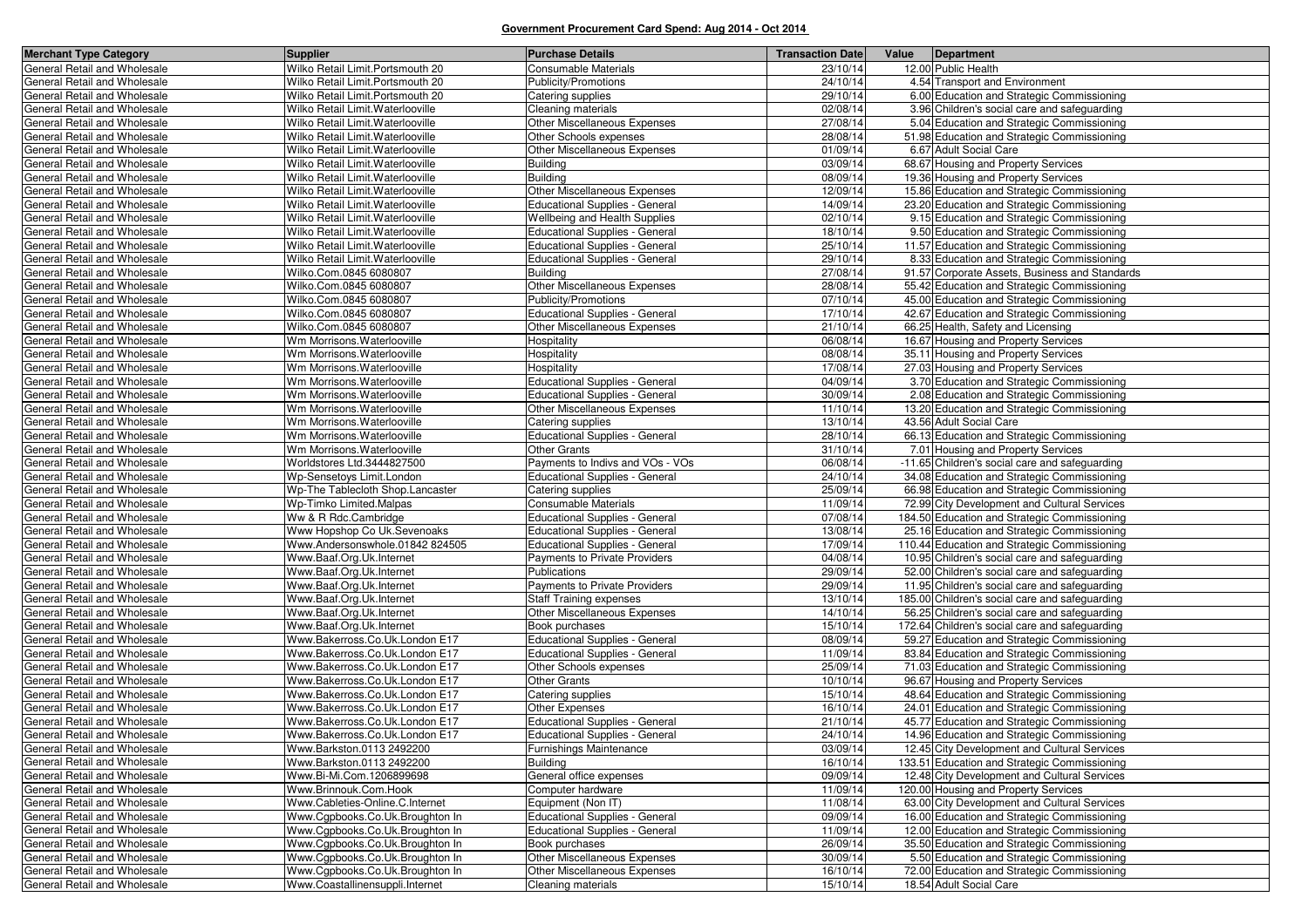| <b>Merchant Type Category</b> | Supplier                          | <b>Purchase Details</b>               | <b>Transaction Date</b> | Value | Department                                     |
|-------------------------------|-----------------------------------|---------------------------------------|-------------------------|-------|------------------------------------------------|
| General Retail and Wholesale  | Wilko Retail Limit. Portsmouth 20 | <b>Consumable Materials</b>           | 23/10/14                |       | 12.00 Public Health                            |
| General Retail and Wholesale  | Wilko Retail Limit. Portsmouth 20 | Publicity/Promotions                  | 24/10/14                |       | 4.54 Transport and Environment                 |
| General Retail and Wholesale  | Wilko Retail Limit. Portsmouth 20 | Catering supplies                     | 29/10/14                |       | 6.00 Education and Strategic Commissioning     |
| General Retail and Wholesale  | Wilko Retail Limit. Waterlooville | Cleaning materials                    | 02/08/14                |       | 3.96 Children's social care and safeguarding   |
| General Retail and Wholesale  | Wilko Retail Limit. Waterlooville | Other Miscellaneous Expenses          | 27/08/14                |       | 5.04 Education and Strategic Commissioning     |
| General Retail and Wholesale  | Wilko Retail Limit. Waterlooville | Other Schools expenses                | 28/08/14                |       | 51.98 Education and Strategic Commissioning    |
| General Retail and Wholesale  | Wilko Retail Limit. Waterlooville | Other Miscellaneous Expenses          | 01/09/14                |       | 6.67 Adult Social Care                         |
| General Retail and Wholesale  | Wilko Retail Limit. Waterlooville | <b>Building</b>                       | 03/09/14                |       | 68.67 Housing and Property Services            |
| General Retail and Wholesale  | Wilko Retail Limit. Waterlooville | <b>Building</b>                       | 08/09/14                |       | 19.36 Housing and Property Services            |
| General Retail and Wholesale  | Wilko Retail Limit. Waterlooville | Other Miscellaneous Expenses          | 12/09/14                |       | 15.86 Education and Strategic Commissioning    |
| General Retail and Wholesale  | Wilko Retail Limit. Waterlooville | <b>Educational Supplies - General</b> | 14/09/14                |       | 23.20 Education and Strategic Commissioning    |
| General Retail and Wholesale  | Wilko Retail Limit. Waterlooville | Wellbeing and Health Supplies         | 02/10/14                |       | 9.15 Education and Strategic Commissioning     |
| General Retail and Wholesale  | Wilko Retail Limit. Waterlooville | <b>Educational Supplies - General</b> | 18/10/14                |       | 9.50 Education and Strategic Commissioning     |
| General Retail and Wholesale  | Wilko Retail Limit. Waterlooville | Educational Supplies - General        | 25/10/14                |       | 11.57 Education and Strategic Commissioning    |
| General Retail and Wholesale  | Wilko Retail Limit. Waterlooville | <b>Educational Supplies - General</b> | 29/10/14                |       | 8.33 Education and Strategic Commissioning     |
| General Retail and Wholesale  | Wilko.Com.0845 6080807            | <b>Building</b>                       | 27/08/14                |       | 91.57 Corporate Assets, Business and Standards |
| General Retail and Wholesale  | Wilko.Com.0845 6080807            | Other Miscellaneous Expenses          | 28/08/14                |       | 55.42 Education and Strategic Commissioning    |
| General Retail and Wholesale  | Wilko.Com.0845 6080807            | Publicity/Promotions                  | 07/10/14                |       | 45.00 Education and Strategic Commissioning    |
| General Retail and Wholesale  | Wilko.Com.0845 6080807            | <b>Educational Supplies - General</b> | 17/10/14                |       | 42.67 Education and Strategic Commissioning    |
| General Retail and Wholesale  | Wilko.Com.0845 6080807            | Other Miscellaneous Expenses          | 21/10/14                |       | 66.25 Health, Safety and Licensing             |
| General Retail and Wholesale  | Wm Morrisons. Waterlooville       | Hospitality                           | 06/08/14                |       | 16.67 Housing and Property Services            |
| General Retail and Wholesale  | Wm Morrisons. Waterlooville       | Hospitality                           | 08/08/14                |       | 35.11 Housing and Property Services            |
| General Retail and Wholesale  | Wm Morrisons. Waterlooville       | Hospitality                           | 17/08/14                |       | 27.03 Housing and Property Services            |
| General Retail and Wholesale  | Wm Morrisons. Waterlooville       | <b>Educational Supplies - General</b> | 04/09/14                |       | 3.70 Education and Strategic Commissioning     |
| General Retail and Wholesale  | Wm Morrisons. Waterlooville       | <b>Educational Supplies - General</b> | 30/09/14                |       | 2.08 Education and Strategic Commissioning     |
| General Retail and Wholesale  | Wm Morrisons. Waterlooville       | Other Miscellaneous Expenses          | 11/10/14                |       | 13.20 Education and Strategic Commissioning    |
| General Retail and Wholesale  | Wm Morrisons. Waterlooville       | Catering supplies                     | 13/10/14                |       | 43.56 Adult Social Care                        |
| General Retail and Wholesale  | Wm Morrisons. Waterlooville       | <b>Educational Supplies - General</b> | 28/10/14                |       | 66.13 Education and Strategic Commissioning    |
| General Retail and Wholesale  | Wm Morrisons. Waterlooville       | <b>Other Grants</b>                   | 31/10/14                |       | 7.01 Housing and Property Services             |
| General Retail and Wholesale  | Worldstores Ltd.3444827500        | Payments to Indivs and VOs - VOs      | 06/08/14                |       | -11.65 Children's social care and safeguarding |
| General Retail and Wholesale  | Wp-Sensetoys Limit.London         | <b>Educational Supplies - General</b> | 24/10/14                |       | 34.08 Education and Strategic Commissioning    |
| General Retail and Wholesale  | Wp-The Tablecloth Shop.Lancaster  | Catering supplies                     | 25/09/14                |       | 66.98 Education and Strategic Commissioning    |
| General Retail and Wholesale  | Wp-Timko Limited.Malpas           | Consumable Materials                  | 11/09/14                |       | 72.99 City Development and Cultural Services   |
| General Retail and Wholesale  | Ww & R Rdc.Cambridge              | <b>Educational Supplies - General</b> | 07/08/14                |       | 184.50 Education and Strategic Commissioning   |
| General Retail and Wholesale  | Www Hopshop Co Uk.Sevenoaks       | <b>Educational Supplies - General</b> | 13/08/14                |       | 25.16 Education and Strategic Commissioning    |
| General Retail and Wholesale  | Www.Andersonswhole.01842 824505   | Educational Supplies - General        | 17/09/14                |       | 110.44 Education and Strategic Commissioning   |
| General Retail and Wholesale  | Www.Baaf.Org.Uk.Internet          | Payments to Private Providers         | 04/08/14                |       | 10.95 Children's social care and safeguarding  |
| General Retail and Wholesale  | Www.Baaf.Org.Uk.Internet          | Publications                          | 29/09/14                |       | 52.00 Children's social care and safeguarding  |
| General Retail and Wholesale  | Www.Baaf.Org.Uk.Internet          | Payments to Private Providers         | 29/09/14                |       | 11.95 Children's social care and safeguarding  |
| General Retail and Wholesale  | Www.Baaf.Org.Uk.Internet          | <b>Staff Training expenses</b>        | 13/10/14                |       | 185.00 Children's social care and safeguarding |
| General Retail and Wholesale  | Www.Baaf.Org.Uk.Internet          | Other Miscellaneous Expenses          | 14/10/14                |       | 56.25 Children's social care and safeguarding  |
| General Retail and Wholesale  | Www.Baaf.Org.Uk.Internet          | Book purchases                        | 15/10/14                |       | 172.64 Children's social care and safeguarding |
| General Retail and Wholesale  | Www.Bakerross.Co.Uk.London E17    | <b>Educational Supplies - General</b> | 08/09/14                |       | 59.27 Education and Strategic Commissioning    |
| General Retail and Wholesale  | Www.Bakerross.Co.Uk.London E17    | <b>Educational Supplies - General</b> | 11/09/14                |       | 83.84 Education and Strategic Commissioning    |
| General Retail and Wholesale  | Www.Bakerross.Co.Uk.London E17    | Other Schools expenses                | 25/09/14                |       | 71.03 Education and Strategic Commissioning    |
| General Retail and Wholesale  | Www.Bakerross.Co.Uk.London E17    | Other Grants                          | 10/10/14                |       | 96.67 Housing and Property Services            |
| General Retail and Wholesale  | Www.Bakerross.Co.Uk.London E17    | Catering supplies                     | 15/10/14                |       | 48.64 Education and Strategic Commissioning    |
| General Retail and Wholesale  | Www.Bakerross.Co.Uk.London E17    | Other Expenses                        | 16/10/14                |       | 24.01 Education and Strategic Commissioning    |
| General Retail and Wholesale  | Www.Bakerross.Co.Uk.London E17    | Educational Supplies - General        | 21/10/14                |       | 45.77 Education and Strategic Commissioning    |
| General Retail and Wholesale  | Www.Bakerross.Co.Uk.London E17    | <b>Educational Supplies - General</b> | 24/10/14                |       | 14.96 Education and Strategic Commissioning    |
| General Retail and Wholesale  | Www.Barkston.0113 2492200         | Furnishings Maintenance               | 03/09/14                |       | 12.45 City Development and Cultural Services   |
| General Retail and Wholesale  | Www.Barkston.0113 2492200         | Building                              | 16/10/14                |       | 133.51 Education and Strategic Commissioning   |
| General Retail and Wholesale  | Www.Bi-Mi.Com.1206899698          | General office expenses               | 09/09/14                |       | 12.48 City Development and Cultural Services   |
| General Retail and Wholesale  | Www.Brinnouk.Com.Hook             | Computer hardware                     | 11/09/14                |       | 120.00 Housing and Property Services           |
| General Retail and Wholesale  | Www.Cableties-Online.C.Internet   | Equipment (Non IT)                    | 11/08/14                |       | 63.00 City Development and Cultural Services   |
| General Retail and Wholesale  | Www.Cgpbooks.Co.Uk.Broughton In   | Educational Supplies - General        | 09/09/14                |       | 16.00 Education and Strategic Commissioning    |
| General Retail and Wholesale  | Www.Cgpbooks.Co.Uk.Broughton In   | <b>Educational Supplies - General</b> | 11/09/14                |       | 12.00 Education and Strategic Commissioning    |
| General Retail and Wholesale  | Www.Cgpbooks.Co.Uk.Broughton In   | Book purchases                        | 26/09/14                |       | 35.50 Education and Strategic Commissioning    |
| General Retail and Wholesale  | Www.Cqpbooks.Co.Uk.Broughton In   | Other Miscellaneous Expenses          | 30/09/14                |       | 5.50 Education and Strategic Commissioning     |
| General Retail and Wholesale  | Www.Cgpbooks.Co.Uk.Broughton In   | Other Miscellaneous Expenses          | 16/10/14                |       | 72.00 Education and Strategic Commissioning    |
| General Retail and Wholesale  | Www.Coastallinensuppli.Internet   | Cleaning materials                    | 15/10/14                |       | 18.54 Adult Social Care                        |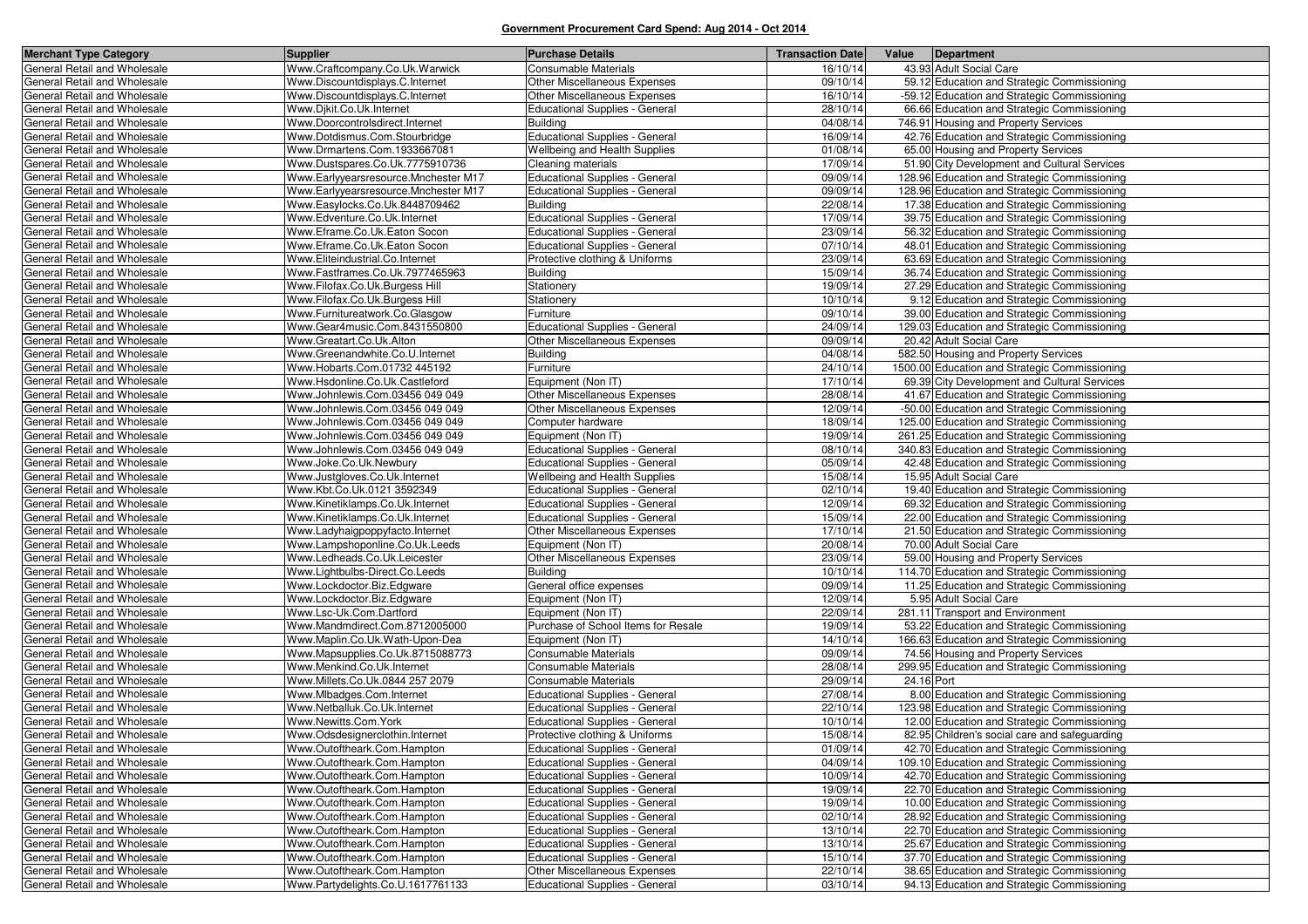| <b>Merchant Type Category</b>                                | <b>Supplier</b>                                           | <b>Purchase Details</b>                                   | <b>Transaction Date</b> | Value<br>Department                                                             |
|--------------------------------------------------------------|-----------------------------------------------------------|-----------------------------------------------------------|-------------------------|---------------------------------------------------------------------------------|
| General Retail and Wholesale                                 | Www.Craftcompany.Co.Uk.Warwick                            | Consumable Materials                                      | 16/10/14                | 43.93 Adult Social Care                                                         |
| General Retail and Wholesale                                 | Www.Discountdisplays.C.Internet                           | Other Miscellaneous Expenses                              | 09/10/14                | 59.12 Education and Strategic Commissioning                                     |
| General Retail and Wholesale                                 | Www.Discountdisplays.C.Internet                           | Other Miscellaneous Expenses                              | 16/10/14                | -59.12 Education and Strategic Commissioning                                    |
| General Retail and Wholesale                                 | Www.Djkit.Co.Uk.Internet                                  | <b>Educational Supplies - General</b>                     | 28/10/14                | 66.66 Education and Strategic Commissioning                                     |
| General Retail and Wholesale                                 | Www.Doorcontrolsdirect.Internet                           | <b>Building</b>                                           | 04/08/14                | 746.91 Housing and Property Services                                            |
| General Retail and Wholesale                                 | Www.Dotdismus.Com.Stourbridge                             | <b>Educational Supplies - General</b>                     | 16/09/14                | 42.76 Education and Strategic Commissioning                                     |
| General Retail and Wholesale                                 | Www.Drmartens.Com.1933667081                              | Wellbeing and Health Supplies                             | 01/08/14                | 65.00 Housing and Property Services                                             |
| General Retail and Wholesale                                 | Www.Dustspares.Co.Uk.7775910736                           | Cleaning materials                                        | 17/09/14                | 51.90 City Development and Cultural Services                                    |
| General Retail and Wholesale                                 | Www.Earlyyearsresource.Mnchester M17                      | <b>Educational Supplies - General</b>                     | 09/09/14                | 128.96 Education and Strategic Commissioning                                    |
| General Retail and Wholesale                                 | Www.Earlyyearsresource.Mnchester M17                      | <b>Educational Supplies - General</b>                     | 09/09/14                | 128.96 Education and Strategic Commissioning                                    |
| General Retail and Wholesale                                 | Www.Easylocks.Co.Uk.8448709462                            | <b>Building</b>                                           | 22/08/14                | 17.38 Education and Strategic Commissioning                                     |
| General Retail and Wholesale                                 | Www.Edventure.Co.Uk.Internet                              | <b>Educational Supplies - General</b>                     | 17/09/14                | 39.75 Education and Strategic Commissioning                                     |
| General Retail and Wholesale                                 | Www.Eframe.Co.Uk.Eaton Socon                              | <b>Educational Supplies - General</b>                     | 23/09/14                | 56.32 Education and Strategic Commissioning                                     |
| General Retail and Wholesale                                 | Www.Eframe.Co.Uk.Eaton Socon                              | <b>Educational Supplies - General</b>                     | 07/10/14                | 48.01 Education and Strategic Commissioning                                     |
| General Retail and Wholesale                                 | Www.Eliteindustrial.Co.Internet                           | Protective clothing & Uniforms                            | 23/09/14                | 63.69 Education and Strategic Commissioning                                     |
| General Retail and Wholesale                                 | Www.Fastframes.Co.Uk.7977465963                           | <b>Building</b>                                           | 15/09/14                | 36.74 Education and Strategic Commissioning                                     |
| General Retail and Wholesale                                 | Www.Filofax.Co.Uk.Burgess Hill                            | Stationery                                                | 19/09/14                | 27.29 Education and Strategic Commissioning                                     |
| General Retail and Wholesale                                 | Www.Filofax.Co.Uk.Burgess Hill                            | Stationery                                                | 10/10/14                | 9.12 Education and Strategic Commissioning                                      |
| General Retail and Wholesale                                 | Www.Furnitureatwork.Co.Glasgow                            | Furniture                                                 | 09/10/14                | 39.00 Education and Strategic Commissioning                                     |
| General Retail and Wholesale                                 | Www.Gear4music.Com.8431550800                             | <b>Educational Supplies - General</b>                     | 24/09/14                | 129.03 Education and Strategic Commissioning                                    |
| General Retail and Wholesale                                 | Www.Greatart.Co.Uk.Alton                                  | Other Miscellaneous Expenses                              | 09/09/14                | 20.42 Adult Social Care                                                         |
| General Retail and Wholesale                                 | Www.Greenandwhite.Co.U.Internet                           | <b>Building</b>                                           | 04/08/14                | 582.50 Housing and Property Services                                            |
| General Retail and Wholesale                                 | Www.Hobarts.Com.01732 445192                              | Furniture                                                 | 24/10/14                | 1500.00 Education and Strategic Commissioning                                   |
| General Retail and Wholesale                                 | Www.Hsdonline.Co.Uk.Castleford                            | Equipment (Non IT)                                        | 17/10/14                | 69.39 City Development and Cultural Services                                    |
| General Retail and Wholesale                                 | Www.Johnlewis.Com.03456 049 049                           | <b>Other Miscellaneous Expenses</b>                       | 28/08/14                | 41.67 Education and Strategic Commissioning                                     |
| General Retail and Wholesale                                 | Www.Johnlewis.Com.03456 049 049                           | <b>Other Miscellaneous Expenses</b>                       | 12/09/14                | -50.00 Education and Strategic Commissioning                                    |
| General Retail and Wholesale                                 | Www.Johnlewis.Com.03456 049 049                           | Computer hardware                                         | 18/09/14                | 125.00 Education and Strategic Commissioning                                    |
| General Retail and Wholesale                                 | Www.Johnlewis.Com.03456 049 049                           | Equipment (Non IT)                                        | 19/09/14                | 261.25 Education and Strategic Commissioning                                    |
| General Retail and Wholesale                                 | Www.Johnlewis.Com.03456 049 049                           | <b>Educational Supplies - General</b>                     | 08/10/14                | 340.83 Education and Strategic Commissioning                                    |
| General Retail and Wholesale                                 | Www.Joke.Co.Uk.Newbury                                    | Educational Supplies - General                            | 05/09/14                | 42.48 Education and Strategic Commissioning                                     |
| General Retail and Wholesale                                 | Www.Justgloves.Co.Uk.Internet                             | <b>Wellbeing and Health Supplies</b>                      | 15/08/14                | 15.95 Adult Social Care                                                         |
| General Retail and Wholesale                                 | Www.Kbt.Co.Uk.0121 3592349                                | <b>Educational Supplies - General</b>                     | 02/10/14                | 19.40 Education and Strategic Commissioning                                     |
| General Retail and Wholesale                                 | Www.Kinetiklamps.Co.Uk.Internet                           | <b>Educational Supplies - General</b>                     | 12/09/14                | 69.32 Education and Strategic Commissioning                                     |
| General Retail and Wholesale                                 | Www.Kinetiklamps.Co.Uk.Internet                           | <b>Educational Supplies - General</b>                     | 15/09/14                | 22.00 Education and Strategic Commissioning                                     |
| General Retail and Wholesale                                 | Www.Ladyhaigpoppyfacto.Internet                           | <b>Other Miscellaneous Expenses</b>                       | 17/10/14                | 21.50 Education and Strategic Commissioning                                     |
| General Retail and Wholesale                                 | Www.Lampshoponline.Co.Uk.Leeds                            | Equipment (Non IT)                                        | 20/08/14                | 70.00 Adult Social Care                                                         |
| General Retail and Wholesale                                 | Www.Ledheads.Co.Uk.Leicester                              | Other Miscellaneous Expenses                              | 23/09/14                | 59.00 Housing and Property Services                                             |
| General Retail and Wholesale                                 | Www.Lightbulbs-Direct.Co.Leeds                            | <b>Building</b>                                           | 10/10/14                | 114.70 Education and Strategic Commissioning                                    |
| General Retail and Wholesale                                 | Www.Lockdoctor.Biz.Edgware                                | General office expenses                                   | 09/09/14                | 11.25 Education and Strategic Commissioning                                     |
| General Retail and Wholesale                                 | Www.Lockdoctor.Biz.Edgware                                | Equipment (Non IT)                                        | 12/09/14                | 5.95 Adult Social Care                                                          |
| General Retail and Wholesale<br>General Retail and Wholesale | Www.Lsc-Uk.Com.Dartford<br>Www.Mandmdirect.Com.8712005000 | Equipment (Non IT)<br>Purchase of School Items for Resale | 22/09/14<br>19/09/14    | 281.11 Transport and Environment<br>53.22 Education and Strategic Commissioning |
| General Retail and Wholesale                                 | Www.Maplin.Co.Uk.Wath-Upon-Dea                            | Equipment (Non IT)                                        | 14/10/14                | 166.63 Education and Strategic Commissioning                                    |
| General Retail and Wholesale                                 | Www.Mapsupplies.Co.Uk.8715088773                          | Consumable Materials                                      | 09/09/14                | 74.56 Housing and Property Services                                             |
| General Retail and Wholesale                                 | Www.Menkind.Co.Uk.Internet                                | Consumable Materials                                      | 28/08/14                | 299.95 Education and Strategic Commissioning                                    |
| General Retail and Wholesale                                 | Www.Millets.Co.Uk.0844 257 2079                           | Consumable Materials                                      | 29/09/14                | 24.16 Port                                                                      |
| General Retail and Wholesale                                 | Www.Mlbadges.Com.Internet                                 | <b>Educational Supplies - General</b>                     | 27/08/14                | 8.00 Education and Strategic Commissioning                                      |
| General Retail and Wholesale                                 | Www.Netballuk.Co.Uk.Internet                              | <b>Educational Supplies - General</b>                     | 22/10/14                | 123.98 Education and Strategic Commissioning                                    |
| General Retail and Wholesale                                 | Www.Newitts.Com.York                                      | <b>Educational Supplies - General</b>                     | 10/10/14                | 12.00 Education and Strategic Commissioning                                     |
| General Retail and Wholesale                                 | Www.Odsdesignerclothin.Internet                           | Protective clothing & Uniforms                            | 15/08/14                | 82.95 Children's social care and safeguarding                                   |
| General Retail and Wholesale                                 | Www.Outoftheark.Com.Hampton                               | <b>Educational Supplies - General</b>                     | 01/09/14                | 42.70 Education and Strategic Commissioning                                     |
| General Retail and Wholesale                                 | Www.Outoftheark.Com.Hampton                               | <b>Educational Supplies - General</b>                     | 04/09/14                | 109.10 Education and Strategic Commissioning                                    |
| General Retail and Wholesale                                 | Www.Outoftheark.Com.Hampton                               | Educational Supplies - General                            | 10/09/14                | 42.70 Education and Strategic Commissioning                                     |
| General Retail and Wholesale                                 | Www.Outoftheark.Com.Hampton                               | Educational Supplies - General                            | 19/09/14                | 22.70 Education and Strategic Commissioning                                     |
| General Retail and Wholesale                                 | Www.Outoftheark.Com.Hampton                               | Educational Supplies - General                            | 19/09/14                | 10.00 Education and Strategic Commissioning                                     |
| General Retail and Wholesale                                 | Www.Outoftheark.Com.Hampton                               | <b>Educational Supplies - General</b>                     | 02/10/14                | 28.92 Education and Strategic Commissioning                                     |
| General Retail and Wholesale                                 | Www.Outoftheark.Com.Hampton                               | Educational Supplies - General                            | 13/10/14                | 22.70 Education and Strategic Commissioning                                     |
| General Retail and Wholesale                                 | Www.Outoftheark.Com.Hampton                               | Educational Supplies - General                            | 13/10/14                | 25.67 Education and Strategic Commissioning                                     |
| General Retail and Wholesale                                 | Www.Outoftheark.Com.Hampton                               | Educational Supplies - General                            | 15/10/14                | 37.70 Education and Strategic Commissioning                                     |
| General Retail and Wholesale                                 | Www.Outoftheark.Com.Hampton                               | Other Miscellaneous Expenses                              | 22/10/14                | 38.65 Education and Strategic Commissioning                                     |
| General Retail and Wholesale                                 | Www.Partydelights.Co.U.1617761133                         | <b>Educational Supplies - General</b>                     | 03/10/14                | 94.13 Education and Strategic Commissioning                                     |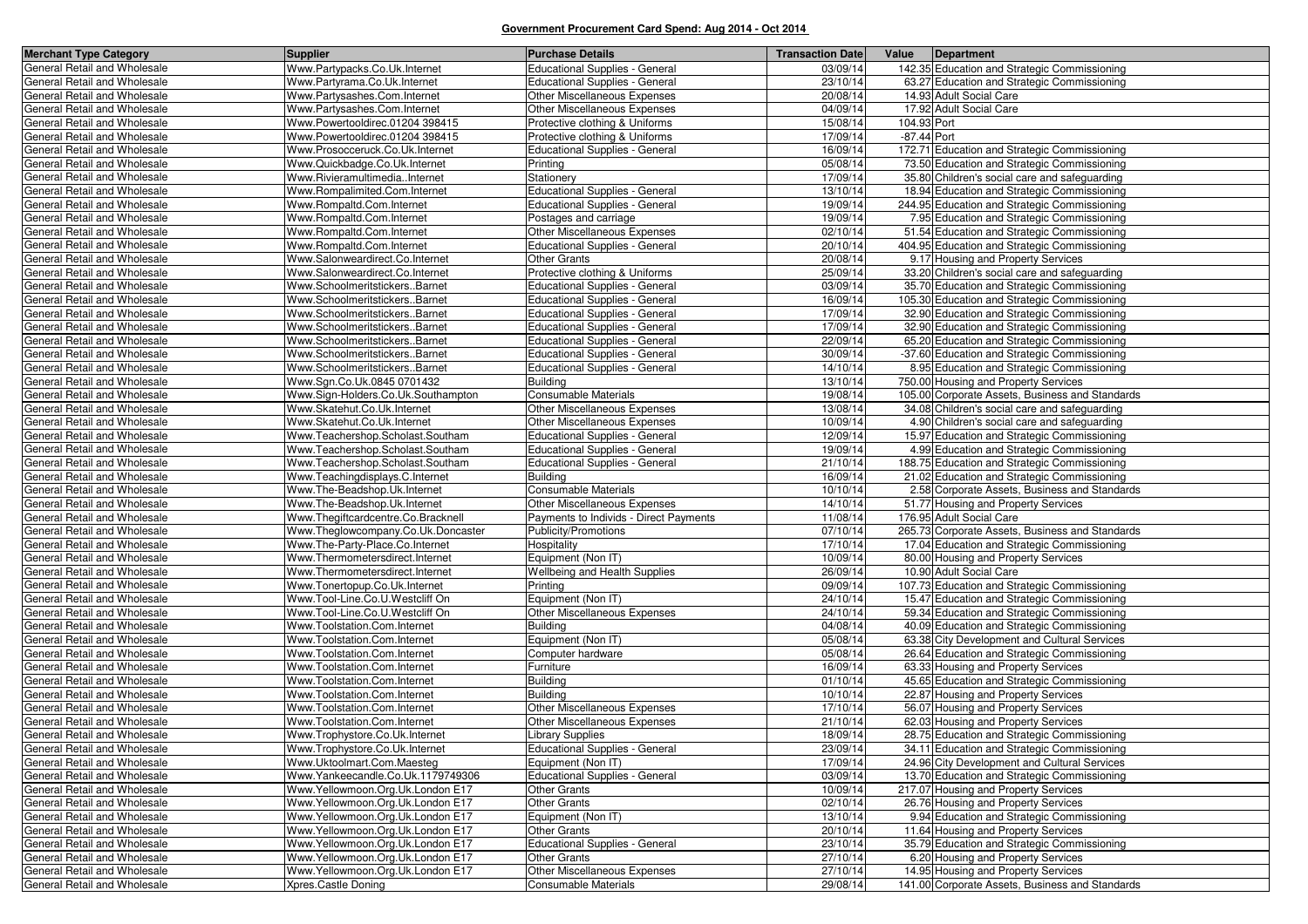| <b>Merchant Type Category</b>                                | <b>Supplier</b>                                                  | <b>Purchase Details</b>                         | <b>Transaction Date</b> | Value       | Department                                                                                 |
|--------------------------------------------------------------|------------------------------------------------------------------|-------------------------------------------------|-------------------------|-------------|--------------------------------------------------------------------------------------------|
| General Retail and Wholesale                                 | Www.Partypacks.Co.Uk.Internet                                    | Educational Supplies - General                  | 03/09/14                |             | 142.35 Education and Strategic Commissioning                                               |
| General Retail and Wholesale                                 | Www.Partyrama.Co.Uk.Internet                                     | <b>Educational Supplies - General</b>           | 23/10/14                |             | 63.27 Education and Strategic Commissioning                                                |
| General Retail and Wholesale                                 | Www.Partysashes.Com.Internet                                     | Other Miscellaneous Expenses                    | 20/08/14                |             | 14.93 Adult Social Care                                                                    |
| General Retail and Wholesale                                 | Www.Partysashes.Com.Internet                                     | Other Miscellaneous Expenses                    | 04/09/14                |             | 17.92 Adult Social Care                                                                    |
| General Retail and Wholesale                                 | Www.Powertooldirec.01204 398415                                  | Protective clothing & Uniforms                  | 15/08/14                | 104.93 Port |                                                                                            |
| General Retail and Wholesale                                 | Www.Powertooldirec.01204 398415                                  | Protective clothing & Uniforms                  | 17/09/14                | -87.44 Port |                                                                                            |
| General Retail and Wholesale                                 | Www.Prosocceruck.Co.Uk.Internet                                  | <b>Educational Supplies - General</b>           | 16/09/14                |             | 172.71 Education and Strategic Commissioning                                               |
| General Retail and Wholesale                                 | Www.Quickbadge.Co.Uk.Internet                                    | Printing                                        | 05/08/14                |             | 73.50 Education and Strategic Commissioning                                                |
| General Retail and Wholesale                                 | Www.RivieramultimediaInternet                                    | Stationery                                      | 17/09/14                |             | 35.80 Children's social care and safeguarding                                              |
| General Retail and Wholesale                                 | Www.Rompalimited.Com.Internet                                    | <b>Educational Supplies - General</b>           | 13/10/14                |             | 18.94 Education and Strategic Commissioning                                                |
| General Retail and Wholesale                                 | Www.Rompaltd.Com.Internet                                        | <b>Educational Supplies - General</b>           | 19/09/14                |             | 244.95 Education and Strategic Commissioning                                               |
| General Retail and Wholesale                                 | Www.Rompaltd.Com.Internet                                        | Postages and carriage                           | 19/09/14                |             | 7.95 Education and Strategic Commissioning                                                 |
| General Retail and Wholesale                                 | Www.Rompaltd.Com.Internet                                        | Other Miscellaneous Expenses                    | 02/10/14                |             | 51.54 Education and Strategic Commissioning                                                |
| General Retail and Wholesale                                 | Www.Rompaltd.Com.Internet                                        | Educational Supplies - General                  | 20/10/14                |             | 404.95 Education and Strategic Commissioning                                               |
| General Retail and Wholesale                                 | Www.Salonweardirect.Co.Internet                                  | <b>Other Grants</b>                             | 20/08/14                |             | 9.17 Housing and Property Services                                                         |
| General Retail and Wholesale                                 | Www.Salonweardirect.Co.Internet                                  | Protective clothing & Uniforms                  | 25/09/14                |             | 33.20 Children's social care and safeguarding                                              |
| General Retail and Wholesale                                 | Www.SchoolmeritstickersBarnet                                    | <b>Educational Supplies - General</b>           | 03/09/14                |             | 35.70 Education and Strategic Commissioning                                                |
| General Retail and Wholesale                                 | Www.SchoolmeritstickersBarnet                                    | Educational Supplies - General                  | 16/09/14                |             | 105.30 Education and Strategic Commissioning                                               |
| General Retail and Wholesale                                 | Www.SchoolmeritstickersBarnet                                    | <b>Educational Supplies - General</b>           | 17/09/14                |             | 32.90 Education and Strategic Commissioning                                                |
| General Retail and Wholesale                                 | Www.SchoolmeritstickersBarnet                                    | <b>Educational Supplies - General</b>           | 17/09/14                |             | 32.90 Education and Strategic Commissioning                                                |
| General Retail and Wholesale                                 | Www.SchoolmeritstickersBarnet                                    | <b>Educational Supplies - General</b>           | 22/09/14                |             | 65.20 Education and Strategic Commissioning                                                |
| General Retail and Wholesale                                 | Www.SchoolmeritstickersBarnet                                    | <b>Educational Supplies - General</b>           | 30/09/14                |             | -37.60 Education and Strategic Commissioning                                               |
| General Retail and Wholesale                                 | Www.SchoolmeritstickersBarnet                                    | <b>Educational Supplies - General</b>           | 14/10/14                |             | 8.95 Education and Strategic Commissioning                                                 |
| General Retail and Wholesale                                 | Www.Sgn.Co.Uk.0845 0701432                                       | <b>Building</b>                                 | 13/10/14                |             | 750.00 Housing and Property Services                                                       |
| General Retail and Wholesale                                 | Www.Sign-Holders.Co.Uk.Southampton                               | Consumable Materials                            | 19/08/14                |             | 105.00 Corporate Assets, Business and Standards                                            |
| General Retail and Wholesale                                 | Www.Skatehut.Co.Uk.Internet                                      | Other Miscellaneous Expenses                    | 13/08/14                |             | 34.08 Children's social care and safeguarding                                              |
| General Retail and Wholesale                                 | Www.Skatehut.Co.Uk.Internet                                      | Other Miscellaneous Expenses                    | 10/09/14                |             | 4.90 Children's social care and safeguarding                                               |
| General Retail and Wholesale                                 | Www.Teachershop.Scholast.Southam                                 | <b>Educational Supplies - General</b>           | 12/09/14                |             | 15.97 Education and Strategic Commissioning                                                |
| General Retail and Wholesale                                 | Www.Teachershop.Scholast.Southam                                 | <b>Educational Supplies - General</b>           | 19/09/14                |             | 4.99 Education and Strategic Commissioning                                                 |
| General Retail and Wholesale                                 | Www.Teachershop.Scholast.Southam                                 | <b>Educational Supplies - General</b>           | 21/10/14                |             | 188.75 Education and Strategic Commissioning                                               |
| General Retail and Wholesale                                 | Www.Teachingdisplays.C.Internet                                  | <b>Building</b>                                 | 16/09/14                |             | 21.02 Education and Strategic Commissioning                                                |
| General Retail and Wholesale                                 | Www.The-Beadshop.Uk.Internet                                     | <b>Consumable Materials</b>                     | 10/10/14                |             | 2.58 Corporate Assets, Business and Standards                                              |
| General Retail and Wholesale                                 | Www.The-Beadshop.Uk.Internet                                     | Other Miscellaneous Expenses                    | 14/10/14                |             | 51.77 Housing and Property Services                                                        |
| General Retail and Wholesale                                 | Www.Thegiftcardcentre.Co.Bracknell                               | Payments to Individs - Direct Payments          | 11/08/14                |             | 176.95 Adult Social Care                                                                   |
| General Retail and Wholesale                                 | Www.Theglowcompany.Co.Uk.Doncaster                               | Publicity/Promotions                            | 07/10/14                |             | 265.73 Corporate Assets, Business and Standards                                            |
| General Retail and Wholesale                                 | Www.The-Party-Place.Co.Internet                                  | Hospitality                                     | 17/10/14                |             | 17.04 Education and Strategic Commissioning                                                |
| General Retail and Wholesale                                 | Www.Thermometersdirect.Internet                                  | Equipment (Non IT)                              | 10/09/14                |             | 80.00 Housing and Property Services                                                        |
| General Retail and Wholesale                                 | Www.Thermometersdirect.Internet<br>Www.Tonertopup.Co.Uk.Internet | Wellbeing and Health Supplies                   | 26/09/14                |             | 10.90 Adult Social Care                                                                    |
| General Retail and Wholesale                                 |                                                                  | Printing<br>Equipment (Non IT)                  | 09/09/14<br>24/10/14    |             | 107.73 Education and Strategic Commissioning                                               |
| General Retail and Wholesale                                 | Www.Tool-Line.Co.U.Westcliff On                                  |                                                 | 24/10/14                |             | 15.47 Education and Strategic Commissioning                                                |
| General Retail and Wholesale<br>General Retail and Wholesale | Www.Tool-Line.Co.U.Westcliff On<br>Www.Toolstation.Com.Internet  | Other Miscellaneous Expenses<br><b>Building</b> | 04/08/14                |             | 59.34 Education and Strategic Commissioning<br>40.09 Education and Strategic Commissioning |
| General Retail and Wholesale                                 | Www.Toolstation.Com.Internet                                     | Equipment (Non IT)                              | 05/08/14                |             | 63.38 City Development and Cultural Services                                               |
| General Retail and Wholesale                                 | Www.Toolstation.Com.Internet                                     | Computer hardware                               | 05/08/14                |             | 26.64 Education and Strategic Commissioning                                                |
| General Retail and Wholesale                                 | Www.Toolstation.Com.Internet                                     | Furniture                                       | 16/09/14                |             | 63.33 Housing and Property Services                                                        |
| General Retail and Wholesale                                 | Www.Toolstation.Com.Internet                                     | <b>Building</b>                                 | 01/10/14                |             | 45.65 Education and Strategic Commissioning                                                |
| General Retail and Wholesale                                 | Www.Toolstation.Com.Internet                                     | <b>Building</b>                                 | 10/10/14                |             | 22.87 Housing and Property Services                                                        |
| General Retail and Wholesale                                 | Www.Toolstation.Com.Internet                                     | Other Miscellaneous Expenses                    | 17/10/14                |             | 56.07 Housing and Property Services                                                        |
| General Retail and Wholesale                                 | Www.Toolstation.Com.Internet                                     | Other Miscellaneous Expenses                    | 21/10/14                |             | 62.03 Housing and Property Services                                                        |
| General Retail and Wholesale                                 | Www.Trophystore.Co.Uk.Internet                                   | <b>Library Supplies</b>                         | 18/09/14                |             | 28.75 Education and Strategic Commissioning                                                |
| General Retail and Wholesale                                 | Www.Trophystore.Co.Uk.Internet                                   | Educational Supplies - General                  | 23/09/14                |             | 34.11 Education and Strategic Commissioning                                                |
| General Retail and Wholesale                                 | Www.Uktoolmart.Com.Maesteg                                       | Equipment (Non IT)                              | 17/09/14                |             | 24.96 City Development and Cultural Services                                               |
| General Retail and Wholesale                                 | Www.Yankeecandle.Co.Uk.1179749306                                | <b>Educational Supplies - General</b>           | 03/09/14                |             | 13.70 Education and Strategic Commissioning                                                |
| General Retail and Wholesale                                 | Www.Yellowmoon.Org.Uk.London E17                                 | Other Grants                                    | 10/09/14                |             | 217.07 Housing and Property Services                                                       |
| General Retail and Wholesale                                 | Www.Yellowmoon.Org.Uk.London E17                                 | <b>Other Grants</b>                             | 02/10/14                |             | 26.76 Housing and Property Services                                                        |
| General Retail and Wholesale                                 | Www.Yellowmoon.Org.Uk.London E17                                 | Equipment (Non IT)                              | 13/10/14                |             | 9.94 Education and Strategic Commissioning                                                 |
| General Retail and Wholesale                                 | Www.Yellowmoon.Org.Uk.London E17                                 | <b>Other Grants</b>                             | 20/10/14                |             | 11.64 Housing and Property Services                                                        |
| General Retail and Wholesale                                 | Www.Yellowmoon.Org.Uk.London E17                                 | Educational Supplies - General                  | 23/10/14                |             | 35.79 Education and Strategic Commissioning                                                |
| General Retail and Wholesale                                 | Www.Yellowmoon.Org.Uk.London E17                                 | <b>Other Grants</b>                             | 27/10/14                |             | 6.20 Housing and Property Services                                                         |
| General Retail and Wholesale                                 | Www.Yellowmoon.Org.Uk.London E17                                 | Other Miscellaneous Expenses                    | 27/10/14                |             | 14.95 Housing and Property Services                                                        |
| General Retail and Wholesale                                 | Xpres.Castle Doning                                              | Consumable Materials                            | 29/08/14                |             | 141.00 Corporate Assets, Business and Standards                                            |
|                                                              |                                                                  |                                                 |                         |             |                                                                                            |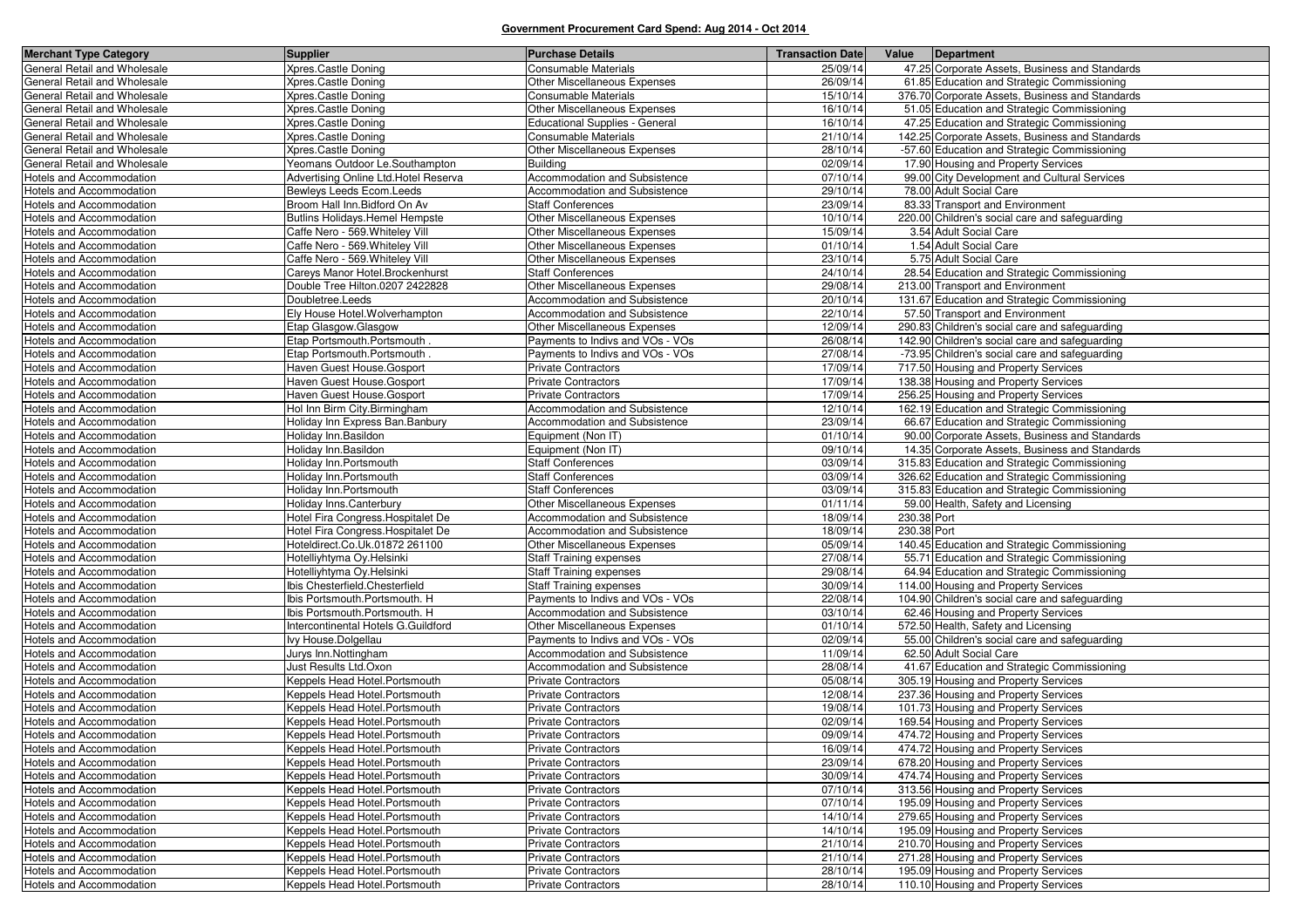| <b>Merchant Type Category</b>                               | <b>Supplier</b>                                                      | <b>Purchase Details</b>                                       | <b>Transaction Date</b> | Value                      | Department                                      |
|-------------------------------------------------------------|----------------------------------------------------------------------|---------------------------------------------------------------|-------------------------|----------------------------|-------------------------------------------------|
| General Retail and Wholesale                                | Xpres.Castle Doning                                                  | <b>Consumable Materials</b>                                   | 25/09/14                |                            | 47.25 Corporate Assets, Business and Standards  |
| General Retail and Wholesale                                | Xpres.Castle Doning                                                  | Other Miscellaneous Expenses                                  | 26/09/14                |                            | 61.85 Education and Strategic Commissioning     |
| General Retail and Wholesale                                | Xpres.Castle Doning                                                  | <b>Consumable Materials</b>                                   | 15/10/14                |                            | 376.70 Corporate Assets, Business and Standards |
| General Retail and Wholesale                                | Xpres.Castle Doning                                                  | Other Miscellaneous Expenses                                  | 16/10/14                |                            | 51.05 Education and Strategic Commissioning     |
| General Retail and Wholesale                                | Xpres.Castle Doning                                                  | <b>Educational Supplies - General</b>                         | 16/10/14                |                            | 47.25 Education and Strategic Commissioning     |
| General Retail and Wholesale                                | Xpres.Castle Doning                                                  | <b>Consumable Materials</b>                                   | 21/10/14                |                            | 142.25 Corporate Assets, Business and Standards |
| General Retail and Wholesale                                | Xpres.Castle Doning                                                  | Other Miscellaneous Expenses                                  | 28/10/14                |                            | -57.60 Education and Strategic Commissioning    |
| General Retail and Wholesale                                | Yeomans Outdoor Le.Southampton                                       | <b>Building</b>                                               | 02/09/14                |                            | 17.90 Housing and Property Services             |
| Hotels and Accommodation                                    | Advertising Online Ltd.Hotel Reserva                                 | Accommodation and Subsistence                                 | 07/10/14                |                            | 99.00 City Development and Cultural Services    |
| Hotels and Accommodation                                    | Bewleys Leeds Ecom.Leeds                                             | Accommodation and Subsistence                                 | 29/10/14                |                            | 78.00 Adult Social Care                         |
| Hotels and Accommodation                                    | Broom Hall Inn. Bidford On Av                                        | <b>Staff Conferences</b>                                      | 23/09/14                |                            | 83.33 Transport and Environment                 |
| Hotels and Accommodation                                    | <b>Butlins Holidays.Hemel Hempste</b>                                | Other Miscellaneous Expenses                                  | 10/10/14                |                            | 220.00 Children's social care and safeguarding  |
| <b>Iotels and Accommodation</b>                             | Caffe Nero - 569. Whiteley Vill                                      | Other Miscellaneous Expenses                                  | 15/09/14                |                            | 3.54 Adult Social Care                          |
| Hotels and Accommodation                                    | Caffe Nero - 569. Whiteley Vill                                      | Other Miscellaneous Expenses                                  | 01/10/14                |                            | 1.54 Adult Social Care                          |
| Hotels and Accommodation                                    | Caffe Nero - 569. Whiteley Vill                                      | Other Miscellaneous Expenses                                  | 23/10/14                |                            | 5.75 Adult Social Care                          |
| Hotels and Accommodation                                    | Careys Manor Hotel. Brockenhurst                                     | <b>Staff Conferences</b>                                      | 24/10/14                |                            | 28.54 Education and Strategic Commissioning     |
| Hotels and Accommodation                                    | Double Tree Hilton.0207 2422828                                      | Other Miscellaneous Expenses                                  | 29/08/14                |                            | 213.00 Transport and Environment                |
| Hotels and Accommodation                                    | Doubletree.Leeds                                                     | Accommodation and Subsistence                                 | 20/10/14                |                            | 131.67 Education and Strategic Commissioning    |
| Hotels and Accommodation                                    | Ely House Hotel. Wolverhampton                                       | Accommodation and Subsistence                                 | 22/10/14                |                            | 57.50 Transport and Environment                 |
| Hotels and Accommodation                                    | Etap Glasgow.Glasgow                                                 | Other Miscellaneous Expenses                                  | 12/09/14                |                            | 290.83 Children's social care and safeguarding  |
| Hotels and Accommodation                                    | Etap Portsmouth.Portsmouth                                           | Payments to Indivs and VOs - VOs                              | 26/08/14                |                            | 142.90 Children's social care and safeguarding  |
| Hotels and Accommodation                                    | Etap Portsmouth.Portsmouth                                           | Payments to Indivs and VOs - VOs                              | 27/08/14                |                            | -73.95 Children's social care and safeguarding  |
| Hotels and Accommodation                                    | Haven Guest House.Gosport                                            | <b>Private Contractors</b>                                    | 17/09/14                |                            | 717.50 Housing and Property Services            |
| <b>Hotels and Accommodation</b>                             | Haven Guest House.Gosport                                            | <b>Private Contractors</b>                                    | 17/09/14                |                            | 138.38 Housing and Property Services            |
| Hotels and Accommodation                                    | Haven Guest House.Gosport                                            | <b>Private Contractors</b>                                    | 17/09/14                |                            | 256.25 Housing and Property Services            |
| <b>Iotels and Accommodation</b>                             | Hol Inn Birm City.Birmingham                                         | Accommodation and Subsistence                                 | 12/10/14                |                            | 162.19 Education and Strategic Commissioning    |
| Hotels and Accommodation                                    | Holiday Inn Express Ban.Banbury                                      | Accommodation and Subsistence                                 | 23/09/14                |                            | 66.67 Education and Strategic Commissioning     |
| <b>Hotels and Accommodation</b>                             | Holiday Inn.Basildon                                                 | Equipment (Non IT)                                            | 01/10/14                |                            | 90.00 Corporate Assets, Business and Standards  |
| Hotels and Accommodation                                    | Holiday Inn.Basildon                                                 | Equipment (Non IT)                                            | 09/10/14                |                            | 14.35 Corporate Assets, Business and Standards  |
| <b>Hotels and Accommodation</b>                             | Holiday Inn.Portsmouth                                               | <b>Staff Conferences</b>                                      | 03/09/14                |                            | 315.83 Education and Strategic Commissioning    |
| Hotels and Accommodation                                    | Holiday Inn.Portsmouth                                               | <b>Staff Conferences</b>                                      | 03/09/14                |                            | 326.62 Education and Strategic Commissioning    |
| Hotels and Accommodation                                    | Holiday Inn.Portsmouth                                               | <b>Staff Conferences</b>                                      | 03/09/14                |                            | 315.83 Education and Strategic Commissioning    |
| Hotels and Accommodation                                    | Holiday Inns.Canterbury                                              | Other Miscellaneous Expenses                                  | 01/11/14                |                            | 59.00 Health, Safety and Licensing              |
| Hotels and Accommodation                                    | Hotel Fira Congress.Hospitalet De                                    | Accommodation and Subsistence                                 | 18/09/14<br>18/09/14    | 230.38 Port<br>230.38 Port |                                                 |
| Hotels and Accommodation                                    | Hotel Fira Congress. Hospitalet De<br>Hoteldirect.Co.Uk.01872 261100 | Accommodation and Subsistence<br>Other Miscellaneous Expenses | 05/09/14                |                            | 140.45 Education and Strategic Commissioning    |
| Hotels and Accommodation<br><b>Hotels and Accommodation</b> | Hotelliyhtyma Oy.Helsinki                                            | <b>Staff Training expenses</b>                                | 27/08/14                |                            | 55.71 Education and Strategic Commissioning     |
| Hotels and Accommodation                                    | Hotelliyhtyma Oy.Helsinki                                            | <b>Staff Training expenses</b>                                | 29/08/14                |                            | 64.94 Education and Strategic Commissioning     |
| Hotels and Accommodation                                    | bis Chesterfield.Chesterfield                                        | Staff Training expenses                                       | 30/09/14                |                            | 114.00 Housing and Property Services            |
| Hotels and Accommodation                                    | Ibis Portsmouth.Portsmouth. H                                        | Payments to Indivs and VOs - VOs                              | 22/08/14                |                            | 104.90 Children's social care and safeguarding  |
| <b>Hotels and Accommodation</b>                             | Ibis Portsmouth.Portsmouth. H                                        | Accommodation and Subsistence                                 | 03/10/14                |                            | 62.46 Housing and Property Services             |
| Hotels and Accommodation                                    | Intercontinental Hotels G.Guildford                                  | Other Miscellaneous Expenses                                  | 01/10/14                |                            | 572.50 Health, Safety and Licensing             |
| Hotels and Accommodation                                    | Ivy House.Dolgellau                                                  | Payments to Indivs and VOs - VOs                              | 02/09/14                |                            | 55.00 Children's social care and safeguarding   |
| Hotels and Accommodation                                    | Jurys Inn.Nottingham                                                 | Accommodation and Subsistence                                 | 11/09/14                |                            | 62.50 Adult Social Care                         |
| Hotels and Accommodation                                    | Just Results Ltd.Oxon                                                | Accommodation and Subsistence                                 | 28/08/14                |                            | 41.67 Education and Strategic Commissioning     |
| Hotels and Accommodation                                    | Keppels Head Hotel.Portsmouth                                        | <b>Private Contractors</b>                                    | 05/08/14                |                            | 305.19 Housing and Property Services            |
| Hotels and Accommodation                                    | Keppels Head Hotel.Portsmouth                                        | <b>Private Contractors</b>                                    | 12/08/14                |                            | 237.36 Housing and Property Services            |
| Hotels and Accommodation                                    | <b>Keppels Head Hotel.Portsmouth</b>                                 | <b>Private Contractors</b>                                    | 19/08/14                |                            | 101.73 Housing and Property Services            |
| Hotels and Accommodation                                    | Keppels Head Hotel.Portsmouth                                        | <b>Private Contractors</b>                                    | 02/09/14                |                            | 169.54 Housing and Property Services            |
| Hotels and Accommodation                                    | Keppels Head Hotel.Portsmouth                                        | <b>Private Contractors</b>                                    | 09/09/14                |                            | 474.72 Housing and Property Services            |
| Hotels and Accommodation                                    | Keppels Head Hotel. Portsmouth                                       | <b>Private Contractors</b>                                    | 16/09/14                |                            | 474.72 Housing and Property Services            |
| Hotels and Accommodation                                    | Keppels Head Hotel.Portsmouth                                        | <b>Private Contractors</b>                                    | 23/09/14                |                            | 678.20 Housing and Property Services            |
| Hotels and Accommodation                                    | Keppels Head Hotel.Portsmouth                                        | <b>Private Contractors</b>                                    | 30/09/14                |                            | 474.74 Housing and Property Services            |
| Hotels and Accommodation                                    | Keppels Head Hotel.Portsmouth                                        | <b>Private Contractors</b>                                    | 07/10/14                |                            | 313.56 Housing and Property Services            |
| Hotels and Accommodation                                    | Keppels Head Hotel.Portsmouth                                        | <b>Private Contractors</b>                                    | 07/10/14                |                            | 195.09 Housing and Property Services            |
| Hotels and Accommodation                                    | Keppels Head Hotel.Portsmouth                                        | <b>Private Contractors</b>                                    | 14/10/14                |                            | 279.65 Housing and Property Services            |
| Hotels and Accommodation                                    | Keppels Head Hotel.Portsmouth                                        | <b>Private Contractors</b>                                    | 14/10/14                |                            | 195.09 Housing and Property Services            |
| Hotels and Accommodation                                    | Keppels Head Hotel.Portsmouth                                        | <b>Private Contractors</b>                                    | 21/10/14                |                            | 210.70 Housing and Property Services            |
| Hotels and Accommodation                                    | Keppels Head Hotel.Portsmouth                                        | <b>Private Contractors</b>                                    | 21/10/14                |                            | 271.28 Housing and Property Services            |
| Hotels and Accommodation                                    | Keppels Head Hotel.Portsmouth                                        | <b>Private Contractors</b>                                    | 28/10/14                |                            | 195.09 Housing and Property Services            |
| Hotels and Accommodation                                    | Keppels Head Hotel.Portsmouth                                        | <b>Private Contractors</b>                                    | 28/10/14                |                            | 110.10 Housing and Property Services            |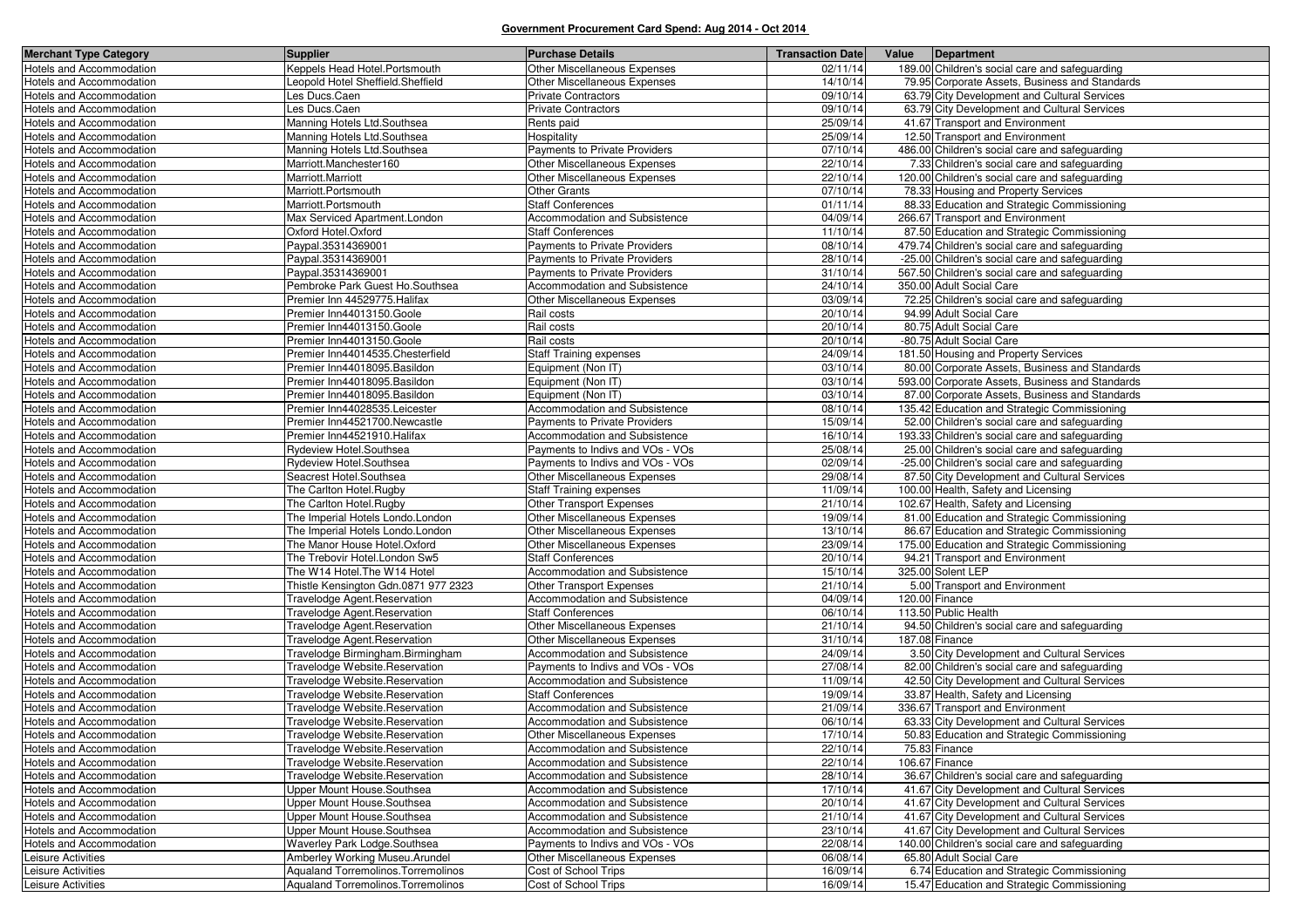| <b>Merchant Type Category</b>                               | <b>Supplier</b>                                                  | <b>Purchase Details</b>                                           | <b>Transaction Date</b> | Value | Department                                                                                    |
|-------------------------------------------------------------|------------------------------------------------------------------|-------------------------------------------------------------------|-------------------------|-------|-----------------------------------------------------------------------------------------------|
| Hotels and Accommodation                                    | Keppels Head Hotel.Portsmouth                                    | Other Miscellaneous Expenses                                      | 02/11/14                |       | 189.00 Children's social care and safeguarding                                                |
| Hotels and Accommodation                                    | Leopold Hotel Sheffield.Sheffield                                | Other Miscellaneous Expenses                                      | 14/10/14                |       | 79.95 Corporate Assets, Business and Standards                                                |
| Hotels and Accommodation                                    | Les Ducs.Caen                                                    | <b>Private Contractors</b>                                        | 09/10/14                |       | 63.79 City Development and Cultural Services                                                  |
| Hotels and Accommodation                                    | Les Ducs.Caen                                                    | <b>Private Contractors</b>                                        | 09/10/14                |       | 63.79 City Development and Cultural Services                                                  |
| Hotels and Accommodation                                    | Manning Hotels Ltd.Southsea                                      | Rents paid                                                        | 25/09/14                |       | 41.67 Transport and Environment                                                               |
| <b>Hotels and Accommodation</b>                             | Manning Hotels Ltd.Southsea                                      | Hospitality                                                       | 25/09/14                |       | 12.50 Transport and Environment                                                               |
| Hotels and Accommodation                                    | Manning Hotels Ltd.Southsea                                      | Payments to Private Providers                                     | 07/10/14                |       | 486.00 Children's social care and safeguarding                                                |
| <b>Hotels and Accommodation</b>                             | Marriott.Manchester160                                           | Other Miscellaneous Expenses                                      | 22/10/14                |       | 7.33 Children's social care and safeguarding                                                  |
| Hotels and Accommodation                                    | Marriott.Marriott                                                | Other Miscellaneous Expenses                                      | 22/10/14                |       | 120.00 Children's social care and safeguarding                                                |
| Hotels and Accommodation                                    | Marriott.Portsmouth                                              | <b>Other Grants</b>                                               | 07/10/14                |       | 78.33 Housing and Property Services                                                           |
| Hotels and Accommodation                                    | Marriott.Portsmouth                                              | <b>Staff Conferences</b>                                          | 01/11/14                |       | 88.33 Education and Strategic Commissioning                                                   |
| Hotels and Accommodation                                    | Max Serviced Apartment.London                                    | Accommodation and Subsistence                                     | 04/09/14                |       | 266.67 Transport and Environment                                                              |
| Hotels and Accommodation                                    | Oxford Hotel.Oxford                                              | <b>Staff Conferences</b>                                          | 11/10/14                |       | 87.50 Education and Strategic Commissioning                                                   |
| <b>Hotels and Accommodation</b>                             | Paypal.35314369001                                               | Payments to Private Providers                                     | 08/10/14                |       | 479.74 Children's social care and safeguarding                                                |
| Hotels and Accommodation                                    | Paypal.35314369001                                               | Payments to Private Providers                                     | 28/10/14                |       | -25.00 Children's social care and safeguarding                                                |
| Hotels and Accommodation                                    | Paypal.35314369001                                               | Payments to Private Providers                                     | 31/10/14                |       | 567.50 Children's social care and safeguarding                                                |
| Hotels and Accommodation                                    | Pembroke Park Guest Ho.Southsea                                  | Accommodation and Subsistence                                     | 24/10/14                |       | 350.00 Adult Social Care                                                                      |
| Hotels and Accommodation                                    | Premier Inn 44529775. Halifax                                    | Other Miscellaneous Expenses                                      | 03/09/14                |       | 72.25 Children's social care and safeguarding                                                 |
| <b>Hotels and Accommodation</b>                             | Premier Inn44013150.Goole                                        | Rail costs                                                        | 20/10/14                |       | 94.99 Adult Social Care                                                                       |
| Hotels and Accommodation                                    | Premier Inn44013150.Goole                                        | Rail costs                                                        | 20/10/14                |       | 80.75 Adult Social Care                                                                       |
| Hotels and Accommodation                                    | Premier Inn44013150.Goole                                        | Rail costs                                                        | 20/10/14                |       | -80.75 Adult Social Care                                                                      |
| Hotels and Accommodation                                    | Premier Inn44014535.Chesterfield                                 | <b>Staff Training expenses</b>                                    | 24/09/14                |       | 181.50 Housing and Property Services                                                          |
| Hotels and Accommodation                                    | Premier Inn44018095.Basildon                                     | Equipment (Non IT)                                                | 03/10/14                |       | 80.00 Corporate Assets, Business and Standards                                                |
| Hotels and Accommodation                                    | Premier Inn44018095.Basildon                                     | Equipment (Non IT)                                                | 03/10/14                |       | 593.00 Corporate Assets, Business and Standards                                               |
| Hotels and Accommodation                                    | Premier Inn44018095.Basildon                                     | Equipment (Non IT)                                                | 03/10/14                |       | 87.00 Corporate Assets, Business and Standards                                                |
| Hotels and Accommodation                                    | Premier Inn44028535.Leicester                                    | Accommodation and Subsistence                                     | 08/10/14                |       | 135.42 Education and Strategic Commissioning                                                  |
| <b>Hotels and Accommodation</b>                             | Premier Inn44521700.Newcastle                                    | Payments to Private Providers                                     | 15/09/14                |       | 52.00 Children's social care and safeguarding                                                 |
| Hotels and Accommodation                                    | Premier Inn44521910. Halifax                                     | Accommodation and Subsistence                                     | 16/10/14                |       | 193.33 Children's social care and safeguarding                                                |
| Hotels and Accommodation                                    | Rydeview Hotel.Southsea                                          | Payments to Indivs and VOs - VOs                                  | 25/08/14                |       | 25.00 Children's social care and safeguarding                                                 |
| Hotels and Accommodation                                    | Rydeview Hotel.Southsea                                          | Payments to Indivs and VOs - VOs                                  | 02/09/14                |       | -25.00 Children's social care and safeguarding                                                |
| Hotels and Accommodation                                    | Seacrest Hotel.Southsea                                          | Other Miscellaneous Expenses                                      | 29/08/14                |       | 87.50 City Development and Cultural Services                                                  |
| Hotels and Accommodation                                    | The Carlton Hotel.Rugby                                          | <b>Staff Training expenses</b>                                    | 11/09/14                |       | 100.00 Health, Safety and Licensing                                                           |
| Hotels and Accommodation                                    | The Carlton Hotel.Rugby                                          | Other Transport Expenses                                          | 21/10/14                |       | 102.67 Health, Safety and Licensing                                                           |
| Hotels and Accommodation                                    | The Imperial Hotels Londo.London                                 | Other Miscellaneous Expenses                                      | 19/09/14                |       | 81.00 Education and Strategic Commissioning                                                   |
| Hotels and Accommodation                                    | The Imperial Hotels Londo.London                                 | Other Miscellaneous Expenses                                      | 13/10/14                |       | 86.67 Education and Strategic Commissioning                                                   |
| Hotels and Accommodation                                    | The Manor House Hotel.Oxford                                     | Other Miscellaneous Expenses                                      | 23/09/14                |       | 175.00 Education and Strategic Commissioning                                                  |
| Hotels and Accommodation                                    | The Trebovir Hotel.London Sw5                                    | <b>Staff Conferences</b>                                          | 20/10/14                |       | 94.21 Transport and Environment                                                               |
| Hotels and Accommodation                                    | The W14 Hotel. The W14 Hotel                                     | Accommodation and Subsistence                                     | 15/10/14                |       | 325.00 Solent LEP                                                                             |
| Hotels and Accommodation                                    | Thistle Kensington Gdn.0871 977 2323                             | Other Transport Expenses                                          | 21/10/14                |       | 5.00 Transport and Environment                                                                |
| Hotels and Accommodation                                    | Travelodge Agent.Reservation                                     | Accommodation and Subsistence                                     | 04/09/14                |       | 120.00 Finance                                                                                |
| Hotels and Accommodation                                    | Travelodge Agent.Reservation                                     | <b>Staff Conferences</b>                                          | 06/10/14                |       | 113.50 Public Health                                                                          |
| Hotels and Accommodation                                    | Travelodge Agent.Reservation                                     | <b>Other Miscellaneous Expenses</b>                               | 21/10/14                |       | 94.50 Children's social care and safeguarding                                                 |
| Hotels and Accommodation<br><b>Hotels and Accommodation</b> | Travelodge Agent.Reservation                                     | <b>Other Miscellaneous Expenses</b>                               | 31/10/14<br>24/09/14    |       | 187.08 Finance<br>3.50 City Development and Cultural Services                                 |
| Hotels and Accommodation                                    | Travelodge Birmingham.Birmingham                                 | Accommodation and Subsistence                                     | 27/08/14                |       |                                                                                               |
| Hotels and Accommodation                                    | Travelodge Website.Reservation<br>Travelodge Website.Reservation | Payments to Indivs and VOs - VOs<br>Accommodation and Subsistence | 11/09/14                |       | 82.00 Children's social care and safeguarding<br>42.50 City Development and Cultural Services |
| Hotels and Accommodation                                    | Travelodge Website.Reservation                                   | <b>Staff Conferences</b>                                          | 19/09/14                |       | 33.87 Health, Safety and Licensing                                                            |
| Hotels and Accommodation                                    | Travelodge Website.Reservation                                   | Accommodation and Subsistence                                     | 21/09/14                |       | 336.67 Transport and Environment                                                              |
| Hotels and Accommodation                                    | Travelodge Website.Reservation                                   | Accommodation and Subsistence                                     | 06/10/14                |       | 63.33 City Development and Cultural Services                                                  |
| Hotels and Accommodation                                    | Travelodge Website.Reservation                                   | Other Miscellaneous Expenses                                      | 17/10/14                |       | 50.83 Education and Strategic Commissioning                                                   |
| Hotels and Accommodation                                    | Travelodge Website.Reservation                                   | Accommodation and Subsistence                                     | 22/10/14                |       | 75.83 Finance                                                                                 |
| <b>Hotels and Accommodation</b>                             | Travelodge Website.Reservation                                   | Accommodation and Subsistence                                     | 22/10/14                |       | 106.67 Finance                                                                                |
| Hotels and Accommodation                                    | Travelodge Website.Reservation                                   | Accommodation and Subsistence                                     | 28/10/14                |       | 36.67 Children's social care and safeguarding                                                 |
| Hotels and Accommodation                                    | Upper Mount House.Southsea                                       | Accommodation and Subsistence                                     | 17/10/14                |       | 41.67 City Development and Cultural Services                                                  |
| Hotels and Accommodation                                    | Upper Mount House.Southsea                                       | Accommodation and Subsistence                                     | 20/10/14                |       | 41.67 City Development and Cultural Services                                                  |
| Hotels and Accommodation                                    | Upper Mount House.Southsea                                       | Accommodation and Subsistence                                     | 21/10/14                |       | 41.67 City Development and Cultural Services                                                  |
| Hotels and Accommodation                                    | Upper Mount House.Southsea                                       | Accommodation and Subsistence                                     | 23/10/14                |       | 41.67 City Development and Cultural Services                                                  |
| Hotels and Accommodation                                    | Waverley Park Lodge.Southsea                                     | Payments to Indivs and VOs - VOs                                  | 22/08/14                |       | 140.00 Children's social care and safeguarding                                                |
| Leisure Activities                                          | Amberley Working Museu.Arundel                                   | Other Miscellaneous Expenses                                      | 06/08/14                |       | 65.80 Adult Social Care                                                                       |
| Leisure Activities                                          | Aqualand Torremolinos. Torremolinos                              | Cost of School Trips                                              | 16/09/14                |       | 6.74 Education and Strategic Commissioning                                                    |
| Leisure Activities                                          | Aqualand Torremolinos. Torremolinos                              | Cost of School Trips                                              | 16/09/14                |       | 15.47 Education and Strategic Commissioning                                                   |
|                                                             |                                                                  |                                                                   |                         |       |                                                                                               |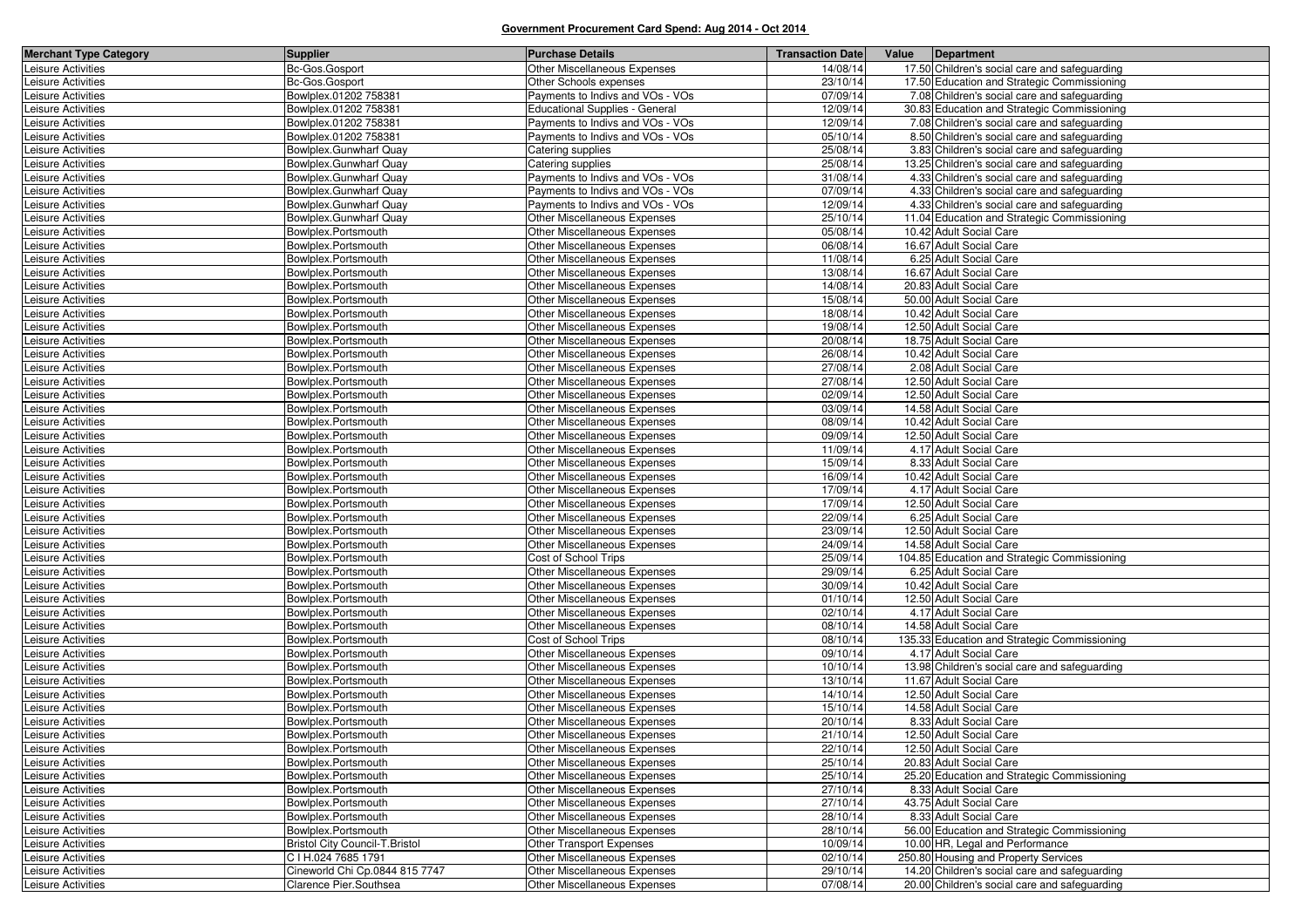| <b>Merchant Type Category</b> | <b>Supplier</b>                       | <b>Purchase Details</b>               | <b>Transaction Date</b> | Value | Department                                    |
|-------------------------------|---------------------------------------|---------------------------------------|-------------------------|-------|-----------------------------------------------|
| Leisure Activities            | Bc-Gos.Gosport                        | <b>Other Miscellaneous Expenses</b>   | 14/08/14                |       | 17.50 Children's social care and safeguarding |
| Leisure Activities            | Bc-Gos.Gosport                        | Other Schools expenses                | 23/10/14                |       | 17.50 Education and Strategic Commissioning   |
| Leisure Activities            | Bowlplex.01202 758381                 | Payments to Indivs and VOs - VOs      | 07/09/14                |       | 7.08 Children's social care and safeguarding  |
| Leisure Activities            | Bowlplex.01202 758381                 | <b>Educational Supplies - General</b> | 12/09/14                |       | 30.83 Education and Strategic Commissioning   |
| Leisure Activities            | Bowlplex.01202 758381                 | Payments to Indivs and VOs - VOs      | 12/09/14                |       | 7.08 Children's social care and safeguarding  |
| Leisure Activities            | Bowlplex.01202 758381                 | Payments to Indivs and VOs - VOs      | 05/10/14                |       | 8.50 Children's social care and safeguarding  |
| Leisure Activities            | Bowlplex.Gunwharf Quay                | Catering supplies                     | 25/08/14                |       | 3.83 Children's social care and safeguarding  |
| Leisure Activities            | Bowlplex.Gunwharf Quay                | Catering supplies                     | 25/08/14                |       | 13.25 Children's social care and safeguarding |
| Leisure Activities            | Bowlplex.Gunwharf Quay                | Payments to Indivs and VOs - VOs      | 31/08/14                |       | 4.33 Children's social care and safeguarding  |
| Leisure Activities            | Bowlplex.Gunwharf Quay                | Payments to Indivs and VOs - VOs      | 07/09/14                |       | 4.33 Children's social care and safeguarding  |
| Leisure Activities            | Bowlplex.Gunwharf Quay                | Payments to Indivs and VOs - VOs      | 12/09/14                |       | 4.33 Children's social care and safeguarding  |
| Leisure Activities            | Bowlplex.Gunwharf Quay                | <b>Other Miscellaneous Expenses</b>   | 25/10/14                |       | 11.04 Education and Strategic Commissioning   |
| Leisure Activities            | Bowlplex.Portsmouth                   | Other Miscellaneous Expenses          | 05/08/14                |       | 10.42 Adult Social Care                       |
| Leisure Activities            | Bowlplex.Portsmouth                   | Other Miscellaneous Expenses          | 06/08/14                |       | 16.67 Adult Social Care                       |
| Leisure Activities            | Bowlplex.Portsmouth                   | <b>Other Miscellaneous Expenses</b>   | 11/08/14                |       | 6.25 Adult Social Care                        |
| Leisure Activities            | Bowlplex.Portsmouth                   | Other Miscellaneous Expenses          | 13/08/14                |       | 16.67 Adult Social Care                       |
| Leisure Activities            | Bowlplex.Portsmouth                   | Other Miscellaneous Expenses          | 14/08/14                |       | 20.83 Adult Social Care                       |
| Leisure Activities            | Bowlplex.Portsmouth                   | Other Miscellaneous Expenses          | 15/08/14                |       | 50.00 Adult Social Care                       |
| Leisure Activities            | Bowlplex.Portsmouth                   | Other Miscellaneous Expenses          | 18/08/14                |       | 10.42 Adult Social Care                       |
| Leisure Activities            | Bowlplex.Portsmouth                   | <b>Other Miscellaneous Expenses</b>   | 19/08/14                |       | 12.50 Adult Social Care                       |
| Leisure Activities            | Bowlplex.Portsmouth                   | Other Miscellaneous Expenses          | 20/08/14                |       | 18.75 Adult Social Care                       |
| Leisure Activities            | Bowlplex.Portsmouth                   | <b>Other Miscellaneous Expenses</b>   | 26/08/14                |       | 10.42 Adult Social Care                       |
| Leisure Activities            | Bowlplex.Portsmouth                   | Other Miscellaneous Expenses          | 27/08/14                |       | 2.08 Adult Social Care                        |
| Leisure Activities            | Bowlplex.Portsmouth                   | Other Miscellaneous Expenses          | 27/08/14                |       | 12.50 Adult Social Care                       |
| Leisure Activities            | Bowlplex.Portsmouth                   | <b>Other Miscellaneous Expenses</b>   | 02/09/14                |       | 12.50 Adult Social Care                       |
| Leisure Activities            | Bowlplex.Portsmouth                   | <b>Other Miscellaneous Expenses</b>   | 03/09/14                |       | 14.58 Adult Social Care                       |
| Leisure Activities            | Bowlplex.Portsmouth                   | <b>Other Miscellaneous Expenses</b>   | 08/09/14                |       | 10.42 Adult Social Care                       |
| Leisure Activities            | Bowlplex.Portsmouth                   | Other Miscellaneous Expenses          | 09/09/14                |       | 12.50 Adult Social Care                       |
| Leisure Activities            | Bowlplex.Portsmouth                   | Other Miscellaneous Expenses          | 11/09/14                |       | 4.17 Adult Social Care                        |
| Leisure Activities            | Bowlplex.Portsmouth                   | Other Miscellaneous Expenses          | 15/09/14                |       | 8.33 Adult Social Care                        |
| Leisure Activities            | Bowlplex.Portsmouth                   | Other Miscellaneous Expenses          | 16/09/14                |       | 10.42 Adult Social Care                       |
| Leisure Activities            | Bowlplex.Portsmouth                   | Other Miscellaneous Expenses          | 17/09/14                |       | 4.17 Adult Social Care                        |
| Leisure Activities            | Bowlplex.Portsmouth                   | <b>Other Miscellaneous Expenses</b>   | 17/09/14                |       | 12.50 Adult Social Care                       |
| Leisure Activities            | Bowlplex.Portsmouth                   | Other Miscellaneous Expenses          | 22/09/14                |       | 6.25 Adult Social Care                        |
| Leisure Activities            | Bowlplex.Portsmouth                   | <b>Other Miscellaneous Expenses</b>   | 23/09/14                |       | 12.50 Adult Social Care                       |
| Leisure Activities            | Bowlplex.Portsmouth                   | Other Miscellaneous Expenses          | 24/09/14                |       | 14.58 Adult Social Care                       |
| Leisure Activities            | Bowlplex.Portsmouth                   | Cost of School Trips                  | 25/09/14                |       | 104.85 Education and Strategic Commissioning  |
| Leisure Activities            | Bowlplex.Portsmouth                   | Other Miscellaneous Expenses          | 29/09/14                |       | 6.25 Adult Social Care                        |
| Leisure Activities            | Bowlplex.Portsmouth                   | Other Miscellaneous Expenses          | 30/09/14                |       | 10.42 Adult Social Care                       |
| Leisure Activities            | Bowlplex.Portsmouth                   | <b>Other Miscellaneous Expenses</b>   | 01/10/14                |       | 12.50 Adult Social Care                       |
| Leisure Activities            | Bowlplex.Portsmouth                   | Other Miscellaneous Expenses          | 02/10/14                |       | 4.17 Adult Social Care                        |
| Leisure Activities            | Bowlplex.Portsmouth                   | Other Miscellaneous Expenses          | 08/10/14                |       | 14.58 Adult Social Care                       |
| Leisure Activities            | Bowlplex.Portsmouth                   | Cost of School Trips                  | 08/10/14                |       | 135.33 Education and Strategic Commissioning  |
| Leisure Activities            | Bowlplex.Portsmouth                   | Other Miscellaneous Expenses          | 09/10/14                |       | 4.17 Adult Social Care                        |
| Leisure Activities            | Bowlplex.Portsmouth                   | Other Miscellaneous Expenses          | 10/10/14                |       | 13.98 Children's social care and safeguarding |
| Leisure Activities            | Bowlplex.Portsmouth                   | Other Miscellaneous Expenses          | 13/10/14                |       | 11.67 Adult Social Care                       |
| Leisure Activities            | Bowlplex.Portsmouth                   | Other Miscellaneous Expenses          | 14/10/14                |       | 12.50 Adult Social Care                       |
| Leisure Activities            | Bowlplex.Portsmouth                   | <b>Other Miscellaneous Expenses</b>   | 15/10/14                |       | 14.58 Adult Social Care                       |
| Leisure Activities            | Bowlplex.Portsmouth                   | Other Miscellaneous Expenses          | 20/10/14                |       | 8.33 Adult Social Care                        |
| Leisure Activities            | Bowlplex.Portsmouth                   | Other Miscellaneous Expenses          | 21/10/14                |       | 12.50 Adult Social Care                       |
| Leisure Activities            | Bowlplex.Portsmouth                   | Other Miscellaneous Expenses          | 22/10/14                |       | 12.50 Adult Social Care                       |
| Leisure Activities            | Bowlplex.Portsmouth                   | Other Miscellaneous Expenses          | 25/10/14                |       | 20.83 Adult Social Care                       |
| Leisure Activities            | Bowlplex.Portsmouth                   | Other Miscellaneous Expenses          | 25/10/14                |       | 25.20 Education and Strategic Commissioning   |
| Leisure Activities            | Bowlplex.Portsmouth                   | Other Miscellaneous Expenses          | 27/10/14                |       | 8.33 Adult Social Care                        |
| Leisure Activities            | Bowlplex.Portsmouth                   | Other Miscellaneous Expenses          | 27/10/14                |       | 43.75 Adult Social Care                       |
| Leisure Activities            | Bowlplex.Portsmouth                   | Other Miscellaneous Expenses          | 28/10/14                |       | 8.33 Adult Social Care                        |
| Leisure Activities            | Bowlplex.Portsmouth                   | Other Miscellaneous Expenses          | 28/10/14                |       | 56.00 Education and Strategic Commissioning   |
| Leisure Activities            | <b>Bristol City Council-T.Bristol</b> | Other Transport Expenses              | 10/09/14                |       | 10.00 HR, Legal and Performance               |
| Leisure Activities            | C I H.024 7685 1791                   | Other Miscellaneous Expenses          | 02/10/14                |       | 250.80 Housing and Property Services          |
| Leisure Activities            | Cineworld Chi Cp.0844 815 7747        | Other Miscellaneous Expenses          | 29/10/14                |       | 14.20 Children's social care and safeguarding |
| Leisure Activities            | Clarence Pier.Southsea                | Other Miscellaneous Expenses          | 07/08/14                |       | 20.00 Children's social care and safeguarding |
|                               |                                       |                                       |                         |       |                                               |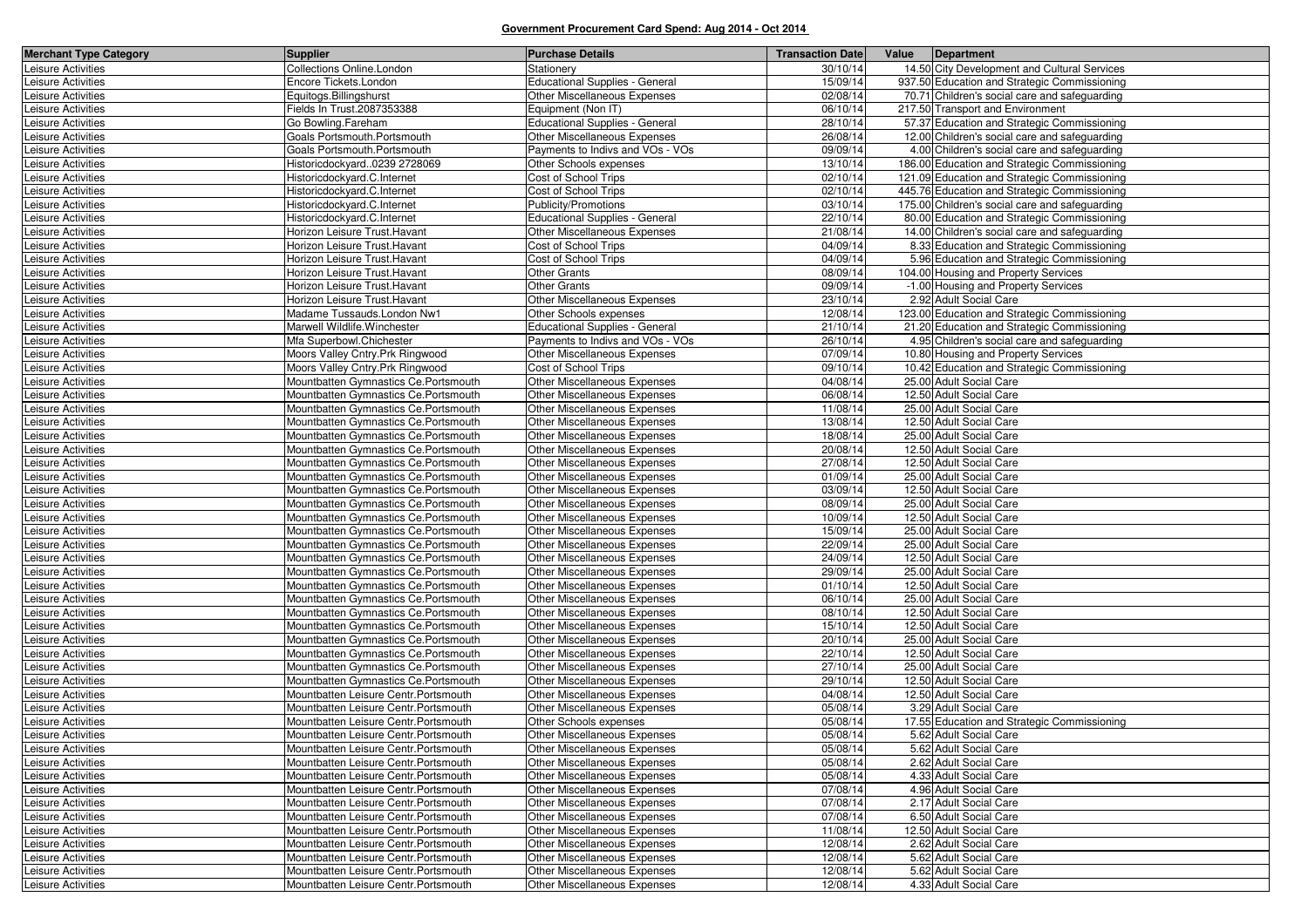| <b>Merchant Type Category</b>            | <b>Supplier</b>                                                               | <b>Purchase Details</b>                                             | <b>Transaction Date</b> | Value<br>Department                                |
|------------------------------------------|-------------------------------------------------------------------------------|---------------------------------------------------------------------|-------------------------|----------------------------------------------------|
| Leisure Activities                       | <b>Collections Online.London</b>                                              | Stationery                                                          | 30/10/14                | 14.50 City Development and Cultural Services       |
| Leisure Activities                       | Encore Tickets.London                                                         | <b>Educational Supplies - General</b>                               | 15/09/14                | 937.50 Education and Strategic Commissioning       |
| Leisure Activities                       | Equitogs.Billingshurst                                                        | Other Miscellaneous Expenses                                        | 02/08/14                | 70.71 Children's social care and safeguarding      |
| Leisure Activities                       | Fields In Trust.2087353388                                                    | Equipment (Non IT)                                                  | 06/10/14                | 217.50 Transport and Environment                   |
| Leisure Activities                       | Go Bowling.Fareham                                                            | <b>Educational Supplies - General</b>                               | 28/10/14                | 57.37 Education and Strategic Commissioning        |
| Leisure Activities                       | Goals Portsmouth.Portsmouth                                                   | <b>Other Miscellaneous Expenses</b>                                 | 26/08/14                | 12.00 Children's social care and safeguarding      |
| Leisure Activities                       | Goals Portsmouth.Portsmouth                                                   | Payments to Indivs and VOs - VOs                                    | 09/09/14                | 4.00 Children's social care and safeguarding       |
| Leisure Activities                       | Historicdockyard0239 2728069                                                  | Other Schools expenses                                              | 13/10/14                | 186.00 Education and Strategic Commissioning       |
| Leisure Activities                       | Historicdockyard.C.Internet                                                   | Cost of School Trips                                                | 02/10/14                | 121.09 Education and Strategic Commissioning       |
| Leisure Activities                       | Historicdockyard.C.Internet                                                   | Cost of School Trips                                                | 02/10/14                | 445.76 Education and Strategic Commissioning       |
| Leisure Activities                       | Historicdockyard.C.Internet                                                   | Publicity/Promotions                                                | 03/10/14                | 175.00 Children's social care and safeguarding     |
| eisure Activities                        | Historicdockyard.C.Internet                                                   | <b>Educational Supplies - General</b>                               | 22/10/14                | 80.00 Education and Strategic Commissioning        |
| Leisure Activities                       | Horizon Leisure Trust. Havant                                                 | <b>Other Miscellaneous Expenses</b>                                 | 21/08/14                | 14.00 Children's social care and safeguarding      |
| Leisure Activities                       | Horizon Leisure Trust.Havant                                                  | Cost of School Trips                                                | 04/09/14                | 8.33 Education and Strategic Commissioning         |
| eisure Activities                        | Horizon Leisure Trust.Havant                                                  | Cost of School Trips                                                | 04/09/14                | 5.96 Education and Strategic Commissioning         |
| Leisure Activities                       | Horizon Leisure Trust.Havant                                                  | Other Grants                                                        | 08/09/14                | 104.00 Housing and Property Services               |
| Leisure Activities                       | Horizon Leisure Trust. Havant                                                 | <b>Other Grants</b>                                                 | 09/09/14                | -1.00 Housing and Property Services                |
| Leisure Activities                       | Horizon Leisure Trust.Havant                                                  | <b>Other Miscellaneous Expenses</b>                                 | 23/10/14                | 2.92 Adult Social Care                             |
| Leisure Activities                       | Madame Tussauds.London Nw1                                                    | Other Schools expenses                                              | 12/08/14                | 123.00 Education and Strategic Commissioning       |
| Leisure Activities                       | Marwell Wildlife.Winchester                                                   | <b>Educational Supplies - General</b>                               | 21/10/14                | 21.20 Education and Strategic Commissioning        |
| Leisure Activities                       | Mfa Superbowl.Chichester                                                      | Payments to Indivs and VOs - VOs                                    | 26/10/14                | 4.95 Children's social care and safeguarding       |
| Leisure Activities                       | Moors Valley Cntry.Prk Ringwood                                               | <b>Other Miscellaneous Expenses</b>                                 | 07/09/14                | 10.80 Housing and Property Services                |
| eisure Activities                        | Moors Valley Cntry. Prk Ringwood                                              | Cost of School Trips                                                | 09/10/14                | 10.42 Education and Strategic Commissioning        |
| Leisure Activities                       | Mountbatten Gymnastics Ce.Portsmouth                                          | Other Miscellaneous Expenses                                        | 04/08/14                | 25.00 Adult Social Care                            |
| Leisure Activities                       | Mountbatten Gymnastics Ce.Portsmouth                                          | Other Miscellaneous Expenses                                        | 06/08/14                | 12.50 Adult Social Care                            |
| Leisure Activities                       | Mountbatten Gymnastics Ce.Portsmouth                                          | Other Miscellaneous Expenses                                        | 11/08/14                | 25.00 Adult Social Care                            |
| Leisure Activities                       | Mountbatten Gymnastics Ce.Portsmouth                                          | Other Miscellaneous Expenses                                        | 13/08/14                | 12.50 Adult Social Care                            |
| Leisure Activities                       | Mountbatten Gymnastics Ce.Portsmouth                                          | <b>Other Miscellaneous Expenses</b>                                 | 18/08/14                | 25.00 Adult Social Care                            |
| Leisure Activities                       | Mountbatten Gymnastics Ce.Portsmouth                                          | <b>Other Miscellaneous Expenses</b>                                 | 20/08/14                | 12.50 Adult Social Care                            |
| Leisure Activities                       | Mountbatten Gymnastics Ce.Portsmouth                                          | Other Miscellaneous Expenses                                        | 27/08/14                | 12.50 Adult Social Care                            |
| Leisure Activities                       | Mountbatten Gymnastics Ce.Portsmouth                                          | <b>Other Miscellaneous Expenses</b>                                 | 01/09/14                | 25.00 Adult Social Care                            |
| Leisure Activities                       | Mountbatten Gymnastics Ce.Portsmouth                                          | Other Miscellaneous Expenses                                        | 03/09/14                | 12.50 Adult Social Care                            |
| Leisure Activities                       | Mountbatten Gymnastics Ce.Portsmouth                                          | <b>Other Miscellaneous Expenses</b>                                 | 08/09/14                | 25.00 Adult Social Care                            |
| Leisure Activities                       | Mountbatten Gymnastics Ce.Portsmouth                                          | Other Miscellaneous Expenses                                        | 10/09/14                | 12.50 Adult Social Care                            |
| Leisure Activities                       | Mountbatten Gymnastics Ce.Portsmouth                                          | Other Miscellaneous Expenses                                        | 15/09/14                | 25.00 Adult Social Care                            |
| Leisure Activities                       | Mountbatten Gymnastics Ce.Portsmouth                                          | Other Miscellaneous Expenses                                        | 22/09/14                | 25.00 Adult Social Care                            |
| eisure Activities                        | Mountbatten Gymnastics Ce.Portsmouth                                          | Other Miscellaneous Expenses                                        | 24/09/14                | 12.50 Adult Social Care                            |
| Leisure Activities                       | Mountbatten Gymnastics Ce.Portsmouth                                          | Other Miscellaneous Expenses                                        | 29/09/14                | 25.00 Adult Social Care<br>12.50 Adult Social Care |
| eisure Activities                        | Mountbatten Gymnastics Ce.Portsmouth                                          | Other Miscellaneous Expenses                                        | 01/10/14<br>06/10/14    | 25.00 Adult Social Care                            |
| eisure Activities                        | Mountbatten Gymnastics Ce.Portsmouth                                          | Other Miscellaneous Expenses                                        | 08/10/14                |                                                    |
| Leisure Activities                       | Mountbatten Gymnastics Ce.Portsmouth                                          | <b>Other Miscellaneous Expenses</b><br>Other Miscellaneous Expenses | 15/10/14                | 12.50 Adult Social Care<br>12.50 Adult Social Care |
| Leisure Activities<br>Leisure Activities | Mountbatten Gymnastics Ce. Portsmouth<br>Mountbatten Gymnastics Ce.Portsmouth | <b>Other Miscellaneous Expenses</b>                                 | 20/10/14                | 25.00 Adult Social Care                            |
| Leisure Activities                       | Mountbatten Gymnastics Ce.Portsmouth                                          | <b>Other Miscellaneous Expenses</b>                                 | 22/10/14                | 12.50 Adult Social Care                            |
| Leisure Activities                       | Mountbatten Gymnastics Ce.Portsmouth                                          | Other Miscellaneous Expenses                                        | 27/10/14                | 25.00 Adult Social Care                            |
| Leisure Activities                       | Mountbatten Gymnastics Ce.Portsmouth                                          | <b>Other Miscellaneous Expenses</b>                                 | 29/10/14                | 12.50 Adult Social Care                            |
| Leisure Activities                       | Mountbatten Leisure Centr.Portsmouth                                          | Other Miscellaneous Expenses                                        | 04/08/14                | 12.50 Adult Social Care                            |
| Leisure Activities                       | Mountbatten Leisure Centr. Portsmouth                                         | Other Miscellaneous Expenses                                        | 05/08/14                | 3.29 Adult Social Care                             |
| eisure Activities                        | Mountbatten Leisure Centr. Portsmouth                                         | Other Schools expenses                                              | 05/08/14                | 17.55 Education and Strategic Commissioning        |
| Leisure Activities                       | Mountbatten Leisure Centr. Portsmouth                                         | Other Miscellaneous Expenses                                        | 05/08/14                | 5.62 Adult Social Care                             |
| Leisure Activities                       | Mountbatten Leisure Centr. Portsmouth                                         | <b>Other Miscellaneous Expenses</b>                                 | 05/08/14                | 5.62 Adult Social Care                             |
| Leisure Activities                       | Mountbatten Leisure Centr. Portsmouth                                         | Other Miscellaneous Expenses                                        | 05/08/14                | 2.62 Adult Social Care                             |
| Leisure Activities                       | Mountbatten Leisure Centr. Portsmouth                                         | Other Miscellaneous Expenses                                        | 05/08/14                | 4.33 Adult Social Care                             |
| Leisure Activities                       | Mountbatten Leisure Centr. Portsmouth                                         | Other Miscellaneous Expenses                                        | 07/08/14                | 4.96 Adult Social Care                             |
| Leisure Activities                       | Mountbatten Leisure Centr. Portsmouth                                         | <b>Other Miscellaneous Expenses</b>                                 | 07/08/14                | 2.17 Adult Social Care                             |
| Leisure Activities                       | Mountbatten Leisure Centr. Portsmouth                                         | Other Miscellaneous Expenses                                        | 07/08/14                | 6.50 Adult Social Care                             |
| Leisure Activities                       | Mountbatten Leisure Centr. Portsmouth                                         | Other Miscellaneous Expenses                                        | 11/08/14                | 12.50 Adult Social Care                            |
| Leisure Activities                       | Mountbatten Leisure Centr. Portsmouth                                         | Other Miscellaneous Expenses                                        | 12/08/14                | 2.62 Adult Social Care                             |
| Leisure Activities                       | Mountbatten Leisure Centr. Portsmouth                                         | Other Miscellaneous Expenses                                        | 12/08/14                | 5.62 Adult Social Care                             |
| Leisure Activities                       | Mountbatten Leisure Centr. Portsmouth                                         | Other Miscellaneous Expenses                                        | 12/08/14                | 5.62 Adult Social Care                             |
| Leisure Activities                       | Mountbatten Leisure Centr. Portsmouth                                         | Other Miscellaneous Expenses                                        | 12/08/14                | 4.33 Adult Social Care                             |
|                                          |                                                                               |                                                                     |                         |                                                    |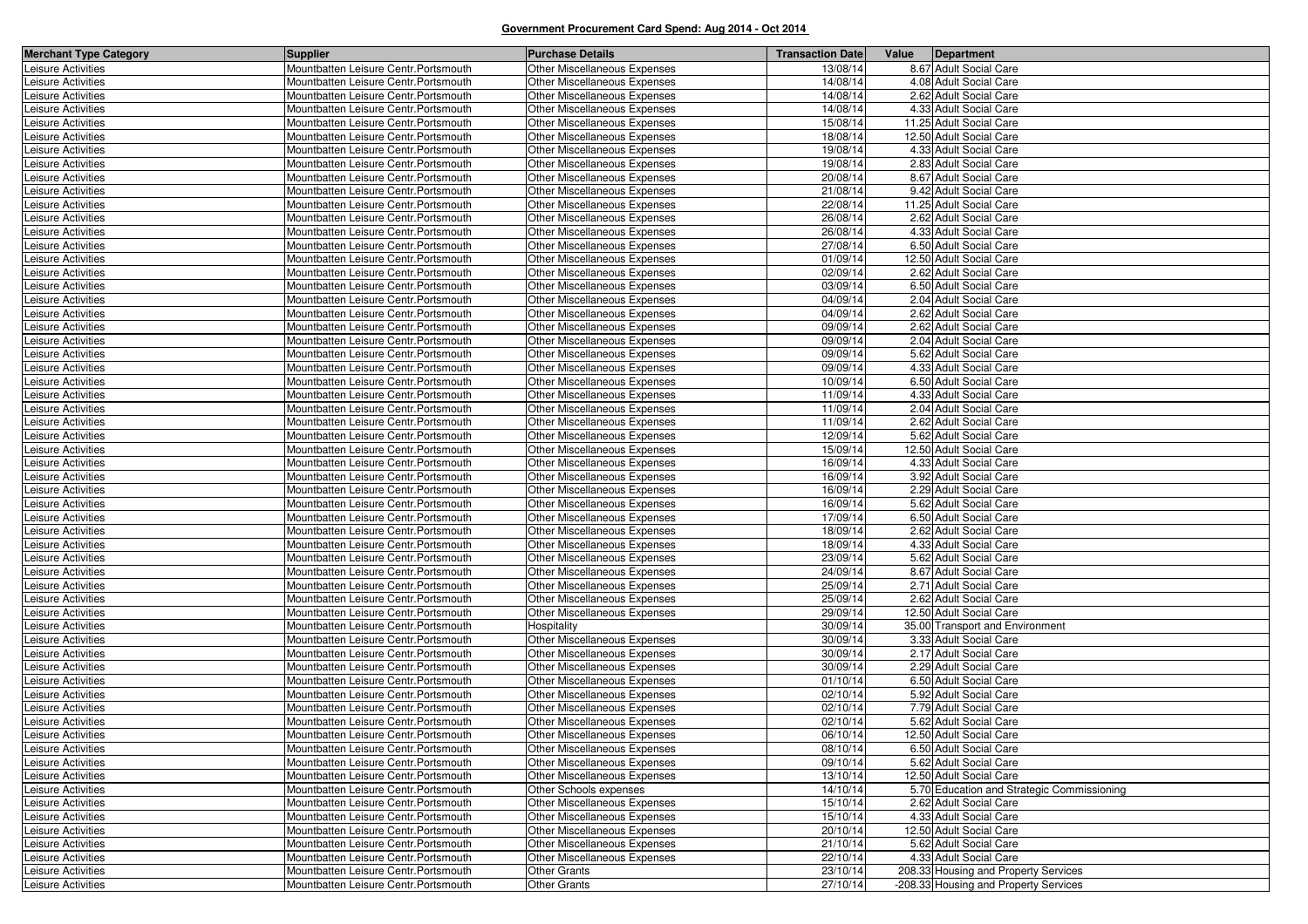| 13/08/14<br>8.67 Adult Social Care<br>Mountbatten Leisure Centr. Portsmouth<br>Other Miscellaneous Expenses<br>14/08/14<br>Mountbatten Leisure Centr. Portsmouth<br>Other Miscellaneous Expenses<br>4.08 Adult Social Care<br>14/08/14<br>2.62 Adult Social Care<br>Mountbatten Leisure Centr. Portsmouth<br>Other Miscellaneous Expenses<br>14/08/14<br>4.33 Adult Social Care<br>Leisure Activities<br>Mountbatten Leisure Centr. Portsmouth<br>Other Miscellaneous Expenses<br>15/08/14<br>Mountbatten Leisure Centr. Portsmouth<br>Other Miscellaneous Expenses<br>11.25 Adult Social Care<br>18/08/14<br>12.50 Adult Social Care<br>Leisure Activities<br>Mountbatten Leisure Centr. Portsmouth<br>Other Miscellaneous Expenses<br>19/08/14<br>Mountbatten Leisure Centr. Portsmouth<br>Other Miscellaneous Expenses<br>4.33 Adult Social Care<br>19/08/14<br>Mountbatten Leisure Centr. Portsmouth<br>Other Miscellaneous Expenses<br>2.83 Adult Social Care<br>20/08/14<br>Mountbatten Leisure Centr. Portsmouth<br>Other Miscellaneous Expenses<br>8.67 Adult Social Care<br>21/08/14<br>9.42 Adult Social Care<br>Mountbatten Leisure Centr. Portsmouth<br>Other Miscellaneous Expenses<br>22/08/14<br>Mountbatten Leisure Centr. Portsmouth<br>Other Miscellaneous Expenses<br>11.25 Adult Social Care<br>26/08/14<br>Mountbatten Leisure Centr. Portsmouth<br>Other Miscellaneous Expenses<br>2.62 Adult Social Care<br>Mountbatten Leisure Centr. Portsmouth<br>Other Miscellaneous Expenses<br>26/08/14<br>4.33 Adult Social Care<br>27/08/14<br>Leisure Activities<br>Mountbatten Leisure Centr. Portsmouth<br>Other Miscellaneous Expenses<br>6.50 Adult Social Care<br>01/09/14<br>12.50 Adult Social Care<br>Mountbatten Leisure Centr. Portsmouth<br>Other Miscellaneous Expenses<br>02/09/14<br>Mountbatten Leisure Centr. Portsmouth<br>Other Miscellaneous Expenses<br>2.62 Adult Social Care<br>Mountbatten Leisure Centr. Portsmouth<br>Other Miscellaneous Expenses<br>03/09/14<br>6.50 Adult Social Care<br>Leisure Activities<br>Leisure Activities<br>04/09/14<br>2.04 Adult Social Care<br>Mountbatten Leisure Centr. Portsmouth<br>Other Miscellaneous Expenses<br>04/09/14<br>Other Miscellaneous Expenses<br>2.62 Adult Social Care<br>Leisure Activities<br>Mountbatten Leisure Centr. Portsmouth<br>09/09/14<br>Leisure Activities<br>2.62 Adult Social Care<br>Mountbatten Leisure Centr. Portsmouth<br>Other Miscellaneous Expenses<br>09/09/14<br>2.04 Adult Social Care<br>Leisure Activities<br>Mountbatten Leisure Centr. Portsmouth<br>Other Miscellaneous Expenses<br>09/09/14<br>Leisure Activities<br>Mountbatten Leisure Centr. Portsmouth<br>Other Miscellaneous Expenses<br>5.62 Adult Social Care<br>Mountbatten Leisure Centr. Portsmouth<br>Other Miscellaneous Expenses<br>09/09/14<br>4.33 Adult Social Care<br>Leisure Activities<br>Leisure Activities<br>Mountbatten Leisure Centr. Portsmouth<br>Other Miscellaneous Expenses<br>10/09/14<br>6.50 Adult Social Care<br>11/09/14<br>Leisure Activities<br>Mountbatten Leisure Centr. Portsmouth<br>Other Miscellaneous Expenses<br>4.33 Adult Social Care<br>11/09/14<br>Leisure Activities<br>Mountbatten Leisure Centr. Portsmouth<br>Other Miscellaneous Expenses<br>2.04 Adult Social Care<br>11/09/14<br>Mountbatten Leisure Centr. Portsmouth<br>Other Miscellaneous Expenses<br>2.62 Adult Social Care<br>Leisure Activities<br>12/09/14<br>Mountbatten Leisure Centr. Portsmouth<br>5.62 Adult Social Care<br>Leisure Activities<br>Other Miscellaneous Expenses<br>15/09/14<br>12.50 Adult Social Care<br>Leisure Activities<br>Mountbatten Leisure Centr. Portsmouth<br>Other Miscellaneous Expenses<br>Other Miscellaneous Expenses<br>16/09/14<br>4.33 Adult Social Care<br>Leisure Activities<br>Mountbatten Leisure Centr. Portsmouth<br>16/09/14<br>Leisure Activities<br>Other Miscellaneous Expenses<br>3.92 Adult Social Care<br>Mountbatten Leisure Centr. Portsmouth<br>16/09/14<br>2.29 Adult Social Care<br>Other Miscellaneous Expenses<br>Leisure Activities<br>Mountbatten Leisure Centr. Portsmouth<br>16/09/14<br>Leisure Activities<br>Mountbatten Leisure Centr. Portsmouth<br>Other Miscellaneous Expenses<br>5.62 Adult Social Care<br>17/09/14<br>6.50 Adult Social Care<br>Leisure Activities<br>Mountbatten Leisure Centr. Portsmouth<br>Other Miscellaneous Expenses<br>18/09/14<br>Leisure Activities<br>Mountbatten Leisure Centr. Portsmouth<br>Other Miscellaneous Expenses<br>2.62 Adult Social Care<br>18/09/14<br>Leisure Activities<br>Mountbatten Leisure Centr. Portsmouth<br>Other Miscellaneous Expenses<br>4.33 Adult Social Care<br>Other Miscellaneous Expenses<br>23/09/14<br>Leisure Activities<br>Mountbatten Leisure Centr. Portsmouth<br>5.62 Adult Social Care<br>24/09/14<br>Leisure Activities<br>Mountbatten Leisure Centr. Portsmouth<br>Other Miscellaneous Expenses<br>8.67 Adult Social Care<br>25/09/14<br>Mountbatten Leisure Centr. Portsmouth<br>2.71 Adult Social Care<br>Leisure Activities<br>Other Miscellaneous Expenses<br>25/09/14<br>2.62 Adult Social Care<br>Leisure Activities<br>Mountbatten Leisure Centr. Portsmouth<br>Other Miscellaneous Expenses<br>29/09/14<br>Mountbatten Leisure Centr. Portsmouth<br>Other Miscellaneous Expenses<br>12.50 Adult Social Care<br>Leisure Activities<br>Leisure Activities<br>Mountbatten Leisure Centr. Portsmouth<br>30/09/14<br>35.00 Transport and Environment<br>Hospitality<br>Other Miscellaneous Expenses<br>3.33 Adult Social Care<br>Leisure Activities<br>Mountbatten Leisure Centr. Portsmouth<br>30/09/14<br>Leisure Activities<br>Mountbatten Leisure Centr. Portsmouth<br>Other Miscellaneous Expenses<br>30/09/14<br>2.17 Adult Social Care<br>30/09/14<br>Mountbatten Leisure Centr. Portsmouth<br>Other Miscellaneous Expenses<br>2.29 Adult Social Care<br>Leisure Activities<br>Leisure Activities<br>Other Miscellaneous Expenses<br>01/10/14<br>6.50 Adult Social Care<br>Mountbatten Leisure Centr. Portsmouth<br>02/10/14<br>Leisure Activities<br>Mountbatten Leisure Centr. Portsmouth<br>Other Miscellaneous Expenses<br>5.92 Adult Social Care<br>02/10/14<br>7.79 Adult Social Care<br>Leisure Activities<br>Mountbatten Leisure Centr. Portsmouth<br>Other Miscellaneous Expenses<br>Leisure Activities<br>Mountbatten Leisure Centr. Portsmouth<br>Other Miscellaneous Expenses<br>02/10/14<br>5.62 Adult Social Care<br>Leisure Activities<br>Mountbatten Leisure Centr. Portsmouth<br>Other Miscellaneous Expenses<br>06/10/14<br>12.50 Adult Social Care<br>Leisure Activities<br>08/10/14<br>6.50 Adult Social Care<br>Mountbatten Leisure Centr. Portsmouth<br>Other Miscellaneous Expenses<br>Leisure Activities<br>Mountbatten Leisure Centr. Portsmouth<br>Other Miscellaneous Expenses<br>09/10/14<br>5.62 Adult Social Care<br>Mountbatten Leisure Centr. Portsmouth<br>Other Miscellaneous Expenses<br>13/10/14<br>12.50 Adult Social Care<br>14/10/14<br>Mountbatten Leisure Centr. Portsmouth<br>Other Schools expenses<br>5.70 Education and Strategic Commissioning<br>Leisure Activities<br>Leisure Activities<br>Other Miscellaneous Expenses<br>15/10/14<br>Mountbatten Leisure Centr. Portsmouth<br>2.62 Adult Social Care<br>Leisure Activities<br>4.33 Adult Social Care<br>Mountbatten Leisure Centr. Portsmouth<br>Other Miscellaneous Expenses<br>15/10/14<br>Leisure Activities<br>12.50 Adult Social Care<br>Mountbatten Leisure Centr. Portsmouth<br>Other Miscellaneous Expenses<br>20/10/14<br>Leisure Activities<br>Other Miscellaneous Expenses<br>21/10/14<br>5.62 Adult Social Care<br>Mountbatten Leisure Centr. Portsmouth<br>4.33 Adult Social Care<br>Mountbatten Leisure Centr. Portsmouth<br>Other Miscellaneous Expenses<br>22/10/14<br>Mountbatten Leisure Centr. Portsmouth<br>23/10/14<br>208.33 Housing and Property Services<br><b>Other Grants</b><br>Mountbatten Leisure Centr. Portsmouth<br>27/10/14<br>-208.33 Housing and Property Services | <b>Merchant Type Category</b> | <b>Supplier</b> | <b>Purchase Details</b> | <b>Transaction Date</b> | Value   Department |
|------------------------------------------------------------------------------------------------------------------------------------------------------------------------------------------------------------------------------------------------------------------------------------------------------------------------------------------------------------------------------------------------------------------------------------------------------------------------------------------------------------------------------------------------------------------------------------------------------------------------------------------------------------------------------------------------------------------------------------------------------------------------------------------------------------------------------------------------------------------------------------------------------------------------------------------------------------------------------------------------------------------------------------------------------------------------------------------------------------------------------------------------------------------------------------------------------------------------------------------------------------------------------------------------------------------------------------------------------------------------------------------------------------------------------------------------------------------------------------------------------------------------------------------------------------------------------------------------------------------------------------------------------------------------------------------------------------------------------------------------------------------------------------------------------------------------------------------------------------------------------------------------------------------------------------------------------------------------------------------------------------------------------------------------------------------------------------------------------------------------------------------------------------------------------------------------------------------------------------------------------------------------------------------------------------------------------------------------------------------------------------------------------------------------------------------------------------------------------------------------------------------------------------------------------------------------------------------------------------------------------------------------------------------------------------------------------------------------------------------------------------------------------------------------------------------------------------------------------------------------------------------------------------------------------------------------------------------------------------------------------------------------------------------------------------------------------------------------------------------------------------------------------------------------------------------------------------------------------------------------------------------------------------------------------------------------------------------------------------------------------------------------------------------------------------------------------------------------------------------------------------------------------------------------------------------------------------------------------------------------------------------------------------------------------------------------------------------------------------------------------------------------------------------------------------------------------------------------------------------------------------------------------------------------------------------------------------------------------------------------------------------------------------------------------------------------------------------------------------------------------------------------------------------------------------------------------------------------------------------------------------------------------------------------------------------------------------------------------------------------------------------------------------------------------------------------------------------------------------------------------------------------------------------------------------------------------------------------------------------------------------------------------------------------------------------------------------------------------------------------------------------------------------------------------------------------------------------------------------------------------------------------------------------------------------------------------------------------------------------------------------------------------------------------------------------------------------------------------------------------------------------------------------------------------------------------------------------------------------------------------------------------------------------------------------------------------------------------------------------------------------------------------------------------------------------------------------------------------------------------------------------------------------------------------------------------------------------------------------------------------------------------------------------------------------------------------------------------------------------------------------------------------------------------------------------------------------------------------------------------------------------------------------------------------------------------------------------------------------------------------------------------------------------------------------------------------------------------------------------------------------------------------------------------------------------------------------------------------------------------------------------------------------------------------------------------------------------------------------------------------------------------------------------------------------------------------------------------------------------------------------------------------------------------------------------------------------------------------------------------------------------------------------------------------------------------------------------------------------------------------------------------------------------------------------------------------------------------------------------------------------------------------------------------------------------------------------------------------------------------------------------------------------------------------------------------------------------------------------------------------------------------------------------------------------------------------------------------------------------------------------------------------------------------------------------------------------------------------------------------------------------------------------------------------------------------------------------------------------------------------------------------------------------------------------------------------------------------------------------------------------------------------------------------------------------------------------------------------------------------------------------------------------------------------------------------------------------------------------------------------------------------------------------------------------------------------------------------------------------------------------------------------------------------------------|-------------------------------|-----------------|-------------------------|-------------------------|--------------------|
|                                                                                                                                                                                                                                                                                                                                                                                                                                                                                                                                                                                                                                                                                                                                                                                                                                                                                                                                                                                                                                                                                                                                                                                                                                                                                                                                                                                                                                                                                                                                                                                                                                                                                                                                                                                                                                                                                                                                                                                                                                                                                                                                                                                                                                                                                                                                                                                                                                                                                                                                                                                                                                                                                                                                                                                                                                                                                                                                                                                                                                                                                                                                                                                                                                                                                                                                                                                                                                                                                                                                                                                                                                                                                                                                                                                                                                                                                                                                                                                                                                                                                                                                                                                                                                                                                                                                                                                                                                                                                                                                                                                                                                                                                                                                                                                                                                                                                                                                                                                                                                                                                                                                                                                                                                                                                                                                                                                                                                                                                                                                                                                                                                                                                                                                                                                                                                                                                                                                                                                                                                                                                                                                                                                                                                                                                                                                                                                                                                                                                                                                                                                                                                                                                                                                                                                                                                                                                                                                                                                                                                                                                                                                                                                                                                                                                                                                                                                                                                                                                                                                                                                                                                                                                                                                                                                                                                                                                                                                                                                                                                                            | Leisure Activities            |                 |                         |                         |                    |
|                                                                                                                                                                                                                                                                                                                                                                                                                                                                                                                                                                                                                                                                                                                                                                                                                                                                                                                                                                                                                                                                                                                                                                                                                                                                                                                                                                                                                                                                                                                                                                                                                                                                                                                                                                                                                                                                                                                                                                                                                                                                                                                                                                                                                                                                                                                                                                                                                                                                                                                                                                                                                                                                                                                                                                                                                                                                                                                                                                                                                                                                                                                                                                                                                                                                                                                                                                                                                                                                                                                                                                                                                                                                                                                                                                                                                                                                                                                                                                                                                                                                                                                                                                                                                                                                                                                                                                                                                                                                                                                                                                                                                                                                                                                                                                                                                                                                                                                                                                                                                                                                                                                                                                                                                                                                                                                                                                                                                                                                                                                                                                                                                                                                                                                                                                                                                                                                                                                                                                                                                                                                                                                                                                                                                                                                                                                                                                                                                                                                                                                                                                                                                                                                                                                                                                                                                                                                                                                                                                                                                                                                                                                                                                                                                                                                                                                                                                                                                                                                                                                                                                                                                                                                                                                                                                                                                                                                                                                                                                                                                                                            | Leisure Activities            |                 |                         |                         |                    |
|                                                                                                                                                                                                                                                                                                                                                                                                                                                                                                                                                                                                                                                                                                                                                                                                                                                                                                                                                                                                                                                                                                                                                                                                                                                                                                                                                                                                                                                                                                                                                                                                                                                                                                                                                                                                                                                                                                                                                                                                                                                                                                                                                                                                                                                                                                                                                                                                                                                                                                                                                                                                                                                                                                                                                                                                                                                                                                                                                                                                                                                                                                                                                                                                                                                                                                                                                                                                                                                                                                                                                                                                                                                                                                                                                                                                                                                                                                                                                                                                                                                                                                                                                                                                                                                                                                                                                                                                                                                                                                                                                                                                                                                                                                                                                                                                                                                                                                                                                                                                                                                                                                                                                                                                                                                                                                                                                                                                                                                                                                                                                                                                                                                                                                                                                                                                                                                                                                                                                                                                                                                                                                                                                                                                                                                                                                                                                                                                                                                                                                                                                                                                                                                                                                                                                                                                                                                                                                                                                                                                                                                                                                                                                                                                                                                                                                                                                                                                                                                                                                                                                                                                                                                                                                                                                                                                                                                                                                                                                                                                                                                            | Leisure Activities            |                 |                         |                         |                    |
|                                                                                                                                                                                                                                                                                                                                                                                                                                                                                                                                                                                                                                                                                                                                                                                                                                                                                                                                                                                                                                                                                                                                                                                                                                                                                                                                                                                                                                                                                                                                                                                                                                                                                                                                                                                                                                                                                                                                                                                                                                                                                                                                                                                                                                                                                                                                                                                                                                                                                                                                                                                                                                                                                                                                                                                                                                                                                                                                                                                                                                                                                                                                                                                                                                                                                                                                                                                                                                                                                                                                                                                                                                                                                                                                                                                                                                                                                                                                                                                                                                                                                                                                                                                                                                                                                                                                                                                                                                                                                                                                                                                                                                                                                                                                                                                                                                                                                                                                                                                                                                                                                                                                                                                                                                                                                                                                                                                                                                                                                                                                                                                                                                                                                                                                                                                                                                                                                                                                                                                                                                                                                                                                                                                                                                                                                                                                                                                                                                                                                                                                                                                                                                                                                                                                                                                                                                                                                                                                                                                                                                                                                                                                                                                                                                                                                                                                                                                                                                                                                                                                                                                                                                                                                                                                                                                                                                                                                                                                                                                                                                                            |                               |                 |                         |                         |                    |
|                                                                                                                                                                                                                                                                                                                                                                                                                                                                                                                                                                                                                                                                                                                                                                                                                                                                                                                                                                                                                                                                                                                                                                                                                                                                                                                                                                                                                                                                                                                                                                                                                                                                                                                                                                                                                                                                                                                                                                                                                                                                                                                                                                                                                                                                                                                                                                                                                                                                                                                                                                                                                                                                                                                                                                                                                                                                                                                                                                                                                                                                                                                                                                                                                                                                                                                                                                                                                                                                                                                                                                                                                                                                                                                                                                                                                                                                                                                                                                                                                                                                                                                                                                                                                                                                                                                                                                                                                                                                                                                                                                                                                                                                                                                                                                                                                                                                                                                                                                                                                                                                                                                                                                                                                                                                                                                                                                                                                                                                                                                                                                                                                                                                                                                                                                                                                                                                                                                                                                                                                                                                                                                                                                                                                                                                                                                                                                                                                                                                                                                                                                                                                                                                                                                                                                                                                                                                                                                                                                                                                                                                                                                                                                                                                                                                                                                                                                                                                                                                                                                                                                                                                                                                                                                                                                                                                                                                                                                                                                                                                                                            | Leisure Activities            |                 |                         |                         |                    |
|                                                                                                                                                                                                                                                                                                                                                                                                                                                                                                                                                                                                                                                                                                                                                                                                                                                                                                                                                                                                                                                                                                                                                                                                                                                                                                                                                                                                                                                                                                                                                                                                                                                                                                                                                                                                                                                                                                                                                                                                                                                                                                                                                                                                                                                                                                                                                                                                                                                                                                                                                                                                                                                                                                                                                                                                                                                                                                                                                                                                                                                                                                                                                                                                                                                                                                                                                                                                                                                                                                                                                                                                                                                                                                                                                                                                                                                                                                                                                                                                                                                                                                                                                                                                                                                                                                                                                                                                                                                                                                                                                                                                                                                                                                                                                                                                                                                                                                                                                                                                                                                                                                                                                                                                                                                                                                                                                                                                                                                                                                                                                                                                                                                                                                                                                                                                                                                                                                                                                                                                                                                                                                                                                                                                                                                                                                                                                                                                                                                                                                                                                                                                                                                                                                                                                                                                                                                                                                                                                                                                                                                                                                                                                                                                                                                                                                                                                                                                                                                                                                                                                                                                                                                                                                                                                                                                                                                                                                                                                                                                                                                            |                               |                 |                         |                         |                    |
|                                                                                                                                                                                                                                                                                                                                                                                                                                                                                                                                                                                                                                                                                                                                                                                                                                                                                                                                                                                                                                                                                                                                                                                                                                                                                                                                                                                                                                                                                                                                                                                                                                                                                                                                                                                                                                                                                                                                                                                                                                                                                                                                                                                                                                                                                                                                                                                                                                                                                                                                                                                                                                                                                                                                                                                                                                                                                                                                                                                                                                                                                                                                                                                                                                                                                                                                                                                                                                                                                                                                                                                                                                                                                                                                                                                                                                                                                                                                                                                                                                                                                                                                                                                                                                                                                                                                                                                                                                                                                                                                                                                                                                                                                                                                                                                                                                                                                                                                                                                                                                                                                                                                                                                                                                                                                                                                                                                                                                                                                                                                                                                                                                                                                                                                                                                                                                                                                                                                                                                                                                                                                                                                                                                                                                                                                                                                                                                                                                                                                                                                                                                                                                                                                                                                                                                                                                                                                                                                                                                                                                                                                                                                                                                                                                                                                                                                                                                                                                                                                                                                                                                                                                                                                                                                                                                                                                                                                                                                                                                                                                                            | Leisure Activities            |                 |                         |                         |                    |
|                                                                                                                                                                                                                                                                                                                                                                                                                                                                                                                                                                                                                                                                                                                                                                                                                                                                                                                                                                                                                                                                                                                                                                                                                                                                                                                                                                                                                                                                                                                                                                                                                                                                                                                                                                                                                                                                                                                                                                                                                                                                                                                                                                                                                                                                                                                                                                                                                                                                                                                                                                                                                                                                                                                                                                                                                                                                                                                                                                                                                                                                                                                                                                                                                                                                                                                                                                                                                                                                                                                                                                                                                                                                                                                                                                                                                                                                                                                                                                                                                                                                                                                                                                                                                                                                                                                                                                                                                                                                                                                                                                                                                                                                                                                                                                                                                                                                                                                                                                                                                                                                                                                                                                                                                                                                                                                                                                                                                                                                                                                                                                                                                                                                                                                                                                                                                                                                                                                                                                                                                                                                                                                                                                                                                                                                                                                                                                                                                                                                                                                                                                                                                                                                                                                                                                                                                                                                                                                                                                                                                                                                                                                                                                                                                                                                                                                                                                                                                                                                                                                                                                                                                                                                                                                                                                                                                                                                                                                                                                                                                                                            | Leisure Activities            |                 |                         |                         |                    |
|                                                                                                                                                                                                                                                                                                                                                                                                                                                                                                                                                                                                                                                                                                                                                                                                                                                                                                                                                                                                                                                                                                                                                                                                                                                                                                                                                                                                                                                                                                                                                                                                                                                                                                                                                                                                                                                                                                                                                                                                                                                                                                                                                                                                                                                                                                                                                                                                                                                                                                                                                                                                                                                                                                                                                                                                                                                                                                                                                                                                                                                                                                                                                                                                                                                                                                                                                                                                                                                                                                                                                                                                                                                                                                                                                                                                                                                                                                                                                                                                                                                                                                                                                                                                                                                                                                                                                                                                                                                                                                                                                                                                                                                                                                                                                                                                                                                                                                                                                                                                                                                                                                                                                                                                                                                                                                                                                                                                                                                                                                                                                                                                                                                                                                                                                                                                                                                                                                                                                                                                                                                                                                                                                                                                                                                                                                                                                                                                                                                                                                                                                                                                                                                                                                                                                                                                                                                                                                                                                                                                                                                                                                                                                                                                                                                                                                                                                                                                                                                                                                                                                                                                                                                                                                                                                                                                                                                                                                                                                                                                                                                            | Leisure Activities            |                 |                         |                         |                    |
|                                                                                                                                                                                                                                                                                                                                                                                                                                                                                                                                                                                                                                                                                                                                                                                                                                                                                                                                                                                                                                                                                                                                                                                                                                                                                                                                                                                                                                                                                                                                                                                                                                                                                                                                                                                                                                                                                                                                                                                                                                                                                                                                                                                                                                                                                                                                                                                                                                                                                                                                                                                                                                                                                                                                                                                                                                                                                                                                                                                                                                                                                                                                                                                                                                                                                                                                                                                                                                                                                                                                                                                                                                                                                                                                                                                                                                                                                                                                                                                                                                                                                                                                                                                                                                                                                                                                                                                                                                                                                                                                                                                                                                                                                                                                                                                                                                                                                                                                                                                                                                                                                                                                                                                                                                                                                                                                                                                                                                                                                                                                                                                                                                                                                                                                                                                                                                                                                                                                                                                                                                                                                                                                                                                                                                                                                                                                                                                                                                                                                                                                                                                                                                                                                                                                                                                                                                                                                                                                                                                                                                                                                                                                                                                                                                                                                                                                                                                                                                                                                                                                                                                                                                                                                                                                                                                                                                                                                                                                                                                                                                                            | Leisure Activities            |                 |                         |                         |                    |
|                                                                                                                                                                                                                                                                                                                                                                                                                                                                                                                                                                                                                                                                                                                                                                                                                                                                                                                                                                                                                                                                                                                                                                                                                                                                                                                                                                                                                                                                                                                                                                                                                                                                                                                                                                                                                                                                                                                                                                                                                                                                                                                                                                                                                                                                                                                                                                                                                                                                                                                                                                                                                                                                                                                                                                                                                                                                                                                                                                                                                                                                                                                                                                                                                                                                                                                                                                                                                                                                                                                                                                                                                                                                                                                                                                                                                                                                                                                                                                                                                                                                                                                                                                                                                                                                                                                                                                                                                                                                                                                                                                                                                                                                                                                                                                                                                                                                                                                                                                                                                                                                                                                                                                                                                                                                                                                                                                                                                                                                                                                                                                                                                                                                                                                                                                                                                                                                                                                                                                                                                                                                                                                                                                                                                                                                                                                                                                                                                                                                                                                                                                                                                                                                                                                                                                                                                                                                                                                                                                                                                                                                                                                                                                                                                                                                                                                                                                                                                                                                                                                                                                                                                                                                                                                                                                                                                                                                                                                                                                                                                                                            | Leisure Activities            |                 |                         |                         |                    |
|                                                                                                                                                                                                                                                                                                                                                                                                                                                                                                                                                                                                                                                                                                                                                                                                                                                                                                                                                                                                                                                                                                                                                                                                                                                                                                                                                                                                                                                                                                                                                                                                                                                                                                                                                                                                                                                                                                                                                                                                                                                                                                                                                                                                                                                                                                                                                                                                                                                                                                                                                                                                                                                                                                                                                                                                                                                                                                                                                                                                                                                                                                                                                                                                                                                                                                                                                                                                                                                                                                                                                                                                                                                                                                                                                                                                                                                                                                                                                                                                                                                                                                                                                                                                                                                                                                                                                                                                                                                                                                                                                                                                                                                                                                                                                                                                                                                                                                                                                                                                                                                                                                                                                                                                                                                                                                                                                                                                                                                                                                                                                                                                                                                                                                                                                                                                                                                                                                                                                                                                                                                                                                                                                                                                                                                                                                                                                                                                                                                                                                                                                                                                                                                                                                                                                                                                                                                                                                                                                                                                                                                                                                                                                                                                                                                                                                                                                                                                                                                                                                                                                                                                                                                                                                                                                                                                                                                                                                                                                                                                                                                            | Leisure Activities            |                 |                         |                         |                    |
|                                                                                                                                                                                                                                                                                                                                                                                                                                                                                                                                                                                                                                                                                                                                                                                                                                                                                                                                                                                                                                                                                                                                                                                                                                                                                                                                                                                                                                                                                                                                                                                                                                                                                                                                                                                                                                                                                                                                                                                                                                                                                                                                                                                                                                                                                                                                                                                                                                                                                                                                                                                                                                                                                                                                                                                                                                                                                                                                                                                                                                                                                                                                                                                                                                                                                                                                                                                                                                                                                                                                                                                                                                                                                                                                                                                                                                                                                                                                                                                                                                                                                                                                                                                                                                                                                                                                                                                                                                                                                                                                                                                                                                                                                                                                                                                                                                                                                                                                                                                                                                                                                                                                                                                                                                                                                                                                                                                                                                                                                                                                                                                                                                                                                                                                                                                                                                                                                                                                                                                                                                                                                                                                                                                                                                                                                                                                                                                                                                                                                                                                                                                                                                                                                                                                                                                                                                                                                                                                                                                                                                                                                                                                                                                                                                                                                                                                                                                                                                                                                                                                                                                                                                                                                                                                                                                                                                                                                                                                                                                                                                                            | Leisure Activities            |                 |                         |                         |                    |
|                                                                                                                                                                                                                                                                                                                                                                                                                                                                                                                                                                                                                                                                                                                                                                                                                                                                                                                                                                                                                                                                                                                                                                                                                                                                                                                                                                                                                                                                                                                                                                                                                                                                                                                                                                                                                                                                                                                                                                                                                                                                                                                                                                                                                                                                                                                                                                                                                                                                                                                                                                                                                                                                                                                                                                                                                                                                                                                                                                                                                                                                                                                                                                                                                                                                                                                                                                                                                                                                                                                                                                                                                                                                                                                                                                                                                                                                                                                                                                                                                                                                                                                                                                                                                                                                                                                                                                                                                                                                                                                                                                                                                                                                                                                                                                                                                                                                                                                                                                                                                                                                                                                                                                                                                                                                                                                                                                                                                                                                                                                                                                                                                                                                                                                                                                                                                                                                                                                                                                                                                                                                                                                                                                                                                                                                                                                                                                                                                                                                                                                                                                                                                                                                                                                                                                                                                                                                                                                                                                                                                                                                                                                                                                                                                                                                                                                                                                                                                                                                                                                                                                                                                                                                                                                                                                                                                                                                                                                                                                                                                                                            |                               |                 |                         |                         |                    |
|                                                                                                                                                                                                                                                                                                                                                                                                                                                                                                                                                                                                                                                                                                                                                                                                                                                                                                                                                                                                                                                                                                                                                                                                                                                                                                                                                                                                                                                                                                                                                                                                                                                                                                                                                                                                                                                                                                                                                                                                                                                                                                                                                                                                                                                                                                                                                                                                                                                                                                                                                                                                                                                                                                                                                                                                                                                                                                                                                                                                                                                                                                                                                                                                                                                                                                                                                                                                                                                                                                                                                                                                                                                                                                                                                                                                                                                                                                                                                                                                                                                                                                                                                                                                                                                                                                                                                                                                                                                                                                                                                                                                                                                                                                                                                                                                                                                                                                                                                                                                                                                                                                                                                                                                                                                                                                                                                                                                                                                                                                                                                                                                                                                                                                                                                                                                                                                                                                                                                                                                                                                                                                                                                                                                                                                                                                                                                                                                                                                                                                                                                                                                                                                                                                                                                                                                                                                                                                                                                                                                                                                                                                                                                                                                                                                                                                                                                                                                                                                                                                                                                                                                                                                                                                                                                                                                                                                                                                                                                                                                                                                            | Leisure Activities            |                 |                         |                         |                    |
|                                                                                                                                                                                                                                                                                                                                                                                                                                                                                                                                                                                                                                                                                                                                                                                                                                                                                                                                                                                                                                                                                                                                                                                                                                                                                                                                                                                                                                                                                                                                                                                                                                                                                                                                                                                                                                                                                                                                                                                                                                                                                                                                                                                                                                                                                                                                                                                                                                                                                                                                                                                                                                                                                                                                                                                                                                                                                                                                                                                                                                                                                                                                                                                                                                                                                                                                                                                                                                                                                                                                                                                                                                                                                                                                                                                                                                                                                                                                                                                                                                                                                                                                                                                                                                                                                                                                                                                                                                                                                                                                                                                                                                                                                                                                                                                                                                                                                                                                                                                                                                                                                                                                                                                                                                                                                                                                                                                                                                                                                                                                                                                                                                                                                                                                                                                                                                                                                                                                                                                                                                                                                                                                                                                                                                                                                                                                                                                                                                                                                                                                                                                                                                                                                                                                                                                                                                                                                                                                                                                                                                                                                                                                                                                                                                                                                                                                                                                                                                                                                                                                                                                                                                                                                                                                                                                                                                                                                                                                                                                                                                                            | Leisure Activities            |                 |                         |                         |                    |
|                                                                                                                                                                                                                                                                                                                                                                                                                                                                                                                                                                                                                                                                                                                                                                                                                                                                                                                                                                                                                                                                                                                                                                                                                                                                                                                                                                                                                                                                                                                                                                                                                                                                                                                                                                                                                                                                                                                                                                                                                                                                                                                                                                                                                                                                                                                                                                                                                                                                                                                                                                                                                                                                                                                                                                                                                                                                                                                                                                                                                                                                                                                                                                                                                                                                                                                                                                                                                                                                                                                                                                                                                                                                                                                                                                                                                                                                                                                                                                                                                                                                                                                                                                                                                                                                                                                                                                                                                                                                                                                                                                                                                                                                                                                                                                                                                                                                                                                                                                                                                                                                                                                                                                                                                                                                                                                                                                                                                                                                                                                                                                                                                                                                                                                                                                                                                                                                                                                                                                                                                                                                                                                                                                                                                                                                                                                                                                                                                                                                                                                                                                                                                                                                                                                                                                                                                                                                                                                                                                                                                                                                                                                                                                                                                                                                                                                                                                                                                                                                                                                                                                                                                                                                                                                                                                                                                                                                                                                                                                                                                                                            |                               |                 |                         |                         |                    |
|                                                                                                                                                                                                                                                                                                                                                                                                                                                                                                                                                                                                                                                                                                                                                                                                                                                                                                                                                                                                                                                                                                                                                                                                                                                                                                                                                                                                                                                                                                                                                                                                                                                                                                                                                                                                                                                                                                                                                                                                                                                                                                                                                                                                                                                                                                                                                                                                                                                                                                                                                                                                                                                                                                                                                                                                                                                                                                                                                                                                                                                                                                                                                                                                                                                                                                                                                                                                                                                                                                                                                                                                                                                                                                                                                                                                                                                                                                                                                                                                                                                                                                                                                                                                                                                                                                                                                                                                                                                                                                                                                                                                                                                                                                                                                                                                                                                                                                                                                                                                                                                                                                                                                                                                                                                                                                                                                                                                                                                                                                                                                                                                                                                                                                                                                                                                                                                                                                                                                                                                                                                                                                                                                                                                                                                                                                                                                                                                                                                                                                                                                                                                                                                                                                                                                                                                                                                                                                                                                                                                                                                                                                                                                                                                                                                                                                                                                                                                                                                                                                                                                                                                                                                                                                                                                                                                                                                                                                                                                                                                                                                            |                               |                 |                         |                         |                    |
|                                                                                                                                                                                                                                                                                                                                                                                                                                                                                                                                                                                                                                                                                                                                                                                                                                                                                                                                                                                                                                                                                                                                                                                                                                                                                                                                                                                                                                                                                                                                                                                                                                                                                                                                                                                                                                                                                                                                                                                                                                                                                                                                                                                                                                                                                                                                                                                                                                                                                                                                                                                                                                                                                                                                                                                                                                                                                                                                                                                                                                                                                                                                                                                                                                                                                                                                                                                                                                                                                                                                                                                                                                                                                                                                                                                                                                                                                                                                                                                                                                                                                                                                                                                                                                                                                                                                                                                                                                                                                                                                                                                                                                                                                                                                                                                                                                                                                                                                                                                                                                                                                                                                                                                                                                                                                                                                                                                                                                                                                                                                                                                                                                                                                                                                                                                                                                                                                                                                                                                                                                                                                                                                                                                                                                                                                                                                                                                                                                                                                                                                                                                                                                                                                                                                                                                                                                                                                                                                                                                                                                                                                                                                                                                                                                                                                                                                                                                                                                                                                                                                                                                                                                                                                                                                                                                                                                                                                                                                                                                                                                                            |                               |                 |                         |                         |                    |
|                                                                                                                                                                                                                                                                                                                                                                                                                                                                                                                                                                                                                                                                                                                                                                                                                                                                                                                                                                                                                                                                                                                                                                                                                                                                                                                                                                                                                                                                                                                                                                                                                                                                                                                                                                                                                                                                                                                                                                                                                                                                                                                                                                                                                                                                                                                                                                                                                                                                                                                                                                                                                                                                                                                                                                                                                                                                                                                                                                                                                                                                                                                                                                                                                                                                                                                                                                                                                                                                                                                                                                                                                                                                                                                                                                                                                                                                                                                                                                                                                                                                                                                                                                                                                                                                                                                                                                                                                                                                                                                                                                                                                                                                                                                                                                                                                                                                                                                                                                                                                                                                                                                                                                                                                                                                                                                                                                                                                                                                                                                                                                                                                                                                                                                                                                                                                                                                                                                                                                                                                                                                                                                                                                                                                                                                                                                                                                                                                                                                                                                                                                                                                                                                                                                                                                                                                                                                                                                                                                                                                                                                                                                                                                                                                                                                                                                                                                                                                                                                                                                                                                                                                                                                                                                                                                                                                                                                                                                                                                                                                                                            |                               |                 |                         |                         |                    |
|                                                                                                                                                                                                                                                                                                                                                                                                                                                                                                                                                                                                                                                                                                                                                                                                                                                                                                                                                                                                                                                                                                                                                                                                                                                                                                                                                                                                                                                                                                                                                                                                                                                                                                                                                                                                                                                                                                                                                                                                                                                                                                                                                                                                                                                                                                                                                                                                                                                                                                                                                                                                                                                                                                                                                                                                                                                                                                                                                                                                                                                                                                                                                                                                                                                                                                                                                                                                                                                                                                                                                                                                                                                                                                                                                                                                                                                                                                                                                                                                                                                                                                                                                                                                                                                                                                                                                                                                                                                                                                                                                                                                                                                                                                                                                                                                                                                                                                                                                                                                                                                                                                                                                                                                                                                                                                                                                                                                                                                                                                                                                                                                                                                                                                                                                                                                                                                                                                                                                                                                                                                                                                                                                                                                                                                                                                                                                                                                                                                                                                                                                                                                                                                                                                                                                                                                                                                                                                                                                                                                                                                                                                                                                                                                                                                                                                                                                                                                                                                                                                                                                                                                                                                                                                                                                                                                                                                                                                                                                                                                                                                            |                               |                 |                         |                         |                    |
|                                                                                                                                                                                                                                                                                                                                                                                                                                                                                                                                                                                                                                                                                                                                                                                                                                                                                                                                                                                                                                                                                                                                                                                                                                                                                                                                                                                                                                                                                                                                                                                                                                                                                                                                                                                                                                                                                                                                                                                                                                                                                                                                                                                                                                                                                                                                                                                                                                                                                                                                                                                                                                                                                                                                                                                                                                                                                                                                                                                                                                                                                                                                                                                                                                                                                                                                                                                                                                                                                                                                                                                                                                                                                                                                                                                                                                                                                                                                                                                                                                                                                                                                                                                                                                                                                                                                                                                                                                                                                                                                                                                                                                                                                                                                                                                                                                                                                                                                                                                                                                                                                                                                                                                                                                                                                                                                                                                                                                                                                                                                                                                                                                                                                                                                                                                                                                                                                                                                                                                                                                                                                                                                                                                                                                                                                                                                                                                                                                                                                                                                                                                                                                                                                                                                                                                                                                                                                                                                                                                                                                                                                                                                                                                                                                                                                                                                                                                                                                                                                                                                                                                                                                                                                                                                                                                                                                                                                                                                                                                                                                                            |                               |                 |                         |                         |                    |
|                                                                                                                                                                                                                                                                                                                                                                                                                                                                                                                                                                                                                                                                                                                                                                                                                                                                                                                                                                                                                                                                                                                                                                                                                                                                                                                                                                                                                                                                                                                                                                                                                                                                                                                                                                                                                                                                                                                                                                                                                                                                                                                                                                                                                                                                                                                                                                                                                                                                                                                                                                                                                                                                                                                                                                                                                                                                                                                                                                                                                                                                                                                                                                                                                                                                                                                                                                                                                                                                                                                                                                                                                                                                                                                                                                                                                                                                                                                                                                                                                                                                                                                                                                                                                                                                                                                                                                                                                                                                                                                                                                                                                                                                                                                                                                                                                                                                                                                                                                                                                                                                                                                                                                                                                                                                                                                                                                                                                                                                                                                                                                                                                                                                                                                                                                                                                                                                                                                                                                                                                                                                                                                                                                                                                                                                                                                                                                                                                                                                                                                                                                                                                                                                                                                                                                                                                                                                                                                                                                                                                                                                                                                                                                                                                                                                                                                                                                                                                                                                                                                                                                                                                                                                                                                                                                                                                                                                                                                                                                                                                                                            |                               |                 |                         |                         |                    |
|                                                                                                                                                                                                                                                                                                                                                                                                                                                                                                                                                                                                                                                                                                                                                                                                                                                                                                                                                                                                                                                                                                                                                                                                                                                                                                                                                                                                                                                                                                                                                                                                                                                                                                                                                                                                                                                                                                                                                                                                                                                                                                                                                                                                                                                                                                                                                                                                                                                                                                                                                                                                                                                                                                                                                                                                                                                                                                                                                                                                                                                                                                                                                                                                                                                                                                                                                                                                                                                                                                                                                                                                                                                                                                                                                                                                                                                                                                                                                                                                                                                                                                                                                                                                                                                                                                                                                                                                                                                                                                                                                                                                                                                                                                                                                                                                                                                                                                                                                                                                                                                                                                                                                                                                                                                                                                                                                                                                                                                                                                                                                                                                                                                                                                                                                                                                                                                                                                                                                                                                                                                                                                                                                                                                                                                                                                                                                                                                                                                                                                                                                                                                                                                                                                                                                                                                                                                                                                                                                                                                                                                                                                                                                                                                                                                                                                                                                                                                                                                                                                                                                                                                                                                                                                                                                                                                                                                                                                                                                                                                                                                            |                               |                 |                         |                         |                    |
|                                                                                                                                                                                                                                                                                                                                                                                                                                                                                                                                                                                                                                                                                                                                                                                                                                                                                                                                                                                                                                                                                                                                                                                                                                                                                                                                                                                                                                                                                                                                                                                                                                                                                                                                                                                                                                                                                                                                                                                                                                                                                                                                                                                                                                                                                                                                                                                                                                                                                                                                                                                                                                                                                                                                                                                                                                                                                                                                                                                                                                                                                                                                                                                                                                                                                                                                                                                                                                                                                                                                                                                                                                                                                                                                                                                                                                                                                                                                                                                                                                                                                                                                                                                                                                                                                                                                                                                                                                                                                                                                                                                                                                                                                                                                                                                                                                                                                                                                                                                                                                                                                                                                                                                                                                                                                                                                                                                                                                                                                                                                                                                                                                                                                                                                                                                                                                                                                                                                                                                                                                                                                                                                                                                                                                                                                                                                                                                                                                                                                                                                                                                                                                                                                                                                                                                                                                                                                                                                                                                                                                                                                                                                                                                                                                                                                                                                                                                                                                                                                                                                                                                                                                                                                                                                                                                                                                                                                                                                                                                                                                                            |                               |                 |                         |                         |                    |
|                                                                                                                                                                                                                                                                                                                                                                                                                                                                                                                                                                                                                                                                                                                                                                                                                                                                                                                                                                                                                                                                                                                                                                                                                                                                                                                                                                                                                                                                                                                                                                                                                                                                                                                                                                                                                                                                                                                                                                                                                                                                                                                                                                                                                                                                                                                                                                                                                                                                                                                                                                                                                                                                                                                                                                                                                                                                                                                                                                                                                                                                                                                                                                                                                                                                                                                                                                                                                                                                                                                                                                                                                                                                                                                                                                                                                                                                                                                                                                                                                                                                                                                                                                                                                                                                                                                                                                                                                                                                                                                                                                                                                                                                                                                                                                                                                                                                                                                                                                                                                                                                                                                                                                                                                                                                                                                                                                                                                                                                                                                                                                                                                                                                                                                                                                                                                                                                                                                                                                                                                                                                                                                                                                                                                                                                                                                                                                                                                                                                                                                                                                                                                                                                                                                                                                                                                                                                                                                                                                                                                                                                                                                                                                                                                                                                                                                                                                                                                                                                                                                                                                                                                                                                                                                                                                                                                                                                                                                                                                                                                                                            |                               |                 |                         |                         |                    |
|                                                                                                                                                                                                                                                                                                                                                                                                                                                                                                                                                                                                                                                                                                                                                                                                                                                                                                                                                                                                                                                                                                                                                                                                                                                                                                                                                                                                                                                                                                                                                                                                                                                                                                                                                                                                                                                                                                                                                                                                                                                                                                                                                                                                                                                                                                                                                                                                                                                                                                                                                                                                                                                                                                                                                                                                                                                                                                                                                                                                                                                                                                                                                                                                                                                                                                                                                                                                                                                                                                                                                                                                                                                                                                                                                                                                                                                                                                                                                                                                                                                                                                                                                                                                                                                                                                                                                                                                                                                                                                                                                                                                                                                                                                                                                                                                                                                                                                                                                                                                                                                                                                                                                                                                                                                                                                                                                                                                                                                                                                                                                                                                                                                                                                                                                                                                                                                                                                                                                                                                                                                                                                                                                                                                                                                                                                                                                                                                                                                                                                                                                                                                                                                                                                                                                                                                                                                                                                                                                                                                                                                                                                                                                                                                                                                                                                                                                                                                                                                                                                                                                                                                                                                                                                                                                                                                                                                                                                                                                                                                                                                            |                               |                 |                         |                         |                    |
|                                                                                                                                                                                                                                                                                                                                                                                                                                                                                                                                                                                                                                                                                                                                                                                                                                                                                                                                                                                                                                                                                                                                                                                                                                                                                                                                                                                                                                                                                                                                                                                                                                                                                                                                                                                                                                                                                                                                                                                                                                                                                                                                                                                                                                                                                                                                                                                                                                                                                                                                                                                                                                                                                                                                                                                                                                                                                                                                                                                                                                                                                                                                                                                                                                                                                                                                                                                                                                                                                                                                                                                                                                                                                                                                                                                                                                                                                                                                                                                                                                                                                                                                                                                                                                                                                                                                                                                                                                                                                                                                                                                                                                                                                                                                                                                                                                                                                                                                                                                                                                                                                                                                                                                                                                                                                                                                                                                                                                                                                                                                                                                                                                                                                                                                                                                                                                                                                                                                                                                                                                                                                                                                                                                                                                                                                                                                                                                                                                                                                                                                                                                                                                                                                                                                                                                                                                                                                                                                                                                                                                                                                                                                                                                                                                                                                                                                                                                                                                                                                                                                                                                                                                                                                                                                                                                                                                                                                                                                                                                                                                                            |                               |                 |                         |                         |                    |
|                                                                                                                                                                                                                                                                                                                                                                                                                                                                                                                                                                                                                                                                                                                                                                                                                                                                                                                                                                                                                                                                                                                                                                                                                                                                                                                                                                                                                                                                                                                                                                                                                                                                                                                                                                                                                                                                                                                                                                                                                                                                                                                                                                                                                                                                                                                                                                                                                                                                                                                                                                                                                                                                                                                                                                                                                                                                                                                                                                                                                                                                                                                                                                                                                                                                                                                                                                                                                                                                                                                                                                                                                                                                                                                                                                                                                                                                                                                                                                                                                                                                                                                                                                                                                                                                                                                                                                                                                                                                                                                                                                                                                                                                                                                                                                                                                                                                                                                                                                                                                                                                                                                                                                                                                                                                                                                                                                                                                                                                                                                                                                                                                                                                                                                                                                                                                                                                                                                                                                                                                                                                                                                                                                                                                                                                                                                                                                                                                                                                                                                                                                                                                                                                                                                                                                                                                                                                                                                                                                                                                                                                                                                                                                                                                                                                                                                                                                                                                                                                                                                                                                                                                                                                                                                                                                                                                                                                                                                                                                                                                                                            |                               |                 |                         |                         |                    |
|                                                                                                                                                                                                                                                                                                                                                                                                                                                                                                                                                                                                                                                                                                                                                                                                                                                                                                                                                                                                                                                                                                                                                                                                                                                                                                                                                                                                                                                                                                                                                                                                                                                                                                                                                                                                                                                                                                                                                                                                                                                                                                                                                                                                                                                                                                                                                                                                                                                                                                                                                                                                                                                                                                                                                                                                                                                                                                                                                                                                                                                                                                                                                                                                                                                                                                                                                                                                                                                                                                                                                                                                                                                                                                                                                                                                                                                                                                                                                                                                                                                                                                                                                                                                                                                                                                                                                                                                                                                                                                                                                                                                                                                                                                                                                                                                                                                                                                                                                                                                                                                                                                                                                                                                                                                                                                                                                                                                                                                                                                                                                                                                                                                                                                                                                                                                                                                                                                                                                                                                                                                                                                                                                                                                                                                                                                                                                                                                                                                                                                                                                                                                                                                                                                                                                                                                                                                                                                                                                                                                                                                                                                                                                                                                                                                                                                                                                                                                                                                                                                                                                                                                                                                                                                                                                                                                                                                                                                                                                                                                                                                            |                               |                 |                         |                         |                    |
|                                                                                                                                                                                                                                                                                                                                                                                                                                                                                                                                                                                                                                                                                                                                                                                                                                                                                                                                                                                                                                                                                                                                                                                                                                                                                                                                                                                                                                                                                                                                                                                                                                                                                                                                                                                                                                                                                                                                                                                                                                                                                                                                                                                                                                                                                                                                                                                                                                                                                                                                                                                                                                                                                                                                                                                                                                                                                                                                                                                                                                                                                                                                                                                                                                                                                                                                                                                                                                                                                                                                                                                                                                                                                                                                                                                                                                                                                                                                                                                                                                                                                                                                                                                                                                                                                                                                                                                                                                                                                                                                                                                                                                                                                                                                                                                                                                                                                                                                                                                                                                                                                                                                                                                                                                                                                                                                                                                                                                                                                                                                                                                                                                                                                                                                                                                                                                                                                                                                                                                                                                                                                                                                                                                                                                                                                                                                                                                                                                                                                                                                                                                                                                                                                                                                                                                                                                                                                                                                                                                                                                                                                                                                                                                                                                                                                                                                                                                                                                                                                                                                                                                                                                                                                                                                                                                                                                                                                                                                                                                                                                                            |                               |                 |                         |                         |                    |
|                                                                                                                                                                                                                                                                                                                                                                                                                                                                                                                                                                                                                                                                                                                                                                                                                                                                                                                                                                                                                                                                                                                                                                                                                                                                                                                                                                                                                                                                                                                                                                                                                                                                                                                                                                                                                                                                                                                                                                                                                                                                                                                                                                                                                                                                                                                                                                                                                                                                                                                                                                                                                                                                                                                                                                                                                                                                                                                                                                                                                                                                                                                                                                                                                                                                                                                                                                                                                                                                                                                                                                                                                                                                                                                                                                                                                                                                                                                                                                                                                                                                                                                                                                                                                                                                                                                                                                                                                                                                                                                                                                                                                                                                                                                                                                                                                                                                                                                                                                                                                                                                                                                                                                                                                                                                                                                                                                                                                                                                                                                                                                                                                                                                                                                                                                                                                                                                                                                                                                                                                                                                                                                                                                                                                                                                                                                                                                                                                                                                                                                                                                                                                                                                                                                                                                                                                                                                                                                                                                                                                                                                                                                                                                                                                                                                                                                                                                                                                                                                                                                                                                                                                                                                                                                                                                                                                                                                                                                                                                                                                                                            |                               |                 |                         |                         |                    |
|                                                                                                                                                                                                                                                                                                                                                                                                                                                                                                                                                                                                                                                                                                                                                                                                                                                                                                                                                                                                                                                                                                                                                                                                                                                                                                                                                                                                                                                                                                                                                                                                                                                                                                                                                                                                                                                                                                                                                                                                                                                                                                                                                                                                                                                                                                                                                                                                                                                                                                                                                                                                                                                                                                                                                                                                                                                                                                                                                                                                                                                                                                                                                                                                                                                                                                                                                                                                                                                                                                                                                                                                                                                                                                                                                                                                                                                                                                                                                                                                                                                                                                                                                                                                                                                                                                                                                                                                                                                                                                                                                                                                                                                                                                                                                                                                                                                                                                                                                                                                                                                                                                                                                                                                                                                                                                                                                                                                                                                                                                                                                                                                                                                                                                                                                                                                                                                                                                                                                                                                                                                                                                                                                                                                                                                                                                                                                                                                                                                                                                                                                                                                                                                                                                                                                                                                                                                                                                                                                                                                                                                                                                                                                                                                                                                                                                                                                                                                                                                                                                                                                                                                                                                                                                                                                                                                                                                                                                                                                                                                                                                            |                               |                 |                         |                         |                    |
|                                                                                                                                                                                                                                                                                                                                                                                                                                                                                                                                                                                                                                                                                                                                                                                                                                                                                                                                                                                                                                                                                                                                                                                                                                                                                                                                                                                                                                                                                                                                                                                                                                                                                                                                                                                                                                                                                                                                                                                                                                                                                                                                                                                                                                                                                                                                                                                                                                                                                                                                                                                                                                                                                                                                                                                                                                                                                                                                                                                                                                                                                                                                                                                                                                                                                                                                                                                                                                                                                                                                                                                                                                                                                                                                                                                                                                                                                                                                                                                                                                                                                                                                                                                                                                                                                                                                                                                                                                                                                                                                                                                                                                                                                                                                                                                                                                                                                                                                                                                                                                                                                                                                                                                                                                                                                                                                                                                                                                                                                                                                                                                                                                                                                                                                                                                                                                                                                                                                                                                                                                                                                                                                                                                                                                                                                                                                                                                                                                                                                                                                                                                                                                                                                                                                                                                                                                                                                                                                                                                                                                                                                                                                                                                                                                                                                                                                                                                                                                                                                                                                                                                                                                                                                                                                                                                                                                                                                                                                                                                                                                                            |                               |                 |                         |                         |                    |
|                                                                                                                                                                                                                                                                                                                                                                                                                                                                                                                                                                                                                                                                                                                                                                                                                                                                                                                                                                                                                                                                                                                                                                                                                                                                                                                                                                                                                                                                                                                                                                                                                                                                                                                                                                                                                                                                                                                                                                                                                                                                                                                                                                                                                                                                                                                                                                                                                                                                                                                                                                                                                                                                                                                                                                                                                                                                                                                                                                                                                                                                                                                                                                                                                                                                                                                                                                                                                                                                                                                                                                                                                                                                                                                                                                                                                                                                                                                                                                                                                                                                                                                                                                                                                                                                                                                                                                                                                                                                                                                                                                                                                                                                                                                                                                                                                                                                                                                                                                                                                                                                                                                                                                                                                                                                                                                                                                                                                                                                                                                                                                                                                                                                                                                                                                                                                                                                                                                                                                                                                                                                                                                                                                                                                                                                                                                                                                                                                                                                                                                                                                                                                                                                                                                                                                                                                                                                                                                                                                                                                                                                                                                                                                                                                                                                                                                                                                                                                                                                                                                                                                                                                                                                                                                                                                                                                                                                                                                                                                                                                                                            |                               |                 |                         |                         |                    |
|                                                                                                                                                                                                                                                                                                                                                                                                                                                                                                                                                                                                                                                                                                                                                                                                                                                                                                                                                                                                                                                                                                                                                                                                                                                                                                                                                                                                                                                                                                                                                                                                                                                                                                                                                                                                                                                                                                                                                                                                                                                                                                                                                                                                                                                                                                                                                                                                                                                                                                                                                                                                                                                                                                                                                                                                                                                                                                                                                                                                                                                                                                                                                                                                                                                                                                                                                                                                                                                                                                                                                                                                                                                                                                                                                                                                                                                                                                                                                                                                                                                                                                                                                                                                                                                                                                                                                                                                                                                                                                                                                                                                                                                                                                                                                                                                                                                                                                                                                                                                                                                                                                                                                                                                                                                                                                                                                                                                                                                                                                                                                                                                                                                                                                                                                                                                                                                                                                                                                                                                                                                                                                                                                                                                                                                                                                                                                                                                                                                                                                                                                                                                                                                                                                                                                                                                                                                                                                                                                                                                                                                                                                                                                                                                                                                                                                                                                                                                                                                                                                                                                                                                                                                                                                                                                                                                                                                                                                                                                                                                                                                            |                               |                 |                         |                         |                    |
|                                                                                                                                                                                                                                                                                                                                                                                                                                                                                                                                                                                                                                                                                                                                                                                                                                                                                                                                                                                                                                                                                                                                                                                                                                                                                                                                                                                                                                                                                                                                                                                                                                                                                                                                                                                                                                                                                                                                                                                                                                                                                                                                                                                                                                                                                                                                                                                                                                                                                                                                                                                                                                                                                                                                                                                                                                                                                                                                                                                                                                                                                                                                                                                                                                                                                                                                                                                                                                                                                                                                                                                                                                                                                                                                                                                                                                                                                                                                                                                                                                                                                                                                                                                                                                                                                                                                                                                                                                                                                                                                                                                                                                                                                                                                                                                                                                                                                                                                                                                                                                                                                                                                                                                                                                                                                                                                                                                                                                                                                                                                                                                                                                                                                                                                                                                                                                                                                                                                                                                                                                                                                                                                                                                                                                                                                                                                                                                                                                                                                                                                                                                                                                                                                                                                                                                                                                                                                                                                                                                                                                                                                                                                                                                                                                                                                                                                                                                                                                                                                                                                                                                                                                                                                                                                                                                                                                                                                                                                                                                                                                                            |                               |                 |                         |                         |                    |
|                                                                                                                                                                                                                                                                                                                                                                                                                                                                                                                                                                                                                                                                                                                                                                                                                                                                                                                                                                                                                                                                                                                                                                                                                                                                                                                                                                                                                                                                                                                                                                                                                                                                                                                                                                                                                                                                                                                                                                                                                                                                                                                                                                                                                                                                                                                                                                                                                                                                                                                                                                                                                                                                                                                                                                                                                                                                                                                                                                                                                                                                                                                                                                                                                                                                                                                                                                                                                                                                                                                                                                                                                                                                                                                                                                                                                                                                                                                                                                                                                                                                                                                                                                                                                                                                                                                                                                                                                                                                                                                                                                                                                                                                                                                                                                                                                                                                                                                                                                                                                                                                                                                                                                                                                                                                                                                                                                                                                                                                                                                                                                                                                                                                                                                                                                                                                                                                                                                                                                                                                                                                                                                                                                                                                                                                                                                                                                                                                                                                                                                                                                                                                                                                                                                                                                                                                                                                                                                                                                                                                                                                                                                                                                                                                                                                                                                                                                                                                                                                                                                                                                                                                                                                                                                                                                                                                                                                                                                                                                                                                                                            |                               |                 |                         |                         |                    |
|                                                                                                                                                                                                                                                                                                                                                                                                                                                                                                                                                                                                                                                                                                                                                                                                                                                                                                                                                                                                                                                                                                                                                                                                                                                                                                                                                                                                                                                                                                                                                                                                                                                                                                                                                                                                                                                                                                                                                                                                                                                                                                                                                                                                                                                                                                                                                                                                                                                                                                                                                                                                                                                                                                                                                                                                                                                                                                                                                                                                                                                                                                                                                                                                                                                                                                                                                                                                                                                                                                                                                                                                                                                                                                                                                                                                                                                                                                                                                                                                                                                                                                                                                                                                                                                                                                                                                                                                                                                                                                                                                                                                                                                                                                                                                                                                                                                                                                                                                                                                                                                                                                                                                                                                                                                                                                                                                                                                                                                                                                                                                                                                                                                                                                                                                                                                                                                                                                                                                                                                                                                                                                                                                                                                                                                                                                                                                                                                                                                                                                                                                                                                                                                                                                                                                                                                                                                                                                                                                                                                                                                                                                                                                                                                                                                                                                                                                                                                                                                                                                                                                                                                                                                                                                                                                                                                                                                                                                                                                                                                                                                            |                               |                 |                         |                         |                    |
|                                                                                                                                                                                                                                                                                                                                                                                                                                                                                                                                                                                                                                                                                                                                                                                                                                                                                                                                                                                                                                                                                                                                                                                                                                                                                                                                                                                                                                                                                                                                                                                                                                                                                                                                                                                                                                                                                                                                                                                                                                                                                                                                                                                                                                                                                                                                                                                                                                                                                                                                                                                                                                                                                                                                                                                                                                                                                                                                                                                                                                                                                                                                                                                                                                                                                                                                                                                                                                                                                                                                                                                                                                                                                                                                                                                                                                                                                                                                                                                                                                                                                                                                                                                                                                                                                                                                                                                                                                                                                                                                                                                                                                                                                                                                                                                                                                                                                                                                                                                                                                                                                                                                                                                                                                                                                                                                                                                                                                                                                                                                                                                                                                                                                                                                                                                                                                                                                                                                                                                                                                                                                                                                                                                                                                                                                                                                                                                                                                                                                                                                                                                                                                                                                                                                                                                                                                                                                                                                                                                                                                                                                                                                                                                                                                                                                                                                                                                                                                                                                                                                                                                                                                                                                                                                                                                                                                                                                                                                                                                                                                                            |                               |                 |                         |                         |                    |
|                                                                                                                                                                                                                                                                                                                                                                                                                                                                                                                                                                                                                                                                                                                                                                                                                                                                                                                                                                                                                                                                                                                                                                                                                                                                                                                                                                                                                                                                                                                                                                                                                                                                                                                                                                                                                                                                                                                                                                                                                                                                                                                                                                                                                                                                                                                                                                                                                                                                                                                                                                                                                                                                                                                                                                                                                                                                                                                                                                                                                                                                                                                                                                                                                                                                                                                                                                                                                                                                                                                                                                                                                                                                                                                                                                                                                                                                                                                                                                                                                                                                                                                                                                                                                                                                                                                                                                                                                                                                                                                                                                                                                                                                                                                                                                                                                                                                                                                                                                                                                                                                                                                                                                                                                                                                                                                                                                                                                                                                                                                                                                                                                                                                                                                                                                                                                                                                                                                                                                                                                                                                                                                                                                                                                                                                                                                                                                                                                                                                                                                                                                                                                                                                                                                                                                                                                                                                                                                                                                                                                                                                                                                                                                                                                                                                                                                                                                                                                                                                                                                                                                                                                                                                                                                                                                                                                                                                                                                                                                                                                                                            |                               |                 |                         |                         |                    |
|                                                                                                                                                                                                                                                                                                                                                                                                                                                                                                                                                                                                                                                                                                                                                                                                                                                                                                                                                                                                                                                                                                                                                                                                                                                                                                                                                                                                                                                                                                                                                                                                                                                                                                                                                                                                                                                                                                                                                                                                                                                                                                                                                                                                                                                                                                                                                                                                                                                                                                                                                                                                                                                                                                                                                                                                                                                                                                                                                                                                                                                                                                                                                                                                                                                                                                                                                                                                                                                                                                                                                                                                                                                                                                                                                                                                                                                                                                                                                                                                                                                                                                                                                                                                                                                                                                                                                                                                                                                                                                                                                                                                                                                                                                                                                                                                                                                                                                                                                                                                                                                                                                                                                                                                                                                                                                                                                                                                                                                                                                                                                                                                                                                                                                                                                                                                                                                                                                                                                                                                                                                                                                                                                                                                                                                                                                                                                                                                                                                                                                                                                                                                                                                                                                                                                                                                                                                                                                                                                                                                                                                                                                                                                                                                                                                                                                                                                                                                                                                                                                                                                                                                                                                                                                                                                                                                                                                                                                                                                                                                                                                            |                               |                 |                         |                         |                    |
|                                                                                                                                                                                                                                                                                                                                                                                                                                                                                                                                                                                                                                                                                                                                                                                                                                                                                                                                                                                                                                                                                                                                                                                                                                                                                                                                                                                                                                                                                                                                                                                                                                                                                                                                                                                                                                                                                                                                                                                                                                                                                                                                                                                                                                                                                                                                                                                                                                                                                                                                                                                                                                                                                                                                                                                                                                                                                                                                                                                                                                                                                                                                                                                                                                                                                                                                                                                                                                                                                                                                                                                                                                                                                                                                                                                                                                                                                                                                                                                                                                                                                                                                                                                                                                                                                                                                                                                                                                                                                                                                                                                                                                                                                                                                                                                                                                                                                                                                                                                                                                                                                                                                                                                                                                                                                                                                                                                                                                                                                                                                                                                                                                                                                                                                                                                                                                                                                                                                                                                                                                                                                                                                                                                                                                                                                                                                                                                                                                                                                                                                                                                                                                                                                                                                                                                                                                                                                                                                                                                                                                                                                                                                                                                                                                                                                                                                                                                                                                                                                                                                                                                                                                                                                                                                                                                                                                                                                                                                                                                                                                                            |                               |                 |                         |                         |                    |
|                                                                                                                                                                                                                                                                                                                                                                                                                                                                                                                                                                                                                                                                                                                                                                                                                                                                                                                                                                                                                                                                                                                                                                                                                                                                                                                                                                                                                                                                                                                                                                                                                                                                                                                                                                                                                                                                                                                                                                                                                                                                                                                                                                                                                                                                                                                                                                                                                                                                                                                                                                                                                                                                                                                                                                                                                                                                                                                                                                                                                                                                                                                                                                                                                                                                                                                                                                                                                                                                                                                                                                                                                                                                                                                                                                                                                                                                                                                                                                                                                                                                                                                                                                                                                                                                                                                                                                                                                                                                                                                                                                                                                                                                                                                                                                                                                                                                                                                                                                                                                                                                                                                                                                                                                                                                                                                                                                                                                                                                                                                                                                                                                                                                                                                                                                                                                                                                                                                                                                                                                                                                                                                                                                                                                                                                                                                                                                                                                                                                                                                                                                                                                                                                                                                                                                                                                                                                                                                                                                                                                                                                                                                                                                                                                                                                                                                                                                                                                                                                                                                                                                                                                                                                                                                                                                                                                                                                                                                                                                                                                                                            |                               |                 |                         |                         |                    |
|                                                                                                                                                                                                                                                                                                                                                                                                                                                                                                                                                                                                                                                                                                                                                                                                                                                                                                                                                                                                                                                                                                                                                                                                                                                                                                                                                                                                                                                                                                                                                                                                                                                                                                                                                                                                                                                                                                                                                                                                                                                                                                                                                                                                                                                                                                                                                                                                                                                                                                                                                                                                                                                                                                                                                                                                                                                                                                                                                                                                                                                                                                                                                                                                                                                                                                                                                                                                                                                                                                                                                                                                                                                                                                                                                                                                                                                                                                                                                                                                                                                                                                                                                                                                                                                                                                                                                                                                                                                                                                                                                                                                                                                                                                                                                                                                                                                                                                                                                                                                                                                                                                                                                                                                                                                                                                                                                                                                                                                                                                                                                                                                                                                                                                                                                                                                                                                                                                                                                                                                                                                                                                                                                                                                                                                                                                                                                                                                                                                                                                                                                                                                                                                                                                                                                                                                                                                                                                                                                                                                                                                                                                                                                                                                                                                                                                                                                                                                                                                                                                                                                                                                                                                                                                                                                                                                                                                                                                                                                                                                                                                            |                               |                 |                         |                         |                    |
|                                                                                                                                                                                                                                                                                                                                                                                                                                                                                                                                                                                                                                                                                                                                                                                                                                                                                                                                                                                                                                                                                                                                                                                                                                                                                                                                                                                                                                                                                                                                                                                                                                                                                                                                                                                                                                                                                                                                                                                                                                                                                                                                                                                                                                                                                                                                                                                                                                                                                                                                                                                                                                                                                                                                                                                                                                                                                                                                                                                                                                                                                                                                                                                                                                                                                                                                                                                                                                                                                                                                                                                                                                                                                                                                                                                                                                                                                                                                                                                                                                                                                                                                                                                                                                                                                                                                                                                                                                                                                                                                                                                                                                                                                                                                                                                                                                                                                                                                                                                                                                                                                                                                                                                                                                                                                                                                                                                                                                                                                                                                                                                                                                                                                                                                                                                                                                                                                                                                                                                                                                                                                                                                                                                                                                                                                                                                                                                                                                                                                                                                                                                                                                                                                                                                                                                                                                                                                                                                                                                                                                                                                                                                                                                                                                                                                                                                                                                                                                                                                                                                                                                                                                                                                                                                                                                                                                                                                                                                                                                                                                                            |                               |                 |                         |                         |                    |
|                                                                                                                                                                                                                                                                                                                                                                                                                                                                                                                                                                                                                                                                                                                                                                                                                                                                                                                                                                                                                                                                                                                                                                                                                                                                                                                                                                                                                                                                                                                                                                                                                                                                                                                                                                                                                                                                                                                                                                                                                                                                                                                                                                                                                                                                                                                                                                                                                                                                                                                                                                                                                                                                                                                                                                                                                                                                                                                                                                                                                                                                                                                                                                                                                                                                                                                                                                                                                                                                                                                                                                                                                                                                                                                                                                                                                                                                                                                                                                                                                                                                                                                                                                                                                                                                                                                                                                                                                                                                                                                                                                                                                                                                                                                                                                                                                                                                                                                                                                                                                                                                                                                                                                                                                                                                                                                                                                                                                                                                                                                                                                                                                                                                                                                                                                                                                                                                                                                                                                                                                                                                                                                                                                                                                                                                                                                                                                                                                                                                                                                                                                                                                                                                                                                                                                                                                                                                                                                                                                                                                                                                                                                                                                                                                                                                                                                                                                                                                                                                                                                                                                                                                                                                                                                                                                                                                                                                                                                                                                                                                                                            |                               |                 |                         |                         |                    |
|                                                                                                                                                                                                                                                                                                                                                                                                                                                                                                                                                                                                                                                                                                                                                                                                                                                                                                                                                                                                                                                                                                                                                                                                                                                                                                                                                                                                                                                                                                                                                                                                                                                                                                                                                                                                                                                                                                                                                                                                                                                                                                                                                                                                                                                                                                                                                                                                                                                                                                                                                                                                                                                                                                                                                                                                                                                                                                                                                                                                                                                                                                                                                                                                                                                                                                                                                                                                                                                                                                                                                                                                                                                                                                                                                                                                                                                                                                                                                                                                                                                                                                                                                                                                                                                                                                                                                                                                                                                                                                                                                                                                                                                                                                                                                                                                                                                                                                                                                                                                                                                                                                                                                                                                                                                                                                                                                                                                                                                                                                                                                                                                                                                                                                                                                                                                                                                                                                                                                                                                                                                                                                                                                                                                                                                                                                                                                                                                                                                                                                                                                                                                                                                                                                                                                                                                                                                                                                                                                                                                                                                                                                                                                                                                                                                                                                                                                                                                                                                                                                                                                                                                                                                                                                                                                                                                                                                                                                                                                                                                                                                            |                               |                 |                         |                         |                    |
|                                                                                                                                                                                                                                                                                                                                                                                                                                                                                                                                                                                                                                                                                                                                                                                                                                                                                                                                                                                                                                                                                                                                                                                                                                                                                                                                                                                                                                                                                                                                                                                                                                                                                                                                                                                                                                                                                                                                                                                                                                                                                                                                                                                                                                                                                                                                                                                                                                                                                                                                                                                                                                                                                                                                                                                                                                                                                                                                                                                                                                                                                                                                                                                                                                                                                                                                                                                                                                                                                                                                                                                                                                                                                                                                                                                                                                                                                                                                                                                                                                                                                                                                                                                                                                                                                                                                                                                                                                                                                                                                                                                                                                                                                                                                                                                                                                                                                                                                                                                                                                                                                                                                                                                                                                                                                                                                                                                                                                                                                                                                                                                                                                                                                                                                                                                                                                                                                                                                                                                                                                                                                                                                                                                                                                                                                                                                                                                                                                                                                                                                                                                                                                                                                                                                                                                                                                                                                                                                                                                                                                                                                                                                                                                                                                                                                                                                                                                                                                                                                                                                                                                                                                                                                                                                                                                                                                                                                                                                                                                                                                                            |                               |                 |                         |                         |                    |
|                                                                                                                                                                                                                                                                                                                                                                                                                                                                                                                                                                                                                                                                                                                                                                                                                                                                                                                                                                                                                                                                                                                                                                                                                                                                                                                                                                                                                                                                                                                                                                                                                                                                                                                                                                                                                                                                                                                                                                                                                                                                                                                                                                                                                                                                                                                                                                                                                                                                                                                                                                                                                                                                                                                                                                                                                                                                                                                                                                                                                                                                                                                                                                                                                                                                                                                                                                                                                                                                                                                                                                                                                                                                                                                                                                                                                                                                                                                                                                                                                                                                                                                                                                                                                                                                                                                                                                                                                                                                                                                                                                                                                                                                                                                                                                                                                                                                                                                                                                                                                                                                                                                                                                                                                                                                                                                                                                                                                                                                                                                                                                                                                                                                                                                                                                                                                                                                                                                                                                                                                                                                                                                                                                                                                                                                                                                                                                                                                                                                                                                                                                                                                                                                                                                                                                                                                                                                                                                                                                                                                                                                                                                                                                                                                                                                                                                                                                                                                                                                                                                                                                                                                                                                                                                                                                                                                                                                                                                                                                                                                                                            |                               |                 |                         |                         |                    |
|                                                                                                                                                                                                                                                                                                                                                                                                                                                                                                                                                                                                                                                                                                                                                                                                                                                                                                                                                                                                                                                                                                                                                                                                                                                                                                                                                                                                                                                                                                                                                                                                                                                                                                                                                                                                                                                                                                                                                                                                                                                                                                                                                                                                                                                                                                                                                                                                                                                                                                                                                                                                                                                                                                                                                                                                                                                                                                                                                                                                                                                                                                                                                                                                                                                                                                                                                                                                                                                                                                                                                                                                                                                                                                                                                                                                                                                                                                                                                                                                                                                                                                                                                                                                                                                                                                                                                                                                                                                                                                                                                                                                                                                                                                                                                                                                                                                                                                                                                                                                                                                                                                                                                                                                                                                                                                                                                                                                                                                                                                                                                                                                                                                                                                                                                                                                                                                                                                                                                                                                                                                                                                                                                                                                                                                                                                                                                                                                                                                                                                                                                                                                                                                                                                                                                                                                                                                                                                                                                                                                                                                                                                                                                                                                                                                                                                                                                                                                                                                                                                                                                                                                                                                                                                                                                                                                                                                                                                                                                                                                                                                            |                               |                 |                         |                         |                    |
|                                                                                                                                                                                                                                                                                                                                                                                                                                                                                                                                                                                                                                                                                                                                                                                                                                                                                                                                                                                                                                                                                                                                                                                                                                                                                                                                                                                                                                                                                                                                                                                                                                                                                                                                                                                                                                                                                                                                                                                                                                                                                                                                                                                                                                                                                                                                                                                                                                                                                                                                                                                                                                                                                                                                                                                                                                                                                                                                                                                                                                                                                                                                                                                                                                                                                                                                                                                                                                                                                                                                                                                                                                                                                                                                                                                                                                                                                                                                                                                                                                                                                                                                                                                                                                                                                                                                                                                                                                                                                                                                                                                                                                                                                                                                                                                                                                                                                                                                                                                                                                                                                                                                                                                                                                                                                                                                                                                                                                                                                                                                                                                                                                                                                                                                                                                                                                                                                                                                                                                                                                                                                                                                                                                                                                                                                                                                                                                                                                                                                                                                                                                                                                                                                                                                                                                                                                                                                                                                                                                                                                                                                                                                                                                                                                                                                                                                                                                                                                                                                                                                                                                                                                                                                                                                                                                                                                                                                                                                                                                                                                                            | Leisure Activities            |                 |                         |                         |                    |
|                                                                                                                                                                                                                                                                                                                                                                                                                                                                                                                                                                                                                                                                                                                                                                                                                                                                                                                                                                                                                                                                                                                                                                                                                                                                                                                                                                                                                                                                                                                                                                                                                                                                                                                                                                                                                                                                                                                                                                                                                                                                                                                                                                                                                                                                                                                                                                                                                                                                                                                                                                                                                                                                                                                                                                                                                                                                                                                                                                                                                                                                                                                                                                                                                                                                                                                                                                                                                                                                                                                                                                                                                                                                                                                                                                                                                                                                                                                                                                                                                                                                                                                                                                                                                                                                                                                                                                                                                                                                                                                                                                                                                                                                                                                                                                                                                                                                                                                                                                                                                                                                                                                                                                                                                                                                                                                                                                                                                                                                                                                                                                                                                                                                                                                                                                                                                                                                                                                                                                                                                                                                                                                                                                                                                                                                                                                                                                                                                                                                                                                                                                                                                                                                                                                                                                                                                                                                                                                                                                                                                                                                                                                                                                                                                                                                                                                                                                                                                                                                                                                                                                                                                                                                                                                                                                                                                                                                                                                                                                                                                                                            |                               |                 |                         |                         |                    |
|                                                                                                                                                                                                                                                                                                                                                                                                                                                                                                                                                                                                                                                                                                                                                                                                                                                                                                                                                                                                                                                                                                                                                                                                                                                                                                                                                                                                                                                                                                                                                                                                                                                                                                                                                                                                                                                                                                                                                                                                                                                                                                                                                                                                                                                                                                                                                                                                                                                                                                                                                                                                                                                                                                                                                                                                                                                                                                                                                                                                                                                                                                                                                                                                                                                                                                                                                                                                                                                                                                                                                                                                                                                                                                                                                                                                                                                                                                                                                                                                                                                                                                                                                                                                                                                                                                                                                                                                                                                                                                                                                                                                                                                                                                                                                                                                                                                                                                                                                                                                                                                                                                                                                                                                                                                                                                                                                                                                                                                                                                                                                                                                                                                                                                                                                                                                                                                                                                                                                                                                                                                                                                                                                                                                                                                                                                                                                                                                                                                                                                                                                                                                                                                                                                                                                                                                                                                                                                                                                                                                                                                                                                                                                                                                                                                                                                                                                                                                                                                                                                                                                                                                                                                                                                                                                                                                                                                                                                                                                                                                                                                            |                               |                 |                         |                         |                    |
|                                                                                                                                                                                                                                                                                                                                                                                                                                                                                                                                                                                                                                                                                                                                                                                                                                                                                                                                                                                                                                                                                                                                                                                                                                                                                                                                                                                                                                                                                                                                                                                                                                                                                                                                                                                                                                                                                                                                                                                                                                                                                                                                                                                                                                                                                                                                                                                                                                                                                                                                                                                                                                                                                                                                                                                                                                                                                                                                                                                                                                                                                                                                                                                                                                                                                                                                                                                                                                                                                                                                                                                                                                                                                                                                                                                                                                                                                                                                                                                                                                                                                                                                                                                                                                                                                                                                                                                                                                                                                                                                                                                                                                                                                                                                                                                                                                                                                                                                                                                                                                                                                                                                                                                                                                                                                                                                                                                                                                                                                                                                                                                                                                                                                                                                                                                                                                                                                                                                                                                                                                                                                                                                                                                                                                                                                                                                                                                                                                                                                                                                                                                                                                                                                                                                                                                                                                                                                                                                                                                                                                                                                                                                                                                                                                                                                                                                                                                                                                                                                                                                                                                                                                                                                                                                                                                                                                                                                                                                                                                                                                                            |                               |                 |                         |                         |                    |
|                                                                                                                                                                                                                                                                                                                                                                                                                                                                                                                                                                                                                                                                                                                                                                                                                                                                                                                                                                                                                                                                                                                                                                                                                                                                                                                                                                                                                                                                                                                                                                                                                                                                                                                                                                                                                                                                                                                                                                                                                                                                                                                                                                                                                                                                                                                                                                                                                                                                                                                                                                                                                                                                                                                                                                                                                                                                                                                                                                                                                                                                                                                                                                                                                                                                                                                                                                                                                                                                                                                                                                                                                                                                                                                                                                                                                                                                                                                                                                                                                                                                                                                                                                                                                                                                                                                                                                                                                                                                                                                                                                                                                                                                                                                                                                                                                                                                                                                                                                                                                                                                                                                                                                                                                                                                                                                                                                                                                                                                                                                                                                                                                                                                                                                                                                                                                                                                                                                                                                                                                                                                                                                                                                                                                                                                                                                                                                                                                                                                                                                                                                                                                                                                                                                                                                                                                                                                                                                                                                                                                                                                                                                                                                                                                                                                                                                                                                                                                                                                                                                                                                                                                                                                                                                                                                                                                                                                                                                                                                                                                                                            |                               |                 |                         |                         |                    |
|                                                                                                                                                                                                                                                                                                                                                                                                                                                                                                                                                                                                                                                                                                                                                                                                                                                                                                                                                                                                                                                                                                                                                                                                                                                                                                                                                                                                                                                                                                                                                                                                                                                                                                                                                                                                                                                                                                                                                                                                                                                                                                                                                                                                                                                                                                                                                                                                                                                                                                                                                                                                                                                                                                                                                                                                                                                                                                                                                                                                                                                                                                                                                                                                                                                                                                                                                                                                                                                                                                                                                                                                                                                                                                                                                                                                                                                                                                                                                                                                                                                                                                                                                                                                                                                                                                                                                                                                                                                                                                                                                                                                                                                                                                                                                                                                                                                                                                                                                                                                                                                                                                                                                                                                                                                                                                                                                                                                                                                                                                                                                                                                                                                                                                                                                                                                                                                                                                                                                                                                                                                                                                                                                                                                                                                                                                                                                                                                                                                                                                                                                                                                                                                                                                                                                                                                                                                                                                                                                                                                                                                                                                                                                                                                                                                                                                                                                                                                                                                                                                                                                                                                                                                                                                                                                                                                                                                                                                                                                                                                                                                            |                               |                 |                         |                         |                    |
|                                                                                                                                                                                                                                                                                                                                                                                                                                                                                                                                                                                                                                                                                                                                                                                                                                                                                                                                                                                                                                                                                                                                                                                                                                                                                                                                                                                                                                                                                                                                                                                                                                                                                                                                                                                                                                                                                                                                                                                                                                                                                                                                                                                                                                                                                                                                                                                                                                                                                                                                                                                                                                                                                                                                                                                                                                                                                                                                                                                                                                                                                                                                                                                                                                                                                                                                                                                                                                                                                                                                                                                                                                                                                                                                                                                                                                                                                                                                                                                                                                                                                                                                                                                                                                                                                                                                                                                                                                                                                                                                                                                                                                                                                                                                                                                                                                                                                                                                                                                                                                                                                                                                                                                                                                                                                                                                                                                                                                                                                                                                                                                                                                                                                                                                                                                                                                                                                                                                                                                                                                                                                                                                                                                                                                                                                                                                                                                                                                                                                                                                                                                                                                                                                                                                                                                                                                                                                                                                                                                                                                                                                                                                                                                                                                                                                                                                                                                                                                                                                                                                                                                                                                                                                                                                                                                                                                                                                                                                                                                                                                                            | Leisure Activities            |                 |                         |                         |                    |
|                                                                                                                                                                                                                                                                                                                                                                                                                                                                                                                                                                                                                                                                                                                                                                                                                                                                                                                                                                                                                                                                                                                                                                                                                                                                                                                                                                                                                                                                                                                                                                                                                                                                                                                                                                                                                                                                                                                                                                                                                                                                                                                                                                                                                                                                                                                                                                                                                                                                                                                                                                                                                                                                                                                                                                                                                                                                                                                                                                                                                                                                                                                                                                                                                                                                                                                                                                                                                                                                                                                                                                                                                                                                                                                                                                                                                                                                                                                                                                                                                                                                                                                                                                                                                                                                                                                                                                                                                                                                                                                                                                                                                                                                                                                                                                                                                                                                                                                                                                                                                                                                                                                                                                                                                                                                                                                                                                                                                                                                                                                                                                                                                                                                                                                                                                                                                                                                                                                                                                                                                                                                                                                                                                                                                                                                                                                                                                                                                                                                                                                                                                                                                                                                                                                                                                                                                                                                                                                                                                                                                                                                                                                                                                                                                                                                                                                                                                                                                                                                                                                                                                                                                                                                                                                                                                                                                                                                                                                                                                                                                                                            | Leisure Activities            |                 |                         |                         |                    |
|                                                                                                                                                                                                                                                                                                                                                                                                                                                                                                                                                                                                                                                                                                                                                                                                                                                                                                                                                                                                                                                                                                                                                                                                                                                                                                                                                                                                                                                                                                                                                                                                                                                                                                                                                                                                                                                                                                                                                                                                                                                                                                                                                                                                                                                                                                                                                                                                                                                                                                                                                                                                                                                                                                                                                                                                                                                                                                                                                                                                                                                                                                                                                                                                                                                                                                                                                                                                                                                                                                                                                                                                                                                                                                                                                                                                                                                                                                                                                                                                                                                                                                                                                                                                                                                                                                                                                                                                                                                                                                                                                                                                                                                                                                                                                                                                                                                                                                                                                                                                                                                                                                                                                                                                                                                                                                                                                                                                                                                                                                                                                                                                                                                                                                                                                                                                                                                                                                                                                                                                                                                                                                                                                                                                                                                                                                                                                                                                                                                                                                                                                                                                                                                                                                                                                                                                                                                                                                                                                                                                                                                                                                                                                                                                                                                                                                                                                                                                                                                                                                                                                                                                                                                                                                                                                                                                                                                                                                                                                                                                                                                            | Leisure Activities            |                 | Other Grants            |                         |                    |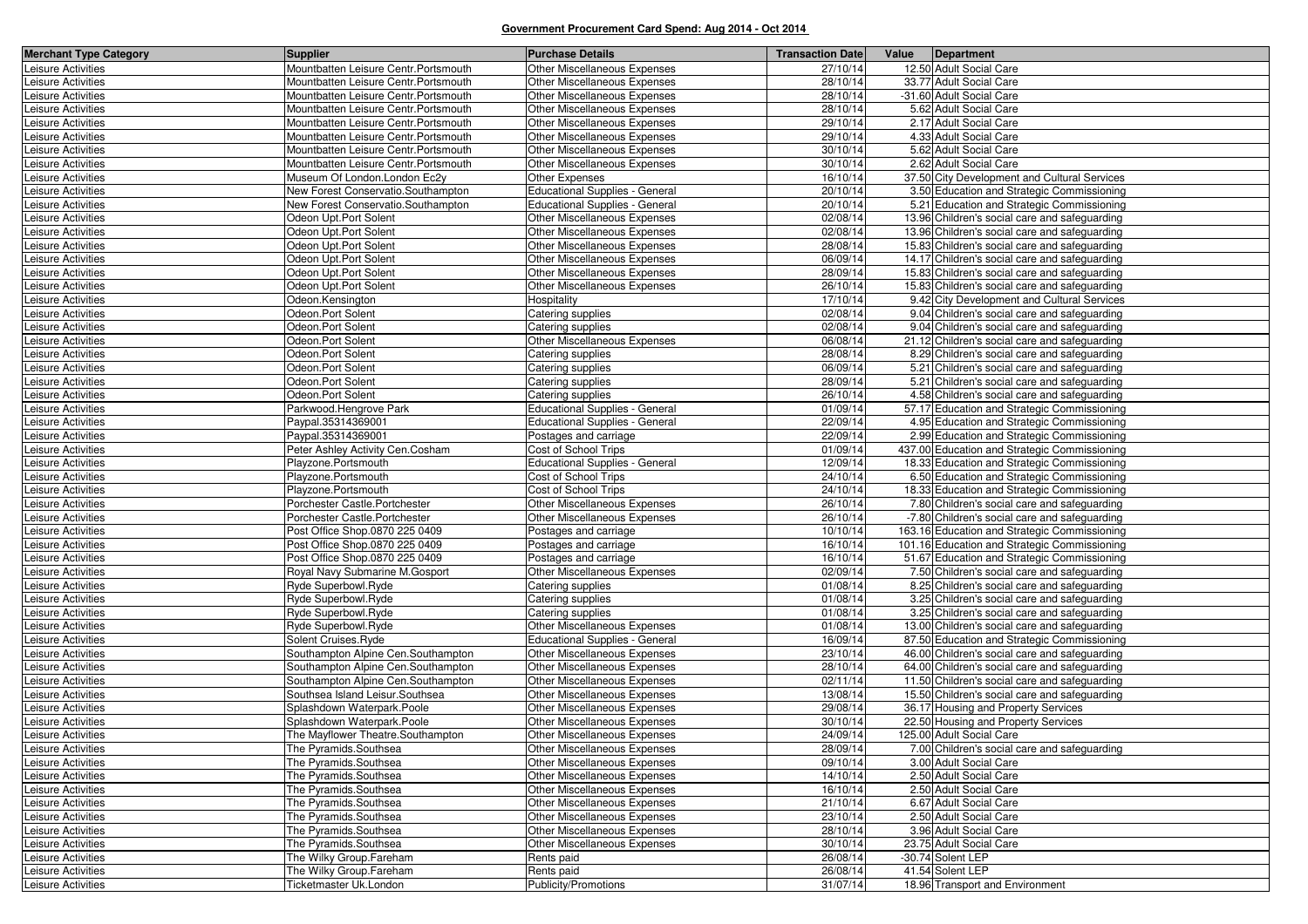| <b>Merchant Type Category</b>            | <b>Supplier</b>                            | <b>Purchase Details</b>                | <b>Transaction Date</b> | Value Department  |                                                                                               |
|------------------------------------------|--------------------------------------------|----------------------------------------|-------------------------|-------------------|-----------------------------------------------------------------------------------------------|
| Leisure Activities                       | Mountbatten Leisure Centr. Portsmouth      | Other Miscellaneous Expenses           | 27/10/14                |                   | 12.50 Adult Social Care                                                                       |
| Leisure Activities                       | Mountbatten Leisure Centr. Portsmouth      | Other Miscellaneous Expenses           | 28/10/14                |                   | 33.77 Adult Social Care                                                                       |
| Leisure Activities                       | Mountbatten Leisure Centr. Portsmouth      | Other Miscellaneous Expenses           | 28/10/14                |                   | -31.60 Adult Social Care                                                                      |
| Leisure Activities                       | Mountbatten Leisure Centr. Portsmouth      | Other Miscellaneous Expenses           | 28/10/14                |                   | 5.62 Adult Social Care                                                                        |
| Leisure Activities                       | Mountbatten Leisure Centr. Portsmouth      | Other Miscellaneous Expenses           | 29/10/14                |                   | 2.17 Adult Social Care                                                                        |
| Leisure Activities                       | Mountbatten Leisure Centr. Portsmouth      | <b>Other Miscellaneous Expenses</b>    | 29/10/14                |                   | 4.33 Adult Social Care                                                                        |
| Leisure Activities                       | Mountbatten Leisure Centr. Portsmouth      | <b>Other Miscellaneous Expenses</b>    | 30/10/14                |                   | 5.62 Adult Social Care                                                                        |
| Leisure Activities                       | Mountbatten Leisure Centr. Portsmouth      | Other Miscellaneous Expenses           | 30/10/14                |                   | 2.62 Adult Social Care                                                                        |
| Leisure Activities                       | Museum Of London. London Ec2y              | Other Expenses                         | 16/10/14                |                   | 37.50 City Development and Cultural Services                                                  |
| Leisure Activities                       | New Forest Conservatio.Southampton         | <b>Educational Supplies - General</b>  | 20/10/14                |                   | 3.50 Education and Strategic Commissioning                                                    |
| Leisure Activities                       | New Forest Conservatio.Southampton         | <b>Educational Supplies - General</b>  | 20/10/14                |                   | 5.21 Education and Strategic Commissioning                                                    |
| Leisure Activities                       | Odeon Upt.Port Solent                      | Other Miscellaneous Expenses           | 02/08/14                |                   | 13.96 Children's social care and safeguarding                                                 |
| Leisure Activities                       | Odeon Upt.Port Solent                      | <b>Other Miscellaneous Expenses</b>    | 02/08/14                |                   | 13.96 Children's social care and safeguarding                                                 |
| Leisure Activities                       | Odeon Upt.Port Solent                      | Other Miscellaneous Expenses           | 28/08/14                |                   | 15.83 Children's social care and safeguarding                                                 |
| Leisure Activities                       | Odeon Upt.Port Solent                      | Other Miscellaneous Expenses           | 06/09/14                |                   | 14.17 Children's social care and safeguarding                                                 |
| Leisure Activities                       | Odeon Upt.Port Solent                      | Other Miscellaneous Expenses           | 28/09/14                |                   | 15.83 Children's social care and safeguarding                                                 |
| Leisure Activities                       | Odeon Upt.Port Solent                      | Other Miscellaneous Expenses           | 26/10/14                |                   | 15.83 Children's social care and safeguarding                                                 |
| Leisure Activities                       | Odeon.Kensington                           | Hospitality                            | 17/10/14                |                   | 9.42 City Development and Cultural Services                                                   |
| Leisure Activities                       | Odeon.Port Solent                          | Catering supplies                      | 02/08/14                |                   | 9.04 Children's social care and safeguarding                                                  |
| Leisure Activities                       | Odeon.Port Solent                          | Catering supplies                      | 02/08/14                |                   | 9.04 Children's social care and safeguarding                                                  |
| Leisure Activities                       | Odeon.Port Solent                          | Other Miscellaneous Expenses           | 06/08/14                |                   | 21.12 Children's social care and safeguarding                                                 |
| Leisure Activities                       | Odeon.Port Solent                          | Catering supplies                      | 28/08/14                |                   | 8.29 Children's social care and safeguarding                                                  |
| Leisure Activities                       | Odeon.Port Solent                          | Catering supplies                      | 06/09/14                |                   | 5.21 Children's social care and safeguarding                                                  |
| Leisure Activities                       | Odeon.Port Solent                          | Catering supplies                      | 28/09/14                |                   | 5.21 Children's social care and safeguarding                                                  |
| Leisure Activities                       | Odeon.Port Solent                          | Catering supplies                      | 26/10/14                |                   | 4.58 Children's social care and safeguarding                                                  |
| Leisure Activities                       | Parkwood.Hengrove Park                     | <b>Educational Supplies - General</b>  | 01/09/14                |                   | 57.17 Education and Strategic Commissioning                                                   |
| Leisure Activities                       | Paypal.35314369001                         | <b>Educational Supplies - General</b>  | 22/09/14                |                   | 4.95 Education and Strategic Commissioning                                                    |
| Leisure Activities                       | Paypal.35314369001                         | Postages and carriage                  | 22/09/14                |                   | 2.99 Education and Strategic Commissioning                                                    |
| Leisure Activities                       | Peter Ashley Activity Cen.Cosham           | Cost of School Trips                   | 01/09/14                |                   | 437.00 Education and Strategic Commissioning                                                  |
| Leisure Activities                       | Playzone.Portsmouth                        | <b>Educational Supplies - General</b>  | 12/09/14                |                   | 18.33 Education and Strategic Commissioning                                                   |
| Leisure Activities                       | Playzone.Portsmouth                        | Cost of School Trips                   | 24/10/14                |                   | 6.50 Education and Strategic Commissioning                                                    |
| Leisure Activities                       | Playzone.Portsmouth                        | Cost of School Trips                   | 24/10/14                |                   | 18.33 Education and Strategic Commissioning                                                   |
| Leisure Activities                       | Porchester Castle.Portchester              | Other Miscellaneous Expenses           | 26/10/14                |                   | 7.80 Children's social care and safeguarding                                                  |
| Leisure Activities                       | Porchester Castle.Portchester              | Other Miscellaneous Expenses           | 26/10/14                |                   | -7.80 Children's social care and safeguarding                                                 |
| Leisure Activities                       | Post Office Shop.0870 225 0409             | Postages and carriage                  | 10/10/14                |                   | 163.16 Education and Strategic Commissioning                                                  |
| Leisure Activities                       | Post Office Shop.0870 225 0409             | Postages and carriage                  | 16/10/14                |                   | 101.16 Education and Strategic Commissioning                                                  |
| Leisure Activities                       | Post Office Shop.0870 225 0409             | Postages and carriage                  | 16/10/14                |                   | 51.67 Education and Strategic Commissioning                                                   |
| Leisure Activities                       | Royal Navy Submarine M.Gosport             | Other Miscellaneous Expenses           | 02/09/14                |                   | 7.50 Children's social care and safeguarding                                                  |
| Leisure Activities                       | Ryde Superbowl.Ryde                        | Catering supplies                      | 01/08/14                |                   | 8.25 Children's social care and safeguarding                                                  |
| Leisure Activities                       | Ryde Superbowl.Ryde<br>Ryde Superbowl.Ryde | Catering supplies<br>Catering supplies | 01/08/14<br>01/08/14    |                   | 3.25 Children's social care and safeguarding                                                  |
| Leisure Activities<br>Leisure Activities | Ryde Superbowl.Ryde                        | Other Miscellaneous Expenses           | 01/08/14                |                   | 3.25 Children's social care and safeguarding<br>13.00 Children's social care and safeguarding |
| Leisure Activities                       | Solent Cruises.Ryde                        | <b>Educational Supplies - General</b>  | 16/09/14                |                   | 87.50 Education and Strategic Commissioning                                                   |
| Leisure Activities                       | Southampton Alpine Cen.Southampton         | Other Miscellaneous Expenses           | 23/10/14                |                   | 46.00 Children's social care and safeguarding                                                 |
| Leisure Activities                       | Southampton Alpine Cen.Southampton         | Other Miscellaneous Expenses           | 28/10/14                |                   | 64.00 Children's social care and safeguarding                                                 |
| Leisure Activities                       | Southampton Alpine Cen.Southampton         | Other Miscellaneous Expenses           | 02/11/14                |                   | 11.50 Children's social care and safeguarding                                                 |
| Leisure Activities                       | Southsea Island Leisur.Southsea            | Other Miscellaneous Expenses           | 13/08/14                |                   | 15.50 Children's social care and safeguarding                                                 |
| Leisure Activities                       | Splashdown Waterpark.Poole                 | <b>Other Miscellaneous Expenses</b>    | 29/08/14                |                   | 36.17 Housing and Property Services                                                           |
| Leisure Activities                       | Splashdown Waterpark.Poole                 | Other Miscellaneous Expenses           | 30/10/14                |                   | 22.50 Housing and Property Services                                                           |
| Leisure Activities                       | The Mayflower Theatre.Southampton          | <b>Other Miscellaneous Expenses</b>    | 24/09/14                |                   | 125.00 Adult Social Care                                                                      |
| Leisure Activities                       | The Pyramids.Southsea                      | Other Miscellaneous Expenses           | 28/09/14                |                   | 7.00 Children's social care and safeguarding                                                  |
| Leisure Activities                       | The Pyramids.Southsea                      | Other Miscellaneous Expenses           | 09/10/14                |                   | 3.00 Adult Social Care                                                                        |
| Leisure Activities                       | The Pyramids.Southsea                      | Other Miscellaneous Expenses           | 14/10/14                |                   | 2.50 Adult Social Care                                                                        |
| Leisure Activities                       | The Pyramids.Southsea                      | Other Miscellaneous Expenses           | 16/10/14                |                   | 2.50 Adult Social Care                                                                        |
| Leisure Activities                       | The Pyramids.Southsea                      | Other Miscellaneous Expenses           | 21/10/14                |                   | 6.67 Adult Social Care                                                                        |
| Leisure Activities                       | The Pyramids.Southsea                      | Other Miscellaneous Expenses           | 23/10/14                |                   | 2.50 Adult Social Care                                                                        |
| Leisure Activities                       | The Pyramids.Southsea                      | Other Miscellaneous Expenses           | 28/10/14                |                   | 3.96 Adult Social Care                                                                        |
| Leisure Activities                       | The Pyramids.Southsea                      | Other Miscellaneous Expenses           | 30/10/14                |                   | 23.75 Adult Social Care                                                                       |
| Leisure Activities                       | The Wilky Group.Fareham                    | Rents paid                             | 26/08/14                | -30.74 Solent LEP |                                                                                               |
| Leisure Activities                       | The Wilky Group.Fareham                    | Rents paid                             | 26/08/14                |                   | 41.54 Solent LEP                                                                              |
| Leisure Activities                       | Ticketmaster Uk.London                     | Publicity/Promotions                   | 31/07/14                |                   | 18.96 Transport and Environment                                                               |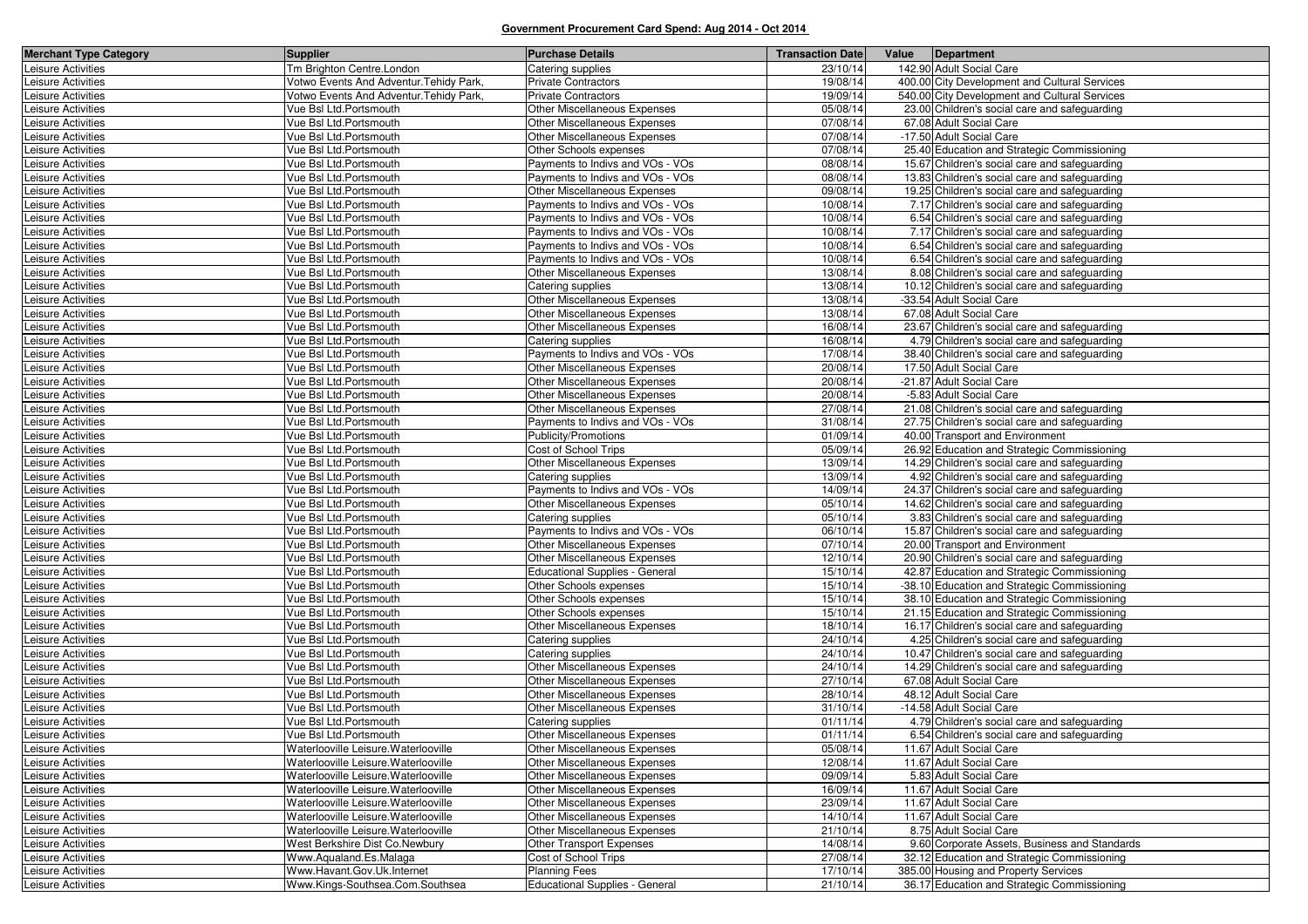| <b>Merchant Type Category</b>            | <b>Supplier</b>                                  | <b>Purchase Details</b>                           | <b>Transaction Date</b> | Value Department                                                         |
|------------------------------------------|--------------------------------------------------|---------------------------------------------------|-------------------------|--------------------------------------------------------------------------|
| Leisure Activities                       | Tm Brighton Centre.London                        | Catering supplies                                 | 23/10/14                | 142.90 Adult Social Care                                                 |
| Leisure Activities                       | Votwo Events And Adventur. Tehidy Park,          | <b>Private Contractors</b>                        | 19/08/14                | 400.00 City Development and Cultural Services                            |
| Leisure Activities                       | Votwo Events And Adventur. Tehidy Park,          | <b>Private Contractors</b>                        | 19/09/14                | 540.00 City Development and Cultural Services                            |
| Leisure Activities                       | Vue Bsl Ltd.Portsmouth                           | Other Miscellaneous Expenses                      | 05/08/14                | 23.00 Children's social care and safeguarding                            |
| Leisure Activities                       | Vue Bsl Ltd.Portsmouth                           | <b>Other Miscellaneous Expenses</b>               | 07/08/14                | 67.08 Adult Social Care                                                  |
| Leisure Activities                       | Vue Bsl Ltd.Portsmouth                           | Other Miscellaneous Expenses                      | 07/08/14                | -17.50 Adult Social Care                                                 |
| Leisure Activities                       | Vue Bsl Ltd.Portsmouth                           | Other Schools expenses                            | 07/08/14                | 25.40 Education and Strategic Commissioning                              |
| Leisure Activities                       | Vue Bsl Ltd.Portsmouth                           | Payments to Indivs and VOs - VOs                  | 08/08/14                | 15.67 Children's social care and safeguarding                            |
| Leisure Activities                       | Vue Bsl Ltd.Portsmouth                           | Payments to Indivs and VOs - VOs                  | 08/08/14                | 13.83 Children's social care and safeguarding                            |
| Leisure Activities                       | Vue Bsl Ltd.Portsmouth                           | Other Miscellaneous Expenses                      | 09/08/14                | 19.25 Children's social care and safeguarding                            |
| Leisure Activities                       | Vue Bsl Ltd.Portsmouth                           | Payments to Indivs and VOs - VOs                  | 10/08/14                | 7.17 Children's social care and safeguarding                             |
| Leisure Activities                       | Vue Bsl Ltd.Portsmouth                           | Payments to Indivs and VOs - VOs                  | 10/08/14                | 6.54 Children's social care and safeguarding                             |
| Leisure Activities                       | Vue Bsl Ltd.Portsmouth                           | Payments to Indivs and VOs - VOs                  | 10/08/14                | 7.17 Children's social care and safeguarding                             |
| Leisure Activities                       | Vue Bsl Ltd.Portsmouth                           | Payments to Indivs and VOs - VOs                  | 10/08/14                | 6.54 Children's social care and safeguarding                             |
| Leisure Activities                       | Vue Bsl Ltd.Portsmouth                           | Payments to Indivs and VOs - VOs                  | 10/08/14                | 6.54 Children's social care and safeguarding                             |
| Leisure Activities                       | Vue BsI Ltd.Portsmouth                           | <b>Other Miscellaneous Expenses</b>               | 13/08/14                | 8.08 Children's social care and safeguarding                             |
| Leisure Activities                       | Vue Bsl Ltd.Portsmouth                           | Catering supplies                                 | 13/08/14                | 10.12 Children's social care and safeguarding                            |
| Leisure Activities                       | Vue BsI Ltd.Portsmouth                           | Other Miscellaneous Expenses                      | 13/08/14                | -33.54 Adult Social Care                                                 |
| Leisure Activities                       | Vue Bsl Ltd.Portsmouth                           | Other Miscellaneous Expenses                      | 13/08/14                | 67.08 Adult Social Care                                                  |
| Leisure Activities                       | Vue Bsl Ltd.Portsmouth                           | Other Miscellaneous Expenses                      | 16/08/14                | 23.67 Children's social care and safeguarding                            |
| Leisure Activities                       | Vue Bsl Ltd.Portsmouth                           | Catering supplies                                 | 16/08/14                | 4.79 Children's social care and safeguarding                             |
| Leisure Activities                       | Vue Bsl Ltd.Portsmouth                           | Payments to Indivs and VOs - VOs                  | 17/08/14                | 38.40 Children's social care and safeguarding                            |
| Leisure Activities                       | Vue BsI Ltd.Portsmouth                           | <b>Other Miscellaneous Expenses</b>               | 20/08/14                | 17.50 Adult Social Care                                                  |
| Leisure Activities                       | Vue Bsl Ltd.Portsmouth                           | Other Miscellaneous Expenses                      | 20/08/14                | -21.87 Adult Social Care                                                 |
| Leisure Activities                       | Vue Bsl Ltd.Portsmouth                           | Other Miscellaneous Expenses                      | 20/08/14                | -5.83 Adult Social Care                                                  |
| Leisure Activities                       | Vue Bsl Ltd.Portsmouth                           | Other Miscellaneous Expenses                      | 27/08/14                | 21.08 Children's social care and safeguarding                            |
| Leisure Activities                       | Vue Bsl Ltd.Portsmouth                           | Payments to Indivs and VOs - VOs                  | 31/08/14                | 27.75 Children's social care and safeguarding                            |
| Leisure Activities                       | Vue Bsl Ltd.Portsmouth                           | Publicity/Promotions                              | 01/09/14                | 40.00 Transport and Environment                                          |
| Leisure Activities                       | Vue Bsl Ltd.Portsmouth                           | Cost of School Trips                              | 05/09/14                | 26.92 Education and Strategic Commissioning                              |
| Leisure Activities                       | Vue Bsl Ltd.Portsmouth                           | Other Miscellaneous Expenses                      | 13/09/14                | 14.29 Children's social care and safeguarding                            |
| Leisure Activities                       | Vue Bsl Ltd.Portsmouth                           | Catering supplies                                 | 13/09/14                | 4.92 Children's social care and safeguarding                             |
| Leisure Activities                       | Vue Bsl Ltd.Portsmouth                           | Payments to Indivs and VOs - VOs                  | 14/09/14                | 24.37 Children's social care and safeguarding                            |
| Leisure Activities                       | Vue Bsl Ltd.Portsmouth                           | Other Miscellaneous Expenses                      | 05/10/14                | 14.62 Children's social care and safeguarding                            |
| Leisure Activities                       | Vue Bsl Ltd.Portsmouth                           | Catering supplies                                 | 05/10/14                | 3.83 Children's social care and safeguarding                             |
| Leisure Activities                       | Vue Bsl Ltd.Portsmouth                           | Payments to Indivs and VOs - VOs                  | 06/10/14                | 15.87 Children's social care and safeguarding                            |
| Leisure Activities                       | Vue BsI Ltd.Portsmouth                           | Other Miscellaneous Expenses                      | 07/10/14                | 20.00 Transport and Environment                                          |
| Leisure Activities                       | Vue Bsl Ltd.Portsmouth                           | Other Miscellaneous Expenses                      | 12/10/14                | 20.90 Children's social care and safeguarding                            |
| Leisure Activities                       | Vue Bsl Ltd.Portsmouth                           | <b>Educational Supplies - General</b>             | 15/10/14                | 42.87 Education and Strategic Commissioning                              |
| Leisure Activities                       | Vue Bsl Ltd.Portsmouth                           | Other Schools expenses                            | 15/10/14                | -38.10 Education and Strategic Commissioning                             |
| Leisure Activities                       | Vue Bsl Ltd.Portsmouth                           | Other Schools expenses                            | 15/10/14                | 38.10 Education and Strategic Commissioning                              |
| Leisure Activities                       | Vue Bsl Ltd.Portsmouth<br>Vue BsI Ltd.Portsmouth | Other Schools expenses                            | 15/10/14<br>18/10/14    | 21.15 Education and Strategic Commissioning                              |
| Leisure Activities                       |                                                  | Other Miscellaneous Expenses                      | 24/10/14                | 16.17 Children's social care and safeguarding                            |
| Leisure Activities                       | Vue BsI Ltd.Portsmouth<br>Vue Bsl Ltd.Portsmouth | Catering supplies                                 | 24/10/14                | 4.25 Children's social care and safeguarding                             |
| Leisure Activities                       |                                                  | Catering supplies<br>Other Miscellaneous Expenses | 24/10/14                | 10.47 Children's social care and safeguarding                            |
| Leisure Activities                       | Vue Bsl Ltd.Portsmouth<br>Vue Bsl Ltd.Portsmouth | Other Miscellaneous Expenses                      | 27/10/14                | 14.29 Children's social care and safeguarding<br>67.08 Adult Social Care |
| Leisure Activities<br>Leisure Activities | Vue Bsl Ltd.Portsmouth                           | Other Miscellaneous Expenses                      | 28/10/14                | 48.12 Adult Social Care                                                  |
| Leisure Activities                       | Vue Bsl Ltd.Portsmouth                           | Other Miscellaneous Expenses                      | 31/10/14                | -14.58 Adult Social Care                                                 |
| Leisure Activities                       | Vue Bsl Ltd.Portsmouth                           | Catering supplies                                 | 01/11/14                | 4.79 Children's social care and safeguarding                             |
| Leisure Activities                       | Vue Bsl Ltd.Portsmouth                           | Other Miscellaneous Expenses                      | 01/11/14                | 6.54 Children's social care and safeguarding                             |
| Leisure Activities                       | Waterlooville Leisure. Waterlooville             | <b>Other Miscellaneous Expenses</b>               | 05/08/14                | 11.67 Adult Social Care                                                  |
| Leisure Activities                       | Waterlooville Leisure. Waterlooville             | Other Miscellaneous Expenses                      | 12/08/14                | 11.67 Adult Social Care                                                  |
| Leisure Activities                       | Waterlooville Leisure. Waterlooville             | Other Miscellaneous Expenses                      | 09/09/14                | 5.83 Adult Social Care                                                   |
| Leisure Activities                       | Waterlooville Leisure. Waterlooville             | Other Miscellaneous Expenses                      | 16/09/14                | 11.67 Adult Social Care                                                  |
| Leisure Activities                       | Waterlooville Leisure. Waterlooville             | Other Miscellaneous Expenses                      | 23/09/14                | 11.67 Adult Social Care                                                  |
| Leisure Activities                       | Waterlooville Leisure. Waterlooville             | Other Miscellaneous Expenses                      | 14/10/14                | 11.67 Adult Social Care                                                  |
| Leisure Activities                       | Waterlooville Leisure. Waterlooville             | Other Miscellaneous Expenses                      | 21/10/14                | 8.75 Adult Social Care                                                   |
| Leisure Activities                       | West Berkshire Dist Co.Newbury                   | Other Transport Expenses                          | 14/08/14                | 9.60 Corporate Assets, Business and Standards                            |
| Leisure Activities                       | Www.Aqualand.Es.Malaga                           | Cost of School Trips                              | 27/08/14                | 32.12 Education and Strategic Commissioning                              |
| Leisure Activities                       | Www.Havant.Gov.Uk.Internet                       | <b>Planning Fees</b>                              | 17/10/14                | 385.00 Housing and Property Services                                     |
| Leisure Activities                       | Www.Kings-Southsea.Com.Southsea                  | <b>Educational Supplies - General</b>             | 21/10/14                | 36.17 Education and Strategic Commissioning                              |
|                                          |                                                  |                                                   |                         |                                                                          |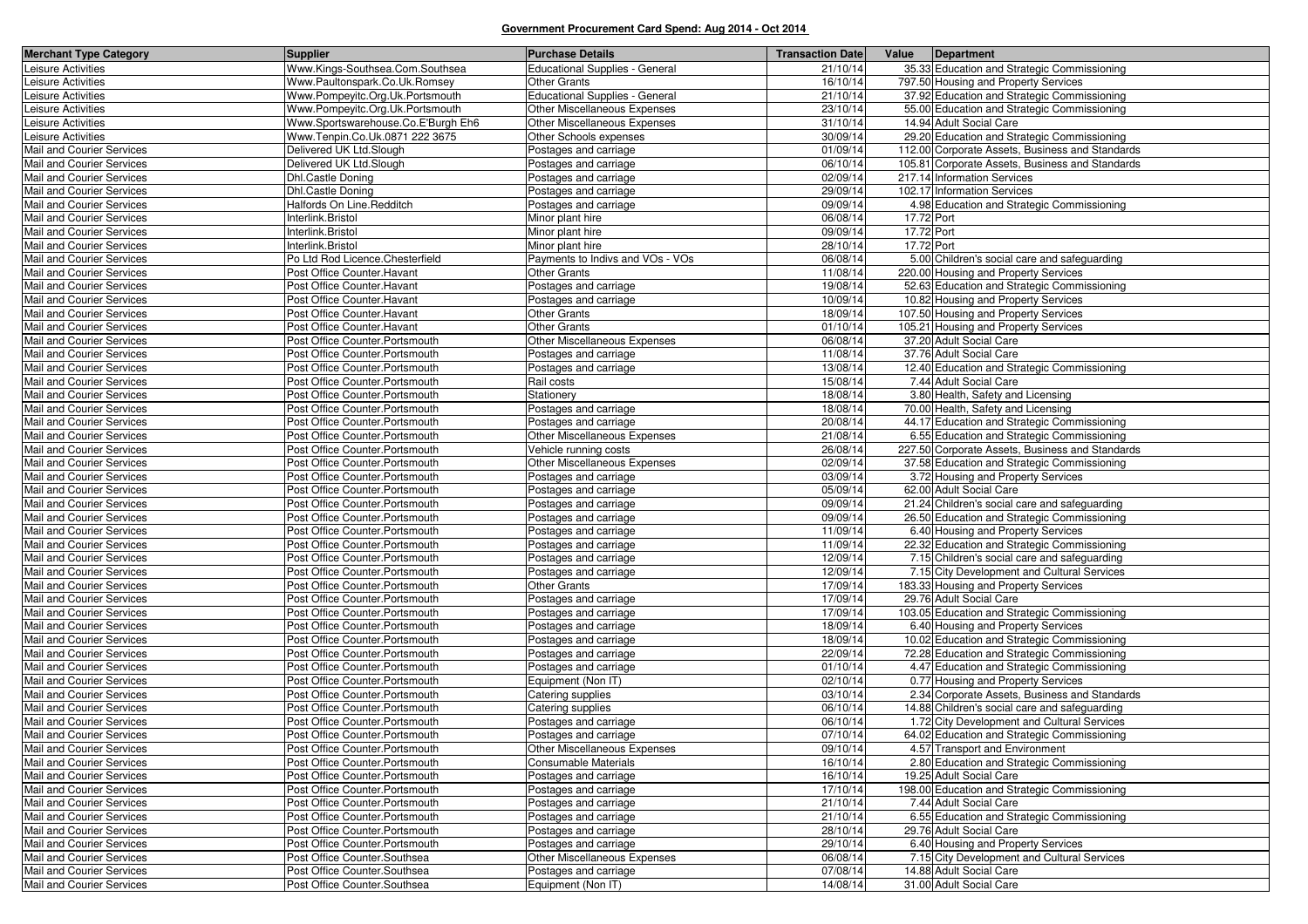| <b>Merchant Type Category</b>                          | <b>Supplier</b>                                              | <b>Purchase Details</b>                     | <b>Transaction Date</b> | Value      | Department                                                            |
|--------------------------------------------------------|--------------------------------------------------------------|---------------------------------------------|-------------------------|------------|-----------------------------------------------------------------------|
| Leisure Activities                                     | Www.Kings-Southsea.Com.Southsea                              | <b>Educational Supplies - General</b>       | 21/10/14                |            | 35.33 Education and Strategic Commissioning                           |
| Leisure Activities                                     | Www.Paultonspark.Co.Uk.Romsey                                | <b>Other Grants</b>                         | 16/10/14                |            | 797.50 Housing and Property Services                                  |
| Leisure Activities                                     | Www.Pompeyitc.Org.Uk.Portsmouth                              | <b>Educational Supplies - General</b>       | 21/10/14                |            | 37.92 Education and Strategic Commissioning                           |
| Leisure Activities                                     | Www.Pompeyitc.Org.Uk.Portsmouth                              | Other Miscellaneous Expenses                | 23/10/14                |            | 55.00 Education and Strategic Commissioning                           |
| Leisure Activities                                     | Www.Sportswarehouse.Co.E'Burgh Eh6                           | <b>Other Miscellaneous Expenses</b>         | 31/10/14                |            | 14.94 Adult Social Care                                               |
| Leisure Activities                                     | Www.Tenpin.Co.Uk.0871 222 3675                               | Other Schools expenses                      | 30/09/14                |            | 29.20 Education and Strategic Commissioning                           |
| Mail and Courier Services                              | Delivered UK Ltd.Slough                                      | Postages and carriage                       | 01/09/14                |            | 112.00 Corporate Assets, Business and Standards                       |
| Mail and Courier Services                              | Delivered UK Ltd.Slough                                      | Postages and carriage                       | 06/10/14                |            | 105.81 Corporate Assets, Business and Standards                       |
| Mail and Courier Services                              | Dhl.Castle Doning                                            | Postages and carriage                       | 02/09/14                |            | 217.14 Information Services                                           |
| Mail and Courier Services                              | Dhl.Castle Doning                                            | Postages and carriage                       | 29/09/14                |            | 102.17 Information Services                                           |
| Mail and Courier Services                              | Halfords On Line.Redditch                                    | Postages and carriage                       | 09/09/14                |            | 4.98 Education and Strategic Commissioning                            |
| Mail and Courier Services                              | Interlink.Bristol                                            | Minor plant hire                            | 06/08/14                | 17.72 Port |                                                                       |
| Mail and Courier Services                              | Interlink.Bristol                                            | Minor plant hire                            | 09/09/14                | 17.72 Port |                                                                       |
| Mail and Courier Services                              | Interlink.Bristol                                            | Minor plant hire                            | 28/10/14                | 17.72 Port |                                                                       |
| Mail and Courier Services                              | Po Ltd Rod Licence.Chesterfield                              | Payments to Indivs and VOs - VOs            | 06/08/14                |            | 5.00 Children's social care and safeguarding                          |
| Mail and Courier Services                              | Post Office Counter. Havant                                  | <b>Other Grants</b>                         | 11/08/14                |            | 220.00 Housing and Property Services                                  |
| Mail and Courier Services                              | Post Office Counter. Havant                                  | Postages and carriage                       | 19/08/14                |            | 52.63 Education and Strategic Commissioning                           |
| Mail and Courier Services                              | Post Office Counter. Havant                                  | Postages and carriage                       | 10/09/14                |            | 10.82 Housing and Property Services                                   |
| Mail and Courier Services                              | Post Office Counter. Havant                                  | <b>Other Grants</b>                         | 18/09/14                |            | 107.50 Housing and Property Services                                  |
| Mail and Courier Services                              | Post Office Counter.Havant                                   | <b>Other Grants</b>                         | 01/10/14                |            | 105.21 Housing and Property Services                                  |
| Mail and Courier Services                              | Post Office Counter. Portsmouth                              | Other Miscellaneous Expenses                | 06/08/14                |            | 37.20 Adult Social Care                                               |
| Mail and Courier Services                              | Post Office Counter. Portsmouth                              | Postages and carriage                       | 11/08/14                |            | 37.76 Adult Social Care                                               |
| Mail and Courier Services                              | Post Office Counter. Portsmouth                              | Postages and carriage                       | 13/08/14                |            | 12.40 Education and Strategic Commissioning                           |
| Mail and Courier Services                              | Post Office Counter. Portsmouth                              | Rail costs                                  | 15/08/14                |            | 7.44 Adult Social Care                                                |
| Mail and Courier Services                              | Post Office Counter. Portsmouth                              | Stationery                                  | 18/08/14                |            | 3.80 Health, Safety and Licensing                                     |
| Mail and Courier Services                              | Post Office Counter. Portsmouth                              | Postages and carriage                       | 18/08/14                |            | 70.00 Health, Safety and Licensing                                    |
| Mail and Courier Services                              | Post Office Counter. Portsmouth                              | Postages and carriage                       | 20/08/14                |            | 44.17 Education and Strategic Commissioning                           |
| Mail and Courier Services                              | Post Office Counter. Portsmouth                              | <b>Other Miscellaneous Expenses</b>         | 21/08/14                |            | 6.55 Education and Strategic Commissioning                            |
| Mail and Courier Services                              | Post Office Counter. Portsmouth                              | Vehicle running costs                       | 26/08/14                |            | 227.50 Corporate Assets, Business and Standards                       |
| Mail and Courier Services                              | Post Office Counter. Portsmouth                              | Other Miscellaneous Expenses                | 02/09/14                |            | 37.58 Education and Strategic Commissioning                           |
| Mail and Courier Services                              | Post Office Counter. Portsmouth                              | Postages and carriage                       | 03/09/14                |            | 3.72 Housing and Property Services                                    |
| Mail and Courier Services                              | Post Office Counter. Portsmouth                              | Postages and carriage                       | 05/09/14                |            | 62.00 Adult Social Care                                               |
| Mail and Courier Services                              | Post Office Counter.Portsmouth                               | Postages and carriage                       | 09/09/14                |            | 21.24 Children's social care and safeguarding                         |
| Mail and Courier Services                              | Post Office Counter.Portsmouth                               | Postages and carriage                       | 09/09/14                |            | 26.50 Education and Strategic Commissioning                           |
| Mail and Courier Services                              | Post Office Counter.Portsmouth                               | Postages and carriage                       | 11/09/14                |            | 6.40 Housing and Property Services                                    |
| Mail and Courier Services                              | Post Office Counter. Portsmouth                              | Postages and carriage                       | 11/09/14                |            | 22.32 Education and Strategic Commissioning                           |
| Mail and Courier Services                              | Post Office Counter. Portsmouth                              | Postages and carriage                       | 12/09/14                |            | 7.15 Children's social care and safeguarding                          |
| Mail and Courier Services                              | Post Office Counter. Portsmouth                              | Postages and carriage                       | 12/09/14                |            | 7.15 City Development and Cultural Services                           |
| Mail and Courier Services                              | Post Office Counter.Portsmouth                               | <b>Other Grants</b>                         | 17/09/14                |            | 183.33 Housing and Property Services                                  |
| Mail and Courier Services                              | Post Office Counter. Portsmouth                              | Postages and carriage                       | 17/09/14                |            | 29.76 Adult Social Care                                               |
| Mail and Courier Services                              | Post Office Counter. Portsmouth                              | Postages and carriage                       | 17/09/14                |            | 103.05 Education and Strategic Commissioning                          |
| Mail and Courier Services                              | Post Office Counter. Portsmouth                              | Postages and carriage                       | 18/09/14                |            | 6.40 Housing and Property Services                                    |
| Mail and Courier Services                              | Post Office Counter. Portsmouth                              | Postages and carriage                       | 18/09/14                |            | 10.02 Education and Strategic Commissioning                           |
| Mail and Courier Services                              | Post Office Counter. Portsmouth                              | Postages and carriage                       | 22/09/14                |            | 72.28 Education and Strategic Commissioning                           |
| Mail and Courier Services                              | Post Office Counter. Portsmouth                              | Postages and carriage                       | 01/10/14                |            | 4.47 Education and Strategic Commissioning                            |
| Mail and Courier Services                              | Post Office Counter.Portsmouth                               | Equipment (Non IT)                          | 02/10/14                |            | 0.77 Housing and Property Services                                    |
| Mail and Courier Services                              | Post Office Counter. Portsmouth                              | Catering supplies                           | 03/10/14                |            | 2.34 Corporate Assets, Business and Standards                         |
| Mail and Courier Services                              | Post Office Counter. Portsmouth                              | Catering supplies                           | 06/10/14                |            | 14.88 Children's social care and safeguarding                         |
| Mail and Courier Services                              | Post Office Counter. Portsmouth                              | Postages and carriage                       | 06/10/14                |            | 1.72 City Development and Cultural Services                           |
| Mail and Courier Services                              | Post Office Counter. Portsmouth                              | Postages and carriage                       | 07/10/14                |            | 64.02 Education and Strategic Commissioning                           |
| Mail and Courier Services                              | Post Office Counter. Portsmouth                              | Other Miscellaneous Expenses                | 09/10/14                |            | 4.57 Transport and Environment                                        |
| Mail and Courier Services<br>Mail and Courier Services | Post Office Counter. Portsmouth                              | Consumable Materials                        | 16/10/14                |            | 2.80 Education and Strategic Commissioning                            |
|                                                        | Post Office Counter. Portsmouth                              | Postages and carriage                       | 16/10/14                |            | 19.25 Adult Social Care                                               |
| Mail and Courier Services                              | Post Office Counter.Portsmouth                               | Postages and carriage                       | 17/10/14                |            | 198.00 Education and Strategic Commissioning                          |
| Mail and Courier Services<br>Mail and Courier Services | Post Office Counter. Portsmouth                              | Postages and carriage                       | 21/10/14                |            | 7.44 Adult Social Care                                                |
| Mail and Courier Services                              | Post Office Counter.Portsmouth                               | Postages and carriage                       | 21/10/14                |            | 6.55 Education and Strategic Commissioning<br>29.76 Adult Social Care |
| Mail and Courier Services                              | Post Office Counter. Portsmouth                              | Postages and carriage                       | 28/10/14<br>29/10/14    |            | 6.40 Housing and Property Services                                    |
|                                                        | Post Office Counter. Portsmouth                              | Postages and carriage                       |                         |            | 7.15 City Development and Cultural Services                           |
| Mail and Courier Services                              | Post Office Counter.Southsea                                 | Other Miscellaneous Expenses                | 06/08/14<br>07/08/14    |            | 14.88 Adult Social Care                                               |
| Mail and Courier Services<br>Mail and Courier Services | Post Office Counter.Southsea<br>Post Office Counter.Southsea | Postages and carriage<br>Equipment (Non IT) | 14/08/14                |            | 31.00 Adult Social Care                                               |
|                                                        |                                                              |                                             |                         |            |                                                                       |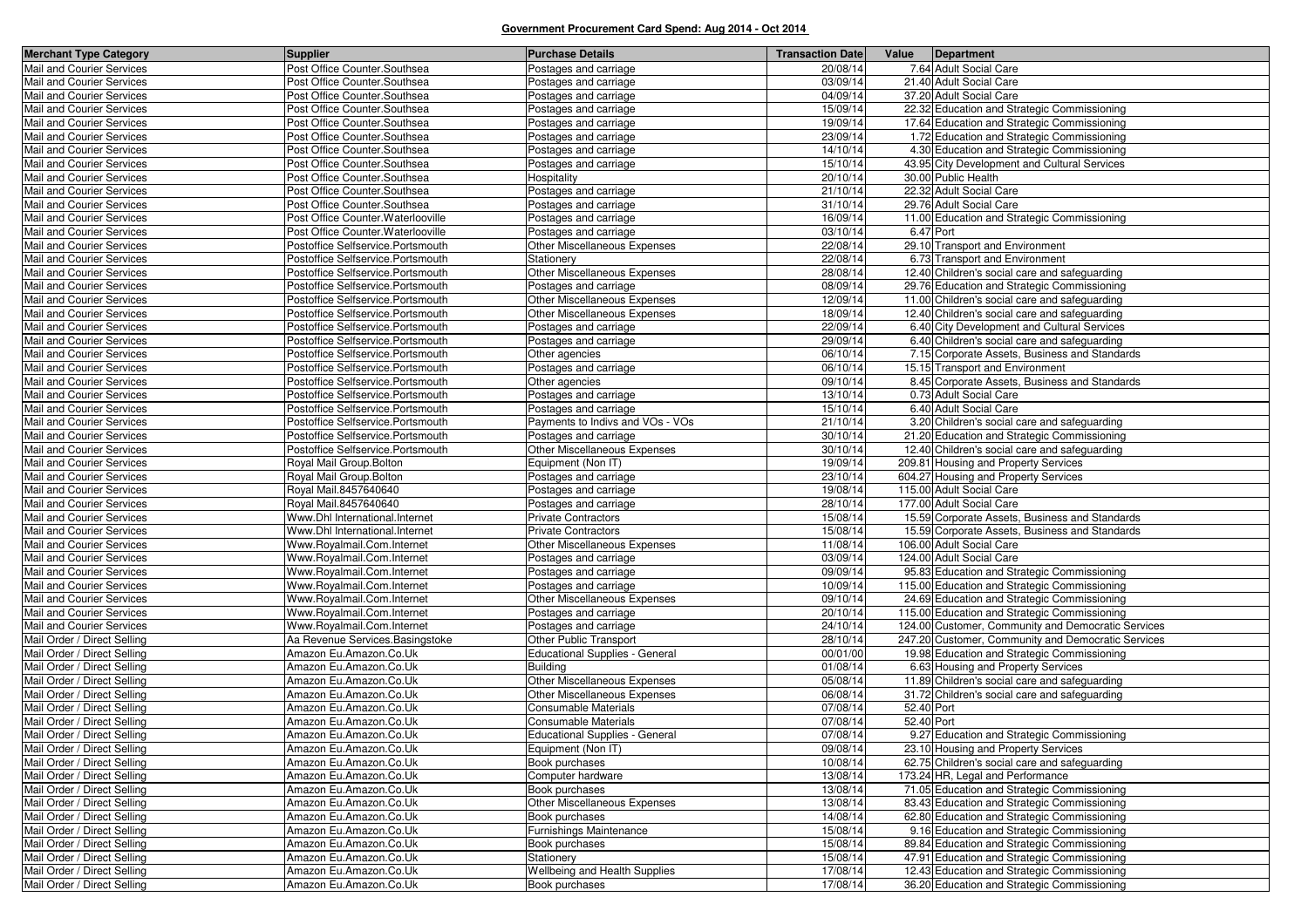| <b>Merchant Type Category</b>                          | <b>Supplier</b>                                          | <b>Purchase Details</b>                        | <b>Transaction Date</b> | Value Department                                                                            |
|--------------------------------------------------------|----------------------------------------------------------|------------------------------------------------|-------------------------|---------------------------------------------------------------------------------------------|
| Mail and Courier Services                              | Post Office Counter. Southsea                            | Postages and carriage                          | 20/08/14                | 7.64 Adult Social Care                                                                      |
| Mail and Courier Services                              | Post Office Counter.Southsea                             | Postages and carriage                          | 03/09/14                | 21.40 Adult Social Care                                                                     |
| Mail and Courier Services                              | Post Office Counter.Southsea                             | Postages and carriage                          | 04/09/14                | 37.20 Adult Social Care                                                                     |
| Mail and Courier Services                              | Post Office Counter.Southsea                             | Postages and carriage                          | 15/09/14                | 22.32 Education and Strategic Commissioning                                                 |
| Mail and Courier Services                              | Post Office Counter.Southsea                             | Postages and carriage                          | 19/09/14                | 17.64 Education and Strategic Commissioning                                                 |
| Mail and Courier Services                              | Post Office Counter. Southsea                            | Postages and carriage                          | 23/09/14                | 1.72 Education and Strategic Commissioning                                                  |
| Mail and Courier Services                              | Post Office Counter. Southsea                            | Postages and carriage                          | 14/10/14                | 4.30 Education and Strategic Commissioning                                                  |
| Mail and Courier Services                              | Post Office Counter. Southsea                            | Postages and carriage                          | 15/10/14                | 43.95 City Development and Cultural Services                                                |
| Mail and Courier Services                              | Post Office Counter.Southsea                             | Hospitality                                    | 20/10/14                | 30.00 Public Health                                                                         |
| Mail and Courier Services                              | Post Office Counter. Southsea                            | Postages and carriage                          | 21/10/14                | 22.32 Adult Social Care                                                                     |
| Mail and Courier Services                              | Post Office Counter. Southsea                            | Postages and carriage                          | 31/10/14                | 29.76 Adult Social Care                                                                     |
| Mail and Courier Services                              | Post Office Counter. Waterlooville                       | Postages and carriage                          | 16/09/14                | 11.00 Education and Strategic Commissioning                                                 |
| Mail and Courier Services                              | Post Office Counter. Waterlooville                       | Postages and carriage                          | 03/10/14                | 6.47 Port                                                                                   |
| Mail and Courier Services                              | Postoffice Selfservice.Portsmouth                        | Other Miscellaneous Expenses                   | 22/08/14                | 29.10 Transport and Environment                                                             |
| Mail and Courier Services                              | Postoffice Selfservice.Portsmouth                        | Stationery                                     | 22/08/14                | 6.73 Transport and Environment                                                              |
| Mail and Courier Services                              | Postoffice Selfservice.Portsmouth                        | Other Miscellaneous Expenses                   | 28/08/14                | 12.40 Children's social care and safeguarding                                               |
| Mail and Courier Services                              | Postoffice Selfservice.Portsmouth                        | Postages and carriage                          | 08/09/14                | 29.76 Education and Strategic Commissioning                                                 |
| Mail and Courier Services                              | Postoffice Selfservice.Portsmouth                        | Other Miscellaneous Expenses                   | 12/09/14                | 11.00 Children's social care and safeguarding                                               |
| Mail and Courier Services                              | Postoffice Selfservice.Portsmouth                        | Other Miscellaneous Expenses                   | 18/09/14                | 12.40 Children's social care and safeguarding                                               |
| Mail and Courier Services                              | Postoffice Selfservice.Portsmouth                        | Postages and carriage                          | 22/09/14                | 6.40 City Development and Cultural Services                                                 |
| Mail and Courier Services                              | Postoffice Selfservice.Portsmouth                        | Postages and carriage                          | 29/09/14                | 6.40 Children's social care and safeguarding                                                |
| Mail and Courier Services                              | Postoffice Selfservice.Portsmouth                        | Other agencies                                 | 06/10/14                | 7.15 Corporate Assets, Business and Standards                                               |
| Mail and Courier Services                              | Postoffice Selfservice.Portsmouth                        | Postages and carriage                          | 06/10/14                | 15.15 Transport and Environment                                                             |
| Mail and Courier Services                              | Postoffice Selfservice.Portsmouth                        | Other agencies                                 | 09/10/14                | 8.45 Corporate Assets, Business and Standards                                               |
| Mail and Courier Services                              | Postoffice Selfservice.Portsmouth                        | Postages and carriage                          | 13/10/14                | 0.73 Adult Social Care                                                                      |
| Mail and Courier Services                              | Postoffice Selfservice.Portsmouth                        | Postages and carriage                          | 15/10/14                | 6.40 Adult Social Care                                                                      |
| Mail and Courier Services                              | Postoffice Selfservice.Portsmouth                        | Payments to Indivs and VOs - VOs               | 21/10/14                | 3.20 Children's social care and safeguarding                                                |
| Mail and Courier Services                              | Postoffice Selfservice.Portsmouth                        | Postages and carriage                          | 30/10/14                | 21.20 Education and Strategic Commissioning                                                 |
| Mail and Courier Services                              | Postoffice Selfservice.Portsmouth                        | Other Miscellaneous Expenses                   | 30/10/14                | 12.40 Children's social care and safeguarding                                               |
| Mail and Courier Services                              | Royal Mail Group.Bolton                                  | Equipment (Non IT)                             | 19/09/14                | 209.81 Housing and Property Services                                                        |
| Mail and Courier Services                              | Royal Mail Group.Bolton                                  | Postages and carriage                          | 23/10/14                | 604.27 Housing and Property Services                                                        |
| Mail and Courier Services                              | Royal Mail.8457640640                                    | Postages and carriage                          | 19/08/14                | 115.00 Adult Social Care                                                                    |
| Mail and Courier Services                              | Royal Mail.8457640640                                    | Postages and carriage                          | 28/10/14                | 177.00 Adult Social Care                                                                    |
| Mail and Courier Services                              | Www.Dhl International.Internet                           | <b>Private Contractors</b>                     | 15/08/14                | 15.59 Corporate Assets, Business and Standards                                              |
| Mail and Courier Services                              | Www.Dhl International.Internet                           | <b>Private Contractors</b>                     | 15/08/14                | 15.59 Corporate Assets, Business and Standards                                              |
| Mail and Courier Services                              | Www.Royalmail.Com.Internet                               | Other Miscellaneous Expenses                   | 11/08/14                | 106.00 Adult Social Care                                                                    |
| Mail and Courier Services<br>Mail and Courier Services | Www.Royalmail.Com.Internet                               | Postages and carriage                          | 03/09/14<br>09/09/14    | 124.00 Adult Social Care                                                                    |
| Mail and Courier Services                              | Www.Royalmail.Com.Internet<br>Www.Royalmail.Com.Internet | Postages and carriage                          | 10/09/14                | 95.83 Education and Strategic Commissioning<br>115.00 Education and Strategic Commissioning |
| Mail and Courier Services                              |                                                          | Postages and carriage                          | 09/10/14                |                                                                                             |
| Mail and Courier Services                              | Www.Royalmail.Com.Internet<br>Www.Royalmail.Com.Internet | Other Miscellaneous Expenses                   | 20/10/14                | 24.69 Education and Strategic Commissioning<br>115.00 Education and Strategic Commissioning |
| Mail and Courier Services                              | Www.Royalmail.Com.Internet                               | Postages and carriage<br>Postages and carriage | 24/10/14                | 124.00 Customer, Community and Democratic Services                                          |
| Mail Order / Direct Selling                            | Aa Revenue Services. Basingstoke                         | Other Public Transport                         | 28/10/14                | 247.20 Customer, Community and Democratic Services                                          |
| Mail Order / Direct Selling                            | Amazon Eu.Amazon.Co.Uk                                   | <b>Educational Supplies - General</b>          | 00/01/00                | 19.98 Education and Strategic Commissioning                                                 |
| Mail Order / Direct Selling                            | Amazon Eu.Amazon.Co.Uk                                   | <b>Building</b>                                | 01/08/14                | 6.63 Housing and Property Services                                                          |
| Mail Order / Direct Selling                            | Amazon Eu.Amazon.Co.Uk                                   | Other Miscellaneous Expenses                   | 05/08/14                | 11.89 Children's social care and safeguarding                                               |
| Mail Order / Direct Selling                            | Amazon Eu.Amazon.Co.Uk                                   | Other Miscellaneous Expenses                   | 06/08/14                | 31.72 Children's social care and safeguarding                                               |
| Mail Order / Direct Selling                            | Amazon Eu.Amazon.Co.Uk                                   | Consumable Materials                           | 07/08/14                | 52.40 Port                                                                                  |
| Mail Order / Direct Selling                            | Amazon Eu.Amazon.Co.Uk                                   | Consumable Materials                           | 07/08/14                | 52.40 Port                                                                                  |
| Mail Order / Direct Selling                            | Amazon Eu.Amazon.Co.Uk                                   | <b>Educational Supplies - General</b>          | 07/08/14                | 9.27 Education and Strategic Commissioning                                                  |
| Mail Order / Direct Selling                            | Amazon Eu.Amazon.Co.Uk                                   | Equipment (Non IT)                             | 09/08/14                | 23.10 Housing and Property Services                                                         |
| Mail Order / Direct Selling                            | Amazon Eu.Amazon.Co.Uk                                   | Book purchases                                 | 10/08/14                | 62.75 Children's social care and safeguarding                                               |
| Mail Order / Direct Selling                            | Amazon Eu.Amazon.Co.Uk                                   | Computer hardware                              | 13/08/14                | 173.24 HR, Legal and Performance                                                            |
| Mail Order / Direct Selling                            | Amazon Eu.Amazon.Co.Uk                                   | Book purchases                                 | 13/08/14                | 71.05 Education and Strategic Commissioning                                                 |
| Mail Order / Direct Selling                            | Amazon Eu.Amazon.Co.Uk                                   | Other Miscellaneous Expenses                   | 13/08/14                | 83.43 Education and Strategic Commissioning                                                 |
| Mail Order / Direct Selling                            | Amazon Eu.Amazon.Co.Uk                                   | Book purchases                                 | 14/08/14                | 62.80 Education and Strategic Commissioning                                                 |
| Mail Order / Direct Selling                            | Amazon Eu.Amazon.Co.Uk                                   | <b>Furnishings Maintenance</b>                 | 15/08/14                | 9.16 Education and Strategic Commissioning                                                  |
| Mail Order / Direct Selling                            | Amazon Eu.Amazon.Co.Uk                                   | Book purchases                                 | 15/08/14                | 89.84 Education and Strategic Commissioning                                                 |
| Mail Order / Direct Selling                            | Amazon Eu.Amazon.Co.Uk                                   | Stationery                                     | 15/08/14                | 47.91 Education and Strategic Commissioning                                                 |
| Mail Order / Direct Selling                            | Amazon Eu.Amazon.Co.Uk                                   | Wellbeing and Health Supplies                  | 17/08/14                | 12.43 Education and Strategic Commissioning                                                 |
| Mail Order / Direct Selling                            | Amazon Eu.Amazon.Co.Uk                                   | Book purchases                                 | 17/08/14                | 36.20 Education and Strategic Commissioning                                                 |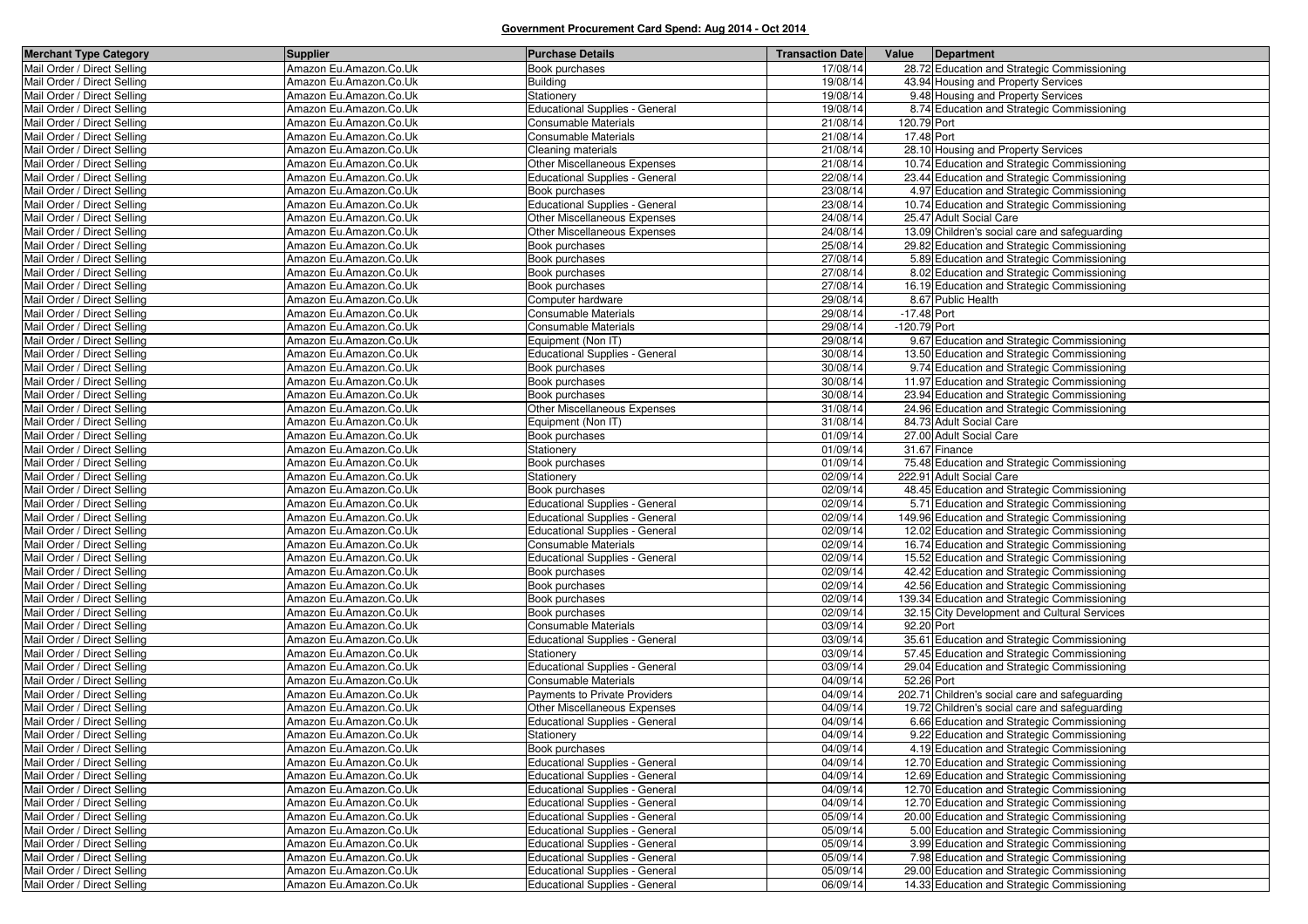| <b>Merchant Type Category</b> | <b>Supplier</b>        | <b>Purchase Details</b>               | <b>Transaction Date</b> | Value         | Department                                     |
|-------------------------------|------------------------|---------------------------------------|-------------------------|---------------|------------------------------------------------|
| Mail Order / Direct Selling   | Amazon Eu.Amazon.Co.Uk | Book purchases                        | 17/08/14                |               | 28.72 Education and Strategic Commissioning    |
| Mail Order / Direct Selling   | Amazon Eu.Amazon.Co.Uk | Building                              | 19/08/14                |               | 43.94 Housing and Property Services            |
| Mail Order / Direct Selling   | Amazon Eu.Amazon.Co.Uk | Stationery                            | 19/08/14                |               | 9.48 Housing and Property Services             |
| Mail Order / Direct Selling   | Amazon Eu.Amazon.Co.Uk | <b>Educational Supplies - General</b> | 19/08/14                |               | 8.74 Education and Strategic Commissioning     |
| Mail Order / Direct Selling   | Amazon Eu.Amazon.Co.Uk | <b>Consumable Materials</b>           | 21/08/14                | 120.79 Port   |                                                |
| Mail Order / Direct Selling   | Amazon Eu.Amazon.Co.Uk | Consumable Materials                  | 21/08/14                | 17.48 Port    |                                                |
| Mail Order / Direct Selling   | Amazon Eu.Amazon.Co.Uk | Cleaning materials                    | 21/08/14                |               | 28.10 Housing and Property Services            |
| Mail Order / Direct Selling   | Amazon Eu.Amazon.Co.Uk | Other Miscellaneous Expenses          | 21/08/14                |               | 10.74 Education and Strategic Commissioning    |
| Mail Order / Direct Selling   | Amazon Eu.Amazon.Co.Uk | <b>Educational Supplies - General</b> | 22/08/14                |               | 23.44 Education and Strategic Commissioning    |
| Mail Order / Direct Selling   | Amazon Eu.Amazon.Co.Uk | Book purchases                        | 23/08/14                |               | 4.97 Education and Strategic Commissioning     |
| Mail Order / Direct Selling   | Amazon Eu.Amazon.Co.Uk | <b>Educational Supplies - General</b> | 23/08/14                |               | 10.74 Education and Strategic Commissioning    |
| Mail Order / Direct Selling   | Amazon Eu.Amazon.Co.Uk | Other Miscellaneous Expenses          | 24/08/14                |               | 25.47 Adult Social Care                        |
| Mail Order / Direct Selling   | Amazon Eu.Amazon.Co.Uk | <b>Other Miscellaneous Expenses</b>   | 24/08/14                |               | 13.09 Children's social care and safeguarding  |
| Mail Order / Direct Selling   | Amazon Eu.Amazon.Co.Uk | Book purchases                        | 25/08/14                |               | 29.82 Education and Strategic Commissioning    |
| Mail Order / Direct Selling   | Amazon Eu.Amazon.Co.Uk | Book purchases                        | 27/08/14                |               | 5.89 Education and Strategic Commissioning     |
| Mail Order / Direct Selling   | Amazon Eu.Amazon.Co.Uk | Book purchases                        | 27/08/14                |               | 8.02 Education and Strategic Commissioning     |
| Mail Order / Direct Selling   | Amazon Eu.Amazon.Co.Uk | Book purchases                        | 27/08/14                |               | 16.19 Education and Strategic Commissioning    |
| Mail Order / Direct Selling   | Amazon Eu.Amazon.Co.Uk | Computer hardware                     | 29/08/14                |               | 8.67 Public Health                             |
| Mail Order / Direct Selling   | Amazon Eu.Amazon.Co.Uk | Consumable Materials                  | 29/08/14                | $-17.48$ Port |                                                |
| Mail Order / Direct Selling   | Amazon Eu.Amazon.Co.Uk | Consumable Materials                  | 29/08/14                | -120.79 Port  |                                                |
| Mail Order / Direct Selling   | Amazon Eu.Amazon.Co.Uk | Equipment (Non IT)                    | 29/08/14                |               | 9.67 Education and Strategic Commissioning     |
| Mail Order / Direct Selling   | Amazon Eu.Amazon.Co.Uk | <b>Educational Supplies - General</b> | 30/08/14                |               | 13.50 Education and Strategic Commissioning    |
| Mail Order / Direct Selling   | Amazon Eu.Amazon.Co.Uk | Book purchases                        | 30/08/14                |               | 9.74 Education and Strategic Commissioning     |
| Mail Order / Direct Selling   | Amazon Eu.Amazon.Co.Uk | Book purchases                        | 30/08/14                |               | 11.97 Education and Strategic Commissioning    |
| Mail Order / Direct Selling   | Amazon Eu.Amazon.Co.Uk | Book purchases                        | 30/08/14                |               | 23.94 Education and Strategic Commissioning    |
| Mail Order / Direct Selling   | Amazon Eu.Amazon.Co.Uk | <b>Other Miscellaneous Expenses</b>   | 31/08/14                |               | 24.96 Education and Strategic Commissioning    |
| Mail Order / Direct Selling   | Amazon Eu.Amazon.Co.Uk | Equipment (Non IT)                    | 31/08/14                |               | 84.73 Adult Social Care                        |
| Mail Order / Direct Selling   | Amazon Eu.Amazon.Co.Uk | Book purchases                        | 01/09/14                |               | 27.00 Adult Social Care                        |
| Mail Order / Direct Selling   | Amazon Eu.Amazon.Co.Uk | Stationery                            | 01/09/14                |               | 31.67 Finance                                  |
| Mail Order / Direct Selling   | Amazon Eu.Amazon.Co.Uk | Book purchases                        | 01/09/14                |               | 75.48 Education and Strategic Commissioning    |
| Mail Order / Direct Selling   | Amazon Eu.Amazon.Co.Uk | Stationery                            | 02/09/14                |               | 222.91 Adult Social Care                       |
| Mail Order / Direct Selling   | Amazon Eu.Amazon.Co.Uk | Book purchases                        | 02/09/14                |               | 48.45 Education and Strategic Commissioning    |
| Mail Order / Direct Selling   | Amazon Eu.Amazon.Co.Uk | <b>Educational Supplies - General</b> | 02/09/14                |               | 5.71 Education and Strategic Commissioning     |
| Mail Order / Direct Selling   | Amazon Eu.Amazon.Co.Uk | <b>Educational Supplies - General</b> | 02/09/14                |               | 149.96 Education and Strategic Commissioning   |
| Mail Order / Direct Selling   | Amazon Eu.Amazon.Co.Uk | <b>Educational Supplies - General</b> | 02/09/14                |               | 12.02 Education and Strategic Commissioning    |
| Mail Order / Direct Selling   | Amazon Eu.Amazon.Co.Uk | Consumable Materials                  | 02/09/14                |               | 16.74 Education and Strategic Commissioning    |
| Mail Order / Direct Selling   | Amazon Eu.Amazon.Co.Uk | Educational Supplies - General        | 02/09/14                |               | 15.52 Education and Strategic Commissioning    |
| Mail Order / Direct Selling   | Amazon Eu.Amazon.Co.Uk | Book purchases                        | 02/09/14                |               | 42.42 Education and Strategic Commissioning    |
| Mail Order / Direct Selling   | Amazon Eu.Amazon.Co.Uk | Book purchases                        | 02/09/14                |               | 42.56 Education and Strategic Commissioning    |
| Mail Order / Direct Selling   | Amazon Eu.Amazon.Co.Uk | Book purchases                        | 02/09/14                |               | 139.34 Education and Strategic Commissioning   |
| Mail Order / Direct Selling   | Amazon Eu.Amazon.Co.Uk | Book purchases                        | 02/09/14                |               | 32.15 City Development and Cultural Services   |
| Mail Order / Direct Selling   | Amazon Eu.Amazon.Co.Uk | Consumable Materials                  | 03/09/14                | 92.20 Port    |                                                |
| Mail Order / Direct Selling   | Amazon Eu.Amazon.Co.Uk | <b>Educational Supplies - General</b> | 03/09/14                |               | 35.61 Education and Strategic Commissioning    |
| Mail Order / Direct Selling   | Amazon Eu.Amazon.Co.Uk | Stationery                            | 03/09/14                |               | 57.45 Education and Strategic Commissioning    |
| Mail Order / Direct Selling   | Amazon Eu.Amazon.Co.Uk | <b>Educational Supplies - General</b> | 03/09/14                |               | 29.04 Education and Strategic Commissioning    |
| Mail Order / Direct Selling   | Amazon Eu.Amazon.Co.Uk | <b>Consumable Materials</b>           | 04/09/14                | 52.26 Port    |                                                |
| Mail Order / Direct Selling   | Amazon Eu.Amazon.Co.Uk | Payments to Private Providers         | 04/09/14                |               | 202.71 Children's social care and safeguarding |
| Mail Order / Direct Selling   | Amazon Eu.Amazon.Co.Uk | Other Miscellaneous Expenses          | 04/09/14                |               | 19.72 Children's social care and safeguarding  |
| Mail Order / Direct Selling   | Amazon Eu.Amazon.Co.Uk | <b>Educational Supplies - General</b> | 04/09/14                |               | 6.66 Education and Strategic Commissioning     |
| Mail Order / Direct Selling   | Amazon Eu.Amazon.Co.Uk | Stationery                            | 04/09/14                |               | 9.22 Education and Strategic Commissioning     |
| Mail Order / Direct Selling   | Amazon Eu.Amazon.Co.Uk | Book purchases                        | 04/09/14                |               | 4.19 Education and Strategic Commissioning     |
| Mail Order / Direct Selling   | Amazon Eu.Amazon.Co.Uk | <b>Educational Supplies - General</b> | 04/09/14                |               | 12.70 Education and Strategic Commissioning    |
| Mail Order / Direct Selling   | Amazon Eu.Amazon.Co.Uk | <b>Educational Supplies - General</b> | 04/09/14                |               | 12.69 Education and Strategic Commissioning    |
| Mail Order / Direct Selling   | Amazon Eu.Amazon.Co.Uk | <b>Educational Supplies - General</b> | 04/09/14                |               | 12.70 Education and Strategic Commissioning    |
| Mail Order / Direct Selling   | Amazon Eu.Amazon.Co.Uk | <b>Educational Supplies - General</b> | 04/09/14                |               | 12.70 Education and Strategic Commissioning    |
| Mail Order / Direct Selling   | Amazon Eu.Amazon.Co.Uk | <b>Educational Supplies - General</b> | 05/09/14                |               | 20.00 Education and Strategic Commissioning    |
| Mail Order / Direct Selling   | Amazon Eu.Amazon.Co.Uk | <b>Educational Supplies - General</b> | 05/09/14                |               | 5.00 Education and Strategic Commissioning     |
| Mail Order / Direct Selling   | Amazon Eu.Amazon.Co.Uk | Educational Supplies - General        | 05/09/14                |               | 3.99 Education and Strategic Commissioning     |
| Mail Order / Direct Selling   | Amazon Eu.Amazon.Co.Uk | <b>Educational Supplies - General</b> | 05/09/14                |               | 7.98 Education and Strategic Commissioning     |
| Mail Order / Direct Selling   | Amazon Eu.Amazon.Co.Uk | <b>Educational Supplies - General</b> | 05/09/14                |               | 29.00 Education and Strategic Commissioning    |
| Mail Order / Direct Selling   | Amazon Eu.Amazon.Co.Uk | <b>Educational Supplies - General</b> | 06/09/14                |               | 14.33 Education and Strategic Commissioning    |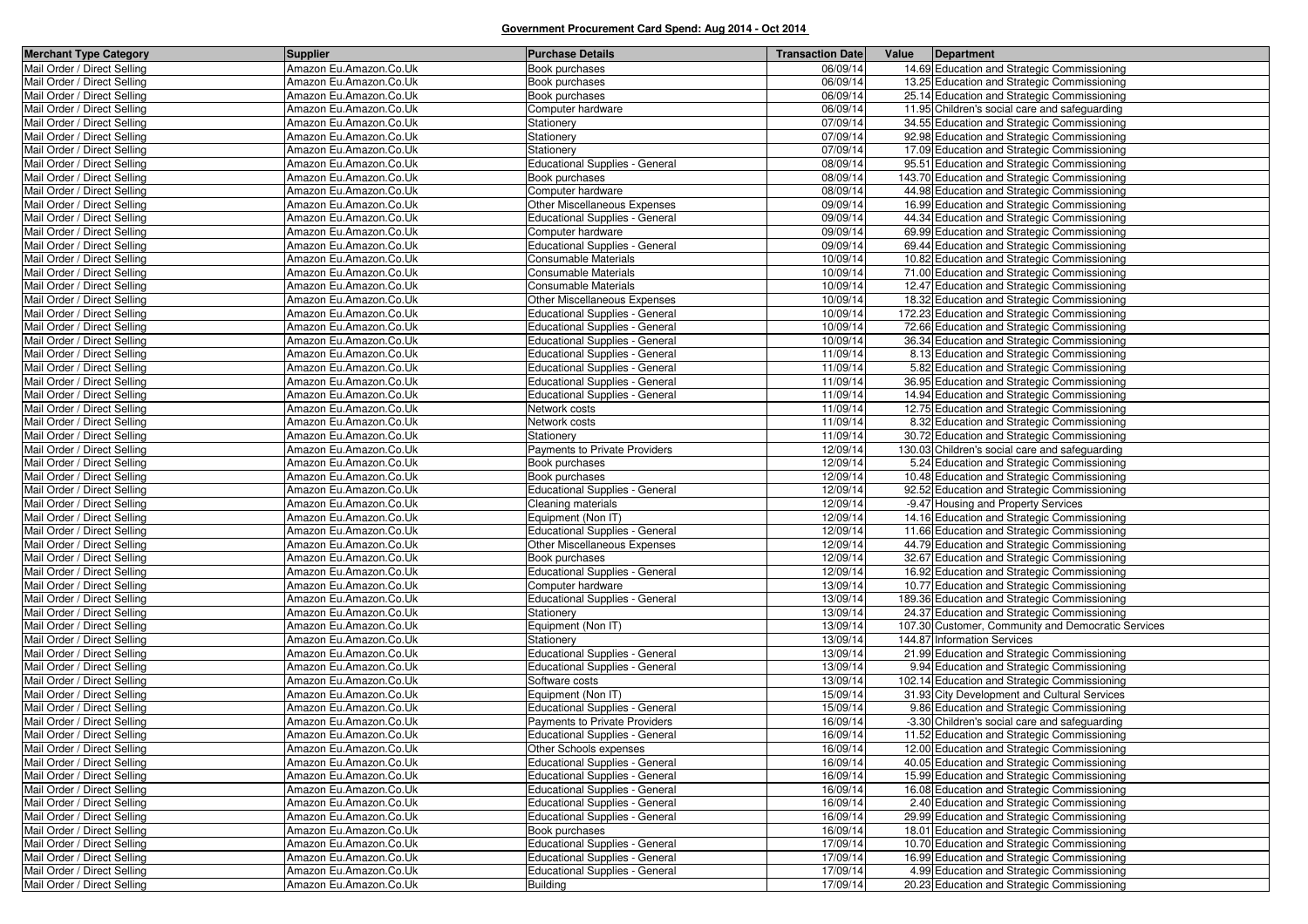| <b>Merchant Type Category</b> | <b>Supplier</b>        | <b>Purchase Details</b>               | <b>Transaction Date</b> | Value<br>Department                                |
|-------------------------------|------------------------|---------------------------------------|-------------------------|----------------------------------------------------|
| Mail Order / Direct Selling   | Amazon Eu.Amazon.Co.Uk | Book purchases                        | 06/09/14                | 14.69 Education and Strategic Commissioning        |
| Mail Order / Direct Selling   | Amazon Eu.Amazon.Co.Uk | Book purchases                        | 06/09/14                | 13.25 Education and Strategic Commissioning        |
| Mail Order / Direct Selling   | Amazon Eu.Amazon.Co.Uk | Book purchases                        | 06/09/14                | 25.14 Education and Strategic Commissioning        |
| Mail Order / Direct Selling   | Amazon Eu.Amazon.Co.Uk | Computer hardware                     | 06/09/14                | 11.95 Children's social care and safeguarding      |
| Mail Order / Direct Selling   | Amazon Eu.Amazon.Co.Uk | Stationery                            | 07/09/14                | 34.55 Education and Strategic Commissioning        |
| Mail Order / Direct Selling   | Amazon Eu.Amazon.Co.Uk | Stationery                            | 07/09/14                | 92.98 Education and Strategic Commissioning        |
| Mail Order / Direct Selling   | Amazon Eu.Amazon.Co.Uk | Stationerv                            | 07/09/14                | 17.09 Education and Strategic Commissioning        |
| Mail Order / Direct Selling   | Amazon Eu.Amazon.Co.Uk | <b>Educational Supplies - General</b> | 08/09/14                | 95.51 Education and Strategic Commissioning        |
| Mail Order / Direct Selling   | Amazon Eu.Amazon.Co.Uk | Book purchases                        | 08/09/14                | 143.70 Education and Strategic Commissioning       |
| Mail Order / Direct Selling   | Amazon Eu.Amazon.Co.Uk | Computer hardware                     | 08/09/14                | 44.98 Education and Strategic Commissioning        |
| Mail Order / Direct Selling   | Amazon Eu.Amazon.Co.Uk | Other Miscellaneous Expenses          | 09/09/14                | 16.99 Education and Strategic Commissioning        |
| Mail Order / Direct Selling   | Amazon Eu.Amazon.Co.Uk | <b>Educational Supplies - General</b> | 09/09/14                | 44.34 Education and Strategic Commissioning        |
| Mail Order / Direct Selling   | Amazon Eu.Amazon.Co.Uk | Computer hardware                     | 09/09/14                | 69.99 Education and Strategic Commissioning        |
| Mail Order / Direct Selling   | Amazon Eu.Amazon.Co.Uk | <b>Educational Supplies - General</b> | 09/09/14                | 69.44 Education and Strategic Commissioning        |
| Mail Order / Direct Selling   | Amazon Eu.Amazon.Co.Uk | Consumable Materials                  | 10/09/14                | 10.82 Education and Strategic Commissioning        |
| Mail Order / Direct Selling   | Amazon Eu.Amazon.Co.Uk | Consumable Materials                  | 10/09/14                | 71.00 Education and Strategic Commissioning        |
| Mail Order / Direct Selling   | Amazon Eu.Amazon.Co.Uk | Consumable Materials                  | 10/09/14                | 12.47 Education and Strategic Commissioning        |
| Mail Order / Direct Selling   | Amazon Eu.Amazon.Co.Uk | <b>Other Miscellaneous Expenses</b>   | 10/09/14                | 18.32 Education and Strategic Commissioning        |
| Mail Order / Direct Selling   | Amazon Eu.Amazon.Co.Uk | <b>Educational Supplies - General</b> | 10/09/14                | 172.23 Education and Strategic Commissioning       |
| Mail Order / Direct Selling   | Amazon Eu.Amazon.Co.Uk | <b>Educational Supplies - General</b> | 10/09/14                | 72.66 Education and Strategic Commissioning        |
| Mail Order / Direct Selling   | Amazon Eu.Amazon.Co.Uk | <b>Educational Supplies - General</b> | 10/09/14                | 36.34 Education and Strategic Commissioning        |
| Mail Order / Direct Selling   | Amazon Eu.Amazon.Co.Uk | <b>Educational Supplies - General</b> | 11/09/14                | 8.13 Education and Strategic Commissioning         |
| Mail Order / Direct Selling   | Amazon Eu.Amazon.Co.Uk | <b>Educational Supplies - General</b> | 11/09/14                | 5.82 Education and Strategic Commissioning         |
| Mail Order / Direct Selling   | Amazon Eu.Amazon.Co.Uk | <b>Educational Supplies - General</b> | 11/09/14                | 36.95 Education and Strategic Commissioning        |
| Mail Order / Direct Selling   | Amazon Eu.Amazon.Co.Uk | <b>Educational Supplies - General</b> | 11/09/14                | 14.94 Education and Strategic Commissioning        |
| Mail Order / Direct Selling   | Amazon Eu.Amazon.Co.Uk | Network costs                         | 11/09/14                | 12.75 Education and Strategic Commissioning        |
| Mail Order / Direct Selling   | Amazon Eu.Amazon.Co.Uk | Network costs                         | 11/09/14                | 8.32 Education and Strategic Commissioning         |
| Mail Order / Direct Selling   | Amazon Eu.Amazon.Co.Uk | Stationery                            | 11/09/14                | 30.72 Education and Strategic Commissioning        |
| Mail Order / Direct Selling   | Amazon Eu.Amazon.Co.Uk | Payments to Private Providers         | 12/09/14                | 130.03 Children's social care and safeguarding     |
| Mail Order / Direct Selling   | Amazon Eu.Amazon.Co.Uk | Book purchases                        | 12/09/14                | 5.24 Education and Strategic Commissioning         |
| Mail Order / Direct Selling   | Amazon Eu.Amazon.Co.Uk | Book purchases                        | 12/09/14                | 10.48 Education and Strategic Commissioning        |
| Mail Order / Direct Selling   | Amazon Eu.Amazon.Co.Uk | <b>Educational Supplies - General</b> | 12/09/14                | 92.52 Education and Strategic Commissioning        |
| Mail Order / Direct Selling   | Amazon Eu.Amazon.Co.Uk | Cleaning materials                    | 12/09/14                | -9.47 Housing and Property Services                |
| Mail Order / Direct Selling   | Amazon Eu.Amazon.Co.Uk | Equipment (Non IT)                    | 12/09/14                | 14.16 Education and Strategic Commissioning        |
| Mail Order / Direct Selling   | Amazon Eu.Amazon.Co.Uk | <b>Educational Supplies - General</b> | 12/09/14                | 11.66 Education and Strategic Commissioning        |
| Mail Order / Direct Selling   | Amazon Eu.Amazon.Co.Uk | Other Miscellaneous Expenses          | 12/09/14                | 44.79 Education and Strategic Commissioning        |
| Mail Order / Direct Selling   | Amazon Eu.Amazon.Co.Uk | Book purchases                        | 12/09/14                | 32.67 Education and Strategic Commissioning        |
| Mail Order / Direct Selling   | Amazon Eu.Amazon.Co.Uk | <b>Educational Supplies - General</b> | 12/09/14                | 16.92 Education and Strategic Commissioning        |
| Mail Order / Direct Selling   | Amazon Eu.Amazon.Co.Uk | Computer hardware                     | 13/09/14                | 10.77 Education and Strategic Commissioning        |
| Mail Order / Direct Selling   | Amazon Eu.Amazon.Co.Uk | <b>Educational Supplies - General</b> | 13/09/14                | 189.36 Education and Strategic Commissioning       |
| Mail Order / Direct Selling   | Amazon Eu.Amazon.Co.Uk | Stationery                            | 13/09/14                | 24.37 Education and Strategic Commissioning        |
| Mail Order / Direct Selling   | Amazon Eu.Amazon.Co.Uk | Equipment (Non IT)                    | 13/09/14                | 107.30 Customer, Community and Democratic Services |
| Mail Order / Direct Selling   | Amazon Eu.Amazon.Co.Uk | Stationery                            | 13/09/14                | 144.87 Information Services                        |
| Mail Order / Direct Selling   | Amazon Eu.Amazon.Co.Uk | <b>Educational Supplies - General</b> | 13/09/14                | 21.99 Education and Strategic Commissioning        |
| Mail Order / Direct Selling   | Amazon Eu.Amazon.Co.Uk | <b>Educational Supplies - General</b> | 13/09/14                | 9.94 Education and Strategic Commissioning         |
| Mail Order / Direct Selling   | Amazon Eu.Amazon.Co.Uk | Software costs                        | 13/09/14                | 102.14 Education and Strategic Commissioning       |
| Mail Order / Direct Selling   | Amazon Eu.Amazon.Co.Uk | Equipment (Non IT)                    | 15/09/14                | 31.93 City Development and Cultural Services       |
| Mail Order / Direct Selling   | Amazon Eu.Amazon.Co.Uk | <b>Educational Supplies - General</b> | 15/09/14                | 9.86 Education and Strategic Commissioning         |
| Mail Order / Direct Selling   | Amazon Eu.Amazon.Co.Uk | Payments to Private Providers         | 16/09/14                | -3.30 Children's social care and safeguarding      |
| Mail Order / Direct Selling   | Amazon Eu.Amazon.Co.Uk | <b>Educational Supplies - General</b> | 16/09/14                | 11.52 Education and Strategic Commissioning        |
| Mail Order / Direct Selling   | Amazon Eu.Amazon.Co.Uk | Other Schools expenses                | 16/09/14                | 12.00 Education and Strategic Commissioning        |
| Mail Order / Direct Selling   | Amazon Eu.Amazon.Co.Uk | <b>Educational Supplies - General</b> | 16/09/14                | 40.05 Education and Strategic Commissioning        |
| Mail Order / Direct Selling   | Amazon Eu.Amazon.Co.Uk | Educational Supplies - General        | 16/09/14                | 15.99 Education and Strategic Commissioning        |
| Mail Order / Direct Selling   | Amazon Eu.Amazon.Co.Uk | Educational Supplies - General        | 16/09/14                | 16.08 Education and Strategic Commissioning        |
| Mail Order / Direct Selling   | Amazon Eu.Amazon.Co.Uk | <b>Educational Supplies - General</b> | 16/09/14                | 2.40 Education and Strategic Commissioning         |
| Mail Order / Direct Selling   | Amazon Eu.Amazon.Co.Uk | <b>Educational Supplies - General</b> | 16/09/14                | 29.99 Education and Strategic Commissioning        |
| Mail Order / Direct Selling   | Amazon Eu.Amazon.Co.Uk | Book purchases                        | 16/09/14                | 18.01 Education and Strategic Commissioning        |
| Mail Order / Direct Selling   | Amazon Eu.Amazon.Co.Uk | <b>Educational Supplies - General</b> | 17/09/14                | 10.70 Education and Strategic Commissioning        |
| Mail Order / Direct Selling   | Amazon Eu.Amazon.Co.Uk | <b>Educational Supplies - General</b> | 17/09/14                | 16.99 Education and Strategic Commissioning        |
| Mail Order / Direct Selling   | Amazon Eu.Amazon.Co.Uk | <b>Educational Supplies - General</b> | 17/09/14                | 4.99 Education and Strategic Commissioning         |
| Mail Order / Direct Selling   | Amazon Eu.Amazon.Co.Uk | Building                              | 17/09/14                | 20.23 Education and Strategic Commissioning        |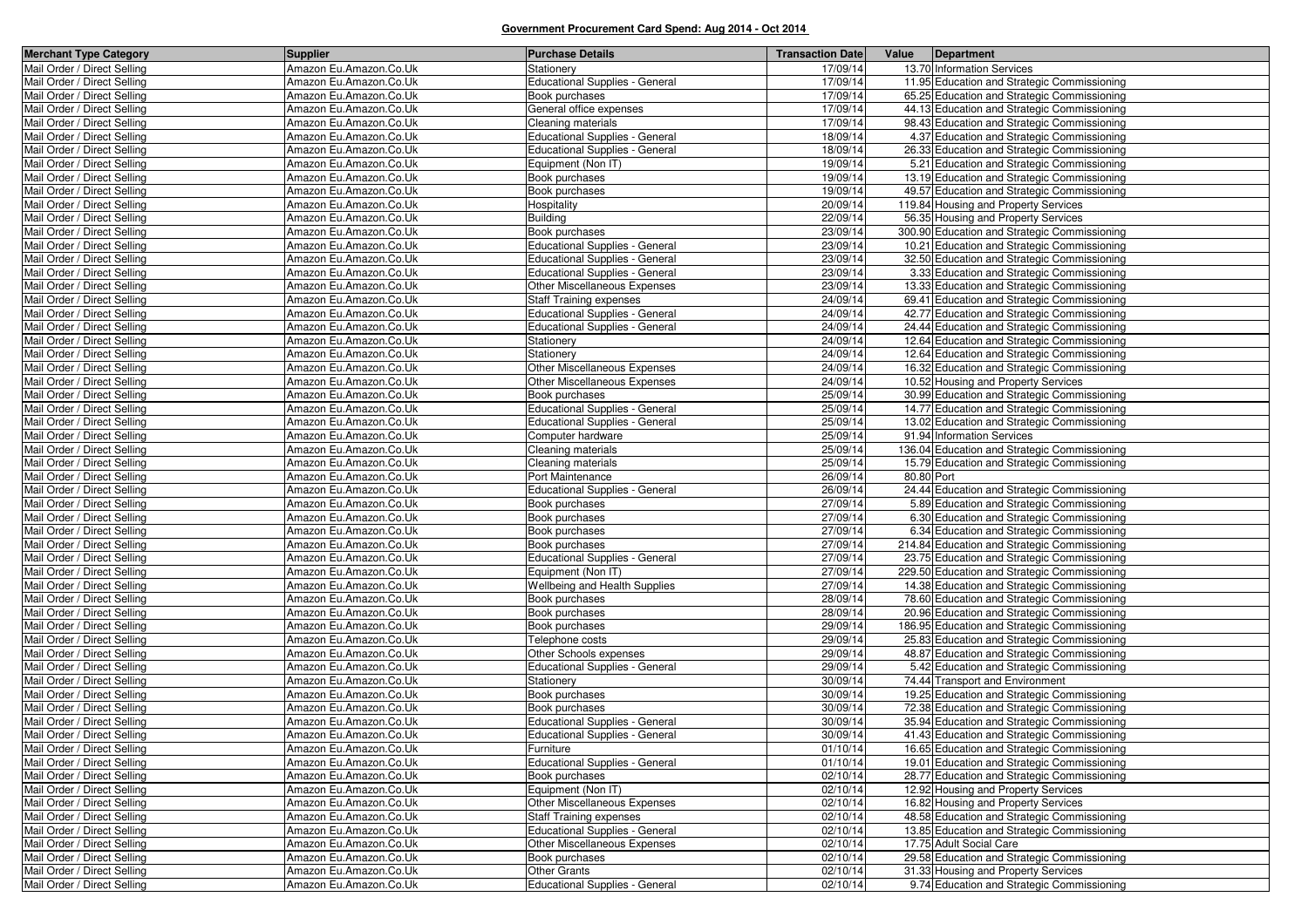| <b>Merchant Type Category</b> | <b>Supplier</b>        | <b>Purchase Details</b>               | <b>Transaction Date</b> | Value      | Department                                                                |
|-------------------------------|------------------------|---------------------------------------|-------------------------|------------|---------------------------------------------------------------------------|
| Mail Order / Direct Selling   | Amazon Eu.Amazon.Co.Uk | Stationery                            | 17/09/14                |            | 13.70 Information Services                                                |
| Mail Order / Direct Selling   | Amazon Eu.Amazon.Co.Uk | <b>Educational Supplies - General</b> | 17/09/14                |            | 11.95 Education and Strategic Commissioning                               |
| Mail Order / Direct Selling   | Amazon Eu.Amazon.Co.Uk | Book purchases                        | 17/09/14                |            | 65.25 Education and Strategic Commissioning                               |
| Mail Order / Direct Selling   | Amazon Eu.Amazon.Co.Uk | General office expenses               | 17/09/14                |            | 44.13 Education and Strategic Commissioning                               |
| Mail Order / Direct Selling   | Amazon Eu.Amazon.Co.Uk | Cleaning materials                    | 17/09/14                |            | 98.43 Education and Strategic Commissioning                               |
| Mail Order / Direct Selling   | Amazon Eu.Amazon.Co.Uk | <b>Educational Supplies - General</b> | 18/09/14                |            | 4.37 Education and Strategic Commissioning                                |
| Mail Order / Direct Selling   | Amazon Eu.Amazon.Co.Uk | <b>Educational Supplies - General</b> | 18/09/14                |            | 26.33 Education and Strategic Commissioning                               |
| Mail Order / Direct Selling   | Amazon Eu.Amazon.Co.Uk | Equipment (Non IT)                    | 19/09/14                |            | 5.21 Education and Strategic Commissioning                                |
| Mail Order / Direct Selling   | Amazon Eu.Amazon.Co.Uk | Book purchases                        | 19/09/14                |            | 13.19 Education and Strategic Commissioning                               |
| Mail Order / Direct Selling   | Amazon Eu.Amazon.Co.Uk | Book purchases                        | 19/09/14                |            | 49.57 Education and Strategic Commissioning                               |
| Mail Order / Direct Selling   | Amazon Eu.Amazon.Co.Uk | Hospitality                           | 20/09/14                |            | 119.84 Housing and Property Services                                      |
| Mail Order / Direct Selling   | Amazon Eu.Amazon.Co.Uk | <b>Building</b>                       | 22/09/14                |            | 56.35 Housing and Property Services                                       |
| Mail Order / Direct Selling   | Amazon Eu.Amazon.Co.Uk | Book purchases                        | 23/09/14                |            | 300.90 Education and Strategic Commissioning                              |
| Mail Order / Direct Selling   | Amazon Eu.Amazon.Co.Uk | <b>Educational Supplies - General</b> | 23/09/14                |            | 10.21 Education and Strategic Commissioning                               |
| Mail Order / Direct Selling   | Amazon Eu.Amazon.Co.Uk | <b>Educational Supplies - General</b> | 23/09/14                |            | 32.50 Education and Strategic Commissioning                               |
| Mail Order / Direct Selling   | Amazon Eu.Amazon.Co.Uk | <b>Educational Supplies - General</b> | 23/09/14                |            | 3.33 Education and Strategic Commissioning                                |
| Mail Order / Direct Selling   | Amazon Eu.Amazon.Co.Uk | Other Miscellaneous Expenses          | 23/09/14                |            | 13.33 Education and Strategic Commissioning                               |
| Mail Order / Direct Selling   | Amazon Eu.Amazon.Co.Uk | Staff Training expenses               | 24/09/14                |            | 69.41 Education and Strategic Commissioning                               |
| Mail Order / Direct Selling   | Amazon Eu.Amazon.Co.Uk | <b>Educational Supplies - General</b> | 24/09/14                |            | 42.77 Education and Strategic Commissioning                               |
| Mail Order / Direct Selling   | Amazon Eu.Amazon.Co.Uk | <b>Educational Supplies - General</b> | 24/09/14                |            | 24.44 Education and Strategic Commissioning                               |
| Mail Order / Direct Selling   | Amazon Eu.Amazon.Co.Uk | Stationery                            | 24/09/14                |            | 12.64 Education and Strategic Commissioning                               |
| Mail Order / Direct Selling   | Amazon Eu.Amazon.Co.Uk | Stationery                            | 24/09/14                |            | 12.64 Education and Strategic Commissioning                               |
| Mail Order / Direct Selling   | Amazon Eu.Amazon.Co.Uk | Other Miscellaneous Expenses          | 24/09/14                |            | 16.32 Education and Strategic Commissioning                               |
| Mail Order / Direct Selling   | Amazon Eu.Amazon.Co.Uk | Other Miscellaneous Expenses          | 24/09/14                |            | 10.52 Housing and Property Services                                       |
| Mail Order / Direct Selling   | Amazon Eu.Amazon.Co.Uk | Book purchases                        | 25/09/14                |            | 30.99 Education and Strategic Commissioning                               |
| Mail Order / Direct Selling   | Amazon Eu.Amazon.Co.Uk | <b>Educational Supplies - General</b> | 25/09/14                |            | 14.77 Education and Strategic Commissioning                               |
|                               | Amazon Eu.Amazon.Co.Uk |                                       | 25/09/14                |            |                                                                           |
| Mail Order / Direct Selling   |                        | <b>Educational Supplies - General</b> | 25/09/14                |            | 13.02 Education and Strategic Commissioning<br>91.94 Information Services |
| Mail Order / Direct Selling   | Amazon Eu.Amazon.Co.Uk | Computer hardware                     |                         |            |                                                                           |
| Mail Order / Direct Selling   | Amazon Eu.Amazon.Co.Uk | Cleaning materials                    | 25/09/14                |            | 136.04 Education and Strategic Commissioning                              |
| Mail Order / Direct Selling   | Amazon Eu.Amazon.Co.Uk | Cleaning materials                    | 25/09/14                | 80.80 Port | 15.79 Education and Strategic Commissioning                               |
| Mail Order / Direct Selling   | Amazon Eu.Amazon.Co.Uk | Port Maintenance                      | 26/09/14                |            |                                                                           |
| Mail Order / Direct Selling   | Amazon Eu.Amazon.Co.Uk | <b>Educational Supplies - General</b> | 26/09/14                |            | 24.44 Education and Strategic Commissioning                               |
| Mail Order / Direct Selling   | Amazon Eu.Amazon.Co.Uk | Book purchases                        | 27/09/14                |            | 5.89 Education and Strategic Commissioning                                |
| Mail Order / Direct Selling   | Amazon Eu.Amazon.Co.Uk | Book purchases                        | 27/09/14                |            | 6.30 Education and Strategic Commissioning                                |
| Mail Order / Direct Selling   | Amazon Eu.Amazon.Co.Uk | Book purchases                        | 27/09/14                |            | 6.34 Education and Strategic Commissioning                                |
| Mail Order / Direct Selling   | Amazon Eu.Amazon.Co.Uk | Book purchases                        | 27/09/14                |            | 214.84 Education and Strategic Commissioning                              |
| Mail Order / Direct Selling   | Amazon Eu.Amazon.Co.Uk | <b>Educational Supplies - General</b> | 27/09/14                |            | 23.75 Education and Strategic Commissioning                               |
| Mail Order / Direct Selling   | Amazon Eu.Amazon.Co.Uk | Equipment (Non IT)                    | 27/09/14                |            | 229.50 Education and Strategic Commissioning                              |
| Mail Order / Direct Selling   | Amazon Eu.Amazon.Co.Uk | Wellbeing and Health Supplies         | 27/09/14                |            | 14.38 Education and Strategic Commissioning                               |
| Mail Order / Direct Selling   | Amazon Eu.Amazon.Co.Uk | Book purchases                        | 28/09/14                |            | 78.60 Education and Strategic Commissioning                               |
| Mail Order / Direct Selling   | Amazon Eu.Amazon.Co.Uk | Book purchases                        | 28/09/14                |            | 20.96 Education and Strategic Commissioning                               |
| Mail Order / Direct Selling   | Amazon Eu.Amazon.Co.Uk | Book purchases                        | 29/09/14                |            | 186.95 Education and Strategic Commissioning                              |
| Mail Order / Direct Selling   | Amazon Eu.Amazon.Co.Uk | Telephone costs                       | 29/09/14                |            | 25.83 Education and Strategic Commissioning                               |
| Mail Order / Direct Selling   | Amazon Eu.Amazon.Co.Uk | Other Schools expenses                | 29/09/14                |            | 48.87 Education and Strategic Commissioning                               |
| Mail Order / Direct Selling   | Amazon Eu.Amazon.Co.Uk | <b>Educational Supplies - General</b> | 29/09/14                |            | 5.42 Education and Strategic Commissioning                                |
| Mail Order / Direct Selling   | Amazon Eu.Amazon.Co.Uk | Stationery                            | 30/09/14                |            | 74.44 Transport and Environment                                           |
| Mail Order / Direct Selling   | Amazon Eu.Amazon.Co.Uk | Book purchases                        | 30/09/14                |            | 19.25 Education and Strategic Commissioning                               |
| Mail Order / Direct Selling   | Amazon Eu.Amazon.Co.Uk | Book purchases                        | 30/09/14                |            | 72.38 Education and Strategic Commissioning                               |
| Mail Order / Direct Selling   | Amazon Eu.Amazon.Co.Uk | <b>Educational Supplies - General</b> | 30/09/14                |            | 35.94 Education and Strategic Commissioning                               |
| Mail Order / Direct Selling   | Amazon Eu.Amazon.Co.Uk | Educational Supplies - General        | 30/09/14                |            | 41.43 Education and Strategic Commissioning                               |
| Mail Order / Direct Selling   | Amazon Eu.Amazon.Co.Uk | Furniture                             | 01/10/14                |            | 16.65 Education and Strategic Commissioning                               |
| Mail Order / Direct Selling   | Amazon Eu.Amazon.Co.Uk | <b>Educational Supplies - General</b> | 01/10/14                |            | 19.01 Education and Strategic Commissioning                               |
| Mail Order / Direct Selling   | Amazon Eu.Amazon.Co.Uk | Book purchases                        | 02/10/14                |            | 28.77 Education and Strategic Commissioning                               |
| Mail Order / Direct Selling   | Amazon Eu.Amazon.Co.Uk | Equipment (Non IT)                    | 02/10/14                |            | 12.92 Housing and Property Services                                       |
| Mail Order / Direct Selling   | Amazon Eu.Amazon.Co.Uk | Other Miscellaneous Expenses          | 02/10/14                |            | 16.82 Housing and Property Services                                       |
| Mail Order / Direct Selling   | Amazon Eu.Amazon.Co.Uk | Staff Training expenses               | 02/10/14                |            | 48.58 Education and Strategic Commissioning                               |
| Mail Order / Direct Selling   | Amazon Eu.Amazon.Co.Uk | <b>Educational Supplies - General</b> | 02/10/14                |            | 13.85 Education and Strategic Commissioning                               |
| Mail Order / Direct Selling   | Amazon Eu.Amazon.Co.Uk | Other Miscellaneous Expenses          | 02/10/14                |            | 17.75 Adult Social Care                                                   |
| Mail Order / Direct Selling   | Amazon Eu.Amazon.Co.Uk | Book purchases                        | 02/10/14                |            | 29.58 Education and Strategic Commissioning                               |
| Mail Order / Direct Selling   | Amazon Eu.Amazon.Co.Uk | <b>Other Grants</b>                   | 02/10/14                |            | 31.33 Housing and Property Services                                       |
| Mail Order / Direct Selling   | Amazon Eu.Amazon.Co.Uk | <b>Educational Supplies - General</b> | 02/10/14                |            | 9.74 Education and Strategic Commissioning                                |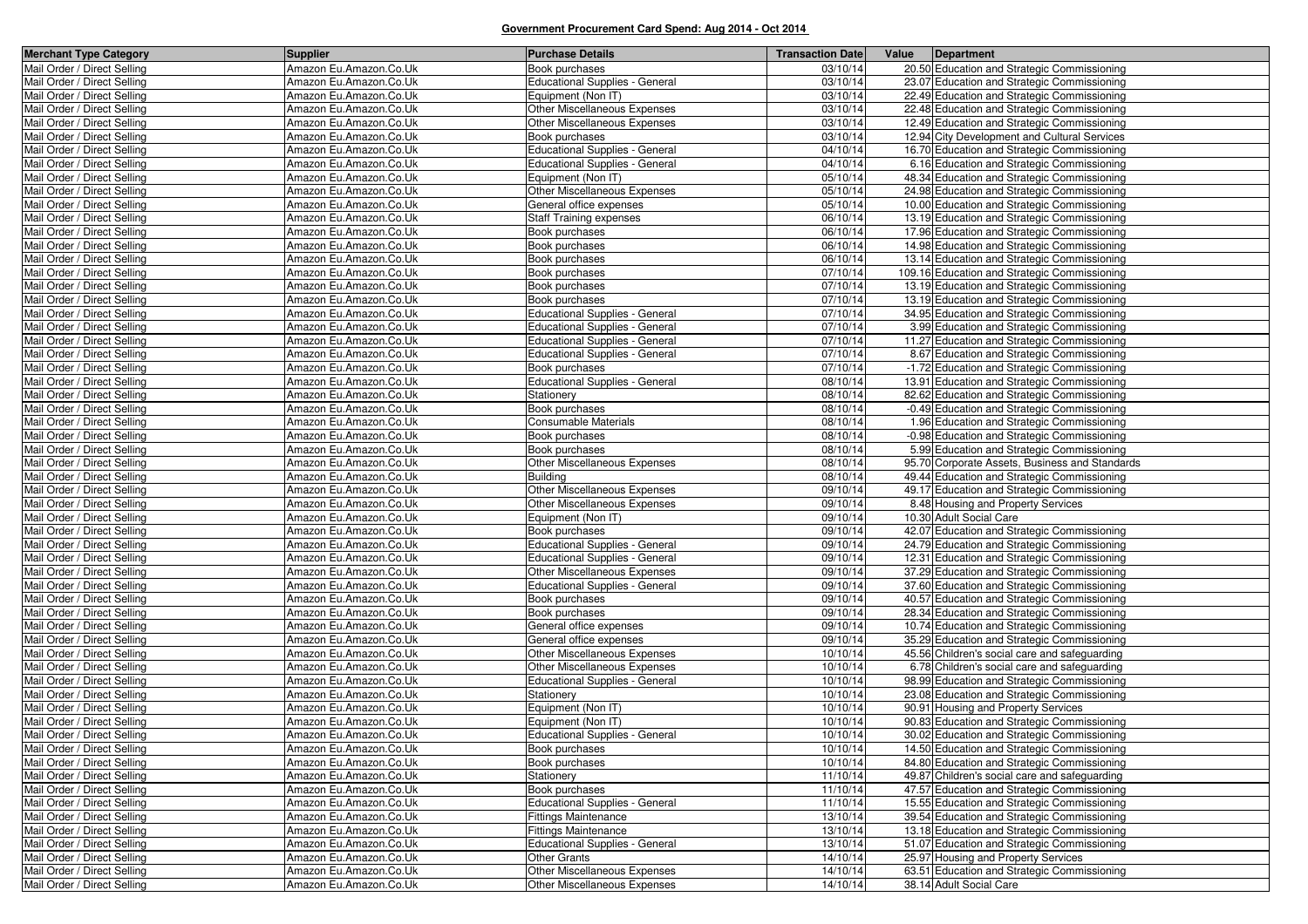| <b>Merchant Type Category</b>                              | <b>Supplier</b>                                  | <b>Purchase Details</b>                  | <b>Transaction Date</b> | Value | Department                                                                         |
|------------------------------------------------------------|--------------------------------------------------|------------------------------------------|-------------------------|-------|------------------------------------------------------------------------------------|
| Mail Order / Direct Selling                                | Amazon Eu.Amazon.Co.Uk                           | Book purchases                           | 03/10/14                |       | 20.50 Education and Strategic Commissioning                                        |
| Mail Order / Direct Selling                                | Amazon Eu.Amazon.Co.Uk                           | <b>Educational Supplies - General</b>    | 03/10/14                |       | 23.07 Education and Strategic Commissioning                                        |
| Mail Order / Direct Selling                                | Amazon Eu.Amazon.Co.Uk                           | Equipment (Non IT)                       | 03/10/14                |       | 22.49 Education and Strategic Commissioning                                        |
| Mail Order / Direct Selling                                | Amazon Eu.Amazon.Co.Uk                           | Other Miscellaneous Expenses             | 03/10/14                |       | 22.48 Education and Strategic Commissioning                                        |
| Mail Order / Direct Selling                                | Amazon Eu.Amazon.Co.Uk                           | Other Miscellaneous Expenses             | 03/10/14                |       | 12.49 Education and Strategic Commissioning                                        |
| Mail Order / Direct Selling                                | Amazon Eu.Amazon.Co.Uk                           | Book purchases                           | 03/10/14                |       | 12.94 City Development and Cultural Services                                       |
| Mail Order / Direct Selling                                | Amazon Eu.Amazon.Co.Uk                           | <b>Educational Supplies - General</b>    | 04/10/14                |       | 16.70 Education and Strategic Commissioning                                        |
| Mail Order / Direct Selling                                | Amazon Eu.Amazon.Co.Uk                           | <b>Educational Supplies - General</b>    | 04/10/14                |       | 6.16 Education and Strategic Commissioning                                         |
| Mail Order / Direct Selling                                | Amazon Eu.Amazon.Co.Uk                           | Equipment (Non IT)                       | 05/10/14                |       | 48.34 Education and Strategic Commissioning                                        |
| Mail Order / Direct Selling                                | Amazon Eu.Amazon.Co.Uk                           | Other Miscellaneous Expenses             | 05/10/14                |       | 24.98 Education and Strategic Commissioning                                        |
| Mail Order / Direct Selling                                | Amazon Eu.Amazon.Co.Uk                           | General office expenses                  | 05/10/14                |       | 10.00 Education and Strategic Commissioning                                        |
| Mail Order / Direct Selling                                | Amazon Eu.Amazon.Co.Uk                           | <b>Staff Training expenses</b>           | 06/10/14                |       | 13.19 Education and Strategic Commissioning                                        |
| Mail Order / Direct Selling                                | Amazon Eu.Amazon.Co.Uk                           | Book purchases                           | 06/10/14                |       | 17.96 Education and Strategic Commissioning                                        |
| Mail Order / Direct Selling                                | Amazon Eu.Amazon.Co.Uk                           | Book purchases                           | 06/10/14                |       | 14.98 Education and Strategic Commissioning                                        |
| Mail Order / Direct Selling                                | Amazon Eu.Amazon.Co.Uk                           | Book purchases                           | 06/10/14                |       | 13.14 Education and Strategic Commissioning                                        |
| Mail Order / Direct Selling                                | Amazon Eu.Amazon.Co.Uk                           | Book purchases                           | 07/10/14                |       | 109.16 Education and Strategic Commissioning                                       |
| Mail Order / Direct Selling                                | Amazon Eu.Amazon.Co.Uk                           | Book purchases                           | 07/10/14                |       | 13.19 Education and Strategic Commissioning                                        |
| Mail Order / Direct Selling                                | Amazon Eu.Amazon.Co.Uk                           | Book purchases                           | 07/10/14                |       | 13.19 Education and Strategic Commissioning                                        |
| Mail Order / Direct Selling                                | Amazon Eu.Amazon.Co.Uk                           | <b>Educational Supplies - General</b>    | 07/10/14                |       | 34.95 Education and Strategic Commissioning                                        |
| Mail Order / Direct Selling                                | Amazon Eu.Amazon.Co.Uk                           | <b>Educational Supplies - General</b>    | 07/10/14                |       | 3.99 Education and Strategic Commissioning                                         |
| Mail Order / Direct Selling                                | Amazon Eu.Amazon.Co.Uk                           | <b>Educational Supplies - General</b>    | 07/10/14                |       | 11.27 Education and Strategic Commissioning                                        |
| Mail Order / Direct Selling                                | Amazon Eu.Amazon.Co.Uk                           | <b>Educational Supplies - General</b>    | 07/10/14                |       | 8.67 Education and Strategic Commissioning                                         |
| Mail Order / Direct Selling                                | Amazon Eu.Amazon.Co.Uk                           | Book purchases                           | 07/10/14                |       | -1.72 Education and Strategic Commissioning                                        |
| Mail Order / Direct Selling                                | Amazon Eu.Amazon.Co.Uk                           | <b>Educational Supplies - General</b>    | 08/10/14                |       | 13.91 Education and Strategic Commissioning                                        |
| Mail Order / Direct Selling                                | Amazon Eu.Amazon.Co.Uk                           | Stationery                               | 08/10/14                |       | 82.62 Education and Strategic Commissioning                                        |
| Mail Order / Direct Selling                                | Amazon Eu.Amazon.Co.Uk                           | Book purchases                           | 08/10/14                |       | -0.49 Education and Strategic Commissioning                                        |
| Mail Order / Direct Selling                                | Amazon Eu.Amazon.Co.Uk                           | <b>Consumable Materials</b>              | 08/10/14                |       | 1.96 Education and Strategic Commissioning                                         |
| Mail Order / Direct Selling                                | Amazon Eu.Amazon.Co.Uk                           | Book purchases                           | 08/10/14                |       | -0.98 Education and Strategic Commissioning                                        |
| Mail Order / Direct Selling                                | Amazon Eu.Amazon.Co.Uk                           | Book purchases                           | 08/10/14                |       | 5.99 Education and Strategic Commissioning                                         |
| Mail Order / Direct Selling                                | Amazon Eu.Amazon.Co.Uk                           | Other Miscellaneous Expenses             | 08/10/14                |       | 95.70 Corporate Assets, Business and Standards                                     |
| Mail Order / Direct Selling                                | Amazon Eu.Amazon.Co.Uk                           | <b>Building</b>                          | 08/10/14                |       | 49.44 Education and Strategic Commissioning                                        |
| Mail Order / Direct Selling                                | Amazon Eu.Amazon.Co.Uk                           | Other Miscellaneous Expenses             | 09/10/14                |       | 49.17 Education and Strategic Commissioning                                        |
| Mail Order / Direct Selling                                | Amazon Eu.Amazon.Co.Uk                           | Other Miscellaneous Expenses             | 09/10/14                |       | 8.48 Housing and Property Services                                                 |
| Mail Order / Direct Selling                                | Amazon Eu.Amazon.Co.Uk                           | Equipment (Non IT)                       | 09/10/14                |       | 10.30 Adult Social Care                                                            |
| Mail Order / Direct Selling                                | Amazon Eu.Amazon.Co.Uk                           | Book purchases                           | 09/10/14                |       | 42.07 Education and Strategic Commissioning                                        |
| Mail Order / Direct Selling                                | Amazon Eu.Amazon.Co.Uk                           | <b>Educational Supplies - General</b>    | 09/10/14                |       | 24.79 Education and Strategic Commissioning                                        |
| Mail Order / Direct Selling                                | Amazon Eu.Amazon.Co.Uk                           | Educational Supplies - General           | 09/10/14                |       | 12.31 Education and Strategic Commissioning                                        |
| Mail Order / Direct Selling                                | Amazon Eu.Amazon.Co.Uk                           | Other Miscellaneous Expenses             | 09/10/14                |       | 37.29 Education and Strategic Commissioning                                        |
| Mail Order / Direct Selling                                | Amazon Eu.Amazon.Co.Uk                           | <b>Educational Supplies - General</b>    | 09/10/14                |       | 37.60 Education and Strategic Commissioning                                        |
| Mail Order / Direct Selling                                | Amazon Eu.Amazon.Co.Uk                           | Book purchases                           | 09/10/14                |       | 40.57 Education and Strategic Commissioning                                        |
| Mail Order / Direct Selling                                | Amazon Eu.Amazon.Co.Uk                           | Book purchases                           | 09/10/14                |       | 28.34 Education and Strategic Commissioning                                        |
| Mail Order / Direct Selling                                | Amazon Eu.Amazon.Co.Uk                           | General office expenses                  | 09/10/14                |       | 10.74 Education and Strategic Commissioning                                        |
| Mail Order / Direct Selling                                | Amazon Eu.Amazon.Co.Uk                           | General office expenses                  | 09/10/14                |       | 35.29 Education and Strategic Commissioning                                        |
| Mail Order / Direct Selling                                | Amazon Eu.Amazon.Co.Uk                           | Other Miscellaneous Expenses             | 10/10/14                |       | 45.56 Children's social care and safeguarding                                      |
| Mail Order / Direct Selling                                | Amazon Eu.Amazon.Co.Uk                           | Other Miscellaneous Expenses             | 10/10/14                |       | 6.78 Children's social care and safeguarding                                       |
| Mail Order / Direct Selling<br>Mail Order / Direct Selling | Amazon Eu.Amazon.Co.Uk                           | <b>Educational Supplies - General</b>    | 10/10/14                |       | 98.99 Education and Strategic Commissioning                                        |
| Mail Order / Direct Selling                                | Amazon Eu.Amazon.Co.Uk<br>Amazon Eu.Amazon.Co.Uk | Stationery                               | 10/10/14                |       | 23.08 Education and Strategic Commissioning<br>90.91 Housing and Property Services |
| Mail Order / Direct Selling                                | Amazon Eu.Amazon.Co.Uk                           | Equipment (Non IT)<br>Equipment (Non IT) | 10/10/14<br>10/10/14    |       | 90.83 Education and Strategic Commissioning                                        |
| Mail Order / Direct Selling                                | Amazon Eu.Amazon.Co.Uk                           | <b>Educational Supplies - General</b>    | 10/10/14                |       | 30.02 Education and Strategic Commissioning                                        |
| Mail Order / Direct Selling                                | Amazon Eu.Amazon.Co.Uk                           | Book purchases                           | 10/10/14                |       | 14.50 Education and Strategic Commissioning                                        |
| Mail Order / Direct Selling                                | Amazon Eu.Amazon.Co.Uk                           | Book purchases                           | 10/10/14                |       | 84.80 Education and Strategic Commissioning                                        |
| Mail Order / Direct Selling                                | Amazon Eu.Amazon.Co.Uk                           | Stationery                               | 11/10/14                |       | 49.87 Children's social care and safeguarding                                      |
| Mail Order / Direct Selling                                | Amazon Eu.Amazon.Co.Uk                           | Book purchases                           | 11/10/14                |       | 47.57 Education and Strategic Commissioning                                        |
| Mail Order / Direct Selling                                | Amazon Eu.Amazon.Co.Uk                           | Educational Supplies - General           | 11/10/14                |       | 15.55 Education and Strategic Commissioning                                        |
| Mail Order / Direct Selling                                | Amazon Eu.Amazon.Co.Uk                           | <b>Fittings Maintenance</b>              | 13/10/14                |       | 39.54 Education and Strategic Commissioning                                        |
| Mail Order / Direct Selling                                | Amazon Eu.Amazon.Co.Uk                           | <b>Fittings Maintenance</b>              | 13/10/14                |       | 13.18 Education and Strategic Commissioning                                        |
| Mail Order / Direct Selling                                | Amazon Eu.Amazon.Co.Uk                           | <b>Educational Supplies - General</b>    | 13/10/14                |       | 51.07 Education and Strategic Commissioning                                        |
| Mail Order / Direct Selling                                | Amazon Eu.Amazon.Co.Uk                           | <b>Other Grants</b>                      | 14/10/14                |       | 25.97 Housing and Property Services                                                |
| Mail Order / Direct Selling                                | Amazon Eu.Amazon.Co.Uk                           | Other Miscellaneous Expenses             | 14/10/14                |       | 63.51 Education and Strategic Commissioning                                        |
| Mail Order / Direct Selling                                | Amazon Eu.Amazon.Co.Uk                           | Other Miscellaneous Expenses             | 14/10/14                |       | 38.14 Adult Social Care                                                            |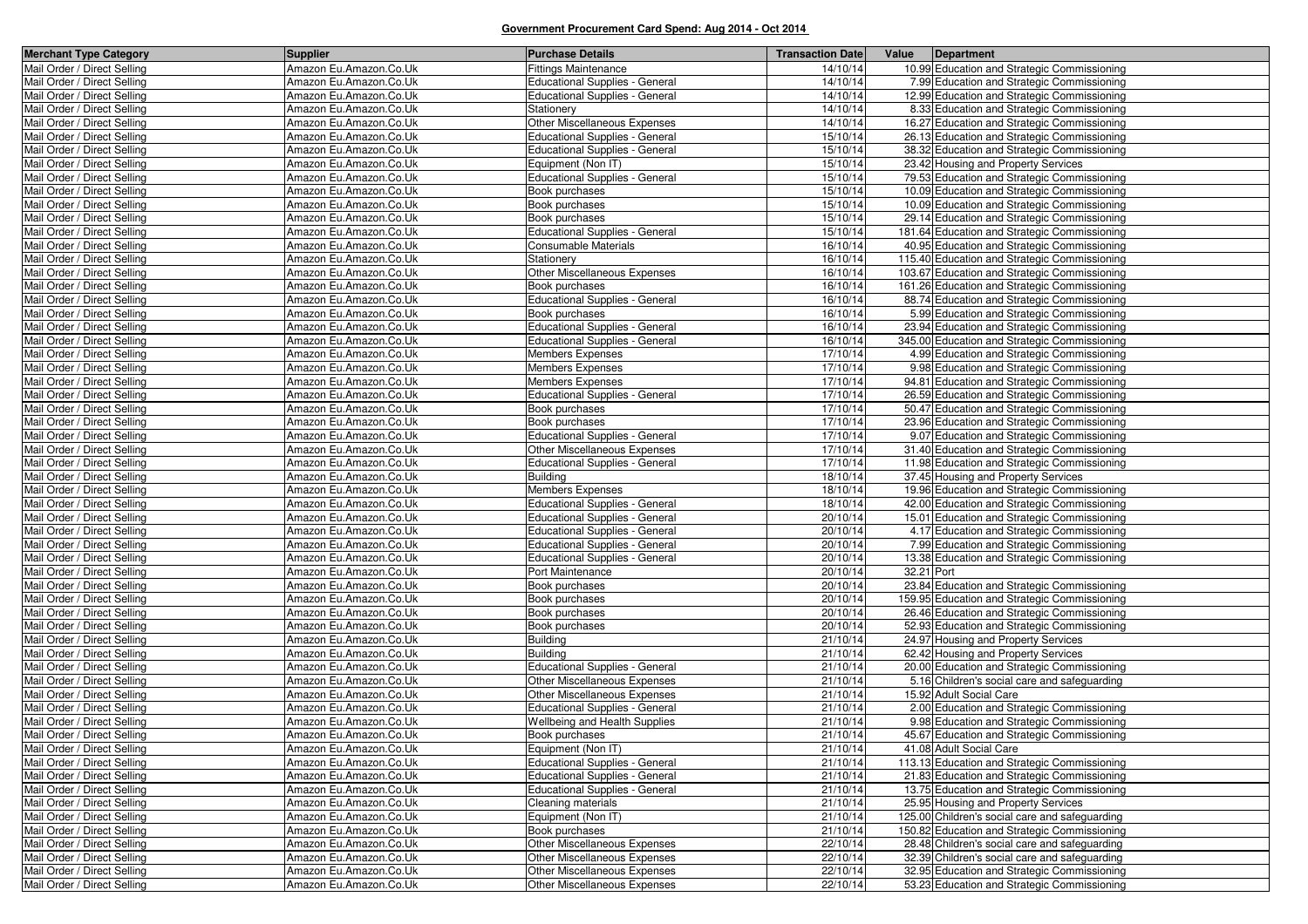| <b>Merchant Type Category</b> | <b>Supplier</b>        | <b>Purchase Details</b>               | <b>Transaction Date</b> | Value<br>Department                            |
|-------------------------------|------------------------|---------------------------------------|-------------------------|------------------------------------------------|
| Mail Order / Direct Selling   | Amazon Eu.Amazon.Co.Uk | <b>Fittings Maintenance</b>           | 14/10/14                | 10.99 Education and Strategic Commissioning    |
| Mail Order / Direct Selling   | Amazon Eu.Amazon.Co.Uk | <b>Educational Supplies - General</b> | 14/10/14                | 7.99 Education and Strategic Commissioning     |
| Mail Order / Direct Selling   | Amazon Eu.Amazon.Co.Uk | <b>Educational Supplies - General</b> | 14/10/14                | 12.99 Education and Strategic Commissioning    |
| Mail Order / Direct Selling   | Amazon Eu.Amazon.Co.Uk | Stationery                            | 14/10/14                | 8.33 Education and Strategic Commissioning     |
| Mail Order / Direct Selling   | Amazon Eu.Amazon.Co.Uk | Other Miscellaneous Expenses          | 14/10/14                | 16.27 Education and Strategic Commissioning    |
| Mail Order / Direct Selling   | Amazon Eu.Amazon.Co.Uk | Educational Supplies - General        | 15/10/14                | 26.13 Education and Strategic Commissioning    |
| Mail Order / Direct Selling   | Amazon Eu.Amazon.Co.Uk | <b>Educational Supplies - General</b> | 15/10/14                | 38.32 Education and Strategic Commissioning    |
| Mail Order / Direct Selling   | Amazon Eu.Amazon.Co.Uk | Equipment (Non IT)                    | 15/10/14                | 23.42 Housing and Property Services            |
| Mail Order / Direct Selling   | Amazon Eu.Amazon.Co.Uk | <b>Educational Supplies - General</b> | 15/10/14                | 79.53 Education and Strategic Commissioning    |
| Mail Order / Direct Selling   | Amazon Eu.Amazon.Co.Uk | Book purchases                        | 15/10/14                | 10.09 Education and Strategic Commissioning    |
| Mail Order / Direct Selling   | Amazon Eu.Amazon.Co.Uk | Book purchases                        | 15/10/14                | 10.09 Education and Strategic Commissioning    |
| Mail Order / Direct Selling   | Amazon Eu.Amazon.Co.Uk | Book purchases                        | 15/10/14                | 29.14 Education and Strategic Commissioning    |
| Mail Order / Direct Selling   | Amazon Eu.Amazon.Co.Uk | Educational Supplies - General        | 15/10/14                | 181.64 Education and Strategic Commissioning   |
| Mail Order / Direct Selling   | Amazon Eu.Amazon.Co.Uk | Consumable Materials                  | 16/10/14                | 40.95 Education and Strategic Commissioning    |
| Mail Order / Direct Selling   | Amazon Eu.Amazon.Co.Uk | Stationery                            | 16/10/14                | 115.40 Education and Strategic Commissioning   |
| Mail Order / Direct Selling   | Amazon Eu.Amazon.Co.Uk | Other Miscellaneous Expenses          | 16/10/14                | 103.67 Education and Strategic Commissioning   |
| Mail Order / Direct Selling   | Amazon Eu.Amazon.Co.Uk | Book purchases                        | 16/10/14                | 161.26 Education and Strategic Commissioning   |
| Mail Order / Direct Selling   | Amazon Eu.Amazon.Co.Uk | Educational Supplies - General        | 16/10/14                | 88.74 Education and Strategic Commissioning    |
| Mail Order / Direct Selling   | Amazon Eu.Amazon.Co.Uk | Book purchases                        | 16/10/14                | 5.99 Education and Strategic Commissioning     |
| Mail Order / Direct Selling   | Amazon Eu.Amazon.Co.Uk | <b>Educational Supplies - General</b> | 16/10/14                | 23.94 Education and Strategic Commissioning    |
| Mail Order / Direct Selling   | Amazon Eu.Amazon.Co.Uk | <b>Educational Supplies - General</b> | 16/10/14                | 345.00 Education and Strategic Commissioning   |
| Mail Order / Direct Selling   | Amazon Eu.Amazon.Co.Uk | <b>Members Expenses</b>               | 17/10/14                | 4.99 Education and Strategic Commissioning     |
| Mail Order / Direct Selling   | Amazon Eu.Amazon.Co.Uk | <b>Members Expenses</b>               | 17/10/14                | 9.98 Education and Strategic Commissioning     |
| Mail Order / Direct Selling   | Amazon Eu.Amazon.Co.Uk | <b>Members Expenses</b>               | 17/10/14                | 94.81 Education and Strategic Commissioning    |
| Mail Order / Direct Selling   | Amazon Eu.Amazon.Co.Uk | <b>Educational Supplies - General</b> | 17/10/14                | 26.59 Education and Strategic Commissioning    |
| Mail Order / Direct Selling   | Amazon Eu.Amazon.Co.Uk | Book purchases                        | 17/10/14                | 50.47 Education and Strategic Commissioning    |
| Mail Order / Direct Selling   | Amazon Eu.Amazon.Co.Uk | Book purchases                        | 17/10/14                | 23.96 Education and Strategic Commissioning    |
| Mail Order / Direct Selling   | Amazon Eu.Amazon.Co.Uk | Educational Supplies - General        | 17/10/14                | 9.07 Education and Strategic Commissioning     |
| Mail Order / Direct Selling   | Amazon Eu.Amazon.Co.Uk | Other Miscellaneous Expenses          | 17/10/14                | 31.40 Education and Strategic Commissioning    |
| Mail Order / Direct Selling   | Amazon Eu.Amazon.Co.Uk | <b>Educational Supplies - General</b> | 17/10/14                | 11.98 Education and Strategic Commissioning    |
| Mail Order / Direct Selling   | Amazon Eu.Amazon.Co.Uk | <b>Building</b>                       | 18/10/14                | 37.45 Housing and Property Services            |
| Mail Order / Direct Selling   | Amazon Eu.Amazon.Co.Uk | <b>Members Expenses</b>               | 18/10/14                | 19.96 Education and Strategic Commissioning    |
| Mail Order / Direct Selling   | Amazon Eu.Amazon.Co.Uk | <b>Educational Supplies - General</b> | 18/10/14                | 42.00 Education and Strategic Commissioning    |
| Mail Order / Direct Selling   | Amazon Eu.Amazon.Co.Uk | <b>Educational Supplies - General</b> | 20/10/14                | 15.01 Education and Strategic Commissioning    |
| Mail Order / Direct Selling   | Amazon Eu.Amazon.Co.Uk | <b>Educational Supplies - General</b> | 20/10/14                | 4.17 Education and Strategic Commissioning     |
| Mail Order / Direct Selling   | Amazon Eu.Amazon.Co.Uk | <b>Educational Supplies - General</b> | 20/10/14                | 7.99 Education and Strategic Commissioning     |
| Mail Order / Direct Selling   | Amazon Eu.Amazon.Co.Uk | Educational Supplies - General        | 20/10/14                | 13.38 Education and Strategic Commissioning    |
| Mail Order / Direct Selling   | Amazon Eu.Amazon.Co.Uk | Port Maintenance                      | 20/10/14                | 32.21 Port                                     |
| Mail Order / Direct Selling   | Amazon Eu.Amazon.Co.Uk | Book purchases                        | 20/10/14                | 23.84 Education and Strategic Commissioning    |
| Mail Order / Direct Selling   | Amazon Eu.Amazon.Co.Uk | Book purchases                        | 20/10/14                | 159.95 Education and Strategic Commissioning   |
| Mail Order / Direct Selling   | Amazon Eu.Amazon.Co.Uk | Book purchases                        | 20/10/14                | 26.46 Education and Strategic Commissioning    |
| Mail Order / Direct Selling   | Amazon Eu.Amazon.Co.Uk | Book purchases                        | 20/10/14                | 52.93 Education and Strategic Commissioning    |
| Mail Order / Direct Selling   | Amazon Eu.Amazon.Co.Uk | <b>Building</b>                       | 21/10/14                | 24.97 Housing and Property Services            |
| Mail Order / Direct Selling   | Amazon Eu.Amazon.Co.Uk | <b>Building</b>                       | 21/10/14                | 62.42 Housing and Property Services            |
| Mail Order / Direct Selling   | Amazon Eu.Amazon.Co.Uk | <b>Educational Supplies - General</b> | 21/10/14                | 20.00 Education and Strategic Commissioning    |
| Mail Order / Direct Selling   | Amazon Eu.Amazon.Co.Uk | Other Miscellaneous Expenses          | 21/10/14                | 5.16 Children's social care and safeguarding   |
| Mail Order / Direct Selling   | Amazon Eu.Amazon.Co.Uk | Other Miscellaneous Expenses          | 21/10/14                | 15.92 Adult Social Care                        |
| Mail Order / Direct Selling   | Amazon Eu.Amazon.Co.Uk | <b>Educational Supplies - General</b> | 21/10/14                | 2.00 Education and Strategic Commissioning     |
| Mail Order / Direct Selling   | Amazon Eu.Amazon.Co.Uk | Wellbeing and Health Supplies         | 21/10/14                | 9.98 Education and Strategic Commissioning     |
| Mail Order / Direct Selling   | Amazon Eu.Amazon.Co.Uk | Book purchases                        | 21/10/14                | 45.67 Education and Strategic Commissioning    |
| Mail Order / Direct Selling   | Amazon Eu.Amazon.Co.Uk | Equipment (Non IT)                    | 21/10/14                | 41.08 Adult Social Care                        |
| Mail Order / Direct Selling   | Amazon Eu.Amazon.Co.Uk | <b>Educational Supplies - General</b> | 21/10/14                | 113.13 Education and Strategic Commissioning   |
| Mail Order / Direct Selling   | Amazon Eu.Amazon.Co.Uk | <b>Educational Supplies - General</b> | 21/10/14                | 21.83 Education and Strategic Commissioning    |
| Mail Order / Direct Selling   | Amazon Eu.Amazon.Co.Uk | Educational Supplies - General        | 21/10/14                | 13.75 Education and Strategic Commissioning    |
| Mail Order / Direct Selling   | Amazon Eu.Amazon.Co.Uk | Cleaning materials                    | 21/10/14                | 25.95 Housing and Property Services            |
| Mail Order / Direct Selling   | Amazon Eu.Amazon.Co.Uk | Equipment (Non IT)                    | 21/10/14                | 125.00 Children's social care and safeguarding |
| Mail Order / Direct Selling   | Amazon Eu.Amazon.Co.Uk | Book purchases                        | 21/10/14                | 150.82 Education and Strategic Commissioning   |
| Mail Order / Direct Selling   | Amazon Eu.Amazon.Co.Uk | Other Miscellaneous Expenses          | 22/10/14                | 28.48 Children's social care and safeguarding  |
| Mail Order / Direct Selling   | Amazon Eu.Amazon.Co.Uk | Other Miscellaneous Expenses          | 22/10/14                | 32.39 Children's social care and safeguarding  |
| Mail Order / Direct Selling   | Amazon Eu.Amazon.Co.Uk | Other Miscellaneous Expenses          | 22/10/14                | 32.95 Education and Strategic Commissioning    |
| Mail Order / Direct Selling   | Amazon Eu.Amazon.Co.Uk | Other Miscellaneous Expenses          | 22/10/14                | 53.23 Education and Strategic Commissioning    |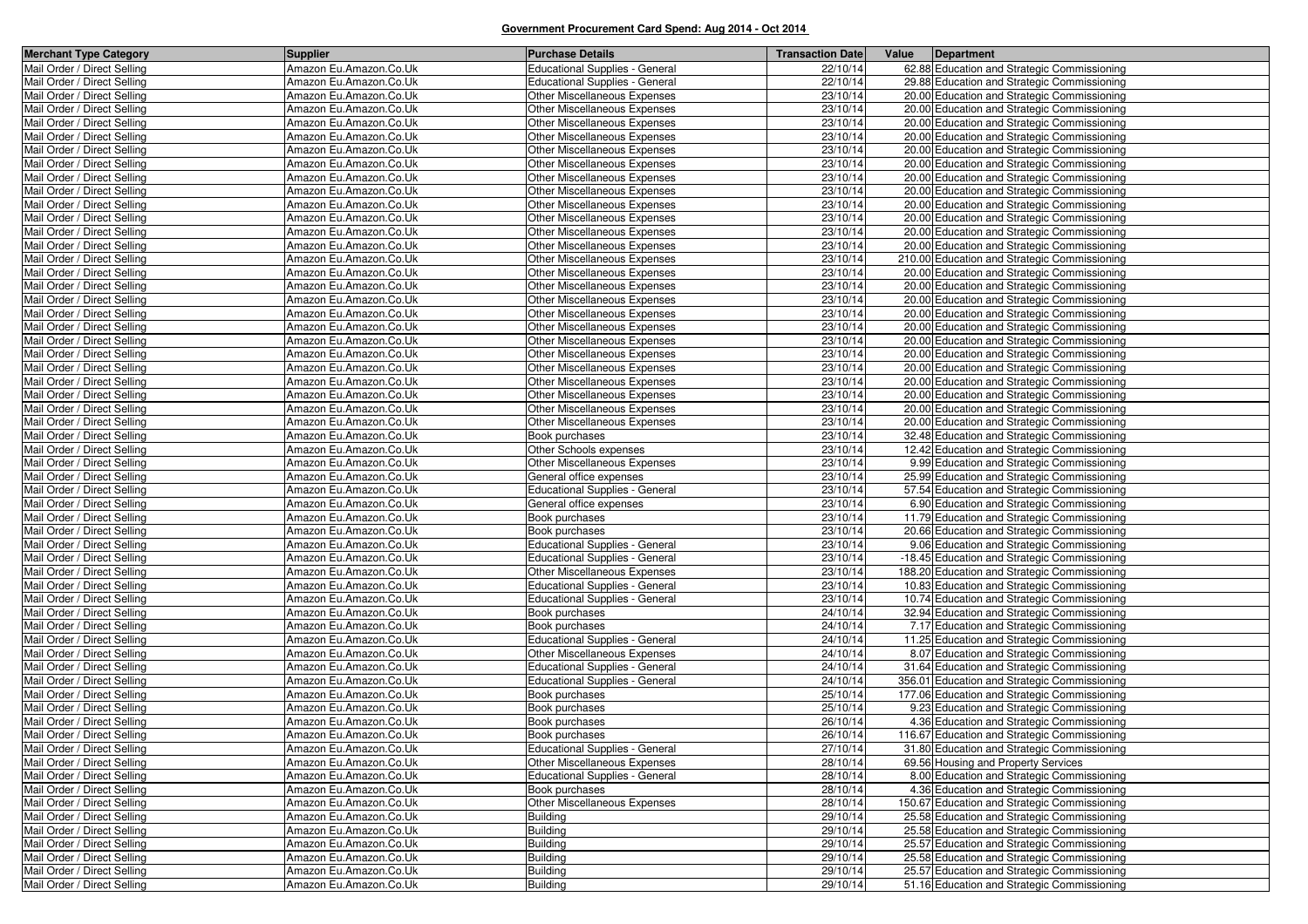| Mail Order / Direct Selling<br>Amazon Eu.Amazon.Co.Uk<br><b>Educational Supplies - General</b><br>22/10/14<br>62.88 Education and Strategic Commissioning<br>Mail Order / Direct Selling<br>Amazon Eu.Amazon.Co.Uk<br><b>Educational Supplies - General</b><br>22/10/14<br>29.88 Education and Strategic Commissioning<br>23/10/14<br>Amazon Eu.Amazon.Co.Uk<br>Other Miscellaneous Expenses<br>20.00 Education and Strategic Commissioning<br>Amazon Eu.Amazon.Co.Uk<br>Other Miscellaneous Expenses<br>23/10/14<br>20.00 Education and Strategic Commissioning<br>Mail Order / Direct Selling<br>Amazon Eu.Amazon.Co.Uk<br>Other Miscellaneous Expenses<br>23/10/14<br>20.00 Education and Strategic Commissioning<br>Mail Order / Direct Selling<br>Amazon Eu.Amazon.Co.Uk<br>Other Miscellaneous Expenses<br>23/10/14<br>20.00 Education and Strategic Commissioning<br>Amazon Eu.Amazon.Co.Uk<br>Other Miscellaneous Expenses<br>23/10/14<br>20.00 Education and Strategic Commissioning<br>Mail Order / Direct Selling<br>Amazon Eu.Amazon.Co.Uk<br>Other Miscellaneous Expenses<br>23/10/14<br>20.00 Education and Strategic Commissioning<br>Mail Order / Direct Selling<br>Amazon Eu.Amazon.Co.Uk<br>Other Miscellaneous Expenses<br>23/10/14<br>20.00 Education and Strategic Commissioning<br>Mail Order / Direct Selling<br>Amazon Eu.Amazon.Co.Uk<br>Other Miscellaneous Expenses<br>23/10/14<br>20.00 Education and Strategic Commissioning<br>Mail Order / Direct Selling<br>Amazon Eu.Amazon.Co.Uk<br>Other Miscellaneous Expenses<br>23/10/14<br>20.00 Education and Strategic Commissioning<br>23/10/14<br>Amazon Eu.Amazon.Co.Uk<br>Other Miscellaneous Expenses<br>20.00 Education and Strategic Commissioning<br>Mail Order / Direct Selling<br>Amazon Eu.Amazon.Co.Uk<br>23/10/14<br>20.00 Education and Strategic Commissioning<br>Other Miscellaneous Expenses<br>Mail Order / Direct Selling<br>Amazon Eu.Amazon.Co.Uk<br>23/10/14<br>20.00 Education and Strategic Commissioning<br>Other Miscellaneous Expenses<br>Amazon Eu.Amazon.Co.Uk<br>Other Miscellaneous Expenses<br>23/10/14<br>210.00 Education and Strategic Commissioning<br>Mail Order / Direct Selling<br>23/10/14<br>Amazon Eu.Amazon.Co.Uk<br>Other Miscellaneous Expenses<br>20.00 Education and Strategic Commissioning<br>Mail Order / Direct Selling<br>Amazon Eu.Amazon.Co.Uk<br>23/10/14<br>Other Miscellaneous Expenses<br>20.00 Education and Strategic Commissioning<br>23/10/14<br>Amazon Eu.Amazon.Co.Uk<br>Other Miscellaneous Expenses<br>20.00 Education and Strategic Commissioning<br>Mail Order / Direct Selling<br>Amazon Eu.Amazon.Co.Uk<br>Other Miscellaneous Expenses<br>23/10/14<br>20.00 Education and Strategic Commissioning<br>Mail Order / Direct Selling<br>Amazon Eu.Amazon.Co.Uk<br>Other Miscellaneous Expenses<br>23/10/14<br>20.00 Education and Strategic Commissioning<br>Mail Order / Direct Selling<br>Amazon Eu.Amazon.Co.Uk<br>Other Miscellaneous Expenses<br>23/10/14<br>20.00 Education and Strategic Commissioning<br>Mail Order / Direct Selling<br>Amazon Eu.Amazon.Co.Uk<br><b>Other Miscellaneous Expenses</b><br>23/10/14<br>20.00 Education and Strategic Commissioning<br>Mail Order / Direct Selling<br>Amazon Eu.Amazon.Co.Uk<br>Other Miscellaneous Expenses<br>23/10/14<br>20.00 Education and Strategic Commissioning<br>Mail Order / Direct Selling<br>Amazon Eu.Amazon.Co.Uk<br>Other Miscellaneous Expenses<br>23/10/14<br>20.00 Education and Strategic Commissioning<br>Mail Order / Direct Selling<br>Amazon Eu.Amazon.Co.Uk<br>Other Miscellaneous Expenses<br>23/10/14<br>20.00 Education and Strategic Commissioning<br>Mail Order / Direct Selling<br>Amazon Eu.Amazon.Co.Uk<br><b>Other Miscellaneous Expenses</b><br>23/10/14<br>20.00 Education and Strategic Commissioning<br>Mail Order / Direct Selling<br>23/10/14<br>Amazon Eu.Amazon.Co.Uk<br><b>Other Miscellaneous Expenses</b><br>20.00 Education and Strategic Commissioning<br>Mail Order / Direct Selling<br>Amazon Eu.Amazon.Co.Uk<br>23/10/14<br>32.48 Education and Strategic Commissioning<br>Book purchases<br>Mail Order / Direct Selling<br>23/10/14<br>Amazon Eu.Amazon.Co.Uk<br>Other Schools expenses<br>12.42 Education and Strategic Commissioning<br>Mail Order / Direct Selling<br>Amazon Eu.Amazon.Co.Uk<br><b>Other Miscellaneous Expenses</b><br>23/10/14<br>9.99 Education and Strategic Commissioning<br>Mail Order / Direct Selling<br>Amazon Eu.Amazon.Co.Uk<br>23/10/14<br>General office expenses<br>25.99 Education and Strategic Commissioning<br>Mail Order / Direct Selling<br>Amazon Eu.Amazon.Co.Uk<br><b>Educational Supplies - General</b><br>23/10/14<br>57.54 Education and Strategic Commissioning<br>Mail Order / Direct Selling<br>Amazon Eu.Amazon.Co.Uk<br>23/10/14<br>General office expenses<br>6.90 Education and Strategic Commissioning<br>Mail Order / Direct Selling<br>23/10/14<br>Amazon Eu.Amazon.Co.Uk<br>Book purchases<br>11.79 Education and Strategic Commissioning<br>Mail Order / Direct Selling<br>Amazon Eu.Amazon.Co.Uk<br>Book purchases<br>23/10/14<br>20.66 Education and Strategic Commissioning<br>Mail Order / Direct Selling<br>Amazon Eu.Amazon.Co.Uk<br><b>Educational Supplies - General</b><br>23/10/14<br>9.06 Education and Strategic Commissioning<br>Mail Order / Direct Selling<br>Amazon Eu.Amazon.Co.Uk<br><b>Educational Supplies - General</b><br>23/10/14<br>-18.45 Education and Strategic Commissioning<br>Mail Order / Direct Selling<br>Amazon Eu.Amazon.Co.Uk<br>23/10/14<br>Other Miscellaneous Expenses<br>188.20 Education and Strategic Commissioning<br>Mail Order / Direct Selling<br>Amazon Eu.Amazon.Co.Uk<br><b>Educational Supplies - General</b><br>23/10/14<br>10.83 Education and Strategic Commissioning<br>Mail Order / Direct Selling<br>23/10/14<br>Amazon Eu.Amazon.Co.Uk<br><b>Educational Supplies - General</b><br>10.74 Education and Strategic Commissioning<br>Mail Order / Direct Selling<br>Amazon Eu.Amazon.Co.Uk<br>Book purchases<br>24/10/14<br>32.94 Education and Strategic Commissioning<br>Mail Order / Direct Selling<br>Amazon Eu.Amazon.Co.Uk<br>Book purchases<br>24/10/14<br>7.17 Education and Strategic Commissioning<br>Mail Order / Direct Selling<br>Amazon Eu.Amazon.Co.Uk<br><b>Educational Supplies - General</b><br>24/10/14<br>11.25 Education and Strategic Commissioning<br>Mail Order / Direct Selling<br>Amazon Eu.Amazon.Co.Uk<br>Other Miscellaneous Expenses<br>24/10/14<br>8.07 Education and Strategic Commissioning<br>Mail Order / Direct Selling<br>Amazon Eu.Amazon.Co.Uk<br><b>Educational Supplies - General</b><br>24/10/14<br>31.64 Education and Strategic Commissioning<br>Mail Order / Direct Selling<br>Amazon Eu.Amazon.Co.Uk<br>24/10/14<br>356.01 Education and Strategic Commissioning<br><b>Educational Supplies - General</b><br>Mail Order / Direct Selling<br>Amazon Eu.Amazon.Co.Uk<br>Book purchases<br>25/10/14<br>177.06 Education and Strategic Commissioning<br>Mail Order / Direct Selling<br>Amazon Eu.Amazon.Co.Uk<br>Book purchases<br>25/10/14<br>9.23 Education and Strategic Commissioning<br>Mail Order / Direct Selling<br>Amazon Eu.Amazon.Co.Uk<br>26/10/14<br>Book purchases<br>4.36 Education and Strategic Commissioning<br>Mail Order / Direct Selling<br>26/10/14<br>Amazon Eu.Amazon.Co.Uk<br>Book purchases<br>116.67 Education and Strategic Commissioning<br>Mail Order / Direct Selling<br>Amazon Eu.Amazon.Co.Uk<br>27/10/14<br>Educational Supplies - General<br>31.80 Education and Strategic Commissioning<br>Amazon Eu.Amazon.Co.Uk<br>Other Miscellaneous Expenses<br>28/10/14<br>69.56 Housing and Property Services<br>Amazon Eu.Amazon.Co.Uk<br><b>Educational Supplies - General</b><br>28/10/14<br>8.00 Education and Strategic Commissioning<br>Amazon Eu.Amazon.Co.Uk<br>28/10/14<br>4.36 Education and Strategic Commissioning<br>Book purchases<br>Other Miscellaneous Expenses<br>Amazon Eu.Amazon.Co.Uk<br>28/10/14<br>150.67 Education and Strategic Commissioning<br>Amazon Eu.Amazon.Co.Uk<br><b>Building</b><br>29/10/14<br>25.58 Education and Strategic Commissioning<br><b>Building</b><br>Amazon Eu.Amazon.Co.Uk<br>29/10/14<br>25.58 Education and Strategic Commissioning<br>Mail Order / Direct Selling<br><b>Building</b><br>Amazon Eu.Amazon.Co.Uk<br>29/10/14<br>25.57 Education and Strategic Commissioning<br>Mail Order / Direct Selling<br><b>Building</b><br>Amazon Eu.Amazon.Co.Uk<br>29/10/14<br>25.58 Education and Strategic Commissioning<br>Mail Order / Direct Selling<br><b>Building</b><br>Amazon Eu.Amazon.Co.Uk<br>29/10/14<br>25.57 Education and Strategic Commissioning<br>Amazon Eu.Amazon.Co.Uk<br><b>Building</b><br>29/10/14<br>51.16 Education and Strategic Commissioning | <b>Merchant Type Category</b> | <b>Supplier</b> | <b>Purchase Details</b> | <b>Transaction Date</b> | Value | Department |
|------------------------------------------------------------------------------------------------------------------------------------------------------------------------------------------------------------------------------------------------------------------------------------------------------------------------------------------------------------------------------------------------------------------------------------------------------------------------------------------------------------------------------------------------------------------------------------------------------------------------------------------------------------------------------------------------------------------------------------------------------------------------------------------------------------------------------------------------------------------------------------------------------------------------------------------------------------------------------------------------------------------------------------------------------------------------------------------------------------------------------------------------------------------------------------------------------------------------------------------------------------------------------------------------------------------------------------------------------------------------------------------------------------------------------------------------------------------------------------------------------------------------------------------------------------------------------------------------------------------------------------------------------------------------------------------------------------------------------------------------------------------------------------------------------------------------------------------------------------------------------------------------------------------------------------------------------------------------------------------------------------------------------------------------------------------------------------------------------------------------------------------------------------------------------------------------------------------------------------------------------------------------------------------------------------------------------------------------------------------------------------------------------------------------------------------------------------------------------------------------------------------------------------------------------------------------------------------------------------------------------------------------------------------------------------------------------------------------------------------------------------------------------------------------------------------------------------------------------------------------------------------------------------------------------------------------------------------------------------------------------------------------------------------------------------------------------------------------------------------------------------------------------------------------------------------------------------------------------------------------------------------------------------------------------------------------------------------------------------------------------------------------------------------------------------------------------------------------------------------------------------------------------------------------------------------------------------------------------------------------------------------------------------------------------------------------------------------------------------------------------------------------------------------------------------------------------------------------------------------------------------------------------------------------------------------------------------------------------------------------------------------------------------------------------------------------------------------------------------------------------------------------------------------------------------------------------------------------------------------------------------------------------------------------------------------------------------------------------------------------------------------------------------------------------------------------------------------------------------------------------------------------------------------------------------------------------------------------------------------------------------------------------------------------------------------------------------------------------------------------------------------------------------------------------------------------------------------------------------------------------------------------------------------------------------------------------------------------------------------------------------------------------------------------------------------------------------------------------------------------------------------------------------------------------------------------------------------------------------------------------------------------------------------------------------------------------------------------------------------------------------------------------------------------------------------------------------------------------------------------------------------------------------------------------------------------------------------------------------------------------------------------------------------------------------------------------------------------------------------------------------------------------------------------------------------------------------------------------------------------------------------------------------------------------------------------------------------------------------------------------------------------------------------------------------------------------------------------------------------------------------------------------------------------------------------------------------------------------------------------------------------------------------------------------------------------------------------------------------------------------------------------------------------------------------------------------------------------------------------------------------------------------------------------------------------------------------------------------------------------------------------------------------------------------------------------------------------------------------------------------------------------------------------------------------------------------------------------------------------------------------------------------------------------------------------------------------------------------------------------------------------------------------------------------------------------------------------------------------------------------------------------------------------------------------------------------------------------------------------------------------------------------------------------------------------------------------------------------------------------------------------------------------------------------------------------------------------------------------------------------------------------------------------------------------------------------------------------------------------------------------------------------------------------------------------------------------------------------------------------------------------------------------------------------------------------------------------------------------------------------------------------------------------------------------------------------------------------------------------------------------------------------------------------------------------------------------------------------------------------------------------------------------------------------------------------------------------------------------------------------------------------------------------------------------------------------------------------------------------------------------------------------------------------------------------------------------------------------------------------------------------------------------------------------------------------------------------------------------------------------------------------------------------------------------------------------------------------------------------------------------------------------------------------------------------------------------------------------------|-------------------------------|-----------------|-------------------------|-------------------------|-------|------------|
|                                                                                                                                                                                                                                                                                                                                                                                                                                                                                                                                                                                                                                                                                                                                                                                                                                                                                                                                                                                                                                                                                                                                                                                                                                                                                                                                                                                                                                                                                                                                                                                                                                                                                                                                                                                                                                                                                                                                                                                                                                                                                                                                                                                                                                                                                                                                                                                                                                                                                                                                                                                                                                                                                                                                                                                                                                                                                                                                                                                                                                                                                                                                                                                                                                                                                                                                                                                                                                                                                                                                                                                                                                                                                                                                                                                                                                                                                                                                                                                                                                                                                                                                                                                                                                                                                                                                                                                                                                                                                                                                                                                                                                                                                                                                                                                                                                                                                                                                                                                                                                                                                                                                                                                                                                                                                                                                                                                                                                                                                                                                                                                                                                                                                                                                                                                                                                                                                                                                                                                                                                                                                                                                                                                                                                                                                                                                                                                                                                                                                                                                                                                                                                                                                                                                                                                                                                                                                                                                                                                                                                                                                                                                                                                                                                                                                                                                                                                                                                                                                                                                                                                                                                                                                                                                                                                                                                                                                                                                                                                                                                                                                                                                                                                                                                                                                                                                                                                                                                                                                                                                                                                                                                                                                                                                                                                                                                                            |                               |                 |                         |                         |       |            |
|                                                                                                                                                                                                                                                                                                                                                                                                                                                                                                                                                                                                                                                                                                                                                                                                                                                                                                                                                                                                                                                                                                                                                                                                                                                                                                                                                                                                                                                                                                                                                                                                                                                                                                                                                                                                                                                                                                                                                                                                                                                                                                                                                                                                                                                                                                                                                                                                                                                                                                                                                                                                                                                                                                                                                                                                                                                                                                                                                                                                                                                                                                                                                                                                                                                                                                                                                                                                                                                                                                                                                                                                                                                                                                                                                                                                                                                                                                                                                                                                                                                                                                                                                                                                                                                                                                                                                                                                                                                                                                                                                                                                                                                                                                                                                                                                                                                                                                                                                                                                                                                                                                                                                                                                                                                                                                                                                                                                                                                                                                                                                                                                                                                                                                                                                                                                                                                                                                                                                                                                                                                                                                                                                                                                                                                                                                                                                                                                                                                                                                                                                                                                                                                                                                                                                                                                                                                                                                                                                                                                                                                                                                                                                                                                                                                                                                                                                                                                                                                                                                                                                                                                                                                                                                                                                                                                                                                                                                                                                                                                                                                                                                                                                                                                                                                                                                                                                                                                                                                                                                                                                                                                                                                                                                                                                                                                                                                            |                               |                 |                         |                         |       |            |
|                                                                                                                                                                                                                                                                                                                                                                                                                                                                                                                                                                                                                                                                                                                                                                                                                                                                                                                                                                                                                                                                                                                                                                                                                                                                                                                                                                                                                                                                                                                                                                                                                                                                                                                                                                                                                                                                                                                                                                                                                                                                                                                                                                                                                                                                                                                                                                                                                                                                                                                                                                                                                                                                                                                                                                                                                                                                                                                                                                                                                                                                                                                                                                                                                                                                                                                                                                                                                                                                                                                                                                                                                                                                                                                                                                                                                                                                                                                                                                                                                                                                                                                                                                                                                                                                                                                                                                                                                                                                                                                                                                                                                                                                                                                                                                                                                                                                                                                                                                                                                                                                                                                                                                                                                                                                                                                                                                                                                                                                                                                                                                                                                                                                                                                                                                                                                                                                                                                                                                                                                                                                                                                                                                                                                                                                                                                                                                                                                                                                                                                                                                                                                                                                                                                                                                                                                                                                                                                                                                                                                                                                                                                                                                                                                                                                                                                                                                                                                                                                                                                                                                                                                                                                                                                                                                                                                                                                                                                                                                                                                                                                                                                                                                                                                                                                                                                                                                                                                                                                                                                                                                                                                                                                                                                                                                                                                                                            | Mail Order / Direct Selling   |                 |                         |                         |       |            |
|                                                                                                                                                                                                                                                                                                                                                                                                                                                                                                                                                                                                                                                                                                                                                                                                                                                                                                                                                                                                                                                                                                                                                                                                                                                                                                                                                                                                                                                                                                                                                                                                                                                                                                                                                                                                                                                                                                                                                                                                                                                                                                                                                                                                                                                                                                                                                                                                                                                                                                                                                                                                                                                                                                                                                                                                                                                                                                                                                                                                                                                                                                                                                                                                                                                                                                                                                                                                                                                                                                                                                                                                                                                                                                                                                                                                                                                                                                                                                                                                                                                                                                                                                                                                                                                                                                                                                                                                                                                                                                                                                                                                                                                                                                                                                                                                                                                                                                                                                                                                                                                                                                                                                                                                                                                                                                                                                                                                                                                                                                                                                                                                                                                                                                                                                                                                                                                                                                                                                                                                                                                                                                                                                                                                                                                                                                                                                                                                                                                                                                                                                                                                                                                                                                                                                                                                                                                                                                                                                                                                                                                                                                                                                                                                                                                                                                                                                                                                                                                                                                                                                                                                                                                                                                                                                                                                                                                                                                                                                                                                                                                                                                                                                                                                                                                                                                                                                                                                                                                                                                                                                                                                                                                                                                                                                                                                                                                            | Mail Order / Direct Selling   |                 |                         |                         |       |            |
|                                                                                                                                                                                                                                                                                                                                                                                                                                                                                                                                                                                                                                                                                                                                                                                                                                                                                                                                                                                                                                                                                                                                                                                                                                                                                                                                                                                                                                                                                                                                                                                                                                                                                                                                                                                                                                                                                                                                                                                                                                                                                                                                                                                                                                                                                                                                                                                                                                                                                                                                                                                                                                                                                                                                                                                                                                                                                                                                                                                                                                                                                                                                                                                                                                                                                                                                                                                                                                                                                                                                                                                                                                                                                                                                                                                                                                                                                                                                                                                                                                                                                                                                                                                                                                                                                                                                                                                                                                                                                                                                                                                                                                                                                                                                                                                                                                                                                                                                                                                                                                                                                                                                                                                                                                                                                                                                                                                                                                                                                                                                                                                                                                                                                                                                                                                                                                                                                                                                                                                                                                                                                                                                                                                                                                                                                                                                                                                                                                                                                                                                                                                                                                                                                                                                                                                                                                                                                                                                                                                                                                                                                                                                                                                                                                                                                                                                                                                                                                                                                                                                                                                                                                                                                                                                                                                                                                                                                                                                                                                                                                                                                                                                                                                                                                                                                                                                                                                                                                                                                                                                                                                                                                                                                                                                                                                                                                                            |                               |                 |                         |                         |       |            |
|                                                                                                                                                                                                                                                                                                                                                                                                                                                                                                                                                                                                                                                                                                                                                                                                                                                                                                                                                                                                                                                                                                                                                                                                                                                                                                                                                                                                                                                                                                                                                                                                                                                                                                                                                                                                                                                                                                                                                                                                                                                                                                                                                                                                                                                                                                                                                                                                                                                                                                                                                                                                                                                                                                                                                                                                                                                                                                                                                                                                                                                                                                                                                                                                                                                                                                                                                                                                                                                                                                                                                                                                                                                                                                                                                                                                                                                                                                                                                                                                                                                                                                                                                                                                                                                                                                                                                                                                                                                                                                                                                                                                                                                                                                                                                                                                                                                                                                                                                                                                                                                                                                                                                                                                                                                                                                                                                                                                                                                                                                                                                                                                                                                                                                                                                                                                                                                                                                                                                                                                                                                                                                                                                                                                                                                                                                                                                                                                                                                                                                                                                                                                                                                                                                                                                                                                                                                                                                                                                                                                                                                                                                                                                                                                                                                                                                                                                                                                                                                                                                                                                                                                                                                                                                                                                                                                                                                                                                                                                                                                                                                                                                                                                                                                                                                                                                                                                                                                                                                                                                                                                                                                                                                                                                                                                                                                                                                            |                               |                 |                         |                         |       |            |
|                                                                                                                                                                                                                                                                                                                                                                                                                                                                                                                                                                                                                                                                                                                                                                                                                                                                                                                                                                                                                                                                                                                                                                                                                                                                                                                                                                                                                                                                                                                                                                                                                                                                                                                                                                                                                                                                                                                                                                                                                                                                                                                                                                                                                                                                                                                                                                                                                                                                                                                                                                                                                                                                                                                                                                                                                                                                                                                                                                                                                                                                                                                                                                                                                                                                                                                                                                                                                                                                                                                                                                                                                                                                                                                                                                                                                                                                                                                                                                                                                                                                                                                                                                                                                                                                                                                                                                                                                                                                                                                                                                                                                                                                                                                                                                                                                                                                                                                                                                                                                                                                                                                                                                                                                                                                                                                                                                                                                                                                                                                                                                                                                                                                                                                                                                                                                                                                                                                                                                                                                                                                                                                                                                                                                                                                                                                                                                                                                                                                                                                                                                                                                                                                                                                                                                                                                                                                                                                                                                                                                                                                                                                                                                                                                                                                                                                                                                                                                                                                                                                                                                                                                                                                                                                                                                                                                                                                                                                                                                                                                                                                                                                                                                                                                                                                                                                                                                                                                                                                                                                                                                                                                                                                                                                                                                                                                                                            | Mail Order / Direct Selling   |                 |                         |                         |       |            |
|                                                                                                                                                                                                                                                                                                                                                                                                                                                                                                                                                                                                                                                                                                                                                                                                                                                                                                                                                                                                                                                                                                                                                                                                                                                                                                                                                                                                                                                                                                                                                                                                                                                                                                                                                                                                                                                                                                                                                                                                                                                                                                                                                                                                                                                                                                                                                                                                                                                                                                                                                                                                                                                                                                                                                                                                                                                                                                                                                                                                                                                                                                                                                                                                                                                                                                                                                                                                                                                                                                                                                                                                                                                                                                                                                                                                                                                                                                                                                                                                                                                                                                                                                                                                                                                                                                                                                                                                                                                                                                                                                                                                                                                                                                                                                                                                                                                                                                                                                                                                                                                                                                                                                                                                                                                                                                                                                                                                                                                                                                                                                                                                                                                                                                                                                                                                                                                                                                                                                                                                                                                                                                                                                                                                                                                                                                                                                                                                                                                                                                                                                                                                                                                                                                                                                                                                                                                                                                                                                                                                                                                                                                                                                                                                                                                                                                                                                                                                                                                                                                                                                                                                                                                                                                                                                                                                                                                                                                                                                                                                                                                                                                                                                                                                                                                                                                                                                                                                                                                                                                                                                                                                                                                                                                                                                                                                                                                            |                               |                 |                         |                         |       |            |
|                                                                                                                                                                                                                                                                                                                                                                                                                                                                                                                                                                                                                                                                                                                                                                                                                                                                                                                                                                                                                                                                                                                                                                                                                                                                                                                                                                                                                                                                                                                                                                                                                                                                                                                                                                                                                                                                                                                                                                                                                                                                                                                                                                                                                                                                                                                                                                                                                                                                                                                                                                                                                                                                                                                                                                                                                                                                                                                                                                                                                                                                                                                                                                                                                                                                                                                                                                                                                                                                                                                                                                                                                                                                                                                                                                                                                                                                                                                                                                                                                                                                                                                                                                                                                                                                                                                                                                                                                                                                                                                                                                                                                                                                                                                                                                                                                                                                                                                                                                                                                                                                                                                                                                                                                                                                                                                                                                                                                                                                                                                                                                                                                                                                                                                                                                                                                                                                                                                                                                                                                                                                                                                                                                                                                                                                                                                                                                                                                                                                                                                                                                                                                                                                                                                                                                                                                                                                                                                                                                                                                                                                                                                                                                                                                                                                                                                                                                                                                                                                                                                                                                                                                                                                                                                                                                                                                                                                                                                                                                                                                                                                                                                                                                                                                                                                                                                                                                                                                                                                                                                                                                                                                                                                                                                                                                                                                                                            |                               |                 |                         |                         |       |            |
|                                                                                                                                                                                                                                                                                                                                                                                                                                                                                                                                                                                                                                                                                                                                                                                                                                                                                                                                                                                                                                                                                                                                                                                                                                                                                                                                                                                                                                                                                                                                                                                                                                                                                                                                                                                                                                                                                                                                                                                                                                                                                                                                                                                                                                                                                                                                                                                                                                                                                                                                                                                                                                                                                                                                                                                                                                                                                                                                                                                                                                                                                                                                                                                                                                                                                                                                                                                                                                                                                                                                                                                                                                                                                                                                                                                                                                                                                                                                                                                                                                                                                                                                                                                                                                                                                                                                                                                                                                                                                                                                                                                                                                                                                                                                                                                                                                                                                                                                                                                                                                                                                                                                                                                                                                                                                                                                                                                                                                                                                                                                                                                                                                                                                                                                                                                                                                                                                                                                                                                                                                                                                                                                                                                                                                                                                                                                                                                                                                                                                                                                                                                                                                                                                                                                                                                                                                                                                                                                                                                                                                                                                                                                                                                                                                                                                                                                                                                                                                                                                                                                                                                                                                                                                                                                                                                                                                                                                                                                                                                                                                                                                                                                                                                                                                                                                                                                                                                                                                                                                                                                                                                                                                                                                                                                                                                                                                                            |                               |                 |                         |                         |       |            |
|                                                                                                                                                                                                                                                                                                                                                                                                                                                                                                                                                                                                                                                                                                                                                                                                                                                                                                                                                                                                                                                                                                                                                                                                                                                                                                                                                                                                                                                                                                                                                                                                                                                                                                                                                                                                                                                                                                                                                                                                                                                                                                                                                                                                                                                                                                                                                                                                                                                                                                                                                                                                                                                                                                                                                                                                                                                                                                                                                                                                                                                                                                                                                                                                                                                                                                                                                                                                                                                                                                                                                                                                                                                                                                                                                                                                                                                                                                                                                                                                                                                                                                                                                                                                                                                                                                                                                                                                                                                                                                                                                                                                                                                                                                                                                                                                                                                                                                                                                                                                                                                                                                                                                                                                                                                                                                                                                                                                                                                                                                                                                                                                                                                                                                                                                                                                                                                                                                                                                                                                                                                                                                                                                                                                                                                                                                                                                                                                                                                                                                                                                                                                                                                                                                                                                                                                                                                                                                                                                                                                                                                                                                                                                                                                                                                                                                                                                                                                                                                                                                                                                                                                                                                                                                                                                                                                                                                                                                                                                                                                                                                                                                                                                                                                                                                                                                                                                                                                                                                                                                                                                                                                                                                                                                                                                                                                                                                            |                               |                 |                         |                         |       |            |
|                                                                                                                                                                                                                                                                                                                                                                                                                                                                                                                                                                                                                                                                                                                                                                                                                                                                                                                                                                                                                                                                                                                                                                                                                                                                                                                                                                                                                                                                                                                                                                                                                                                                                                                                                                                                                                                                                                                                                                                                                                                                                                                                                                                                                                                                                                                                                                                                                                                                                                                                                                                                                                                                                                                                                                                                                                                                                                                                                                                                                                                                                                                                                                                                                                                                                                                                                                                                                                                                                                                                                                                                                                                                                                                                                                                                                                                                                                                                                                                                                                                                                                                                                                                                                                                                                                                                                                                                                                                                                                                                                                                                                                                                                                                                                                                                                                                                                                                                                                                                                                                                                                                                                                                                                                                                                                                                                                                                                                                                                                                                                                                                                                                                                                                                                                                                                                                                                                                                                                                                                                                                                                                                                                                                                                                                                                                                                                                                                                                                                                                                                                                                                                                                                                                                                                                                                                                                                                                                                                                                                                                                                                                                                                                                                                                                                                                                                                                                                                                                                                                                                                                                                                                                                                                                                                                                                                                                                                                                                                                                                                                                                                                                                                                                                                                                                                                                                                                                                                                                                                                                                                                                                                                                                                                                                                                                                                                            | Mail Order / Direct Selling   |                 |                         |                         |       |            |
|                                                                                                                                                                                                                                                                                                                                                                                                                                                                                                                                                                                                                                                                                                                                                                                                                                                                                                                                                                                                                                                                                                                                                                                                                                                                                                                                                                                                                                                                                                                                                                                                                                                                                                                                                                                                                                                                                                                                                                                                                                                                                                                                                                                                                                                                                                                                                                                                                                                                                                                                                                                                                                                                                                                                                                                                                                                                                                                                                                                                                                                                                                                                                                                                                                                                                                                                                                                                                                                                                                                                                                                                                                                                                                                                                                                                                                                                                                                                                                                                                                                                                                                                                                                                                                                                                                                                                                                                                                                                                                                                                                                                                                                                                                                                                                                                                                                                                                                                                                                                                                                                                                                                                                                                                                                                                                                                                                                                                                                                                                                                                                                                                                                                                                                                                                                                                                                                                                                                                                                                                                                                                                                                                                                                                                                                                                                                                                                                                                                                                                                                                                                                                                                                                                                                                                                                                                                                                                                                                                                                                                                                                                                                                                                                                                                                                                                                                                                                                                                                                                                                                                                                                                                                                                                                                                                                                                                                                                                                                                                                                                                                                                                                                                                                                                                                                                                                                                                                                                                                                                                                                                                                                                                                                                                                                                                                                                                            |                               |                 |                         |                         |       |            |
|                                                                                                                                                                                                                                                                                                                                                                                                                                                                                                                                                                                                                                                                                                                                                                                                                                                                                                                                                                                                                                                                                                                                                                                                                                                                                                                                                                                                                                                                                                                                                                                                                                                                                                                                                                                                                                                                                                                                                                                                                                                                                                                                                                                                                                                                                                                                                                                                                                                                                                                                                                                                                                                                                                                                                                                                                                                                                                                                                                                                                                                                                                                                                                                                                                                                                                                                                                                                                                                                                                                                                                                                                                                                                                                                                                                                                                                                                                                                                                                                                                                                                                                                                                                                                                                                                                                                                                                                                                                                                                                                                                                                                                                                                                                                                                                                                                                                                                                                                                                                                                                                                                                                                                                                                                                                                                                                                                                                                                                                                                                                                                                                                                                                                                                                                                                                                                                                                                                                                                                                                                                                                                                                                                                                                                                                                                                                                                                                                                                                                                                                                                                                                                                                                                                                                                                                                                                                                                                                                                                                                                                                                                                                                                                                                                                                                                                                                                                                                                                                                                                                                                                                                                                                                                                                                                                                                                                                                                                                                                                                                                                                                                                                                                                                                                                                                                                                                                                                                                                                                                                                                                                                                                                                                                                                                                                                                                                            |                               |                 |                         |                         |       |            |
|                                                                                                                                                                                                                                                                                                                                                                                                                                                                                                                                                                                                                                                                                                                                                                                                                                                                                                                                                                                                                                                                                                                                                                                                                                                                                                                                                                                                                                                                                                                                                                                                                                                                                                                                                                                                                                                                                                                                                                                                                                                                                                                                                                                                                                                                                                                                                                                                                                                                                                                                                                                                                                                                                                                                                                                                                                                                                                                                                                                                                                                                                                                                                                                                                                                                                                                                                                                                                                                                                                                                                                                                                                                                                                                                                                                                                                                                                                                                                                                                                                                                                                                                                                                                                                                                                                                                                                                                                                                                                                                                                                                                                                                                                                                                                                                                                                                                                                                                                                                                                                                                                                                                                                                                                                                                                                                                                                                                                                                                                                                                                                                                                                                                                                                                                                                                                                                                                                                                                                                                                                                                                                                                                                                                                                                                                                                                                                                                                                                                                                                                                                                                                                                                                                                                                                                                                                                                                                                                                                                                                                                                                                                                                                                                                                                                                                                                                                                                                                                                                                                                                                                                                                                                                                                                                                                                                                                                                                                                                                                                                                                                                                                                                                                                                                                                                                                                                                                                                                                                                                                                                                                                                                                                                                                                                                                                                                                            | Mail Order / Direct Selling   |                 |                         |                         |       |            |
|                                                                                                                                                                                                                                                                                                                                                                                                                                                                                                                                                                                                                                                                                                                                                                                                                                                                                                                                                                                                                                                                                                                                                                                                                                                                                                                                                                                                                                                                                                                                                                                                                                                                                                                                                                                                                                                                                                                                                                                                                                                                                                                                                                                                                                                                                                                                                                                                                                                                                                                                                                                                                                                                                                                                                                                                                                                                                                                                                                                                                                                                                                                                                                                                                                                                                                                                                                                                                                                                                                                                                                                                                                                                                                                                                                                                                                                                                                                                                                                                                                                                                                                                                                                                                                                                                                                                                                                                                                                                                                                                                                                                                                                                                                                                                                                                                                                                                                                                                                                                                                                                                                                                                                                                                                                                                                                                                                                                                                                                                                                                                                                                                                                                                                                                                                                                                                                                                                                                                                                                                                                                                                                                                                                                                                                                                                                                                                                                                                                                                                                                                                                                                                                                                                                                                                                                                                                                                                                                                                                                                                                                                                                                                                                                                                                                                                                                                                                                                                                                                                                                                                                                                                                                                                                                                                                                                                                                                                                                                                                                                                                                                                                                                                                                                                                                                                                                                                                                                                                                                                                                                                                                                                                                                                                                                                                                                                                            |                               |                 |                         |                         |       |            |
|                                                                                                                                                                                                                                                                                                                                                                                                                                                                                                                                                                                                                                                                                                                                                                                                                                                                                                                                                                                                                                                                                                                                                                                                                                                                                                                                                                                                                                                                                                                                                                                                                                                                                                                                                                                                                                                                                                                                                                                                                                                                                                                                                                                                                                                                                                                                                                                                                                                                                                                                                                                                                                                                                                                                                                                                                                                                                                                                                                                                                                                                                                                                                                                                                                                                                                                                                                                                                                                                                                                                                                                                                                                                                                                                                                                                                                                                                                                                                                                                                                                                                                                                                                                                                                                                                                                                                                                                                                                                                                                                                                                                                                                                                                                                                                                                                                                                                                                                                                                                                                                                                                                                                                                                                                                                                                                                                                                                                                                                                                                                                                                                                                                                                                                                                                                                                                                                                                                                                                                                                                                                                                                                                                                                                                                                                                                                                                                                                                                                                                                                                                                                                                                                                                                                                                                                                                                                                                                                                                                                                                                                                                                                                                                                                                                                                                                                                                                                                                                                                                                                                                                                                                                                                                                                                                                                                                                                                                                                                                                                                                                                                                                                                                                                                                                                                                                                                                                                                                                                                                                                                                                                                                                                                                                                                                                                                                                            |                               |                 |                         |                         |       |            |
|                                                                                                                                                                                                                                                                                                                                                                                                                                                                                                                                                                                                                                                                                                                                                                                                                                                                                                                                                                                                                                                                                                                                                                                                                                                                                                                                                                                                                                                                                                                                                                                                                                                                                                                                                                                                                                                                                                                                                                                                                                                                                                                                                                                                                                                                                                                                                                                                                                                                                                                                                                                                                                                                                                                                                                                                                                                                                                                                                                                                                                                                                                                                                                                                                                                                                                                                                                                                                                                                                                                                                                                                                                                                                                                                                                                                                                                                                                                                                                                                                                                                                                                                                                                                                                                                                                                                                                                                                                                                                                                                                                                                                                                                                                                                                                                                                                                                                                                                                                                                                                                                                                                                                                                                                                                                                                                                                                                                                                                                                                                                                                                                                                                                                                                                                                                                                                                                                                                                                                                                                                                                                                                                                                                                                                                                                                                                                                                                                                                                                                                                                                                                                                                                                                                                                                                                                                                                                                                                                                                                                                                                                                                                                                                                                                                                                                                                                                                                                                                                                                                                                                                                                                                                                                                                                                                                                                                                                                                                                                                                                                                                                                                                                                                                                                                                                                                                                                                                                                                                                                                                                                                                                                                                                                                                                                                                                                                            | Mail Order / Direct Selling   |                 |                         |                         |       |            |
|                                                                                                                                                                                                                                                                                                                                                                                                                                                                                                                                                                                                                                                                                                                                                                                                                                                                                                                                                                                                                                                                                                                                                                                                                                                                                                                                                                                                                                                                                                                                                                                                                                                                                                                                                                                                                                                                                                                                                                                                                                                                                                                                                                                                                                                                                                                                                                                                                                                                                                                                                                                                                                                                                                                                                                                                                                                                                                                                                                                                                                                                                                                                                                                                                                                                                                                                                                                                                                                                                                                                                                                                                                                                                                                                                                                                                                                                                                                                                                                                                                                                                                                                                                                                                                                                                                                                                                                                                                                                                                                                                                                                                                                                                                                                                                                                                                                                                                                                                                                                                                                                                                                                                                                                                                                                                                                                                                                                                                                                                                                                                                                                                                                                                                                                                                                                                                                                                                                                                                                                                                                                                                                                                                                                                                                                                                                                                                                                                                                                                                                                                                                                                                                                                                                                                                                                                                                                                                                                                                                                                                                                                                                                                                                                                                                                                                                                                                                                                                                                                                                                                                                                                                                                                                                                                                                                                                                                                                                                                                                                                                                                                                                                                                                                                                                                                                                                                                                                                                                                                                                                                                                                                                                                                                                                                                                                                                                            |                               |                 |                         |                         |       |            |
|                                                                                                                                                                                                                                                                                                                                                                                                                                                                                                                                                                                                                                                                                                                                                                                                                                                                                                                                                                                                                                                                                                                                                                                                                                                                                                                                                                                                                                                                                                                                                                                                                                                                                                                                                                                                                                                                                                                                                                                                                                                                                                                                                                                                                                                                                                                                                                                                                                                                                                                                                                                                                                                                                                                                                                                                                                                                                                                                                                                                                                                                                                                                                                                                                                                                                                                                                                                                                                                                                                                                                                                                                                                                                                                                                                                                                                                                                                                                                                                                                                                                                                                                                                                                                                                                                                                                                                                                                                                                                                                                                                                                                                                                                                                                                                                                                                                                                                                                                                                                                                                                                                                                                                                                                                                                                                                                                                                                                                                                                                                                                                                                                                                                                                                                                                                                                                                                                                                                                                                                                                                                                                                                                                                                                                                                                                                                                                                                                                                                                                                                                                                                                                                                                                                                                                                                                                                                                                                                                                                                                                                                                                                                                                                                                                                                                                                                                                                                                                                                                                                                                                                                                                                                                                                                                                                                                                                                                                                                                                                                                                                                                                                                                                                                                                                                                                                                                                                                                                                                                                                                                                                                                                                                                                                                                                                                                                                            |                               |                 |                         |                         |       |            |
|                                                                                                                                                                                                                                                                                                                                                                                                                                                                                                                                                                                                                                                                                                                                                                                                                                                                                                                                                                                                                                                                                                                                                                                                                                                                                                                                                                                                                                                                                                                                                                                                                                                                                                                                                                                                                                                                                                                                                                                                                                                                                                                                                                                                                                                                                                                                                                                                                                                                                                                                                                                                                                                                                                                                                                                                                                                                                                                                                                                                                                                                                                                                                                                                                                                                                                                                                                                                                                                                                                                                                                                                                                                                                                                                                                                                                                                                                                                                                                                                                                                                                                                                                                                                                                                                                                                                                                                                                                                                                                                                                                                                                                                                                                                                                                                                                                                                                                                                                                                                                                                                                                                                                                                                                                                                                                                                                                                                                                                                                                                                                                                                                                                                                                                                                                                                                                                                                                                                                                                                                                                                                                                                                                                                                                                                                                                                                                                                                                                                                                                                                                                                                                                                                                                                                                                                                                                                                                                                                                                                                                                                                                                                                                                                                                                                                                                                                                                                                                                                                                                                                                                                                                                                                                                                                                                                                                                                                                                                                                                                                                                                                                                                                                                                                                                                                                                                                                                                                                                                                                                                                                                                                                                                                                                                                                                                                                                            |                               |                 |                         |                         |       |            |
|                                                                                                                                                                                                                                                                                                                                                                                                                                                                                                                                                                                                                                                                                                                                                                                                                                                                                                                                                                                                                                                                                                                                                                                                                                                                                                                                                                                                                                                                                                                                                                                                                                                                                                                                                                                                                                                                                                                                                                                                                                                                                                                                                                                                                                                                                                                                                                                                                                                                                                                                                                                                                                                                                                                                                                                                                                                                                                                                                                                                                                                                                                                                                                                                                                                                                                                                                                                                                                                                                                                                                                                                                                                                                                                                                                                                                                                                                                                                                                                                                                                                                                                                                                                                                                                                                                                                                                                                                                                                                                                                                                                                                                                                                                                                                                                                                                                                                                                                                                                                                                                                                                                                                                                                                                                                                                                                                                                                                                                                                                                                                                                                                                                                                                                                                                                                                                                                                                                                                                                                                                                                                                                                                                                                                                                                                                                                                                                                                                                                                                                                                                                                                                                                                                                                                                                                                                                                                                                                                                                                                                                                                                                                                                                                                                                                                                                                                                                                                                                                                                                                                                                                                                                                                                                                                                                                                                                                                                                                                                                                                                                                                                                                                                                                                                                                                                                                                                                                                                                                                                                                                                                                                                                                                                                                                                                                                                                            |                               |                 |                         |                         |       |            |
|                                                                                                                                                                                                                                                                                                                                                                                                                                                                                                                                                                                                                                                                                                                                                                                                                                                                                                                                                                                                                                                                                                                                                                                                                                                                                                                                                                                                                                                                                                                                                                                                                                                                                                                                                                                                                                                                                                                                                                                                                                                                                                                                                                                                                                                                                                                                                                                                                                                                                                                                                                                                                                                                                                                                                                                                                                                                                                                                                                                                                                                                                                                                                                                                                                                                                                                                                                                                                                                                                                                                                                                                                                                                                                                                                                                                                                                                                                                                                                                                                                                                                                                                                                                                                                                                                                                                                                                                                                                                                                                                                                                                                                                                                                                                                                                                                                                                                                                                                                                                                                                                                                                                                                                                                                                                                                                                                                                                                                                                                                                                                                                                                                                                                                                                                                                                                                                                                                                                                                                                                                                                                                                                                                                                                                                                                                                                                                                                                                                                                                                                                                                                                                                                                                                                                                                                                                                                                                                                                                                                                                                                                                                                                                                                                                                                                                                                                                                                                                                                                                                                                                                                                                                                                                                                                                                                                                                                                                                                                                                                                                                                                                                                                                                                                                                                                                                                                                                                                                                                                                                                                                                                                                                                                                                                                                                                                                                            |                               |                 |                         |                         |       |            |
|                                                                                                                                                                                                                                                                                                                                                                                                                                                                                                                                                                                                                                                                                                                                                                                                                                                                                                                                                                                                                                                                                                                                                                                                                                                                                                                                                                                                                                                                                                                                                                                                                                                                                                                                                                                                                                                                                                                                                                                                                                                                                                                                                                                                                                                                                                                                                                                                                                                                                                                                                                                                                                                                                                                                                                                                                                                                                                                                                                                                                                                                                                                                                                                                                                                                                                                                                                                                                                                                                                                                                                                                                                                                                                                                                                                                                                                                                                                                                                                                                                                                                                                                                                                                                                                                                                                                                                                                                                                                                                                                                                                                                                                                                                                                                                                                                                                                                                                                                                                                                                                                                                                                                                                                                                                                                                                                                                                                                                                                                                                                                                                                                                                                                                                                                                                                                                                                                                                                                                                                                                                                                                                                                                                                                                                                                                                                                                                                                                                                                                                                                                                                                                                                                                                                                                                                                                                                                                                                                                                                                                                                                                                                                                                                                                                                                                                                                                                                                                                                                                                                                                                                                                                                                                                                                                                                                                                                                                                                                                                                                                                                                                                                                                                                                                                                                                                                                                                                                                                                                                                                                                                                                                                                                                                                                                                                                                                            |                               |                 |                         |                         |       |            |
|                                                                                                                                                                                                                                                                                                                                                                                                                                                                                                                                                                                                                                                                                                                                                                                                                                                                                                                                                                                                                                                                                                                                                                                                                                                                                                                                                                                                                                                                                                                                                                                                                                                                                                                                                                                                                                                                                                                                                                                                                                                                                                                                                                                                                                                                                                                                                                                                                                                                                                                                                                                                                                                                                                                                                                                                                                                                                                                                                                                                                                                                                                                                                                                                                                                                                                                                                                                                                                                                                                                                                                                                                                                                                                                                                                                                                                                                                                                                                                                                                                                                                                                                                                                                                                                                                                                                                                                                                                                                                                                                                                                                                                                                                                                                                                                                                                                                                                                                                                                                                                                                                                                                                                                                                                                                                                                                                                                                                                                                                                                                                                                                                                                                                                                                                                                                                                                                                                                                                                                                                                                                                                                                                                                                                                                                                                                                                                                                                                                                                                                                                                                                                                                                                                                                                                                                                                                                                                                                                                                                                                                                                                                                                                                                                                                                                                                                                                                                                                                                                                                                                                                                                                                                                                                                                                                                                                                                                                                                                                                                                                                                                                                                                                                                                                                                                                                                                                                                                                                                                                                                                                                                                                                                                                                                                                                                                                                            |                               |                 |                         |                         |       |            |
|                                                                                                                                                                                                                                                                                                                                                                                                                                                                                                                                                                                                                                                                                                                                                                                                                                                                                                                                                                                                                                                                                                                                                                                                                                                                                                                                                                                                                                                                                                                                                                                                                                                                                                                                                                                                                                                                                                                                                                                                                                                                                                                                                                                                                                                                                                                                                                                                                                                                                                                                                                                                                                                                                                                                                                                                                                                                                                                                                                                                                                                                                                                                                                                                                                                                                                                                                                                                                                                                                                                                                                                                                                                                                                                                                                                                                                                                                                                                                                                                                                                                                                                                                                                                                                                                                                                                                                                                                                                                                                                                                                                                                                                                                                                                                                                                                                                                                                                                                                                                                                                                                                                                                                                                                                                                                                                                                                                                                                                                                                                                                                                                                                                                                                                                                                                                                                                                                                                                                                                                                                                                                                                                                                                                                                                                                                                                                                                                                                                                                                                                                                                                                                                                                                                                                                                                                                                                                                                                                                                                                                                                                                                                                                                                                                                                                                                                                                                                                                                                                                                                                                                                                                                                                                                                                                                                                                                                                                                                                                                                                                                                                                                                                                                                                                                                                                                                                                                                                                                                                                                                                                                                                                                                                                                                                                                                                                                            |                               |                 |                         |                         |       |            |
|                                                                                                                                                                                                                                                                                                                                                                                                                                                                                                                                                                                                                                                                                                                                                                                                                                                                                                                                                                                                                                                                                                                                                                                                                                                                                                                                                                                                                                                                                                                                                                                                                                                                                                                                                                                                                                                                                                                                                                                                                                                                                                                                                                                                                                                                                                                                                                                                                                                                                                                                                                                                                                                                                                                                                                                                                                                                                                                                                                                                                                                                                                                                                                                                                                                                                                                                                                                                                                                                                                                                                                                                                                                                                                                                                                                                                                                                                                                                                                                                                                                                                                                                                                                                                                                                                                                                                                                                                                                                                                                                                                                                                                                                                                                                                                                                                                                                                                                                                                                                                                                                                                                                                                                                                                                                                                                                                                                                                                                                                                                                                                                                                                                                                                                                                                                                                                                                                                                                                                                                                                                                                                                                                                                                                                                                                                                                                                                                                                                                                                                                                                                                                                                                                                                                                                                                                                                                                                                                                                                                                                                                                                                                                                                                                                                                                                                                                                                                                                                                                                                                                                                                                                                                                                                                                                                                                                                                                                                                                                                                                                                                                                                                                                                                                                                                                                                                                                                                                                                                                                                                                                                                                                                                                                                                                                                                                                                            |                               |                 |                         |                         |       |            |
|                                                                                                                                                                                                                                                                                                                                                                                                                                                                                                                                                                                                                                                                                                                                                                                                                                                                                                                                                                                                                                                                                                                                                                                                                                                                                                                                                                                                                                                                                                                                                                                                                                                                                                                                                                                                                                                                                                                                                                                                                                                                                                                                                                                                                                                                                                                                                                                                                                                                                                                                                                                                                                                                                                                                                                                                                                                                                                                                                                                                                                                                                                                                                                                                                                                                                                                                                                                                                                                                                                                                                                                                                                                                                                                                                                                                                                                                                                                                                                                                                                                                                                                                                                                                                                                                                                                                                                                                                                                                                                                                                                                                                                                                                                                                                                                                                                                                                                                                                                                                                                                                                                                                                                                                                                                                                                                                                                                                                                                                                                                                                                                                                                                                                                                                                                                                                                                                                                                                                                                                                                                                                                                                                                                                                                                                                                                                                                                                                                                                                                                                                                                                                                                                                                                                                                                                                                                                                                                                                                                                                                                                                                                                                                                                                                                                                                                                                                                                                                                                                                                                                                                                                                                                                                                                                                                                                                                                                                                                                                                                                                                                                                                                                                                                                                                                                                                                                                                                                                                                                                                                                                                                                                                                                                                                                                                                                                                            |                               |                 |                         |                         |       |            |
|                                                                                                                                                                                                                                                                                                                                                                                                                                                                                                                                                                                                                                                                                                                                                                                                                                                                                                                                                                                                                                                                                                                                                                                                                                                                                                                                                                                                                                                                                                                                                                                                                                                                                                                                                                                                                                                                                                                                                                                                                                                                                                                                                                                                                                                                                                                                                                                                                                                                                                                                                                                                                                                                                                                                                                                                                                                                                                                                                                                                                                                                                                                                                                                                                                                                                                                                                                                                                                                                                                                                                                                                                                                                                                                                                                                                                                                                                                                                                                                                                                                                                                                                                                                                                                                                                                                                                                                                                                                                                                                                                                                                                                                                                                                                                                                                                                                                                                                                                                                                                                                                                                                                                                                                                                                                                                                                                                                                                                                                                                                                                                                                                                                                                                                                                                                                                                                                                                                                                                                                                                                                                                                                                                                                                                                                                                                                                                                                                                                                                                                                                                                                                                                                                                                                                                                                                                                                                                                                                                                                                                                                                                                                                                                                                                                                                                                                                                                                                                                                                                                                                                                                                                                                                                                                                                                                                                                                                                                                                                                                                                                                                                                                                                                                                                                                                                                                                                                                                                                                                                                                                                                                                                                                                                                                                                                                                                                            |                               |                 |                         |                         |       |            |
|                                                                                                                                                                                                                                                                                                                                                                                                                                                                                                                                                                                                                                                                                                                                                                                                                                                                                                                                                                                                                                                                                                                                                                                                                                                                                                                                                                                                                                                                                                                                                                                                                                                                                                                                                                                                                                                                                                                                                                                                                                                                                                                                                                                                                                                                                                                                                                                                                                                                                                                                                                                                                                                                                                                                                                                                                                                                                                                                                                                                                                                                                                                                                                                                                                                                                                                                                                                                                                                                                                                                                                                                                                                                                                                                                                                                                                                                                                                                                                                                                                                                                                                                                                                                                                                                                                                                                                                                                                                                                                                                                                                                                                                                                                                                                                                                                                                                                                                                                                                                                                                                                                                                                                                                                                                                                                                                                                                                                                                                                                                                                                                                                                                                                                                                                                                                                                                                                                                                                                                                                                                                                                                                                                                                                                                                                                                                                                                                                                                                                                                                                                                                                                                                                                                                                                                                                                                                                                                                                                                                                                                                                                                                                                                                                                                                                                                                                                                                                                                                                                                                                                                                                                                                                                                                                                                                                                                                                                                                                                                                                                                                                                                                                                                                                                                                                                                                                                                                                                                                                                                                                                                                                                                                                                                                                                                                                                                            |                               |                 |                         |                         |       |            |
|                                                                                                                                                                                                                                                                                                                                                                                                                                                                                                                                                                                                                                                                                                                                                                                                                                                                                                                                                                                                                                                                                                                                                                                                                                                                                                                                                                                                                                                                                                                                                                                                                                                                                                                                                                                                                                                                                                                                                                                                                                                                                                                                                                                                                                                                                                                                                                                                                                                                                                                                                                                                                                                                                                                                                                                                                                                                                                                                                                                                                                                                                                                                                                                                                                                                                                                                                                                                                                                                                                                                                                                                                                                                                                                                                                                                                                                                                                                                                                                                                                                                                                                                                                                                                                                                                                                                                                                                                                                                                                                                                                                                                                                                                                                                                                                                                                                                                                                                                                                                                                                                                                                                                                                                                                                                                                                                                                                                                                                                                                                                                                                                                                                                                                                                                                                                                                                                                                                                                                                                                                                                                                                                                                                                                                                                                                                                                                                                                                                                                                                                                                                                                                                                                                                                                                                                                                                                                                                                                                                                                                                                                                                                                                                                                                                                                                                                                                                                                                                                                                                                                                                                                                                                                                                                                                                                                                                                                                                                                                                                                                                                                                                                                                                                                                                                                                                                                                                                                                                                                                                                                                                                                                                                                                                                                                                                                                                            |                               |                 |                         |                         |       |            |
|                                                                                                                                                                                                                                                                                                                                                                                                                                                                                                                                                                                                                                                                                                                                                                                                                                                                                                                                                                                                                                                                                                                                                                                                                                                                                                                                                                                                                                                                                                                                                                                                                                                                                                                                                                                                                                                                                                                                                                                                                                                                                                                                                                                                                                                                                                                                                                                                                                                                                                                                                                                                                                                                                                                                                                                                                                                                                                                                                                                                                                                                                                                                                                                                                                                                                                                                                                                                                                                                                                                                                                                                                                                                                                                                                                                                                                                                                                                                                                                                                                                                                                                                                                                                                                                                                                                                                                                                                                                                                                                                                                                                                                                                                                                                                                                                                                                                                                                                                                                                                                                                                                                                                                                                                                                                                                                                                                                                                                                                                                                                                                                                                                                                                                                                                                                                                                                                                                                                                                                                                                                                                                                                                                                                                                                                                                                                                                                                                                                                                                                                                                                                                                                                                                                                                                                                                                                                                                                                                                                                                                                                                                                                                                                                                                                                                                                                                                                                                                                                                                                                                                                                                                                                                                                                                                                                                                                                                                                                                                                                                                                                                                                                                                                                                                                                                                                                                                                                                                                                                                                                                                                                                                                                                                                                                                                                                                                            |                               |                 |                         |                         |       |            |
|                                                                                                                                                                                                                                                                                                                                                                                                                                                                                                                                                                                                                                                                                                                                                                                                                                                                                                                                                                                                                                                                                                                                                                                                                                                                                                                                                                                                                                                                                                                                                                                                                                                                                                                                                                                                                                                                                                                                                                                                                                                                                                                                                                                                                                                                                                                                                                                                                                                                                                                                                                                                                                                                                                                                                                                                                                                                                                                                                                                                                                                                                                                                                                                                                                                                                                                                                                                                                                                                                                                                                                                                                                                                                                                                                                                                                                                                                                                                                                                                                                                                                                                                                                                                                                                                                                                                                                                                                                                                                                                                                                                                                                                                                                                                                                                                                                                                                                                                                                                                                                                                                                                                                                                                                                                                                                                                                                                                                                                                                                                                                                                                                                                                                                                                                                                                                                                                                                                                                                                                                                                                                                                                                                                                                                                                                                                                                                                                                                                                                                                                                                                                                                                                                                                                                                                                                                                                                                                                                                                                                                                                                                                                                                                                                                                                                                                                                                                                                                                                                                                                                                                                                                                                                                                                                                                                                                                                                                                                                                                                                                                                                                                                                                                                                                                                                                                                                                                                                                                                                                                                                                                                                                                                                                                                                                                                                                                            |                               |                 |                         |                         |       |            |
|                                                                                                                                                                                                                                                                                                                                                                                                                                                                                                                                                                                                                                                                                                                                                                                                                                                                                                                                                                                                                                                                                                                                                                                                                                                                                                                                                                                                                                                                                                                                                                                                                                                                                                                                                                                                                                                                                                                                                                                                                                                                                                                                                                                                                                                                                                                                                                                                                                                                                                                                                                                                                                                                                                                                                                                                                                                                                                                                                                                                                                                                                                                                                                                                                                                                                                                                                                                                                                                                                                                                                                                                                                                                                                                                                                                                                                                                                                                                                                                                                                                                                                                                                                                                                                                                                                                                                                                                                                                                                                                                                                                                                                                                                                                                                                                                                                                                                                                                                                                                                                                                                                                                                                                                                                                                                                                                                                                                                                                                                                                                                                                                                                                                                                                                                                                                                                                                                                                                                                                                                                                                                                                                                                                                                                                                                                                                                                                                                                                                                                                                                                                                                                                                                                                                                                                                                                                                                                                                                                                                                                                                                                                                                                                                                                                                                                                                                                                                                                                                                                                                                                                                                                                                                                                                                                                                                                                                                                                                                                                                                                                                                                                                                                                                                                                                                                                                                                                                                                                                                                                                                                                                                                                                                                                                                                                                                                                            |                               |                 |                         |                         |       |            |
|                                                                                                                                                                                                                                                                                                                                                                                                                                                                                                                                                                                                                                                                                                                                                                                                                                                                                                                                                                                                                                                                                                                                                                                                                                                                                                                                                                                                                                                                                                                                                                                                                                                                                                                                                                                                                                                                                                                                                                                                                                                                                                                                                                                                                                                                                                                                                                                                                                                                                                                                                                                                                                                                                                                                                                                                                                                                                                                                                                                                                                                                                                                                                                                                                                                                                                                                                                                                                                                                                                                                                                                                                                                                                                                                                                                                                                                                                                                                                                                                                                                                                                                                                                                                                                                                                                                                                                                                                                                                                                                                                                                                                                                                                                                                                                                                                                                                                                                                                                                                                                                                                                                                                                                                                                                                                                                                                                                                                                                                                                                                                                                                                                                                                                                                                                                                                                                                                                                                                                                                                                                                                                                                                                                                                                                                                                                                                                                                                                                                                                                                                                                                                                                                                                                                                                                                                                                                                                                                                                                                                                                                                                                                                                                                                                                                                                                                                                                                                                                                                                                                                                                                                                                                                                                                                                                                                                                                                                                                                                                                                                                                                                                                                                                                                                                                                                                                                                                                                                                                                                                                                                                                                                                                                                                                                                                                                                                            |                               |                 |                         |                         |       |            |
|                                                                                                                                                                                                                                                                                                                                                                                                                                                                                                                                                                                                                                                                                                                                                                                                                                                                                                                                                                                                                                                                                                                                                                                                                                                                                                                                                                                                                                                                                                                                                                                                                                                                                                                                                                                                                                                                                                                                                                                                                                                                                                                                                                                                                                                                                                                                                                                                                                                                                                                                                                                                                                                                                                                                                                                                                                                                                                                                                                                                                                                                                                                                                                                                                                                                                                                                                                                                                                                                                                                                                                                                                                                                                                                                                                                                                                                                                                                                                                                                                                                                                                                                                                                                                                                                                                                                                                                                                                                                                                                                                                                                                                                                                                                                                                                                                                                                                                                                                                                                                                                                                                                                                                                                                                                                                                                                                                                                                                                                                                                                                                                                                                                                                                                                                                                                                                                                                                                                                                                                                                                                                                                                                                                                                                                                                                                                                                                                                                                                                                                                                                                                                                                                                                                                                                                                                                                                                                                                                                                                                                                                                                                                                                                                                                                                                                                                                                                                                                                                                                                                                                                                                                                                                                                                                                                                                                                                                                                                                                                                                                                                                                                                                                                                                                                                                                                                                                                                                                                                                                                                                                                                                                                                                                                                                                                                                                                            |                               |                 |                         |                         |       |            |
|                                                                                                                                                                                                                                                                                                                                                                                                                                                                                                                                                                                                                                                                                                                                                                                                                                                                                                                                                                                                                                                                                                                                                                                                                                                                                                                                                                                                                                                                                                                                                                                                                                                                                                                                                                                                                                                                                                                                                                                                                                                                                                                                                                                                                                                                                                                                                                                                                                                                                                                                                                                                                                                                                                                                                                                                                                                                                                                                                                                                                                                                                                                                                                                                                                                                                                                                                                                                                                                                                                                                                                                                                                                                                                                                                                                                                                                                                                                                                                                                                                                                                                                                                                                                                                                                                                                                                                                                                                                                                                                                                                                                                                                                                                                                                                                                                                                                                                                                                                                                                                                                                                                                                                                                                                                                                                                                                                                                                                                                                                                                                                                                                                                                                                                                                                                                                                                                                                                                                                                                                                                                                                                                                                                                                                                                                                                                                                                                                                                                                                                                                                                                                                                                                                                                                                                                                                                                                                                                                                                                                                                                                                                                                                                                                                                                                                                                                                                                                                                                                                                                                                                                                                                                                                                                                                                                                                                                                                                                                                                                                                                                                                                                                                                                                                                                                                                                                                                                                                                                                                                                                                                                                                                                                                                                                                                                                                                            |                               |                 |                         |                         |       |            |
|                                                                                                                                                                                                                                                                                                                                                                                                                                                                                                                                                                                                                                                                                                                                                                                                                                                                                                                                                                                                                                                                                                                                                                                                                                                                                                                                                                                                                                                                                                                                                                                                                                                                                                                                                                                                                                                                                                                                                                                                                                                                                                                                                                                                                                                                                                                                                                                                                                                                                                                                                                                                                                                                                                                                                                                                                                                                                                                                                                                                                                                                                                                                                                                                                                                                                                                                                                                                                                                                                                                                                                                                                                                                                                                                                                                                                                                                                                                                                                                                                                                                                                                                                                                                                                                                                                                                                                                                                                                                                                                                                                                                                                                                                                                                                                                                                                                                                                                                                                                                                                                                                                                                                                                                                                                                                                                                                                                                                                                                                                                                                                                                                                                                                                                                                                                                                                                                                                                                                                                                                                                                                                                                                                                                                                                                                                                                                                                                                                                                                                                                                                                                                                                                                                                                                                                                                                                                                                                                                                                                                                                                                                                                                                                                                                                                                                                                                                                                                                                                                                                                                                                                                                                                                                                                                                                                                                                                                                                                                                                                                                                                                                                                                                                                                                                                                                                                                                                                                                                                                                                                                                                                                                                                                                                                                                                                                                                            |                               |                 |                         |                         |       |            |
|                                                                                                                                                                                                                                                                                                                                                                                                                                                                                                                                                                                                                                                                                                                                                                                                                                                                                                                                                                                                                                                                                                                                                                                                                                                                                                                                                                                                                                                                                                                                                                                                                                                                                                                                                                                                                                                                                                                                                                                                                                                                                                                                                                                                                                                                                                                                                                                                                                                                                                                                                                                                                                                                                                                                                                                                                                                                                                                                                                                                                                                                                                                                                                                                                                                                                                                                                                                                                                                                                                                                                                                                                                                                                                                                                                                                                                                                                                                                                                                                                                                                                                                                                                                                                                                                                                                                                                                                                                                                                                                                                                                                                                                                                                                                                                                                                                                                                                                                                                                                                                                                                                                                                                                                                                                                                                                                                                                                                                                                                                                                                                                                                                                                                                                                                                                                                                                                                                                                                                                                                                                                                                                                                                                                                                                                                                                                                                                                                                                                                                                                                                                                                                                                                                                                                                                                                                                                                                                                                                                                                                                                                                                                                                                                                                                                                                                                                                                                                                                                                                                                                                                                                                                                                                                                                                                                                                                                                                                                                                                                                                                                                                                                                                                                                                                                                                                                                                                                                                                                                                                                                                                                                                                                                                                                                                                                                                                            |                               |                 |                         |                         |       |            |
|                                                                                                                                                                                                                                                                                                                                                                                                                                                                                                                                                                                                                                                                                                                                                                                                                                                                                                                                                                                                                                                                                                                                                                                                                                                                                                                                                                                                                                                                                                                                                                                                                                                                                                                                                                                                                                                                                                                                                                                                                                                                                                                                                                                                                                                                                                                                                                                                                                                                                                                                                                                                                                                                                                                                                                                                                                                                                                                                                                                                                                                                                                                                                                                                                                                                                                                                                                                                                                                                                                                                                                                                                                                                                                                                                                                                                                                                                                                                                                                                                                                                                                                                                                                                                                                                                                                                                                                                                                                                                                                                                                                                                                                                                                                                                                                                                                                                                                                                                                                                                                                                                                                                                                                                                                                                                                                                                                                                                                                                                                                                                                                                                                                                                                                                                                                                                                                                                                                                                                                                                                                                                                                                                                                                                                                                                                                                                                                                                                                                                                                                                                                                                                                                                                                                                                                                                                                                                                                                                                                                                                                                                                                                                                                                                                                                                                                                                                                                                                                                                                                                                                                                                                                                                                                                                                                                                                                                                                                                                                                                                                                                                                                                                                                                                                                                                                                                                                                                                                                                                                                                                                                                                                                                                                                                                                                                                                                            |                               |                 |                         |                         |       |            |
|                                                                                                                                                                                                                                                                                                                                                                                                                                                                                                                                                                                                                                                                                                                                                                                                                                                                                                                                                                                                                                                                                                                                                                                                                                                                                                                                                                                                                                                                                                                                                                                                                                                                                                                                                                                                                                                                                                                                                                                                                                                                                                                                                                                                                                                                                                                                                                                                                                                                                                                                                                                                                                                                                                                                                                                                                                                                                                                                                                                                                                                                                                                                                                                                                                                                                                                                                                                                                                                                                                                                                                                                                                                                                                                                                                                                                                                                                                                                                                                                                                                                                                                                                                                                                                                                                                                                                                                                                                                                                                                                                                                                                                                                                                                                                                                                                                                                                                                                                                                                                                                                                                                                                                                                                                                                                                                                                                                                                                                                                                                                                                                                                                                                                                                                                                                                                                                                                                                                                                                                                                                                                                                                                                                                                                                                                                                                                                                                                                                                                                                                                                                                                                                                                                                                                                                                                                                                                                                                                                                                                                                                                                                                                                                                                                                                                                                                                                                                                                                                                                                                                                                                                                                                                                                                                                                                                                                                                                                                                                                                                                                                                                                                                                                                                                                                                                                                                                                                                                                                                                                                                                                                                                                                                                                                                                                                                                                            |                               |                 |                         |                         |       |            |
|                                                                                                                                                                                                                                                                                                                                                                                                                                                                                                                                                                                                                                                                                                                                                                                                                                                                                                                                                                                                                                                                                                                                                                                                                                                                                                                                                                                                                                                                                                                                                                                                                                                                                                                                                                                                                                                                                                                                                                                                                                                                                                                                                                                                                                                                                                                                                                                                                                                                                                                                                                                                                                                                                                                                                                                                                                                                                                                                                                                                                                                                                                                                                                                                                                                                                                                                                                                                                                                                                                                                                                                                                                                                                                                                                                                                                                                                                                                                                                                                                                                                                                                                                                                                                                                                                                                                                                                                                                                                                                                                                                                                                                                                                                                                                                                                                                                                                                                                                                                                                                                                                                                                                                                                                                                                                                                                                                                                                                                                                                                                                                                                                                                                                                                                                                                                                                                                                                                                                                                                                                                                                                                                                                                                                                                                                                                                                                                                                                                                                                                                                                                                                                                                                                                                                                                                                                                                                                                                                                                                                                                                                                                                                                                                                                                                                                                                                                                                                                                                                                                                                                                                                                                                                                                                                                                                                                                                                                                                                                                                                                                                                                                                                                                                                                                                                                                                                                                                                                                                                                                                                                                                                                                                                                                                                                                                                                                            |                               |                 |                         |                         |       |            |
|                                                                                                                                                                                                                                                                                                                                                                                                                                                                                                                                                                                                                                                                                                                                                                                                                                                                                                                                                                                                                                                                                                                                                                                                                                                                                                                                                                                                                                                                                                                                                                                                                                                                                                                                                                                                                                                                                                                                                                                                                                                                                                                                                                                                                                                                                                                                                                                                                                                                                                                                                                                                                                                                                                                                                                                                                                                                                                                                                                                                                                                                                                                                                                                                                                                                                                                                                                                                                                                                                                                                                                                                                                                                                                                                                                                                                                                                                                                                                                                                                                                                                                                                                                                                                                                                                                                                                                                                                                                                                                                                                                                                                                                                                                                                                                                                                                                                                                                                                                                                                                                                                                                                                                                                                                                                                                                                                                                                                                                                                                                                                                                                                                                                                                                                                                                                                                                                                                                                                                                                                                                                                                                                                                                                                                                                                                                                                                                                                                                                                                                                                                                                                                                                                                                                                                                                                                                                                                                                                                                                                                                                                                                                                                                                                                                                                                                                                                                                                                                                                                                                                                                                                                                                                                                                                                                                                                                                                                                                                                                                                                                                                                                                                                                                                                                                                                                                                                                                                                                                                                                                                                                                                                                                                                                                                                                                                                                            |                               |                 |                         |                         |       |            |
|                                                                                                                                                                                                                                                                                                                                                                                                                                                                                                                                                                                                                                                                                                                                                                                                                                                                                                                                                                                                                                                                                                                                                                                                                                                                                                                                                                                                                                                                                                                                                                                                                                                                                                                                                                                                                                                                                                                                                                                                                                                                                                                                                                                                                                                                                                                                                                                                                                                                                                                                                                                                                                                                                                                                                                                                                                                                                                                                                                                                                                                                                                                                                                                                                                                                                                                                                                                                                                                                                                                                                                                                                                                                                                                                                                                                                                                                                                                                                                                                                                                                                                                                                                                                                                                                                                                                                                                                                                                                                                                                                                                                                                                                                                                                                                                                                                                                                                                                                                                                                                                                                                                                                                                                                                                                                                                                                                                                                                                                                                                                                                                                                                                                                                                                                                                                                                                                                                                                                                                                                                                                                                                                                                                                                                                                                                                                                                                                                                                                                                                                                                                                                                                                                                                                                                                                                                                                                                                                                                                                                                                                                                                                                                                                                                                                                                                                                                                                                                                                                                                                                                                                                                                                                                                                                                                                                                                                                                                                                                                                                                                                                                                                                                                                                                                                                                                                                                                                                                                                                                                                                                                                                                                                                                                                                                                                                                                            |                               |                 |                         |                         |       |            |
|                                                                                                                                                                                                                                                                                                                                                                                                                                                                                                                                                                                                                                                                                                                                                                                                                                                                                                                                                                                                                                                                                                                                                                                                                                                                                                                                                                                                                                                                                                                                                                                                                                                                                                                                                                                                                                                                                                                                                                                                                                                                                                                                                                                                                                                                                                                                                                                                                                                                                                                                                                                                                                                                                                                                                                                                                                                                                                                                                                                                                                                                                                                                                                                                                                                                                                                                                                                                                                                                                                                                                                                                                                                                                                                                                                                                                                                                                                                                                                                                                                                                                                                                                                                                                                                                                                                                                                                                                                                                                                                                                                                                                                                                                                                                                                                                                                                                                                                                                                                                                                                                                                                                                                                                                                                                                                                                                                                                                                                                                                                                                                                                                                                                                                                                                                                                                                                                                                                                                                                                                                                                                                                                                                                                                                                                                                                                                                                                                                                                                                                                                                                                                                                                                                                                                                                                                                                                                                                                                                                                                                                                                                                                                                                                                                                                                                                                                                                                                                                                                                                                                                                                                                                                                                                                                                                                                                                                                                                                                                                                                                                                                                                                                                                                                                                                                                                                                                                                                                                                                                                                                                                                                                                                                                                                                                                                                                                            |                               |                 |                         |                         |       |            |
|                                                                                                                                                                                                                                                                                                                                                                                                                                                                                                                                                                                                                                                                                                                                                                                                                                                                                                                                                                                                                                                                                                                                                                                                                                                                                                                                                                                                                                                                                                                                                                                                                                                                                                                                                                                                                                                                                                                                                                                                                                                                                                                                                                                                                                                                                                                                                                                                                                                                                                                                                                                                                                                                                                                                                                                                                                                                                                                                                                                                                                                                                                                                                                                                                                                                                                                                                                                                                                                                                                                                                                                                                                                                                                                                                                                                                                                                                                                                                                                                                                                                                                                                                                                                                                                                                                                                                                                                                                                                                                                                                                                                                                                                                                                                                                                                                                                                                                                                                                                                                                                                                                                                                                                                                                                                                                                                                                                                                                                                                                                                                                                                                                                                                                                                                                                                                                                                                                                                                                                                                                                                                                                                                                                                                                                                                                                                                                                                                                                                                                                                                                                                                                                                                                                                                                                                                                                                                                                                                                                                                                                                                                                                                                                                                                                                                                                                                                                                                                                                                                                                                                                                                                                                                                                                                                                                                                                                                                                                                                                                                                                                                                                                                                                                                                                                                                                                                                                                                                                                                                                                                                                                                                                                                                                                                                                                                                                            |                               |                 |                         |                         |       |            |
|                                                                                                                                                                                                                                                                                                                                                                                                                                                                                                                                                                                                                                                                                                                                                                                                                                                                                                                                                                                                                                                                                                                                                                                                                                                                                                                                                                                                                                                                                                                                                                                                                                                                                                                                                                                                                                                                                                                                                                                                                                                                                                                                                                                                                                                                                                                                                                                                                                                                                                                                                                                                                                                                                                                                                                                                                                                                                                                                                                                                                                                                                                                                                                                                                                                                                                                                                                                                                                                                                                                                                                                                                                                                                                                                                                                                                                                                                                                                                                                                                                                                                                                                                                                                                                                                                                                                                                                                                                                                                                                                                                                                                                                                                                                                                                                                                                                                                                                                                                                                                                                                                                                                                                                                                                                                                                                                                                                                                                                                                                                                                                                                                                                                                                                                                                                                                                                                                                                                                                                                                                                                                                                                                                                                                                                                                                                                                                                                                                                                                                                                                                                                                                                                                                                                                                                                                                                                                                                                                                                                                                                                                                                                                                                                                                                                                                                                                                                                                                                                                                                                                                                                                                                                                                                                                                                                                                                                                                                                                                                                                                                                                                                                                                                                                                                                                                                                                                                                                                                                                                                                                                                                                                                                                                                                                                                                                                                            |                               |                 |                         |                         |       |            |
|                                                                                                                                                                                                                                                                                                                                                                                                                                                                                                                                                                                                                                                                                                                                                                                                                                                                                                                                                                                                                                                                                                                                                                                                                                                                                                                                                                                                                                                                                                                                                                                                                                                                                                                                                                                                                                                                                                                                                                                                                                                                                                                                                                                                                                                                                                                                                                                                                                                                                                                                                                                                                                                                                                                                                                                                                                                                                                                                                                                                                                                                                                                                                                                                                                                                                                                                                                                                                                                                                                                                                                                                                                                                                                                                                                                                                                                                                                                                                                                                                                                                                                                                                                                                                                                                                                                                                                                                                                                                                                                                                                                                                                                                                                                                                                                                                                                                                                                                                                                                                                                                                                                                                                                                                                                                                                                                                                                                                                                                                                                                                                                                                                                                                                                                                                                                                                                                                                                                                                                                                                                                                                                                                                                                                                                                                                                                                                                                                                                                                                                                                                                                                                                                                                                                                                                                                                                                                                                                                                                                                                                                                                                                                                                                                                                                                                                                                                                                                                                                                                                                                                                                                                                                                                                                                                                                                                                                                                                                                                                                                                                                                                                                                                                                                                                                                                                                                                                                                                                                                                                                                                                                                                                                                                                                                                                                                                                            |                               |                 |                         |                         |       |            |
|                                                                                                                                                                                                                                                                                                                                                                                                                                                                                                                                                                                                                                                                                                                                                                                                                                                                                                                                                                                                                                                                                                                                                                                                                                                                                                                                                                                                                                                                                                                                                                                                                                                                                                                                                                                                                                                                                                                                                                                                                                                                                                                                                                                                                                                                                                                                                                                                                                                                                                                                                                                                                                                                                                                                                                                                                                                                                                                                                                                                                                                                                                                                                                                                                                                                                                                                                                                                                                                                                                                                                                                                                                                                                                                                                                                                                                                                                                                                                                                                                                                                                                                                                                                                                                                                                                                                                                                                                                                                                                                                                                                                                                                                                                                                                                                                                                                                                                                                                                                                                                                                                                                                                                                                                                                                                                                                                                                                                                                                                                                                                                                                                                                                                                                                                                                                                                                                                                                                                                                                                                                                                                                                                                                                                                                                                                                                                                                                                                                                                                                                                                                                                                                                                                                                                                                                                                                                                                                                                                                                                                                                                                                                                                                                                                                                                                                                                                                                                                                                                                                                                                                                                                                                                                                                                                                                                                                                                                                                                                                                                                                                                                                                                                                                                                                                                                                                                                                                                                                                                                                                                                                                                                                                                                                                                                                                                                                            |                               |                 |                         |                         |       |            |
|                                                                                                                                                                                                                                                                                                                                                                                                                                                                                                                                                                                                                                                                                                                                                                                                                                                                                                                                                                                                                                                                                                                                                                                                                                                                                                                                                                                                                                                                                                                                                                                                                                                                                                                                                                                                                                                                                                                                                                                                                                                                                                                                                                                                                                                                                                                                                                                                                                                                                                                                                                                                                                                                                                                                                                                                                                                                                                                                                                                                                                                                                                                                                                                                                                                                                                                                                                                                                                                                                                                                                                                                                                                                                                                                                                                                                                                                                                                                                                                                                                                                                                                                                                                                                                                                                                                                                                                                                                                                                                                                                                                                                                                                                                                                                                                                                                                                                                                                                                                                                                                                                                                                                                                                                                                                                                                                                                                                                                                                                                                                                                                                                                                                                                                                                                                                                                                                                                                                                                                                                                                                                                                                                                                                                                                                                                                                                                                                                                                                                                                                                                                                                                                                                                                                                                                                                                                                                                                                                                                                                                                                                                                                                                                                                                                                                                                                                                                                                                                                                                                                                                                                                                                                                                                                                                                                                                                                                                                                                                                                                                                                                                                                                                                                                                                                                                                                                                                                                                                                                                                                                                                                                                                                                                                                                                                                                                                            |                               |                 |                         |                         |       |            |
|                                                                                                                                                                                                                                                                                                                                                                                                                                                                                                                                                                                                                                                                                                                                                                                                                                                                                                                                                                                                                                                                                                                                                                                                                                                                                                                                                                                                                                                                                                                                                                                                                                                                                                                                                                                                                                                                                                                                                                                                                                                                                                                                                                                                                                                                                                                                                                                                                                                                                                                                                                                                                                                                                                                                                                                                                                                                                                                                                                                                                                                                                                                                                                                                                                                                                                                                                                                                                                                                                                                                                                                                                                                                                                                                                                                                                                                                                                                                                                                                                                                                                                                                                                                                                                                                                                                                                                                                                                                                                                                                                                                                                                                                                                                                                                                                                                                                                                                                                                                                                                                                                                                                                                                                                                                                                                                                                                                                                                                                                                                                                                                                                                                                                                                                                                                                                                                                                                                                                                                                                                                                                                                                                                                                                                                                                                                                                                                                                                                                                                                                                                                                                                                                                                                                                                                                                                                                                                                                                                                                                                                                                                                                                                                                                                                                                                                                                                                                                                                                                                                                                                                                                                                                                                                                                                                                                                                                                                                                                                                                                                                                                                                                                                                                                                                                                                                                                                                                                                                                                                                                                                                                                                                                                                                                                                                                                                                            |                               |                 |                         |                         |       |            |
|                                                                                                                                                                                                                                                                                                                                                                                                                                                                                                                                                                                                                                                                                                                                                                                                                                                                                                                                                                                                                                                                                                                                                                                                                                                                                                                                                                                                                                                                                                                                                                                                                                                                                                                                                                                                                                                                                                                                                                                                                                                                                                                                                                                                                                                                                                                                                                                                                                                                                                                                                                                                                                                                                                                                                                                                                                                                                                                                                                                                                                                                                                                                                                                                                                                                                                                                                                                                                                                                                                                                                                                                                                                                                                                                                                                                                                                                                                                                                                                                                                                                                                                                                                                                                                                                                                                                                                                                                                                                                                                                                                                                                                                                                                                                                                                                                                                                                                                                                                                                                                                                                                                                                                                                                                                                                                                                                                                                                                                                                                                                                                                                                                                                                                                                                                                                                                                                                                                                                                                                                                                                                                                                                                                                                                                                                                                                                                                                                                                                                                                                                                                                                                                                                                                                                                                                                                                                                                                                                                                                                                                                                                                                                                                                                                                                                                                                                                                                                                                                                                                                                                                                                                                                                                                                                                                                                                                                                                                                                                                                                                                                                                                                                                                                                                                                                                                                                                                                                                                                                                                                                                                                                                                                                                                                                                                                                                                            | Mail Order / Direct Selling   |                 |                         |                         |       |            |
|                                                                                                                                                                                                                                                                                                                                                                                                                                                                                                                                                                                                                                                                                                                                                                                                                                                                                                                                                                                                                                                                                                                                                                                                                                                                                                                                                                                                                                                                                                                                                                                                                                                                                                                                                                                                                                                                                                                                                                                                                                                                                                                                                                                                                                                                                                                                                                                                                                                                                                                                                                                                                                                                                                                                                                                                                                                                                                                                                                                                                                                                                                                                                                                                                                                                                                                                                                                                                                                                                                                                                                                                                                                                                                                                                                                                                                                                                                                                                                                                                                                                                                                                                                                                                                                                                                                                                                                                                                                                                                                                                                                                                                                                                                                                                                                                                                                                                                                                                                                                                                                                                                                                                                                                                                                                                                                                                                                                                                                                                                                                                                                                                                                                                                                                                                                                                                                                                                                                                                                                                                                                                                                                                                                                                                                                                                                                                                                                                                                                                                                                                                                                                                                                                                                                                                                                                                                                                                                                                                                                                                                                                                                                                                                                                                                                                                                                                                                                                                                                                                                                                                                                                                                                                                                                                                                                                                                                                                                                                                                                                                                                                                                                                                                                                                                                                                                                                                                                                                                                                                                                                                                                                                                                                                                                                                                                                                                            | Mail Order / Direct Selling   |                 |                         |                         |       |            |
|                                                                                                                                                                                                                                                                                                                                                                                                                                                                                                                                                                                                                                                                                                                                                                                                                                                                                                                                                                                                                                                                                                                                                                                                                                                                                                                                                                                                                                                                                                                                                                                                                                                                                                                                                                                                                                                                                                                                                                                                                                                                                                                                                                                                                                                                                                                                                                                                                                                                                                                                                                                                                                                                                                                                                                                                                                                                                                                                                                                                                                                                                                                                                                                                                                                                                                                                                                                                                                                                                                                                                                                                                                                                                                                                                                                                                                                                                                                                                                                                                                                                                                                                                                                                                                                                                                                                                                                                                                                                                                                                                                                                                                                                                                                                                                                                                                                                                                                                                                                                                                                                                                                                                                                                                                                                                                                                                                                                                                                                                                                                                                                                                                                                                                                                                                                                                                                                                                                                                                                                                                                                                                                                                                                                                                                                                                                                                                                                                                                                                                                                                                                                                                                                                                                                                                                                                                                                                                                                                                                                                                                                                                                                                                                                                                                                                                                                                                                                                                                                                                                                                                                                                                                                                                                                                                                                                                                                                                                                                                                                                                                                                                                                                                                                                                                                                                                                                                                                                                                                                                                                                                                                                                                                                                                                                                                                                                                            | Mail Order / Direct Selling   |                 |                         |                         |       |            |
|                                                                                                                                                                                                                                                                                                                                                                                                                                                                                                                                                                                                                                                                                                                                                                                                                                                                                                                                                                                                                                                                                                                                                                                                                                                                                                                                                                                                                                                                                                                                                                                                                                                                                                                                                                                                                                                                                                                                                                                                                                                                                                                                                                                                                                                                                                                                                                                                                                                                                                                                                                                                                                                                                                                                                                                                                                                                                                                                                                                                                                                                                                                                                                                                                                                                                                                                                                                                                                                                                                                                                                                                                                                                                                                                                                                                                                                                                                                                                                                                                                                                                                                                                                                                                                                                                                                                                                                                                                                                                                                                                                                                                                                                                                                                                                                                                                                                                                                                                                                                                                                                                                                                                                                                                                                                                                                                                                                                                                                                                                                                                                                                                                                                                                                                                                                                                                                                                                                                                                                                                                                                                                                                                                                                                                                                                                                                                                                                                                                                                                                                                                                                                                                                                                                                                                                                                                                                                                                                                                                                                                                                                                                                                                                                                                                                                                                                                                                                                                                                                                                                                                                                                                                                                                                                                                                                                                                                                                                                                                                                                                                                                                                                                                                                                                                                                                                                                                                                                                                                                                                                                                                                                                                                                                                                                                                                                                                            | Mail Order / Direct Selling   |                 |                         |                         |       |            |
|                                                                                                                                                                                                                                                                                                                                                                                                                                                                                                                                                                                                                                                                                                                                                                                                                                                                                                                                                                                                                                                                                                                                                                                                                                                                                                                                                                                                                                                                                                                                                                                                                                                                                                                                                                                                                                                                                                                                                                                                                                                                                                                                                                                                                                                                                                                                                                                                                                                                                                                                                                                                                                                                                                                                                                                                                                                                                                                                                                                                                                                                                                                                                                                                                                                                                                                                                                                                                                                                                                                                                                                                                                                                                                                                                                                                                                                                                                                                                                                                                                                                                                                                                                                                                                                                                                                                                                                                                                                                                                                                                                                                                                                                                                                                                                                                                                                                                                                                                                                                                                                                                                                                                                                                                                                                                                                                                                                                                                                                                                                                                                                                                                                                                                                                                                                                                                                                                                                                                                                                                                                                                                                                                                                                                                                                                                                                                                                                                                                                                                                                                                                                                                                                                                                                                                                                                                                                                                                                                                                                                                                                                                                                                                                                                                                                                                                                                                                                                                                                                                                                                                                                                                                                                                                                                                                                                                                                                                                                                                                                                                                                                                                                                                                                                                                                                                                                                                                                                                                                                                                                                                                                                                                                                                                                                                                                                                                            | Mail Order / Direct Selling   |                 |                         |                         |       |            |
|                                                                                                                                                                                                                                                                                                                                                                                                                                                                                                                                                                                                                                                                                                                                                                                                                                                                                                                                                                                                                                                                                                                                                                                                                                                                                                                                                                                                                                                                                                                                                                                                                                                                                                                                                                                                                                                                                                                                                                                                                                                                                                                                                                                                                                                                                                                                                                                                                                                                                                                                                                                                                                                                                                                                                                                                                                                                                                                                                                                                                                                                                                                                                                                                                                                                                                                                                                                                                                                                                                                                                                                                                                                                                                                                                                                                                                                                                                                                                                                                                                                                                                                                                                                                                                                                                                                                                                                                                                                                                                                                                                                                                                                                                                                                                                                                                                                                                                                                                                                                                                                                                                                                                                                                                                                                                                                                                                                                                                                                                                                                                                                                                                                                                                                                                                                                                                                                                                                                                                                                                                                                                                                                                                                                                                                                                                                                                                                                                                                                                                                                                                                                                                                                                                                                                                                                                                                                                                                                                                                                                                                                                                                                                                                                                                                                                                                                                                                                                                                                                                                                                                                                                                                                                                                                                                                                                                                                                                                                                                                                                                                                                                                                                                                                                                                                                                                                                                                                                                                                                                                                                                                                                                                                                                                                                                                                                                                            | Mail Order / Direct Selling   |                 |                         |                         |       |            |
|                                                                                                                                                                                                                                                                                                                                                                                                                                                                                                                                                                                                                                                                                                                                                                                                                                                                                                                                                                                                                                                                                                                                                                                                                                                                                                                                                                                                                                                                                                                                                                                                                                                                                                                                                                                                                                                                                                                                                                                                                                                                                                                                                                                                                                                                                                                                                                                                                                                                                                                                                                                                                                                                                                                                                                                                                                                                                                                                                                                                                                                                                                                                                                                                                                                                                                                                                                                                                                                                                                                                                                                                                                                                                                                                                                                                                                                                                                                                                                                                                                                                                                                                                                                                                                                                                                                                                                                                                                                                                                                                                                                                                                                                                                                                                                                                                                                                                                                                                                                                                                                                                                                                                                                                                                                                                                                                                                                                                                                                                                                                                                                                                                                                                                                                                                                                                                                                                                                                                                                                                                                                                                                                                                                                                                                                                                                                                                                                                                                                                                                                                                                                                                                                                                                                                                                                                                                                                                                                                                                                                                                                                                                                                                                                                                                                                                                                                                                                                                                                                                                                                                                                                                                                                                                                                                                                                                                                                                                                                                                                                                                                                                                                                                                                                                                                                                                                                                                                                                                                                                                                                                                                                                                                                                                                                                                                                                                            |                               |                 |                         |                         |       |            |
|                                                                                                                                                                                                                                                                                                                                                                                                                                                                                                                                                                                                                                                                                                                                                                                                                                                                                                                                                                                                                                                                                                                                                                                                                                                                                                                                                                                                                                                                                                                                                                                                                                                                                                                                                                                                                                                                                                                                                                                                                                                                                                                                                                                                                                                                                                                                                                                                                                                                                                                                                                                                                                                                                                                                                                                                                                                                                                                                                                                                                                                                                                                                                                                                                                                                                                                                                                                                                                                                                                                                                                                                                                                                                                                                                                                                                                                                                                                                                                                                                                                                                                                                                                                                                                                                                                                                                                                                                                                                                                                                                                                                                                                                                                                                                                                                                                                                                                                                                                                                                                                                                                                                                                                                                                                                                                                                                                                                                                                                                                                                                                                                                                                                                                                                                                                                                                                                                                                                                                                                                                                                                                                                                                                                                                                                                                                                                                                                                                                                                                                                                                                                                                                                                                                                                                                                                                                                                                                                                                                                                                                                                                                                                                                                                                                                                                                                                                                                                                                                                                                                                                                                                                                                                                                                                                                                                                                                                                                                                                                                                                                                                                                                                                                                                                                                                                                                                                                                                                                                                                                                                                                                                                                                                                                                                                                                                                                            |                               |                 |                         |                         |       |            |
|                                                                                                                                                                                                                                                                                                                                                                                                                                                                                                                                                                                                                                                                                                                                                                                                                                                                                                                                                                                                                                                                                                                                                                                                                                                                                                                                                                                                                                                                                                                                                                                                                                                                                                                                                                                                                                                                                                                                                                                                                                                                                                                                                                                                                                                                                                                                                                                                                                                                                                                                                                                                                                                                                                                                                                                                                                                                                                                                                                                                                                                                                                                                                                                                                                                                                                                                                                                                                                                                                                                                                                                                                                                                                                                                                                                                                                                                                                                                                                                                                                                                                                                                                                                                                                                                                                                                                                                                                                                                                                                                                                                                                                                                                                                                                                                                                                                                                                                                                                                                                                                                                                                                                                                                                                                                                                                                                                                                                                                                                                                                                                                                                                                                                                                                                                                                                                                                                                                                                                                                                                                                                                                                                                                                                                                                                                                                                                                                                                                                                                                                                                                                                                                                                                                                                                                                                                                                                                                                                                                                                                                                                                                                                                                                                                                                                                                                                                                                                                                                                                                                                                                                                                                                                                                                                                                                                                                                                                                                                                                                                                                                                                                                                                                                                                                                                                                                                                                                                                                                                                                                                                                                                                                                                                                                                                                                                                                            |                               |                 |                         |                         |       |            |
|                                                                                                                                                                                                                                                                                                                                                                                                                                                                                                                                                                                                                                                                                                                                                                                                                                                                                                                                                                                                                                                                                                                                                                                                                                                                                                                                                                                                                                                                                                                                                                                                                                                                                                                                                                                                                                                                                                                                                                                                                                                                                                                                                                                                                                                                                                                                                                                                                                                                                                                                                                                                                                                                                                                                                                                                                                                                                                                                                                                                                                                                                                                                                                                                                                                                                                                                                                                                                                                                                                                                                                                                                                                                                                                                                                                                                                                                                                                                                                                                                                                                                                                                                                                                                                                                                                                                                                                                                                                                                                                                                                                                                                                                                                                                                                                                                                                                                                                                                                                                                                                                                                                                                                                                                                                                                                                                                                                                                                                                                                                                                                                                                                                                                                                                                                                                                                                                                                                                                                                                                                                                                                                                                                                                                                                                                                                                                                                                                                                                                                                                                                                                                                                                                                                                                                                                                                                                                                                                                                                                                                                                                                                                                                                                                                                                                                                                                                                                                                                                                                                                                                                                                                                                                                                                                                                                                                                                                                                                                                                                                                                                                                                                                                                                                                                                                                                                                                                                                                                                                                                                                                                                                                                                                                                                                                                                                                                            | Mail Order / Direct Selling   |                 |                         |                         |       |            |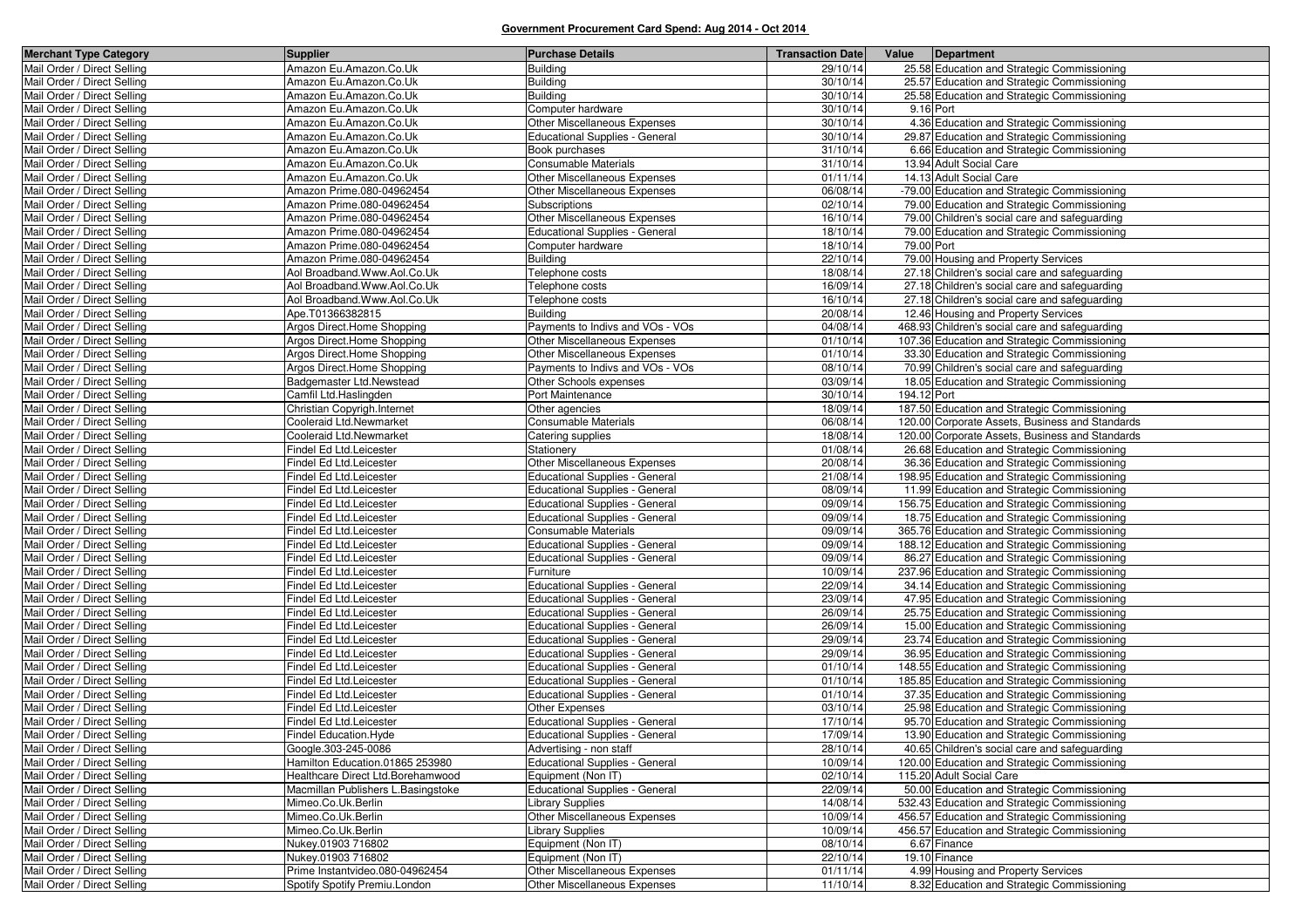| <b>Merchant Type Category</b>                              | <b>Supplier</b>                                    | <b>Purchase Details</b>                                                        | <b>Transaction Date</b> | Value       | Department                                                                                 |
|------------------------------------------------------------|----------------------------------------------------|--------------------------------------------------------------------------------|-------------------------|-------------|--------------------------------------------------------------------------------------------|
| Mail Order / Direct Selling                                | Amazon Eu.Amazon.Co.Uk                             | <b>Building</b>                                                                | 29/10/14                |             | 25.58 Education and Strategic Commissioning                                                |
| Mail Order / Direct Selling                                | Amazon Eu.Amazon.Co.Uk                             | <b>Building</b>                                                                | 30/10/14                |             | 25.57 Education and Strategic Commissioning                                                |
| Mail Order / Direct Selling                                | Amazon Eu.Amazon.Co.Uk                             | <b>Building</b>                                                                | 30/10/14                |             | 25.58 Education and Strategic Commissioning                                                |
| Mail Order / Direct Selling                                | Amazon Eu.Amazon.Co.Uk                             | Computer hardware                                                              | 30/10/14                | 9.16 Port   |                                                                                            |
| Mail Order / Direct Selling                                | Amazon Eu.Amazon.Co.Uk                             | Other Miscellaneous Expenses                                                   | 30/10/14                |             | 4.36 Education and Strategic Commissioning                                                 |
| Mail Order / Direct Selling                                | Amazon Eu.Amazon.Co.Uk                             | <b>Educational Supplies - General</b>                                          | 30/10/14                |             | 29.87 Education and Strategic Commissioning                                                |
| Mail Order / Direct Selling                                | Amazon Eu.Amazon.Co.Uk                             | Book purchases                                                                 | 31/10/14                |             | 6.66 Education and Strategic Commissioning                                                 |
| Mail Order / Direct Selling                                | Amazon Eu.Amazon.Co.Uk                             | Consumable Materials                                                           | 31/10/14                |             | 13.94 Adult Social Care                                                                    |
| Mail Order / Direct Selling                                | Amazon Eu.Amazon.Co.Uk                             | Other Miscellaneous Expenses                                                   | 01/11/14                |             | 14.13 Adult Social Care                                                                    |
| Mail Order / Direct Selling                                | Amazon Prime.080-04962454                          | Other Miscellaneous Expenses                                                   | 06/08/14                |             | -79.00 Education and Strategic Commissioning                                               |
| Mail Order / Direct Selling                                | Amazon Prime.080-04962454                          | Subscriptions                                                                  | 02/10/14                |             | 79.00 Education and Strategic Commissioning                                                |
| Mail Order / Direct Selling                                | Amazon Prime.080-04962454                          | Other Miscellaneous Expenses                                                   | 16/10/14                |             | 79.00 Children's social care and safeguarding                                              |
| Mail Order / Direct Selling                                | Amazon Prime.080-04962454                          | <b>Educational Supplies - General</b>                                          | 18/10/14                |             | 79.00 Education and Strategic Commissioning                                                |
| Mail Order / Direct Selling                                | Amazon Prime.080-04962454                          | Computer hardware                                                              | 18/10/14                | 79.00 Port  |                                                                                            |
| Mail Order / Direct Selling                                | Amazon Prime.080-04962454                          | <b>Building</b>                                                                | 22/10/14                |             | 79.00 Housing and Property Services                                                        |
| Mail Order / Direct Selling                                | Aol Broadband.Www.Aol.Co.Uk                        | Telephone costs                                                                | 18/08/14                |             | 27.18 Children's social care and safeguarding                                              |
| Mail Order / Direct Selling                                | Aol Broadband. Www.Aol.Co.Uk                       | Telephone costs                                                                | 16/09/14                |             | 27.18 Children's social care and safeguarding                                              |
| Mail Order / Direct Selling                                | Aol Broadband.Www.Aol.Co.Uk                        | Telephone costs                                                                | 16/10/14                |             | 27.18 Children's social care and safeguarding                                              |
| Mail Order / Direct Selling                                | Ape.T01366382815                                   | <b>Building</b>                                                                | 20/08/14                |             | 12.46 Housing and Property Services                                                        |
| Mail Order / Direct Selling                                | Argos Direct.Home Shopping                         | Payments to Indivs and VOs - VOs                                               | 04/08/14                |             | 468.93 Children's social care and safeguarding                                             |
| Mail Order / Direct Selling                                | Argos Direct.Home Shopping                         | Other Miscellaneous Expenses                                                   | 01/10/14                |             | 107.36 Education and Strategic Commissioning                                               |
| Mail Order / Direct Selling                                | Argos Direct.Home Shopping                         | Other Miscellaneous Expenses                                                   | 01/10/14                |             | 33.30 Education and Strategic Commissioning                                                |
| Mail Order / Direct Selling                                | Argos Direct.Home Shopping                         | Payments to Indivs and VOs - VOs                                               | 08/10/14                |             | 70.99 Children's social care and safeguarding                                              |
| Mail Order / Direct Selling                                | Badgemaster Ltd.Newstead                           | Other Schools expenses                                                         | 03/09/14                |             | 18.05 Education and Strategic Commissioning                                                |
| Mail Order / Direct Selling                                | Camfil Ltd.Haslingden                              | Port Maintenance                                                               | 30/10/14                | 194.12 Port |                                                                                            |
| Mail Order / Direct Selling                                | Christian Copyrigh.Internet                        | Other agencies                                                                 | 18/09/14                |             | 187.50 Education and Strategic Commissioning                                               |
| Mail Order / Direct Selling                                | Cooleraid Ltd.Newmarket                            | Consumable Materials                                                           | 06/08/14                |             | 120.00 Corporate Assets, Business and Standards                                            |
| Mail Order / Direct Selling                                | Cooleraid Ltd.Newmarket                            | Catering supplies                                                              | 18/08/14                |             | 120.00 Corporate Assets, Business and Standards                                            |
| Mail Order / Direct Selling                                | Findel Ed Ltd.Leicester                            | Stationery                                                                     | 01/08/14                |             | 26.68 Education and Strategic Commissioning                                                |
| Mail Order / Direct Selling                                | Findel Ed Ltd.Leicester                            | Other Miscellaneous Expenses                                                   | 20/08/14                |             | 36.36 Education and Strategic Commissioning                                                |
| Mail Order / Direct Selling                                | Findel Ed Ltd.Leicester                            | <b>Educational Supplies - General</b>                                          | 21/08/14                |             | 198.95 Education and Strategic Commissioning                                               |
| Mail Order / Direct Selling                                | Findel Ed Ltd.Leicester                            | <b>Educational Supplies - General</b>                                          | 08/09/14                |             | 11.99 Education and Strategic Commissioning                                                |
| Mail Order / Direct Selling                                | Findel Ed Ltd.Leicester                            | Educational Supplies - General                                                 | 09/09/14                |             | 156.75 Education and Strategic Commissioning                                               |
| Mail Order / Direct Selling                                | Findel Ed Ltd.Leicester                            | <b>Educational Supplies - General</b>                                          | 09/09/14                |             | 18.75 Education and Strategic Commissioning                                                |
| Mail Order / Direct Selling                                | Findel Ed Ltd.Leicester                            | Consumable Materials                                                           | 09/09/14                |             | 365.76 Education and Strategic Commissioning                                               |
| Mail Order / Direct Selling                                | Findel Ed Ltd.Leicester                            | Educational Supplies - General                                                 | 09/09/14                |             | 188.12 Education and Strategic Commissioning                                               |
| Mail Order / Direct Selling<br>Mail Order / Direct Selling | Findel Ed Ltd.Leicester                            | Educational Supplies - General                                                 | 09/09/14<br>10/09/14    |             | 86.27 Education and Strategic Commissioning                                                |
| Mail Order / Direct Selling                                | Findel Ed Ltd.Leicester                            | Furniture                                                                      | 22/09/14                |             | 237.96 Education and Strategic Commissioning                                               |
| Mail Order / Direct Selling                                | Findel Ed Ltd.Leicester                            | <b>Educational Supplies - General</b><br><b>Educational Supplies - General</b> | 23/09/14                |             | 34.14 Education and Strategic Commissioning                                                |
| Mail Order / Direct Selling                                | Findel Ed Ltd.Leicester<br>Findel Ed Ltd.Leicester | Educational Supplies - General                                                 | 26/09/14                |             | 47.95 Education and Strategic Commissioning<br>25.75 Education and Strategic Commissioning |
| Mail Order / Direct Selling                                | Findel Ed Ltd.Leicester                            | Educational Supplies - General                                                 | 26/09/14                |             | 15.00 Education and Strategic Commissioning                                                |
| Mail Order / Direct Selling                                | Findel Ed Ltd.Leicester                            | Educational Supplies - General                                                 | 29/09/14                |             | 23.74 Education and Strategic Commissioning                                                |
| Mail Order / Direct Selling                                | Findel Ed Ltd.Leicester                            | <b>Educational Supplies - General</b>                                          | 29/09/14                |             | 36.95 Education and Strategic Commissioning                                                |
| Mail Order / Direct Selling                                | Findel Ed Ltd.Leicester                            | <b>Educational Supplies - General</b>                                          | 01/10/14                |             | 148.55 Education and Strategic Commissioning                                               |
| Mail Order / Direct Selling                                | Findel Ed Ltd.Leicester                            | <b>Educational Supplies - General</b>                                          | 01/10/14                |             | 185.85 Education and Strategic Commissioning                                               |
| Mail Order / Direct Selling                                | Findel Ed Ltd.Leicester                            | Educational Supplies - General                                                 | 01/10/14                |             | 37.35 Education and Strategic Commissioning                                                |
| Mail Order / Direct Selling                                | Findel Ed Ltd.Leicester                            | Other Expenses                                                                 | 03/10/14                |             | 25.98 Education and Strategic Commissioning                                                |
| Mail Order / Direct Selling                                | Findel Ed Ltd.Leicester                            | <b>Educational Supplies - General</b>                                          | 17/10/14                |             | 95.70 Education and Strategic Commissioning                                                |
| Mail Order / Direct Selling                                | Findel Education. Hyde                             | Educational Supplies - General                                                 | 17/09/14                |             | 13.90 Education and Strategic Commissioning                                                |
| Mail Order / Direct Selling                                | Google.303-245-0086                                | Advertising - non staff                                                        | 28/10/14                |             | 40.65 Children's social care and safeguarding                                              |
| Mail Order / Direct Selling                                | Hamilton Education.01865 253980                    | <b>Educational Supplies - General</b>                                          | 10/09/14                |             | 120.00 Education and Strategic Commissioning                                               |
| Mail Order / Direct Selling                                | Healthcare Direct Ltd.Borehamwood                  | Equipment (Non IT)                                                             | 02/10/14                |             | 115.20 Adult Social Care                                                                   |
| Mail Order / Direct Selling                                | Macmillan Publishers L.Basingstoke                 | Educational Supplies - General                                                 | 22/09/14                |             | 50.00 Education and Strategic Commissioning                                                |
| Mail Order / Direct Selling                                | Mimeo.Co.Uk.Berlin                                 | <b>Library Supplies</b>                                                        | 14/08/14                |             | 532.43 Education and Strategic Commissioning                                               |
| Mail Order / Direct Selling                                | Mimeo.Co.Uk.Berlin                                 | Other Miscellaneous Expenses                                                   | 10/09/14                |             | 456.57 Education and Strategic Commissioning                                               |
| Mail Order / Direct Selling                                | Mimeo.Co.Uk.Berlin                                 | <b>Library Supplies</b>                                                        | 10/09/14                |             | 456.57 Education and Strategic Commissioning                                               |
| Mail Order / Direct Selling                                | Nukey.01903 716802                                 | Equipment (Non IT)                                                             | 08/10/14                |             | 6.67 Finance                                                                               |
| Mail Order / Direct Selling                                | Nukey.01903 716802                                 | Equipment (Non IT)                                                             | 22/10/14                |             | 19.10 Finance                                                                              |
| Mail Order / Direct Selling                                | Prime Instantvideo.080-04962454                    | Other Miscellaneous Expenses                                                   | 01/11/14                |             | 4.99 Housing and Property Services                                                         |
| Mail Order / Direct Selling                                | Spotify Spotify Premiu.London                      | Other Miscellaneous Expenses                                                   | 11/10/14                |             | 8.32 Education and Strategic Commissioning                                                 |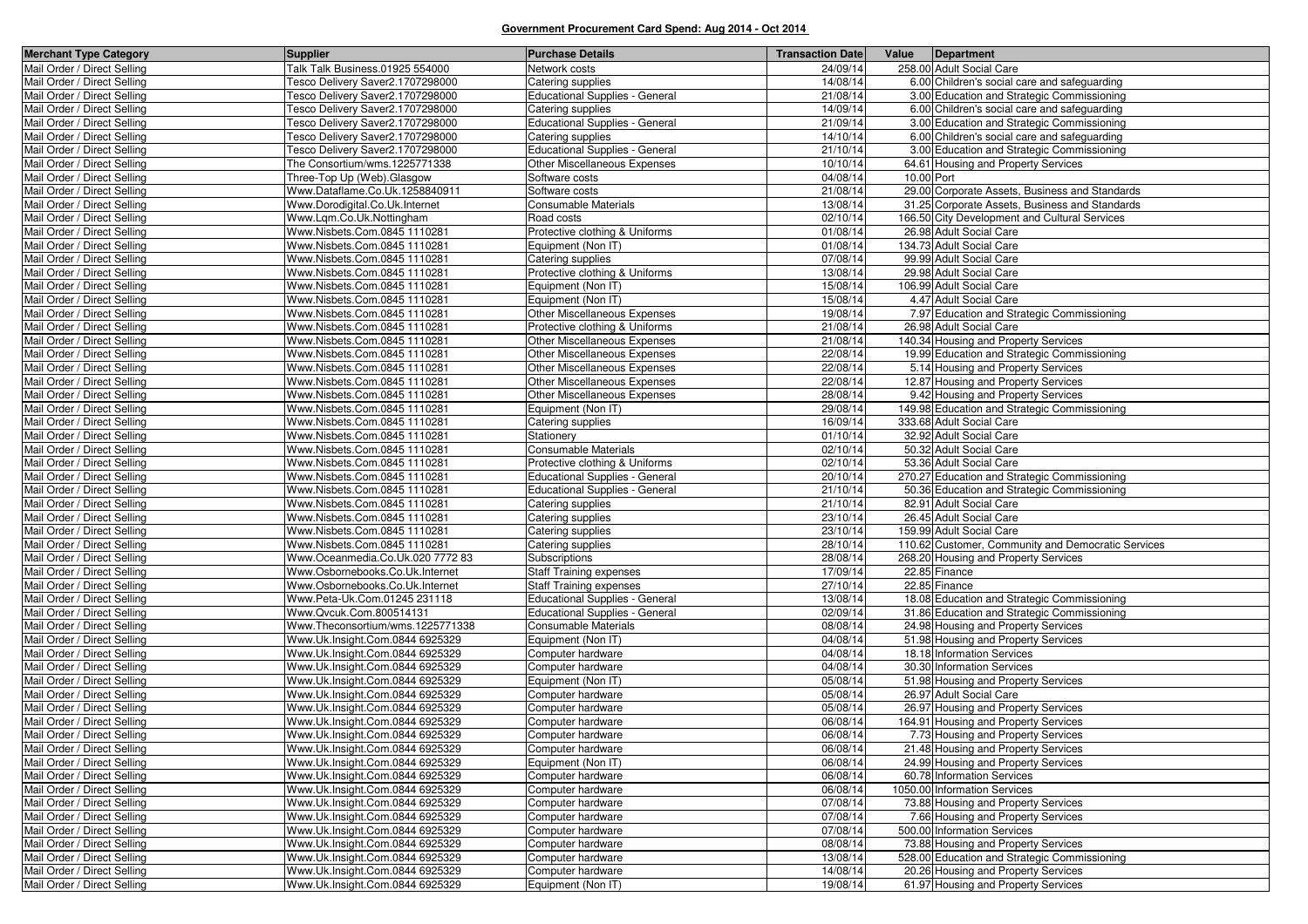| <b>Merchant Type Category</b>                              | <b>Supplier</b>                                                    | <b>Purchase Details</b>                 | <b>Transaction Date</b> |            | Value Department                                                            |
|------------------------------------------------------------|--------------------------------------------------------------------|-----------------------------------------|-------------------------|------------|-----------------------------------------------------------------------------|
| Mail Order / Direct Selling                                | Talk Talk Business.01925 554000                                    | Network costs                           | 24/09/14                |            | 258.00 Adult Social Care                                                    |
| Mail Order / Direct Selling                                | Tesco Delivery Saver2.1707298000                                   | Catering supplies                       | 14/08/14                |            | 6.00 Children's social care and safeguarding                                |
| Mail Order / Direct Selling                                | Tesco Delivery Saver2.1707298000                                   | <b>Educational Supplies - General</b>   | 21/08/14                |            | 3.00 Education and Strategic Commissioning                                  |
| Mail Order / Direct Selling                                | Tesco Delivery Saver2.1707298000                                   | Catering supplies                       | 14/09/14                |            | 6.00 Children's social care and safeguarding                                |
| Mail Order / Direct Selling                                | Tesco Delivery Saver2.1707298000                                   | <b>Educational Supplies - General</b>   | 21/09/14                |            | 3.00 Education and Strategic Commissioning                                  |
| Mail Order / Direct Selling                                | Tesco Delivery Saver2.1707298000                                   | Catering supplies                       | 14/10/14                |            | 6.00 Children's social care and safeguarding                                |
| Mail Order / Direct Selling                                | Tesco Delivery Saver2.1707298000                                   | <b>Educational Supplies - General</b>   | 21/10/14                |            | 3.00 Education and Strategic Commissioning                                  |
| Mail Order / Direct Selling                                | The Consortium/wms.1225771338                                      | Other Miscellaneous Expenses            | 10/10/14                |            | 64.61 Housing and Property Services                                         |
| Mail Order / Direct Selling                                | Three-Top Up (Web).Glasgow                                         | Software costs                          | 04/08/14                | 10.00 Port |                                                                             |
| Mail Order / Direct Selling                                | Www.Dataflame.Co.Uk.1258840911                                     | Software costs                          | 21/08/14                |            | 29.00 Corporate Assets, Business and Standards                              |
| Mail Order / Direct Selling                                | Www.Dorodigital.Co.Uk.Internet                                     | Consumable Materials                    | 13/08/14                |            | 31.25 Corporate Assets, Business and Standards                              |
| Mail Order / Direct Selling                                | Www.Lgm.Co.Uk.Nottingham                                           | Road costs                              | 02/10/14                |            | 166.50 City Development and Cultural Services                               |
| Mail Order / Direct Selling                                | Www.Nisbets.Com.0845 1110281                                       | Protective clothing & Uniforms          | 01/08/14                |            | 26.98 Adult Social Care                                                     |
| Mail Order / Direct Selling                                | Www.Nisbets.Com.0845 1110281                                       | Equipment (Non IT)                      | 01/08/14                |            | 134.73 Adult Social Care                                                    |
| Mail Order / Direct Selling                                | Www.Nisbets.Com.0845 1110281                                       | Catering supplies                       | 07/08/14                |            | 99.99 Adult Social Care                                                     |
| Mail Order / Direct Selling                                | Www.Nisbets.Com.0845 1110281                                       | Protective clothing & Uniforms          | 13/08/14                |            | 29.98 Adult Social Care                                                     |
| Mail Order / Direct Selling                                | Www.Nisbets.Com.0845 1110281                                       | Equipment (Non IT)                      | 15/08/14                |            | 106.99 Adult Social Care                                                    |
| Mail Order / Direct Selling                                | Www.Nisbets.Com.0845 1110281                                       | Equipment (Non IT)                      | 15/08/14                |            | 4.47 Adult Social Care                                                      |
| Mail Order / Direct Selling                                | Www.Nisbets.Com.0845 1110281                                       | Other Miscellaneous Expenses            | 19/08/14                |            | 7.97 Education and Strategic Commissioning                                  |
| Mail Order / Direct Selling                                | Www.Nisbets.Com.0845 1110281                                       | Protective clothing & Uniforms          | 21/08/14                |            | 26.98 Adult Social Care                                                     |
| Mail Order / Direct Selling                                | Www.Nisbets.Com.0845 1110281                                       | Other Miscellaneous Expenses            | 21/08/14                |            | 140.34 Housing and Property Services                                        |
| Mail Order / Direct Selling                                | Www.Nisbets.Com.0845 1110281                                       | Other Miscellaneous Expenses            | 22/08/14                |            | 19.99 Education and Strategic Commissioning                                 |
| Mail Order / Direct Selling                                | Www.Nisbets.Com.0845 1110281                                       | Other Miscellaneous Expenses            | 22/08/14                |            | 5.14 Housing and Property Services                                          |
| Mail Order / Direct Selling                                | Www.Nisbets.Com.0845 1110281                                       | Other Miscellaneous Expenses            | 22/08/14                |            | 12.87 Housing and Property Services                                         |
| Mail Order / Direct Selling                                | Www.Nisbets.Com.0845 1110281                                       | Other Miscellaneous Expenses            | 28/08/14                |            | 9.42 Housing and Property Services                                          |
| Mail Order / Direct Selling                                | Www.Nisbets.Com.0845 1110281                                       | Equipment (Non IT)                      | 29/08/14                |            | 149.98 Education and Strategic Commissioning                                |
| Mail Order / Direct Selling                                | Www.Nisbets.Com.0845 1110281                                       | Catering supplies                       | 16/09/14                |            | 333.68 Adult Social Care                                                    |
| Mail Order / Direct Selling                                | Www.Nisbets.Com.0845 1110281                                       | Stationery                              | 01/10/14                |            | 32.92 Adult Social Care                                                     |
| Mail Order / Direct Selling                                | Www.Nisbets.Com.0845 1110281                                       | Consumable Materials                    | 02/10/14                |            | 50.32 Adult Social Care                                                     |
| Mail Order / Direct Selling                                | Www.Nisbets.Com.0845 1110281                                       | Protective clothing & Uniforms          | 02/10/14                |            | 53.36 Adult Social Care                                                     |
| Mail Order / Direct Selling                                | Www.Nisbets.Com.0845 1110281                                       | <b>Educational Supplies - General</b>   | 20/10/14                |            | 270.27 Education and Strategic Commissioning                                |
| Mail Order / Direct Selling                                | Www.Nisbets.Com.0845 1110281                                       | <b>Educational Supplies - General</b>   | 21/10/14                |            | 50.36 Education and Strategic Commissioning                                 |
| Mail Order / Direct Selling                                | Www.Nisbets.Com.0845 1110281                                       | Catering supplies                       | 21/10/14                |            | 82.91 Adult Social Care                                                     |
| Mail Order / Direct Selling                                | Www.Nisbets.Com.0845 1110281                                       | Catering supplies                       | 23/10/14                |            | 26.45 Adult Social Care                                                     |
| Mail Order / Direct Selling                                | Www.Nisbets.Com.0845 1110281                                       | Catering supplies                       | 23/10/14                |            | 159.99 Adult Social Care                                                    |
| Mail Order / Direct Selling                                | Www.Nisbets.Com.0845 1110281                                       | Catering supplies                       | 28/10/14                |            | 110.62 Customer, Community and Democratic Services                          |
| Mail Order / Direct Selling                                | Www.Oceanmedia.Co.Uk.020 7772 83                                   | Subscriptions                           | 28/08/14                |            | 268.20 Housing and Property Services                                        |
| Mail Order / Direct Selling                                | Www.Osbornebooks.Co.Uk.Internet                                    | <b>Staff Training expenses</b>          | 17/09/14                |            | 22.85 Finance                                                               |
| Mail Order / Direct Selling                                | Www.Osbornebooks.Co.Uk.Internet                                    | <b>Staff Training expenses</b>          | 27/10/14                |            | 22.85 Finance                                                               |
| Mail Order / Direct Selling                                | Www.Peta-Uk.Com.01245 231118                                       | Educational Supplies - General          | 13/08/14                |            | 18.08 Education and Strategic Commissioning                                 |
| Mail Order / Direct Selling                                | Www.Qvcuk.Com.800514131                                            | <b>Educational Supplies - General</b>   | 02/09/14                |            | 31.86 Education and Strategic Commissioning                                 |
| Mail Order / Direct Selling                                | Www.Theconsortium/wms.1225771338                                   | Consumable Materials                    | 08/08/14                |            | 24.98 Housing and Property Services                                         |
| Mail Order / Direct Selling                                | Www.Uk.Insight.Com.0844 6925329                                    | Equipment (Non IT)                      | 04/08/14                |            | 51.98 Housing and Property Services                                         |
| Mail Order / Direct Selling                                | Www.Uk.Insight.Com.0844 6925329                                    | Computer hardware                       | 04/08/14                |            | 18.18 Information Services                                                  |
| Mail Order / Direct Selling                                | Www.Uk.Insight.Com.0844 6925329                                    | Computer hardware                       | 04/08/14                |            | 30.30 Information Services<br>51.98 Housing and Property Services           |
| Mail Order / Direct Selling<br>Mail Order / Direct Selling | Www.Uk.Insight.Com.0844 6925329                                    | Equipment (Non IT)                      | 05/08/14<br>05/08/14    |            |                                                                             |
|                                                            | Www.Uk.Insight.Com.0844 6925329<br>Www.Uk.Insight.Com.0844 6925329 | Computer hardware                       |                         |            | 26.97 Adult Social Care                                                     |
| Mail Order / Direct Selling<br>Mail Order / Direct Selling |                                                                    | Computer hardware<br>Computer hardware  | 05/08/14<br>06/08/14    |            | 26.97 Housing and Property Services<br>164.91 Housing and Property Services |
|                                                            | Www.Uk.Insight.Com.0844 6925329<br>Www.Uk.Insight.Com.0844 6925329 | Computer hardware                       | 06/08/14                |            |                                                                             |
| Mail Order / Direct Selling                                |                                                                    |                                         |                         |            | 7.73 Housing and Property Services                                          |
| Mail Order / Direct Selling<br>Mail Order / Direct Selling | Www.Uk.Insight.Com.0844 6925329<br>Www.Uk.Insight.Com.0844 6925329 | Computer hardware                       | 06/08/14<br>06/08/14    |            | 21.48 Housing and Property Services<br>24.99 Housing and Property Services  |
| Mail Order / Direct Selling                                | Www.Uk.Insight.Com.0844 6925329                                    | Equipment (Non IT)<br>Computer hardware | 06/08/14                |            | 60.78 Information Services                                                  |
| Mail Order / Direct Selling                                | Www.Uk.Insight.Com.0844 6925329                                    |                                         | 06/08/14                |            | 1050.00 Information Services                                                |
| Mail Order / Direct Selling                                | Www.Uk.Insight.Com.0844 6925329                                    | Computer hardware<br>Computer hardware  | 07/08/14                |            | 73.88 Housing and Property Services                                         |
| Mail Order / Direct Selling                                | Www.Uk.Insight.Com.0844 6925329                                    | Computer hardware                       | 07/08/14                |            | 7.66 Housing and Property Services                                          |
| Mail Order / Direct Selling                                | Www.Uk.Insight.Com.0844 6925329                                    | Computer hardware                       | 07/08/14                |            | 500.00 Information Services                                                 |
| Mail Order / Direct Selling                                | Www.Uk.Insight.Com.0844 6925329                                    | Computer hardware                       | 08/08/14                |            | 73.88 Housing and Property Services                                         |
| Mail Order / Direct Selling                                | Www.Uk.Insight.Com.0844 6925329                                    | Computer hardware                       | 13/08/14                |            | 528.00 Education and Strategic Commissioning                                |
| Mail Order / Direct Selling                                | Www.Uk.Insight.Com.0844 6925329                                    | Computer hardware                       | 14/08/14                |            | 20.26 Housing and Property Services                                         |
| Mail Order / Direct Selling                                | Www.Uk.Insight.Com.0844 6925329                                    | Equipment (Non IT)                      | 19/08/14                |            | 61.97 Housing and Property Services                                         |
|                                                            |                                                                    |                                         |                         |            |                                                                             |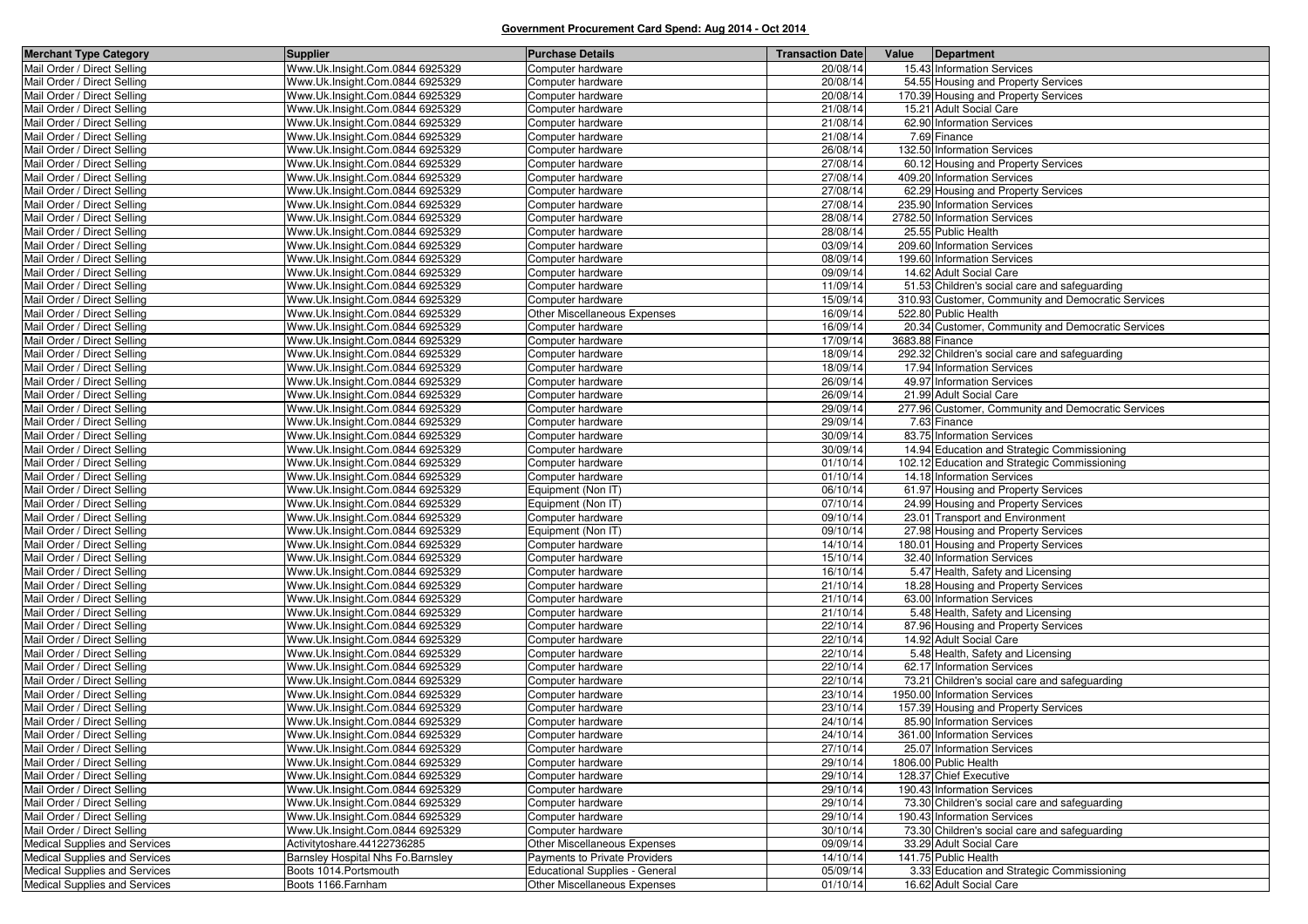| <b>Merchant Type Category</b>                              | <b>Supplier</b>                                                    | <b>Purchase Details</b>                | <b>Transaction Date</b> | Value<br>Department                                             |
|------------------------------------------------------------|--------------------------------------------------------------------|----------------------------------------|-------------------------|-----------------------------------------------------------------|
| Mail Order / Direct Selling                                | Www.Uk.Insight.Com.0844 6925329                                    | Computer hardware                      | 20/08/14                | 15.43 Information Services                                      |
| Mail Order / Direct Selling                                | Www.Uk.Insight.Com.0844 6925329                                    | Computer hardware                      | 20/08/14                | 54.55 Housing and Property Services                             |
| Mail Order / Direct Selling                                | Www.Uk.Insight.Com.0844 6925329                                    | Computer hardware                      | 20/08/14                | 170.39 Housing and Property Services                            |
| Mail Order / Direct Selling                                | Www.Uk.Insight.Com.0844 6925329                                    | Computer hardware                      | 21/08/14                | 15.21 Adult Social Care                                         |
| Mail Order / Direct Selling                                | Www.Uk.Insight.Com.0844 6925329                                    | Computer hardware                      | 21/08/14                | 62.90 Information Services                                      |
| Mail Order / Direct Selling                                | Www.Uk.Insight.Com.0844 6925329                                    | Computer hardware                      | 21/08/14                | 7.69 Finance                                                    |
| Mail Order / Direct Selling                                | Www.Uk.Insight.Com.0844 6925329                                    | Computer hardware                      | 26/08/14                | 132.50 Information Services                                     |
| Mail Order / Direct Selling                                | Www.Uk.Insight.Com.0844 6925329                                    | Computer hardware                      | 27/08/14                | 60.12 Housing and Property Services                             |
| Mail Order / Direct Selling                                | Www.Uk.Insight.Com.0844 6925329                                    | Computer hardware                      | 27/08/14                | 409.20 Information Services                                     |
| Mail Order / Direct Selling                                | Www.Uk.Insight.Com.0844 6925329                                    | Computer hardware                      | 27/08/14                | 62.29 Housing and Property Services                             |
| Mail Order / Direct Selling                                | Www.Uk.Insight.Com.0844 6925329                                    | Computer hardware                      | 27/08/14                | 235.90 Information Services                                     |
| Mail Order / Direct Selling                                | Www.Uk.Insight.Com.0844 6925329                                    | Computer hardware                      | 28/08/14                | 2782.50 Information Services                                    |
| Mail Order / Direct Selling                                | Www.Uk.Insight.Com.0844 6925329                                    | Computer hardware                      | 28/08/14                | 25.55 Public Health                                             |
| Mail Order / Direct Selling                                | Www.Uk.Insight.Com.0844 6925329                                    | Computer hardware                      | 03/09/14                | 209.60 Information Services                                     |
| Mail Order / Direct Selling                                | Www.Uk.Insight.Com.0844 6925329                                    | Computer hardware                      | 08/09/14                | 199.60 Information Services                                     |
| Mail Order / Direct Selling                                | Www.Uk.Insight.Com.0844 6925329                                    | Computer hardware                      | 09/09/14                | 14.62 Adult Social Care                                         |
| Mail Order / Direct Selling                                | Www.Uk.Insight.Com.0844 6925329                                    | Computer hardware                      | 11/09/14                | 51.53 Children's social care and safeguarding                   |
| Mail Order / Direct Selling                                | Www.Uk.Insight.Com.0844 6925329                                    | Computer hardware                      | 15/09/14                | 310.93 Customer, Community and Democratic Services              |
| Mail Order / Direct Selling                                | Www.Uk.Insight.Com.0844 6925329                                    | Other Miscellaneous Expenses           | 16/09/14                | 522.80 Public Health                                            |
| Mail Order / Direct Selling                                | Www.Uk.Insight.Com.0844 6925329                                    | Computer hardware                      | 16/09/14                | 20.34 Customer, Community and Democratic Services               |
| Mail Order / Direct Selling                                | Www.Uk.Insight.Com.0844 6925329                                    | Computer hardware                      | 17/09/14                | 3683.88 Finance                                                 |
| Mail Order / Direct Selling                                | Www.Uk.Insight.Com.0844 6925329                                    | Computer hardware                      | 18/09/14                | 292.32 Children's social care and safeguarding                  |
| Mail Order / Direct Selling                                | Www.Uk.Insight.Com.0844 6925329                                    | Computer hardware                      | 18/09/14                | 17.94 Information Services                                      |
| Mail Order / Direct Selling                                | Www.Uk.Insight.Com.0844 6925329                                    | Computer hardware                      | 26/09/14                | 49.97 Information Services                                      |
| Mail Order / Direct Selling                                | Www.Uk.Insight.Com.0844 6925329                                    | Computer hardware                      | 26/09/14                | 21.99 Adult Social Care                                         |
| Mail Order / Direct Selling                                | Www.Uk.Insight.Com.0844 6925329                                    | Computer hardware                      | 29/09/14                | 277.96 Customer, Community and Democratic Services              |
| Mail Order / Direct Selling                                | Www.Uk.Insight.Com.0844 6925329                                    | Computer hardware                      | 29/09/14                | 7.63 Finance                                                    |
| Mail Order / Direct Selling                                | Www.Uk.Insight.Com.0844 6925329                                    | Computer hardware                      | 30/09/14                | 83.75 Information Services                                      |
| Mail Order / Direct Selling                                | Www.Uk.Insight.Com.0844 6925329                                    | Computer hardware                      | 30/09/14                | 14.94 Education and Strategic Commissioning                     |
| Mail Order / Direct Selling                                | Www.Uk.Insight.Com.0844 6925329                                    | Computer hardware                      | 01/10/14                | 102.12 Education and Strategic Commissioning                    |
| Mail Order / Direct Selling                                | Www.Uk.Insight.Com.0844 6925329                                    | Computer hardware                      | 01/10/14                | 14.18 Information Services                                      |
| Mail Order / Direct Selling                                | Www.Uk.Insight.Com.0844 6925329                                    | Equipment (Non IT)                     | 06/10/14                | 61.97 Housing and Property Services                             |
| Mail Order / Direct Selling                                | Www.Uk.Insight.Com.0844 6925329                                    | Equipment (Non IT)                     | 07/10/14                | 24.99 Housing and Property Services                             |
| Mail Order / Direct Selling                                | Www.Uk.Insight.Com.0844 6925329                                    | Computer hardware                      | 09/10/14                | 23.01 Transport and Environment                                 |
| Mail Order / Direct Selling                                | Www.Uk.Insight.Com.0844 6925329                                    | Equipment (Non IT)                     | 09/10/14                | 27.98 Housing and Property Services                             |
| Mail Order / Direct Selling                                | Www.Uk.Insight.Com.0844 6925329                                    | Computer hardware                      | 14/10/14                | 180.01 Housing and Property Services                            |
| Mail Order / Direct Selling                                | Www.Uk.Insight.Com.0844 6925329                                    | Computer hardware                      | 15/10/14                | 32.40 Information Services                                      |
| Mail Order / Direct Selling                                | Www.Uk.Insight.Com.0844 6925329                                    | Computer hardware                      | 16/10/14                | 5.47 Health, Safety and Licensing                               |
| Mail Order / Direct Selling                                | Www.Uk.Insight.Com.0844 6925329                                    | Computer hardware                      | 21/10/14                | 18.28 Housing and Property Services                             |
| Mail Order / Direct Selling<br>Mail Order / Direct Selling | Www.Uk.Insight.Com.0844 6925329                                    | Computer hardware                      | 21/10/14<br>21/10/14    | 63.00 Information Services<br>5.48 Health, Safety and Licensing |
| Mail Order / Direct Selling                                | Www.Uk.Insight.Com.0844 6925329                                    | Computer hardware                      | 22/10/14                |                                                                 |
| Mail Order / Direct Selling                                | Www.Uk.Insight.Com.0844 6925329<br>Www.Uk.Insight.Com.0844 6925329 | Computer hardware<br>Computer hardware | 22/10/14                | 87.96 Housing and Property Services<br>14.92 Adult Social Care  |
| Mail Order / Direct Selling                                | Www.Uk.Insight.Com.0844 6925329                                    | Computer hardware                      | 22/10/14                | 5.48 Health, Safety and Licensing                               |
| Mail Order / Direct Selling                                | Www.Uk.Insight.Com.0844 6925329                                    | Computer hardware                      | 22/10/14                | 62.17 Information Services                                      |
| Mail Order / Direct Selling                                | Www.Uk.Insight.Com.0844 6925329                                    | Computer hardware                      | 22/10/14                | 73.21 Children's social care and safeguarding                   |
| Mail Order / Direct Selling                                | Www.Uk.Insight.Com.0844 6925329                                    | Computer hardware                      | 23/10/14                | 1950.00 Information Services                                    |
| Mail Order / Direct Selling                                | Www.Uk.Insight.Com.0844 6925329                                    | Computer hardware                      | 23/10/14                | 157.39 Housing and Property Services                            |
| Mail Order / Direct Selling                                | Www.Uk.Insight.Com.0844 6925329                                    | Computer hardware                      | 24/10/14                | 85.90 Information Services                                      |
| Mail Order / Direct Selling                                | Www.Uk.Insight.Com.0844 6925329                                    | Computer hardware                      | 24/10/14                | 361.00 Information Services                                     |
| Mail Order / Direct Selling                                | Www.Uk.Insight.Com.0844 6925329                                    | Computer hardware                      | 27/10/14                | 25.07 Information Services                                      |
| Mail Order / Direct Selling                                | Www.Uk.Insight.Com.0844 6925329                                    | Computer hardware                      | 29/10/14                | 1806.00 Public Health                                           |
| Mail Order / Direct Selling                                | Www.Uk.Insight.Com.0844 6925329                                    | Computer hardware                      | 29/10/14                | 128.37 Chief Executive                                          |
| Mail Order / Direct Selling                                | Www.Uk.Insight.Com.0844 6925329                                    | Computer hardware                      | 29/10/14                | 190.43 Information Services                                     |
| Mail Order / Direct Selling                                | Www.Uk.Insight.Com.0844 6925329                                    | Computer hardware                      | 29/10/14                | 73.30 Children's social care and safeguarding                   |
| Mail Order / Direct Selling                                | Www.Uk.Insight.Com.0844 6925329                                    | Computer hardware                      | 29/10/14                | 190.43 Information Services                                     |
| Mail Order / Direct Selling                                | Www.Uk.Insight.Com.0844 6925329                                    | Computer hardware                      | 30/10/14                | 73.30 Children's social care and safeguarding                   |
| Medical Supplies and Services                              | Activitytoshare.44122736285                                        | Other Miscellaneous Expenses           | 09/09/14                | 33.29 Adult Social Care                                         |
| Medical Supplies and Services                              | Barnsley Hospital Nhs Fo.Barnsley                                  | Payments to Private Providers          | 14/10/14                | 141.75 Public Health                                            |
| <b>Medical Supplies and Services</b>                       | Boots 1014. Portsmouth                                             | <b>Educational Supplies - General</b>  | 05/09/14                | 3.33 Education and Strategic Commissioning                      |
| Medical Supplies and Services                              | Boots 1166. Farnham                                                | Other Miscellaneous Expenses           | 01/10/14                | 16.62 Adult Social Care                                         |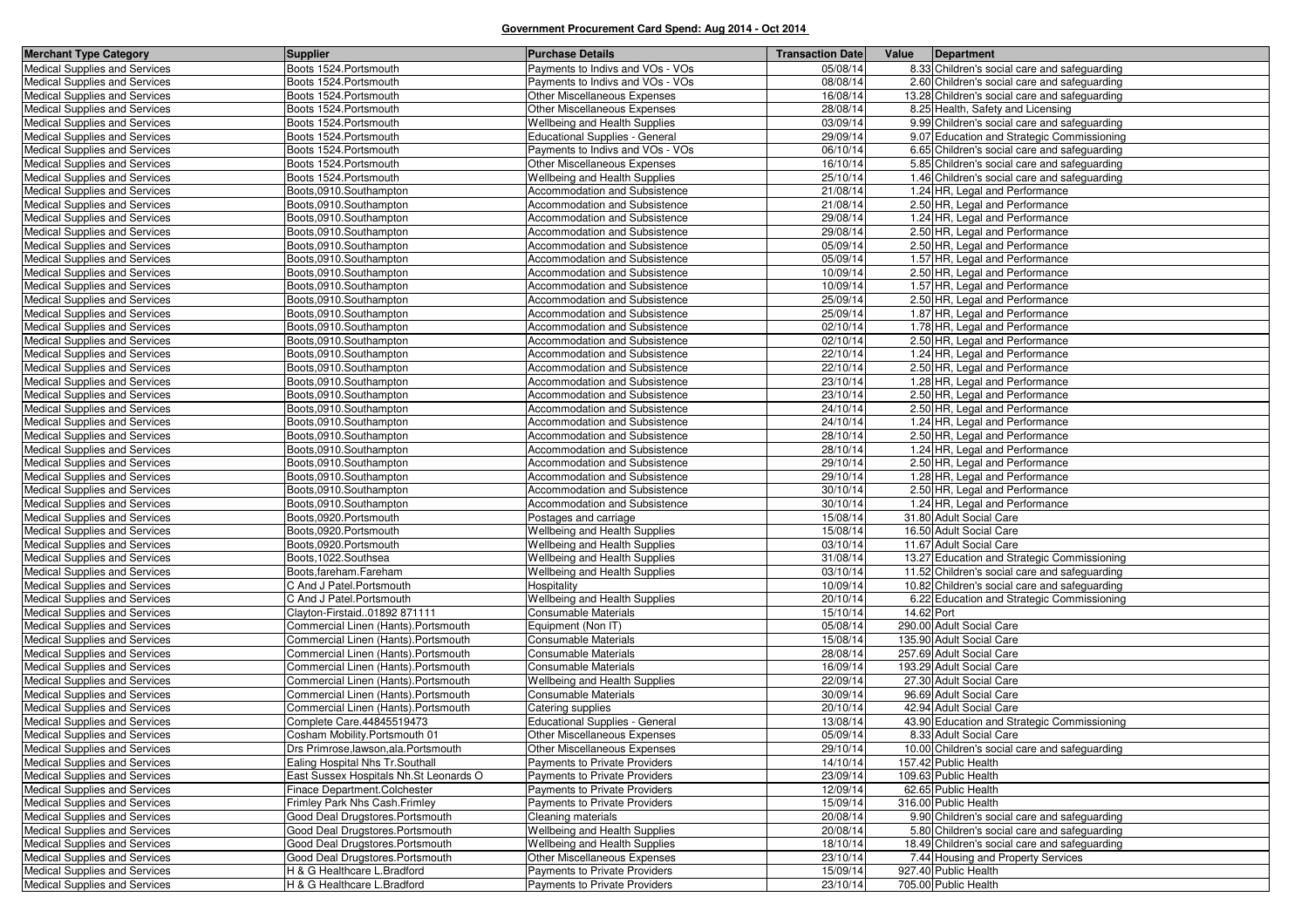| Boots 1524. Portsmouth<br>8.33 Children's social care and safeguarding<br>Payments to Indivs and VOs - VOs<br>05/08/14<br>Boots 1524. Portsmouth<br>08/08/14<br>Medical Supplies and Services<br>Payments to Indivs and VOs - VOs<br>2.60 Children's social care and safeguarding<br>16/08/14<br>Medical Supplies and Services<br>Boots 1524. Portsmouth<br>Other Miscellaneous Expenses<br>13.28 Children's social care and safeguarding<br>Boots 1524. Portsmouth<br>Other Miscellaneous Expenses<br>28/08/14<br>Medical Supplies and Services<br>8.25 Health, Safety and Licensing<br>03/09/14<br>Medical Supplies and Services<br>Boots 1524. Portsmouth<br>Wellbeing and Health Supplies<br>9.99 Children's social care and safeguarding<br>29/09/14<br>Boots 1524. Portsmouth<br><b>Educational Supplies - General</b><br>9.07 Education and Strategic Commissioning<br><b>Medical Supplies and Services</b><br>Medical Supplies and Services<br>Payments to Indivs and VOs - VOs<br>06/10/14<br>6.65 Children's social care and safeguarding<br>Boots 1524. Portsmouth<br>Boots 1524. Portsmouth<br>16/10/14<br>Medical Supplies and Services<br>Other Miscellaneous Expenses<br>5.85 Children's social care and safeguarding<br>Boots 1524. Portsmouth<br>25/10/14<br>Medical Supplies and Services<br>Wellbeing and Health Supplies<br>1.46 Children's social care and safeguarding<br>Accommodation and Subsistence<br>21/08/14<br>Medical Supplies and Services<br>Boots,0910.Southampton<br>1.24 HR, Legal and Performance<br>21/08/14<br>Medical Supplies and Services<br>Boots,0910.Southampton<br>Accommodation and Subsistence<br>2.50 HR, Legal and Performance<br>Medical Supplies and Services<br>Boots,0910.Southampton<br>29/08/14<br>1.24 HR, Legal and Performance<br>Accommodation and Subsistence<br>Medical Supplies and Services<br>29/08/14<br>2.50 HR, Legal and Performance<br>Boots,0910.Southampton<br>Accommodation and Subsistence<br>05/09/14<br>2.50 HR, Legal and Performance<br>Medical Supplies and Services<br>Boots,0910.Southampton<br>Accommodation and Subsistence<br>Boots,0910.Southampton<br>05/09/14<br>1.57 HR, Legal and Performance<br>Medical Supplies and Services<br>Accommodation and Subsistence<br>10/09/14<br>Medical Supplies and Services<br>Boots,0910.Southampton<br>Accommodation and Subsistence<br>2.50 HR, Legal and Performance<br>10/09/14<br>Medical Supplies and Services<br>Boots,0910.Southampton<br>Accommodation and Subsistence<br>1.57 HR, Legal and Performance<br>25/09/14<br>2.50 HR, Legal and Performance<br>Medical Supplies and Services<br>Boots,0910.Southampton<br>Accommodation and Subsistence<br>25/09/14<br>Boots,0910.Southampton<br>Accommodation and Subsistence<br>1.87 HR, Legal and Performance<br><b>Medical Supplies and Services</b><br>02/10/14<br>Medical Supplies and Services<br>Boots,0910.Southampton<br>Accommodation and Subsistence<br>1.78 HR, Legal and Performance<br>02/10/14<br>2.50 HR, Legal and Performance<br>Medical Supplies and Services<br>Boots,0910.Southampton<br>Accommodation and Subsistence<br>22/10/14<br>Medical Supplies and Services<br>Boots,0910.Southampton<br>Accommodation and Subsistence<br>1.24 HR, Legal and Performance<br>Boots,0910.Southampton<br>22/10/14<br>2.50 HR. Legal and Performance<br>Medical Supplies and Services<br>Accommodation and Subsistence<br>23/10/14<br>Medical Supplies and Services<br>Boots,0910.Southampton<br>Accommodation and Subsistence<br>1.28 HR, Legal and Performance<br>23/10/14<br>2.50 HR, Legal and Performance<br>Medical Supplies and Services<br>Boots,0910.Southampton<br>Accommodation and Subsistence<br>Medical Supplies and Services<br>Boots,0910.Southampton<br>Accommodation and Subsistence<br>24/10/14<br>2.50 HR, Legal and Performance<br>24/10/14<br>1.24 HR, Legal and Performance<br>Medical Supplies and Services<br>Boots,0910.Southampton<br>Accommodation and Subsistence<br>28/10/14<br>Medical Supplies and Services<br>Boots,0910.Southampton<br>Accommodation and Subsistence<br>2.50 HR, Legal and Performance<br>28/10/14<br>1.24 HR, Legal and Performance<br>Medical Supplies and Services<br>Boots.0910.Southampton<br>Accommodation and Subsistence<br>29/10/14<br>Medical Supplies and Services<br>Boots,0910.Southampton<br>Accommodation and Subsistence<br>2.50 HR, Legal and Performance<br>29/10/14<br>Medical Supplies and Services<br>Boots,0910.Southampton<br>Accommodation and Subsistence<br>1.28 HR, Legal and Performance<br>30/10/14<br>2.50 HR, Legal and Performance<br>Medical Supplies and Services<br>Boots,0910.Southampton<br>Accommodation and Subsistence<br>1.24 HR, Legal and Performance<br>Medical Supplies and Services<br>Boots,0910.Southampton<br>Accommodation and Subsistence<br>30/10/14<br>Boots,0920.Portsmouth<br>15/08/14<br>31.80 Adult Social Care<br>Medical Supplies and Services<br>Postages and carriage<br>15/08/14<br>16.50 Adult Social Care<br>Medical Supplies and Services<br>Boots,0920.Portsmouth<br>Wellbeing and Health Supplies<br>03/10/14<br>11.67 Adult Social Care<br>Medical Supplies and Services<br>Boots,0920.Portsmouth<br>Wellbeing and Health Supplies<br>Boots, 1022. Southsea<br>31/08/14<br>13.27 Education and Strategic Commissioning<br>Medical Supplies and Services<br>Wellbeing and Health Supplies<br>03/10/14<br>Medical Supplies and Services<br>Boots, fareham. Fareham<br>Wellbeing and Health Supplies<br>11.52 Children's social care and safeguarding<br>10/09/14<br>Medical Supplies and Services<br>C And J Patel. Portsmouth<br>Hospitality<br>10.82 Children's social care and safeguarding<br>Wellbeing and Health Supplies<br>20/10/14<br>Medical Supplies and Services<br>C And J Patel. Portsmouth<br>6.22 Education and Strategic Commissioning<br>15/10/14<br>Medical Supplies and Services<br>Clayton-Firstaid01892 871111<br>Consumable Materials<br>14.62 Port<br>05/08/14<br>290.00 Adult Social Care<br>Medical Supplies and Services<br>Commercial Linen (Hants). Portsmouth<br>Equipment (Non IT)<br>15/08/14<br>135.90 Adult Social Care<br>Medical Supplies and Services<br>Commercial Linen (Hants). Portsmouth<br><b>Consumable Materials</b><br>28/08/14<br>257.69 Adult Social Care<br>Medical Supplies and Services<br>Commercial Linen (Hants).Portsmouth<br>Consumable Materials<br>16/09/14<br>193.29 Adult Social Care<br>Medical Supplies and Services<br>Commercial Linen (Hants).Portsmouth<br><b>Consumable Materials</b><br>22/09/14<br>Medical Supplies and Services<br>Commercial Linen (Hants). Portsmouth<br>Wellbeing and Health Supplies<br>27.30 Adult Social Care<br>30/09/14<br>Medical Supplies and Services<br>Commercial Linen (Hants). Portsmouth<br>Consumable Materials<br>96.69 Adult Social Care<br>Commercial Linen (Hants). Portsmouth<br>20/10/14<br>42.94 Adult Social Care<br>Medical Supplies and Services<br>Catering supplies<br>13/08/14<br>Medical Supplies and Services<br>Complete Care.44845519473<br><b>Educational Supplies - General</b><br>43.90 Education and Strategic Commissioning<br>Medical Supplies and Services<br>Cosham Mobility.Portsmouth 01<br>Other Miscellaneous Expenses<br>05/09/14<br>8.33 Adult Social Care<br>29/10/14<br><b>Medical Supplies and Services</b><br>Drs Primrose, lawson, ala. Portsmouth<br>Other Miscellaneous Expenses<br>10.00 Children's social care and safeguarding<br>14/10/14<br><b>Medical Supplies and Services</b><br>Ealing Hospital Nhs Tr.Southall<br>Payments to Private Providers<br>157.42 Public Health<br><b>Medical Supplies and Services</b><br>East Sussex Hospitals Nh.St Leonards O<br>Payments to Private Providers<br>23/09/14<br>109.63 Public Health<br>62.65 Public Health<br><b>Medical Supplies and Services</b><br>Finace Department.Colchester<br>Payments to Private Providers<br>12/09/14<br>Medical Supplies and Services<br>Frimley Park Nhs Cash. Frimley<br>Payments to Private Providers<br>15/09/14<br>316.00 Public Health<br><b>Medical Supplies and Services</b><br>Good Deal Drugstores. Portsmouth<br>Cleaning materials<br>20/08/14<br>9.90 Children's social care and safeguarding<br>Medical Supplies and Services<br>Good Deal Drugstores.Portsmouth<br>Wellbeing and Health Supplies<br>20/08/14<br>5.80 Children's social care and safeguarding<br>Good Deal Drugstores. Portsmouth<br>Wellbeing and Health Supplies<br>18/10/14<br>18.49 Children's social care and safeguarding<br><b>Medical Supplies and Services</b><br>Good Deal Drugstores.Portsmouth<br>Other Miscellaneous Expenses<br><b>Medical Supplies and Services</b><br>23/10/14<br>7.44 Housing and Property Services<br><b>Medical Supplies and Services</b><br>H & G Healthcare L. Bradford<br>Payments to Private Providers<br>15/09/14<br>927.40 Public Health<br><b>Medical Supplies and Services</b><br>H & G Healthcare L.Bradford<br>Payments to Private Providers<br>23/10/14<br>705.00 Public Health | <b>Merchant Type Category</b> | Supplier | <b>Purchase Details</b> | <b>Transaction Date</b> | Value | Department |
|-------------------------------------------------------------------------------------------------------------------------------------------------------------------------------------------------------------------------------------------------------------------------------------------------------------------------------------------------------------------------------------------------------------------------------------------------------------------------------------------------------------------------------------------------------------------------------------------------------------------------------------------------------------------------------------------------------------------------------------------------------------------------------------------------------------------------------------------------------------------------------------------------------------------------------------------------------------------------------------------------------------------------------------------------------------------------------------------------------------------------------------------------------------------------------------------------------------------------------------------------------------------------------------------------------------------------------------------------------------------------------------------------------------------------------------------------------------------------------------------------------------------------------------------------------------------------------------------------------------------------------------------------------------------------------------------------------------------------------------------------------------------------------------------------------------------------------------------------------------------------------------------------------------------------------------------------------------------------------------------------------------------------------------------------------------------------------------------------------------------------------------------------------------------------------------------------------------------------------------------------------------------------------------------------------------------------------------------------------------------------------------------------------------------------------------------------------------------------------------------------------------------------------------------------------------------------------------------------------------------------------------------------------------------------------------------------------------------------------------------------------------------------------------------------------------------------------------------------------------------------------------------------------------------------------------------------------------------------------------------------------------------------------------------------------------------------------------------------------------------------------------------------------------------------------------------------------------------------------------------------------------------------------------------------------------------------------------------------------------------------------------------------------------------------------------------------------------------------------------------------------------------------------------------------------------------------------------------------------------------------------------------------------------------------------------------------------------------------------------------------------------------------------------------------------------------------------------------------------------------------------------------------------------------------------------------------------------------------------------------------------------------------------------------------------------------------------------------------------------------------------------------------------------------------------------------------------------------------------------------------------------------------------------------------------------------------------------------------------------------------------------------------------------------------------------------------------------------------------------------------------------------------------------------------------------------------------------------------------------------------------------------------------------------------------------------------------------------------------------------------------------------------------------------------------------------------------------------------------------------------------------------------------------------------------------------------------------------------------------------------------------------------------------------------------------------------------------------------------------------------------------------------------------------------------------------------------------------------------------------------------------------------------------------------------------------------------------------------------------------------------------------------------------------------------------------------------------------------------------------------------------------------------------------------------------------------------------------------------------------------------------------------------------------------------------------------------------------------------------------------------------------------------------------------------------------------------------------------------------------------------------------------------------------------------------------------------------------------------------------------------------------------------------------------------------------------------------------------------------------------------------------------------------------------------------------------------------------------------------------------------------------------------------------------------------------------------------------------------------------------------------------------------------------------------------------------------------------------------------------------------------------------------------------------------------------------------------------------------------------------------------------------------------------------------------------------------------------------------------------------------------------------------------------------------------------------------------------------------------------------------------------------------------------------------------------------------------------------------------------------------------------------------------------------------------------------------------------------------------------------------------------------------------------------------------------------------------------------------------------------------------------------------------------------------------------------------------------------------------------------------------------------------------------------------------------------------------------------------------------------------------------------------------------------------------------------------------------------------------------------------------------------------------------------------------------------------------------------------------------------------------------------------------------------------------------------------------------------------------------------------------------------------------------------------------------------------------------------------------------------------------------------------------------------------------------------------------------------------------------------------------------------------------------------------------------------------------------------------------------------------------------------------------------------------------------------------------------------------------------------------------------------------------------------------------------------------------------------------------------------------------------------------------------------------------------------------------------------------------------------------------------------------------------------------------------------------------------------------------------------------------------------------------------------------------------------------------------------------------------------------------------------------------------------------------------------------------------------------------------------------------------------------------------------------|-------------------------------|----------|-------------------------|-------------------------|-------|------------|
|                                                                                                                                                                                                                                                                                                                                                                                                                                                                                                                                                                                                                                                                                                                                                                                                                                                                                                                                                                                                                                                                                                                                                                                                                                                                                                                                                                                                                                                                                                                                                                                                                                                                                                                                                                                                                                                                                                                                                                                                                                                                                                                                                                                                                                                                                                                                                                                                                                                                                                                                                                                                                                                                                                                                                                                                                                                                                                                                                                                                                                                                                                                                                                                                                                                                                                                                                                                                                                                                                                                                                                                                                                                                                                                                                                                                                                                                                                                                                                                                                                                                                                                                                                                                                                                                                                                                                                                                                                                                                                                                                                                                                                                                                                                                                                                                                                                                                                                                                                                                                                                                                                                                                                                                                                                                                                                                                                                                                                                                                                                                                                                                                                                                                                                                                                                                                                                                                                                                                                                                                                                                                                                                                                                                                                                                                                                                                                                                                                                                                                                                                                                                                                                                                                                                                                                                                                                                                                                                                                                                                                                                                                                                                                                                                                                                                                                                                                                                                                                                                                                                                                                                                                                                                                                                                                                                                                                                                                                                                                                                                                                                                                                                                                                                                                                                                                                                                                                                                                                                                                                                                                                                                                                                                                                                                                                                                                                                                                                                                                                                                                                       | Medical Supplies and Services |          |                         |                         |       |            |
|                                                                                                                                                                                                                                                                                                                                                                                                                                                                                                                                                                                                                                                                                                                                                                                                                                                                                                                                                                                                                                                                                                                                                                                                                                                                                                                                                                                                                                                                                                                                                                                                                                                                                                                                                                                                                                                                                                                                                                                                                                                                                                                                                                                                                                                                                                                                                                                                                                                                                                                                                                                                                                                                                                                                                                                                                                                                                                                                                                                                                                                                                                                                                                                                                                                                                                                                                                                                                                                                                                                                                                                                                                                                                                                                                                                                                                                                                                                                                                                                                                                                                                                                                                                                                                                                                                                                                                                                                                                                                                                                                                                                                                                                                                                                                                                                                                                                                                                                                                                                                                                                                                                                                                                                                                                                                                                                                                                                                                                                                                                                                                                                                                                                                                                                                                                                                                                                                                                                                                                                                                                                                                                                                                                                                                                                                                                                                                                                                                                                                                                                                                                                                                                                                                                                                                                                                                                                                                                                                                                                                                                                                                                                                                                                                                                                                                                                                                                                                                                                                                                                                                                                                                                                                                                                                                                                                                                                                                                                                                                                                                                                                                                                                                                                                                                                                                                                                                                                                                                                                                                                                                                                                                                                                                                                                                                                                                                                                                                                                                                                                                                       |                               |          |                         |                         |       |            |
|                                                                                                                                                                                                                                                                                                                                                                                                                                                                                                                                                                                                                                                                                                                                                                                                                                                                                                                                                                                                                                                                                                                                                                                                                                                                                                                                                                                                                                                                                                                                                                                                                                                                                                                                                                                                                                                                                                                                                                                                                                                                                                                                                                                                                                                                                                                                                                                                                                                                                                                                                                                                                                                                                                                                                                                                                                                                                                                                                                                                                                                                                                                                                                                                                                                                                                                                                                                                                                                                                                                                                                                                                                                                                                                                                                                                                                                                                                                                                                                                                                                                                                                                                                                                                                                                                                                                                                                                                                                                                                                                                                                                                                                                                                                                                                                                                                                                                                                                                                                                                                                                                                                                                                                                                                                                                                                                                                                                                                                                                                                                                                                                                                                                                                                                                                                                                                                                                                                                                                                                                                                                                                                                                                                                                                                                                                                                                                                                                                                                                                                                                                                                                                                                                                                                                                                                                                                                                                                                                                                                                                                                                                                                                                                                                                                                                                                                                                                                                                                                                                                                                                                                                                                                                                                                                                                                                                                                                                                                                                                                                                                                                                                                                                                                                                                                                                                                                                                                                                                                                                                                                                                                                                                                                                                                                                                                                                                                                                                                                                                                                                                       |                               |          |                         |                         |       |            |
|                                                                                                                                                                                                                                                                                                                                                                                                                                                                                                                                                                                                                                                                                                                                                                                                                                                                                                                                                                                                                                                                                                                                                                                                                                                                                                                                                                                                                                                                                                                                                                                                                                                                                                                                                                                                                                                                                                                                                                                                                                                                                                                                                                                                                                                                                                                                                                                                                                                                                                                                                                                                                                                                                                                                                                                                                                                                                                                                                                                                                                                                                                                                                                                                                                                                                                                                                                                                                                                                                                                                                                                                                                                                                                                                                                                                                                                                                                                                                                                                                                                                                                                                                                                                                                                                                                                                                                                                                                                                                                                                                                                                                                                                                                                                                                                                                                                                                                                                                                                                                                                                                                                                                                                                                                                                                                                                                                                                                                                                                                                                                                                                                                                                                                                                                                                                                                                                                                                                                                                                                                                                                                                                                                                                                                                                                                                                                                                                                                                                                                                                                                                                                                                                                                                                                                                                                                                                                                                                                                                                                                                                                                                                                                                                                                                                                                                                                                                                                                                                                                                                                                                                                                                                                                                                                                                                                                                                                                                                                                                                                                                                                                                                                                                                                                                                                                                                                                                                                                                                                                                                                                                                                                                                                                                                                                                                                                                                                                                                                                                                                                                       |                               |          |                         |                         |       |            |
|                                                                                                                                                                                                                                                                                                                                                                                                                                                                                                                                                                                                                                                                                                                                                                                                                                                                                                                                                                                                                                                                                                                                                                                                                                                                                                                                                                                                                                                                                                                                                                                                                                                                                                                                                                                                                                                                                                                                                                                                                                                                                                                                                                                                                                                                                                                                                                                                                                                                                                                                                                                                                                                                                                                                                                                                                                                                                                                                                                                                                                                                                                                                                                                                                                                                                                                                                                                                                                                                                                                                                                                                                                                                                                                                                                                                                                                                                                                                                                                                                                                                                                                                                                                                                                                                                                                                                                                                                                                                                                                                                                                                                                                                                                                                                                                                                                                                                                                                                                                                                                                                                                                                                                                                                                                                                                                                                                                                                                                                                                                                                                                                                                                                                                                                                                                                                                                                                                                                                                                                                                                                                                                                                                                                                                                                                                                                                                                                                                                                                                                                                                                                                                                                                                                                                                                                                                                                                                                                                                                                                                                                                                                                                                                                                                                                                                                                                                                                                                                                                                                                                                                                                                                                                                                                                                                                                                                                                                                                                                                                                                                                                                                                                                                                                                                                                                                                                                                                                                                                                                                                                                                                                                                                                                                                                                                                                                                                                                                                                                                                                                                       |                               |          |                         |                         |       |            |
|                                                                                                                                                                                                                                                                                                                                                                                                                                                                                                                                                                                                                                                                                                                                                                                                                                                                                                                                                                                                                                                                                                                                                                                                                                                                                                                                                                                                                                                                                                                                                                                                                                                                                                                                                                                                                                                                                                                                                                                                                                                                                                                                                                                                                                                                                                                                                                                                                                                                                                                                                                                                                                                                                                                                                                                                                                                                                                                                                                                                                                                                                                                                                                                                                                                                                                                                                                                                                                                                                                                                                                                                                                                                                                                                                                                                                                                                                                                                                                                                                                                                                                                                                                                                                                                                                                                                                                                                                                                                                                                                                                                                                                                                                                                                                                                                                                                                                                                                                                                                                                                                                                                                                                                                                                                                                                                                                                                                                                                                                                                                                                                                                                                                                                                                                                                                                                                                                                                                                                                                                                                                                                                                                                                                                                                                                                                                                                                                                                                                                                                                                                                                                                                                                                                                                                                                                                                                                                                                                                                                                                                                                                                                                                                                                                                                                                                                                                                                                                                                                                                                                                                                                                                                                                                                                                                                                                                                                                                                                                                                                                                                                                                                                                                                                                                                                                                                                                                                                                                                                                                                                                                                                                                                                                                                                                                                                                                                                                                                                                                                                                                       |                               |          |                         |                         |       |            |
|                                                                                                                                                                                                                                                                                                                                                                                                                                                                                                                                                                                                                                                                                                                                                                                                                                                                                                                                                                                                                                                                                                                                                                                                                                                                                                                                                                                                                                                                                                                                                                                                                                                                                                                                                                                                                                                                                                                                                                                                                                                                                                                                                                                                                                                                                                                                                                                                                                                                                                                                                                                                                                                                                                                                                                                                                                                                                                                                                                                                                                                                                                                                                                                                                                                                                                                                                                                                                                                                                                                                                                                                                                                                                                                                                                                                                                                                                                                                                                                                                                                                                                                                                                                                                                                                                                                                                                                                                                                                                                                                                                                                                                                                                                                                                                                                                                                                                                                                                                                                                                                                                                                                                                                                                                                                                                                                                                                                                                                                                                                                                                                                                                                                                                                                                                                                                                                                                                                                                                                                                                                                                                                                                                                                                                                                                                                                                                                                                                                                                                                                                                                                                                                                                                                                                                                                                                                                                                                                                                                                                                                                                                                                                                                                                                                                                                                                                                                                                                                                                                                                                                                                                                                                                                                                                                                                                                                                                                                                                                                                                                                                                                                                                                                                                                                                                                                                                                                                                                                                                                                                                                                                                                                                                                                                                                                                                                                                                                                                                                                                                                                       |                               |          |                         |                         |       |            |
|                                                                                                                                                                                                                                                                                                                                                                                                                                                                                                                                                                                                                                                                                                                                                                                                                                                                                                                                                                                                                                                                                                                                                                                                                                                                                                                                                                                                                                                                                                                                                                                                                                                                                                                                                                                                                                                                                                                                                                                                                                                                                                                                                                                                                                                                                                                                                                                                                                                                                                                                                                                                                                                                                                                                                                                                                                                                                                                                                                                                                                                                                                                                                                                                                                                                                                                                                                                                                                                                                                                                                                                                                                                                                                                                                                                                                                                                                                                                                                                                                                                                                                                                                                                                                                                                                                                                                                                                                                                                                                                                                                                                                                                                                                                                                                                                                                                                                                                                                                                                                                                                                                                                                                                                                                                                                                                                                                                                                                                                                                                                                                                                                                                                                                                                                                                                                                                                                                                                                                                                                                                                                                                                                                                                                                                                                                                                                                                                                                                                                                                                                                                                                                                                                                                                                                                                                                                                                                                                                                                                                                                                                                                                                                                                                                                                                                                                                                                                                                                                                                                                                                                                                                                                                                                                                                                                                                                                                                                                                                                                                                                                                                                                                                                                                                                                                                                                                                                                                                                                                                                                                                                                                                                                                                                                                                                                                                                                                                                                                                                                                                                       |                               |          |                         |                         |       |            |
|                                                                                                                                                                                                                                                                                                                                                                                                                                                                                                                                                                                                                                                                                                                                                                                                                                                                                                                                                                                                                                                                                                                                                                                                                                                                                                                                                                                                                                                                                                                                                                                                                                                                                                                                                                                                                                                                                                                                                                                                                                                                                                                                                                                                                                                                                                                                                                                                                                                                                                                                                                                                                                                                                                                                                                                                                                                                                                                                                                                                                                                                                                                                                                                                                                                                                                                                                                                                                                                                                                                                                                                                                                                                                                                                                                                                                                                                                                                                                                                                                                                                                                                                                                                                                                                                                                                                                                                                                                                                                                                                                                                                                                                                                                                                                                                                                                                                                                                                                                                                                                                                                                                                                                                                                                                                                                                                                                                                                                                                                                                                                                                                                                                                                                                                                                                                                                                                                                                                                                                                                                                                                                                                                                                                                                                                                                                                                                                                                                                                                                                                                                                                                                                                                                                                                                                                                                                                                                                                                                                                                                                                                                                                                                                                                                                                                                                                                                                                                                                                                                                                                                                                                                                                                                                                                                                                                                                                                                                                                                                                                                                                                                                                                                                                                                                                                                                                                                                                                                                                                                                                                                                                                                                                                                                                                                                                                                                                                                                                                                                                                                                       |                               |          |                         |                         |       |            |
|                                                                                                                                                                                                                                                                                                                                                                                                                                                                                                                                                                                                                                                                                                                                                                                                                                                                                                                                                                                                                                                                                                                                                                                                                                                                                                                                                                                                                                                                                                                                                                                                                                                                                                                                                                                                                                                                                                                                                                                                                                                                                                                                                                                                                                                                                                                                                                                                                                                                                                                                                                                                                                                                                                                                                                                                                                                                                                                                                                                                                                                                                                                                                                                                                                                                                                                                                                                                                                                                                                                                                                                                                                                                                                                                                                                                                                                                                                                                                                                                                                                                                                                                                                                                                                                                                                                                                                                                                                                                                                                                                                                                                                                                                                                                                                                                                                                                                                                                                                                                                                                                                                                                                                                                                                                                                                                                                                                                                                                                                                                                                                                                                                                                                                                                                                                                                                                                                                                                                                                                                                                                                                                                                                                                                                                                                                                                                                                                                                                                                                                                                                                                                                                                                                                                                                                                                                                                                                                                                                                                                                                                                                                                                                                                                                                                                                                                                                                                                                                                                                                                                                                                                                                                                                                                                                                                                                                                                                                                                                                                                                                                                                                                                                                                                                                                                                                                                                                                                                                                                                                                                                                                                                                                                                                                                                                                                                                                                                                                                                                                                                                       |                               |          |                         |                         |       |            |
|                                                                                                                                                                                                                                                                                                                                                                                                                                                                                                                                                                                                                                                                                                                                                                                                                                                                                                                                                                                                                                                                                                                                                                                                                                                                                                                                                                                                                                                                                                                                                                                                                                                                                                                                                                                                                                                                                                                                                                                                                                                                                                                                                                                                                                                                                                                                                                                                                                                                                                                                                                                                                                                                                                                                                                                                                                                                                                                                                                                                                                                                                                                                                                                                                                                                                                                                                                                                                                                                                                                                                                                                                                                                                                                                                                                                                                                                                                                                                                                                                                                                                                                                                                                                                                                                                                                                                                                                                                                                                                                                                                                                                                                                                                                                                                                                                                                                                                                                                                                                                                                                                                                                                                                                                                                                                                                                                                                                                                                                                                                                                                                                                                                                                                                                                                                                                                                                                                                                                                                                                                                                                                                                                                                                                                                                                                                                                                                                                                                                                                                                                                                                                                                                                                                                                                                                                                                                                                                                                                                                                                                                                                                                                                                                                                                                                                                                                                                                                                                                                                                                                                                                                                                                                                                                                                                                                                                                                                                                                                                                                                                                                                                                                                                                                                                                                                                                                                                                                                                                                                                                                                                                                                                                                                                                                                                                                                                                                                                                                                                                                                                       |                               |          |                         |                         |       |            |
|                                                                                                                                                                                                                                                                                                                                                                                                                                                                                                                                                                                                                                                                                                                                                                                                                                                                                                                                                                                                                                                                                                                                                                                                                                                                                                                                                                                                                                                                                                                                                                                                                                                                                                                                                                                                                                                                                                                                                                                                                                                                                                                                                                                                                                                                                                                                                                                                                                                                                                                                                                                                                                                                                                                                                                                                                                                                                                                                                                                                                                                                                                                                                                                                                                                                                                                                                                                                                                                                                                                                                                                                                                                                                                                                                                                                                                                                                                                                                                                                                                                                                                                                                                                                                                                                                                                                                                                                                                                                                                                                                                                                                                                                                                                                                                                                                                                                                                                                                                                                                                                                                                                                                                                                                                                                                                                                                                                                                                                                                                                                                                                                                                                                                                                                                                                                                                                                                                                                                                                                                                                                                                                                                                                                                                                                                                                                                                                                                                                                                                                                                                                                                                                                                                                                                                                                                                                                                                                                                                                                                                                                                                                                                                                                                                                                                                                                                                                                                                                                                                                                                                                                                                                                                                                                                                                                                                                                                                                                                                                                                                                                                                                                                                                                                                                                                                                                                                                                                                                                                                                                                                                                                                                                                                                                                                                                                                                                                                                                                                                                                                                       |                               |          |                         |                         |       |            |
|                                                                                                                                                                                                                                                                                                                                                                                                                                                                                                                                                                                                                                                                                                                                                                                                                                                                                                                                                                                                                                                                                                                                                                                                                                                                                                                                                                                                                                                                                                                                                                                                                                                                                                                                                                                                                                                                                                                                                                                                                                                                                                                                                                                                                                                                                                                                                                                                                                                                                                                                                                                                                                                                                                                                                                                                                                                                                                                                                                                                                                                                                                                                                                                                                                                                                                                                                                                                                                                                                                                                                                                                                                                                                                                                                                                                                                                                                                                                                                                                                                                                                                                                                                                                                                                                                                                                                                                                                                                                                                                                                                                                                                                                                                                                                                                                                                                                                                                                                                                                                                                                                                                                                                                                                                                                                                                                                                                                                                                                                                                                                                                                                                                                                                                                                                                                                                                                                                                                                                                                                                                                                                                                                                                                                                                                                                                                                                                                                                                                                                                                                                                                                                                                                                                                                                                                                                                                                                                                                                                                                                                                                                                                                                                                                                                                                                                                                                                                                                                                                                                                                                                                                                                                                                                                                                                                                                                                                                                                                                                                                                                                                                                                                                                                                                                                                                                                                                                                                                                                                                                                                                                                                                                                                                                                                                                                                                                                                                                                                                                                                                                       |                               |          |                         |                         |       |            |
|                                                                                                                                                                                                                                                                                                                                                                                                                                                                                                                                                                                                                                                                                                                                                                                                                                                                                                                                                                                                                                                                                                                                                                                                                                                                                                                                                                                                                                                                                                                                                                                                                                                                                                                                                                                                                                                                                                                                                                                                                                                                                                                                                                                                                                                                                                                                                                                                                                                                                                                                                                                                                                                                                                                                                                                                                                                                                                                                                                                                                                                                                                                                                                                                                                                                                                                                                                                                                                                                                                                                                                                                                                                                                                                                                                                                                                                                                                                                                                                                                                                                                                                                                                                                                                                                                                                                                                                                                                                                                                                                                                                                                                                                                                                                                                                                                                                                                                                                                                                                                                                                                                                                                                                                                                                                                                                                                                                                                                                                                                                                                                                                                                                                                                                                                                                                                                                                                                                                                                                                                                                                                                                                                                                                                                                                                                                                                                                                                                                                                                                                                                                                                                                                                                                                                                                                                                                                                                                                                                                                                                                                                                                                                                                                                                                                                                                                                                                                                                                                                                                                                                                                                                                                                                                                                                                                                                                                                                                                                                                                                                                                                                                                                                                                                                                                                                                                                                                                                                                                                                                                                                                                                                                                                                                                                                                                                                                                                                                                                                                                                                                       |                               |          |                         |                         |       |            |
|                                                                                                                                                                                                                                                                                                                                                                                                                                                                                                                                                                                                                                                                                                                                                                                                                                                                                                                                                                                                                                                                                                                                                                                                                                                                                                                                                                                                                                                                                                                                                                                                                                                                                                                                                                                                                                                                                                                                                                                                                                                                                                                                                                                                                                                                                                                                                                                                                                                                                                                                                                                                                                                                                                                                                                                                                                                                                                                                                                                                                                                                                                                                                                                                                                                                                                                                                                                                                                                                                                                                                                                                                                                                                                                                                                                                                                                                                                                                                                                                                                                                                                                                                                                                                                                                                                                                                                                                                                                                                                                                                                                                                                                                                                                                                                                                                                                                                                                                                                                                                                                                                                                                                                                                                                                                                                                                                                                                                                                                                                                                                                                                                                                                                                                                                                                                                                                                                                                                                                                                                                                                                                                                                                                                                                                                                                                                                                                                                                                                                                                                                                                                                                                                                                                                                                                                                                                                                                                                                                                                                                                                                                                                                                                                                                                                                                                                                                                                                                                                                                                                                                                                                                                                                                                                                                                                                                                                                                                                                                                                                                                                                                                                                                                                                                                                                                                                                                                                                                                                                                                                                                                                                                                                                                                                                                                                                                                                                                                                                                                                                                                       |                               |          |                         |                         |       |            |
|                                                                                                                                                                                                                                                                                                                                                                                                                                                                                                                                                                                                                                                                                                                                                                                                                                                                                                                                                                                                                                                                                                                                                                                                                                                                                                                                                                                                                                                                                                                                                                                                                                                                                                                                                                                                                                                                                                                                                                                                                                                                                                                                                                                                                                                                                                                                                                                                                                                                                                                                                                                                                                                                                                                                                                                                                                                                                                                                                                                                                                                                                                                                                                                                                                                                                                                                                                                                                                                                                                                                                                                                                                                                                                                                                                                                                                                                                                                                                                                                                                                                                                                                                                                                                                                                                                                                                                                                                                                                                                                                                                                                                                                                                                                                                                                                                                                                                                                                                                                                                                                                                                                                                                                                                                                                                                                                                                                                                                                                                                                                                                                                                                                                                                                                                                                                                                                                                                                                                                                                                                                                                                                                                                                                                                                                                                                                                                                                                                                                                                                                                                                                                                                                                                                                                                                                                                                                                                                                                                                                                                                                                                                                                                                                                                                                                                                                                                                                                                                                                                                                                                                                                                                                                                                                                                                                                                                                                                                                                                                                                                                                                                                                                                                                                                                                                                                                                                                                                                                                                                                                                                                                                                                                                                                                                                                                                                                                                                                                                                                                                                                       |                               |          |                         |                         |       |            |
|                                                                                                                                                                                                                                                                                                                                                                                                                                                                                                                                                                                                                                                                                                                                                                                                                                                                                                                                                                                                                                                                                                                                                                                                                                                                                                                                                                                                                                                                                                                                                                                                                                                                                                                                                                                                                                                                                                                                                                                                                                                                                                                                                                                                                                                                                                                                                                                                                                                                                                                                                                                                                                                                                                                                                                                                                                                                                                                                                                                                                                                                                                                                                                                                                                                                                                                                                                                                                                                                                                                                                                                                                                                                                                                                                                                                                                                                                                                                                                                                                                                                                                                                                                                                                                                                                                                                                                                                                                                                                                                                                                                                                                                                                                                                                                                                                                                                                                                                                                                                                                                                                                                                                                                                                                                                                                                                                                                                                                                                                                                                                                                                                                                                                                                                                                                                                                                                                                                                                                                                                                                                                                                                                                                                                                                                                                                                                                                                                                                                                                                                                                                                                                                                                                                                                                                                                                                                                                                                                                                                                                                                                                                                                                                                                                                                                                                                                                                                                                                                                                                                                                                                                                                                                                                                                                                                                                                                                                                                                                                                                                                                                                                                                                                                                                                                                                                                                                                                                                                                                                                                                                                                                                                                                                                                                                                                                                                                                                                                                                                                                                                       |                               |          |                         |                         |       |            |
|                                                                                                                                                                                                                                                                                                                                                                                                                                                                                                                                                                                                                                                                                                                                                                                                                                                                                                                                                                                                                                                                                                                                                                                                                                                                                                                                                                                                                                                                                                                                                                                                                                                                                                                                                                                                                                                                                                                                                                                                                                                                                                                                                                                                                                                                                                                                                                                                                                                                                                                                                                                                                                                                                                                                                                                                                                                                                                                                                                                                                                                                                                                                                                                                                                                                                                                                                                                                                                                                                                                                                                                                                                                                                                                                                                                                                                                                                                                                                                                                                                                                                                                                                                                                                                                                                                                                                                                                                                                                                                                                                                                                                                                                                                                                                                                                                                                                                                                                                                                                                                                                                                                                                                                                                                                                                                                                                                                                                                                                                                                                                                                                                                                                                                                                                                                                                                                                                                                                                                                                                                                                                                                                                                                                                                                                                                                                                                                                                                                                                                                                                                                                                                                                                                                                                                                                                                                                                                                                                                                                                                                                                                                                                                                                                                                                                                                                                                                                                                                                                                                                                                                                                                                                                                                                                                                                                                                                                                                                                                                                                                                                                                                                                                                                                                                                                                                                                                                                                                                                                                                                                                                                                                                                                                                                                                                                                                                                                                                                                                                                                                                       |                               |          |                         |                         |       |            |
|                                                                                                                                                                                                                                                                                                                                                                                                                                                                                                                                                                                                                                                                                                                                                                                                                                                                                                                                                                                                                                                                                                                                                                                                                                                                                                                                                                                                                                                                                                                                                                                                                                                                                                                                                                                                                                                                                                                                                                                                                                                                                                                                                                                                                                                                                                                                                                                                                                                                                                                                                                                                                                                                                                                                                                                                                                                                                                                                                                                                                                                                                                                                                                                                                                                                                                                                                                                                                                                                                                                                                                                                                                                                                                                                                                                                                                                                                                                                                                                                                                                                                                                                                                                                                                                                                                                                                                                                                                                                                                                                                                                                                                                                                                                                                                                                                                                                                                                                                                                                                                                                                                                                                                                                                                                                                                                                                                                                                                                                                                                                                                                                                                                                                                                                                                                                                                                                                                                                                                                                                                                                                                                                                                                                                                                                                                                                                                                                                                                                                                                                                                                                                                                                                                                                                                                                                                                                                                                                                                                                                                                                                                                                                                                                                                                                                                                                                                                                                                                                                                                                                                                                                                                                                                                                                                                                                                                                                                                                                                                                                                                                                                                                                                                                                                                                                                                                                                                                                                                                                                                                                                                                                                                                                                                                                                                                                                                                                                                                                                                                                                                       |                               |          |                         |                         |       |            |
|                                                                                                                                                                                                                                                                                                                                                                                                                                                                                                                                                                                                                                                                                                                                                                                                                                                                                                                                                                                                                                                                                                                                                                                                                                                                                                                                                                                                                                                                                                                                                                                                                                                                                                                                                                                                                                                                                                                                                                                                                                                                                                                                                                                                                                                                                                                                                                                                                                                                                                                                                                                                                                                                                                                                                                                                                                                                                                                                                                                                                                                                                                                                                                                                                                                                                                                                                                                                                                                                                                                                                                                                                                                                                                                                                                                                                                                                                                                                                                                                                                                                                                                                                                                                                                                                                                                                                                                                                                                                                                                                                                                                                                                                                                                                                                                                                                                                                                                                                                                                                                                                                                                                                                                                                                                                                                                                                                                                                                                                                                                                                                                                                                                                                                                                                                                                                                                                                                                                                                                                                                                                                                                                                                                                                                                                                                                                                                                                                                                                                                                                                                                                                                                                                                                                                                                                                                                                                                                                                                                                                                                                                                                                                                                                                                                                                                                                                                                                                                                                                                                                                                                                                                                                                                                                                                                                                                                                                                                                                                                                                                                                                                                                                                                                                                                                                                                                                                                                                                                                                                                                                                                                                                                                                                                                                                                                                                                                                                                                                                                                                                                       |                               |          |                         |                         |       |            |
|                                                                                                                                                                                                                                                                                                                                                                                                                                                                                                                                                                                                                                                                                                                                                                                                                                                                                                                                                                                                                                                                                                                                                                                                                                                                                                                                                                                                                                                                                                                                                                                                                                                                                                                                                                                                                                                                                                                                                                                                                                                                                                                                                                                                                                                                                                                                                                                                                                                                                                                                                                                                                                                                                                                                                                                                                                                                                                                                                                                                                                                                                                                                                                                                                                                                                                                                                                                                                                                                                                                                                                                                                                                                                                                                                                                                                                                                                                                                                                                                                                                                                                                                                                                                                                                                                                                                                                                                                                                                                                                                                                                                                                                                                                                                                                                                                                                                                                                                                                                                                                                                                                                                                                                                                                                                                                                                                                                                                                                                                                                                                                                                                                                                                                                                                                                                                                                                                                                                                                                                                                                                                                                                                                                                                                                                                                                                                                                                                                                                                                                                                                                                                                                                                                                                                                                                                                                                                                                                                                                                                                                                                                                                                                                                                                                                                                                                                                                                                                                                                                                                                                                                                                                                                                                                                                                                                                                                                                                                                                                                                                                                                                                                                                                                                                                                                                                                                                                                                                                                                                                                                                                                                                                                                                                                                                                                                                                                                                                                                                                                                                                       |                               |          |                         |                         |       |            |
|                                                                                                                                                                                                                                                                                                                                                                                                                                                                                                                                                                                                                                                                                                                                                                                                                                                                                                                                                                                                                                                                                                                                                                                                                                                                                                                                                                                                                                                                                                                                                                                                                                                                                                                                                                                                                                                                                                                                                                                                                                                                                                                                                                                                                                                                                                                                                                                                                                                                                                                                                                                                                                                                                                                                                                                                                                                                                                                                                                                                                                                                                                                                                                                                                                                                                                                                                                                                                                                                                                                                                                                                                                                                                                                                                                                                                                                                                                                                                                                                                                                                                                                                                                                                                                                                                                                                                                                                                                                                                                                                                                                                                                                                                                                                                                                                                                                                                                                                                                                                                                                                                                                                                                                                                                                                                                                                                                                                                                                                                                                                                                                                                                                                                                                                                                                                                                                                                                                                                                                                                                                                                                                                                                                                                                                                                                                                                                                                                                                                                                                                                                                                                                                                                                                                                                                                                                                                                                                                                                                                                                                                                                                                                                                                                                                                                                                                                                                                                                                                                                                                                                                                                                                                                                                                                                                                                                                                                                                                                                                                                                                                                                                                                                                                                                                                                                                                                                                                                                                                                                                                                                                                                                                                                                                                                                                                                                                                                                                                                                                                                                                       |                               |          |                         |                         |       |            |
|                                                                                                                                                                                                                                                                                                                                                                                                                                                                                                                                                                                                                                                                                                                                                                                                                                                                                                                                                                                                                                                                                                                                                                                                                                                                                                                                                                                                                                                                                                                                                                                                                                                                                                                                                                                                                                                                                                                                                                                                                                                                                                                                                                                                                                                                                                                                                                                                                                                                                                                                                                                                                                                                                                                                                                                                                                                                                                                                                                                                                                                                                                                                                                                                                                                                                                                                                                                                                                                                                                                                                                                                                                                                                                                                                                                                                                                                                                                                                                                                                                                                                                                                                                                                                                                                                                                                                                                                                                                                                                                                                                                                                                                                                                                                                                                                                                                                                                                                                                                                                                                                                                                                                                                                                                                                                                                                                                                                                                                                                                                                                                                                                                                                                                                                                                                                                                                                                                                                                                                                                                                                                                                                                                                                                                                                                                                                                                                                                                                                                                                                                                                                                                                                                                                                                                                                                                                                                                                                                                                                                                                                                                                                                                                                                                                                                                                                                                                                                                                                                                                                                                                                                                                                                                                                                                                                                                                                                                                                                                                                                                                                                                                                                                                                                                                                                                                                                                                                                                                                                                                                                                                                                                                                                                                                                                                                                                                                                                                                                                                                                                                       |                               |          |                         |                         |       |            |
|                                                                                                                                                                                                                                                                                                                                                                                                                                                                                                                                                                                                                                                                                                                                                                                                                                                                                                                                                                                                                                                                                                                                                                                                                                                                                                                                                                                                                                                                                                                                                                                                                                                                                                                                                                                                                                                                                                                                                                                                                                                                                                                                                                                                                                                                                                                                                                                                                                                                                                                                                                                                                                                                                                                                                                                                                                                                                                                                                                                                                                                                                                                                                                                                                                                                                                                                                                                                                                                                                                                                                                                                                                                                                                                                                                                                                                                                                                                                                                                                                                                                                                                                                                                                                                                                                                                                                                                                                                                                                                                                                                                                                                                                                                                                                                                                                                                                                                                                                                                                                                                                                                                                                                                                                                                                                                                                                                                                                                                                                                                                                                                                                                                                                                                                                                                                                                                                                                                                                                                                                                                                                                                                                                                                                                                                                                                                                                                                                                                                                                                                                                                                                                                                                                                                                                                                                                                                                                                                                                                                                                                                                                                                                                                                                                                                                                                                                                                                                                                                                                                                                                                                                                                                                                                                                                                                                                                                                                                                                                                                                                                                                                                                                                                                                                                                                                                                                                                                                                                                                                                                                                                                                                                                                                                                                                                                                                                                                                                                                                                                                                                       |                               |          |                         |                         |       |            |
|                                                                                                                                                                                                                                                                                                                                                                                                                                                                                                                                                                                                                                                                                                                                                                                                                                                                                                                                                                                                                                                                                                                                                                                                                                                                                                                                                                                                                                                                                                                                                                                                                                                                                                                                                                                                                                                                                                                                                                                                                                                                                                                                                                                                                                                                                                                                                                                                                                                                                                                                                                                                                                                                                                                                                                                                                                                                                                                                                                                                                                                                                                                                                                                                                                                                                                                                                                                                                                                                                                                                                                                                                                                                                                                                                                                                                                                                                                                                                                                                                                                                                                                                                                                                                                                                                                                                                                                                                                                                                                                                                                                                                                                                                                                                                                                                                                                                                                                                                                                                                                                                                                                                                                                                                                                                                                                                                                                                                                                                                                                                                                                                                                                                                                                                                                                                                                                                                                                                                                                                                                                                                                                                                                                                                                                                                                                                                                                                                                                                                                                                                                                                                                                                                                                                                                                                                                                                                                                                                                                                                                                                                                                                                                                                                                                                                                                                                                                                                                                                                                                                                                                                                                                                                                                                                                                                                                                                                                                                                                                                                                                                                                                                                                                                                                                                                                                                                                                                                                                                                                                                                                                                                                                                                                                                                                                                                                                                                                                                                                                                                                                       |                               |          |                         |                         |       |            |
|                                                                                                                                                                                                                                                                                                                                                                                                                                                                                                                                                                                                                                                                                                                                                                                                                                                                                                                                                                                                                                                                                                                                                                                                                                                                                                                                                                                                                                                                                                                                                                                                                                                                                                                                                                                                                                                                                                                                                                                                                                                                                                                                                                                                                                                                                                                                                                                                                                                                                                                                                                                                                                                                                                                                                                                                                                                                                                                                                                                                                                                                                                                                                                                                                                                                                                                                                                                                                                                                                                                                                                                                                                                                                                                                                                                                                                                                                                                                                                                                                                                                                                                                                                                                                                                                                                                                                                                                                                                                                                                                                                                                                                                                                                                                                                                                                                                                                                                                                                                                                                                                                                                                                                                                                                                                                                                                                                                                                                                                                                                                                                                                                                                                                                                                                                                                                                                                                                                                                                                                                                                                                                                                                                                                                                                                                                                                                                                                                                                                                                                                                                                                                                                                                                                                                                                                                                                                                                                                                                                                                                                                                                                                                                                                                                                                                                                                                                                                                                                                                                                                                                                                                                                                                                                                                                                                                                                                                                                                                                                                                                                                                                                                                                                                                                                                                                                                                                                                                                                                                                                                                                                                                                                                                                                                                                                                                                                                                                                                                                                                                                                       |                               |          |                         |                         |       |            |
|                                                                                                                                                                                                                                                                                                                                                                                                                                                                                                                                                                                                                                                                                                                                                                                                                                                                                                                                                                                                                                                                                                                                                                                                                                                                                                                                                                                                                                                                                                                                                                                                                                                                                                                                                                                                                                                                                                                                                                                                                                                                                                                                                                                                                                                                                                                                                                                                                                                                                                                                                                                                                                                                                                                                                                                                                                                                                                                                                                                                                                                                                                                                                                                                                                                                                                                                                                                                                                                                                                                                                                                                                                                                                                                                                                                                                                                                                                                                                                                                                                                                                                                                                                                                                                                                                                                                                                                                                                                                                                                                                                                                                                                                                                                                                                                                                                                                                                                                                                                                                                                                                                                                                                                                                                                                                                                                                                                                                                                                                                                                                                                                                                                                                                                                                                                                                                                                                                                                                                                                                                                                                                                                                                                                                                                                                                                                                                                                                                                                                                                                                                                                                                                                                                                                                                                                                                                                                                                                                                                                                                                                                                                                                                                                                                                                                                                                                                                                                                                                                                                                                                                                                                                                                                                                                                                                                                                                                                                                                                                                                                                                                                                                                                                                                                                                                                                                                                                                                                                                                                                                                                                                                                                                                                                                                                                                                                                                                                                                                                                                                                                       |                               |          |                         |                         |       |            |
|                                                                                                                                                                                                                                                                                                                                                                                                                                                                                                                                                                                                                                                                                                                                                                                                                                                                                                                                                                                                                                                                                                                                                                                                                                                                                                                                                                                                                                                                                                                                                                                                                                                                                                                                                                                                                                                                                                                                                                                                                                                                                                                                                                                                                                                                                                                                                                                                                                                                                                                                                                                                                                                                                                                                                                                                                                                                                                                                                                                                                                                                                                                                                                                                                                                                                                                                                                                                                                                                                                                                                                                                                                                                                                                                                                                                                                                                                                                                                                                                                                                                                                                                                                                                                                                                                                                                                                                                                                                                                                                                                                                                                                                                                                                                                                                                                                                                                                                                                                                                                                                                                                                                                                                                                                                                                                                                                                                                                                                                                                                                                                                                                                                                                                                                                                                                                                                                                                                                                                                                                                                                                                                                                                                                                                                                                                                                                                                                                                                                                                                                                                                                                                                                                                                                                                                                                                                                                                                                                                                                                                                                                                                                                                                                                                                                                                                                                                                                                                                                                                                                                                                                                                                                                                                                                                                                                                                                                                                                                                                                                                                                                                                                                                                                                                                                                                                                                                                                                                                                                                                                                                                                                                                                                                                                                                                                                                                                                                                                                                                                                                                       |                               |          |                         |                         |       |            |
|                                                                                                                                                                                                                                                                                                                                                                                                                                                                                                                                                                                                                                                                                                                                                                                                                                                                                                                                                                                                                                                                                                                                                                                                                                                                                                                                                                                                                                                                                                                                                                                                                                                                                                                                                                                                                                                                                                                                                                                                                                                                                                                                                                                                                                                                                                                                                                                                                                                                                                                                                                                                                                                                                                                                                                                                                                                                                                                                                                                                                                                                                                                                                                                                                                                                                                                                                                                                                                                                                                                                                                                                                                                                                                                                                                                                                                                                                                                                                                                                                                                                                                                                                                                                                                                                                                                                                                                                                                                                                                                                                                                                                                                                                                                                                                                                                                                                                                                                                                                                                                                                                                                                                                                                                                                                                                                                                                                                                                                                                                                                                                                                                                                                                                                                                                                                                                                                                                                                                                                                                                                                                                                                                                                                                                                                                                                                                                                                                                                                                                                                                                                                                                                                                                                                                                                                                                                                                                                                                                                                                                                                                                                                                                                                                                                                                                                                                                                                                                                                                                                                                                                                                                                                                                                                                                                                                                                                                                                                                                                                                                                                                                                                                                                                                                                                                                                                                                                                                                                                                                                                                                                                                                                                                                                                                                                                                                                                                                                                                                                                                                                       |                               |          |                         |                         |       |            |
|                                                                                                                                                                                                                                                                                                                                                                                                                                                                                                                                                                                                                                                                                                                                                                                                                                                                                                                                                                                                                                                                                                                                                                                                                                                                                                                                                                                                                                                                                                                                                                                                                                                                                                                                                                                                                                                                                                                                                                                                                                                                                                                                                                                                                                                                                                                                                                                                                                                                                                                                                                                                                                                                                                                                                                                                                                                                                                                                                                                                                                                                                                                                                                                                                                                                                                                                                                                                                                                                                                                                                                                                                                                                                                                                                                                                                                                                                                                                                                                                                                                                                                                                                                                                                                                                                                                                                                                                                                                                                                                                                                                                                                                                                                                                                                                                                                                                                                                                                                                                                                                                                                                                                                                                                                                                                                                                                                                                                                                                                                                                                                                                                                                                                                                                                                                                                                                                                                                                                                                                                                                                                                                                                                                                                                                                                                                                                                                                                                                                                                                                                                                                                                                                                                                                                                                                                                                                                                                                                                                                                                                                                                                                                                                                                                                                                                                                                                                                                                                                                                                                                                                                                                                                                                                                                                                                                                                                                                                                                                                                                                                                                                                                                                                                                                                                                                                                                                                                                                                                                                                                                                                                                                                                                                                                                                                                                                                                                                                                                                                                                                                       |                               |          |                         |                         |       |            |
|                                                                                                                                                                                                                                                                                                                                                                                                                                                                                                                                                                                                                                                                                                                                                                                                                                                                                                                                                                                                                                                                                                                                                                                                                                                                                                                                                                                                                                                                                                                                                                                                                                                                                                                                                                                                                                                                                                                                                                                                                                                                                                                                                                                                                                                                                                                                                                                                                                                                                                                                                                                                                                                                                                                                                                                                                                                                                                                                                                                                                                                                                                                                                                                                                                                                                                                                                                                                                                                                                                                                                                                                                                                                                                                                                                                                                                                                                                                                                                                                                                                                                                                                                                                                                                                                                                                                                                                                                                                                                                                                                                                                                                                                                                                                                                                                                                                                                                                                                                                                                                                                                                                                                                                                                                                                                                                                                                                                                                                                                                                                                                                                                                                                                                                                                                                                                                                                                                                                                                                                                                                                                                                                                                                                                                                                                                                                                                                                                                                                                                                                                                                                                                                                                                                                                                                                                                                                                                                                                                                                                                                                                                                                                                                                                                                                                                                                                                                                                                                                                                                                                                                                                                                                                                                                                                                                                                                                                                                                                                                                                                                                                                                                                                                                                                                                                                                                                                                                                                                                                                                                                                                                                                                                                                                                                                                                                                                                                                                                                                                                                                                       |                               |          |                         |                         |       |            |
|                                                                                                                                                                                                                                                                                                                                                                                                                                                                                                                                                                                                                                                                                                                                                                                                                                                                                                                                                                                                                                                                                                                                                                                                                                                                                                                                                                                                                                                                                                                                                                                                                                                                                                                                                                                                                                                                                                                                                                                                                                                                                                                                                                                                                                                                                                                                                                                                                                                                                                                                                                                                                                                                                                                                                                                                                                                                                                                                                                                                                                                                                                                                                                                                                                                                                                                                                                                                                                                                                                                                                                                                                                                                                                                                                                                                                                                                                                                                                                                                                                                                                                                                                                                                                                                                                                                                                                                                                                                                                                                                                                                                                                                                                                                                                                                                                                                                                                                                                                                                                                                                                                                                                                                                                                                                                                                                                                                                                                                                                                                                                                                                                                                                                                                                                                                                                                                                                                                                                                                                                                                                                                                                                                                                                                                                                                                                                                                                                                                                                                                                                                                                                                                                                                                                                                                                                                                                                                                                                                                                                                                                                                                                                                                                                                                                                                                                                                                                                                                                                                                                                                                                                                                                                                                                                                                                                                                                                                                                                                                                                                                                                                                                                                                                                                                                                                                                                                                                                                                                                                                                                                                                                                                                                                                                                                                                                                                                                                                                                                                                                                                       |                               |          |                         |                         |       |            |
|                                                                                                                                                                                                                                                                                                                                                                                                                                                                                                                                                                                                                                                                                                                                                                                                                                                                                                                                                                                                                                                                                                                                                                                                                                                                                                                                                                                                                                                                                                                                                                                                                                                                                                                                                                                                                                                                                                                                                                                                                                                                                                                                                                                                                                                                                                                                                                                                                                                                                                                                                                                                                                                                                                                                                                                                                                                                                                                                                                                                                                                                                                                                                                                                                                                                                                                                                                                                                                                                                                                                                                                                                                                                                                                                                                                                                                                                                                                                                                                                                                                                                                                                                                                                                                                                                                                                                                                                                                                                                                                                                                                                                                                                                                                                                                                                                                                                                                                                                                                                                                                                                                                                                                                                                                                                                                                                                                                                                                                                                                                                                                                                                                                                                                                                                                                                                                                                                                                                                                                                                                                                                                                                                                                                                                                                                                                                                                                                                                                                                                                                                                                                                                                                                                                                                                                                                                                                                                                                                                                                                                                                                                                                                                                                                                                                                                                                                                                                                                                                                                                                                                                                                                                                                                                                                                                                                                                                                                                                                                                                                                                                                                                                                                                                                                                                                                                                                                                                                                                                                                                                                                                                                                                                                                                                                                                                                                                                                                                                                                                                                                                       |                               |          |                         |                         |       |            |
|                                                                                                                                                                                                                                                                                                                                                                                                                                                                                                                                                                                                                                                                                                                                                                                                                                                                                                                                                                                                                                                                                                                                                                                                                                                                                                                                                                                                                                                                                                                                                                                                                                                                                                                                                                                                                                                                                                                                                                                                                                                                                                                                                                                                                                                                                                                                                                                                                                                                                                                                                                                                                                                                                                                                                                                                                                                                                                                                                                                                                                                                                                                                                                                                                                                                                                                                                                                                                                                                                                                                                                                                                                                                                                                                                                                                                                                                                                                                                                                                                                                                                                                                                                                                                                                                                                                                                                                                                                                                                                                                                                                                                                                                                                                                                                                                                                                                                                                                                                                                                                                                                                                                                                                                                                                                                                                                                                                                                                                                                                                                                                                                                                                                                                                                                                                                                                                                                                                                                                                                                                                                                                                                                                                                                                                                                                                                                                                                                                                                                                                                                                                                                                                                                                                                                                                                                                                                                                                                                                                                                                                                                                                                                                                                                                                                                                                                                                                                                                                                                                                                                                                                                                                                                                                                                                                                                                                                                                                                                                                                                                                                                                                                                                                                                                                                                                                                                                                                                                                                                                                                                                                                                                                                                                                                                                                                                                                                                                                                                                                                                                                       |                               |          |                         |                         |       |            |
|                                                                                                                                                                                                                                                                                                                                                                                                                                                                                                                                                                                                                                                                                                                                                                                                                                                                                                                                                                                                                                                                                                                                                                                                                                                                                                                                                                                                                                                                                                                                                                                                                                                                                                                                                                                                                                                                                                                                                                                                                                                                                                                                                                                                                                                                                                                                                                                                                                                                                                                                                                                                                                                                                                                                                                                                                                                                                                                                                                                                                                                                                                                                                                                                                                                                                                                                                                                                                                                                                                                                                                                                                                                                                                                                                                                                                                                                                                                                                                                                                                                                                                                                                                                                                                                                                                                                                                                                                                                                                                                                                                                                                                                                                                                                                                                                                                                                                                                                                                                                                                                                                                                                                                                                                                                                                                                                                                                                                                                                                                                                                                                                                                                                                                                                                                                                                                                                                                                                                                                                                                                                                                                                                                                                                                                                                                                                                                                                                                                                                                                                                                                                                                                                                                                                                                                                                                                                                                                                                                                                                                                                                                                                                                                                                                                                                                                                                                                                                                                                                                                                                                                                                                                                                                                                                                                                                                                                                                                                                                                                                                                                                                                                                                                                                                                                                                                                                                                                                                                                                                                                                                                                                                                                                                                                                                                                                                                                                                                                                                                                                                                       |                               |          |                         |                         |       |            |
|                                                                                                                                                                                                                                                                                                                                                                                                                                                                                                                                                                                                                                                                                                                                                                                                                                                                                                                                                                                                                                                                                                                                                                                                                                                                                                                                                                                                                                                                                                                                                                                                                                                                                                                                                                                                                                                                                                                                                                                                                                                                                                                                                                                                                                                                                                                                                                                                                                                                                                                                                                                                                                                                                                                                                                                                                                                                                                                                                                                                                                                                                                                                                                                                                                                                                                                                                                                                                                                                                                                                                                                                                                                                                                                                                                                                                                                                                                                                                                                                                                                                                                                                                                                                                                                                                                                                                                                                                                                                                                                                                                                                                                                                                                                                                                                                                                                                                                                                                                                                                                                                                                                                                                                                                                                                                                                                                                                                                                                                                                                                                                                                                                                                                                                                                                                                                                                                                                                                                                                                                                                                                                                                                                                                                                                                                                                                                                                                                                                                                                                                                                                                                                                                                                                                                                                                                                                                                                                                                                                                                                                                                                                                                                                                                                                                                                                                                                                                                                                                                                                                                                                                                                                                                                                                                                                                                                                                                                                                                                                                                                                                                                                                                                                                                                                                                                                                                                                                                                                                                                                                                                                                                                                                                                                                                                                                                                                                                                                                                                                                                                                       |                               |          |                         |                         |       |            |
|                                                                                                                                                                                                                                                                                                                                                                                                                                                                                                                                                                                                                                                                                                                                                                                                                                                                                                                                                                                                                                                                                                                                                                                                                                                                                                                                                                                                                                                                                                                                                                                                                                                                                                                                                                                                                                                                                                                                                                                                                                                                                                                                                                                                                                                                                                                                                                                                                                                                                                                                                                                                                                                                                                                                                                                                                                                                                                                                                                                                                                                                                                                                                                                                                                                                                                                                                                                                                                                                                                                                                                                                                                                                                                                                                                                                                                                                                                                                                                                                                                                                                                                                                                                                                                                                                                                                                                                                                                                                                                                                                                                                                                                                                                                                                                                                                                                                                                                                                                                                                                                                                                                                                                                                                                                                                                                                                                                                                                                                                                                                                                                                                                                                                                                                                                                                                                                                                                                                                                                                                                                                                                                                                                                                                                                                                                                                                                                                                                                                                                                                                                                                                                                                                                                                                                                                                                                                                                                                                                                                                                                                                                                                                                                                                                                                                                                                                                                                                                                                                                                                                                                                                                                                                                                                                                                                                                                                                                                                                                                                                                                                                                                                                                                                                                                                                                                                                                                                                                                                                                                                                                                                                                                                                                                                                                                                                                                                                                                                                                                                                                                       |                               |          |                         |                         |       |            |
|                                                                                                                                                                                                                                                                                                                                                                                                                                                                                                                                                                                                                                                                                                                                                                                                                                                                                                                                                                                                                                                                                                                                                                                                                                                                                                                                                                                                                                                                                                                                                                                                                                                                                                                                                                                                                                                                                                                                                                                                                                                                                                                                                                                                                                                                                                                                                                                                                                                                                                                                                                                                                                                                                                                                                                                                                                                                                                                                                                                                                                                                                                                                                                                                                                                                                                                                                                                                                                                                                                                                                                                                                                                                                                                                                                                                                                                                                                                                                                                                                                                                                                                                                                                                                                                                                                                                                                                                                                                                                                                                                                                                                                                                                                                                                                                                                                                                                                                                                                                                                                                                                                                                                                                                                                                                                                                                                                                                                                                                                                                                                                                                                                                                                                                                                                                                                                                                                                                                                                                                                                                                                                                                                                                                                                                                                                                                                                                                                                                                                                                                                                                                                                                                                                                                                                                                                                                                                                                                                                                                                                                                                                                                                                                                                                                                                                                                                                                                                                                                                                                                                                                                                                                                                                                                                                                                                                                                                                                                                                                                                                                                                                                                                                                                                                                                                                                                                                                                                                                                                                                                                                                                                                                                                                                                                                                                                                                                                                                                                                                                                                                       |                               |          |                         |                         |       |            |
|                                                                                                                                                                                                                                                                                                                                                                                                                                                                                                                                                                                                                                                                                                                                                                                                                                                                                                                                                                                                                                                                                                                                                                                                                                                                                                                                                                                                                                                                                                                                                                                                                                                                                                                                                                                                                                                                                                                                                                                                                                                                                                                                                                                                                                                                                                                                                                                                                                                                                                                                                                                                                                                                                                                                                                                                                                                                                                                                                                                                                                                                                                                                                                                                                                                                                                                                                                                                                                                                                                                                                                                                                                                                                                                                                                                                                                                                                                                                                                                                                                                                                                                                                                                                                                                                                                                                                                                                                                                                                                                                                                                                                                                                                                                                                                                                                                                                                                                                                                                                                                                                                                                                                                                                                                                                                                                                                                                                                                                                                                                                                                                                                                                                                                                                                                                                                                                                                                                                                                                                                                                                                                                                                                                                                                                                                                                                                                                                                                                                                                                                                                                                                                                                                                                                                                                                                                                                                                                                                                                                                                                                                                                                                                                                                                                                                                                                                                                                                                                                                                                                                                                                                                                                                                                                                                                                                                                                                                                                                                                                                                                                                                                                                                                                                                                                                                                                                                                                                                                                                                                                                                                                                                                                                                                                                                                                                                                                                                                                                                                                                                                       |                               |          |                         |                         |       |            |
|                                                                                                                                                                                                                                                                                                                                                                                                                                                                                                                                                                                                                                                                                                                                                                                                                                                                                                                                                                                                                                                                                                                                                                                                                                                                                                                                                                                                                                                                                                                                                                                                                                                                                                                                                                                                                                                                                                                                                                                                                                                                                                                                                                                                                                                                                                                                                                                                                                                                                                                                                                                                                                                                                                                                                                                                                                                                                                                                                                                                                                                                                                                                                                                                                                                                                                                                                                                                                                                                                                                                                                                                                                                                                                                                                                                                                                                                                                                                                                                                                                                                                                                                                                                                                                                                                                                                                                                                                                                                                                                                                                                                                                                                                                                                                                                                                                                                                                                                                                                                                                                                                                                                                                                                                                                                                                                                                                                                                                                                                                                                                                                                                                                                                                                                                                                                                                                                                                                                                                                                                                                                                                                                                                                                                                                                                                                                                                                                                                                                                                                                                                                                                                                                                                                                                                                                                                                                                                                                                                                                                                                                                                                                                                                                                                                                                                                                                                                                                                                                                                                                                                                                                                                                                                                                                                                                                                                                                                                                                                                                                                                                                                                                                                                                                                                                                                                                                                                                                                                                                                                                                                                                                                                                                                                                                                                                                                                                                                                                                                                                                                                       |                               |          |                         |                         |       |            |
|                                                                                                                                                                                                                                                                                                                                                                                                                                                                                                                                                                                                                                                                                                                                                                                                                                                                                                                                                                                                                                                                                                                                                                                                                                                                                                                                                                                                                                                                                                                                                                                                                                                                                                                                                                                                                                                                                                                                                                                                                                                                                                                                                                                                                                                                                                                                                                                                                                                                                                                                                                                                                                                                                                                                                                                                                                                                                                                                                                                                                                                                                                                                                                                                                                                                                                                                                                                                                                                                                                                                                                                                                                                                                                                                                                                                                                                                                                                                                                                                                                                                                                                                                                                                                                                                                                                                                                                                                                                                                                                                                                                                                                                                                                                                                                                                                                                                                                                                                                                                                                                                                                                                                                                                                                                                                                                                                                                                                                                                                                                                                                                                                                                                                                                                                                                                                                                                                                                                                                                                                                                                                                                                                                                                                                                                                                                                                                                                                                                                                                                                                                                                                                                                                                                                                                                                                                                                                                                                                                                                                                                                                                                                                                                                                                                                                                                                                                                                                                                                                                                                                                                                                                                                                                                                                                                                                                                                                                                                                                                                                                                                                                                                                                                                                                                                                                                                                                                                                                                                                                                                                                                                                                                                                                                                                                                                                                                                                                                                                                                                                                                       |                               |          |                         |                         |       |            |
|                                                                                                                                                                                                                                                                                                                                                                                                                                                                                                                                                                                                                                                                                                                                                                                                                                                                                                                                                                                                                                                                                                                                                                                                                                                                                                                                                                                                                                                                                                                                                                                                                                                                                                                                                                                                                                                                                                                                                                                                                                                                                                                                                                                                                                                                                                                                                                                                                                                                                                                                                                                                                                                                                                                                                                                                                                                                                                                                                                                                                                                                                                                                                                                                                                                                                                                                                                                                                                                                                                                                                                                                                                                                                                                                                                                                                                                                                                                                                                                                                                                                                                                                                                                                                                                                                                                                                                                                                                                                                                                                                                                                                                                                                                                                                                                                                                                                                                                                                                                                                                                                                                                                                                                                                                                                                                                                                                                                                                                                                                                                                                                                                                                                                                                                                                                                                                                                                                                                                                                                                                                                                                                                                                                                                                                                                                                                                                                                                                                                                                                                                                                                                                                                                                                                                                                                                                                                                                                                                                                                                                                                                                                                                                                                                                                                                                                                                                                                                                                                                                                                                                                                                                                                                                                                                                                                                                                                                                                                                                                                                                                                                                                                                                                                                                                                                                                                                                                                                                                                                                                                                                                                                                                                                                                                                                                                                                                                                                                                                                                                                                                       |                               |          |                         |                         |       |            |
|                                                                                                                                                                                                                                                                                                                                                                                                                                                                                                                                                                                                                                                                                                                                                                                                                                                                                                                                                                                                                                                                                                                                                                                                                                                                                                                                                                                                                                                                                                                                                                                                                                                                                                                                                                                                                                                                                                                                                                                                                                                                                                                                                                                                                                                                                                                                                                                                                                                                                                                                                                                                                                                                                                                                                                                                                                                                                                                                                                                                                                                                                                                                                                                                                                                                                                                                                                                                                                                                                                                                                                                                                                                                                                                                                                                                                                                                                                                                                                                                                                                                                                                                                                                                                                                                                                                                                                                                                                                                                                                                                                                                                                                                                                                                                                                                                                                                                                                                                                                                                                                                                                                                                                                                                                                                                                                                                                                                                                                                                                                                                                                                                                                                                                                                                                                                                                                                                                                                                                                                                                                                                                                                                                                                                                                                                                                                                                                                                                                                                                                                                                                                                                                                                                                                                                                                                                                                                                                                                                                                                                                                                                                                                                                                                                                                                                                                                                                                                                                                                                                                                                                                                                                                                                                                                                                                                                                                                                                                                                                                                                                                                                                                                                                                                                                                                                                                                                                                                                                                                                                                                                                                                                                                                                                                                                                                                                                                                                                                                                                                                                                       |                               |          |                         |                         |       |            |
|                                                                                                                                                                                                                                                                                                                                                                                                                                                                                                                                                                                                                                                                                                                                                                                                                                                                                                                                                                                                                                                                                                                                                                                                                                                                                                                                                                                                                                                                                                                                                                                                                                                                                                                                                                                                                                                                                                                                                                                                                                                                                                                                                                                                                                                                                                                                                                                                                                                                                                                                                                                                                                                                                                                                                                                                                                                                                                                                                                                                                                                                                                                                                                                                                                                                                                                                                                                                                                                                                                                                                                                                                                                                                                                                                                                                                                                                                                                                                                                                                                                                                                                                                                                                                                                                                                                                                                                                                                                                                                                                                                                                                                                                                                                                                                                                                                                                                                                                                                                                                                                                                                                                                                                                                                                                                                                                                                                                                                                                                                                                                                                                                                                                                                                                                                                                                                                                                                                                                                                                                                                                                                                                                                                                                                                                                                                                                                                                                                                                                                                                                                                                                                                                                                                                                                                                                                                                                                                                                                                                                                                                                                                                                                                                                                                                                                                                                                                                                                                                                                                                                                                                                                                                                                                                                                                                                                                                                                                                                                                                                                                                                                                                                                                                                                                                                                                                                                                                                                                                                                                                                                                                                                                                                                                                                                                                                                                                                                                                                                                                                                                       |                               |          |                         |                         |       |            |
|                                                                                                                                                                                                                                                                                                                                                                                                                                                                                                                                                                                                                                                                                                                                                                                                                                                                                                                                                                                                                                                                                                                                                                                                                                                                                                                                                                                                                                                                                                                                                                                                                                                                                                                                                                                                                                                                                                                                                                                                                                                                                                                                                                                                                                                                                                                                                                                                                                                                                                                                                                                                                                                                                                                                                                                                                                                                                                                                                                                                                                                                                                                                                                                                                                                                                                                                                                                                                                                                                                                                                                                                                                                                                                                                                                                                                                                                                                                                                                                                                                                                                                                                                                                                                                                                                                                                                                                                                                                                                                                                                                                                                                                                                                                                                                                                                                                                                                                                                                                                                                                                                                                                                                                                                                                                                                                                                                                                                                                                                                                                                                                                                                                                                                                                                                                                                                                                                                                                                                                                                                                                                                                                                                                                                                                                                                                                                                                                                                                                                                                                                                                                                                                                                                                                                                                                                                                                                                                                                                                                                                                                                                                                                                                                                                                                                                                                                                                                                                                                                                                                                                                                                                                                                                                                                                                                                                                                                                                                                                                                                                                                                                                                                                                                                                                                                                                                                                                                                                                                                                                                                                                                                                                                                                                                                                                                                                                                                                                                                                                                                                                       |                               |          |                         |                         |       |            |
|                                                                                                                                                                                                                                                                                                                                                                                                                                                                                                                                                                                                                                                                                                                                                                                                                                                                                                                                                                                                                                                                                                                                                                                                                                                                                                                                                                                                                                                                                                                                                                                                                                                                                                                                                                                                                                                                                                                                                                                                                                                                                                                                                                                                                                                                                                                                                                                                                                                                                                                                                                                                                                                                                                                                                                                                                                                                                                                                                                                                                                                                                                                                                                                                                                                                                                                                                                                                                                                                                                                                                                                                                                                                                                                                                                                                                                                                                                                                                                                                                                                                                                                                                                                                                                                                                                                                                                                                                                                                                                                                                                                                                                                                                                                                                                                                                                                                                                                                                                                                                                                                                                                                                                                                                                                                                                                                                                                                                                                                                                                                                                                                                                                                                                                                                                                                                                                                                                                                                                                                                                                                                                                                                                                                                                                                                                                                                                                                                                                                                                                                                                                                                                                                                                                                                                                                                                                                                                                                                                                                                                                                                                                                                                                                                                                                                                                                                                                                                                                                                                                                                                                                                                                                                                                                                                                                                                                                                                                                                                                                                                                                                                                                                                                                                                                                                                                                                                                                                                                                                                                                                                                                                                                                                                                                                                                                                                                                                                                                                                                                                                                       |                               |          |                         |                         |       |            |
|                                                                                                                                                                                                                                                                                                                                                                                                                                                                                                                                                                                                                                                                                                                                                                                                                                                                                                                                                                                                                                                                                                                                                                                                                                                                                                                                                                                                                                                                                                                                                                                                                                                                                                                                                                                                                                                                                                                                                                                                                                                                                                                                                                                                                                                                                                                                                                                                                                                                                                                                                                                                                                                                                                                                                                                                                                                                                                                                                                                                                                                                                                                                                                                                                                                                                                                                                                                                                                                                                                                                                                                                                                                                                                                                                                                                                                                                                                                                                                                                                                                                                                                                                                                                                                                                                                                                                                                                                                                                                                                                                                                                                                                                                                                                                                                                                                                                                                                                                                                                                                                                                                                                                                                                                                                                                                                                                                                                                                                                                                                                                                                                                                                                                                                                                                                                                                                                                                                                                                                                                                                                                                                                                                                                                                                                                                                                                                                                                                                                                                                                                                                                                                                                                                                                                                                                                                                                                                                                                                                                                                                                                                                                                                                                                                                                                                                                                                                                                                                                                                                                                                                                                                                                                                                                                                                                                                                                                                                                                                                                                                                                                                                                                                                                                                                                                                                                                                                                                                                                                                                                                                                                                                                                                                                                                                                                                                                                                                                                                                                                                                                       |                               |          |                         |                         |       |            |
|                                                                                                                                                                                                                                                                                                                                                                                                                                                                                                                                                                                                                                                                                                                                                                                                                                                                                                                                                                                                                                                                                                                                                                                                                                                                                                                                                                                                                                                                                                                                                                                                                                                                                                                                                                                                                                                                                                                                                                                                                                                                                                                                                                                                                                                                                                                                                                                                                                                                                                                                                                                                                                                                                                                                                                                                                                                                                                                                                                                                                                                                                                                                                                                                                                                                                                                                                                                                                                                                                                                                                                                                                                                                                                                                                                                                                                                                                                                                                                                                                                                                                                                                                                                                                                                                                                                                                                                                                                                                                                                                                                                                                                                                                                                                                                                                                                                                                                                                                                                                                                                                                                                                                                                                                                                                                                                                                                                                                                                                                                                                                                                                                                                                                                                                                                                                                                                                                                                                                                                                                                                                                                                                                                                                                                                                                                                                                                                                                                                                                                                                                                                                                                                                                                                                                                                                                                                                                                                                                                                                                                                                                                                                                                                                                                                                                                                                                                                                                                                                                                                                                                                                                                                                                                                                                                                                                                                                                                                                                                                                                                                                                                                                                                                                                                                                                                                                                                                                                                                                                                                                                                                                                                                                                                                                                                                                                                                                                                                                                                                                                                                       |                               |          |                         |                         |       |            |
|                                                                                                                                                                                                                                                                                                                                                                                                                                                                                                                                                                                                                                                                                                                                                                                                                                                                                                                                                                                                                                                                                                                                                                                                                                                                                                                                                                                                                                                                                                                                                                                                                                                                                                                                                                                                                                                                                                                                                                                                                                                                                                                                                                                                                                                                                                                                                                                                                                                                                                                                                                                                                                                                                                                                                                                                                                                                                                                                                                                                                                                                                                                                                                                                                                                                                                                                                                                                                                                                                                                                                                                                                                                                                                                                                                                                                                                                                                                                                                                                                                                                                                                                                                                                                                                                                                                                                                                                                                                                                                                                                                                                                                                                                                                                                                                                                                                                                                                                                                                                                                                                                                                                                                                                                                                                                                                                                                                                                                                                                                                                                                                                                                                                                                                                                                                                                                                                                                                                                                                                                                                                                                                                                                                                                                                                                                                                                                                                                                                                                                                                                                                                                                                                                                                                                                                                                                                                                                                                                                                                                                                                                                                                                                                                                                                                                                                                                                                                                                                                                                                                                                                                                                                                                                                                                                                                                                                                                                                                                                                                                                                                                                                                                                                                                                                                                                                                                                                                                                                                                                                                                                                                                                                                                                                                                                                                                                                                                                                                                                                                                                                       |                               |          |                         |                         |       |            |
|                                                                                                                                                                                                                                                                                                                                                                                                                                                                                                                                                                                                                                                                                                                                                                                                                                                                                                                                                                                                                                                                                                                                                                                                                                                                                                                                                                                                                                                                                                                                                                                                                                                                                                                                                                                                                                                                                                                                                                                                                                                                                                                                                                                                                                                                                                                                                                                                                                                                                                                                                                                                                                                                                                                                                                                                                                                                                                                                                                                                                                                                                                                                                                                                                                                                                                                                                                                                                                                                                                                                                                                                                                                                                                                                                                                                                                                                                                                                                                                                                                                                                                                                                                                                                                                                                                                                                                                                                                                                                                                                                                                                                                                                                                                                                                                                                                                                                                                                                                                                                                                                                                                                                                                                                                                                                                                                                                                                                                                                                                                                                                                                                                                                                                                                                                                                                                                                                                                                                                                                                                                                                                                                                                                                                                                                                                                                                                                                                                                                                                                                                                                                                                                                                                                                                                                                                                                                                                                                                                                                                                                                                                                                                                                                                                                                                                                                                                                                                                                                                                                                                                                                                                                                                                                                                                                                                                                                                                                                                                                                                                                                                                                                                                                                                                                                                                                                                                                                                                                                                                                                                                                                                                                                                                                                                                                                                                                                                                                                                                                                                                                       |                               |          |                         |                         |       |            |
|                                                                                                                                                                                                                                                                                                                                                                                                                                                                                                                                                                                                                                                                                                                                                                                                                                                                                                                                                                                                                                                                                                                                                                                                                                                                                                                                                                                                                                                                                                                                                                                                                                                                                                                                                                                                                                                                                                                                                                                                                                                                                                                                                                                                                                                                                                                                                                                                                                                                                                                                                                                                                                                                                                                                                                                                                                                                                                                                                                                                                                                                                                                                                                                                                                                                                                                                                                                                                                                                                                                                                                                                                                                                                                                                                                                                                                                                                                                                                                                                                                                                                                                                                                                                                                                                                                                                                                                                                                                                                                                                                                                                                                                                                                                                                                                                                                                                                                                                                                                                                                                                                                                                                                                                                                                                                                                                                                                                                                                                                                                                                                                                                                                                                                                                                                                                                                                                                                                                                                                                                                                                                                                                                                                                                                                                                                                                                                                                                                                                                                                                                                                                                                                                                                                                                                                                                                                                                                                                                                                                                                                                                                                                                                                                                                                                                                                                                                                                                                                                                                                                                                                                                                                                                                                                                                                                                                                                                                                                                                                                                                                                                                                                                                                                                                                                                                                                                                                                                                                                                                                                                                                                                                                                                                                                                                                                                                                                                                                                                                                                                                                       |                               |          |                         |                         |       |            |
|                                                                                                                                                                                                                                                                                                                                                                                                                                                                                                                                                                                                                                                                                                                                                                                                                                                                                                                                                                                                                                                                                                                                                                                                                                                                                                                                                                                                                                                                                                                                                                                                                                                                                                                                                                                                                                                                                                                                                                                                                                                                                                                                                                                                                                                                                                                                                                                                                                                                                                                                                                                                                                                                                                                                                                                                                                                                                                                                                                                                                                                                                                                                                                                                                                                                                                                                                                                                                                                                                                                                                                                                                                                                                                                                                                                                                                                                                                                                                                                                                                                                                                                                                                                                                                                                                                                                                                                                                                                                                                                                                                                                                                                                                                                                                                                                                                                                                                                                                                                                                                                                                                                                                                                                                                                                                                                                                                                                                                                                                                                                                                                                                                                                                                                                                                                                                                                                                                                                                                                                                                                                                                                                                                                                                                                                                                                                                                                                                                                                                                                                                                                                                                                                                                                                                                                                                                                                                                                                                                                                                                                                                                                                                                                                                                                                                                                                                                                                                                                                                                                                                                                                                                                                                                                                                                                                                                                                                                                                                                                                                                                                                                                                                                                                                                                                                                                                                                                                                                                                                                                                                                                                                                                                                                                                                                                                                                                                                                                                                                                                                                                       |                               |          |                         |                         |       |            |
|                                                                                                                                                                                                                                                                                                                                                                                                                                                                                                                                                                                                                                                                                                                                                                                                                                                                                                                                                                                                                                                                                                                                                                                                                                                                                                                                                                                                                                                                                                                                                                                                                                                                                                                                                                                                                                                                                                                                                                                                                                                                                                                                                                                                                                                                                                                                                                                                                                                                                                                                                                                                                                                                                                                                                                                                                                                                                                                                                                                                                                                                                                                                                                                                                                                                                                                                                                                                                                                                                                                                                                                                                                                                                                                                                                                                                                                                                                                                                                                                                                                                                                                                                                                                                                                                                                                                                                                                                                                                                                                                                                                                                                                                                                                                                                                                                                                                                                                                                                                                                                                                                                                                                                                                                                                                                                                                                                                                                                                                                                                                                                                                                                                                                                                                                                                                                                                                                                                                                                                                                                                                                                                                                                                                                                                                                                                                                                                                                                                                                                                                                                                                                                                                                                                                                                                                                                                                                                                                                                                                                                                                                                                                                                                                                                                                                                                                                                                                                                                                                                                                                                                                                                                                                                                                                                                                                                                                                                                                                                                                                                                                                                                                                                                                                                                                                                                                                                                                                                                                                                                                                                                                                                                                                                                                                                                                                                                                                                                                                                                                                                                       |                               |          |                         |                         |       |            |
|                                                                                                                                                                                                                                                                                                                                                                                                                                                                                                                                                                                                                                                                                                                                                                                                                                                                                                                                                                                                                                                                                                                                                                                                                                                                                                                                                                                                                                                                                                                                                                                                                                                                                                                                                                                                                                                                                                                                                                                                                                                                                                                                                                                                                                                                                                                                                                                                                                                                                                                                                                                                                                                                                                                                                                                                                                                                                                                                                                                                                                                                                                                                                                                                                                                                                                                                                                                                                                                                                                                                                                                                                                                                                                                                                                                                                                                                                                                                                                                                                                                                                                                                                                                                                                                                                                                                                                                                                                                                                                                                                                                                                                                                                                                                                                                                                                                                                                                                                                                                                                                                                                                                                                                                                                                                                                                                                                                                                                                                                                                                                                                                                                                                                                                                                                                                                                                                                                                                                                                                                                                                                                                                                                                                                                                                                                                                                                                                                                                                                                                                                                                                                                                                                                                                                                                                                                                                                                                                                                                                                                                                                                                                                                                                                                                                                                                                                                                                                                                                                                                                                                                                                                                                                                                                                                                                                                                                                                                                                                                                                                                                                                                                                                                                                                                                                                                                                                                                                                                                                                                                                                                                                                                                                                                                                                                                                                                                                                                                                                                                                                                       |                               |          |                         |                         |       |            |
|                                                                                                                                                                                                                                                                                                                                                                                                                                                                                                                                                                                                                                                                                                                                                                                                                                                                                                                                                                                                                                                                                                                                                                                                                                                                                                                                                                                                                                                                                                                                                                                                                                                                                                                                                                                                                                                                                                                                                                                                                                                                                                                                                                                                                                                                                                                                                                                                                                                                                                                                                                                                                                                                                                                                                                                                                                                                                                                                                                                                                                                                                                                                                                                                                                                                                                                                                                                                                                                                                                                                                                                                                                                                                                                                                                                                                                                                                                                                                                                                                                                                                                                                                                                                                                                                                                                                                                                                                                                                                                                                                                                                                                                                                                                                                                                                                                                                                                                                                                                                                                                                                                                                                                                                                                                                                                                                                                                                                                                                                                                                                                                                                                                                                                                                                                                                                                                                                                                                                                                                                                                                                                                                                                                                                                                                                                                                                                                                                                                                                                                                                                                                                                                                                                                                                                                                                                                                                                                                                                                                                                                                                                                                                                                                                                                                                                                                                                                                                                                                                                                                                                                                                                                                                                                                                                                                                                                                                                                                                                                                                                                                                                                                                                                                                                                                                                                                                                                                                                                                                                                                                                                                                                                                                                                                                                                                                                                                                                                                                                                                                                                       |                               |          |                         |                         |       |            |
|                                                                                                                                                                                                                                                                                                                                                                                                                                                                                                                                                                                                                                                                                                                                                                                                                                                                                                                                                                                                                                                                                                                                                                                                                                                                                                                                                                                                                                                                                                                                                                                                                                                                                                                                                                                                                                                                                                                                                                                                                                                                                                                                                                                                                                                                                                                                                                                                                                                                                                                                                                                                                                                                                                                                                                                                                                                                                                                                                                                                                                                                                                                                                                                                                                                                                                                                                                                                                                                                                                                                                                                                                                                                                                                                                                                                                                                                                                                                                                                                                                                                                                                                                                                                                                                                                                                                                                                                                                                                                                                                                                                                                                                                                                                                                                                                                                                                                                                                                                                                                                                                                                                                                                                                                                                                                                                                                                                                                                                                                                                                                                                                                                                                                                                                                                                                                                                                                                                                                                                                                                                                                                                                                                                                                                                                                                                                                                                                                                                                                                                                                                                                                                                                                                                                                                                                                                                                                                                                                                                                                                                                                                                                                                                                                                                                                                                                                                                                                                                                                                                                                                                                                                                                                                                                                                                                                                                                                                                                                                                                                                                                                                                                                                                                                                                                                                                                                                                                                                                                                                                                                                                                                                                                                                                                                                                                                                                                                                                                                                                                                                                       |                               |          |                         |                         |       |            |
|                                                                                                                                                                                                                                                                                                                                                                                                                                                                                                                                                                                                                                                                                                                                                                                                                                                                                                                                                                                                                                                                                                                                                                                                                                                                                                                                                                                                                                                                                                                                                                                                                                                                                                                                                                                                                                                                                                                                                                                                                                                                                                                                                                                                                                                                                                                                                                                                                                                                                                                                                                                                                                                                                                                                                                                                                                                                                                                                                                                                                                                                                                                                                                                                                                                                                                                                                                                                                                                                                                                                                                                                                                                                                                                                                                                                                                                                                                                                                                                                                                                                                                                                                                                                                                                                                                                                                                                                                                                                                                                                                                                                                                                                                                                                                                                                                                                                                                                                                                                                                                                                                                                                                                                                                                                                                                                                                                                                                                                                                                                                                                                                                                                                                                                                                                                                                                                                                                                                                                                                                                                                                                                                                                                                                                                                                                                                                                                                                                                                                                                                                                                                                                                                                                                                                                                                                                                                                                                                                                                                                                                                                                                                                                                                                                                                                                                                                                                                                                                                                                                                                                                                                                                                                                                                                                                                                                                                                                                                                                                                                                                                                                                                                                                                                                                                                                                                                                                                                                                                                                                                                                                                                                                                                                                                                                                                                                                                                                                                                                                                                                                       |                               |          |                         |                         |       |            |
|                                                                                                                                                                                                                                                                                                                                                                                                                                                                                                                                                                                                                                                                                                                                                                                                                                                                                                                                                                                                                                                                                                                                                                                                                                                                                                                                                                                                                                                                                                                                                                                                                                                                                                                                                                                                                                                                                                                                                                                                                                                                                                                                                                                                                                                                                                                                                                                                                                                                                                                                                                                                                                                                                                                                                                                                                                                                                                                                                                                                                                                                                                                                                                                                                                                                                                                                                                                                                                                                                                                                                                                                                                                                                                                                                                                                                                                                                                                                                                                                                                                                                                                                                                                                                                                                                                                                                                                                                                                                                                                                                                                                                                                                                                                                                                                                                                                                                                                                                                                                                                                                                                                                                                                                                                                                                                                                                                                                                                                                                                                                                                                                                                                                                                                                                                                                                                                                                                                                                                                                                                                                                                                                                                                                                                                                                                                                                                                                                                                                                                                                                                                                                                                                                                                                                                                                                                                                                                                                                                                                                                                                                                                                                                                                                                                                                                                                                                                                                                                                                                                                                                                                                                                                                                                                                                                                                                                                                                                                                                                                                                                                                                                                                                                                                                                                                                                                                                                                                                                                                                                                                                                                                                                                                                                                                                                                                                                                                                                                                                                                                                                       |                               |          |                         |                         |       |            |
|                                                                                                                                                                                                                                                                                                                                                                                                                                                                                                                                                                                                                                                                                                                                                                                                                                                                                                                                                                                                                                                                                                                                                                                                                                                                                                                                                                                                                                                                                                                                                                                                                                                                                                                                                                                                                                                                                                                                                                                                                                                                                                                                                                                                                                                                                                                                                                                                                                                                                                                                                                                                                                                                                                                                                                                                                                                                                                                                                                                                                                                                                                                                                                                                                                                                                                                                                                                                                                                                                                                                                                                                                                                                                                                                                                                                                                                                                                                                                                                                                                                                                                                                                                                                                                                                                                                                                                                                                                                                                                                                                                                                                                                                                                                                                                                                                                                                                                                                                                                                                                                                                                                                                                                                                                                                                                                                                                                                                                                                                                                                                                                                                                                                                                                                                                                                                                                                                                                                                                                                                                                                                                                                                                                                                                                                                                                                                                                                                                                                                                                                                                                                                                                                                                                                                                                                                                                                                                                                                                                                                                                                                                                                                                                                                                                                                                                                                                                                                                                                                                                                                                                                                                                                                                                                                                                                                                                                                                                                                                                                                                                                                                                                                                                                                                                                                                                                                                                                                                                                                                                                                                                                                                                                                                                                                                                                                                                                                                                                                                                                                                                       |                               |          |                         |                         |       |            |
|                                                                                                                                                                                                                                                                                                                                                                                                                                                                                                                                                                                                                                                                                                                                                                                                                                                                                                                                                                                                                                                                                                                                                                                                                                                                                                                                                                                                                                                                                                                                                                                                                                                                                                                                                                                                                                                                                                                                                                                                                                                                                                                                                                                                                                                                                                                                                                                                                                                                                                                                                                                                                                                                                                                                                                                                                                                                                                                                                                                                                                                                                                                                                                                                                                                                                                                                                                                                                                                                                                                                                                                                                                                                                                                                                                                                                                                                                                                                                                                                                                                                                                                                                                                                                                                                                                                                                                                                                                                                                                                                                                                                                                                                                                                                                                                                                                                                                                                                                                                                                                                                                                                                                                                                                                                                                                                                                                                                                                                                                                                                                                                                                                                                                                                                                                                                                                                                                                                                                                                                                                                                                                                                                                                                                                                                                                                                                                                                                                                                                                                                                                                                                                                                                                                                                                                                                                                                                                                                                                                                                                                                                                                                                                                                                                                                                                                                                                                                                                                                                                                                                                                                                                                                                                                                                                                                                                                                                                                                                                                                                                                                                                                                                                                                                                                                                                                                                                                                                                                                                                                                                                                                                                                                                                                                                                                                                                                                                                                                                                                                                                                       |                               |          |                         |                         |       |            |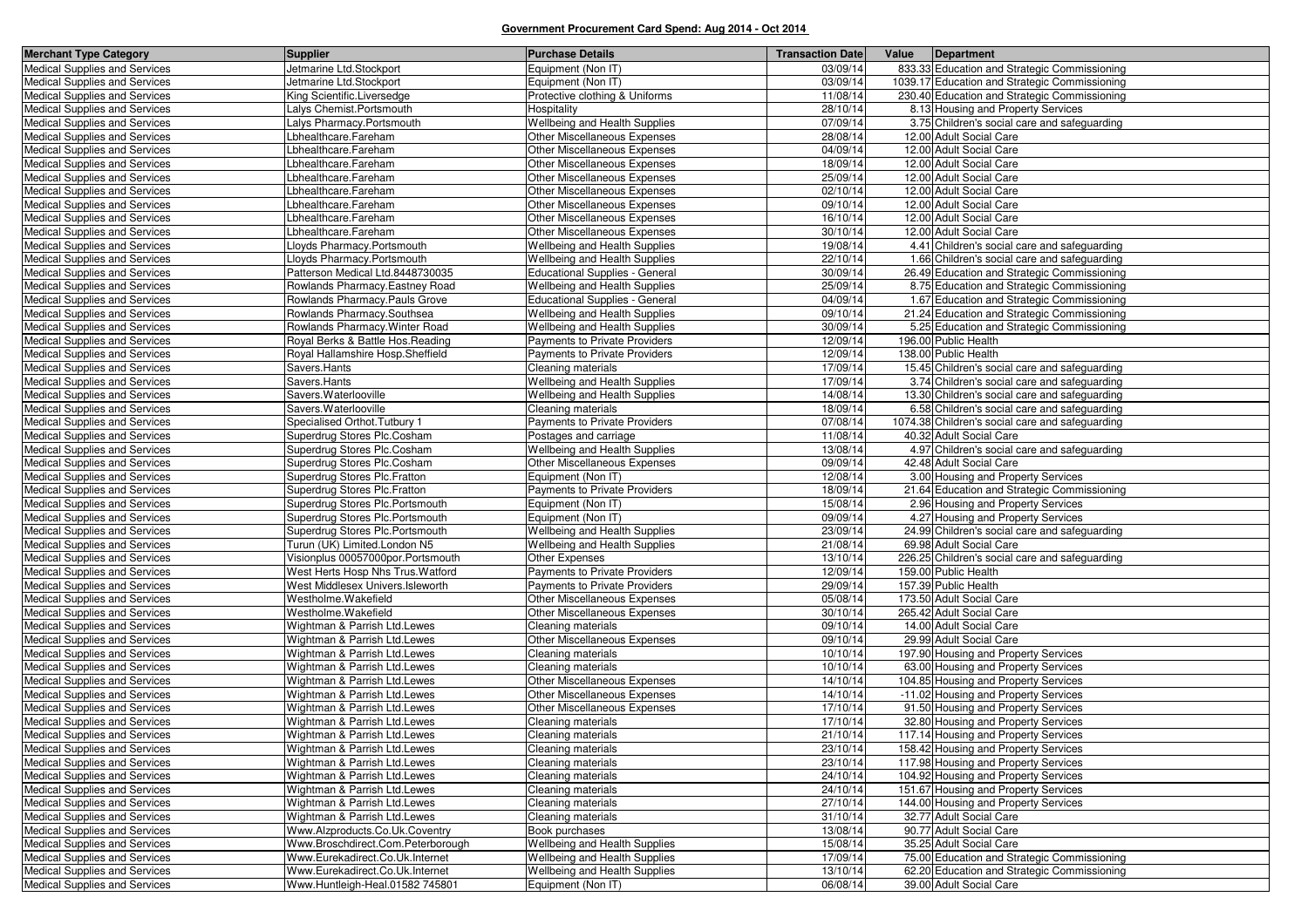| <b>Merchant Type Category</b>                                         | <b>Supplier</b>                                              | <b>Purchase Details</b>                  | <b>Transaction Date</b> | Value | Department                                                                  |
|-----------------------------------------------------------------------|--------------------------------------------------------------|------------------------------------------|-------------------------|-------|-----------------------------------------------------------------------------|
| Medical Supplies and Services                                         | Jetmarine Ltd.Stockport                                      | Equipment (Non IT)                       | 03/09/14                |       | 833.33 Education and Strategic Commissioning                                |
| Medical Supplies and Services                                         | Jetmarine Ltd.Stockport                                      | Equipment (Non IT)                       | 03/09/14                |       | 1039.17 Education and Strategic Commissioning                               |
| Medical Supplies and Services                                         | King Scientific.Liversedge                                   | Protective clothing & Uniforms           | 11/08/14                |       | 230.40 Education and Strategic Commissioning                                |
| Medical Supplies and Services                                         | Lalys Chemist.Portsmouth                                     | Hospitality                              | 28/10/14                |       | 8.13 Housing and Property Services                                          |
| Medical Supplies and Services                                         | Lalys Pharmacy.Portsmouth                                    | Wellbeing and Health Supplies            | 07/09/14                |       | 3.75 Children's social care and safeguarding                                |
| <b>Medical Supplies and Services</b>                                  | Lbhealthcare.Fareham                                         | Other Miscellaneous Expenses             | 28/08/14                |       | 12.00 Adult Social Care                                                     |
| Medical Supplies and Services                                         | Lbhealthcare.Fareham                                         | Other Miscellaneous Expenses             | 04/09/14                |       | 12.00 Adult Social Care                                                     |
| Medical Supplies and Services                                         | Lbhealthcare.Fareham                                         | Other Miscellaneous Expenses             | 18/09/14                |       | 12.00 Adult Social Care                                                     |
| Medical Supplies and Services                                         | Lbhealthcare.Fareham                                         | Other Miscellaneous Expenses             | 25/09/14                |       | 12.00 Adult Social Care                                                     |
| Medical Supplies and Services                                         | Lbhealthcare.Fareham                                         | Other Miscellaneous Expenses             | 02/10/14                |       | 12.00 Adult Social Care                                                     |
| Medical Supplies and Services                                         | Lbhealthcare.Fareham                                         | Other Miscellaneous Expenses             | 09/10/14                |       | 12.00 Adult Social Care                                                     |
| <b>Medical Supplies and Services</b>                                  | Lbhealthcare.Fareham                                         | Other Miscellaneous Expenses             | 16/10/14                |       | 12.00 Adult Social Care                                                     |
| Medical Supplies and Services                                         | Lbhealthcare.Fareham                                         | Other Miscellaneous Expenses             | 30/10/14                |       | 12.00 Adult Social Care                                                     |
| Medical Supplies and Services                                         | Lloyds Pharmacy.Portsmouth                                   | <b>Wellbeing and Health Supplies</b>     | 19/08/14                |       | 4.41 Children's social care and safeguarding                                |
| Medical Supplies and Services                                         | Lloyds Pharmacy.Portsmouth                                   | Wellbeing and Health Supplies            | 22/10/14                |       | 1.66 Children's social care and safeguarding                                |
| Medical Supplies and Services                                         | Patterson Medical Ltd.8448730035                             | <b>Educational Supplies - General</b>    | 30/09/14                |       | 26.49 Education and Strategic Commissioning                                 |
| <b>Medical Supplies and Services</b>                                  | Rowlands Pharmacy. Eastney Road                              | Wellbeing and Health Supplies            | 25/09/14                |       | 8.75 Education and Strategic Commissioning                                  |
| Medical Supplies and Services                                         | Rowlands Pharmacy. Pauls Grove                               | <b>Educational Supplies - General</b>    | 04/09/14                |       | 1.67 Education and Strategic Commissioning                                  |
| <b>Medical Supplies and Services</b>                                  | Rowlands Pharmacy.Southsea                                   | Wellbeing and Health Supplies            | 09/10/14                |       | 21.24 Education and Strategic Commissioning                                 |
| Medical Supplies and Services                                         | Rowlands Pharmacy. Winter Road                               | Wellbeing and Health Supplies            | 30/09/14                |       | 5.25 Education and Strategic Commissioning                                  |
| Medical Supplies and Services                                         | Royal Berks & Battle Hos. Reading                            | Payments to Private Providers            | 12/09/14                |       | 196.00 Public Health                                                        |
| Medical Supplies and Services                                         | Royal Hallamshire Hosp.Sheffield                             | Payments to Private Providers            | 12/09/14                |       | 138.00 Public Health                                                        |
| Medical Supplies and Services                                         | Savers.Hants                                                 | Cleaning materials                       | 17/09/14                |       | 15.45 Children's social care and safeguarding                               |
| Medical Supplies and Services                                         | Savers.Hants                                                 | Wellbeing and Health Supplies            | 17/09/14                |       | 3.74 Children's social care and safeguarding                                |
| Medical Supplies and Services                                         | Savers. Waterlooville                                        | Wellbeing and Health Supplies            | 14/08/14                |       | 13.30 Children's social care and safeguarding                               |
| Medical Supplies and Services                                         | Savers. Waterlooville                                        | Cleaning materials                       | 18/09/14                |       | 6.58 Children's social care and safeguarding                                |
| Medical Supplies and Services                                         | Specialised Orthot. Tutbury 1                                | Payments to Private Providers            | 07/08/14                |       | 1074.38 Children's social care and safeguarding                             |
| Medical Supplies and Services                                         | Superdrug Stores Plc.Cosham                                  | Postages and carriage                    | 11/08/14                |       | 40.32 Adult Social Care                                                     |
| Medical Supplies and Services                                         | Superdrug Stores Plc.Cosham                                  | Wellbeing and Health Supplies            | 13/08/14                |       | 4.97 Children's social care and safeguarding                                |
| Medical Supplies and Services                                         | Superdrug Stores Plc.Cosham                                  | Other Miscellaneous Expenses             | 09/09/14                |       | 42.48 Adult Social Care                                                     |
| Medical Supplies and Services                                         | Superdrug Stores Plc.Fratton                                 | Equipment (Non IT)                       | 12/08/14                |       | 3.00 Housing and Property Services                                          |
| Medical Supplies and Services                                         | Superdrug Stores Plc.Fratton                                 | Payments to Private Providers            | 18/09/14                |       | 21.64 Education and Strategic Commissioning                                 |
| Medical Supplies and Services                                         | Superdrug Stores Plc.Portsmouth                              | Equipment (Non IT)                       | 15/08/14                |       | 2.96 Housing and Property Services                                          |
| Medical Supplies and Services                                         | Superdrug Stores Plc.Portsmouth                              | Equipment (Non IT)                       | 09/09/14                |       | 4.27 Housing and Property Services                                          |
| Medical Supplies and Services                                         | Superdrug Stores Plc.Portsmouth                              | Wellbeing and Health Supplies            | 23/09/14                |       | 24.99 Children's social care and safeguarding                               |
| Medical Supplies and Services                                         | Turun (UK) Limited.London N5                                 | Wellbeing and Health Supplies            | 21/08/14                |       | 69.98 Adult Social Care                                                     |
| Medical Supplies and Services                                         | Visionplus 00057000por.Portsmouth                            | Other Expenses                           | 13/10/14                |       | 226.25 Children's social care and safeguarding                              |
| Medical Supplies and Services                                         | West Herts Hosp Nhs Trus. Watford                            | <b>Payments to Private Providers</b>     | 12/09/14                |       | 159.00 Public Health                                                        |
| Medical Supplies and Services                                         | West Middlesex Univers.Isleworth                             | Payments to Private Providers            | 29/09/14                |       | 157.39 Public Health                                                        |
| Medical Supplies and Services                                         | Westholme.Wakefield                                          | Other Miscellaneous Expenses             | 05/08/14                |       | 173.50 Adult Social Care                                                    |
| Medical Supplies and Services                                         | Westholme.Wakefield                                          | Other Miscellaneous Expenses             | 30/10/14                |       | 265.42 Adult Social Care                                                    |
| <b>Medical Supplies and Services</b>                                  | Wightman & Parrish Ltd.Lewes                                 | Cleaning materials                       | 09/10/14<br>09/10/14    |       | 14.00 Adult Social Care<br>29.99 Adult Social Care                          |
| <b>Medical Supplies and Services</b><br>Medical Supplies and Services | Wightman & Parrish Ltd.Lewes<br>Wightman & Parrish Ltd.Lewes | Other Miscellaneous Expenses             | 10/10/14                |       | 197.90 Housing and Property Services                                        |
|                                                                       | Wightman & Parrish Ltd.Lewes                                 | Cleaning materials<br>Cleaning materials | 10/10/14                |       |                                                                             |
| Medical Supplies and Services<br>Medical Supplies and Services        | Wightman & Parrish Ltd.Lewes                                 | Other Miscellaneous Expenses             | 14/10/14                |       | 63.00 Housing and Property Services<br>104.85 Housing and Property Services |
| Medical Supplies and Services                                         | Wightman & Parrish Ltd.Lewes                                 | Other Miscellaneous Expenses             | 14/10/14                |       | -11.02 Housing and Property Services                                        |
| Medical Supplies and Services                                         | Wightman & Parrish Ltd.Lewes                                 | Other Miscellaneous Expenses             | 17/10/14                |       | 91.50 Housing and Property Services                                         |
| Medical Supplies and Services                                         | Wightman & Parrish Ltd.Lewes                                 | Cleaning materials                       | 17/10/14                |       | 32.80 Housing and Property Services                                         |
| Medical Supplies and Services                                         | Wightman & Parrish Ltd.Lewes                                 | Cleaning materials                       | 21/10/14                |       | 117.14 Housing and Property Services                                        |
| <b>Medical Supplies and Services</b>                                  | Wightman & Parrish Ltd.Lewes                                 | Cleaning materials                       | 23/10/14                |       | 158.42 Housing and Property Services                                        |
| Medical Supplies and Services                                         | Wightman & Parrish Ltd.Lewes                                 | Cleaning materials                       | 23/10/14                |       | 117.98 Housing and Property Services                                        |
| Medical Supplies and Services                                         | Wightman & Parrish Ltd.Lewes                                 | Cleaning materials                       | 24/10/14                |       | 104.92 Housing and Property Services                                        |
| Medical Supplies and Services                                         | Wightman & Parrish Ltd.Lewes                                 | Cleaning materials                       | 24/10/14                |       | 151.67 Housing and Property Services                                        |
| Medical Supplies and Services                                         | Wightman & Parrish Ltd.Lewes                                 | Cleaning materials                       | 27/10/14                |       | 144.00 Housing and Property Services                                        |
| Medical Supplies and Services                                         | Wightman & Parrish Ltd.Lewes                                 | Cleaning materials                       | 31/10/14                |       | 32.77 Adult Social Care                                                     |
| Medical Supplies and Services                                         | Www.Alzproducts.Co.Uk.Coventry                               | Book purchases                           | 13/08/14                |       | 90.77 Adult Social Care                                                     |
| <b>Medical Supplies and Services</b>                                  | Www.Broschdirect.Com.Peterborough                            | Wellbeing and Health Supplies            | 15/08/14                |       | 35.25 Adult Social Care                                                     |
| Medical Supplies and Services                                         | Www.Eurekadirect.Co.Uk.Internet                              | Wellbeing and Health Supplies            | 17/09/14                |       | 75.00 Education and Strategic Commissioning                                 |
| <b>Medical Supplies and Services</b>                                  | Www.Eurekadirect.Co.Uk.Internet                              | Wellbeing and Health Supplies            | 13/10/14                |       | 62.20 Education and Strategic Commissioning                                 |
| Medical Supplies and Services                                         | Www.Huntleigh-Heal.01582 745801                              | Equipment (Non IT)                       | 06/08/14                |       | 39.00 Adult Social Care                                                     |
|                                                                       |                                                              |                                          |                         |       |                                                                             |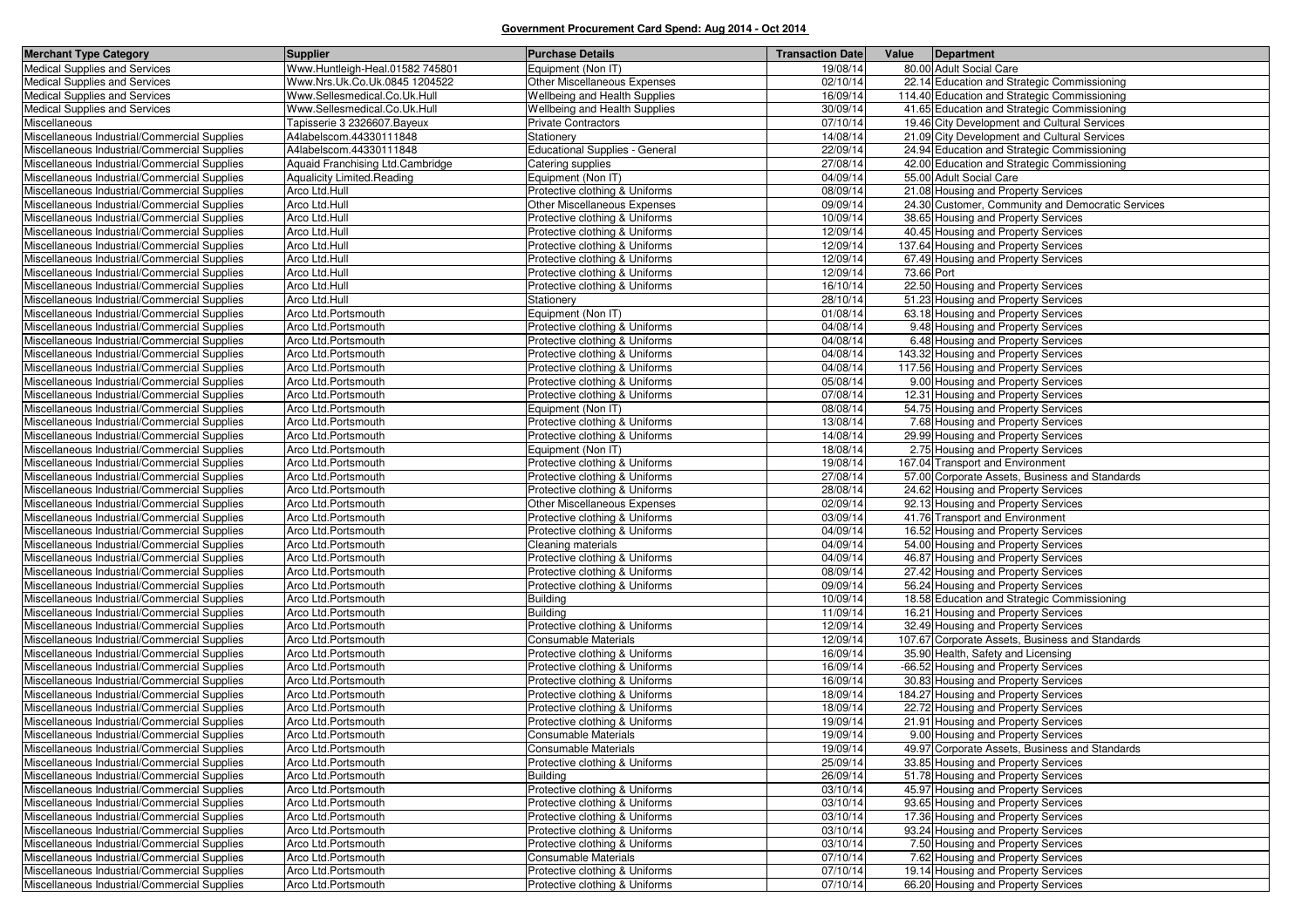| <b>Merchant Type Category</b>                                                                | <b>Supplier</b>                            | <b>Purchase Details</b>                                          | <b>Transaction Date</b> | Value      | Department                                                                 |
|----------------------------------------------------------------------------------------------|--------------------------------------------|------------------------------------------------------------------|-------------------------|------------|----------------------------------------------------------------------------|
| <b>Medical Supplies and Services</b>                                                         | Www.Huntleigh-Heal.01582 745801            | Equipment (Non IT)                                               | 19/08/14                |            | 80.00 Adult Social Care                                                    |
| Medical Supplies and Services                                                                | Www.Nrs.Uk.Co.Uk.0845 1204522              | Other Miscellaneous Expenses                                     | 02/10/14                |            | 22.14 Education and Strategic Commissioning                                |
| Medical Supplies and Services                                                                | Www.Sellesmedical.Co.Uk.Hull               | Wellbeing and Health Supplies                                    | 16/09/14                |            | 114.40 Education and Strategic Commissioning                               |
| Medical Supplies and Services                                                                | Www.Sellesmedical.Co.Uk.Hull               | Wellbeing and Health Supplies                                    | 30/09/14                |            | 41.65 Education and Strategic Commissioning                                |
| Miscellaneous                                                                                | Tapisserie 3 2326607. Bayeux               | <b>Private Contractors</b>                                       | 07/10/14                |            | 19.46 City Development and Cultural Services                               |
| Miscellaneous Industrial/Commercial Supplies                                                 | A4labelscom.44330111848                    | Stationery                                                       | 14/08/14                |            | 21.09 City Development and Cultural Services                               |
| Miscellaneous Industrial/Commercial Supplies                                                 | A4labelscom.44330111848                    | Educational Supplies - General                                   | 22/09/14                |            | 24.94 Education and Strategic Commissioning                                |
| Miscellaneous Industrial/Commercial Supplies                                                 | Aquaid Franchising Ltd.Cambridge           | Catering supplies                                                | 27/08/14                |            | 42.00 Education and Strategic Commissioning                                |
| Miscellaneous Industrial/Commercial Supplies                                                 | <b>Aqualicity Limited.Reading</b>          | Equipment (Non IT)                                               | 04/09/14                |            | 55.00 Adult Social Care                                                    |
| Miscellaneous Industrial/Commercial Supplies                                                 | Arco Ltd.Hull                              | Protective clothing & Uniforms                                   | 08/09/14                |            | 21.08 Housing and Property Services                                        |
| Miscellaneous Industrial/Commercial Supplies                                                 | Arco Ltd.Hull                              | Other Miscellaneous Expenses                                     | 09/09/14                |            | 24.30 Customer, Community and Democratic Services                          |
| Miscellaneous Industrial/Commercial Supplies                                                 | Arco Ltd.Hull                              | Protective clothing & Uniforms                                   | 10/09/14                |            | 38.65 Housing and Property Services                                        |
| Miscellaneous Industrial/Commercial Supplies                                                 | Arco Ltd.Hull                              | Protective clothing & Uniforms                                   | 12/09/14                |            | 40.45 Housing and Property Services                                        |
| Miscellaneous Industrial/Commercial Supplies                                                 | Arco Ltd.Hull                              | Protective clothing & Uniforms                                   | 12/09/14                |            | 137.64 Housing and Property Services                                       |
| Miscellaneous Industrial/Commercial Supplies                                                 | Arco Ltd.Hull                              | Protective clothing & Uniforms                                   | 12/09/14                |            | 67.49 Housing and Property Services                                        |
| Miscellaneous Industrial/Commercial Supplies                                                 | Arco Ltd.Hull                              | Protective clothing & Uniforms                                   | 12/09/14                | 73.66 Port |                                                                            |
| Miscellaneous Industrial/Commercial Supplies                                                 | Arco Ltd.Hull                              | Protective clothing & Uniforms                                   | 16/10/14                |            | 22.50 Housing and Property Services                                        |
| Miscellaneous Industrial/Commercial Supplies                                                 | Arco Ltd.Hull                              | Stationery                                                       | 28/10/14                |            | 51.23 Housing and Property Services                                        |
| Miscellaneous Industrial/Commercial Supplies                                                 | Arco Ltd.Portsmouth                        | Equipment (Non IT)                                               | 01/08/14                |            | 63.18 Housing and Property Services                                        |
| Miscellaneous Industrial/Commercial Supplies                                                 | Arco Ltd.Portsmouth                        | Protective clothing & Uniforms                                   | 04/08/14                |            | 9.48 Housing and Property Services                                         |
| Miscellaneous Industrial/Commercial Supplies                                                 | Arco Ltd.Portsmouth                        | Protective clothing & Uniforms                                   | 04/08/14                |            | 6.48 Housing and Property Services                                         |
| Miscellaneous Industrial/Commercial Supplies                                                 | Arco Ltd.Portsmouth                        | Protective clothing & Uniforms                                   | 04/08/14                |            | 143.32 Housing and Property Services                                       |
| Miscellaneous Industrial/Commercial Supplies                                                 | Arco Ltd.Portsmouth                        | Protective clothing & Uniforms                                   | 04/08/14                |            | 117.56 Housing and Property Services                                       |
| Miscellaneous Industrial/Commercial Supplies                                                 | Arco Ltd.Portsmouth                        | Protective clothing & Uniforms                                   | 05/08/14                |            | 9.00 Housing and Property Services                                         |
| Miscellaneous Industrial/Commercial Supplies                                                 | Arco Ltd.Portsmouth                        | Protective clothing & Uniforms                                   | 07/08/14                |            | 12.31 Housing and Property Services                                        |
| Miscellaneous Industrial/Commercial Supplies                                                 | Arco Ltd.Portsmouth                        | Equipment (Non IT)                                               | 08/08/14                |            | 54.75 Housing and Property Services                                        |
| Miscellaneous Industrial/Commercial Supplies                                                 | Arco Ltd.Portsmouth                        | Protective clothing & Uniforms                                   | 13/08/14                |            | 7.68 Housing and Property Services                                         |
| Miscellaneous Industrial/Commercial Supplies                                                 | Arco Ltd.Portsmouth                        | Protective clothing & Uniforms                                   | 14/08/14                |            | 29.99 Housing and Property Services                                        |
| Miscellaneous Industrial/Commercial Supplies                                                 | Arco Ltd.Portsmouth                        | Equipment (Non IT)                                               | 18/08/14                |            | 2.75 Housing and Property Services                                         |
| Miscellaneous Industrial/Commercial Supplies                                                 | Arco Ltd.Portsmouth                        | Protective clothing & Uniforms                                   | 19/08/14                |            | 167.04 Transport and Environment                                           |
| Miscellaneous Industrial/Commercial Supplies                                                 | Arco Ltd.Portsmouth                        | Protective clothing & Uniforms                                   | 27/08/14                |            | 57.00 Corporate Assets, Business and Standards                             |
| Miscellaneous Industrial/Commercial Supplies                                                 | Arco Ltd.Portsmouth                        | Protective clothing & Uniforms                                   | 28/08/14                |            | 24.62 Housing and Property Services                                        |
| Miscellaneous Industrial/Commercial Supplies                                                 | Arco Ltd.Portsmouth                        | Other Miscellaneous Expenses                                     | 02/09/14                |            | 92.13 Housing and Property Services                                        |
| Miscellaneous Industrial/Commercial Supplies                                                 | Arco Ltd.Portsmouth                        | Protective clothing & Uniforms                                   | 03/09/14                |            | 41.76 Transport and Environment                                            |
| Miscellaneous Industrial/Commercial Supplies                                                 | Arco Ltd.Portsmouth                        | Protective clothing & Uniforms                                   | 04/09/14                |            | 16.52 Housing and Property Services                                        |
| Miscellaneous Industrial/Commercial Supplies                                                 | Arco Ltd.Portsmouth                        | Cleaning materials                                               | 04/09/14                |            | 54.00 Housing and Property Services                                        |
| Miscellaneous Industrial/Commercial Supplies                                                 | Arco Ltd.Portsmouth                        | Protective clothing & Uniforms                                   | 04/09/14                |            | 46.87 Housing and Property Services                                        |
| Miscellaneous Industrial/Commercial Supplies                                                 | Arco Ltd.Portsmouth                        | Protective clothing & Uniforms                                   | 08/09/14                |            | 27.42 Housing and Property Services                                        |
| Miscellaneous Industrial/Commercial Supplies                                                 | Arco Ltd.Portsmouth                        | Protective clothing & Uniforms                                   | 09/09/14                |            | 56.24 Housing and Property Services                                        |
| Miscellaneous Industrial/Commercial Supplies                                                 | Arco Ltd.Portsmouth                        | <b>Building</b>                                                  | 10/09/14                |            | 18.58 Education and Strategic Commissioning                                |
| Miscellaneous Industrial/Commercial Supplies                                                 | Arco Ltd.Portsmouth                        | <b>Building</b>                                                  | 11/09/14                |            | 16.21 Housing and Property Services                                        |
| Miscellaneous Industrial/Commercial Supplies                                                 | Arco Ltd.Portsmouth                        | Protective clothing & Uniforms                                   | 12/09/14                |            | 32.49 Housing and Property Services                                        |
| Miscellaneous Industrial/Commercial Supplies                                                 | Arco Ltd.Portsmouth                        | <b>Consumable Materials</b>                                      | 12/09/14                |            | 107.67 Corporate Assets, Business and Standards                            |
| Miscellaneous Industrial/Commercial Supplies                                                 | Arco Ltd.Portsmouth                        | Protective clothing & Uniforms                                   | 16/09/14                |            | 35.90 Health, Safety and Licensing                                         |
| Miscellaneous Industrial/Commercial Supplies                                                 | Arco Ltd.Portsmouth                        | Protective clothing & Uniforms                                   | 16/09/14                |            | -66.52 Housing and Property Services                                       |
| Miscellaneous Industrial/Commercial Supplies                                                 | Arco Ltd.Portsmouth                        | Protective clothing & Uniforms                                   | 16/09/14                |            | 30.83 Housing and Property Services                                        |
| Miscellaneous Industrial/Commercial Supplies                                                 | Arco Ltd.Portsmouth                        | Protective clothing & Uniforms                                   | 18/09/14                |            | 184.27 Housing and Property Services                                       |
| Miscellaneous Industrial/Commercial Supplies                                                 | Arco Ltd.Portsmouth                        | Protective clothing & Uniforms                                   | 18/09/14                |            | 22.72 Housing and Property Services                                        |
| Miscellaneous Industrial/Commercial Supplies                                                 | Arco Ltd.Portsmouth                        | Protective clothing & Uniforms                                   | 19/09/14                |            | 21.91 Housing and Property Services                                        |
| Miscellaneous Industrial/Commercial Supplies                                                 | Arco Ltd.Portsmouth                        | Consumable Materials                                             | 19/09/14                |            | 9.00 Housing and Property Services                                         |
| Miscellaneous Industrial/Commercial Supplies<br>Miscellaneous Industrial/Commercial Supplies | Arco Ltd.Portsmouth<br>Arco Ltd.Portsmouth | Consumable Materials<br>Protective clothing & Uniforms           | 19/09/14<br>25/09/14    |            | 49.97 Corporate Assets, Business and Standards                             |
|                                                                                              |                                            | <b>Building</b>                                                  |                         |            | 33.85 Housing and Property Services                                        |
| Miscellaneous Industrial/Commercial Supplies                                                 | Arco Ltd.Portsmouth                        |                                                                  | 26/09/14                |            | 51.78 Housing and Property Services                                        |
| Miscellaneous Industrial/Commercial Supplies                                                 | Arco Ltd.Portsmouth                        | Protective clothing & Uniforms                                   | 03/10/14                |            | 45.97 Housing and Property Services<br>93.65 Housing and Property Services |
| Miscellaneous Industrial/Commercial Supplies                                                 | Arco Ltd.Portsmouth                        | Protective clothing & Uniforms                                   | 03/10/14<br>03/10/14    |            | 17.36 Housing and Property Services                                        |
| Miscellaneous Industrial/Commercial Supplies<br>Miscellaneous Industrial/Commercial Supplies | Arco Ltd.Portsmouth<br>Arco Ltd.Portsmouth | Protective clothing & Uniforms<br>Protective clothing & Uniforms | 03/10/14                |            | 93.24 Housing and Property Services                                        |
| Miscellaneous Industrial/Commercial Supplies                                                 | Arco Ltd.Portsmouth                        | Protective clothing & Uniforms                                   | 03/10/14                |            |                                                                            |
|                                                                                              |                                            |                                                                  |                         |            | 7.50 Housing and Property Services                                         |
| Miscellaneous Industrial/Commercial Supplies<br>Miscellaneous Industrial/Commercial Supplies | Arco Ltd.Portsmouth<br>Arco Ltd.Portsmouth | Consumable Materials<br>Protective clothing & Uniforms           | 07/10/14<br>07/10/14    |            | 7.62 Housing and Property Services<br>19.14 Housing and Property Services  |
| Miscellaneous Industrial/Commercial Supplies                                                 | Arco Ltd.Portsmouth                        | Protective clothing & Uniforms                                   | 07/10/14                |            | 66.20 Housing and Property Services                                        |
|                                                                                              |                                            |                                                                  |                         |            |                                                                            |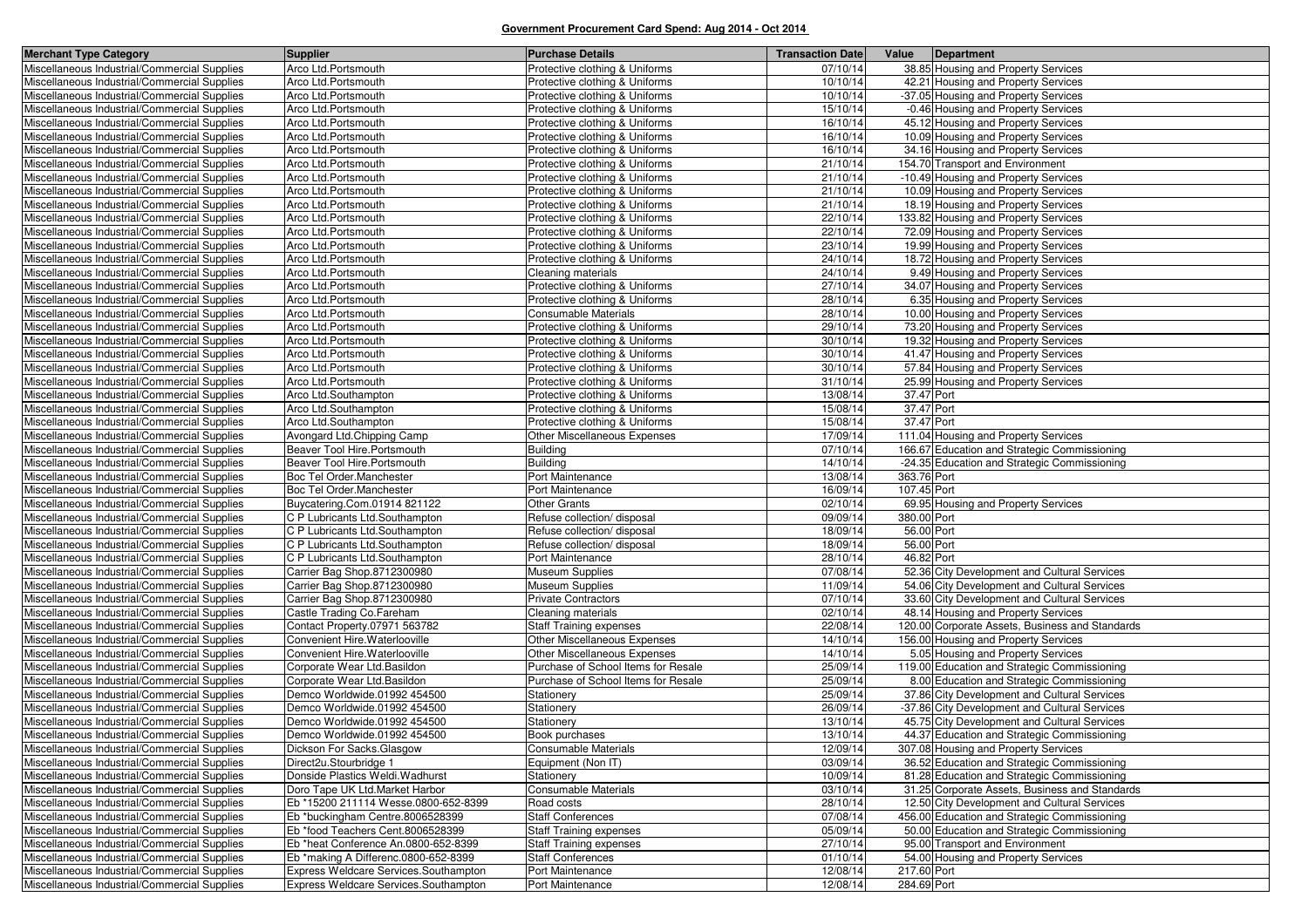| <b>Merchant Type Category</b>                | Supplier                                     | <b>Purchase Details</b>             | <b>Transaction Date</b> | Value<br>Department                             |
|----------------------------------------------|----------------------------------------------|-------------------------------------|-------------------------|-------------------------------------------------|
| Miscellaneous Industrial/Commercial Supplies | Arco Ltd.Portsmouth                          | Protective clothing & Uniforms      | 07/10/14                | 38.85 Housing and Property Services             |
| Miscellaneous Industrial/Commercial Supplies | Arco Ltd.Portsmouth                          | Protective clothing & Uniforms      | 10/10/14                | 42.21 Housing and Property Services             |
| Miscellaneous Industrial/Commercial Supplies | Arco Ltd.Portsmouth                          | Protective clothing & Uniforms      | 10/10/14                | -37.05 Housing and Property Services            |
| Miscellaneous Industrial/Commercial Supplies | Arco Ltd.Portsmouth                          | Protective clothing & Uniforms      | 15/10/14                | -0.46 Housing and Property Services             |
| Miscellaneous Industrial/Commercial Supplies | Arco Ltd.Portsmouth                          | Protective clothing & Uniforms      | 16/10/14                | 45.12 Housing and Property Services             |
| Miscellaneous Industrial/Commercial Supplies | Arco Ltd.Portsmouth                          | Protective clothing & Uniforms      | 16/10/14                | 10.09 Housing and Property Services             |
| Miscellaneous Industrial/Commercial Supplies | Arco Ltd.Portsmouth                          | Protective clothing & Uniforms      | 16/10/14                | 34.16 Housing and Property Services             |
| Miscellaneous Industrial/Commercial Supplies | Arco Ltd.Portsmouth                          | Protective clothing & Uniforms      | 21/10/14                | 154.70 Transport and Environment                |
| Miscellaneous Industrial/Commercial Supplies | Arco Ltd.Portsmouth                          | Protective clothing & Uniforms      | 21/10/14                | -10.49 Housing and Property Services            |
| Miscellaneous Industrial/Commercial Supplies | Arco Ltd.Portsmouth                          | Protective clothing & Uniforms      | 21/10/14                | 10.09 Housing and Property Services             |
| Miscellaneous Industrial/Commercial Supplies | Arco Ltd.Portsmouth                          | Protective clothing & Uniforms      | 21/10/14                | 18.19 Housing and Property Services             |
| Miscellaneous Industrial/Commercial Supplies | Arco Ltd.Portsmouth                          | Protective clothing & Uniforms      | 22/10/14                | 133.82 Housing and Property Services            |
| Miscellaneous Industrial/Commercial Supplies | Arco Ltd.Portsmouth                          | Protective clothing & Uniforms      | 22/10/14                | 72.09 Housing and Property Services             |
| Miscellaneous Industrial/Commercial Supplies | Arco Ltd.Portsmouth                          | Protective clothing & Uniforms      | 23/10/14                | 19.99 Housing and Property Services             |
| Miscellaneous Industrial/Commercial Supplies | Arco Ltd.Portsmouth                          | Protective clothing & Uniforms      | 24/10/14                | 18.72 Housing and Property Services             |
| Miscellaneous Industrial/Commercial Supplies | Arco Ltd.Portsmouth                          | <b>Cleaning materials</b>           | 24/10/14                | 9.49 Housing and Property Services              |
| Miscellaneous Industrial/Commercial Supplies | Arco Ltd.Portsmouth                          | Protective clothing & Uniforms      | 27/10/14                | 34.07 Housing and Property Services             |
| Miscellaneous Industrial/Commercial Supplies | Arco Ltd.Portsmouth                          | Protective clothing & Uniforms      | 28/10/14                | 6.35 Housing and Property Services              |
| Miscellaneous Industrial/Commercial Supplies | Arco Ltd.Portsmouth                          | Consumable Materials                | 28/10/14                | 10.00 Housing and Property Services             |
| Miscellaneous Industrial/Commercial Supplies | Arco Ltd.Portsmouth                          | Protective clothing & Uniforms      | 29/10/14                | 73.20 Housing and Property Services             |
| Miscellaneous Industrial/Commercial Supplies | Arco Ltd.Portsmouth                          | Protective clothing & Uniforms      | 30/10/14                | 19.32 Housing and Property Services             |
| Miscellaneous Industrial/Commercial Supplies | Arco Ltd.Portsmouth                          | Protective clothing & Uniforms      | 30/10/14                | 41.47 Housing and Property Services             |
| Miscellaneous Industrial/Commercial Supplies | Arco Ltd.Portsmouth                          | Protective clothing & Uniforms      | 30/10/14                | 57.84 Housing and Property Services             |
| Miscellaneous Industrial/Commercial Supplies | Arco Ltd.Portsmouth                          | Protective clothing & Uniforms      | 31/10/14                | 25.99 Housing and Property Services             |
| Miscellaneous Industrial/Commercial Supplies | Arco Ltd.Southampton                         | Protective clothing & Uniforms      | 13/08/14                | 37.47 Port                                      |
| Miscellaneous Industrial/Commercial Supplies | Arco Ltd.Southampton                         | Protective clothing & Uniforms      | 15/08/14                | 37.47 Port                                      |
| Miscellaneous Industrial/Commercial Supplies | Arco Ltd.Southampton                         | Protective clothing & Uniforms      | 15/08/14                | 37.47 Port                                      |
| Miscellaneous Industrial/Commercial Supplies | Avongard Ltd.Chipping Camp                   | <b>Other Miscellaneous Expenses</b> | 17/09/14                | 111.04 Housing and Property Services            |
| Miscellaneous Industrial/Commercial Supplies | Beaver Tool Hire.Portsmouth                  | <b>Building</b>                     | 07/10/14                | 166.67 Education and Strategic Commissioning    |
| Miscellaneous Industrial/Commercial Supplies | Beaver Tool Hire.Portsmouth                  | <b>Building</b>                     | 14/10/14                | -24.35 Education and Strategic Commissioning    |
| Miscellaneous Industrial/Commercial Supplies | Boc Tel Order.Manchester                     | Port Maintenance                    | 13/08/14                | 363.76 Port                                     |
| Miscellaneous Industrial/Commercial Supplies | Boc Tel Order. Manchester                    | Port Maintenance                    | 16/09/14                | 107.45 Port                                     |
| Miscellaneous Industrial/Commercial Supplies | Buycatering.Com.01914 821122                 | <b>Other Grants</b>                 | 02/10/14                | 69.95 Housing and Property Services             |
| Miscellaneous Industrial/Commercial Supplies | C P Lubricants Ltd.Southampton               | Refuse collection/ disposal         | 09/09/14                | 380.00 Port                                     |
| Miscellaneous Industrial/Commercial Supplies | C P Lubricants Ltd.Southampton               | Refuse collection/ disposal         | 18/09/14                | 56.00 Port                                      |
| Miscellaneous Industrial/Commercial Supplies | C P Lubricants Ltd.Southampton               | Refuse collection/ disposal         | 18/09/14                | 56.00 Port                                      |
| Miscellaneous Industrial/Commercial Supplies | C P Lubricants Ltd.Southampton               | Port Maintenance                    | 28/10/14                | 46.82 Port                                      |
| Miscellaneous Industrial/Commercial Supplies | Carrier Bag Shop.8712300980                  | <b>Museum Supplies</b>              | 07/08/14                | 52.36 City Development and Cultural Services    |
| Miscellaneous Industrial/Commercial Supplies | Carrier Bag Shop.8712300980                  | <b>Museum Supplies</b>              | 11/09/14                | 54.06 City Development and Cultural Services    |
| Miscellaneous Industrial/Commercial Supplies | Carrier Bag Shop.8712300980                  | <b>Private Contractors</b>          | 07/10/14                | 33.60 City Development and Cultural Services    |
| Miscellaneous Industrial/Commercial Supplies | Castle Trading Co.Fareham                    | <b>Cleaning materials</b>           | 02/10/14                | 48.14 Housing and Property Services             |
| Miscellaneous Industrial/Commercial Supplies | Contact Property.07971 563782                | <b>Staff Training expenses</b>      | 22/08/14                | 120.00 Corporate Assets, Business and Standards |
| Miscellaneous Industrial/Commercial Supplies | Convenient Hire.Waterlooville                | Other Miscellaneous Expenses        | 14/10/14                | 156.00 Housing and Property Services            |
| Miscellaneous Industrial/Commercial Supplies | Convenient Hire. Waterlooville               | Other Miscellaneous Expenses        | 14/10/14                | 5.05 Housing and Property Services              |
| Miscellaneous Industrial/Commercial Supplies | Corporate Wear Ltd.Basildon                  | Purchase of School Items for Resale | 25/09/14                | 119.00 Education and Strategic Commissioning    |
| Miscellaneous Industrial/Commercial Supplies | Corporate Wear Ltd.Basildon                  | Purchase of School Items for Resale | 25/09/14                | 8.00 Education and Strategic Commissioning      |
| Miscellaneous Industrial/Commercial Supplies | Demco Worldwide.01992 454500                 | Stationery                          | 25/09/14                | 37.86 City Development and Cultural Services    |
| Miscellaneous Industrial/Commercial Supplies | Demco Worldwide.01992 454500                 | Stationery                          | 26/09/14                | -37.86 City Development and Cultural Services   |
| Miscellaneous Industrial/Commercial Supplies | Demco Worldwide.01992 454500                 | Stationery                          | 13/10/14                | 45.75 City Development and Cultural Services    |
| Miscellaneous Industrial/Commercial Supplies | Demco Worldwide.01992 454500                 | <b>Book purchases</b>               | 13/10/14                | 44.37 Education and Strategic Commissioning     |
| Miscellaneous Industrial/Commercial Supplies | Dickson For Sacks. Glasgow                   | Consumable Materials                | 12/09/14                | 307.08 Housing and Property Services            |
| Miscellaneous Industrial/Commercial Supplies | Direct2u.Stourbridge 1                       | Equipment (Non IT)                  | 03/09/14                | 36.52 Education and Strategic Commissioning     |
| Miscellaneous Industrial/Commercial Supplies | Donside Plastics Weldi. Wadhurst             | Stationery                          | 10/09/14                | 81.28 Education and Strategic Commissioning     |
| Miscellaneous Industrial/Commercial Supplies | Doro Tape UK Ltd.Market Harbor               | Consumable Materials                | 03/10/14                | 31.25 Corporate Assets, Business and Standards  |
| Miscellaneous Industrial/Commercial Supplies | Eb *15200 211114 Wesse.0800-652-8399         | Road costs                          | 28/10/14                | 12.50 City Development and Cultural Services    |
| Miscellaneous Industrial/Commercial Supplies | Eb *buckingham Centre.8006528399             | <b>Staff Conferences</b>            | 07/08/14                | 456.00 Education and Strategic Commissioning    |
| Miscellaneous Industrial/Commercial Supplies | Eb *food Teachers Cent.8006528399            | <b>Staff Training expenses</b>      | 05/09/14                | 50.00 Education and Strategic Commissioning     |
| Miscellaneous Industrial/Commercial Supplies | Eb *heat Conference An.0800-652-8399         | <b>Staff Training expenses</b>      | 27/10/14                | 95.00 Transport and Environment                 |
| Miscellaneous Industrial/Commercial Supplies | Eb *making A Differenc.0800-652-8399         | <b>Staff Conferences</b>            | 01/10/14                | 54.00 Housing and Property Services             |
| Miscellaneous Industrial/Commercial Supplies | Express Weldcare Services.Southampton        | Port Maintenance                    | 12/08/14                | 217.60 Port                                     |
| Miscellaneous Industrial/Commercial Supplies | <b>Express Weldcare Services.Southampton</b> | Port Maintenance                    | 12/08/14                | 284.69 Port                                     |
|                                              |                                              |                                     |                         |                                                 |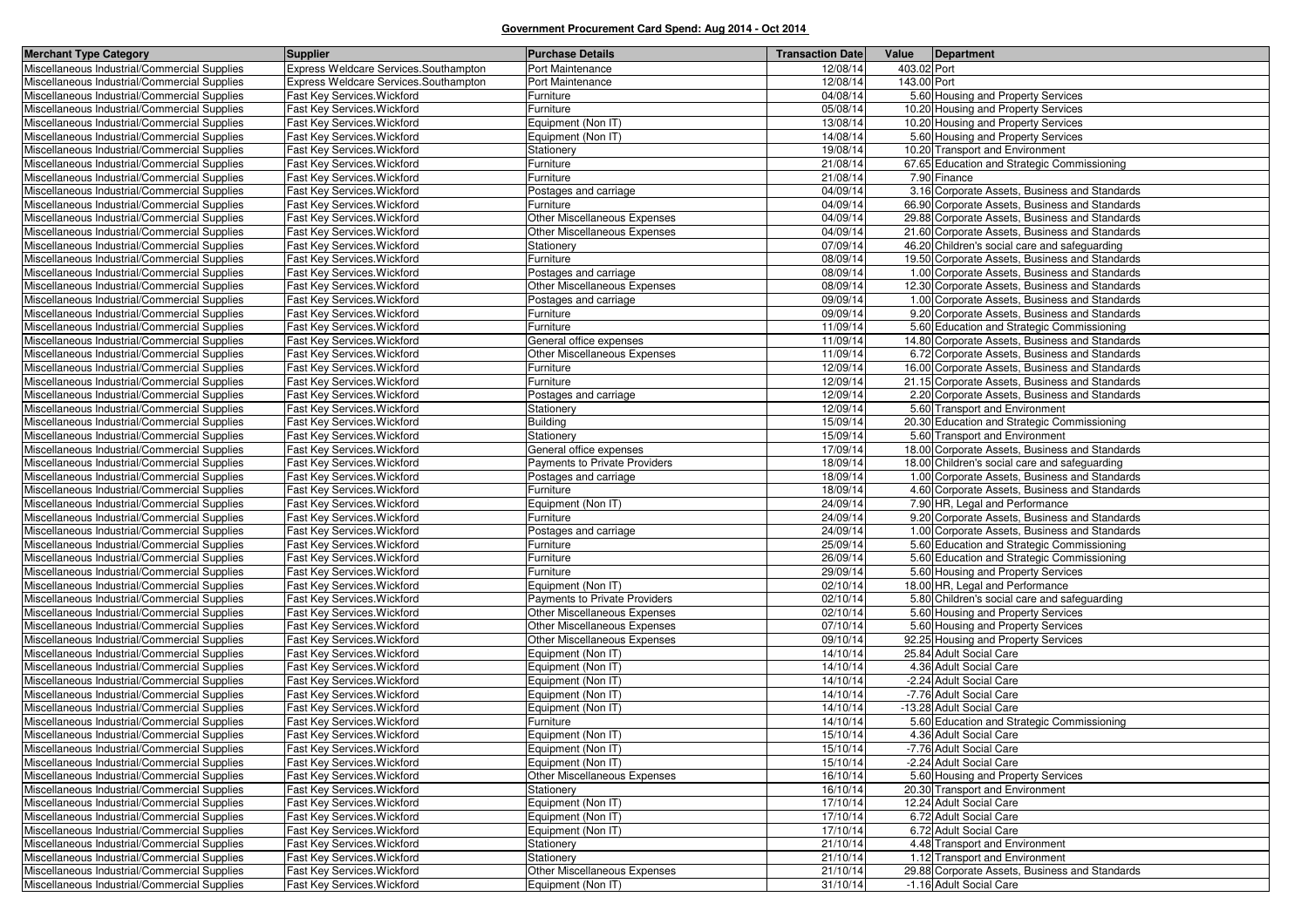| <b>Merchant Type Category</b>                | Supplier                              | <b>Purchase Details</b>              | <b>Transaction Date</b> | Value<br>Department                            |
|----------------------------------------------|---------------------------------------|--------------------------------------|-------------------------|------------------------------------------------|
| Miscellaneous Industrial/Commercial Supplies | Express Weldcare Services.Southampton | Port Maintenance                     | 12/08/14                | 403.02 Port                                    |
| Miscellaneous Industrial/Commercial Supplies | Express Weldcare Services.Southampton | Port Maintenance                     | 12/08/14                | 143.00 Port                                    |
| Miscellaneous Industrial/Commercial Supplies | Fast Key Services. Wickford           | Furniture                            | 04/08/14                | 5.60 Housing and Property Services             |
| Miscellaneous Industrial/Commercial Supplies | Fast Key Services. Wickford           | Furniture                            | 05/08/14                | 10.20 Housing and Property Services            |
| Miscellaneous Industrial/Commercial Supplies | Fast Key Services. Wickford           | Equipment (Non IT)                   | 13/08/14                | 10.20 Housing and Property Services            |
| Miscellaneous Industrial/Commercial Supplies | Fast Key Services. Wickford           | Equipment (Non IT)                   | 14/08/14                | 5.60 Housing and Property Services             |
| Miscellaneous Industrial/Commercial Supplies | Fast Key Services. Wickford           | Stationery                           | 19/08/14                | 10.20 Transport and Environment                |
| Miscellaneous Industrial/Commercial Supplies | Fast Key Services. Wickford           | Furniture                            | 21/08/14                | 67.65 Education and Strategic Commissioning    |
| Miscellaneous Industrial/Commercial Supplies | Fast Key Services. Wickford           | Furniture                            | 21/08/14                | 7.90 Finance                                   |
| Miscellaneous Industrial/Commercial Supplies | Fast Key Services. Wickford           | Postages and carriage                | 04/09/14                | 3.16 Corporate Assets, Business and Standards  |
| Miscellaneous Industrial/Commercial Supplies | Fast Key Services. Wickford           | Furniture                            | 04/09/14                | 66.90 Corporate Assets, Business and Standards |
| Miscellaneous Industrial/Commercial Supplies | Fast Kev Services. Wickford           | Other Miscellaneous Expenses         | 04/09/14                | 29.88 Corporate Assets, Business and Standards |
| Miscellaneous Industrial/Commercial Supplies | Fast Key Services. Wickford           | Other Miscellaneous Expenses         | 04/09/14                | 21.60 Corporate Assets, Business and Standards |
| Miscellaneous Industrial/Commercial Supplies | Fast Key Services. Wickford           | Stationery                           | 07/09/14                | 46.20 Children's social care and safeguarding  |
| Miscellaneous Industrial/Commercial Supplies | Fast Key Services. Wickford           | Furniture                            | 08/09/14                | 19.50 Corporate Assets, Business and Standards |
| Miscellaneous Industrial/Commercial Supplies | Fast Key Services. Wickford           | Postages and carriage                | 08/09/14                | 1.00 Corporate Assets, Business and Standards  |
| Miscellaneous Industrial/Commercial Supplies | Fast Key Services. Wickford           | <b>Other Miscellaneous Expenses</b>  | 08/09/14                | 12.30 Corporate Assets, Business and Standards |
| Miscellaneous Industrial/Commercial Supplies | Fast Key Services. Wickford           | Postages and carriage                | 09/09/14                | 1.00 Corporate Assets, Business and Standards  |
| Miscellaneous Industrial/Commercial Supplies | Fast Key Services. Wickford           | <sup>=</sup> urniture                | 09/09/14                | 9.20 Corporate Assets, Business and Standards  |
| Miscellaneous Industrial/Commercial Supplies | Fast Key Services. Wickford           | Furniture                            | 11/09/14                | 5.60 Education and Strategic Commissioning     |
| Miscellaneous Industrial/Commercial Supplies | Fast Key Services. Wickford           | General office expenses              | 11/09/14                | 14.80 Corporate Assets, Business and Standards |
| Miscellaneous Industrial/Commercial Supplies | Fast Key Services. Wickford           | Other Miscellaneous Expenses         | 11/09/14                | 6.72 Corporate Assets, Business and Standards  |
| Miscellaneous Industrial/Commercial Supplies | Fast Kev Services. Wickford           | Furniture                            | 12/09/14                | 16.00 Corporate Assets, Business and Standards |
| Miscellaneous Industrial/Commercial Supplies | Fast Key Services. Wickford           | Furniture                            | 12/09/14                | 21.15 Corporate Assets, Business and Standards |
| Miscellaneous Industrial/Commercial Supplies | Fast Key Services. Wickford           | Postages and carriage                | 12/09/14                | 2.20 Corporate Assets, Business and Standards  |
| Miscellaneous Industrial/Commercial Supplies | Fast Key Services. Wickford           | Stationery                           | 12/09/14                | 5.60 Transport and Environment                 |
| Miscellaneous Industrial/Commercial Supplies | Fast Key Services. Wickford           | Building                             | 15/09/14                | 20.30 Education and Strategic Commissioning    |
| Miscellaneous Industrial/Commercial Supplies | Fast Key Services. Wickford           | Stationery                           | 15/09/14                | 5.60 Transport and Environment                 |
| Miscellaneous Industrial/Commercial Supplies | Fast Key Services. Wickford           | General office expenses              | 17/09/14                | 18.00 Corporate Assets, Business and Standards |
| Miscellaneous Industrial/Commercial Supplies | Fast Key Services. Wickford           | Payments to Private Providers        | 18/09/14                | 18.00 Children's social care and safeguarding  |
| Miscellaneous Industrial/Commercial Supplies | Fast Key Services. Wickford           | Postages and carriage                | 18/09/14                | 1.00 Corporate Assets, Business and Standards  |
| Miscellaneous Industrial/Commercial Supplies | Fast Key Services. Wickford           | Furniture                            | 18/09/14                | 4.60 Corporate Assets, Business and Standards  |
| Miscellaneous Industrial/Commercial Supplies | Fast Key Services. Wickford           | Equipment (Non IT)                   | 24/09/14                | 7.90 HR, Legal and Performance                 |
| Miscellaneous Industrial/Commercial Supplies | Fast Key Services. Wickford           | Furniture                            | 24/09/14                | 9.20 Corporate Assets, Business and Standards  |
| Miscellaneous Industrial/Commercial Supplies | Fast Key Services. Wickford           | Postages and carriage                | 24/09/14                | 1.00 Corporate Assets, Business and Standards  |
| Miscellaneous Industrial/Commercial Supplies | Fast Key Services. Wickford           | Furniture                            | 25/09/14                | 5.60 Education and Strategic Commissioning     |
| Miscellaneous Industrial/Commercial Supplies | Fast Key Services. Wickford           | Furniture                            | 26/09/14                | 5.60 Education and Strategic Commissioning     |
| Miscellaneous Industrial/Commercial Supplies | Fast Key Services. Wickford           | Furniture                            | 29/09/14                | 5.60 Housing and Property Services             |
| Miscellaneous Industrial/Commercial Supplies | Fast Key Services. Wickford           | Equipment (Non IT)                   | 02/10/14                | 18.00 HR, Legal and Performance                |
| Miscellaneous Industrial/Commercial Supplies | Fast Key Services. Wickford           | <b>Payments to Private Providers</b> | 02/10/14                | 5.80 Children's social care and safeguarding   |
| Miscellaneous Industrial/Commercial Supplies | Fast Key Services. Wickford           | <b>Other Miscellaneous Expenses</b>  | 02/10/14                | 5.60 Housing and Property Services             |
| Miscellaneous Industrial/Commercial Supplies | Fast Key Services. Wickford           | Other Miscellaneous Expenses         | 07/10/14                | 5.60 Housing and Property Services             |
| Miscellaneous Industrial/Commercial Supplies | Fast Key Services. Wickford           | Other Miscellaneous Expenses         | 09/10/14                | 92.25 Housing and Property Services            |
| Miscellaneous Industrial/Commercial Supplies | Fast Key Services. Wickford           | Equipment (Non IT)                   | 14/10/14                | 25.84 Adult Social Care                        |
| Miscellaneous Industrial/Commercial Supplies | Fast Key Services. Wickford           | Equipment (Non IT)                   | 14/10/14                | 4.36 Adult Social Care                         |
| Miscellaneous Industrial/Commercial Supplies | Fast Key Services. Wickford           | Equipment (Non IT)                   | 14/10/14                | -2.24 Adult Social Care                        |
| Miscellaneous Industrial/Commercial Supplies | Fast Key Services. Wickford           | Equipment (Non IT)                   | 14/10/14                | -7.76 Adult Social Care                        |
| Miscellaneous Industrial/Commercial Supplies | Fast Key Services. Wickford           | Equipment (Non IT)                   | 14/10/14                | -13.28 Adult Social Care                       |
| Miscellaneous Industrial/Commercial Supplies | Fast Key Services. Wickford           | Furniture                            | 14/10/14                | 5.60 Education and Strategic Commissioning     |
| Miscellaneous Industrial/Commercial Supplies | Fast Key Services. Wickford           | Equipment (Non IT)                   | 15/10/14                | 4.36 Adult Social Care                         |
| Miscellaneous Industrial/Commercial Supplies | Fast Key Services. Wickford           | Equipment (Non IT)                   | 15/10/14                | -7.76 Adult Social Care                        |
| Miscellaneous Industrial/Commercial Supplies | Fast Key Services. Wickford           | Equipment (Non IT)                   | 15/10/14                | -2.24 Adult Social Care                        |
| Miscellaneous Industrial/Commercial Supplies | Fast Key Services. Wickford           | Other Miscellaneous Expenses         | 16/10/14                | 5.60 Housing and Property Services             |
| Miscellaneous Industrial/Commercial Supplies | Fast Key Services. Wickford           | Stationery                           | 16/10/14                | 20.30 Transport and Environment                |
| Miscellaneous Industrial/Commercial Supplies | Fast Key Services. Wickford           | Equipment (Non IT)                   | 17/10/14                | 12.24 Adult Social Care                        |
| Miscellaneous Industrial/Commercial Supplies | Fast Key Services. Wickford           | Equipment (Non IT)                   | 17/10/14                | 6.72 Adult Social Care                         |
| Miscellaneous Industrial/Commercial Supplies | Fast Key Services. Wickford           | Equipment (Non IT)                   | 17/10/14                | 6.72 Adult Social Care                         |
| Miscellaneous Industrial/Commercial Supplies | Fast Key Services. Wickford           | Stationery                           | 21/10/14                | 4.48 Transport and Environment                 |
| Miscellaneous Industrial/Commercial Supplies | Fast Key Services. Wickford           | Stationery                           | 21/10/14                | 1.12 Transport and Environment                 |
| Miscellaneous Industrial/Commercial Supplies | Fast Key Services. Wickford           | <b>Other Miscellaneous Expenses</b>  | 21/10/14                | 29.88 Corporate Assets, Business and Standards |
| Miscellaneous Industrial/Commercial Supplies | Fast Key Services. Wickford           | Equipment (Non IT)                   | 31/10/14                | -1.16 Adult Social Care                        |
|                                              |                                       |                                      |                         |                                                |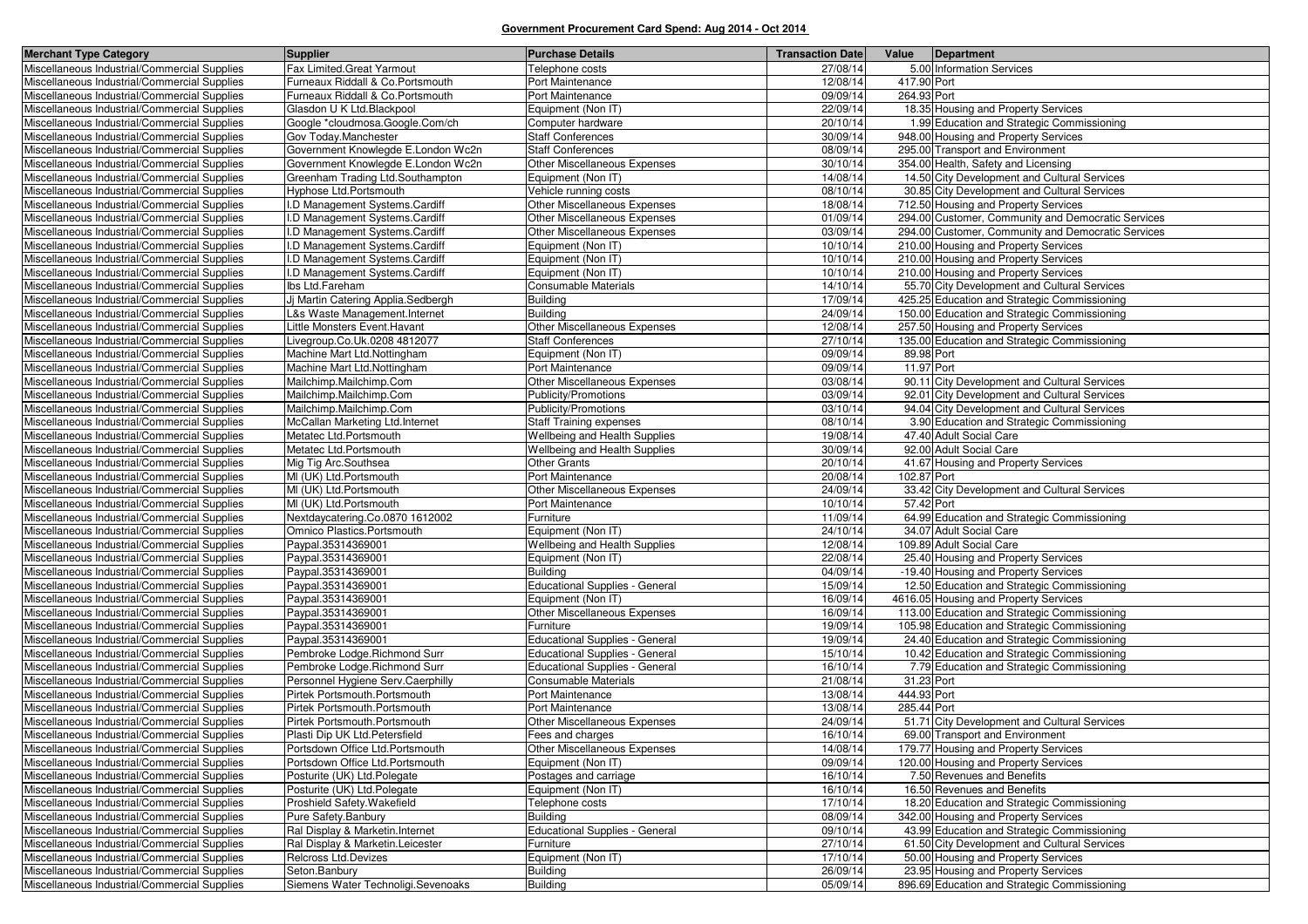| <b>Merchant Type Category</b>                                                                | Supplier                                                          | <b>Purchase Details</b>                                                        | <b>Transaction Date</b> | Value       | Department                                                                                |
|----------------------------------------------------------------------------------------------|-------------------------------------------------------------------|--------------------------------------------------------------------------------|-------------------------|-------------|-------------------------------------------------------------------------------------------|
| Miscellaneous Industrial/Commercial Supplies                                                 | Fax Limited.Great Yarmout                                         | Telephone costs                                                                | 27/08/14                |             | 5.00 Information Services                                                                 |
| Miscellaneous Industrial/Commercial Supplies                                                 | Furneaux Riddall & Co.Portsmouth                                  | Port Maintenance                                                               | 12/08/14                | 417.90 Port |                                                                                           |
| Miscellaneous Industrial/Commercial Supplies                                                 | Furneaux Riddall & Co.Portsmouth                                  | Port Maintenance                                                               | 09/09/14                | 264.93 Port |                                                                                           |
| Miscellaneous Industrial/Commercial Supplies                                                 | Glasdon U K Ltd.Blackpool                                         | Equipment (Non IT)                                                             | 22/09/14                |             | 18.35 Housing and Property Services                                                       |
| Miscellaneous Industrial/Commercial Supplies                                                 | Google *cloudmosa.Google.Com/ch                                   | Computer hardware                                                              | 20/10/14                |             | 1.99 Education and Strategic Commissioning                                                |
| Miscellaneous Industrial/Commercial Supplies                                                 | Gov Today.Manchester                                              | <b>Staff Conferences</b>                                                       | 30/09/14                |             | 948.00 Housing and Property Services                                                      |
| Miscellaneous Industrial/Commercial Supplies                                                 | Government Knowlegde E.London Wc2n                                | <b>Staff Conferences</b>                                                       | 08/09/14                |             | 295.00 Transport and Environment                                                          |
| Miscellaneous Industrial/Commercial Supplies                                                 | Government Knowlegde E.London Wc2n                                | Other Miscellaneous Expenses                                                   | 30/10/14                |             | 354.00 Health, Safety and Licensing                                                       |
| Miscellaneous Industrial/Commercial Supplies                                                 | Greenham Trading Ltd.Southampton                                  | Equipment (Non IT)                                                             | 14/08/14                |             | 14.50 City Development and Cultural Services                                              |
| Miscellaneous Industrial/Commercial Supplies                                                 | Hyphose Ltd.Portsmouth                                            | Vehicle running costs                                                          | 08/10/14                |             | 30.85 City Development and Cultural Services                                              |
| Miscellaneous Industrial/Commercial Supplies                                                 | I.D Management Systems.Cardiff                                    | <b>Other Miscellaneous Expenses</b>                                            | 18/08/14                |             | 712.50 Housing and Property Services                                                      |
| Miscellaneous Industrial/Commercial Supplies                                                 | I.D Management Systems.Cardiff                                    | Other Miscellaneous Expenses                                                   | 01/09/14                |             | 294.00 Customer, Community and Democratic Services                                        |
| Miscellaneous Industrial/Commercial Supplies                                                 | I.D Management Systems.Cardiff                                    | <b>Other Miscellaneous Expenses</b>                                            | 03/09/14                |             | 294.00 Customer, Community and Democratic Services                                        |
| Miscellaneous Industrial/Commercial Supplies                                                 | I.D Management Systems.Cardiff                                    | Equipment (Non IT)                                                             | 10/10/14                |             | 210.00 Housing and Property Services                                                      |
| Miscellaneous Industrial/Commercial Supplies                                                 | I.D Management Systems.Cardiff                                    | Equipment (Non IT)                                                             | 10/10/14                |             | 210.00 Housing and Property Services                                                      |
| Miscellaneous Industrial/Commercial Supplies                                                 | I.D Management Systems.Cardiff                                    | Equipment (Non IT)                                                             | 10/10/14                |             | 210.00 Housing and Property Services                                                      |
| Miscellaneous Industrial/Commercial Supplies                                                 | Ibs Ltd.Fareham                                                   | Consumable Materials                                                           | 14/10/14                |             | 55.70 City Development and Cultural Services                                              |
| Miscellaneous Industrial/Commercial Supplies                                                 | Jj Martin Catering Applia.Sedbergh                                | <b>Building</b>                                                                | 17/09/14                |             | 425.25 Education and Strategic Commissioning                                              |
| Miscellaneous Industrial/Commercial Supplies                                                 | L&s Waste Management. Internet                                    | <b>Building</b>                                                                | 24/09/14                |             | 150.00 Education and Strategic Commissioning                                              |
| Miscellaneous Industrial/Commercial Supplies                                                 | Little Monsters Event. Havant                                     | <b>Other Miscellaneous Expenses</b>                                            | 12/08/14                |             | 257.50 Housing and Property Services                                                      |
| Miscellaneous Industrial/Commercial Supplies                                                 | Livegroup.Co.Uk.0208 4812077                                      | <b>Staff Conferences</b>                                                       | 27/10/14                |             | 135.00 Education and Strategic Commissioning                                              |
| Miscellaneous Industrial/Commercial Supplies                                                 | Machine Mart Ltd.Nottingham                                       | Equipment (Non IT)                                                             | 09/09/14                | 89.98 Port  |                                                                                           |
| Miscellaneous Industrial/Commercial Supplies                                                 | Machine Mart Ltd.Nottingham                                       | Port Maintenance                                                               | 09/09/14                | 11.97 Port  |                                                                                           |
| Miscellaneous Industrial/Commercial Supplies                                                 | Mailchimp.Mailchimp.Com                                           | <b>Other Miscellaneous Expenses</b>                                            | 03/08/14                |             | 90.11 City Development and Cultural Services                                              |
| Miscellaneous Industrial/Commercial Supplies                                                 | Mailchimp.Mailchimp.Com                                           | Publicity/Promotions                                                           | 03/09/14                |             | 92.01 City Development and Cultural Services                                              |
| Miscellaneous Industrial/Commercial Supplies                                                 | Mailchimp.Mailchimp.Com                                           | Publicity/Promotions                                                           | 03/10/14                |             | 94.04 City Development and Cultural Services                                              |
| Miscellaneous Industrial/Commercial Supplies                                                 | McCallan Marketing Ltd. Internet                                  | <b>Staff Training expenses</b>                                                 | 08/10/14                |             | 3.90 Education and Strategic Commissioning                                                |
| Miscellaneous Industrial/Commercial Supplies                                                 | Metatec Ltd.Portsmouth                                            | Wellbeing and Health Supplies                                                  | 19/08/14                |             | 47.40 Adult Social Care                                                                   |
| Miscellaneous Industrial/Commercial Supplies                                                 | Metatec Ltd.Portsmouth                                            | Wellbeing and Health Supplies                                                  | 30/09/14                |             | 92.00 Adult Social Care                                                                   |
| Miscellaneous Industrial/Commercial Supplies                                                 | Mig Tig Arc.Southsea                                              | <b>Other Grants</b>                                                            | 20/10/14                |             | 41.67 Housing and Property Services                                                       |
| Miscellaneous Industrial/Commercial Supplies                                                 | MI (UK) Ltd.Portsmouth                                            | Port Maintenance                                                               | 20/08/14                | 102.87 Port |                                                                                           |
| Miscellaneous Industrial/Commercial Supplies                                                 | MI (UK) Ltd.Portsmouth                                            | Other Miscellaneous Expenses                                                   | 24/09/14                |             | 33.42 City Development and Cultural Services                                              |
| Miscellaneous Industrial/Commercial Supplies                                                 | MI (UK) Ltd.Portsmouth                                            | Port Maintenance                                                               | 10/10/14                | 57.42 Port  |                                                                                           |
| Miscellaneous Industrial/Commercial Supplies                                                 | Nextdaycatering.Co.0870 1612002                                   | Furniture                                                                      | 11/09/14                |             | 64.99 Education and Strategic Commissioning                                               |
| Miscellaneous Industrial/Commercial Supplies                                                 | Omnico Plastics.Portsmouth                                        | Equipment (Non IT)                                                             | 24/10/14                |             | 34.07 Adult Social Care                                                                   |
| Miscellaneous Industrial/Commercial Supplies                                                 | Paypal.35314369001                                                | Wellbeing and Health Supplies                                                  | 12/08/14                |             | 109.89 Adult Social Care                                                                  |
| Miscellaneous Industrial/Commercial Supplies                                                 | Paypal.35314369001                                                | Equipment (Non IT)                                                             | 22/08/14                |             | 25.40 Housing and Property Services                                                       |
| Miscellaneous Industrial/Commercial Supplies                                                 | Paypal.35314369001                                                | Building                                                                       | 04/09/14                |             | -19.40 Housing and Property Services                                                      |
| Miscellaneous Industrial/Commercial Supplies                                                 | Paypal.35314369001                                                | <b>Educational Supplies - General</b>                                          | 15/09/14                |             | 12.50 Education and Strategic Commissioning                                               |
| Miscellaneous Industrial/Commercial Supplies                                                 | Paypal.35314369001                                                | Equipment (Non IT)                                                             | 16/09/14                |             | 4616.05 Housing and Property Services                                                     |
| Miscellaneous Industrial/Commercial Supplies                                                 | Paypal.35314369001                                                | Other Miscellaneous Expenses                                                   | 16/09/14                |             | 113.00 Education and Strategic Commissioning                                              |
| Miscellaneous Industrial/Commercial Supplies                                                 | Paypal.35314369001                                                | Furniture                                                                      | 19/09/14                |             | 105.98 Education and Strategic Commissioning                                              |
| Miscellaneous Industrial/Commercial Supplies                                                 | Paypal.35314369001<br>Pembroke Lodge.Richmond Surr                | <b>Educational Supplies - General</b>                                          | 19/09/14<br>15/10/14    |             | 24.40 Education and Strategic Commissioning                                               |
| Miscellaneous Industrial/Commercial Supplies<br>Miscellaneous Industrial/Commercial Supplies |                                                                   | <b>Educational Supplies - General</b><br><b>Educational Supplies - General</b> | 16/10/14                |             | 10.42 Education and Strategic Commissioning<br>7.79 Education and Strategic Commissioning |
|                                                                                              | Pembroke Lodge.Richmond Surr<br>Personnel Hygiene Serv.Caerphilly |                                                                                | 21/08/14                | 31.23 Port  |                                                                                           |
| Miscellaneous Industrial/Commercial Supplies<br>Miscellaneous Industrial/Commercial Supplies | Pirtek Portsmouth.Portsmouth                                      | Consumable Materials<br>Port Maintenance                                       | 13/08/14                | 444.93 Port |                                                                                           |
| Miscellaneous Industrial/Commercial Supplies                                                 |                                                                   |                                                                                | 13/08/14                | 285.44 Port |                                                                                           |
| Miscellaneous Industrial/Commercial Supplies                                                 | Pirtek Portsmouth.Portsmouth<br>Pirtek Portsmouth.Portsmouth      | Port Maintenance<br>Other Miscellaneous Expenses                               | 24/09/14                |             | 51.71 City Development and Cultural Services                                              |
| Miscellaneous Industrial/Commercial Supplies                                                 | Plasti Dip UK Ltd.Petersfield                                     | Fees and charges                                                               | 16/10/14                |             | 69.00 Transport and Environment                                                           |
|                                                                                              | Portsdown Office Ltd. Portsmouth                                  | Other Miscellaneous Expenses                                                   | 14/08/14                |             | 179.77 Housing and Property Services                                                      |
| Miscellaneous Industrial/Commercial Supplies<br>Miscellaneous Industrial/Commercial Supplies | Portsdown Office Ltd.Portsmouth                                   | Equipment (Non IT)                                                             | 09/09/14                |             | 120.00 Housing and Property Services                                                      |
| Miscellaneous Industrial/Commercial Supplies                                                 | Posturite (UK) Ltd.Polegate                                       | Postages and carriage                                                          | 16/10/14                |             | 7.50 Revenues and Benefits                                                                |
| Miscellaneous Industrial/Commercial Supplies                                                 | Posturite (UK) Ltd.Polegate                                       | Equipment (Non IT)                                                             | 16/10/14                |             | 16.50 Revenues and Benefits                                                               |
| Miscellaneous Industrial/Commercial Supplies                                                 | Proshield Safety. Wakefield                                       | Telephone costs                                                                | 17/10/14                |             | 18.20 Education and Strategic Commissioning                                               |
| Miscellaneous Industrial/Commercial Supplies                                                 | Pure Safety.Banbury                                               | <b>Building</b>                                                                | 08/09/14                |             | 342.00 Housing and Property Services                                                      |
| Miscellaneous Industrial/Commercial Supplies                                                 | Ral Display & Marketin. Internet                                  | <b>Educational Supplies - General</b>                                          | 09/10/14                |             | 43.99 Education and Strategic Commissioning                                               |
| Miscellaneous Industrial/Commercial Supplies                                                 | Ral Display & Marketin.Leicester                                  | Furniture                                                                      | 27/10/14                |             | 61.50 City Development and Cultural Services                                              |
| Miscellaneous Industrial/Commercial Supplies                                                 | Relcross Ltd.Devizes                                              | Equipment (Non IT)                                                             | 17/10/14                |             | 50.00 Housing and Property Services                                                       |
| Miscellaneous Industrial/Commercial Supplies                                                 | Seton Banbury                                                     | <b>Building</b>                                                                | 26/09/14                |             | 23.95 Housing and Property Services                                                       |
| Miscellaneous Industrial/Commercial Supplies                                                 | Siemens Water Technoligi.Sevenoaks                                | Building                                                                       | 05/09/14                |             | 896.69 Education and Strategic Commissioning                                              |
|                                                                                              |                                                                   |                                                                                |                         |             |                                                                                           |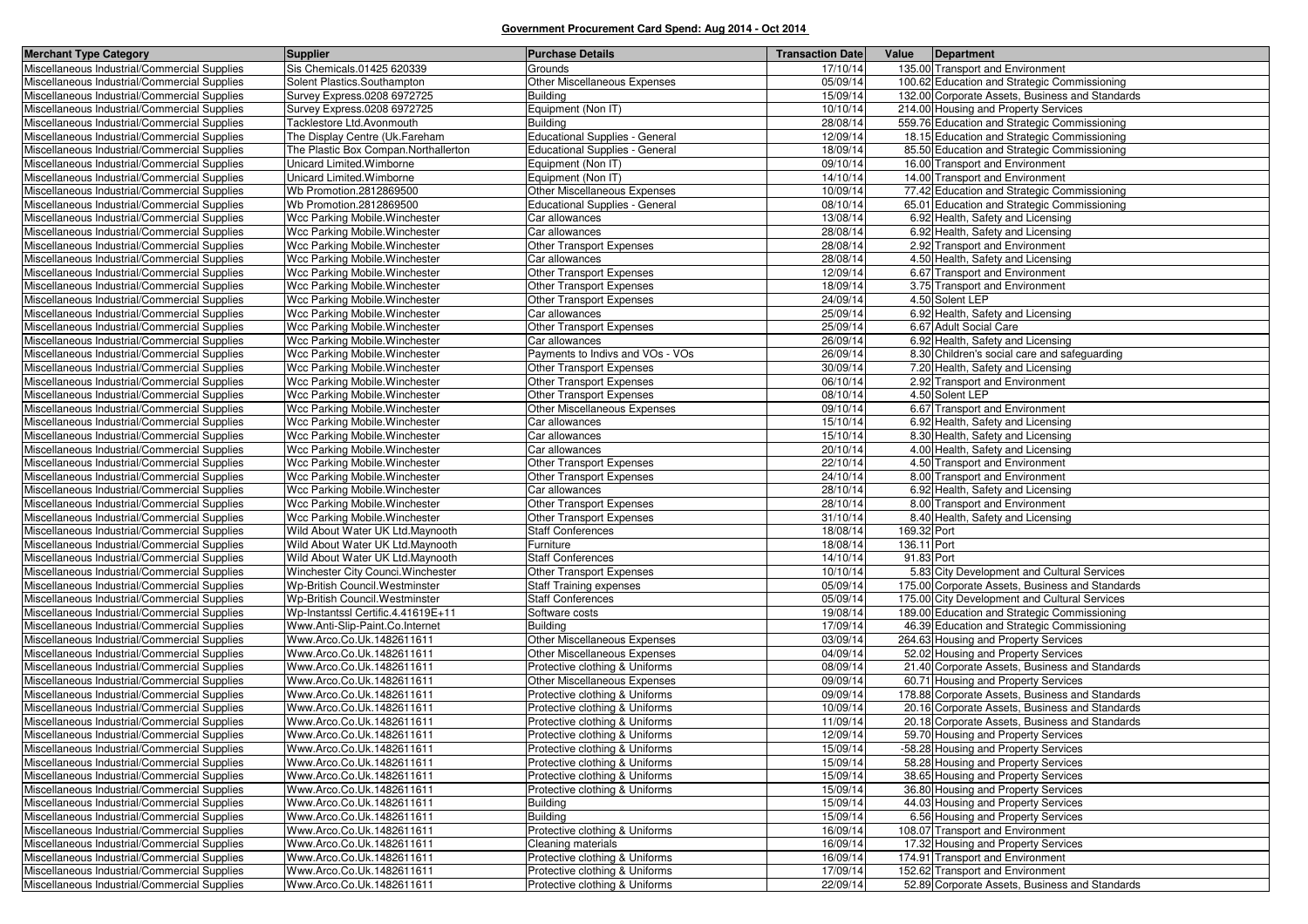| <b>Merchant Type Category</b>                | Supplier                             | <b>Purchase Details</b>               | <b>Transaction Date</b> | Value       | Department                                      |
|----------------------------------------------|--------------------------------------|---------------------------------------|-------------------------|-------------|-------------------------------------------------|
| Miscellaneous Industrial/Commercial Supplies | Sis Chemicals.01425 620339           | Grounds                               | 17/10/14                |             | 135.00 Transport and Environment                |
| Miscellaneous Industrial/Commercial Supplies | Solent Plastics.Southampton          | Other Miscellaneous Expenses          | 05/09/14                |             | 100.62 Education and Strategic Commissioning    |
| Miscellaneous Industrial/Commercial Supplies | Survey Express.0208 6972725          | <b>Building</b>                       | 15/09/14                |             | 132.00 Corporate Assets, Business and Standards |
| Miscellaneous Industrial/Commercial Supplies | Survey Express.0208 6972725          | Equipment (Non IT)                    | 10/10/14                |             | 214.00 Housing and Property Services            |
| Miscellaneous Industrial/Commercial Supplies | Tacklestore Ltd.Avonmouth            | <b>Building</b>                       | 28/08/14                |             | 559.76 Education and Strategic Commissioning    |
| Miscellaneous Industrial/Commercial Supplies | The Display Centre (Uk.Fareham       | <b>Educational Supplies - General</b> | 12/09/14                |             | 18.15 Education and Strategic Commissioning     |
| Miscellaneous Industrial/Commercial Supplies | The Plastic Box Compan.Northallerton | Educational Supplies - General        | 18/09/14                |             | 85.50 Education and Strategic Commissioning     |
| Miscellaneous Industrial/Commercial Supplies | Unicard Limited.Wimborne             | Equipment (Non IT)                    | 09/10/14                |             | 16.00 Transport and Environment                 |
| Miscellaneous Industrial/Commercial Supplies | Unicard Limited. Wimborne            | Equipment (Non IT)                    | 14/10/14                |             | 14.00 Transport and Environment                 |
| Miscellaneous Industrial/Commercial Supplies | Wb Promotion.2812869500              | <b>Other Miscellaneous Expenses</b>   | 10/09/14                |             | 77.42 Education and Strategic Commissioning     |
| Miscellaneous Industrial/Commercial Supplies | Wb Promotion.2812869500              | Educational Supplies - General        | 08/10/14                |             | 65.01 Education and Strategic Commissioning     |
| Miscellaneous Industrial/Commercial Supplies | Wcc Parking Mobile. Winchester       | Car allowances                        | 13/08/14                |             | 6.92 Health, Safety and Licensing               |
| Miscellaneous Industrial/Commercial Supplies | Wcc Parking Mobile. Winchester       | Car allowances                        | 28/08/14                |             | 6.92 Health, Safety and Licensing               |
| Miscellaneous Industrial/Commercial Supplies | Wcc Parking Mobile. Winchester       | Other Transport Expenses              | 28/08/14                |             | 2.92 Transport and Environment                  |
| Miscellaneous Industrial/Commercial Supplies | Wcc Parking Mobile.Winchester        | Car allowances                        | 28/08/14                |             | 4.50 Health, Safety and Licensing               |
| Miscellaneous Industrial/Commercial Supplies | Wcc Parking Mobile. Winchester       | Other Transport Expenses              | 12/09/14                |             | 6.67 Transport and Environment                  |
| Miscellaneous Industrial/Commercial Supplies | Wcc Parking Mobile. Winchester       | Other Transport Expenses              | 18/09/14                |             | 3.75 Transport and Environment                  |
| Miscellaneous Industrial/Commercial Supplies | Wcc Parking Mobile. Winchester       | <b>Other Transport Expenses</b>       | 24/09/14                |             | 4.50 Solent LEP                                 |
| Miscellaneous Industrial/Commercial Supplies | Wcc Parking Mobile. Winchester       | Car allowances                        | 25/09/14                |             | 6.92 Health, Safety and Licensing               |
| Miscellaneous Industrial/Commercial Supplies | Wcc Parking Mobile. Winchester       | Other Transport Expenses              | 25/09/14                |             | 6.67 Adult Social Care                          |
| Miscellaneous Industrial/Commercial Supplies | Wcc Parking Mobile. Winchester       | Car allowances                        | 26/09/14                |             | 6.92 Health, Safety and Licensing               |
| Miscellaneous Industrial/Commercial Supplies | Wcc Parking Mobile. Winchester       | Payments to Indivs and VOs - VOs      | 26/09/14                |             | 8.30 Children's social care and safeguarding    |
| Miscellaneous Industrial/Commercial Supplies | Wcc Parking Mobile. Winchester       | <b>Other Transport Expenses</b>       | 30/09/14                |             | 7.20 Health, Safety and Licensing               |
| Miscellaneous Industrial/Commercial Supplies | Wcc Parking Mobile. Winchester       | <b>Other Transport Expenses</b>       | 06/10/14                |             | 2.92 Transport and Environment                  |
| Miscellaneous Industrial/Commercial Supplies | Wcc Parking Mobile. Winchester       | Other Transport Expenses              | 08/10/14                |             | 4.50 Solent LEP                                 |
| Miscellaneous Industrial/Commercial Supplies | Wcc Parking Mobile. Winchester       | Other Miscellaneous Expenses          | 09/10/14                |             | 6.67 Transport and Environment                  |
| Miscellaneous Industrial/Commercial Supplies | Wcc Parking Mobile. Winchester       | Car allowances                        | 15/10/14                |             | 6.92 Health, Safety and Licensing               |
| Miscellaneous Industrial/Commercial Supplies | Wcc Parking Mobile. Winchester       | Car allowances                        | 15/10/14                |             | 8.30 Health, Safety and Licensing               |
| Miscellaneous Industrial/Commercial Supplies | Wcc Parking Mobile. Winchester       | Car allowances                        | 20/10/14                |             | 4.00 Health, Safety and Licensing               |
| Miscellaneous Industrial/Commercial Supplies | Wcc Parking Mobile. Winchester       | Other Transport Expenses              | 22/10/14                |             | 4.50 Transport and Environment                  |
| Miscellaneous Industrial/Commercial Supplies | Wcc Parking Mobile. Winchester       | Other Transport Expenses              | 24/10/14                |             | 8.00 Transport and Environment                  |
| Miscellaneous Industrial/Commercial Supplies | Wcc Parking Mobile. Winchester       | Car allowances                        | 28/10/14                |             | 6.92 Health, Safety and Licensing               |
| Miscellaneous Industrial/Commercial Supplies | Wcc Parking Mobile. Winchester       | Other Transport Expenses              | 28/10/14                |             | 8.00 Transport and Environment                  |
| Miscellaneous Industrial/Commercial Supplies | Wcc Parking Mobile. Winchester       | Other Transport Expenses              | 31/10/14                |             | 8.40 Health, Safety and Licensing               |
| Miscellaneous Industrial/Commercial Supplies | Wild About Water UK Ltd.Maynooth     | <b>Staff Conferences</b>              | 18/08/14                | 169.32 Port |                                                 |
| Miscellaneous Industrial/Commercial Supplies | Wild About Water UK Ltd.Maynooth     | Furniture                             | 18/08/14                | 136.11 Port |                                                 |
| Miscellaneous Industrial/Commercial Supplies | Wild About Water UK Ltd.Maynooth     | <b>Staff Conferences</b>              | 14/10/14                | 91.83 Port  |                                                 |
| Miscellaneous Industrial/Commercial Supplies | Winchester City Counci. Winchester   | Other Transport Expenses              | 10/10/14                |             | 5.83 City Development and Cultural Services     |
| Miscellaneous Industrial/Commercial Supplies | Wp-British Council. Westminster      | <b>Staff Training expenses</b>        | 05/09/14                |             | 175.00 Corporate Assets, Business and Standards |
| Miscellaneous Industrial/Commercial Supplies | Wp-British Council. Westminster      | <b>Staff Conferences</b>              | 05/09/14                |             | 175.00 City Development and Cultural Services   |
| Miscellaneous Industrial/Commercial Supplies | Wp-Instantssl Certific.4.41619E+11   | Software costs                        | 19/08/14                |             | 189.00 Education and Strategic Commissioning    |
| Miscellaneous Industrial/Commercial Supplies | Www.Anti-Slip-Paint.Co.Internet      | <b>Building</b>                       | 17/09/14                |             | 46.39 Education and Strategic Commissioning     |
| Miscellaneous Industrial/Commercial Supplies | Www.Arco.Co.Uk.1482611611            | Other Miscellaneous Expenses          | 03/09/14                |             | 264.63 Housing and Property Services            |
| Miscellaneous Industrial/Commercial Supplies | Www.Arco.Co.Uk.1482611611            | Other Miscellaneous Expenses          | 04/09/14                |             | 52.02 Housing and Property Services             |
| Miscellaneous Industrial/Commercial Supplies | Www.Arco.Co.Uk.1482611611            | Protective clothing & Uniforms        | 08/09/14                |             | 21.40 Corporate Assets, Business and Standards  |
| Miscellaneous Industrial/Commercial Supplies | Www.Arco.Co.Uk.1482611611            | Other Miscellaneous Expenses          | 09/09/14                |             | 60.71 Housing and Property Services             |
| Miscellaneous Industrial/Commercial Supplies | Www.Arco.Co.Uk.1482611611            | Protective clothing & Uniforms        | 09/09/14                |             | 178.88 Corporate Assets, Business and Standards |
| Miscellaneous Industrial/Commercial Supplies | Www.Arco.Co.Uk.1482611611            | Protective clothing & Uniforms        | 10/09/14                |             | 20.16 Corporate Assets, Business and Standards  |
| Miscellaneous Industrial/Commercial Supplies | Www.Arco.Co.Uk.1482611611            | Protective clothing & Uniforms        | 11/09/14                |             | 20.18 Corporate Assets, Business and Standards  |
| Miscellaneous Industrial/Commercial Supplies | Www.Arco.Co.Uk.1482611611            | Protective clothing & Uniforms        | 12/09/14                |             | 59.70 Housing and Property Services             |
| Miscellaneous Industrial/Commercial Supplies | Www.Arco.Co.Uk.1482611611            | Protective clothing & Uniforms        | 15/09/14                |             | -58.28 Housing and Property Services            |
| Miscellaneous Industrial/Commercial Supplies | Www.Arco.Co.Uk.1482611611            | Protective clothing & Uniforms        | 15/09/14                |             | 58.28 Housing and Property Services             |
| Miscellaneous Industrial/Commercial Supplies | Www.Arco.Co.Uk.1482611611            | Protective clothing & Uniforms        | 15/09/14                |             | 38.65 Housing and Property Services             |
| Miscellaneous Industrial/Commercial Supplies | Www.Arco.Co.Uk.1482611611            | Protective clothing & Uniforms        | 15/09/14                |             | 36.80 Housing and Property Services             |
| Miscellaneous Industrial/Commercial Supplies | Www.Arco.Co.Uk.1482611611            | <b>Building</b>                       | 15/09/14                |             | 44.03 Housing and Property Services             |
| Miscellaneous Industrial/Commercial Supplies | Www.Arco.Co.Uk.1482611611            | <b>Building</b>                       | 15/09/14                |             | 6.56 Housing and Property Services              |
| Miscellaneous Industrial/Commercial Supplies | Www.Arco.Co.Uk.1482611611            | Protective clothing & Uniforms        | 16/09/14                |             | 108.07 Transport and Environment                |
| Miscellaneous Industrial/Commercial Supplies | Www.Arco.Co.Uk.1482611611            | Cleaning materials                    | 16/09/14                |             | 17.32 Housing and Property Services             |
| Miscellaneous Industrial/Commercial Supplies | Www.Arco.Co.Uk.1482611611            | Protective clothing & Uniforms        | 16/09/14                |             | 174.91 Transport and Environment                |
| Miscellaneous Industrial/Commercial Supplies | Www.Arco.Co.Uk.1482611611            | Protective clothing & Uniforms        | 17/09/14                |             | 152.62 Transport and Environment                |
| Miscellaneous Industrial/Commercial Supplies | Www.Arco.Co.Uk.1482611611            | Protective clothing & Uniforms        | 22/09/14                |             | 52.89 Corporate Assets, Business and Standards  |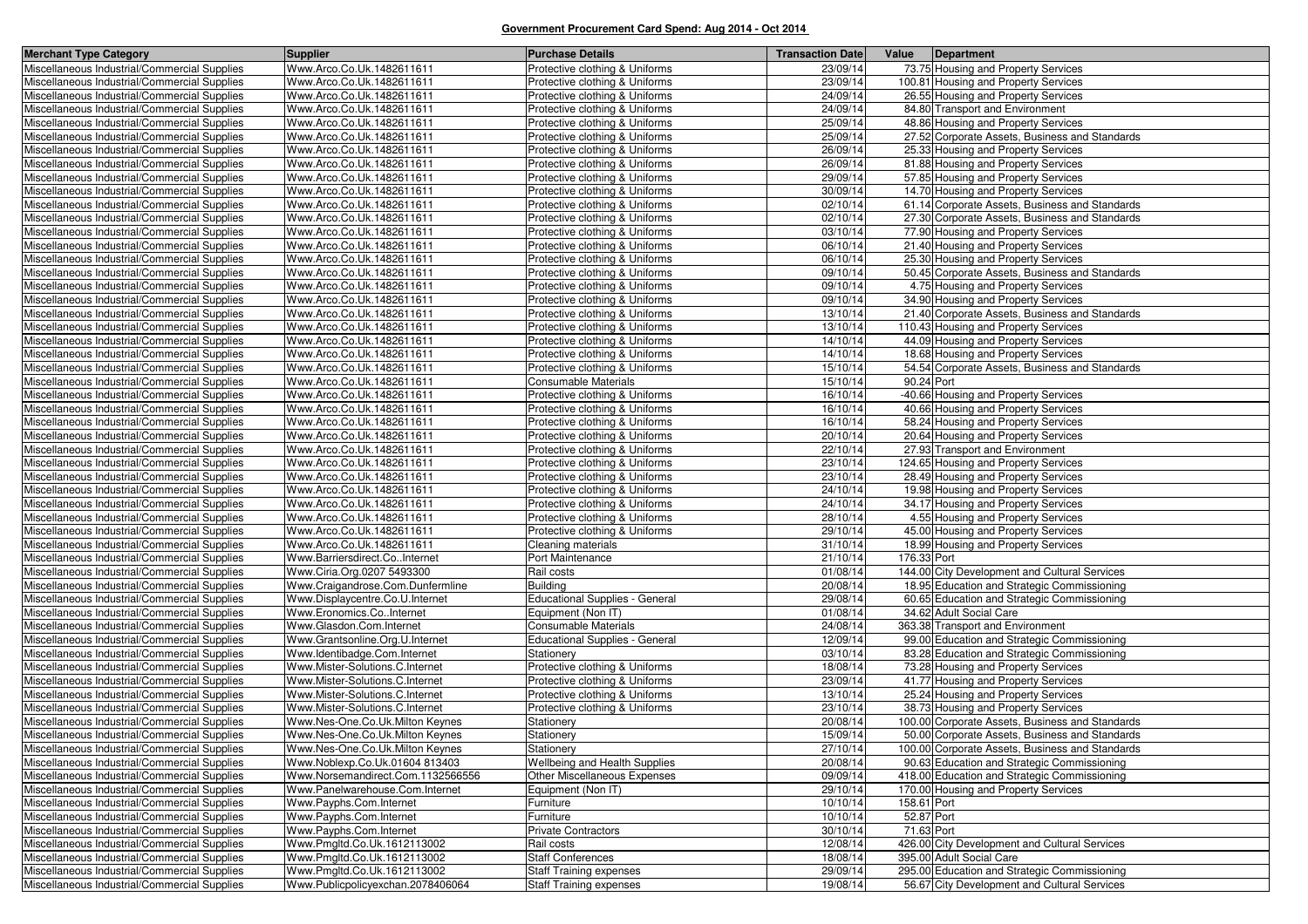| <b>Merchant Type Category</b>                                                                | Supplier                                                           | <b>Purchase Details</b>                                          | <b>Transaction Date</b> | Value       | Department                                                                         |
|----------------------------------------------------------------------------------------------|--------------------------------------------------------------------|------------------------------------------------------------------|-------------------------|-------------|------------------------------------------------------------------------------------|
| Miscellaneous Industrial/Commercial Supplies                                                 | Www.Arco.Co.Uk.1482611611                                          | Protective clothing & Uniforms                                   | 23/09/14                |             | 73.75 Housing and Property Services                                                |
| Miscellaneous Industrial/Commercial Supplies                                                 | Www.Arco.Co.Uk.1482611611                                          | Protective clothing & Uniforms                                   | 23/09/14                |             | 100.81 Housing and Property Services                                               |
| Miscellaneous Industrial/Commercial Supplies                                                 | Www.Arco.Co.Uk.1482611611                                          | Protective clothing & Uniforms                                   | 24/09/14                |             | 26.55 Housing and Property Services                                                |
| Miscellaneous Industrial/Commercial Supplies                                                 | Www.Arco.Co.Uk.1482611611                                          | Protective clothing & Uniforms                                   | 24/09/14                |             | 84.80 Transport and Environment                                                    |
| Miscellaneous Industrial/Commercial Supplies                                                 | Www.Arco.Co.Uk.1482611611                                          | Protective clothing & Uniforms                                   | 25/09/14                |             | 48.86 Housing and Property Services                                                |
| Miscellaneous Industrial/Commercial Supplies                                                 | Www.Arco.Co.Uk.1482611611                                          | Protective clothing & Uniforms                                   | 25/09/14                |             | 27.52 Corporate Assets, Business and Standards                                     |
| Miscellaneous Industrial/Commercial Supplies                                                 | Www.Arco.Co.Uk.1482611611                                          | Protective clothing & Uniforms                                   | 26/09/14                |             | 25.33 Housing and Property Services                                                |
| Miscellaneous Industrial/Commercial Supplies                                                 | Www.Arco.Co.Uk.1482611611                                          | Protective clothing & Uniforms                                   | 26/09/14                |             | 81.88 Housing and Property Services                                                |
| Miscellaneous Industrial/Commercial Supplies                                                 | Www.Arco.Co.Uk.1482611611                                          | Protective clothing & Uniforms                                   | 29/09/14                |             | 57.85 Housing and Property Services                                                |
| Miscellaneous Industrial/Commercial Supplies                                                 | Www.Arco.Co.Uk.1482611611                                          | Protective clothing & Uniforms                                   | 30/09/14                |             | 14.70 Housing and Property Services                                                |
| Miscellaneous Industrial/Commercial Supplies                                                 | Www.Arco.Co.Uk.1482611611                                          | Protective clothing & Uniforms                                   | 02/10/14                |             | 61.14 Corporate Assets, Business and Standards                                     |
| Miscellaneous Industrial/Commercial Supplies                                                 | Www.Arco.Co.Uk.1482611611                                          | Protective clothing & Uniforms                                   | 02/10/14                |             | 27.30 Corporate Assets, Business and Standards                                     |
| Miscellaneous Industrial/Commercial Supplies                                                 | Www.Arco.Co.Uk.1482611611                                          | Protective clothing & Uniforms                                   | 03/10/14                |             | 77.90 Housing and Property Services                                                |
| Miscellaneous Industrial/Commercial Supplies                                                 | Www.Arco.Co.Uk.1482611611                                          | Protective clothing & Uniforms                                   | 06/10/14                |             | 21.40 Housing and Property Services                                                |
| Miscellaneous Industrial/Commercial Supplies                                                 | Www.Arco.Co.Uk.1482611611                                          | Protective clothing & Uniforms                                   | 06/10/14                |             | 25.30 Housing and Property Services                                                |
| Miscellaneous Industrial/Commercial Supplies                                                 | Www.Arco.Co.Uk.1482611611                                          | Protective clothing & Uniforms                                   | 09/10/14                |             | 50.45 Corporate Assets, Business and Standards                                     |
| Miscellaneous Industrial/Commercial Supplies                                                 | Www.Arco.Co.Uk.1482611611                                          | Protective clothing & Uniforms                                   | 09/10/14                |             | 4.75 Housing and Property Services                                                 |
| Miscellaneous Industrial/Commercial Supplies                                                 | Www.Arco.Co.Uk.1482611611                                          | Protective clothing & Uniforms                                   | 09/10/14                |             | 34.90 Housing and Property Services                                                |
| Miscellaneous Industrial/Commercial Supplies                                                 | Www.Arco.Co.Uk.1482611611                                          | Protective clothing & Uniforms                                   | 13/10/14                |             | 21.40 Corporate Assets, Business and Standards                                     |
| Miscellaneous Industrial/Commercial Supplies                                                 | Www.Arco.Co.Uk.1482611611                                          | Protective clothing & Uniforms                                   | 13/10/14                |             | 110.43 Housing and Property Services                                               |
| Miscellaneous Industrial/Commercial Supplies                                                 | Www.Arco.Co.Uk.1482611611                                          | Protective clothing & Uniforms                                   | 14/10/14                |             | 44.09 Housing and Property Services                                                |
| Miscellaneous Industrial/Commercial Supplies                                                 | Www.Arco.Co.Uk.1482611611                                          | Protective clothing & Uniforms                                   | 14/10/14                |             | 18.68 Housing and Property Services                                                |
| Miscellaneous Industrial/Commercial Supplies                                                 | Www.Arco.Co.Uk.1482611611                                          | Protective clothing & Uniforms                                   | 15/10/14                |             | 54.54 Corporate Assets, Business and Standards                                     |
| Miscellaneous Industrial/Commercial Supplies                                                 | Www.Arco.Co.Uk.1482611611                                          | Consumable Materials                                             | 15/10/14                | 90.24 Port  |                                                                                    |
| Miscellaneous Industrial/Commercial Supplies                                                 | Www.Arco.Co.Uk.1482611611                                          | Protective clothing & Uniforms                                   | 16/10/14                |             | -40.66 Housing and Property Services                                               |
| Miscellaneous Industrial/Commercial Supplies                                                 | Www.Arco.Co.Uk.1482611611                                          | Protective clothing & Uniforms                                   | 16/10/14                |             | 40.66 Housing and Property Services                                                |
| Miscellaneous Industrial/Commercial Supplies                                                 | Www.Arco.Co.Uk.1482611611                                          | Protective clothing & Uniforms                                   | 16/10/14                |             | 58.24 Housing and Property Services                                                |
| Miscellaneous Industrial/Commercial Supplies                                                 | Www.Arco.Co.Uk.1482611611                                          | Protective clothing & Uniforms                                   | 20/10/14                |             | 20.64 Housing and Property Services                                                |
| Miscellaneous Industrial/Commercial Supplies                                                 | Www.Arco.Co.Uk.1482611611                                          | Protective clothing & Uniforms                                   | 22/10/14                |             | 27.93 Transport and Environment                                                    |
| Miscellaneous Industrial/Commercial Supplies                                                 | Www.Arco.Co.Uk.1482611611                                          | Protective clothing & Uniforms                                   | 23/10/14                |             | 124.65 Housing and Property Services                                               |
| Miscellaneous Industrial/Commercial Supplies                                                 | Www.Arco.Co.Uk.1482611611                                          | Protective clothing & Uniforms                                   | 23/10/14                |             | 28.49 Housing and Property Services                                                |
| Miscellaneous Industrial/Commercial Supplies                                                 | Www.Arco.Co.Uk.1482611611                                          | Protective clothing & Uniforms                                   | 24/10/14                |             | 19.98 Housing and Property Services                                                |
| Miscellaneous Industrial/Commercial Supplies                                                 | Www.Arco.Co.Uk.1482611611                                          | Protective clothing & Uniforms                                   | 24/10/14                |             | 34.17 Housing and Property Services                                                |
| Miscellaneous Industrial/Commercial Supplies                                                 | Www.Arco.Co.Uk.1482611611                                          | Protective clothing & Uniforms                                   | 28/10/14                |             | 4.55 Housing and Property Services                                                 |
| Miscellaneous Industrial/Commercial Supplies                                                 | Www.Arco.Co.Uk.1482611611                                          | Protective clothing & Uniforms                                   | 29/10/14                |             | 45.00 Housing and Property Services                                                |
| Miscellaneous Industrial/Commercial Supplies                                                 | Www.Arco.Co.Uk.1482611611                                          | Cleaning materials                                               | 31/10/14                |             | 18.99 Housing and Property Services                                                |
| Miscellaneous Industrial/Commercial Supplies                                                 | Www.Barriersdirect.CoInternet                                      | Port Maintenance                                                 | 21/10/14                | 176.33 Port |                                                                                    |
| Miscellaneous Industrial/Commercial Supplies                                                 | Www.Ciria.Org.0207 5493300                                         | Rail costs                                                       | 01/08/14                |             | 144.00 City Development and Cultural Services                                      |
| Miscellaneous Industrial/Commercial Supplies                                                 | Www.Craigandrose.Com.Dunfermline                                   | Building                                                         | 20/08/14                |             | 18.95 Education and Strategic Commissioning                                        |
| Miscellaneous Industrial/Commercial Supplies                                                 | Www.Displaycentre.Co.U.Internet                                    | <b>Educational Supplies - General</b>                            | 29/08/14                |             | 60.65 Education and Strategic Commissioning                                        |
| Miscellaneous Industrial/Commercial Supplies                                                 | Www.Eronomics.CoInternet                                           | Equipment (Non IT)<br>Consumable Materials                       | 01/08/14<br>24/08/14    |             | 34.62 Adult Social Care<br>363.38 Transport and Environment                        |
| Miscellaneous Industrial/Commercial Supplies                                                 | Www.Glasdon.Com.Internet                                           |                                                                  |                         |             |                                                                                    |
| Miscellaneous Industrial/Commercial Supplies                                                 | Www.Grantsonline.Org.U.Internet                                    | <b>Educational Supplies - General</b>                            | 12/09/14<br>03/10/14    |             | 99.00 Education and Strategic Commissioning                                        |
| Miscellaneous Industrial/Commercial Supplies                                                 | Www.Identibadge.Com.Internet                                       | Stationery                                                       |                         |             | 83.28 Education and Strategic Commissioning<br>73.28 Housing and Property Services |
| Miscellaneous Industrial/Commercial Supplies                                                 | Www.Mister-Solutions.C.Internet<br>Www.Mister-Solutions.C.Internet | Protective clothing & Uniforms<br>Protective clothing & Uniforms | 18/08/14<br>23/09/14    |             | 41.77 Housing and Property Services                                                |
| Miscellaneous Industrial/Commercial Supplies<br>Miscellaneous Industrial/Commercial Supplies | Www.Mister-Solutions.C.Internet                                    | Protective clothing & Uniforms                                   | 13/10/14                |             | 25.24 Housing and Property Services                                                |
| Miscellaneous Industrial/Commercial Supplies                                                 | Www.Mister-Solutions.C.Internet                                    | Protective clothing & Uniforms                                   | 23/10/14                |             | 38.73 Housing and Property Services                                                |
| Miscellaneous Industrial/Commercial Supplies                                                 | Www.Nes-One.Co.Uk.Milton Keynes                                    | Stationery                                                       | 20/08/14                |             | 100.00 Corporate Assets, Business and Standards                                    |
| Miscellaneous Industrial/Commercial Supplies                                                 | Www.Nes-One.Co.Uk.Milton Keynes                                    | Stationery                                                       | 15/09/14                |             | 50.00 Corporate Assets, Business and Standards                                     |
| Miscellaneous Industrial/Commercial Supplies                                                 | Www.Nes-One.Co.Uk.Milton Keynes                                    | Stationery                                                       | 27/10/14                |             | 100.00 Corporate Assets, Business and Standards                                    |
| Miscellaneous Industrial/Commercial Supplies                                                 | Www.Noblexp.Co.Uk.01604 813403                                     | Wellbeing and Health Supplies                                    | 20/08/14                |             | 90.63 Education and Strategic Commissioning                                        |
| Miscellaneous Industrial/Commercial Supplies                                                 | Www.Norsemandirect.Com.1132566556                                  | Other Miscellaneous Expenses                                     | 09/09/14                |             | 418.00 Education and Strategic Commissioning                                       |
| Miscellaneous Industrial/Commercial Supplies                                                 | Www.Panelwarehouse.Com.Internet                                    | Equipment (Non IT)                                               | 29/10/14                |             | 170.00 Housing and Property Services                                               |
| Miscellaneous Industrial/Commercial Supplies                                                 | Www.Payphs.Com.Internet                                            | Furniture                                                        | 10/10/14                | 158.61 Port |                                                                                    |
| Miscellaneous Industrial/Commercial Supplies                                                 | Www.Payphs.Com.Internet                                            | Furniture                                                        | 10/10/14                | 52.87 Port  |                                                                                    |
| Miscellaneous Industrial/Commercial Supplies                                                 | Www.Payphs.Com.Internet                                            | <b>Private Contractors</b>                                       | 30/10/14                | 71.63 Port  |                                                                                    |
| Miscellaneous Industrial/Commercial Supplies                                                 | Www.Pmgltd.Co.Uk.1612113002                                        | Rail costs                                                       | 12/08/14                |             | 426.00 City Development and Cultural Services                                      |
| Miscellaneous Industrial/Commercial Supplies                                                 | Www.Pmgltd.Co.Uk.1612113002                                        | <b>Staff Conferences</b>                                         | 18/08/14                |             | 395.00 Adult Social Care                                                           |
| Miscellaneous Industrial/Commercial Supplies                                                 | Www.Pmgltd.Co.Uk.1612113002                                        | Staff Training expenses                                          | 29/09/14                |             | 295.00 Education and Strategic Commissioning                                       |
| Miscellaneous Industrial/Commercial Supplies                                                 | Www.Publicpolicyexchan.2078406064                                  | <b>Staff Training expenses</b>                                   | 19/08/14                |             | 56.67 City Development and Cultural Services                                       |
|                                                                                              |                                                                    |                                                                  |                         |             |                                                                                    |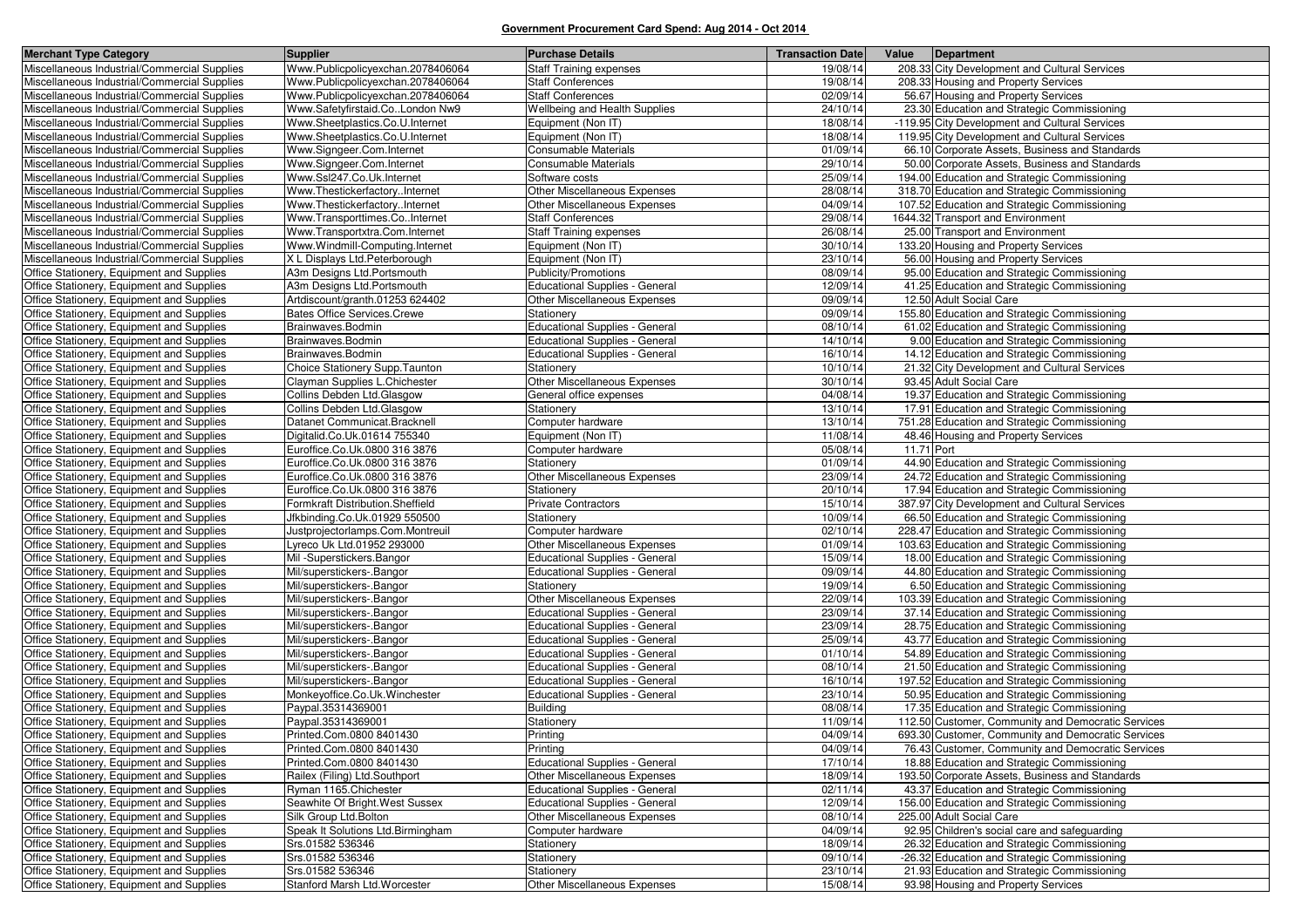| <b>Merchant Type Category</b>                                                          | <b>Supplier</b>                                        | <b>Purchase Details</b>                                          | <b>Transaction Date</b> | Value<br>Department                                                                        |
|----------------------------------------------------------------------------------------|--------------------------------------------------------|------------------------------------------------------------------|-------------------------|--------------------------------------------------------------------------------------------|
| Miscellaneous Industrial/Commercial Supplies                                           | Www.Publicpolicyexchan.2078406064                      | Staff Training expenses                                          | 19/08/14                | 208.33 City Development and Cultural Services                                              |
| Miscellaneous Industrial/Commercial Supplies                                           | Www.Publicpolicyexchan.2078406064                      | <b>Staff Conferences</b>                                         | 19/08/14                | 208.33 Housing and Property Services                                                       |
| Miscellaneous Industrial/Commercial Supplies                                           | Www.Publicpolicyexchan.2078406064                      | <b>Staff Conferences</b>                                         | 02/09/14                | 56.67 Housing and Property Services                                                        |
| Miscellaneous Industrial/Commercial Supplies                                           | Www.Safetyfirstaid.CoLondon Nw9                        | Wellbeing and Health Supplies                                    | 24/10/14                | 23.30 Education and Strategic Commissioning                                                |
| Miscellaneous Industrial/Commercial Supplies                                           | Www.Sheetplastics.Co.U.Internet                        | Equipment (Non IT)                                               | 18/08/14                | -119.95 City Development and Cultural Services                                             |
| Miscellaneous Industrial/Commercial Supplies                                           | Www.Sheetplastics.Co.U.Internet                        | Equipment (Non IT)                                               | 18/08/14                | 119.95 City Development and Cultural Services                                              |
| Miscellaneous Industrial/Commercial Supplies                                           | Www.Signgeer.Com.Internet                              | Consumable Materials                                             | 01/09/14                | 66.10 Corporate Assets, Business and Standards                                             |
| Miscellaneous Industrial/Commercial Supplies                                           | Www.Signgeer.Com.Internet                              | <b>Consumable Materials</b>                                      | 29/10/14                | 50.00 Corporate Assets, Business and Standards                                             |
| Miscellaneous Industrial/Commercial Supplies                                           | Www.Ssl247.Co.Uk.Internet                              | Software costs                                                   | 25/09/14                | 194.00 Education and Strategic Commissioning                                               |
| Miscellaneous Industrial/Commercial Supplies                                           | Www.ThestickerfactoryInternet                          | Other Miscellaneous Expenses                                     | 28/08/14                | 318.70 Education and Strategic Commissioning                                               |
| Miscellaneous Industrial/Commercial Supplies                                           | Www.ThestickerfactoryInternet                          | Other Miscellaneous Expenses                                     | 04/09/14                | 107.52 Education and Strategic Commissioning                                               |
| Miscellaneous Industrial/Commercial Supplies                                           | Www.Transporttimes.CoInternet                          | <b>Staff Conferences</b>                                         | 29/08/14                | 1644.32 Transport and Environment                                                          |
| Miscellaneous Industrial/Commercial Supplies                                           | Www.Transportxtra.Com.Internet                         | <b>Staff Training expenses</b>                                   | 26/08/14                | 25.00 Transport and Environment                                                            |
| Miscellaneous Industrial/Commercial Supplies                                           | Www.Windmill-Computing.Internet                        | Equipment (Non IT)                                               | 30/10/14                | 133.20 Housing and Property Services                                                       |
| Miscellaneous Industrial/Commercial Supplies                                           | X L Displays Ltd.Peterborough                          | Equipment (Non IT)                                               | 23/10/14                | 56.00 Housing and Property Services                                                        |
| Office Stationery, Equipment and Supplies                                              | A3m Designs Ltd.Portsmouth                             | Publicity/Promotions                                             | 08/09/14                | 95.00 Education and Strategic Commissioning                                                |
| Office Stationery, Equipment and Supplies                                              | A3m Designs Ltd.Portsmouth                             | Educational Supplies - General                                   | 12/09/14                | 41.25 Education and Strategic Commissioning                                                |
| Office Stationery, Equipment and Supplies                                              | Artdiscount/granth.01253 624402                        | Other Miscellaneous Expenses                                     | 09/09/14                | 12.50 Adult Social Care                                                                    |
| Office Stationery, Equipment and Supplies                                              | <b>Bates Office Services.Crewe</b>                     | Stationery                                                       | 09/09/14                | 155.80 Education and Strategic Commissioning                                               |
| Office Stationery, Equipment and Supplies                                              | Brainwaves.Bodmin                                      | Educational Supplies - General                                   | 08/10/14                | 61.02 Education and Strategic Commissioning                                                |
| Office Stationery, Equipment and Supplies                                              | Brainwaves.Bodmin                                      | Educational Supplies - General                                   | 14/10/14                | 9.00 Education and Strategic Commissioning                                                 |
| Office Stationery, Equipment and Supplies                                              | Brainwaves.Bodmin                                      | <b>Educational Supplies - General</b>                            | 16/10/14                | 14.12 Education and Strategic Commissioning                                                |
| Office Stationery, Equipment and Supplies                                              | Choice Stationery Supp. Taunton                        | Stationery                                                       | 10/10/14                | 21.32 City Development and Cultural Services                                               |
| Office Stationery, Equipment and Supplies                                              | Clayman Supplies L.Chichester                          | Other Miscellaneous Expenses                                     | 30/10/14                | 93.45 Adult Social Care                                                                    |
| Office Stationery, Equipment and Supplies                                              | Collins Debden Ltd.Glasgow                             | General office expenses                                          | 04/08/14                | 19.37 Education and Strategic Commissioning                                                |
| Office Stationery, Equipment and Supplies                                              | Collins Debden Ltd.Glasgow                             | Stationery                                                       | 13/10/14                | 17.91 Education and Strategic Commissioning                                                |
| Office Stationery, Equipment and Supplies                                              | Datanet Communicat.Bracknell                           | Computer hardware                                                | 13/10/14                | 751.28 Education and Strategic Commissioning                                               |
| Office Stationery, Equipment and Supplies                                              | Digitalid.Co.Uk.01614 755340                           | Equipment (Non IT)                                               | 11/08/14                | 48.46 Housing and Property Services                                                        |
| Office Stationery, Equipment and Supplies                                              | Euroffice.Co.Uk.0800 316 3876                          | Computer hardware                                                | 05/08/14                | 11.71 Port                                                                                 |
| Office Stationery, Equipment and Supplies                                              | Euroffice.Co.Uk.0800 316 3876                          | Stationery                                                       | 01/09/14                | 44.90 Education and Strategic Commissioning                                                |
| Office Stationery, Equipment and Supplies                                              | Euroffice.Co.Uk.0800 316 3876                          | Other Miscellaneous Expenses                                     | 23/09/14                | 24.72 Education and Strategic Commissioning                                                |
| Office Stationery, Equipment and Supplies                                              | Euroffice.Co.Uk.0800 316 3876                          | Stationery                                                       | 20/10/14                | 17.94 Education and Strategic Commissioning                                                |
| Office Stationery, Equipment and Supplies                                              | Formkraft Distribution.Sheffield                       | <b>Private Contractors</b>                                       | 15/10/14                | 387.97 City Development and Cultural Services                                              |
| Office Stationery, Equipment and Supplies                                              | Jfkbinding.Co.Uk.01929 550500                          | Stationery                                                       | 10/09/14                | 66.50 Education and Strategic Commissioning                                                |
| Office Stationery, Equipment and Supplies                                              | Justprojectorlamps.Com.Montreuil                       | Computer hardware                                                | 02/10/14                | 228.47 Education and Strategic Commissioning                                               |
| Office Stationery, Equipment and Supplies                                              | vreco Uk Ltd.01952 293000                              | Other Miscellaneous Expenses                                     | 01/09/14                | 103.63 Education and Strategic Commissioning                                               |
| Office Stationery, Equipment and Supplies                                              | Mil-Superstickers.Bangor                               | Educational Supplies - General                                   | 15/09/14                | 18.00 Education and Strategic Commissioning                                                |
| Office Stationery, Equipment and Supplies                                              | Mil/superstickers-.Bangor                              | Educational Supplies - General                                   | 09/09/14<br>19/09/14    | 44.80 Education and Strategic Commissioning                                                |
| Office Stationery, Equipment and Supplies                                              | Mil/superstickers-.Bangor                              | Stationery                                                       |                         | 6.50 Education and Strategic Commissioning                                                 |
| Office Stationery, Equipment and Supplies                                              | Mil/superstickers-.Bangor                              | Other Miscellaneous Expenses                                     | 22/09/14<br>23/09/14    | 103.39 Education and Strategic Commissioning                                               |
| Office Stationery, Equipment and Supplies<br>Office Stationery, Equipment and Supplies | Mil/superstickers-.Bangor<br>Mil/superstickers-.Bangor | Educational Supplies - General<br>Educational Supplies - General | 23/09/14                | 37.14 Education and Strategic Commissioning<br>28.75 Education and Strategic Commissioning |
| Office Stationery, Equipment and Supplies                                              | Mil/superstickers-.Bangor                              | Educational Supplies - General                                   | 25/09/14                | 43.77 Education and Strategic Commissioning                                                |
| Office Stationery, Equipment and Supplies                                              | Mil/superstickers-.Bangor                              | Educational Supplies - General                                   | 01/10/14                | 54.89 Education and Strategic Commissioning                                                |
| Office Stationery, Equipment and Supplies                                              | Mil/superstickers-.Bangor                              | Educational Supplies - General                                   | 08/10/14                | 21.50 Education and Strategic Commissioning                                                |
| Office Stationery, Equipment and Supplies                                              | Mil/superstickers-.Bangor                              | <b>Educational Supplies - General</b>                            | 16/10/14                | 197.52 Education and Strategic Commissioning                                               |
| Office Stationery, Equipment and Supplies                                              | Monkeyoffice.Co.Uk.Winchester                          | Educational Supplies - General                                   | 23/10/14                | 50.95 Education and Strategic Commissioning                                                |
| Office Stationery, Equipment and Supplies                                              | Paypal.35314369001                                     | <b>Building</b>                                                  | 08/08/14                | 17.35 Education and Strategic Commissioning                                                |
| Office Stationery, Equipment and Supplies                                              | Paypal.35314369001                                     | Stationery                                                       | 11/09/14                | 112.50 Customer, Community and Democratic Services                                         |
| Office Stationery, Equipment and Supplies                                              | Printed.Com.0800 8401430                               | Printing                                                         | 04/09/14                | 693.30 Customer, Community and Democratic Services                                         |
| Office Stationery, Equipment and Supplies                                              | Printed.Com.0800 8401430                               | Printing                                                         | 04/09/14                | 76.43 Customer, Community and Democratic Services                                          |
| Office Stationery, Equipment and Supplies                                              | Printed.Com.0800 8401430                               | Educational Supplies - General                                   | 17/10/14                | 18.88 Education and Strategic Commissioning                                                |
| Office Stationery, Equipment and Supplies                                              | Railex (Filing) Ltd.Southport                          | Other Miscellaneous Expenses                                     | 18/09/14                | 193.50 Corporate Assets, Business and Standards                                            |
| Office Stationery, Equipment and Supplies                                              | Ryman 1165.Chichester                                  | Educational Supplies - General                                   | 02/11/14                | 43.37 Education and Strategic Commissioning                                                |
| Office Stationery, Equipment and Supplies                                              | Seawhite Of Bright. West Sussex                        | Educational Supplies - General                                   | 12/09/14                | 156.00 Education and Strategic Commissioning                                               |
| Office Stationery, Equipment and Supplies                                              | Silk Group Ltd.Bolton                                  | Other Miscellaneous Expenses                                     | 08/10/14                | 225.00 Adult Social Care                                                                   |
| Office Stationery, Equipment and Supplies                                              | Speak It Solutions Ltd.Birmingham                      | Computer hardware                                                | 04/09/14                | 92.95 Children's social care and safeguarding                                              |
| Office Stationery, Equipment and Supplies                                              | Srs.01582 536346                                       | Stationery                                                       | 18/09/14                | 26.32 Education and Strategic Commissioning                                                |
| Office Stationery, Equipment and Supplies                                              | Srs.01582 536346                                       | Stationery                                                       | 09/10/14                | -26.32 Education and Strategic Commissioning                                               |
| Office Stationery, Equipment and Supplies                                              | Srs.01582 536346                                       | Stationery                                                       | 23/10/14                | 21.93 Education and Strategic Commissioning                                                |
| Office Stationery, Equipment and Supplies                                              | Stanford Marsh Ltd. Worcester                          | Other Miscellaneous Expenses                                     | 15/08/14                | 93.98 Housing and Property Services                                                        |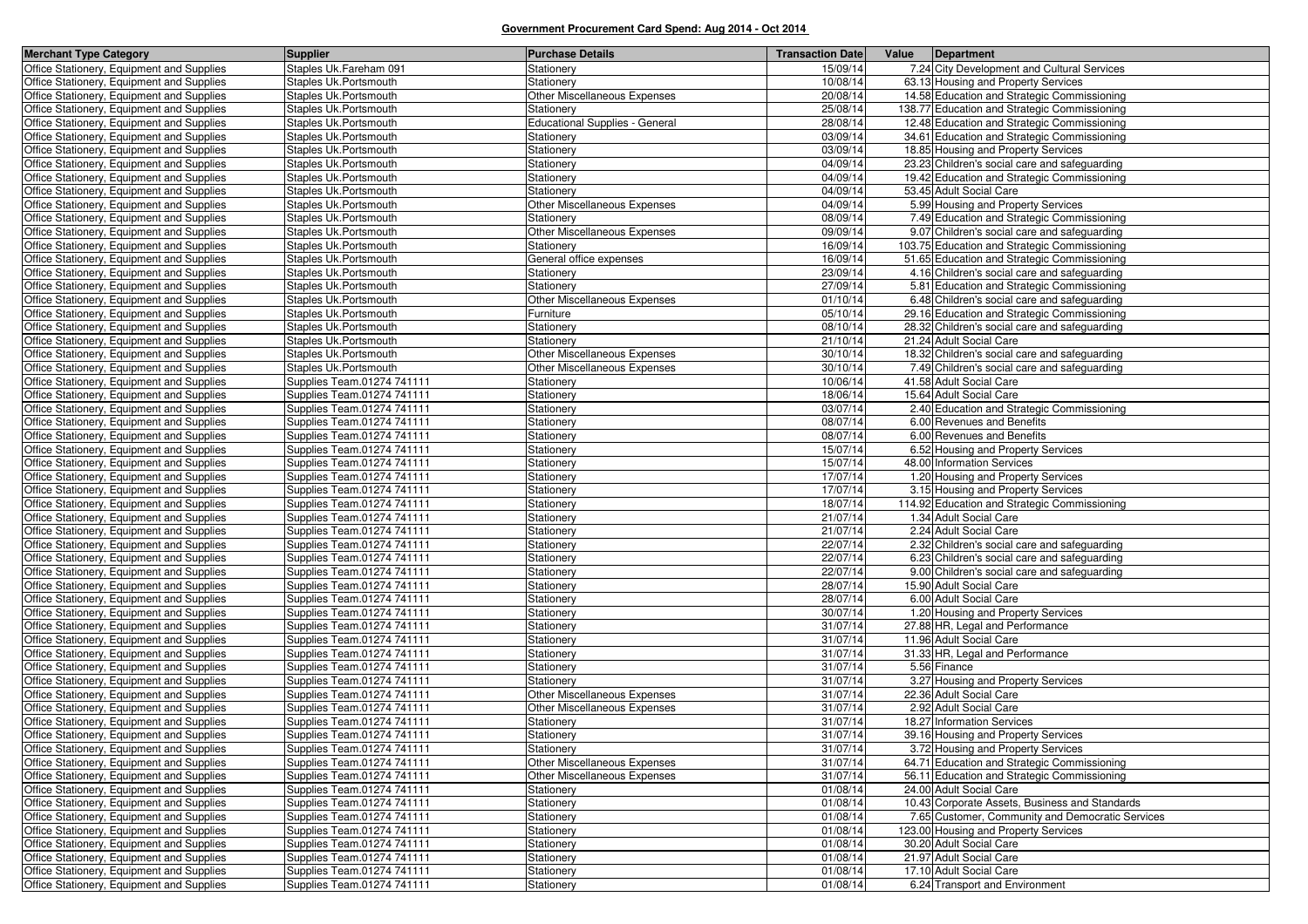| <b>Merchant Type Category</b>                                                          | <b>Supplier</b>                                          | <b>Purchase Details</b>                    | <b>Transaction Date</b> | Value | Department                                                        |
|----------------------------------------------------------------------------------------|----------------------------------------------------------|--------------------------------------------|-------------------------|-------|-------------------------------------------------------------------|
| Office Stationery, Equipment and Supplies                                              | Staples Uk.Fareham 091                                   | Stationery                                 | 15/09/14                |       | 7.24 City Development and Cultural Services                       |
| Office Stationery, Equipment and Supplies                                              | Staples Uk. Portsmouth                                   | Stationery                                 | 10/08/14                |       | 63.13 Housing and Property Services                               |
| Office Stationery, Equipment and Supplies                                              | Staples Uk.Portsmouth                                    | Other Miscellaneous Expenses               | 20/08/14                |       | 14.58 Education and Strategic Commissioning                       |
| Office Stationery, Equipment and Supplies                                              | Staples Uk. Portsmouth                                   | Stationery                                 | 25/08/14                |       | 138.77 Education and Strategic Commissioning                      |
| Office Stationery, Equipment and Supplies                                              | Staples Uk. Portsmouth                                   | <b>Educational Supplies - General</b>      | 28/08/14                |       | 12.48 Education and Strategic Commissioning                       |
| Office Stationery, Equipment and Supplies                                              | Staples Uk. Portsmouth                                   | Stationery                                 | 03/09/14                |       | 34.61 Education and Strategic Commissioning                       |
| Office Stationery, Equipment and Supplies                                              | Staples Uk. Portsmouth                                   | Stationery                                 | 03/09/14                |       | 18.85 Housing and Property Services                               |
| Office Stationery, Equipment and Supplies                                              | Staples Uk. Portsmouth                                   | Stationery                                 | 04/09/14                |       | 23.23 Children's social care and safeguarding                     |
| Office Stationery, Equipment and Supplies                                              | Staples Uk. Portsmouth                                   | Stationery                                 | 04/09/14                |       | 19.42 Education and Strategic Commissioning                       |
| Office Stationery, Equipment and Supplies                                              | Staples Uk. Portsmouth                                   | Stationery                                 | 04/09/14                |       | 53.45 Adult Social Care                                           |
| Office Stationery, Equipment and Supplies                                              | Staples Uk. Portsmouth                                   | Other Miscellaneous Expenses               | 04/09/14                |       | 5.99 Housing and Property Services                                |
| Office Stationery, Equipment and Supplies                                              | Staples Uk. Portsmouth                                   | Stationery                                 | 08/09/14                |       | 7.49 Education and Strategic Commissioning                        |
| Office Stationery, Equipment and Supplies                                              | Staples Uk. Portsmouth                                   | Other Miscellaneous Expenses               | 09/09/14                |       | 9.07 Children's social care and safeguarding                      |
| Office Stationery, Equipment and Supplies                                              | Staples Uk. Portsmouth                                   | Stationery                                 | 16/09/14                |       | 103.75 Education and Strategic Commissioning                      |
| Office Stationery, Equipment and Supplies                                              | Staples Uk. Portsmouth                                   | General office expenses                    | 16/09/14                |       | 51.65 Education and Strategic Commissioning                       |
| Office Stationery, Equipment and Supplies                                              | Staples Uk. Portsmouth                                   | Stationery                                 | 23/09/14                |       | 4.16 Children's social care and safeguarding                      |
| Office Stationery, Equipment and Supplies                                              | Staples Uk.Portsmouth                                    | Stationery                                 | 27/09/14                |       | 5.81 Education and Strategic Commissioning                        |
| Office Stationery, Equipment and Supplies                                              | Staples Uk. Portsmouth                                   | Other Miscellaneous Expenses               | 01/10/14                |       | 6.48 Children's social care and safeguarding                      |
| Office Stationery, Equipment and Supplies                                              | Staples Uk.Portsmouth                                    | Furniture                                  | 05/10/14                |       | 29.16 Education and Strategic Commissioning                       |
| Office Stationery, Equipment and Supplies                                              | Staples Uk.Portsmouth                                    | Stationery                                 | 08/10/14                |       | 28.32 Children's social care and safeguarding                     |
| Office Stationery, Equipment and Supplies                                              | Staples Uk. Portsmouth                                   | Stationery                                 | 21/10/14                |       | 21.24 Adult Social Care                                           |
| Office Stationery, Equipment and Supplies                                              | Staples Uk.Portsmouth                                    | Other Miscellaneous Expenses               | 30/10/14                |       | 18.32 Children's social care and safeguarding                     |
| Office Stationery, Equipment and Supplies                                              | Staples Uk.Portsmouth                                    | Other Miscellaneous Expenses               | 30/10/14                |       | 7.49 Children's social care and safeguarding                      |
| Office Stationery, Equipment and Supplies                                              | Supplies Team.01274 741111                               | Stationery                                 | 10/06/14                |       | 41.58 Adult Social Care                                           |
| Office Stationery, Equipment and Supplies                                              | Supplies Team.01274 741111                               | Stationery                                 | 18/06/14                |       | 15.64 Adult Social Care                                           |
| Office Stationery, Equipment and Supplies                                              | Supplies Team.01274 741111                               | Stationery                                 | 03/07/14                |       | 2.40 Education and Strategic Commissioning                        |
| Office Stationery, Equipment and Supplies                                              | Supplies Team.01274 741111                               | Stationery                                 | 08/07/14                |       | 6.00 Revenues and Benefits                                        |
| Office Stationery, Equipment and Supplies                                              | Supplies Team.01274 741111                               | Stationery                                 | 08/07/14                |       | 6.00 Revenues and Benefits                                        |
| Office Stationery, Equipment and Supplies                                              | Supplies Team.01274 741111                               | Stationery                                 | 15/07/14                |       | 6.52 Housing and Property Services                                |
| Office Stationery, Equipment and Supplies                                              | Supplies Team.01274 741111                               | Stationery                                 | 15/07/14                |       | 48.00 Information Services                                        |
| Office Stationery, Equipment and Supplies                                              | Supplies Team.01274 741111                               | Stationery                                 | 17/07/14                |       | 1.20 Housing and Property Services                                |
| Office Stationery, Equipment and Supplies                                              | Supplies Team.01274 741111                               | Stationery                                 | 17/07/14                |       | 3.15 Housing and Property Services                                |
| Office Stationery, Equipment and Supplies                                              | Supplies Team.01274 741111                               | Stationery                                 | 18/07/14                |       | 114.92 Education and Strategic Commissioning                      |
| Office Stationery, Equipment and Supplies                                              | Supplies Team.01274 741111                               | Stationery                                 | 21/07/14                |       | 1.34 Adult Social Care                                            |
| Office Stationery, Equipment and Supplies                                              | Supplies Team.01274 741111                               | Stationery                                 | 21/07/14                |       | 2.24 Adult Social Care                                            |
| Office Stationery, Equipment and Supplies                                              | Supplies Team.01274 741111                               | Stationery                                 | 22/07/14                |       | 2.32 Children's social care and safeguarding                      |
| Office Stationery, Equipment and Supplies                                              | Supplies Team.01274 741111                               | Stationery                                 | 22/07/14                |       | 6.23 Children's social care and safeguarding                      |
| Office Stationery, Equipment and Supplies                                              | Supplies Team.01274 741111                               | Stationery                                 | 22/07/14                |       | 9.00 Children's social care and safeguarding                      |
| Office Stationery, Equipment and Supplies                                              | Supplies Team.01274 741111                               | Stationery                                 | 28/07/14                |       | 15.90 Adult Social Care                                           |
| Office Stationery, Equipment and Supplies                                              | Supplies Team.01274 741111                               | Stationery                                 | 28/07/14                |       | 6.00 Adult Social Care                                            |
| Office Stationery, Equipment and Supplies                                              | Supplies Team.01274 741111                               | Stationery                                 | 30/07/14                |       | 1.20 Housing and Property Services                                |
| Office Stationery, Equipment and Supplies                                              | Supplies Team.01274 741111                               | Stationery                                 | 31/07/14                |       | 27.88 HR, Legal and Performance                                   |
| Office Stationery, Equipment and Supplies                                              | Supplies Team.01274 741111<br>Supplies Team.01274 741111 | Stationery                                 | 31/07/14                |       | 11.96 Adult Social Care                                           |
| Office Stationery, Equipment and Supplies                                              |                                                          | Stationery                                 | 31/07/14                |       | 31.33 HR, Legal and Performance<br>5.56 Finance                   |
| Office Stationery, Equipment and Supplies                                              | Supplies Team.01274 741111<br>Supplies Team.01274 741111 | Stationery<br>Stationerv                   | 31/07/14<br>31/07/14    |       |                                                                   |
| Office Stationery, Equipment and Supplies                                              |                                                          | Other Miscellaneous Expenses               | 31/07/14                |       | 3.27 Housing and Property Services<br>22.36 Adult Social Care     |
| Office Stationery, Equipment and Supplies<br>Office Stationery, Equipment and Supplies | Supplies Team.01274 741111                               |                                            | 31/07/14                |       | 2.92 Adult Social Care                                            |
|                                                                                        | Supplies Team.01274 741111                               | Other Miscellaneous Expenses               | 31/07/14                |       |                                                                   |
| Office Stationery, Equipment and Supplies<br>Office Stationery, Equipment and Supplies | Supplies Team.01274 741111<br>Supplies Team.01274 741111 | Stationery                                 | 31/07/14                |       | 18.27 Information Services<br>39.16 Housing and Property Services |
| Office Stationery, Equipment and Supplies                                              |                                                          | Stationery                                 |                         |       | 3.72 Housing and Property Services                                |
| Office Stationery, Equipment and Supplies                                              | Supplies Team.01274 741111<br>Supplies Team.01274 741111 | Stationery<br>Other Miscellaneous Expenses | 31/07/14<br>31/07/14    |       | 64.71 Education and Strategic Commissioning                       |
| Office Stationery, Equipment and Supplies                                              | Supplies Team.01274 741111                               | Other Miscellaneous Expenses               | 31/07/14                |       | 56.11 Education and Strategic Commissioning                       |
| Office Stationery, Equipment and Supplies                                              | Supplies Team.01274 741111                               | Stationery                                 | 01/08/14                |       | 24.00 Adult Social Care                                           |
| Office Stationery, Equipment and Supplies                                              | Supplies Team.01274 741111                               | Stationery                                 | 01/08/14                |       | 10.43 Corporate Assets, Business and Standards                    |
| Office Stationery, Equipment and Supplies                                              | Supplies Team.01274 741111                               | Stationery                                 | 01/08/14                |       | 7.65 Customer, Community and Democratic Services                  |
| Office Stationery, Equipment and Supplies                                              | Supplies Team.01274 741111                               | Stationery                                 | 01/08/14                |       | 123.00 Housing and Property Services                              |
| Office Stationery, Equipment and Supplies                                              | Supplies Team.01274 741111                               | Stationery                                 | 01/08/14                |       | 30.20 Adult Social Care                                           |
| Office Stationery, Equipment and Supplies                                              | Supplies Team.01274 741111                               | Stationery                                 | 01/08/14                |       | 21.97 Adult Social Care                                           |
| Office Stationery, Equipment and Supplies                                              | Supplies Team.01274 741111                               | Stationery                                 | 01/08/14                |       | 17.10 Adult Social Care                                           |
| Office Stationery, Equipment and Supplies                                              | Supplies Team.01274 741111                               | Stationery                                 | 01/08/14                |       | 6.24 Transport and Environment                                    |
|                                                                                        |                                                          |                                            |                         |       |                                                                   |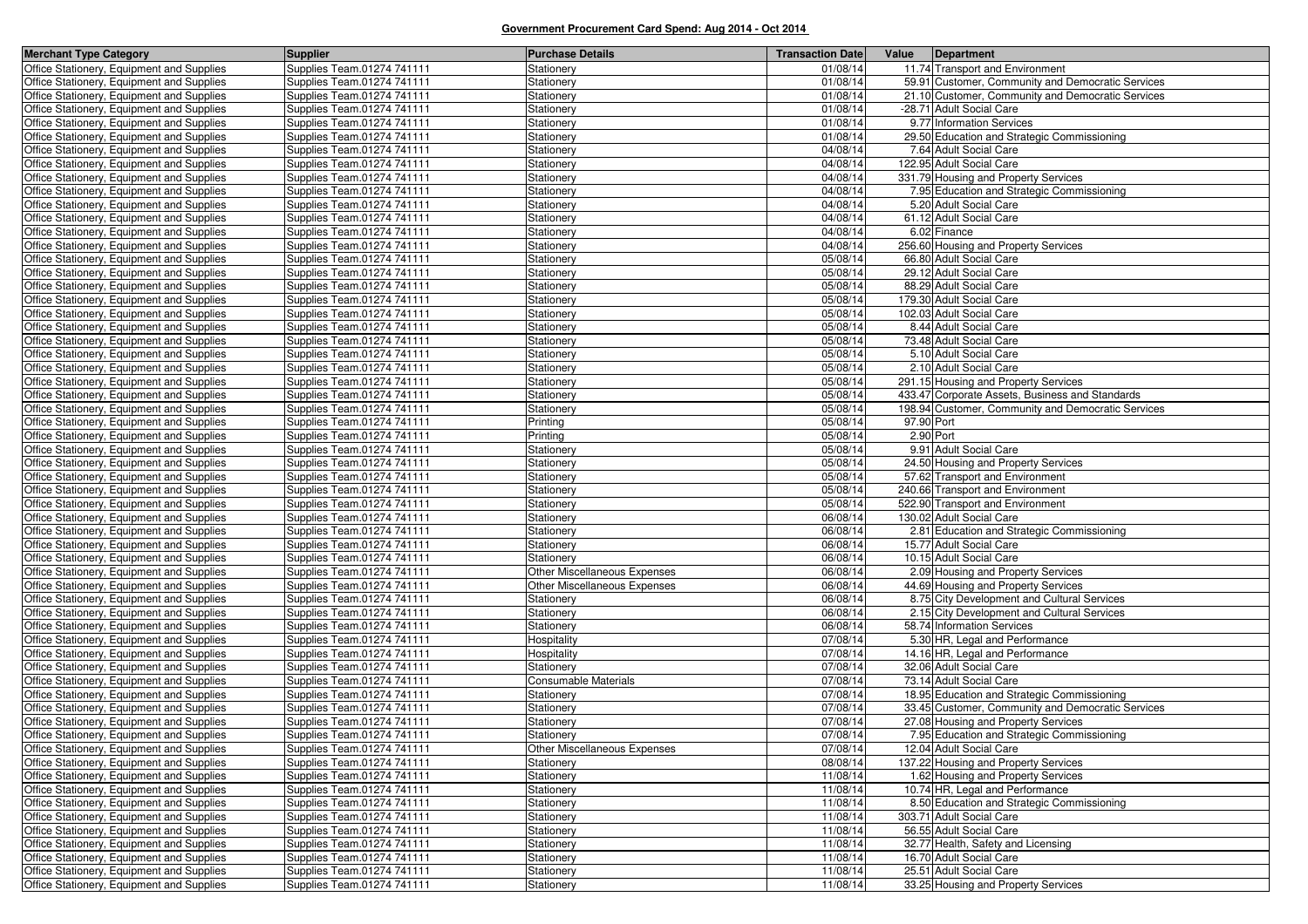| <b>Merchant Type Category</b>             | <b>Supplier</b>            | <b>Purchase Details</b>             | <b>Transaction Date</b> | Value<br>Department                                |
|-------------------------------------------|----------------------------|-------------------------------------|-------------------------|----------------------------------------------------|
| Office Stationery, Equipment and Supplies | Supplies Team.01274 741111 | Stationery                          | 01/08/14                | 11.74 Transport and Environment                    |
| Office Stationery, Equipment and Supplies | Supplies Team.01274 741111 | Stationery                          | 01/08/14                | 59.91 Customer, Community and Democratic Services  |
| Office Stationery, Equipment and Supplies | Supplies Team.01274 741111 | Stationery                          | 01/08/14                | 21.10 Customer, Community and Democratic Services  |
| Office Stationery, Equipment and Supplies | Supplies Team.01274 741111 | Stationery                          | 01/08/14                | -28.71 Adult Social Care                           |
| Office Stationery, Equipment and Supplies | Supplies Team.01274 741111 | Stationery                          | 01/08/14                | 9.77 Information Services                          |
| Office Stationery, Equipment and Supplies | Supplies Team.01274 741111 | Stationery                          | 01/08/14                | 29.50 Education and Strategic Commissioning        |
| Office Stationery, Equipment and Supplies | Supplies Team.01274 741111 | Stationery                          | 04/08/14                | 7.64 Adult Social Care                             |
| Office Stationery, Equipment and Supplies | Supplies Team.01274 741111 | Stationery                          | 04/08/14                | 122.95 Adult Social Care                           |
| Office Stationery, Equipment and Supplies | Supplies Team.01274 741111 | Stationery                          | 04/08/14                | 331.79 Housing and Property Services               |
| Office Stationery, Equipment and Supplies | Supplies Team.01274 741111 | Stationery                          | 04/08/14                | 7.95 Education and Strategic Commissioning         |
| Office Stationery, Equipment and Supplies | Supplies Team.01274 741111 | Stationery                          | 04/08/14                | 5.20 Adult Social Care                             |
| Office Stationery, Equipment and Supplies | Supplies Team.01274 741111 | Stationery                          | 04/08/14                | 61.12 Adult Social Care                            |
| Office Stationery, Equipment and Supplies | Supplies Team.01274 741111 | Stationery                          | 04/08/14                | 6.02 Finance                                       |
| Office Stationery, Equipment and Supplies | Supplies Team.01274 741111 | Stationery                          | 04/08/14                | 256.60 Housing and Property Services               |
| Office Stationery, Equipment and Supplies | Supplies Team.01274 741111 | Stationery                          | 05/08/14                | 66.80 Adult Social Care                            |
| Office Stationery, Equipment and Supplies | Supplies Team.01274 741111 | Stationery                          | 05/08/14                | 29.12 Adult Social Care                            |
| Office Stationery, Equipment and Supplies | Supplies Team.01274 741111 | Stationery                          | 05/08/14                | 88.29 Adult Social Care                            |
| Office Stationery, Equipment and Supplies | Supplies Team.01274 741111 | Stationery                          | 05/08/14                | 179.30 Adult Social Care                           |
| Office Stationery, Equipment and Supplies | Supplies Team.01274 741111 | Stationery                          | 05/08/14                | 102.03 Adult Social Care                           |
| Office Stationery, Equipment and Supplies | Supplies Team.01274 741111 | Stationery                          | 05/08/14                | 8.44 Adult Social Care                             |
| Office Stationery, Equipment and Supplies | Supplies Team.01274 741111 | Stationery                          | 05/08/14                | 73.48 Adult Social Care                            |
| Office Stationery, Equipment and Supplies | Supplies Team.01274 741111 | Stationery                          | 05/08/14                | 5.10 Adult Social Care                             |
| Office Stationery, Equipment and Supplies | Supplies Team.01274 741111 | Stationery                          | 05/08/14                | 2.10 Adult Social Care                             |
| Office Stationery, Equipment and Supplies | Supplies Team.01274 741111 | Stationery                          | 05/08/14                | 291.15 Housing and Property Services               |
| Office Stationery, Equipment and Supplies | Supplies Team.01274 741111 | Stationery                          | 05/08/14                | 433.47 Corporate Assets, Business and Standards    |
| Office Stationery, Equipment and Supplies | Supplies Team.01274 741111 | Stationery                          | 05/08/14                | 198.94 Customer, Community and Democratic Services |
| Office Stationery, Equipment and Supplies | Supplies Team.01274 741111 | Printing                            | 05/08/14                | 97.90 Port                                         |
| Office Stationery, Equipment and Supplies | Supplies Team.01274 741111 | Printing                            | 05/08/14                | 2.90 Port                                          |
| Office Stationery, Equipment and Supplies | Supplies Team.01274 741111 | Stationery                          | 05/08/14                | 9.91 Adult Social Care                             |
| Office Stationery, Equipment and Supplies | Supplies Team.01274 741111 | Stationery                          | 05/08/14                | 24.50 Housing and Property Services                |
| Office Stationery, Equipment and Supplies | Supplies Team.01274 741111 | Stationery                          | 05/08/14                | 57.62 Transport and Environment                    |
| Office Stationery, Equipment and Supplies | Supplies Team.01274 741111 | Stationery                          | 05/08/14                | 240.66 Transport and Environment                   |
| Office Stationery, Equipment and Supplies | Supplies Team.01274 741111 | Stationery                          | 05/08/14                | 522.90 Transport and Environment                   |
| Office Stationery, Equipment and Supplies | Supplies Team.01274 741111 | Stationery                          | 06/08/14                | 130.02 Adult Social Care                           |
| Office Stationery, Equipment and Supplies | Supplies Team.01274 741111 | Stationery                          | 06/08/14                | 2.81 Education and Strategic Commissioning         |
| Office Stationery, Equipment and Supplies | Supplies Team.01274 741111 | Stationery                          | 06/08/14                | 15.77 Adult Social Care                            |
| Office Stationery, Equipment and Supplies | Supplies Team.01274 741111 | Stationery                          | 06/08/14                | 10.15 Adult Social Care                            |
| Office Stationery, Equipment and Supplies | Supplies Team.01274 741111 | Other Miscellaneous Expenses        | 06/08/14                | 2.09 Housing and Property Services                 |
| Office Stationery, Equipment and Supplies | Supplies Team.01274 741111 | <b>Other Miscellaneous Expenses</b> | 06/08/14                | 44.69 Housing and Property Services                |
| Office Stationery, Equipment and Supplies | Supplies Team.01274 741111 | Stationery                          | 06/08/14                | 8.75 City Development and Cultural Services        |
| Office Stationery, Equipment and Supplies | Supplies Team.01274 741111 | Stationery                          | 06/08/14                | 2.15 City Development and Cultural Services        |
| Office Stationery, Equipment and Supplies | Supplies Team.01274 741111 | Stationery                          | 06/08/14                | 58.74 Information Services                         |
| Office Stationery, Equipment and Supplies | Supplies Team.01274 741111 | Hospitality                         | 07/08/14                | 5.30 HR, Legal and Performance                     |
| Office Stationery, Equipment and Supplies | Supplies Team.01274 741111 | Hospitality                         | 07/08/14                | 14.16 HR, Legal and Performance                    |
| Office Stationery, Equipment and Supplies | Supplies Team.01274 741111 | Stationery                          | 07/08/14                | 32.06 Adult Social Care                            |
| Office Stationery, Equipment and Supplies | Supplies Team.01274 741111 | Consumable Materials                | 07/08/14                | 73.14 Adult Social Care                            |
| Office Stationery, Equipment and Supplies | Supplies Team.01274 741111 | Stationery                          | 07/08/14                | 18.95 Education and Strategic Commissioning        |
| Office Stationery, Equipment and Supplies | Supplies Team.01274 741111 | Stationery                          | 07/08/14                | 33.45 Customer, Community and Democratic Services  |
| Office Stationery, Equipment and Supplies | Supplies Team.01274 741111 | Stationery                          | 07/08/14                | 27.08 Housing and Property Services                |
| Office Stationery, Equipment and Supplies | Supplies Team.01274 741111 | Stationery                          | 07/08/14                | 7.95 Education and Strategic Commissioning         |
| Office Stationery, Equipment and Supplies | Supplies Team.01274 741111 | <b>Other Miscellaneous Expenses</b> | 07/08/14                | 12.04 Adult Social Care                            |
| Office Stationery, Equipment and Supplies | Supplies Team.01274 741111 | Stationery                          | 08/08/14                | 137.22 Housing and Property Services               |
| Office Stationery, Equipment and Supplies | Supplies Team.01274 741111 | Stationery                          | 11/08/14                | 1.62 Housing and Property Services                 |
| Office Stationery, Equipment and Supplies | Supplies Team.01274 741111 | Stationery                          | 11/08/14                | 10.74 HR, Legal and Performance                    |
| Office Stationery, Equipment and Supplies | Supplies Team.01274 741111 | Stationery                          | 11/08/14                | 8.50 Education and Strategic Commissioning         |
| Office Stationery, Equipment and Supplies | Supplies Team.01274 741111 | Stationery                          | 11/08/14                | 303.71 Adult Social Care                           |
| Office Stationery, Equipment and Supplies | Supplies Team.01274 741111 | Stationery                          | 11/08/14                | 56.55 Adult Social Care                            |
| Office Stationery, Equipment and Supplies | Supplies Team.01274 741111 | Stationery                          | 11/08/14                | 32.77 Health, Safety and Licensing                 |
| Office Stationery, Equipment and Supplies | Supplies Team.01274 741111 | Stationery                          | 11/08/14                | 16.70 Adult Social Care                            |
| Office Stationery, Equipment and Supplies | Supplies Team.01274 741111 | Stationery                          | 11/08/14                | 25.51 Adult Social Care                            |
| Office Stationery, Equipment and Supplies | Supplies Team.01274 741111 | Stationery                          | 11/08/14                | 33.25 Housing and Property Services                |
|                                           |                            |                                     |                         |                                                    |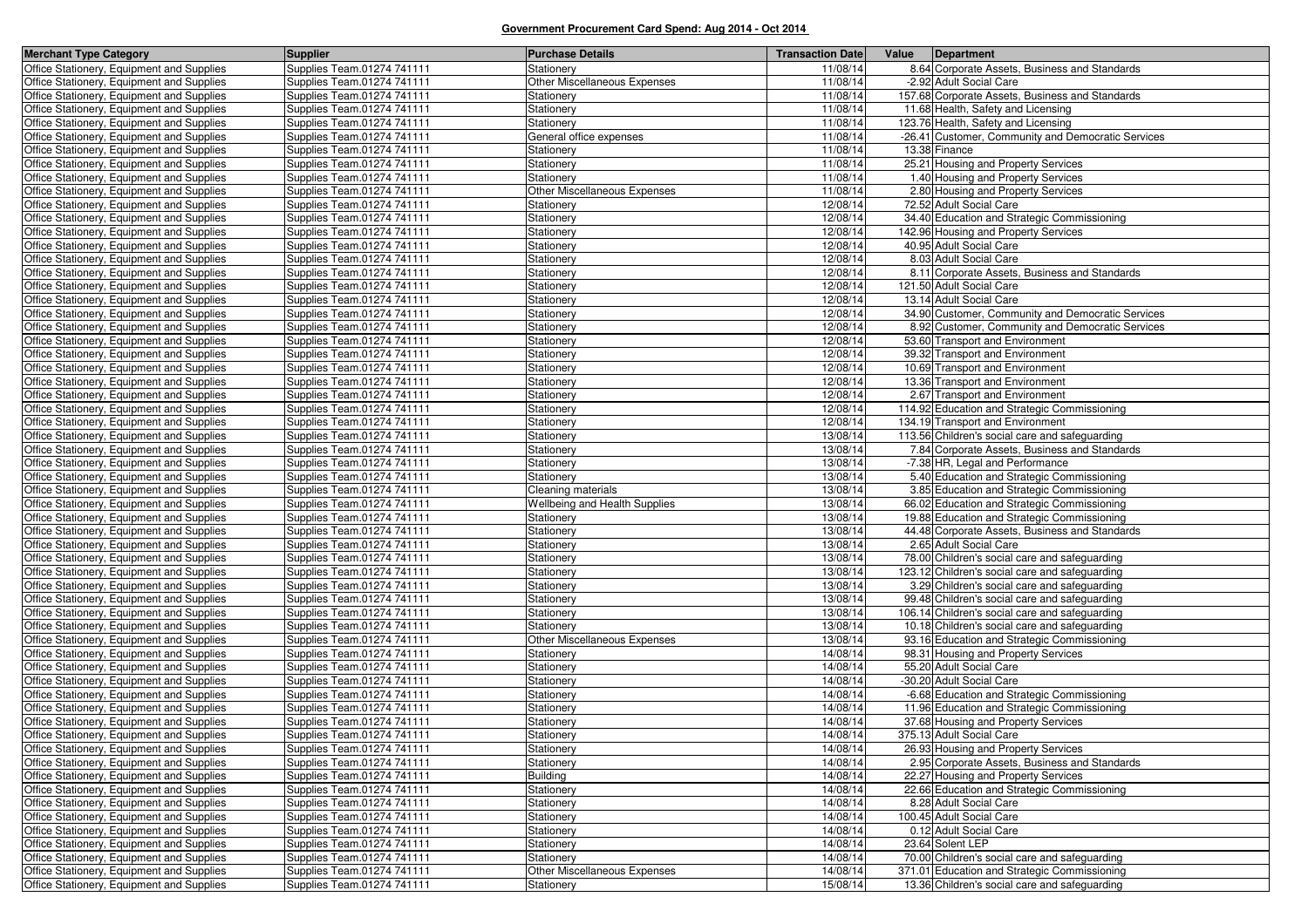| <b>Merchant Type Category</b>                                                          | <b>Supplier</b>                                          | <b>Purchase Details</b>                    | <b>Transaction Date</b> | Value | Department                                                                                      |
|----------------------------------------------------------------------------------------|----------------------------------------------------------|--------------------------------------------|-------------------------|-------|-------------------------------------------------------------------------------------------------|
| Office Stationery, Equipment and Supplies                                              | Supplies Team.01274 741111                               | Stationery                                 | 11/08/14                |       | 8.64 Corporate Assets, Business and Standards                                                   |
| Office Stationery, Equipment and Supplies                                              | Supplies Team.01274 741111                               | Other Miscellaneous Expenses               | 11/08/14                |       | -2.92 Adult Social Care                                                                         |
| Office Stationery, Equipment and Supplies                                              | Supplies Team.01274 741111                               | Stationery                                 | 11/08/14                |       | 157.68 Corporate Assets, Business and Standards                                                 |
| Office Stationery, Equipment and Supplies                                              | Supplies Team.01274 741111                               | Stationery                                 | 11/08/14                |       | 11.68 Health, Safety and Licensing                                                              |
| Office Stationery, Equipment and Supplies                                              | Supplies Team.01274 741111                               | Stationery                                 | 11/08/14                |       | 123.76 Health, Safety and Licensing                                                             |
| Office Stationery, Equipment and Supplies                                              | Supplies Team.01274 741111                               | General office expenses                    | 11/08/14                |       | -26.41 Customer, Community and Democratic Services                                              |
| Office Stationery, Equipment and Supplies                                              | Supplies Team.01274 741111                               | Stationery                                 | 11/08/14                |       | 13.38 Finance                                                                                   |
| Office Stationery, Equipment and Supplies                                              | Supplies Team.01274 741111                               | Stationery                                 | 11/08/14                |       | 25.21 Housing and Property Services                                                             |
| Office Stationery, Equipment and Supplies                                              | Supplies Team.01274 741111                               | Stationery                                 | 11/08/14                |       | 1.40 Housing and Property Services                                                              |
| Office Stationery, Equipment and Supplies                                              | Supplies Team.01274 741111                               | Other Miscellaneous Expenses               | 11/08/14                |       | 2.80 Housing and Property Services                                                              |
| Office Stationery, Equipment and Supplies                                              | Supplies Team.01274 741111                               | Stationery                                 | 12/08/14                |       | 72.52 Adult Social Care                                                                         |
| Office Stationery, Equipment and Supplies                                              | Supplies Team.01274 741111                               | Stationery                                 | 12/08/14                |       | 34.40 Education and Strategic Commissioning                                                     |
| Office Stationery, Equipment and Supplies                                              | Supplies Team.01274 741111                               | Stationery                                 | 12/08/14                |       | 142.96 Housing and Property Services                                                            |
| Office Stationery, Equipment and Supplies                                              | Supplies Team.01274 741111                               | Stationery                                 | 12/08/14                |       | 40.95 Adult Social Care                                                                         |
| Office Stationery, Equipment and Supplies                                              | Supplies Team.01274 741111                               | Stationery                                 | 12/08/14                |       | 8.03 Adult Social Care                                                                          |
| Office Stationery, Equipment and Supplies                                              | Supplies Team.01274 741111                               | Stationery                                 | 12/08/14                |       | 8.11 Corporate Assets, Business and Standards                                                   |
| Office Stationery, Equipment and Supplies                                              | Supplies Team.01274 741111                               | Stationery                                 | 12/08/14                |       | 121.50 Adult Social Care                                                                        |
| Office Stationery, Equipment and Supplies                                              | Supplies Team.01274 741111                               | Stationery                                 | 12/08/14                |       | 13.14 Adult Social Care                                                                         |
| Office Stationery, Equipment and Supplies                                              | Supplies Team.01274 741111                               | Stationery                                 | 12/08/14                |       | 34.90 Customer, Community and Democratic Services                                               |
| Office Stationery, Equipment and Supplies                                              | Supplies Team.01274 741111                               | Stationery                                 | 12/08/14                |       | 8.92 Customer, Community and Democratic Services                                                |
| Office Stationery, Equipment and Supplies                                              | Supplies Team.01274 741111                               | Stationery                                 | 12/08/14                |       | 53.60 Transport and Environment                                                                 |
| Office Stationery, Equipment and Supplies                                              | Supplies Team.01274 741111                               | Stationery                                 | 12/08/14                |       | 39.32 Transport and Environment                                                                 |
| Office Stationery, Equipment and Supplies                                              | Supplies Team.01274 741111                               | <b>Stationery</b>                          | 12/08/14                |       | 10.69 Transport and Environment                                                                 |
| Office Stationery, Equipment and Supplies                                              | Supplies Team.01274 741111                               | Stationery                                 | 12/08/14                |       | 13.36 Transport and Environment                                                                 |
| Office Stationery, Equipment and Supplies                                              | Supplies Team.01274 741111                               | Stationery                                 | 12/08/14                |       | 2.67 Transport and Environment                                                                  |
| Office Stationery, Equipment and Supplies                                              | Supplies Team.01274 741111                               | Stationery                                 | 12/08/14                |       | 114.92 Education and Strategic Commissioning                                                    |
| Office Stationery, Equipment and Supplies                                              | Supplies Team.01274 741111                               | Stationery                                 | 12/08/14                |       | 134.19 Transport and Environment                                                                |
| Office Stationery, Equipment and Supplies                                              | Supplies Team.01274 741111                               | Stationery                                 | 13/08/14                |       | 113.56 Children's social care and safeguarding                                                  |
| Office Stationery, Equipment and Supplies                                              | Supplies Team.01274 741111                               | Stationery                                 | 13/08/14                |       | 7.84 Corporate Assets, Business and Standards                                                   |
| Office Stationery, Equipment and Supplies                                              | Supplies Team.01274 741111                               | Stationery                                 | 13/08/14                |       | -7.38 HR, Legal and Performance                                                                 |
| Office Stationery, Equipment and Supplies                                              | Supplies Team.01274 741111                               | Stationery                                 | 13/08/14                |       | 5.40 Education and Strategic Commissioning                                                      |
| Office Stationery, Equipment and Supplies                                              | Supplies Team.01274 741111                               | Cleaning materials                         | 13/08/14                |       | 3.85 Education and Strategic Commissioning                                                      |
| Office Stationery, Equipment and Supplies                                              | Supplies Team.01274 741111                               | <b>Wellbeing and Health Supplies</b>       | 13/08/14                |       | 66.02 Education and Strategic Commissioning                                                     |
| Office Stationery, Equipment and Supplies                                              | Supplies Team.01274 741111                               | <b>Stationery</b>                          | 13/08/14                |       | 19.88 Education and Strategic Commissioning                                                     |
| Office Stationery, Equipment and Supplies                                              | Supplies Team.01274 741111                               | Stationery                                 | 13/08/14                |       | 44.48 Corporate Assets, Business and Standards                                                  |
| Office Stationery, Equipment and Supplies                                              | Supplies Team.01274 741111                               | Stationery                                 | 13/08/14                |       | 2.65 Adult Social Care                                                                          |
| Office Stationery, Equipment and Supplies                                              | Supplies Team.01274 741111                               | Stationery                                 | 13/08/14                |       | 78.00 Children's social care and safeguarding                                                   |
| Office Stationery, Equipment and Supplies                                              | Supplies Team.01274 741111                               | Stationery                                 | 13/08/14                |       | 123.12 Children's social care and safeguarding                                                  |
| Office Stationery, Equipment and Supplies                                              | Supplies Team.01274 741111                               | Stationery                                 | 13/08/14<br>13/08/14    |       | 3.29 Children's social care and safeguarding                                                    |
| Office Stationery, Equipment and Supplies                                              | Supplies Team.01274 741111                               | Stationery                                 |                         |       | 99.48 Children's social care and safeguarding                                                   |
| Office Stationery, Equipment and Supplies                                              | Supplies Team.01274 741111<br>Supplies Team.01274 741111 | Stationery                                 | 13/08/14<br>13/08/14    |       | 106.14 Children's social care and safeguarding<br>10.18 Children's social care and safeguarding |
| Office Stationery, Equipment and Supplies                                              |                                                          | Stationery                                 | 13/08/14                |       |                                                                                                 |
| Office Stationery, Equipment and Supplies<br>Office Stationery, Equipment and Supplies | Supplies Team.01274 741111<br>Supplies Team.01274 741111 | Other Miscellaneous Expenses<br>Stationery | 14/08/14                |       | 93.16 Education and Strategic Commissioning<br>98.31 Housing and Property Services              |
| Office Stationery, Equipment and Supplies                                              | Supplies Team.01274 741111                               |                                            | 14/08/14                |       | 55.20 Adult Social Care                                                                         |
| Office Stationery, Equipment and Supplies                                              | Supplies Team.01274 741111                               | Stationery<br>Stationery                   | 14/08/14                |       | -30.20 Adult Social Care                                                                        |
| Office Stationery, Equipment and Supplies                                              | Supplies Team.01274 741111                               | Stationery                                 | 14/08/14                |       | -6.68 Education and Strategic Commissioning                                                     |
| Office Stationery, Equipment and Supplies                                              | Supplies Team.01274 741111                               | Stationery                                 | 14/08/14                |       | 11.96 Education and Strategic Commissioning                                                     |
| Office Stationery, Equipment and Supplies                                              | Supplies Team.01274 741111                               | Stationery                                 | 14/08/14                |       | 37.68 Housing and Property Services                                                             |
| Office Stationery, Equipment and Supplies                                              | Supplies Team.01274 741111                               | Stationery                                 | 14/08/14                |       | 375.13 Adult Social Care                                                                        |
| Office Stationery, Equipment and Supplies                                              | Supplies Team.01274 741111                               | Stationery                                 | 14/08/14                |       | 26.93 Housing and Property Services                                                             |
| Office Stationery, Equipment and Supplies                                              | Supplies Team.01274 741111                               | Stationery                                 | 14/08/14                |       | 2.95 Corporate Assets, Business and Standards                                                   |
| Office Stationery, Equipment and Supplies                                              | Supplies Team.01274 741111                               | <b>Building</b>                            | 14/08/14                |       | 22.27 Housing and Property Services                                                             |
| Office Stationery, Equipment and Supplies                                              | Supplies Team.01274 741111                               | Stationery                                 | 14/08/14                |       | 22.66 Education and Strategic Commissioning                                                     |
| Office Stationery, Equipment and Supplies                                              | Supplies Team.01274 741111                               | Stationery                                 | 14/08/14                |       | 8.28 Adult Social Care                                                                          |
| Office Stationery, Equipment and Supplies                                              | Supplies Team.01274 741111                               | Stationery                                 | 14/08/14                |       | 100.45 Adult Social Care                                                                        |
| Office Stationery, Equipment and Supplies                                              | Supplies Team.01274 741111                               | Stationery                                 | 14/08/14                |       | 0.12 Adult Social Care                                                                          |
| Office Stationery, Equipment and Supplies                                              | Supplies Team.01274 741111                               | Stationery                                 | 14/08/14                |       | 23.64 Solent LEP                                                                                |
| Office Stationery, Equipment and Supplies                                              | Supplies Team.01274 741111                               | Stationery                                 | 14/08/14                |       | 70.00 Children's social care and safeguarding                                                   |
| Office Stationery, Equipment and Supplies                                              | Supplies Team.01274 741111                               | Other Miscellaneous Expenses               | 14/08/14                |       | 371.01 Education and Strategic Commissioning                                                    |
| Office Stationery, Equipment and Supplies                                              | Supplies Team.01274 741111                               | Stationery                                 | 15/08/14                |       | 13.36 Children's social care and safeguarding                                                   |
|                                                                                        |                                                          |                                            |                         |       |                                                                                                 |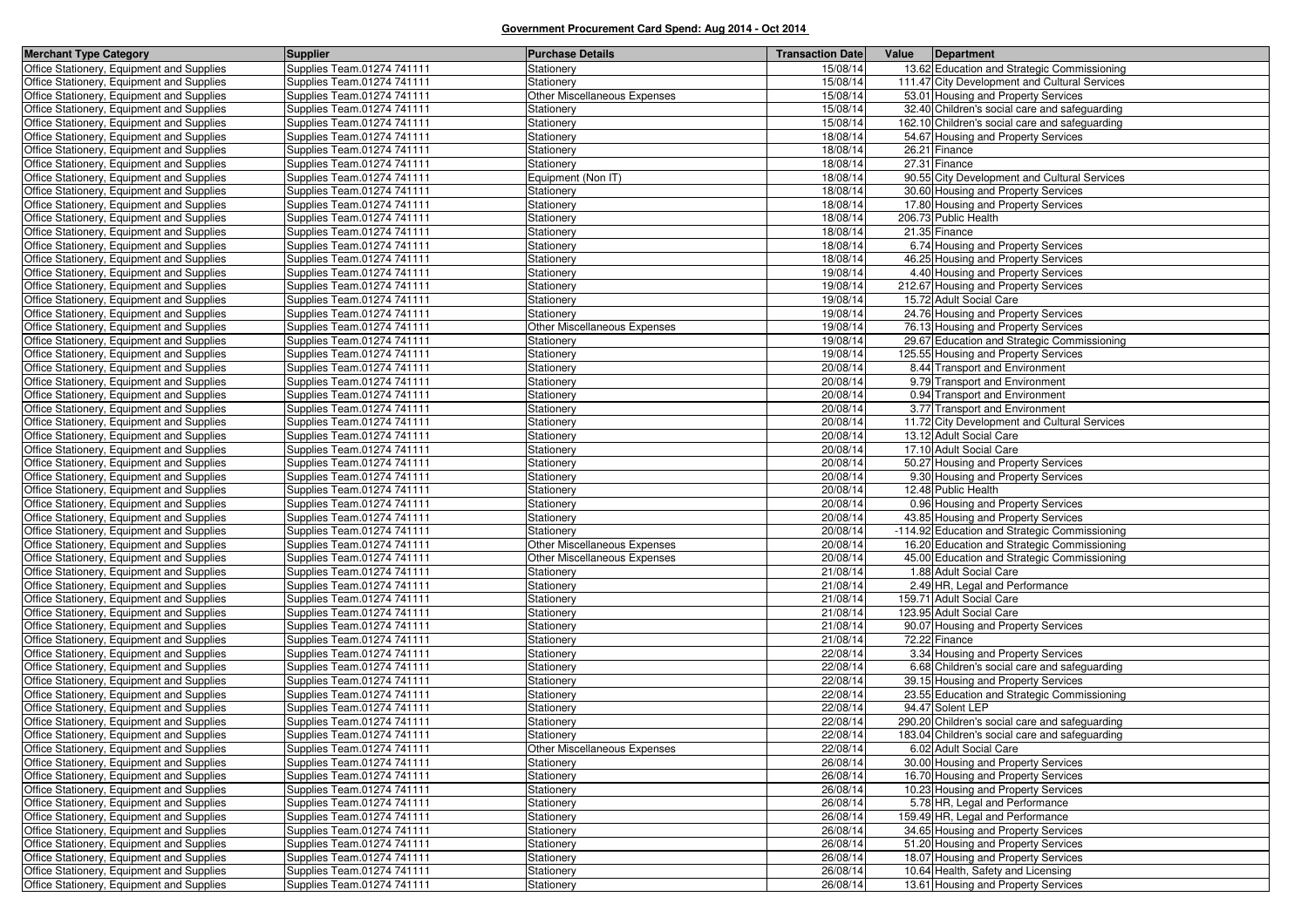| <b>Merchant Type Category</b>             | <b>Supplier</b>            | <b>Purchase Details</b>             | <b>Transaction Date</b> | Value<br>Department                            |
|-------------------------------------------|----------------------------|-------------------------------------|-------------------------|------------------------------------------------|
| Office Stationery, Equipment and Supplies | Supplies Team.01274 741111 | Stationery                          | 15/08/14                | 13.62 Education and Strategic Commissioning    |
| Office Stationery, Equipment and Supplies | Supplies Team.01274 741111 | Stationery                          | 15/08/14                | 111.47 City Development and Cultural Services  |
| Office Stationery, Equipment and Supplies | Supplies Team.01274 741111 | Other Miscellaneous Expenses        | 15/08/14                | 53.01 Housing and Property Services            |
| Office Stationery, Equipment and Supplies | Supplies Team.01274 741111 | Stationery                          | 15/08/14                | 32.40 Children's social care and safeguarding  |
| Office Stationery, Equipment and Supplies | Supplies Team.01274 741111 | Stationery                          | 15/08/14                | 162.10 Children's social care and safeguarding |
| Office Stationery, Equipment and Supplies | Supplies Team.01274 741111 | Stationery                          | 18/08/14                | 54.67 Housing and Property Services            |
| Office Stationery, Equipment and Supplies | Supplies Team.01274 741111 | Stationery                          | 18/08/14                | 26.21 Finance                                  |
| Office Stationery, Equipment and Supplies | Supplies Team.01274 741111 | <b>Stationery</b>                   | 18/08/14                | 27.31 Finance                                  |
| Office Stationery, Equipment and Supplies | Supplies Team.01274 741111 | Equipment (Non IT)                  | 18/08/14                | 90.55 City Development and Cultural Services   |
| Office Stationery, Equipment and Supplies | Supplies Team.01274 741111 | Stationery                          | 18/08/14                | 30.60 Housing and Property Services            |
| Office Stationery, Equipment and Supplies | Supplies Team.01274 741111 | Stationery                          | 18/08/14                | 17.80 Housing and Property Services            |
| Office Stationery, Equipment and Supplies | Supplies Team.01274 741111 | Stationery                          | 18/08/14                | 206.73 Public Health                           |
| Office Stationery, Equipment and Supplies | Supplies Team.01274 741111 | Stationery                          | 18/08/14                | 21.35 Finance                                  |
| Office Stationery, Equipment and Supplies | Supplies Team.01274 741111 | Stationery                          | 18/08/14                | 6.74 Housing and Property Services             |
| Office Stationery, Equipment and Supplies | Supplies Team.01274 741111 | Stationery                          | 18/08/14                | 46.25 Housing and Property Services            |
| Office Stationery, Equipment and Supplies | Supplies Team.01274 741111 | Stationery                          | 19/08/14                | 4.40 Housing and Property Services             |
| Office Stationery, Equipment and Supplies | Supplies Team.01274 741111 | Stationery                          | 19/08/14                | 212.67 Housing and Property Services           |
| Office Stationery, Equipment and Supplies | Supplies Team.01274 741111 | Stationery                          | 19/08/14                | 15.72 Adult Social Care                        |
| Office Stationery, Equipment and Supplies | Supplies Team.01274 741111 | Stationery                          | 19/08/14                | 24.76 Housing and Property Services            |
| Office Stationery, Equipment and Supplies | Supplies Team.01274 741111 | Other Miscellaneous Expenses        | 19/08/14                | 76.13 Housing and Property Services            |
| Office Stationery, Equipment and Supplies | Supplies Team.01274 741111 | Stationery                          | 19/08/14                | 29.67 Education and Strategic Commissioning    |
| Office Stationery, Equipment and Supplies | Supplies Team.01274 741111 | Stationery                          | 19/08/14                | 125.55 Housing and Property Services           |
| Office Stationery, Equipment and Supplies | Supplies Team.01274 741111 | Stationery                          | 20/08/14                | 8.44 Transport and Environment                 |
| Office Stationery, Equipment and Supplies | Supplies Team.01274 741111 | Stationery                          | 20/08/14                | 9.79 Transport and Environment                 |
| Office Stationery, Equipment and Supplies | Supplies Team.01274 741111 | Stationery                          | 20/08/14                | 0.94 Transport and Environment                 |
| Office Stationery, Equipment and Supplies | Supplies Team.01274 741111 | Stationery                          | 20/08/14                | 3.77 Transport and Environment                 |
| Office Stationery, Equipment and Supplies | Supplies Team.01274 741111 | Stationery                          | 20/08/14                | 11.72 City Development and Cultural Services   |
| Office Stationery, Equipment and Supplies | Supplies Team.01274 741111 | Stationery                          | 20/08/14                | 13.12 Adult Social Care                        |
| Office Stationery, Equipment and Supplies | Supplies Team.01274 741111 | Stationery                          | 20/08/14                | 17.10 Adult Social Care                        |
| Office Stationery, Equipment and Supplies | Supplies Team.01274 741111 | Stationery                          | 20/08/14                | 50.27 Housing and Property Services            |
| Office Stationery, Equipment and Supplies | Supplies Team.01274 741111 | Stationery                          | 20/08/14                | 9.30 Housing and Property Services             |
| Office Stationery, Equipment and Supplies | Supplies Team.01274 741111 | Stationery                          | 20/08/14                | 12.48 Public Health                            |
| Office Stationery, Equipment and Supplies | Supplies Team.01274 741111 | Stationery                          | 20/08/14                | 0.96 Housing and Property Services             |
| Office Stationery, Equipment and Supplies | Supplies Team.01274 741111 | Stationery                          | 20/08/14                | 43.85 Housing and Property Services            |
| Office Stationery, Equipment and Supplies | Supplies Team.01274 741111 | Stationery                          | 20/08/14                | -114.92 Education and Strategic Commissioning  |
| Office Stationery, Equipment and Supplies | Supplies Team.01274 741111 | Other Miscellaneous Expenses        | 20/08/14                | 16.20 Education and Strategic Commissioning    |
| Office Stationery, Equipment and Supplies | Supplies Team.01274 741111 | <b>Other Miscellaneous Expenses</b> | 20/08/14                | 45.00 Education and Strategic Commissioning    |
| Office Stationery, Equipment and Supplies | Supplies Team.01274 741111 | Stationery                          | 21/08/14                | 1.88 Adult Social Care                         |
| Office Stationery, Equipment and Supplies | Supplies Team.01274 741111 | Stationery                          | 21/08/14                | 2.49 HR, Legal and Performance                 |
| Office Stationery, Equipment and Supplies | Supplies Team.01274 741111 | Stationery                          | 21/08/14                | 159.71 Adult Social Care                       |
| Office Stationery, Equipment and Supplies | Supplies Team.01274 741111 | Stationery                          | 21/08/14                | 123.95 Adult Social Care                       |
| Office Stationery, Equipment and Supplies | Supplies Team.01274 741111 | Stationery                          | 21/08/14                | 90.07 Housing and Property Services            |
| Office Stationery, Equipment and Supplies | Supplies Team.01274 741111 | Stationery                          | 21/08/14                | 72.22 Finance                                  |
| Office Stationery, Equipment and Supplies | Supplies Team.01274 741111 | Stationery                          | 22/08/14                | 3.34 Housing and Property Services             |
| Office Stationery, Equipment and Supplies | Supplies Team.01274 741111 | <b>Stationery</b>                   | 22/08/14                | 6.68 Children's social care and safeguarding   |
| Office Stationery, Equipment and Supplies | Supplies Team.01274 741111 | Stationery                          | 22/08/14                | 39.15 Housing and Property Services            |
| Office Stationery, Equipment and Supplies | Supplies Team.01274 741111 | Stationery                          | 22/08/14                | 23.55 Education and Strategic Commissioning    |
| Office Stationery, Equipment and Supplies | Supplies Team.01274 741111 | <b>Stationery</b>                   | 22/08/14                | 94.47 Solent LEP                               |
| Office Stationery, Equipment and Supplies | Supplies Team.01274 741111 | Stationery                          | 22/08/14                | 290.20 Children's social care and safeguarding |
| Office Stationery, Equipment and Supplies | Supplies Team.01274 741111 | Stationery                          | 22/08/14                | 183.04 Children's social care and safeguarding |
| Office Stationery, Equipment and Supplies | Supplies Team.01274 741111 | Other Miscellaneous Expenses        | 22/08/14                | 6.02 Adult Social Care                         |
| Office Stationery, Equipment and Supplies | Supplies Team.01274 741111 | Stationery                          | 26/08/14                | 30.00 Housing and Property Services            |
| Office Stationery, Equipment and Supplies | Supplies Team.01274 741111 | Stationery                          | 26/08/14                | 16.70 Housing and Property Services            |
| Office Stationery, Equipment and Supplies | Supplies Team.01274 741111 | Stationery                          | 26/08/14                | 10.23 Housing and Property Services            |
| Office Stationery, Equipment and Supplies | Supplies Team.01274 741111 | Stationery                          | 26/08/14                | 5.78 HR, Legal and Performance                 |
| Office Stationery, Equipment and Supplies | Supplies Team.01274 741111 | Stationery                          | 26/08/14                | 159.49 HR, Legal and Performance               |
| Office Stationery, Equipment and Supplies | Supplies Team.01274 741111 | Stationery                          | 26/08/14                | 34.65 Housing and Property Services            |
| Office Stationery, Equipment and Supplies | Supplies Team.01274 741111 | Stationery                          | 26/08/14                | 51.20 Housing and Property Services            |
| Office Stationery, Equipment and Supplies | Supplies Team.01274 741111 | Stationery                          | 26/08/14                | 18.07 Housing and Property Services            |
| Office Stationery, Equipment and Supplies | Supplies Team.01274 741111 | Stationery                          | 26/08/14                | 10.64 Health, Safety and Licensing             |
| Office Stationery, Equipment and Supplies | Supplies Team.01274 741111 | Stationery                          | 26/08/14                | 13.61 Housing and Property Services            |
|                                           |                            |                                     |                         |                                                |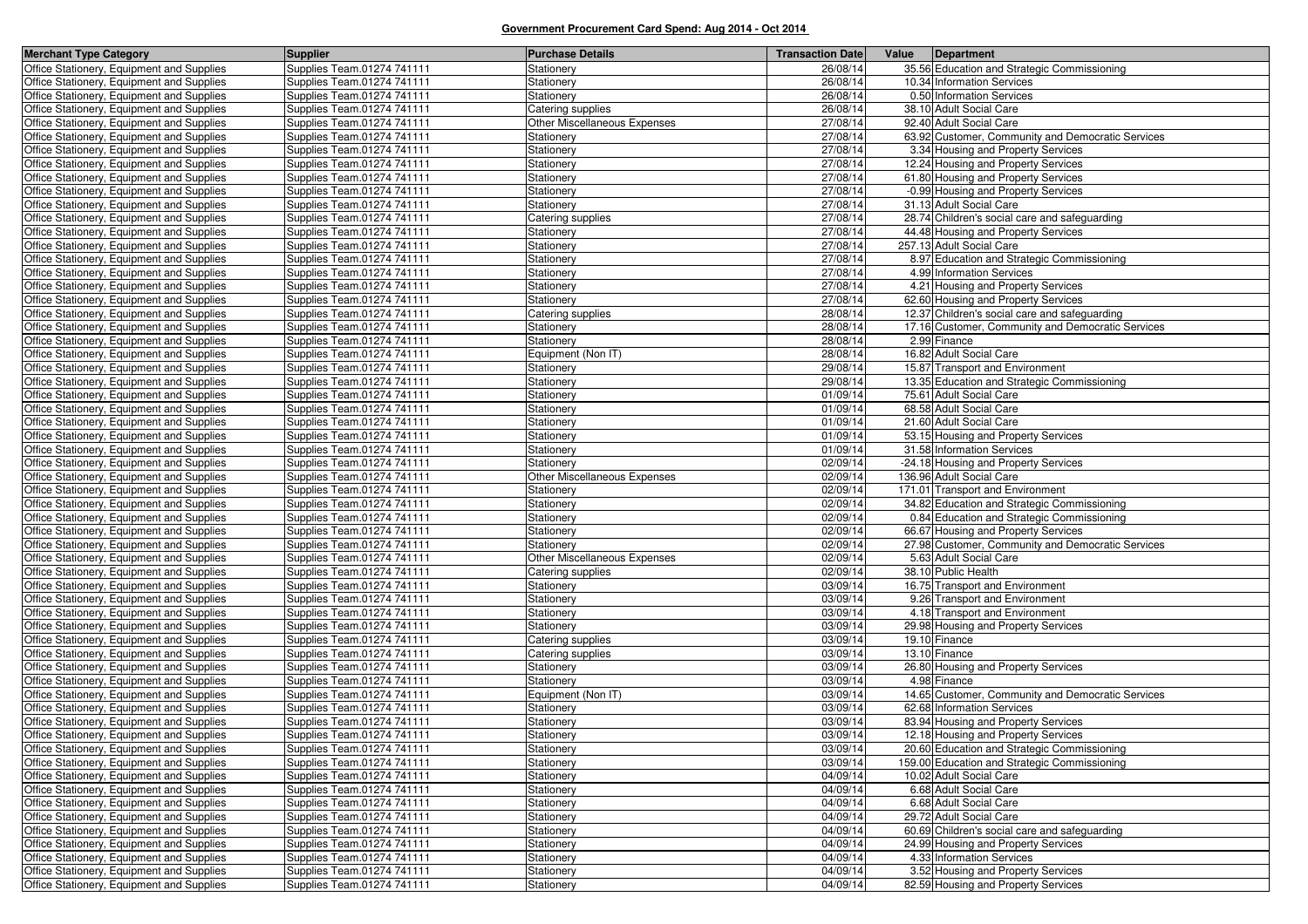| <b>Merchant Type Category</b>                                                          | <b>Supplier</b>                                          | <b>Purchase Details</b>      | <b>Transaction Date</b> | Value<br>Department                                                                         |
|----------------------------------------------------------------------------------------|----------------------------------------------------------|------------------------------|-------------------------|---------------------------------------------------------------------------------------------|
| Office Stationery, Equipment and Supplies                                              | Supplies Team.01274 741111                               | Stationery                   | 26/08/14                | 35.56 Education and Strategic Commissioning                                                 |
| Office Stationery, Equipment and Supplies                                              | Supplies Team.01274 741111                               | Stationery                   | 26/08/14                | 10.34 Information Services                                                                  |
| Office Stationery, Equipment and Supplies                                              | Supplies Team.01274 741111                               | Stationery                   | 26/08/14                | 0.50 Information Services                                                                   |
| Office Stationery, Equipment and Supplies                                              | Supplies Team.01274 741111                               | Catering supplies            | 26/08/14                | 38.10 Adult Social Care                                                                     |
| Office Stationery, Equipment and Supplies                                              | Supplies Team.01274 741111                               | Other Miscellaneous Expenses | 27/08/14                | 92.40 Adult Social Care                                                                     |
| Office Stationery, Equipment and Supplies                                              | Supplies Team.01274 741111                               | Stationery                   | 27/08/14                | 63.92 Customer, Community and Democratic Services                                           |
| Office Stationery, Equipment and Supplies                                              | Supplies Team.01274 741111                               | Stationery                   | 27/08/14                | 3.34 Housing and Property Services                                                          |
| Office Stationery, Equipment and Supplies                                              | Supplies Team.01274 741111                               | Stationery                   | 27/08/14                | 12.24 Housing and Property Services                                                         |
| Office Stationery, Equipment and Supplies                                              | Supplies Team.01274 741111                               | Stationery                   | 27/08/14                | 61.80 Housing and Property Services                                                         |
| Office Stationery, Equipment and Supplies                                              | Supplies Team.01274 741111                               | Stationery                   | 27/08/14                | -0.99 Housing and Property Services                                                         |
| Office Stationery, Equipment and Supplies                                              | Supplies Team.01274 741111                               | Stationery                   | 27/08/14                | 31.13 Adult Social Care                                                                     |
| Office Stationery, Equipment and Supplies                                              | Supplies Team.01274 741111                               | Catering supplies            | 27/08/14                | 28.74 Children's social care and safeguarding                                               |
| Office Stationery, Equipment and Supplies                                              | Supplies Team.01274 741111                               | Stationery                   | 27/08/14                | 44.48 Housing and Property Services                                                         |
| Office Stationery, Equipment and Supplies                                              | Supplies Team.01274 741111                               | Stationery                   | 27/08/14                | 257.13 Adult Social Care                                                                    |
| Office Stationery, Equipment and Supplies                                              | Supplies Team.01274 741111                               | Stationery                   | 27/08/14                | 8.97 Education and Strategic Commissioning                                                  |
| Office Stationery, Equipment and Supplies                                              | Supplies Team.01274 741111                               | Stationery                   | 27/08/14                | 4.99 Information Services                                                                   |
| Office Stationery, Equipment and Supplies                                              | Supplies Team.01274 741111                               | Stationery                   | 27/08/14                | 4.21 Housing and Property Services                                                          |
| Office Stationery, Equipment and Supplies                                              | Supplies Team.01274 741111                               | Stationery                   | 27/08/14                | 62.60 Housing and Property Services                                                         |
| Office Stationery, Equipment and Supplies                                              | Supplies Team.01274 741111                               | Catering supplies            | 28/08/14                | 12.37 Children's social care and safeguarding                                               |
| Office Stationery, Equipment and Supplies                                              | Supplies Team.01274 741111                               | Stationery                   | 28/08/14                | 17.16 Customer, Community and Democratic Services                                           |
| Office Stationery, Equipment and Supplies                                              | Supplies Team.01274 741111                               | Stationery                   | 28/08/14                | 2.99 Finance                                                                                |
| Office Stationery, Equipment and Supplies                                              | Supplies Team.01274 741111                               | Equipment (Non IT)           | 28/08/14                | 16.82 Adult Social Care                                                                     |
| Office Stationery, Equipment and Supplies                                              | Supplies Team.01274 741111                               | Stationery                   | 29/08/14                | 15.87 Transport and Environment                                                             |
| Office Stationery, Equipment and Supplies                                              | Supplies Team.01274 741111                               | Stationery                   | 29/08/14                | 13.35 Education and Strategic Commissioning                                                 |
| Office Stationery, Equipment and Supplies                                              | Supplies Team.01274 741111                               | Stationery                   | 01/09/14                | 75.61 Adult Social Care                                                                     |
| Office Stationery, Equipment and Supplies                                              | Supplies Team.01274 741111                               | Stationery                   | 01/09/14                | 68.58 Adult Social Care                                                                     |
| Office Stationery, Equipment and Supplies                                              | Supplies Team.01274 741111                               | Stationery                   | 01/09/14                | 21.60 Adult Social Care                                                                     |
| Office Stationery, Equipment and Supplies                                              | Supplies Team.01274 741111                               | Stationery                   | 01/09/14                | 53.15 Housing and Property Services                                                         |
| Office Stationery, Equipment and Supplies                                              | Supplies Team.01274 741111                               | Stationery                   | 01/09/14                | 31.58 Information Services                                                                  |
| Office Stationery, Equipment and Supplies                                              | Supplies Team.01274 741111                               | Stationery                   | 02/09/14                | -24.18 Housing and Property Services                                                        |
| Office Stationery, Equipment and Supplies                                              | Supplies Team.01274 741111                               | Other Miscellaneous Expenses | 02/09/14                | 136.96 Adult Social Care                                                                    |
| Office Stationery, Equipment and Supplies                                              | Supplies Team.01274 741111                               | Stationery                   | 02/09/14                | 171.01 Transport and Environment                                                            |
| Office Stationery, Equipment and Supplies                                              | Supplies Team.01274 741111                               | Stationery                   | 02/09/14                | 34.82 Education and Strategic Commissioning                                                 |
| Office Stationery, Equipment and Supplies                                              | Supplies Team.01274 741111                               | Stationery                   | 02/09/14                | 0.84 Education and Strategic Commissioning                                                  |
| Office Stationery, Equipment and Supplies                                              | Supplies Team.01274 741111                               | Stationery                   | 02/09/14                | 66.67 Housing and Property Services                                                         |
| Office Stationery, Equipment and Supplies                                              | Supplies Team.01274 741111                               | Stationery                   | 02/09/14                | 27.98 Customer, Community and Democratic Services                                           |
| Office Stationery, Equipment and Supplies                                              | Supplies Team.01274 741111                               | Other Miscellaneous Expenses | 02/09/14                | 5.63 Adult Social Care                                                                      |
| Office Stationery, Equipment and Supplies                                              | Supplies Team.01274 741111                               | Catering supplies            | 02/09/14                | 38.10 Public Health                                                                         |
| Office Stationery, Equipment and Supplies                                              | Supplies Team.01274 741111                               | Stationery                   | 03/09/14                | 16.75 Transport and Environment                                                             |
| Office Stationery, Equipment and Supplies                                              | Supplies Team.01274 741111                               | Stationery                   | 03/09/14                | 9.26 Transport and Environment                                                              |
| Office Stationery, Equipment and Supplies                                              | Supplies Team.01274 741111                               | Stationery                   | 03/09/14                | 4.18 Transport and Environment                                                              |
| Office Stationery, Equipment and Supplies                                              | Supplies Team.01274 741111                               | Stationery                   | 03/09/14                | 29.98 Housing and Property Services                                                         |
| Office Stationery, Equipment and Supplies                                              | Supplies Team.01274 741111                               | Catering supplies            | 03/09/14                | 19.10 Finance                                                                               |
| Office Stationery, Equipment and Supplies                                              | Supplies Team.01274 741111                               | Catering supplies            | 03/09/14                | 13.10 Finance                                                                               |
| Office Stationery, Equipment and Supplies                                              | Supplies Team.01274 741111                               | Stationery                   | 03/09/14                | 26.80 Housing and Property Services<br>4.98 Finance                                         |
| Office Stationery, Equipment and Supplies                                              | Supplies Team.01274 741111                               | Stationery                   | 03/09/14<br>03/09/14    |                                                                                             |
| Office Stationery, Equipment and Supplies                                              | Supplies Team.01274 741111                               | Equipment (Non IT)           |                         | 14.65 Customer, Community and Democratic Services                                           |
| Office Stationery, Equipment and Supplies                                              | Supplies Team.01274 741111<br>Supplies Team.01274 741111 | Stationery                   | 03/09/14<br>03/09/14    | 62.68 Information Services                                                                  |
| Office Stationery, Equipment and Supplies<br>Office Stationery, Equipment and Supplies | Supplies Team.01274 741111                               | Stationery<br>Stationery     | 03/09/14                | 83.94 Housing and Property Services<br>12.18 Housing and Property Services                  |
|                                                                                        |                                                          |                              |                         |                                                                                             |
| Office Stationery, Equipment and Supplies<br>Office Stationery, Equipment and Supplies | Supplies Team.01274 741111<br>Supplies Team.01274 741111 | Stationery                   | 03/09/14<br>03/09/14    | 20.60 Education and Strategic Commissioning<br>159.00 Education and Strategic Commissioning |
| Office Stationery, Equipment and Supplies                                              | Supplies Team.01274 741111                               | Stationery<br>Stationery     | 04/09/14                | 10.02 Adult Social Care                                                                     |
| Office Stationery, Equipment and Supplies                                              | Supplies Team.01274 741111                               | Stationery                   | 04/09/14                | 6.68 Adult Social Care                                                                      |
| Office Stationery, Equipment and Supplies                                              | Supplies Team.01274 741111                               | Stationery                   | 04/09/14                | 6.68 Adult Social Care                                                                      |
| Office Stationery, Equipment and Supplies                                              | Supplies Team.01274 741111                               | Stationery                   | 04/09/14                | 29.72 Adult Social Care                                                                     |
| Office Stationery, Equipment and Supplies                                              | Supplies Team.01274 741111                               | Stationery                   | 04/09/14                | 60.69 Children's social care and safeguarding                                               |
| Office Stationery, Equipment and Supplies                                              | Supplies Team.01274 741111                               | Stationery                   | 04/09/14                | 24.99 Housing and Property Services                                                         |
| Office Stationery, Equipment and Supplies                                              | Supplies Team.01274 741111                               | Stationery                   | 04/09/14                | 4.33 Information Services                                                                   |
| Office Stationery, Equipment and Supplies                                              | Supplies Team.01274 741111                               | Stationery                   | 04/09/14                | 3.52 Housing and Property Services                                                          |
| Office Stationery, Equipment and Supplies                                              | Supplies Team.01274 741111                               | Stationery                   | 04/09/14                | 82.59 Housing and Property Services                                                         |
|                                                                                        |                                                          |                              |                         |                                                                                             |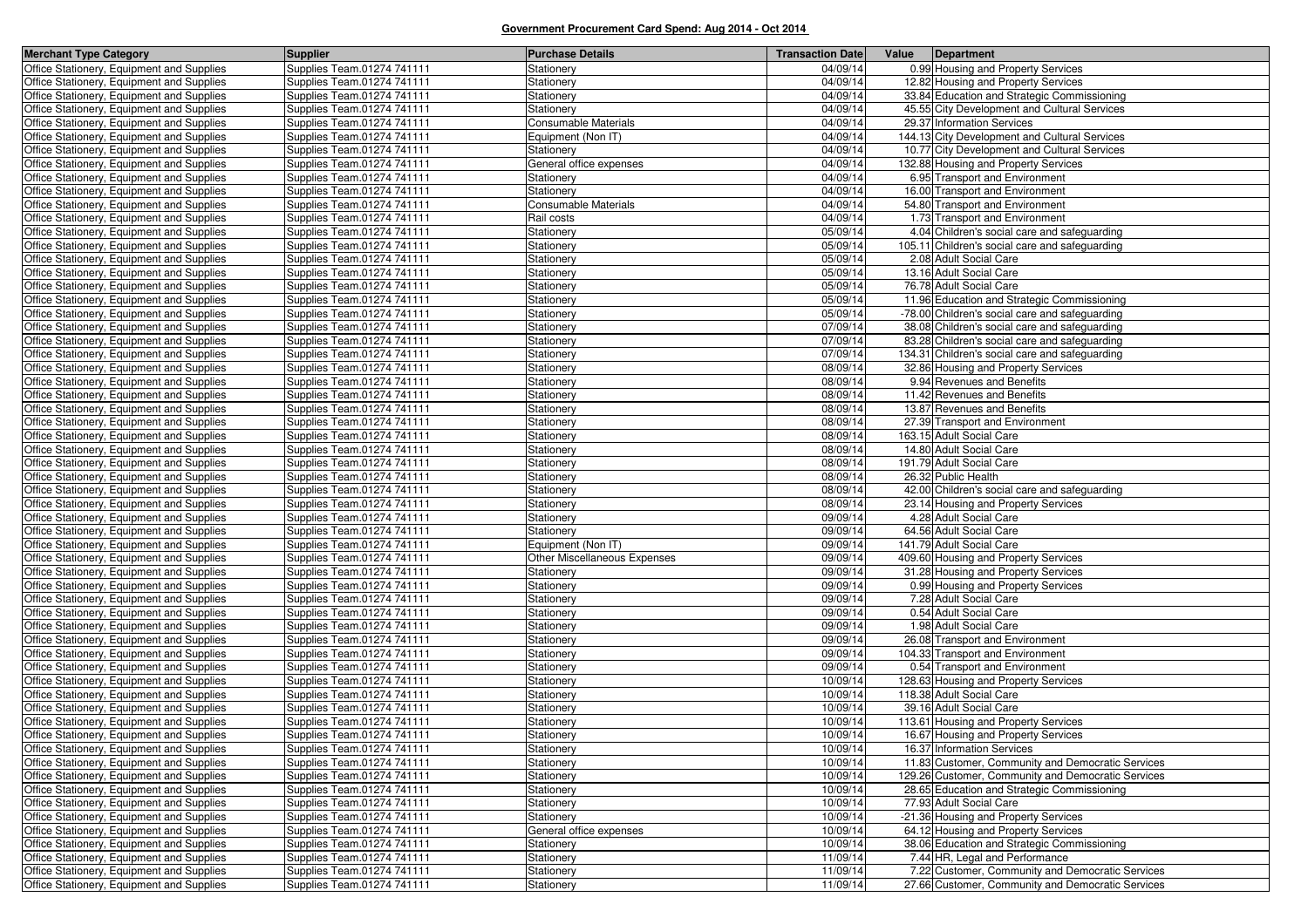| <b>Merchant Type Category</b>             | <b>Supplier</b>            | <b>Purchase Details</b>      | <b>Transaction Date</b> | Value<br>Department                                |
|-------------------------------------------|----------------------------|------------------------------|-------------------------|----------------------------------------------------|
| Office Stationery, Equipment and Supplies | Supplies Team.01274 741111 | Stationery                   | 04/09/14                | 0.99 Housing and Property Services                 |
| Office Stationery, Equipment and Supplies | Supplies Team.01274 741111 | Stationery                   | 04/09/14                | 12.82 Housing and Property Services                |
| Office Stationery, Equipment and Supplies | Supplies Team.01274 741111 | Stationery                   | 04/09/14                | 33.84 Education and Strategic Commissioning        |
| Office Stationery, Equipment and Supplies | Supplies Team.01274 741111 | Stationery                   | 04/09/14                | 45.55 City Development and Cultural Services       |
| Office Stationery, Equipment and Supplies | Supplies Team.01274 741111 | Consumable Materials         | 04/09/14                | 29.37 Information Services                         |
| Office Stationery, Equipment and Supplies | Supplies Team.01274 741111 | Equipment (Non IT)           | 04/09/14                | 144.13 City Development and Cultural Services      |
| Office Stationery, Equipment and Supplies | Supplies Team.01274 741111 | Stationery                   | 04/09/14                | 10.77 City Development and Cultural Services       |
| Office Stationery, Equipment and Supplies | Supplies Team.01274 741111 | General office expenses      | 04/09/14                | 132.88 Housing and Property Services               |
| Office Stationery, Equipment and Supplies | Supplies Team.01274 741111 | Stationery                   | 04/09/14                | 6.95 Transport and Environment                     |
| Office Stationery, Equipment and Supplies | Supplies Team.01274 741111 | Stationery                   | 04/09/14                | 16.00 Transport and Environment                    |
| Office Stationery, Equipment and Supplies | Supplies Team.01274 741111 | <b>Consumable Materials</b>  | 04/09/14                | 54.80 Transport and Environment                    |
| Office Stationery, Equipment and Supplies | Supplies Team.01274 741111 | Rail costs                   | 04/09/14                | 1.73 Transport and Environment                     |
| Office Stationery, Equipment and Supplies | Supplies Team.01274 741111 | Stationery                   | 05/09/14                | 4.04 Children's social care and safeguarding       |
| Office Stationery, Equipment and Supplies | Supplies Team.01274 741111 | Stationery                   | 05/09/14                | 105.11 Children's social care and safeguarding     |
| Office Stationery, Equipment and Supplies | Supplies Team.01274 741111 | Stationery                   | 05/09/14                | 2.08 Adult Social Care                             |
| Office Stationery, Equipment and Supplies | Supplies Team.01274 741111 | Stationery                   | 05/09/14                | 13.16 Adult Social Care                            |
| Office Stationery, Equipment and Supplies | Supplies Team.01274 741111 | Stationery                   | 05/09/14                | 76.78 Adult Social Care                            |
| Office Stationery, Equipment and Supplies | Supplies Team.01274 741111 | Stationery                   | 05/09/14                | 11.96 Education and Strategic Commissioning        |
| Office Stationery, Equipment and Supplies | Supplies Team.01274 741111 | Stationery                   | 05/09/14                | -78.00 Children's social care and safeguarding     |
| Office Stationery, Equipment and Supplies | Supplies Team.01274 741111 | Stationery                   | 07/09/14                | 38.08 Children's social care and safeguarding      |
| Office Stationery, Equipment and Supplies | Supplies Team.01274 741111 | Stationery                   | 07/09/14                | 83.28 Children's social care and safeguarding      |
| Office Stationery, Equipment and Supplies | Supplies Team.01274 741111 | Stationery                   | 07/09/14                | 134.31 Children's social care and safeguarding     |
| Office Stationery, Equipment and Supplies | Supplies Team.01274 741111 | Stationery                   | 08/09/14                | 32.86 Housing and Property Services                |
| Office Stationery, Equipment and Supplies | Supplies Team.01274 741111 | Stationery                   | 08/09/14                | 9.94 Revenues and Benefits                         |
| Office Stationery, Equipment and Supplies | Supplies Team.01274 741111 | Stationery                   | 08/09/14                | 11.42 Revenues and Benefits                        |
| Office Stationery, Equipment and Supplies | Supplies Team.01274 741111 | Stationery                   | 08/09/14                | 13.87 Revenues and Benefits                        |
| Office Stationery, Equipment and Supplies | Supplies Team.01274 741111 | Stationery                   | 08/09/14                | 27.39 Transport and Environment                    |
| Office Stationery, Equipment and Supplies | Supplies Team.01274 741111 | Stationery                   | 08/09/14                | 163.15 Adult Social Care                           |
| Office Stationery, Equipment and Supplies | Supplies Team.01274 741111 | Stationery                   | 08/09/14                | 14.80 Adult Social Care                            |
| Office Stationery, Equipment and Supplies | Supplies Team.01274 741111 | Stationery                   | 08/09/14                | 191.79 Adult Social Care                           |
| Office Stationery, Equipment and Supplies | Supplies Team.01274 741111 | Stationery                   | 08/09/14                | 26.32 Public Health                                |
| Office Stationery, Equipment and Supplies | Supplies Team.01274 741111 | Stationery                   | 08/09/14                | 42.00 Children's social care and safeguarding      |
| Office Stationery, Equipment and Supplies | Supplies Team.01274 741111 | Stationery                   | 08/09/14                | 23.14 Housing and Property Services                |
| Office Stationery, Equipment and Supplies | Supplies Team.01274 741111 | Stationery                   | 09/09/14                | 4.28 Adult Social Care                             |
| Office Stationery, Equipment and Supplies | Supplies Team.01274 741111 | Stationery                   | 09/09/14                | 64.56 Adult Social Care                            |
| Office Stationery, Equipment and Supplies | Supplies Team.01274 741111 | Equipment (Non IT)           | 09/09/14                | 141.79 Adult Social Care                           |
| Office Stationery, Equipment and Supplies | Supplies Team.01274 741111 | Other Miscellaneous Expenses | 09/09/14                | 409.60 Housing and Property Services               |
| Office Stationery, Equipment and Supplies | Supplies Team.01274 741111 | Stationery                   | 09/09/14                | 31.28 Housing and Property Services                |
| Office Stationery, Equipment and Supplies | Supplies Team.01274 741111 | Stationery                   | 09/09/14                | 0.99 Housing and Property Services                 |
| Office Stationery, Equipment and Supplies | Supplies Team.01274 741111 | Stationery                   | 09/09/14                | 7.28 Adult Social Care                             |
| Office Stationery, Equipment and Supplies | Supplies Team.01274 741111 | Stationery                   | 09/09/14                | 0.54 Adult Social Care                             |
| Office Stationery, Equipment and Supplies | Supplies Team.01274 741111 | Stationery                   | 09/09/14                | 1.98 Adult Social Care                             |
| Office Stationery, Equipment and Supplies | Supplies Team.01274 741111 | Stationery                   | 09/09/14                | 26.08 Transport and Environment                    |
| Office Stationery, Equipment and Supplies | Supplies Team.01274 741111 | Stationery                   | 09/09/14                | 104.33 Transport and Environment                   |
| Office Stationery, Equipment and Supplies | Supplies Team.01274 741111 | Stationery                   | 09/09/14                | 0.54 Transport and Environment                     |
| Office Stationery, Equipment and Supplies | Supplies Team.01274 741111 | Stationery                   | 10/09/14                | 128.63 Housing and Property Services               |
| Office Stationery, Equipment and Supplies | Supplies Team.01274 741111 | Stationery                   | 10/09/14                | 118.38 Adult Social Care                           |
| Office Stationery, Equipment and Supplies | Supplies Team.01274 741111 | Stationery                   | 10/09/14                | 39.16 Adult Social Care                            |
| Office Stationery, Equipment and Supplies | Supplies Team.01274 741111 | Stationery                   | 10/09/14                | 113.61 Housing and Property Services               |
| Office Stationery, Equipment and Supplies | Supplies Team.01274 741111 | Stationery                   | 10/09/14                | 16.67 Housing and Property Services                |
| Office Stationery, Equipment and Supplies | Supplies Team.01274 741111 | Stationery                   | 10/09/14                | 16.37 Information Services                         |
| Office Stationery, Equipment and Supplies | Supplies Team.01274 741111 | Stationery                   | 10/09/14                | 11.83 Customer, Community and Democratic Services  |
| Office Stationery, Equipment and Supplies | Supplies Team.01274 741111 | Stationery                   | 10/09/14                | 129.26 Customer, Community and Democratic Services |
| Office Stationery, Equipment and Supplies | Supplies Team.01274 741111 | Stationery                   | 10/09/14                | 28.65 Education and Strategic Commissioning        |
| Office Stationery, Equipment and Supplies | Supplies Team.01274 741111 | Stationery                   | 10/09/14                | 77.93 Adult Social Care                            |
| Office Stationery, Equipment and Supplies | Supplies Team.01274 741111 | Stationery                   | 10/09/14                | -21.36 Housing and Property Services               |
| Office Stationery, Equipment and Supplies | Supplies Team.01274 741111 | General office expenses      | 10/09/14                | 64.12 Housing and Property Services                |
| Office Stationery, Equipment and Supplies | Supplies Team.01274 741111 | Stationery                   | 10/09/14                | 38.06 Education and Strategic Commissioning        |
| Office Stationery, Equipment and Supplies | Supplies Team.01274 741111 | Stationery                   | 11/09/14                | 7.44 HR, Legal and Performance                     |
| Office Stationery, Equipment and Supplies | Supplies Team.01274 741111 | Stationery                   | 11/09/14                | 7.22 Customer, Community and Democratic Services   |
| Office Stationery, Equipment and Supplies | Supplies Team.01274 741111 | Stationery                   | 11/09/14                | 27.66 Customer, Community and Democratic Services  |
|                                           |                            |                              |                         |                                                    |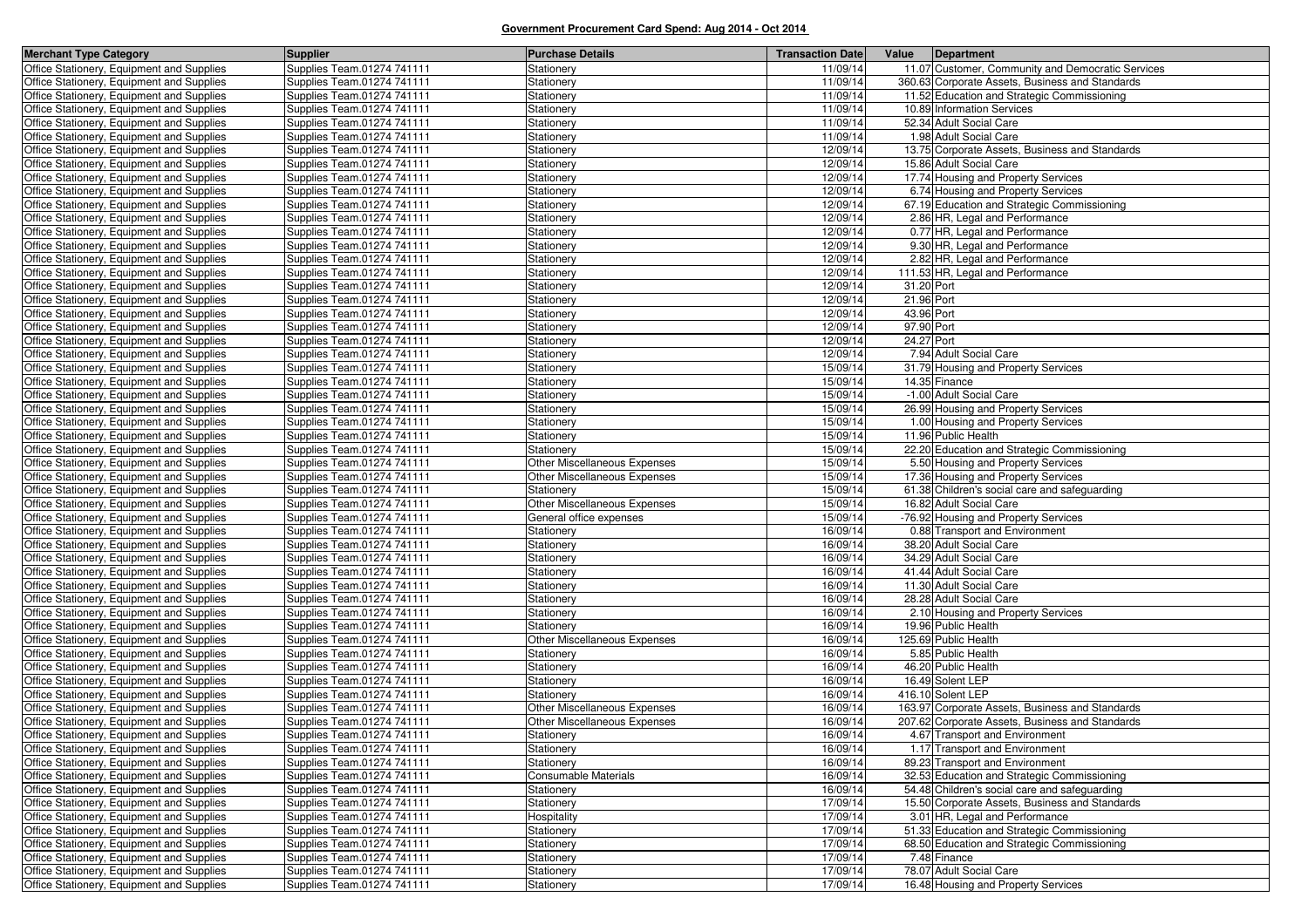| <b>Merchant Type Category</b>                                                          | <b>Supplier</b>                                          | <b>Purchase Details</b>      | <b>Transaction Date</b> |            | Value Department                                   |
|----------------------------------------------------------------------------------------|----------------------------------------------------------|------------------------------|-------------------------|------------|----------------------------------------------------|
| Office Stationery, Equipment and Supplies                                              | Supplies Team.01274 741111                               | Stationery                   | 11/09/14                |            | 11.07 Customer, Community and Democratic Services  |
| Office Stationery, Equipment and Supplies                                              | Supplies Team.01274 741111                               | Stationery                   | 11/09/14                |            | 360.63 Corporate Assets, Business and Standards    |
| Office Stationery, Equipment and Supplies                                              | Supplies Team.01274 741111                               | Stationery                   | 11/09/14                |            | 11.52 Education and Strategic Commissioning        |
| Office Stationery, Equipment and Supplies                                              | Supplies Team.01274 741111                               | Stationery                   | 11/09/14                |            | 10.89 Information Services                         |
| Office Stationery, Equipment and Supplies                                              | Supplies Team.01274 741111                               | Stationery                   | 11/09/14                |            | 52.34 Adult Social Care                            |
| Office Stationery, Equipment and Supplies                                              | Supplies Team.01274 741111                               | Stationery                   | 11/09/14                |            | 1.98 Adult Social Care                             |
| Office Stationery, Equipment and Supplies                                              | Supplies Team.01274 741111                               | Stationery                   | 12/09/14                |            | 13.75 Corporate Assets, Business and Standards     |
| Office Stationery, Equipment and Supplies                                              | Supplies Team.01274 741111                               | Stationery                   | 12/09/14                |            | 15.86 Adult Social Care                            |
| Office Stationery, Equipment and Supplies                                              | Supplies Team.01274 741111                               | Stationery                   | 12/09/14                |            | 17.74 Housing and Property Services                |
| Office Stationery, Equipment and Supplies                                              | Supplies Team.01274 741111                               | Stationery                   | 12/09/14                |            | 6.74 Housing and Property Services                 |
| Office Stationery, Equipment and Supplies                                              | Supplies Team.01274 741111                               | Stationery                   | 12/09/14                |            | 67.19 Education and Strategic Commissioning        |
| Office Stationery, Equipment and Supplies                                              | Supplies Team.01274 741111                               | Stationery                   | 12/09/14                |            | 2.86 HR, Legal and Performance                     |
| Office Stationery, Equipment and Supplies                                              | Supplies Team.01274 741111                               | Stationery                   | 12/09/14                |            | 0.77 HR, Legal and Performance                     |
| Office Stationery, Equipment and Supplies                                              | Supplies Team.01274 741111                               | Stationery                   | 12/09/14                |            | 9.30 HR, Legal and Performance                     |
| Office Stationery, Equipment and Supplies                                              | Supplies Team.01274 741111                               | Stationery                   | 12/09/14                |            | 2.82 HR, Legal and Performance                     |
| Office Stationery, Equipment and Supplies                                              | Supplies Team.01274 741111                               | Stationery                   | 12/09/14                |            | 111.53 HR, Legal and Performance                   |
| Office Stationery, Equipment and Supplies                                              | Supplies Team.01274 741111                               | Stationery                   | 12/09/14                | 31.20 Port |                                                    |
| Office Stationery, Equipment and Supplies                                              | Supplies Team.01274 741111                               | Stationery                   | 12/09/14                | 21.96 Port |                                                    |
| Office Stationery, Equipment and Supplies                                              | Supplies Team.01274 741111                               | Stationery                   | 12/09/14                | 43.96 Port |                                                    |
| Office Stationery, Equipment and Supplies                                              | Supplies Team.01274 741111                               | Stationery                   | 12/09/14                | 97.90 Port |                                                    |
| Office Stationery, Equipment and Supplies                                              | Supplies Team.01274 741111                               | Stationery                   | 12/09/14                | 24.27 Port |                                                    |
| Office Stationery, Equipment and Supplies                                              | Supplies Team.01274 741111                               | Stationery                   | 12/09/14                |            | 7.94 Adult Social Care                             |
| Office Stationery, Equipment and Supplies                                              | Supplies Team.01274 741111                               | Stationery                   | 15/09/14                |            | 31.79 Housing and Property Services                |
| Office Stationery, Equipment and Supplies                                              | Supplies Team.01274 741111                               | Stationery                   | 15/09/14                |            | 14.35 Finance                                      |
| Office Stationery, Equipment and Supplies                                              | Supplies Team.01274 741111                               | Stationery                   | 15/09/14                |            | -1.00 Adult Social Care                            |
| Office Stationery, Equipment and Supplies                                              | Supplies Team.01274 741111                               | Stationery                   | 15/09/14                |            | 26.99 Housing and Property Services                |
| Office Stationery, Equipment and Supplies                                              | Supplies Team.01274 741111                               | Stationery                   | 15/09/14                |            | 1.00 Housing and Property Services                 |
| Office Stationery, Equipment and Supplies                                              | Supplies Team.01274 741111                               | Stationery                   | 15/09/14                |            | 11.96 Public Health                                |
| Office Stationery, Equipment and Supplies                                              | Supplies Team.01274 741111                               | Stationery                   | 15/09/14                |            | 22.20 Education and Strategic Commissioning        |
| Office Stationery, Equipment and Supplies                                              | Supplies Team.01274 741111                               | Other Miscellaneous Expenses | 15/09/14                |            | 5.50 Housing and Property Services                 |
| Office Stationery, Equipment and Supplies                                              | Supplies Team.01274 741111                               | Other Miscellaneous Expenses | 15/09/14                |            | 17.36 Housing and Property Services                |
| Office Stationery, Equipment and Supplies                                              | Supplies Team.01274 741111                               | Stationery                   | 15/09/14                |            | 61.38 Children's social care and safeguarding      |
| Office Stationery, Equipment and Supplies                                              | Supplies Team.01274 741111                               | Other Miscellaneous Expenses | 15/09/14                |            | 16.82 Adult Social Care                            |
| Office Stationery, Equipment and Supplies                                              | Supplies Team.01274 741111                               | General office expenses      | 15/09/14                |            | -76.92 Housing and Property Services               |
| Office Stationery, Equipment and Supplies                                              | Supplies Team.01274 741111                               | Stationery                   | 16/09/14                |            | 0.88 Transport and Environment                     |
| Office Stationery, Equipment and Supplies                                              | Supplies Team.01274 741111                               | Stationery                   | 16/09/14                |            | 38.20 Adult Social Care                            |
| Office Stationery, Equipment and Supplies                                              | Supplies Team.01274 741111                               | Stationery                   | 16/09/14                |            | 34.29 Adult Social Care                            |
| Office Stationery, Equipment and Supplies<br>Office Stationery, Equipment and Supplies | Supplies Team.01274 741111<br>Supplies Team.01274 741111 | Stationery                   | 16/09/14<br>16/09/14    |            | 41.44 Adult Social Care<br>11.30 Adult Social Care |
|                                                                                        |                                                          | Stationery                   | 16/09/14                |            | 28.28 Adult Social Care                            |
| Office Stationery, Equipment and Supplies<br>Office Stationery, Equipment and Supplies | Supplies Team.01274 741111<br>Supplies Team.01274 741111 | Stationery<br>Stationery     | 16/09/14                |            | 2.10 Housing and Property Services                 |
| Office Stationery, Equipment and Supplies                                              | Supplies Team.01274 741111                               | Stationery                   | 16/09/14                |            | 19.96 Public Health                                |
| Office Stationery, Equipment and Supplies                                              | Supplies Team.01274 741111                               | Other Miscellaneous Expenses | 16/09/14                |            | 125.69 Public Health                               |
| Office Stationery, Equipment and Supplies                                              | Supplies Team.01274 741111                               | Stationery                   | 16/09/14                |            | 5.85 Public Health                                 |
| Office Stationery, Equipment and Supplies                                              | Supplies Team.01274 741111                               | Stationery                   | 16/09/14                |            | 46.20 Public Health                                |
| Office Stationery, Equipment and Supplies                                              | Supplies Team.01274 741111                               | Stationery                   | 16/09/14                |            | 16.49 Solent LEP                                   |
| Office Stationery, Equipment and Supplies                                              | Supplies Team.01274 741111                               | Stationery                   | 16/09/14                |            | 416.10 Solent LEP                                  |
| Office Stationery, Equipment and Supplies                                              | Supplies Team.01274 741111                               | Other Miscellaneous Expenses | 16/09/14                |            | 163.97 Corporate Assets. Business and Standards    |
| Office Stationery, Equipment and Supplies                                              | Supplies Team.01274 741111                               | Other Miscellaneous Expenses | 16/09/14                |            | 207.62 Corporate Assets, Business and Standards    |
| Office Stationery, Equipment and Supplies                                              | Supplies Team.01274 741111                               | Stationery                   | 16/09/14                |            | 4.67 Transport and Environment                     |
| Office Stationery, Equipment and Supplies                                              | Supplies Team.01274 741111                               | Stationery                   | 16/09/14                |            | 1.17 Transport and Environment                     |
| Office Stationery, Equipment and Supplies                                              | Supplies Team.01274 741111                               | Stationery                   | 16/09/14                |            | 89.23 Transport and Environment                    |
| Office Stationery, Equipment and Supplies                                              | Supplies Team.01274 741111                               | Consumable Materials         | 16/09/14                |            | 32.53 Education and Strategic Commissioning        |
| Office Stationery, Equipment and Supplies                                              | Supplies Team.01274 741111                               | Stationery                   | 16/09/14                |            | 54.48 Children's social care and safeguarding      |
| Office Stationery, Equipment and Supplies                                              | Supplies Team.01274 741111                               | Stationery                   | 17/09/14                |            | 15.50 Corporate Assets, Business and Standards     |
| Office Stationery, Equipment and Supplies                                              | Supplies Team.01274 741111                               | Hospitality                  | 17/09/14                |            | 3.01 HR, Legal and Performance                     |
| Office Stationery, Equipment and Supplies                                              | Supplies Team.01274 741111                               | Stationery                   | 17/09/14                |            | 51.33 Education and Strategic Commissioning        |
| Office Stationery, Equipment and Supplies                                              | Supplies Team.01274 741111                               | Stationery                   | 17/09/14                |            | 68.50 Education and Strategic Commissioning        |
| Office Stationery, Equipment and Supplies                                              | Supplies Team.01274 741111                               | Stationery                   | 17/09/14                |            | 7.48 Finance                                       |
| Office Stationery, Equipment and Supplies                                              | Supplies Team.01274 741111                               | Stationery                   | 17/09/14                |            | 78.07 Adult Social Care                            |
| Office Stationery, Equipment and Supplies                                              | Supplies Team.01274 741111                               | Stationery                   | 17/09/14                |            | 16.48 Housing and Property Services                |
|                                                                                        |                                                          |                              |                         |            |                                                    |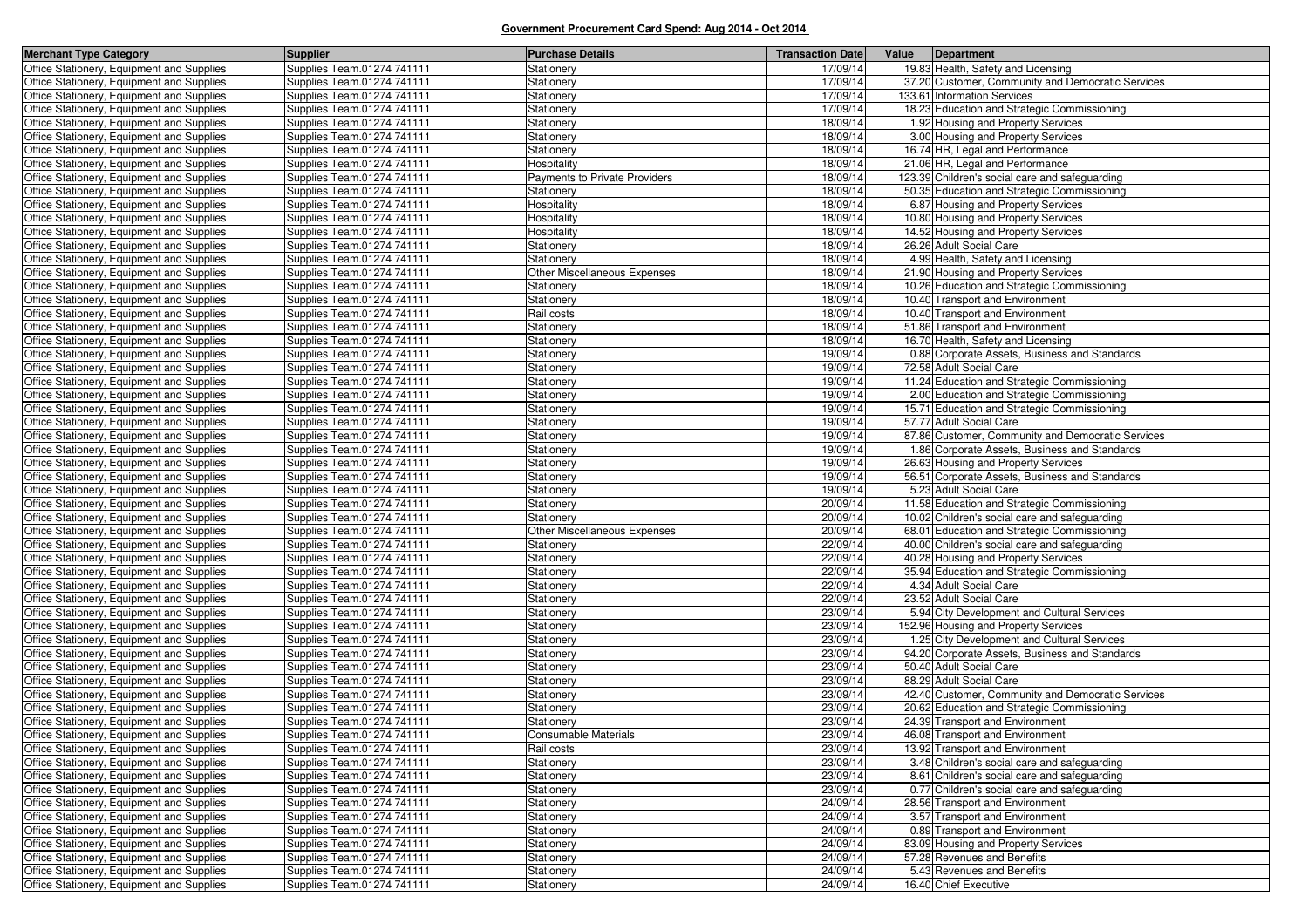| <b>Merchant Type Category</b>             | <b>Supplier</b>            | <b>Purchase Details</b>       | <b>Transaction Date</b> | Value<br>Department                               |
|-------------------------------------------|----------------------------|-------------------------------|-------------------------|---------------------------------------------------|
| Office Stationery, Equipment and Supplies | Supplies Team.01274 741111 | Stationery                    | 17/09/14                | 19.83 Health, Safety and Licensing                |
| Office Stationery, Equipment and Supplies | Supplies Team.01274 741111 | Stationery                    | 17/09/14                | 37.20 Customer, Community and Democratic Services |
| Office Stationery, Equipment and Supplies | Supplies Team.01274 741111 | Stationery                    | 17/09/14                | 133.61 Information Services                       |
| Office Stationery, Equipment and Supplies | Supplies Team.01274 741111 | Stationery                    | 17/09/14                | 18.23 Education and Strategic Commissioning       |
| Office Stationery, Equipment and Supplies | Supplies Team.01274 741111 | Stationery                    | 18/09/14                | 1.92 Housing and Property Services                |
| Office Stationery, Equipment and Supplies | Supplies Team.01274 741111 | Stationery                    | 18/09/14                | 3.00 Housing and Property Services                |
| Office Stationery, Equipment and Supplies | Supplies Team.01274 741111 | Stationery                    | 18/09/14                | 16.74 HR, Legal and Performance                   |
| Office Stationery, Equipment and Supplies | Supplies Team.01274 741111 | Hospitality                   | 18/09/14                | 21.06 HR, Legal and Performance                   |
| Office Stationery, Equipment and Supplies | Supplies Team.01274 741111 | Payments to Private Providers | 18/09/14                | 123.39 Children's social care and safeguarding    |
| Office Stationery, Equipment and Supplies | Supplies Team.01274 741111 | Stationery                    | 18/09/14                | 50.35 Education and Strategic Commissioning       |
| Office Stationery, Equipment and Supplies | Supplies Team.01274 741111 | Hospitality                   | 18/09/14                | 6.87 Housing and Property Services                |
| Office Stationery, Equipment and Supplies | Supplies Team.01274 741111 | Hospitality                   | 18/09/14                | 10.80 Housing and Property Services               |
| Office Stationery, Equipment and Supplies | Supplies Team.01274 741111 | Hospitality                   | 18/09/14                | 14.52 Housing and Property Services               |
| Office Stationery, Equipment and Supplies | Supplies Team.01274 741111 | Stationery                    | 18/09/14                | 26.26 Adult Social Care                           |
| Office Stationery, Equipment and Supplies | Supplies Team.01274 741111 | Stationery                    | 18/09/14                | 4.99 Health, Safety and Licensing                 |
| Office Stationery, Equipment and Supplies | Supplies Team.01274 741111 | Other Miscellaneous Expenses  | 18/09/14                | 21.90 Housing and Property Services               |
| Office Stationery, Equipment and Supplies | Supplies Team.01274 741111 | Stationery                    | 18/09/14                | 10.26 Education and Strategic Commissioning       |
| Office Stationery, Equipment and Supplies | Supplies Team.01274 741111 | Stationery                    | 18/09/14                | 10.40 Transport and Environment                   |
| Office Stationery, Equipment and Supplies | Supplies Team.01274 741111 | Rail costs                    | 18/09/14                | 10.40 Transport and Environment                   |
| Office Stationery, Equipment and Supplies | Supplies Team.01274 741111 | Stationery                    | 18/09/14                | 51.86 Transport and Environment                   |
| Office Stationery, Equipment and Supplies | Supplies Team.01274 741111 | Stationery                    | 18/09/14                | 16.70 Health, Safety and Licensing                |
| Office Stationery, Equipment and Supplies | Supplies Team.01274 741111 | Stationery                    | 19/09/14                | 0.88 Corporate Assets, Business and Standards     |
| Office Stationery, Equipment and Supplies | Supplies Team.01274 741111 | Stationery                    | 19/09/14                | 72.58 Adult Social Care                           |
| Office Stationery, Equipment and Supplies | Supplies Team.01274 741111 | Stationery                    | 19/09/14                | 11.24 Education and Strategic Commissioning       |
| Office Stationery, Equipment and Supplies | Supplies Team.01274 741111 | Stationery                    | 19/09/14                | 2.00 Education and Strategic Commissioning        |
| Office Stationery, Equipment and Supplies | Supplies Team.01274 741111 | Stationery                    | 19/09/14                | 15.71 Education and Strategic Commissioning       |
| Office Stationery, Equipment and Supplies | Supplies Team.01274 741111 | Stationery                    | 19/09/14                | 57.77 Adult Social Care                           |
| Office Stationery, Equipment and Supplies | Supplies Team.01274 741111 | Stationery                    | 19/09/14                | 87.86 Customer, Community and Democratic Services |
| Office Stationery, Equipment and Supplies | Supplies Team.01274 741111 | Stationery                    | 19/09/14                | 1.86 Corporate Assets, Business and Standards     |
| Office Stationery, Equipment and Supplies | Supplies Team.01274 741111 | Stationery                    | 19/09/14                | 26.63 Housing and Property Services               |
| Office Stationery, Equipment and Supplies | Supplies Team.01274 741111 | Stationery                    | 19/09/14                | 56.51 Corporate Assets, Business and Standards    |
| Office Stationery, Equipment and Supplies | Supplies Team.01274 741111 | Stationery                    | 19/09/14                | 5.23 Adult Social Care                            |
| Office Stationery, Equipment and Supplies | Supplies Team.01274 741111 | Stationery                    | 20/09/14                | 11.58 Education and Strategic Commissioning       |
| Office Stationery, Equipment and Supplies | Supplies Team.01274 741111 | Stationery                    | 20/09/14                | 10.02 Children's social care and safeguarding     |
| Office Stationery, Equipment and Supplies | Supplies Team.01274 741111 | Other Miscellaneous Expenses  | 20/09/14                | 68.01 Education and Strategic Commissioning       |
| Office Stationery, Equipment and Supplies | Supplies Team.01274 741111 | Stationery                    | 22/09/14                | 40.00 Children's social care and safeguarding     |
| Office Stationery, Equipment and Supplies | Supplies Team.01274 741111 | Stationery                    | 22/09/14                | 40.28 Housing and Property Services               |
| Office Stationery, Equipment and Supplies | Supplies Team.01274 741111 | Stationery                    | 22/09/14                | 35.94 Education and Strategic Commissioning       |
| Office Stationery, Equipment and Supplies | Supplies Team.01274 741111 | Stationery                    | 22/09/14                | 4.34 Adult Social Care                            |
| Office Stationery, Equipment and Supplies | Supplies Team.01274 741111 | Stationery                    | 22/09/14                | 23.52 Adult Social Care                           |
| Office Stationery, Equipment and Supplies | Supplies Team.01274 741111 | Stationery                    | 23/09/14                | 5.94 City Development and Cultural Services       |
| Office Stationery, Equipment and Supplies | Supplies Team.01274 741111 | Stationery                    | 23/09/14                | 152.96 Housing and Property Services              |
| Office Stationery, Equipment and Supplies | Supplies Team.01274 741111 | Stationery                    | 23/09/14                | 1.25 City Development and Cultural Services       |
| Office Stationery, Equipment and Supplies | Supplies Team.01274 741111 | Stationery                    | 23/09/14                | 94.20 Corporate Assets, Business and Standards    |
| Office Stationery, Equipment and Supplies | Supplies Team.01274 741111 | Stationery                    | 23/09/14                | 50.40 Adult Social Care                           |
| Office Stationery, Equipment and Supplies | Supplies Team.01274 741111 | Stationery                    | 23/09/14                | 88.29 Adult Social Care                           |
| Office Stationery, Equipment and Supplies | Supplies Team.01274 741111 | Stationery                    | 23/09/14                | 42.40 Customer, Community and Democratic Services |
| Office Stationery, Equipment and Supplies | Supplies Team.01274 741111 | Stationery                    | 23/09/14                | 20.62 Education and Strategic Commissioning       |
| Office Stationery, Equipment and Supplies | Supplies Team.01274 741111 | Stationery                    | 23/09/14                | 24.39 Transport and Environment                   |
| Office Stationery, Equipment and Supplies | Supplies Team.01274 741111 | <b>Consumable Materials</b>   | 23/09/14                | 46.08 Transport and Environment                   |
| Office Stationery, Equipment and Supplies | Supplies Team.01274 741111 | Rail costs                    | 23/09/14                | 13.92 Transport and Environment                   |
| Office Stationery, Equipment and Supplies | Supplies Team.01274 741111 | Stationery                    | 23/09/14                | 3.48 Children's social care and safeguarding      |
| Office Stationery, Equipment and Supplies | Supplies Team.01274 741111 | Stationery                    | 23/09/14                | 8.61 Children's social care and safeguarding      |
| Office Stationery, Equipment and Supplies | Supplies Team.01274 741111 | Stationery                    | 23/09/14                | 0.77 Children's social care and safeguarding      |
| Office Stationery, Equipment and Supplies | Supplies Team.01274 741111 | Stationery                    | 24/09/14                | 28.56 Transport and Environment                   |
| Office Stationery, Equipment and Supplies | Supplies Team.01274 741111 | Stationery                    | 24/09/14                | 3.57 Transport and Environment                    |
| Office Stationery, Equipment and Supplies | Supplies Team.01274 741111 | Stationery                    | 24/09/14                | 0.89 Transport and Environment                    |
| Office Stationery, Equipment and Supplies | Supplies Team.01274 741111 | Stationery                    | 24/09/14                | 83.09 Housing and Property Services               |
| Office Stationery, Equipment and Supplies | Supplies Team.01274 741111 | Stationery                    | 24/09/14                | 57.28 Revenues and Benefits                       |
| Office Stationery, Equipment and Supplies | Supplies Team.01274 741111 | Stationery                    | 24/09/14                | 5.43 Revenues and Benefits                        |
| Office Stationery, Equipment and Supplies | Supplies Team.01274 741111 | Stationery                    | 24/09/14                | 16.40 Chief Executive                             |
|                                           |                            |                               |                         |                                                   |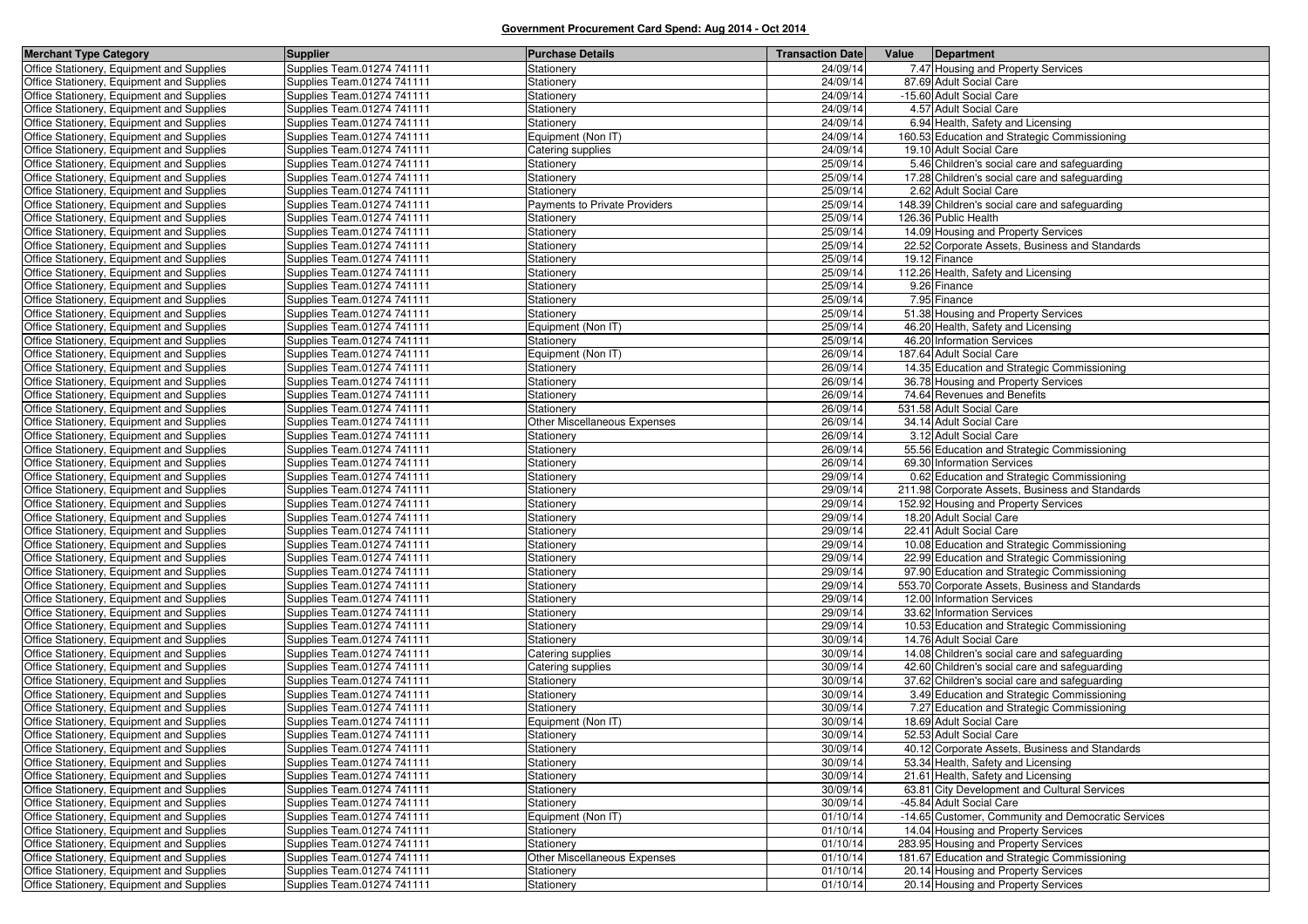| <b>Merchant Type Category</b>                                                          | <b>Supplier</b>                                          | <b>Purchase Details</b>              | <b>Transaction Date</b> | Value<br>Department                                                                            |
|----------------------------------------------------------------------------------------|----------------------------------------------------------|--------------------------------------|-------------------------|------------------------------------------------------------------------------------------------|
| Office Stationery, Equipment and Supplies                                              | Supplies Team.01274 741111                               | Stationery                           | 24/09/14                | 7.47 Housing and Property Services                                                             |
| Office Stationery, Equipment and Supplies                                              | Supplies Team.01274 741111                               | Stationery                           | 24/09/14                | 87.69 Adult Social Care                                                                        |
| Office Stationery, Equipment and Supplies                                              | Supplies Team.01274 741111                               | Stationery                           | 24/09/14                | -15.60 Adult Social Care                                                                       |
| Office Stationery, Equipment and Supplies                                              | Supplies Team.01274 741111                               | Stationery                           | 24/09/14                | 4.57 Adult Social Care                                                                         |
| Office Stationery, Equipment and Supplies                                              | Supplies Team.01274 741111                               | Stationery                           | 24/09/14                | 6.94 Health, Safety and Licensing                                                              |
| Office Stationery, Equipment and Supplies                                              | Supplies Team.01274 741111                               | Equipment (Non IT)                   | 24/09/14                | 160.53 Education and Strategic Commissioning                                                   |
| Office Stationery, Equipment and Supplies                                              | Supplies Team.01274 741111                               | Catering supplies                    | 24/09/14                | 19.10 Adult Social Care                                                                        |
| Office Stationery, Equipment and Supplies                                              | Supplies Team.01274 741111                               | Stationery                           | 25/09/14                | 5.46 Children's social care and safeguarding                                                   |
| Office Stationery, Equipment and Supplies                                              | Supplies Team.01274 741111                               | <b>Stationery</b>                    | 25/09/14                | 17.28 Children's social care and safeguarding                                                  |
| Office Stationery, Equipment and Supplies                                              | Supplies Team.01274 741111                               | Stationery                           | 25/09/14                | 2.62 Adult Social Care                                                                         |
| Office Stationery, Equipment and Supplies                                              | Supplies Team.01274 741111                               | <b>Payments to Private Providers</b> | 25/09/14                | 148.39 Children's social care and safeguarding                                                 |
| Office Stationery, Equipment and Supplies                                              | Supplies Team.01274 741111                               | Stationery                           | 25/09/14                | 126.36 Public Health                                                                           |
| Office Stationery, Equipment and Supplies                                              | Supplies Team.01274 741111                               | Stationery                           | 25/09/14                | 14.09 Housing and Property Services                                                            |
| Office Stationery, Equipment and Supplies                                              | Supplies Team.01274 741111                               | Stationery                           | 25/09/14                | 22.52 Corporate Assets, Business and Standards                                                 |
| Office Stationery, Equipment and Supplies                                              | Supplies Team.01274 741111                               | Stationery                           | 25/09/14                | 19.12 Finance                                                                                  |
| Office Stationery, Equipment and Supplies                                              | Supplies Team.01274 741111                               | Stationery                           | 25/09/14                | 112.26 Health, Safety and Licensing                                                            |
| Office Stationery, Equipment and Supplies                                              | Supplies Team.01274 741111                               | Stationery                           | 25/09/14                | 9.26 Finance                                                                                   |
| Office Stationery, Equipment and Supplies                                              | Supplies Team.01274 741111                               | Stationery                           | 25/09/14                | 7.95 Finance                                                                                   |
| Office Stationery, Equipment and Supplies                                              | Supplies Team.01274 741111                               | Stationery                           | 25/09/14                | 51.38 Housing and Property Services                                                            |
| Office Stationery, Equipment and Supplies                                              | Supplies Team.01274 741111                               | Equipment (Non IT)                   | 25/09/14                | 46.20 Health, Safety and Licensing                                                             |
| Office Stationery, Equipment and Supplies                                              | Supplies Team.01274 741111                               | Stationery                           | 25/09/14                | 46.20 Information Services                                                                     |
| Office Stationery, Equipment and Supplies                                              | Supplies Team.01274 741111                               | Equipment (Non IT)                   | 26/09/14                | 187.64 Adult Social Care                                                                       |
| Office Stationery, Equipment and Supplies                                              | Supplies Team.01274 741111                               | Stationery                           | 26/09/14                | 14.35 Education and Strategic Commissioning                                                    |
| Office Stationery, Equipment and Supplies                                              | Supplies Team.01274 741111                               | Stationery                           | 26/09/14                | 36.78 Housing and Property Services                                                            |
| Office Stationery, Equipment and Supplies                                              | Supplies Team.01274 741111                               | Stationery                           | 26/09/14                | 74.64 Revenues and Benefits                                                                    |
| Office Stationery, Equipment and Supplies                                              | Supplies Team.01274 741111                               | Stationery                           | 26/09/14                | 531.58 Adult Social Care                                                                       |
| Office Stationery, Equipment and Supplies                                              | Supplies Team.01274 741111                               | Other Miscellaneous Expenses         | 26/09/14                | 34.14 Adult Social Care                                                                        |
| Office Stationery, Equipment and Supplies                                              | Supplies Team.01274 741111                               | Stationery                           | 26/09/14                | 3.12 Adult Social Care                                                                         |
| Office Stationery, Equipment and Supplies                                              | Supplies Team.01274 741111                               | Stationery                           | 26/09/14                | 55.56 Education and Strategic Commissioning                                                    |
| Office Stationery, Equipment and Supplies                                              | Supplies Team.01274 741111                               | Stationery                           | 26/09/14                | 69.30 Information Services                                                                     |
| Office Stationery, Equipment and Supplies                                              | Supplies Team.01274 741111                               | Stationery                           | 29/09/14                | 0.62 Education and Strategic Commissioning                                                     |
| Office Stationery, Equipment and Supplies                                              | Supplies Team.01274 741111                               | <b>Stationery</b>                    | 29/09/14                | 211.98 Corporate Assets, Business and Standards                                                |
| Office Stationery, Equipment and Supplies                                              | Supplies Team.01274 741111                               | Stationery                           | 29/09/14                | 152.92 Housing and Property Services                                                           |
| Office Stationery, Equipment and Supplies                                              | Supplies Team.01274 741111                               | Stationery                           | 29/09/14                | 18.20 Adult Social Care                                                                        |
| Office Stationery, Equipment and Supplies                                              | Supplies Team.01274 741111                               | <b>Stationery</b>                    | 29/09/14                | 22.41 Adult Social Care                                                                        |
| Office Stationery, Equipment and Supplies                                              | Supplies Team.01274 741111                               | Stationery                           | 29/09/14                | 10.08 Education and Strategic Commissioning                                                    |
| Office Stationery, Equipment and Supplies                                              | Supplies Team.01274 741111                               | Stationery                           | 29/09/14                | 22.99 Education and Strategic Commissioning                                                    |
| Office Stationery, Equipment and Supplies                                              | Supplies Team.01274 741111                               | Stationery                           | 29/09/14                | 97.90 Education and Strategic Commissioning                                                    |
| Office Stationery, Equipment and Supplies                                              | Supplies Team.01274 741111                               | Stationery                           | 29/09/14                | 553.70 Corporate Assets, Business and Standards                                                |
| Office Stationery, Equipment and Supplies                                              | Supplies Team.01274 741111                               | Stationery                           | 29/09/14                | 12.00 Information Services                                                                     |
| Office Stationery, Equipment and Supplies                                              | Supplies Team.01274 741111                               | Stationery                           | 29/09/14                | 33.62 Information Services                                                                     |
| Office Stationery, Equipment and Supplies                                              | Supplies Team.01274 741111                               | Stationery                           | 29/09/14                | 10.53 Education and Strategic Commissioning                                                    |
| Office Stationery, Equipment and Supplies                                              | Supplies Team.01274 741111                               | Stationery                           | 30/09/14<br>30/09/14    | 14.76 Adult Social Care                                                                        |
| Office Stationery, Equipment and Supplies                                              | Supplies Team.01274 741111                               | Catering supplies                    | 30/09/14                | 14.08 Children's social care and safeguarding<br>42.60 Children's social care and safeguarding |
| Office Stationery, Equipment and Supplies                                              | Supplies Team.01274 741111                               | Catering supplies                    |                         |                                                                                                |
| Office Stationery, Equipment and Supplies                                              | Supplies Team.01274 741111<br>Supplies Team.01274 741111 | Stationery<br><b>Stationery</b>      | 30/09/14<br>30/09/14    | 37.62 Children's social care and safeguarding<br>3.49 Education and Strategic Commissioning    |
| Office Stationery, Equipment and Supplies                                              | Supplies Team.01274 741111                               | <b>Stationery</b>                    | 30/09/14                |                                                                                                |
| Office Stationery, Equipment and Supplies<br>Office Stationery, Equipment and Supplies | Supplies Team.01274 741111                               | Equipment (Non IT)                   | 30/09/14                | 7.27 Education and Strategic Commissioning<br>18.69 Adult Social Care                          |
| Office Stationery, Equipment and Supplies                                              | Supplies Team.01274 741111                               | Stationery                           | 30/09/14                | 52.53 Adult Social Care                                                                        |
| Office Stationery, Equipment and Supplies                                              | Supplies Team.01274 741111                               | Stationery                           | 30/09/14                | 40.12 Corporate Assets, Business and Standards                                                 |
| Office Stationery, Equipment and Supplies                                              | Supplies Team.01274 741111                               | Stationery                           | 30/09/14                | 53.34 Health, Safety and Licensing                                                             |
| Office Stationery, Equipment and Supplies                                              | Supplies Team.01274 741111                               | Stationery                           | 30/09/14                | 21.61 Health, Safety and Licensing                                                             |
| Office Stationery, Equipment and Supplies                                              | Supplies Team.01274 741111                               | Stationery                           | 30/09/14                | 63.81 City Development and Cultural Services                                                   |
| Office Stationery, Equipment and Supplies                                              | Supplies Team.01274 741111                               | Stationery                           | 30/09/14                | -45.84 Adult Social Care                                                                       |
| Office Stationery, Equipment and Supplies                                              | Supplies Team.01274 741111                               | Equipment (Non IT)                   | 01/10/14                | -14.65 Customer, Community and Democratic Services                                             |
| Office Stationery, Equipment and Supplies                                              | Supplies Team.01274 741111                               | Stationery                           | 01/10/14                | 14.04 Housing and Property Services                                                            |
| Office Stationery, Equipment and Supplies                                              | Supplies Team.01274 741111                               | Stationery                           | 01/10/14                | 283.95 Housing and Property Services                                                           |
| Office Stationery, Equipment and Supplies                                              | Supplies Team.01274 741111                               | Other Miscellaneous Expenses         | 01/10/14                | 181.67 Education and Strategic Commissioning                                                   |
| Office Stationery, Equipment and Supplies                                              | Supplies Team.01274 741111                               | Stationery                           | 01/10/14                | 20.14 Housing and Property Services                                                            |
| Office Stationery, Equipment and Supplies                                              | Supplies Team.01274 741111                               | Stationery                           | 01/10/14                | 20.14 Housing and Property Services                                                            |
|                                                                                        |                                                          |                                      |                         |                                                                                                |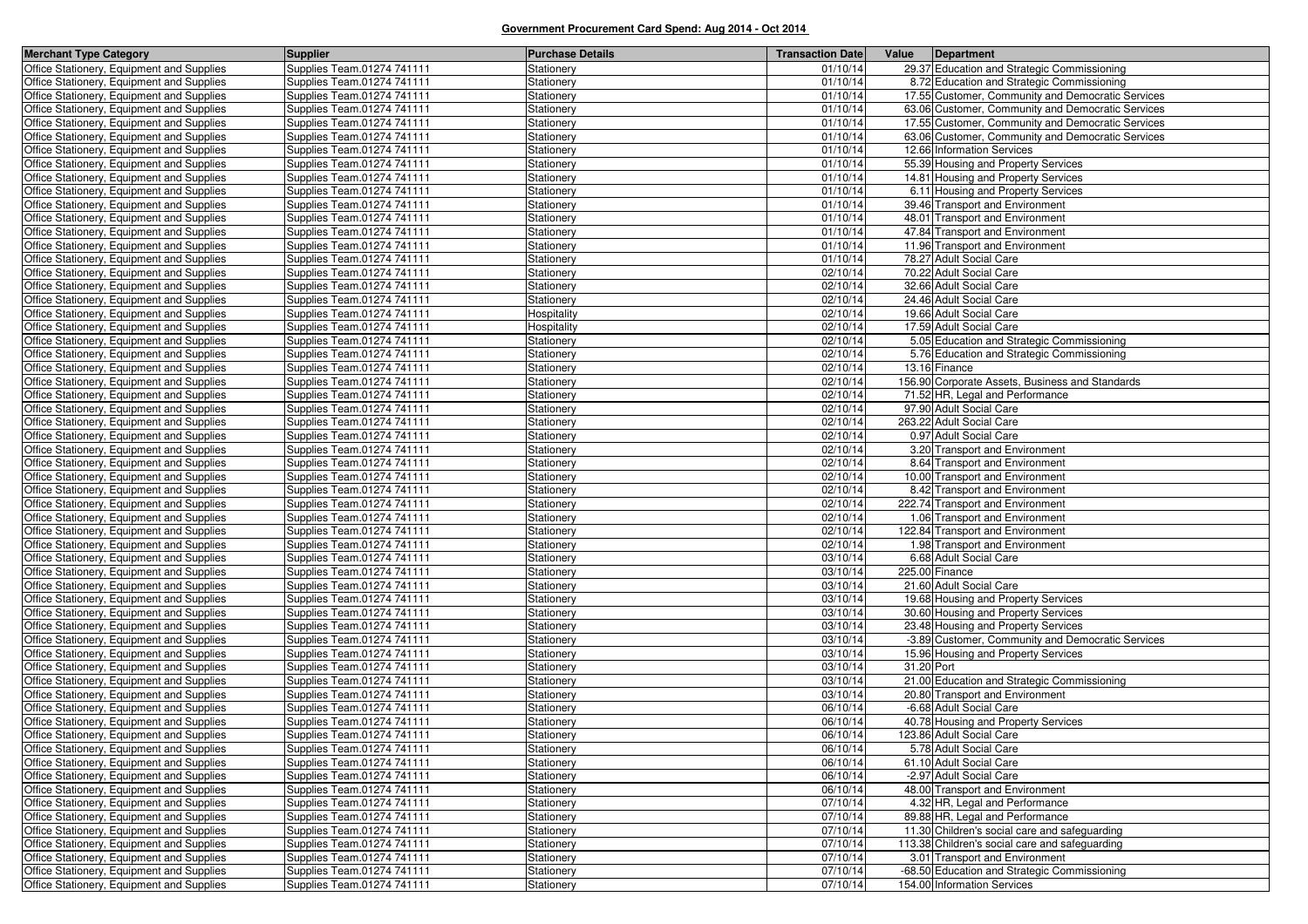| <b>Merchant Type Category</b>             | <b>Supplier</b>            | <b>Purchase Details</b> | <b>Transaction Date</b> | Value      | Department                                        |
|-------------------------------------------|----------------------------|-------------------------|-------------------------|------------|---------------------------------------------------|
| Office Stationery, Equipment and Supplies | Supplies Team.01274 741111 | Stationery              | 01/10/14                |            | 29.37 Education and Strategic Commissioning       |
| Office Stationery, Equipment and Supplies | Supplies Team.01274 741111 | Stationery              | 01/10/14                |            | 8.72 Education and Strategic Commissioning        |
| Office Stationery, Equipment and Supplies | Supplies Team.01274 741111 | Stationery              | 01/10/14                |            | 17.55 Customer, Community and Democratic Services |
| Office Stationery, Equipment and Supplies | Supplies Team.01274 741111 | Stationery              | 01/10/14                |            | 63.06 Customer, Community and Democratic Services |
| Office Stationery, Equipment and Supplies | Supplies Team.01274 741111 | Stationery              | 01/10/14                |            | 17.55 Customer, Community and Democratic Services |
| Office Stationery, Equipment and Supplies | Supplies Team.01274 741111 | Stationery              | 01/10/14                |            | 63.06 Customer, Community and Democratic Services |
| Office Stationery, Equipment and Supplies | Supplies Team.01274 741111 | Stationery              | 01/10/14                |            | 12.66 Information Services                        |
| Office Stationery, Equipment and Supplies | Supplies Team.01274 741111 | Stationery              | 01/10/14                |            | 55.39 Housing and Property Services               |
| Office Stationery, Equipment and Supplies | Supplies Team.01274 741111 | Stationery              | 01/10/14                |            | 14.81 Housing and Property Services               |
| Office Stationery, Equipment and Supplies | Supplies Team.01274 741111 | Stationery              | 01/10/14                |            | 6.11 Housing and Property Services                |
| Office Stationery, Equipment and Supplies | Supplies Team.01274 741111 | Stationery              | 01/10/14                |            | 39.46 Transport and Environment                   |
| Office Stationery, Equipment and Supplies | Supplies Team.01274 741111 | Stationery              | 01/10/14                |            | 48.01 Transport and Environment                   |
| Office Stationery, Equipment and Supplies | Supplies Team.01274 741111 | Stationery              | 01/10/14                |            | 47.84 Transport and Environment                   |
| Office Stationery, Equipment and Supplies | Supplies Team.01274 741111 | Stationery              | 01/10/14                |            | 11.96 Transport and Environment                   |
| Office Stationery, Equipment and Supplies | Supplies Team.01274 741111 | Stationery              | 01/10/14                |            | 78.27 Adult Social Care                           |
| Office Stationery, Equipment and Supplies | Supplies Team.01274 741111 | Stationery              | 02/10/14                |            | 70.22 Adult Social Care                           |
| Office Stationery, Equipment and Supplies | Supplies Team.01274 741111 | Stationery              | 02/10/14                |            | 32.66 Adult Social Care                           |
| Office Stationery, Equipment and Supplies | Supplies Team.01274 741111 | Stationery              | 02/10/14                |            | 24.46 Adult Social Care                           |
| Office Stationery, Equipment and Supplies | Supplies Team.01274 741111 | Hospitality             | 02/10/14                |            | 19.66 Adult Social Care                           |
| Office Stationery, Equipment and Supplies | Supplies Team.01274 741111 | Hospitality             | 02/10/14                |            | 17.59 Adult Social Care                           |
| Office Stationery, Equipment and Supplies | Supplies Team.01274 741111 | Stationery              | 02/10/14                |            | 5.05 Education and Strategic Commissioning        |
| Office Stationery, Equipment and Supplies | Supplies Team.01274 741111 | Stationery              | 02/10/14                |            | 5.76 Education and Strategic Commissioning        |
| Office Stationery, Equipment and Supplies | Supplies Team.01274 741111 | Stationery              | 02/10/14                |            | 13.16 Finance                                     |
| Office Stationery, Equipment and Supplies | Supplies Team.01274 741111 | Stationery              | 02/10/14                |            | 156.90 Corporate Assets, Business and Standards   |
| Office Stationery, Equipment and Supplies | Supplies Team.01274 741111 | Stationery              | 02/10/14                |            | 71.52 HR, Legal and Performance                   |
| Office Stationery, Equipment and Supplies | Supplies Team.01274 741111 | Stationery              | 02/10/14                |            | 97.90 Adult Social Care                           |
| Office Stationery, Equipment and Supplies | Supplies Team.01274 741111 | Stationery              | 02/10/14                |            | 263.22 Adult Social Care                          |
| Office Stationery, Equipment and Supplies | Supplies Team.01274 741111 | Stationery              | 02/10/14                |            | 0.97 Adult Social Care                            |
| Office Stationery, Equipment and Supplies | Supplies Team.01274 741111 | Stationery              | 02/10/14                |            | 3.20 Transport and Environment                    |
| Office Stationery, Equipment and Supplies | Supplies Team.01274 741111 | Stationery              | 02/10/14                |            | 8.64 Transport and Environment                    |
| Office Stationery, Equipment and Supplies | Supplies Team.01274 741111 | Stationery              | 02/10/14                |            | 10.00 Transport and Environment                   |
| Office Stationery, Equipment and Supplies | Supplies Team.01274 741111 | Stationery              | 02/10/14                |            | 8.42 Transport and Environment                    |
| Office Stationery, Equipment and Supplies | Supplies Team.01274 741111 | Stationery              | 02/10/14                |            | 222.74 Transport and Environment                  |
| Office Stationery, Equipment and Supplies | Supplies Team.01274 741111 | Stationery              | 02/10/14                |            | 1.06 Transport and Environment                    |
| Office Stationery, Equipment and Supplies | Supplies Team.01274 741111 | Stationery              | 02/10/14                |            | 122.84 Transport and Environment                  |
| Office Stationery, Equipment and Supplies | Supplies Team.01274 741111 | Stationery              | 02/10/14                |            | 1.98 Transport and Environment                    |
| Office Stationery, Equipment and Supplies | Supplies Team.01274 741111 | Stationery              | 03/10/14                |            | 6.68 Adult Social Care                            |
| Office Stationery, Equipment and Supplies | Supplies Team.01274 741111 | Stationery              | 03/10/14                |            | 225.00 Finance                                    |
| Office Stationery, Equipment and Supplies | Supplies Team.01274 741111 | Stationery              | 03/10/14                |            | 21.60 Adult Social Care                           |
| Office Stationery, Equipment and Supplies | Supplies Team.01274 741111 | Stationery              | 03/10/14                |            | 19.68 Housing and Property Services               |
| Office Stationery, Equipment and Supplies | Supplies Team.01274 741111 | Stationery              | 03/10/14                |            | 30.60 Housing and Property Services               |
| Office Stationery, Equipment and Supplies | Supplies Team.01274 741111 | Stationery              | 03/10/14                |            | 23.48 Housing and Property Services               |
| Office Stationery, Equipment and Supplies | Supplies Team.01274 741111 | Stationery              | 03/10/14                |            | -3.89 Customer, Community and Democratic Services |
| Office Stationery, Equipment and Supplies | Supplies Team.01274 741111 | Stationery              | 03/10/14                |            | 15.96 Housing and Property Services               |
| Office Stationery, Equipment and Supplies | Supplies Team.01274 741111 | Stationery              | 03/10/14                | 31.20 Port |                                                   |
| Office Stationery, Equipment and Supplies | Supplies Team.01274 741111 | Stationery              | 03/10/14                |            | 21.00 Education and Strategic Commissioning       |
| Office Stationery, Equipment and Supplies | Supplies Team.01274 741111 | Stationery              | 03/10/14                |            | 20.80 Transport and Environment                   |
| Office Stationery, Equipment and Supplies | Supplies Team.01274 741111 | Stationery              | 06/10/14                |            | -6.68 Adult Social Care                           |
| Office Stationery, Equipment and Supplies | Supplies Team.01274 741111 | Stationery              | 06/10/14                |            | 40.78 Housing and Property Services               |
| Office Stationery, Equipment and Supplies | Supplies Team.01274 741111 | Stationery              | 06/10/14                |            | 123.86 Adult Social Care                          |
| Office Stationery, Equipment and Supplies | Supplies Team.01274 741111 | Stationery              | 06/10/14                |            | 5.78 Adult Social Care                            |
| Office Stationery, Equipment and Supplies | Supplies Team.01274 741111 | Stationery              | 06/10/14                |            | 61.10 Adult Social Care                           |
| Office Stationery, Equipment and Supplies | Supplies Team.01274 741111 | Stationery              | 06/10/14                |            | -2.97 Adult Social Care                           |
| Office Stationery, Equipment and Supplies | Supplies Team.01274 741111 | Stationery              | 06/10/14                |            | 48.00 Transport and Environment                   |
| Office Stationery, Equipment and Supplies | Supplies Team.01274 741111 | Stationery              | 07/10/14                |            | 4.32 HR, Legal and Performance                    |
| Office Stationery, Equipment and Supplies | Supplies Team.01274 741111 | Stationery              | 07/10/14                |            | 89.88 HR, Legal and Performance                   |
| Office Stationery, Equipment and Supplies | Supplies Team.01274 741111 | Stationery              | 07/10/14                |            | 11.30 Children's social care and safeguarding     |
| Office Stationery, Equipment and Supplies | Supplies Team.01274 741111 | Stationery              | 07/10/14                |            | 113.38 Children's social care and safeguarding    |
| Office Stationery, Equipment and Supplies | Supplies Team.01274 741111 | Stationery              | 07/10/14                |            | 3.01 Transport and Environment                    |
| Office Stationery, Equipment and Supplies | Supplies Team.01274 741111 | Stationery              | 07/10/14                |            | -68.50 Education and Strategic Commissioning      |
| Office Stationery, Equipment and Supplies | Supplies Team.01274 741111 | Stationery              | 07/10/14                |            | 154.00 Information Services                       |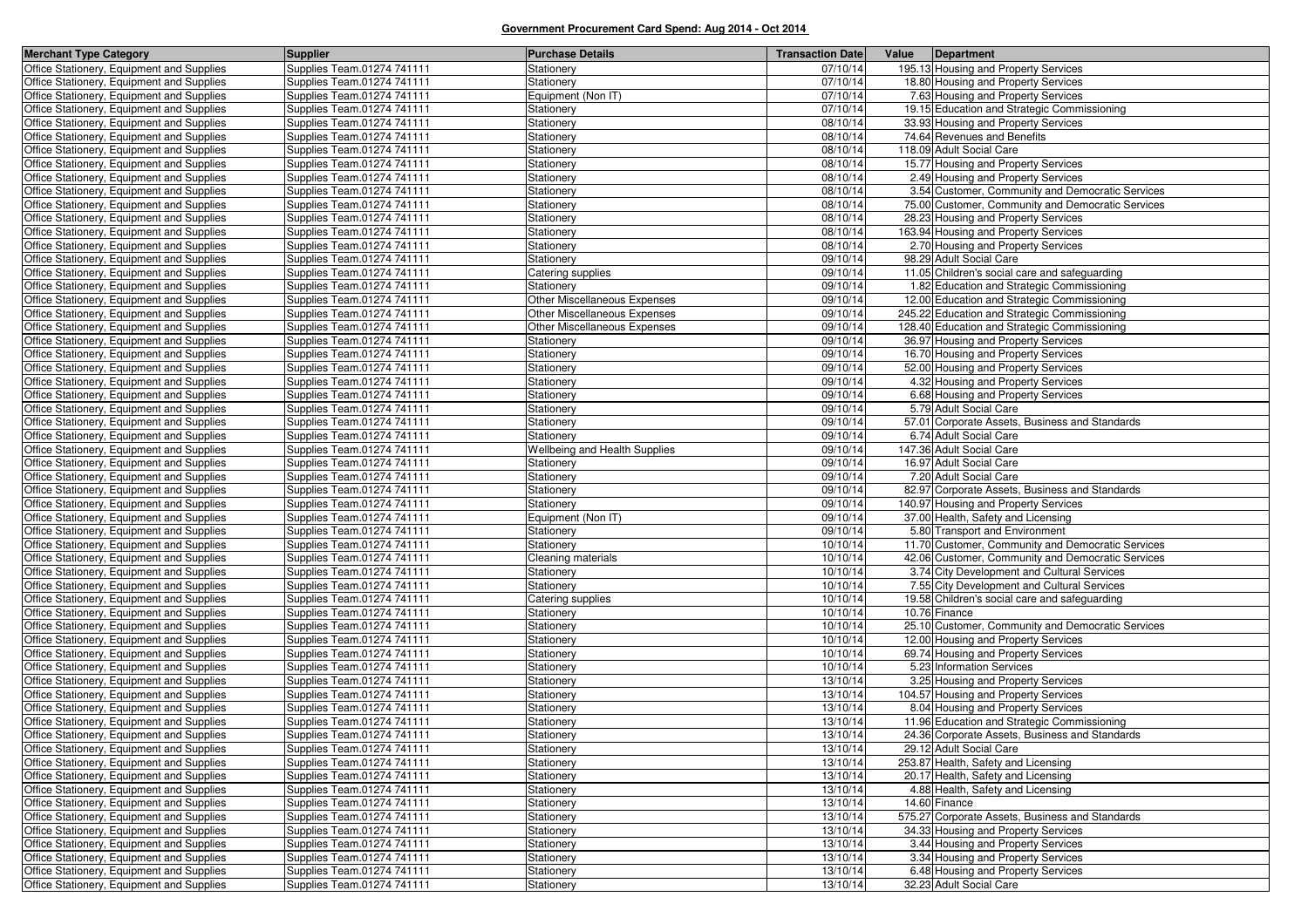| <b>Merchant Type Category</b>                                                          | <b>Supplier</b>                                          | <b>Purchase Details</b>         | <b>Transaction Date</b> | Value<br>Department                                                                        |
|----------------------------------------------------------------------------------------|----------------------------------------------------------|---------------------------------|-------------------------|--------------------------------------------------------------------------------------------|
| Office Stationery, Equipment and Supplies                                              | Supplies Team.01274 741111                               | Stationery                      | 07/10/14                | 195.13 Housing and Property Services                                                       |
| Office Stationery, Equipment and Supplies                                              | Supplies Team.01274 741111                               | Stationery                      | 07/10/14                | 18.80 Housing and Property Services                                                        |
| Office Stationery, Equipment and Supplies                                              | Supplies Team.01274 741111                               | Equipment (Non IT)              | 07/10/14                | 7.63 Housing and Property Services                                                         |
| Office Stationery, Equipment and Supplies                                              | Supplies Team.01274 741111                               | Stationery                      | 07/10/14                | 19.15 Education and Strategic Commissioning                                                |
| Office Stationery, Equipment and Supplies                                              | Supplies Team.01274 741111                               | Stationery                      | 08/10/14                | 33.93 Housing and Property Services                                                        |
| Office Stationery, Equipment and Supplies                                              | Supplies Team.01274 741111                               | Stationery                      | 08/10/14                | 74.64 Revenues and Benefits                                                                |
| Office Stationery, Equipment and Supplies                                              | Supplies Team.01274 741111                               | Stationery                      | 08/10/14                | 118.09 Adult Social Care                                                                   |
| Office Stationery, Equipment and Supplies                                              | Supplies Team.01274 741111                               | Stationery                      | 08/10/14                | 15.77 Housing and Property Services                                                        |
| Office Stationery, Equipment and Supplies                                              | Supplies Team.01274 741111                               | Stationery                      | 08/10/14                | 2.49 Housing and Property Services                                                         |
| Office Stationery, Equipment and Supplies                                              | Supplies Team.01274 741111                               | Stationery                      | 08/10/14                | 3.54 Customer, Community and Democratic Services                                           |
| Office Stationery, Equipment and Supplies                                              | Supplies Team.01274 741111                               | Stationery                      | 08/10/14                | 75.00 Customer, Community and Democratic Services                                          |
| Office Stationery, Equipment and Supplies                                              | Supplies Team.01274 741111                               | Stationery                      | 08/10/14                | 28.23 Housing and Property Services                                                        |
| Office Stationery, Equipment and Supplies                                              | Supplies Team.01274 741111                               | Stationery                      | 08/10/14                | 163.94 Housing and Property Services                                                       |
| Office Stationery, Equipment and Supplies                                              | Supplies Team.01274 741111                               | Stationery                      | 08/10/14                | 2.70 Housing and Property Services                                                         |
| Office Stationery, Equipment and Supplies                                              | Supplies Team.01274 741111                               | Stationery                      | 09/10/14                | 98.29 Adult Social Care                                                                    |
| Office Stationery, Equipment and Supplies                                              | Supplies Team.01274 741111                               | Catering supplies               | 09/10/14                | 11.05 Children's social care and safeguarding                                              |
| Office Stationery, Equipment and Supplies                                              | Supplies Team.01274 741111                               | Stationery                      | 09/10/14                | 1.82 Education and Strategic Commissioning                                                 |
| Office Stationery, Equipment and Supplies                                              | Supplies Team.01274 741111                               | Other Miscellaneous Expenses    | 09/10/14                | 12.00 Education and Strategic Commissioning                                                |
| Office Stationery, Equipment and Supplies                                              | Supplies Team.01274 741111                               | Other Miscellaneous Expenses    | 09/10/14                | 245.22 Education and Strategic Commissioning                                               |
| Office Stationery, Equipment and Supplies                                              | Supplies Team.01274 741111                               | Other Miscellaneous Expenses    | 09/10/14                | 128.40 Education and Strategic Commissioning                                               |
| Office Stationery, Equipment and Supplies                                              | Supplies Team.01274 741111                               | Stationery                      | 09/10/14                | 36.97 Housing and Property Services                                                        |
| Office Stationery, Equipment and Supplies                                              | Supplies Team.01274 741111                               | Stationery                      | 09/10/14                | 16.70 Housing and Property Services                                                        |
| Office Stationery, Equipment and Supplies                                              | Supplies Team.01274 741111                               | Stationery                      | 09/10/14                | 52.00 Housing and Property Services                                                        |
| Office Stationery, Equipment and Supplies                                              | Supplies Team.01274 741111                               | Stationery                      | 09/10/14                | 4.32 Housing and Property Services                                                         |
| Office Stationery, Equipment and Supplies                                              | Supplies Team.01274 741111                               | Stationery                      | 09/10/14                | 6.68 Housing and Property Services                                                         |
| Office Stationery, Equipment and Supplies                                              | Supplies Team.01274 741111                               | Stationery                      | 09/10/14                | 5.79 Adult Social Care                                                                     |
| Office Stationery, Equipment and Supplies                                              | Supplies Team.01274 741111                               | Stationery                      | 09/10/14                | 57.01 Corporate Assets, Business and Standards                                             |
| Office Stationery, Equipment and Supplies                                              | Supplies Team.01274 741111                               | Stationery                      | 09/10/14                | 6.74 Adult Social Care                                                                     |
| Office Stationery, Equipment and Supplies                                              | Supplies Team.01274 741111                               | Wellbeing and Health Supplies   | 09/10/14                | 147.36 Adult Social Care                                                                   |
| Office Stationery, Equipment and Supplies                                              | Supplies Team.01274 741111                               | Stationery                      | 09/10/14                | 16.97 Adult Social Care                                                                    |
| Office Stationery, Equipment and Supplies                                              | Supplies Team.01274 741111                               | Stationery                      | 09/10/14                | 7.20 Adult Social Care                                                                     |
| Office Stationery, Equipment and Supplies                                              | Supplies Team.01274 741111                               | Stationery                      | 09/10/14                | 82.97 Corporate Assets, Business and Standards                                             |
| Office Stationery, Equipment and Supplies                                              | Supplies Team.01274 741111                               | Stationery                      | 09/10/14                | 140.97 Housing and Property Services                                                       |
| Office Stationery, Equipment and Supplies                                              | Supplies Team.01274 741111                               | Equipment (Non IT)              | 09/10/14                | 37.00 Health, Safety and Licensing                                                         |
| Office Stationery, Equipment and Supplies                                              | Supplies Team.01274 741111                               | Stationery                      | 09/10/14                | 5.80 Transport and Environment                                                             |
| Office Stationery, Equipment and Supplies                                              | Supplies Team.01274 741111                               | Stationery                      | 10/10/14                | 11.70 Customer, Community and Democratic Services                                          |
| Office Stationery, Equipment and Supplies                                              | Supplies Team.01274 741111                               | Cleaning materials              | 10/10/14<br>10/10/14    | 42.06 Customer, Community and Democratic Services                                          |
| Office Stationery, Equipment and Supplies<br>Office Stationery, Equipment and Supplies | Supplies Team.01274 741111<br>Supplies Team.01274 741111 | Stationery                      | 10/10/14                | 3.74 City Development and Cultural Services<br>7.55 City Development and Cultural Services |
|                                                                                        |                                                          | Stationery<br>Catering supplies | 10/10/14                | 19.58 Children's social care and safeguarding                                              |
| Office Stationery, Equipment and Supplies<br>Office Stationery, Equipment and Supplies | Supplies Team.01274 741111<br>Supplies Team.01274 741111 | Stationery                      | 10/10/14                | 10.76 Finance                                                                              |
| Office Stationery, Equipment and Supplies                                              | Supplies Team.01274 741111                               | Stationery                      | 10/10/14                | 25.10 Customer, Community and Democratic Services                                          |
| Office Stationery, Equipment and Supplies                                              | Supplies Team.01274 741111                               | Stationery                      | 10/10/14                | 12.00 Housing and Property Services                                                        |
| Office Stationery, Equipment and Supplies                                              | Supplies Team.01274 741111                               | Stationery                      | 10/10/14                | 69.74 Housing and Property Services                                                        |
| Office Stationery, Equipment and Supplies                                              | Supplies Team.01274 741111                               | Stationery                      | 10/10/14                | 5.23 Information Services                                                                  |
| Office Stationery, Equipment and Supplies                                              | Supplies Team.01274 741111                               | Stationery                      | 13/10/14                | 3.25 Housing and Property Services                                                         |
| Office Stationery, Equipment and Supplies                                              | Supplies Team.01274 741111                               | Stationery                      | 13/10/14                | 104.57 Housing and Property Services                                                       |
| Office Stationery, Equipment and Supplies                                              | Supplies Team.01274 741111                               | Stationery                      | 13/10/14                | 8.04 Housing and Property Services                                                         |
| Office Stationery, Equipment and Supplies                                              | Supplies Team.01274 741111                               | Stationery                      | 13/10/14                | 11.96 Education and Strategic Commissioning                                                |
| Office Stationery, Equipment and Supplies                                              | Supplies Team.01274 741111                               | Stationery                      | 13/10/14                | 24.36 Corporate Assets, Business and Standards                                             |
| Office Stationery, Equipment and Supplies                                              | Supplies Team.01274 741111                               | Stationery                      | 13/10/14                | 29.12 Adult Social Care                                                                    |
| Office Stationery, Equipment and Supplies                                              | Supplies Team.01274 741111                               | Stationery                      | 13/10/14                | 253.87 Health, Safety and Licensing                                                        |
| Office Stationery, Equipment and Supplies                                              | Supplies Team.01274 741111                               | Stationery                      | 13/10/14                | 20.17 Health, Safety and Licensing                                                         |
| Office Stationery, Equipment and Supplies                                              | Supplies Team.01274 741111                               | Stationery                      | 13/10/14                | 4.88 Health, Safety and Licensing                                                          |
| Office Stationery, Equipment and Supplies                                              | Supplies Team.01274 741111                               | Stationery                      | 13/10/14                | 14.60 Finance                                                                              |
| Office Stationery, Equipment and Supplies                                              | Supplies Team.01274 741111                               | Stationery                      | 13/10/14                | 575.27 Corporate Assets, Business and Standards                                            |
| Office Stationery, Equipment and Supplies                                              | Supplies Team.01274 741111                               | Stationery                      | 13/10/14                | 34.33 Housing and Property Services                                                        |
| Office Stationery, Equipment and Supplies                                              | Supplies Team.01274 741111                               | Stationery                      | 13/10/14                | 3.44 Housing and Property Services                                                         |
| Office Stationery, Equipment and Supplies                                              | Supplies Team.01274 741111                               | Stationery                      | 13/10/14                | 3.34 Housing and Property Services                                                         |
| Office Stationery, Equipment and Supplies                                              | Supplies Team.01274 741111                               | Stationery                      | 13/10/14                | 6.48 Housing and Property Services                                                         |
| Office Stationery, Equipment and Supplies                                              | Supplies Team.01274 741111                               | Stationery                      | 13/10/14                | 32.23 Adult Social Care                                                                    |
|                                                                                        |                                                          |                                 |                         |                                                                                            |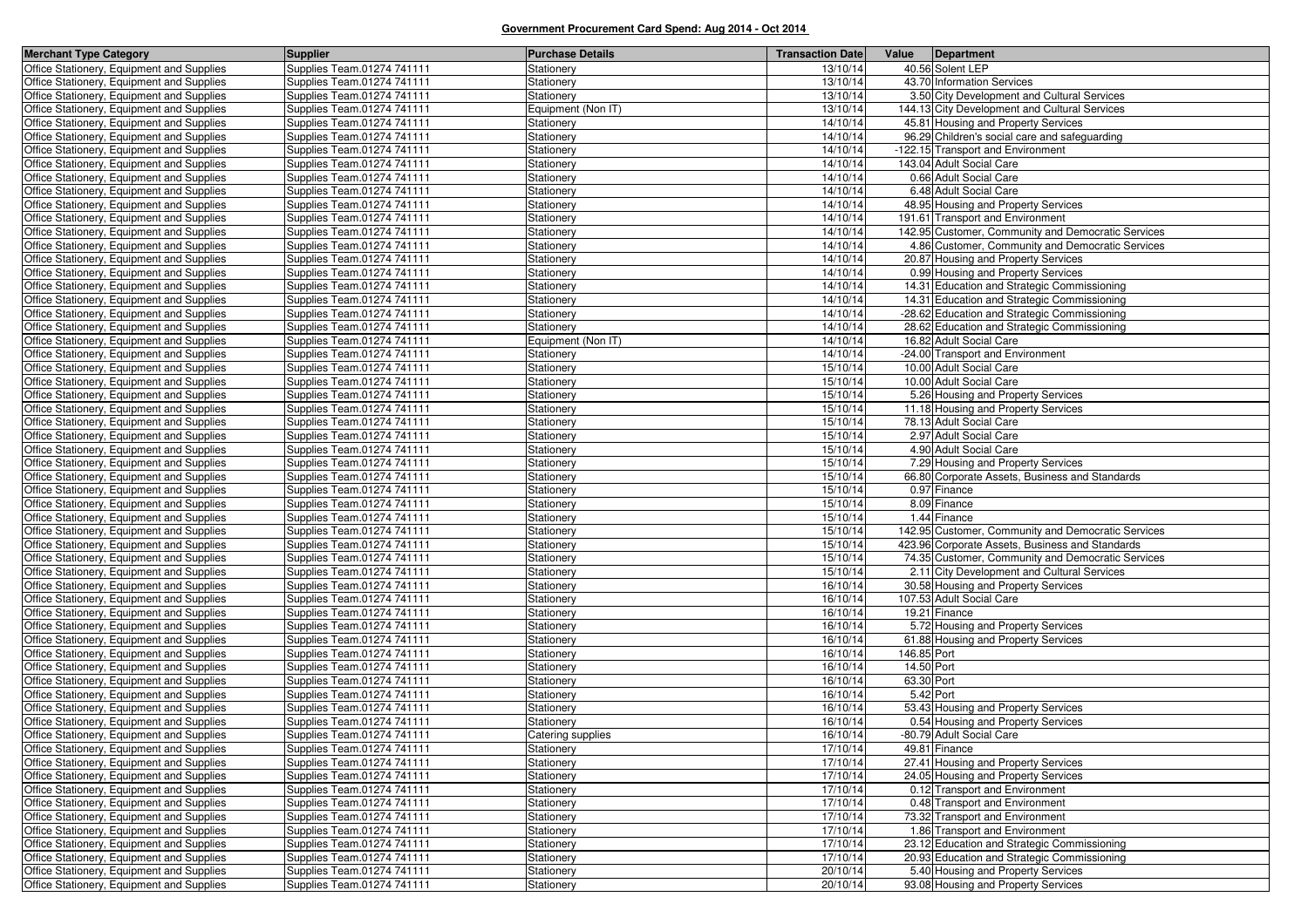| <b>Merchant Type Category</b>                                                          | <b>Supplier</b>                                          | <b>Purchase Details</b>  | <b>Transaction Date</b> | Value       | Department                                                        |
|----------------------------------------------------------------------------------------|----------------------------------------------------------|--------------------------|-------------------------|-------------|-------------------------------------------------------------------|
| Office Stationery, Equipment and Supplies                                              | Supplies Team.01274 741111                               | Stationery               | 13/10/14                |             | 40.56 Solent LEP                                                  |
| Office Stationery, Equipment and Supplies                                              | Supplies Team.01274 741111                               | Stationery               | 13/10/14                |             | 43.70 Information Services                                        |
| Office Stationery, Equipment and Supplies                                              | Supplies Team.01274 741111                               | Stationery               | 13/10/14                |             | 3.50 City Development and Cultural Services                       |
| Office Stationery, Equipment and Supplies                                              | Supplies Team.01274 741111                               | Equipment (Non IT)       | 13/10/14                |             | 144.13 City Development and Cultural Services                     |
| Office Stationery, Equipment and Supplies                                              | Supplies Team.01274 741111                               | Stationery               | 14/10/14                |             | 45.81 Housing and Property Services                               |
| Office Stationery, Equipment and Supplies                                              | Supplies Team.01274 741111                               | Stationery               | 14/10/14                |             | 96.29 Children's social care and safeguarding                     |
| Office Stationery, Equipment and Supplies                                              | Supplies Team.01274 741111                               | Stationery               | 14/10/14                |             | -122.15 Transport and Environment                                 |
| Office Stationery, Equipment and Supplies                                              | Supplies Team.01274 741111                               | Stationery               | 14/10/14                |             | 143.04 Adult Social Care                                          |
| Office Stationery, Equipment and Supplies                                              | Supplies Team.01274 741111                               | Stationery               | 14/10/14                |             | 0.66 Adult Social Care                                            |
| Office Stationery, Equipment and Supplies                                              | Supplies Team.01274 741111                               | Stationery               | 14/10/14                |             | 6.48 Adult Social Care                                            |
| Office Stationery, Equipment and Supplies                                              | Supplies Team.01274 741111                               | Stationery               | 14/10/14                |             | 48.95 Housing and Property Services                               |
| Office Stationery, Equipment and Supplies                                              | Supplies Team.01274 741111                               | Stationery               | 14/10/14                |             | 191.61 Transport and Environment                                  |
| Office Stationery, Equipment and Supplies                                              | Supplies Team.01274 741111                               | Stationery               | 14/10/14                |             | 142.95 Customer, Community and Democratic Services                |
| Office Stationery, Equipment and Supplies                                              | Supplies Team.01274 741111                               | Stationery               | 14/10/14                |             | 4.86 Customer, Community and Democratic Services                  |
| Office Stationery, Equipment and Supplies                                              | Supplies Team.01274 741111                               | Stationery               | 14/10/14                |             | 20.87 Housing and Property Services                               |
| Office Stationery, Equipment and Supplies                                              | Supplies Team.01274 741111                               | Stationery               | 14/10/14                |             | 0.99 Housing and Property Services                                |
| Office Stationery, Equipment and Supplies                                              | Supplies Team.01274 741111                               | Stationery               | 14/10/14                |             | 14.31 Education and Strategic Commissioning                       |
| Office Stationery, Equipment and Supplies                                              | Supplies Team.01274 741111                               | Stationery               | 14/10/14                |             | 14.31 Education and Strategic Commissioning                       |
| Office Stationery, Equipment and Supplies                                              | Supplies Team.01274 741111                               | Stationery               | 14/10/14                |             | -28.62 Education and Strategic Commissioning                      |
| Office Stationery, Equipment and Supplies                                              | Supplies Team.01274 741111                               | Stationery               | 14/10/14                |             | 28.62 Education and Strategic Commissioning                       |
| Office Stationery, Equipment and Supplies                                              | Supplies Team.01274 741111                               | Equipment (Non IT)       | 14/10/14                |             | 16.82 Adult Social Care                                           |
| Office Stationery, Equipment and Supplies                                              | Supplies Team.01274 741111                               | Stationery               | 14/10/14                |             | -24.00 Transport and Environment                                  |
| Office Stationery, Equipment and Supplies                                              | Supplies Team.01274 741111                               | Stationery               | 15/10/14                |             | 10.00 Adult Social Care                                           |
| Office Stationery, Equipment and Supplies                                              | Supplies Team.01274 741111                               | Stationery               | 15/10/14                |             | 10.00 Adult Social Care                                           |
| Office Stationery, Equipment and Supplies                                              | Supplies Team.01274 741111                               | Stationery               | 15/10/14                |             | 5.26 Housing and Property Services                                |
| Office Stationery, Equipment and Supplies                                              | Supplies Team.01274 741111                               | Stationery               | 15/10/14                |             | 11.18 Housing and Property Services                               |
| Office Stationery, Equipment and Supplies                                              | Supplies Team.01274 741111                               | Stationery               | 15/10/14                |             | 78.13 Adult Social Care                                           |
| Office Stationery, Equipment and Supplies                                              | Supplies Team.01274 741111                               | Stationery               | 15/10/14                |             | 2.97 Adult Social Care                                            |
| Office Stationery, Equipment and Supplies                                              | Supplies Team.01274 741111                               | Stationery               | 15/10/14                |             | 4.90 Adult Social Care                                            |
| Office Stationery, Equipment and Supplies                                              | Supplies Team.01274 741111                               | Stationery               | 15/10/14                |             | 7.29 Housing and Property Services                                |
| Office Stationery, Equipment and Supplies                                              | Supplies Team.01274 741111                               | Stationery               | 15/10/14                |             | 66.80 Corporate Assets, Business and Standards                    |
| Office Stationery, Equipment and Supplies                                              | Supplies Team.01274 741111                               | Stationery               | 15/10/14                |             | 0.97 Finance                                                      |
| Office Stationery, Equipment and Supplies                                              | Supplies Team.01274 741111                               | Stationery               | 15/10/14                |             | 8.09 Finance                                                      |
| Office Stationery, Equipment and Supplies                                              | Supplies Team.01274 741111                               | Stationery               | 15/10/14                |             | 1.44 Finance                                                      |
| Office Stationery, Equipment and Supplies                                              | Supplies Team.01274 741111                               | Stationery               | 15/10/14                |             | 142.95 Customer, Community and Democratic Services                |
| Office Stationery, Equipment and Supplies                                              | Supplies Team.01274 741111                               | Stationery               | 15/10/14                |             | 423.96 Corporate Assets, Business and Standards                   |
| Office Stationery, Equipment and Supplies                                              | Supplies Team.01274 741111                               | Stationery               | 15/10/14                |             | 74.35 Customer, Community and Democratic Services                 |
| Office Stationery, Equipment and Supplies                                              | Supplies Team.01274 741111                               | Stationery               | 15/10/14                |             | 2.11 City Development and Cultural Services                       |
| Office Stationery, Equipment and Supplies                                              | Supplies Team.01274 741111                               | Stationery               | 16/10/14                |             | 30.58 Housing and Property Services                               |
| Office Stationery, Equipment and Supplies                                              | Supplies Team.01274 741111                               | Stationery               | 16/10/14                |             | 107.53 Adult Social Care                                          |
| Office Stationery, Equipment and Supplies                                              | Supplies Team.01274 741111                               | Stationery               | 16/10/14                |             | 19.21 Finance                                                     |
| Office Stationery, Equipment and Supplies                                              | Supplies Team.01274 741111                               | Stationery               | 16/10/14                |             | 5.72 Housing and Property Services                                |
| Office Stationery, Equipment and Supplies                                              | Supplies Team.01274 741111                               | Stationery               | 16/10/14                |             | 61.88 Housing and Property Services                               |
| Office Stationery, Equipment and Supplies                                              | Supplies Team.01274 741111                               | Stationery               | 16/10/14                | 146.85 Port |                                                                   |
| Office Stationery, Equipment and Supplies                                              | Supplies Team.01274 741111                               | Stationery               | 16/10/14                | 14.50 Port  |                                                                   |
| Office Stationery, Equipment and Supplies                                              | Supplies Team.01274 741111                               | Stationery               | 16/10/14                | 63.30 Port  |                                                                   |
| Office Stationery, Equipment and Supplies                                              | Supplies Team.01274 741111                               | Stationery               | 16/10/14                | 5.42 Port   |                                                                   |
| Office Stationery, Equipment and Supplies                                              | Supplies Team.01274 741111                               | Stationery               | 16/10/14                |             | 53.43 Housing and Property Services                               |
| Office Stationery, Equipment and Supplies<br>Office Stationery, Equipment and Supplies | Supplies Team.01274 741111                               | Stationery               | 16/10/14                |             | 0.54 Housing and Property Services                                |
| Office Stationery, Equipment and Supplies                                              | Supplies Team.01274 741111                               | Catering supplies        | 16/10/14                |             | -80.79 Adult Social Care                                          |
| Office Stationery, Equipment and Supplies                                              | Supplies Team.01274 741111<br>Supplies Team.01274 741111 | Stationery               | 17/10/14<br>17/10/14    |             | 49.81 Finance<br>27.41 Housing and Property Services              |
| Office Stationery, Equipment and Supplies                                              | Supplies Team.01274 741111                               | Stationery<br>Stationery | 17/10/14                |             | 24.05 Housing and Property Services                               |
| Office Stationery, Equipment and Supplies                                              | Supplies Team.01274 741111                               | Stationery               | 17/10/14                |             | 0.12 Transport and Environment                                    |
| Office Stationery, Equipment and Supplies                                              | Supplies Team.01274 741111                               | Stationery               | 17/10/14                |             | 0.48 Transport and Environment                                    |
|                                                                                        | Supplies Team.01274 741111                               |                          | 17/10/14                |             |                                                                   |
| Office Stationery, Equipment and Supplies<br>Office Stationery, Equipment and Supplies | Supplies Team.01274 741111                               | Stationery<br>Stationery | 17/10/14                |             | 73.32 Transport and Environment<br>1.86 Transport and Environment |
| Office Stationery, Equipment and Supplies                                              | Supplies Team.01274 741111                               | Stationery               | 17/10/14                |             | 23.12 Education and Strategic Commissioning                       |
| Office Stationery, Equipment and Supplies                                              | Supplies Team.01274 741111                               | Stationery               | 17/10/14                |             | 20.93 Education and Strategic Commissioning                       |
| Office Stationery, Equipment and Supplies                                              | Supplies Team.01274 741111                               | Stationery               | 20/10/14                |             | 5.40 Housing and Property Services                                |
| Office Stationery, Equipment and Supplies                                              | Supplies Team.01274 741111                               | Stationery               | 20/10/14                |             | 93.08 Housing and Property Services                               |
|                                                                                        |                                                          |                          |                         |             |                                                                   |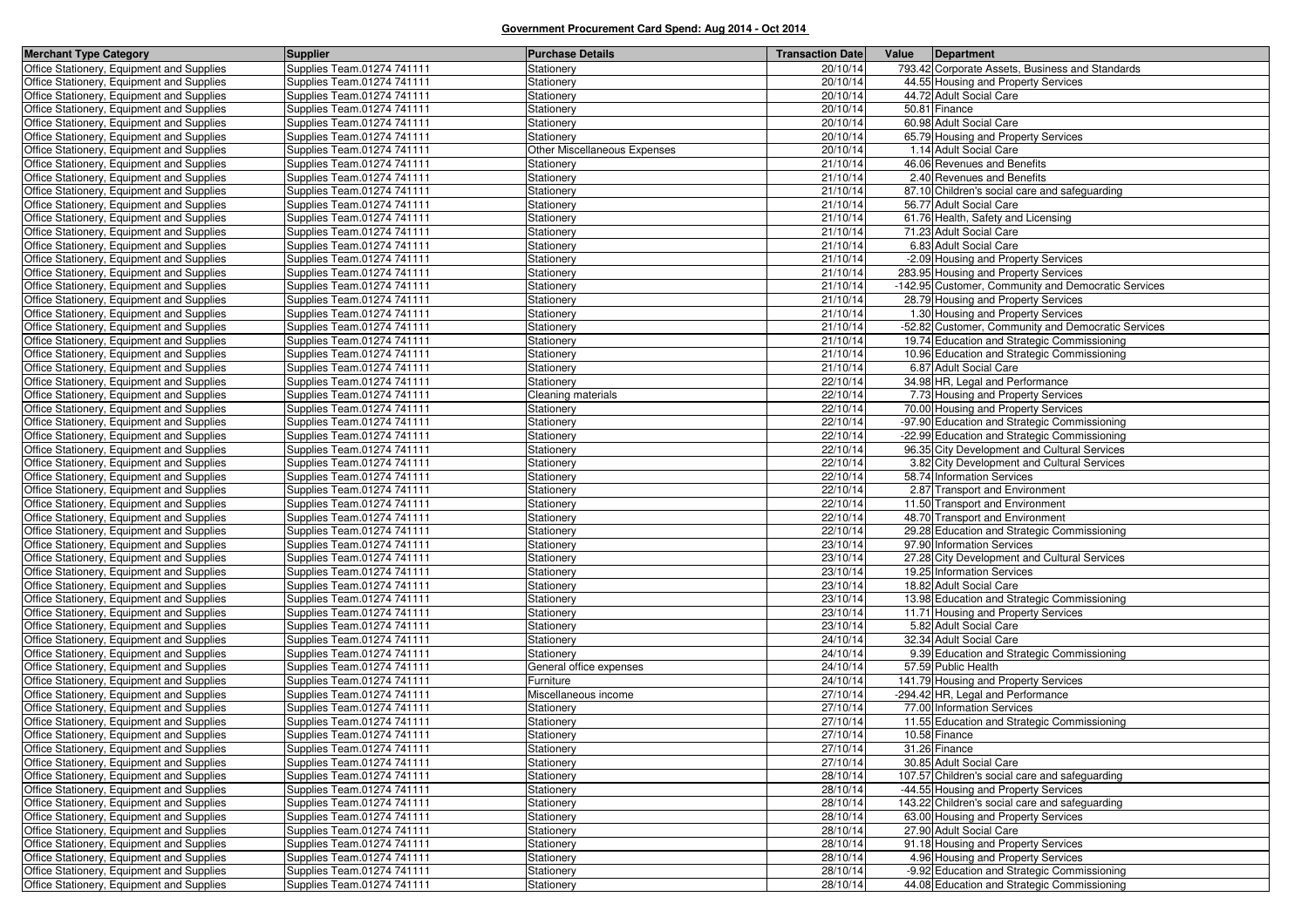| <b>Merchant Type Category</b>                                                          | <b>Supplier</b>                                          | <b>Purchase Details</b>      | <b>Transaction Date</b> | Value<br>Department                                          |
|----------------------------------------------------------------------------------------|----------------------------------------------------------|------------------------------|-------------------------|--------------------------------------------------------------|
| Office Stationery, Equipment and Supplies                                              | Supplies Team.01274 741111                               | Stationery                   | 20/10/14                | 793.42 Corporate Assets, Business and Standards              |
| Office Stationery, Equipment and Supplies                                              | Supplies Team.01274 741111                               | Stationery                   | 20/10/14                | 44.55 Housing and Property Services                          |
| Office Stationery, Equipment and Supplies                                              | Supplies Team.01274 741111                               | Stationery                   | 20/10/14                | 44.72 Adult Social Care                                      |
| Office Stationery, Equipment and Supplies                                              | Supplies Team.01274 741111                               | Stationery                   | 20/10/14                | 50.81 Finance                                                |
| Office Stationery, Equipment and Supplies                                              | Supplies Team.01274 741111                               | Stationery                   | 20/10/14                | 60.98 Adult Social Care                                      |
| Office Stationery, Equipment and Supplies                                              | Supplies Team.01274 741111                               | Stationery                   | 20/10/14                | 65.79 Housing and Property Services                          |
| Office Stationery, Equipment and Supplies                                              | Supplies Team.01274 741111                               | Other Miscellaneous Expenses | 20/10/14                | 1.14 Adult Social Care                                       |
| Office Stationery, Equipment and Supplies                                              | Supplies Team.01274 741111                               | Stationery                   | 21/10/14                | 46.06 Revenues and Benefits                                  |
| Office Stationery, Equipment and Supplies                                              | Supplies Team.01274 741111                               | Stationery                   | 21/10/14                | 2.40 Revenues and Benefits                                   |
| Office Stationery, Equipment and Supplies                                              | Supplies Team.01274 741111                               | Stationery                   | 21/10/14                | 87.10 Children's social care and safeguarding                |
| Office Stationery, Equipment and Supplies                                              | Supplies Team.01274 741111                               | Stationery                   | 21/10/14                | 56.77 Adult Social Care                                      |
| Office Stationery, Equipment and Supplies                                              | Supplies Team.01274 741111                               | Stationery                   | 21/10/14                | 61.76 Health, Safety and Licensing                           |
| Office Stationery, Equipment and Supplies                                              | Supplies Team.01274 741111                               | Stationery                   | 21/10/14                | 71.23 Adult Social Care                                      |
| Office Stationery, Equipment and Supplies                                              | Supplies Team.01274 741111                               | Stationery                   | 21/10/14                | 6.83 Adult Social Care                                       |
| Office Stationery, Equipment and Supplies                                              | Supplies Team.01274 741111                               | Stationery                   | 21/10/14                | -2.09 Housing and Property Services                          |
| Office Stationery, Equipment and Supplies                                              | Supplies Team.01274 741111                               | Stationery                   | 21/10/14                | 283.95 Housing and Property Services                         |
| Office Stationery, Equipment and Supplies                                              | Supplies Team.01274 741111                               | Stationery                   | 21/10/14                | -142.95 Customer, Community and Democratic Services          |
| Office Stationery, Equipment and Supplies                                              | Supplies Team.01274 741111                               | Stationery                   | 21/10/14                | 28.79 Housing and Property Services                          |
| Office Stationery, Equipment and Supplies                                              | Supplies Team.01274 741111                               | Stationery                   | 21/10/14                | 1.30 Housing and Property Services                           |
| Office Stationery, Equipment and Supplies                                              | Supplies Team.01274 741111                               | Stationery                   | 21/10/14                | -52.82 Customer, Community and Democratic Services           |
| Office Stationery, Equipment and Supplies                                              | Supplies Team.01274 741111                               | Stationery                   | 21/10/14                | 19.74 Education and Strategic Commissioning                  |
| Office Stationery, Equipment and Supplies                                              | Supplies Team.01274 741111                               | Stationery                   | 21/10/14                | 10.96 Education and Strategic Commissioning                  |
| Office Stationery, Equipment and Supplies                                              | Supplies Team.01274 741111                               | Stationery                   | 21/10/14                | 6.87 Adult Social Care                                       |
| Office Stationery, Equipment and Supplies                                              | Supplies Team.01274 741111                               | Stationery                   | 22/10/14                | 34.98 HR, Legal and Performance                              |
| Office Stationery, Equipment and Supplies                                              | Supplies Team.01274 741111                               | Cleaning materials           | 22/10/14                | 7.73 Housing and Property Services                           |
| Office Stationery, Equipment and Supplies                                              | Supplies Team.01274 741111                               | Stationery                   | 22/10/14                | 70.00 Housing and Property Services                          |
| Office Stationery, Equipment and Supplies                                              | Supplies Team.01274 741111                               | Stationery                   | 22/10/14                | -97.90 Education and Strategic Commissioning                 |
| Office Stationery, Equipment and Supplies                                              | Supplies Team.01274 741111                               | Stationery                   | 22/10/14                | -22.99 Education and Strategic Commissioning                 |
| Office Stationery, Equipment and Supplies                                              | Supplies Team.01274 741111                               | Stationery                   | 22/10/14                | 96.35 City Development and Cultural Services                 |
| Office Stationery, Equipment and Supplies                                              | Supplies Team.01274 741111                               | Stationery                   | 22/10/14                | 3.82 City Development and Cultural Services                  |
| Office Stationery, Equipment and Supplies                                              | Supplies Team.01274 741111                               | Stationery                   | 22/10/14                | 58.74 Information Services                                   |
| Office Stationery, Equipment and Supplies                                              | Supplies Team.01274 741111                               | Stationery                   | 22/10/14                | 2.87 Transport and Environment                               |
| Office Stationery, Equipment and Supplies                                              | Supplies Team.01274 741111                               | Stationery                   | 22/10/14                | 11.50 Transport and Environment                              |
| Office Stationery, Equipment and Supplies                                              | Supplies Team.01274 741111                               | Stationery                   | 22/10/14                | 48.70 Transport and Environment                              |
| Office Stationery, Equipment and Supplies                                              | Supplies Team.01274 741111                               | Stationery                   | 22/10/14                | 29.28 Education and Strategic Commissioning                  |
| Office Stationery, Equipment and Supplies                                              | Supplies Team.01274 741111                               | Stationery                   | 23/10/14                | 97.90 Information Services                                   |
| Office Stationery, Equipment and Supplies                                              | Supplies Team.01274 741111                               | Stationery                   | 23/10/14                | 27.28 City Development and Cultural Services                 |
| Office Stationery, Equipment and Supplies                                              | Supplies Team.01274 741111                               | Stationery                   | 23/10/14                | 19.25 Information Services                                   |
| Office Stationery, Equipment and Supplies                                              | Supplies Team.01274 741111                               | Stationery                   | 23/10/14                | 18.82 Adult Social Care                                      |
| Office Stationery, Equipment and Supplies                                              | Supplies Team.01274 741111                               | Stationery                   | 23/10/14                | 13.98 Education and Strategic Commissioning                  |
| Office Stationery, Equipment and Supplies                                              | Supplies Team.01274 741111                               | Stationery                   | 23/10/14                | 11.71 Housing and Property Services                          |
| Office Stationery, Equipment and Supplies                                              | Supplies Team.01274 741111                               | Stationery                   | 23/10/14                | 5.82 Adult Social Care                                       |
| Office Stationery, Equipment and Supplies                                              | Supplies Team.01274 741111                               | Stationery                   | 24/10/14                | 32.34 Adult Social Care                                      |
| Office Stationery, Equipment and Supplies                                              | Supplies Team.01274 741111                               | Stationery                   | 24/10/14                | 9.39 Education and Strategic Commissioning                   |
| Office Stationery, Equipment and Supplies                                              | Supplies Team.01274 741111                               | General office expenses      | 24/10/14                | 57.59 Public Health                                          |
| Office Stationery, Equipment and Supplies                                              | Supplies Team.01274 741111                               | Furniture                    | 24/10/14<br>27/10/14    | 141.79 Housing and Property Services                         |
| Office Stationery, Equipment and Supplies                                              | Supplies Team.01274 741111                               | Miscellaneous income         |                         | -294.42 HR, Legal and Performance                            |
| Office Stationery, Equipment and Supplies                                              | Supplies Team.01274 741111                               | Stationery                   | 27/10/14<br>27/10/14    | 77.00 Information Services                                   |
| Office Stationery, Equipment and Supplies<br>Office Stationery, Equipment and Supplies | Supplies Team.01274 741111<br>Supplies Team.01274 741111 | Stationery<br>Stationery     | 27/10/14                | 11.55 Education and Strategic Commissioning<br>10.58 Finance |
|                                                                                        |                                                          |                              |                         |                                                              |
| Office Stationery, Equipment and Supplies<br>Office Stationery, Equipment and Supplies | Supplies Team.01274 741111<br>Supplies Team.01274 741111 | Stationery                   | 27/10/14<br>27/10/14    | 31.26 Finance<br>30.85 Adult Social Care                     |
| Office Stationery, Equipment and Supplies                                              | Supplies Team.01274 741111                               | Stationery<br>Stationery     | 28/10/14                | 107.57 Children's social care and safeguarding               |
| Office Stationery, Equipment and Supplies                                              | Supplies Team.01274 741111                               |                              | 28/10/14                | -44.55 Housing and Property Services                         |
| Office Stationery, Equipment and Supplies                                              | Supplies Team.01274 741111                               | Stationery<br>Stationery     | 28/10/14                | 143.22 Children's social care and safeguarding               |
| Office Stationery, Equipment and Supplies                                              | Supplies Team.01274 741111                               |                              | 28/10/14                | 63.00 Housing and Property Services                          |
| Office Stationery, Equipment and Supplies                                              | Supplies Team.01274 741111                               | Stationery<br>Stationery     | 28/10/14                | 27.90 Adult Social Care                                      |
| Office Stationery, Equipment and Supplies                                              | Supplies Team.01274 741111                               | Stationery                   | 28/10/14                | 91.18 Housing and Property Services                          |
| Office Stationery, Equipment and Supplies                                              | Supplies Team.01274 741111                               | Stationery                   | 28/10/14                | 4.96 Housing and Property Services                           |
| Office Stationery, Equipment and Supplies                                              | Supplies Team.01274 741111                               | Stationery                   | 28/10/14                | -9.92 Education and Strategic Commissioning                  |
| Office Stationery, Equipment and Supplies                                              | Supplies Team.01274 741111                               | Stationery                   | 28/10/14                | 44.08 Education and Strategic Commissioning                  |
|                                                                                        |                                                          |                              |                         |                                                              |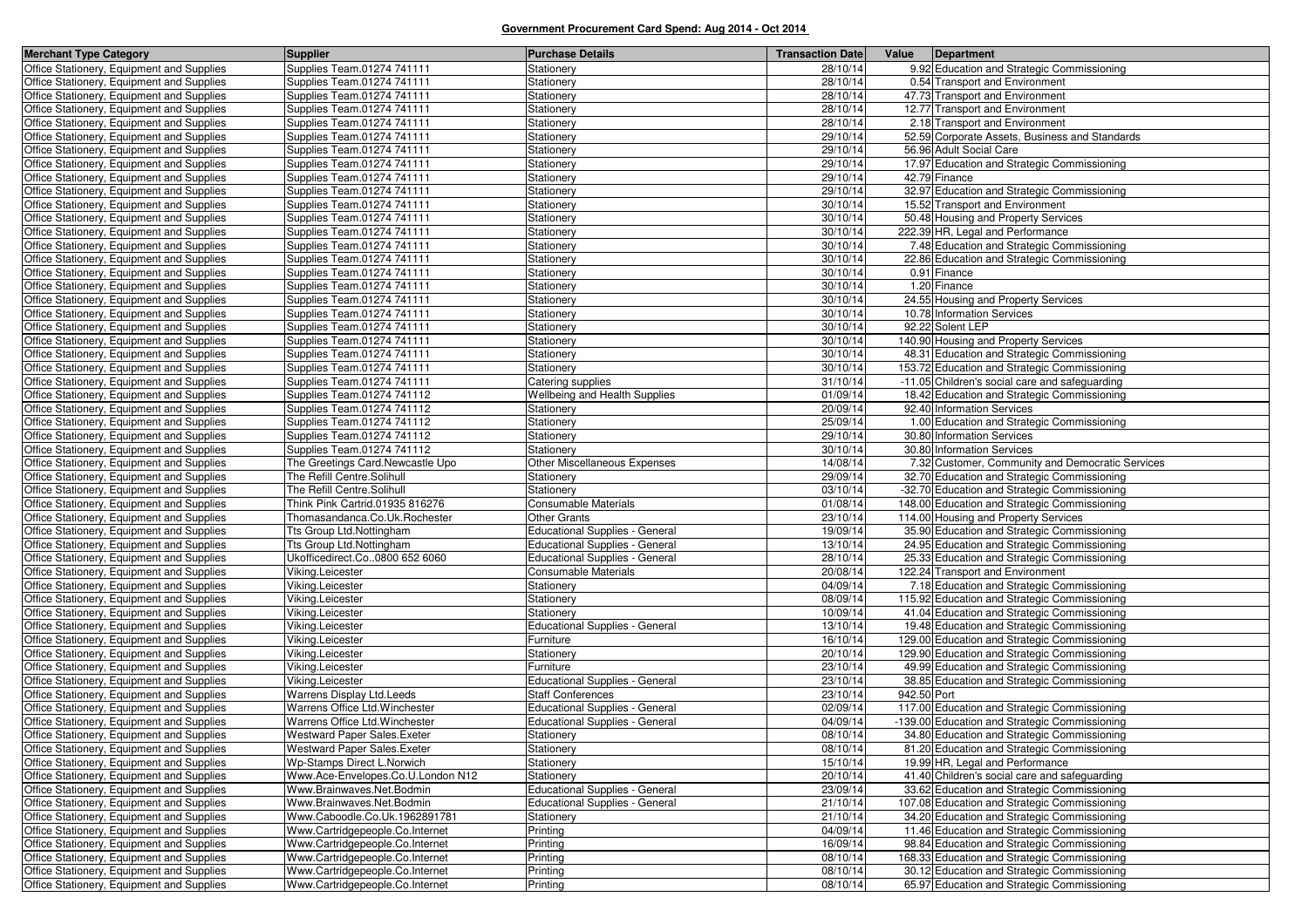| <b>Merchant Type Category</b>             | <b>Supplier</b>                    | <b>Purchase Details</b>               | <b>Transaction Date</b> | Value<br>Department                              |
|-------------------------------------------|------------------------------------|---------------------------------------|-------------------------|--------------------------------------------------|
| Office Stationery, Equipment and Supplies | Supplies Team.01274 741111         | Stationery                            | 28/10/14                | 9.92 Education and Strategic Commissioning       |
| Office Stationery, Equipment and Supplies | Supplies Team.01274 741111         | Stationery                            | 28/10/14                | 0.54 Transport and Environment                   |
| Office Stationery, Equipment and Supplies | Supplies Team.01274 741111         | Stationery                            | 28/10/14                | 47.73 Transport and Environment                  |
| Office Stationery, Equipment and Supplies | Supplies Team.01274 741111         | Stationery                            | 28/10/14                | 12.77 Transport and Environment                  |
| Office Stationery, Equipment and Supplies | Supplies Team.01274 741111         | Stationery                            | 28/10/14                | 2.18 Transport and Environment                   |
| Office Stationery, Equipment and Supplies | Supplies Team.01274 741111         | Stationery                            | 29/10/14                | 52.59 Corporate Assets, Business and Standards   |
| Office Stationery, Equipment and Supplies | Supplies Team.01274 741111         | Stationery                            | 29/10/14                | 56.96 Adult Social Care                          |
| Office Stationery, Equipment and Supplies | Supplies Team.01274 741111         | Stationery                            | 29/10/14                | 17.97 Education and Strategic Commissioning      |
| Office Stationery, Equipment and Supplies | Supplies Team.01274 741111         | Stationery                            | 29/10/14                | 42.79 Finance                                    |
| Office Stationery, Equipment and Supplies | Supplies Team.01274 741111         | Stationery                            | 29/10/14                | 32.97 Education and Strategic Commissioning      |
| Office Stationery, Equipment and Supplies | Supplies Team.01274 741111         | Stationery                            | 30/10/14                | 15.52 Transport and Environment                  |
| Office Stationery, Equipment and Supplies | Supplies Team.01274 741111         | Stationery                            | 30/10/14                | 50.48 Housing and Property Services              |
| Office Stationery, Equipment and Supplies | Supplies Team.01274 741111         | Stationery                            | 30/10/14                | 222.39 HR, Legal and Performance                 |
| Office Stationery, Equipment and Supplies | Supplies Team.01274 741111         | Stationery                            | 30/10/14                | 7.48 Education and Strategic Commissioning       |
| Office Stationery, Equipment and Supplies | Supplies Team.01274 741111         | Stationery                            | 30/10/14                | 22.86 Education and Strategic Commissioning      |
| Office Stationery, Equipment and Supplies | Supplies Team.01274 741111         | Stationery                            | 30/10/14                | 0.91 Finance                                     |
| Office Stationery, Equipment and Supplies | Supplies Team.01274 741111         | Stationery                            | 30/10/14                | 1.20 Finance                                     |
| Office Stationery, Equipment and Supplies | Supplies Team.01274 741111         | Stationery                            | 30/10/14                | 24.55 Housing and Property Services              |
| Office Stationery, Equipment and Supplies | Supplies Team.01274 741111         | <b>Stationery</b>                     | 30/10/14                | 10.78 Information Services                       |
| Office Stationery, Equipment and Supplies | Supplies Team.01274 741111         | Stationery                            | 30/10/14                | 92.22 Solent LEP                                 |
| Office Stationery, Equipment and Supplies | Supplies Team.01274 741111         | <b>Stationery</b>                     | 30/10/14                | 140.90 Housing and Property Services             |
| Office Stationery, Equipment and Supplies | Supplies Team.01274 741111         | Stationery                            | 30/10/14                | 48.31 Education and Strategic Commissioning      |
| Office Stationery, Equipment and Supplies | Supplies Team.01274 741111         | Stationery                            | 30/10/14                | 153.72 Education and Strategic Commissioning     |
| Office Stationery, Equipment and Supplies | Supplies Team.01274 741111         | Catering supplies                     | 31/10/14                | -11.05 Children's social care and safeguarding   |
| Office Stationery, Equipment and Supplies | Supplies Team.01274 741112         | <b>Wellbeing and Health Supplies</b>  | 01/09/14                | 18.42 Education and Strategic Commissioning      |
| Office Stationery, Equipment and Supplies | Supplies Team.01274 741112         | Stationery                            | 20/09/14                | 92.40 Information Services                       |
| Office Stationery, Equipment and Supplies | Supplies Team.01274 741112         | Stationery                            | 25/09/14                | 1.00 Education and Strategic Commissioning       |
| Office Stationery, Equipment and Supplies | Supplies Team.01274 741112         | Stationery                            | 29/10/14                | 30.80 Information Services                       |
| Office Stationery, Equipment and Supplies | Supplies Team.01274 741112         | Stationery                            | 30/10/14                | 30.80 Information Services                       |
| Office Stationery, Equipment and Supplies | The Greetings Card.Newcastle Upo   | Other Miscellaneous Expenses          | 14/08/14                | 7.32 Customer, Community and Democratic Services |
| Office Stationery, Equipment and Supplies | The Refill Centre.Solihull         | Stationery                            | 29/09/14                | 32.70 Education and Strategic Commissioning      |
| Office Stationery, Equipment and Supplies | The Refill Centre.Solihull         | Stationery                            | 03/10/14                | -32.70 Education and Strategic Commissioning     |
| Office Stationery, Equipment and Supplies | Think Pink Cartrid.01935 816276    | Consumable Materials                  | 01/08/14                | 148.00 Education and Strategic Commissioning     |
| Office Stationery, Equipment and Supplies | Thomasandanca.Co.Uk.Rochester      | <b>Other Grants</b>                   | 23/10/14                | 114.00 Housing and Property Services             |
| Office Stationery, Equipment and Supplies | Tts Group Ltd.Nottingham           | <b>Educational Supplies - General</b> | 19/09/14                | 35.90 Education and Strategic Commissioning      |
| Office Stationery, Equipment and Supplies | Tts Group Ltd.Nottingham           | Educational Supplies - General        | 13/10/14                | 24.95 Education and Strategic Commissioning      |
| Office Stationery, Equipment and Supplies | Ukofficedirect.Co0800 652 6060     | <b>Educational Supplies - General</b> | 28/10/14                | 25.33 Education and Strategic Commissioning      |
| Office Stationery, Equipment and Supplies | Viking.Leicester                   | Consumable Materials                  | 20/08/14                | 122.24 Transport and Environment                 |
| Office Stationery, Equipment and Supplies | Viking.Leicester                   | Stationery                            | 04/09/14                | 7.18 Education and Strategic Commissioning       |
| Office Stationery, Equipment and Supplies | Viking.Leicester                   | Stationery                            | 08/09/14                | 115.92 Education and Strategic Commissioning     |
| Office Stationery, Equipment and Supplies | Viking.Leicester                   | Stationery                            | 10/09/14                | 41.04 Education and Strategic Commissioning      |
| Office Stationery, Equipment and Supplies | Viking.Leicester                   | Educational Supplies - General        | 13/10/14                | 19.48 Education and Strategic Commissioning      |
| Office Stationery, Equipment and Supplies | Viking.Leicester                   | <sup>=</sup> urniture                 | 16/10/14                | 129.00 Education and Strategic Commissioning     |
| Office Stationery, Equipment and Supplies | Viking.Leicester                   | Stationery                            | 20/10/14                | 129.90 Education and Strategic Commissioning     |
| Office Stationery, Equipment and Supplies | Viking.Leicester                   | urniture <sup>-</sup>                 | 23/10/14                | 49.99 Education and Strategic Commissioning      |
| Office Stationery, Equipment and Supplies | Viking.Leicester                   | <b>Educational Supplies - General</b> | 23/10/14                | 38.85 Education and Strategic Commissioning      |
| Office Stationery, Equipment and Supplies | Warrens Display Ltd.Leeds          | <b>Staff Conferences</b>              | 23/10/14                | 942.50 Port                                      |
| Office Stationery, Equipment and Supplies | Warrens Office Ltd. Winchester     | <b>Educational Supplies - General</b> | 02/09/14                | 117.00 Education and Strategic Commissioning     |
| Office Stationery, Equipment and Supplies | Warrens Office Ltd. Winchester     | <b>Educational Supplies - General</b> | 04/09/14                | -139.00 Education and Strategic Commissioning    |
| Office Stationery, Equipment and Supplies | <b>Westward Paper Sales.Exeter</b> | Stationery                            | 08/10/14                | 34.80 Education and Strategic Commissioning      |
| Office Stationery, Equipment and Supplies | Westward Paper Sales. Exeter       | Stationery                            | 08/10/14                | 81.20 Education and Strategic Commissioning      |
| Office Stationery, Equipment and Supplies | <b>Wp-Stamps Direct L.Norwich</b>  | Stationery                            | 15/10/14                | 19.99 HR, Legal and Performance                  |
| Office Stationery, Equipment and Supplies | Www.Ace-Envelopes.Co.U.London N12  | Stationery                            | 20/10/14                | 41.40 Children's social care and safeguarding    |
| Office Stationery, Equipment and Supplies | Www.Brainwaves.Net.Bodmin          | <b>Educational Supplies - General</b> | 23/09/14                | 33.62 Education and Strategic Commissioning      |
| Office Stationery, Equipment and Supplies | Www.Brainwaves.Net.Bodmin          | <b>Educational Supplies - General</b> | 21/10/14                | 107.08 Education and Strategic Commissioning     |
| Office Stationery, Equipment and Supplies | Www.Caboodle.Co.Uk.1962891781      | Stationery                            | 21/10/14                | 34.20 Education and Strategic Commissioning      |
| Office Stationery, Equipment and Supplies | Www.Cartridgepeople.Co.Internet    | Printing                              | 04/09/14                | 11.46 Education and Strategic Commissioning      |
| Office Stationery, Equipment and Supplies | Www.Cartridgepeople.Co.Internet    | Printing                              | 16/09/14                | 98.84 Education and Strategic Commissioning      |
| Office Stationery, Equipment and Supplies | Www.Cartridgepeople.Co.Internet    | Printing                              | 08/10/14                | 168.33 Education and Strategic Commissioning     |
| Office Stationery, Equipment and Supplies | Www.Cartridgepeople.Co.Internet    | Printing                              | 08/10/14                | 30.12 Education and Strategic Commissioning      |
| Office Stationery, Equipment and Supplies | Www.Cartridgepeople.Co.Internet    | Printing                              | 08/10/14                | 65.97 Education and Strategic Commissioning      |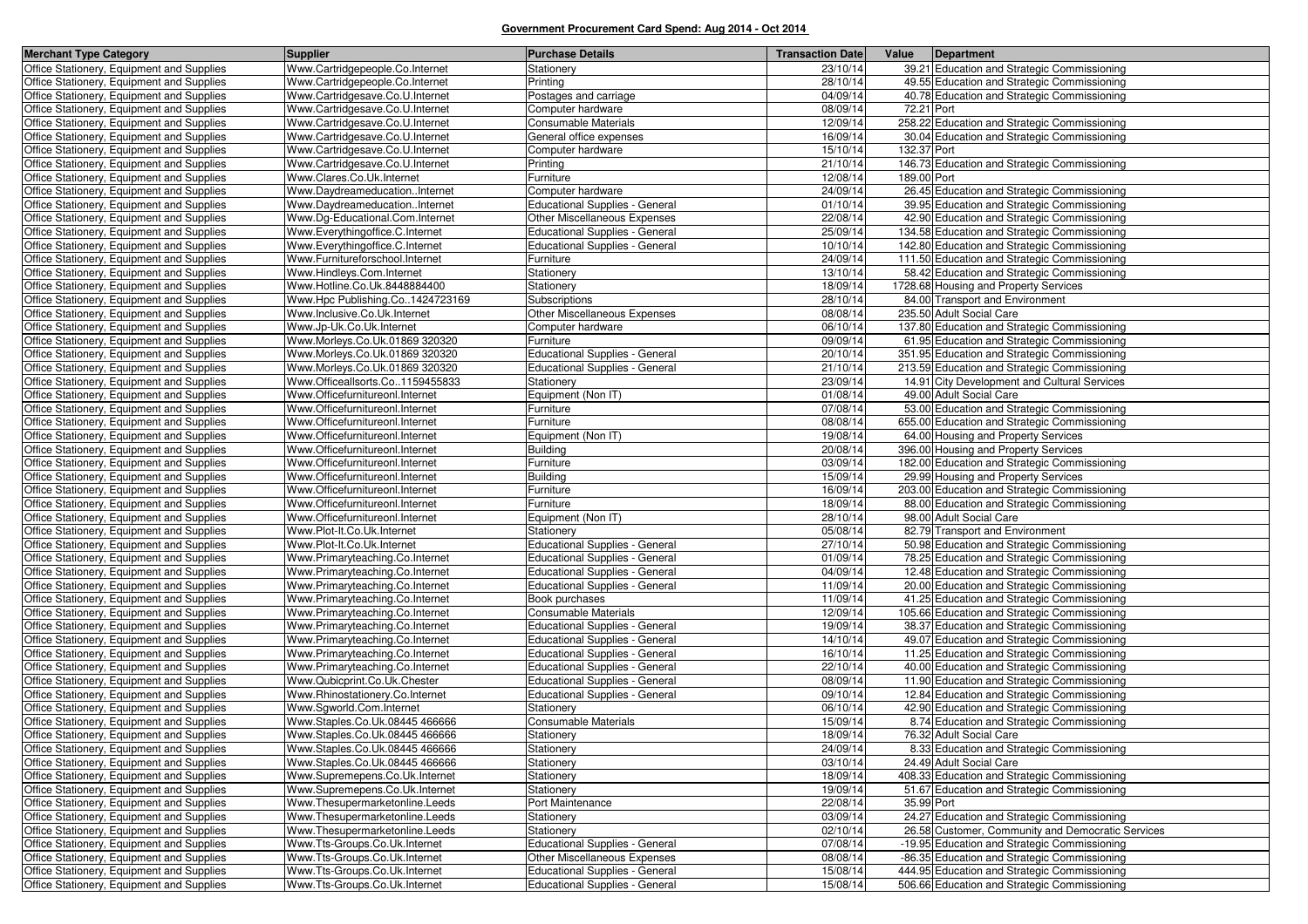| <b>Merchant Type Category</b>                                                          | <b>Supplier</b>                                            | <b>Purchase Details</b>               | <b>Transaction Date</b> | Value       | Department                                                                                 |
|----------------------------------------------------------------------------------------|------------------------------------------------------------|---------------------------------------|-------------------------|-------------|--------------------------------------------------------------------------------------------|
| Office Stationery, Equipment and Supplies                                              | Www.Cartridgepeople.Co.Internet                            | Stationery                            | 23/10/14                |             | 39.21 Education and Strategic Commissioning                                                |
| Office Stationery, Equipment and Supplies                                              | Www.Cartridgepeople.Co.Internet                            | Printing                              | 28/10/14                |             | 49.55 Education and Strategic Commissioning                                                |
| Office Stationery, Equipment and Supplies                                              | Www.Cartridgesave.Co.U.Internet                            | Postages and carriage                 | 04/09/14                |             | 40.78 Education and Strategic Commissioning                                                |
| Office Stationery, Equipment and Supplies                                              | Www.Cartridgesave.Co.U.Internet                            | Computer hardware                     | 08/09/14                | 72.21 Port  |                                                                                            |
| Office Stationery, Equipment and Supplies                                              | Www.Cartridgesave.Co.U.Internet                            | Consumable Materials                  | 12/09/14                |             | 258.22 Education and Strategic Commissioning                                               |
| Office Stationery, Equipment and Supplies                                              | Www.Cartridgesave.Co.U.Internet                            | General office expenses               | 16/09/14                |             | 30.04 Education and Strategic Commissioning                                                |
| Office Stationery, Equipment and Supplies                                              | Www.Cartridgesave.Co.U.Internet                            | Computer hardware                     | 15/10/14                | 132.37 Port |                                                                                            |
| Office Stationery, Equipment and Supplies                                              | Www.Cartridgesave.Co.U.Internet                            | Printing                              | 21/10/14                |             | 146.73 Education and Strategic Commissioning                                               |
| Office Stationery, Equipment and Supplies                                              | Www.Clares.Co.Uk.Internet                                  | Furniture                             | 12/08/14                | 189.00 Port |                                                                                            |
| Office Stationery, Equipment and Supplies                                              | Www.DaydreameducationInternet                              | Computer hardware                     | 24/09/14                |             | 26.45 Education and Strategic Commissioning                                                |
| Office Stationery, Equipment and Supplies                                              | Www.DaydreameducationInternet                              | <b>Educational Supplies - General</b> | 01/10/14                |             | 39.95 Education and Strategic Commissioning                                                |
| Office Stationery, Equipment and Supplies                                              | Www.Dq-Educational.Com.Internet                            | Other Miscellaneous Expenses          | 22/08/14                |             | 42.90 Education and Strategic Commissioning                                                |
| Office Stationery, Equipment and Supplies                                              | Www.Everythingoffice.C.Internet                            | Educational Supplies - General        | 25/09/14                |             | 134.58 Education and Strategic Commissioning                                               |
| Office Stationery, Equipment and Supplies                                              | Www.Everythingoffice.C.Internet                            | Educational Supplies - General        | 10/10/14                |             | 142.80 Education and Strategic Commissioning                                               |
| Office Stationery, Equipment and Supplies                                              | Www.Furnitureforschool.Internet                            | Furniture                             | 24/09/14                |             | 111.50 Education and Strategic Commissioning                                               |
| Office Stationery, Equipment and Supplies                                              | Www.Hindleys.Com.Internet                                  | Stationery                            | 13/10/14                |             | 58.42 Education and Strategic Commissioning                                                |
| Office Stationery, Equipment and Supplies                                              | Www.Hotline.Co.Uk.8448884400                               | Stationery                            | 18/09/14                |             | 1728.68 Housing and Property Services                                                      |
| Office Stationery, Equipment and Supplies                                              | Www.Hpc Publishing.Co1424723169                            | Subscriptions                         | 28/10/14                |             | 84.00 Transport and Environment                                                            |
| Office Stationery, Equipment and Supplies                                              | Www.Inclusive.Co.Uk.Internet                               | Other Miscellaneous Expenses          | 08/08/14                |             | 235.50 Adult Social Care                                                                   |
| Office Stationery, Equipment and Supplies                                              | Www.Jp-Uk.Co.Uk.Internet                                   | Computer hardware                     | 06/10/14                |             | 137.80 Education and Strategic Commissioning                                               |
| Office Stationery, Equipment and Supplies                                              | Www.Morleys.Co.Uk.01869 320320                             | Furniture                             | 09/09/14                |             | 61.95 Education and Strategic Commissioning                                                |
| Office Stationery, Equipment and Supplies                                              | Www.Morleys.Co.Uk.01869 320320                             | <b>Educational Supplies - General</b> | 20/10/14                |             | 351.95 Education and Strategic Commissioning                                               |
| Office Stationery, Equipment and Supplies                                              | Www.Morleys.Co.Uk.01869 320320                             | <b>Educational Supplies - General</b> | 21/10/14                |             | 213.59 Education and Strategic Commissioning                                               |
| Office Stationery, Equipment and Supplies                                              | Www.Officeallsorts.Co1159455833                            | Stationery                            | 23/09/14                |             | 14.91 City Development and Cultural Services                                               |
| Office Stationery, Equipment and Supplies                                              | Www.Officefurnitureonl.Internet                            | Equipment (Non IT)                    | 01/08/14                |             | 49.00 Adult Social Care                                                                    |
| Office Stationery, Equipment and Supplies                                              | Www.Officefurnitureonl.Internet                            | Furniture                             | 07/08/14                |             | 53.00 Education and Strategic Commissioning                                                |
| Office Stationery, Equipment and Supplies                                              | Www.Officefurnitureonl.Internet                            | Furniture                             | 08/08/14                |             | 655.00 Education and Strategic Commissioning                                               |
| Office Stationery, Equipment and Supplies                                              | Www.Officefurnitureonl.Internet                            | Equipment (Non IT)                    | 19/08/14                |             | 64.00 Housing and Property Services                                                        |
| Office Stationery, Equipment and Supplies                                              | Www.Officefurnitureonl.Internet                            | <b>Building</b>                       | 20/08/14                |             | 396.00 Housing and Property Services                                                       |
| Office Stationery, Equipment and Supplies                                              | Www.Officefurnitureonl.Internet                            | -urniture                             | 03/09/14                |             | 182.00 Education and Strategic Commissioning                                               |
| Office Stationery, Equipment and Supplies                                              | Www.Officefurnitureonl.Internet                            | <b>Building</b>                       | 15/09/14                |             | 29.99 Housing and Property Services                                                        |
| Office Stationery, Equipment and Supplies                                              | Www.Officefurnitureonl.Internet                            | Furniture                             | 16/09/14                |             | 203.00 Education and Strategic Commissioning                                               |
| Office Stationery, Equipment and Supplies                                              | Www.Officefurnitureonl.Internet                            | Furniture                             | 18/09/14                |             | 88.00 Education and Strategic Commissioning                                                |
| Office Stationery, Equipment and Supplies                                              | Www.Officefurnitureonl.Internet                            | Equipment (Non IT)                    | 28/10/14                |             | 98.00 Adult Social Care                                                                    |
| Office Stationery, Equipment and Supplies                                              | Www.Plot-It.Co.Uk.Internet                                 | Stationery                            | 05/08/14                |             | 82.79 Transport and Environment                                                            |
| Office Stationery, Equipment and Supplies                                              | Www.Plot-It.Co.Uk.Internet                                 | <b>Educational Supplies - General</b> | 27/10/14                |             | 50.98 Education and Strategic Commissioning                                                |
| Office Stationery, Equipment and Supplies                                              | Www.Primaryteaching.Co.Internet                            | <b>Educational Supplies - General</b> | 01/09/14                |             | 78.25 Education and Strategic Commissioning                                                |
| Office Stationery, Equipment and Supplies                                              | Www.Primaryteaching.Co.Internet                            | <b>Educational Supplies - General</b> | 04/09/14                |             | 12.48 Education and Strategic Commissioning                                                |
| Office Stationery, Equipment and Supplies                                              | Www.Primaryteaching.Co.Internet                            | <b>Educational Supplies - General</b> | 11/09/14                |             | 20.00 Education and Strategic Commissioning                                                |
| Office Stationery, Equipment and Supplies                                              | Www.Primaryteaching.Co.Internet                            | Book purchases                        | 11/09/14                |             | 41.25 Education and Strategic Commissioning                                                |
| Office Stationery, Equipment and Supplies                                              | Www.Primaryteaching.Co.Internet                            | Consumable Materials                  | 12/09/14                |             | 105.66 Education and Strategic Commissioning                                               |
| Office Stationery, Equipment and Supplies                                              | Www.Primaryteaching.Co.Internet                            | <b>Educational Supplies - General</b> | 19/09/14                |             | 38.37 Education and Strategic Commissioning                                                |
| Office Stationery, Equipment and Supplies                                              | Www.Primaryteaching.Co.Internet                            | <b>Educational Supplies - General</b> | 14/10/14                |             | 49.07 Education and Strategic Commissioning                                                |
| Office Stationery, Equipment and Supplies                                              | Www.Primaryteaching.Co.Internet                            | <b>Educational Supplies - General</b> | 16/10/14                |             | 11.25 Education and Strategic Commissioning                                                |
| Office Stationery, Equipment and Supplies                                              | Www.Primaryteaching.Co.Internet                            | <b>Educational Supplies - General</b> | 22/10/14                |             | 40.00 Education and Strategic Commissioning                                                |
| Office Stationery, Equipment and Supplies                                              | Www.Qubicprint.Co.Uk.Chester                               | <b>Educational Supplies - General</b> | 08/09/14<br>09/10/14    |             | 11.90 Education and Strategic Commissioning<br>12.84 Education and Strategic Commissioning |
| Office Stationery, Equipment and Supplies                                              | Www.Rhinostationery.Co.Internet                            | <b>Educational Supplies - General</b> |                         |             |                                                                                            |
| Office Stationery, Equipment and Supplies<br>Office Stationery, Equipment and Supplies | Www.Sgworld.Com.Internet<br>Www.Staples.Co.Uk.08445 466666 | Stationery<br>Consumable Materials    | 06/10/14<br>15/09/14    |             | 42.90 Education and Strategic Commissioning<br>8.74 Education and Strategic Commissioning  |
| Office Stationery, Equipment and Supplies                                              | Www.Staples.Co.Uk.08445 466666                             | Stationery                            | 18/09/14                |             | 76.32 Adult Social Care                                                                    |
| Office Stationery, Equipment and Supplies                                              | Www.Staples.Co.Uk.08445 466666                             | Stationery                            | 24/09/14                |             | 8.33 Education and Strategic Commissioning                                                 |
| Office Stationery, Equipment and Supplies                                              | Www.Staples.Co.Uk.08445 466666                             |                                       | 03/10/14                |             | 24.49 Adult Social Care                                                                    |
| Office Stationery, Equipment and Supplies                                              | Www.Supremepens.Co.Uk.Internet                             | Stationery<br>Stationery              | 18/09/14                |             | 408.33 Education and Strategic Commissioning                                               |
| Office Stationery, Equipment and Supplies                                              | Www.Supremepens.Co.Uk.Internet                             | Stationery                            | 19/09/14                |             | 51.67 Education and Strategic Commissioning                                                |
| Office Stationery, Equipment and Supplies                                              | Www.Thesupermarketonline.Leeds                             | Port Maintenance                      | 22/08/14                | 35.99 Port  |                                                                                            |
| Office Stationery, Equipment and Supplies                                              | Www.Thesupermarketonline.Leeds                             | Stationery                            | 03/09/14                |             | 24.27 Education and Strategic Commissioning                                                |
| Office Stationery, Equipment and Supplies                                              | Www.Thesupermarketonline.Leeds                             | Stationery                            | 02/10/14                |             | 26.58 Customer, Community and Democratic Services                                          |
| Office Stationery, Equipment and Supplies                                              | Www.Tts-Groups.Co.Uk.Internet                              | <b>Educational Supplies - General</b> | 07/08/14                |             | -19.95 Education and Strategic Commissioning                                               |
| Office Stationery, Equipment and Supplies                                              | Www.Tts-Groups.Co.Uk.Internet                              | Other Miscellaneous Expenses          | 08/08/14                |             | -86.35 Education and Strategic Commissioning                                               |
| Office Stationery, Equipment and Supplies                                              | Www.Tts-Groups.Co.Uk.Internet                              | <b>Educational Supplies - General</b> | 15/08/14                |             | 444.95 Education and Strategic Commissioning                                               |
| Office Stationery, Equipment and Supplies                                              | Www.Tts-Groups.Co.Uk.Internet                              | <b>Educational Supplies - General</b> | 15/08/14                |             | 506.66 Education and Strategic Commissioning                                               |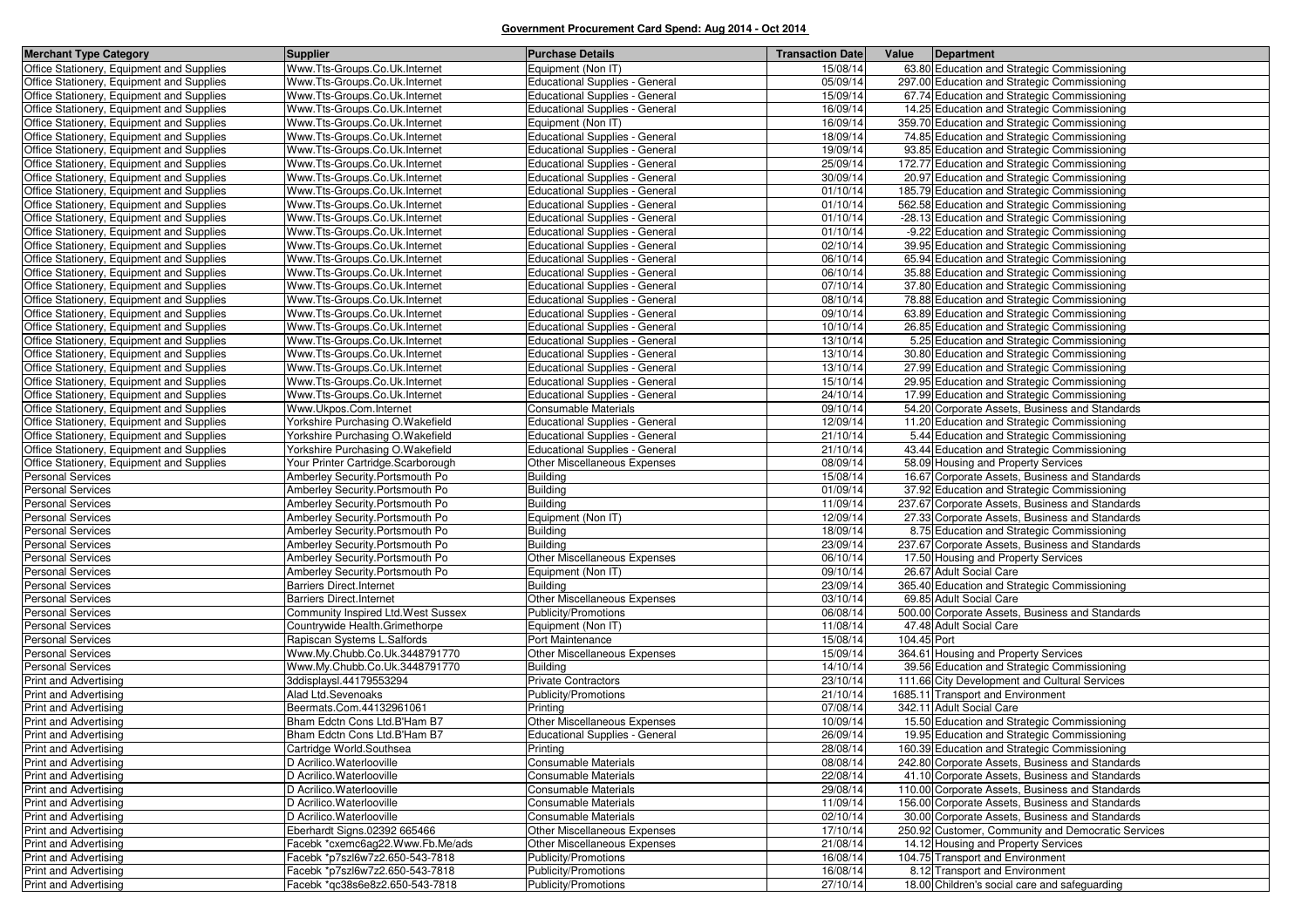| <b>Merchant Type Category</b>             | <b>Supplier</b>                                                     | <b>Purchase Details</b>                         | <b>Transaction Date</b> | Value<br>Department                                                     |
|-------------------------------------------|---------------------------------------------------------------------|-------------------------------------------------|-------------------------|-------------------------------------------------------------------------|
| Office Stationery, Equipment and Supplies | Www.Tts-Groups.Co.Uk.Internet                                       | Equipment (Non IT)                              | 15/08/14                | 63.80 Education and Strategic Commissioning                             |
| Office Stationery, Equipment and Supplies | Www.Tts-Groups.Co.Uk.Internet                                       | <b>Educational Supplies - General</b>           | 05/09/14                | 297.00 Education and Strategic Commissioning                            |
| Office Stationery, Equipment and Supplies | Www.Tts-Groups.Co.Uk.Internet                                       | Educational Supplies - General                  | 15/09/14                | 67.74 Education and Strategic Commissioning                             |
| Office Stationery, Equipment and Supplies | Www.Tts-Groups.Co.Uk.Internet                                       | <b>Educational Supplies - General</b>           | 16/09/14                | 14.25 Education and Strategic Commissioning                             |
| Office Stationery, Equipment and Supplies | Www.Tts-Groups.Co.Uk.Internet                                       | Equipment (Non IT)                              | 16/09/14                | 359.70 Education and Strategic Commissioning                            |
| Office Stationery, Equipment and Supplies | Www.Tts-Groups.Co.Uk.Internet                                       | <b>Educational Supplies - General</b>           | 18/09/14                | 74.85 Education and Strategic Commissioning                             |
| Office Stationery, Equipment and Supplies | Www.Tts-Groups.Co.Uk.Internet                                       | Educational Supplies - General                  | 19/09/14                | 93.85 Education and Strategic Commissioning                             |
| Office Stationery, Equipment and Supplies | Www.Tts-Groups.Co.Uk.Internet                                       | Educational Supplies - General                  | 25/09/14                | 172.77 Education and Strategic Commissioning                            |
| Office Stationery, Equipment and Supplies | Www.Tts-Groups.Co.Uk.Internet                                       | <b>Educational Supplies - General</b>           | 30/09/14                | 20.97 Education and Strategic Commissioning                             |
| Office Stationery, Equipment and Supplies | Www.Tts-Groups.Co.Uk.Internet                                       | <b>Educational Supplies - General</b>           | 01/10/14                | 185.79 Education and Strategic Commissioning                            |
| Office Stationery, Equipment and Supplies | Www.Tts-Groups.Co.Uk.Internet                                       | <b>Educational Supplies - General</b>           | 01/10/14                | 562.58 Education and Strategic Commissioning                            |
| Office Stationery, Equipment and Supplies | Www.Tts-Groups.Co.Uk.Internet                                       | <b>Educational Supplies - General</b>           | 01/10/14                | -28.13 Education and Strategic Commissioning                            |
| Office Stationery, Equipment and Supplies | Www.Tts-Groups.Co.Uk.Internet                                       | <b>Educational Supplies - General</b>           | 01/10/14                | -9.22 Education and Strategic Commissioning                             |
| Office Stationery, Equipment and Supplies | Www.Tts-Groups.Co.Uk.Internet                                       | <b>Educational Supplies - General</b>           | 02/10/14                | 39.95 Education and Strategic Commissioning                             |
| Office Stationery, Equipment and Supplies | Www.Tts-Groups.Co.Uk.Internet                                       | <b>Educational Supplies - General</b>           | 06/10/14                | 65.94 Education and Strategic Commissioning                             |
| Office Stationery, Equipment and Supplies | Www.Tts-Groups.Co.Uk.Internet                                       | <b>Educational Supplies - General</b>           | 06/10/14                | 35.88 Education and Strategic Commissioning                             |
| Office Stationery, Equipment and Supplies | Www.Tts-Groups.Co.Uk.Internet                                       | <b>Educational Supplies - General</b>           | 07/10/14                | 37.80 Education and Strategic Commissioning                             |
| Office Stationery, Equipment and Supplies | Www.Tts-Groups.Co.Uk.Internet                                       | <b>Educational Supplies - General</b>           | 08/10/14                | 78.88 Education and Strategic Commissioning                             |
| Office Stationery, Equipment and Supplies | Www.Tts-Groups.Co.Uk.Internet                                       | <b>Educational Supplies - General</b>           | 09/10/14                | 63.89 Education and Strategic Commissioning                             |
| Office Stationery, Equipment and Supplies | Www.Tts-Groups.Co.Uk.Internet                                       | <b>Educational Supplies - General</b>           | 10/10/14                | 26.85 Education and Strategic Commissioning                             |
| Office Stationery, Equipment and Supplies | Www.Tts-Groups.Co.Uk.Internet                                       | Educational Supplies - General                  | 13/10/14                | 5.25 Education and Strategic Commissioning                              |
| Office Stationery, Equipment and Supplies | Www.Tts-Groups.Co.Uk.Internet                                       | <b>Educational Supplies - General</b>           | 13/10/14                | 30.80 Education and Strategic Commissioning                             |
| Office Stationery, Equipment and Supplies | Www.Tts-Groups.Co.Uk.Internet                                       | Educational Supplies - General                  | 13/10/14                | 27.99 Education and Strategic Commissioning                             |
| Office Stationery, Equipment and Supplies | Www.Tts-Groups.Co.Uk.Internet                                       | <b>Educational Supplies - General</b>           | 15/10/14                | 29.95 Education and Strategic Commissioning                             |
| Office Stationery, Equipment and Supplies | Www.Tts-Groups.Co.Uk.Internet                                       | Educational Supplies - General                  | 24/10/14                | 17.99 Education and Strategic Commissioning                             |
| Office Stationery, Equipment and Supplies | Www.Ukpos.Com.Internet                                              | <b>Consumable Materials</b>                     | 09/10/14                | 54.20 Corporate Assets, Business and Standards                          |
| Office Stationery, Equipment and Supplies | Yorkshire Purchasing O.Wakefield                                    | <b>Educational Supplies - General</b>           | 12/09/14                | 11.20 Education and Strategic Commissioning                             |
| Office Stationery, Equipment and Supplies | Yorkshire Purchasing O.Wakefield                                    | <b>Educational Supplies - General</b>           | 21/10/14                | 5.44 Education and Strategic Commissioning                              |
| Office Stationery, Equipment and Supplies | Yorkshire Purchasing O.Wakefield                                    | <b>Educational Supplies - General</b>           | 21/10/14                | 43.44 Education and Strategic Commissioning                             |
| Office Stationery, Equipment and Supplies | Your Printer Cartridge.Scarborough                                  | <b>Other Miscellaneous Expenses</b>             | 08/09/14                | 58.09 Housing and Property Services                                     |
| <b>Personal Services</b>                  | Amberley Security. Portsmouth Po                                    | <b>Building</b>                                 | 15/08/14                | 16.67 Corporate Assets, Business and Standards                          |
| <b>Personal Services</b>                  | Amberley Security. Portsmouth Po                                    | <b>Building</b>                                 | 01/09/14                | 37.92 Education and Strategic Commissioning                             |
| <b>Personal Services</b>                  | Amberley Security. Portsmouth Po                                    | <b>Building</b>                                 | 11/09/14                | 237.67 Corporate Assets, Business and Standards                         |
| <b>Personal Services</b>                  | Amberley Security. Portsmouth Po                                    | Equipment (Non IT)                              | 12/09/14                | 27.33 Corporate Assets, Business and Standards                          |
| <b>Personal Services</b>                  | Amberley Security. Portsmouth Po                                    | <b>Building</b>                                 | 18/09/14<br>23/09/14    | 8.75 Education and Strategic Commissioning                              |
| <b>Personal Services</b>                  | Amberley Security. Portsmouth Po                                    | <b>Building</b>                                 |                         | 237.67 Corporate Assets, Business and Standards                         |
| <b>Personal Services</b>                  | Amberley Security. Portsmouth Po                                    | Other Miscellaneous Expenses                    | 06/10/14                | 17.50 Housing and Property Services                                     |
| Personal Services                         | Amberley Security. Portsmouth Po<br><b>Barriers Direct.Internet</b> | Equipment (Non IT)                              | 09/10/14<br>23/09/14    | 26.67 Adult Social Care<br>365.40 Education and Strategic Commissioning |
| Personal Services<br>Personal Services    | <b>Barriers Direct.Internet</b>                                     | <b>Building</b><br>Other Miscellaneous Expenses | 03/10/14                | 69.85 Adult Social Care                                                 |
| Personal Services                         | Community Inspired Ltd. West Sussex                                 | Publicity/Promotions                            | 06/08/14                | 500.00 Corporate Assets, Business and Standards                         |
| Personal Services                         | Countrywide Health.Grimethorpe                                      | Equipment (Non IT)                              | 11/08/14                | 47.48 Adult Social Care                                                 |
| Personal Services                         | Rapiscan Systems L.Salfords                                         | Port Maintenance                                | 15/08/14                | 104.45 Port                                                             |
| Personal Services                         | Www.My.Chubb.Co.Uk.3448791770                                       | Other Miscellaneous Expenses                    | 15/09/14                | 364.61 Housing and Property Services                                    |
| <b>Personal Services</b>                  | Www.My.Chubb.Co.Uk.3448791770                                       | <b>Building</b>                                 | 14/10/14                | 39.56 Education and Strategic Commissioning                             |
| <b>Print and Advertising</b>              | 3ddisplaysl.44179553294                                             | <b>Private Contractors</b>                      | 23/10/14                | 111.66 City Development and Cultural Services                           |
| <b>Print and Advertising</b>              | Alad Ltd.Sevenoaks                                                  | Publicity/Promotions                            | 21/10/14                | 1685.11 Transport and Environment                                       |
| <b>Print and Advertising</b>              | Beermats.Com.44132961061                                            | Printing                                        | 07/08/14                | 342.11 Adult Social Care                                                |
| <b>Print and Advertising</b>              | Bham Edctn Cons Ltd.B'Ham B7                                        | Other Miscellaneous Expenses                    | 10/09/14                | 15.50 Education and Strategic Commissioning                             |
| <b>Print and Advertising</b>              | Bham Edctn Cons Ltd.B'Ham B7                                        | <b>Educational Supplies - General</b>           | 26/09/14                | 19.95 Education and Strategic Commissioning                             |
| Print and Advertising                     | Cartridge World.Southsea                                            | Printing                                        | 28/08/14                | 160.39 Education and Strategic Commissioning                            |
| <b>Print and Advertising</b>              | D Acrilico. Waterlooville                                           | Consumable Materials                            | 08/08/14                | 242.80 Corporate Assets, Business and Standards                         |
| <b>Print and Advertising</b>              | D Acrilico. Waterlooville                                           | Consumable Materials                            | 22/08/14                | 41.10 Corporate Assets, Business and Standards                          |
| <b>Print and Advertising</b>              | D Acrilico. Waterlooville                                           | <b>Consumable Materials</b>                     | 29/08/14                | 110.00 Corporate Assets, Business and Standards                         |
| <b>Print and Advertising</b>              | D Acrilico. Waterlooville                                           | Consumable Materials                            | 11/09/14                | 156.00 Corporate Assets, Business and Standards                         |
| <b>Print and Advertising</b>              | D Acrilico. Waterlooville                                           | Consumable Materials                            | 02/10/14                | 30.00 Corporate Assets, Business and Standards                          |
| <b>Print and Advertising</b>              | Eberhardt Signs.02392 665466                                        | Other Miscellaneous Expenses                    | 17/10/14                | 250.92 Customer, Community and Democratic Services                      |
| Print and Advertising                     | Facebk *cxemc6ag22.Www.Fb.Me/ads                                    | Other Miscellaneous Expenses                    | 21/08/14                | 14.12 Housing and Property Services                                     |
| <b>Print and Advertising</b>              | Facebk *p7szl6w7z2.650-543-7818                                     | Publicity/Promotions                            | 16/08/14                | 104.75 Transport and Environment                                        |
| <b>Print and Advertising</b>              | Facebk *p7szl6w7z2.650-543-7818                                     | Publicity/Promotions                            | 16/08/14                | 8.12 Transport and Environment                                          |
| Print and Advertising                     | Facebk *qc38s6e8z2.650-543-7818                                     | Publicity/Promotions                            | 27/10/14                | 18.00 Children's social care and safeguarding                           |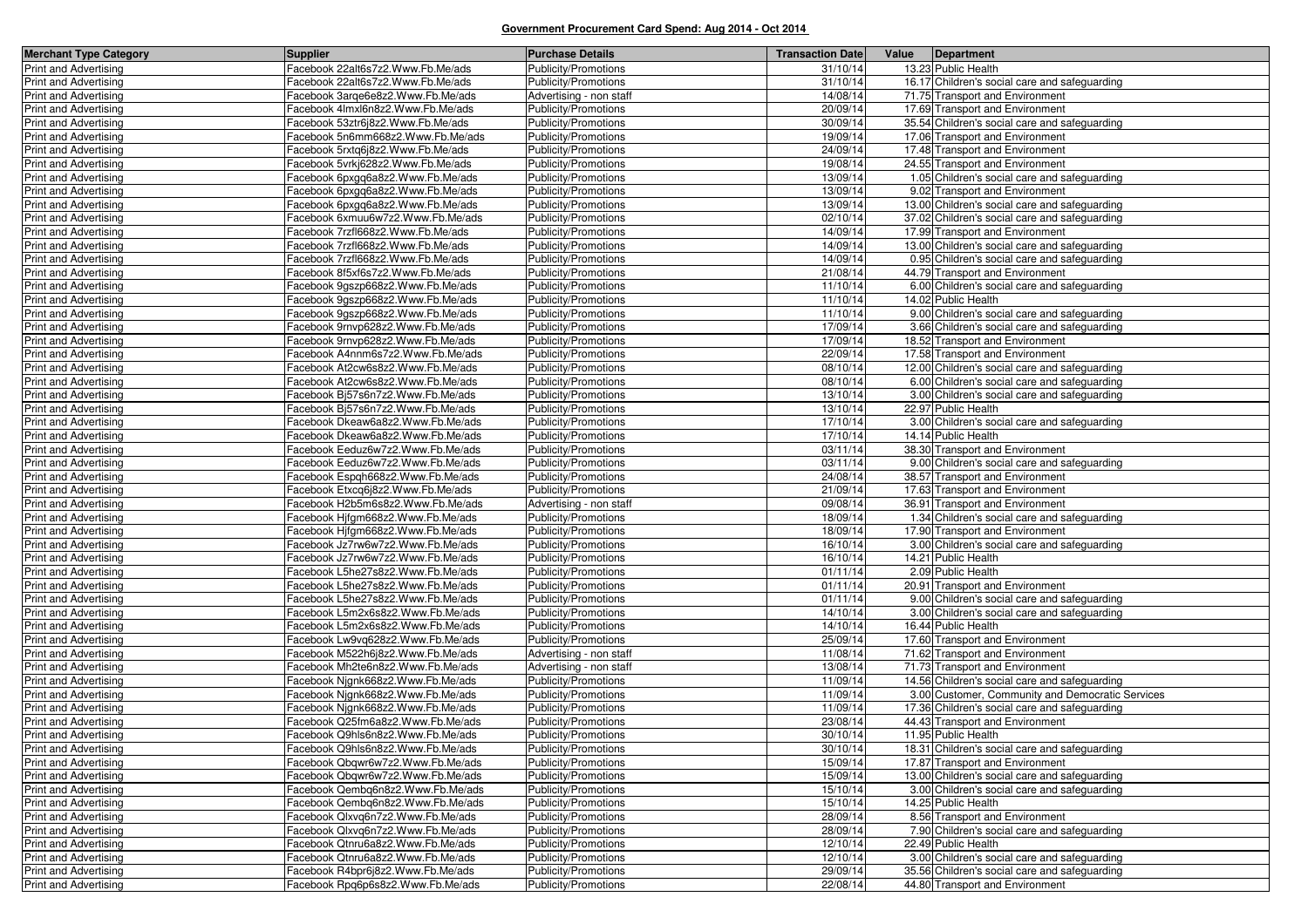| <b>Merchant Type Category</b>                                | <b>Supplier</b>                                                        | <b>Purchase Details</b>                      | <b>Transaction Date</b> | Value Department                                                                 |
|--------------------------------------------------------------|------------------------------------------------------------------------|----------------------------------------------|-------------------------|----------------------------------------------------------------------------------|
| Print and Advertising                                        | Facebook 22alt6s7z2.Www.Fb.Me/ads                                      | Publicity/Promotions                         | 31/10/14                | 13.23 Public Health                                                              |
| Print and Advertising                                        | Facebook 22alt6s7z2.Www.Fb.Me/ads                                      | Publicity/Promotions                         | 31/10/14                | 16.17 Children's social care and safeguarding                                    |
| Print and Advertising                                        | Facebook 3arge6e8z2.Www.Fb.Me/ads                                      | Advertising - non staff                      | 14/08/14                | 71.75 Transport and Environment                                                  |
| <b>Print and Advertising</b>                                 | Facebook 4Imxl6n8z2.Www.Fb.Me/ads                                      | Publicity/Promotions                         | 20/09/14                | 17.69 Transport and Environment                                                  |
| <b>Print and Advertising</b>                                 | Facebook 53ztr6j8z2.Www.Fb.Me/ads                                      | Publicity/Promotions                         | 30/09/14                | 35.54 Children's social care and safeguarding                                    |
| <b>Print and Advertising</b>                                 | Facebook 5n6mm668z2.Www.Fb.Me/ads                                      | Publicity/Promotions                         | 19/09/14                | 17.06 Transport and Environment                                                  |
| Print and Advertising                                        | Facebook 5rxtq6j8z2.Www.Fb.Me/ads                                      | Publicity/Promotions                         | 24/09/14                | 17.48 Transport and Environment                                                  |
| <b>Print and Advertising</b>                                 | Facebook 5vrkj628z2.Www.Fb.Me/ads                                      | Publicity/Promotions                         | 19/08/14                | 24.55 Transport and Environment                                                  |
| <b>Print and Advertising</b>                                 | Facebook 6pxgq6a8z2.Www.Fb.Me/ads                                      | Publicity/Promotions                         | 13/09/14                | 1.05 Children's social care and safeguarding                                     |
| <b>Print and Advertising</b>                                 | Facebook 6pxgq6a8z2.Www.Fb.Me/ads                                      | Publicity/Promotions                         | 13/09/14                | 9.02 Transport and Environment                                                   |
| <b>Print and Advertising</b>                                 | Facebook 6pxgq6a8z2.Www.Fb.Me/ads                                      | Publicity/Promotions                         | 13/09/14                | 13.00 Children's social care and safeguarding                                    |
| <b>Print and Advertising</b>                                 | Facebook 6xmuu6w7z2.Www.Fb.Me/ads                                      | Publicity/Promotions                         | 02/10/14                | 37.02 Children's social care and safeguarding                                    |
| <b>Print and Advertising</b>                                 | Facebook 7rzfl668z2.Www.Fb.Me/ads                                      | Publicity/Promotions                         | 14/09/14                | 17.99 Transport and Environment                                                  |
| <b>Print and Advertising</b>                                 | Facebook 7rzfl668z2.Www.Fb.Me/ads                                      | Publicity/Promotions                         | 14/09/14                | 13.00 Children's social care and safeguarding                                    |
| Print and Advertising                                        | Facebook 7rzfl668z2.Www.Fb.Me/ads                                      | Publicity/Promotions                         | 14/09/14                | 0.95 Children's social care and safeguarding                                     |
| Print and Advertising                                        | Facebook 8f5xf6s7z2.Www.Fb.Me/ads                                      | Publicity/Promotions                         | 21/08/14                | 44.79 Transport and Environment                                                  |
| <b>Print and Advertising</b>                                 | Facebook 9gszp668z2.Www.Fb.Me/ads                                      | Publicity/Promotions                         | 11/10/14                | 6.00 Children's social care and safeguarding                                     |
| Print and Advertising                                        | acebook 9gszp668z2.Www.Fb.Me/ads                                       | Publicity/Promotions                         | 11/10/14                | 14.02 Public Health                                                              |
| <b>Print and Advertising</b>                                 | Facebook 9gszp668z2.Www.Fb.Me/ads                                      | Publicity/Promotions                         | 11/10/14                | 9.00 Children's social care and safeguarding                                     |
| <b>Print and Advertising</b>                                 | Facebook 9rnvp628z2.Www.Fb.Me/ads                                      | Publicity/Promotions                         | 17/09/14                | 3.66 Children's social care and safeguarding                                     |
| Print and Advertising                                        | Facebook 9rnvp628z2.Www.Fb.Me/ads                                      | Publicity/Promotions                         | 17/09/14                | 18.52 Transport and Environment                                                  |
| <b>Print and Advertising</b>                                 | Facebook A4nnm6s7z2.Www.Fb.Me/ads                                      | Publicity/Promotions                         | 22/09/14                | 17.58 Transport and Environment                                                  |
| Print and Advertising                                        | Facebook At2cw6s8z2.Www.Fb.Me/ads                                      | Publicity/Promotions                         | 08/10/14                | 12.00 Children's social care and safeguarding                                    |
| <b>Print and Advertising</b>                                 | Facebook At2cw6s8z2.Www.Fb.Me/ads                                      | Publicity/Promotions                         | 08/10/14                | 6.00 Children's social care and safeguarding                                     |
| <b>Print and Advertising</b>                                 | Facebook Bj57s6n7z2.Www.Fb.Me/ads                                      | Publicity/Promotions                         | 13/10/14                | 3.00 Children's social care and safeguarding                                     |
| Print and Advertising                                        | Facebook Bi57s6n7z2.Www.Fb.Me/ads                                      | Publicity/Promotions                         | 13/10/14                | 22.97 Public Health                                                              |
| Print and Advertising                                        | Facebook Dkeaw6a8z2.Www.Fb.Me/ads                                      | Publicity/Promotions                         | 17/10/14                | 3.00 Children's social care and safeguarding                                     |
| <b>Print and Advertising</b>                                 | Facebook Dkeaw6a8z2.Www.Fb.Me/ads                                      | Publicity/Promotions                         | 17/10/14                | 14.14 Public Health                                                              |
| <b>Print and Advertising</b>                                 | Facebook Eeduz6w7z2.Www.Fb.Me/ads                                      | Publicity/Promotions                         | 03/11/14                | 38.30 Transport and Environment                                                  |
| <b>Print and Advertising</b>                                 | Facebook Eeduz6w7z2.Www.Fb.Me/ads                                      | Publicity/Promotions                         | 03/11/14                | 9.00 Children's social care and safeguarding                                     |
| <b>Print and Advertising</b>                                 | Facebook Espqh668z2.Www.Fb.Me/ads                                      | Publicity/Promotions                         | 24/08/14                | 38.57 Transport and Environment                                                  |
| Print and Advertising                                        | Facebook Etxcq6j8z2.Www.Fb.Me/ads                                      | Publicity/Promotions                         | 21/09/14                | 17.63 Transport and Environment                                                  |
| <b>Print and Advertising</b>                                 | Facebook H2b5m6s8z2.Www.Fb.Me/ads                                      | Advertising - non staff                      | 09/08/14                | 36.91 Transport and Environment                                                  |
| Print and Advertising                                        | Facebook Hjfgm668z2.Www.Fb.Me/ads                                      | Publicity/Promotions                         | 18/09/14                | 1.34 Children's social care and safeguarding                                     |
| Print and Advertising                                        | Facebook Hjfgm668z2.Www.Fb.Me/ads                                      | Publicity/Promotions                         | 18/09/14                | 17.90 Transport and Environment                                                  |
| <b>Print and Advertising</b>                                 | acebook Jz7rw6w7z2.Www.Fb.Me/ads                                       | Publicity/Promotions                         | 16/10/14                | 3.00 Children's social care and safeguarding                                     |
| <b>Print and Advertising</b>                                 | Facebook Jz7rw6w7z2.Www.Fb.Me/ads                                      | Publicity/Promotions                         | 16/10/14                | 14.21 Public Health                                                              |
| <b>Print and Advertising</b>                                 | Facebook L5he27s8z2.Www.Fb.Me/ads                                      | Publicity/Promotions                         | 01/11/14                | 2.09 Public Health                                                               |
| <b>Print and Advertising</b>                                 | Facebook L5he27s8z2.Www.Fb.Me/ads                                      | Publicity/Promotions                         | 01/11/14                | 20.91 Transport and Environment                                                  |
| Print and Advertising                                        | Facebook L5he27s8z2.Www.Fb.Me/ads                                      | Publicity/Promotions                         | 01/11/14                | 9.00 Children's social care and safeguarding                                     |
| <b>Print and Advertising</b>                                 | Facebook L5m2x6s8z2.Www.Fb.Me/ads                                      | Publicity/Promotions                         | 14/10/14                | 3.00 Children's social care and safeguarding                                     |
| <b>Print and Advertising</b>                                 | Facebook L5m2x6s8z2.Www.Fb.Me/ads                                      | Publicity/Promotions                         | 14/10/14                | 16.44 Public Health                                                              |
| <b>Print and Advertising</b>                                 | acebook Lw9vq628z2.Www.Fb.Me/ads                                       | Publicity/Promotions                         | 25/09/14                | 17.60 Transport and Environment<br>71.62 Transport and Environment               |
| <b>Print and Advertising</b>                                 | Facebook M522h6j8z2.Www.Fb.Me/ads                                      | Advertising - non staff                      | 11/08/14                |                                                                                  |
| Print and Advertising                                        | Facebook Mh2te6n8z2.Www.Fb.Me/ads                                      | Advertising - non staff                      | 13/08/14<br>11/09/14    | 71.73 Transport and Environment<br>14.56 Children's social care and safeguarding |
| <b>Print and Advertising</b><br><b>Print and Advertising</b> | Facebook Nignk668z2.Www.Fb.Me/ads<br>Facebook Njgnk668z2.Www.Fb.Me/ads | Publicity/Promotions<br>Publicity/Promotions | 11/09/14                | 3.00 Customer, Community and Democratic Services                                 |
| <b>Print and Advertising</b>                                 | Facebook Njgnk668z2.Www.Fb.Me/ads                                      | Publicity/Promotions                         | 11/09/14                | 17.36 Children's social care and safeguarding                                    |
| <b>Print and Advertising</b>                                 | Facebook Q25fm6a8z2.Www.Fb.Me/ads                                      | Publicity/Promotions                         | 23/08/14                | 44.43 Transport and Environment                                                  |
| <b>Print and Advertising</b>                                 | Facebook Q9hls6n8z2.Www.Fb.Me/ads                                      | Publicity/Promotions                         | 30/10/14                | 11.95 Public Health                                                              |
| <b>Print and Advertising</b>                                 | Facebook Q9hls6n8z2.Www.Fb.Me/ads                                      | Publicity/Promotions                         | 30/10/14                | 18.31 Children's social care and safeguarding                                    |
| Print and Advertising                                        | Facebook Qbqwr6w7z2.Www.Fb.Me/ads                                      | Publicity/Promotions                         | 15/09/14                | 17.87 Transport and Environment                                                  |
| <b>Print and Advertising</b>                                 | Facebook Qbqwr6w7z2.Www.Fb.Me/ads                                      | Publicity/Promotions                         | 15/09/14                | 13.00 Children's social care and safeguarding                                    |
| Print and Advertising                                        | Facebook Qembg6n8z2.Www.Fb.Me/ads                                      | Publicity/Promotions                         | 15/10/14                | 3.00 Children's social care and safeguarding                                     |
| <b>Print and Advertising</b>                                 | Facebook Qembq6n8z2.Www.Fb.Me/ads                                      | Publicity/Promotions                         | 15/10/14                | 14.25 Public Health                                                              |
| Print and Advertising                                        | Facebook Qlxvq6n7z2.Www.Fb.Me/ads                                      | Publicity/Promotions                         | 28/09/14                | 8.56 Transport and Environment                                                   |
| <b>Print and Advertising</b>                                 | Facebook Qlxvq6n7z2.Www.Fb.Me/ads                                      | Publicity/Promotions                         | 28/09/14                | 7.90 Children's social care and safeguarding                                     |
| <b>Print and Advertising</b>                                 | Facebook Qtnru6a8z2.Www.Fb.Me/ads                                      | Publicity/Promotions                         | 12/10/14                | 22.49 Public Health                                                              |
| <b>Print and Advertising</b>                                 | Facebook Qtnru6a8z2.Www.Fb.Me/ads                                      | Publicity/Promotions                         | 12/10/14                | 3.00 Children's social care and safeguarding                                     |
| Print and Advertising                                        | Facebook R4bpr6j8z2.Www.Fb.Me/ads                                      | Publicity/Promotions                         | 29/09/14                | 35.56 Children's social care and safeguarding                                    |
| Print and Advertising                                        | Facebook Rpq6p6s8z2.Www.Fb.Me/ads                                      | Publicity/Promotions                         | 22/08/14                | 44.80 Transport and Environment                                                  |
|                                                              |                                                                        |                                              |                         |                                                                                  |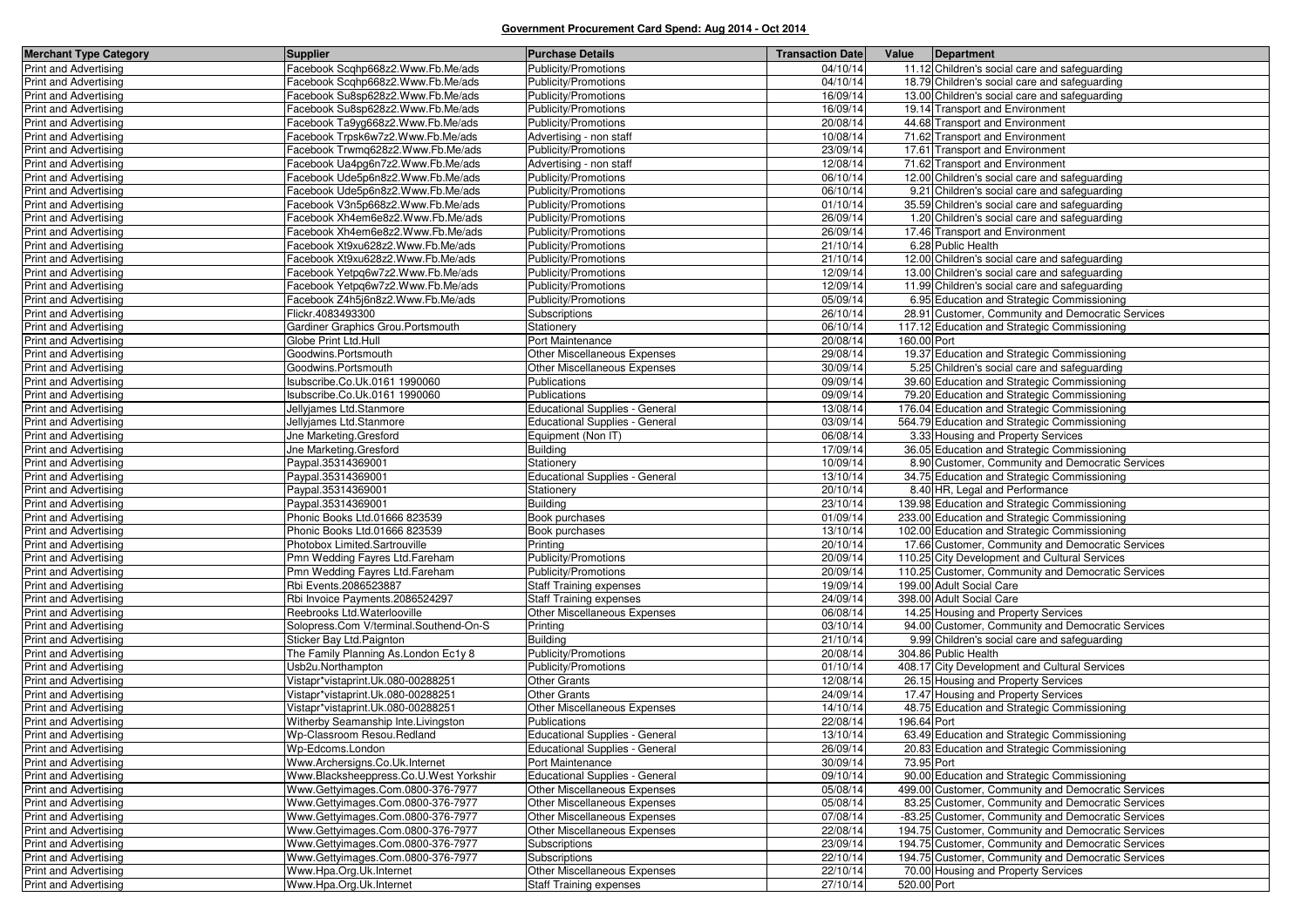| <b>Merchant Type Category</b>                         | <b>Supplier</b>                                         | <b>Purchase Details</b>                     | <b>Transaction Date</b> |             | Value Department                                                      |
|-------------------------------------------------------|---------------------------------------------------------|---------------------------------------------|-------------------------|-------------|-----------------------------------------------------------------------|
| Print and Advertising                                 | Facebook Scqhp668z2.Www.Fb.Me/ads                       | Publicity/Promotions                        | 04/10/14                |             | 11.12 Children's social care and safeguarding                         |
| Print and Advertising                                 | Facebook Scqhp668z2.Www.Fb.Me/ads                       | Publicity/Promotions                        | 04/10/14                |             | 18.79 Children's social care and safeguarding                         |
| Print and Advertising                                 | Facebook Su8sp628z2.Www.Fb.Me/ads                       | Publicity/Promotions                        | 16/09/14                |             | 13.00 Children's social care and safeguarding                         |
| <b>Print and Advertising</b>                          | Facebook Su8sp628z2.Www.Fb.Me/ads                       | Publicity/Promotions                        | 16/09/14                |             | 19.14 Transport and Environment                                       |
| <b>Print and Advertising</b>                          | Facebook Ta9yg668z2.Www.Fb.Me/ads                       | Publicity/Promotions                        | 20/08/14                |             | 44.68 Transport and Environment                                       |
| <b>Print and Advertising</b>                          | Facebook Trpsk6w7z2.Www.Fb.Me/ads                       | Advertising - non staff                     | 10/08/14                |             | 71.62 Transport and Environment                                       |
| <b>Print and Advertising</b>                          | Facebook Trwmq628z2.Www.Fb.Me/ads                       | Publicity/Promotions                        | 23/09/14                |             | 17.61 Transport and Environment                                       |
| <b>Print and Advertising</b>                          | Facebook Ua4pg6n7z2.Www.Fb.Me/ads                       | Advertising - non staff                     | 12/08/14                |             | 71.62 Transport and Environment                                       |
| <b>Print and Advertising</b>                          | Facebook Ude5p6n8z2.Www.Fb.Me/ads                       | Publicity/Promotions                        | 06/10/14                |             | 12.00 Children's social care and safeguarding                         |
| <b>Print and Advertising</b>                          | Facebook Ude5p6n8z2.Www.Fb.Me/ads                       | Publicity/Promotions                        | 06/10/14                |             | 9.21 Children's social care and safeguarding                          |
| <b>Print and Advertising</b>                          | Facebook V3n5p668z2.Www.Fb.Me/ads                       | Publicity/Promotions                        | 01/10/14                |             | 35.59 Children's social care and safeguarding                         |
| <b>Print and Advertising</b>                          | Facebook Xh4em6e8z2.Www.Fb.Me/ads                       | Publicity/Promotions                        | 26/09/14                |             | 1.20 Children's social care and safeguarding                          |
| <b>Print and Advertising</b>                          | Facebook Xh4em6e8z2.Www.Fb.Me/ads                       | Publicity/Promotions                        | 26/09/14                |             | 17.46 Transport and Environment                                       |
| <b>Print and Advertising</b>                          | Facebook Xt9xu628z2.Www.Fb.Me/ads                       | Publicity/Promotions                        | 21/10/14                |             | 6.28 Public Health                                                    |
| Print and Advertising                                 | Facebook Xt9xu628z2.Www.Fb.Me/ads                       | Publicity/Promotions                        | 21/10/14                |             | 12.00 Children's social care and safeguarding                         |
| Print and Advertising                                 | Facebook Yetpq6w7z2.Www.Fb.Me/ads                       | Publicity/Promotions                        | 12/09/14                |             | 13.00 Children's social care and safeguarding                         |
| <b>Print and Advertising</b>                          | Facebook Yetpq6w7z2.Www.Fb.Me/ads                       | Publicity/Promotions                        | 12/09/14                |             | 11.99 Children's social care and safeguarding                         |
| Print and Advertising                                 | Facebook Z4h5j6n8z2.Www.Fb.Me/ads                       | Publicity/Promotions                        | 05/09/14                |             | 6.95 Education and Strategic Commissioning                            |
| <b>Print and Advertising</b>                          | Flickr.4083493300                                       | Subscriptions                               | 26/10/14                |             | 28.91 Customer, Community and Democratic Services                     |
| <b>Print and Advertising</b>                          | Gardiner Graphics Grou.Portsmouth                       | Stationery                                  | 06/10/14                |             | 117.12 Education and Strategic Commissioning                          |
| Print and Advertising                                 | Globe Print Ltd.Hull                                    | Port Maintenance                            | 20/08/14                | 160.00 Port |                                                                       |
| <b>Print and Advertising</b>                          | Goodwins.Portsmouth                                     | Other Miscellaneous Expenses                | 29/08/14                |             | 19.37 Education and Strategic Commissioning                           |
| Print and Advertising                                 | Goodwins.Portsmouth                                     | Other Miscellaneous Expenses                | 30/09/14                |             | 5.25 Children's social care and safeguarding                          |
| Print and Advertising                                 | Isubscribe.Co.Uk.0161 1990060                           | Publications                                | 09/09/14                |             | 39.60 Education and Strategic Commissioning                           |
| <b>Print and Advertising</b>                          | Isubscribe.Co.Uk.0161 1990060                           | Publications                                | 09/09/14                |             | 79.20 Education and Strategic Commissioning                           |
| Print and Advertising                                 | Jellyjames Ltd.Stanmore                                 | <b>Educational Supplies - General</b>       | 13/08/14                |             | 176.04 Education and Strategic Commissioning                          |
| Print and Advertising                                 | Jellyjames Ltd.Stanmore                                 | <b>Educational Supplies - General</b>       | 03/09/14                |             | 564.79 Education and Strategic Commissioning                          |
| <b>Print and Advertising</b>                          | Jne Marketing.Gresford                                  | Equipment (Non IT)                          | 06/08/14                |             | 3.33 Housing and Property Services                                    |
| Print and Advertising                                 | Jne Marketing Gresford                                  | <b>Building</b>                             | 17/09/14                |             | 36.05 Education and Strategic Commissioning                           |
| <b>Print and Advertising</b>                          | Paypal.35314369001                                      | Stationery                                  | 10/09/14                |             | 8.90 Customer, Community and Democratic Services                      |
| <b>Print and Advertising</b>                          | Paypal.35314369001                                      | <b>Educational Supplies - General</b>       | 13/10/14                |             | 34.75 Education and Strategic Commissioning                           |
| Print and Advertising                                 | Paypal.35314369001                                      | Stationery                                  | 20/10/14                |             | 8.40 HR, Legal and Performance                                        |
| <b>Print and Advertising</b>                          | Paypal.35314369001                                      | <b>Building</b>                             | 23/10/14                |             | 139.98 Education and Strategic Commissioning                          |
| Print and Advertising                                 | Phonic Books Ltd.01666 823539                           | Book purchases                              | 01/09/14                |             | 233.00 Education and Strategic Commissioning                          |
| <b>Print and Advertising</b>                          | Phonic Books Ltd.01666 823539                           | Book purchases                              | 13/10/14                |             | 102.00 Education and Strategic Commissioning                          |
| Print and Advertising                                 | Photobox Limited.Sartrouville                           | Printing                                    | 20/10/14                |             | 17.66 Customer, Community and Democratic Services                     |
| <b>Print and Advertising</b>                          | Pmn Wedding Fayres Ltd.Fareham                          | Publicity/Promotions                        | 20/09/14                |             | 110.25 City Development and Cultural Services                         |
| <b>Print and Advertising</b>                          | Pmn Wedding Fayres Ltd.Fareham                          | Publicity/Promotions                        | 20/09/14                |             | 110.25 Customer, Community and Democratic Services                    |
| Print and Advertising                                 | Rbi Events.2086523887                                   | <b>Staff Training expenses</b>              | 19/09/14                |             | 199.00 Adult Social Care                                              |
| <b>Print and Advertising</b>                          | Rbi Invoice Payments.2086524297                         | <b>Staff Training expenses</b>              | 24/09/14                |             | 398.00 Adult Social Care                                              |
| <b>Print and Advertising</b>                          | Reebrooks Ltd. Waterlooville                            | Other Miscellaneous Expenses                | 06/08/14                |             | 14.25 Housing and Property Services                                   |
| <b>Print and Advertising</b>                          | Solopress.Com V/terminal.Southend-On-S                  | Printing                                    | 03/10/14                |             | 94.00 Customer, Community and Democratic Services                     |
| <b>Print and Advertising</b>                          | Sticker Bay Ltd.Paignton                                | <b>Building</b>                             | 21/10/14                |             | 9.99 Children's social care and safeguarding                          |
| <b>Print and Advertising</b><br>Print and Advertising | The Family Planning As.London Ec1y 8                    | Publicity/Promotions                        | 20/08/14                |             | 304.86 Public Health<br>408.17 City Development and Cultural Services |
| <b>Print and Advertising</b>                          | Usb2u.Northampton<br>Vistapr*vistaprint.Uk.080-00288251 | Publicity/Promotions<br><b>Other Grants</b> | 01/10/14<br>12/08/14    |             | 26.15 Housing and Property Services                                   |
| <b>Print and Advertising</b>                          | Vistapr*vistaprint.Uk.080-00288251                      | <b>Other Grants</b>                         | 24/09/14                |             | 17.47 Housing and Property Services                                   |
| Print and Advertising                                 | Vistapr*vistaprint.Uk.080-00288251                      | Other Miscellaneous Expenses                | 14/10/14                |             | 48.75 Education and Strategic Commissioning                           |
| <b>Print and Advertising</b>                          | Witherby Seamanship Inte.Livingston                     | Publications                                | 22/08/14                | 196.64 Port |                                                                       |
| <b>Print and Advertising</b>                          | Wp-Classroom Resou.Redland                              | <b>Educational Supplies - General</b>       | 13/10/14                |             | 63.49 Education and Strategic Commissioning                           |
| Print and Advertising                                 | Wp-Edcoms.London                                        | Educational Supplies - General              | 26/09/14                |             | 20.83 Education and Strategic Commissioning                           |
| Print and Advertising                                 | Www.Archersigns.Co.Uk.Internet                          | Port Maintenance                            | 30/09/14                | 73.95 Port  |                                                                       |
| <b>Print and Advertising</b>                          | Www.Blacksheeppress.Co.U.West Yorkshir                  | <b>Educational Supplies - General</b>       | 09/10/14                |             | 90.00 Education and Strategic Commissioning                           |
| Print and Advertising                                 | Www.Gettyimages.Com.0800-376-7977                       | Other Miscellaneous Expenses                | 05/08/14                |             | 499.00 Customer, Community and Democratic Services                    |
| Print and Advertising                                 | Www.Gettyimages.Com.0800-376-7977                       | Other Miscellaneous Expenses                | 05/08/14                |             | 83.25 Customer, Community and Democratic Services                     |
| Print and Advertising                                 | Www.Gettyimages.Com.0800-376-7977                       | Other Miscellaneous Expenses                | 07/08/14                |             | -83.25 Customer, Community and Democratic Services                    |
| Print and Advertising                                 | Www.Gettyimages.Com.0800-376-7977                       | Other Miscellaneous Expenses                | 22/08/14                |             | 194.75 Customer, Community and Democratic Services                    |
| <b>Print and Advertising</b>                          | Www.Gettyimages.Com.0800-376-7977                       | Subscriptions                               | 23/09/14                |             | 194.75 Customer, Community and Democratic Services                    |
| Print and Advertising                                 | Www.Gettyimages.Com.0800-376-7977                       | Subscriptions                               | 22/10/14                |             | 194.75 Customer, Community and Democratic Services                    |
| Print and Advertising                                 | Www.Hpa.Org.Uk.Internet                                 | Other Miscellaneous Expenses                | 22/10/14                |             | 70.00 Housing and Property Services                                   |
| Print and Advertising                                 | Www.Hpa.Org.Uk.Internet                                 | <b>Staff Training expenses</b>              | 27/10/14                | 520.00 Port |                                                                       |
|                                                       |                                                         |                                             |                         |             |                                                                       |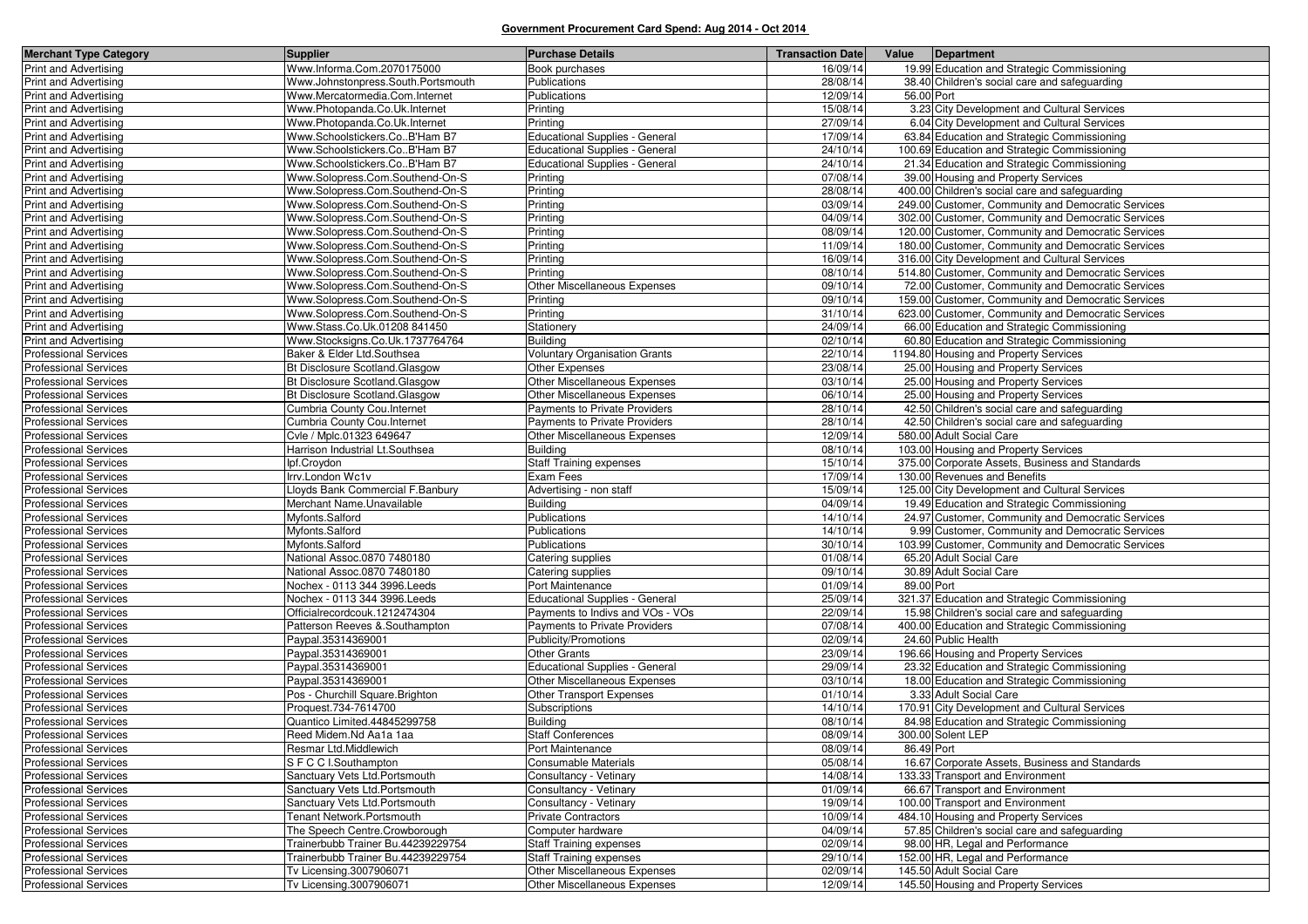| <b>Merchant Type Category</b>                                | <b>Supplier</b>                                        | <b>Purchase Details</b>                                      | <b>Transaction Date</b> |            | Value Department                                                                           |
|--------------------------------------------------------------|--------------------------------------------------------|--------------------------------------------------------------|-------------------------|------------|--------------------------------------------------------------------------------------------|
| Print and Advertising                                        | Www.Informa.Com.2070175000                             | Book purchases                                               | 16/09/14                |            | 19.99 Education and Strategic Commissioning                                                |
| <b>Print and Advertising</b>                                 | Www.Johnstonpress.South.Portsmouth                     | Publications                                                 | 28/08/14                |            | 38.40 Children's social care and safeguarding                                              |
| <b>Print and Advertising</b>                                 | Www.Mercatormedia.Com.Internet                         | Publications                                                 | 12/09/14                | 56.00 Port |                                                                                            |
| <b>Print and Advertising</b>                                 | Www.Photopanda.Co.Uk.Internet                          | Printing                                                     | 15/08/14                |            | 3.23 City Development and Cultural Services                                                |
| <b>Print and Advertising</b>                                 | Www.Photopanda.Co.Uk.Internet                          | Printing                                                     | 27/09/14                |            | 6.04 City Development and Cultural Services                                                |
| <b>Print and Advertising</b>                                 | Www.Schoolstickers.CoB'Ham B7                          | <b>Educational Supplies - General</b>                        | 17/09/14                |            | 63.84 Education and Strategic Commissioning                                                |
| <b>Print and Advertising</b>                                 | Www.Schoolstickers.CoB'Ham B7                          | <b>Educational Supplies - General</b>                        | 24/10/14                |            | 100.69 Education and Strategic Commissioning                                               |
| Print and Advertising                                        | Www.Schoolstickers.CoB'Ham B7                          | <b>Educational Supplies - General</b>                        | 24/10/14                |            | 21.34 Education and Strategic Commissioning                                                |
| <b>Print and Advertising</b>                                 | Www.Solopress.Com.Southend-On-S                        | Printing                                                     | 07/08/14                |            | 39.00 Housing and Property Services                                                        |
| Print and Advertising                                        | Www.Solopress.Com.Southend-On-S                        | Printing                                                     | 28/08/14                |            | 400.00 Children's social care and safeguarding                                             |
| <b>Print and Advertising</b>                                 | Www.Solopress.Com.Southend-On-S                        | Printing                                                     | 03/09/14                |            | 249.00 Customer, Community and Democratic Services                                         |
| <b>Print and Advertising</b>                                 | Www.Solopress.Com.Southend-On-S                        | Printing                                                     | 04/09/14                |            | 302.00 Customer, Community and Democratic Services                                         |
| <b>Print and Advertising</b>                                 | Www.Solopress.Com.Southend-On-S                        | Printing                                                     | 08/09/14                |            | 120.00 Customer, Community and Democratic Services                                         |
| Print and Advertising                                        | Www.Solopress.Com.Southend-On-S                        | Printing                                                     | 11/09/14                |            | 180.00 Customer, Community and Democratic Services                                         |
| <b>Print and Advertising</b>                                 | Www.Solopress.Com.Southend-On-S                        | Printing                                                     | 16/09/14                |            | 316.00 City Development and Cultural Services                                              |
| Print and Advertising                                        | Www.Solopress.Com.Southend-On-S                        | Printing                                                     | 08/10/14                |            | 514.80 Customer, Community and Democratic Services                                         |
| <b>Print and Advertising</b>                                 | Www.Solopress.Com.Southend-On-S                        | <b>Other Miscellaneous Expenses</b>                          | 09/10/14                |            | 72.00 Customer, Community and Democratic Services                                          |
| <b>Print and Advertising</b>                                 | Www.Solopress.Com.Southend-On-S                        | Printing                                                     | 09/10/14                |            | 159.00 Customer, Community and Democratic Services                                         |
| <b>Print and Advertising</b>                                 | Www.Solopress.Com.Southend-On-S                        | Printing                                                     | 31/10/14                |            | 623.00 Customer, Community and Democratic Services                                         |
| <b>Print and Advertising</b>                                 | Www.Stass.Co.Uk.01208 841450                           | Stationery                                                   | 24/09/14                |            | 66.00 Education and Strategic Commissioning                                                |
| Print and Advertising                                        | Www.Stocksigns.Co.Uk.1737764764                        | <b>Building</b>                                              | 02/10/14                |            | 60.80 Education and Strategic Commissioning                                                |
| <b>Professional Services</b>                                 | Baker & Elder Ltd.Southsea                             | <b>Voluntary Organisation Grants</b>                         | 22/10/14                |            | 1194.80 Housing and Property Services                                                      |
| <b>Professional Services</b>                                 | Bt Disclosure Scotland.Glasgow                         | Other Expenses                                               | 23/08/14                |            | 25.00 Housing and Property Services                                                        |
| <b>Professional Services</b>                                 | Bt Disclosure Scotland.Glasgow                         | Other Miscellaneous Expenses                                 | 03/10/14                |            | 25.00 Housing and Property Services                                                        |
| <b>Professional Services</b>                                 | Bt Disclosure Scotland.Glasgow                         | Other Miscellaneous Expenses                                 | 06/10/14                |            | 25.00 Housing and Property Services                                                        |
| Professional Services                                        | Cumbria County Cou.Internet                            | Payments to Private Providers                                | 28/10/14                |            | 42.50 Children's social care and safeguarding                                              |
| <b>Professional Services</b>                                 | Cumbria County Cou.Internet                            | <b>Payments to Private Providers</b>                         | 28/10/14                |            | 42.50 Children's social care and safeguarding                                              |
| <b>Professional Services</b>                                 | Cvle / Mplc.01323 649647                               | Other Miscellaneous Expenses                                 | 12/09/14                |            | 580.00 Adult Social Care                                                                   |
| <b>Professional Services</b>                                 | Harrison Industrial Lt.Southsea                        | <b>Building</b>                                              | 08/10/14                |            | 103.00 Housing and Property Services                                                       |
| <b>Professional Services</b>                                 | lpf.Croydon                                            | <b>Staff Training expenses</b>                               | 15/10/14                |            | 375.00 Corporate Assets, Business and Standards                                            |
| <b>Professional Services</b>                                 | Irrv.London Wc1v                                       | Exam Fees                                                    | 17/09/14                |            | 130.00 Revenues and Benefits                                                               |
| <b>Professional Services</b>                                 | Lloyds Bank Commercial F.Banbury                       | Advertising - non staff                                      | 15/09/14                |            | 125.00 City Development and Cultural Services                                              |
| <b>Professional Services</b>                                 | Merchant Name. Unavailable                             | <b>Building</b>                                              | 04/09/14                |            | 19.49 Education and Strategic Commissioning                                                |
| Professional Services                                        | Myfonts.Salford                                        | Publications                                                 | 14/10/14                |            | 24.97 Customer, Community and Democratic Services                                          |
| <b>Professional Services</b>                                 | Myfonts.Salford                                        | Publications                                                 | 14/10/14                |            | 9.99 Customer, Community and Democratic Services                                           |
| <b>Professional Services</b>                                 | Myfonts.Salford                                        | Publications                                                 | 30/10/14                |            | 103.99 Customer, Community and Democratic Services                                         |
| <b>Professional Services</b>                                 | National Assoc.0870 7480180                            | Catering supplies                                            | 01/08/14                |            | 65.20 Adult Social Care                                                                    |
| <b>Professional Services</b>                                 | National Assoc.0870 7480180                            | Catering supplies                                            | 09/10/14                |            | 30.89 Adult Social Care                                                                    |
| <b>Professional Services</b>                                 | Nochex - 0113 344 3996. Leeds                          | Port Maintenance                                             | 01/09/14                | 89.00 Port |                                                                                            |
| <b>Professional Services</b>                                 | Nochex - 0113 344 3996. Leeds                          | <b>Educational Supplies - General</b>                        | 25/09/14                |            | 321.37 Education and Strategic Commissioning                                               |
| <b>Professional Services</b>                                 | Officialrecordcouk.1212474304                          | Payments to Indivs and VOs - VOs                             | 22/09/14                |            | 15.98 Children's social care and safeguarding                                              |
| <b>Professional Services</b>                                 | Patterson Reeves & Southampton                         | Payments to Private Providers                                | 07/08/14                |            | 400.00 Education and Strategic Commissioning                                               |
| <b>Professional Services</b>                                 | Paypal.35314369001<br>Paypal.35314369001               | Publicity/Promotions                                         | 02/09/14<br>23/09/14    |            | 24.60 Public Health                                                                        |
| <b>Professional Services</b>                                 |                                                        | <b>Other Grants</b><br><b>Educational Supplies - General</b> |                         |            | 196.66 Housing and Property Services                                                       |
| <b>Professional Services</b><br><b>Professional Services</b> | Paypal.35314369001                                     |                                                              | 29/09/14<br>03/10/14    |            | 23.32 Education and Strategic Commissioning<br>18.00 Education and Strategic Commissioning |
| <b>Professional Services</b>                                 | Paypal.35314369001<br>Pos - Churchill Square. Brighton | Other Miscellaneous Expenses<br>Other Transport Expenses     | 01/10/14                |            | 3.33 Adult Social Care                                                                     |
| <b>Professional Services</b>                                 | Proquest.734-7614700                                   | Subscriptions                                                | 14/10/14                |            | 170.91 City Development and Cultural Services                                              |
| <b>Professional Services</b>                                 | Quantico Limited.44845299758                           | <b>Building</b>                                              | 08/10/14                |            | 84.98 Education and Strategic Commissioning                                                |
| <b>Professional Services</b>                                 | Reed Midem.Nd Aa1a 1aa                                 | <b>Staff Conferences</b>                                     | 08/09/14                |            | 300.00 Solent LEP                                                                          |
| <b>Professional Services</b>                                 | Resmar Ltd.Middlewich                                  | Port Maintenance                                             | 08/09/14                | 86.49 Port |                                                                                            |
| <b>Professional Services</b>                                 | S F C C I.Southampton                                  | Consumable Materials                                         | 05/08/14                |            | 16.67 Corporate Assets, Business and Standards                                             |
| <b>Professional Services</b>                                 | Sanctuary Vets Ltd.Portsmouth                          | Consultancy - Vetinary                                       | 14/08/14                |            | 133.33 Transport and Environment                                                           |
| <b>Professional Services</b>                                 | Sanctuary Vets Ltd.Portsmouth                          | Consultancy - Vetinary                                       | 01/09/14                |            | 66.67 Transport and Environment                                                            |
| <b>Professional Services</b>                                 | Sanctuary Vets Ltd.Portsmouth                          | Consultancy - Vetinary                                       | 19/09/14                |            | 100.00 Transport and Environment                                                           |
| <b>Professional Services</b>                                 | Tenant Network.Portsmouth                              | <b>Private Contractors</b>                                   | 10/09/14                |            | 484.10 Housing and Property Services                                                       |
| <b>Professional Services</b>                                 | The Speech Centre.Crowborough                          | Computer hardware                                            | 04/09/14                |            | 57.85 Children's social care and safeguarding                                              |
| <b>Professional Services</b>                                 | Trainerbubb Trainer Bu.44239229754                     | <b>Staff Training expenses</b>                               | 02/09/14                |            | 98.00 HR, Legal and Performance                                                            |
| <b>Professional Services</b>                                 | Trainerbubb Trainer Bu.44239229754                     | <b>Staff Training expenses</b>                               | 29/10/14                |            | 152.00 HR, Legal and Performance                                                           |
| <b>Professional Services</b>                                 | Tv Licensing.3007906071                                | Other Miscellaneous Expenses                                 | 02/09/14                |            | 145.50 Adult Social Care                                                                   |
| <b>Professional Services</b>                                 | Tv Licensing.3007906071                                | Other Miscellaneous Expenses                                 | 12/09/14                |            | 145.50 Housing and Property Services                                                       |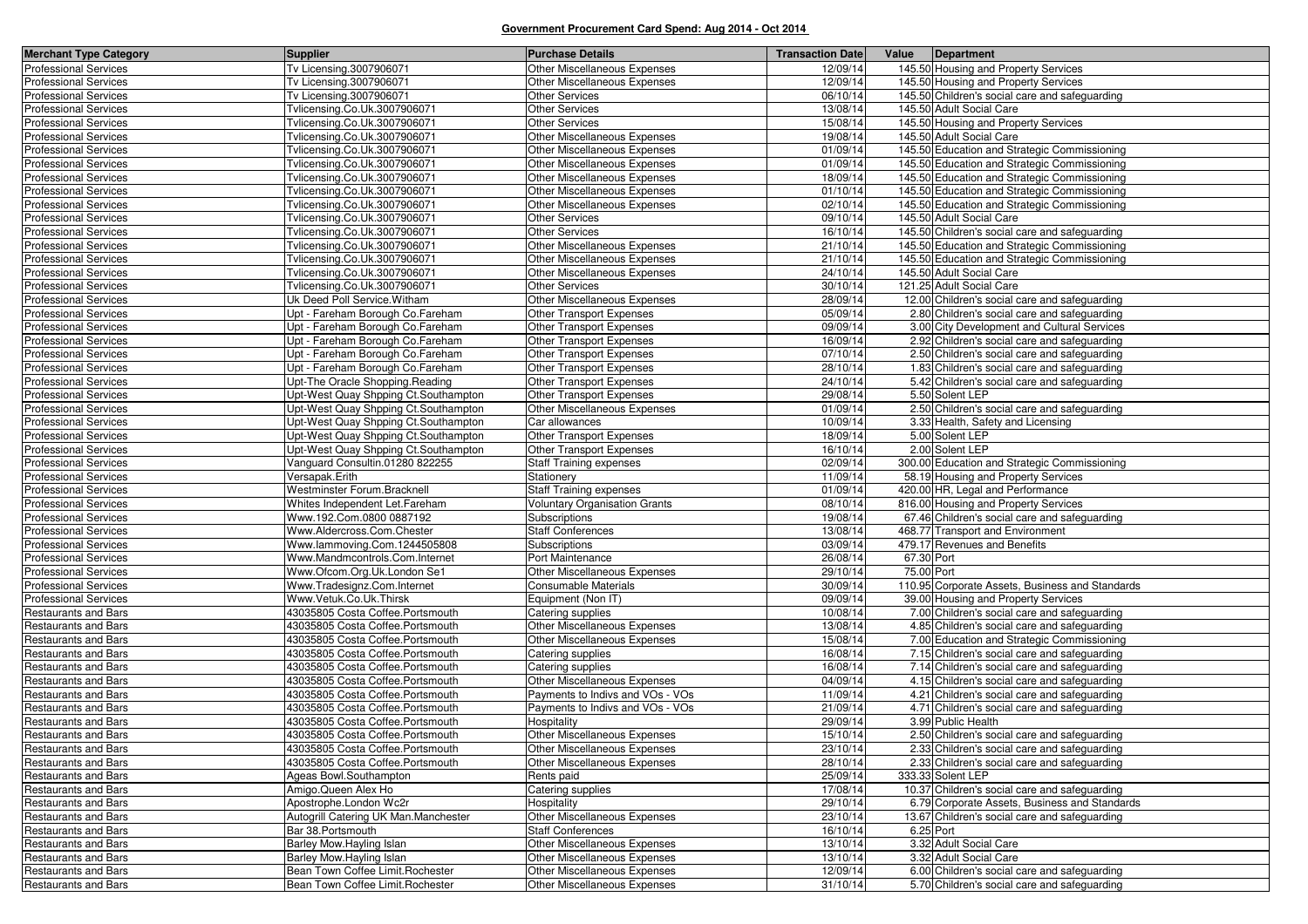| <b>Merchant Type Category</b>                       | <b>Supplier</b>                                            | <b>Purchase Details</b>                     | <b>Transaction Date</b> | Value      | Department                                                         |
|-----------------------------------------------------|------------------------------------------------------------|---------------------------------------------|-------------------------|------------|--------------------------------------------------------------------|
| <b>Professional Services</b>                        | Tv Licensing.3007906071                                    | <b>Other Miscellaneous Expenses</b>         | 12/09/14                |            | 145.50 Housing and Property Services                               |
| <b>Professional Services</b>                        | Tv Licensing.3007906071                                    | <b>Other Miscellaneous Expenses</b>         | 12/09/14                |            | 145.50 Housing and Property Services                               |
| <b>Professional Services</b>                        | Tv Licensing.3007906071                                    | <b>Other Services</b>                       | 06/10/14                |            | 145.50 Children's social care and safeguarding                     |
| Professional Services                               | Tvlicensing.Co.Uk.3007906071                               | <b>Other Services</b>                       | 13/08/14                |            | 145.50 Adult Social Care                                           |
| Professional Services                               | Tvlicensing.Co.Uk.3007906071                               | <b>Other Services</b>                       | 15/08/14                |            | 145.50 Housing and Property Services                               |
| <b>Professional Services</b>                        | Tvlicensing.Co.Uk.3007906071                               | Other Miscellaneous Expenses                | 19/08/14                |            | 145.50 Adult Social Care                                           |
| <b>Professional Services</b>                        | Tvlicensing.Co.Uk.3007906071                               | <b>Other Miscellaneous Expenses</b>         | 01/09/14                |            | 145.50 Education and Strategic Commissioning                       |
| <b>Professional Services</b>                        | Tvlicensing.Co.Uk.3007906071                               | Other Miscellaneous Expenses                | 01/09/14                |            | 145.50 Education and Strategic Commissioning                       |
| <b>Professional Services</b>                        | Tvlicensing.Co.Uk.3007906071                               | Other Miscellaneous Expenses                | 18/09/14                |            | 145.50 Education and Strategic Commissioning                       |
| <b>Professional Services</b>                        | Tvlicensing.Co.Uk.3007906071                               | Other Miscellaneous Expenses                | 01/10/14                |            | 145.50 Education and Strategic Commissioning                       |
| <b>Professional Services</b>                        | Tvlicensing.Co.Uk.3007906071                               | Other Miscellaneous Expenses                | 02/10/14                |            | 145.50 Education and Strategic Commissioning                       |
| <b>Professional Services</b>                        | Tvlicensing.Co.Uk.3007906071                               | <b>Other Services</b>                       | 09/10/14                |            | 145.50 Adult Social Care                                           |
| Professional Services                               | Tvlicensing.Co.Uk.3007906071                               | <b>Other Services</b>                       | 16/10/14                |            | 145.50 Children's social care and safeguarding                     |
| <b>Professional Services</b>                        | Tvlicensing.Co.Uk.3007906071                               | Other Miscellaneous Expenses                | 21/10/14                |            | 145.50 Education and Strategic Commissioning                       |
| <b>Professional Services</b>                        | Tvlicensing.Co.Uk.3007906071                               | Other Miscellaneous Expenses                | 21/10/14                |            | 145.50 Education and Strategic Commissioning                       |
| Professional Services                               | Tvlicensing.Co.Uk.3007906071                               | <b>Other Miscellaneous Expenses</b>         | 24/10/14                |            | 145.50 Adult Social Care                                           |
| <b>Professional Services</b>                        | Tvlicensing.Co.Uk.3007906071                               | <b>Other Services</b>                       | 30/10/14                |            | 121.25 Adult Social Care                                           |
| <b>Professional Services</b>                        | Uk Deed Poll Service. Witham                               | Other Miscellaneous Expenses                | 28/09/14                |            | 12.00 Children's social care and safeguarding                      |
| Professional Services                               | Upt - Fareham Borough Co.Fareham                           | <b>Other Transport Expenses</b>             | 05/09/14                |            | 2.80 Children's social care and safeguarding                       |
| <b>Professional Services</b>                        | Upt - Fareham Borough Co.Fareham                           | <b>Other Transport Expenses</b>             | 09/09/14                |            | 3.00 City Development and Cultural Services                        |
| <b>Professional Services</b>                        | Upt - Fareham Borough Co.Fareham                           | Other Transport Expenses                    | 16/09/14                |            | 2.92 Children's social care and safeguarding                       |
| <b>Professional Services</b>                        | Upt - Fareham Borough Co.Fareham                           | Other Transport Expenses                    | 07/10/14                |            | 2.50 Children's social care and safeguarding                       |
| <b>Professional Services</b>                        | Upt - Fareham Borough Co.Fareham                           | <b>Other Transport Expenses</b>             | 28/10/14                |            | 1.83 Children's social care and safeguarding                       |
| <b>Professional Services</b>                        | Upt-The Oracle Shopping Reading                            | Other Transport Expenses                    | 24/10/14                |            | 5.42 Children's social care and safeguarding                       |
| Professional Services                               | Upt-West Quay Shpping Ct.Southampton                       | <b>Other Transport Expenses</b>             | 29/08/14                |            | 5.50 Solent LEP                                                    |
| Professional Services                               | Upt-West Quay Shpping Ct.Southampton                       | Other Miscellaneous Expenses                | 01/09/14                |            | 2.50 Children's social care and safeguarding                       |
| Professional Services                               | Upt-West Quay Shpping Ct.Southampton                       | Car allowances                              | 10/09/14                |            | 3.33 Health, Safety and Licensing                                  |
| Professional Services                               | Upt-West Quay Shpping Ct.Southampton                       | Other Transport Expenses                    | 18/09/14                |            | 5.00 Solent LEP                                                    |
| Professional Services                               | Upt-West Quay Shpping Ct.Southampton                       | Other Transport Expenses                    | 16/10/14                |            | 2.00 Solent LEP                                                    |
| <b>Professional Services</b>                        | Vanguard Consultin.01280 822255                            | <b>Staff Training expenses</b>              | 02/09/14                |            | 300.00 Education and Strategic Commissioning                       |
| Professional Services                               | Versapak.Erith                                             | Stationery                                  | 11/09/14                |            | 58.19 Housing and Property Services                                |
| <b>Professional Services</b>                        | Westminster Forum.Bracknell                                | <b>Staff Training expenses</b>              | 01/09/14                |            | 420.00 HR. Legal and Performance                                   |
| <b>Professional Services</b>                        | Whites Independent Let.Fareham                             | <b>Voluntary Organisation Grants</b>        | 08/10/14                |            | 816.00 Housing and Property Services                               |
| <b>Professional Services</b>                        | Www.192.Com.0800 0887192                                   | Subscriptions                               | 19/08/14                |            | 67.46 Children's social care and safeguarding                      |
| <b>Professional Services</b>                        | Www.Aldercross.Com.Chester                                 | <b>Staff Conferences</b>                    | 13/08/14                |            | 468.77 Transport and Environment                                   |
| <b>Professional Services</b>                        | Www.lammoving.Com.1244505808                               | Subscriptions                               | 03/09/14                |            | 479.17 Revenues and Benefits                                       |
| <b>Professional Services</b>                        | Www.Mandmcontrols.Com.Internet                             | Port Maintenance                            | 26/08/14                | 67.30 Port |                                                                    |
| Professional Services                               | Www.Ofcom.Org.Uk.London Se1                                | Other Miscellaneous Expenses                | 29/10/14                | 75.00 Port |                                                                    |
| Professional Services                               | Www.Tradesignz.Com.Internet                                | Consumable Materials                        | 30/09/14                |            | 110.95 Corporate Assets, Business and Standards                    |
| <b>Professional Services</b>                        | Www.Vetuk.Co.Uk.Thirsk                                     | Equipment (Non IT)                          | 09/09/14                |            | 39.00 Housing and Property Services                                |
| Restaurants and Bars                                | 43035805 Costa Coffee.Portsmouth                           | Catering supplies                           | 10/08/14                |            | 7.00 Children's social care and safeguarding                       |
| Restaurants and Bars                                | 43035805 Costa Coffee.Portsmouth                           | Other Miscellaneous Expenses                | 13/08/14                |            | 4.85 Children's social care and safeguarding                       |
| Restaurants and Bars                                | 43035805 Costa Coffee.Portsmouth                           | Other Miscellaneous Expenses                | 15/08/14                |            | 7.00 Education and Strategic Commissioning                         |
| Restaurants and Bars                                | 43035805 Costa Coffee.Portsmouth                           | Catering supplies                           | 16/08/14                |            | 7.15 Children's social care and safeguarding                       |
| <b>Restaurants and Bars</b>                         | 43035805 Costa Coffee.Portsmouth                           | Catering supplies                           | 16/08/14                |            | 7.14 Children's social care and safeguarding                       |
| Restaurants and Bars                                | 43035805 Costa Coffee.Portsmouth                           | Other Miscellaneous Expenses                | 04/09/14                |            | 4.15 Children's social care and safeguarding                       |
| Restaurants and Bars                                | 43035805 Costa Coffee.Portsmouth                           | Payments to Indivs and VOs - VOs            | 11/09/14                |            | 4.21 Children's social care and safeguarding                       |
| Restaurants and Bars                                | 43035805 Costa Coffee.Portsmouth                           | Payments to Indivs and VOs - VOs            | 21/09/14                |            | 4.71 Children's social care and safeguarding                       |
| Restaurants and Bars                                | 43035805 Costa Coffee.Portsmouth                           | Hospitality<br>Other Miscellaneous Expenses | 29/09/14                |            | 3.99 Public Health                                                 |
| Restaurants and Bars                                | 43035805 Costa Coffee.Portsmouth                           |                                             | 15/10/14                |            | 2.50 Children's social care and safeguarding                       |
| Restaurants and Bars                                | 43035805 Costa Coffee.Portsmouth                           | Other Miscellaneous Expenses                | 23/10/14                |            | 2.33 Children's social care and safeguarding                       |
| Restaurants and Bars                                | 43035805 Costa Coffee.Portsmouth                           | Other Miscellaneous Expenses                | 28/10/14                |            | 2.33 Children's social care and safeguarding                       |
| Restaurants and Bars<br><b>Restaurants and Bars</b> | Ageas Bowl.Southampton                                     | Rents paid<br>Catering supplies             | 25/09/14<br>17/08/14    |            | 333.33 Solent LEP<br>10.37 Children's social care and safeguarding |
|                                                     | Amigo.Queen Alex Ho                                        |                                             |                         |            |                                                                    |
| Restaurants and Bars<br><b>Restaurants and Bars</b> | Apostrophe.London Wc2r                                     | Hospitality<br>Other Miscellaneous Expenses | 29/10/14<br>23/10/14    |            | 6.79 Corporate Assets, Business and Standards                      |
| Restaurants and Bars                                | Autogrill Catering UK Man.Manchester<br>Bar 38. Portsmouth | <b>Staff Conferences</b>                    | 16/10/14                |            | 13.67 Children's social care and safeguarding<br>6.25 Port         |
| Restaurants and Bars                                | Barley Mow.Hayling Islan                                   | Other Miscellaneous Expenses                | 13/10/14                |            | 3.32 Adult Social Care                                             |
| Restaurants and Bars                                | Barley Mow.Hayling Islan                                   | Other Miscellaneous Expenses                | 13/10/14                |            | 3.32 Adult Social Care                                             |
| Restaurants and Bars                                | Bean Town Coffee Limit. Rochester                          | Other Miscellaneous Expenses                | 12/09/14                |            | 6.00 Children's social care and safeguarding                       |
| <b>Restaurants and Bars</b>                         | Bean Town Coffee Limit. Rochester                          | Other Miscellaneous Expenses                | 31/10/14                |            | 5.70 Children's social care and safeguarding                       |
|                                                     |                                                            |                                             |                         |            |                                                                    |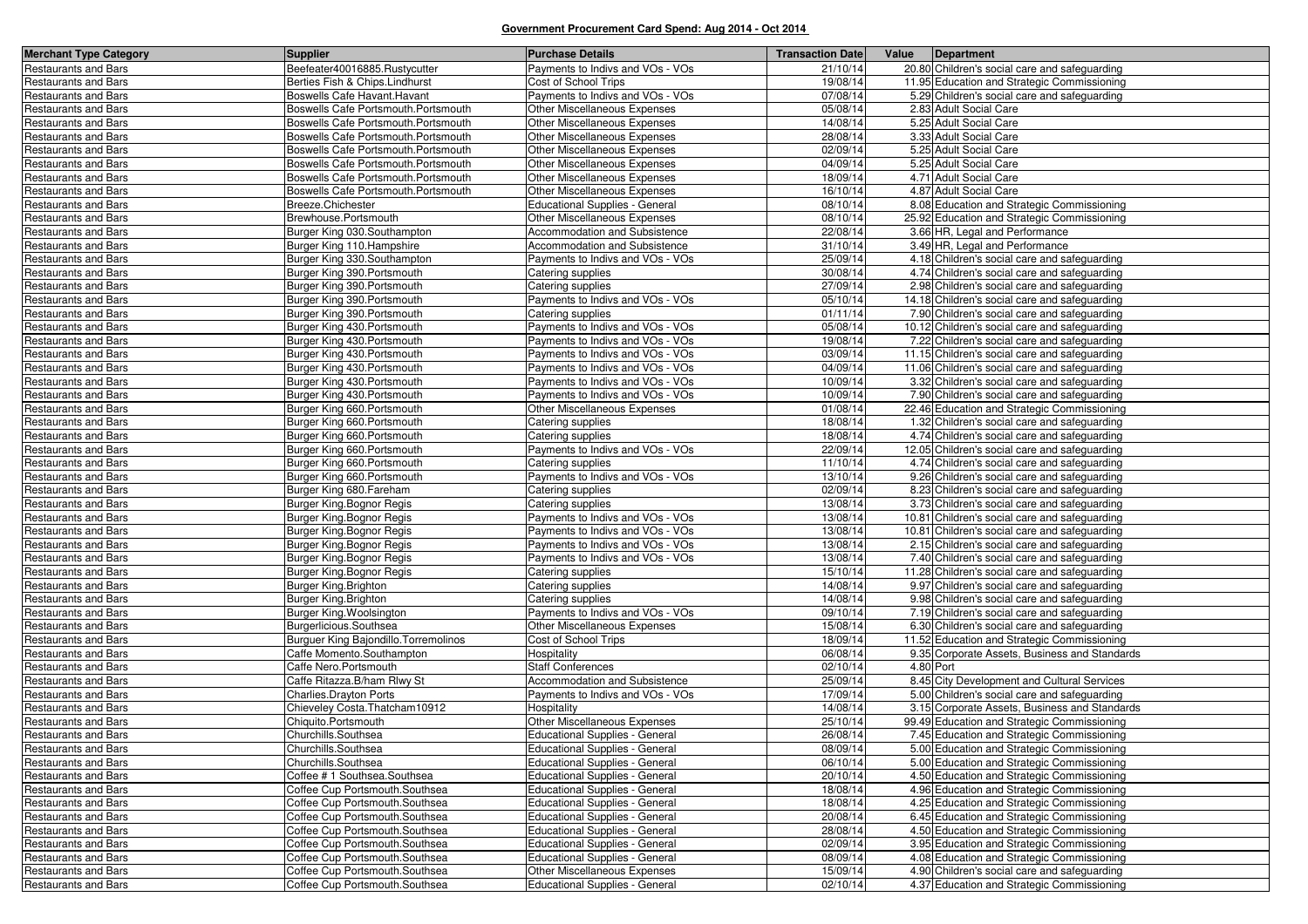| <b>Merchant Type Category</b> | <b>Supplier</b>                       | <b>Purchase Details</b>               | <b>Transaction Date</b> | Value     | Department                                    |
|-------------------------------|---------------------------------------|---------------------------------------|-------------------------|-----------|-----------------------------------------------|
| <b>Restaurants and Bars</b>   | Beefeater40016885.Rustycutter         | Payments to Indivs and VOs - VOs      | 21/10/14                |           | 20.80 Children's social care and safeguarding |
| <b>Restaurants and Bars</b>   | Berties Fish & Chips.Lindhurst        | Cost of School Trips                  | 19/08/14                |           | 11.95 Education and Strategic Commissioning   |
| <b>Restaurants and Bars</b>   | Boswells Cafe Havant. Havant          | Payments to Indivs and VOs - VOs      | 07/08/14                |           | 5.29 Children's social care and safeguarding  |
| <b>Restaurants and Bars</b>   | Boswells Cafe Portsmouth. Portsmouth  | Other Miscellaneous Expenses          | 05/08/14                |           | 2.83 Adult Social Care                        |
| <b>Restaurants and Bars</b>   | Boswells Cafe Portsmouth.Portsmouth   | Other Miscellaneous Expenses          | 14/08/14                |           | 5.25 Adult Social Care                        |
| <b>Restaurants and Bars</b>   | Boswells Cafe Portsmouth. Portsmouth  | Other Miscellaneous Expenses          | 28/08/14                |           | 3.33 Adult Social Care                        |
| <b>Restaurants and Bars</b>   | Boswells Cafe Portsmouth.Portsmouth   | Other Miscellaneous Expenses          | 02/09/14                |           | 5.25 Adult Social Care                        |
| Restaurants and Bars          | Boswells Cafe Portsmouth.Portsmouth   | Other Miscellaneous Expenses          | 04/09/14                |           | 5.25 Adult Social Care                        |
| Restaurants and Bars          | Boswells Cafe Portsmouth. Portsmouth  | Other Miscellaneous Expenses          | 18/09/14                |           | 4.71 Adult Social Care                        |
| <b>Restaurants and Bars</b>   | Boswells Cafe Portsmouth.Portsmouth   | Other Miscellaneous Expenses          | 16/10/14                |           | 4.87 Adult Social Care                        |
| Restaurants and Bars          | Breeze.Chichester                     | <b>Educational Supplies - General</b> | 08/10/14                |           | 8.08 Education and Strategic Commissioning    |
| <b>Restaurants and Bars</b>   | Brewhouse.Portsmouth                  | Other Miscellaneous Expenses          | 08/10/14                |           | 25.92 Education and Strategic Commissioning   |
| <b>Restaurants and Bars</b>   | Burger King 030.Southampton           | Accommodation and Subsistence         | 22/08/14                |           | 3.66 HR, Legal and Performance                |
| <b>Restaurants and Bars</b>   | Burger King 110. Hampshire            | Accommodation and Subsistence         | 31/10/14                |           | 3.49 HR, Legal and Performance                |
| <b>Restaurants and Bars</b>   | Burger King 330.Southampton           | Payments to Indivs and VOs - VOs      | 25/09/14                |           | 4.18 Children's social care and safeguarding  |
| <b>Restaurants and Bars</b>   | Burger King 390. Portsmouth           | Catering supplies                     | 30/08/14                |           | 4.74 Children's social care and safeguarding  |
| <b>Restaurants and Bars</b>   | Burger King 390. Portsmouth           | Catering supplies                     | 27/09/14                |           | 2.98 Children's social care and safeguarding  |
| <b>Restaurants and Bars</b>   | Burger King 390. Portsmouth           | Payments to Indivs and VOs - VOs      | 05/10/14                |           | 14.18 Children's social care and safeguarding |
| <b>Restaurants and Bars</b>   | Burger King 390. Portsmouth           | Catering supplies                     | 01/11/14                |           | 7.90 Children's social care and safeguarding  |
| Restaurants and Bars          | Burger King 430. Portsmouth           | Payments to Indivs and VOs - VOs      | 05/08/14                |           | 10.12 Children's social care and safeguarding |
| <b>Restaurants and Bars</b>   | Burger King 430. Portsmouth           | Payments to Indivs and VOs - VOs      | 19/08/14                |           | 7.22 Children's social care and safeguarding  |
| Restaurants and Bars          | Burger King 430. Portsmouth           | Payments to Indivs and VOs - VOs      | 03/09/14                |           | 11.15 Children's social care and safeguarding |
| <b>Restaurants and Bars</b>   | Burger King 430. Portsmouth           | Payments to Indivs and VOs - VOs      | 04/09/14                |           | 11.06 Children's social care and safeguarding |
| <b>Restaurants and Bars</b>   | Burger King 430. Portsmouth           | Payments to Indivs and VOs - VOs      | 10/09/14                |           | 3.32 Children's social care and safeguarding  |
| <b>Restaurants and Bars</b>   | Burger King 430. Portsmouth           | Payments to Indivs and VOs - VOs      | 10/09/14                |           | 7.90 Children's social care and safeguarding  |
| <b>Restaurants and Bars</b>   | Burger King 660. Portsmouth           | Other Miscellaneous Expenses          | 01/08/14                |           | 22.46 Education and Strategic Commissioning   |
| <b>Restaurants and Bars</b>   | Burger King 660. Portsmouth           | Catering supplies                     | 18/08/14                |           | 1.32 Children's social care and safeguarding  |
| Restaurants and Bars          | Burger King 660. Portsmouth           | Catering supplies                     | 18/08/14                |           | 4.74 Children's social care and safeguarding  |
| <b>Restaurants and Bars</b>   | Burger King 660. Portsmouth           | Payments to Indivs and VOs - VOs      | 22/09/14                |           | 12.05 Children's social care and safeguarding |
| <b>Restaurants and Bars</b>   | Burger King 660. Portsmouth           | Catering supplies                     | 11/10/14                |           | 4.74 Children's social care and safeguarding  |
| Restaurants and Bars          | Burger King 660. Portsmouth           | Payments to Indivs and VOs - VOs      | 13/10/14                |           | 9.26 Children's social care and safeguarding  |
| Restaurants and Bars          | Burger King 680. Fareham              | Catering supplies                     | 02/09/14                |           | 8.23 Children's social care and safeguarding  |
| Restaurants and Bars          | Burger King Bognor Regis              | Catering supplies                     | 13/08/14                |           | 3.73 Children's social care and safeguarding  |
| <b>Restaurants and Bars</b>   | Burger King Bognor Regis              | Payments to Indivs and VOs - VOs      | 13/08/14                |           | 10.81 Children's social care and safeguarding |
| Restaurants and Bars          | Burger King Bognor Regis              | Payments to Indivs and VOs - VOs      | 13/08/14                |           | 10.81 Children's social care and safeguarding |
| Restaurants and Bars          | Burger King Bognor Regis              | Payments to Indivs and VOs - VOs      | 13/08/14                |           | 2.15 Children's social care and safeguarding  |
| Restaurants and Bars          | Burger King Bognor Regis              | Payments to Indivs and VOs - VOs      | 13/08/14                |           | 7.40 Children's social care and safeguarding  |
| Restaurants and Bars          | Burger King Bognor Regis              | Catering supplies                     | 15/10/14                |           | 11.28 Children's social care and safeguarding |
| <b>Restaurants and Bars</b>   | Burger King. Brighton                 | Catering supplies                     | 14/08/14                |           | 9.97 Children's social care and safeguarding  |
| <b>Restaurants and Bars</b>   | Burger King. Brighton                 | Catering supplies                     | 14/08/14                |           | 9.98 Children's social care and safeguarding  |
| <b>Restaurants and Bars</b>   | Burger King. Woolsington              | Payments to Indivs and VOs - VOs      | 09/10/14                |           | 7.19 Children's social care and safeguarding  |
| Restaurants and Bars          | Burgerlicious.Southsea                | Other Miscellaneous Expenses          | 15/08/14                |           | 6.30 Children's social care and safeguarding  |
| Restaurants and Bars          | Burguer King Bajondillo. Torremolinos | Cost of School Trips                  | 18/09/14                |           | 11.52 Education and Strategic Commissioning   |
| <b>Restaurants and Bars</b>   | Caffe Momento.Southampton             | Hospitality                           | 06/08/14                |           | 9.35 Corporate Assets, Business and Standards |
| Restaurants and Bars          | Caffe Nero.Portsmouth                 | <b>Staff Conferences</b>              | 02/10/14                | 4.80 Port |                                               |
| Restaurants and Bars          | Caffe Ritazza.B/ham Rlwy St           | Accommodation and Subsistence         | 25/09/14                |           | 8.45 City Development and Cultural Services   |
| Restaurants and Bars          | Charlies.Drayton Ports                | Payments to Indivs and VOs - VOs      | 17/09/14                |           | 5.00 Children's social care and safeguarding  |
| Restaurants and Bars          | Chieveley Costa. Thatcham10912        | Hospitality                           | 14/08/14                |           | 3.15 Corporate Assets, Business and Standards |
| <b>Restaurants and Bars</b>   | Chiquito.Portsmouth                   | Other Miscellaneous Expenses          | 25/10/14                |           | 99.49 Education and Strategic Commissioning   |
| <b>Restaurants and Bars</b>   | Churchills.Southsea                   | <b>Educational Supplies - General</b> | 26/08/14                |           | 7.45 Education and Strategic Commissioning    |
| <b>Restaurants and Bars</b>   | Churchills.Southsea                   | Educational Supplies - General        | 08/09/14                |           | 5.00 Education and Strategic Commissioning    |
| <b>Restaurants and Bars</b>   | Churchills.Southsea                   | <b>Educational Supplies - General</b> | 06/10/14                |           | 5.00 Education and Strategic Commissioning    |
| <b>Restaurants and Bars</b>   | Coffee #1 Southsea.Southsea           | <b>Educational Supplies - General</b> | 20/10/14                |           | 4.50 Education and Strategic Commissioning    |
| Restaurants and Bars          | Coffee Cup Portsmouth.Southsea        | <b>Educational Supplies - General</b> | 18/08/14                |           | 4.96 Education and Strategic Commissioning    |
| <b>Restaurants and Bars</b>   | Coffee Cup Portsmouth.Southsea        | <b>Educational Supplies - General</b> | 18/08/14                |           | 4.25 Education and Strategic Commissioning    |
| <b>Restaurants and Bars</b>   | Coffee Cup Portsmouth.Southsea        | <b>Educational Supplies - General</b> | 20/08/14                |           | 6.45 Education and Strategic Commissioning    |
| <b>Restaurants and Bars</b>   | Coffee Cup Portsmouth.Southsea        | <b>Educational Supplies - General</b> | 28/08/14                |           | 4.50 Education and Strategic Commissioning    |
| <b>Restaurants and Bars</b>   | Coffee Cup Portsmouth.Southsea        | <b>Educational Supplies - General</b> | 02/09/14                |           | 3.95 Education and Strategic Commissioning    |
| <b>Restaurants and Bars</b>   | Coffee Cup Portsmouth.Southsea        | <b>Educational Supplies - General</b> | 08/09/14                |           | 4.08 Education and Strategic Commissioning    |
| <b>Restaurants and Bars</b>   | Coffee Cup Portsmouth.Southsea        | Other Miscellaneous Expenses          | 15/09/14                |           | 4.90 Children's social care and safeguarding  |
| <b>Restaurants and Bars</b>   | Coffee Cup Portsmouth.Southsea        | <b>Educational Supplies - General</b> | 02/10/14                |           | 4.37 Education and Strategic Commissioning    |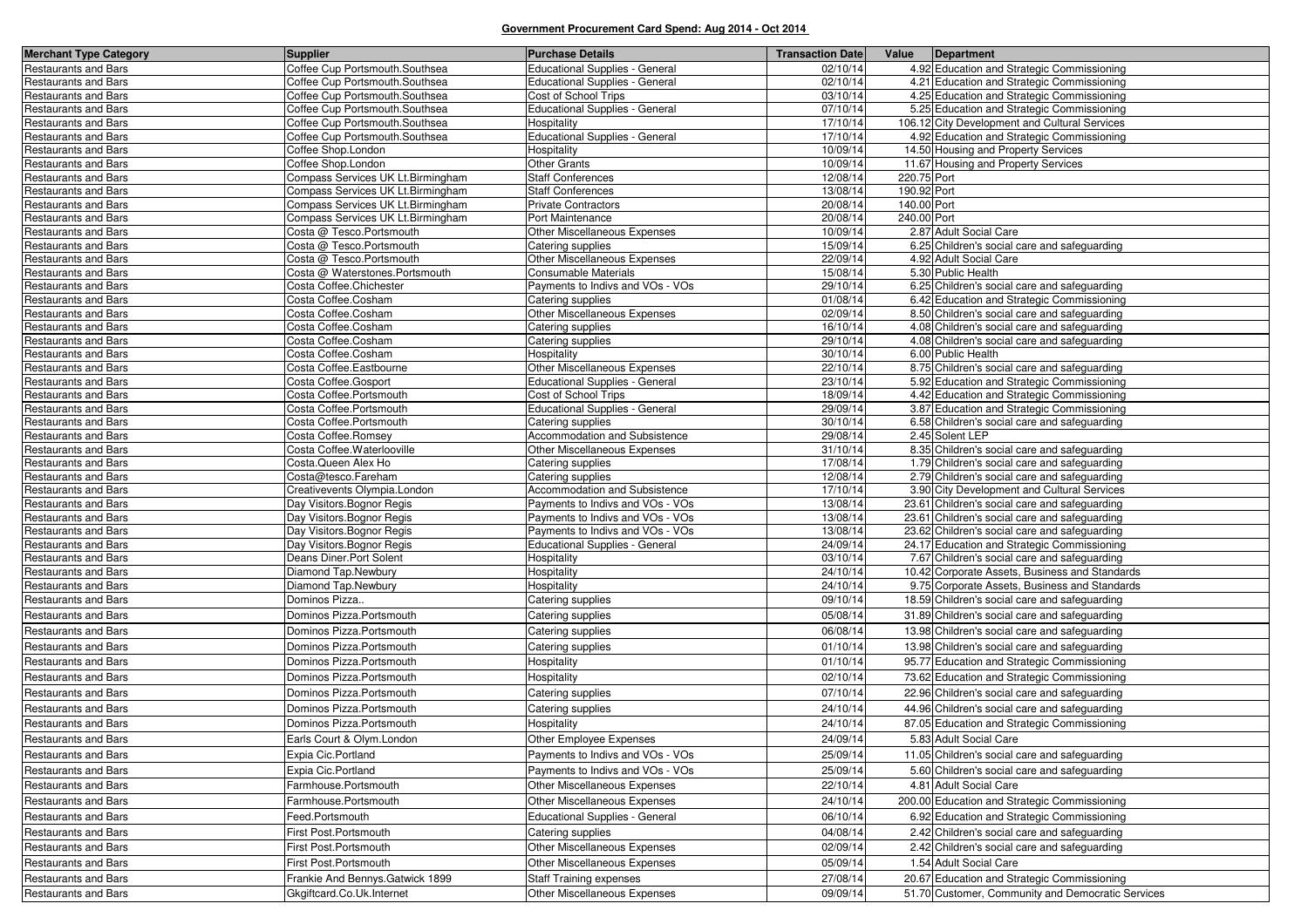| <b>Merchant Type Category</b>                       | <b>Supplier</b>                            | <b>Purchase Details</b>               | <b>Transaction Date</b> | Value Department                                                   |
|-----------------------------------------------------|--------------------------------------------|---------------------------------------|-------------------------|--------------------------------------------------------------------|
| <b>Restaurants and Bars</b>                         | Coffee Cup Portsmouth.Southsea             | <b>Educational Supplies - General</b> | 02/10/14                | 4.92 Education and Strategic Commissioning                         |
| Restaurants and Bars                                | Coffee Cup Portsmouth.Southsea             | <b>Educational Supplies - General</b> | 02/10/14                | 4.21 Education and Strategic Commissioning                         |
| Restaurants and Bars                                | Coffee Cup Portsmouth.Southsea             | Cost of School Trips                  | 03/10/14                | 4.25 Education and Strategic Commissioning                         |
| <b>Restaurants and Bars</b>                         | Coffee Cup Portsmouth.Southsea             | <b>Educational Supplies - General</b> | 07/10/14                | 5.25 Education and Strategic Commissioning                         |
| Restaurants and Bars                                | Coffee Cup Portsmouth.Southsea             | Hospitality                           | 17/10/14                | 106.12 City Development and Cultural Services                      |
| <b>Restaurants and Bars</b>                         | Coffee Cup Portsmouth.Southsea             | <b>Educational Supplies - General</b> | 17/10/14                | 4.92 Education and Strategic Commissioning                         |
| <b>Restaurants and Bars</b>                         | Coffee Shop.London                         | Hospitality                           | 10/09/14                | 14.50 Housing and Property Services                                |
| Restaurants and Bars                                | Coffee Shop.London                         | <b>Other Grants</b>                   | 10/09/14                | 11.67 Housing and Property Services                                |
| <b>Restaurants and Bars</b>                         | Compass Services UK Lt.Birmingham          | <b>Staff Conferences</b>              | 12/08/14                | 220.75 Port                                                        |
| Restaurants and Bars                                | Compass Services UK Lt.Birmingham          | <b>Staff Conferences</b>              | 13/08/14                | 190.92 Port                                                        |
| Restaurants and Bars                                | Compass Services UK Lt.Birmingham          | <b>Private Contractors</b>            | 20/08/14                | 140.00 Port                                                        |
| <b>Restaurants and Bars</b>                         | Compass Services UK Lt.Birmingham          | Port Maintenance                      | 20/08/14                | 240.00 Port                                                        |
| Restaurants and Bars                                | Costa @ Tesco.Portsmouth                   | Other Miscellaneous Expenses          | 10/09/14                | 2.87 Adult Social Care                                             |
| Restaurants and Bars                                | Costa @ Tesco.Portsmouth                   | Catering supplies                     | 15/09/14                | 6.25 Children's social care and safeguarding                       |
| Restaurants and Bars                                | Costa @ Tesco.Portsmouth                   | Other Miscellaneous Expenses          | 22/09/14                | 4.92 Adult Social Care                                             |
| Restaurants and Bars                                | Costa @ Waterstones.Portsmouth             | Consumable Materials                  | 15/08/14                | 5.30 Public Health                                                 |
| Restaurants and Bars                                | Costa Coffee.Chichester                    | Payments to Indivs and VOs - VOs      | 29/10/14                | 6.25 Children's social care and safeguarding                       |
| Restaurants and Bars                                | Costa Coffee.Cosham                        | Catering supplies                     | 01/08/14                | 6.42 Education and Strategic Commissioning                         |
| <b>Restaurants and Bars</b>                         | Costa Coffee.Cosham                        | Other Miscellaneous Expenses          | 02/09/14<br>16/10/14    | 8.50 Children's social care and safeguarding                       |
| <b>Restaurants and Bars</b>                         | Costa Coffee.Cosham                        | Catering supplies                     | 29/10/14                | 4.08 Children's social care and safeguarding                       |
| Restaurants and Bars                                | Costa Coffee.Cosham<br>Costa Coffee.Cosham | Catering supplies<br>Hospitality      | 30/10/14                | 4.08 Children's social care and safeguarding<br>6.00 Public Health |
| Restaurants and Bars<br><b>Restaurants and Bars</b> | Costa Coffee.Eastbourne                    | Other Miscellaneous Expenses          | 22/10/14                | 8.75 Children's social care and safeguarding                       |
| Restaurants and Bars                                | Costa Coffee.Gosport                       | Educational Supplies - General        | 23/10/14                | 5.92 Education and Strategic Commissioning                         |
| <b>Restaurants and Bars</b>                         | Costa Coffee.Portsmouth                    | Cost of School Trips                  | 18/09/14                | 4.42 Education and Strategic Commissioning                         |
| Restaurants and Bars                                | Costa Coffee.Portsmouth                    | <b>Educational Supplies - General</b> | 29/09/14                | 3.87 Education and Strategic Commissioning                         |
| Restaurants and Bars                                | Costa Coffee.Portsmouth                    | Catering supplies                     | 30/10/14                | 6.58 Children's social care and safeguarding                       |
| Restaurants and Bars                                | Costa Coffee.Romsey                        | <b>Accommodation and Subsistence</b>  | 29/08/14                | 2.45 Solent LEP                                                    |
| <b>Restaurants and Bars</b>                         | Costa Coffee. Waterlooville                | <b>Other Miscellaneous Expenses</b>   | 31/10/14                | 8.35 Children's social care and safeguarding                       |
| Restaurants and Bars                                | Costa. Queen Alex Ho                       | Catering supplies                     | 17/08/14                | 1.79 Children's social care and safeguarding                       |
| <b>Restaurants and Bars</b>                         | Costa@tesco.Fareham                        | Catering supplies                     | 12/08/14                | 2.79 Children's social care and safeguarding                       |
| Restaurants and Bars                                | Creativevents Olympia.London               | Accommodation and Subsistence         | 17/10/14                | 3.90 City Development and Cultural Services                        |
| <b>Restaurants and Bars</b>                         | Day Visitors. Bognor Regis                 | Payments to Indivs and VOs - VOs      | 13/08/14                | 23.61 Children's social care and safeguarding                      |
| Restaurants and Bars                                | Day Visitors. Bognor Regis                 | Payments to Indivs and VOs - VOs      | 13/08/14                | 23.61 Children's social care and safeguarding                      |
| Restaurants and Bars                                | Day Visitors. Bognor Regis                 | Payments to Indivs and VOs - VOs      | 13/08/14                | 23.62 Children's social care and safeguarding                      |
| Restaurants and Bars                                | Day Visitors. Bognor Regis                 | <b>Educational Supplies - General</b> | 24/09/14                | 24.17 Education and Strategic Commissioning                        |
| Restaurants and Bars                                | Deans Diner.Port Solent                    | Hospitality                           | 03/10/14                | 7.67 Children's social care and safeguarding                       |
| Restaurants and Bars                                | Diamond Tap.Newbury                        | Hospitality                           | 24/10/14                | 10.42 Corporate Assets, Business and Standards                     |
| Restaurants and Bars                                | Diamond Tap.Newbury                        | Hospitality                           | 24/10/14                | 9.75 Corporate Assets, Business and Standards                      |
| Restaurants and Bars                                | Dominos Pizza                              | Catering supplies                     | 09/10/14                | 18.59 Children's social care and safeguarding                      |
| <b>Restaurants and Bars</b>                         | Dominos Pizza.Portsmouth                   | Catering supplies                     | 05/08/14                | 31.89 Children's social care and safeguarding                      |
| <b>Restaurants and Bars</b>                         | Dominos Pizza.Portsmouth                   | Catering supplies                     | 06/08/14                | 13.98 Children's social care and safeguarding                      |
| Restaurants and Bars                                | Dominos Pizza.Portsmouth                   | Catering supplies                     | 01/10/14                | 13.98 Children's social care and safeguarding                      |
| <b>Restaurants and Bars</b>                         | Dominos Pizza.Portsmouth                   | Hospitality                           | 01/10/14                | 95.77 Education and Strategic Commissioning                        |
| <b>Restaurants and Bars</b>                         | Dominos Pizza.Portsmouth                   | Hospitality                           | 02/10/14                | 73.62 Education and Strategic Commissioning                        |
| Restaurants and Bars                                | Dominos Pizza.Portsmouth                   | Catering supplies                     | 07/10/14                | 22.96 Children's social care and safeguarding                      |
| <b>Restaurants and Bars</b>                         | Dominos Pizza.Portsmouth                   | Catering supplies                     | 24/10/14                | 44.96 Children's social care and safeguarding                      |
| <b>Restaurants and Bars</b>                         | Dominos Pizza.Portsmouth                   | Hospitality                           | 24/10/14                | 87.05 Education and Strategic Commissioning                        |
| Restaurants and Bars                                | Earls Court & Olym.London                  | Other Employee Expenses               | 24/09/14                | 5.83 Adult Social Care                                             |
|                                                     |                                            |                                       |                         |                                                                    |
| <b>Restaurants and Bars</b>                         | Expia Cic.Portland                         | Payments to Indivs and VOs - VOs      | 25/09/14                | 11.05 Children's social care and safeguarding                      |
| Restaurants and Bars                                | Expia Cic.Portland                         | Payments to Indivs and VOs - VOs      | 25/09/14                | 5.60 Children's social care and safeguarding                       |
| Restaurants and Bars                                | Farmhouse.Portsmouth                       | Other Miscellaneous Expenses          | 22/10/14                | 4.81 Adult Social Care                                             |
| <b>Restaurants and Bars</b>                         | Farmhouse.Portsmouth                       | Other Miscellaneous Expenses          | 24/10/14                | 200.00 Education and Strategic Commissioning                       |
| Restaurants and Bars                                | Feed.Portsmouth                            | <b>Educational Supplies - General</b> | 06/10/14                | 6.92 Education and Strategic Commissioning                         |
| Restaurants and Bars                                | First Post.Portsmouth                      | Catering supplies                     | 04/08/14                | 2.42 Children's social care and safeguarding                       |
| <b>Restaurants and Bars</b>                         | First Post.Portsmouth                      | Other Miscellaneous Expenses          | 02/09/14                | 2.42 Children's social care and safeguarding                       |
| Restaurants and Bars                                | First Post.Portsmouth                      | Other Miscellaneous Expenses          | 05/09/14                | 1.54 Adult Social Care                                             |
| Restaurants and Bars                                | Frankie And Bennys. Gatwick 1899           | <b>Staff Training expenses</b>        | 27/08/14                | 20.67 Education and Strategic Commissioning                        |
| <b>Restaurants and Bars</b>                         | Gkgiftcard.Co.Uk.Internet                  | Other Miscellaneous Expenses          | 09/09/14                | 51.70 Customer, Community and Democratic Services                  |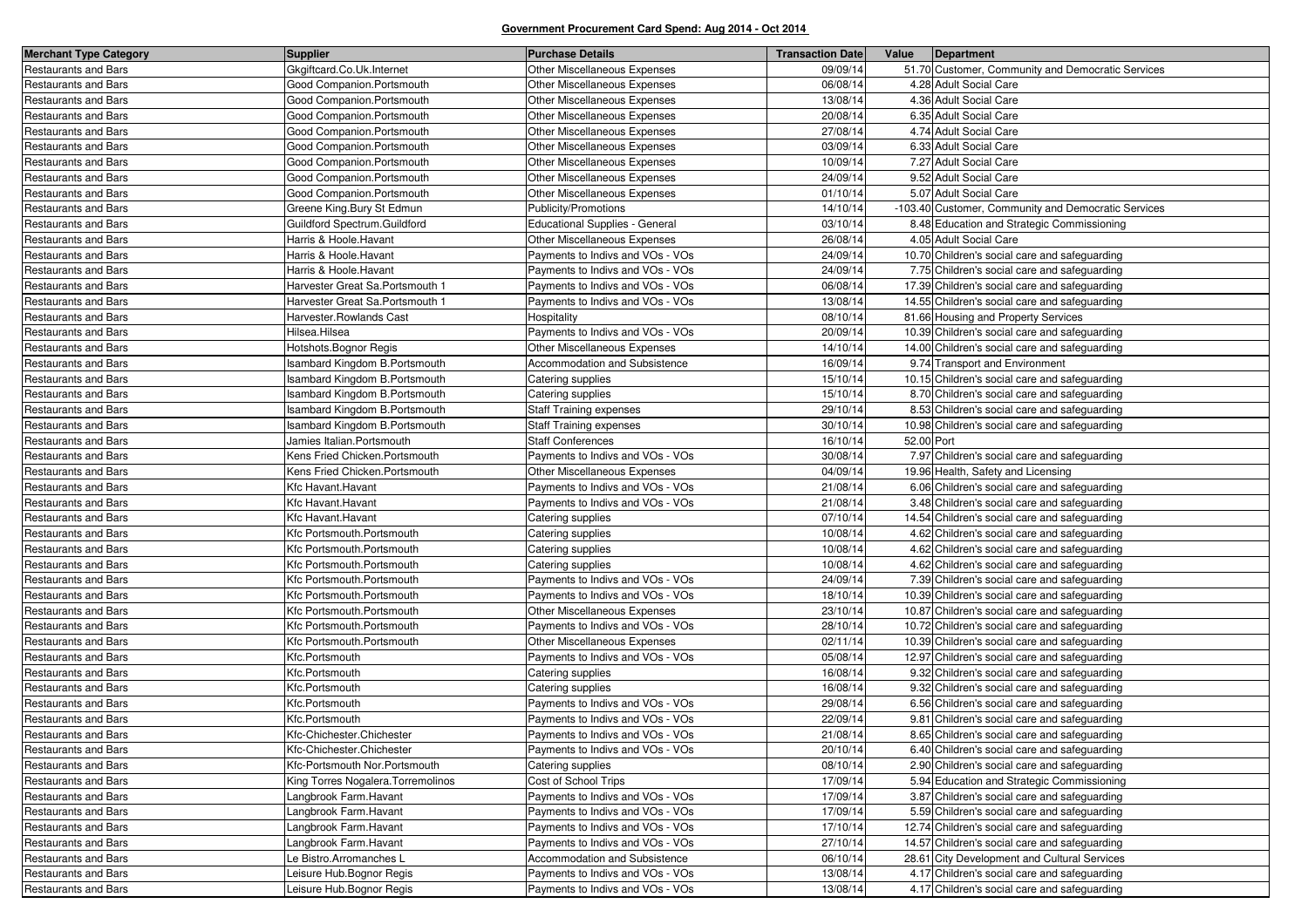| <b>Merchant Type Category</b> | <b>Supplier</b>                    | <b>Purchase Details</b>               | <b>Transaction Date</b> | Value      | Department                                          |
|-------------------------------|------------------------------------|---------------------------------------|-------------------------|------------|-----------------------------------------------------|
| Restaurants and Bars          | Gkgiftcard.Co.Uk.Internet          | Other Miscellaneous Expenses          | 09/09/14                |            | 51.70 Customer, Community and Democratic Services   |
| Restaurants and Bars          | Good Companion.Portsmouth          | Other Miscellaneous Expenses          | 06/08/14                |            | 4.28 Adult Social Care                              |
| Restaurants and Bars          | Good Companion.Portsmouth          | Other Miscellaneous Expenses          | 13/08/14                |            | 4.36 Adult Social Care                              |
| Restaurants and Bars          | Good Companion.Portsmouth          | Other Miscellaneous Expenses          | 20/08/14                |            | 6.35 Adult Social Care                              |
| Restaurants and Bars          | Good Companion.Portsmouth          | Other Miscellaneous Expenses          | 27/08/14                |            | 4.74 Adult Social Care                              |
| Restaurants and Bars          | Good Companion.Portsmouth          | Other Miscellaneous Expenses          | 03/09/14                |            | 6.33 Adult Social Care                              |
| Restaurants and Bars          | Good Companion.Portsmouth          | Other Miscellaneous Expenses          | 10/09/14                |            | 7.27 Adult Social Care                              |
| Restaurants and Bars          | Good Companion.Portsmouth          | Other Miscellaneous Expenses          | 24/09/14                |            | 9.52 Adult Social Care                              |
| <b>Restaurants and Bars</b>   | Good Companion.Portsmouth          | Other Miscellaneous Expenses          | 01/10/14                |            | 5.07 Adult Social Care                              |
| Restaurants and Bars          | Greene King.Bury St Edmun          | Publicity/Promotions                  | 14/10/14                |            | -103.40 Customer, Community and Democratic Services |
| Restaurants and Bars          | Guildford Spectrum.Guildford       | <b>Educational Supplies - General</b> | 03/10/14                |            | 8.48 Education and Strategic Commissioning          |
| <b>Restaurants and Bars</b>   | Harris & Hoole. Havant             | Other Miscellaneous Expenses          | 26/08/14                |            | 4.05 Adult Social Care                              |
| <b>Restaurants and Bars</b>   | Harris & Hoole.Havant              | Payments to Indivs and VOs - VOs      | 24/09/14                |            | 10.70 Children's social care and safeguarding       |
| <b>Restaurants and Bars</b>   | Harris & Hoole.Havant              | Payments to Indivs and VOs - VOs      | 24/09/14                |            | 7.75 Children's social care and safeguarding        |
| Restaurants and Bars          | Harvester Great Sa.Portsmouth 1    | Payments to Indivs and VOs - VOs      | 06/08/14                |            | 17.39 Children's social care and safeguarding       |
| Restaurants and Bars          | Harvester Great Sa.Portsmouth 1    | Payments to Indivs and VOs - VOs      | 13/08/14                |            | 14.55 Children's social care and safeguarding       |
| <b>Restaurants and Bars</b>   | Harvester.Rowlands Cast            | Hospitality                           | 08/10/14                |            | 81.66 Housing and Property Services                 |
| Restaurants and Bars          | Hilsea.Hilsea                      | Payments to Indivs and VOs - VOs      | 20/09/14                |            | 10.39 Children's social care and safeguarding       |
| Restaurants and Bars          | Hotshots. Bognor Regis             | <b>Other Miscellaneous Expenses</b>   | 14/10/14                |            | 14.00 Children's social care and safeguarding       |
| Restaurants and Bars          | sambard Kingdom B.Portsmouth       | Accommodation and Subsistence         | 16/09/14                |            | 9.74 Transport and Environment                      |
| Restaurants and Bars          | sambard Kingdom B.Portsmouth       | Catering supplies                     | 15/10/14                |            | 10.15 Children's social care and safeguarding       |
| <b>Restaurants and Bars</b>   | sambard Kingdom B.Portsmouth       | Catering supplies                     | 15/10/14                |            | 8.70 Children's social care and safeguarding        |
| Restaurants and Bars          | sambard Kingdom B.Portsmouth       | <b>Staff Training expenses</b>        | 29/10/14                |            | 8.53 Children's social care and safeguarding        |
| Restaurants and Bars          | sambard Kingdom B.Portsmouth       | Staff Training expenses               | 30/10/14                |            | 10.98 Children's social care and safeguarding       |
| Restaurants and Bars          | Jamies Italian.Portsmouth          | <b>Staff Conferences</b>              | 16/10/14                | 52.00 Port |                                                     |
| Restaurants and Bars          | Kens Fried Chicken.Portsmouth      | Payments to Indivs and VOs - VOs      | 30/08/14                |            | 7.97 Children's social care and safeguarding        |
| Restaurants and Bars          | Kens Fried Chicken.Portsmouth      | Other Miscellaneous Expenses          | 04/09/14                |            | 19.96 Health, Safety and Licensing                  |
| <b>Restaurants and Bars</b>   | Kfc Havant.Havant                  | Payments to Indivs and VOs - VOs      | 21/08/14                |            | 6.06 Children's social care and safeguarding        |
| Restaurants and Bars          | Kfc Havant.Havant                  | Payments to Indivs and VOs - VOs      | 21/08/14                |            | 3.48 Children's social care and safeguarding        |
| Restaurants and Bars          | Kfc Havant.Havant                  | Catering supplies                     | 07/10/14                |            | 14.54 Children's social care and safeguarding       |
| Restaurants and Bars          | Kfc Portsmouth.Portsmouth          | Catering supplies                     | 10/08/14                |            | 4.62 Children's social care and safeguarding        |
| Restaurants and Bars          | Kfc Portsmouth.Portsmouth          | Catering supplies                     | 10/08/14                |            | 4.62 Children's social care and safeguarding        |
| Restaurants and Bars          | Kfc Portsmouth.Portsmouth          | Catering supplies                     | 10/08/14                |            | 4.62 Children's social care and safeguarding        |
| Restaurants and Bars          | Kfc Portsmouth.Portsmouth          | Payments to Indivs and VOs - VOs      | 24/09/14                |            | 7.39 Children's social care and safeguarding        |
| Restaurants and Bars          | Kfc Portsmouth.Portsmouth          | Payments to Indivs and VOs - VOs      | 18/10/14                |            | 10.39 Children's social care and safeguarding       |
| Restaurants and Bars          | Kfc Portsmouth.Portsmouth          | Other Miscellaneous Expenses          | 23/10/14                |            | 10.87 Children's social care and safeguarding       |
| <b>Restaurants and Bars</b>   | Kfc Portsmouth.Portsmouth          | Payments to Indivs and VOs - VOs      | 28/10/14                |            | 10.72 Children's social care and safeguarding       |
| Restaurants and Bars          | Kfc Portsmouth.Portsmouth          | Other Miscellaneous Expenses          | 02/11/14                |            | 10.39 Children's social care and safeguarding       |
| Restaurants and Bars          | Kfc.Portsmouth                     | Payments to Indivs and VOs - VOs      | 05/08/14                |            | 12.97 Children's social care and safeguarding       |
| Restaurants and Bars          | Kfc.Portsmouth                     | Catering supplies                     | 16/08/14                |            | 9.32 Children's social care and safeguarding        |
| Restaurants and Bars          | Kfc.Portsmouth                     | Catering supplies                     | 16/08/14                |            | 9.32 Children's social care and safeguarding        |
| <b>Restaurants and Bars</b>   | Kfc.Portsmouth                     | Payments to Indivs and VOs - VOs      | 29/08/14                |            | 6.56 Children's social care and safeguarding        |
| <b>Restaurants and Bars</b>   | Kfc.Portsmouth                     | Payments to Indivs and VOs - VOs      | 22/09/14                |            | 9.81 Children's social care and safeguarding        |
| <b>Restaurants and Bars</b>   | Kfc-Chichester.Chichester          | Payments to Indivs and VOs - VOs      | 21/08/14                |            | 8.65 Children's social care and safeguarding        |
| <b>Restaurants and Bars</b>   | Kfc-Chichester.Chichester          | Payments to Indivs and VOs - VOs      | 20/10/14                |            | 6.40 Children's social care and safeguarding        |
| Restaurants and Bars          | Kfc-Portsmouth Nor.Portsmouth      | Catering supplies                     | 08/10/14                |            | 2.90 Children's social care and safeguarding        |
| Restaurants and Bars          | King Torres Nogalera. Torremolinos | Cost of School Trips                  | 17/09/14                |            | 5.94 Education and Strategic Commissioning          |
| <b>Restaurants and Bars</b>   | Langbrook Farm.Havant              | Payments to Indivs and VOs - VOs      | 17/09/14                |            | 3.87 Children's social care and safeguarding        |
| <b>Restaurants and Bars</b>   | Langbrook Farm.Havant              | Payments to Indivs and VOs - VOs      | 17/09/14                |            | 5.59 Children's social care and safeguarding        |
| Restaurants and Bars          | Langbrook Farm.Havant              | Payments to Indivs and VOs - VOs      | 17/10/14                |            | 12.74 Children's social care and safeguarding       |
| Restaurants and Bars          | Langbrook Farm.Havant              | Payments to Indivs and VOs - VOs      | 27/10/14                |            | 14.57 Children's social care and safeguarding       |
| Restaurants and Bars          | Le Bistro.Arromanches L            | Accommodation and Subsistence         | 06/10/14                |            | 28.61 City Development and Cultural Services        |
| <b>Restaurants and Bars</b>   | Leisure Hub.Bognor Regis           | Payments to Indivs and VOs - VOs      | 13/08/14                |            | 4.17 Children's social care and safeguarding        |
| <b>Restaurants and Bars</b>   | Leisure Hub.Bognor Regis           | Payments to Indivs and VOs - VOs      | 13/08/14                |            | 4.17 Children's social care and safeguarding        |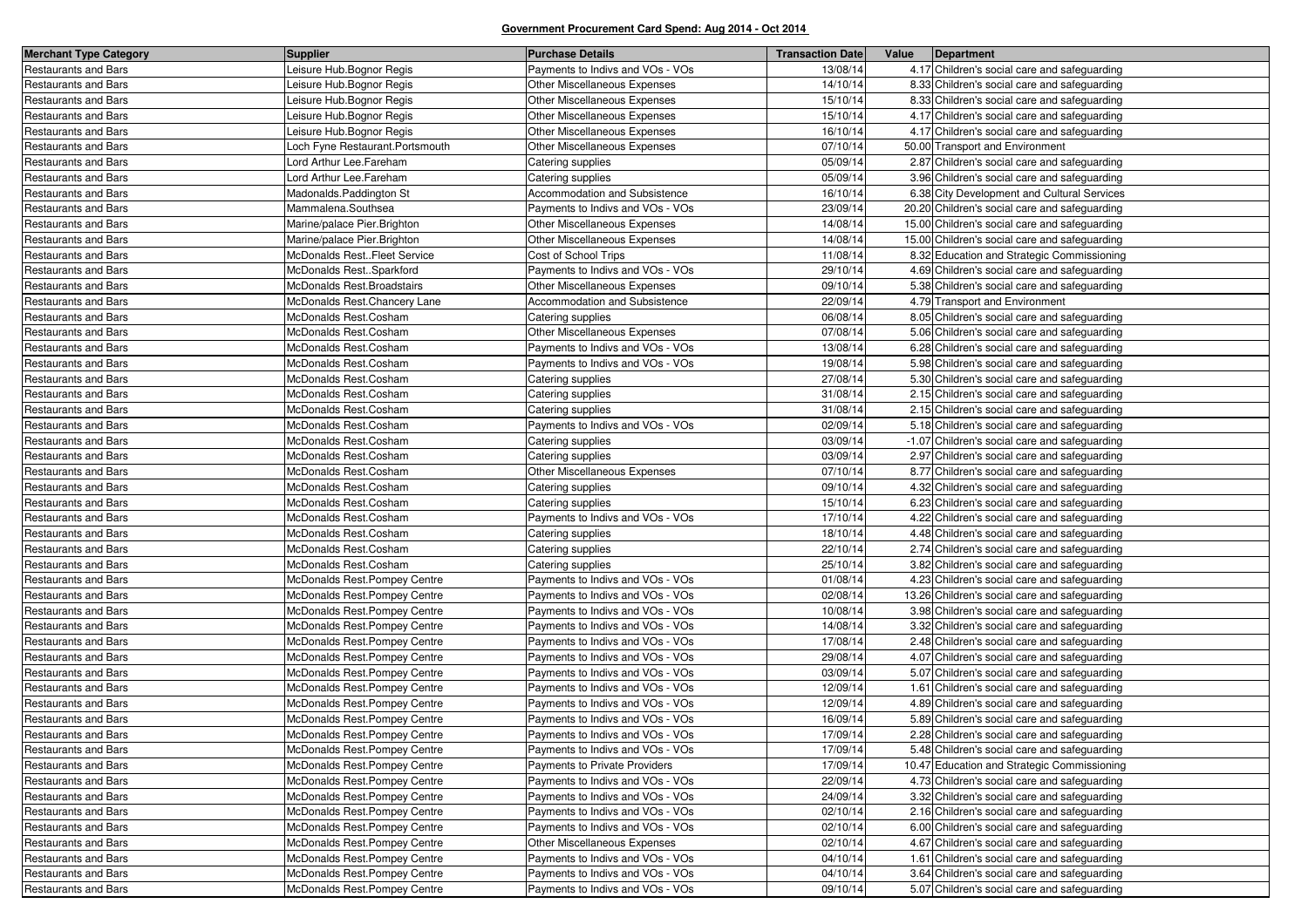| <b>Merchant Type Category</b> | <b>Supplier</b>                | <b>Purchase Details</b>          | <b>Transaction Date</b> | Value | Department                                    |
|-------------------------------|--------------------------------|----------------------------------|-------------------------|-------|-----------------------------------------------|
| <b>Restaurants and Bars</b>   | Leisure Hub.Bognor Regis       | Payments to Indivs and VOs - VOs | 13/08/14                |       | 4.17 Children's social care and safeguarding  |
| Restaurants and Bars          | Leisure Hub.Bognor Regis       | Other Miscellaneous Expenses     | 14/10/14                |       | 8.33 Children's social care and safeguarding  |
| Restaurants and Bars          | Leisure Hub.Bognor Regis       | Other Miscellaneous Expenses     | 15/10/14                |       | 8.33 Children's social care and safeguarding  |
| Restaurants and Bars          | Leisure Hub.Bognor Regis       | Other Miscellaneous Expenses     | 15/10/14                |       | 4.17 Children's social care and safeguarding  |
| Restaurants and Bars          | eisure Hub.Bognor Regis        | Other Miscellaneous Expenses     | 16/10/14                |       | 4.17 Children's social care and safeguarding  |
| Restaurants and Bars          | och Fyne Restaurant.Portsmouth | Other Miscellaneous Expenses     | 07/10/14                |       | 50.00 Transport and Environment               |
| Restaurants and Bars          | Lord Arthur Lee.Fareham        | Catering supplies                | 05/09/14                |       | 2.87 Children's social care and safeguarding  |
| <b>Restaurants and Bars</b>   | Lord Arthur Lee.Fareham        | Catering supplies                | 05/09/14                |       | 3.96 Children's social care and safeguarding  |
| Restaurants and Bars          | Madonalds.Paddington St        | Accommodation and Subsistence    | 16/10/14                |       | 6.38 City Development and Cultural Services   |
| Restaurants and Bars          | Mammalena.Southsea             | Payments to Indivs and VOs - VOs | 23/09/14                |       | 20.20 Children's social care and safeguarding |
| Restaurants and Bars          | Marine/palace Pier.Brighton    | Other Miscellaneous Expenses     | 14/08/14                |       | 15.00 Children's social care and safeguarding |
| Restaurants and Bars          | Marine/palace Pier.Brighton    | Other Miscellaneous Expenses     | 14/08/14                |       | 15.00 Children's social care and safeguarding |
| Restaurants and Bars          | McDonalds RestFleet Service    | Cost of School Trips             | 11/08/14                |       | 8.32 Education and Strategic Commissioning    |
| Restaurants and Bars          | McDonalds RestSparkford        | Payments to Indivs and VOs - VOs | 29/10/14                |       | 4.69 Children's social care and safeguarding  |
| <b>Restaurants and Bars</b>   | McDonalds Rest.Broadstairs     | Other Miscellaneous Expenses     | 09/10/14                |       | 5.38 Children's social care and safeguarding  |
| Restaurants and Bars          | McDonalds Rest.Chancery Lane   | Accommodation and Subsistence    | 22/09/14                |       | 4.79 Transport and Environment                |
| <b>Restaurants and Bars</b>   | McDonalds Rest.Cosham          | Catering supplies                | 06/08/14                |       | 8.05 Children's social care and safeguarding  |
| <b>Restaurants and Bars</b>   | McDonalds Rest.Cosham          | Other Miscellaneous Expenses     | 07/08/14                |       | 5.06 Children's social care and safeguarding  |
| <b>Restaurants and Bars</b>   | McDonalds Rest.Cosham          | Payments to Indivs and VOs - VOs | 13/08/14                |       | 6.28 Children's social care and safeguarding  |
| Restaurants and Bars          | McDonalds Rest.Cosham          | Payments to Indivs and VOs - VOs | 19/08/14                |       | 5.98 Children's social care and safeguarding  |
| <b>Restaurants and Bars</b>   | McDonalds Rest.Cosham          | Catering supplies                | 27/08/14                |       | 5.30 Children's social care and safeguarding  |
| Restaurants and Bars          | McDonalds Rest.Cosham          | Catering supplies                | 31/08/14                |       | 2.15 Children's social care and safeguarding  |
| <b>Restaurants and Bars</b>   | McDonalds Rest.Cosham          | Catering supplies                | 31/08/14                |       | 2.15 Children's social care and safeguarding  |
| <b>Restaurants and Bars</b>   | McDonalds Rest.Cosham          | Payments to Indivs and VOs - VOs | 02/09/14                |       | 5.18 Children's social care and safeguarding  |
| <b>Restaurants and Bars</b>   | McDonalds Rest.Cosham          | Catering supplies                | 03/09/14                |       | -1.07 Children's social care and safeguarding |
| Restaurants and Bars          | McDonalds Rest.Cosham          | Catering supplies                | 03/09/14                |       | 2.97 Children's social care and safeguarding  |
| <b>Restaurants and Bars</b>   | McDonalds Rest.Cosham          | Other Miscellaneous Expenses     | 07/10/14                |       | 8.77 Children's social care and safeguarding  |
| <b>Restaurants and Bars</b>   | McDonalds Rest.Cosham          | Catering supplies                | 09/10/14                |       | 4.32 Children's social care and safeguarding  |
| <b>Restaurants and Bars</b>   | McDonalds Rest.Cosham          | Catering supplies                | 15/10/14                |       | 6.23 Children's social care and safeguarding  |
| <b>Restaurants and Bars</b>   | McDonalds Rest.Cosham          | Payments to Indivs and VOs - VOs | 17/10/14                |       | 4.22 Children's social care and safeguarding  |
| Restaurants and Bars          | McDonalds Rest.Cosham          | Catering supplies                | 18/10/14                |       | 4.48 Children's social care and safeguarding  |
| Restaurants and Bars          | McDonalds Rest.Cosham          | Catering supplies                | 22/10/14                |       | 2.74 Children's social care and safeguarding  |
| Restaurants and Bars          | McDonalds Rest.Cosham          | Catering supplies                | 25/10/14                |       | 3.82 Children's social care and safeguarding  |
| <b>Restaurants and Bars</b>   | McDonalds Rest.Pompey Centre   | Payments to Indivs and VOs - VOs | 01/08/14                |       | 4.23 Children's social care and safeguarding  |
| Restaurants and Bars          | McDonalds Rest. Pompey Centre  | Payments to Indivs and VOs - VOs | 02/08/14                |       | 13.26 Children's social care and safeguarding |
| Restaurants and Bars          | McDonalds Rest.Pompey Centre   | Payments to Indivs and VOs - VOs | 10/08/14                |       | 3.98 Children's social care and safeguarding  |
| Restaurants and Bars          | McDonalds Rest Pompey Centre   | Payments to Indivs and VOs - VOs | 14/08/14                |       | 3.32 Children's social care and safeguarding  |
| Restaurants and Bars          | McDonalds Rest.Pompey Centre   | Payments to Indivs and VOs - VOs | 17/08/14                |       | 2.48 Children's social care and safeguarding  |
| <b>Restaurants and Bars</b>   | McDonalds Rest Pompey Centre   | Payments to Indivs and VOs - VOs | 29/08/14                |       | 4.07 Children's social care and safeguarding  |
| <b>Restaurants and Bars</b>   | McDonalds Rest Pompey Centre   | Payments to Indivs and VOs - VOs | 03/09/14                |       | 5.07 Children's social care and safeguarding  |
| Restaurants and Bars          | McDonalds Rest Pompey Centre   | Payments to Indivs and VOs - VOs | 12/09/14                |       | 1.61 Children's social care and safeguarding  |
| Restaurants and Bars          | McDonalds Rest.Pompey Centre   | Payments to Indivs and VOs - VOs | 12/09/14                |       | 4.89 Children's social care and safeguarding  |
| Restaurants and Bars          | McDonalds Rest.Pompey Centre   | Payments to Indivs and VOs - VOs | 16/09/14                |       | 5.89 Children's social care and safeguarding  |
| Restaurants and Bars          | McDonalds Rest.Pompey Centre   | Payments to Indivs and VOs - VOs | 17/09/14                |       | 2.28 Children's social care and safeguarding  |
| Restaurants and Bars          | McDonalds Rest.Pompey Centre   | Payments to Indivs and VOs - VOs | 17/09/14                |       | 5.48 Children's social care and safeguarding  |
| <b>Restaurants and Bars</b>   | McDonalds Rest.Pompey Centre   | Payments to Private Providers    | 17/09/14                |       | 10.47 Education and Strategic Commissioning   |
| Restaurants and Bars          | McDonalds Rest.Pompey Centre   | Payments to Indivs and VOs - VOs | 22/09/14                |       | 4.73 Children's social care and safeguarding  |
| Restaurants and Bars          | McDonalds Rest.Pompey Centre   | Payments to Indivs and VOs - VOs | 24/09/14                |       | 3.32 Children's social care and safeguarding  |
| Restaurants and Bars          | McDonalds Rest.Pompey Centre   | Payments to Indivs and VOs - VOs | 02/10/14                |       | 2.16 Children's social care and safeguarding  |
| Restaurants and Bars          | McDonalds Rest.Pompey Centre   | Payments to Indivs and VOs - VOs | 02/10/14                |       | 6.00 Children's social care and safeguarding  |
| <b>Restaurants and Bars</b>   | McDonalds Rest.Pompey Centre   | Other Miscellaneous Expenses     | 02/10/14                |       | 4.67 Children's social care and safeguarding  |
| Restaurants and Bars          | McDonalds Rest.Pompey Centre   | Payments to Indivs and VOs - VOs | 04/10/14                |       | 1.61 Children's social care and safeguarding  |
| Restaurants and Bars          | McDonalds Rest.Pompey Centre   | Payments to Indivs and VOs - VOs | 04/10/14                |       | 3.64 Children's social care and safeguarding  |
| <b>Restaurants and Bars</b>   | McDonalds Rest.Pompey Centre   | Payments to Indivs and VOs - VOs | 09/10/14                |       | 5.07 Children's social care and safeguarding  |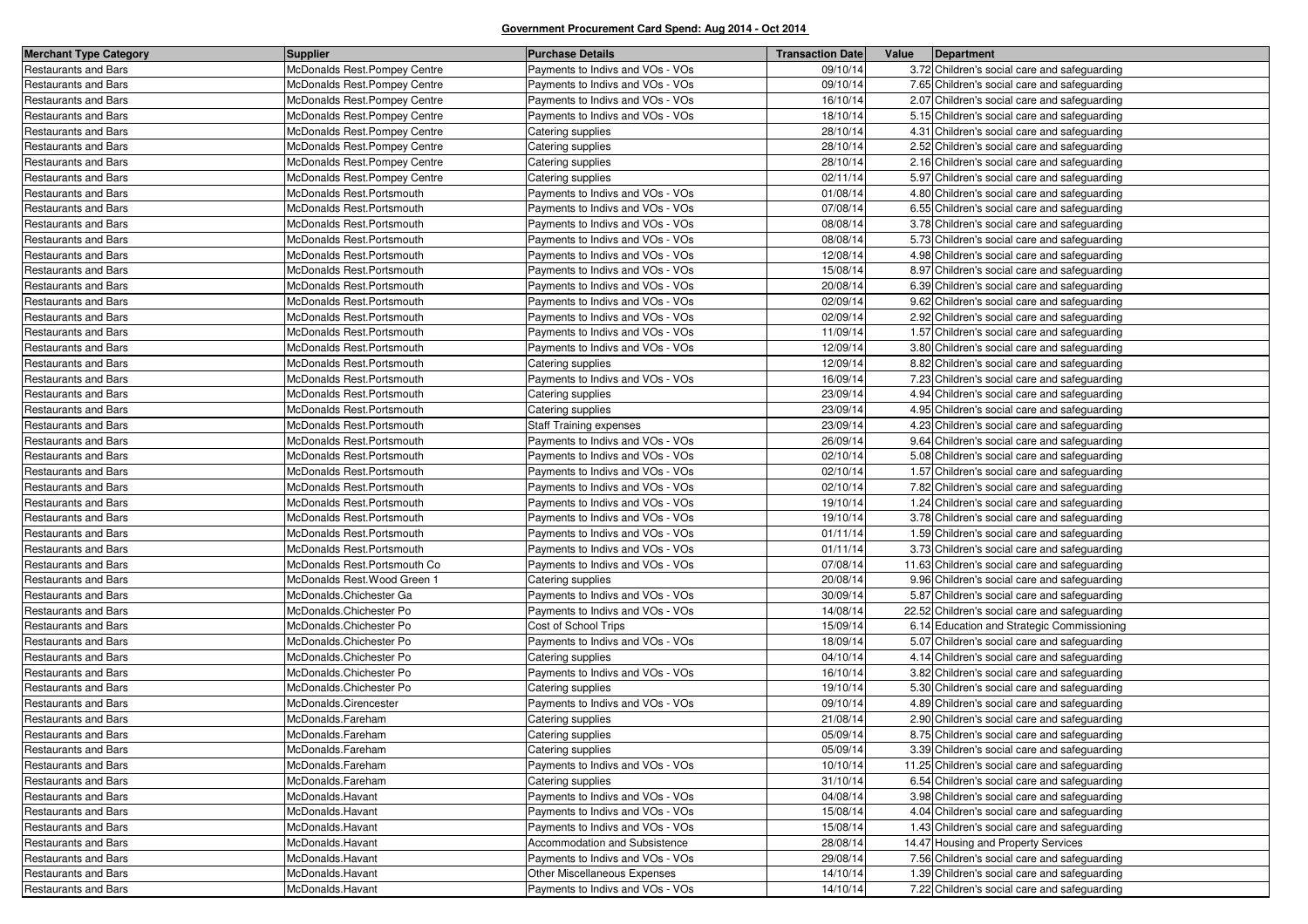| <b>Merchant Type Category</b> | <b>Supplier</b>              | <b>Purchase Details</b>          | <b>Transaction Date</b> | Value | Department                                    |
|-------------------------------|------------------------------|----------------------------------|-------------------------|-------|-----------------------------------------------|
| <b>Restaurants and Bars</b>   | McDonalds Rest.Pompey Centre | Payments to Indivs and VOs - VOs | 09/10/14                |       | 3.72 Children's social care and safeguarding  |
| Restaurants and Bars          | McDonalds Rest.Pompey Centre | Payments to Indivs and VOs - VOs | 09/10/14                |       | 7.65 Children's social care and safeguarding  |
| <b>Restaurants and Bars</b>   | McDonalds Rest.Pompey Centre | Payments to Indivs and VOs - VOs | 16/10/14                |       | 2.07 Children's social care and safeguarding  |
| Restaurants and Bars          | McDonalds Rest.Pompey Centre | Payments to Indivs and VOs - VOs | 18/10/14                |       | 5.15 Children's social care and safeguarding  |
| <b>Restaurants and Bars</b>   | McDonalds Rest.Pompey Centre | Catering supplies                | 28/10/14                |       | 4.31 Children's social care and safeguarding  |
| <b>Restaurants and Bars</b>   | McDonalds Rest Pompey Centre | Catering supplies                | 28/10/14                |       | 2.52 Children's social care and safeguarding  |
| <b>Restaurants and Bars</b>   | McDonalds Rest Pompey Centre | Catering supplies                | 28/10/14                |       | 2.16 Children's social care and safeguarding  |
| Restaurants and Bars          | McDonalds Rest.Pompey Centre | Catering supplies                | 02/11/14                |       | 5.97 Children's social care and safeguarding  |
| <b>Restaurants and Bars</b>   | McDonalds Rest.Portsmouth    | Payments to Indivs and VOs - VOs | 01/08/14                |       | 4.80 Children's social care and safeguarding  |
| <b>Restaurants and Bars</b>   | McDonalds Rest.Portsmouth    | Payments to Indivs and VOs - VOs | 07/08/14                |       | 6.55 Children's social care and safeguarding  |
| Restaurants and Bars          | McDonalds Rest.Portsmouth    | Payments to Indivs and VOs - VOs | 08/08/14                |       | 3.78 Children's social care and safeguarding  |
| <b>Restaurants and Bars</b>   | McDonalds Rest.Portsmouth    | Payments to Indivs and VOs - VOs | 08/08/14                |       | 5.73 Children's social care and safeguarding  |
| <b>Restaurants and Bars</b>   | McDonalds Rest.Portsmouth    | Payments to Indivs and VOs - VOs | 12/08/14                |       | 4.98 Children's social care and safeguarding  |
| <b>Restaurants and Bars</b>   | McDonalds Rest.Portsmouth    | Payments to Indivs and VOs - VOs | 15/08/14                |       | 8.97 Children's social care and safeguarding  |
| Restaurants and Bars          | McDonalds Rest.Portsmouth    | Payments to Indivs and VOs - VOs | 20/08/14                |       | 6.39 Children's social care and safeguarding  |
| Restaurants and Bars          | McDonalds Rest.Portsmouth    | Payments to Indivs and VOs - VOs | 02/09/14                |       | 9.62 Children's social care and safeguarding  |
| Restaurants and Bars          | McDonalds Rest.Portsmouth    | Payments to Indivs and VOs - VOs | 02/09/14                |       | 2.92 Children's social care and safeguarding  |
| Restaurants and Bars          | McDonalds Rest.Portsmouth    | Payments to Indivs and VOs - VOs | 11/09/14                |       | 1.57 Children's social care and safeguarding  |
| Restaurants and Bars          | McDonalds Rest.Portsmouth    | Payments to Indivs and VOs - VOs | 12/09/14                |       | 3.80 Children's social care and safeguarding  |
| Restaurants and Bars          | McDonalds Rest.Portsmouth    | Catering supplies                | 12/09/14                |       | 8.82 Children's social care and safeguarding  |
| Restaurants and Bars          | McDonalds Rest.Portsmouth    | Payments to Indivs and VOs - VOs | 16/09/14                |       | 7.23 Children's social care and safeguarding  |
| <b>Restaurants and Bars</b>   | McDonalds Rest.Portsmouth    | Catering supplies                | 23/09/14                |       | 4.94 Children's social care and safeguarding  |
| Restaurants and Bars          | McDonalds Rest.Portsmouth    | Catering supplies                | 23/09/14                |       | 4.95 Children's social care and safeguarding  |
| <b>Restaurants and Bars</b>   | McDonalds Rest.Portsmouth    | <b>Staff Training expenses</b>   | 23/09/14                |       | 4.23 Children's social care and safeguarding  |
| Restaurants and Bars          | McDonalds Rest.Portsmouth    | Payments to Indivs and VOs - VOs | 26/09/14                |       | 9.64 Children's social care and safeguarding  |
| Restaurants and Bars          | McDonalds Rest.Portsmouth    | Payments to Indivs and VOs - VOs | 02/10/14                |       | 5.08 Children's social care and safeguarding  |
| Restaurants and Bars          | McDonalds Rest.Portsmouth    | Payments to Indivs and VOs - VOs | 02/10/14                |       | 1.57 Children's social care and safeguarding  |
| <b>Restaurants and Bars</b>   | McDonalds Rest.Portsmouth    | Payments to Indivs and VOs - VOs | 02/10/14                |       | 7.82 Children's social care and safeguarding  |
| Restaurants and Bars          | McDonalds Rest.Portsmouth    | Payments to Indivs and VOs - VOs | 19/10/14                |       | 1.24 Children's social care and safeguarding  |
| Restaurants and Bars          | McDonalds Rest.Portsmouth    | Payments to Indivs and VOs - VOs | 19/10/14                |       | 3.78 Children's social care and safeguarding  |
| <b>Restaurants and Bars</b>   | McDonalds Rest.Portsmouth    | Payments to Indivs and VOs - VOs | 01/11/14                |       | 1.59 Children's social care and safeguarding  |
| Restaurants and Bars          | McDonalds Rest.Portsmouth    | Payments to Indivs and VOs - VOs | 01/11/14                |       | 3.73 Children's social care and safeguarding  |
| Restaurants and Bars          | McDonalds Rest.Portsmouth Co | Payments to Indivs and VOs - VOs | 07/08/14                |       | 11.63 Children's social care and safeguarding |
| Restaurants and Bars          | McDonalds Rest. Wood Green 1 | Catering supplies                | 20/08/14                |       | 9.96 Children's social care and safeguarding  |
| Restaurants and Bars          | McDonalds.Chichester Ga      | Payments to Indivs and VOs - VOs | 30/09/14                |       | 5.87 Children's social care and safeguarding  |
| Restaurants and Bars          | McDonalds.Chichester Po      | Payments to Indivs and VOs - VOs | 14/08/14                |       | 22.52 Children's social care and safeguarding |
| <b>Restaurants and Bars</b>   | McDonalds.Chichester Po      | Cost of School Trips             | 15/09/14                |       | 6.14 Education and Strategic Commissioning    |
| Restaurants and Bars          | McDonalds.Chichester Po      | Payments to Indivs and VOs - VOs | 18/09/14                |       | 5.07 Children's social care and safeguarding  |
| Restaurants and Bars          | McDonalds.Chichester Po      | Catering supplies                | 04/10/14                |       | 4.14 Children's social care and safeguarding  |
| Restaurants and Bars          | McDonalds.Chichester Po      | Payments to Indivs and VOs - VOs | 16/10/14                |       | 3.82 Children's social care and safeguarding  |
| Restaurants and Bars          | McDonalds.Chichester Po      | Catering supplies                | 19/10/14                |       | 5.30 Children's social care and safeguarding  |
| Restaurants and Bars          | McDonalds.Cirencester        | Payments to Indivs and VOs - VOs | 09/10/14                |       | 4.89 Children's social care and safeguarding  |
| <b>Restaurants and Bars</b>   | McDonalds.Fareham            | Catering supplies                | 21/08/14                |       | 2.90 Children's social care and safeguarding  |
| <b>Restaurants and Bars</b>   | McDonalds.Fareham            | Catering supplies                | 05/09/14                |       | 8.75 Children's social care and safeguarding  |
| Restaurants and Bars          | McDonalds.Fareham            | Catering supplies                | 05/09/14                |       | 3.39 Children's social care and safeguarding  |
| Restaurants and Bars          | McDonalds.Fareham            | Payments to Indivs and VOs - VOs | 10/10/14                |       | 11.25 Children's social care and safeguarding |
| <b>Restaurants and Bars</b>   | McDonalds.Fareham            | Catering supplies                | 31/10/14                |       | 6.54 Children's social care and safeguarding  |
| <b>Restaurants and Bars</b>   | McDonalds.Havant             | Payments to Indivs and VOs - VOs | 04/08/14                |       | 3.98 Children's social care and safeguarding  |
| <b>Restaurants and Bars</b>   | McDonalds.Havant             | Payments to Indivs and VOs - VOs | 15/08/14                |       | 4.04 Children's social care and safeguarding  |
| Restaurants and Bars          | McDonalds.Havant             | Payments to Indivs and VOs - VOs | 15/08/14                |       | 1.43 Children's social care and safeguarding  |
| Restaurants and Bars          | McDonalds.Havant             | Accommodation and Subsistence    | 28/08/14                |       | 14.47 Housing and Property Services           |
| Restaurants and Bars          | McDonalds.Havant             | Payments to Indivs and VOs - VOs | 29/08/14                |       | 7.56 Children's social care and safeguarding  |
| Restaurants and Bars          | McDonalds.Havant             | Other Miscellaneous Expenses     | 14/10/14                |       | 1.39 Children's social care and safeguarding  |
| <b>Restaurants and Bars</b>   | McDonalds.Havant             | Payments to Indivs and VOs - VOs | 14/10/14                |       | 7.22 Children's social care and safeguarding  |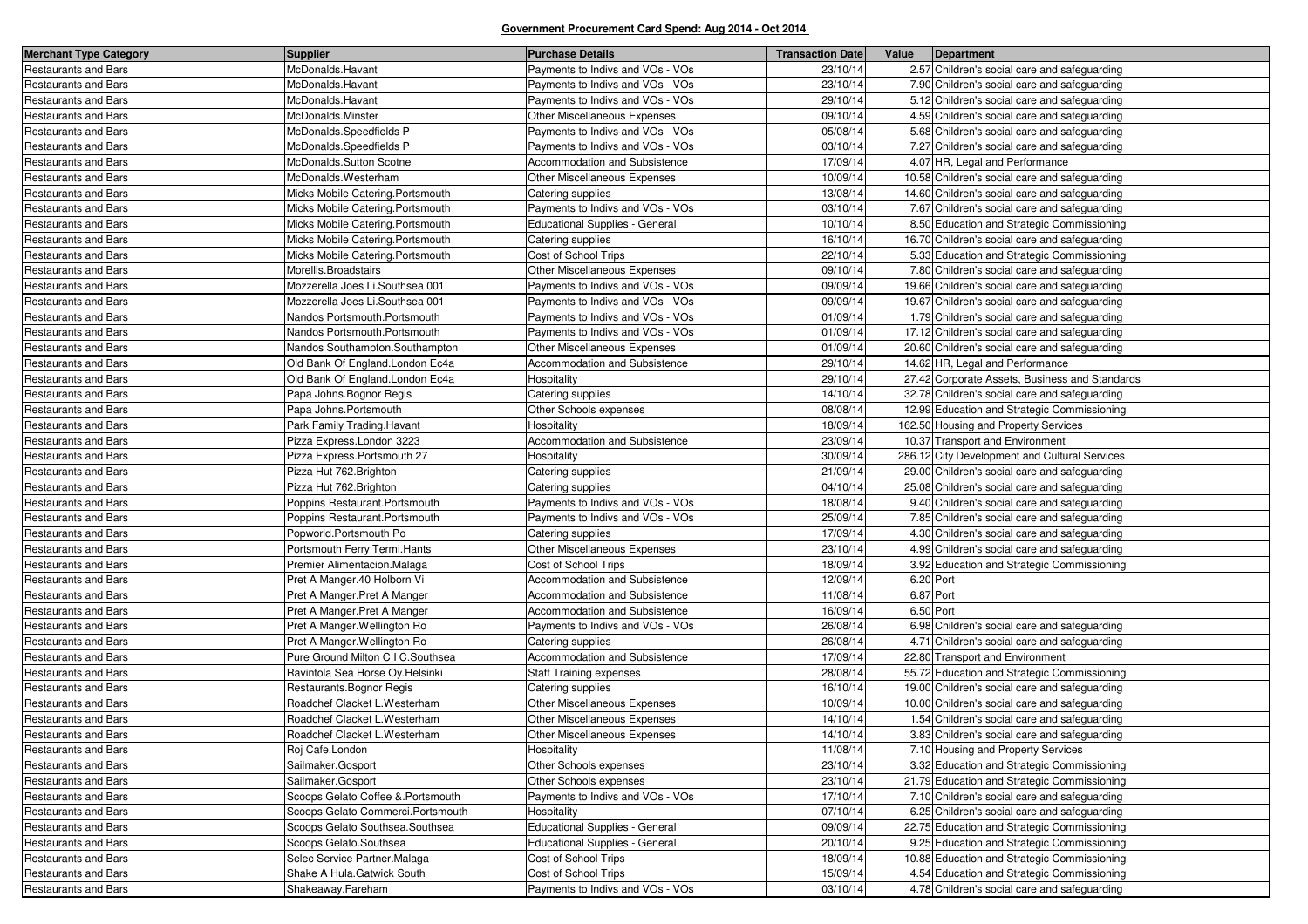| <b>Merchant Type Category</b> | <b>Supplier</b>                   | <b>Purchase Details</b>               | <b>Transaction Date</b> | Value     | Department                                     |
|-------------------------------|-----------------------------------|---------------------------------------|-------------------------|-----------|------------------------------------------------|
| <b>Restaurants and Bars</b>   | McDonalds.Havant                  | Payments to Indivs and VOs - VOs      | 23/10/14                |           | 2.57 Children's social care and safeguarding   |
| <b>Restaurants and Bars</b>   | McDonalds.Havant                  | Payments to Indivs and VOs - VOs      | 23/10/14                |           | 7.90 Children's social care and safeguarding   |
| <b>Restaurants and Bars</b>   | McDonalds.Havant                  | Payments to Indivs and VOs - VOs      | 29/10/14                |           | 5.12 Children's social care and safeguarding   |
| Restaurants and Bars          | McDonalds.Minster                 | Other Miscellaneous Expenses          | 09/10/14                |           | 4.59 Children's social care and safeguarding   |
| <b>Restaurants and Bars</b>   | McDonalds.Speedfields P           | Payments to Indivs and VOs - VOs      | 05/08/14                |           | 5.68 Children's social care and safeguarding   |
| <b>Restaurants and Bars</b>   | McDonalds.Speedfields P           | Payments to Indivs and VOs - VOs      | 03/10/14                |           | 7.27 Children's social care and safeguarding   |
| Restaurants and Bars          | McDonalds.Sutton Scotne           | Accommodation and Subsistence         | 17/09/14                |           | 4.07 HR, Legal and Performance                 |
| <b>Restaurants and Bars</b>   | McDonalds.Westerham               | Other Miscellaneous Expenses          | 10/09/14                |           | 10.58 Children's social care and safeguarding  |
| <b>Restaurants and Bars</b>   | Micks Mobile Catering. Portsmouth | Catering supplies                     | 13/08/14                |           | 14.60 Children's social care and safeguarding  |
| Restaurants and Bars          | Micks Mobile Catering.Portsmouth  | Payments to Indivs and VOs - VOs      | 03/10/14                |           | 7.67 Children's social care and safeguarding   |
| <b>Restaurants and Bars</b>   | Micks Mobile Catering.Portsmouth  | <b>Educational Supplies - General</b> | 10/10/14                |           | 8.50 Education and Strategic Commissioning     |
| Restaurants and Bars          | Micks Mobile Catering. Portsmouth | Catering supplies                     | 16/10/14                |           | 16.70 Children's social care and safeguarding  |
| <b>Restaurants and Bars</b>   | Micks Mobile Catering.Portsmouth  | Cost of School Trips                  | 22/10/14                |           | 5.33 Education and Strategic Commissioning     |
| <b>Restaurants and Bars</b>   | Morellis.Broadstairs              | <b>Other Miscellaneous Expenses</b>   | 09/10/14                |           | 7.80 Children's social care and safeguarding   |
| <b>Restaurants and Bars</b>   | Mozzerella Joes Li.Southsea 001   | Payments to Indivs and VOs - VOs      | 09/09/14                |           | 19.66 Children's social care and safeguarding  |
| Restaurants and Bars          | Mozzerella Joes Li.Southsea 001   | Payments to Indivs and VOs - VOs      | 09/09/14                |           | 19.67 Children's social care and safeguarding  |
| <b>Restaurants and Bars</b>   | Nandos Portsmouth.Portsmouth      | Payments to Indivs and VOs - VOs      | 01/09/14                |           | 1.79 Children's social care and safeguarding   |
| Restaurants and Bars          | Nandos Portsmouth.Portsmouth      | Payments to Indivs and VOs - VOs      | 01/09/14                |           | 17.12 Children's social care and safeguarding  |
| <b>Restaurants and Bars</b>   | Nandos Southampton.Southampton    | Other Miscellaneous Expenses          | 01/09/14                |           | 20.60 Children's social care and safeguarding  |
| <b>Restaurants and Bars</b>   | Old Bank Of England.London Ec4a   | Accommodation and Subsistence         | 29/10/14                |           | 14.62 HR, Legal and Performance                |
| Restaurants and Bars          | Old Bank Of England.London Ec4a   | Hospitality                           | 29/10/14                |           | 27.42 Corporate Assets, Business and Standards |
| Restaurants and Bars          | Papa Johns. Bognor Regis          | Catering supplies                     | 14/10/14                |           | 32.78 Children's social care and safeguarding  |
| <b>Restaurants and Bars</b>   | Papa Johns. Portsmouth            | Other Schools expenses                | 08/08/14                |           | 12.99 Education and Strategic Commissioning    |
| Restaurants and Bars          | Park Family Trading. Havant       | Hospitality                           | 18/09/14                |           | 162.50 Housing and Property Services           |
| <b>Restaurants and Bars</b>   | Pizza Express.London 3223         | Accommodation and Subsistence         | 23/09/14                |           | 10.37 Transport and Environment                |
| <b>Restaurants and Bars</b>   | Pizza Express.Portsmouth 27       | Hospitality                           | 30/09/14                |           | 286.12 City Development and Cultural Services  |
| Restaurants and Bars          | Pizza Hut 762. Brighton           | Catering supplies                     | 21/09/14                |           | 29.00 Children's social care and safeguarding  |
| <b>Restaurants and Bars</b>   | Pizza Hut 762. Brighton           | Catering supplies                     | 04/10/14                |           | 25.08 Children's social care and safeguarding  |
| <b>Restaurants and Bars</b>   | Poppins Restaurant.Portsmouth     | Payments to Indivs and VOs - VOs      | 18/08/14                |           | 9.40 Children's social care and safeguarding   |
| Restaurants and Bars          | Poppins Restaurant.Portsmouth     | Payments to Indivs and VOs - VOs      | 25/09/14                |           | 7.85 Children's social care and safeguarding   |
| <b>Restaurants and Bars</b>   | Popworld.Portsmouth Po            | Catering supplies                     | 17/09/14                |           | 4.30 Children's social care and safeguarding   |
| <b>Restaurants and Bars</b>   | Portsmouth Ferry Termi. Hants     | Other Miscellaneous Expenses          | 23/10/14                |           | 4.99 Children's social care and safeguarding   |
| Restaurants and Bars          | Premier Alimentacion.Malaga       | Cost of School Trips                  | 18/09/14                |           | 3.92 Education and Strategic Commissioning     |
| <b>Restaurants and Bars</b>   | Pret A Manger.40 Holborn Vi       | Accommodation and Subsistence         | 12/09/14                | 6.20 Port |                                                |
| Restaurants and Bars          | Pret A Manger.Pret A Manger       | Accommodation and Subsistence         | 11/08/14                | 6.87 Port |                                                |
| Restaurants and Bars          | Pret A Manger.Pret A Manger       | Accommodation and Subsistence         | 16/09/14                | 6.50 Port |                                                |
| <b>Restaurants and Bars</b>   | Pret A Manger. Wellington Ro      | Payments to Indivs and VOs - VOs      | 26/08/14                |           | 6.98 Children's social care and safeguarding   |
| <b>Restaurants and Bars</b>   | Pret A Manger. Wellington Ro      | Catering supplies                     | 26/08/14                |           | 4.71 Children's social care and safeguarding   |
| Restaurants and Bars          | Pure Ground Milton C I C.Southsea | Accommodation and Subsistence         | 17/09/14                |           | 22.80 Transport and Environment                |
| <b>Restaurants and Bars</b>   | Ravintola Sea Horse Oy.Helsinki   | <b>Staff Training expenses</b>        | 28/08/14                |           | 55.72 Education and Strategic Commissioning    |
| Restaurants and Bars          | Restaurants. Bognor Regis         | Catering supplies                     | 16/10/14                |           | 19.00 Children's social care and safeguarding  |
| Restaurants and Bars          | Roadchef Clacket L.Westerham      | Other Miscellaneous Expenses          | 10/09/14                |           | 10.00 Children's social care and safeguarding  |
| <b>Restaurants and Bars</b>   | Roadchef Clacket L.Westerham      | <b>Other Miscellaneous Expenses</b>   | 14/10/14                |           | 1.54 Children's social care and safeguarding   |
| Restaurants and Bars          | Roadchef Clacket L.Westerham      | Other Miscellaneous Expenses          | 14/10/14                |           | 3.83 Children's social care and safeguarding   |
| <b>Restaurants and Bars</b>   | Roj Cafe.London                   | Hospitality                           | 11/08/14                |           | 7.10 Housing and Property Services             |
| <b>Restaurants and Bars</b>   | Sailmaker.Gosport                 | Other Schools expenses                | 23/10/14                |           | 3.32 Education and Strategic Commissioning     |
| Restaurants and Bars          | Sailmaker.Gosport                 | Other Schools expenses                | 23/10/14                |           | 21.79 Education and Strategic Commissioning    |
| Restaurants and Bars          | Scoops Gelato Coffee & Portsmouth | Payments to Indivs and VOs - VOs      | 17/10/14                |           | 7.10 Children's social care and safeguarding   |
| <b>Restaurants and Bars</b>   | Scoops Gelato Commerci.Portsmouth | Hospitality                           | 07/10/14                |           | 6.25 Children's social care and safeguarding   |
| <b>Restaurants and Bars</b>   | Scoops Gelato Southsea.Southsea   | <b>Educational Supplies - General</b> | 09/09/14                |           | 22.75 Education and Strategic Commissioning    |
| Restaurants and Bars          | Scoops Gelato.Southsea            | <b>Educational Supplies - General</b> | 20/10/14                |           | 9.25 Education and Strategic Commissioning     |
| <b>Restaurants and Bars</b>   | Selec Service Partner.Malaga      | Cost of School Trips                  | 18/09/14                |           | 10.88 Education and Strategic Commissioning    |
| <b>Restaurants and Bars</b>   | Shake A Hula.Gatwick South        | Cost of School Trips                  | 15/09/14                |           | 4.54 Education and Strategic Commissioning     |
| Restaurants and Bars          | Shakeaway.Fareham                 | Payments to Indivs and VOs - VOs      | 03/10/14                |           | 4.78 Children's social care and safeguarding   |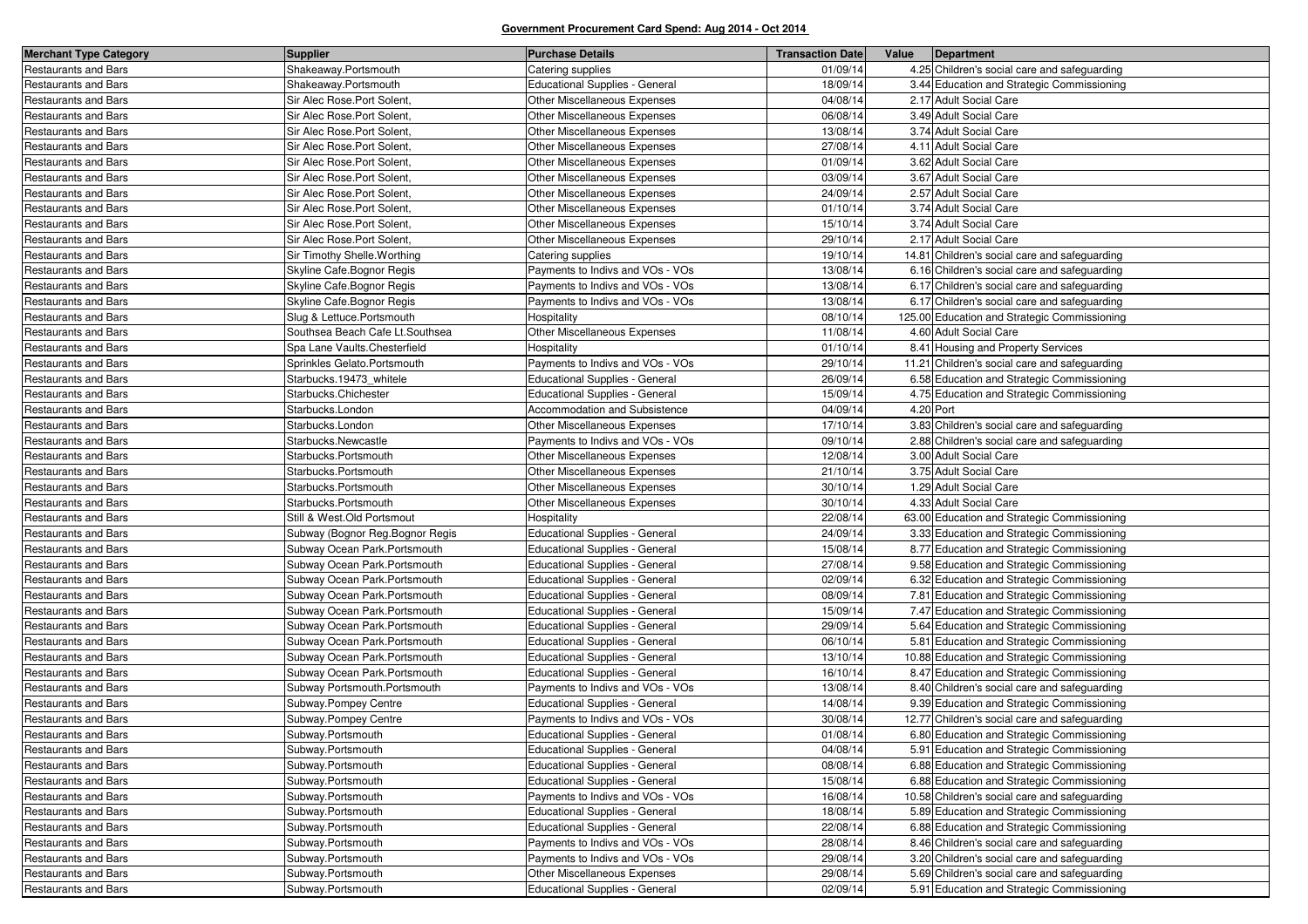| <b>Merchant Type Category</b> | <b>Supplier</b>                 | <b>Purchase Details</b>               | <b>Transaction Date</b> | Value     | Department                                    |
|-------------------------------|---------------------------------|---------------------------------------|-------------------------|-----------|-----------------------------------------------|
| Restaurants and Bars          | Shakeaway.Portsmouth            | Catering supplies                     | 01/09/14                |           | 4.25 Children's social care and safeguarding  |
| Restaurants and Bars          | Shakeaway.Portsmouth            | <b>Educational Supplies - General</b> | 18/09/14                |           | 3.44 Education and Strategic Commissioning    |
| <b>Restaurants and Bars</b>   | Sir Alec Rose.Port Solent,      | Other Miscellaneous Expenses          | 04/08/14                |           | 2.17 Adult Social Care                        |
| Restaurants and Bars          | Sir Alec Rose. Port Solent,     | Other Miscellaneous Expenses          | 06/08/14                |           | 3.49 Adult Social Care                        |
| Restaurants and Bars          | Sir Alec Rose.Port Solent,      | Other Miscellaneous Expenses          | 13/08/14                |           | 3.74 Adult Social Care                        |
| <b>Restaurants and Bars</b>   | Sir Alec Rose.Port Solent,      | <b>Other Miscellaneous Expenses</b>   | 27/08/14                |           | 4.11 Adult Social Care                        |
| Restaurants and Bars          | Sir Alec Rose.Port Solent,      | Other Miscellaneous Expenses          | 01/09/14                |           | 3.62 Adult Social Care                        |
| Restaurants and Bars          | Sir Alec Rose.Port Solent,      | Other Miscellaneous Expenses          | 03/09/14                |           | 3.67 Adult Social Care                        |
| <b>Restaurants and Bars</b>   | Sir Alec Rose.Port Solent,      | <b>Other Miscellaneous Expenses</b>   | 24/09/14                |           | 2.57 Adult Social Care                        |
| <b>Restaurants and Bars</b>   | Sir Alec Rose.Port Solent,      | Other Miscellaneous Expenses          | 01/10/14                |           | 3.74 Adult Social Care                        |
| Restaurants and Bars          | Sir Alec Rose.Port Solent,      | Other Miscellaneous Expenses          | 15/10/14                |           | 3.74 Adult Social Care                        |
| Restaurants and Bars          | Sir Alec Rose.Port Solent,      | Other Miscellaneous Expenses          | 29/10/14                |           | 2.17 Adult Social Care                        |
| Restaurants and Bars          | Sir Timothy Shelle. Worthing    | Catering supplies                     | 19/10/14                |           | 14.81 Children's social care and safeguarding |
| Restaurants and Bars          | Skyline Cafe.Bognor Regis       | Payments to Indivs and VOs - VOs      | 13/08/14                |           | 6.16 Children's social care and safeguarding  |
| Restaurants and Bars          | Skyline Cafe Bognor Regis       | Payments to Indivs and VOs - VOs      | 13/08/14                |           | 6.17 Children's social care and safeguarding  |
| Restaurants and Bars          | Skyline Cafe.Bognor Regis       | Payments to Indivs and VOs - VOs      | 13/08/14                |           | 6.17 Children's social care and safeguarding  |
| Restaurants and Bars          | Slug & Lettuce.Portsmouth       | Hospitality                           | 08/10/14                |           | 125.00 Education and Strategic Commissioning  |
| Restaurants and Bars          | Southsea Beach Cafe Lt.Southsea | Other Miscellaneous Expenses          | 11/08/14                |           | 4.60 Adult Social Care                        |
| Restaurants and Bars          | Spa Lane Vaults. Chesterfield   | Hospitality                           | 01/10/14                |           | 8.41 Housing and Property Services            |
| Restaurants and Bars          | Sprinkles Gelato.Portsmouth     | Payments to Indivs and VOs - VOs      | 29/10/14                |           | 11.21 Children's social care and safeguarding |
| Restaurants and Bars          | Starbucks.19473_whitele         | Educational Supplies - General        | 26/09/14                |           | 6.58 Education and Strategic Commissioning    |
| Restaurants and Bars          | Starbucks.Chichester            | <b>Educational Supplies - General</b> | 15/09/14                |           | 4.75 Education and Strategic Commissioning    |
| Restaurants and Bars          | Starbucks.London                | Accommodation and Subsistence         | 04/09/14                | 4.20 Port |                                               |
| Restaurants and Bars          | Starbucks.London                | Other Miscellaneous Expenses          | 17/10/14                |           | 3.83 Children's social care and safeguarding  |
| Restaurants and Bars          | Starbucks.Newcastle             | Payments to Indivs and VOs - VOs      | 09/10/14                |           | 2.88 Children's social care and safeguarding  |
| Restaurants and Bars          | Starbucks.Portsmouth            | Other Miscellaneous Expenses          | 12/08/14                |           | 3.00 Adult Social Care                        |
| Restaurants and Bars          | Starbucks.Portsmouth            | Other Miscellaneous Expenses          | 21/10/14                |           | 3.75 Adult Social Care                        |
| Restaurants and Bars          | Starbucks.Portsmouth            | <b>Other Miscellaneous Expenses</b>   | 30/10/14                |           | 1.29 Adult Social Care                        |
| Restaurants and Bars          | Starbucks.Portsmouth            | Other Miscellaneous Expenses          | 30/10/14                |           | 4.33 Adult Social Care                        |
| Restaurants and Bars          | Still & West.Old Portsmout      | Hospitality                           | 22/08/14                |           | 63.00 Education and Strategic Commissioning   |
| <b>Restaurants and Bars</b>   | Subway (Bognor Reg.Bognor Regis | <b>Educational Supplies - General</b> | 24/09/14                |           | 3.33 Education and Strategic Commissioning    |
| Restaurants and Bars          | Subway Ocean Park.Portsmouth    | Educational Supplies - General        | 15/08/14                |           | 8.77 Education and Strategic Commissioning    |
| Restaurants and Bars          | Subway Ocean Park.Portsmouth    | <b>Educational Supplies - General</b> | 27/08/14                |           | 9.58 Education and Strategic Commissioning    |
| Restaurants and Bars          | Subway Ocean Park.Portsmouth    | <b>Educational Supplies - General</b> | 02/09/14                |           | 6.32 Education and Strategic Commissioning    |
| Restaurants and Bars          | Subway Ocean Park. Portsmouth   | <b>Educational Supplies - General</b> | 08/09/14                |           | 7.81 Education and Strategic Commissioning    |
| <b>Restaurants and Bars</b>   | Subway Ocean Park. Portsmouth   | <b>Educational Supplies - General</b> | 15/09/14                |           | 7.47 Education and Strategic Commissioning    |
| Restaurants and Bars          | Subway Ocean Park. Portsmouth   | <b>Educational Supplies - General</b> | 29/09/14                |           | 5.64 Education and Strategic Commissioning    |
| Restaurants and Bars          | Subway Ocean Park. Portsmouth   | <b>Educational Supplies - General</b> | 06/10/14                |           | 5.81 Education and Strategic Commissioning    |
| Restaurants and Bars          | Subway Ocean Park. Portsmouth   | <b>Educational Supplies - General</b> | 13/10/14                |           | 10.88 Education and Strategic Commissioning   |
| Restaurants and Bars          | Subway Ocean Park. Portsmouth   | <b>Educational Supplies - General</b> | 16/10/14                |           | 8.47 Education and Strategic Commissioning    |
| <b>Restaurants and Bars</b>   | Subway Portsmouth.Portsmouth    | Payments to Indivs and VOs - VOs      | 13/08/14                |           | 8.40 Children's social care and safeguarding  |
| Restaurants and Bars          | Subway.Pompey Centre            | <b>Educational Supplies - General</b> | 14/08/14                |           | 9.39 Education and Strategic Commissioning    |
| <b>Restaurants and Bars</b>   | Subway.Pompey Centre            | Payments to Indivs and VOs - VOs      | 30/08/14                |           | 12.77 Children's social care and safeguarding |
| <b>Restaurants and Bars</b>   | Subway.Portsmouth               | <b>Educational Supplies - General</b> | 01/08/14                |           | 6.80 Education and Strategic Commissioning    |
| <b>Restaurants and Bars</b>   | Subway.Portsmouth               | Educational Supplies - General        | 04/08/14                |           | 5.91 Education and Strategic Commissioning    |
| <b>Restaurants and Bars</b>   | Subway.Portsmouth               | <b>Educational Supplies - General</b> | 08/08/14                |           | 6.88 Education and Strategic Commissioning    |
| Restaurants and Bars          | Subway.Portsmouth               | Educational Supplies - General        | 15/08/14                |           | 6.88 Education and Strategic Commissioning    |
| <b>Restaurants and Bars</b>   | Subway.Portsmouth               | Payments to Indivs and VOs - VOs      | 16/08/14                |           | 10.58 Children's social care and safeguarding |
| Restaurants and Bars          | Subway.Portsmouth               | <b>Educational Supplies - General</b> | 18/08/14                |           | 5.89 Education and Strategic Commissioning    |
| Restaurants and Bars          | Subway.Portsmouth               | Educational Supplies - General        | 22/08/14                |           | 6.88 Education and Strategic Commissioning    |
| Restaurants and Bars          | Subway.Portsmouth               | Payments to Indivs and VOs - VOs      | 28/08/14                |           | 8.46 Children's social care and safeguarding  |
| <b>Restaurants and Bars</b>   | Subway.Portsmouth               | Payments to Indivs and VOs - VOs      | 29/08/14                |           | 3.20 Children's social care and safeguarding  |
| Restaurants and Bars          | Subway.Portsmouth               | Other Miscellaneous Expenses          | 29/08/14                |           | 5.69 Children's social care and safeguarding  |
| <b>Restaurants and Bars</b>   | Subway.Portsmouth               | <b>Educational Supplies - General</b> | 02/09/14                |           | 5.91 Education and Strategic Commissioning    |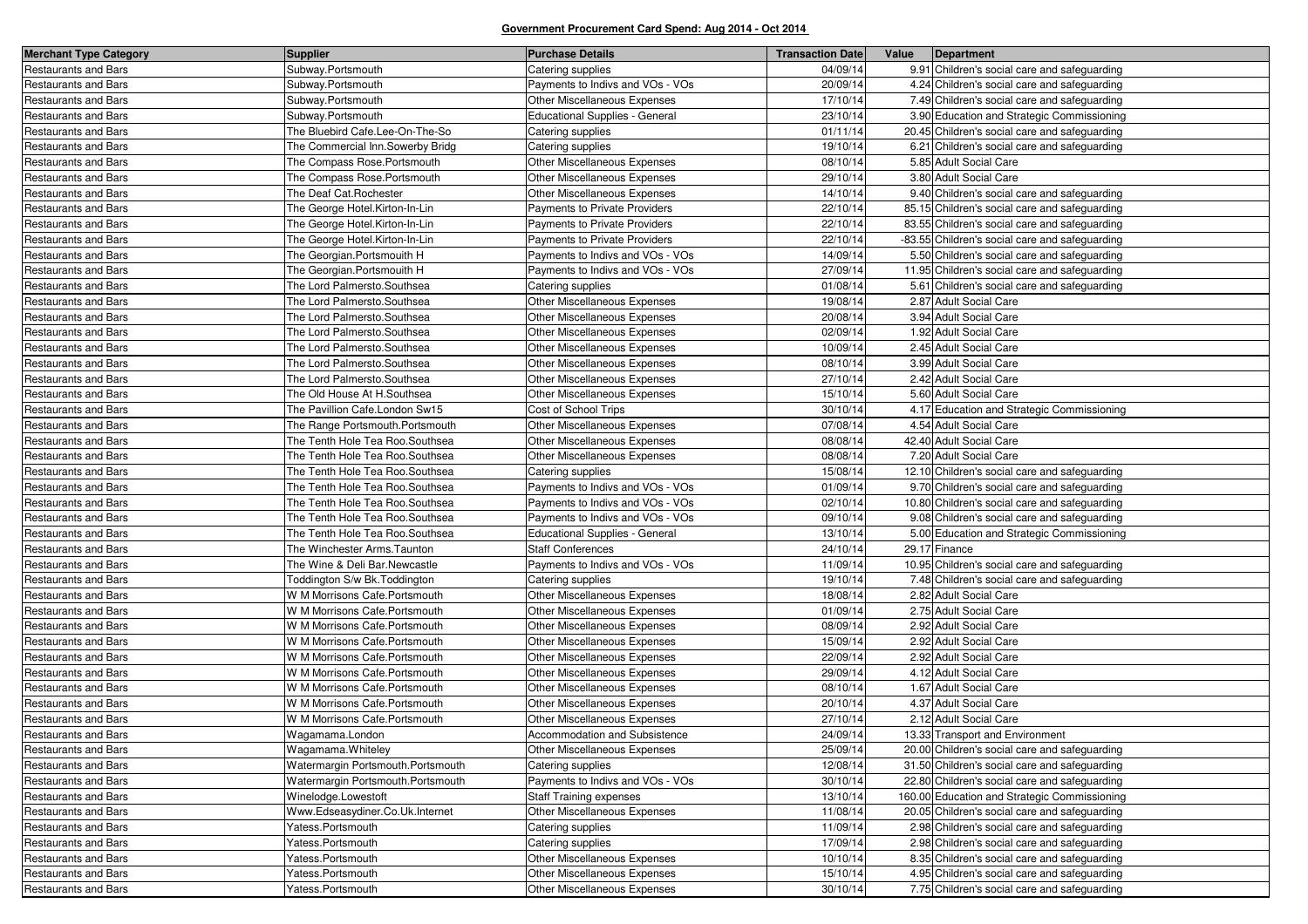| <b>Merchant Type Category</b> | <b>Supplier</b>                   | <b>Purchase Details</b>               | <b>Transaction Date</b> | Value | Department                                     |
|-------------------------------|-----------------------------------|---------------------------------------|-------------------------|-------|------------------------------------------------|
| Restaurants and Bars          | Subway.Portsmouth                 | Catering supplies                     | 04/09/14                |       | 9.91 Children's social care and safeguarding   |
| <b>Restaurants and Bars</b>   | Subway.Portsmouth                 | Payments to Indivs and VOs - VOs      | 20/09/14                |       | 4.24 Children's social care and safeguarding   |
| Restaurants and Bars          | Subway.Portsmouth                 | Other Miscellaneous Expenses          | 17/10/14                |       | 7.49 Children's social care and safeguarding   |
| Restaurants and Bars          | Subway.Portsmouth                 | <b>Educational Supplies - General</b> | 23/10/14                |       | 3.90 Education and Strategic Commissioning     |
| <b>Restaurants and Bars</b>   | The Bluebird Cafe.Lee-On-The-So   | Catering supplies                     | 01/11/14                |       | 20.45 Children's social care and safeguarding  |
| Restaurants and Bars          | The Commercial Inn.Sowerby Bridg  | Catering supplies                     | 19/10/14                |       | 6.21 Children's social care and safeguarding   |
| Restaurants and Bars          | The Compass Rose.Portsmouth       | Other Miscellaneous Expenses          | 08/10/14                |       | 5.85 Adult Social Care                         |
| <b>Restaurants and Bars</b>   | The Compass Rose.Portsmouth       | <b>Other Miscellaneous Expenses</b>   | 29/10/14                |       | 3.80 Adult Social Care                         |
| Restaurants and Bars          | The Deaf Cat.Rochester            | <b>Other Miscellaneous Expenses</b>   | 14/10/14                |       | 9.40 Children's social care and safeguarding   |
| Restaurants and Bars          | The George Hotel.Kirton-In-Lin    | Payments to Private Providers         | 22/10/14                |       | 85.15 Children's social care and safeguarding  |
| <b>Restaurants and Bars</b>   | The George Hotel.Kirton-In-Lin    | Payments to Private Providers         | 22/10/14                |       | 83.55 Children's social care and safeguarding  |
| Restaurants and Bars          | The George Hotel.Kirton-In-Lin    | Payments to Private Providers         | 22/10/14                |       | -83.55 Children's social care and safeguarding |
| Restaurants and Bars          | The Georgian. Portsmouith H       | Payments to Indivs and VOs - VOs      | 14/09/14                |       | 5.50 Children's social care and safeguarding   |
| <b>Restaurants and Bars</b>   | The Georgian. Portsmouith H       | Payments to Indivs and VOs - VOs      | 27/09/14                |       | 11.95 Children's social care and safeguarding  |
| <b>Restaurants and Bars</b>   | The Lord Palmersto.Southsea       | Catering supplies                     | 01/08/14                |       | 5.61 Children's social care and safeguarding   |
| Restaurants and Bars          | The Lord Palmersto.Southsea       | Other Miscellaneous Expenses          | 19/08/14                |       | 2.87 Adult Social Care                         |
| <b>Restaurants and Bars</b>   | The Lord Palmersto.Southsea       | Other Miscellaneous Expenses          | 20/08/14                |       | 3.94 Adult Social Care                         |
| <b>Restaurants and Bars</b>   | The Lord Palmersto.Southsea       | Other Miscellaneous Expenses          | 02/09/14                |       | 1.92 Adult Social Care                         |
| Restaurants and Bars          | The Lord Palmersto.Southsea       | Other Miscellaneous Expenses          | 10/09/14                |       | 2.45 Adult Social Care                         |
| <b>Restaurants and Bars</b>   | The Lord Palmersto.Southsea       | Other Miscellaneous Expenses          | 08/10/14                |       | 3.99 Adult Social Care                         |
| <b>Restaurants and Bars</b>   | The Lord Palmersto.Southsea       | Other Miscellaneous Expenses          | 27/10/14                |       | 2.42 Adult Social Care                         |
| Restaurants and Bars          | The Old House At H.Southsea       | Other Miscellaneous Expenses          | 15/10/14                |       | 5.60 Adult Social Care                         |
| <b>Restaurants and Bars</b>   | The Pavillion Cafe.London Sw15    | Cost of School Trips                  | 30/10/14                |       | 4.17 Education and Strategic Commissioning     |
| <b>Restaurants and Bars</b>   | The Range Portsmouth.Portsmouth   | Other Miscellaneous Expenses          | 07/08/14                |       | 4.54 Adult Social Care                         |
| Restaurants and Bars          | The Tenth Hole Tea Roo.Southsea   | Other Miscellaneous Expenses          | 08/08/14                |       | 42.40 Adult Social Care                        |
| <b>Restaurants and Bars</b>   | The Tenth Hole Tea Roo.Southsea   | Other Miscellaneous Expenses          | 08/08/14                |       | 7.20 Adult Social Care                         |
| <b>Restaurants and Bars</b>   | The Tenth Hole Tea Roo.Southsea   | Catering supplies                     | 15/08/14                |       | 12.10 Children's social care and safeguarding  |
| Restaurants and Bars          | The Tenth Hole Tea Roo.Southsea   | Payments to Indivs and VOs - VOs      | 01/09/14                |       | 9.70 Children's social care and safeguarding   |
| <b>Restaurants and Bars</b>   | The Tenth Hole Tea Roo.Southsea   | Payments to Indivs and VOs - VOs      | 02/10/14                |       | 10.80 Children's social care and safeguarding  |
| <b>Restaurants and Bars</b>   | The Tenth Hole Tea Roo.Southsea   | Payments to Indivs and VOs - VOs      | 09/10/14                |       | 9.08 Children's social care and safeguarding   |
| Restaurants and Bars          | The Tenth Hole Tea Roo.Southsea   | <b>Educational Supplies - General</b> | 13/10/14                |       | 5.00 Education and Strategic Commissioning     |
| <b>Restaurants and Bars</b>   | The Winchester Arms. Taunton      | <b>Staff Conferences</b>              | 24/10/14                |       | 29.17 Finance                                  |
| Restaurants and Bars          | The Wine & Deli Bar.Newcastle     | Payments to Indivs and VOs - VOs      | 11/09/14                |       | 10.95 Children's social care and safeguarding  |
| <b>Restaurants and Bars</b>   | Toddington S/w Bk. Toddington     | Catering supplies                     | 19/10/14                |       | 7.48 Children's social care and safeguarding   |
| <b>Restaurants and Bars</b>   | W M Morrisons Cafe.Portsmouth     | Other Miscellaneous Expenses          | 18/08/14                |       | 2.82 Adult Social Care                         |
| Restaurants and Bars          | W M Morrisons Cafe.Portsmouth     | Other Miscellaneous Expenses          | 01/09/14                |       | 2.75 Adult Social Care                         |
| <b>Restaurants and Bars</b>   | W M Morrisons Cafe.Portsmouth     | Other Miscellaneous Expenses          | 08/09/14                |       | 2.92 Adult Social Care                         |
| <b>Restaurants and Bars</b>   | W M Morrisons Cafe.Portsmouth     | Other Miscellaneous Expenses          | 15/09/14                |       | 2.92 Adult Social Care                         |
| Restaurants and Bars          | W M Morrisons Cafe.Portsmouth     | Other Miscellaneous Expenses          | 22/09/14                |       | 2.92 Adult Social Care                         |
| Restaurants and Bars          | W M Morrisons Cafe.Portsmouth     | Other Miscellaneous Expenses          | 29/09/14                |       | 4.12 Adult Social Care                         |
| <b>Restaurants and Bars</b>   | W M Morrisons Cafe.Portsmouth     | Other Miscellaneous Expenses          | 08/10/14                |       | 1.67 Adult Social Care                         |
| Restaurants and Bars          | W M Morrisons Cafe.Portsmouth     | Other Miscellaneous Expenses          | 20/10/14                |       | 4.37 Adult Social Care                         |
| Restaurants and Bars          | W M Morrisons Cafe.Portsmouth     | <b>Other Miscellaneous Expenses</b>   | 27/10/14                |       | 2.12 Adult Social Care                         |
| <b>Restaurants and Bars</b>   | Wagamama.London                   | Accommodation and Subsistence         | 24/09/14                |       | 13.33 Transport and Environment                |
| Restaurants and Bars          | Wagamama.Whiteley                 | Other Miscellaneous Expenses          | 25/09/14                |       | 20.00 Children's social care and safeguarding  |
| Restaurants and Bars          | Watermargin Portsmouth.Portsmouth | Catering supplies                     | 12/08/14                |       | 31.50 Children's social care and safeguarding  |
| Restaurants and Bars          | Watermargin Portsmouth.Portsmouth | Payments to Indivs and VOs - VOs      | 30/10/14                |       | 22.80 Children's social care and safeguarding  |
| Restaurants and Bars          | Winelodge.Lowestoft               | <b>Staff Training expenses</b>        | 13/10/14                |       | 160.00 Education and Strategic Commissioning   |
| <b>Restaurants and Bars</b>   | Www.Edseasydiner.Co.Uk.Internet   | Other Miscellaneous Expenses          | 11/08/14                |       | 20.05 Children's social care and safeguarding  |
| Restaurants and Bars          | Yatess.Portsmouth                 | Catering supplies                     | 11/09/14                |       | 2.98 Children's social care and safeguarding   |
| Restaurants and Bars          | Yatess.Portsmouth                 | Catering supplies                     | 17/09/14                |       | 2.98 Children's social care and safeguarding   |
| <b>Restaurants and Bars</b>   | Yatess.Portsmouth                 | Other Miscellaneous Expenses          | 10/10/14                |       | 8.35 Children's social care and safeguarding   |
| <b>Restaurants and Bars</b>   | Yatess.Portsmouth                 | Other Miscellaneous Expenses          | 15/10/14                |       | 4.95 Children's social care and safeguarding   |
| Restaurants and Bars          | Yatess.Portsmouth                 | Other Miscellaneous Expenses          | 30/10/14                |       | 7.75 Children's social care and safeguarding   |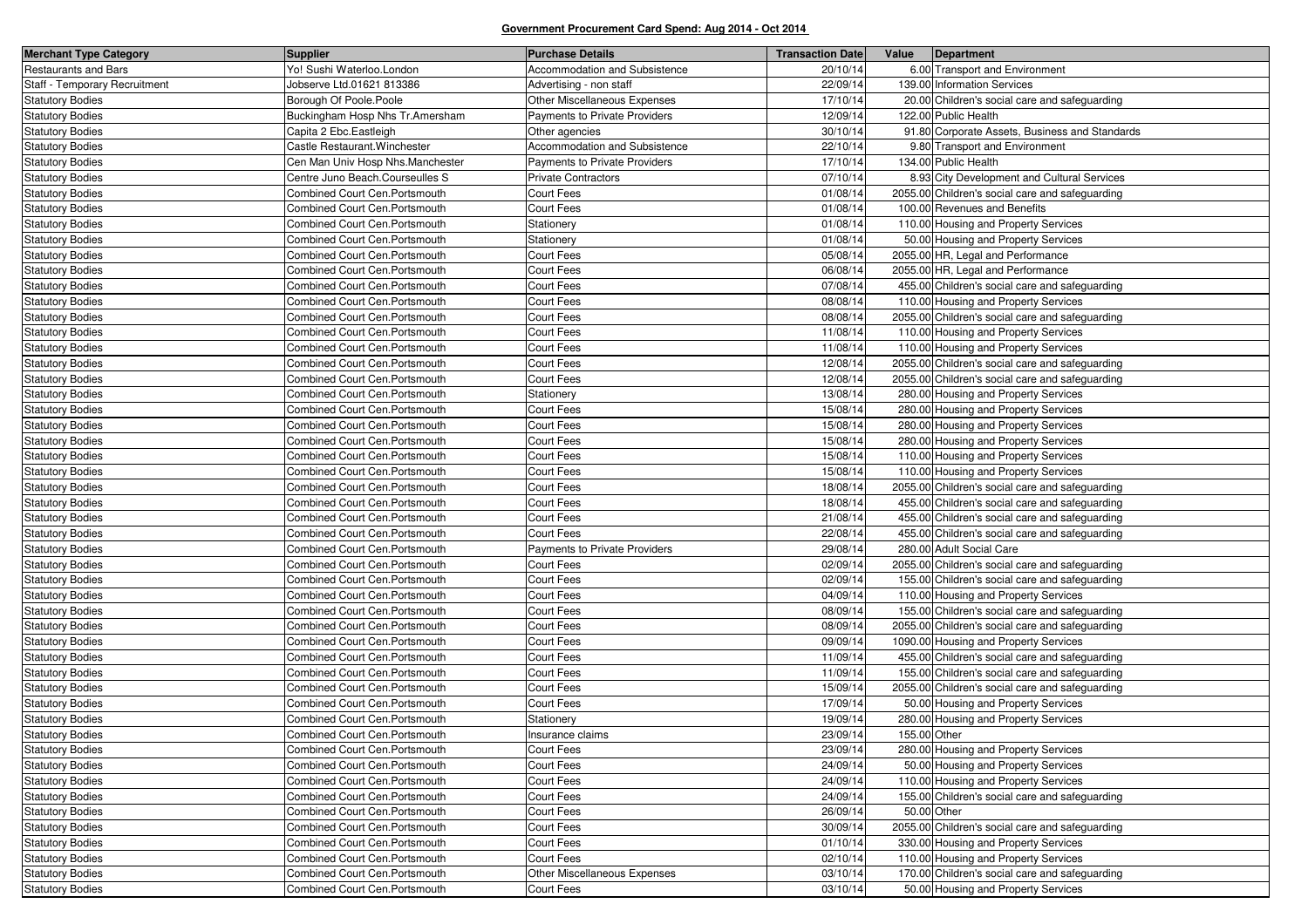| <b>Merchant Type Category</b> | <b>Supplier</b>                  | <b>Purchase Details</b>              | <b>Transaction Date</b> | Value        | Department                                      |
|-------------------------------|----------------------------------|--------------------------------------|-------------------------|--------------|-------------------------------------------------|
| <b>Restaurants and Bars</b>   | Yo! Sushi Waterloo.London        | Accommodation and Subsistence        | 20/10/14                |              | 6.00 Transport and Environment                  |
| Staff - Temporary Recruitment | Jobserve Ltd.01621 813386        | Advertising - non staff              | 22/09/14                |              | 139.00 Information Services                     |
| <b>Statutory Bodies</b>       | Borough Of Poole.Poole           | Other Miscellaneous Expenses         | 17/10/14                |              | 20.00 Children's social care and safeguarding   |
| <b>Statutory Bodies</b>       | Buckingham Hosp Nhs Tr.Amersham  | Payments to Private Providers        | 12/09/14                |              | 122.00 Public Health                            |
| <b>Statutory Bodies</b>       | Capita 2 Ebc.Eastleigh           | Other agencies                       | 30/10/14                |              | 91.80 Corporate Assets, Business and Standards  |
| <b>Statutory Bodies</b>       | Castle Restaurant. Winchester    | Accommodation and Subsistence        | 22/10/14                |              | 9.80 Transport and Environment                  |
| <b>Statutory Bodies</b>       | Cen Man Univ Hosp Nhs.Manchester | <b>Payments to Private Providers</b> | 17/10/14                |              | 134.00 Public Health                            |
| <b>Statutory Bodies</b>       | Centre Juno Beach.Courseulles S  | <b>Private Contractors</b>           | 07/10/14                |              | 8.93 City Development and Cultural Services     |
| <b>Statutory Bodies</b>       | Combined Court Cen.Portsmouth    | Court Fees                           | 01/08/14                |              | 2055.00 Children's social care and safeguarding |
| <b>Statutory Bodies</b>       | Combined Court Cen.Portsmouth    | Court Fees                           | 01/08/14                |              | 100.00 Revenues and Benefits                    |
| <b>Statutory Bodies</b>       | Combined Court Cen.Portsmouth    | Stationery                           | 01/08/14                |              | 110.00 Housing and Property Services            |
| <b>Statutory Bodies</b>       | Combined Court Cen.Portsmouth    | Stationery                           | 01/08/14                |              | 50.00 Housing and Property Services             |
| <b>Statutory Bodies</b>       | Combined Court Cen.Portsmouth    | Court Fees                           | 05/08/14                |              | 2055.00 HR, Legal and Performance               |
| <b>Statutory Bodies</b>       | Combined Court Cen.Portsmouth    | Court Fees                           | 06/08/14                |              | 2055.00 HR, Legal and Performance               |
| <b>Statutory Bodies</b>       | Combined Court Cen.Portsmouth    | Court Fees                           | 07/08/14                |              | 455.00 Children's social care and safeguarding  |
| <b>Statutory Bodies</b>       | Combined Court Cen.Portsmouth    | Court Fees                           | 08/08/14                |              | 110.00 Housing and Property Services            |
| <b>Statutory Bodies</b>       | Combined Court Cen.Portsmouth    | Court Fees                           | 08/08/14                |              | 2055.00 Children's social care and safeguarding |
| <b>Statutory Bodies</b>       | Combined Court Cen.Portsmouth    | Court Fees                           | 11/08/14                |              | 110.00 Housing and Property Services            |
| <b>Statutory Bodies</b>       | Combined Court Cen.Portsmouth    | Court Fees                           | 11/08/14                |              | 110.00 Housing and Property Services            |
| <b>Statutory Bodies</b>       | Combined Court Cen.Portsmouth    | Court Fees                           | 12/08/14                |              | 2055.00 Children's social care and safeguarding |
| <b>Statutory Bodies</b>       | Combined Court Cen.Portsmouth    | Court Fees                           | 12/08/14                |              | 2055.00 Children's social care and safeguarding |
| <b>Statutory Bodies</b>       | Combined Court Cen.Portsmouth    | Stationery                           | 13/08/14                |              | 280.00 Housing and Property Services            |
| <b>Statutory Bodies</b>       | Combined Court Cen.Portsmouth    | Court Fees                           | 15/08/14                |              | 280.00 Housing and Property Services            |
| <b>Statutory Bodies</b>       | Combined Court Cen.Portsmouth    | Court Fees                           | 15/08/14                |              | 280.00 Housing and Property Services            |
| <b>Statutory Bodies</b>       | Combined Court Cen.Portsmouth    | Court Fees                           | 15/08/14                |              | 280.00 Housing and Property Services            |
| <b>Statutory Bodies</b>       | Combined Court Cen.Portsmouth    | Court Fees                           | 15/08/14                |              | 110.00 Housing and Property Services            |
| <b>Statutory Bodies</b>       | Combined Court Cen.Portsmouth    | Court Fees                           | 15/08/14                |              | 110.00 Housing and Property Services            |
| <b>Statutory Bodies</b>       | Combined Court Cen.Portsmouth    | Court Fees                           | 18/08/14                |              | 2055.00 Children's social care and safeguarding |
| <b>Statutory Bodies</b>       | Combined Court Cen.Portsmouth    | Court Fees                           | 18/08/14                |              | 455.00 Children's social care and safeguarding  |
| <b>Statutory Bodies</b>       | Combined Court Cen.Portsmouth    | Court Fees                           | 21/08/14                |              | 455.00 Children's social care and safeguarding  |
| <b>Statutory Bodies</b>       | Combined Court Cen.Portsmouth    | Court Fees                           | 22/08/14                |              | 455.00 Children's social care and safeguarding  |
| <b>Statutory Bodies</b>       | Combined Court Cen.Portsmouth    | Payments to Private Providers        | 29/08/14                |              | 280.00 Adult Social Care                        |
| <b>Statutory Bodies</b>       | Combined Court Cen.Portsmouth    | Court Fees                           | 02/09/14                |              | 2055.00 Children's social care and safeguarding |
| <b>Statutory Bodies</b>       | Combined Court Cen.Portsmouth    | Court Fees                           | 02/09/14                |              | 155.00 Children's social care and safeguarding  |
| <b>Statutory Bodies</b>       | Combined Court Cen.Portsmouth    | Court Fees                           | 04/09/14                |              | 110.00 Housing and Property Services            |
| <b>Statutory Bodies</b>       | Combined Court Cen.Portsmouth    | Court Fees                           | 08/09/14                |              | 155.00 Children's social care and safeguarding  |
| <b>Statutory Bodies</b>       | Combined Court Cen.Portsmouth    | Court Fees                           | 08/09/14                |              | 2055.00 Children's social care and safeguarding |
| <b>Statutory Bodies</b>       | Combined Court Cen.Portsmouth    | Court Fees                           | 09/09/14                |              | 1090.00 Housing and Property Services           |
| <b>Statutory Bodies</b>       | Combined Court Cen.Portsmouth    | Court Fees                           | 11/09/14                |              | 455.00 Children's social care and safeguarding  |
| <b>Statutory Bodies</b>       | Combined Court Cen.Portsmouth    | Court Fees                           | 11/09/14                |              | 155.00 Children's social care and safeguarding  |
| <b>Statutory Bodies</b>       | Combined Court Cen.Portsmouth    | Court Fees                           | 15/09/14                |              | 2055.00 Children's social care and safeguarding |
| <b>Statutory Bodies</b>       | Combined Court Cen.Portsmouth    | Court Fees                           | 17/09/14                |              | 50.00 Housing and Property Services             |
| <b>Statutory Bodies</b>       | Combined Court Cen.Portsmouth    | Stationery                           | 19/09/14                |              | 280.00 Housing and Property Services            |
| Statutory Bodies              | Combined Court Cen.Portsmouth    | Insurance claims                     | 23/09/14                | 155.00 Other |                                                 |
| <b>Statutory Bodies</b>       | Combined Court Cen. Portsmouth   | <b>Court Fees</b>                    | 23/09/14                |              | 280.00 Housing and Property Services            |
| <b>Statutory Bodies</b>       | Combined Court Cen.Portsmouth    | Court Fees                           | 24/09/14                |              | 50.00 Housing and Property Services             |
| <b>Statutory Bodies</b>       | Combined Court Cen.Portsmouth    | Court Fees                           | 24/09/14                |              | 110.00 Housing and Property Services            |
| <b>Statutory Bodies</b>       | Combined Court Cen.Portsmouth    | Court Fees                           | 24/09/14                |              | 155.00 Children's social care and safeguarding  |
| <b>Statutory Bodies</b>       | Combined Court Cen.Portsmouth    | Court Fees                           | 26/09/14                | 50.00 Other  |                                                 |
| <b>Statutory Bodies</b>       | Combined Court Cen.Portsmouth    | Court Fees                           | 30/09/14                |              | 2055.00 Children's social care and safeguarding |
| <b>Statutory Bodies</b>       | Combined Court Cen.Portsmouth    | Court Fees                           | 01/10/14                |              | 330.00 Housing and Property Services            |
| <b>Statutory Bodies</b>       | Combined Court Cen.Portsmouth    | Court Fees                           | 02/10/14                |              | 110.00 Housing and Property Services            |
| <b>Statutory Bodies</b>       | Combined Court Cen.Portsmouth    | Other Miscellaneous Expenses         | 03/10/14                |              | 170.00 Children's social care and safeguarding  |
| <b>Statutory Bodies</b>       | Combined Court Cen.Portsmouth    | Court Fees                           | 03/10/14                |              | 50.00 Housing and Property Services             |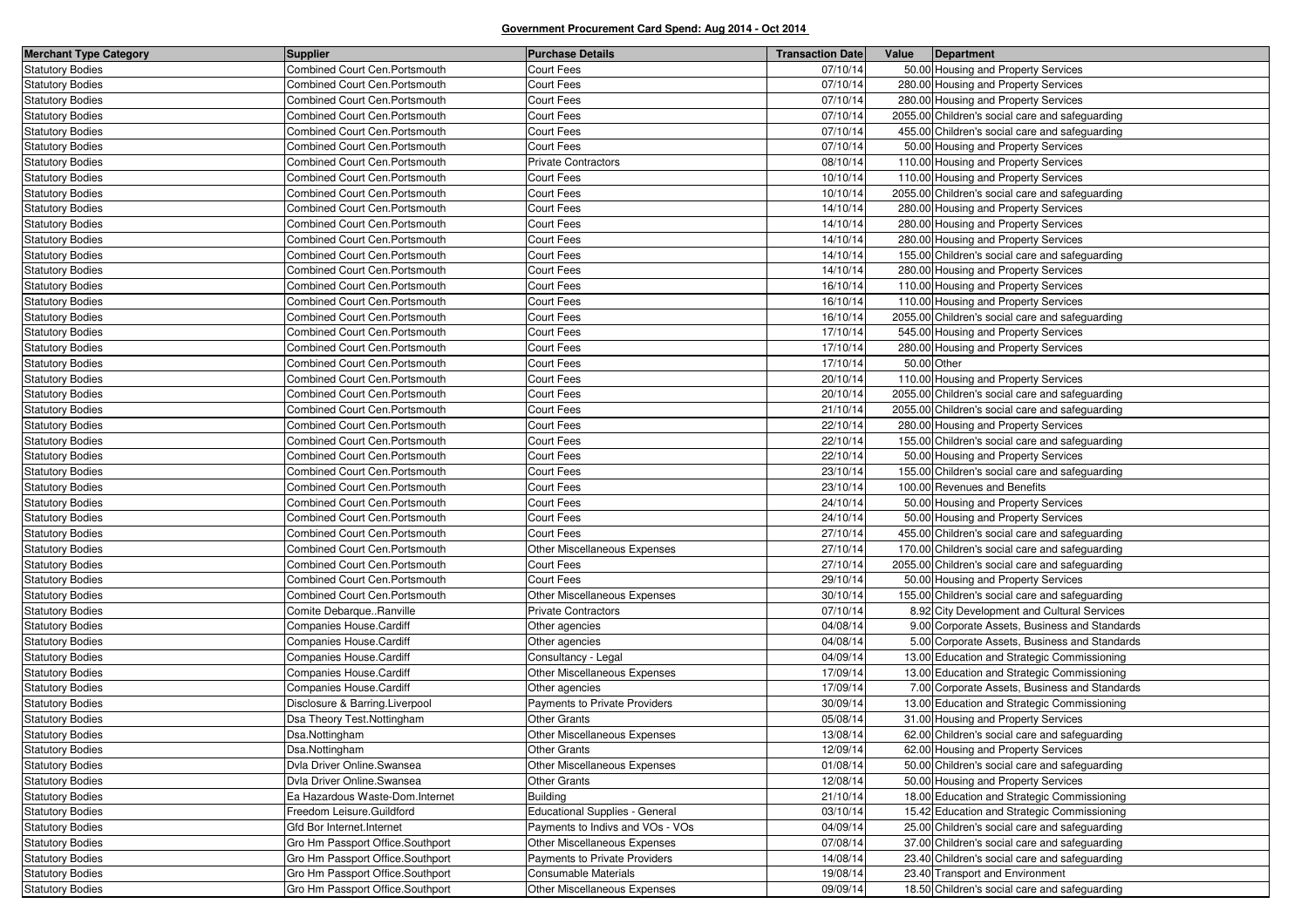| <b>Merchant Type Category</b> | Supplier                         | <b>Purchase Details</b>               | <b>Transaction Date</b> | Value       | Department                                      |
|-------------------------------|----------------------------------|---------------------------------------|-------------------------|-------------|-------------------------------------------------|
| <b>Statutory Bodies</b>       | Combined Court Cen.Portsmouth    | Court Fees                            | 07/10/14                |             | 50.00 Housing and Property Services             |
| <b>Statutory Bodies</b>       | Combined Court Cen.Portsmouth    | Court Fees                            | 07/10/14                |             | 280.00 Housing and Property Services            |
| <b>Statutory Bodies</b>       | Combined Court Cen. Portsmouth   | Court Fees                            | 07/10/14                |             | 280.00 Housing and Property Services            |
| <b>Statutory Bodies</b>       | Combined Court Cen. Portsmouth   | Court Fees                            | 07/10/14                |             | 2055.00 Children's social care and safeguarding |
| <b>Statutory Bodies</b>       | Combined Court Cen.Portsmouth    | Court Fees                            | 07/10/14                |             | 455.00 Children's social care and safeguarding  |
| <b>Statutory Bodies</b>       | Combined Court Cen.Portsmouth    | Court Fees                            | 07/10/14                |             | 50.00 Housing and Property Services             |
| <b>Statutory Bodies</b>       | Combined Court Cen. Portsmouth   | <b>Private Contractors</b>            | 08/10/14                |             | 110.00 Housing and Property Services            |
| <b>Statutory Bodies</b>       | Combined Court Cen. Portsmouth   | Court Fees                            | 10/10/14                |             | 110.00 Housing and Property Services            |
| <b>Statutory Bodies</b>       | Combined Court Cen.Portsmouth    | Court Fees                            | 10/10/14                |             | 2055.00 Children's social care and safeguarding |
| <b>Statutory Bodies</b>       | Combined Court Cen. Portsmouth   | Court Fees                            | 14/10/14                |             | 280.00 Housing and Property Services            |
| <b>Statutory Bodies</b>       | Combined Court Cen. Portsmouth   | <b>Court Fees</b>                     | 14/10/14                |             | 280.00 Housing and Property Services            |
| <b>Statutory Bodies</b>       | Combined Court Cen.Portsmouth    | Court Fees                            | 14/10/14                |             | 280.00 Housing and Property Services            |
| <b>Statutory Bodies</b>       | Combined Court Cen. Portsmouth   | Court Fees                            | 14/10/14                |             | 155.00 Children's social care and safeguarding  |
| <b>Statutory Bodies</b>       | Combined Court Cen.Portsmouth    | Court Fees                            | 14/10/14                |             | 280.00 Housing and Property Services            |
| <b>Statutory Bodies</b>       | Combined Court Cen. Portsmouth   | Court Fees                            | 16/10/14                |             | 110.00 Housing and Property Services            |
| <b>Statutory Bodies</b>       | Combined Court Cen. Portsmouth   | Court Fees                            | 16/10/14                |             | 110.00 Housing and Property Services            |
| <b>Statutory Bodies</b>       | Combined Court Cen.Portsmouth    | Court Fees                            | 16/10/14                |             | 2055.00 Children's social care and safeguarding |
| <b>Statutory Bodies</b>       | Combined Court Cen.Portsmouth    | Court Fees                            | 17/10/14                |             | 545.00 Housing and Property Services            |
| <b>Statutory Bodies</b>       | Combined Court Cen. Portsmouth   | Court Fees                            | 17/10/14                |             | 280.00 Housing and Property Services            |
| <b>Statutory Bodies</b>       | Combined Court Cen.Portsmouth    | Court Fees                            | 17/10/14                | 50.00 Other |                                                 |
| <b>Statutory Bodies</b>       | Combined Court Cen. Portsmouth   | Court Fees                            | 20/10/14                |             | 110.00 Housing and Property Services            |
| <b>Statutory Bodies</b>       | Combined Court Cen. Portsmouth   | Court Fees                            | 20/10/14                |             | 2055.00 Children's social care and safeguarding |
| <b>Statutory Bodies</b>       | Combined Court Cen. Portsmouth   | Court Fees                            | 21/10/14                |             | 2055.00 Children's social care and safeguarding |
| <b>Statutory Bodies</b>       | Combined Court Cen.Portsmouth    | Court Fees                            | 22/10/14                |             | 280.00 Housing and Property Services            |
| <b>Statutory Bodies</b>       | Combined Court Cen.Portsmouth    | Court Fees                            | 22/10/14                |             | 155.00 Children's social care and safeguarding  |
| <b>Statutory Bodies</b>       | Combined Court Cen. Portsmouth   | Court Fees                            | 22/10/14                |             | 50.00 Housing and Property Services             |
| <b>Statutory Bodies</b>       | Combined Court Cen. Portsmouth   | Court Fees                            | 23/10/14                |             | 155.00 Children's social care and safeguarding  |
| <b>Statutory Bodies</b>       | Combined Court Cen.Portsmouth    | Court Fees                            | 23/10/14                |             | 100.00 Revenues and Benefits                    |
| <b>Statutory Bodies</b>       | Combined Court Cen. Portsmouth   | Court Fees                            | 24/10/14                |             | 50.00 Housing and Property Services             |
| <b>Statutory Bodies</b>       | Combined Court Cen.Portsmouth    | Court Fees                            | 24/10/14                |             | 50.00 Housing and Property Services             |
| <b>Statutory Bodies</b>       | Combined Court Cen. Portsmouth   | Court Fees                            | 27/10/14                |             | 455.00 Children's social care and safeguarding  |
| <b>Statutory Bodies</b>       | Combined Court Cen. Portsmouth   | Other Miscellaneous Expenses          | 27/10/14                |             | 170.00 Children's social care and safeguarding  |
| <b>Statutory Bodies</b>       | Combined Court Cen. Portsmouth   | Court Fees                            | 27/10/14                |             | 2055.00 Children's social care and safeguarding |
| <b>Statutory Bodies</b>       | Combined Court Cen. Portsmouth   | Court Fees                            | 29/10/14                |             | 50.00 Housing and Property Services             |
| <b>Statutory Bodies</b>       | Combined Court Cen. Portsmouth   | Other Miscellaneous Expenses          | 30/10/14                |             | 155.00 Children's social care and safeguarding  |
| <b>Statutory Bodies</b>       | Comite DebarqueRanville          | <b>Private Contractors</b>            | 07/10/14                |             | 8.92 City Development and Cultural Services     |
| <b>Statutory Bodies</b>       | Companies House Cardiff          | Other agencies                        | 04/08/14                |             | 9.00 Corporate Assets, Business and Standards   |
| <b>Statutory Bodies</b>       | Companies House.Cardiff          | Other agencies                        | 04/08/14                |             | 5.00 Corporate Assets, Business and Standards   |
| <b>Statutory Bodies</b>       | Companies House.Cardiff          | Consultancy - Legal                   | 04/09/14                |             | 13.00 Education and Strategic Commissioning     |
| <b>Statutory Bodies</b>       | Companies House Cardiff          | Other Miscellaneous Expenses          | 17/09/14                |             | 13.00 Education and Strategic Commissioning     |
| <b>Statutory Bodies</b>       | Companies House.Cardiff          | Other agencies                        | 17/09/14                |             | 7.00 Corporate Assets, Business and Standards   |
| <b>Statutory Bodies</b>       | Disclosure & Barring.Liverpool   | Payments to Private Providers         | 30/09/14                |             | 13.00 Education and Strategic Commissioning     |
| <b>Statutory Bodies</b>       | Dsa Theory Test.Nottingham       | <b>Other Grants</b>                   | 05/08/14                |             | 31.00 Housing and Property Services             |
| <b>Statutory Bodies</b>       | Dsa.Nottingham                   | Other Miscellaneous Expenses          | 13/08/14                |             | 62.00 Children's social care and safeguarding   |
| <b>Statutory Bodies</b>       | Dsa.Nottingham                   | <b>Other Grants</b>                   | 12/09/14                |             | 62.00 Housing and Property Services             |
| <b>Statutory Bodies</b>       | Dvla Driver Online.Swansea       | Other Miscellaneous Expenses          | 01/08/14                |             | 50.00 Children's social care and safeguarding   |
| <b>Statutory Bodies</b>       | Dvla Driver Online.Swansea       | Other Grants                          | 12/08/14                |             | 50.00 Housing and Property Services             |
| <b>Statutory Bodies</b>       | Ea Hazardous Waste-Dom.Internet  | <b>Building</b>                       | 21/10/14                |             | 18.00 Education and Strategic Commissioning     |
| <b>Statutory Bodies</b>       | Freedom Leisure.Guildford        | <b>Educational Supplies - General</b> | 03/10/14                |             | 15.42 Education and Strategic Commissioning     |
| <b>Statutory Bodies</b>       | Gfd Bor Internet.Internet        | Payments to Indivs and VOs - VOs      | 04/09/14                |             | 25.00 Children's social care and safeguarding   |
| <b>Statutory Bodies</b>       | Gro Hm Passport Office.Southport | Other Miscellaneous Expenses          | 07/08/14                |             | 37.00 Children's social care and safeguarding   |
| <b>Statutory Bodies</b>       | Gro Hm Passport Office.Southport | Payments to Private Providers         | 14/08/14                |             | 23.40 Children's social care and safeguarding   |
| <b>Statutory Bodies</b>       | Gro Hm Passport Office.Southport | Consumable Materials                  | 19/08/14                |             | 23.40 Transport and Environment                 |
| <b>Statutory Bodies</b>       | Gro Hm Passport Office.Southport | Other Miscellaneous Expenses          | 09/09/14                |             | 18.50 Children's social care and safeguarding   |
|                               |                                  |                                       |                         |             |                                                 |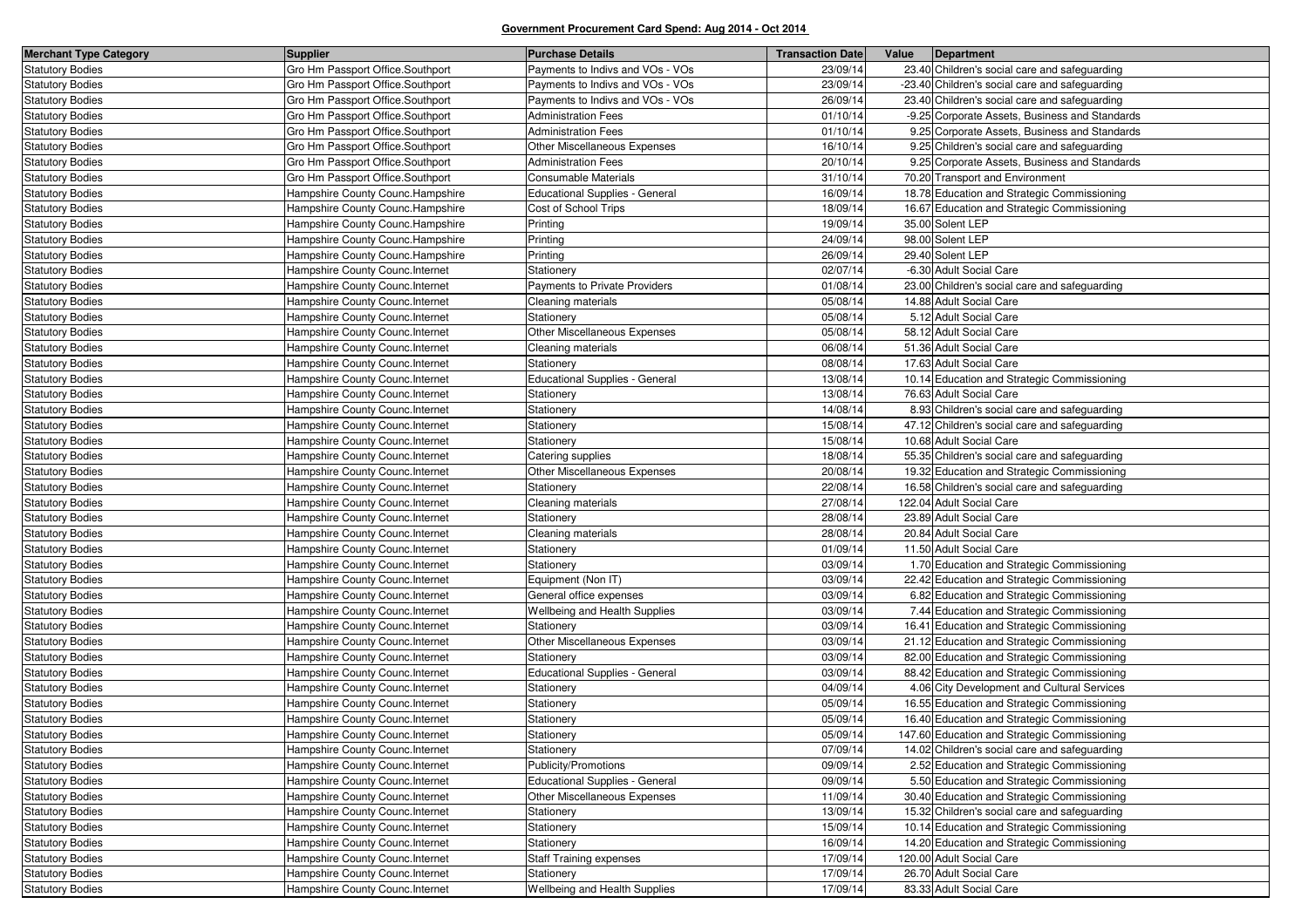| <b>Merchant Type Category</b> | <b>Supplier</b>                   | <b>Purchase Details</b>               | <b>Transaction Date</b> | Value<br>Department                            |
|-------------------------------|-----------------------------------|---------------------------------------|-------------------------|------------------------------------------------|
| <b>Statutory Bodies</b>       | Gro Hm Passport Office.Southport  | Payments to Indivs and VOs - VOs      | 23/09/14                | 23.40 Children's social care and safeguarding  |
| <b>Statutory Bodies</b>       | Gro Hm Passport Office.Southport  | Payments to Indivs and VOs - VOs      | 23/09/14                | -23.40 Children's social care and safeguarding |
| <b>Statutory Bodies</b>       | Gro Hm Passport Office.Southport  | Payments to Indivs and VOs - VOs      | 26/09/14                | 23.40 Children's social care and safeguarding  |
| <b>Statutory Bodies</b>       | Gro Hm Passport Office.Southport  | <b>Administration Fees</b>            | 01/10/14                | -9.25 Corporate Assets, Business and Standards |
| <b>Statutory Bodies</b>       | Gro Hm Passport Office.Southport  | <b>Administration Fees</b>            | 01/10/14                | 9.25 Corporate Assets, Business and Standards  |
| <b>Statutory Bodies</b>       | Gro Hm Passport Office.Southport  | <b>Other Miscellaneous Expenses</b>   | 16/10/14                | 9.25 Children's social care and safeguarding   |
| <b>Statutory Bodies</b>       | Gro Hm Passport Office.Southport  | <b>Administration Fees</b>            | 20/10/14                | 9.25 Corporate Assets, Business and Standards  |
| <b>Statutory Bodies</b>       | Gro Hm Passport Office.Southport  | <b>Consumable Materials</b>           | 31/10/14                | 70.20 Transport and Environment                |
| <b>Statutory Bodies</b>       | Hampshire County Counc.Hampshire  | <b>Educational Supplies - General</b> | 16/09/14                | 18.78 Education and Strategic Commissioning    |
| <b>Statutory Bodies</b>       | Hampshire County Counc.Hampshire  | Cost of School Trips                  | 18/09/14                | 16.67 Education and Strategic Commissioning    |
| <b>Statutory Bodies</b>       | Hampshire County Counc.Hampshire  | Printing                              | 19/09/14                | 35.00 Solent LEP                               |
| <b>Statutory Bodies</b>       | Hampshire County Counc.Hampshire  | Printing                              | 24/09/14                | 98.00 Solent LEP                               |
| <b>Statutory Bodies</b>       | Hampshire County Counc. Hampshire | Printing                              | 26/09/14                | 29.40 Solent LEP                               |
| <b>Statutory Bodies</b>       | Hampshire County Counc. Internet  | Stationery                            | 02/07/14                | -6.30 Adult Social Care                        |
| <b>Statutory Bodies</b>       | Hampshire County Counc.Internet   | Payments to Private Providers         | 01/08/14                | 23.00 Children's social care and safeguarding  |
| <b>Statutory Bodies</b>       | Hampshire County Counc. Internet  | Cleaning materials                    | 05/08/14                | 14.88 Adult Social Care                        |
| <b>Statutory Bodies</b>       | Hampshire County Counc. Internet  | Stationery                            | 05/08/14                | 5.12 Adult Social Care                         |
| <b>Statutory Bodies</b>       | Hampshire County Counc. Internet  | <b>Other Miscellaneous Expenses</b>   | 05/08/14                | 58.12 Adult Social Care                        |
| <b>Statutory Bodies</b>       | Hampshire County Counc. Internet  | Cleaning materials                    | 06/08/14                | 51.36 Adult Social Care                        |
| <b>Statutory Bodies</b>       | Hampshire County Counc.Internet   | Stationery                            | 08/08/14                | 17.63 Adult Social Care                        |
| <b>Statutory Bodies</b>       | Hampshire County Counc.Internet   | <b>Educational Supplies - General</b> | 13/08/14                | 10.14 Education and Strategic Commissioning    |
| <b>Statutory Bodies</b>       | Hampshire County Counc. Internet  | Stationery                            | 13/08/14                | 76.63 Adult Social Care                        |
| <b>Statutory Bodies</b>       | Hampshire County Counc.Internet   | Stationery                            | 14/08/14                | 8.93 Children's social care and safeguarding   |
| <b>Statutory Bodies</b>       | Hampshire County Counc. Internet  | Stationery                            | 15/08/14                | 47.12 Children's social care and safeguarding  |
| <b>Statutory Bodies</b>       | Hampshire County Counc. Internet  | Stationery                            | 15/08/14                | 10.68 Adult Social Care                        |
| <b>Statutory Bodies</b>       | Hampshire County Counc.Internet   | Catering supplies                     | 18/08/14                | 55.35 Children's social care and safeguarding  |
| <b>Statutory Bodies</b>       | Hampshire County Counc.Internet   | <b>Other Miscellaneous Expenses</b>   | 20/08/14                | 19.32 Education and Strategic Commissioning    |
| <b>Statutory Bodies</b>       | Hampshire County Counc.Internet   | Stationery                            | 22/08/14                | 16.58 Children's social care and safeguarding  |
| <b>Statutory Bodies</b>       | Hampshire County Counc.Internet   | Cleaning materials                    | 27/08/14                | 122.04 Adult Social Care                       |
| <b>Statutory Bodies</b>       | Hampshire County Counc.Internet   | Stationery                            | 28/08/14                | 23.89 Adult Social Care                        |
| <b>Statutory Bodies</b>       | Hampshire County Counc. Internet  | Cleaning materials                    | 28/08/14                | 20.84 Adult Social Care                        |
| <b>Statutory Bodies</b>       | Hampshire County Counc. Internet  | Stationery                            | 01/09/14                | 11.50 Adult Social Care                        |
| <b>Statutory Bodies</b>       | Hampshire County Counc. Internet  | Stationery                            | 03/09/14                | 1.70 Education and Strategic Commissioning     |
| <b>Statutory Bodies</b>       | Hampshire County Counc. Internet  | Equipment (Non IT)                    | 03/09/14                | 22.42 Education and Strategic Commissioning    |
| <b>Statutory Bodies</b>       | Hampshire County Counc. Internet  | General office expenses               | 03/09/14                | 6.82 Education and Strategic Commissioning     |
| <b>Statutory Bodies</b>       | Hampshire County Counc. Internet  | <b>Wellbeing and Health Supplies</b>  | 03/09/14                | 7.44 Education and Strategic Commissioning     |
| <b>Statutory Bodies</b>       | Hampshire County Counc.Internet   | Stationery                            | 03/09/14                | 16.41 Education and Strategic Commissioning    |
| <b>Statutory Bodies</b>       | Hampshire County Counc. Internet  | Other Miscellaneous Expenses          | 03/09/14                | 21.12 Education and Strategic Commissioning    |
| <b>Statutory Bodies</b>       | Hampshire County Counc. Internet  | Stationery                            | 03/09/14                | 82.00 Education and Strategic Commissioning    |
| <b>Statutory Bodies</b>       | Hampshire County Counc.Internet   | <b>Educational Supplies - General</b> | 03/09/14                | 88.42 Education and Strategic Commissioning    |
| <b>Statutory Bodies</b>       | Hampshire County Counc. Internet  | Stationery                            | 04/09/14                | 4.06 City Development and Cultural Services    |
| <b>Statutory Bodies</b>       | Hampshire County Counc. Internet  | Stationery                            | 05/09/14                | 16.55 Education and Strategic Commissioning    |
| <b>Statutory Bodies</b>       | Hampshire County Counc.Internet   | Stationery                            | 05/09/14                | 16.40 Education and Strategic Commissioning    |
| <b>Statutory Bodies</b>       | Hampshire County Counc. Internet  | Stationery                            | 05/09/14                | 147.60 Education and Strategic Commissioning   |
| <b>Statutory Bodies</b>       | Hampshire County Counc. Internet  | Stationery                            | 07/09/14                | 14.02 Children's social care and safeguarding  |
| <b>Statutory Bodies</b>       | Hampshire County Counc.Internet   | Publicity/Promotions                  | 09/09/14                | 2.52 Education and Strategic Commissioning     |
| <b>Statutory Bodies</b>       | Hampshire County Counc.Internet   | <b>Educational Supplies - General</b> | 09/09/14                | 5.50 Education and Strategic Commissioning     |
| <b>Statutory Bodies</b>       | Hampshire County Counc.Internet   | Other Miscellaneous Expenses          | 11/09/14                | 30.40 Education and Strategic Commissioning    |
| <b>Statutory Bodies</b>       | Hampshire County Counc.Internet   | Stationery                            | 13/09/14                | 15.32 Children's social care and safeguarding  |
| <b>Statutory Bodies</b>       | Hampshire County Counc.Internet   | Stationery                            | 15/09/14                | 10.14 Education and Strategic Commissioning    |
| <b>Statutory Bodies</b>       | Hampshire County Counc.Internet   | Stationery                            | 16/09/14                | 14.20 Education and Strategic Commissioning    |
| <b>Statutory Bodies</b>       | Hampshire County Counc.Internet   | <b>Staff Training expenses</b>        | 17/09/14                | 120.00 Adult Social Care                       |
| <b>Statutory Bodies</b>       | Hampshire County Counc.Internet   | Stationery                            | 17/09/14                | 26.70 Adult Social Care                        |
| <b>Statutory Bodies</b>       | Hampshire County Counc.Internet   | Wellbeing and Health Supplies         | 17/09/14                | 83.33 Adult Social Care                        |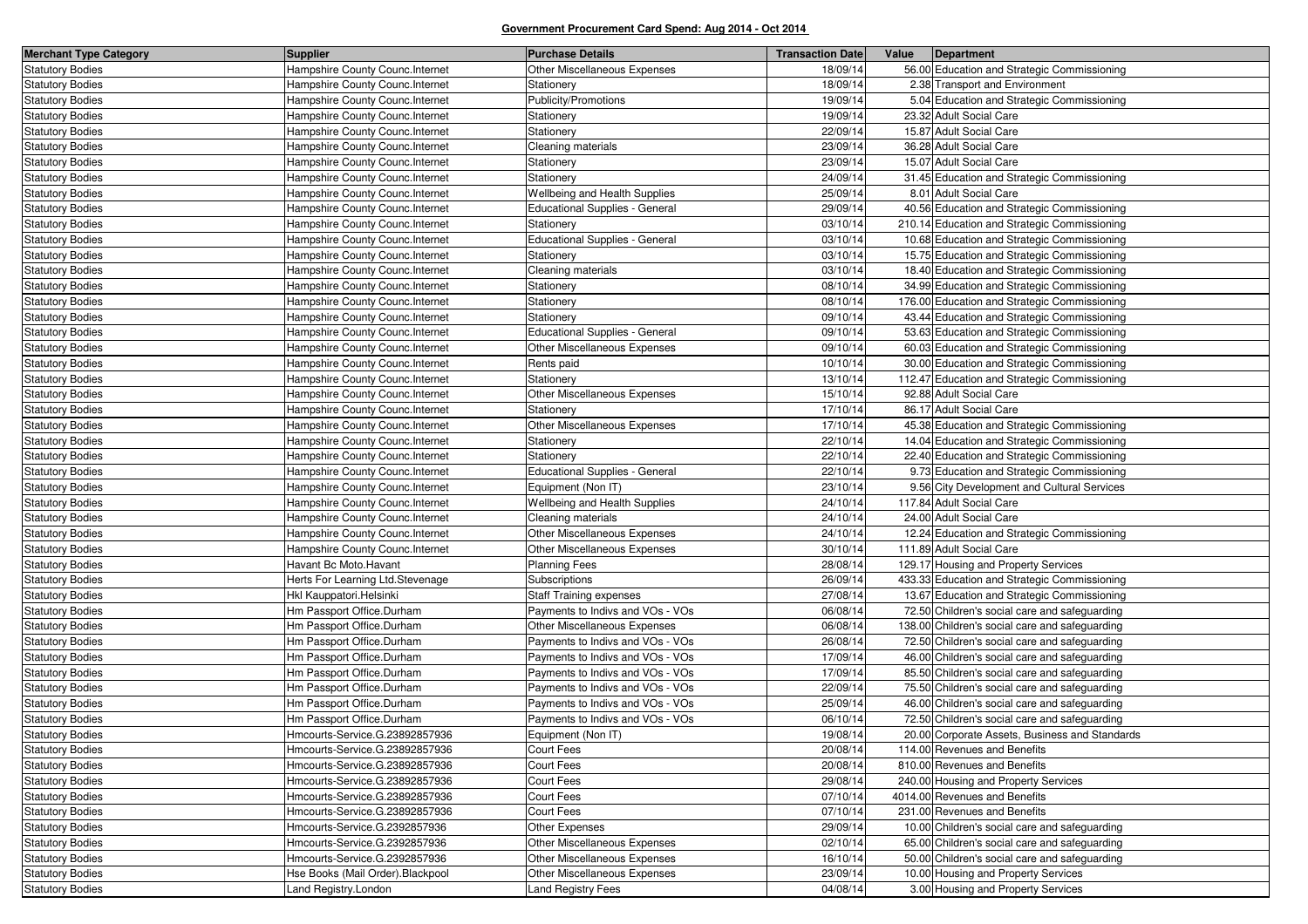| <b>Merchant Type Category</b> | <b>Supplier</b>                   | <b>Purchase Details</b>               | <b>Transaction Date</b> | Value | Department                                     |
|-------------------------------|-----------------------------------|---------------------------------------|-------------------------|-------|------------------------------------------------|
| <b>Statutory Bodies</b>       | Hampshire County Counc. Internet  | Other Miscellaneous Expenses          | 18/09/14                |       | 56.00 Education and Strategic Commissioning    |
| <b>Statutory Bodies</b>       | Hampshire County Counc. Internet  | Stationery                            | 18/09/14                |       | 2.38 Transport and Environment                 |
| <b>Statutory Bodies</b>       | Hampshire County Counc. Internet  | Publicity/Promotions                  | 19/09/14                |       | 5.04 Education and Strategic Commissioning     |
| <b>Statutory Bodies</b>       | Hampshire County Counc. Internet  | Stationery                            | 19/09/14                |       | 23.32 Adult Social Care                        |
| <b>Statutory Bodies</b>       | Hampshire County Counc. Internet  | Stationery                            | 22/09/14                |       | 15.87 Adult Social Care                        |
| <b>Statutory Bodies</b>       | Hampshire County Counc. Internet  | Cleaning materials                    | 23/09/14                |       | 36.28 Adult Social Care                        |
| <b>Statutory Bodies</b>       | Hampshire County Counc. Internet  | Stationery                            | 23/09/14                |       | 15.07 Adult Social Care                        |
| <b>Statutory Bodies</b>       | Hampshire County Counc. Internet  | Stationery                            | 24/09/14                |       | 31.45 Education and Strategic Commissioning    |
| <b>Statutory Bodies</b>       | Hampshire County Counc. Internet  | Wellbeing and Health Supplies         | 25/09/14                |       | 8.01 Adult Social Care                         |
| <b>Statutory Bodies</b>       | Hampshire County Counc. Internet  | <b>Educational Supplies - General</b> | 29/09/14                |       | 40.56 Education and Strategic Commissioning    |
| <b>Statutory Bodies</b>       | Hampshire County Counc. Internet  | Stationery                            | 03/10/14                |       | 210.14 Education and Strategic Commissioning   |
| <b>Statutory Bodies</b>       | Hampshire County Counc. Internet  | <b>Educational Supplies - General</b> | 03/10/14                |       | 10.68 Education and Strategic Commissioning    |
| <b>Statutory Bodies</b>       | Hampshire County Counc.Internet   | Stationery                            | 03/10/14                |       | 15.75 Education and Strategic Commissioning    |
| <b>Statutory Bodies</b>       | Hampshire County Counc. Internet  | Cleaning materials                    | 03/10/14                |       | 18.40 Education and Strategic Commissioning    |
| <b>Statutory Bodies</b>       | Hampshire County Counc. Internet  | Stationery                            | 08/10/14                |       | 34.99 Education and Strategic Commissioning    |
| <b>Statutory Bodies</b>       | Hampshire County Counc. Internet  | Stationery                            | 08/10/14                |       | 176.00 Education and Strategic Commissioning   |
| <b>Statutory Bodies</b>       | Hampshire County Counc. Internet  | Stationery                            | 09/10/14                |       | 43.44 Education and Strategic Commissioning    |
| <b>Statutory Bodies</b>       | Hampshire County Counc. Internet  | Educational Supplies - General        | 09/10/14                |       | 53.63 Education and Strategic Commissioning    |
| <b>Statutory Bodies</b>       | Hampshire County Counc. Internet  | Other Miscellaneous Expenses          | 09/10/14                |       | 60.03 Education and Strategic Commissioning    |
| <b>Statutory Bodies</b>       | Hampshire County Counc. Internet  | Rents paid                            | 10/10/14                |       | 30.00 Education and Strategic Commissioning    |
| <b>Statutory Bodies</b>       | Hampshire County Counc. Internet  | Stationery                            | 13/10/14                |       | 112.47 Education and Strategic Commissioning   |
| <b>Statutory Bodies</b>       | Hampshire County Counc. Internet  | Other Miscellaneous Expenses          | 15/10/14                |       | 92.88 Adult Social Care                        |
| <b>Statutory Bodies</b>       | Hampshire County Counc. Internet  | Stationery                            | 17/10/14                |       | 86.17 Adult Social Care                        |
| <b>Statutory Bodies</b>       | Hampshire County Counc. Internet  | Other Miscellaneous Expenses          | 17/10/14                |       | 45.38 Education and Strategic Commissioning    |
| <b>Statutory Bodies</b>       | Hampshire County Counc. Internet  | Stationery                            | 22/10/14                |       | 14.04 Education and Strategic Commissioning    |
| <b>Statutory Bodies</b>       | Hampshire County Counc. Internet  | Stationery                            | 22/10/14                |       | 22.40 Education and Strategic Commissioning    |
| <b>Statutory Bodies</b>       | Hampshire County Counc. Internet  | Educational Supplies - General        | 22/10/14                |       | 9.73 Education and Strategic Commissioning     |
| <b>Statutory Bodies</b>       | Hampshire County Counc. Internet  | Equipment (Non IT)                    | 23/10/14                |       | 9.56 City Development and Cultural Services    |
| <b>Statutory Bodies</b>       | Hampshire County Counc. Internet  | Wellbeing and Health Supplies         | 24/10/14                |       | 117.84 Adult Social Care                       |
| <b>Statutory Bodies</b>       | Hampshire County Counc. Internet  | Cleaning materials                    | 24/10/14                |       | 24.00 Adult Social Care                        |
| <b>Statutory Bodies</b>       | Hampshire County Counc.Internet   | Other Miscellaneous Expenses          | 24/10/14                |       | 12.24 Education and Strategic Commissioning    |
| <b>Statutory Bodies</b>       | Hampshire County Counc.Internet   | Other Miscellaneous Expenses          | 30/10/14                |       | 111.89 Adult Social Care                       |
| <b>Statutory Bodies</b>       | Havant Bc Moto.Havant             | <b>Planning Fees</b>                  | 28/08/14                |       | 129.17 Housing and Property Services           |
| <b>Statutory Bodies</b>       | Herts For Learning Ltd. Stevenage | Subscriptions                         | 26/09/14                |       | 433.33 Education and Strategic Commissioning   |
| <b>Statutory Bodies</b>       | Hkl Kauppatori. Helsinki          | <b>Staff Training expenses</b>        | 27/08/14                |       | 13.67 Education and Strategic Commissioning    |
| <b>Statutory Bodies</b>       | Hm Passport Office.Durham         | Payments to Indivs and VOs - VOs      | 06/08/14                |       | 72.50 Children's social care and safeguarding  |
| <b>Statutory Bodies</b>       | Hm Passport Office.Durham         | <b>Other Miscellaneous Expenses</b>   | 06/08/14                |       | 138.00 Children's social care and safeguarding |
| <b>Statutory Bodies</b>       | Hm Passport Office.Durham         | Payments to Indivs and VOs - VOs      | 26/08/14                |       | 72.50 Children's social care and safeguarding  |
| <b>Statutory Bodies</b>       | Hm Passport Office.Durham         | Payments to Indivs and VOs - VOs      | 17/09/14                |       | 46.00 Children's social care and safeguarding  |
| <b>Statutory Bodies</b>       | Hm Passport Office.Durham         | Payments to Indivs and VOs - VOs      | 17/09/14                |       | 85.50 Children's social care and safeguarding  |
| <b>Statutory Bodies</b>       | Hm Passport Office.Durham         | Payments to Indivs and VOs - VOs      | 22/09/14                |       | 75.50 Children's social care and safeguarding  |
| <b>Statutory Bodies</b>       | Hm Passport Office.Durham         | Payments to Indivs and VOs - VOs      | 25/09/14                |       | 46.00 Children's social care and safeguarding  |
| <b>Statutory Bodies</b>       | Hm Passport Office.Durham         | Payments to Indivs and VOs - VOs      | 06/10/14                |       | 72.50 Children's social care and safeguarding  |
| <b>Statutory Bodies</b>       | Hmcourts-Service.G.23892857936    | Equipment (Non IT)                    | 19/08/14                |       | 20.00 Corporate Assets, Business and Standards |
| <b>Statutory Bodies</b>       | Hmcourts-Service.G.23892857936    | Court Fees                            | 20/08/14                |       | 114.00 Revenues and Benefits                   |
| <b>Statutory Bodies</b>       | Hmcourts-Service.G.23892857936    | Court Fees                            | 20/08/14                |       | 810.00 Revenues and Benefits                   |
| <b>Statutory Bodies</b>       | Hmcourts-Service.G.23892857936    | Court Fees                            | 29/08/14                |       | 240.00 Housing and Property Services           |
| <b>Statutory Bodies</b>       | Hmcourts-Service.G.23892857936    | Court Fees                            | 07/10/14                |       | 4014.00 Revenues and Benefits                  |
| <b>Statutory Bodies</b>       | Hmcourts-Service.G.23892857936    | Court Fees                            | 07/10/14                |       | 231.00 Revenues and Benefits                   |
| <b>Statutory Bodies</b>       | Hmcourts-Service.G.2392857936     | Other Expenses                        | 29/09/14                |       | 10.00 Children's social care and safeguarding  |
| <b>Statutory Bodies</b>       | Hmcourts-Service.G.2392857936     | Other Miscellaneous Expenses          | 02/10/14                |       | 65.00 Children's social care and safeguarding  |
| <b>Statutory Bodies</b>       | Hmcourts-Service.G.2392857936     | Other Miscellaneous Expenses          | 16/10/14                |       | 50.00 Children's social care and safeguarding  |
| <b>Statutory Bodies</b>       | Hse Books (Mail Order). Blackpool | Other Miscellaneous Expenses          | 23/09/14                |       | 10.00 Housing and Property Services            |
| <b>Statutory Bodies</b>       | Land Registry.London              | <b>Land Registry Fees</b>             | 04/08/14                |       | 3.00 Housing and Property Services             |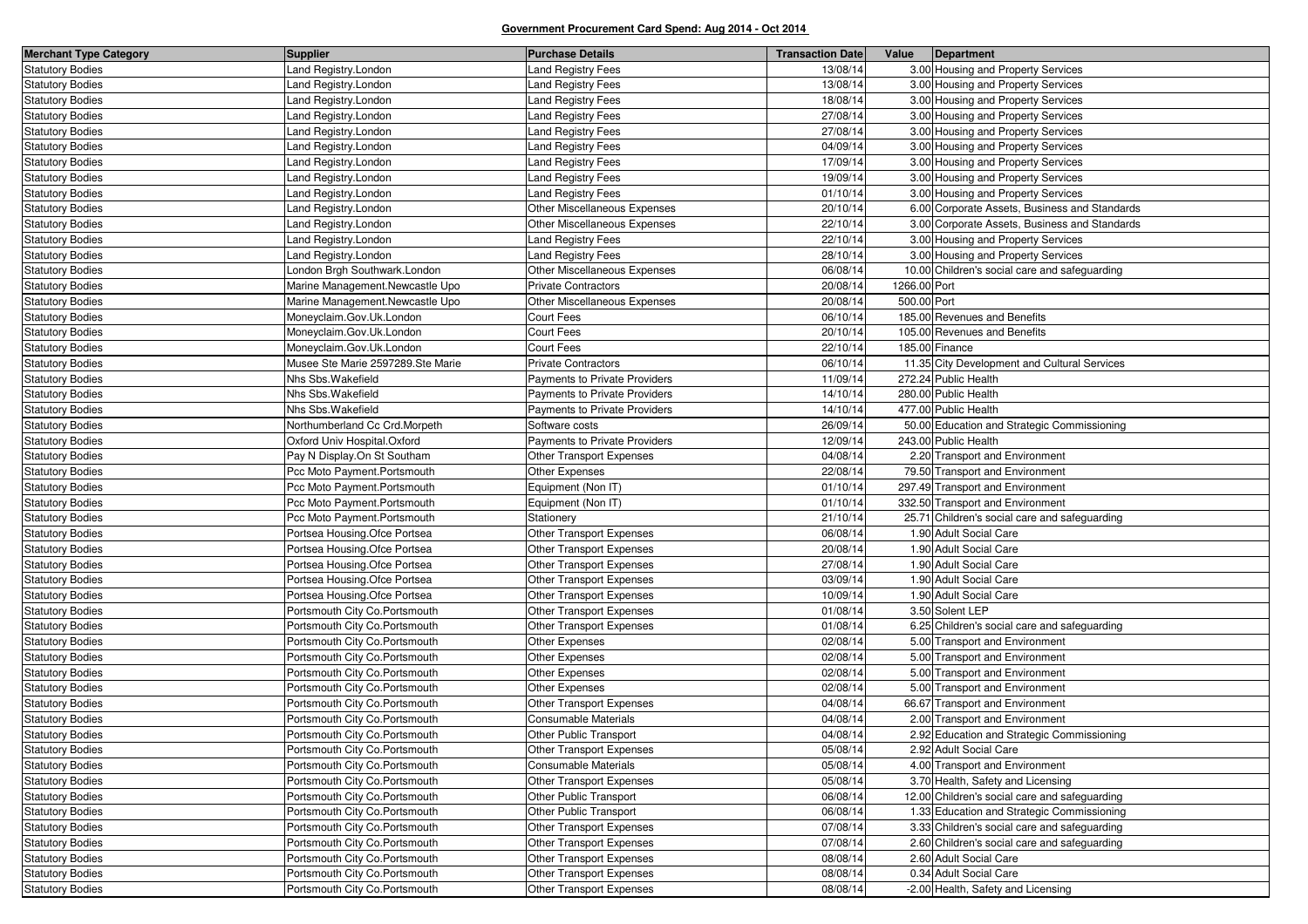| <b>Merchant Type Category</b> | Supplier                          | <b>Purchase Details</b>         | <b>Transaction Date</b> | Value        | Department                                    |
|-------------------------------|-----------------------------------|---------------------------------|-------------------------|--------------|-----------------------------------------------|
| <b>Statutory Bodies</b>       | Land Registry.London              | and Registry Fees               | 13/08/14                |              | 3.00 Housing and Property Services            |
| <b>Statutory Bodies</b>       | Land Registry.London              | and Registry Fees               | 13/08/14                |              | 3.00 Housing and Property Services            |
| <b>Statutory Bodies</b>       | Land Registry.London              | and Registry Fees               | 18/08/14                |              | 3.00 Housing and Property Services            |
| <b>Statutory Bodies</b>       | Land Registry.London              | and Registry Fees               | 27/08/14                |              | 3.00 Housing and Property Services            |
| <b>Statutory Bodies</b>       | Land Registry.London              | and Registry Fees               | 27/08/14                |              | 3.00 Housing and Property Services            |
| <b>Statutory Bodies</b>       | Land Registry.London              | and Registry Fees               | 04/09/14                |              | 3.00 Housing and Property Services            |
| <b>Statutory Bodies</b>       | Land Registry.London              | Land Registry Fees              | 17/09/14                |              | 3.00 Housing and Property Services            |
| <b>Statutory Bodies</b>       | Land Registry.London              | and Registry Fees               | 19/09/14                |              | 3.00 Housing and Property Services            |
| <b>Statutory Bodies</b>       | Land Registry.London              | and Registry Fees               | 01/10/14                |              | 3.00 Housing and Property Services            |
| <b>Statutory Bodies</b>       | Land Registry.London              | Other Miscellaneous Expenses    | 20/10/14                |              | 6.00 Corporate Assets, Business and Standards |
| <b>Statutory Bodies</b>       | Land Registry.London              | Other Miscellaneous Expenses    | 22/10/14                |              | 3.00 Corporate Assets, Business and Standards |
| <b>Statutory Bodies</b>       | Land Registry.London              | Land Registry Fees              | 22/10/14                |              | 3.00 Housing and Property Services            |
| <b>Statutory Bodies</b>       | Land Registry.London              | <b>Land Registry Fees</b>       | 28/10/14                |              | 3.00 Housing and Property Services            |
| <b>Statutory Bodies</b>       | London Brgh Southwark.London      | Other Miscellaneous Expenses    | 06/08/14                |              | 10.00 Children's social care and safeguarding |
| <b>Statutory Bodies</b>       | Marine Management Newcastle Upo   | <b>Private Contractors</b>      | 20/08/14                | 1266.00 Port |                                               |
| <b>Statutory Bodies</b>       | Marine Management.Newcastle Upo   | Other Miscellaneous Expenses    | 20/08/14                | 500.00 Port  |                                               |
| <b>Statutory Bodies</b>       | Moneyclaim.Gov.Uk.London          | Court Fees                      | 06/10/14                |              | 185.00 Revenues and Benefits                  |
| <b>Statutory Bodies</b>       | Moneyclaim.Gov.Uk.London          | Court Fees                      | 20/10/14                |              | 105.00 Revenues and Benefits                  |
| <b>Statutory Bodies</b>       | Moneyclaim.Gov.Uk.London          | Court Fees                      | 22/10/14                |              | 185.00 Finance                                |
| <b>Statutory Bodies</b>       | Musee Ste Marie 2597289.Ste Marie | Private Contractors             | 06/10/14                |              | 11.35 City Development and Cultural Services  |
| <b>Statutory Bodies</b>       | Nhs Sbs. Wakefield                | Payments to Private Providers   | 11/09/14                |              | 272.24 Public Health                          |
| <b>Statutory Bodies</b>       | Nhs Sbs. Wakefield                | Payments to Private Providers   | 14/10/14                |              | 280.00 Public Health                          |
| <b>Statutory Bodies</b>       | Nhs Sbs. Wakefield                | Payments to Private Providers   | 14/10/14                |              | 477.00 Public Health                          |
| <b>Statutory Bodies</b>       | Northumberland Cc Crd.Morpeth     | Software costs                  | 26/09/14                |              | 50.00 Education and Strategic Commissioning   |
| <b>Statutory Bodies</b>       | Oxford Univ Hospital.Oxford       | Payments to Private Providers   | 12/09/14                |              | 243.00 Public Health                          |
| <b>Statutory Bodies</b>       | Pay N Display.On St Southam       | Other Transport Expenses        | 04/08/14                |              | 2.20 Transport and Environment                |
| <b>Statutory Bodies</b>       | Pcc Moto Payment.Portsmouth       | Other Expenses                  | 22/08/14                |              | 79.50 Transport and Environment               |
| <b>Statutory Bodies</b>       | Pcc Moto Payment.Portsmouth       | Equipment (Non IT)              | 01/10/14                |              | 297.49 Transport and Environment              |
| <b>Statutory Bodies</b>       | Pcc Moto Payment.Portsmouth       | Equipment (Non IT)              | 01/10/14                |              | 332.50 Transport and Environment              |
| <b>Statutory Bodies</b>       | Pcc Moto Payment.Portsmouth       | Stationery                      | 21/10/14                |              | 25.71 Children's social care and safeguarding |
| <b>Statutory Bodies</b>       | Portsea Housing. Ofce Portsea     | <b>Other Transport Expenses</b> | 06/08/14                |              | 1.90 Adult Social Care                        |
| <b>Statutory Bodies</b>       | Portsea Housing. Ofce Portsea     | <b>Other Transport Expenses</b> | 20/08/14                |              | 1.90 Adult Social Care                        |
| <b>Statutory Bodies</b>       | Portsea Housing. Ofce Portsea     | <b>Other Transport Expenses</b> | 27/08/14                |              | 1.90 Adult Social Care                        |
| <b>Statutory Bodies</b>       | Portsea Housing. Ofce Portsea     | Other Transport Expenses        | 03/09/14                |              | 1.90 Adult Social Care                        |
| <b>Statutory Bodies</b>       | Portsea Housing. Ofce Portsea     | <b>Other Transport Expenses</b> | 10/09/14                |              | 1.90 Adult Social Care                        |
| <b>Statutory Bodies</b>       | Portsmouth City Co. Portsmouth    | Other Transport Expenses        | 01/08/14                |              | 3.50 Solent LEP                               |
| <b>Statutory Bodies</b>       | Portsmouth City Co. Portsmouth    | Other Transport Expenses        | 01/08/14                |              | 6.25 Children's social care and safeguarding  |
| <b>Statutory Bodies</b>       | Portsmouth City Co.Portsmouth     | Other Expenses                  | 02/08/14                |              | 5.00 Transport and Environment                |
| <b>Statutory Bodies</b>       | Portsmouth City Co. Portsmouth    | Other Expenses                  | 02/08/14                |              | 5.00 Transport and Environment                |
| <b>Statutory Bodies</b>       | Portsmouth City Co. Portsmouth    | Other Expenses                  | 02/08/14                |              | 5.00 Transport and Environment                |
| <b>Statutory Bodies</b>       | Portsmouth City Co.Portsmouth     | Other Expenses                  | 02/08/14                |              | 5.00 Transport and Environment                |
| <b>Statutory Bodies</b>       | Portsmouth City Co. Portsmouth    | Other Transport Expenses        | 04/08/14                |              | 66.67 Transport and Environment               |
| <b>Statutory Bodies</b>       | Portsmouth City Co.Portsmouth     | Consumable Materials            | 04/08/14                |              | 2.00 Transport and Environment                |
| <b>Statutory Bodies</b>       | Portsmouth City Co.Portsmouth     | Other Public Transport          | 04/08/14                |              | 2.92 Education and Strategic Commissioning    |
| <b>Statutory Bodies</b>       | Portsmouth City Co. Portsmouth    | <b>Other Transport Expenses</b> | 05/08/14                |              | 2.92 Adult Social Care                        |
| <b>Statutory Bodies</b>       | Portsmouth City Co.Portsmouth     | Consumable Materials            | 05/08/14                |              | 4.00 Transport and Environment                |
| <b>Statutory Bodies</b>       | Portsmouth City Co.Portsmouth     | Other Transport Expenses        | 05/08/14                |              | 3.70 Health, Safety and Licensing             |
| <b>Statutory Bodies</b>       | Portsmouth City Co.Portsmouth     | Other Public Transport          | 06/08/14                |              | 12.00 Children's social care and safeguarding |
| <b>Statutory Bodies</b>       | Portsmouth City Co.Portsmouth     | Other Public Transport          | 06/08/14                |              | 1.33 Education and Strategic Commissioning    |
| <b>Statutory Bodies</b>       | Portsmouth City Co. Portsmouth    | Other Transport Expenses        | 07/08/14                |              | 3.33 Children's social care and safeguarding  |
| <b>Statutory Bodies</b>       | Portsmouth City Co.Portsmouth     | Other Transport Expenses        | 07/08/14                |              | 2.60 Children's social care and safeguarding  |
| <b>Statutory Bodies</b>       | Portsmouth City Co.Portsmouth     | Other Transport Expenses        | 08/08/14                |              | 2.60 Adult Social Care                        |
| <b>Statutory Bodies</b>       | Portsmouth City Co. Portsmouth    | Other Transport Expenses        | 08/08/14                |              | 0.34 Adult Social Care                        |
| <b>Statutory Bodies</b>       | Portsmouth City Co.Portsmouth     | Other Transport Expenses        | 08/08/14                |              | -2.00 Health, Safety and Licensing            |
|                               |                                   |                                 |                         |              |                                               |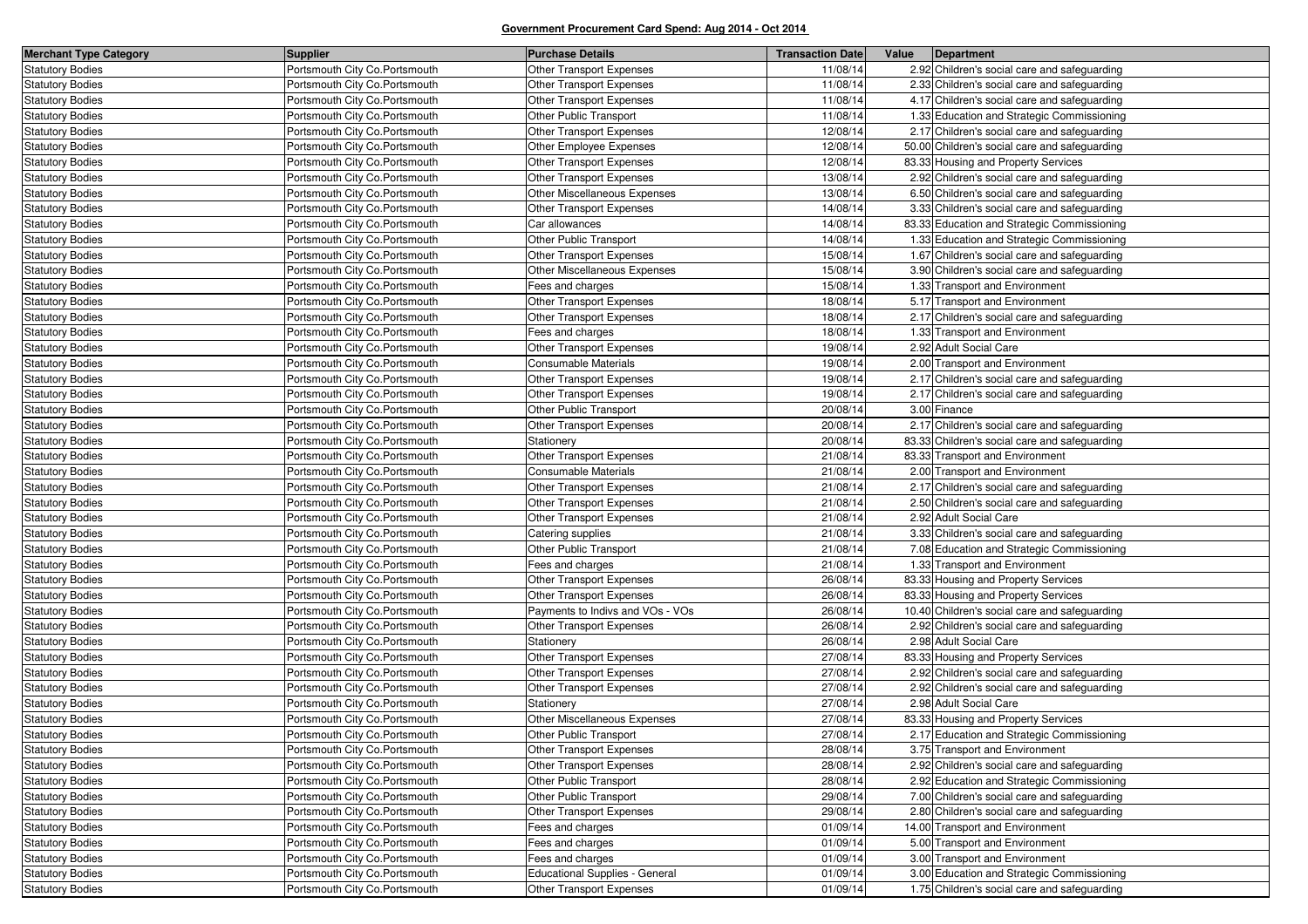| <b>Merchant Type Category</b> | <b>Supplier</b>                | <b>Purchase Details</b>               | <b>Transaction Date</b> | Value Department                              |
|-------------------------------|--------------------------------|---------------------------------------|-------------------------|-----------------------------------------------|
| <b>Statutory Bodies</b>       | Portsmouth City Co.Portsmouth  | Other Transport Expenses              | 11/08/14                | 2.92 Children's social care and safeguarding  |
| <b>Statutory Bodies</b>       | Portsmouth City Co. Portsmouth | <b>Other Transport Expenses</b>       | 11/08/14                | 2.33 Children's social care and safeguarding  |
| <b>Statutory Bodies</b>       | Portsmouth City Co. Portsmouth | <b>Other Transport Expenses</b>       | 11/08/14                | 4.17 Children's social care and safeguarding  |
| <b>Statutory Bodies</b>       | Portsmouth City Co.Portsmouth  | <b>Other Public Transport</b>         | 11/08/14                | 1.33 Education and Strategic Commissioning    |
| <b>Statutory Bodies</b>       | Portsmouth City Co. Portsmouth | <b>Other Transport Expenses</b>       | 12/08/14                | 2.17 Children's social care and safeguarding  |
| <b>Statutory Bodies</b>       | Portsmouth City Co. Portsmouth | Other Employee Expenses               | 12/08/14                | 50.00 Children's social care and safeguarding |
| <b>Statutory Bodies</b>       | Portsmouth City Co. Portsmouth | Other Transport Expenses              | 12/08/14                | 83.33 Housing and Property Services           |
| <b>Statutory Bodies</b>       | Portsmouth City Co. Portsmouth | <b>Other Transport Expenses</b>       | 13/08/14                | 2.92 Children's social care and safeguarding  |
| <b>Statutory Bodies</b>       | Portsmouth City Co.Portsmouth  | Other Miscellaneous Expenses          | 13/08/14                | 6.50 Children's social care and safeguarding  |
| <b>Statutory Bodies</b>       | Portsmouth City Co. Portsmouth | Other Transport Expenses              | 14/08/14                | 3.33 Children's social care and safeguarding  |
| <b>Statutory Bodies</b>       | Portsmouth City Co.Portsmouth  | Car allowances                        | 14/08/14                | 83.33 Education and Strategic Commissioning   |
| <b>Statutory Bodies</b>       | Portsmouth City Co.Portsmouth  | Other Public Transport                | 14/08/14                | 1.33 Education and Strategic Commissioning    |
| <b>Statutory Bodies</b>       | Portsmouth City Co. Portsmouth | Other Transport Expenses              | 15/08/14                | 1.67 Children's social care and safeguarding  |
| <b>Statutory Bodies</b>       | Portsmouth City Co. Portsmouth | Other Miscellaneous Expenses          | 15/08/14                | 3.90 Children's social care and safeguarding  |
| <b>Statutory Bodies</b>       | Portsmouth City Co. Portsmouth | Fees and charges                      | 15/08/14                | 1.33 Transport and Environment                |
| Statutory Bodies              | Portsmouth City Co.Portsmouth  | Other Transport Expenses              | 18/08/14                | 5.17 Transport and Environment                |
| <b>Statutory Bodies</b>       | Portsmouth City Co. Portsmouth | <b>Other Transport Expenses</b>       | 18/08/14                | 2.17 Children's social care and safeguarding  |
| <b>Statutory Bodies</b>       | Portsmouth City Co. Portsmouth | Fees and charges                      | 18/08/14                | 1.33 Transport and Environment                |
| <b>Statutory Bodies</b>       | Portsmouth City Co. Portsmouth | Other Transport Expenses              | 19/08/14                | 2.92 Adult Social Care                        |
| <b>Statutory Bodies</b>       | Portsmouth City Co.Portsmouth  | Consumable Materials                  | 19/08/14                | 2.00 Transport and Environment                |
| <b>Statutory Bodies</b>       | Portsmouth City Co. Portsmouth | <b>Other Transport Expenses</b>       | 19/08/14                | 2.17 Children's social care and safeguarding  |
| <b>Statutory Bodies</b>       | Portsmouth City Co. Portsmouth | Other Transport Expenses              | 19/08/14                | 2.17 Children's social care and safeguarding  |
| <b>Statutory Bodies</b>       | Portsmouth City Co. Portsmouth | Other Public Transport                | 20/08/14                | 3.00 Finance                                  |
| <b>Statutory Bodies</b>       | Portsmouth City Co. Portsmouth | Other Transport Expenses              | 20/08/14                | 2.17 Children's social care and safeguarding  |
| <b>Statutory Bodies</b>       | Portsmouth City Co.Portsmouth  | Stationery                            | 20/08/14                | 83.33 Children's social care and safeguarding |
| <b>Statutory Bodies</b>       | Portsmouth City Co. Portsmouth | Other Transport Expenses              | 21/08/14                | 83.33 Transport and Environment               |
| <b>Statutory Bodies</b>       | Portsmouth City Co. Portsmouth | <b>Consumable Materials</b>           | 21/08/14                | 2.00 Transport and Environment                |
| <b>Statutory Bodies</b>       | Portsmouth City Co. Portsmouth | <b>Other Transport Expenses</b>       | 21/08/14                | 2.17 Children's social care and safeguarding  |
| <b>Statutory Bodies</b>       | Portsmouth City Co. Portsmouth | <b>Other Transport Expenses</b>       | 21/08/14                | 2.50 Children's social care and safeguarding  |
| <b>Statutory Bodies</b>       | Portsmouth City Co. Portsmouth | <b>Other Transport Expenses</b>       | 21/08/14                | 2.92 Adult Social Care                        |
| <b>Statutory Bodies</b>       | Portsmouth City Co. Portsmouth | Catering supplies                     | 21/08/14                | 3.33 Children's social care and safeguarding  |
| <b>Statutory Bodies</b>       | Portsmouth City Co. Portsmouth | Other Public Transport                | 21/08/14                | 7.08 Education and Strategic Commissioning    |
| <b>Statutory Bodies</b>       | Portsmouth City Co. Portsmouth | Fees and charges                      | 21/08/14                | 1.33 Transport and Environment                |
| <b>Statutory Bodies</b>       | Portsmouth City Co. Portsmouth | <b>Other Transport Expenses</b>       | 26/08/14                | 83.33 Housing and Property Services           |
| <b>Statutory Bodies</b>       | Portsmouth City Co.Portsmouth  | Other Transport Expenses              | 26/08/14                | 83.33 Housing and Property Services           |
| <b>Statutory Bodies</b>       | Portsmouth City Co. Portsmouth | Payments to Indivs and VOs - VOs      | 26/08/14                | 10.40 Children's social care and safeguarding |
| <b>Statutory Bodies</b>       | Portsmouth City Co. Portsmouth | Other Transport Expenses              | 26/08/14                | 2.92 Children's social care and safeguarding  |
| <b>Statutory Bodies</b>       | Portsmouth City Co. Portsmouth | Stationery                            | 26/08/14                | 2.98 Adult Social Care                        |
| <b>Statutory Bodies</b>       | Portsmouth City Co.Portsmouth  | <b>Other Transport Expenses</b>       | 27/08/14                | 83.33 Housing and Property Services           |
| <b>Statutory Bodies</b>       | Portsmouth City Co. Portsmouth | Other Transport Expenses              | 27/08/14                | 2.92 Children's social care and safeguarding  |
| <b>Statutory Bodies</b>       | Portsmouth City Co. Portsmouth | Other Transport Expenses              | 27/08/14                | 2.92 Children's social care and safeguarding  |
| <b>Statutory Bodies</b>       | Portsmouth City Co. Portsmouth | Stationery                            | 27/08/14                | 2.98 Adult Social Care                        |
| <b>Statutory Bodies</b>       | Portsmouth City Co. Portsmouth | Other Miscellaneous Expenses          | 27/08/14                | 83.33 Housing and Property Services           |
| <b>Statutory Bodies</b>       | Portsmouth City Co. Portsmouth | Other Public Transport                | 27/08/14                | 2.17 Education and Strategic Commissioning    |
| <b>Statutory Bodies</b>       | Portsmouth City Co. Portsmouth | Other Transport Expenses              | 28/08/14                | 3.75 Transport and Environment                |
| <b>Statutory Bodies</b>       | Portsmouth City Co.Portsmouth  | Other Transport Expenses              | 28/08/14                | 2.92 Children's social care and safeguarding  |
| <b>Statutory Bodies</b>       | Portsmouth City Co. Portsmouth | Other Public Transport                | 28/08/14                | 2.92 Education and Strategic Commissioning    |
| Statutory Bodies              | Portsmouth City Co.Portsmouth  | Other Public Transport                | 29/08/14                | 7.00 Children's social care and safeguarding  |
| <b>Statutory Bodies</b>       | Portsmouth City Co.Portsmouth  | Other Transport Expenses              | 29/08/14                | 2.80 Children's social care and safeguarding  |
| <b>Statutory Bodies</b>       | Portsmouth City Co. Portsmouth | Fees and charges                      | 01/09/14                | 14.00 Transport and Environment               |
| Statutory Bodies              | Portsmouth City Co. Portsmouth | Fees and charges                      | 01/09/14                | 5.00 Transport and Environment                |
| <b>Statutory Bodies</b>       | Portsmouth City Co. Portsmouth | Fees and charges                      | 01/09/14                | 3.00 Transport and Environment                |
| <b>Statutory Bodies</b>       | Portsmouth City Co.Portsmouth  | <b>Educational Supplies - General</b> | 01/09/14                | 3.00 Education and Strategic Commissioning    |
| <b>Statutory Bodies</b>       | Portsmouth City Co.Portsmouth  | <b>Other Transport Expenses</b>       | 01/09/14                | 1.75 Children's social care and safeguarding  |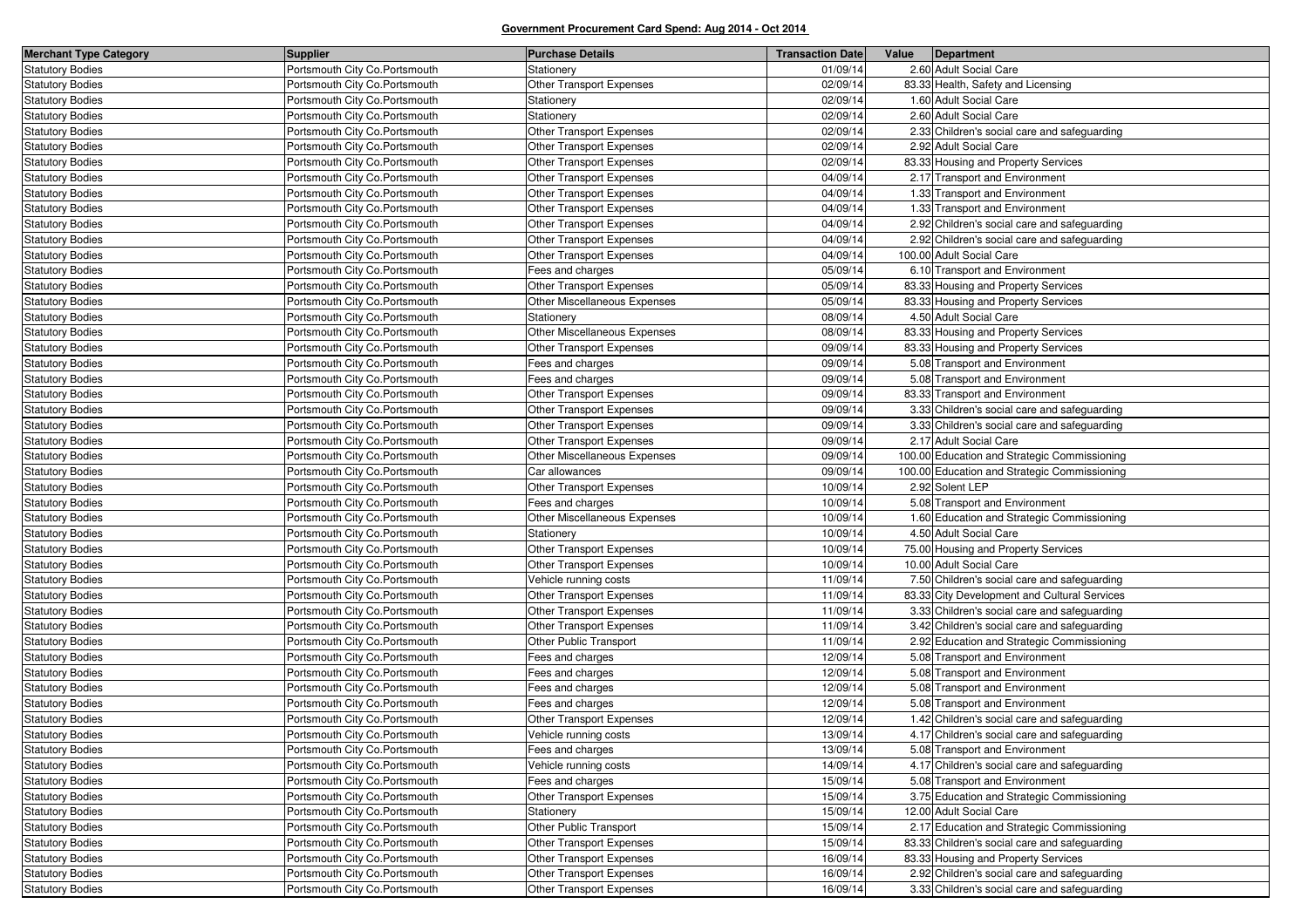| <b>Merchant Type Category</b> | <b>Supplier</b>                | <b>Purchase Details</b>         | <b>Transaction Date</b> | Value | Department                                    |
|-------------------------------|--------------------------------|---------------------------------|-------------------------|-------|-----------------------------------------------|
| <b>Statutory Bodies</b>       | Portsmouth City Co.Portsmouth  | Stationery                      | 01/09/14                |       | 2.60 Adult Social Care                        |
| <b>Statutory Bodies</b>       | Portsmouth City Co. Portsmouth | Other Transport Expenses        | 02/09/14                |       | 83.33 Health, Safety and Licensing            |
| <b>Statutory Bodies</b>       | Portsmouth City Co. Portsmouth | Stationery                      | 02/09/14                |       | 1.60 Adult Social Care                        |
| <b>Statutory Bodies</b>       | Portsmouth City Co. Portsmouth | Stationery                      | 02/09/14                |       | 2.60 Adult Social Care                        |
| <b>Statutory Bodies</b>       | Portsmouth City Co. Portsmouth | Other Transport Expenses        | 02/09/14                |       | 2.33 Children's social care and safeguarding  |
| <b>Statutory Bodies</b>       | Portsmouth City Co. Portsmouth | Other Transport Expenses        | 02/09/14                |       | 2.92 Adult Social Care                        |
| <b>Statutory Bodies</b>       | Portsmouth City Co. Portsmouth | Other Transport Expenses        | 02/09/14                |       | 83.33 Housing and Property Services           |
| <b>Statutory Bodies</b>       | Portsmouth City Co. Portsmouth | Other Transport Expenses        | 04/09/14                |       | 2.17 Transport and Environment                |
| <b>Statutory Bodies</b>       | Portsmouth City Co. Portsmouth | <b>Other Transport Expenses</b> | 04/09/14                |       | 1.33 Transport and Environment                |
| <b>Statutory Bodies</b>       | Portsmouth City Co. Portsmouth | Other Transport Expenses        | 04/09/14                |       | 1.33 Transport and Environment                |
| <b>Statutory Bodies</b>       | Portsmouth City Co. Portsmouth | Other Transport Expenses        | 04/09/14                |       | 2.92 Children's social care and safeguarding  |
| <b>Statutory Bodies</b>       | Portsmouth City Co. Portsmouth | Other Transport Expenses        | 04/09/14                |       | 2.92 Children's social care and safeguarding  |
| <b>Statutory Bodies</b>       | Portsmouth City Co.Portsmouth  | Other Transport Expenses        | 04/09/14                |       | 100.00 Adult Social Care                      |
| <b>Statutory Bodies</b>       | Portsmouth City Co. Portsmouth | Fees and charges                | 05/09/14                |       | 6.10 Transport and Environment                |
| <b>Statutory Bodies</b>       | Portsmouth City Co. Portsmouth | Other Transport Expenses        | 05/09/14                |       | 83.33 Housing and Property Services           |
| <b>Statutory Bodies</b>       | Portsmouth City Co. Portsmouth | Other Miscellaneous Expenses    | 05/09/14                |       | 83.33 Housing and Property Services           |
| <b>Statutory Bodies</b>       | Portsmouth City Co. Portsmouth | Stationery                      | 08/09/14                |       | 4.50 Adult Social Care                        |
| <b>Statutory Bodies</b>       | Portsmouth City Co. Portsmouth | Other Miscellaneous Expenses    | 08/09/14                |       | 83.33 Housing and Property Services           |
| <b>Statutory Bodies</b>       | Portsmouth City Co. Portsmouth | Other Transport Expenses        | 09/09/14                |       | 83.33 Housing and Property Services           |
| <b>Statutory Bodies</b>       | Portsmouth City Co. Portsmouth | Fees and charges                | 09/09/14                |       | 5.08 Transport and Environment                |
| <b>Statutory Bodies</b>       | Portsmouth City Co. Portsmouth | Fees and charges                | 09/09/14                |       | 5.08 Transport and Environment                |
| <b>Statutory Bodies</b>       | Portsmouth City Co. Portsmouth | Other Transport Expenses        | 09/09/14                |       | 83.33 Transport and Environment               |
| <b>Statutory Bodies</b>       | Portsmouth City Co. Portsmouth | <b>Other Transport Expenses</b> | 09/09/14                |       | 3.33 Children's social care and safeguarding  |
| <b>Statutory Bodies</b>       | Portsmouth City Co. Portsmouth | Other Transport Expenses        | 09/09/14                |       | 3.33 Children's social care and safeguarding  |
| <b>Statutory Bodies</b>       | Portsmouth City Co. Portsmouth | Other Transport Expenses        | 09/09/14                |       | 2.17 Adult Social Care                        |
| <b>Statutory Bodies</b>       | Portsmouth City Co.Portsmouth  | Other Miscellaneous Expenses    | 09/09/14                |       | 100.00 Education and Strategic Commissioning  |
| <b>Statutory Bodies</b>       | Portsmouth City Co. Portsmouth | Car allowances                  | 09/09/14                |       | 100.00 Education and Strategic Commissioning  |
| <b>Statutory Bodies</b>       | Portsmouth City Co.Portsmouth  | Other Transport Expenses        | 10/09/14                |       | 2.92 Solent LEP                               |
| <b>Statutory Bodies</b>       | Portsmouth City Co. Portsmouth | Fees and charges                | 10/09/14                |       | 5.08 Transport and Environment                |
| <b>Statutory Bodies</b>       | Portsmouth City Co. Portsmouth | Other Miscellaneous Expenses    | 10/09/14                |       | 1.60 Education and Strategic Commissioning    |
| <b>Statutory Bodies</b>       | Portsmouth City Co. Portsmouth | Stationery                      | 10/09/14                |       | 4.50 Adult Social Care                        |
| <b>Statutory Bodies</b>       | Portsmouth City Co. Portsmouth | Other Transport Expenses        | 10/09/14                |       | 75.00 Housing and Property Services           |
| <b>Statutory Bodies</b>       | Portsmouth City Co. Portsmouth | Other Transport Expenses        | 10/09/14                |       | 10.00 Adult Social Care                       |
| <b>Statutory Bodies</b>       | Portsmouth City Co. Portsmouth | Vehicle running costs           | 11/09/14                |       | 7.50 Children's social care and safeguarding  |
| <b>Statutory Bodies</b>       | Portsmouth City Co. Portsmouth | Other Transport Expenses        | 11/09/14                |       | 83.33 City Development and Cultural Services  |
| <b>Statutory Bodies</b>       | Portsmouth City Co. Portsmouth | Other Transport Expenses        | 11/09/14                |       | 3.33 Children's social care and safeguarding  |
| <b>Statutory Bodies</b>       | Portsmouth City Co. Portsmouth | Other Transport Expenses        | 11/09/14                |       | 3.42 Children's social care and safeguarding  |
| <b>Statutory Bodies</b>       | Portsmouth City Co. Portsmouth | Other Public Transport          | 11/09/14                |       | 2.92 Education and Strategic Commissioning    |
| <b>Statutory Bodies</b>       | Portsmouth City Co. Portsmouth | Fees and charges                | 12/09/14                |       | 5.08 Transport and Environment                |
| <b>Statutory Bodies</b>       | Portsmouth City Co. Portsmouth | Fees and charges                | 12/09/14                |       | 5.08 Transport and Environment                |
| <b>Statutory Bodies</b>       | Portsmouth City Co.Portsmouth  | Fees and charges                | 12/09/14                |       | 5.08 Transport and Environment                |
| <b>Statutory Bodies</b>       | Portsmouth City Co. Portsmouth | Fees and charges                | 12/09/14                |       | 5.08 Transport and Environment                |
| <b>Statutory Bodies</b>       | Portsmouth City Co. Portsmouth | Other Transport Expenses        | 12/09/14                |       | 1.42 Children's social care and safeguarding  |
| <b>Statutory Bodies</b>       | Portsmouth City Co.Portsmouth  | Vehicle running costs           | 13/09/14                |       | 4.17 Children's social care and safeguarding  |
| <b>Statutory Bodies</b>       | Portsmouth City Co. Portsmouth | Fees and charges                | 13/09/14                |       | 5.08 Transport and Environment                |
| Statutory Bodies              | Portsmouth City Co. Portsmouth | Vehicle running costs           | 14/09/14                |       | 4.17 Children's social care and safeguarding  |
| <b>Statutory Bodies</b>       | Portsmouth City Co.Portsmouth  | Fees and charges                | 15/09/14                |       | 5.08 Transport and Environment                |
| <b>Statutory Bodies</b>       | Portsmouth City Co.Portsmouth  | Other Transport Expenses        | 15/09/14                |       | 3.75 Education and Strategic Commissioning    |
| <b>Statutory Bodies</b>       | Portsmouth City Co.Portsmouth  | Stationery                      | 15/09/14                |       | 12.00 Adult Social Care                       |
| <b>Statutory Bodies</b>       | Portsmouth City Co.Portsmouth  | Other Public Transport          | 15/09/14                |       | 2.17 Education and Strategic Commissioning    |
| <b>Statutory Bodies</b>       | Portsmouth City Co. Portsmouth | Other Transport Expenses        | 15/09/14                |       | 83.33 Children's social care and safeguarding |
| <b>Statutory Bodies</b>       | Portsmouth City Co.Portsmouth  | Other Transport Expenses        | 16/09/14                |       | 83.33 Housing and Property Services           |
| <b>Statutory Bodies</b>       | Portsmouth City Co.Portsmouth  | Other Transport Expenses        | 16/09/14                |       | 2.92 Children's social care and safeguarding  |
| <b>Statutory Bodies</b>       | Portsmouth City Co. Portsmouth | <b>Other Transport Expenses</b> | 16/09/14                |       | 3.33 Children's social care and safeguarding  |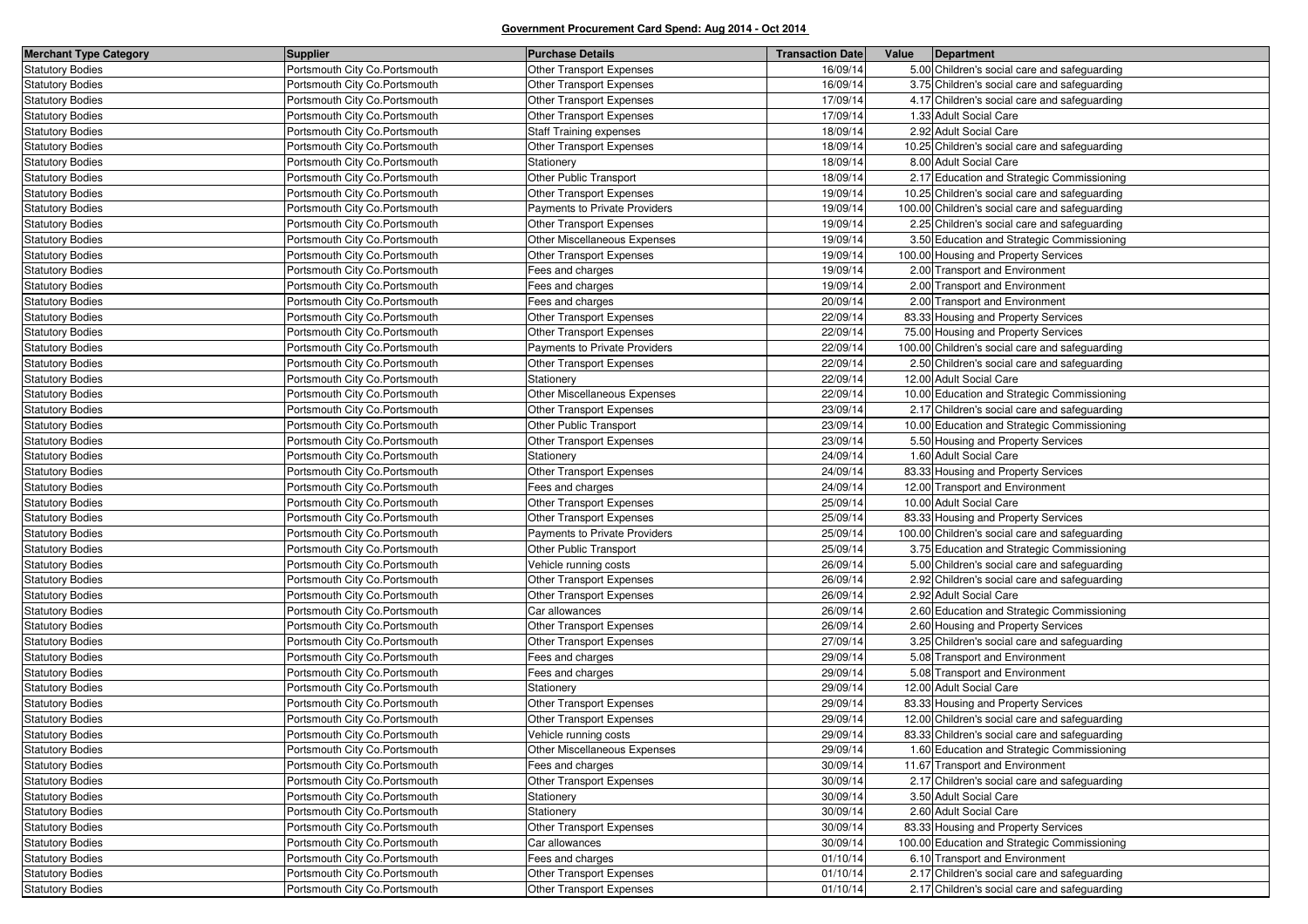| <b>Merchant Type Category</b> | Supplier                       | <b>Purchase Details</b>              | <b>Transaction Date</b> | Value | Department                                     |
|-------------------------------|--------------------------------|--------------------------------------|-------------------------|-------|------------------------------------------------|
| <b>Statutory Bodies</b>       | Portsmouth City Co.Portsmouth  | Other Transport Expenses             | 16/09/14                |       | 5.00 Children's social care and safeguarding   |
| <b>Statutory Bodies</b>       | Portsmouth City Co. Portsmouth | Other Transport Expenses             | 16/09/14                |       | 3.75 Children's social care and safeguarding   |
| <b>Statutory Bodies</b>       | Portsmouth City Co. Portsmouth | <b>Other Transport Expenses</b>      | 17/09/14                |       | 4.17 Children's social care and safeguarding   |
| <b>Statutory Bodies</b>       | Portsmouth City Co.Portsmouth  | Other Transport Expenses             | 17/09/14                |       | 1.33 Adult Social Care                         |
| <b>Statutory Bodies</b>       | Portsmouth City Co. Portsmouth | <b>Staff Training expenses</b>       | 18/09/14                |       | 2.92 Adult Social Care                         |
| <b>Statutory Bodies</b>       | Portsmouth City Co. Portsmouth | Other Transport Expenses             | 18/09/14                |       | 10.25 Children's social care and safeguarding  |
| <b>Statutory Bodies</b>       | Portsmouth City Co.Portsmouth  | Stationery                           | 18/09/14                |       | 8.00 Adult Social Care                         |
| <b>Statutory Bodies</b>       | Portsmouth City Co. Portsmouth | <b>Other Public Transport</b>        | 18/09/14                |       | 2.17 Education and Strategic Commissioning     |
| <b>Statutory Bodies</b>       | Portsmouth City Co. Portsmouth | <b>Other Transport Expenses</b>      | 19/09/14                |       | 10.25 Children's social care and safeguarding  |
| <b>Statutory Bodies</b>       | Portsmouth City Co.Portsmouth  | <b>Payments to Private Providers</b> | 19/09/14                |       | 100.00 Children's social care and safeguarding |
| <b>Statutory Bodies</b>       | Portsmouth City Co. Portsmouth | Other Transport Expenses             | 19/09/14                |       | 2.25 Children's social care and safeguarding   |
| <b>Statutory Bodies</b>       | Portsmouth City Co. Portsmouth | Other Miscellaneous Expenses         | 19/09/14                |       | 3.50 Education and Strategic Commissioning     |
| <b>Statutory Bodies</b>       | Portsmouth City Co.Portsmouth  | Other Transport Expenses             | 19/09/14                |       | 100.00 Housing and Property Services           |
| <b>Statutory Bodies</b>       | Portsmouth City Co. Portsmouth | Fees and charges                     | 19/09/14                |       | 2.00 Transport and Environment                 |
| <b>Statutory Bodies</b>       | Portsmouth City Co. Portsmouth | Fees and charges                     | 19/09/14                |       | 2.00 Transport and Environment                 |
| <b>Statutory Bodies</b>       | Portsmouth City Co.Portsmouth  | Fees and charges                     | 20/09/14                |       | 2.00 Transport and Environment                 |
| <b>Statutory Bodies</b>       | Portsmouth City Co. Portsmouth | Other Transport Expenses             | 22/09/14                |       | 83.33 Housing and Property Services            |
| <b>Statutory Bodies</b>       | Portsmouth City Co. Portsmouth | Other Transport Expenses             | 22/09/14                |       | 75.00 Housing and Property Services            |
| <b>Statutory Bodies</b>       | Portsmouth City Co.Portsmouth  | Payments to Private Providers        | 22/09/14                |       | 100.00 Children's social care and safeguarding |
| <b>Statutory Bodies</b>       | Portsmouth City Co. Portsmouth | Other Transport Expenses             | 22/09/14                |       | 2.50 Children's social care and safeguarding   |
| <b>Statutory Bodies</b>       | Portsmouth City Co. Portsmouth | Stationery                           | 22/09/14                |       | 12.00 Adult Social Care                        |
| <b>Statutory Bodies</b>       | Portsmouth City Co.Portsmouth  | Other Miscellaneous Expenses         | 22/09/14                |       | 10.00 Education and Strategic Commissioning    |
| <b>Statutory Bodies</b>       | Portsmouth City Co. Portsmouth | Other Transport Expenses             | 23/09/14                |       | 2.17 Children's social care and safeguarding   |
| <b>Statutory Bodies</b>       | Portsmouth City Co. Portsmouth | <b>Other Public Transport</b>        | 23/09/14                |       | 10.00 Education and Strategic Commissioning    |
| <b>Statutory Bodies</b>       | Portsmouth City Co.Portsmouth  | Other Transport Expenses             | 23/09/14                |       | 5.50 Housing and Property Services             |
| <b>Statutory Bodies</b>       | Portsmouth City Co. Portsmouth | Stationery                           | 24/09/14                |       | 1.60 Adult Social Care                         |
| <b>Statutory Bodies</b>       | Portsmouth City Co. Portsmouth | Other Transport Expenses             | 24/09/14                |       | 83.33 Housing and Property Services            |
| <b>Statutory Bodies</b>       | Portsmouth City Co. Portsmouth | Fees and charges                     | 24/09/14                |       | 12.00 Transport and Environment                |
| <b>Statutory Bodies</b>       | Portsmouth City Co. Portsmouth | Other Transport Expenses             | 25/09/14                |       | 10.00 Adult Social Care                        |
| <b>Statutory Bodies</b>       | Portsmouth City Co. Portsmouth | Other Transport Expenses             | 25/09/14                |       | 83.33 Housing and Property Services            |
| <b>Statutory Bodies</b>       | Portsmouth City Co. Portsmouth | Payments to Private Providers        | 25/09/14                |       | 100.00 Children's social care and safeguarding |
| <b>Statutory Bodies</b>       | Portsmouth City Co. Portsmouth | Other Public Transport               | 25/09/14                |       | 3.75 Education and Strategic Commissioning     |
| <b>Statutory Bodies</b>       | Portsmouth City Co. Portsmouth | Vehicle running costs                | 26/09/14                |       | 5.00 Children's social care and safeguarding   |
| <b>Statutory Bodies</b>       | Portsmouth City Co. Portsmouth | <b>Other Transport Expenses</b>      | 26/09/14                |       | 2.92 Children's social care and safeguarding   |
| <b>Statutory Bodies</b>       | Portsmouth City Co. Portsmouth | <b>Other Transport Expenses</b>      | 26/09/14                |       | 2.92 Adult Social Care                         |
| <b>Statutory Bodies</b>       | Portsmouth City Co. Portsmouth | Car allowances                       | 26/09/14                |       | 2.60 Education and Strategic Commissioning     |
| <b>Statutory Bodies</b>       | Portsmouth City Co. Portsmouth | Other Transport Expenses             | 26/09/14                |       | 2.60 Housing and Property Services             |
| <b>Statutory Bodies</b>       | Portsmouth City Co.Portsmouth  | Other Transport Expenses             | 27/09/14                |       | 3.25 Children's social care and safeguarding   |
| <b>Statutory Bodies</b>       | Portsmouth City Co. Portsmouth | Fees and charges                     | 29/09/14                |       | 5.08 Transport and Environment                 |
| <b>Statutory Bodies</b>       | Portsmouth City Co. Portsmouth | Fees and charges                     | 29/09/14                |       | 5.08 Transport and Environment                 |
| <b>Statutory Bodies</b>       | Portsmouth City Co.Portsmouth  | Stationery                           | 29/09/14                |       | 12.00 Adult Social Care                        |
| <b>Statutory Bodies</b>       | Portsmouth City Co. Portsmouth | Other Transport Expenses             | 29/09/14                |       | 83.33 Housing and Property Services            |
| <b>Statutory Bodies</b>       | Portsmouth City Co. Portsmouth | <b>Other Transport Expenses</b>      | 29/09/14                |       | 12.00 Children's social care and safeguarding  |
| <b>Statutory Bodies</b>       | Portsmouth City Co. Portsmouth | Vehicle running costs                | 29/09/14                |       | 83.33 Children's social care and safeguarding  |
| <b>Statutory Bodies</b>       | Portsmouth City Co. Portsmouth | Other Miscellaneous Expenses         | 29/09/14                |       | 1.60 Education and Strategic Commissioning     |
| <b>Statutory Bodies</b>       | Portsmouth City Co.Portsmouth  | Fees and charges                     | 30/09/14                |       | 11.67 Transport and Environment                |
| <b>Statutory Bodies</b>       | Portsmouth City Co.Portsmouth  | Other Transport Expenses             | 30/09/14                |       | 2.17 Children's social care and safeguarding   |
| <b>Statutory Bodies</b>       | Portsmouth City Co.Portsmouth  | Stationery                           | 30/09/14                |       | 3.50 Adult Social Care                         |
| <b>Statutory Bodies</b>       | Portsmouth City Co.Portsmouth  | Stationery                           | 30/09/14                |       | 2.60 Adult Social Care                         |
| <b>Statutory Bodies</b>       | Portsmouth City Co.Portsmouth  | Other Transport Expenses             | 30/09/14                |       | 83.33 Housing and Property Services            |
| <b>Statutory Bodies</b>       | Portsmouth City Co.Portsmouth  | Car allowances                       | 30/09/14                |       | 100.00 Education and Strategic Commissioning   |
| <b>Statutory Bodies</b>       | Portsmouth City Co. Portsmouth | Fees and charges                     | 01/10/14                |       | 6.10 Transport and Environment                 |
| <b>Statutory Bodies</b>       | Portsmouth City Co. Portsmouth | Other Transport Expenses             | 01/10/14                |       | 2.17 Children's social care and safeguarding   |
| <b>Statutory Bodies</b>       | Portsmouth City Co.Portsmouth  | Other Transport Expenses             | 01/10/14                |       | 2.17 Children's social care and safeguarding   |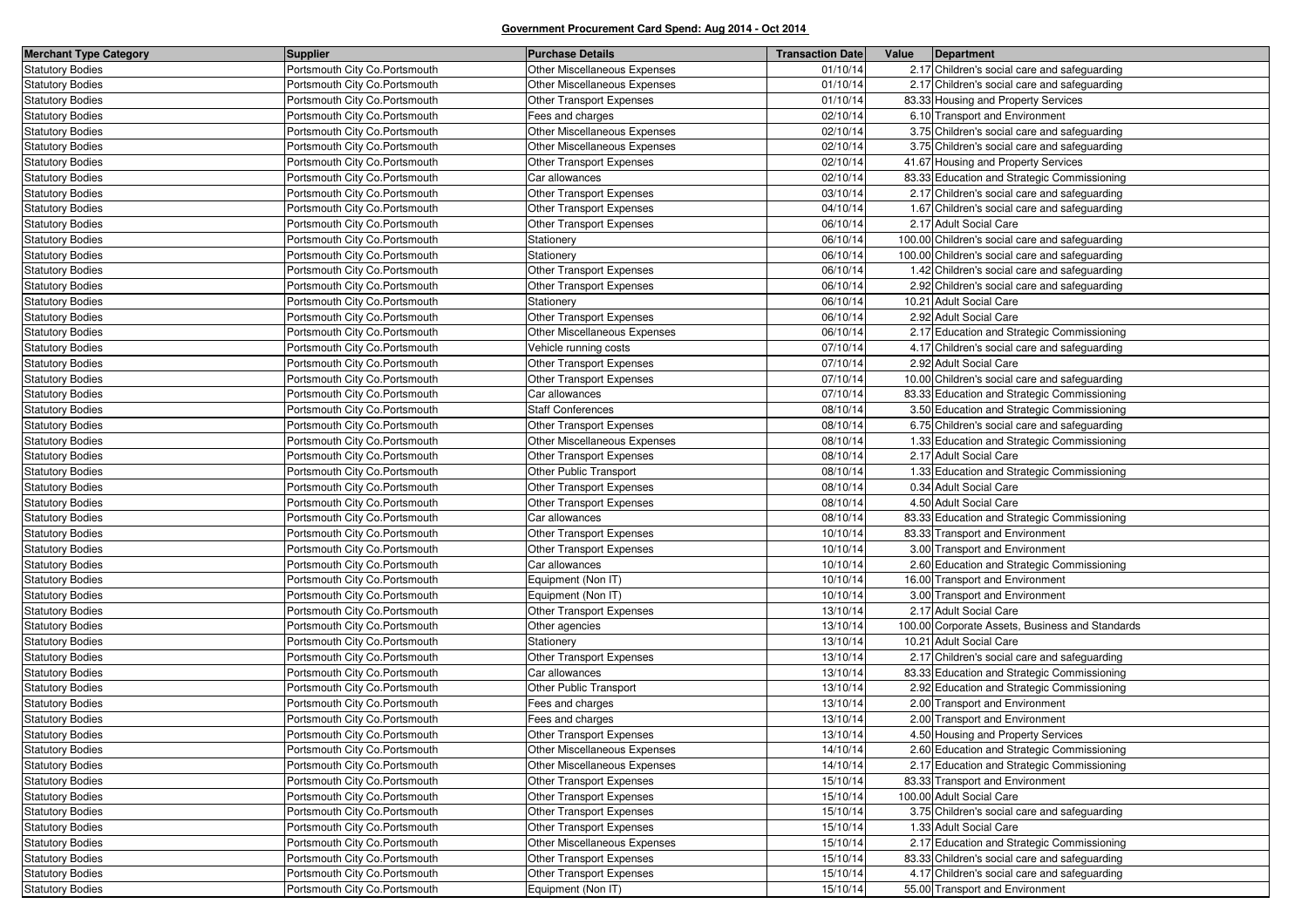| <b>Merchant Type Category</b> | <b>Supplier</b>                | <b>Purchase Details</b>         | <b>Transaction Date</b> | Value | Department                                      |
|-------------------------------|--------------------------------|---------------------------------|-------------------------|-------|-------------------------------------------------|
| <b>Statutory Bodies</b>       | Portsmouth City Co.Portsmouth  | Other Miscellaneous Expenses    | 01/10/14                |       | 2.17 Children's social care and safeguarding    |
| <b>Statutory Bodies</b>       | Portsmouth City Co. Portsmouth | Other Miscellaneous Expenses    | 01/10/14                |       | 2.17 Children's social care and safeguarding    |
| <b>Statutory Bodies</b>       | Portsmouth City Co. Portsmouth | Other Transport Expenses        | 01/10/14                |       | 83.33 Housing and Property Services             |
| <b>Statutory Bodies</b>       | Portsmouth City Co.Portsmouth  | Fees and charges                | 02/10/14                |       | 6.10 Transport and Environment                  |
| <b>Statutory Bodies</b>       | Portsmouth City Co.Portsmouth  | Other Miscellaneous Expenses    | 02/10/14                |       | 3.75 Children's social care and safeguarding    |
| <b>Statutory Bodies</b>       | Portsmouth City Co. Portsmouth | Other Miscellaneous Expenses    | 02/10/14                |       | 3.75 Children's social care and safeguarding    |
| <b>Statutory Bodies</b>       | Portsmouth City Co. Portsmouth | Other Transport Expenses        | 02/10/14                |       | 41.67 Housing and Property Services             |
| <b>Statutory Bodies</b>       | Portsmouth City Co. Portsmouth | Car allowances                  | 02/10/14                |       | 83.33 Education and Strategic Commissioning     |
| <b>Statutory Bodies</b>       | Portsmouth City Co.Portsmouth  | Other Transport Expenses        | 03/10/14                |       | 2.17 Children's social care and safeguarding    |
| <b>Statutory Bodies</b>       | Portsmouth City Co. Portsmouth | Other Transport Expenses        | 04/10/14                |       | 1.67 Children's social care and safeguarding    |
| <b>Statutory Bodies</b>       | Portsmouth City Co. Portsmouth | Other Transport Expenses        | 06/10/14                |       | 2.17 Adult Social Care                          |
| <b>Statutory Bodies</b>       | Portsmouth City Co. Portsmouth | Stationery                      | 06/10/14                |       | 100.00 Children's social care and safeguarding  |
| <b>Statutory Bodies</b>       | Portsmouth City Co. Portsmouth | Stationery                      | 06/10/14                |       | 100.00 Children's social care and safeguarding  |
| <b>Statutory Bodies</b>       | Portsmouth City Co.Portsmouth  | Other Transport Expenses        | 06/10/14                |       | 1.42 Children's social care and safeguarding    |
| <b>Statutory Bodies</b>       | Portsmouth City Co. Portsmouth | Other Transport Expenses        | 06/10/14                |       | 2.92 Children's social care and safeguarding    |
| <b>Statutory Bodies</b>       | Portsmouth City Co. Portsmouth | Stationery                      | 06/10/14                |       | 10.21 Adult Social Care                         |
| <b>Statutory Bodies</b>       | Portsmouth City Co.Portsmouth  | Other Transport Expenses        | 06/10/14                |       | 2.92 Adult Social Care                          |
| <b>Statutory Bodies</b>       | Portsmouth City Co. Portsmouth | Other Miscellaneous Expenses    | 06/10/14                |       | 2.17 Education and Strategic Commissioning      |
| <b>Statutory Bodies</b>       | Portsmouth City Co. Portsmouth | Vehicle running costs           | 07/10/14                |       | 4.17 Children's social care and safeguarding    |
| <b>Statutory Bodies</b>       | Portsmouth City Co. Portsmouth | Other Transport Expenses        | 07/10/14                |       | 2.92 Adult Social Care                          |
| <b>Statutory Bodies</b>       | Portsmouth City Co. Portsmouth | Other Transport Expenses        | 07/10/14                |       | 10.00 Children's social care and safeguarding   |
| <b>Statutory Bodies</b>       | Portsmouth City Co.Portsmouth  | Car allowances                  | 07/10/14                |       | 83.33 Education and Strategic Commissioning     |
| <b>Statutory Bodies</b>       | Portsmouth City Co. Portsmouth | <b>Staff Conferences</b>        | 08/10/14                |       | 3.50 Education and Strategic Commissioning      |
| <b>Statutory Bodies</b>       | Portsmouth City Co. Portsmouth | <b>Other Transport Expenses</b> | 08/10/14                |       | 6.75 Children's social care and safeguarding    |
| <b>Statutory Bodies</b>       | Portsmouth City Co. Portsmouth | Other Miscellaneous Expenses    | 08/10/14                |       | 1.33 Education and Strategic Commissioning      |
| <b>Statutory Bodies</b>       | Portsmouth City Co. Portsmouth | Other Transport Expenses        | 08/10/14                |       | 2.17 Adult Social Care                          |
| <b>Statutory Bodies</b>       | Portsmouth City Co. Portsmouth | Other Public Transport          | 08/10/14                |       | 1.33 Education and Strategic Commissioning      |
| <b>Statutory Bodies</b>       | Portsmouth City Co.Portsmouth  | Other Transport Expenses        | 08/10/14                |       | 0.34 Adult Social Care                          |
| <b>Statutory Bodies</b>       | Portsmouth City Co. Portsmouth | Other Transport Expenses        | 08/10/14                |       | 4.50 Adult Social Care                          |
| <b>Statutory Bodies</b>       | Portsmouth City Co. Portsmouth | Car allowances                  | 08/10/14                |       | 83.33 Education and Strategic Commissioning     |
| <b>Statutory Bodies</b>       | Portsmouth City Co. Portsmouth | Other Transport Expenses        | 10/10/14                |       | 83.33 Transport and Environment                 |
| <b>Statutory Bodies</b>       | Portsmouth City Co. Portsmouth | Other Transport Expenses        | 10/10/14                |       | 3.00 Transport and Environment                  |
| <b>Statutory Bodies</b>       | Portsmouth City Co. Portsmouth | Car allowances                  | 10/10/14                |       | 2.60 Education and Strategic Commissioning      |
| <b>Statutory Bodies</b>       | Portsmouth City Co. Portsmouth | Equipment (Non IT)              | 10/10/14                |       | 16.00 Transport and Environment                 |
| <b>Statutory Bodies</b>       | Portsmouth City Co. Portsmouth | Equipment (Non IT)              | 10/10/14                |       | 3.00 Transport and Environment                  |
| <b>Statutory Bodies</b>       | Portsmouth City Co. Portsmouth | Other Transport Expenses        | 13/10/14                |       | 2.17 Adult Social Care                          |
| <b>Statutory Bodies</b>       | Portsmouth City Co. Portsmouth | Other agencies                  | 13/10/14                |       | 100.00 Corporate Assets, Business and Standards |
| <b>Statutory Bodies</b>       | Portsmouth City Co. Portsmouth | Stationery                      | 13/10/14                |       | 10.21 Adult Social Care                         |
| <b>Statutory Bodies</b>       | Portsmouth City Co.Portsmouth  | Other Transport Expenses        | 13/10/14                |       | 2.17 Children's social care and safeguarding    |
| <b>Statutory Bodies</b>       | Portsmouth City Co. Portsmouth | Car allowances                  | 13/10/14                |       | 83.33 Education and Strategic Commissioning     |
| <b>Statutory Bodies</b>       | Portsmouth City Co. Portsmouth | Other Public Transport          | 13/10/14                |       | 2.92 Education and Strategic Commissioning      |
| <b>Statutory Bodies</b>       | Portsmouth City Co. Portsmouth | Fees and charges                | 13/10/14                |       | 2.00 Transport and Environment                  |
| <b>Statutory Bodies</b>       | Portsmouth City Co. Portsmouth | Fees and charges                | 13/10/14                |       | 2.00 Transport and Environment                  |
| <b>Statutory Bodies</b>       | Portsmouth City Co. Portsmouth | <b>Other Transport Expenses</b> | 13/10/14                |       | 4.50 Housing and Property Services              |
| <b>Statutory Bodies</b>       | Portsmouth City Co. Portsmouth | Other Miscellaneous Expenses    | 14/10/14                |       | 2.60 Education and Strategic Commissioning      |
| <b>Statutory Bodies</b>       | Portsmouth City Co. Portsmouth | Other Miscellaneous Expenses    | 14/10/14                |       | 2.17 Education and Strategic Commissioning      |
| <b>Statutory Bodies</b>       | Portsmouth City Co.Portsmouth  | Other Transport Expenses        | 15/10/14                |       | 83.33 Transport and Environment                 |
| <b>Statutory Bodies</b>       | Portsmouth City Co.Portsmouth  | Other Transport Expenses        | 15/10/14                |       | 100.00 Adult Social Care                        |
| <b>Statutory Bodies</b>       | Portsmouth City Co. Portsmouth | Other Transport Expenses        | 15/10/14                |       | 3.75 Children's social care and safeguarding    |
| <b>Statutory Bodies</b>       | Portsmouth City Co. Portsmouth | Other Transport Expenses        | 15/10/14                |       | 1.33 Adult Social Care                          |
| <b>Statutory Bodies</b>       | Portsmouth City Co.Portsmouth  | Other Miscellaneous Expenses    | 15/10/14                |       | 2.17 Education and Strategic Commissioning      |
| <b>Statutory Bodies</b>       | Portsmouth City Co. Portsmouth | Other Transport Expenses        | 15/10/14                |       | 83.33 Children's social care and safeguarding   |
| <b>Statutory Bodies</b>       | Portsmouth City Co. Portsmouth | Other Transport Expenses        | 15/10/14                |       | 4.17 Children's social care and safeguarding    |
| Statutory Bodies              | Portsmouth City Co. Portsmouth | Equipment (Non IT)              | 15/10/14                |       | 55.00 Transport and Environment                 |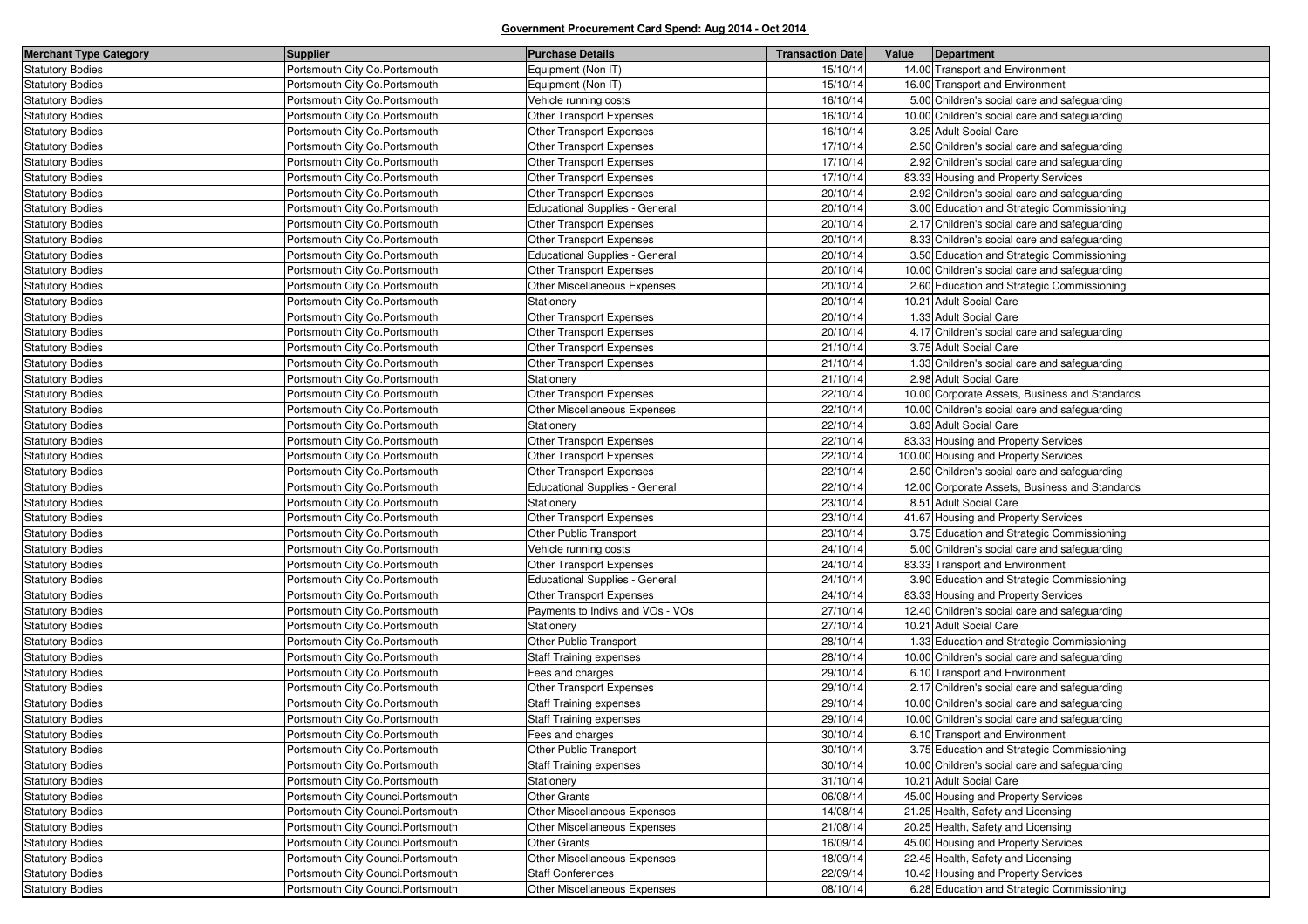| <b>Merchant Type Category</b> | Supplier                           | <b>Purchase Details</b>               | <b>Transaction Date</b> | Value | Department                                     |
|-------------------------------|------------------------------------|---------------------------------------|-------------------------|-------|------------------------------------------------|
| <b>Statutory Bodies</b>       | Portsmouth City Co.Portsmouth      | Equipment (Non IT)                    | 15/10/14                |       | 14.00 Transport and Environment                |
| <b>Statutory Bodies</b>       | Portsmouth City Co. Portsmouth     | Equipment (Non IT)                    | 15/10/14                |       | 16.00 Transport and Environment                |
| <b>Statutory Bodies</b>       | Portsmouth City Co. Portsmouth     | Vehicle running costs                 | 16/10/14                |       | 5.00 Children's social care and safeguarding   |
| <b>Statutory Bodies</b>       | Portsmouth City Co.Portsmouth      | Other Transport Expenses              | 16/10/14                |       | 10.00 Children's social care and safeguarding  |
| <b>Statutory Bodies</b>       | Portsmouth City Co. Portsmouth     | <b>Other Transport Expenses</b>       | 16/10/14                |       | 3.25 Adult Social Care                         |
| <b>Statutory Bodies</b>       | Portsmouth City Co. Portsmouth     | <b>Other Transport Expenses</b>       | 17/10/14                |       | 2.50 Children's social care and safeguarding   |
| <b>Statutory Bodies</b>       | Portsmouth City Co.Portsmouth      | <b>Other Transport Expenses</b>       | 17/10/14                |       | 2.92 Children's social care and safeguarding   |
| <b>Statutory Bodies</b>       | Portsmouth City Co. Portsmouth     | Other Transport Expenses              | 17/10/14                |       | 83.33 Housing and Property Services            |
| <b>Statutory Bodies</b>       | Portsmouth City Co. Portsmouth     | <b>Other Transport Expenses</b>       | 20/10/14                |       | 2.92 Children's social care and safeguarding   |
| <b>Statutory Bodies</b>       | Portsmouth City Co.Portsmouth      | <b>Educational Supplies - General</b> | 20/10/14                |       | 3.00 Education and Strategic Commissioning     |
| <b>Statutory Bodies</b>       | Portsmouth City Co. Portsmouth     | Other Transport Expenses              | 20/10/14                |       | 2.17 Children's social care and safeguarding   |
| <b>Statutory Bodies</b>       | Portsmouth City Co. Portsmouth     | Other Transport Expenses              | 20/10/14                |       | 8.33 Children's social care and safeguarding   |
| <b>Statutory Bodies</b>       | Portsmouth City Co.Portsmouth      | <b>Educational Supplies - General</b> | 20/10/14                |       | 3.50 Education and Strategic Commissioning     |
| <b>Statutory Bodies</b>       | Portsmouth City Co.Portsmouth      | Other Transport Expenses              | 20/10/14                |       | 10.00 Children's social care and safeguarding  |
| <b>Statutory Bodies</b>       | Portsmouth City Co. Portsmouth     | Other Miscellaneous Expenses          | 20/10/14                |       | 2.60 Education and Strategic Commissioning     |
| <b>Statutory Bodies</b>       | Portsmouth City Co.Portsmouth      | Stationery                            | 20/10/14                |       | 10.21 Adult Social Care                        |
| <b>Statutory Bodies</b>       | Portsmouth City Co. Portsmouth     | Other Transport Expenses              | 20/10/14                |       | 1.33 Adult Social Care                         |
| <b>Statutory Bodies</b>       | Portsmouth City Co. Portsmouth     | Other Transport Expenses              | 20/10/14                |       | 4.17 Children's social care and safeguarding   |
| <b>Statutory Bodies</b>       | Portsmouth City Co.Portsmouth      | Other Transport Expenses              | 21/10/14                |       | 3.75 Adult Social Care                         |
| <b>Statutory Bodies</b>       | Portsmouth City Co. Portsmouth     | Other Transport Expenses              | 21/10/14                |       | 1.33 Children's social care and safeguarding   |
| <b>Statutory Bodies</b>       | Portsmouth City Co. Portsmouth     | Stationery                            | 21/10/14                |       | 2.98 Adult Social Care                         |
| <b>Statutory Bodies</b>       | Portsmouth City Co.Portsmouth      | Other Transport Expenses              | 22/10/14                |       | 10.00 Corporate Assets, Business and Standards |
| <b>Statutory Bodies</b>       | Portsmouth City Co.Portsmouth      | Other Miscellaneous Expenses          | 22/10/14                |       | 10.00 Children's social care and safeguarding  |
| <b>Statutory Bodies</b>       | Portsmouth City Co. Portsmouth     | Stationery                            | 22/10/14                |       | 3.83 Adult Social Care                         |
| <b>Statutory Bodies</b>       | Portsmouth City Co.Portsmouth      | Other Transport Expenses              | 22/10/14                |       | 83.33 Housing and Property Services            |
| <b>Statutory Bodies</b>       | Portsmouth City Co.Portsmouth      | Other Transport Expenses              | 22/10/14                |       | 100.00 Housing and Property Services           |
| <b>Statutory Bodies</b>       | Portsmouth City Co. Portsmouth     | Other Transport Expenses              | 22/10/14                |       | 2.50 Children's social care and safeguarding   |
| <b>Statutory Bodies</b>       | Portsmouth City Co. Portsmouth     | <b>Educational Supplies - General</b> | 22/10/14                |       | 12.00 Corporate Assets, Business and Standards |
| <b>Statutory Bodies</b>       | Portsmouth City Co. Portsmouth     | Stationery                            | 23/10/14                |       | 8.51 Adult Social Care                         |
| <b>Statutory Bodies</b>       | Portsmouth City Co. Portsmouth     | Other Transport Expenses              | 23/10/14                |       | 41.67 Housing and Property Services            |
| <b>Statutory Bodies</b>       | Portsmouth City Co. Portsmouth     | Other Public Transport                | 23/10/14                |       | 3.75 Education and Strategic Commissioning     |
| <b>Statutory Bodies</b>       | Portsmouth City Co. Portsmouth     | Vehicle running costs                 | 24/10/14                |       | 5.00 Children's social care and safeguarding   |
| <b>Statutory Bodies</b>       | Portsmouth City Co. Portsmouth     | Other Transport Expenses              | 24/10/14                |       | 83.33 Transport and Environment                |
| <b>Statutory Bodies</b>       | Portsmouth City Co. Portsmouth     | <b>Educational Supplies - General</b> | 24/10/14                |       | 3.90 Education and Strategic Commissioning     |
| <b>Statutory Bodies</b>       | Portsmouth City Co. Portsmouth     | <b>Other Transport Expenses</b>       | 24/10/14                |       | 83.33 Housing and Property Services            |
| <b>Statutory Bodies</b>       | Portsmouth City Co. Portsmouth     | Payments to Indivs and VOs - VOs      | 27/10/14                |       | 12.40 Children's social care and safeguarding  |
| <b>Statutory Bodies</b>       | Portsmouth City Co. Portsmouth     | Stationery                            | 27/10/14                |       | 10.21 Adult Social Care                        |
| <b>Statutory Bodies</b>       | Portsmouth City Co.Portsmouth      | Other Public Transport                | 28/10/14                |       | 1.33 Education and Strategic Commissioning     |
| <b>Statutory Bodies</b>       | Portsmouth City Co. Portsmouth     | <b>Staff Training expenses</b>        | 28/10/14                |       | 10.00 Children's social care and safeguarding  |
| <b>Statutory Bodies</b>       | Portsmouth City Co. Portsmouth     | Fees and charges                      | 29/10/14                |       | 6.10 Transport and Environment                 |
| <b>Statutory Bodies</b>       | Portsmouth City Co.Portsmouth      | Other Transport Expenses              | 29/10/14                |       | 2.17 Children's social care and safeguarding   |
| <b>Statutory Bodies</b>       | Portsmouth City Co. Portsmouth     | <b>Staff Training expenses</b>        | 29/10/14                |       | 10.00 Children's social care and safeguarding  |
| <b>Statutory Bodies</b>       | Portsmouth City Co. Portsmouth     | <b>Staff Training expenses</b>        | 29/10/14                |       | 10.00 Children's social care and safeguarding  |
| <b>Statutory Bodies</b>       | Portsmouth City Co. Portsmouth     | Fees and charges                      | 30/10/14                |       | 6.10 Transport and Environment                 |
| <b>Statutory Bodies</b>       | Portsmouth City Co. Portsmouth     | Other Public Transport                | 30/10/14                |       | 3.75 Education and Strategic Commissioning     |
| <b>Statutory Bodies</b>       | Portsmouth City Co.Portsmouth      | <b>Staff Training expenses</b>        | 30/10/14                |       | 10.00 Children's social care and safeguarding  |
| <b>Statutory Bodies</b>       | Portsmouth City Co. Portsmouth     | Stationery                            | 31/10/14                |       | 10.21 Adult Social Care                        |
| <b>Statutory Bodies</b>       | Portsmouth City Counci. Portsmouth | <b>Other Grants</b>                   | 06/08/14                |       | 45.00 Housing and Property Services            |
| <b>Statutory Bodies</b>       | Portsmouth City Counci. Portsmouth | Other Miscellaneous Expenses          | 14/08/14                |       | 21.25 Health, Safety and Licensing             |
| <b>Statutory Bodies</b>       | Portsmouth City Counci. Portsmouth | Other Miscellaneous Expenses          | 21/08/14                |       | 20.25 Health, Safety and Licensing             |
| <b>Statutory Bodies</b>       | Portsmouth City Counci. Portsmouth | <b>Other Grants</b>                   | 16/09/14                |       | 45.00 Housing and Property Services            |
| <b>Statutory Bodies</b>       | Portsmouth City Counci. Portsmouth | Other Miscellaneous Expenses          | 18/09/14                |       | 22.45 Health, Safety and Licensing             |
| <b>Statutory Bodies</b>       | Portsmouth City Counci. Portsmouth | <b>Staff Conferences</b>              | 22/09/14                |       | 10.42 Housing and Property Services            |
| <b>Statutory Bodies</b>       | Portsmouth City Counci. Portsmouth | Other Miscellaneous Expenses          | 08/10/14                |       | 6.28 Education and Strategic Commissioning     |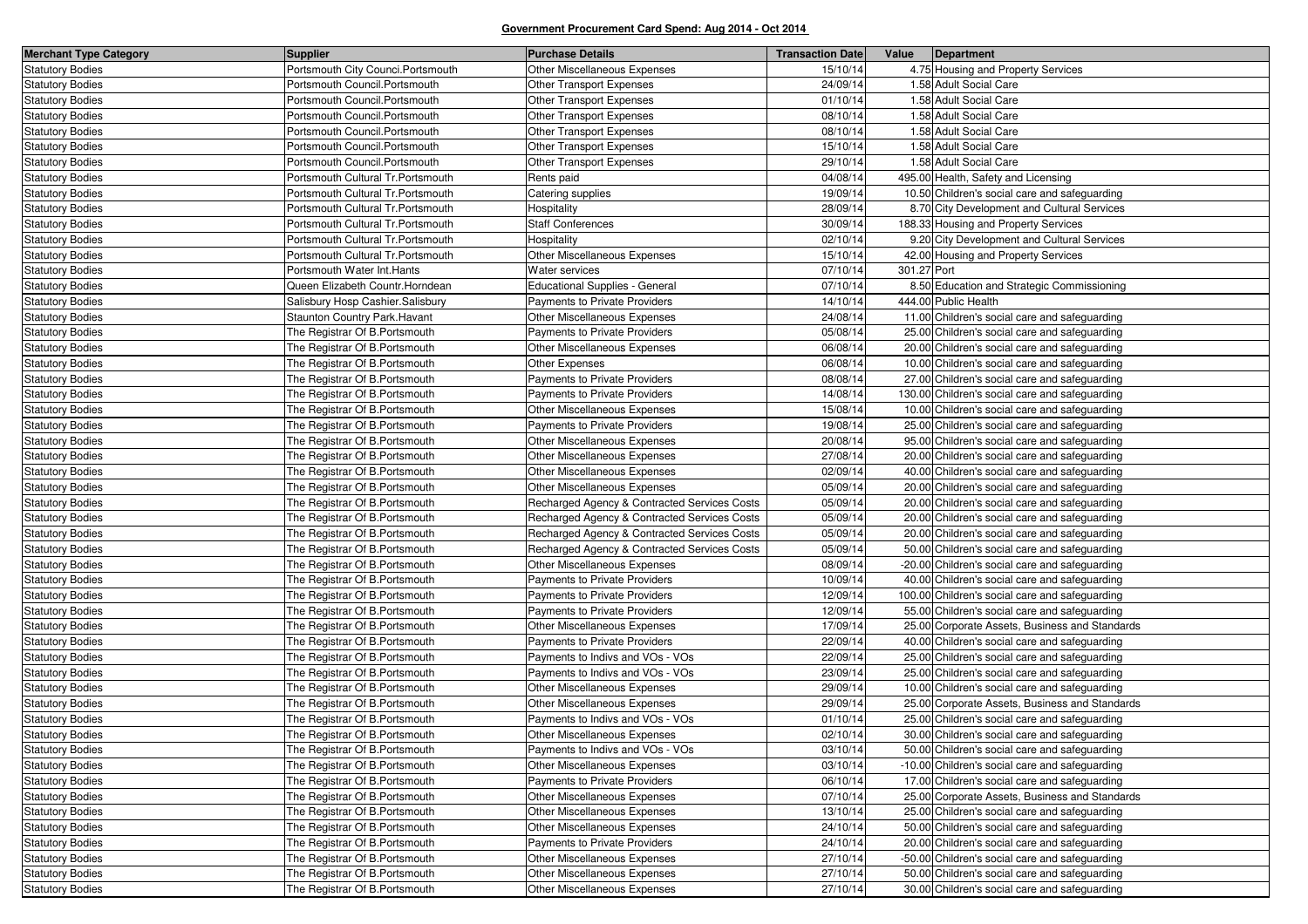| <b>Merchant Type Category</b> | <b>Supplier</b>                    | <b>Purchase Details</b>                      | <b>Transaction Date</b> | Value       | Department                                     |
|-------------------------------|------------------------------------|----------------------------------------------|-------------------------|-------------|------------------------------------------------|
| <b>Statutory Bodies</b>       | Portsmouth City Counci. Portsmouth | Other Miscellaneous Expenses                 | 15/10/14                |             | 4.75 Housing and Property Services             |
| <b>Statutory Bodies</b>       | Portsmouth Council. Portsmouth     | Other Transport Expenses                     | 24/09/14                |             | 1.58 Adult Social Care                         |
| <b>Statutory Bodies</b>       | Portsmouth Council.Portsmouth      | Other Transport Expenses                     | 01/10/14                |             | 1.58 Adult Social Care                         |
| <b>Statutory Bodies</b>       | Portsmouth Council. Portsmouth     | Other Transport Expenses                     | 08/10/14                |             | 1.58 Adult Social Care                         |
| <b>Statutory Bodies</b>       | Portsmouth Council. Portsmouth     | Other Transport Expenses                     | 08/10/14                |             | 1.58 Adult Social Care                         |
| <b>Statutory Bodies</b>       | Portsmouth Council.Portsmouth      | <b>Other Transport Expenses</b>              | 15/10/14                |             | 1.58 Adult Social Care                         |
| <b>Statutory Bodies</b>       | Portsmouth Council. Portsmouth     | Other Transport Expenses                     | 29/10/14                |             | 1.58 Adult Social Care                         |
| <b>Statutory Bodies</b>       | Portsmouth Cultural Tr. Portsmouth | Rents paid                                   | 04/08/14                |             | 495.00 Health, Safety and Licensing            |
| <b>Statutory Bodies</b>       | Portsmouth Cultural Tr. Portsmouth | Catering supplies                            | 19/09/14                |             | 10.50 Children's social care and safeguarding  |
| <b>Statutory Bodies</b>       | Portsmouth Cultural Tr. Portsmouth | Hospitality                                  | 28/09/14                |             | 8.70 City Development and Cultural Services    |
| <b>Statutory Bodies</b>       | Portsmouth Cultural Tr. Portsmouth | <b>Staff Conferences</b>                     | 30/09/14                |             | 188.33 Housing and Property Services           |
| <b>Statutory Bodies</b>       | Portsmouth Cultural Tr. Portsmouth | Hospitality                                  | 02/10/14                |             | 9.20 City Development and Cultural Services    |
| <b>Statutory Bodies</b>       | Portsmouth Cultural Tr. Portsmouth | Other Miscellaneous Expenses                 | 15/10/14                |             | 42.00 Housing and Property Services            |
| <b>Statutory Bodies</b>       | Portsmouth Water Int.Hants         | Water services                               | 07/10/14                | 301.27 Port |                                                |
| <b>Statutory Bodies</b>       | Queen Elizabeth Countr.Horndean    | <b>Educational Supplies - General</b>        | 07/10/14                |             | 8.50 Education and Strategic Commissioning     |
| <b>Statutory Bodies</b>       | Salisbury Hosp Cashier.Salisbury   | Payments to Private Providers                | 14/10/14                |             | 444.00 Public Health                           |
| <b>Statutory Bodies</b>       | Staunton Country Park.Havant       | Other Miscellaneous Expenses                 | 24/08/14                |             | 11.00 Children's social care and safeguarding  |
| <b>Statutory Bodies</b>       | The Registrar Of B. Portsmouth     | Payments to Private Providers                | 05/08/14                |             | 25.00 Children's social care and safeguarding  |
| <b>Statutory Bodies</b>       | The Registrar Of B.Portsmouth      | Other Miscellaneous Expenses                 | 06/08/14                |             | 20.00 Children's social care and safeguarding  |
| <b>Statutory Bodies</b>       | The Registrar Of B. Portsmouth     | Other Expenses                               | 06/08/14                |             | 10.00 Children's social care and safeguarding  |
| <b>Statutory Bodies</b>       | The Registrar Of B. Portsmouth     | Payments to Private Providers                | 08/08/14                |             | 27.00 Children's social care and safeguarding  |
| <b>Statutory Bodies</b>       | The Registrar Of B. Portsmouth     | Payments to Private Providers                | 14/08/14                |             | 130.00 Children's social care and safeguarding |
| <b>Statutory Bodies</b>       | The Registrar Of B. Portsmouth     | Other Miscellaneous Expenses                 | 15/08/14                |             | 10.00 Children's social care and safeguarding  |
| <b>Statutory Bodies</b>       | The Registrar Of B. Portsmouth     | Payments to Private Providers                | 19/08/14                |             | 25.00 Children's social care and safeguarding  |
| <b>Statutory Bodies</b>       | The Registrar Of B. Portsmouth     | Other Miscellaneous Expenses                 | 20/08/14                |             | 95.00 Children's social care and safeguarding  |
| <b>Statutory Bodies</b>       | The Registrar Of B. Portsmouth     | Other Miscellaneous Expenses                 | 27/08/14                |             | 20.00 Children's social care and safeguarding  |
| <b>Statutory Bodies</b>       | The Registrar Of B. Portsmouth     | Other Miscellaneous Expenses                 | 02/09/14                |             | 40.00 Children's social care and safeguarding  |
| <b>Statutory Bodies</b>       | The Registrar Of B. Portsmouth     | Other Miscellaneous Expenses                 | 05/09/14                |             | 20.00 Children's social care and safeguarding  |
| <b>Statutory Bodies</b>       | The Registrar Of B. Portsmouth     | Recharged Agency & Contracted Services Costs | 05/09/14                |             | 20.00 Children's social care and safeguarding  |
| <b>Statutory Bodies</b>       | The Registrar Of B.Portsmouth      | Recharged Agency & Contracted Services Costs | 05/09/14                |             | 20.00 Children's social care and safeguarding  |
| <b>Statutory Bodies</b>       | The Registrar Of B. Portsmouth     | Recharged Agency & Contracted Services Costs | 05/09/14                |             | 20.00 Children's social care and safeguarding  |
| <b>Statutory Bodies</b>       | The Registrar Of B. Portsmouth     | Recharged Agency & Contracted Services Costs | 05/09/14                |             | 50.00 Children's social care and safeguarding  |
| <b>Statutory Bodies</b>       | The Registrar Of B.Portsmouth      | Other Miscellaneous Expenses                 | 08/09/14                |             | -20.00 Children's social care and safeguarding |
| <b>Statutory Bodies</b>       | The Registrar Of B.Portsmouth      | Payments to Private Providers                | 10/09/14                |             | 40.00 Children's social care and safeguarding  |
| <b>Statutory Bodies</b>       | The Registrar Of B.Portsmouth      | Payments to Private Providers                | 12/09/14                |             | 100.00 Children's social care and safeguarding |
| <b>Statutory Bodies</b>       | The Registrar Of B.Portsmouth      | Payments to Private Providers                | 12/09/14                |             | 55.00 Children's social care and safeguarding  |
| <b>Statutory Bodies</b>       | The Registrar Of B.Portsmouth      | Other Miscellaneous Expenses                 | 17/09/14                |             | 25.00 Corporate Assets, Business and Standards |
| <b>Statutory Bodies</b>       | The Registrar Of B. Portsmouth     | Payments to Private Providers                | 22/09/14                |             | 40.00 Children's social care and safeguarding  |
| <b>Statutory Bodies</b>       | The Registrar Of B.Portsmouth      | Payments to Indivs and VOs - VOs             | 22/09/14                |             | 25.00 Children's social care and safeguarding  |
| <b>Statutory Bodies</b>       | The Registrar Of B.Portsmouth      | Payments to Indivs and VOs - VOs             | 23/09/14                |             | 25.00 Children's social care and safeguarding  |
| <b>Statutory Bodies</b>       | The Registrar Of B.Portsmouth      | Other Miscellaneous Expenses                 | 29/09/14                |             | 10.00 Children's social care and safeguarding  |
| <b>Statutory Bodies</b>       | The Registrar Of B.Portsmouth      | Other Miscellaneous Expenses                 | 29/09/14                |             | 25.00 Corporate Assets, Business and Standards |
| <b>Statutory Bodies</b>       | The Registrar Of B.Portsmouth      | Payments to Indivs and VOs - VOs             | 01/10/14                |             | 25.00 Children's social care and safeguarding  |
| <b>Statutory Bodies</b>       | The Registrar Of B.Portsmouth      | <b>Other Miscellaneous Expenses</b>          | 02/10/14                |             | 30.00 Children's social care and safeguarding  |
| <b>Statutory Bodies</b>       | The Registrar Of B.Portsmouth      | Payments to Indivs and VOs - VOs             | 03/10/14                |             | 50.00 Children's social care and safeguarding  |
| <b>Statutory Bodies</b>       | The Registrar Of B.Portsmouth      | Other Miscellaneous Expenses                 | 03/10/14                |             | -10.00 Children's social care and safeguarding |
| <b>Statutory Bodies</b>       | The Registrar Of B.Portsmouth      | Payments to Private Providers                | 06/10/14                |             | 17.00 Children's social care and safeguarding  |
| <b>Statutory Bodies</b>       | The Registrar Of B.Portsmouth      | Other Miscellaneous Expenses                 | 07/10/14                |             | 25.00 Corporate Assets, Business and Standards |
| <b>Statutory Bodies</b>       | The Registrar Of B.Portsmouth      | Other Miscellaneous Expenses                 | 13/10/14                |             | 25.00 Children's social care and safeguarding  |
| <b>Statutory Bodies</b>       | The Registrar Of B.Portsmouth      | Other Miscellaneous Expenses                 | 24/10/14                |             | 50.00 Children's social care and safeguarding  |
| <b>Statutory Bodies</b>       | The Registrar Of B.Portsmouth      | Payments to Private Providers                | 24/10/14                |             | 20.00 Children's social care and safeguarding  |
| <b>Statutory Bodies</b>       | The Registrar Of B.Portsmouth      | Other Miscellaneous Expenses                 | 27/10/14                |             | -50.00 Children's social care and safeguarding |
| <b>Statutory Bodies</b>       | The Registrar Of B.Portsmouth      | Other Miscellaneous Expenses                 | 27/10/14                |             | 50.00 Children's social care and safeguarding  |
| <b>Statutory Bodies</b>       | The Registrar Of B.Portsmouth      | Other Miscellaneous Expenses                 | 27/10/14                |             | 30.00 Children's social care and safeguarding  |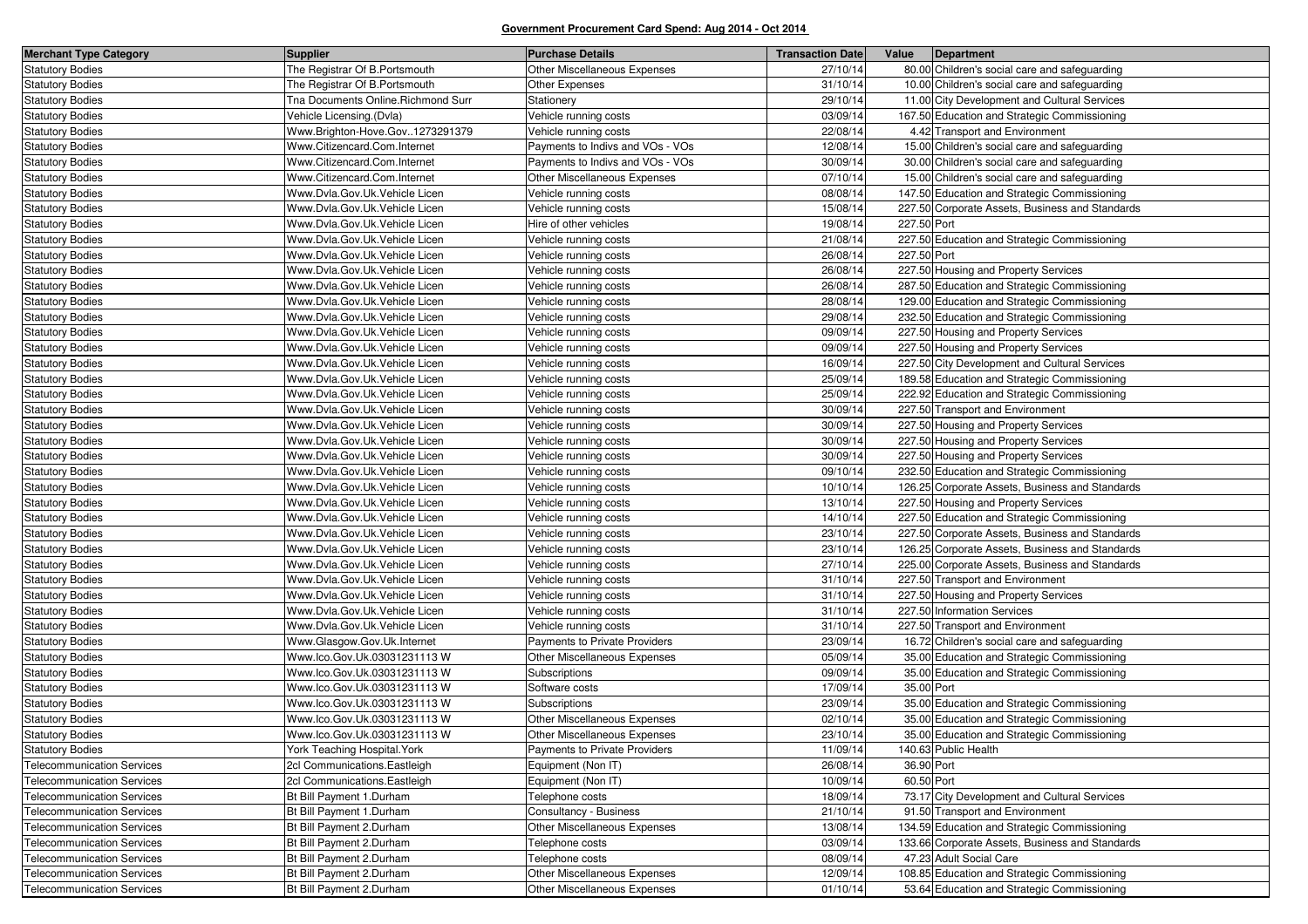| <b>Merchant Type Category</b>     | <b>Supplier</b>                    | <b>Purchase Details</b>          | <b>Transaction Date</b> | Value<br>Department                             |
|-----------------------------------|------------------------------------|----------------------------------|-------------------------|-------------------------------------------------|
| <b>Statutory Bodies</b>           | The Registrar Of B. Portsmouth     | Other Miscellaneous Expenses     | 27/10/14                | 80.00 Children's social care and safeguarding   |
| <b>Statutory Bodies</b>           | The Registrar Of B.Portsmouth      | Other Expenses                   | 31/10/14                | 10.00 Children's social care and safeguarding   |
| <b>Statutory Bodies</b>           | Tna Documents Online.Richmond Surr | Stationery                       | 29/10/14                | 11.00 City Development and Cultural Services    |
| <b>Statutory Bodies</b>           | Vehicle Licensing.(Dvla)           | Vehicle running costs            | 03/09/14                | 167.50 Education and Strategic Commissioning    |
| <b>Statutory Bodies</b>           | Www.Brighton-Hove.Gov1273291379    | Vehicle running costs            | 22/08/14                | 4.42 Transport and Environment                  |
| <b>Statutory Bodies</b>           | Www.Citizencard.Com.Internet       | Payments to Indivs and VOs - VOs | 12/08/14                | 15.00 Children's social care and safeguarding   |
| <b>Statutory Bodies</b>           | Www.Citizencard.Com.Internet       | Payments to Indivs and VOs - VOs | 30/09/14                | 30.00 Children's social care and safeguarding   |
| <b>Statutory Bodies</b>           | Www.Citizencard.Com.Internet       | Other Miscellaneous Expenses     | 07/10/14                | 15.00 Children's social care and safeguarding   |
| <b>Statutory Bodies</b>           | Www.Dvla.Gov.Uk.Vehicle Licen      | Vehicle running costs            | 08/08/14                | 147.50 Education and Strategic Commissioning    |
| <b>Statutory Bodies</b>           | Www.Dvla.Gov.Uk.Vehicle Licen      | Vehicle running costs            | 15/08/14                | 227.50 Corporate Assets, Business and Standards |
| <b>Statutory Bodies</b>           | Www.Dvla.Gov.Uk.Vehicle Licen      | Hire of other vehicles           | 19/08/14                | 227.50 Port                                     |
| <b>Statutory Bodies</b>           | Www.Dvla.Gov.Uk.Vehicle Licen      | Vehicle running costs            | 21/08/14                | 227.50 Education and Strategic Commissioning    |
| <b>Statutory Bodies</b>           | Www.Dvla.Gov.Uk.Vehicle Licen      | Vehicle running costs            | 26/08/14                | 227.50 Port                                     |
| <b>Statutory Bodies</b>           | Www.Dvla.Gov.Uk.Vehicle Licen      | Vehicle running costs            | 26/08/14                | 227.50 Housing and Property Services            |
| <b>Statutory Bodies</b>           | Www.Dvla.Gov.Uk.Vehicle Licen      | Vehicle running costs            | 26/08/14                | 287.50 Education and Strategic Commissioning    |
| <b>Statutory Bodies</b>           | Www.Dvla.Gov.Uk.Vehicle Licen      | Vehicle running costs            | 28/08/14                | 129.00 Education and Strategic Commissioning    |
| <b>Statutory Bodies</b>           | Www.Dvla.Gov.Uk.Vehicle Licen      | Vehicle running costs            | 29/08/14                | 232.50 Education and Strategic Commissioning    |
| <b>Statutory Bodies</b>           | Www.Dvla.Gov.Uk.Vehicle Licen      | Vehicle running costs            | 09/09/14                | 227.50 Housing and Property Services            |
| <b>Statutory Bodies</b>           | Www.Dvla.Gov.Uk.Vehicle Licen      | Vehicle running costs            | 09/09/14                | 227.50 Housing and Property Services            |
| <b>Statutory Bodies</b>           | Www.Dvla.Gov.Uk.Vehicle Licen      | Vehicle running costs            | 16/09/14                | 227.50 City Development and Cultural Services   |
| <b>Statutory Bodies</b>           | Www.Dvla.Gov.Uk.Vehicle Licen      | Vehicle running costs            | 25/09/14                | 189.58 Education and Strategic Commissioning    |
| <b>Statutory Bodies</b>           | Www.Dvla.Gov.Uk.Vehicle Licen      | Vehicle running costs            | 25/09/14                | 222.92 Education and Strategic Commissioning    |
| <b>Statutory Bodies</b>           | Www.Dvla.Gov.Uk.Vehicle Licen      | Vehicle running costs            | 30/09/14                | 227.50 Transport and Environment                |
| <b>Statutory Bodies</b>           | Www.Dvla.Gov.Uk.Vehicle Licen      | Vehicle running costs            | 30/09/14                | 227.50 Housing and Property Services            |
| <b>Statutory Bodies</b>           | Www.Dvla.Gov.Uk.Vehicle Licen      | Vehicle running costs            | 30/09/14                | 227.50 Housing and Property Services            |
| <b>Statutory Bodies</b>           | Www.Dvla.Gov.Uk.Vehicle Licen      | Vehicle running costs            | 30/09/14                | 227.50 Housing and Property Services            |
| <b>Statutory Bodies</b>           | Www.Dvla.Gov.Uk.Vehicle Licen      | Vehicle running costs            | 09/10/14                | 232.50 Education and Strategic Commissioning    |
| <b>Statutory Bodies</b>           | Www.Dvla.Gov.Uk.Vehicle Licen      | Vehicle running costs            | 10/10/14                | 126.25 Corporate Assets, Business and Standards |
| <b>Statutory Bodies</b>           | Www.Dvla.Gov.Uk.Vehicle Licen      | Vehicle running costs            | 13/10/14                | 227.50 Housing and Property Services            |
| <b>Statutory Bodies</b>           | Www.Dvla.Gov.Uk.Vehicle Licen      | Vehicle running costs            | 14/10/14                | 227.50 Education and Strategic Commissioning    |
| <b>Statutory Bodies</b>           | Www.Dvla.Gov.Uk.Vehicle Licen      | Vehicle running costs            | 23/10/14                | 227.50 Corporate Assets, Business and Standards |
| <b>Statutory Bodies</b>           | Www.Dvla.Gov.Uk.Vehicle Licen      | Vehicle running costs            | 23/10/14                | 126.25 Corporate Assets, Business and Standards |
| <b>Statutory Bodies</b>           | Www.Dvla.Gov.Uk.Vehicle Licen      | Vehicle running costs            | 27/10/14                | 225.00 Corporate Assets, Business and Standards |
| <b>Statutory Bodies</b>           | Www.Dvla.Gov.Uk.Vehicle Licen      | Vehicle running costs            | 31/10/14                | 227.50 Transport and Environment                |
| <b>Statutory Bodies</b>           | Www.Dvla.Gov.Uk.Vehicle Licen      | Vehicle running costs            | 31/10/14                | 227.50 Housing and Property Services            |
| <b>Statutory Bodies</b>           | Www.Dvla.Gov.Uk.Vehicle Licen      | Vehicle running costs            | 31/10/14                | 227.50 Information Services                     |
| <b>Statutory Bodies</b>           | Www.Dvla.Gov.Uk.Vehicle Licen      | Vehicle running costs            | 31/10/14                | 227.50 Transport and Environment                |
| <b>Statutory Bodies</b>           | Www.Glasgow.Gov.Uk.Internet        | Payments to Private Providers    | 23/09/14                | 16.72 Children's social care and safeguarding   |
| <b>Statutory Bodies</b>           | Www.lco.Gov.Uk.03031231113 W       | Other Miscellaneous Expenses     | 05/09/14                | 35.00 Education and Strategic Commissioning     |
| <b>Statutory Bodies</b>           | Www.lco.Gov.Uk.03031231113 W       | Subscriptions                    | 09/09/14                | 35.00 Education and Strategic Commissioning     |
| <b>Statutory Bodies</b>           | Www.lco.Gov.Uk.03031231113 W       | Software costs                   | 17/09/14                | 35.00 Port                                      |
| <b>Statutory Bodies</b>           | Www.lco.Gov.Uk.03031231113 W       | Subscriptions                    | 23/09/14                | 35.00 Education and Strategic Commissioning     |
| <b>Statutory Bodies</b>           | Www.lco.Gov.Uk.03031231113 W       | Other Miscellaneous Expenses     | 02/10/14                | 35.00 Education and Strategic Commissioning     |
| <b>Statutory Bodies</b>           | Www.lco.Gov.Uk.03031231113 W       | Other Miscellaneous Expenses     | 23/10/14                | 35.00 Education and Strategic Commissioning     |
| <b>Statutory Bodies</b>           | York Teaching Hospital York        | Payments to Private Providers    | 11/09/14                | 140.63 Public Health                            |
| <b>Telecommunication Services</b> | 2cl Communications. Eastleigh      | Equipment (Non IT)               | 26/08/14                | 36.90 Port                                      |
| <b>Telecommunication Services</b> | 2cl Communications. Eastleigh      | Equipment (Non IT)               | 10/09/14                | 60.50 Port                                      |
| <b>Telecommunication Services</b> | Bt Bill Payment 1.Durham           | Telephone costs                  | 18/09/14                | 73.17 City Development and Cultural Services    |
| <b>Telecommunication Services</b> | Bt Bill Payment 1.Durham           | Consultancy - Business           | 21/10/14                | 91.50 Transport and Environment                 |
| <b>Telecommunication Services</b> | Bt Bill Payment 2.Durham           | Other Miscellaneous Expenses     | 13/08/14                | 134.59 Education and Strategic Commissioning    |
| <b>Telecommunication Services</b> | Bt Bill Payment 2.Durham           | Telephone costs                  | 03/09/14                | 133.66 Corporate Assets, Business and Standards |
| <b>Telecommunication Services</b> | Bt Bill Payment 2.Durham           | Telephone costs                  | 08/09/14                | 47.23 Adult Social Care                         |
| <b>Telecommunication Services</b> | Bt Bill Payment 2.Durham           | Other Miscellaneous Expenses     | 12/09/14                | 108.85 Education and Strategic Commissioning    |
| <b>Telecommunication Services</b> | Bt Bill Payment 2.Durham           | Other Miscellaneous Expenses     | 01/10/14                | 53.64 Education and Strategic Commissioning     |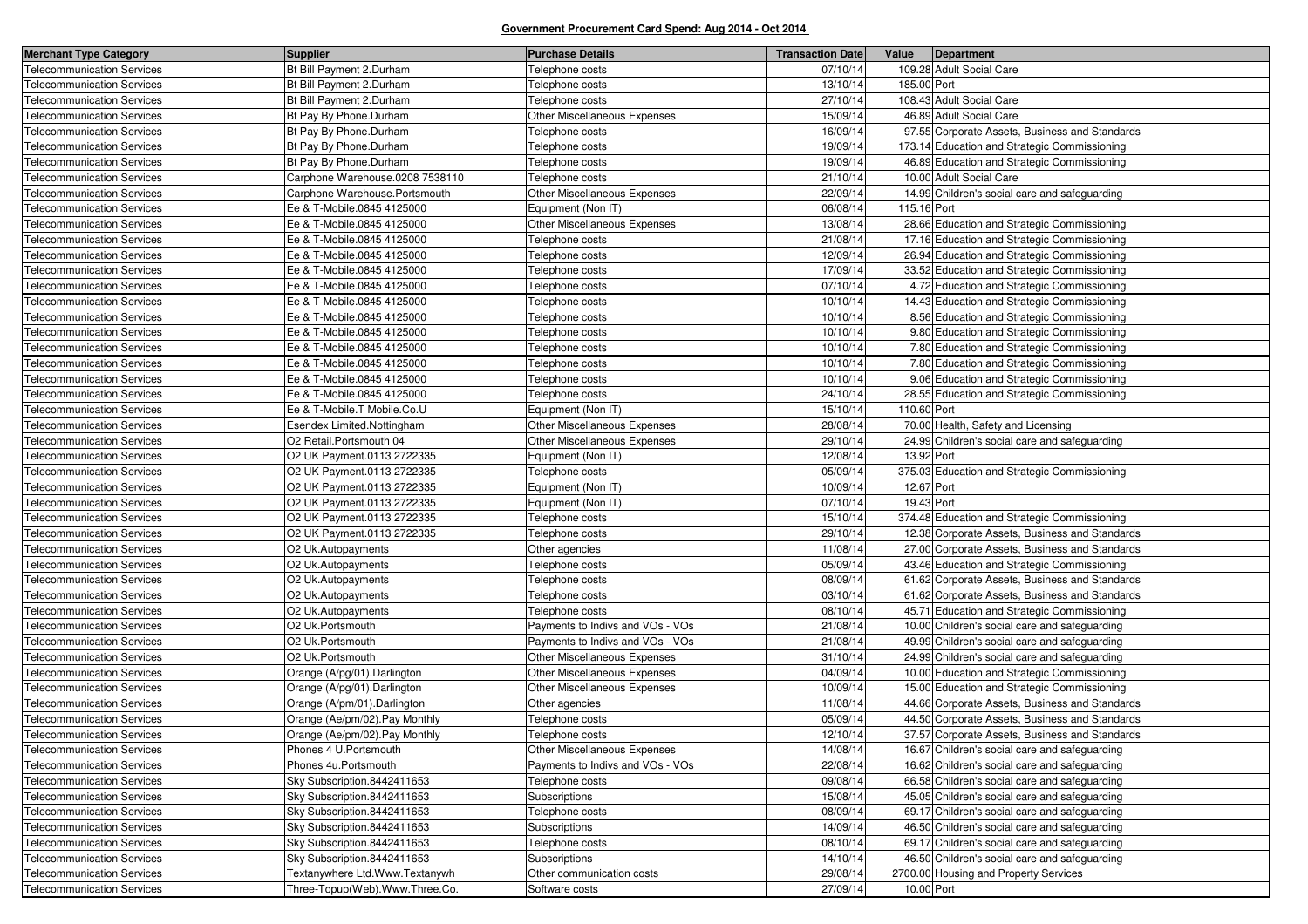| <b>Merchant Type Category</b>     | Supplier                        | <b>Purchase Details</b>          | <b>Transaction Date</b> | Value       | Department                                     |
|-----------------------------------|---------------------------------|----------------------------------|-------------------------|-------------|------------------------------------------------|
| <b>Telecommunication Services</b> | Bt Bill Payment 2.Durham        | Telephone costs                  | 07/10/14                |             | 109.28 Adult Social Care                       |
| <b>Telecommunication Services</b> | Bt Bill Payment 2.Durham        | Telephone costs                  | 13/10/14                | 185.00 Port |                                                |
| <b>Telecommunication Services</b> | Bt Bill Payment 2.Durham        | Telephone costs                  | 27/10/14                |             | 108.43 Adult Social Care                       |
| <b>Telecommunication Services</b> | Bt Pay By Phone.Durham          | Other Miscellaneous Expenses     | 15/09/14                |             | 46.89 Adult Social Care                        |
| <b>Telecommunication Services</b> | Bt Pay By Phone.Durham          | Telephone costs                  | 16/09/14                |             | 97.55 Corporate Assets, Business and Standards |
| <b>Telecommunication Services</b> | Bt Pay By Phone.Durham          | Telephone costs                  | 19/09/14                |             | 173.14 Education and Strategic Commissioning   |
| <b>Telecommunication Services</b> | Bt Pay By Phone.Durham          | Telephone costs                  | 19/09/14                |             | 46.89 Education and Strategic Commissioning    |
| <b>Telecommunication Services</b> | Carphone Warehouse.0208 7538110 | Telephone costs                  | 21/10/14                |             | 10.00 Adult Social Care                        |
| <b>Telecommunication Services</b> | Carphone Warehouse.Portsmouth   | Other Miscellaneous Expenses     | 22/09/14                |             | 14.99 Children's social care and safeguarding  |
| <b>Telecommunication Services</b> | Ee & T-Mobile.0845 4125000      | Equipment (Non IT)               | 06/08/14                | 115.16 Port |                                                |
| <b>Telecommunication Services</b> | Ee & T-Mobile.0845 4125000      | Other Miscellaneous Expenses     | 13/08/14                |             | 28.66 Education and Strategic Commissioning    |
| <b>Telecommunication Services</b> | Ee & T-Mobile.0845 4125000      | Telephone costs                  | 21/08/14                |             | 17.16 Education and Strategic Commissioning    |
| <b>Telecommunication Services</b> | Ee & T-Mobile.0845 4125000      | Telephone costs                  | 12/09/14                |             | 26.94 Education and Strategic Commissioning    |
| <b>Telecommunication Services</b> | Ee & T-Mobile.0845 4125000      | Telephone costs                  | 17/09/14                |             | 33.52 Education and Strategic Commissioning    |
| <b>Telecommunication Services</b> | Ee & T-Mobile.0845 4125000      | Telephone costs                  | 07/10/14                |             | 4.72 Education and Strategic Commissioning     |
| <b>Telecommunication Services</b> | Ee & T-Mobile.0845 4125000      | Telephone costs                  | 10/10/14                |             | 14.43 Education and Strategic Commissioning    |
| <b>Telecommunication Services</b> | Ee & T-Mobile.0845 4125000      | Telephone costs                  | 10/10/14                |             | 8.56 Education and Strategic Commissioning     |
| <b>Telecommunication Services</b> | Ee & T-Mobile.0845 4125000      | Telephone costs                  | 10/10/14                |             | 9.80 Education and Strategic Commissioning     |
| <b>Telecommunication Services</b> | Ee & T-Mobile.0845 4125000      | Telephone costs                  | 10/10/14                |             | 7.80 Education and Strategic Commissioning     |
| <b>Telecommunication Services</b> | Ee & T-Mobile.0845 4125000      | Telephone costs                  | 10/10/14                |             | 7.80 Education and Strategic Commissioning     |
| <b>Telecommunication Services</b> | Ee & T-Mobile.0845 4125000      | Telephone costs                  | 10/10/14                |             | 9.06 Education and Strategic Commissioning     |
| <b>Telecommunication Services</b> | Ee & T-Mobile.0845 4125000      | Telephone costs                  | 24/10/14                |             | 28.55 Education and Strategic Commissioning    |
| <b>Telecommunication Services</b> | Ee & T-Mobile.T Mobile.Co.U     | Equipment (Non IT)               | 15/10/14                | 110.60 Port |                                                |
| <b>Telecommunication Services</b> | Esendex Limited.Nottingham      | Other Miscellaneous Expenses     | 28/08/14                |             | 70.00 Health, Safety and Licensing             |
| <b>Telecommunication Services</b> | O2 Retail.Portsmouth 04         | Other Miscellaneous Expenses     | 29/10/14                |             | 24.99 Children's social care and safeguarding  |
| <b>Telecommunication Services</b> | O2 UK Payment.0113 2722335      | Equipment (Non IT)               | 12/08/14                | 13.92 Port  |                                                |
| <b>Telecommunication Services</b> | O2 UK Payment.0113 2722335      | Telephone costs                  | 05/09/14                |             | 375.03 Education and Strategic Commissioning   |
| <b>Telecommunication Services</b> | O2 UK Payment.0113 2722335      | Equipment (Non IT)               | 10/09/14                | 12.67 Port  |                                                |
| <b>Telecommunication Services</b> | O2 UK Payment.0113 2722335      | Equipment (Non IT)               | 07/10/14                | 19.43 Port  |                                                |
| <b>Telecommunication Services</b> | O2 UK Payment.0113 2722335      | Telephone costs                  | 15/10/14                |             | 374.48 Education and Strategic Commissioning   |
| <b>Telecommunication Services</b> | O2 UK Payment.0113 2722335      | Telephone costs                  | 29/10/14                |             | 12.38 Corporate Assets, Business and Standards |
| <b>Telecommunication Services</b> | O2 Uk.Autopayments              | Other agencies                   | 11/08/14                |             | 27.00 Corporate Assets, Business and Standards |
| <b>Telecommunication Services</b> | O2 Uk.Autopayments              | Telephone costs                  | 05/09/14                |             | 43.46 Education and Strategic Commissioning    |
| <b>Telecommunication Services</b> | O2 Uk.Autopayments              | Telephone costs                  | 08/09/14                |             | 61.62 Corporate Assets, Business and Standards |
| <b>Telecommunication Services</b> | O2 Uk.Autopayments              | Telephone costs                  | 03/10/14                |             | 61.62 Corporate Assets, Business and Standards |
| <b>Telecommunication Services</b> | O2 Uk.Autopayments              | Telephone costs                  | 08/10/14                |             | 45.71 Education and Strategic Commissioning    |
| <b>Telecommunication Services</b> | O2 Uk.Portsmouth                | Payments to Indivs and VOs - VOs | 21/08/14                |             | 10.00 Children's social care and safeguarding  |
| <b>Telecommunication Services</b> | O2 Uk.Portsmouth                | Payments to Indivs and VOs - VOs | 21/08/14                |             | 49.99 Children's social care and safeguarding  |
| <b>Telecommunication Services</b> | O2 Uk.Portsmouth                | Other Miscellaneous Expenses     | 31/10/14                |             | 24.99 Children's social care and safeguarding  |
| <b>Telecommunication Services</b> | Orange (A/pg/01).Darlington     | Other Miscellaneous Expenses     | 04/09/14                |             | 10.00 Education and Strategic Commissioning    |
| <b>Telecommunication Services</b> | Orange (A/pg/01).Darlington     | Other Miscellaneous Expenses     | 10/09/14                |             | 15.00 Education and Strategic Commissioning    |
| <b>Telecommunication Services</b> | Orange (A/pm/01).Darlington     | Other agencies                   | 11/08/14                |             | 44.66 Corporate Assets, Business and Standards |
| <b>Telecommunication Services</b> | Orange (Ae/pm/02). Pay Monthly  | Telephone costs                  | 05/09/14                |             | 44.50 Corporate Assets, Business and Standards |
| <b>Telecommunication Services</b> | Orange (Ae/pm/02).Pay Monthly   | Telephone costs                  | 12/10/14                |             | 37.57 Corporate Assets, Business and Standards |
| <b>Telecommunication Services</b> | Phones 4 U.Portsmouth           | Other Miscellaneous Expenses     | 14/08/14                |             | 16.67 Children's social care and safeguarding  |
| <b>Telecommunication Services</b> | Phones 4u.Portsmouth            | Payments to Indivs and VOs - VOs | 22/08/14                |             | 16.62 Children's social care and safeguarding  |
| <b>Telecommunication Services</b> | Sky Subscription.8442411653     | Telephone costs                  | 09/08/14                |             | 66.58 Children's social care and safeguarding  |
| <b>Telecommunication Services</b> | Sky Subscription.8442411653     | Subscriptions                    | 15/08/14                |             | 45.05 Children's social care and safeguarding  |
| <b>Telecommunication Services</b> | Sky Subscription.8442411653     | Telephone costs                  | 08/09/14                |             | 69.17 Children's social care and safeguarding  |
| <b>Telecommunication Services</b> | Sky Subscription.8442411653     | Subscriptions                    | 14/09/14                |             | 46.50 Children's social care and safeguarding  |
| <b>Telecommunication Services</b> | Sky Subscription.8442411653     | Telephone costs                  | 08/10/14                |             | 69.17 Children's social care and safeguarding  |
| <b>Telecommunication Services</b> | Sky Subscription.8442411653     | Subscriptions                    | 14/10/14                |             | 46.50 Children's social care and safeguarding  |
| <b>Telecommunication Services</b> | Textanywhere Ltd.Www.Textanywh  | Other communication costs        | 29/08/14                |             | 2700.00 Housing and Property Services          |
| <b>Telecommunication Services</b> | Three-Topup(Web).Www.Three.Co.  | Software costs                   | 27/09/14                | 10.00 Port  |                                                |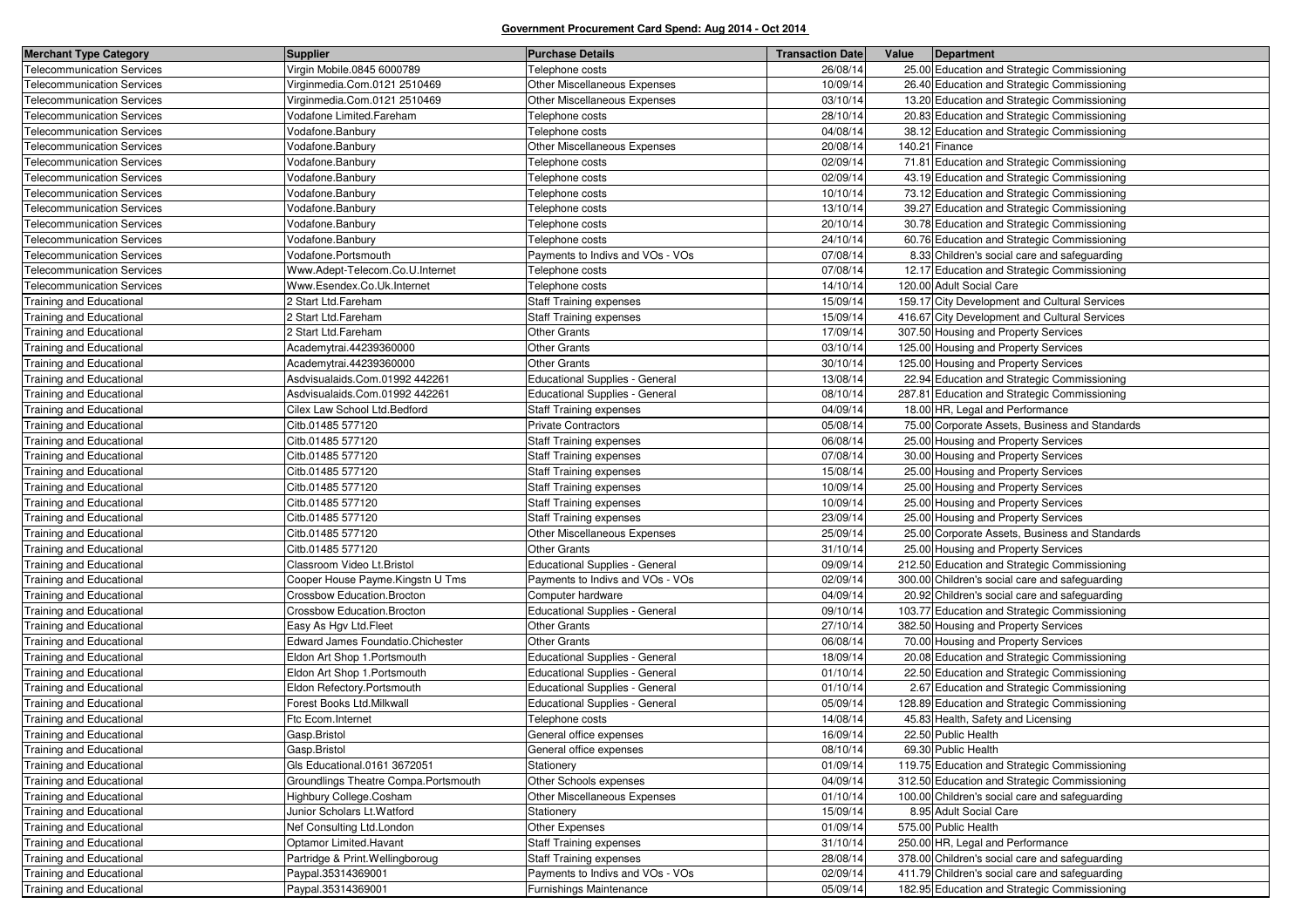| <b>Merchant Type Category</b>     | Supplier                                 | <b>Purchase Details</b>          | <b>Transaction Date</b> | Value | Department                                     |
|-----------------------------------|------------------------------------------|----------------------------------|-------------------------|-------|------------------------------------------------|
| <b>Telecommunication Services</b> | Virgin Mobile.0845 6000789               | Telephone costs                  | 26/08/14                |       | 25.00 Education and Strategic Commissioning    |
| <b>Telecommunication Services</b> | Virginmedia.Com.0121 2510469             | Other Miscellaneous Expenses     | 10/09/14                |       | 26.40 Education and Strategic Commissioning    |
| <b>Telecommunication Services</b> | Virginmedia.Com.0121 2510469             | Other Miscellaneous Expenses     | 03/10/14                |       | 13.20 Education and Strategic Commissioning    |
| <b>Telecommunication Services</b> | Vodafone Limited.Fareham                 | Telephone costs                  | 28/10/14                |       | 20.83 Education and Strategic Commissioning    |
| <b>Telecommunication Services</b> | Vodafone.Banbury                         | Telephone costs                  | 04/08/14                |       | 38.12 Education and Strategic Commissioning    |
| <b>Telecommunication Services</b> | Vodafone.Banbury                         | Other Miscellaneous Expenses     | 20/08/14                |       | 140.21 Finance                                 |
| <b>Telecommunication Services</b> | Vodafone.Banbury                         | Telephone costs                  | 02/09/14                |       | 71.81 Education and Strategic Commissioning    |
| <b>Telecommunication Services</b> | Vodafone.Banbury                         | Telephone costs                  | 02/09/14                |       | 43.19 Education and Strategic Commissioning    |
| <b>Telecommunication Services</b> | Vodafone.Banbury                         | Telephone costs                  | 10/10/14                |       | 73.12 Education and Strategic Commissioning    |
| <b>Telecommunication Services</b> | Vodafone.Banbury                         | Telephone costs                  | 13/10/14                |       | 39.27 Education and Strategic Commissioning    |
| <b>Telecommunication Services</b> | Vodafone.Banbury                         | Telephone costs                  | 20/10/14                |       | 30.78 Education and Strategic Commissioning    |
| <b>Telecommunication Services</b> | Vodafone.Banbury                         | Telephone costs                  | 24/10/14                |       | 60.76 Education and Strategic Commissioning    |
| <b>Telecommunication Services</b> | Vodafone.Portsmouth                      | Payments to Indivs and VOs - VOs | 07/08/14                |       | 8.33 Children's social care and safeguarding   |
| <b>Telecommunication Services</b> | Www.Adept-Telecom.Co.U.Internet          | Telephone costs                  | 07/08/14                |       | 12.17 Education and Strategic Commissioning    |
| <b>Telecommunication Services</b> | Www.Esendex.Co.Uk.Internet               | Telephone costs                  | 14/10/14                |       | 120.00 Adult Social Care                       |
| <b>Training and Educational</b>   | 2 Start Ltd.Fareham                      | <b>Staff Training expenses</b>   | 15/09/14                |       | 159.17 City Development and Cultural Services  |
| Training and Educational          | 2 Start Ltd.Fareham                      | <b>Staff Training expenses</b>   | 15/09/14                |       | 416.67 City Development and Cultural Services  |
| <b>Training and Educational</b>   | 2 Start Ltd.Fareham                      | <b>Other Grants</b>              | 17/09/14                |       | 307.50 Housing and Property Services           |
| <b>Training and Educational</b>   | Academytrai.44239360000                  | <b>Other Grants</b>              | 03/10/14                |       | 125.00 Housing and Property Services           |
| Training and Educational          | Academytrai.44239360000                  | <b>Other Grants</b>              | 30/10/14                |       | 125.00 Housing and Property Services           |
| Training and Educational          | Asdvisualaids.Com.01992 442261           | Educational Supplies - General   | 13/08/14                |       | 22.94 Education and Strategic Commissioning    |
| <b>Training and Educational</b>   | Asdvisualaids.Com.01992 442261           | Educational Supplies - General   | 08/10/14                |       | 287.81 Education and Strategic Commissioning   |
| Training and Educational          | Cilex Law School Ltd.Bedford             | <b>Staff Training expenses</b>   | 04/09/14                |       | 18.00 HR, Legal and Performance                |
| <b>Training and Educational</b>   | Citb.01485 577120                        | <b>Private Contractors</b>       | 05/08/14                |       | 75.00 Corporate Assets, Business and Standards |
| <b>Training and Educational</b>   | Citb.01485 577120                        | <b>Staff Training expenses</b>   | 06/08/14                |       | 25.00 Housing and Property Services            |
| <b>Training and Educational</b>   | Citb.01485 577120                        | <b>Staff Training expenses</b>   | 07/08/14                |       | 30.00 Housing and Property Services            |
| Training and Educational          | Citb.01485 577120                        | <b>Staff Training expenses</b>   | 15/08/14                |       | 25.00 Housing and Property Services            |
| <b>Training and Educational</b>   | Citb.01485 577120                        | <b>Staff Training expenses</b>   | 10/09/14                |       | 25.00 Housing and Property Services            |
| Training and Educational          | Citb.01485 577120                        | <b>Staff Training expenses</b>   | 10/09/14                |       | 25.00 Housing and Property Services            |
| <b>Training and Educational</b>   | Citb.01485 577120                        | <b>Staff Training expenses</b>   | 23/09/14                |       | 25.00 Housing and Property Services            |
| <b>Training and Educational</b>   | Citb.01485 577120                        | Other Miscellaneous Expenses     | 25/09/14                |       | 25.00 Corporate Assets, Business and Standards |
| <b>Training and Educational</b>   | Citb.01485 577120                        | <b>Other Grants</b>              | 31/10/14                |       | 25.00 Housing and Property Services            |
| Training and Educational          | Classroom Video Lt.Bristol               | Educational Supplies - General   | 09/09/14                |       | 212.50 Education and Strategic Commissioning   |
| <b>Training and Educational</b>   | Cooper House Payme.Kingstn U Tms         | Payments to Indivs and VOs - VOs | 02/09/14                |       | 300.00 Children's social care and safeguarding |
| <b>Training and Educational</b>   | Crossbow Education.Brocton               | Computer hardware                | 04/09/14                |       | 20.92 Children's social care and safeguarding  |
| Training and Educational          | Crossbow Education.Brocton               | Educational Supplies - General   | 09/10/14                |       | 103.77 Education and Strategic Commissioning   |
| <b>Training and Educational</b>   | Easy As Hgv Ltd. Fleet                   | <b>Other Grants</b>              | 27/10/14                |       | 382.50 Housing and Property Services           |
| Training and Educational          | <b>Edward James Foundatio.Chichester</b> | <b>Other Grants</b>              | 06/08/14                |       | 70.00 Housing and Property Services            |
| Training and Educational          | Eldon Art Shop 1. Portsmouth             | Educational Supplies - General   | 18/09/14                |       | 20.08 Education and Strategic Commissioning    |
| Training and Educational          | Eldon Art Shop 1. Portsmouth             | Educational Supplies - General   | 01/10/14                |       | 22.50 Education and Strategic Commissioning    |
| Training and Educational          | Eldon Refectory.Portsmouth               | Educational Supplies - General   | 01/10/14                |       | 2.67 Education and Strategic Commissioning     |
| Training and Educational          | Forest Books Ltd.Milkwall                | Educational Supplies - General   | 05/09/14                |       | 128.89 Education and Strategic Commissioning   |
| Training and Educational          | Ftc Ecom.Internet                        | Telephone costs                  | 14/08/14                |       | 45.83 Health, Safety and Licensing             |
| <b>Training and Educational</b>   | Gasp.Bristol                             | General office expenses          | 16/09/14                |       | 22.50 Public Health                            |
| Training and Educational          | Gasp.Bristol                             | General office expenses          | 08/10/14                |       | 69.30 Public Health                            |
| Training and Educational          | Gls Educational.0161 3672051             | Stationery                       | 01/09/14                |       | 119.75 Education and Strategic Commissioning   |
| Training and Educational          | Groundlings Theatre Compa.Portsmouth     | Other Schools expenses           | 04/09/14                |       | 312.50 Education and Strategic Commissioning   |
| Training and Educational          | Highbury College.Cosham                  | Other Miscellaneous Expenses     | 01/10/14                |       | 100.00 Children's social care and safeguarding |
| Training and Educational          | Junior Scholars Lt. Watford              | Stationery                       | 15/09/14                |       | 8.95 Adult Social Care                         |
| Training and Educational          | Nef Consulting Ltd.London                | Other Expenses                   | 01/09/14                |       | 575.00 Public Health                           |
| Training and Educational          | Optamor Limited.Havant                   | <b>Staff Training expenses</b>   | 31/10/14                |       | 250.00 HR, Legal and Performance               |
| Training and Educational          | Partridge & Print. Wellingboroug         | <b>Staff Training expenses</b>   | 28/08/14                |       | 378.00 Children's social care and safeguarding |
| Training and Educational          | Paypal.35314369001                       | Payments to Indivs and VOs - VOs | 02/09/14                |       | 411.79 Children's social care and safeguarding |
| Training and Educational          | Paypal.35314369001                       | Furnishings Maintenance          | 05/09/14                |       | 182.95 Education and Strategic Commissioning   |
|                                   |                                          |                                  |                         |       |                                                |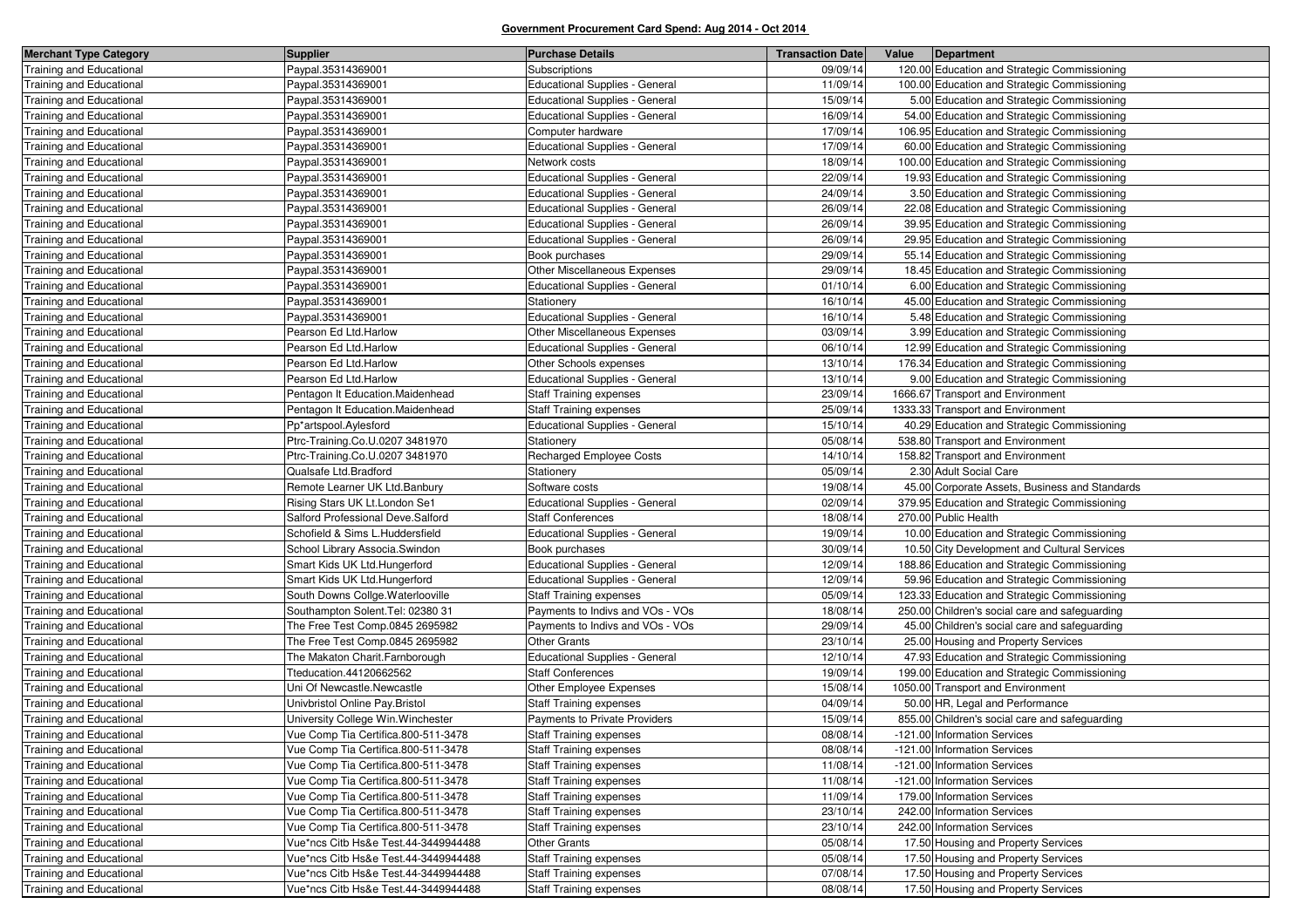| <b>Merchant Type Category</b>   | <b>Supplier</b>                      | <b>Purchase Details</b>               | <b>Transaction Date</b> | Value | Department                                     |
|---------------------------------|--------------------------------------|---------------------------------------|-------------------------|-------|------------------------------------------------|
| <b>Training and Educational</b> | Paypal.35314369001                   | Subscriptions                         | 09/09/14                |       | 120.00 Education and Strategic Commissioning   |
| <b>Training and Educational</b> | Paypal.35314369001                   | <b>Educational Supplies - General</b> | 11/09/14                |       | 100.00 Education and Strategic Commissioning   |
| <b>Training and Educational</b> | Paypal.35314369001                   | <b>Educational Supplies - General</b> | 15/09/14                |       | 5.00 Education and Strategic Commissioning     |
| <b>Training and Educational</b> | Paypal.35314369001                   | <b>Educational Supplies - General</b> | 16/09/14                |       | 54.00 Education and Strategic Commissioning    |
| <b>Training and Educational</b> | Paypal.35314369001                   | Computer hardware                     | 17/09/14                |       | 106.95 Education and Strategic Commissioning   |
| Fraining and Educational        | Paypal.35314369001                   | <b>Educational Supplies - General</b> | 17/09/14                |       | 60.00 Education and Strategic Commissioning    |
| <b>Fraining and Educational</b> | Paypal.35314369001                   | Network costs                         | 18/09/14                |       | 100.00 Education and Strategic Commissioning   |
| Training and Educational        | Paypal.35314369001                   | Educational Supplies - General        | 22/09/14                |       | 19.93 Education and Strategic Commissioning    |
| Fraining and Educational        | Paypal.35314369001                   | <b>Educational Supplies - General</b> | 24/09/14                |       | 3.50 Education and Strategic Commissioning     |
| <b>Training and Educational</b> | Paypal.35314369001                   | <b>Educational Supplies - General</b> | 26/09/14                |       | 22.08 Education and Strategic Commissioning    |
| Training and Educational        | Paypal.35314369001                   | Educational Supplies - General        | 26/09/14                |       | 39.95 Education and Strategic Commissioning    |
| <b>Training and Educational</b> | Paypal.35314369001                   | <b>Educational Supplies - General</b> | 26/09/14                |       | 29.95 Education and Strategic Commissioning    |
| <b>Fraining and Educational</b> | Paypal.35314369001                   | Book purchases                        | 29/09/14                |       | 55.14 Education and Strategic Commissioning    |
| <b>Training and Educational</b> | Paypal.35314369001                   | Other Miscellaneous Expenses          | 29/09/14                |       | 18.45 Education and Strategic Commissioning    |
| <b>Fraining and Educational</b> | Paypal.35314369001                   | <b>Educational Supplies - General</b> | 01/10/14                |       | 6.00 Education and Strategic Commissioning     |
| Training and Educational        | Paypal.35314369001                   | Stationery                            | 16/10/14                |       | 45.00 Education and Strategic Commissioning    |
| Training and Educational        | Paypal.35314369001                   | <b>Educational Supplies - General</b> | 16/10/14                |       | 5.48 Education and Strategic Commissioning     |
| <b>Training and Educational</b> | Pearson Ed Ltd.Harlow                | Other Miscellaneous Expenses          | 03/09/14                |       | 3.99 Education and Strategic Commissioning     |
| Training and Educational        | Pearson Ed Ltd.Harlow                | <b>Educational Supplies - General</b> | 06/10/14                |       | 12.99 Education and Strategic Commissioning    |
| <b>Training and Educational</b> | Pearson Ed Ltd.Harlow                | Other Schools expenses                | 13/10/14                |       | 176.34 Education and Strategic Commissioning   |
| <b>Training and Educational</b> | Pearson Ed Ltd.Harlow                | <b>Educational Supplies - General</b> | 13/10/14                |       | 9.00 Education and Strategic Commissioning     |
| <b>Fraining and Educational</b> | Pentagon It Education.Maidenhead     | <b>Staff Training expenses</b>        | 23/09/14                |       | 1666.67 Transport and Environment              |
| <b>Training and Educational</b> | Pentagon It Education.Maidenhead     | <b>Staff Training expenses</b>        | 25/09/14                |       | 1333.33 Transport and Environment              |
| <b>Training and Educational</b> | Pp*artspool.Aylesford                | <b>Educational Supplies - General</b> | 15/10/14                |       | 40.29 Education and Strategic Commissioning    |
| <b>Fraining and Educational</b> | Ptrc-Training.Co.U.0207 3481970      | Stationery                            | 05/08/14                |       | 538.80 Transport and Environment               |
| <b>Training and Educational</b> | Ptrc-Training.Co.U.0207 3481970      | <b>Recharged Employee Costs</b>       | 14/10/14                |       | 158.82 Transport and Environment               |
| <b>Training and Educational</b> | Qualsafe Ltd.Bradford                | Stationery                            | 05/09/14                |       | 2.30 Adult Social Care                         |
| <b>Fraining and Educational</b> | Remote Learner UK Ltd.Banbury        | Software costs                        | 19/08/14                |       | 45.00 Corporate Assets, Business and Standards |
| <b>Training and Educational</b> | Rising Stars UK Lt.London Se1        | <b>Educational Supplies - General</b> | 02/09/14                |       | 379.95 Education and Strategic Commissioning   |
| Training and Educational        | Salford Professional Deve.Salford    | <b>Staff Conferences</b>              | 18/08/14                |       | 270.00 Public Health                           |
| Fraining and Educational        | Schofield & Sims L.Huddersfield      | <b>Educational Supplies - General</b> | 19/09/14                |       | 10.00 Education and Strategic Commissioning    |
| Training and Educational        | School Library Associa.Swindon       | Book purchases                        | 30/09/14                |       | 10.50 City Development and Cultural Services   |
| <b>Training and Educational</b> | Smart Kids UK Ltd.Hungerford         | <b>Educational Supplies - General</b> | 12/09/14                |       | 188.86 Education and Strategic Commissioning   |
| Fraining and Educational        | Smart Kids UK Ltd.Hungerford         | <b>Educational Supplies - General</b> | 12/09/14                |       | 59.96 Education and Strategic Commissioning    |
| <b>Training and Educational</b> | South Downs Collge. Waterlooville    | <b>Staff Training expenses</b>        | 05/09/14                |       | 123.33 Education and Strategic Commissioning   |
| Training and Educational        | Southampton Solent. Tel: 02380 31    | Payments to Indivs and VOs - VOs      | 18/08/14                |       | 250.00 Children's social care and safeguarding |
| Fraining and Educational        | The Free Test Comp.0845 2695982      | Payments to Indivs and VOs - VOs      | 29/09/14                |       | 45.00 Children's social care and safeguarding  |
| <b>Training and Educational</b> | The Free Test Comp.0845 2695982      | <b>Other Grants</b>                   | 23/10/14                |       | 25.00 Housing and Property Services            |
| Training and Educational        | The Makaton Charit.Farnborough       | <b>Educational Supplies - General</b> | 12/10/14                |       | 47.93 Education and Strategic Commissioning    |
| Training and Educational        | Tteducation.44120662562              | <b>Staff Conferences</b>              | 19/09/14                |       | 199.00 Education and Strategic Commissioning   |
| <b>Training and Educational</b> | Uni Of Newcastle.Newcastle           | Other Employee Expenses               | 15/08/14                |       | 1050.00 Transport and Environment              |
| <b>Training and Educational</b> | Univbristol Online Pay.Bristol       | <b>Staff Training expenses</b>        | 04/09/14                |       | 50.00 HR, Legal and Performance                |
| <b>Training and Educational</b> | University College Win. Winchester   | Payments to Private Providers         | 15/09/14                |       | 855.00 Children's social care and safeguarding |
| <b>Training and Educational</b> | Vue Comp Tia Certifica.800-511-3478  | <b>Staff Training expenses</b>        | 08/08/14                |       | -121.00 Information Services                   |
| Training and Educational        | Vue Comp Tia Certifica.800-511-3478  | <b>Staff Training expenses</b>        | 08/08/14                |       | -121.00 Information Services                   |
| <b>Training and Educational</b> | Vue Comp Tia Certifica.800-511-3478  | <b>Staff Training expenses</b>        | 11/08/14                |       | -121.00 Information Services                   |
| Training and Educational        | Vue Comp Tia Certifica.800-511-3478  | <b>Staff Training expenses</b>        | 11/08/14                |       | -121.00 Information Services                   |
| Training and Educational        | Vue Comp Tia Certifica.800-511-3478  | <b>Staff Training expenses</b>        | 11/09/14                |       | 179.00 Information Services                    |
| Training and Educational        | Vue Comp Tia Certifica.800-511-3478  | <b>Staff Training expenses</b>        | 23/10/14                |       | 242.00 Information Services                    |
| Training and Educational        | Vue Comp Tia Certifica.800-511-3478  | <b>Staff Training expenses</b>        | 23/10/14                |       | 242.00 Information Services                    |
| Training and Educational        | Vue*ncs Citb Hs&e Test.44-3449944488 | <b>Other Grants</b>                   | 05/08/14                |       | 17.50 Housing and Property Services            |
| Training and Educational        | Vue*ncs Citb Hs&e Test.44-3449944488 | <b>Staff Training expenses</b>        | 05/08/14                |       | 17.50 Housing and Property Services            |
| Training and Educational        | Vue*ncs Citb Hs&e Test.44-3449944488 | <b>Staff Training expenses</b>        | 07/08/14                |       | 17.50 Housing and Property Services            |
| <b>Training and Educational</b> | Vue*ncs Citb Hs&e Test.44-3449944488 | <b>Staff Training expenses</b>        | 08/08/14                |       | 17.50 Housing and Property Services            |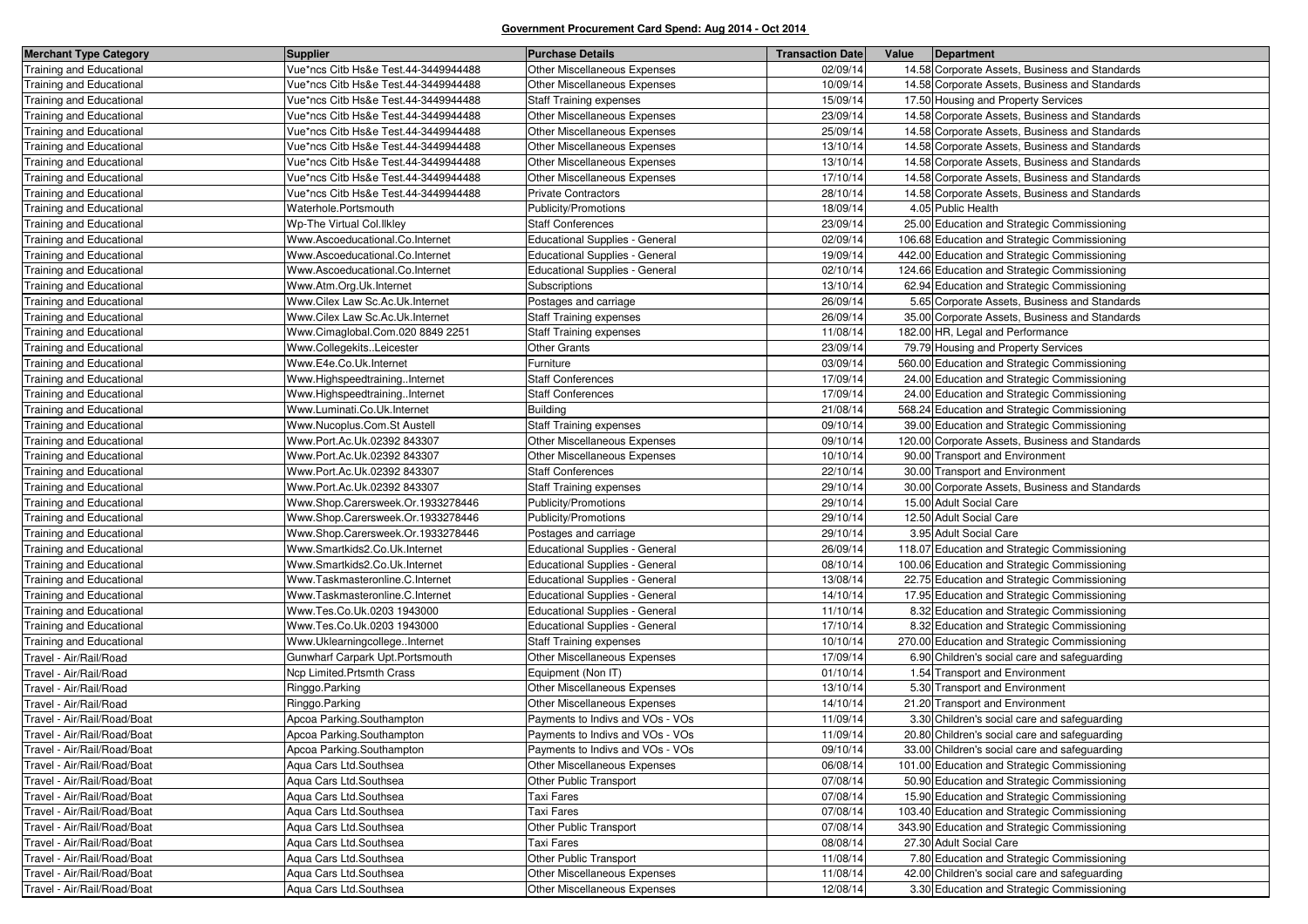| <b>Merchant Type Category</b>   | <b>Supplier</b>                      | <b>Purchase Details</b>               | <b>Transaction Date</b> | Value | Department                                      |
|---------------------------------|--------------------------------------|---------------------------------------|-------------------------|-------|-------------------------------------------------|
| Training and Educational        | Vue*ncs Citb Hs&e Test.44-3449944488 | Other Miscellaneous Expenses          | 02/09/14                |       | 14.58 Corporate Assets, Business and Standards  |
| Training and Educational        | Vue*ncs Citb Hs&e Test.44-3449944488 | Other Miscellaneous Expenses          | 10/09/14                |       | 14.58 Corporate Assets, Business and Standards  |
| <b>Training and Educational</b> | Vue*ncs Citb Hs&e Test.44-3449944488 | <b>Staff Training expenses</b>        | 15/09/14                |       | 17.50 Housing and Property Services             |
| Training and Educational        | Vue*ncs Citb Hs&e Test.44-3449944488 | Other Miscellaneous Expenses          | 23/09/14                |       | 14.58 Corporate Assets, Business and Standards  |
| Training and Educational        | Vue*ncs Citb Hs&e Test.44-3449944488 | <b>Other Miscellaneous Expenses</b>   | 25/09/14                |       | 14.58 Corporate Assets, Business and Standards  |
| <b>Training and Educational</b> | Vue*ncs Citb Hs&e Test.44-3449944488 | Other Miscellaneous Expenses          | 13/10/14                |       | 14.58 Corporate Assets, Business and Standards  |
| Training and Educational        | Vue*ncs Citb Hs&e Test.44-3449944488 | Other Miscellaneous Expenses          | 13/10/14                |       | 14.58 Corporate Assets, Business and Standards  |
| Training and Educational        | Vue*ncs Citb Hs&e Test.44-3449944488 | <b>Other Miscellaneous Expenses</b>   | 17/10/14                |       | 14.58 Corporate Assets, Business and Standards  |
| <b>Training and Educational</b> | Vue*ncs Citb Hs&e Test.44-3449944488 | <b>Private Contractors</b>            | 28/10/14                |       | 14.58 Corporate Assets, Business and Standards  |
| Training and Educational        | Waterhole.Portsmouth                 | Publicity/Promotions                  | 18/09/14                |       | 4.05 Public Health                              |
| Training and Educational        | Wp-The Virtual Col. Ilkley           | <b>Staff Conferences</b>              | 23/09/14                |       | 25.00 Education and Strategic Commissioning     |
| Training and Educational        | Www.Ascoeducational.Co.Internet      | <b>Educational Supplies - General</b> | 02/09/14                |       | 106.68 Education and Strategic Commissioning    |
| Training and Educational        | Www.Ascoeducational.Co.Internet      | <b>Educational Supplies - General</b> | 19/09/14                |       | 442.00 Education and Strategic Commissioning    |
| Training and Educational        | Www.Ascoeducational.Co.Internet      | <b>Educational Supplies - General</b> | 02/10/14                |       | 124.66 Education and Strategic Commissioning    |
| Training and Educational        | Www.Atm.Org.Uk.Internet              | Subscriptions                         | 13/10/14                |       | 62.94 Education and Strategic Commissioning     |
| Training and Educational        | Www.Cilex Law Sc.Ac.Uk.Internet      | Postages and carriage                 | 26/09/14                |       | 5.65 Corporate Assets, Business and Standards   |
| Training and Educational        | Www.Cilex Law Sc.Ac.Uk.Internet      | <b>Staff Training expenses</b>        | 26/09/14                |       | 35.00 Corporate Assets, Business and Standards  |
| <b>Training and Educational</b> | Www.Cimaglobal.Com.020 8849 2251     | Staff Training expenses               | 11/08/14                |       | 182.00 HR, Legal and Performance                |
| Training and Educational        | Www.CollegekitsLeicester             | <b>Other Grants</b>                   | 23/09/14                |       | 79.79 Housing and Property Services             |
| Training and Educational        | Www.E4e.Co.Uk.Internet               | Furniture                             | 03/09/14                |       | 560.00 Education and Strategic Commissioning    |
| Training and Educational        | Www.HighspeedtrainingInternet        | <b>Staff Conferences</b>              | 17/09/14                |       | 24.00 Education and Strategic Commissioning     |
| Training and Educational        | Www.HighspeedtrainingInternet        | <b>Staff Conferences</b>              | 17/09/14                |       | 24.00 Education and Strategic Commissioning     |
| Training and Educational        | Www.Luminati.Co.Uk.Internet          | <b>Building</b>                       | 21/08/14                |       | 568.24 Education and Strategic Commissioning    |
| Training and Educational        | Www.Nucoplus.Com.St Austell          | <b>Staff Training expenses</b>        | 09/10/14                |       | 39.00 Education and Strategic Commissioning     |
| <b>Training and Educational</b> | Www.Port.Ac.Uk.02392 843307          | Other Miscellaneous Expenses          | 09/10/14                |       | 120.00 Corporate Assets, Business and Standards |
| Training and Educational        | Www.Port.Ac.Uk.02392 843307          | Other Miscellaneous Expenses          | 10/10/14                |       | 90.00 Transport and Environment                 |
| Training and Educational        | Www.Port.Ac.Uk.02392 843307          | <b>Staff Conferences</b>              | 22/10/14                |       | 30.00 Transport and Environment                 |
| Training and Educational        | Www.Port.Ac.Uk.02392 843307          | <b>Staff Training expenses</b>        | 29/10/14                |       | 30.00 Corporate Assets, Business and Standards  |
| Training and Educational        | Www.Shop.Carersweek.Or.1933278446    | Publicity/Promotions                  | 29/10/14                |       | 15.00 Adult Social Care                         |
| Training and Educational        | Www.Shop.Carersweek.Or.1933278446    | Publicity/Promotions                  | 29/10/14                |       | 12.50 Adult Social Care                         |
| <b>Training and Educational</b> | Www.Shop.Carersweek.Or.1933278446    | Postages and carriage                 | 29/10/14                |       | 3.95 Adult Social Care                          |
| Training and Educational        | Www.Smartkids2.Co.Uk.Internet        | <b>Educational Supplies - General</b> | 26/09/14                |       | 118.07 Education and Strategic Commissioning    |
| Training and Educational        | Www.Smartkids2.Co.Uk.Internet        | Educational Supplies - General        | 08/10/14                |       | 100.06 Education and Strategic Commissioning    |
| <b>Training and Educational</b> | Www.Taskmasteronline.C.Internet      | <b>Educational Supplies - General</b> | 13/08/14                |       | 22.75 Education and Strategic Commissioning     |
| Training and Educational        | Www.Taskmasteronline.C.Internet      | <b>Educational Supplies - General</b> | 14/10/14                |       | 17.95 Education and Strategic Commissioning     |
| Training and Educational        | Www.Tes.Co.Uk.0203 1943000           | Educational Supplies - General        | 11/10/14                |       | 8.32 Education and Strategic Commissioning      |
| Training and Educational        | Www.Tes.Co.Uk.0203 1943000           | <b>Educational Supplies - General</b> | 17/10/14                |       | 8.32 Education and Strategic Commissioning      |
| Training and Educational        | Www.UklearningcollegeInternet        | <b>Staff Training expenses</b>        | 10/10/14                |       | 270.00 Education and Strategic Commissioning    |
| Travel - Air/Rail/Road          | Gunwharf Carpark Upt. Portsmouth     | Other Miscellaneous Expenses          | 17/09/14                |       | 6.90 Children's social care and safeguarding    |
| Travel - Air/Rail/Road          | Ncp Limited.Prtsmth Crass            | Equipment (Non IT)                    | 01/10/14                |       | 1.54 Transport and Environment                  |
| Travel - Air/Rail/Road          | Ringgo.Parking                       | Other Miscellaneous Expenses          | 13/10/14                |       | 5.30 Transport and Environment                  |
| Travel - Air/Rail/Road          | Ringgo.Parking                       | Other Miscellaneous Expenses          | 14/10/14                |       | 21.20 Transport and Environment                 |
| Travel - Air/Rail/Road/Boat     | Apcoa Parking.Southampton            | Payments to Indivs and VOs - VOs      | 11/09/14                |       | 3.30 Children's social care and safeguarding    |
| Travel - Air/Rail/Road/Boat     | Apcoa Parking.Southampton            | Payments to Indivs and VOs - VOs      | 11/09/14                |       | 20.80 Children's social care and safeguarding   |
| Travel - Air/Rail/Road/Boat     | Apcoa Parking.Southampton            | Payments to Indivs and VOs - VOs      | 09/10/14                |       | 33.00 Children's social care and safeguarding   |
| Travel - Air/Rail/Road/Boat     | Aqua Cars Ltd.Southsea               | <b>Other Miscellaneous Expenses</b>   | 06/08/14                |       | 101.00 Education and Strategic Commissioning    |
| Travel - Air/Rail/Road/Boat     | Aqua Cars Ltd.Southsea               | Other Public Transport                | 07/08/14                |       | 50.90 Education and Strategic Commissioning     |
| Travel - Air/Rail/Road/Boat     | Aqua Cars Ltd.Southsea               | Taxi Fares                            | 07/08/14                |       | 15.90 Education and Strategic Commissioning     |
| Travel - Air/Rail/Road/Boat     | Agua Cars Ltd.Southsea               | Taxi Fares                            | 07/08/14                |       | 103.40 Education and Strategic Commissioning    |
| Travel - Air/Rail/Road/Boat     | Aqua Cars Ltd.Southsea               | Other Public Transport                | 07/08/14                |       | 343.90 Education and Strategic Commissioning    |
| Travel - Air/Rail/Road/Boat     | Agua Cars Ltd.Southsea               | Taxi Fares                            | 08/08/14                |       | 27.30 Adult Social Care                         |
| Travel - Air/Rail/Road/Boat     | Aqua Cars Ltd.Southsea               | Other Public Transport                | 11/08/14                |       | 7.80 Education and Strategic Commissioning      |
| Travel - Air/Rail/Road/Boat     | Aqua Cars Ltd.Southsea               | Other Miscellaneous Expenses          | 11/08/14                |       | 42.00 Children's social care and safeguarding   |
| Travel - Air/Rail/Road/Boat     | Aqua Cars Ltd.Southsea               | Other Miscellaneous Expenses          | 12/08/14                |       | 3.30 Education and Strategic Commissioning      |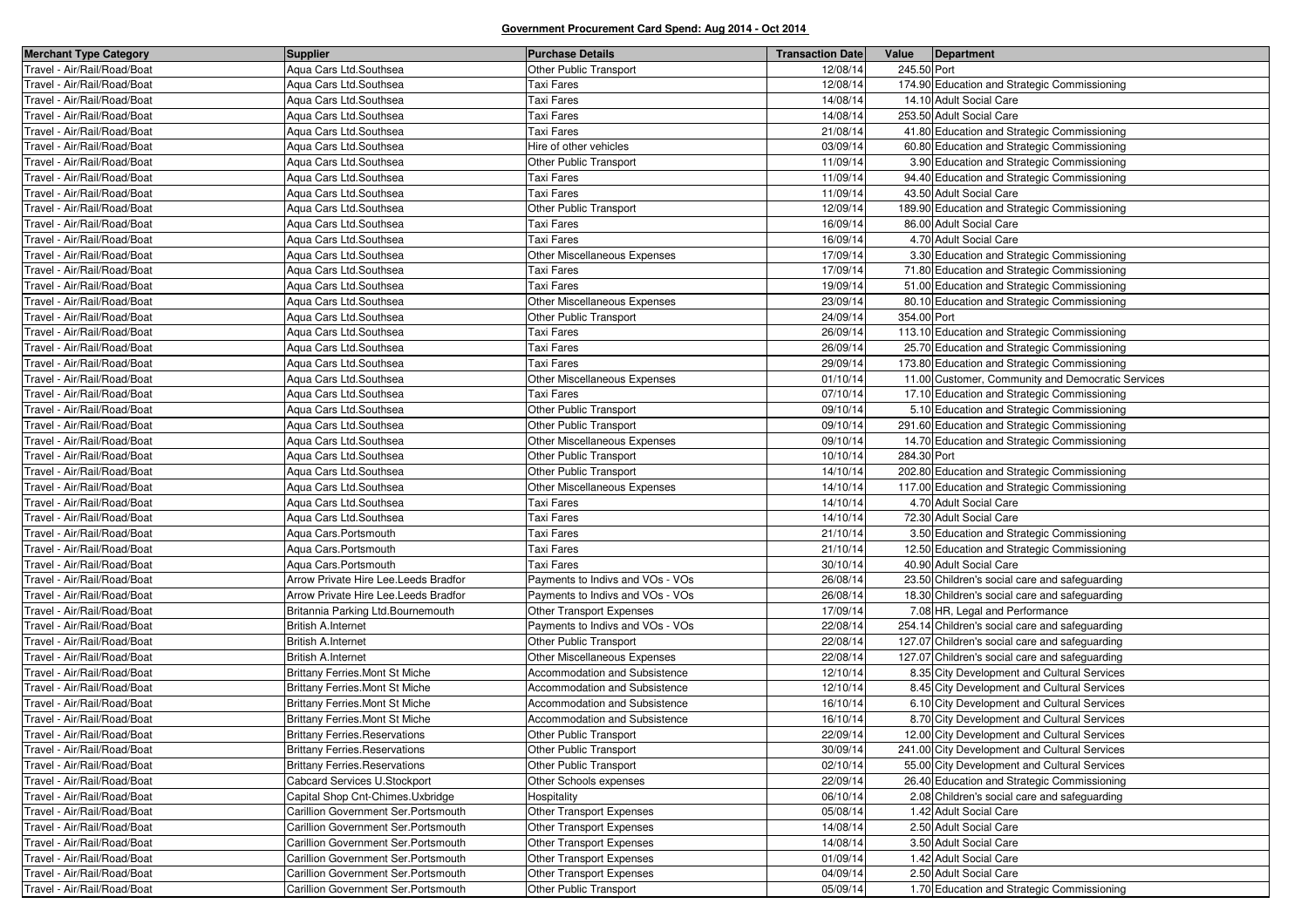| <b>Merchant Type Category</b> | <b>Supplier</b>                       | <b>Purchase Details</b>              | <b>Transaction Date</b> | Value       | Department                                        |
|-------------------------------|---------------------------------------|--------------------------------------|-------------------------|-------------|---------------------------------------------------|
| Travel - Air/Rail/Road/Boat   | Aqua Cars Ltd.Southsea                | Other Public Transport               | 12/08/14                | 245.50 Port |                                                   |
| Travel - Air/Rail/Road/Boat   | Aqua Cars Ltd.Southsea                | Taxi Fares                           | 12/08/14                |             | 174.90 Education and Strategic Commissioning      |
| Travel - Air/Rail/Road/Boat   | Aqua Cars Ltd.Southsea                | Taxi Fares                           | 14/08/14                |             | 14.10 Adult Social Care                           |
| Travel - Air/Rail/Road/Boat   | Aqua Cars Ltd.Southsea                | <b>Taxi Fares</b>                    | 14/08/14                |             | 253.50 Adult Social Care                          |
| Travel - Air/Rail/Road/Boat   | Aqua Cars Ltd.Southsea                | Taxi Fares                           | 21/08/14                |             | 41.80 Education and Strategic Commissioning       |
| Travel - Air/Rail/Road/Boat   | Agua Cars Ltd.Southsea                | Hire of other vehicles               | 03/09/14                |             | 60.80 Education and Strategic Commissioning       |
| Travel - Air/Rail/Road/Boat   | Aqua Cars Ltd.Southsea                | Other Public Transport               | 11/09/14                |             | 3.90 Education and Strategic Commissioning        |
| Travel - Air/Rail/Road/Boat   | Aqua Cars Ltd.Southsea                | Taxi Fares                           | 11/09/14                |             | 94.40 Education and Strategic Commissioning       |
| Travel - Air/Rail/Road/Boat   | Aqua Cars Ltd.Southsea                | <b>Taxi Fares</b>                    | 11/09/14                |             | 43.50 Adult Social Care                           |
| Travel - Air/Rail/Road/Boat   | Aqua Cars Ltd.Southsea                | Other Public Transport               | 12/09/14                |             | 189.90 Education and Strategic Commissioning      |
| Travel - Air/Rail/Road/Boat   | Aqua Cars Ltd.Southsea                | Taxi Fares                           | 16/09/14                |             | 86.00 Adult Social Care                           |
| Travel - Air/Rail/Road/Boat   | Agua Cars Ltd.Southsea                | Taxi Fares                           | 16/09/14                |             | 4.70 Adult Social Care                            |
| Travel - Air/Rail/Road/Boat   | Aqua Cars Ltd.Southsea                | Other Miscellaneous Expenses         | 17/09/14                |             | 3.30 Education and Strategic Commissioning        |
| Travel - Air/Rail/Road/Boat   | Aqua Cars Ltd.Southsea                | Taxi Fares                           | 17/09/14                |             | 71.80 Education and Strategic Commissioning       |
| Travel - Air/Rail/Road/Boat   | Agua Cars Ltd.Southsea                | <b>Taxi Fares</b>                    | 19/09/14                |             | 51.00 Education and Strategic Commissioning       |
| Travel - Air/Rail/Road/Boat   | Aqua Cars Ltd.Southsea                | Other Miscellaneous Expenses         | 23/09/14                |             | 80.10 Education and Strategic Commissioning       |
| Travel - Air/Rail/Road/Boat   | Aqua Cars Ltd.Southsea                | Other Public Transport               | 24/09/14                | 354.00 Port |                                                   |
| Travel - Air/Rail/Road/Boat   | Aqua Cars Ltd.Southsea                | <b>Taxi Fares</b>                    | 26/09/14                |             | 113.10 Education and Strategic Commissioning      |
| Travel - Air/Rail/Road/Boat   | Aqua Cars Ltd.Southsea                | Taxi Fares                           | 26/09/14                |             | 25.70 Education and Strategic Commissioning       |
| Travel - Air/Rail/Road/Boat   | Aqua Cars Ltd.Southsea                | Taxi Fares                           | 29/09/14                |             | 173.80 Education and Strategic Commissioning      |
| Travel - Air/Rail/Road/Boat   | Aqua Cars Ltd.Southsea                | Other Miscellaneous Expenses         | 01/10/14                |             | 11.00 Customer, Community and Democratic Services |
| Travel - Air/Rail/Road/Boat   | Aqua Cars Ltd.Southsea                | <b>Taxi Fares</b>                    | 07/10/14                |             | 17.10 Education and Strategic Commissioning       |
| Travel - Air/Rail/Road/Boat   | Aqua Cars Ltd.Southsea                | Other Public Transport               | 09/10/14                |             | 5.10 Education and Strategic Commissioning        |
| Travel - Air/Rail/Road/Boat   | Aqua Cars Ltd.Southsea                | Other Public Transport               | 09/10/14                |             | 291.60 Education and Strategic Commissioning      |
| Travel - Air/Rail/Road/Boat   | Aqua Cars Ltd.Southsea                | Other Miscellaneous Expenses         | 09/10/14                |             | 14.70 Education and Strategic Commissioning       |
| Travel - Air/Rail/Road/Boat   | Aqua Cars Ltd.Southsea                | Other Public Transport               | 10/10/14                | 284.30 Port |                                                   |
| Travel - Air/Rail/Road/Boat   | Aqua Cars Ltd.Southsea                | Other Public Transport               | 14/10/14                |             | 202.80 Education and Strategic Commissioning      |
| Travel - Air/Rail/Road/Boat   | Aqua Cars Ltd.Southsea                | Other Miscellaneous Expenses         | 14/10/14                |             | 117.00 Education and Strategic Commissioning      |
| Travel - Air/Rail/Road/Boat   | Aqua Cars Ltd.Southsea                | Taxi Fares                           | 14/10/14                |             | 4.70 Adult Social Care                            |
| Travel - Air/Rail/Road/Boat   | Aqua Cars Ltd.Southsea                | <b>Taxi Fares</b>                    | 14/10/14                |             | 72.30 Adult Social Care                           |
| Travel - Air/Rail/Road/Boat   | Aqua Cars. Portsmouth                 | Taxi Fares                           | 21/10/14                |             | 3.50 Education and Strategic Commissioning        |
| Travel - Air/Rail/Road/Boat   | Aqua Cars. Portsmouth                 | Taxi Fares                           | 21/10/14                |             | 12.50 Education and Strategic Commissioning       |
| Travel - Air/Rail/Road/Boat   | Aqua Cars. Portsmouth                 | Taxi Fares                           | 30/10/14                |             | 40.90 Adult Social Care                           |
| Travel - Air/Rail/Road/Boat   | Arrow Private Hire Lee.Leeds Bradfor  | Payments to Indivs and VOs - VOs     | 26/08/14                |             | 23.50 Children's social care and safeguarding     |
| Travel - Air/Rail/Road/Boat   | Arrow Private Hire Lee.Leeds Bradfor  | Payments to Indivs and VOs - VOs     | 26/08/14                |             | 18.30 Children's social care and safeguarding     |
| Travel - Air/Rail/Road/Boat   | Britannia Parking Ltd.Bournemouth     | Other Transport Expenses             | 17/09/14                |             | 7.08 HR, Legal and Performance                    |
| Travel - Air/Rail/Road/Boat   | <b>British A.Internet</b>             | Payments to Indivs and VOs - VOs     | 22/08/14                |             | 254.14 Children's social care and safeguarding    |
| Travel - Air/Rail/Road/Boat   | <b>British A.Internet</b>             | Other Public Transport               | 22/08/14                |             | 127.07 Children's social care and safeguarding    |
| Travel - Air/Rail/Road/Boat   | <b>British A.Internet</b>             | Other Miscellaneous Expenses         | 22/08/14                |             | 127.07 Children's social care and safeguarding    |
| Travel - Air/Rail/Road/Boat   | <b>Brittany Ferries.Mont St Miche</b> | Accommodation and Subsistence        | 12/10/14                |             | 8.35 City Development and Cultural Services       |
| Travel - Air/Rail/Road/Boat   | <b>Brittany Ferries.Mont St Miche</b> | <b>Accommodation and Subsistence</b> | 12/10/14                |             | 8.45 City Development and Cultural Services       |
| Travel - Air/Rail/Road/Boat   | Brittany Ferries.Mont St Miche        | Accommodation and Subsistence        | 16/10/14                |             | 6.10 City Development and Cultural Services       |
| Travel - Air/Rail/Road/Boat   | <b>Brittany Ferries.Mont St Miche</b> | Accommodation and Subsistence        | 16/10/14                |             | 8.70 City Development and Cultural Services       |
| Travel - Air/Rail/Road/Boat   | <b>Brittany Ferries.Reservations</b>  | Other Public Transport               | 22/09/14                |             | 12.00 City Development and Cultural Services      |
| Travel - Air/Rail/Road/Boat   | <b>Brittany Ferries.Reservations</b>  | Other Public Transport               | 30/09/14                |             | 241.00 City Development and Cultural Services     |
| Travel - Air/Rail/Road/Boat   | <b>Brittany Ferries.Reservations</b>  | Other Public Transport               | 02/10/14                |             | 55.00 City Development and Cultural Services      |
| Travel - Air/Rail/Road/Boat   | Cabcard Services U.Stockport          | Other Schools expenses               | 22/09/14                |             | 26.40 Education and Strategic Commissioning       |
| Travel - Air/Rail/Road/Boat   | Capital Shop Cnt-Chimes.Uxbridge      | Hospitality                          | 06/10/14                |             | 2.08 Children's social care and safeguarding      |
| Travel - Air/Rail/Road/Boat   | Carillion Government Ser.Portsmouth   | Other Transport Expenses             | 05/08/14                |             | 1.42 Adult Social Care                            |
| Travel - Air/Rail/Road/Boat   | Carillion Government Ser.Portsmouth   | Other Transport Expenses             | 14/08/14                |             | 2.50 Adult Social Care                            |
| Travel - Air/Rail/Road/Boat   | Carillion Government Ser.Portsmouth   | <b>Other Transport Expenses</b>      | 14/08/14                |             | 3.50 Adult Social Care                            |
| Travel - Air/Rail/Road/Boat   | Carillion Government Ser.Portsmouth   | Other Transport Expenses             | 01/09/14                |             | 1.42 Adult Social Care                            |
| Travel - Air/Rail/Road/Boat   | Carillion Government Ser.Portsmouth   | Other Transport Expenses             | 04/09/14                |             | 2.50 Adult Social Care                            |
| Travel - Air/Rail/Road/Boat   | Carillion Government Ser.Portsmouth   | Other Public Transport               | 05/09/14                |             | 1.70 Education and Strategic Commissioning        |
|                               |                                       |                                      |                         |             |                                                   |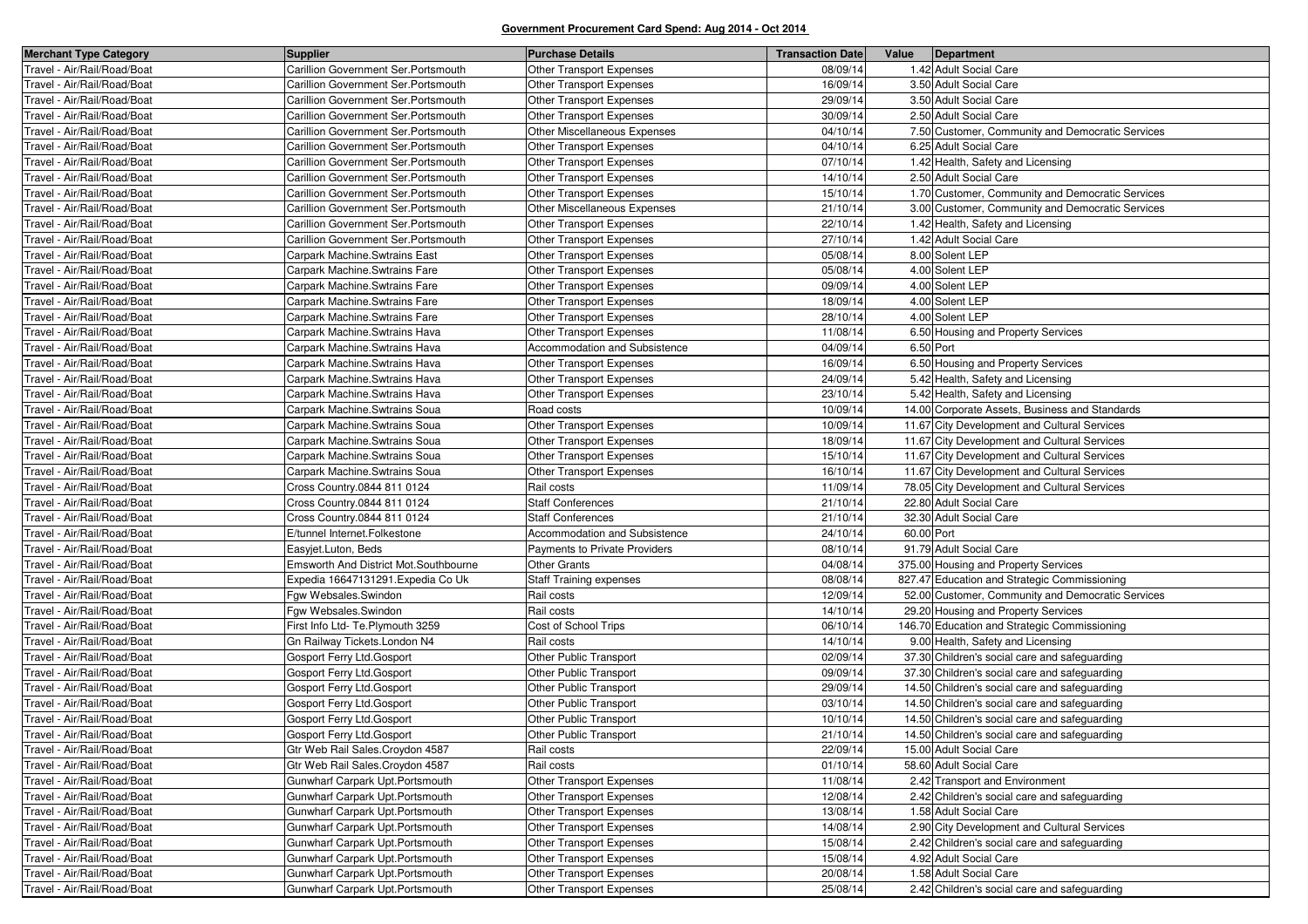| <b>Merchant Type Category</b> | <b>Supplier</b>                       | <b>Purchase Details</b>         | <b>Transaction Date</b> | Value      | Department                                        |
|-------------------------------|---------------------------------------|---------------------------------|-------------------------|------------|---------------------------------------------------|
| Travel - Air/Rail/Road/Boat   | Carillion Government Ser. Portsmouth  | Other Transport Expenses        | 08/09/14                |            | 1.42 Adult Social Care                            |
| Fravel - Air/Rail/Road/Boat   | Carillion Government Ser. Portsmouth  | Other Transport Expenses        | 16/09/14                |            | 3.50 Adult Social Care                            |
| Fravel - Air/Rail/Road/Boat   | Carillion Government Ser.Portsmouth   | <b>Other Transport Expenses</b> | 29/09/14                |            | 3.50 Adult Social Care                            |
| Travel - Air/Rail/Road/Boat   | Carillion Government Ser. Portsmouth  | Other Transport Expenses        | 30/09/14                |            | 2.50 Adult Social Care                            |
| Fravel - Air/Rail/Road/Boat   | Carillion Government Ser. Portsmouth  | Other Miscellaneous Expenses    | 04/10/14                |            | 7.50 Customer, Community and Democratic Services  |
| Fravel - Air/Rail/Road/Boat   | Carillion Government Ser. Portsmouth  | Other Transport Expenses        | 04/10/14                |            | 6.25 Adult Social Care                            |
| Travel - Air/Rail/Road/Boat   | Carillion Government Ser. Portsmouth  | Other Transport Expenses        | 07/10/14                |            | 1.42 Health, Safety and Licensing                 |
| Fravel - Air/Rail/Road/Boat   | Carillion Government Ser. Portsmouth  | Other Transport Expenses        | 14/10/14                |            | 2.50 Adult Social Care                            |
| Fravel - Air/Rail/Road/Boat   | Carillion Government Ser.Portsmouth   | Other Transport Expenses        | 15/10/14                |            | 1.70 Customer, Community and Democratic Services  |
| Travel - Air/Rail/Road/Boat   | Carillion Government Ser. Portsmouth  | Other Miscellaneous Expenses    | 21/10/14                |            | 3.00 Customer, Community and Democratic Services  |
| Fravel - Air/Rail/Road/Boat   | Carillion Government Ser. Portsmouth  | <b>Other Transport Expenses</b> | 22/10/14                |            | 1.42 Health, Safety and Licensing                 |
| Fravel - Air/Rail/Road/Boat   | Carillion Government Ser. Portsmouth  | Other Transport Expenses        | 27/10/14                |            | 1.42 Adult Social Care                            |
| Fravel - Air/Rail/Road/Boat   | Carpark Machine. Swtrains East        | <b>Other Transport Expenses</b> | 05/08/14                |            | 8.00 Solent LEP                                   |
| Fravel - Air/Rail/Road/Boat   | Carpark Machine.Swtrains Fare         | Other Transport Expenses        | 05/08/14                |            | 4.00 Solent LEP                                   |
| Fravel - Air/Rail/Road/Boat   | Carpark Machine.Swtrains Fare         | Other Transport Expenses        | 09/09/14                |            | 4.00 Solent LEP                                   |
| Travel - Air/Rail/Road/Boat   | Carpark Machine.Swtrains Fare         | Other Transport Expenses        | 18/09/14                |            | 4.00 Solent LEP                                   |
| Fravel - Air/Rail/Road/Boat   | Carpark Machine.Swtrains Fare         | Other Transport Expenses        | 28/10/14                |            | 4.00 Solent LEP                                   |
| Fravel - Air/Rail/Road/Boat   | Carpark Machine Swtrains Hava         | Other Transport Expenses        | 11/08/14                |            | 6.50 Housing and Property Services                |
| Travel - Air/Rail/Road/Boat   | Carpark Machine Swtrains Hava         | Accommodation and Subsistence   | 04/09/14                |            | 6.50 Port                                         |
| Fravel - Air/Rail/Road/Boat   | Carpark Machine Swtrains Hava         | <b>Other Transport Expenses</b> | 16/09/14                |            | 6.50 Housing and Property Services                |
| Fravel - Air/Rail/Road/Boat   | Carpark Machine.Swtrains Hava         | Other Transport Expenses        | 24/09/14                |            | 5.42 Health, Safety and Licensing                 |
| Travel - Air/Rail/Road/Boat   | Carpark Machine Swtrains Hava         | Other Transport Expenses        | 23/10/14                |            | 5.42 Health, Safety and Licensing                 |
| Travel - Air/Rail/Road/Boat   | Carpark Machine Swtrains Soua         | Road costs                      | 10/09/14                |            | 14.00 Corporate Assets, Business and Standards    |
| Fravel - Air/Rail/Road/Boat   | Carpark Machine.Swtrains Soua         | Other Transport Expenses        | 10/09/14                |            | 11.67 City Development and Cultural Services      |
| Travel - Air/Rail/Road/Boat   | Carpark Machine. Swtrains Soua        | Other Transport Expenses        | 18/09/14                |            | 11.67 City Development and Cultural Services      |
| Travel - Air/Rail/Road/Boat   | Carpark Machine.Swtrains Soua         | Other Transport Expenses        | 15/10/14                |            | 11.67 City Development and Cultural Services      |
| Fravel - Air/Rail/Road/Boat   | Carpark Machine.Swtrains Soua         | Other Transport Expenses        | 16/10/14                |            | 11.67 City Development and Cultural Services      |
| Fravel - Air/Rail/Road/Boat   | Cross Country.0844 811 0124           | Rail costs                      | 11/09/14                |            | 78.05 City Development and Cultural Services      |
| Fravel - Air/Rail/Road/Boat   | Cross Country 0844 811 0124           | <b>Staff Conferences</b>        | 21/10/14                |            | 22.80 Adult Social Care                           |
| Fravel - Air/Rail/Road/Boat   | Cross Country.0844 811 0124           | <b>Staff Conferences</b>        | 21/10/14                |            | 32.30 Adult Social Care                           |
| Fravel - Air/Rail/Road/Boat   | E/tunnel Internet.Folkestone          | Accommodation and Subsistence   | 24/10/14                | 60.00 Port |                                                   |
| Fravel - Air/Rail/Road/Boat   | Easyjet.Luton, Beds                   | Payments to Private Providers   | 08/10/14                |            | 91.79 Adult Social Care                           |
| Fravel - Air/Rail/Road/Boat   | Emsworth And District Mot.Southbourne | <b>Other Grants</b>             | 04/08/14                |            | 375.00 Housing and Property Services              |
| Fravel - Air/Rail/Road/Boat   | Expedia 16647131291. Expedia Co Uk    | <b>Staff Training expenses</b>  | 08/08/14                |            | 827.47 Education and Strategic Commissioning      |
| Fravel - Air/Rail/Road/Boat   | Fgw Websales.Swindon                  | Rail costs                      | 12/09/14                |            | 52.00 Customer, Community and Democratic Services |
| Travel - Air/Rail/Road/Boat   | Fgw Websales.Swindon                  | Rail costs                      | 14/10/14                |            | 29.20 Housing and Property Services               |
| Fravel - Air/Rail/Road/Boat   | First Info Ltd- Te.Plymouth 3259      | Cost of School Trips            | 06/10/14                |            | 146.70 Education and Strategic Commissioning      |
| Travel - Air/Rail/Road/Boat   | Gn Railway Tickets. London N4         | Rail costs                      | 14/10/14                |            | 9.00 Health, Safety and Licensing                 |
| Fravel - Air/Rail/Road/Boat   | Gosport Ferry Ltd.Gosport             | Other Public Transport          | 02/09/14                |            | 37.30 Children's social care and safeguarding     |
| Fravel - Air/Rail/Road/Boat   | Gosport Ferry Ltd.Gosport             | Other Public Transport          | 09/09/14                |            | 37.30 Children's social care and safeguarding     |
| Fravel - Air/Rail/Road/Boat   | Gosport Ferry Ltd.Gosport             | Other Public Transport          | 29/09/14                |            | 14.50 Children's social care and safeguarding     |
| Fravel - Air/Rail/Road/Boat   | Gosport Ferry Ltd.Gosport             | Other Public Transport          | 03/10/14                |            | 14.50 Children's social care and safeguarding     |
| Fravel - Air/Rail/Road/Boat   | Gosport Ferry Ltd.Gosport             | Other Public Transport          | 10/10/14                |            | 14.50 Children's social care and safeguarding     |
| Travel - Air/Rail/Road/Boat   | Gosport Ferry Ltd.Gosport             | <b>Other Public Transport</b>   | 21/10/14                |            | 14.50 Children's social care and safeguarding     |
| Travel - Air/Rail/Road/Boat   | Gtr Web Rail Sales. Croydon 4587      | Rail costs                      | 22/09/14                |            | 15.00 Adult Social Care                           |
| Travel - Air/Rail/Road/Boat   | Gtr Web Rail Sales.Croydon 4587       | Rail costs                      | 01/10/14                |            | 58.60 Adult Social Care                           |
| Travel - Air/Rail/Road/Boat   | Gunwharf Carpark Upt. Portsmouth      | Other Transport Expenses        | 11/08/14                |            | 2.42 Transport and Environment                    |
| Travel - Air/Rail/Road/Boat   | Gunwharf Carpark Upt. Portsmouth      | Other Transport Expenses        | 12/08/14                |            | 2.42 Children's social care and safeguarding      |
| Fravel - Air/Rail/Road/Boat   | Gunwharf Carpark Upt. Portsmouth      | Other Transport Expenses        | 13/08/14                |            | 1.58 Adult Social Care                            |
| Travel - Air/Rail/Road/Boat   | Gunwharf Carpark Upt. Portsmouth      | Other Transport Expenses        | 14/08/14                |            | 2.90 City Development and Cultural Services       |
| Travel - Air/Rail/Road/Boat   | Gunwharf Carpark Upt. Portsmouth      | Other Transport Expenses        | 15/08/14                |            | 2.42 Children's social care and safeguarding      |
| Travel - Air/Rail/Road/Boat   | Gunwharf Carpark Upt. Portsmouth      | Other Transport Expenses        | 15/08/14                |            | 4.92 Adult Social Care                            |
| Travel - Air/Rail/Road/Boat   | Gunwharf Carpark Upt. Portsmouth      | Other Transport Expenses        | 20/08/14                |            | 1.58 Adult Social Care                            |
| Travel - Air/Rail/Road/Boat   | Gunwharf Carpark Upt. Portsmouth      | Other Transport Expenses        | 25/08/14                |            | 2.42 Children's social care and safeguarding      |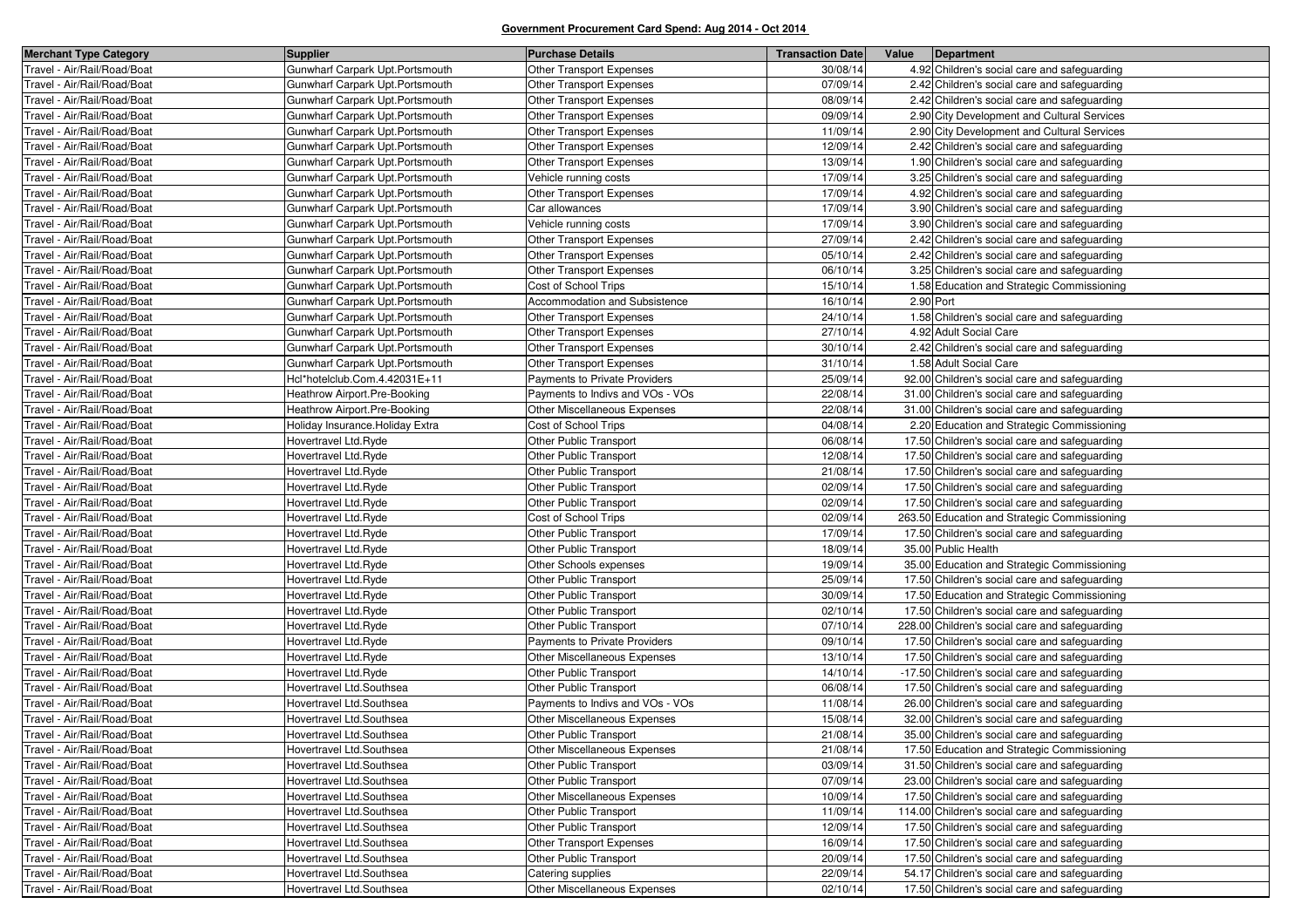| <b>Merchant Type Category</b> | Supplier                         | <b>Purchase Details</b>             | <b>Transaction Date</b> | Value | Department                                     |
|-------------------------------|----------------------------------|-------------------------------------|-------------------------|-------|------------------------------------------------|
| Travel - Air/Rail/Road/Boat   | Gunwharf Carpark Upt. Portsmouth | <b>Other Transport Expenses</b>     | 30/08/14                |       | 4.92 Children's social care and safeguarding   |
| Travel - Air/Rail/Road/Boat   | Gunwharf Carpark Upt. Portsmouth | Other Transport Expenses            | 07/09/14                |       | 2.42 Children's social care and safeguarding   |
| Travel - Air/Rail/Road/Boat   | Gunwharf Carpark Upt. Portsmouth | <b>Other Transport Expenses</b>     | 08/09/14                |       | 2.42 Children's social care and safeguarding   |
| Travel - Air/Rail/Road/Boat   | Gunwharf Carpark Upt. Portsmouth | Other Transport Expenses            | 09/09/14                |       | 2.90 City Development and Cultural Services    |
| Travel - Air/Rail/Road/Boat   | Gunwharf Carpark Upt. Portsmouth | Other Transport Expenses            | 11/09/14                |       | 2.90 City Development and Cultural Services    |
| Travel - Air/Rail/Road/Boat   | Gunwharf Carpark Upt. Portsmouth | <b>Other Transport Expenses</b>     | 12/09/14                |       | 2.42 Children's social care and safeguarding   |
| Travel - Air/Rail/Road/Boat   | Gunwharf Carpark Upt. Portsmouth | Other Transport Expenses            | 13/09/14                |       | 1.90 Children's social care and safeguarding   |
| Travel - Air/Rail/Road/Boat   | Gunwharf Carpark Upt. Portsmouth | Vehicle running costs               | 17/09/14                |       | 3.25 Children's social care and safeguarding   |
| Travel - Air/Rail/Road/Boat   | Gunwharf Carpark Upt. Portsmouth | <b>Other Transport Expenses</b>     | 17/09/14                |       | 4.92 Children's social care and safeguarding   |
| Travel - Air/Rail/Road/Boat   | Gunwharf Carpark Upt. Portsmouth | Car allowances                      | 17/09/14                |       | 3.90 Children's social care and safeguarding   |
| Travel - Air/Rail/Road/Boat   | Gunwharf Carpark Upt. Portsmouth | Vehicle running costs               | 17/09/14                |       | 3.90 Children's social care and safeguarding   |
| Travel - Air/Rail/Road/Boat   | Gunwharf Carpark Upt. Portsmouth | Other Transport Expenses            | 27/09/14                |       | 2.42 Children's social care and safeguarding   |
| Travel - Air/Rail/Road/Boat   | Gunwharf Carpark Upt. Portsmouth | <b>Other Transport Expenses</b>     | 05/10/14                |       | 2.42 Children's social care and safeguarding   |
| Travel - Air/Rail/Road/Boat   | Gunwharf Carpark Upt. Portsmouth | Other Transport Expenses            | 06/10/14                |       | 3.25 Children's social care and safeguarding   |
| Travel - Air/Rail/Road/Boat   | Gunwharf Carpark Upt. Portsmouth | Cost of School Trips                | 15/10/14                |       | 1.58 Education and Strategic Commissioning     |
| Travel - Air/Rail/Road/Boat   | Gunwharf Carpark Upt. Portsmouth | Accommodation and Subsistence       | 16/10/14                |       | 2.90 Port                                      |
| Travel - Air/Rail/Road/Boat   | Gunwharf Carpark Upt.Portsmouth  | Other Transport Expenses            | 24/10/14                |       | 1.58 Children's social care and safeguarding   |
| Travel - Air/Rail/Road/Boat   | Gunwharf Carpark Upt. Portsmouth | Other Transport Expenses            | 27/10/14                |       | 4.92 Adult Social Care                         |
| Travel - Air/Rail/Road/Boat   | Gunwharf Carpark Upt.Portsmouth  | Other Transport Expenses            | 30/10/14                |       | 2.42 Children's social care and safeguarding   |
| Travel - Air/Rail/Road/Boat   | Gunwharf Carpark Upt Portsmouth  | <b>Other Transport Expenses</b>     | 31/10/14                |       | 1.58 Adult Social Care                         |
| Travel - Air/Rail/Road/Boat   | Hcl*hotelclub.Com.4.42031E+11    | Payments to Private Providers       | 25/09/14                |       | 92.00 Children's social care and safeguarding  |
| Travel - Air/Rail/Road/Boat   | Heathrow Airport.Pre-Booking     | Payments to Indivs and VOs - VOs    | 22/08/14                |       | 31.00 Children's social care and safeguarding  |
| Travel - Air/Rail/Road/Boat   | Heathrow Airport.Pre-Booking     | <b>Other Miscellaneous Expenses</b> | 22/08/14                |       | 31.00 Children's social care and safeguarding  |
| Travel - Air/Rail/Road/Boat   | Holiday Insurance. Holiday Extra | Cost of School Trips                | 04/08/14                |       | 2.20 Education and Strategic Commissioning     |
| Travel - Air/Rail/Road/Boat   | Hovertravel Ltd.Ryde             | Other Public Transport              | 06/08/14                |       | 17.50 Children's social care and safeguarding  |
| Travel - Air/Rail/Road/Boat   | Hovertravel Ltd.Ryde             | <b>Other Public Transport</b>       | 12/08/14                |       | 17.50 Children's social care and safeguarding  |
| Travel - Air/Rail/Road/Boat   | Hovertravel Ltd.Ryde             | Other Public Transport              | 21/08/14                |       | 17.50 Children's social care and safeguarding  |
| Travel - Air/Rail/Road/Boat   | Hovertravel Ltd.Ryde             | <b>Other Public Transport</b>       | 02/09/14                |       | 17.50 Children's social care and safeguarding  |
| Travel - Air/Rail/Road/Boat   | Hovertravel Ltd.Ryde             | <b>Other Public Transport</b>       | 02/09/14                |       | 17.50 Children's social care and safeguarding  |
| Travel - Air/Rail/Road/Boat   | Hovertravel Ltd.Ryde             | Cost of School Trips                | 02/09/14                |       | 263.50 Education and Strategic Commissioning   |
| Travel - Air/Rail/Road/Boat   | Hovertravel Ltd.Ryde             | Other Public Transport              | 17/09/14                |       | 17.50 Children's social care and safeguarding  |
| Travel - Air/Rail/Road/Boat   | Hovertravel Ltd.Ryde             | <b>Other Public Transport</b>       | 18/09/14                |       | 35.00 Public Health                            |
| Travel - Air/Rail/Road/Boat   | Hovertravel Ltd.Ryde             | Other Schools expenses              | 19/09/14                |       | 35.00 Education and Strategic Commissioning    |
| Travel - Air/Rail/Road/Boat   | Hovertravel Ltd.Ryde             | Other Public Transport              | 25/09/14                |       | 17.50 Children's social care and safeguarding  |
| Travel - Air/Rail/Road/Boat   | Hovertravel Ltd.Ryde             | Other Public Transport              | 30/09/14                |       | 17.50 Education and Strategic Commissioning    |
| Travel - Air/Rail/Road/Boat   | Hovertravel Ltd.Ryde             | Other Public Transport              | 02/10/14                |       | 17.50 Children's social care and safeguarding  |
| Travel - Air/Rail/Road/Boat   | Hovertravel Ltd.Ryde             | Other Public Transport              | 07/10/14                |       | 228.00 Children's social care and safeguarding |
| Travel - Air/Rail/Road/Boat   | Hovertravel Ltd.Ryde             | Payments to Private Providers       | 09/10/14                |       | 17.50 Children's social care and safeguarding  |
| Travel - Air/Rail/Road/Boat   | Hovertravel Ltd.Ryde             | Other Miscellaneous Expenses        | 13/10/14                |       | 17.50 Children's social care and safeguarding  |
| Travel - Air/Rail/Road/Boat   | Hovertravel Ltd.Ryde             | Other Public Transport              | 14/10/14                |       | -17.50 Children's social care and safeguarding |
| Travel - Air/Rail/Road/Boat   | Hovertravel Ltd.Southsea         | <b>Other Public Transport</b>       | 06/08/14                |       | 17.50 Children's social care and safeguarding  |
| Travel - Air/Rail/Road/Boat   | Hovertravel Ltd.Southsea         | Payments to Indivs and VOs - VOs    | 11/08/14                |       | 26.00 Children's social care and safeguarding  |
| Travel - Air/Rail/Road/Boat   | Hovertravel Ltd.Southsea         | <b>Other Miscellaneous Expenses</b> | 15/08/14                |       | 32.00 Children's social care and safeguarding  |
| Travel - Air/Rail/Road/Boat   | Hovertravel Ltd.Southsea         | Other Public Transport              | 21/08/14                |       | 35.00 Children's social care and safeguarding  |
| Travel - Air/Rail/Road/Boat   | Hovertravel Ltd.Southsea         | Other Miscellaneous Expenses        | 21/08/14                |       | 17.50 Education and Strategic Commissioning    |
| Travel - Air/Rail/Road/Boat   | Hovertravel Ltd.Southsea         | Other Public Transport              | 03/09/14                |       | 31.50 Children's social care and safeguarding  |
| Travel - Air/Rail/Road/Boat   | Hovertravel Ltd.Southsea         | Other Public Transport              | 07/09/14                |       | 23.00 Children's social care and safeguarding  |
| Travel - Air/Rail/Road/Boat   | Hovertravel Ltd.Southsea         | Other Miscellaneous Expenses        | 10/09/14                |       | 17.50 Children's social care and safeguarding  |
| Travel - Air/Rail/Road/Boat   | Hovertravel Ltd.Southsea         | Other Public Transport              | 11/09/14                |       | 114.00 Children's social care and safeguarding |
| Travel - Air/Rail/Road/Boat   | Hovertravel Ltd.Southsea         | Other Public Transport              | 12/09/14                |       | 17.50 Children's social care and safeguarding  |
| Travel - Air/Rail/Road/Boat   | Hovertravel Ltd.Southsea         | Other Transport Expenses            | 16/09/14                |       | 17.50 Children's social care and safeguarding  |
| Travel - Air/Rail/Road/Boat   | Hovertravel Ltd.Southsea         | Other Public Transport              | 20/09/14                |       | 17.50 Children's social care and safeguarding  |
| Travel - Air/Rail/Road/Boat   | Hovertravel Ltd.Southsea         | Catering supplies                   | 22/09/14                |       | 54.17 Children's social care and safeguarding  |
| Travel - Air/Rail/Road/Boat   | Hovertravel Ltd.Southsea         | Other Miscellaneous Expenses        | 02/10/14                |       | 17.50 Children's social care and safeguarding  |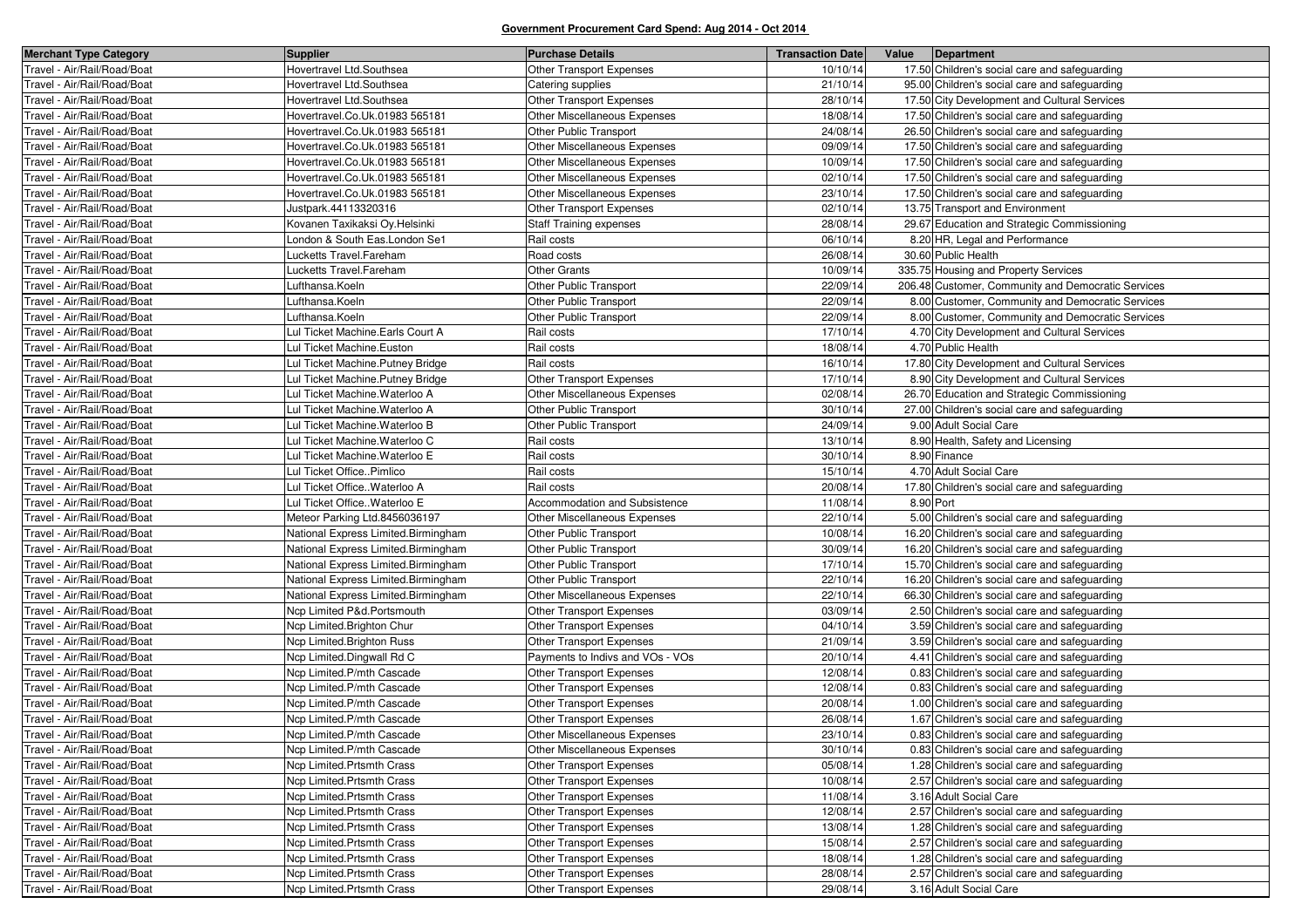| <b>Merchant Type Category</b> | <b>Supplier</b>                     | <b>Purchase Details</b>             | <b>Transaction Date</b> | Value     | Department                                         |
|-------------------------------|-------------------------------------|-------------------------------------|-------------------------|-----------|----------------------------------------------------|
| Travel - Air/Rail/Road/Boat   | Hovertravel Ltd.Southsea            | <b>Other Transport Expenses</b>     | 10/10/14                |           | 17.50 Children's social care and safeguarding      |
| Travel - Air/Rail/Road/Boat   | Hovertravel Ltd.Southsea            | Catering supplies                   | 21/10/14                |           | 95.00 Children's social care and safeguarding      |
| Travel - Air/Rail/Road/Boat   | Hovertravel Ltd.Southsea            | Other Transport Expenses            | 28/10/14                |           | 17.50 City Development and Cultural Services       |
| Travel - Air/Rail/Road/Boat   | Hovertravel.Co.Uk.01983 565181      | <b>Other Miscellaneous Expenses</b> | 18/08/14                |           | 17.50 Children's social care and safeguarding      |
| Travel - Air/Rail/Road/Boat   | Hovertravel.Co.Uk.01983 565181      | Other Public Transport              | 24/08/14                |           | 26.50 Children's social care and safeguarding      |
| Travel - Air/Rail/Road/Boat   | Hovertravel.Co.Uk.01983 565181      | Other Miscellaneous Expenses        | 09/09/14                |           | 17.50 Children's social care and safeguarding      |
| Travel - Air/Rail/Road/Boat   | Hovertravel.Co.Uk.01983 565181      | Other Miscellaneous Expenses        | 10/09/14                |           | 17.50 Children's social care and safeguarding      |
| Travel - Air/Rail/Road/Boat   | Hovertravel.Co.Uk.01983 565181      | Other Miscellaneous Expenses        | 02/10/14                |           | 17.50 Children's social care and safeguarding      |
| Travel - Air/Rail/Road/Boat   | Hovertravel.Co.Uk.01983 565181      | Other Miscellaneous Expenses        | 23/10/14                |           | 17.50 Children's social care and safeguarding      |
| Travel - Air/Rail/Road/Boat   | Justpark.44113320316                | Other Transport Expenses            | 02/10/14                |           | 13.75 Transport and Environment                    |
| Travel - Air/Rail/Road/Boat   | Kovanen Taxikaksi Oy.Helsinki       | <b>Staff Training expenses</b>      | 28/08/14                |           | 29.67 Education and Strategic Commissioning        |
| Travel - Air/Rail/Road/Boat   | London & South Eas.London Se1       | Rail costs                          | 06/10/14                |           | 8.20 HR, Legal and Performance                     |
| Travel - Air/Rail/Road/Boat   | Lucketts Travel.Fareham             | Road costs                          | 26/08/14                |           | 30.60 Public Health                                |
| Travel - Air/Rail/Road/Boat   | Lucketts Travel.Fareham             | Other Grants                        | 10/09/14                |           | 335.75 Housing and Property Services               |
| Travel - Air/Rail/Road/Boat   | Lufthansa.Koeln                     | Other Public Transport              | 22/09/14                |           | 206.48 Customer, Community and Democratic Services |
| Travel - Air/Rail/Road/Boat   | Lufthansa.Koeln                     | Other Public Transport              | 22/09/14                |           | 8.00 Customer, Community and Democratic Services   |
| Travel - Air/Rail/Road/Boat   | Lufthansa.Koeln                     | Other Public Transport              | 22/09/14                |           | 8.00 Customer, Community and Democratic Services   |
| Travel - Air/Rail/Road/Boat   | Lul Ticket Machine. Earls Court A   | Rail costs                          | 17/10/14                |           | 4.70 City Development and Cultural Services        |
| Travel - Air/Rail/Road/Boat   | Lul Ticket Machine.Euston           | Rail costs                          | 18/08/14                |           | 4.70 Public Health                                 |
| Travel - Air/Rail/Road/Boat   | Lul Ticket Machine. Putney Bridge   | Rail costs                          | 16/10/14                |           | 17.80 City Development and Cultural Services       |
| Travel - Air/Rail/Road/Boat   | Lul Ticket Machine. Putney Bridge   | Other Transport Expenses            | 17/10/14                |           | 8.90 City Development and Cultural Services        |
| Travel - Air/Rail/Road/Boat   | Lul Ticket Machine. Waterloo A      | Other Miscellaneous Expenses        | 02/08/14                |           | 26.70 Education and Strategic Commissioning        |
| Travel - Air/Rail/Road/Boat   | Lul Ticket Machine. Waterloo A      | Other Public Transport              | 30/10/14                |           | 27.00 Children's social care and safeguarding      |
| Travel - Air/Rail/Road/Boat   | Lul Ticket Machine. Waterloo B      | Other Public Transport              | 24/09/14                |           | 9.00 Adult Social Care                             |
| Travel - Air/Rail/Road/Boat   | Lul Ticket Machine. Waterloo C      | Rail costs                          | 13/10/14                |           | 8.90 Health, Safety and Licensing                  |
| Travel - Air/Rail/Road/Boat   | Lul Ticket Machine. Waterloo E      | Rail costs                          | 30/10/14                |           | 8.90 Finance                                       |
| Travel - Air/Rail/Road/Boat   | Lul Ticket OfficePimlico            | Rail costs                          | 15/10/14                |           | 4.70 Adult Social Care                             |
| Travel - Air/Rail/Road/Boat   | Lul Ticket OfficeWaterloo A         | Rail costs                          | 20/08/14                |           | 17.80 Children's social care and safeguarding      |
| Travel - Air/Rail/Road/Boat   | Lul Ticket OfficeWaterloo E         | Accommodation and Subsistence       | 11/08/14                | 8.90 Port |                                                    |
| Travel - Air/Rail/Road/Boat   | Meteor Parking Ltd.8456036197       | Other Miscellaneous Expenses        | 22/10/14                |           | 5.00 Children's social care and safeguarding       |
| Travel - Air/Rail/Road/Boat   | National Express Limited.Birmingham | <b>Other Public Transport</b>       | 10/08/14                |           | 16.20 Children's social care and safeguarding      |
| Travel - Air/Rail/Road/Boat   | National Express Limited.Birmingham | <b>Other Public Transport</b>       | 30/09/14                |           | 16.20 Children's social care and safeguarding      |
| Travel - Air/Rail/Road/Boat   | National Express Limited.Birmingham | Other Public Transport              | 17/10/14                |           | 15.70 Children's social care and safeguarding      |
| Travel - Air/Rail/Road/Boat   | National Express Limited.Birmingham | Other Public Transport              | 22/10/14                |           | 16.20 Children's social care and safeguarding      |
| Travel - Air/Rail/Road/Boat   | National Express Limited.Birmingham | <b>Other Miscellaneous Expenses</b> | 22/10/14                |           | 66.30 Children's social care and safeguarding      |
| Travel - Air/Rail/Road/Boat   | Ncp Limited P&d.Portsmouth          | Other Transport Expenses            | 03/09/14                |           | 2.50 Children's social care and safeguarding       |
| Travel - Air/Rail/Road/Boat   | Ncp Limited.Brighton Chur           | Other Transport Expenses            | 04/10/14                |           | 3.59 Children's social care and safeguarding       |
| Travel - Air/Rail/Road/Boat   | Ncp Limited.Brighton Russ           | Other Transport Expenses            | 21/09/14                |           | 3.59 Children's social care and safeguarding       |
| Travel - Air/Rail/Road/Boat   | Ncp Limited.Dingwall Rd C           | Payments to Indivs and VOs - VOs    | 20/10/14                |           | 4.41 Children's social care and safeguarding       |
| Travel - Air/Rail/Road/Boat   | Ncp Limited.P/mth Cascade           | Other Transport Expenses            | 12/08/14                |           | 0.83 Children's social care and safeguarding       |
| Travel - Air/Rail/Road/Boat   | Ncp Limited.P/mth Cascade           | Other Transport Expenses            | 12/08/14                |           | 0.83 Children's social care and safeguarding       |
| Travel - Air/Rail/Road/Boat   | Ncp Limited.P/mth Cascade           | Other Transport Expenses            | 20/08/14                |           | 1.00 Children's social care and safeguarding       |
| Travel - Air/Rail/Road/Boat   | Ncp Limited.P/mth Cascade           | <b>Other Transport Expenses</b>     | 26/08/14                |           | 1.67 Children's social care and safeguarding       |
| Travel - Air/Rail/Road/Boat   | Ncp Limited.P/mth Cascade           | Other Miscellaneous Expenses        | 23/10/14                |           | 0.83 Children's social care and safeguarding       |
| Travel - Air/Rail/Road/Boat   | Ncp Limited.P/mth Cascade           | Other Miscellaneous Expenses        | 30/10/14                |           | 0.83 Children's social care and safeguarding       |
| Travel - Air/Rail/Road/Boat   | Ncp Limited.Prtsmth Crass           | Other Transport Expenses            | 05/08/14                |           | 1.28 Children's social care and safeguarding       |
| Travel - Air/Rail/Road/Boat   | Ncp Limited.Prtsmth Crass           | <b>Other Transport Expenses</b>     | 10/08/14                |           | 2.57 Children's social care and safeguarding       |
| Travel - Air/Rail/Road/Boat   | Ncp Limited.Prtsmth Crass           | Other Transport Expenses            | 11/08/14                |           | 3.16 Adult Social Care                             |
| Travel - Air/Rail/Road/Boat   | Ncp Limited.Prtsmth Crass           | Other Transport Expenses            | 12/08/14                |           | 2.57 Children's social care and safeguarding       |
| Travel - Air/Rail/Road/Boat   | Ncp Limited.Prtsmth Crass           | Other Transport Expenses            | 13/08/14                |           | 1.28 Children's social care and safeguarding       |
| Travel - Air/Rail/Road/Boat   | Ncp Limited.Prtsmth Crass           | Other Transport Expenses            | 15/08/14                |           | 2.57 Children's social care and safeguarding       |
| Travel - Air/Rail/Road/Boat   | Ncp Limited.Prtsmth Crass           | Other Transport Expenses            | 18/08/14                |           | 1.28 Children's social care and safeguarding       |
| Travel - Air/Rail/Road/Boat   | Ncp Limited.Prtsmth Crass           | Other Transport Expenses            | 28/08/14                |           | 2.57 Children's social care and safeguarding       |
| Travel - Air/Rail/Road/Boat   | Ncp Limited.Prtsmth Crass           | Other Transport Expenses            | 29/08/14                |           | 3.16 Adult Social Care                             |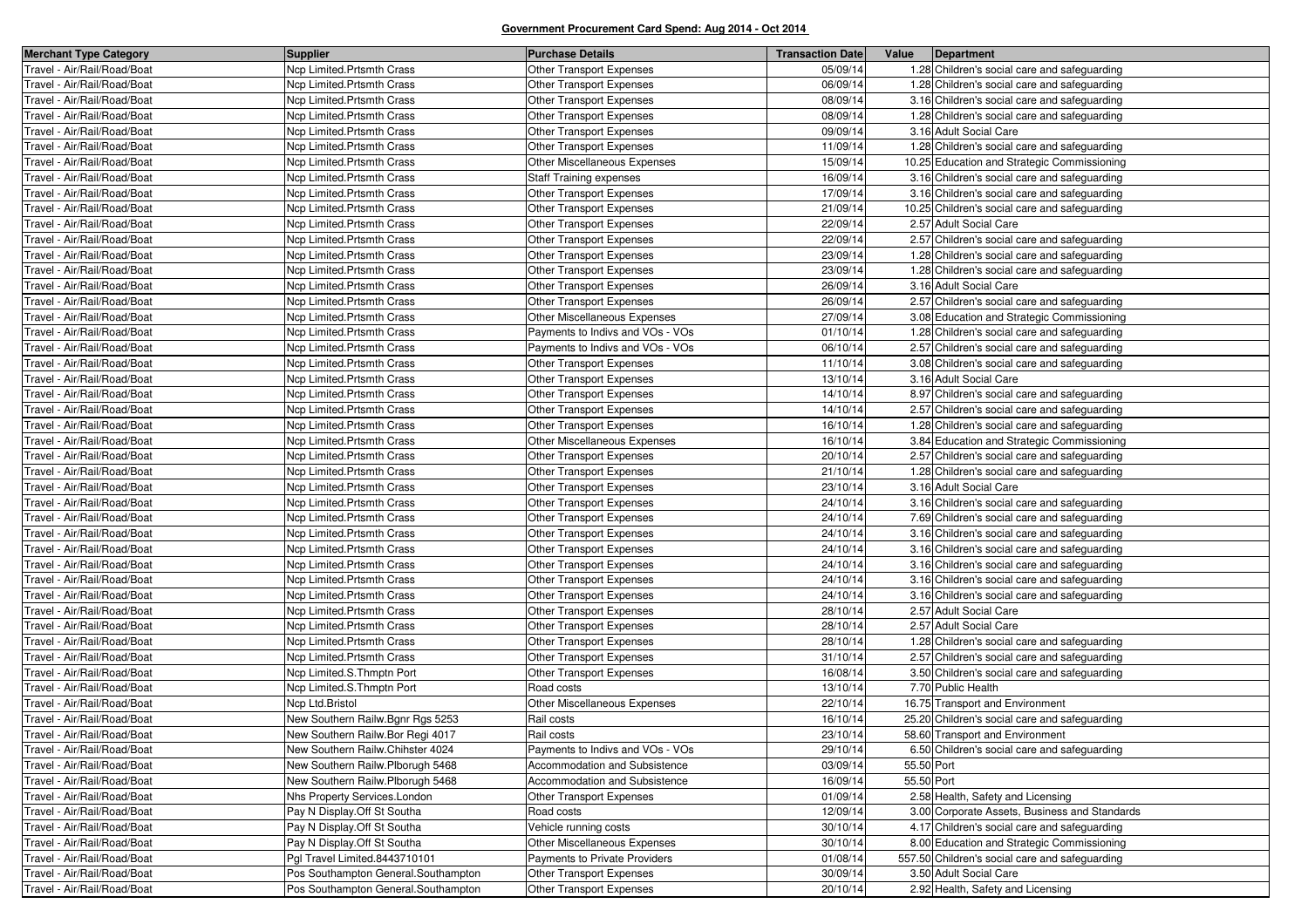| <b>Merchant Type Category</b> | <b>Supplier</b>                     | <b>Purchase Details</b>          | <b>Transaction Date</b> | Value      | Department                                     |
|-------------------------------|-------------------------------------|----------------------------------|-------------------------|------------|------------------------------------------------|
| Travel - Air/Rail/Road/Boat   | Ncp Limited.Prtsmth Crass           | <b>Other Transport Expenses</b>  | 05/09/14                |            | 1.28 Children's social care and safeguarding   |
| Travel - Air/Rail/Road/Boat   | Ncp Limited.Prtsmth Crass           | Other Transport Expenses         | 06/09/14                |            | 1.28 Children's social care and safeguarding   |
| Travel - Air/Rail/Road/Boat   | Ncp Limited.Prtsmth Crass           | <b>Other Transport Expenses</b>  | 08/09/14                |            | 3.16 Children's social care and safeguarding   |
| Travel - Air/Rail/Road/Boat   | Ncp Limited.Prtsmth Crass           | Other Transport Expenses         | 08/09/14                |            | 1.28 Children's social care and safeguarding   |
| Travel - Air/Rail/Road/Boat   | Ncp Limited.Prtsmth Crass           | Other Transport Expenses         | 09/09/14                |            | 3.16 Adult Social Care                         |
| Travel - Air/Rail/Road/Boat   | Ncp Limited.Prtsmth Crass           | <b>Other Transport Expenses</b>  | 11/09/14                |            | 1.28 Children's social care and safeguarding   |
| Travel - Air/Rail/Road/Boat   | Ncp Limited. Prtsmth Crass          | Other Miscellaneous Expenses     | 15/09/14                |            | 10.25 Education and Strategic Commissioning    |
| Travel - Air/Rail/Road/Boat   | Ncp Limited.Prtsmth Crass           | <b>Staff Training expenses</b>   | 16/09/14                |            | 3.16 Children's social care and safeguarding   |
| Travel - Air/Rail/Road/Boat   | Ncp Limited.Prtsmth Crass           | <b>Other Transport Expenses</b>  | 17/09/14                |            | 3.16 Children's social care and safeguarding   |
| Travel - Air/Rail/Road/Boat   | Ncp Limited. Prtsmth Crass          | Other Transport Expenses         | 21/09/14                |            | 10.25 Children's social care and safeguarding  |
| Travel - Air/Rail/Road/Boat   | Ncp Limited. Prtsmth Crass          | Other Transport Expenses         | 22/09/14                |            | 2.57 Adult Social Care                         |
| Travel - Air/Rail/Road/Boat   | Ncp Limited. Prtsmth Crass          | Other Transport Expenses         | 22/09/14                |            | 2.57 Children's social care and safeguarding   |
| Travel - Air/Rail/Road/Boat   | Ncp Limited.Prtsmth Crass           | Other Transport Expenses         | 23/09/14                |            | 1.28 Children's social care and safeguarding   |
| Travel - Air/Rail/Road/Boat   | Ncp Limited. Prtsmth Crass          | Other Transport Expenses         | 23/09/14                |            | 1.28 Children's social care and safeguarding   |
| Travel - Air/Rail/Road/Boat   | Ncp Limited. Prtsmth Crass          | <b>Other Transport Expenses</b>  | 26/09/14                |            | 3.16 Adult Social Care                         |
| Travel - Air/Rail/Road/Boat   | Ncp Limited.Prtsmth Crass           | Other Transport Expenses         | 26/09/14                |            | 2.57 Children's social care and safeguarding   |
| Travel - Air/Rail/Road/Boat   | Ncp Limited. Prtsmth Crass          | Other Miscellaneous Expenses     | 27/09/14                |            | 3.08 Education and Strategic Commissioning     |
| Travel - Air/Rail/Road/Boat   | Ncp Limited. Prtsmth Crass          | Payments to Indivs and VOs - VOs | 01/10/14                |            | 1.28 Children's social care and safeguarding   |
| Travel - Air/Rail/Road/Boat   | Ncp Limited.Prtsmth Crass           | Payments to Indivs and VOs - VOs | 06/10/14                |            | 2.57 Children's social care and safeguarding   |
| Travel - Air/Rail/Road/Boat   | Ncp Limited. Prtsmth Crass          | Other Transport Expenses         | 11/10/14                |            | 3.08 Children's social care and safeguarding   |
| Travel - Air/Rail/Road/Boat   | Ncp Limited. Prtsmth Crass          | Other Transport Expenses         | 13/10/14                |            | 3.16 Adult Social Care                         |
| Travel - Air/Rail/Road/Boat   | Ncp Limited.Prtsmth Crass           | Other Transport Expenses         | 14/10/14                |            | 8.97 Children's social care and safeguarding   |
| Travel - Air/Rail/Road/Boat   | Ncp Limited.Prtsmth Crass           | Other Transport Expenses         | 14/10/14                |            | 2.57 Children's social care and safeguarding   |
| Travel - Air/Rail/Road/Boat   | Ncp Limited. Prtsmth Crass          | <b>Other Transport Expenses</b>  | 16/10/14                |            | 1.28 Children's social care and safeguarding   |
| Travel - Air/Rail/Road/Boat   | Ncp Limited.Prtsmth Crass           | Other Miscellaneous Expenses     | 16/10/14                |            | 3.84 Education and Strategic Commissioning     |
| Travel - Air/Rail/Road/Boat   | Ncp Limited. Prtsmth Crass          | Other Transport Expenses         | 20/10/14                |            | 2.57 Children's social care and safeguarding   |
| Travel - Air/Rail/Road/Boat   | Ncp Limited. Prtsmth Crass          | Other Transport Expenses         | 21/10/14                |            | 1.28 Children's social care and safeguarding   |
| Travel - Air/Rail/Road/Boat   | Ncp Limited.Prtsmth Crass           | <b>Other Transport Expenses</b>  | 23/10/14                |            | 3.16 Adult Social Care                         |
| Travel - Air/Rail/Road/Boat   | Ncp Limited. Prtsmth Crass          | Other Transport Expenses         | 24/10/14                |            | 3.16 Children's social care and safeguarding   |
| Travel - Air/Rail/Road/Boat   | Ncp Limited.Prtsmth Crass           | Other Transport Expenses         | 24/10/14                |            | 7.69 Children's social care and safeguarding   |
| Travel - Air/Rail/Road/Boat   | Ncp Limited.Prtsmth Crass           | <b>Other Transport Expenses</b>  | 24/10/14                |            | 3.16 Children's social care and safeguarding   |
| Travel - Air/Rail/Road/Boat   | Ncp Limited. Prtsmth Crass          | Other Transport Expenses         | 24/10/14                |            | 3.16 Children's social care and safeguarding   |
| Travel - Air/Rail/Road/Boat   | Ncp Limited.Prtsmth Crass           | Other Transport Expenses         | 24/10/14                |            | 3.16 Children's social care and safeguarding   |
| Travel - Air/Rail/Road/Boat   | Ncp Limited.Prtsmth Crass           | <b>Other Transport Expenses</b>  | 24/10/14                |            | 3.16 Children's social care and safeguarding   |
| Travel - Air/Rail/Road/Boat   | Ncp Limited. Prtsmth Crass          | Other Transport Expenses         | 24/10/14                |            | 3.16 Children's social care and safeguarding   |
| Travel - Air/Rail/Road/Boat   | Ncp Limited.Prtsmth Crass           | <b>Other Transport Expenses</b>  | 28/10/14                |            | 2.57 Adult Social Care                         |
| Travel - Air/Rail/Road/Boat   | Ncp Limited. Prtsmth Crass          | Other Transport Expenses         | 28/10/14                |            | 2.57 Adult Social Care                         |
| Travel - Air/Rail/Road/Boat   | Ncp Limited. Prtsmth Crass          | Other Transport Expenses         | 28/10/14                |            | 1.28 Children's social care and safeguarding   |
| Travel - Air/Rail/Road/Boat   | Ncp Limited.Prtsmth Crass           | Other Transport Expenses         | 31/10/14                |            | 2.57 Children's social care and safeguarding   |
| Travel - Air/Rail/Road/Boat   | Ncp Limited.S.Thmptn Port           | Other Transport Expenses         | 16/08/14                |            | 3.50 Children's social care and safeguarding   |
| Travel - Air/Rail/Road/Boat   | Ncp Limited.S.Thmptn Port           | Road costs                       | 13/10/14                |            | 7.70 Public Health                             |
| Travel - Air/Rail/Road/Boat   | Ncp Ltd.Bristol                     | Other Miscellaneous Expenses     | 22/10/14                |            | 16.75 Transport and Environment                |
| Travel - Air/Rail/Road/Boat   | New Southern Railw.Bgnr Rgs 5253    | Rail costs                       | 16/10/14                |            | 25.20 Children's social care and safeguarding  |
| Travel - Air/Rail/Road/Boat   | New Southern Railw.Bor Regi 4017    | Rail costs                       | 23/10/14                |            | 58.60 Transport and Environment                |
| Travel - Air/Rail/Road/Boat   | New Southern Railw.Chihster 4024    | Payments to Indivs and VOs - VOs | 29/10/14                |            | 6.50 Children's social care and safeguarding   |
| Travel - Air/Rail/Road/Boat   | New Southern Railw.Plborugh 5468    | Accommodation and Subsistence    | 03/09/14                | 55.50 Port |                                                |
| Travel - Air/Rail/Road/Boat   | New Southern Railw.Plborugh 5468    | Accommodation and Subsistence    | 16/09/14                | 55.50 Port |                                                |
| Travel - Air/Rail/Road/Boat   | Nhs Property Services.London        | Other Transport Expenses         | 01/09/14                |            | 2.58 Health, Safety and Licensing              |
| Travel - Air/Rail/Road/Boat   | Pay N Display Off St Southa         | Road costs                       | 12/09/14                |            | 3.00 Corporate Assets, Business and Standards  |
| Travel - Air/Rail/Road/Boat   | Pay N Display.Off St Southa         | Vehicle running costs            | 30/10/14                |            | 4.17 Children's social care and safeguarding   |
| Travel - Air/Rail/Road/Boat   | Pay N Display.Off St Southa         | Other Miscellaneous Expenses     | 30/10/14                |            | 8.00 Education and Strategic Commissioning     |
| Travel - Air/Rail/Road/Boat   | Pgl Travel Limited.8443710101       | Payments to Private Providers    | 01/08/14                |            | 557.50 Children's social care and safeguarding |
| Travel - Air/Rail/Road/Boat   | Pos Southampton General.Southampton | Other Transport Expenses         | 30/09/14                |            | 3.50 Adult Social Care                         |
| Travel - Air/Rail/Road/Boat   | Pos Southampton General.Southampton | Other Transport Expenses         | 20/10/14                |            | 2.92 Health, Safety and Licensing              |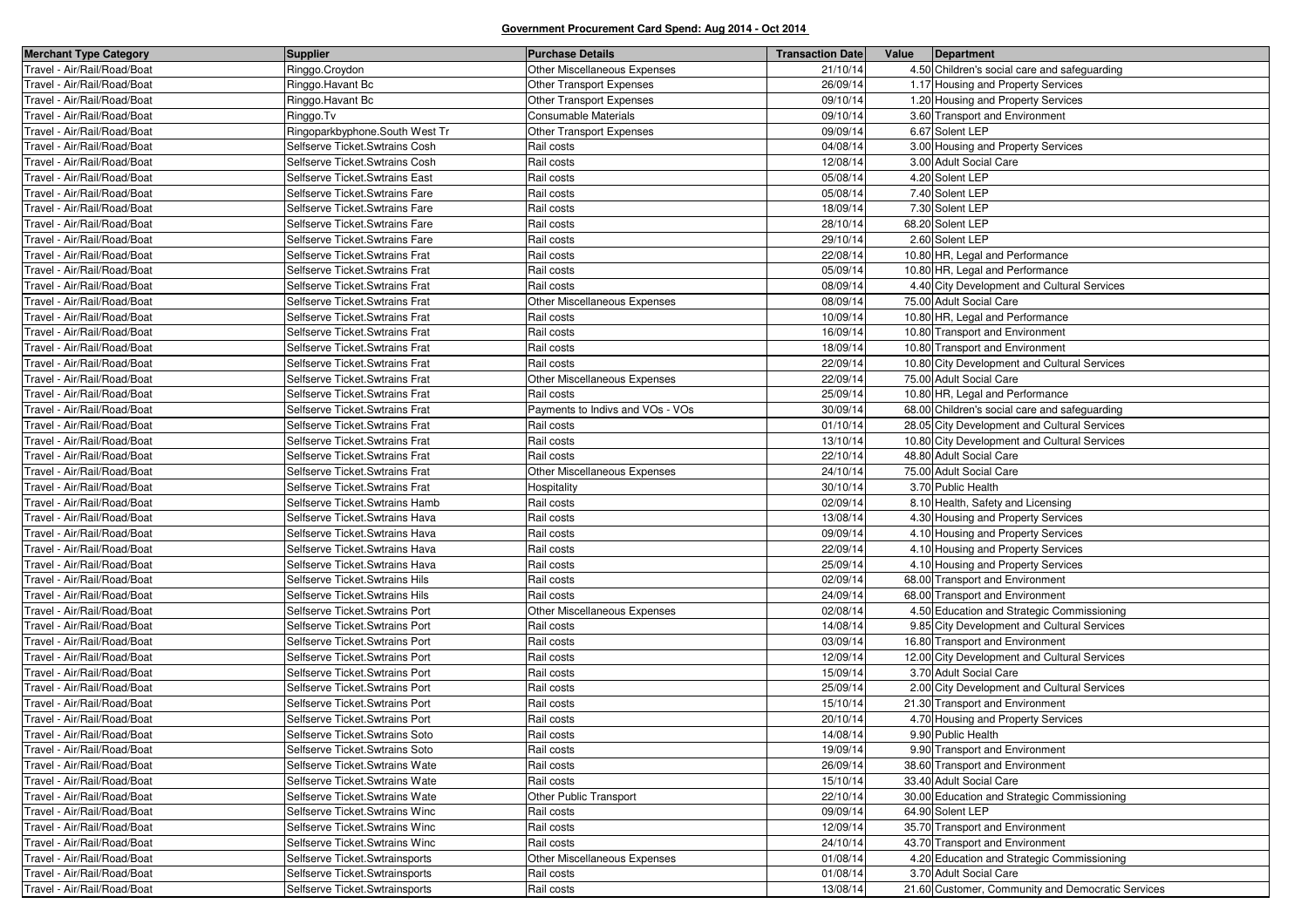| <b>Merchant Type Category</b> | <b>Supplier</b>                 | <b>Purchase Details</b>          | <b>Transaction Date</b> | Value | Department                                        |
|-------------------------------|---------------------------------|----------------------------------|-------------------------|-------|---------------------------------------------------|
| Travel - Air/Rail/Road/Boat   | Ringgo.Croydon                  | Other Miscellaneous Expenses     | 21/10/14                |       | 4.50 Children's social care and safeguarding      |
| Travel - Air/Rail/Road/Boat   | Ringgo.Havant Bc                | <b>Other Transport Expenses</b>  | 26/09/14                |       | 1.17 Housing and Property Services                |
| Travel - Air/Rail/Road/Boat   | Ringgo.Havant Bc                | <b>Other Transport Expenses</b>  | 09/10/14                |       | 1.20 Housing and Property Services                |
| Travel - Air/Rail/Road/Boat   | Ringgo.Tv                       | Consumable Materials             | 09/10/14                |       | 3.60 Transport and Environment                    |
| Travel - Air/Rail/Road/Boat   | Ringoparkbyphone. South West Tr | Other Transport Expenses         | 09/09/14                |       | 6.67 Solent LEP                                   |
| Fravel - Air/Rail/Road/Boat   | Selfserve Ticket.Swtrains Cosh  | Rail costs                       | 04/08/14                |       | 3.00 Housing and Property Services                |
| Fravel - Air/Rail/Road/Boat   | Selfserve Ticket. Swtrains Cosh | Rail costs                       | 12/08/14                |       | 3.00 Adult Social Care                            |
| Travel - Air/Rail/Road/Boat   | Selfserve Ticket Swtrains East  | Rail costs                       | 05/08/14                |       | 4.20 Solent LEP                                   |
| Fravel - Air/Rail/Road/Boat   | Selfserve Ticket Swtrains Fare  | Rail costs                       | 05/08/14                |       | 7.40 Solent LEP                                   |
| Fravel - Air/Rail/Road/Boat   | Selfserve Ticket.Swtrains Fare  | Rail costs                       | 18/09/14                |       | 7.30 Solent LEP                                   |
| Fravel - Air/Rail/Road/Boat   | Selfserve Ticket. Swtrains Fare | Rail costs                       | 28/10/14                |       | 68.20 Solent LEP                                  |
| Fravel - Air/Rail/Road/Boat   | Selfserve Ticket Swtrains Fare  | Rail costs                       | 29/10/14                |       | 2.60 Solent LEP                                   |
| Fravel - Air/Rail/Road/Boat   | Selfserve Ticket Swtrains Frat  | Rail costs                       | 22/08/14                |       | 10.80 HR, Legal and Performance                   |
| Travel - Air/Rail/Road/Boat   | Selfserve Ticket Swtrains Frat  | Rail costs                       | 05/09/14                |       | 10.80 HR, Legal and Performance                   |
| Fravel - Air/Rail/Road/Boat   | Selfserve Ticket Swtrains Frat  | Rail costs                       | 08/09/14                |       | 4.40 City Development and Cultural Services       |
| Fravel - Air/Rail/Road/Boat   | Selfserve Ticket Swtrains Frat  | Other Miscellaneous Expenses     | 08/09/14                |       | 75.00 Adult Social Care                           |
| Fravel - Air/Rail/Road/Boat   | Selfserve Ticket.Swtrains Frat  | Rail costs                       | 10/09/14                |       | 10.80 HR, Legal and Performance                   |
| Fravel - Air/Rail/Road/Boat   | Selfserve Ticket Swtrains Frat  | Rail costs                       | 16/09/14                |       | 10.80 Transport and Environment                   |
| Fravel - Air/Rail/Road/Boat   | Selfserve Ticket Swtrains Frat  | Rail costs                       | 18/09/14                |       | 10.80 Transport and Environment                   |
| Travel - Air/Rail/Road/Boat   | Selfserve Ticket Swtrains Frat  | Rail costs                       | 22/09/14                |       | 10.80 City Development and Cultural Services      |
| Travel - Air/Rail/Road/Boat   | Selfserve Ticket.Swtrains Frat  | Other Miscellaneous Expenses     | 22/09/14                |       | 75.00 Adult Social Care                           |
| Fravel - Air/Rail/Road/Boat   | Selfserve Ticket Swtrains Frat  | Rail costs                       | 25/09/14                |       | 10.80 HR, Legal and Performance                   |
| Travel - Air/Rail/Road/Boat   | Selfserve Ticket Swtrains Frat  | Payments to Indivs and VOs - VOs | 30/09/14                |       | 68.00 Children's social care and safeguarding     |
| Travel - Air/Rail/Road/Boat   | Selfserve Ticket Swtrains Frat  | Rail costs                       | 01/10/14                |       | 28.05 City Development and Cultural Services      |
| ravel - Air/Rail/Road/Boat    | Selfserve Ticket Swtrains Frat  | Rail costs                       | 13/10/14                |       | 10.80 City Development and Cultural Services      |
| Fravel - Air/Rail/Road/Boat   | Selfserve Ticket.Swtrains Frat  | Rail costs                       | 22/10/14                |       | 48.80 Adult Social Care                           |
| Travel - Air/Rail/Road/Boat   | Selfserve Ticket.Swtrains Frat  | Other Miscellaneous Expenses     | 24/10/14                |       | 75.00 Adult Social Care                           |
| Fravel - Air/Rail/Road/Boat   | Selfserve Ticket Swtrains Frat  | Hospitality                      | 30/10/14                |       | 3.70 Public Health                                |
| Fravel - Air/Rail/Road/Boat   | Selfserve Ticket. Swtrains Hamb | Rail costs                       | 02/09/14                |       | 8.10 Health, Safety and Licensing                 |
| Travel - Air/Rail/Road/Boat   | Selfserve Ticket. Swtrains Hava | Rail costs                       | 13/08/14                |       | 4.30 Housing and Property Services                |
| Fravel - Air/Rail/Road/Boat   | Selfserve Ticket. Swtrains Hava | Rail costs                       | 09/09/14                |       | 4.10 Housing and Property Services                |
| Fravel - Air/Rail/Road/Boat   | Selfserve Ticket. Swtrains Hava | Rail costs                       | 22/09/14                |       | 4.10 Housing and Property Services                |
| Travel - Air/Rail/Road/Boat   | Selfserve Ticket. Swtrains Hava | Rail costs                       | 25/09/14                |       | 4.10 Housing and Property Services                |
| Fravel - Air/Rail/Road/Boat   | Selfserve Ticket. Swtrains Hils | Rail costs                       | 02/09/14                |       | 68.00 Transport and Environment                   |
| Fravel - Air/Rail/Road/Boat   | Selfserve Ticket. Swtrains Hils | Rail costs                       | 24/09/14                |       | 68.00 Transport and Environment                   |
| Travel - Air/Rail/Road/Boat   | Selfserve Ticket. Swtrains Port | Other Miscellaneous Expenses     | 02/08/14                |       | 4.50 Education and Strategic Commissioning        |
| Fravel - Air/Rail/Road/Boat   | Selfserve Ticket. Swtrains Port | Rail costs                       | 14/08/14                |       | 9.85 City Development and Cultural Services       |
| Fravel - Air/Rail/Road/Boat   | Selfserve Ticket Swtrains Port  | Rail costs                       | 03/09/14                |       | 16.80 Transport and Environment                   |
| Travel - Air/Rail/Road/Boat   | Selfserve Ticket Swtrains Port  | Rail costs                       | 12/09/14                |       | 12.00 City Development and Cultural Services      |
| Travel - Air/Rail/Road/Boat   | Selfserve Ticket Swtrains Port  | Rail costs                       | 15/09/14                |       | 3.70 Adult Social Care                            |
| Fravel - Air/Rail/Road/Boat   | Selfserve Ticket. Swtrains Port | Rail costs                       | 25/09/14                |       | 2.00 City Development and Cultural Services       |
| Travel - Air/Rail/Road/Boat   | Selfserve Ticket Swtrains Port  | Rail costs                       | 15/10/14                |       | 21.30 Transport and Environment                   |
| Fravel - Air/Rail/Road/Boat   | Selfserve Ticket Swtrains Port  | Rail costs                       | 20/10/14                |       | 4.70 Housing and Property Services                |
| Travel - Air/Rail/Road/Boat   | Selfserve Ticket. Swtrains Soto | Rail costs                       | 14/08/14                |       | 9.90 Public Health                                |
| Travel - Air/Rail/Road/Boat   | Selfserve Ticket Swtrains Soto  | Rail costs                       | 19/09/14                |       | 9.90 Transport and Environment                    |
| Travel - Air/Rail/Road/Boat   | Selfserve Ticket Swtrains Wate  | Rail costs                       | 26/09/14                |       | 38.60 Transport and Environment                   |
| Travel - Air/Rail/Road/Boat   | Selfserve Ticket. Swtrains Wate | Rail costs                       | 15/10/14                |       | 33.40 Adult Social Care                           |
| Travel - Air/Rail/Road/Boat   | Selfserve Ticket. Swtrains Wate | Other Public Transport           | 22/10/14                |       | 30.00 Education and Strategic Commissioning       |
| Travel - Air/Rail/Road/Boat   | Selfserve Ticket. Swtrains Winc | Rail costs                       | 09/09/14                |       | 64.90 Solent LEP                                  |
| Travel - Air/Rail/Road/Boat   | Selfserve Ticket.Swtrains Winc  | Rail costs                       | 12/09/14                |       | 35.70 Transport and Environment                   |
| Fravel - Air/Rail/Road/Boat   | Selfserve Ticket. Swtrains Winc | Rail costs                       | 24/10/14                |       | 43.70 Transport and Environment                   |
| Travel - Air/Rail/Road/Boat   | Selfserve Ticket.Swtrainsports  | Other Miscellaneous Expenses     | 01/08/14                |       | 4.20 Education and Strategic Commissioning        |
| Travel - Air/Rail/Road/Boat   | Selfserve Ticket Swtrainsports  | Rail costs                       | 01/08/14                |       | 3.70 Adult Social Care                            |
| Travel - Air/Rail/Road/Boat   | Selfserve Ticket Swtrainsports  | Rail costs                       | 13/08/14                |       | 21.60 Customer, Community and Democratic Services |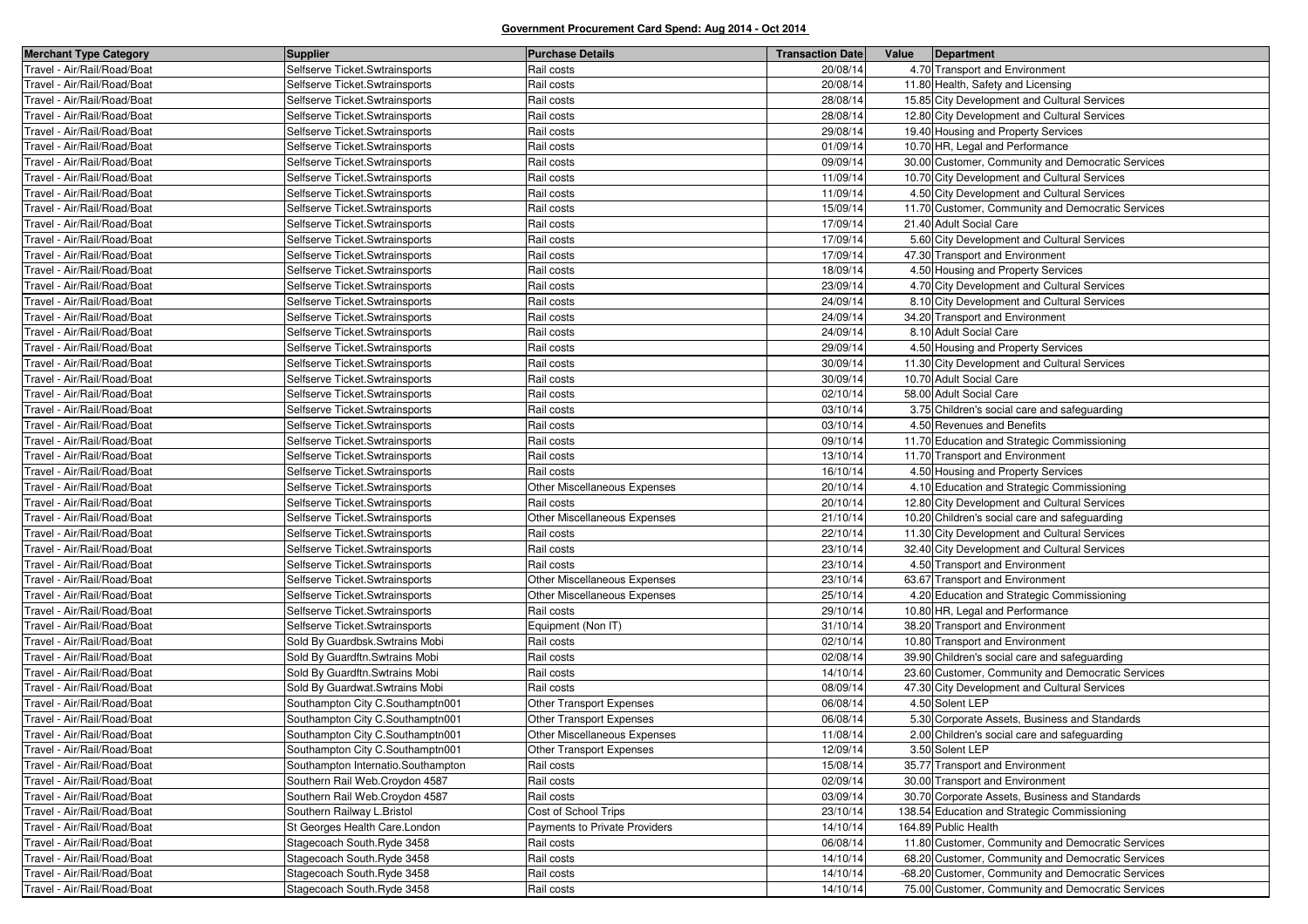| <b>Merchant Type Category</b> | <b>Supplier</b>                                                  | <b>Purchase Details</b>          | <b>Transaction Date</b> | Value<br>Department                                             |
|-------------------------------|------------------------------------------------------------------|----------------------------------|-------------------------|-----------------------------------------------------------------|
| Travel - Air/Rail/Road/Boat   | Selfserve Ticket.Swtrainsports                                   | Rail costs                       | 20/08/14                | 4.70 Transport and Environment                                  |
| Travel - Air/Rail/Road/Boat   | Selfserve Ticket Swtrainsports                                   | Rail costs                       | 20/08/14                | 11.80 Health, Safety and Licensing                              |
| Travel - Air/Rail/Road/Boat   | Selfserve Ticket.Swtrainsports                                   | Rail costs                       | 28/08/14                | 15.85 City Development and Cultural Services                    |
| Travel - Air/Rail/Road/Boat   | Selfserve Ticket.Swtrainsports                                   | Rail costs                       | 28/08/14                | 12.80 City Development and Cultural Services                    |
| Travel - Air/Rail/Road/Boat   | Selfserve Ticket.Swtrainsports                                   | Rail costs                       | 29/08/14                | 19.40 Housing and Property Services                             |
| Travel - Air/Rail/Road/Boat   | Selfserve Ticket Swtrainsports                                   | Rail costs                       | 01/09/14                | 10.70 HR, Legal and Performance                                 |
| Travel - Air/Rail/Road/Boat   | Selfserve Ticket.Swtrainsports                                   | Rail costs                       | 09/09/14                | 30.00 Customer, Community and Democratic Services               |
| Travel - Air/Rail/Road/Boat   | Selfserve Ticket.Swtrainsports                                   | Rail costs                       | 11/09/14                | 10.70 City Development and Cultural Services                    |
| Travel - Air/Rail/Road/Boat   | Selfserve Ticket Swtrainsports                                   | Rail costs                       | 11/09/14                | 4.50 City Development and Cultural Services                     |
| Travel - Air/Rail/Road/Boat   | Selfserve Ticket Swtrainsports                                   | Rail costs                       | 15/09/14                | 11.70 Customer, Community and Democratic Services               |
| Travel - Air/Rail/Road/Boat   | Selfserve Ticket Swtrainsports                                   | Rail costs                       | 17/09/14                | 21.40 Adult Social Care                                         |
| Travel - Air/Rail/Road/Boat   | Selfserve Ticket.Swtrainsports                                   | Rail costs                       | 17/09/14                | 5.60 City Development and Cultural Services                     |
| Travel - Air/Rail/Road/Boat   | Selfserve Ticket.Swtrainsports                                   | Rail costs                       | 17/09/14                | 47.30 Transport and Environment                                 |
| Travel - Air/Rail/Road/Boat   | Selfserve Ticket Swtrainsports                                   | Rail costs                       | 18/09/14                | 4.50 Housing and Property Services                              |
| Travel - Air/Rail/Road/Boat   | Selfserve Ticket Swtrainsports                                   | Rail costs                       | 23/09/14                | 4.70 City Development and Cultural Services                     |
| Travel - Air/Rail/Road/Boat   | Selfserve Ticket.Swtrainsports                                   | Rail costs                       | 24/09/14                | 8.10 City Development and Cultural Services                     |
| Travel - Air/Rail/Road/Boat   | Selfserve Ticket Swtrainsports                                   | Rail costs                       | 24/09/14                | 34.20 Transport and Environment                                 |
| Travel - Air/Rail/Road/Boat   | Selfserve Ticket Swtrainsports                                   | Rail costs                       | 24/09/14                | 8.10 Adult Social Care                                          |
| Travel - Air/Rail/Road/Boat   | Selfserve Ticket.Swtrainsports                                   | Rail costs                       | 29/09/14                | 4.50 Housing and Property Services                              |
| Travel - Air/Rail/Road/Boat   | Selfserve Ticket Swtrainsports                                   | Rail costs                       | 30/09/14                | 11.30 City Development and Cultural Services                    |
| Travel - Air/Rail/Road/Boat   | Selfserve Ticket Swtrainsports                                   | Rail costs                       | 30/09/14                | 10.70 Adult Social Care                                         |
| Travel - Air/Rail/Road/Boat   | Selfserve Ticket.Swtrainsports                                   | Rail costs                       | 02/10/14                | 58.00 Adult Social Care                                         |
| Travel - Air/Rail/Road/Boat   | Selfserve Ticket Swtrainsports                                   | Rail costs                       | 03/10/14                | 3.75 Children's social care and safeguarding                    |
| Travel - Air/Rail/Road/Boat   | Selfserve Ticket.Swtrainsports                                   | Rail costs                       | 03/10/14                | 4.50 Revenues and Benefits                                      |
| Travel - Air/Rail/Road/Boat   | Selfserve Ticket Swtrainsports                                   | Rail costs                       | 09/10/14                | 11.70 Education and Strategic Commissioning                     |
| Travel - Air/Rail/Road/Boat   | Selfserve Ticket Swtrainsports                                   | Rail costs                       | 13/10/14                | 11.70 Transport and Environment                                 |
| Travel - Air/Rail/Road/Boat   | Selfserve Ticket Swtrainsports                                   | Rail costs                       | 16/10/14                | 4.50 Housing and Property Services                              |
| Travel - Air/Rail/Road/Boat   | Selfserve Ticket Swtrainsports                                   | Other Miscellaneous Expenses     | 20/10/14                | 4.10 Education and Strategic Commissioning                      |
| Travel - Air/Rail/Road/Boat   | Selfserve Ticket Swtrainsports                                   | Rail costs                       | 20/10/14                | 12.80 City Development and Cultural Services                    |
| Travel - Air/Rail/Road/Boat   | Selfserve Ticket Swtrainsports                                   | Other Miscellaneous Expenses     | 21/10/14                | 10.20 Children's social care and safeguarding                   |
| Travel - Air/Rail/Road/Boat   | Selfserve Ticket Swtrainsports                                   | Rail costs                       | 22/10/14                | 11.30 City Development and Cultural Services                    |
| Travel - Air/Rail/Road/Boat   | Selfserve Ticket Swtrainsports                                   | Rail costs                       | 23/10/14                | 32.40 City Development and Cultural Services                    |
| Travel - Air/Rail/Road/Boat   | Selfserve Ticket Swtrainsports                                   | Rail costs                       | 23/10/14                | 4.50 Transport and Environment                                  |
| Travel - Air/Rail/Road/Boat   |                                                                  | Other Miscellaneous Expenses     | 23/10/14                | 63.67 Transport and Environment                                 |
| Travel - Air/Rail/Road/Boat   | Selfserve Ticket Swtrainsports<br>Selfserve Ticket.Swtrainsports | Other Miscellaneous Expenses     | 25/10/14                | 4.20 Education and Strategic Commissioning                      |
| Travel - Air/Rail/Road/Boat   |                                                                  | Rail costs                       | 29/10/14                | 10.80 HR, Legal and Performance                                 |
| Travel - Air/Rail/Road/Boat   | Selfserve Ticket.Swtrainsports                                   |                                  | 31/10/14                | 38.20 Transport and Environment                                 |
| Travel - Air/Rail/Road/Boat   | Selfserve Ticket Swtrainsports                                   | Equipment (Non IT)<br>Rail costs | 02/10/14                | 10.80 Transport and Environment                                 |
|                               | Sold By Guardbsk. Swtrains Mobi                                  |                                  | 02/08/14                |                                                                 |
| Travel - Air/Rail/Road/Boat   | Sold By Guardftn. Swtrains Mobi                                  | Rail costs                       |                         | 39.90 Children's social care and safeguarding                   |
| Travel - Air/Rail/Road/Boat   | Sold By Guardftn. Swtrains Mobi                                  | Rail costs                       | 14/10/14                | 23.60 Customer, Community and Democratic Services               |
| Travel - Air/Rail/Road/Boat   | Sold By Guardwat Swtrains Mobi                                   | Rail costs                       | 08/09/14<br>06/08/14    | 47.30 City Development and Cultural Services<br>4.50 Solent LEP |
| Travel - Air/Rail/Road/Boat   | Southampton City C.Southamptn001                                 | Other Transport Expenses         |                         |                                                                 |
| Travel - Air/Rail/Road/Boat   | Southampton City C.Southamptn001                                 | Other Transport Expenses         | 06/08/14                | 5.30 Corporate Assets, Business and Standards                   |
| Travel - Air/Rail/Road/Boat   | Southampton City C.Southamptn001                                 | Other Miscellaneous Expenses     | 11/08/14                | 2.00 Children's social care and safeguarding                    |
| Travel - Air/Rail/Road/Boat   | Southampton City C.Southamptn001                                 | <b>Other Transport Expenses</b>  | 12/09/14                | 3.50 Solent LEP                                                 |
| Travel - Air/Rail/Road/Boat   | Southampton Internatio.Southampton                               | Rail costs                       | 15/08/14                | 35.77 Transport and Environment                                 |
| Travel - Air/Rail/Road/Boat   | Southern Rail Web.Croydon 4587                                   | Rail costs                       | 02/09/14                | 30.00 Transport and Environment                                 |
| Travel - Air/Rail/Road/Boat   | Southern Rail Web.Croydon 4587                                   | Rail costs                       | 03/09/14                | 30.70 Corporate Assets, Business and Standards                  |
| Travel - Air/Rail/Road/Boat   | Southern Railway L. Bristol                                      | Cost of School Trips             | 23/10/14                | 138.54 Education and Strategic Commissioning                    |
| Travel - Air/Rail/Road/Boat   | St Georges Health Care.London                                    | Payments to Private Providers    | 14/10/14                | 164.89 Public Health                                            |
| Travel - Air/Rail/Road/Boat   | Stagecoach South.Ryde 3458                                       | Rail costs                       | 06/08/14                | 11.80 Customer, Community and Democratic Services               |
| Travel - Air/Rail/Road/Boat   | Stagecoach South.Ryde 3458                                       | Rail costs                       | 14/10/14                | 68.20 Customer, Community and Democratic Services               |
| Travel - Air/Rail/Road/Boat   | Stagecoach South.Ryde 3458                                       | Rail costs                       | 14/10/14                | -68.20 Customer, Community and Democratic Services              |
| Travel - Air/Rail/Road/Boat   | Stagecoach South.Ryde 3458                                       | Rail costs                       | 14/10/14                | 75.00 Customer, Community and Democratic Services               |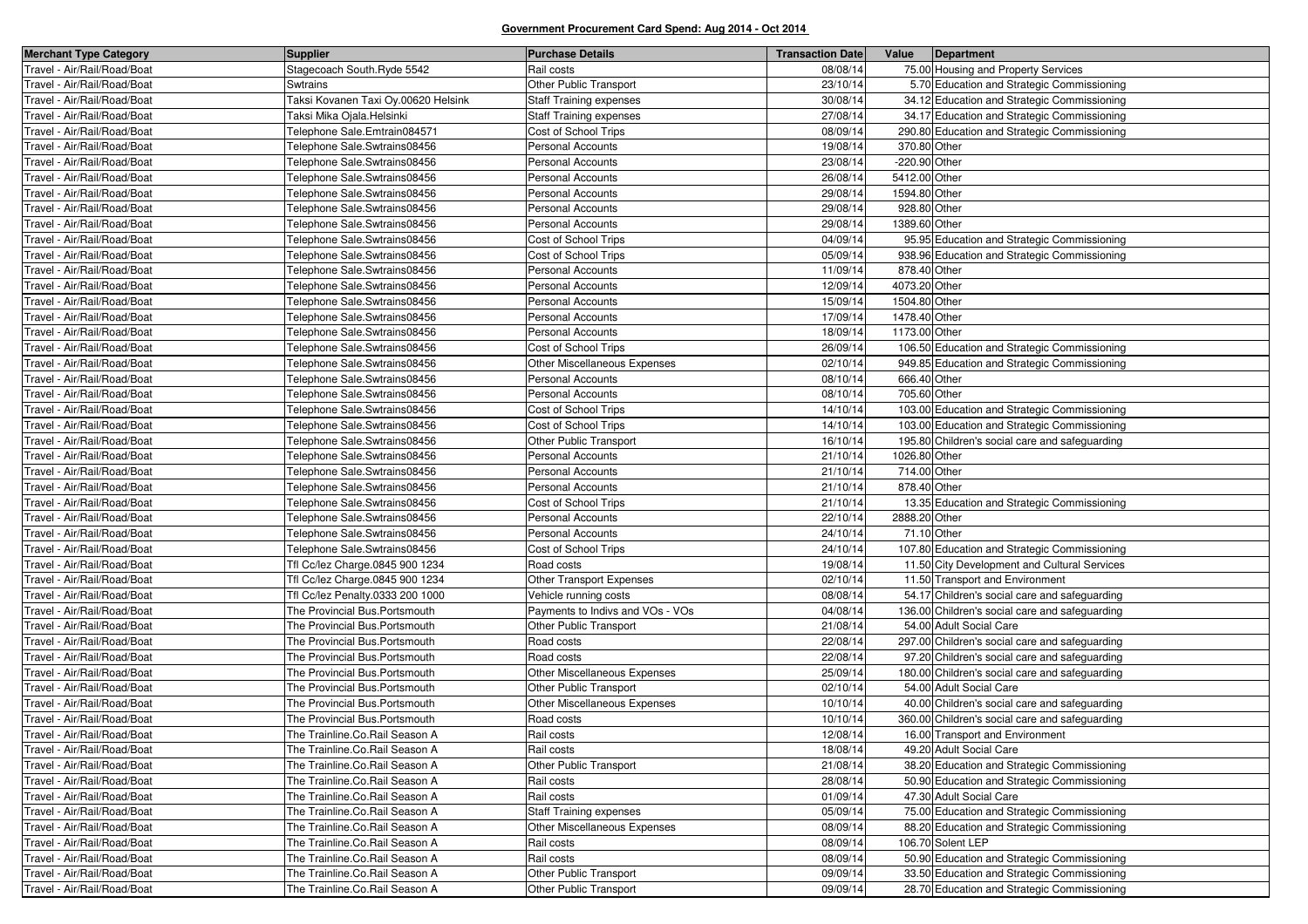| <b>Merchant Type Category</b> | <b>Supplier</b>                     | <b>Purchase Details</b>             | <b>Transaction Date</b> | Value         | Department                                     |
|-------------------------------|-------------------------------------|-------------------------------------|-------------------------|---------------|------------------------------------------------|
| Travel - Air/Rail/Road/Boat   | Stagecoach South.Ryde 5542          | Rail costs                          | 08/08/14                |               | 75.00 Housing and Property Services            |
| Travel - Air/Rail/Road/Boat   | <b>Swtrains</b>                     | Other Public Transport              | 23/10/14                |               | 5.70 Education and Strategic Commissioning     |
| Travel - Air/Rail/Road/Boat   | Taksi Kovanen Taxi Oy.00620 Helsink | <b>Staff Training expenses</b>      | 30/08/14                |               | 34.12 Education and Strategic Commissioning    |
| Travel - Air/Rail/Road/Boat   | Taksi Mika Ojala.Helsinki           | <b>Staff Training expenses</b>      | 27/08/14                |               | 34.17 Education and Strategic Commissioning    |
| Travel - Air/Rail/Road/Boat   | Telephone Sale.Emtrain084571        | Cost of School Trips                | 08/09/14                |               | 290.80 Education and Strategic Commissioning   |
| Travel - Air/Rail/Road/Boat   | Telephone Sale.Swtrains08456        | <b>Personal Accounts</b>            | 19/08/14                | 370.80 Other  |                                                |
| Travel - Air/Rail/Road/Boat   | Telephone Sale.Swtrains08456        | Personal Accounts                   | 23/08/14                | -220.90 Other |                                                |
| Travel - Air/Rail/Road/Boat   | Telephone Sale.Swtrains08456        | Personal Accounts                   | 26/08/14                | 5412.00 Other |                                                |
| Travel - Air/Rail/Road/Boat   | Telephone Sale.Swtrains08456        | Personal Accounts                   | 29/08/14                | 1594.80 Other |                                                |
| Travel - Air/Rail/Road/Boat   | Telephone Sale.Swtrains08456        | <b>Personal Accounts</b>            | 29/08/14                | 928.80 Other  |                                                |
| Travel - Air/Rail/Road/Boat   | Telephone Sale.Swtrains08456        | <b>Personal Accounts</b>            | 29/08/14                | 1389.60 Other |                                                |
| Travel - Air/Rail/Road/Boat   | Telephone Sale.Swtrains08456        | Cost of School Trips                | 04/09/14                |               | 95.95 Education and Strategic Commissioning    |
| Travel - Air/Rail/Road/Boat   | Telephone Sale.Swtrains08456        | Cost of School Trips                | 05/09/14                |               | 938.96 Education and Strategic Commissioning   |
| Travel - Air/Rail/Road/Boat   | Telephone Sale.Swtrains08456        | <b>Personal Accounts</b>            | 11/09/14                | 878.40 Other  |                                                |
| Travel - Air/Rail/Road/Boat   | Telephone Sale.Swtrains08456        | Personal Accounts                   | 12/09/14                | 4073.20 Other |                                                |
| Travel - Air/Rail/Road/Boat   | Telephone Sale.Swtrains08456        | <b>Personal Accounts</b>            | 15/09/14                | 1504.80 Other |                                                |
| Travel - Air/Rail/Road/Boat   | Telephone Sale.Swtrains08456        | Personal Accounts                   | 17/09/14                | 1478.40 Other |                                                |
| Travel - Air/Rail/Road/Boat   | Telephone Sale.Swtrains08456        | <b>Personal Accounts</b>            | 18/09/14                | 1173.00 Other |                                                |
| Travel - Air/Rail/Road/Boat   | Telephone Sale.Swtrains08456        | Cost of School Trips                | 26/09/14                |               | 106.50 Education and Strategic Commissioning   |
| Travel - Air/Rail/Road/Boat   | Telephone Sale.Swtrains08456        | <b>Other Miscellaneous Expenses</b> | 02/10/14                |               | 949.85 Education and Strategic Commissioning   |
| Travel - Air/Rail/Road/Boat   | Telephone Sale.Swtrains08456        | Personal Accounts                   | 08/10/14                | 666.40 Other  |                                                |
| Travel - Air/Rail/Road/Boat   | Telephone Sale.Swtrains08456        | <b>Personal Accounts</b>            | 08/10/14                | 705.60 Other  |                                                |
| Travel - Air/Rail/Road/Boat   | Telephone Sale.Swtrains08456        | Cost of School Trips                | 14/10/14                |               | 103.00 Education and Strategic Commissioning   |
| Travel - Air/Rail/Road/Boat   | Telephone Sale.Swtrains08456        | Cost of School Trips                | 14/10/14                |               | 103.00 Education and Strategic Commissioning   |
| Travel - Air/Rail/Road/Boat   | Telephone Sale.Swtrains08456        | Other Public Transport              | 16/10/14                |               | 195.80 Children's social care and safeguarding |
| Travel - Air/Rail/Road/Boat   | Telephone Sale.Swtrains08456        | Personal Accounts                   | 21/10/14                | 1026.80 Other |                                                |
| Travel - Air/Rail/Road/Boat   | Telephone Sale.Swtrains08456        | Personal Accounts                   | 21/10/14                | 714.00 Other  |                                                |
| Travel - Air/Rail/Road/Boat   | Telephone Sale.Swtrains08456        | <b>Personal Accounts</b>            | 21/10/14                | 878.40 Other  |                                                |
| Travel - Air/Rail/Road/Boat   | Telephone Sale.Swtrains08456        | Cost of School Trips                | 21/10/14                |               | 13.35 Education and Strategic Commissioning    |
| Travel - Air/Rail/Road/Boat   | Telephone Sale.Swtrains08456        | <b>Personal Accounts</b>            | 22/10/14                | 2888.20 Other |                                                |
| Travel - Air/Rail/Road/Boat   | Telephone Sale.Swtrains08456        | <b>Personal Accounts</b>            | 24/10/14                | 71.10 Other   |                                                |
| Travel - Air/Rail/Road/Boat   | Telephone Sale.Swtrains08456        | Cost of School Trips                | 24/10/14                |               | 107.80 Education and Strategic Commissioning   |
| Travel - Air/Rail/Road/Boat   | Tfl Cc/lez Charge.0845 900 1234     | Road costs                          | 19/08/14                |               | 11.50 City Development and Cultural Services   |
| Travel - Air/Rail/Road/Boat   | Tfl Cc/lez Charge.0845 900 1234     | Other Transport Expenses            | 02/10/14                |               | 11.50 Transport and Environment                |
| Travel - Air/Rail/Road/Boat   | Tfl Cc/lez Penalty.0333 200 1000    | Vehicle running costs               | 08/08/14                |               | 54.17 Children's social care and safeguarding  |
| Travel - Air/Rail/Road/Boat   | The Provincial Bus.Portsmouth       | Payments to Indivs and VOs - VOs    | 04/08/14                |               | 136.00 Children's social care and safeguarding |
| Travel - Air/Rail/Road/Boat   | The Provincial Bus.Portsmouth       | <b>Other Public Transport</b>       | 21/08/14                |               | 54.00 Adult Social Care                        |
| Travel - Air/Rail/Road/Boat   | The Provincial Bus.Portsmouth       | Road costs                          | 22/08/14                |               | 297.00 Children's social care and safeguarding |
| Travel - Air/Rail/Road/Boat   | The Provincial Bus.Portsmouth       | Road costs                          | 22/08/14                |               | 97.20 Children's social care and safeguarding  |
| Travel - Air/Rail/Road/Boat   | The Provincial Bus.Portsmouth       | Other Miscellaneous Expenses        | 25/09/14                |               | 180.00 Children's social care and safeguarding |
| Travel - Air/Rail/Road/Boat   | The Provincial Bus. Portsmouth      | Other Public Transport              | 02/10/14                |               | 54.00 Adult Social Care                        |
| Travel - Air/Rail/Road/Boat   | The Provincial Bus.Portsmouth       | Other Miscellaneous Expenses        | 10/10/14                |               | 40.00 Children's social care and safeguarding  |
| Travel - Air/Rail/Road/Boat   | The Provincial Bus.Portsmouth       | Road costs                          | 10/10/14                |               | 360.00 Children's social care and safeguarding |
| Travel - Air/Rail/Road/Boat   | The Trainline.Co.Rail Season A      | Rail costs                          | 12/08/14                |               | 16.00 Transport and Environment                |
| Travel - Air/Rail/Road/Boat   | The Trainline.Co.Rail Season A      | Rail costs                          | 18/08/14                |               | 49.20 Adult Social Care                        |
| Travel - Air/Rail/Road/Boat   | The Trainline.Co.Rail Season A      | Other Public Transport              | 21/08/14                |               | 38.20 Education and Strategic Commissioning    |
| Travel - Air/Rail/Road/Boat   | The Trainline.Co.Rail Season A      | Rail costs                          | 28/08/14                |               | 50.90 Education and Strategic Commissioning    |
| Travel - Air/Rail/Road/Boat   | The Trainline.Co.Rail Season A      | Rail costs                          | 01/09/14                |               | 47.30 Adult Social Care                        |
| Travel - Air/Rail/Road/Boat   | The Trainline.Co.Rail Season A      | <b>Staff Training expenses</b>      | 05/09/14                |               | 75.00 Education and Strategic Commissioning    |
| Travel - Air/Rail/Road/Boat   | The Trainline.Co.Rail Season A      | Other Miscellaneous Expenses        | 08/09/14                |               | 88.20 Education and Strategic Commissioning    |
| Travel - Air/Rail/Road/Boat   | The Trainline.Co.Rail Season A      | Rail costs                          | 08/09/14                |               | 106.70 Solent LEP                              |
| Travel - Air/Rail/Road/Boat   | The Trainline.Co.Rail Season A      | Rail costs                          | 08/09/14                |               | 50.90 Education and Strategic Commissioning    |
| Travel - Air/Rail/Road/Boat   | The Trainline.Co.Rail Season A      | Other Public Transport              | 09/09/14                |               | 33.50 Education and Strategic Commissioning    |
| Travel - Air/Rail/Road/Boat   | The Trainline.Co.Rail Season A      | Other Public Transport              | 09/09/14                |               | 28.70 Education and Strategic Commissioning    |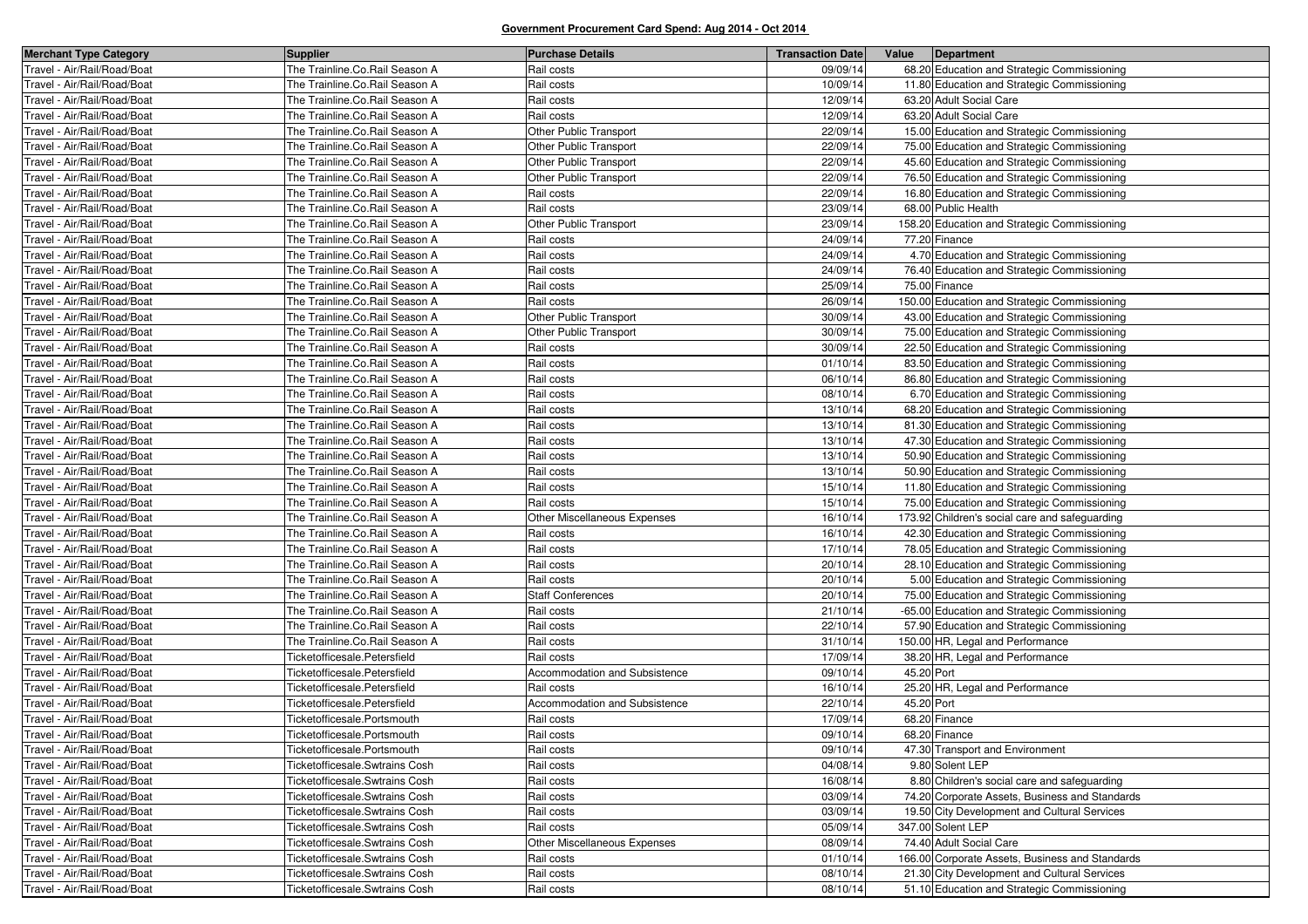| <b>Merchant Type Category</b>      | <b>Supplier</b>                 | <b>Purchase Details</b>       | <b>Transaction Date</b> | Value      | Department                                      |
|------------------------------------|---------------------------------|-------------------------------|-------------------------|------------|-------------------------------------------------|
| Travel - Air/Rail/Road/Boat        | The Trainline.Co.Rail Season A  | Rail costs                    | 09/09/14                |            | 68.20 Education and Strategic Commissioning     |
| Fravel - Air/Rail/Road/Boat        | The Trainline.Co.Rail Season A  | Rail costs                    | 10/09/14                |            | 11.80 Education and Strategic Commissioning     |
| Fravel - Air/Rail/Road/Boat        | The Trainline.Co.Rail Season A  | Rail costs                    | 12/09/14                |            | 63.20 Adult Social Care                         |
| Travel - Air/Rail/Road/Boat        | The Trainline.Co.Rail Season A  | Rail costs                    | 12/09/14                |            | 63.20 Adult Social Care                         |
| Fravel - Air/Rail/Road/Boat        | The Trainline.Co.Rail Season A  | Other Public Transport        | 22/09/14                |            | 15.00 Education and Strategic Commissioning     |
| Fravel - Air/Rail/Road/Boat        | The Trainline.Co.Rail Season A  | Other Public Transport        | 22/09/14                |            | 75.00 Education and Strategic Commissioning     |
| Travel - Air/Rail/Road/Boat        | The Trainline.Co.Rail Season A  | Other Public Transport        | 22/09/14                |            | 45.60 Education and Strategic Commissioning     |
| Fravel - Air/Rail/Road/Boat        | The Trainline.Co.Rail Season A  | Other Public Transport        | 22/09/14                |            | 76.50 Education and Strategic Commissioning     |
| <b>Fravel - Air/Rail/Road/Boat</b> | The Trainline.Co.Rail Season A  | Rail costs                    | 22/09/14                |            | 16.80 Education and Strategic Commissioning     |
| Travel - Air/Rail/Road/Boat        | The Trainline.Co.Rail Season A  | Rail costs                    | 23/09/14                |            | 68.00 Public Health                             |
| Travel - Air/Rail/Road/Boat        | The Trainline.Co.Rail Season A  | Other Public Transport        | 23/09/14                |            | 158.20 Education and Strategic Commissioning    |
| Fravel - Air/Rail/Road/Boat        | The Trainline.Co.Rail Season A  | Rail costs                    | 24/09/14                |            | 77.20 Finance                                   |
| Travel - Air/Rail/Road/Boat        | The Trainline.Co.Rail Season A  | Rail costs                    | 24/09/14                |            | 4.70 Education and Strategic Commissioning      |
| Travel - Air/Rail/Road/Boat        | The Trainline.Co.Rail Season A  | Rail costs                    | 24/09/14                |            | 76.40 Education and Strategic Commissioning     |
| Fravel - Air/Rail/Road/Boat        | The Trainline.Co.Rail Season A  | Rail costs                    | 25/09/14                |            | 75.00 Finance                                   |
| Travel - Air/Rail/Road/Boat        | The Trainline.Co.Rail Season A  | Rail costs                    | 26/09/14                |            | 150.00 Education and Strategic Commissioning    |
| Travel - Air/Rail/Road/Boat        | The Trainline.Co.Rail Season A  | Other Public Transport        | 30/09/14                |            | 43.00 Education and Strategic Commissioning     |
| Fravel - Air/Rail/Road/Boat        | The Trainline.Co.Rail Season A  | Other Public Transport        | 30/09/14                |            | 75.00 Education and Strategic Commissioning     |
| Fravel - Air/Rail/Road/Boat        | The Trainline.Co.Rail Season A  | Rail costs                    | 30/09/14                |            | 22.50 Education and Strategic Commissioning     |
| Fravel - Air/Rail/Road/Boat        | The Trainline.Co.Rail Season A  | Rail costs                    | 01/10/14                |            | 83.50 Education and Strategic Commissioning     |
| Fravel - Air/Rail/Road/Boat        | The Trainline.Co.Rail Season A  | Rail costs                    | 06/10/14                |            | 86.80 Education and Strategic Commissioning     |
| Fravel - Air/Rail/Road/Boat        | The Trainline.Co.Rail Season A  | Rail costs                    | 08/10/14                |            | 6.70 Education and Strategic Commissioning      |
| Fravel - Air/Rail/Road/Boat        | The Trainline.Co.Rail Season A  | Rail costs                    | 13/10/14                |            | 68.20 Education and Strategic Commissioning     |
| Fravel - Air/Rail/Road/Boat        | The Trainline.Co.Rail Season A  | Rail costs                    | 13/10/14                |            | 81.30 Education and Strategic Commissioning     |
| Fravel - Air/Rail/Road/Boat        | The Trainline.Co.Rail Season A  | Rail costs                    | 13/10/14                |            | 47.30 Education and Strategic Commissioning     |
| Travel - Air/Rail/Road/Boat        | The Trainline.Co.Rail Season A  | Rail costs                    | 13/10/14                |            | 50.90 Education and Strategic Commissioning     |
| Fravel - Air/Rail/Road/Boat        | The Trainline.Co.Rail Season A  | Rail costs                    | 13/10/14                |            | 50.90 Education and Strategic Commissioning     |
| Fravel - Air/Rail/Road/Boat        | The Trainline.Co.Rail Season A  | Rail costs                    | 15/10/14                |            | 11.80 Education and Strategic Commissioning     |
| Fravel - Air/Rail/Road/Boat        | The Trainline.Co.Rail Season A  | Rail costs                    | 15/10/14                |            | 75.00 Education and Strategic Commissioning     |
| Fravel - Air/Rail/Road/Boat        | The Trainline.Co.Rail Season A  | Other Miscellaneous Expenses  | 16/10/14                |            | 173.92 Children's social care and safeguarding  |
| Fravel - Air/Rail/Road/Boat        | The Trainline.Co.Rail Season A  | Rail costs                    | 16/10/14                |            | 42.30 Education and Strategic Commissioning     |
| Fravel - Air/Rail/Road/Boat        | The Trainline.Co.Rail Season A  | Rail costs                    | 17/10/14                |            | 78.05 Education and Strategic Commissioning     |
| Fravel - Air/Rail/Road/Boat        | The Trainline.Co.Rail Season A  | Rail costs                    | 20/10/14                |            | 28.10 Education and Strategic Commissioning     |
| Fravel - Air/Rail/Road/Boat        | The Trainline.Co.Rail Season A  | Rail costs                    | 20/10/14                |            | 5.00 Education and Strategic Commissioning      |
| Travel - Air/Rail/Road/Boat        | The Trainline.Co.Rail Season A  | <b>Staff Conferences</b>      | 20/10/14                |            | 75.00 Education and Strategic Commissioning     |
| Fravel - Air/Rail/Road/Boat        | The Trainline.Co.Rail Season A  | Rail costs                    | 21/10/14                |            | -65.00 Education and Strategic Commissioning    |
| Fravel - Air/Rail/Road/Boat        | The Trainline.Co.Rail Season A  | Rail costs                    | 22/10/14                |            | 57.90 Education and Strategic Commissioning     |
| Travel - Air/Rail/Road/Boat        | The Trainline.Co.Rail Season A  | Rail costs                    | 31/10/14                |            | 150.00 HR, Legal and Performance                |
| Travel - Air/Rail/Road/Boat        | Ticketofficesale.Petersfield    | Rail costs                    | 17/09/14                |            | 38.20 HR, Legal and Performance                 |
| Fravel - Air/Rail/Road/Boat        | Ticketofficesale.Petersfield    | Accommodation and Subsistence | 09/10/14                | 45.20 Port |                                                 |
| Travel - Air/Rail/Road/Boat        | Ticketofficesale.Petersfield    | Rail costs                    | 16/10/14                |            | 25.20 HR, Legal and Performance                 |
| Fravel - Air/Rail/Road/Boat        | Ticketofficesale.Petersfield    | Accommodation and Subsistence | 22/10/14                | 45.20 Port |                                                 |
| ravel - Air/Rail/Road/Boat         | Ticketofficesale.Portsmouth     | Rail costs                    | 17/09/14                |            | 68.20 Finance                                   |
| Travel - Air/Rail/Road/Boat        | Ticketofficesale.Portsmouth     | Rail costs                    | 09/10/14                |            | 68.20 Finance                                   |
| Travel - Air/Rail/Road/Boat        | Ticketofficesale.Portsmouth     | Rail costs                    | 09/10/14                |            | 47.30 Transport and Environment                 |
| Travel - Air/Rail/Road/Boat        | Ticketofficesale. Swtrains Cosh | Rail costs                    | 04/08/14                |            | 9.80 Solent LEP                                 |
| Travel - Air/Rail/Road/Boat        | Ticketofficesale.Swtrains Cosh  | Rail costs                    | 16/08/14                |            | 8.80 Children's social care and safeguarding    |
| Travel - Air/Rail/Road/Boat        | Ticketofficesale. Swtrains Cosh | Rail costs                    | 03/09/14                |            | 74.20 Corporate Assets, Business and Standards  |
| Travel - Air/Rail/Road/Boat        | Ticketofficesale. Swtrains Cosh | Rail costs                    | 03/09/14                |            | 19.50 City Development and Cultural Services    |
| Fravel - Air/Rail/Road/Boat        | Ticketofficesale.Swtrains Cosh  | Rail costs                    | 05/09/14                |            | 347.00 Solent LEP                               |
| Travel - Air/Rail/Road/Boat        | Ticketofficesale.Swtrains Cosh  | Other Miscellaneous Expenses  | 08/09/14                |            | 74.40 Adult Social Care                         |
| Travel - Air/Rail/Road/Boat        | Ticketofficesale. Swtrains Cosh | Rail costs                    | 01/10/14                |            | 166.00 Corporate Assets, Business and Standards |
| Travel - Air/Rail/Road/Boat        | Ticketofficesale. Swtrains Cosh | Rail costs                    | 08/10/14                |            | 21.30 City Development and Cultural Services    |
| Travel - Air/Rail/Road/Boat        | Ticketofficesale.Swtrains Cosh  | Rail costs                    | 08/10/14                |            | 51.10 Education and Strategic Commissioning     |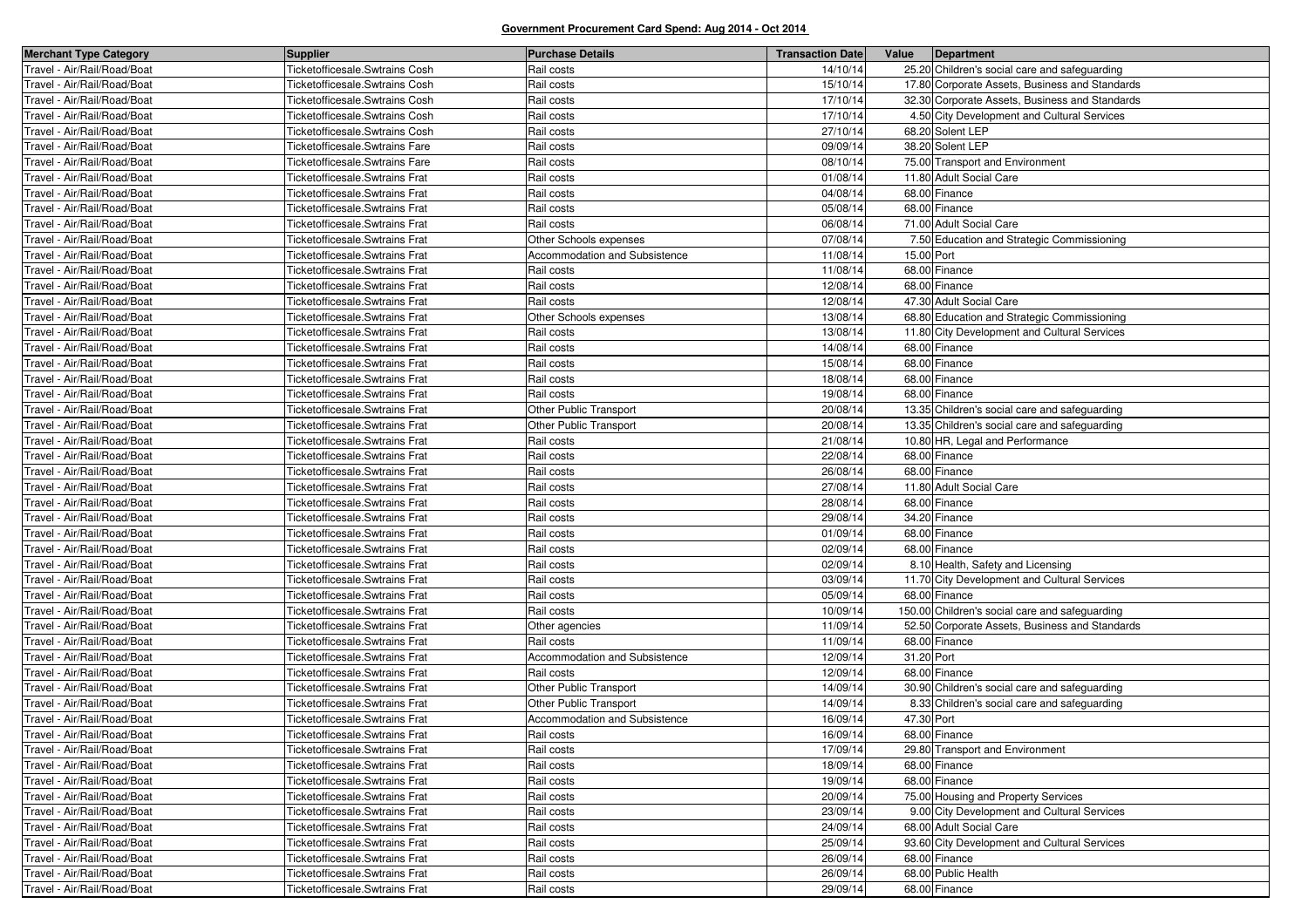| <b>Merchant Type Category</b> | <b>Supplier</b>                       | <b>Purchase Details</b>       | <b>Transaction Date</b> | Value      | Department                                     |
|-------------------------------|---------------------------------------|-------------------------------|-------------------------|------------|------------------------------------------------|
| Travel - Air/Rail/Road/Boat   | Ticketofficesale.Swtrains Cosh        | Rail costs                    | 14/10/14                |            | 25.20 Children's social care and safeguarding  |
| Fravel - Air/Rail/Road/Boat   | Ticketofficesale. Swtrains Cosh       | Rail costs                    | 15/10/14                |            | 17.80 Corporate Assets, Business and Standards |
| Fravel - Air/Rail/Road/Boat   | Ticketofficesale. Swtrains Cosh       | Rail costs                    | 17/10/14                |            | 32.30 Corporate Assets, Business and Standards |
| Travel - Air/Rail/Road/Boat   | Ticketofficesale. Swtrains Cosh       | Rail costs                    | 17/10/14                |            | 4.50 City Development and Cultural Services    |
| Fravel - Air/Rail/Road/Boat   | Ticketofficesale.Swtrains Cosh        | Rail costs                    | 27/10/14                |            | 68.20 Solent LEP                               |
| Fravel - Air/Rail/Road/Boat   | Ticketofficesale.Swtrains Fare        | Rail costs                    | 09/09/14                |            | 38.20 Solent LEP                               |
| Travel - Air/Rail/Road/Boat   | Ticketofficesale.Swtrains Fare        | Rail costs                    | 08/10/14                |            | 75.00 Transport and Environment                |
| Fravel - Air/Rail/Road/Boat   | <b>Ticketofficesale.Swtrains Frat</b> | Rail costs                    | 01/08/14                |            | 11.80 Adult Social Care                        |
| Fravel - Air/Rail/Road/Boat   | <b>Ticketofficesale.Swtrains Frat</b> | Rail costs                    | 04/08/14                |            | 68.00 Finance                                  |
| Travel - Air/Rail/Road/Boat   | Ticketofficesale. Swtrains Frat       | Rail costs                    | 05/08/14                |            | 68.00 Finance                                  |
| Fravel - Air/Rail/Road/Boat   | <b>Ticketofficesale.Swtrains Frat</b> | Rail costs                    | 06/08/14                |            | 71.00 Adult Social Care                        |
| Fravel - Air/Rail/Road/Boat   | <b>Ticketofficesale.Swtrains Frat</b> | Other Schools expenses        | 07/08/14                |            | 7.50 Education and Strategic Commissioning     |
| Travel - Air/Rail/Road/Boat   | Ticketofficesale.Swtrains Frat        | Accommodation and Subsistence | 11/08/14                | 15.00 Port |                                                |
| Travel - Air/Rail/Road/Boat   | Ticketofficesale.Swtrains Frat        | Rail costs                    | 11/08/14                |            | 68.00 Finance                                  |
| Fravel - Air/Rail/Road/Boat   | <b>Ticketofficesale.Swtrains Frat</b> | Rail costs                    | 12/08/14                |            | 68.00 Finance                                  |
| Travel - Air/Rail/Road/Boat   | Ticketofficesale.Swtrains Frat        | Rail costs                    | 12/08/14                |            | 47.30 Adult Social Care                        |
| Travel - Air/Rail/Road/Boat   | Ticketofficesale.Swtrains Frat        | Other Schools expenses        | 13/08/14                |            | 68.80 Education and Strategic Commissioning    |
| Fravel - Air/Rail/Road/Boat   | <b>Ticketofficesale.Swtrains Frat</b> | Rail costs                    | 13/08/14                |            | 11.80 City Development and Cultural Services   |
| Fravel - Air/Rail/Road/Boat   | <b>Ticketofficesale.Swtrains Frat</b> | Rail costs                    | 14/08/14                |            | 68.00 Finance                                  |
| Fravel - Air/Rail/Road/Boat   | <b>Ticketofficesale.Swtrains Frat</b> | Rail costs                    | 15/08/14                |            | 68.00 Finance                                  |
| Fravel - Air/Rail/Road/Boat   | Ticketofficesale.Swtrains Frat        | Rail costs                    | 18/08/14                |            | 68.00 Finance                                  |
| Fravel - Air/Rail/Road/Boat   | <b>Ticketofficesale.Swtrains Frat</b> | Rail costs                    | 19/08/14                |            | 68.00 Finance                                  |
| Fravel - Air/Rail/Road/Boat   | <b>Ticketofficesale.Swtrains Frat</b> | Other Public Transport        | 20/08/14                |            | 13.35 Children's social care and safeguarding  |
| Fravel - Air/Rail/Road/Boat   | <b>Ticketofficesale.Swtrains Frat</b> | Other Public Transport        | 20/08/14                |            | 13.35 Children's social care and safeguarding  |
| Fravel - Air/Rail/Road/Boat   | Ticketofficesale.Swtrains Frat        | Rail costs                    | 21/08/14                |            | 10.80 HR, Legal and Performance                |
| Fravel - Air/Rail/Road/Boat   | Ticketofficesale.Swtrains Frat        | Rail costs                    | 22/08/14                |            | 68.00 Finance                                  |
| Fravel - Air/Rail/Road/Boat   | Ticketofficesale.Swtrains Frat        | Rail costs                    | 26/08/14                |            | 68.00 Finance                                  |
| Fravel - Air/Rail/Road/Boat   | Ticketofficesale.Swtrains Frat        | Rail costs                    | 27/08/14                |            | 11.80 Adult Social Care                        |
| Fravel - Air/Rail/Road/Boat   | Ticketofficesale.Swtrains Frat        | Rail costs                    | 28/08/14                |            | 68.00 Finance                                  |
| Fravel - Air/Rail/Road/Boat   | <b>Ticketofficesale.Swtrains Frat</b> | Rail costs                    | 29/08/14                |            | 34.20 Finance                                  |
| Fravel - Air/Rail/Road/Boat   | <b>Ticketofficesale.Swtrains Frat</b> | Rail costs                    | 01/09/14                |            | 68.00 Finance                                  |
| Fravel - Air/Rail/Road/Boat   | <b>Ticketofficesale.Swtrains Frat</b> | Rail costs                    | 02/09/14                |            | 68.00 Finance                                  |
| Fravel - Air/Rail/Road/Boat   | Ticketofficesale.Swtrains Frat        | Rail costs                    | 02/09/14                |            | 8.10 Health, Safety and Licensing              |
| Fravel - Air/Rail/Road/Boat   | <b>Ticketofficesale.Swtrains Frat</b> | Rail costs                    | 03/09/14                |            | 11.70 City Development and Cultural Services   |
| Fravel - Air/Rail/Road/Boat   | Ticketofficesale.Swtrains Frat        | Rail costs                    | 05/09/14                |            | 68.00 Finance                                  |
| Fravel - Air/Rail/Road/Boat   | Ticketofficesale. Swtrains Frat       | Rail costs                    | 10/09/14                |            | 150.00 Children's social care and safeguarding |
| Fravel - Air/Rail/Road/Boat   | Ticketofficesale.Swtrains Frat        | Other agencies                | 11/09/14                |            | 52.50 Corporate Assets, Business and Standards |
| Travel - Air/Rail/Road/Boat   | Ticketofficesale. Swtrains Frat       | Rail costs                    | 11/09/14                |            | 68.00 Finance                                  |
| Travel - Air/Rail/Road/Boat   | <b>Ticketofficesale.Swtrains Frat</b> | Accommodation and Subsistence | 12/09/14                | 31.20 Port |                                                |
| Fravel - Air/Rail/Road/Boat   | <b>Ticketofficesale.Swtrains Frat</b> | Rail costs                    | 12/09/14                |            | 68.00 Finance                                  |
| Fravel - Air/Rail/Road/Boat   | <b>Ticketofficesale.Swtrains Frat</b> | Other Public Transport        | 14/09/14                |            | 30.90 Children's social care and safeguarding  |
| Fravel - Air/Rail/Road/Boat   | Ticketofficesale.Swtrains Frat        | Other Public Transport        | 14/09/14                |            | 8.33 Children's social care and safeguarding   |
| ravel - Air/Rail/Road/Boat    | <b>Ticketofficesale.Swtrains Frat</b> | Accommodation and Subsistence | 16/09/14                | 47.30 Port |                                                |
| Travel - Air/Rail/Road/Boat   | <b>Ticketofficesale.Swtrains Frat</b> | Rail costs                    | 16/09/14                |            | 68.00 Finance                                  |
| Travel - Air/Rail/Road/Boat   | <b>Ticketofficesale.Swtrains Frat</b> | Rail costs                    | 17/09/14                |            | 29.80 Transport and Environment                |
| Travel - Air/Rail/Road/Boat   | Ticketofficesale.Swtrains Frat        | Rail costs                    | 18/09/14                |            | 68.00 Finance                                  |
| Travel - Air/Rail/Road/Boat   | Ticketofficesale.Swtrains Frat        | Rail costs                    | 19/09/14                |            | 68.00 Finance                                  |
| Travel - Air/Rail/Road/Boat   | Ticketofficesale. Swtrains Frat       | Rail costs                    | 20/09/14                |            | 75.00 Housing and Property Services            |
| Travel - Air/Rail/Road/Boat   | Ticketofficesale. Swtrains Frat       | Rail costs                    | 23/09/14                |            | 9.00 City Development and Cultural Services    |
| Travel - Air/Rail/Road/Boat   | Ticketofficesale.Swtrains Frat        | Rail costs                    | 24/09/14                |            | 68.00 Adult Social Care                        |
| Travel - Air/Rail/Road/Boat   | Ticketofficesale. Swtrains Frat       | Rail costs                    | 25/09/14                |            | 93.60 City Development and Cultural Services   |
| Travel - Air/Rail/Road/Boat   | Ticketofficesale. Swtrains Frat       | Rail costs                    | 26/09/14                |            | 68.00 Finance                                  |
| Travel - Air/Rail/Road/Boat   | Ticketofficesale.Swtrains Frat        | Rail costs                    | 26/09/14                |            | 68.00 Public Health                            |
| Travel - Air/Rail/Road/Boat   | Ticketofficesale. Swtrains Frat       | Rail costs                    | 29/09/14                |            | 68.00 Finance                                  |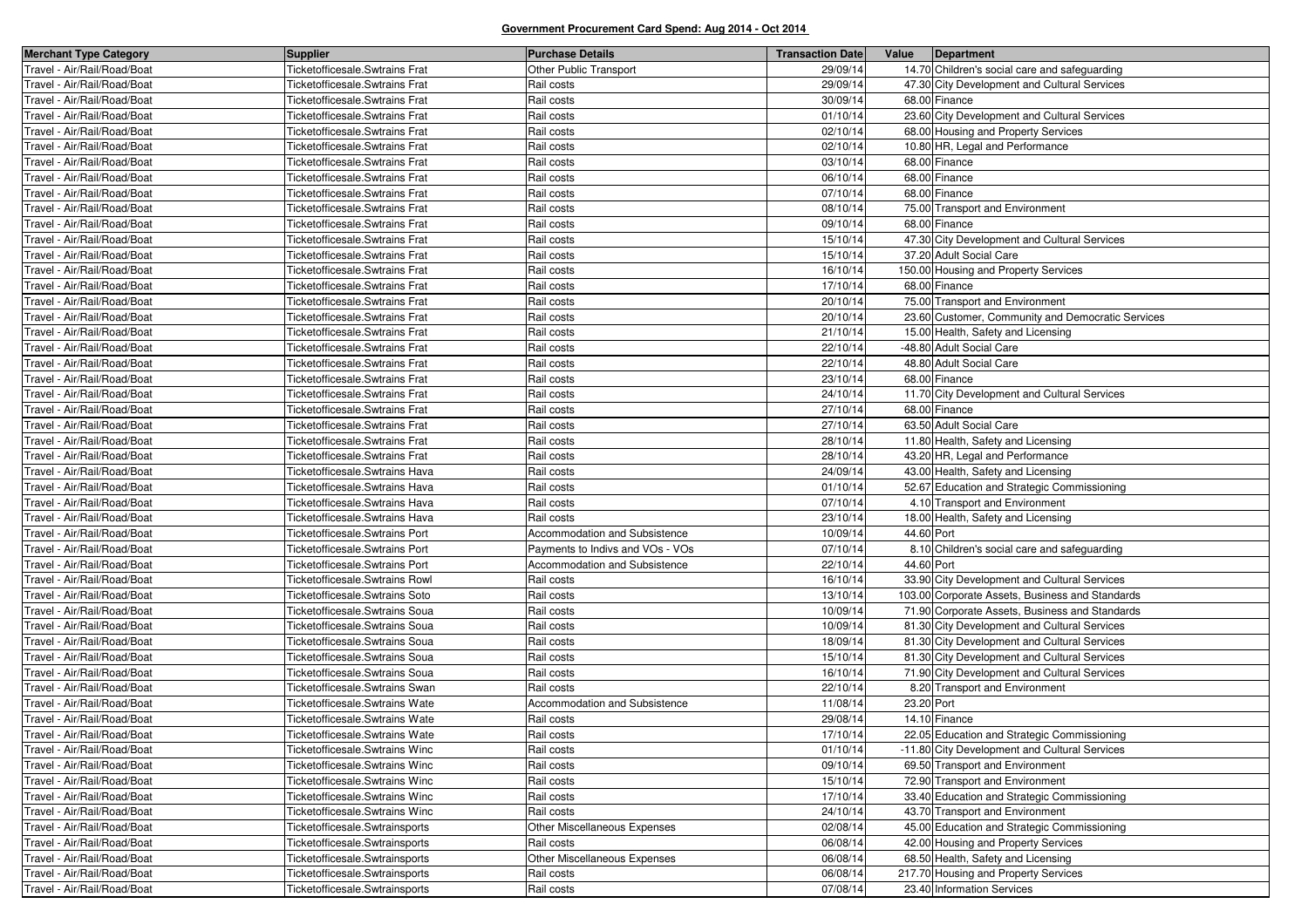| <b>Merchant Type Category</b> | <b>Supplier</b>                       | <b>Purchase Details</b>          | <b>Transaction Date</b> | Value<br>Department                               |
|-------------------------------|---------------------------------------|----------------------------------|-------------------------|---------------------------------------------------|
| Travel - Air/Rail/Road/Boat   | <b>Ticketofficesale.Swtrains Frat</b> | Other Public Transport           | 29/09/14                | 14.70 Children's social care and safeguarding     |
| Travel - Air/Rail/Road/Boat   | Ticketofficesale.Swtrains Frat        | Rail costs                       | 29/09/14                | 47.30 City Development and Cultural Services      |
| Travel - Air/Rail/Road/Boat   | Ticketofficesale.Swtrains Frat        | Rail costs                       | 30/09/14                | 68.00 Finance                                     |
| Travel - Air/Rail/Road/Boat   | Ticketofficesale.Swtrains Frat        | Rail costs                       | 01/10/14                | 23.60 City Development and Cultural Services      |
| Travel - Air/Rail/Road/Boat   | Ticketofficesale.Swtrains Frat        | Rail costs                       | 02/10/14                | 68.00 Housing and Property Services               |
| Travel - Air/Rail/Road/Boat   | Ticketofficesale.Swtrains Frat        | Rail costs                       | 02/10/14                | 10.80 HR, Legal and Performance                   |
| Travel - Air/Rail/Road/Boat   | Ticketofficesale.Swtrains Frat        | Rail costs                       | 03/10/14                | 68.00 Finance                                     |
| Travel - Air/Rail/Road/Boat   | Ticketofficesale.Swtrains Frat        | Rail costs                       | 06/10/14                | 68.00 Finance                                     |
| Travel - Air/Rail/Road/Boat   | Ticketofficesale.Swtrains Frat        | Rail costs                       | 07/10/14                | 68.00 Finance                                     |
| Travel - Air/Rail/Road/Boat   | <b>Ticketofficesale.Swtrains Frat</b> | Rail costs                       | 08/10/14                | 75.00 Transport and Environment                   |
| Travel - Air/Rail/Road/Boat   | Ticketofficesale.Swtrains Frat        | Rail costs                       | 09/10/14                | 68.00 Finance                                     |
| Travel - Air/Rail/Road/Boat   | Ticketofficesale.Swtrains Frat        | Rail costs                       | 15/10/14                | 47.30 City Development and Cultural Services      |
| Travel - Air/Rail/Road/Boat   | Ticketofficesale.Swtrains Frat        | Rail costs                       | 15/10/14                | 37.20 Adult Social Care                           |
| Travel - Air/Rail/Road/Boat   | Ticketofficesale.Swtrains Frat        | Rail costs                       | 16/10/14                | 150.00 Housing and Property Services              |
| Travel - Air/Rail/Road/Boat   | Ticketofficesale.Swtrains Frat        | Rail costs                       | 17/10/14                | 68.00 Finance                                     |
| Travel - Air/Rail/Road/Boat   | Ticketofficesale.Swtrains Frat        | Rail costs                       | 20/10/14                | 75.00 Transport and Environment                   |
| Travel - Air/Rail/Road/Boat   | <b>Ticketofficesale.Swtrains Frat</b> | Rail costs                       | 20/10/14                | 23.60 Customer, Community and Democratic Services |
| Travel - Air/Rail/Road/Boat   | Ticketofficesale.Swtrains Frat        | Rail costs                       | 21/10/14                | 15.00 Health, Safety and Licensing                |
| Travel - Air/Rail/Road/Boat   | Ticketofficesale.Swtrains Frat        | Rail costs                       | 22/10/14                | -48.80 Adult Social Care                          |
| Travel - Air/Rail/Road/Boat   | Ticketofficesale.Swtrains Frat        | Rail costs                       | 22/10/14                | 48.80 Adult Social Care                           |
| Travel - Air/Rail/Road/Boat   | Ticketofficesale.Swtrains Frat        | Rail costs                       | 23/10/14                | 68.00 Finance                                     |
| Travel - Air/Rail/Road/Boat   | <b>Ticketofficesale.Swtrains Frat</b> | Rail costs                       | 24/10/14                | 11.70 City Development and Cultural Services      |
| Travel - Air/Rail/Road/Boat   | Ticketofficesale.Swtrains Frat        | Rail costs                       | 27/10/14                | 68.00 Finance                                     |
| Travel - Air/Rail/Road/Boat   | Ticketofficesale.Swtrains Frat        | Rail costs                       | 27/10/14                | 63.50 Adult Social Care                           |
| Travel - Air/Rail/Road/Boat   | Ticketofficesale.Swtrains Frat        | Rail costs                       | 28/10/14                | 11.80 Health, Safety and Licensing                |
| Travel - Air/Rail/Road/Boat   | Ticketofficesale.Swtrains Frat        | Rail costs                       | 28/10/14                | 43.20 HR, Legal and Performance                   |
| Travel - Air/Rail/Road/Boat   | Ticketofficesale.Swtrains Hava        | Rail costs                       | 24/09/14                | 43.00 Health, Safety and Licensing                |
| Travel - Air/Rail/Road/Boat   | Ticketofficesale.Swtrains Hava        | Rail costs                       | 01/10/14                | 52.67 Education and Strategic Commissioning       |
| Travel - Air/Rail/Road/Boat   | Ticketofficesale.Swtrains Hava        | Rail costs                       | 07/10/14                | 4.10 Transport and Environment                    |
| Travel - Air/Rail/Road/Boat   | Ticketofficesale.Swtrains Hava        | Rail costs                       | 23/10/14                | 18.00 Health, Safety and Licensing                |
| Travel - Air/Rail/Road/Boat   | Ticketofficesale.Swtrains Port        | Accommodation and Subsistence    | 10/09/14                | 44.60 Port                                        |
| Travel - Air/Rail/Road/Boat   | Ticketofficesale.Swtrains Port        | Payments to Indivs and VOs - VOs | 07/10/14                | 8.10 Children's social care and safeguarding      |
| Travel - Air/Rail/Road/Boat   | Ticketofficesale.Swtrains Port        | Accommodation and Subsistence    | 22/10/14                | 44.60 Port                                        |
| Travel - Air/Rail/Road/Boat   | <b>Ticketofficesale.Swtrains Rowl</b> | Rail costs                       | 16/10/14                | 33.90 City Development and Cultural Services      |
| Travel - Air/Rail/Road/Boat   | Ticketofficesale.Swtrains Soto        | Rail costs                       | 13/10/14                | 103.00 Corporate Assets, Business and Standards   |
| Travel - Air/Rail/Road/Boat   | Ticketofficesale.Swtrains Soua        | Rail costs                       | 10/09/14                | 71.90 Corporate Assets, Business and Standards    |
| Travel - Air/Rail/Road/Boat   | Ticketofficesale.Swtrains Soua        | Rail costs                       | 10/09/14                | 81.30 City Development and Cultural Services      |
| Travel - Air/Rail/Road/Boat   | Ticketofficesale.Swtrains Soua        | Rail costs                       | 18/09/14                | 81.30 City Development and Cultural Services      |
| Travel - Air/Rail/Road/Boat   | Ticketofficesale.Swtrains Soua        | Rail costs                       | 15/10/14                | 81.30 City Development and Cultural Services      |
| Travel - Air/Rail/Road/Boat   | Ticketofficesale.Swtrains Soua        | Rail costs                       | 16/10/14                | 71.90 City Development and Cultural Services      |
| Travel - Air/Rail/Road/Boat   | Ticketofficesale.Swtrains Swan        | Rail costs                       | 22/10/14                | 8.20 Transport and Environment                    |
| Travel - Air/Rail/Road/Boat   | Ticketofficesale.Swtrains Wate        | Accommodation and Subsistence    | 11/08/14                | 23.20 Port                                        |
| Travel - Air/Rail/Road/Boat   | Ticketofficesale.Swtrains Wate        | Rail costs                       | 29/08/14                | 14.10 Finance                                     |
| Travel - Air/Rail/Road/Boat   | Ticketofficesale. Swtrains Wate       | Rail costs                       | 17/10/14                | 22.05 Education and Strategic Commissioning       |
| Travel - Air/Rail/Road/Boat   | Ticketofficesale.Swtrains Winc        | Rail costs                       | 01/10/14                | -11.80 City Development and Cultural Services     |
| Travel - Air/Rail/Road/Boat   | Ticketofficesale.Swtrains Winc        | Rail costs                       | 09/10/14                | 69.50 Transport and Environment                   |
| Travel - Air/Rail/Road/Boat   | Ticketofficesale.Swtrains Winc        | Rail costs                       | 15/10/14                | 72.90 Transport and Environment                   |
| Travel - Air/Rail/Road/Boat   | Ticketofficesale. Swtrains Winc       | Rail costs                       | 17/10/14                | 33.40 Education and Strategic Commissioning       |
| Travel - Air/Rail/Road/Boat   | Ticketofficesale.Swtrains Winc        | Rail costs                       | 24/10/14                | 43.70 Transport and Environment                   |
| Travel - Air/Rail/Road/Boat   | Ticketofficesale.Swtrainsports        | Other Miscellaneous Expenses     | 02/08/14                | 45.00 Education and Strategic Commissioning       |
| Travel - Air/Rail/Road/Boat   | Ticketofficesale.Swtrainsports        | Rail costs                       | 06/08/14                | 42.00 Housing and Property Services               |
| Travel - Air/Rail/Road/Boat   | Ticketofficesale.Swtrainsports        | Other Miscellaneous Expenses     | 06/08/14                | 68.50 Health, Safety and Licensing                |
| Travel - Air/Rail/Road/Boat   | Ticketofficesale.Swtrainsports        | Rail costs                       | 06/08/14                | 217.70 Housing and Property Services              |
| Travel - Air/Rail/Road/Boat   | Ticketofficesale.Swtrainsports        | Rail costs                       | 07/08/14                | 23.40 Information Services                        |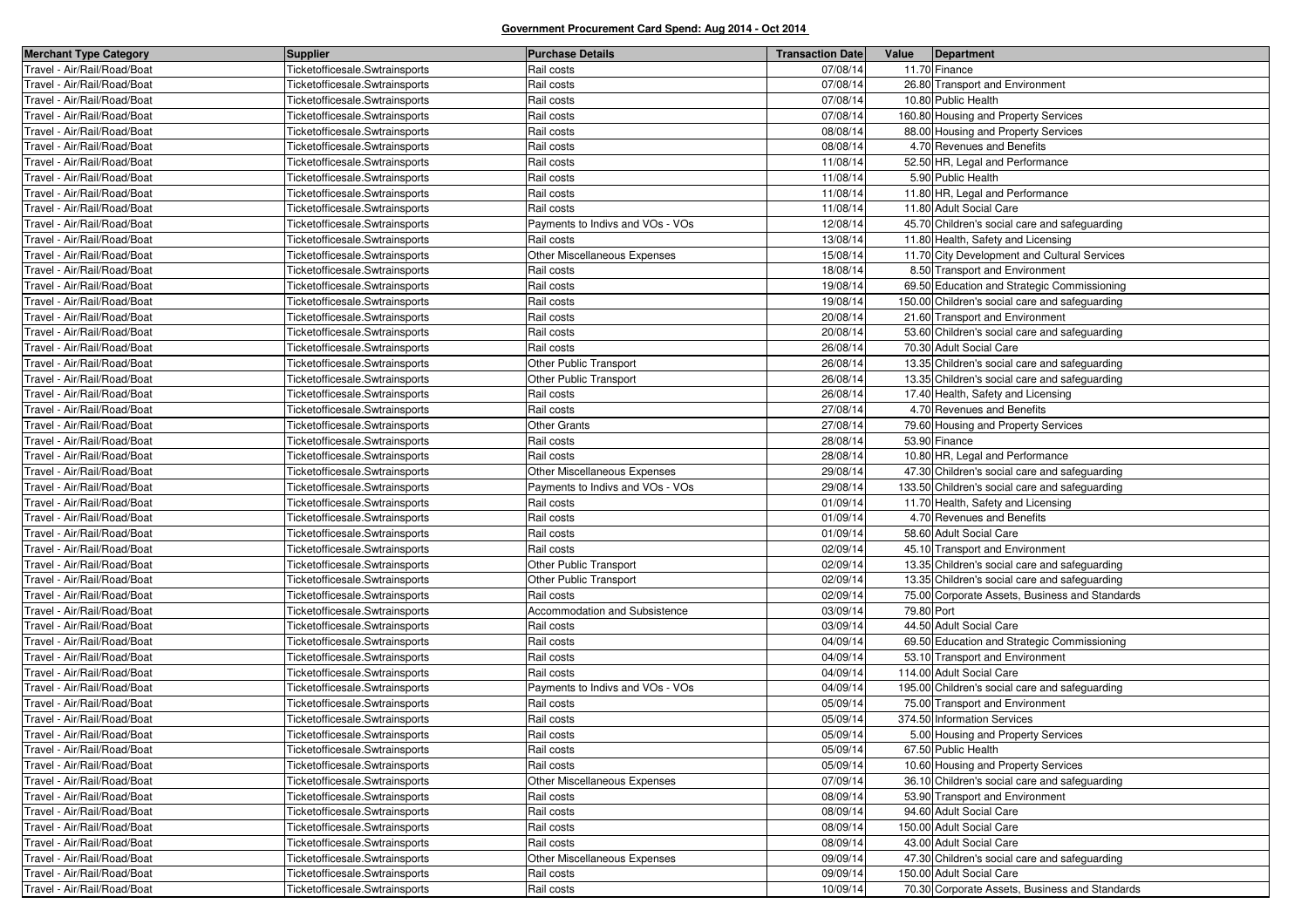| <b>Merchant Type Category</b> | <b>Supplier</b>                | <b>Purchase Details</b>          | <b>Transaction Date</b> | Value      | Department                                     |
|-------------------------------|--------------------------------|----------------------------------|-------------------------|------------|------------------------------------------------|
| Travel - Air/Rail/Road/Boat   | Ticketofficesale.Swtrainsports | Rail costs                       | 07/08/14                |            | 11.70 Finance                                  |
| Fravel - Air/Rail/Road/Boat   | Ticketofficesale.Swtrainsports | Rail costs                       | 07/08/14                |            | 26.80 Transport and Environment                |
| Fravel - Air/Rail/Road/Boat   | Ticketofficesale.Swtrainsports | Rail costs                       | 07/08/14                |            | 10.80 Public Health                            |
| Travel - Air/Rail/Road/Boat   | Ticketofficesale.Swtrainsports | Rail costs                       | 07/08/14                |            | 160.80 Housing and Property Services           |
| Fravel - Air/Rail/Road/Boat   | Ticketofficesale.Swtrainsports | Rail costs                       | 08/08/14                |            | 88.00 Housing and Property Services            |
| Fravel - Air/Rail/Road/Boat   | Ticketofficesale.Swtrainsports | Rail costs                       | 08/08/14                |            | 4.70 Revenues and Benefits                     |
| Travel - Air/Rail/Road/Boat   | Ticketofficesale.Swtrainsports | Rail costs                       | 11/08/14                |            | 52.50 HR, Legal and Performance                |
| Fravel - Air/Rail/Road/Boat   | Ticketofficesale.Swtrainsports | Rail costs                       | 11/08/14                |            | 5.90 Public Health                             |
| Fravel - Air/Rail/Road/Boat   | Ticketofficesale.Swtrainsports | Rail costs                       | 11/08/14                |            | 11.80 HR, Legal and Performance                |
| Travel - Air/Rail/Road/Boat   | Ticketofficesale.Swtrainsports | Rail costs                       | 11/08/14                |            | 11.80 Adult Social Care                        |
| Travel - Air/Rail/Road/Boat   | Ticketofficesale.Swtrainsports | Payments to Indivs and VOs - VOs | 12/08/14                |            | 45.70 Children's social care and safeguarding  |
| Fravel - Air/Rail/Road/Boat   | Ticketofficesale.Swtrainsports | Rail costs                       | 13/08/14                |            | 11.80 Health, Safety and Licensing             |
| Travel - Air/Rail/Road/Boat   | Ticketofficesale.Swtrainsports | Other Miscellaneous Expenses     | 15/08/14                |            | 11.70 City Development and Cultural Services   |
| Travel - Air/Rail/Road/Boat   | Ticketofficesale.Swtrainsports | Rail costs                       | 18/08/14                |            | 8.50 Transport and Environment                 |
| Fravel - Air/Rail/Road/Boat   | Ticketofficesale.Swtrainsports | Rail costs                       | 19/08/14                |            | 69.50 Education and Strategic Commissioning    |
| Travel - Air/Rail/Road/Boat   | Ticketofficesale.Swtrainsports | Rail costs                       | 19/08/14                |            | 150.00 Children's social care and safeguarding |
| Travel - Air/Rail/Road/Boat   | Ticketofficesale.Swtrainsports | Rail costs                       | 20/08/14                |            | 21.60 Transport and Environment                |
| Fravel - Air/Rail/Road/Boat   | Ticketofficesale.Swtrainsports | Rail costs                       | 20/08/14                |            | 53.60 Children's social care and safeguarding  |
| Fravel - Air/Rail/Road/Boat   | Ticketofficesale.Swtrainsports | Rail costs                       | 26/08/14                |            | 70.30 Adult Social Care                        |
| Fravel - Air/Rail/Road/Boat   | Ticketofficesale.Swtrainsports | Other Public Transport           | 26/08/14                |            | 13.35 Children's social care and safeguarding  |
| Fravel - Air/Rail/Road/Boat   | Ticketofficesale.Swtrainsports | Other Public Transport           | 26/08/14                |            | 13.35 Children's social care and safeguarding  |
| Fravel - Air/Rail/Road/Boat   | Ticketofficesale.Swtrainsports | Rail costs                       | 26/08/14                |            | 17.40 Health, Safety and Licensing             |
| Fravel - Air/Rail/Road/Boat   | Ticketofficesale.Swtrainsports | Rail costs                       | 27/08/14                |            | 4.70 Revenues and Benefits                     |
| Fravel - Air/Rail/Road/Boat   | Ticketofficesale.Swtrainsports | <b>Other Grants</b>              | 27/08/14                |            | 79.60 Housing and Property Services            |
| Fravel - Air/Rail/Road/Boat   | Ticketofficesale.Swtrainsports | Rail costs                       | 28/08/14                |            | 53.90 Finance                                  |
| Travel - Air/Rail/Road/Boat   | Ticketofficesale.Swtrainsports | Rail costs                       | 28/08/14                |            | 10.80 HR, Legal and Performance                |
| Fravel - Air/Rail/Road/Boat   | Ticketofficesale.Swtrainsports | Other Miscellaneous Expenses     | 29/08/14                |            | 47.30 Children's social care and safeguarding  |
| Fravel - Air/Rail/Road/Boat   | Ticketofficesale.Swtrainsports | Payments to Indivs and VOs - VOs | 29/08/14                |            | 133.50 Children's social care and safeguarding |
| Fravel - Air/Rail/Road/Boat   | Ticketofficesale.Swtrainsports | Rail costs                       | 01/09/14                |            | 11.70 Health, Safety and Licensing             |
| Fravel - Air/Rail/Road/Boat   | Ticketofficesale.Swtrainsports | Rail costs                       | 01/09/14                |            | 4.70 Revenues and Benefits                     |
| Fravel - Air/Rail/Road/Boat   | Ticketofficesale.Swtrainsports | Rail costs                       | 01/09/14                |            | 58.60 Adult Social Care                        |
| Fravel - Air/Rail/Road/Boat   | Ticketofficesale.Swtrainsports | Rail costs                       | 02/09/14                |            | 45.10 Transport and Environment                |
| Fravel - Air/Rail/Road/Boat   | Ticketofficesale.Swtrainsports | Other Public Transport           | 02/09/14                |            | 13.35 Children's social care and safeguarding  |
| Fravel - Air/Rail/Road/Boat   | Ticketofficesale.Swtrainsports | Other Public Transport           | 02/09/14                |            | 13.35 Children's social care and safeguarding  |
| Travel - Air/Rail/Road/Boat   | Ticketofficesale.Swtrainsports | Rail costs                       | 02/09/14                |            | 75.00 Corporate Assets, Business and Standards |
| Fravel - Air/Rail/Road/Boat   | Ticketofficesale.Swtrainsports | Accommodation and Subsistence    | 03/09/14                | 79.80 Port |                                                |
| Fravel - Air/Rail/Road/Boat   | Ticketofficesale.Swtrainsports | Rail costs                       | 03/09/14                |            | 44.50 Adult Social Care                        |
| Travel - Air/Rail/Road/Boat   | Ticketofficesale.Swtrainsports | Rail costs                       | 04/09/14                |            | 69.50 Education and Strategic Commissioning    |
| Travel - Air/Rail/Road/Boat   | Ticketofficesale.Swtrainsports | Rail costs                       | 04/09/14                |            | 53.10 Transport and Environment                |
| Fravel - Air/Rail/Road/Boat   | Ticketofficesale.Swtrainsports | Rail costs                       | 04/09/14                |            | 114.00 Adult Social Care                       |
| Travel - Air/Rail/Road/Boat   | Ticketofficesale.Swtrainsports | Payments to Indivs and VOs - VOs | 04/09/14                |            | 195.00 Children's social care and safeguarding |
| Travel - Air/Rail/Road/Boat   | Ticketofficesale.Swtrainsports | Rail costs                       | 05/09/14                |            | 75.00 Transport and Environment                |
| ravel - Air/Rail/Road/Boat    | Ticketofficesale.Swtrainsports | Rail costs                       | 05/09/14                |            | 374.50 Information Services                    |
| Travel - Air/Rail/Road/Boat   | Ticketofficesale.Swtrainsports | Rail costs                       | 05/09/14                |            | 5.00 Housing and Property Services             |
| Travel - Air/Rail/Road/Boat   | Ticketofficesale.Swtrainsports | Rail costs                       | 05/09/14                |            | 67.50 Public Health                            |
| Travel - Air/Rail/Road/Boat   | Ticketofficesale.Swtrainsports | Rail costs                       | 05/09/14                |            | 10.60 Housing and Property Services            |
| Travel - Air/Rail/Road/Boat   | Ticketofficesale.Swtrainsports | Other Miscellaneous Expenses     | 07/09/14                |            | 36.10 Children's social care and safeguarding  |
| Travel - Air/Rail/Road/Boat   | Ticketofficesale.Swtrainsports | Rail costs                       | 08/09/14                |            | 53.90 Transport and Environment                |
| Travel - Air/Rail/Road/Boat   | Ticketofficesale.Swtrainsports | Rail costs                       | 08/09/14                |            | 94.60 Adult Social Care                        |
| Fravel - Air/Rail/Road/Boat   | Ticketofficesale.Swtrainsports | Rail costs                       | 08/09/14                |            | 150.00 Adult Social Care                       |
| Travel - Air/Rail/Road/Boat   | Ticketofficesale.Swtrainsports | Rail costs                       | 08/09/14                |            | 43.00 Adult Social Care                        |
| Travel - Air/Rail/Road/Boat   | Ticketofficesale.Swtrainsports | Other Miscellaneous Expenses     | 09/09/14                |            | 47.30 Children's social care and safeguarding  |
| Travel - Air/Rail/Road/Boat   | Ticketofficesale.Swtrainsports | Rail costs                       | 09/09/14                |            | 150.00 Adult Social Care                       |
| Travel - Air/Rail/Road/Boat   | Ticketofficesale.Swtrainsports | Rail costs                       | 10/09/14                |            | 70.30 Corporate Assets, Business and Standards |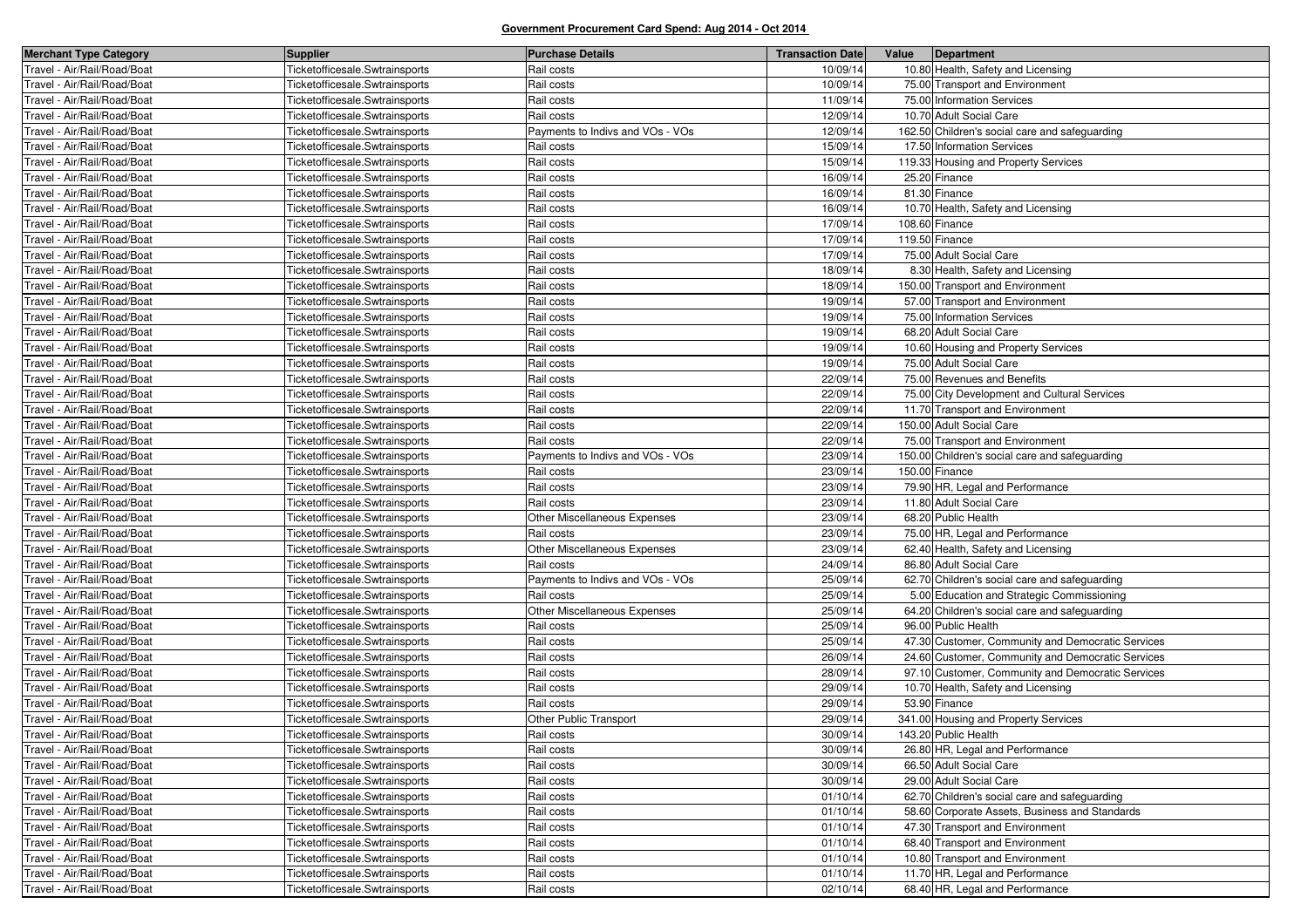| <b>Merchant Type Category</b> | <b>Supplier</b>                | <b>Purchase Details</b>             | <b>Transaction Date</b> | Value | Department                                        |
|-------------------------------|--------------------------------|-------------------------------------|-------------------------|-------|---------------------------------------------------|
| Travel - Air/Rail/Road/Boat   | Ticketofficesale.Swtrainsports | Rail costs                          | 10/09/14                |       | 10.80 Health, Safety and Licensing                |
| Fravel - Air/Rail/Road/Boat   | Ticketofficesale.Swtrainsports | Rail costs                          | 10/09/14                |       | 75.00 Transport and Environment                   |
| Fravel - Air/Rail/Road/Boat   | Ticketofficesale.Swtrainsports | Rail costs                          | 11/09/14                |       | 75.00 Information Services                        |
| Travel - Air/Rail/Road/Boat   | Ticketofficesale.Swtrainsports | Rail costs                          | 12/09/14                |       | 10.70 Adult Social Care                           |
| Fravel - Air/Rail/Road/Boat   | Ticketofficesale.Swtrainsports | Payments to Indivs and VOs - VOs    | 12/09/14                |       | 162.50 Children's social care and safeguarding    |
| Fravel - Air/Rail/Road/Boat   | Ticketofficesale.Swtrainsports | Rail costs                          | 15/09/14                |       | 17.50 Information Services                        |
| Travel - Air/Rail/Road/Boat   | Ticketofficesale.Swtrainsports | Rail costs                          | 15/09/14                |       | 119.33 Housing and Property Services              |
| Fravel - Air/Rail/Road/Boat   | Ticketofficesale.Swtrainsports | Rail costs                          | 16/09/14                |       | 25.20 Finance                                     |
| Fravel - Air/Rail/Road/Boat   | Ticketofficesale.Swtrainsports | Rail costs                          | 16/09/14                |       | 81.30 Finance                                     |
| Travel - Air/Rail/Road/Boat   | Ticketofficesale.Swtrainsports | Rail costs                          | 16/09/14                |       | 10.70 Health, Safety and Licensing                |
| Travel - Air/Rail/Road/Boat   | Ticketofficesale.Swtrainsports | Rail costs                          | 17/09/14                |       | 108.60 Finance                                    |
| Fravel - Air/Rail/Road/Boat   | Ticketofficesale.Swtrainsports | Rail costs                          | 17/09/14                |       | 119.50 Finance                                    |
| Travel - Air/Rail/Road/Boat   | Ticketofficesale.Swtrainsports | Rail costs                          | 17/09/14                |       | 75.00 Adult Social Care                           |
| Travel - Air/Rail/Road/Boat   | Ticketofficesale.Swtrainsports | Rail costs                          | 18/09/14                |       | 8.30 Health, Safety and Licensing                 |
| Fravel - Air/Rail/Road/Boat   | Ticketofficesale.Swtrainsports | Rail costs                          | 18/09/14                |       | 150.00 Transport and Environment                  |
| Travel - Air/Rail/Road/Boat   | Ticketofficesale.Swtrainsports | Rail costs                          | 19/09/14                |       | 57.00 Transport and Environment                   |
| Travel - Air/Rail/Road/Boat   | Ticketofficesale.Swtrainsports | Rail costs                          | 19/09/14                |       | 75.00 Information Services                        |
| Fravel - Air/Rail/Road/Boat   | Ticketofficesale.Swtrainsports | Rail costs                          | 19/09/14                |       | 68.20 Adult Social Care                           |
| Fravel - Air/Rail/Road/Boat   | Ticketofficesale.Swtrainsports | Rail costs                          | 19/09/14                |       | 10.60 Housing and Property Services               |
| Fravel - Air/Rail/Road/Boat   | Ticketofficesale.Swtrainsports | Rail costs                          | 19/09/14                |       | 75.00 Adult Social Care                           |
| Fravel - Air/Rail/Road/Boat   | Ticketofficesale.Swtrainsports | Rail costs                          | 22/09/14                |       | 75.00 Revenues and Benefits                       |
| Fravel - Air/Rail/Road/Boat   | Ticketofficesale.Swtrainsports | Rail costs                          | 22/09/14                |       | 75.00 City Development and Cultural Services      |
| Fravel - Air/Rail/Road/Boat   | Ticketofficesale.Swtrainsports | Rail costs                          | 22/09/14                |       | 11.70 Transport and Environment                   |
| Fravel - Air/Rail/Road/Boat   | Ticketofficesale.Swtrainsports | Rail costs                          | 22/09/14                |       | 150.00 Adult Social Care                          |
| Fravel - Air/Rail/Road/Boat   | Ticketofficesale.Swtrainsports | Rail costs                          | 22/09/14                |       | 75.00 Transport and Environment                   |
| Travel - Air/Rail/Road/Boat   | Ticketofficesale.Swtrainsports | Payments to Indivs and VOs - VOs    | 23/09/14                |       | 150.00 Children's social care and safeguarding    |
| Fravel - Air/Rail/Road/Boat   | Ticketofficesale.Swtrainsports | Rail costs                          | 23/09/14                |       | 150.00 Finance                                    |
| Fravel - Air/Rail/Road/Boat   | Ticketofficesale.Swtrainsports | Rail costs                          | 23/09/14                |       | 79.90 HR, Legal and Performance                   |
| Fravel - Air/Rail/Road/Boat   | Ticketofficesale.Swtrainsports | Rail costs                          | 23/09/14                |       | 11.80 Adult Social Care                           |
| Fravel - Air/Rail/Road/Boat   | Ticketofficesale.Swtrainsports | <b>Other Miscellaneous Expenses</b> | 23/09/14                |       | 68.20 Public Health                               |
| Fravel - Air/Rail/Road/Boat   | Ticketofficesale.Swtrainsports | Rail costs                          | 23/09/14                |       | 75.00 HR, Legal and Performance                   |
| Fravel - Air/Rail/Road/Boat   | Ticketofficesale.Swtrainsports | <b>Other Miscellaneous Expenses</b> | 23/09/14                |       | 62.40 Health, Safety and Licensing                |
| Fravel - Air/Rail/Road/Boat   | Ticketofficesale.Swtrainsports | Rail costs                          | 24/09/14                |       | 86.80 Adult Social Care                           |
| Fravel - Air/Rail/Road/Boat   | Ticketofficesale.Swtrainsports | Payments to Indivs and VOs - VOs    | 25/09/14                |       | 62.70 Children's social care and safeguarding     |
| Travel - Air/Rail/Road/Boat   | Ticketofficesale.Swtrainsports | Rail costs                          | 25/09/14                |       | 5.00 Education and Strategic Commissioning        |
| Fravel - Air/Rail/Road/Boat   | Ticketofficesale.Swtrainsports | Other Miscellaneous Expenses        | 25/09/14                |       | 64.20 Children's social care and safeguarding     |
| Fravel - Air/Rail/Road/Boat   | Ticketofficesale.Swtrainsports | Rail costs                          | 25/09/14                |       | 96.00 Public Health                               |
| Travel - Air/Rail/Road/Boat   | Ticketofficesale.Swtrainsports | Rail costs                          | 25/09/14                |       | 47.30 Customer, Community and Democratic Services |
| Travel - Air/Rail/Road/Boat   | Ticketofficesale.Swtrainsports | Rail costs                          | 26/09/14                |       | 24.60 Customer, Community and Democratic Services |
| Travel - Air/Rail/Road/Boat   | Ticketofficesale.Swtrainsports | Rail costs                          | 28/09/14                |       | 97.10 Customer, Community and Democratic Services |
| Travel - Air/Rail/Road/Boat   | Ticketofficesale.Swtrainsports | Rail costs                          | 29/09/14                |       | 10.70 Health, Safety and Licensing                |
| Fravel - Air/Rail/Road/Boat   | Ticketofficesale.Swtrainsports | Rail costs                          | 29/09/14                |       | 53.90 Finance                                     |
| ravel - Air/Rail/Road/Boat    | Ticketofficesale.Swtrainsports | <b>Other Public Transport</b>       | 29/09/14                |       | 341.00 Housing and Property Services              |
| Travel - Air/Rail/Road/Boat   | Ticketofficesale.Swtrainsports | Rail costs                          | 30/09/14                |       | 143.20 Public Health                              |
| Travel - Air/Rail/Road/Boat   | Ticketofficesale.Swtrainsports | Rail costs                          | 30/09/14                |       | 26.80 HR, Legal and Performance                   |
| Travel - Air/Rail/Road/Boat   | Ticketofficesale.Swtrainsports | Rail costs                          | 30/09/14                |       | 66.50 Adult Social Care                           |
| Travel - Air/Rail/Road/Boat   | Ticketofficesale.Swtrainsports | Rail costs                          | 30/09/14                |       | 29.00 Adult Social Care                           |
| Travel - Air/Rail/Road/Boat   | Ticketofficesale.Swtrainsports | Rail costs                          | 01/10/14                |       | 62.70 Children's social care and safeguarding     |
| Travel - Air/Rail/Road/Boat   | Ticketofficesale.Swtrainsports | Rail costs                          | 01/10/14                |       | 58.60 Corporate Assets, Business and Standards    |
| Fravel - Air/Rail/Road/Boat   | Ticketofficesale.Swtrainsports | Rail costs                          | 01/10/14                |       | 47.30 Transport and Environment                   |
| Travel - Air/Rail/Road/Boat   | Ticketofficesale.Swtrainsports | Rail costs                          | 01/10/14                |       | 68.40 Transport and Environment                   |
| Travel - Air/Rail/Road/Boat   | Ticketofficesale.Swtrainsports | Rail costs                          | 01/10/14                |       | 10.80 Transport and Environment                   |
| Travel - Air/Rail/Road/Boat   | Ticketofficesale.Swtrainsports | Rail costs                          | 01/10/14                |       | 11.70 HR, Legal and Performance                   |
| Travel - Air/Rail/Road/Boat   | Ticketofficesale.Swtrainsports | Rail costs                          | 02/10/14                |       | 68.40 HR, Legal and Performance                   |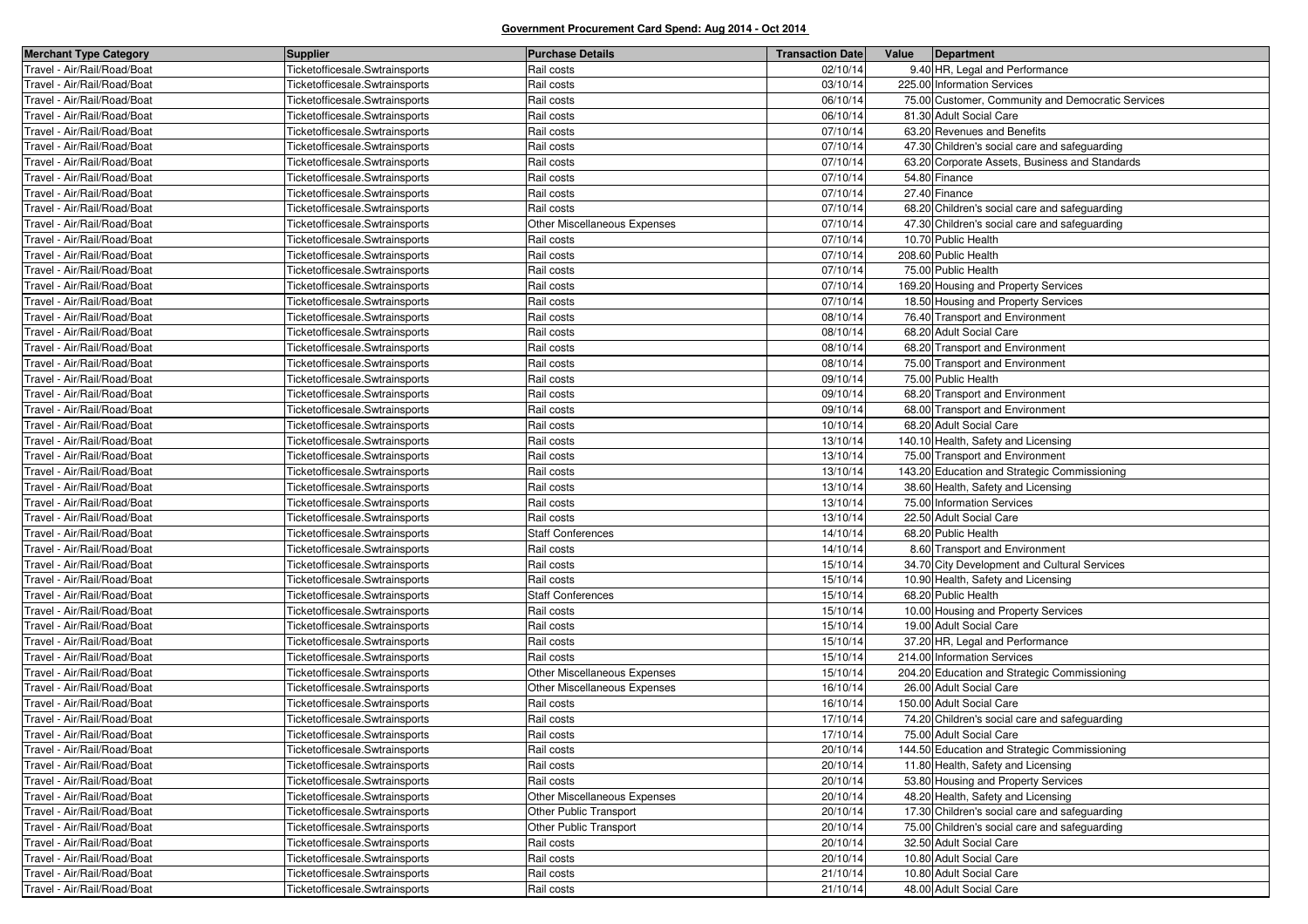| <b>Merchant Type Category</b> | Supplier                       | <b>Purchase Details</b>      | <b>Transaction Date</b> | Value | Department                                        |
|-------------------------------|--------------------------------|------------------------------|-------------------------|-------|---------------------------------------------------|
| Travel - Air/Rail/Road/Boat   | Ticketofficesale.Swtrainsports | Rail costs                   | 02/10/14                |       | 9.40 HR, Legal and Performance                    |
| Travel - Air/Rail/Road/Boat   | Ticketofficesale.Swtrainsports | Rail costs                   | 03/10/14                |       | 225.00 Information Services                       |
| Fravel - Air/Rail/Road/Boat   | Ticketofficesale.Swtrainsports | Rail costs                   | 06/10/14                |       | 75.00 Customer, Community and Democratic Services |
| Travel - Air/Rail/Road/Boat   | Ticketofficesale.Swtrainsports | Rail costs                   | 06/10/14                |       | 81.30 Adult Social Care                           |
| Travel - Air/Rail/Road/Boat   | Ticketofficesale.Swtrainsports | Rail costs                   | 07/10/14                |       | 63.20 Revenues and Benefits                       |
| Fravel - Air/Rail/Road/Boat   | Ticketofficesale.Swtrainsports | Rail costs                   | 07/10/14                |       | 47.30 Children's social care and safeguarding     |
| Fravel - Air/Rail/Road/Boat   | Ticketofficesale.Swtrainsports | Rail costs                   | 07/10/14                |       | 63.20 Corporate Assets, Business and Standards    |
| Travel - Air/Rail/Road/Boat   | Ticketofficesale.Swtrainsports | Rail costs                   | 07/10/14                |       | 54.80 Finance                                     |
| Fravel - Air/Rail/Road/Boat   | Ticketofficesale.Swtrainsports | Rail costs                   | 07/10/14                |       | 27.40 Finance                                     |
| Fravel - Air/Rail/Road/Boat   | Ticketofficesale.Swtrainsports | Rail costs                   | 07/10/14                |       | 68.20 Children's social care and safeguarding     |
| Fravel - Air/Rail/Road/Boat   | Ticketofficesale.Swtrainsports | Other Miscellaneous Expenses | 07/10/14                |       | 47.30 Children's social care and safeguarding     |
| Fravel - Air/Rail/Road/Boat   | Ticketofficesale.Swtrainsports | Rail costs                   | 07/10/14                |       | 10.70 Public Health                               |
| Fravel - Air/Rail/Road/Boat   | Ticketofficesale.Swtrainsports | Rail costs                   | 07/10/14                |       | 208.60 Public Health                              |
| Fravel - Air/Rail/Road/Boat   | Ticketofficesale.Swtrainsports | Rail costs                   | 07/10/14                |       | 75.00 Public Health                               |
| Fravel - Air/Rail/Road/Boat   | Ticketofficesale.Swtrainsports | Rail costs                   | 07/10/14                |       | 169.20 Housing and Property Services              |
| Fravel - Air/Rail/Road/Boat   | Ticketofficesale.Swtrainsports | Rail costs                   | 07/10/14                |       | 18.50 Housing and Property Services               |
| Fravel - Air/Rail/Road/Boat   | Ticketofficesale.Swtrainsports | Rail costs                   | 08/10/14                |       | 76.40 Transport and Environment                   |
| Travel - Air/Rail/Road/Boat   | Ticketofficesale.Swtrainsports | Rail costs                   | 08/10/14                |       | 68.20 Adult Social Care                           |
| Fravel - Air/Rail/Road/Boat   | Ticketofficesale.Swtrainsports | Rail costs                   | 08/10/14                |       | 68.20 Transport and Environment                   |
| Fravel - Air/Rail/Road/Boat   | Ticketofficesale.Swtrainsports | Rail costs                   | 08/10/14                |       | 75.00 Transport and Environment                   |
| Fravel - Air/Rail/Road/Boat   | Ticketofficesale.Swtrainsports | Rail costs                   | 09/10/14                |       | 75.00 Public Health                               |
| Fravel - Air/Rail/Road/Boat   | Ticketofficesale.Swtrainsports | Rail costs                   | 09/10/14                |       | 68.20 Transport and Environment                   |
| Fravel - Air/Rail/Road/Boat   | Ticketofficesale.Swtrainsports | Rail costs                   | 09/10/14                |       | 68.00 Transport and Environment                   |
| Fravel - Air/Rail/Road/Boat   | Ticketofficesale.Swtrainsports | Rail costs                   | 10/10/14                |       | 68.20 Adult Social Care                           |
| Travel - Air/Rail/Road/Boat   | Ticketofficesale.Swtrainsports | Rail costs                   | 13/10/14                |       | 140.10 Health, Safety and Licensing               |
| Travel - Air/Rail/Road/Boat   | Ticketofficesale.Swtrainsports | Rail costs                   | 13/10/14                |       | 75.00 Transport and Environment                   |
| Fravel - Air/Rail/Road/Boat   | Ticketofficesale.Swtrainsports | Rail costs                   | 13/10/14                |       | 143.20 Education and Strategic Commissioning      |
| Fravel - Air/Rail/Road/Boat   | Ticketofficesale.Swtrainsports | Rail costs                   | 13/10/14                |       | 38.60 Health, Safety and Licensing                |
| Travel - Air/Rail/Road/Boat   | Ticketofficesale.Swtrainsports | Rail costs                   | 13/10/14                |       | 75.00 Information Services                        |
| Travel - Air/Rail/Road/Boat   | Ticketofficesale.Swtrainsports | Rail costs                   | 13/10/14                |       | 22.50 Adult Social Care                           |
| Fravel - Air/Rail/Road/Boat   | Ticketofficesale.Swtrainsports | <b>Staff Conferences</b>     | 14/10/14                |       | 68.20 Public Health                               |
| Fravel - Air/Rail/Road/Boat   | Ticketofficesale.Swtrainsports | Rail costs                   | 14/10/14                |       | 8.60 Transport and Environment                    |
| Travel - Air/Rail/Road/Boat   | Ticketofficesale.Swtrainsports | Rail costs                   | 15/10/14                |       | 34.70 City Development and Cultural Services      |
| Fravel - Air/Rail/Road/Boat   | Ticketofficesale.Swtrainsports | Rail costs                   | 15/10/14                |       | 10.90 Health, Safety and Licensing                |
| Fravel - Air/Rail/Road/Boat   | Ticketofficesale.Swtrainsports | <b>Staff Conferences</b>     | 15/10/14                |       | 68.20 Public Health                               |
| Travel - Air/Rail/Road/Boat   | Ticketofficesale.Swtrainsports | Rail costs                   | 15/10/14                |       | 10.00 Housing and Property Services               |
| Fravel - Air/Rail/Road/Boat   | Ticketofficesale.Swtrainsports | Rail costs                   | 15/10/14                |       | 19.00 Adult Social Care                           |
| Fravel - Air/Rail/Road/Boat   | Ticketofficesale.Swtrainsports | Rail costs                   | 15/10/14                |       | 37.20 HR, Legal and Performance                   |
| Travel - Air/Rail/Road/Boat   | Ticketofficesale.Swtrainsports | Rail costs                   | 15/10/14                |       | 214.00 Information Services                       |
| Fravel - Air/Rail/Road/Boat   | Ticketofficesale.Swtrainsports | Other Miscellaneous Expenses | 15/10/14                |       | 204.20 Education and Strategic Commissioning      |
| Fravel - Air/Rail/Road/Boat   | Ticketofficesale.Swtrainsports | Other Miscellaneous Expenses | 16/10/14                |       | 26.00 Adult Social Care                           |
| Travel - Air/Rail/Road/Boat   | Ticketofficesale.Swtrainsports | Rail costs                   | 16/10/14                |       | 150.00 Adult Social Care                          |
| Fravel - Air/Rail/Road/Boat   | Ticketofficesale.Swtrainsports | Rail costs                   | 17/10/14                |       | 74.20 Children's social care and safeguarding     |
| Travel - Air/Rail/Road/Boat   | Ticketofficesale.Swtrainsports | Rail costs                   | 17/10/14                |       | 75.00 Adult Social Care                           |
| Travel - Air/Rail/Road/Boat   | Ticketofficesale.Swtrainsports | Rail costs                   | 20/10/14                |       | 144.50 Education and Strategic Commissioning      |
| Travel - Air/Rail/Road/Boat   | Ticketofficesale.Swtrainsports | Rail costs                   | 20/10/14                |       | 11.80 Health, Safety and Licensing                |
| Travel - Air/Rail/Road/Boat   | Ticketofficesale.Swtrainsports | Rail costs                   | 20/10/14                |       | 53.80 Housing and Property Services               |
| Travel - Air/Rail/Road/Boat   | Ticketofficesale.Swtrainsports | Other Miscellaneous Expenses | 20/10/14                |       | 48.20 Health, Safety and Licensing                |
| Travel - Air/Rail/Road/Boat   | Ticketofficesale.Swtrainsports | Other Public Transport       | 20/10/14                |       | 17.30 Children's social care and safeguarding     |
| Travel - Air/Rail/Road/Boat   | Ticketofficesale.Swtrainsports | Other Public Transport       | 20/10/14                |       | 75.00 Children's social care and safeguarding     |
| Travel - Air/Rail/Road/Boat   | Ticketofficesale.Swtrainsports | Rail costs                   | 20/10/14                |       | 32.50 Adult Social Care                           |
| Travel - Air/Rail/Road/Boat   | Ticketofficesale.Swtrainsports | Rail costs                   | 20/10/14                |       | 10.80 Adult Social Care                           |
| Travel - Air/Rail/Road/Boat   | Ticketofficesale.Swtrainsports | Rail costs                   | 21/10/14                |       | 10.80 Adult Social Care                           |
| Travel - Air/Rail/Road/Boat   | Ticketofficesale.Swtrainsports | Rail costs                   | 21/10/14                |       | 48.00 Adult Social Care                           |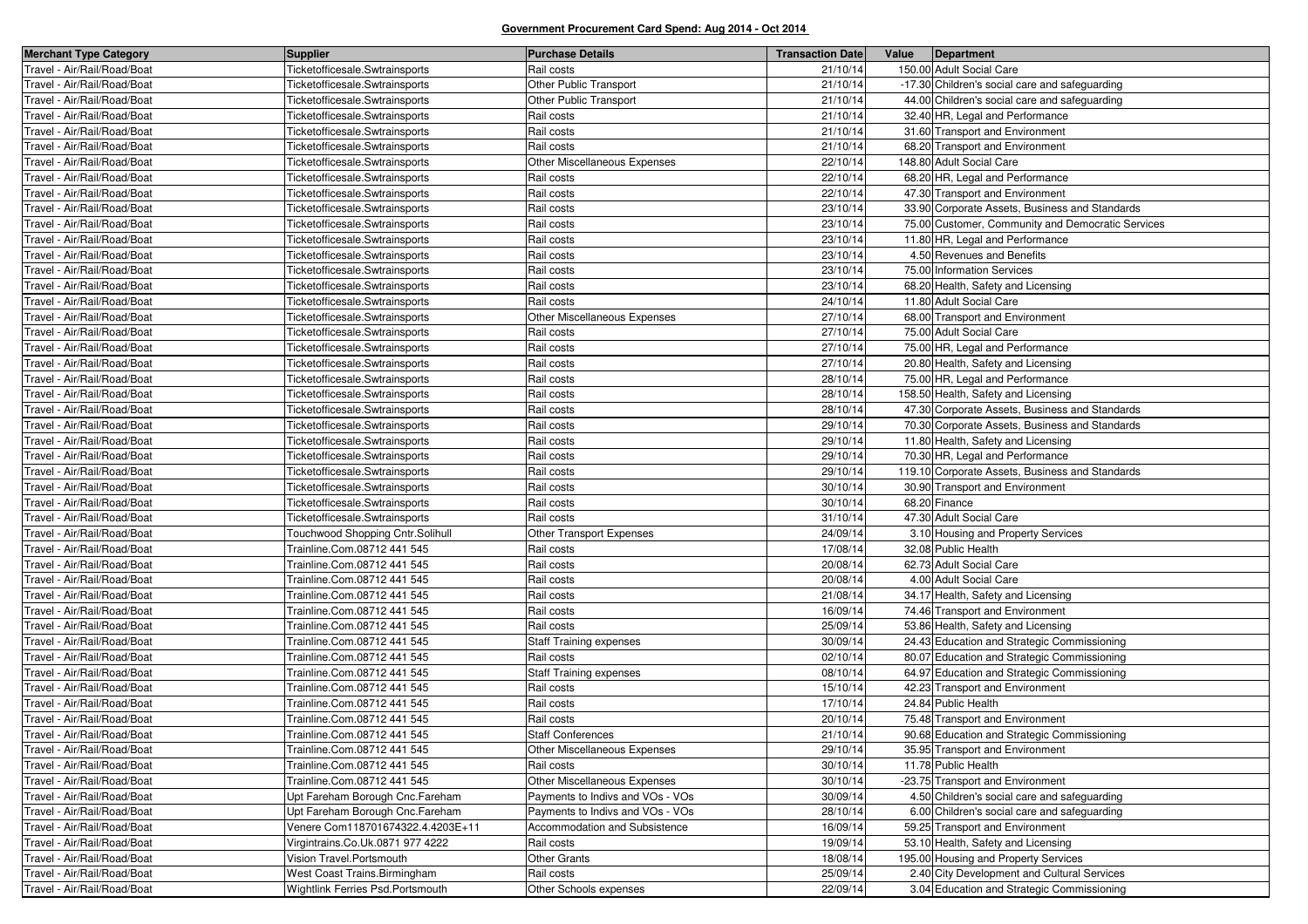| <b>Merchant Type Category</b> | <b>Supplier</b>                   | <b>Purchase Details</b>             | <b>Transaction Date</b> | Value | Department                                        |
|-------------------------------|-----------------------------------|-------------------------------------|-------------------------|-------|---------------------------------------------------|
| Travel - Air/Rail/Road/Boat   | Ticketofficesale.Swtrainsports    | Rail costs                          | 21/10/14                |       | 150.00 Adult Social Care                          |
| Fravel - Air/Rail/Road/Boat   | Ticketofficesale.Swtrainsports    | Other Public Transport              | 21/10/14                |       | -17.30 Children's social care and safeguarding    |
| Fravel - Air/Rail/Road/Boat   | Ticketofficesale.Swtrainsports    | Other Public Transport              | 21/10/14                |       | 44.00 Children's social care and safeguarding     |
| Travel - Air/Rail/Road/Boat   | Ticketofficesale.Swtrainsports    | Rail costs                          | 21/10/14                |       | 32.40 HR, Legal and Performance                   |
| Fravel - Air/Rail/Road/Boat   | Ticketofficesale.Swtrainsports    | Rail costs                          | 21/10/14                |       | 31.60 Transport and Environment                   |
| Fravel - Air/Rail/Road/Boat   | Ticketofficesale.Swtrainsports    | Rail costs                          | 21/10/14                |       | 68.20 Transport and Environment                   |
| Travel - Air/Rail/Road/Boat   | Ticketofficesale.Swtrainsports    | Other Miscellaneous Expenses        | 22/10/14                |       | 148.80 Adult Social Care                          |
| Fravel - Air/Rail/Road/Boat   | Ticketofficesale.Swtrainsports    | Rail costs                          | 22/10/14                |       | 68.20 HR, Legal and Performance                   |
| Fravel - Air/Rail/Road/Boat   | Ticketofficesale.Swtrainsports    | Rail costs                          | 22/10/14                |       | 47.30 Transport and Environment                   |
| Travel - Air/Rail/Road/Boat   | Ticketofficesale.Swtrainsports    | Rail costs                          | 23/10/14                |       | 33.90 Corporate Assets, Business and Standards    |
| Travel - Air/Rail/Road/Boat   | Ticketofficesale.Swtrainsports    | Rail costs                          | 23/10/14                |       | 75.00 Customer, Community and Democratic Services |
| Fravel - Air/Rail/Road/Boat   | Ticketofficesale.Swtrainsports    | Rail costs                          | 23/10/14                |       | 11.80 HR, Legal and Performance                   |
| Travel - Air/Rail/Road/Boat   | Ticketofficesale.Swtrainsports    | Rail costs                          | 23/10/14                |       | 4.50 Revenues and Benefits                        |
| Travel - Air/Rail/Road/Boat   | Ticketofficesale.Swtrainsports    | Rail costs                          | 23/10/14                |       | 75.00 Information Services                        |
| Fravel - Air/Rail/Road/Boat   | Ticketofficesale.Swtrainsports    | Rail costs                          | 23/10/14                |       | 68.20 Health, Safety and Licensing                |
| Travel - Air/Rail/Road/Boat   | Ticketofficesale.Swtrainsports    | Rail costs                          | 24/10/14                |       | 11.80 Adult Social Care                           |
| Travel - Air/Rail/Road/Boat   | Ticketofficesale.Swtrainsports    | Other Miscellaneous Expenses        | 27/10/14                |       | 68.00 Transport and Environment                   |
| Fravel - Air/Rail/Road/Boat   | Ticketofficesale.Swtrainsports    | Rail costs                          | 27/10/14                |       | 75.00 Adult Social Care                           |
| Fravel - Air/Rail/Road/Boat   | Ticketofficesale.Swtrainsports    | Rail costs                          | 27/10/14                |       | 75.00 HR, Legal and Performance                   |
| Fravel - Air/Rail/Road/Boat   | Ticketofficesale.Swtrainsports    | Rail costs                          | 27/10/14                |       | 20.80 Health, Safety and Licensing                |
| Fravel - Air/Rail/Road/Boat   | Ticketofficesale.Swtrainsports    | Rail costs                          | 28/10/14                |       | 75.00 HR, Legal and Performance                   |
| Fravel - Air/Rail/Road/Boat   | Ticketofficesale.Swtrainsports    | Rail costs                          | 28/10/14                |       | 158.50 Health, Safety and Licensing               |
| Fravel - Air/Rail/Road/Boat   | Ticketofficesale.Swtrainsports    | Rail costs                          | 28/10/14                |       | 47.30 Corporate Assets, Business and Standards    |
| Fravel - Air/Rail/Road/Boat   | Ticketofficesale.Swtrainsports    | Rail costs                          | 29/10/14                |       | 70.30 Corporate Assets, Business and Standards    |
| Fravel - Air/Rail/Road/Boat   | Ticketofficesale.Swtrainsports    | Rail costs                          | 29/10/14                |       | 11.80 Health, Safety and Licensing                |
| Travel - Air/Rail/Road/Boat   | Ticketofficesale.Swtrainsports    | Rail costs                          | 29/10/14                |       | 70.30 HR, Legal and Performance                   |
| Fravel - Air/Rail/Road/Boat   | Ticketofficesale.Swtrainsports    | Rail costs                          | 29/10/14                |       | 119.10 Corporate Assets, Business and Standards   |
| Fravel - Air/Rail/Road/Boat   | Ticketofficesale.Swtrainsports    | Rail costs                          | 30/10/14                |       | 30.90 Transport and Environment                   |
| Fravel - Air/Rail/Road/Boat   | Ticketofficesale.Swtrainsports    | Rail costs                          | 30/10/14                |       | 68.20 Finance                                     |
| Fravel - Air/Rail/Road/Boat   | Ticketofficesale.Swtrainsports    | Rail costs                          | 31/10/14                |       | 47.30 Adult Social Care                           |
| Fravel - Air/Rail/Road/Boat   | Touchwood Shopping Cntr.Solihull  | Other Transport Expenses            | 24/09/14                |       | 3.10 Housing and Property Services                |
| Fravel - Air/Rail/Road/Boat   | Trainline.Com.08712 441 545       | Rail costs                          | 17/08/14                |       | 32.08 Public Health                               |
| Fravel - Air/Rail/Road/Boat   | Trainline.Com.08712 441 545       | Rail costs                          | 20/08/14                |       | 62.73 Adult Social Care                           |
| Fravel - Air/Rail/Road/Boat   | Trainline.Com.08712 441 545       | Rail costs                          | 20/08/14                |       | 4.00 Adult Social Care                            |
| Travel - Air/Rail/Road/Boat   | Trainline.Com.08712 441 545       | Rail costs                          | 21/08/14                |       | 34.17 Health, Safety and Licensing                |
| Fravel - Air/Rail/Road/Boat   | Trainline.Com.08712 441 545       | Rail costs                          | 16/09/14                |       | 74.46 Transport and Environment                   |
| Fravel - Air/Rail/Road/Boat   | Trainline.Com.08712 441 545       | Rail costs                          | 25/09/14                |       | 53.86 Health, Safety and Licensing                |
| Travel - Air/Rail/Road/Boat   | Trainline.Com.08712 441 545       | <b>Staff Training expenses</b>      | 30/09/14                |       | 24.43 Education and Strategic Commissioning       |
| Travel - Air/Rail/Road/Boat   | Trainline.Com.08712 441 545       | Rail costs                          | 02/10/14                |       | 80.07 Education and Strategic Commissioning       |
| Fravel - Air/Rail/Road/Boat   | Trainline.Com.08712 441 545       | <b>Staff Training expenses</b>      | 08/10/14                |       | 64.97 Education and Strategic Commissioning       |
| Travel - Air/Rail/Road/Boat   | Trainline.Com.08712 441 545       | Rail costs                          | 15/10/14                |       | 42.23 Transport and Environment                   |
| Fravel - Air/Rail/Road/Boat   | Trainline.Com.08712 441 545       | Rail costs                          | 17/10/14                |       | 24.84 Public Health                               |
| ravel - Air/Rail/Road/Boat    | Trainline.Com.08712 441 545       | Rail costs                          | 20/10/14                |       | 75.48 Transport and Environment                   |
| Travel - Air/Rail/Road/Boat   | Trainline.Com.08712 441 545       | <b>Staff Conferences</b>            | 21/10/14                |       | 90.68 Education and Strategic Commissioning       |
| Travel - Air/Rail/Road/Boat   | Trainline.Com.08712 441 545       | <b>Other Miscellaneous Expenses</b> | 29/10/14                |       | 35.95 Transport and Environment                   |
| Travel - Air/Rail/Road/Boat   | Trainline.Com.08712 441 545       | Rail costs                          | 30/10/14                |       | 11.78 Public Health                               |
| Travel - Air/Rail/Road/Boat   | Trainline.Com.08712 441 545       | Other Miscellaneous Expenses        | 30/10/14                |       | -23.75 Transport and Environment                  |
| Travel - Air/Rail/Road/Boat   | Upt Fareham Borough Cnc.Fareham   | Payments to Indivs and VOs - VOs    | 30/09/14                |       | 4.50 Children's social care and safeguarding      |
| Travel - Air/Rail/Road/Boat   | Upt Fareham Borough Cnc.Fareham   | Payments to Indivs and VOs - VOs    | 28/10/14                |       | 6.00 Children's social care and safeguarding      |
| Fravel - Air/Rail/Road/Boat   | Venere Com118701674322.4.4203E+11 | Accommodation and Subsistence       | 16/09/14                |       | 59.25 Transport and Environment                   |
| Travel - Air/Rail/Road/Boat   | Virgintrains.Co.Uk.0871 977 4222  | Rail costs                          | 19/09/14                |       | 53.10 Health, Safety and Licensing                |
| Travel - Air/Rail/Road/Boat   | Vision Travel.Portsmouth          | <b>Other Grants</b>                 | 18/08/14                |       | 195.00 Housing and Property Services              |
| Travel - Air/Rail/Road/Boat   | West Coast Trains. Birmingham     | Rail costs                          | 25/09/14                |       | 2.40 City Development and Cultural Services       |
| Travel - Air/Rail/Road/Boat   | Wightlink Ferries Psd.Portsmouth  | Other Schools expenses              | 22/09/14                |       | 3.04 Education and Strategic Commissioning        |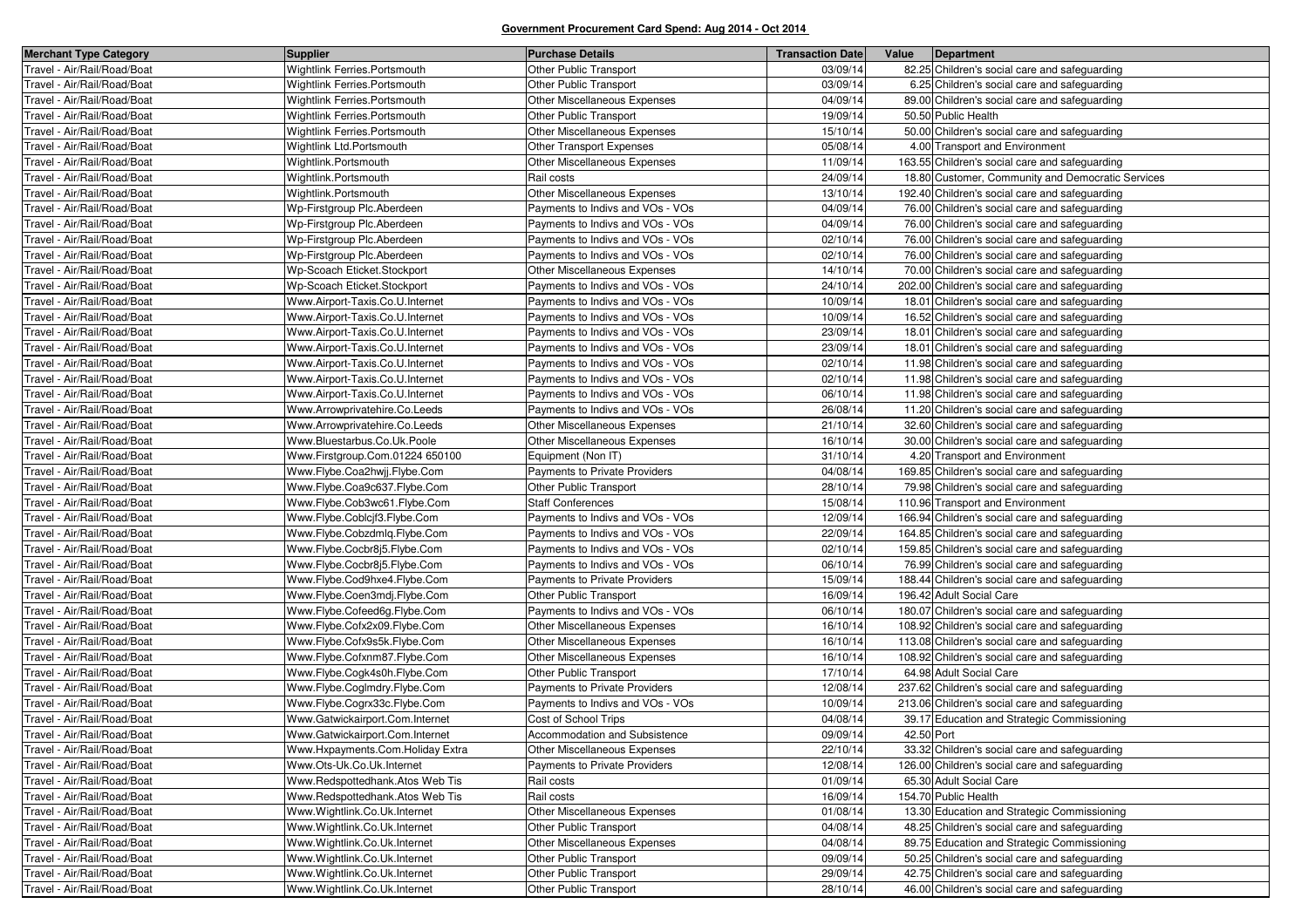| <b>Merchant Type Category</b> | <b>Supplier</b>                  | <b>Purchase Details</b>              | <b>Transaction Date</b> | Value      | Department                                        |
|-------------------------------|----------------------------------|--------------------------------------|-------------------------|------------|---------------------------------------------------|
| Travel - Air/Rail/Road/Boat   | Wightlink Ferries.Portsmouth     | Other Public Transport               | 03/09/14                |            | 82.25 Children's social care and safeguarding     |
| Travel - Air/Rail/Road/Boat   | Wightlink Ferries.Portsmouth     | <b>Other Public Transport</b>        | 03/09/14                |            | 6.25 Children's social care and safeguarding      |
| Travel - Air/Rail/Road/Boat   | Wightlink Ferries.Portsmouth     | Other Miscellaneous Expenses         | 04/09/14                |            | 89.00 Children's social care and safeguarding     |
| Travel - Air/Rail/Road/Boat   | Wightlink Ferries.Portsmouth     | Other Public Transport               | 19/09/14                |            | 50.50 Public Health                               |
| Travel - Air/Rail/Road/Boat   | Wightlink Ferries.Portsmouth     | Other Miscellaneous Expenses         | 15/10/14                |            | 50.00 Children's social care and safeguarding     |
| Travel - Air/Rail/Road/Boat   | Wightlink Ltd.Portsmouth         | Other Transport Expenses             | 05/08/14                |            | 4.00 Transport and Environment                    |
| Travel - Air/Rail/Road/Boat   | Wightlink.Portsmouth             | <b>Other Miscellaneous Expenses</b>  | 11/09/14                |            | 163.55 Children's social care and safeguarding    |
| Travel - Air/Rail/Road/Boat   | Wightlink.Portsmouth             | Rail costs                           | 24/09/14                |            | 18.80 Customer, Community and Democratic Services |
| Travel - Air/Rail/Road/Boat   | Wightlink.Portsmouth             | Other Miscellaneous Expenses         | 13/10/14                |            | 192.40 Children's social care and safeguarding    |
| Travel - Air/Rail/Road/Boat   | Wp-Firstgroup Plc.Aberdeen       | Payments to Indivs and VOs - VOs     | 04/09/14                |            | 76.00 Children's social care and safeguarding     |
| Travel - Air/Rail/Road/Boat   | Wp-Firstgroup Plc.Aberdeen       | Payments to Indivs and VOs - VOs     | 04/09/14                |            | 76.00 Children's social care and safeguarding     |
| Travel - Air/Rail/Road/Boat   | Wp-Firstgroup Plc.Aberdeen       | Payments to Indivs and VOs - VOs     | 02/10/14                |            | 76.00 Children's social care and safeguarding     |
| Travel - Air/Rail/Road/Boat   | Wp-Firstgroup Plc.Aberdeen       | Payments to Indivs and VOs - VOs     | 02/10/14                |            | 76.00 Children's social care and safeguarding     |
| Travel - Air/Rail/Road/Boat   | Wp-Scoach Eticket.Stockport      | Other Miscellaneous Expenses         | 14/10/14                |            | 70.00 Children's social care and safeguarding     |
| Travel - Air/Rail/Road/Boat   | Wp-Scoach Eticket.Stockport      | Payments to Indivs and VOs - VOs     | 24/10/14                |            | 202.00 Children's social care and safeguarding    |
| Travel - Air/Rail/Road/Boat   | Www.Airport-Taxis.Co.U.Internet  | Payments to Indivs and VOs - VOs     | 10/09/14                |            | 18.01 Children's social care and safeguarding     |
| Travel - Air/Rail/Road/Boat   | Www.Airport-Taxis.Co.U.Internet  | Payments to Indivs and VOs - VOs     | 10/09/14                |            | 16.52 Children's social care and safeguarding     |
| Travel - Air/Rail/Road/Boat   | Www.Airport-Taxis.Co.U.Internet  | Payments to Indivs and VOs - VOs     | 23/09/14                |            | 18.01 Children's social care and safeguarding     |
| Travel - Air/Rail/Road/Boat   | Www.Airport-Taxis.Co.U.Internet  | Payments to Indivs and VOs - VOs     | 23/09/14                |            | 18.01 Children's social care and safeguarding     |
| Travel - Air/Rail/Road/Boat   | Www.Airport-Taxis.Co.U.Internet  | Payments to Indivs and VOs - VOs     | 02/10/14                |            | 11.98 Children's social care and safeguarding     |
| Travel - Air/Rail/Road/Boat   | Www.Airport-Taxis.Co.U.Internet  | Payments to Indivs and VOs - VOs     | 02/10/14                |            | 11.98 Children's social care and safeguarding     |
| Travel - Air/Rail/Road/Boat   | Www.Airport-Taxis.Co.U.Internet  | Payments to Indivs and VOs - VOs     | 06/10/14                |            | 11.98 Children's social care and safeguarding     |
| Travel - Air/Rail/Road/Boat   | Www.Arrowprivatehire.Co.Leeds    | Payments to Indivs and VOs - VOs     | 26/08/14                |            | 11.20 Children's social care and safeguarding     |
| Travel - Air/Rail/Road/Boat   | Www.Arrowprivatehire.Co.Leeds    | <b>Other Miscellaneous Expenses</b>  | 21/10/14                |            | 32.60 Children's social care and safeguarding     |
| Travel - Air/Rail/Road/Boat   | Www.Bluestarbus.Co.Uk.Poole      | Other Miscellaneous Expenses         | 16/10/14                |            | 30.00 Children's social care and safeguarding     |
| Travel - Air/Rail/Road/Boat   | Www.Firstgroup.Com.01224 650100  | Equipment (Non IT)                   | 31/10/14                |            | 4.20 Transport and Environment                    |
| Travel - Air/Rail/Road/Boat   | Www.Flybe.Coa2hwjj.Flybe.Com     | Payments to Private Providers        | 04/08/14                |            | 169.85 Children's social care and safeguarding    |
| Travel - Air/Rail/Road/Boat   | Www.Flybe.Coa9c637.Flybe.Com     | Other Public Transport               | 28/10/14                |            | 79.98 Children's social care and safeguarding     |
| Travel - Air/Rail/Road/Boat   | Www.Flybe.Cob3wc61.Flybe.Com     | <b>Staff Conferences</b>             | 15/08/14                |            | 110.96 Transport and Environment                  |
| Travel - Air/Rail/Road/Boat   | Www.Flybe.Coblcjf3.Flybe.Com     | Payments to Indivs and VOs - VOs     | 12/09/14                |            | 166.94 Children's social care and safeguarding    |
| Travel - Air/Rail/Road/Boat   | Www.Flybe.Cobzdmlq.Flybe.Com     | Payments to Indivs and VOs - VOs     | 22/09/14                |            | 164.85 Children's social care and safeguarding    |
| Travel - Air/Rail/Road/Boat   | Www.Flybe.Cocbr8j5.Flybe.Com     | Payments to Indivs and VOs - VOs     | 02/10/14                |            | 159.85 Children's social care and safeguarding    |
| Travel - Air/Rail/Road/Boat   | Www.Flybe.Cocbr8j5.Flybe.Com     | Payments to Indivs and VOs - VOs     | 06/10/14                |            | 76.99 Children's social care and safeguarding     |
| Travel - Air/Rail/Road/Boat   | Www.Flybe.Cod9hxe4.Flybe.Com     | Payments to Private Providers        | 15/09/14                |            | 188.44 Children's social care and safeguarding    |
| Travel - Air/Rail/Road/Boat   | Www.Flybe.Coen3mdj.Flybe.Com     | <b>Other Public Transport</b>        | 16/09/14                |            | 196.42 Adult Social Care                          |
| Travel - Air/Rail/Road/Boat   | Www.Flybe.Cofeed6g.Flybe.Com     | Payments to Indivs and VOs - VOs     | 06/10/14                |            | 180.07 Children's social care and safeguarding    |
| Travel - Air/Rail/Road/Boat   | Www.Flybe.Cofx2x09.Flybe.Com     | <b>Other Miscellaneous Expenses</b>  | 16/10/14                |            | 108.92 Children's social care and safeguarding    |
| Travel - Air/Rail/Road/Boat   | Www.Flybe.Cofx9s5k.Flybe.Com     | Other Miscellaneous Expenses         | 16/10/14                |            | 113.08 Children's social care and safeguarding    |
| Travel - Air/Rail/Road/Boat   | Www.Flybe.Cofxnm87.Flybe.Com     | Other Miscellaneous Expenses         | 16/10/14                |            | 108.92 Children's social care and safeguarding    |
| Travel - Air/Rail/Road/Boat   | Www.Flybe.Cogk4s0h.Flybe.Com     | Other Public Transport               | 17/10/14                |            | 64.98 Adult Social Care                           |
| Travel - Air/Rail/Road/Boat   | Www.Flybe.Coglmdry.Flybe.Com     | <b>Payments to Private Providers</b> | 12/08/14                |            | 237.62 Children's social care and safeguarding    |
| Travel - Air/Rail/Road/Boat   | Www.Flybe.Cogrx33c.Flybe.Com     | Payments to Indivs and VOs - VOs     | 10/09/14                |            | 213.06 Children's social care and safeguarding    |
| Travel - Air/Rail/Road/Boat   | Www.Gatwickairport.Com.Internet  | Cost of School Trips                 | 04/08/14                |            | 39.17 Education and Strategic Commissioning       |
| Travel - Air/Rail/Road/Boat   | Www.Gatwickairport.Com.Internet  | Accommodation and Subsistence        | 09/09/14                | 42.50 Port |                                                   |
| Travel - Air/Rail/Road/Boat   | Www.Hxpayments.Com.Holiday Extra | Other Miscellaneous Expenses         | 22/10/14                |            | 33.32 Children's social care and safeguarding     |
| Travel - Air/Rail/Road/Boat   | Www.Ots-Uk.Co.Uk.Internet        | Payments to Private Providers        | 12/08/14                |            | 126.00 Children's social care and safeguarding    |
| Travel - Air/Rail/Road/Boat   | Www.Redspottedhank.Atos Web Tis  | Rail costs                           | 01/09/14                |            | 65.30 Adult Social Care                           |
| Travel - Air/Rail/Road/Boat   | Www.Redspottedhank.Atos Web Tis  | Rail costs                           | 16/09/14                |            | 154.70 Public Health                              |
| Travel - Air/Rail/Road/Boat   | Www.Wightlink.Co.Uk.Internet     | Other Miscellaneous Expenses         | 01/08/14                |            | 13.30 Education and Strategic Commissioning       |
| Travel - Air/Rail/Road/Boat   | Www.Wightlink.Co.Uk.Internet     | Other Public Transport               | 04/08/14                |            | 48.25 Children's social care and safeguarding     |
| Travel - Air/Rail/Road/Boat   | Www.Wightlink.Co.Uk.Internet     | Other Miscellaneous Expenses         | 04/08/14                |            | 89.75 Education and Strategic Commissioning       |
| Travel - Air/Rail/Road/Boat   | Www.Wightlink.Co.Uk.Internet     | Other Public Transport               | 09/09/14                |            | 50.25 Children's social care and safeguarding     |
| Travel - Air/Rail/Road/Boat   | Www.Wightlink.Co.Uk.Internet     | Other Public Transport               | 29/09/14                |            | 42.75 Children's social care and safeguarding     |
| Travel - Air/Rail/Road/Boat   | Www.Wightlink.Co.Uk.Internet     | Other Public Transport               | 28/10/14                |            | 46.00 Children's social care and safeguarding     |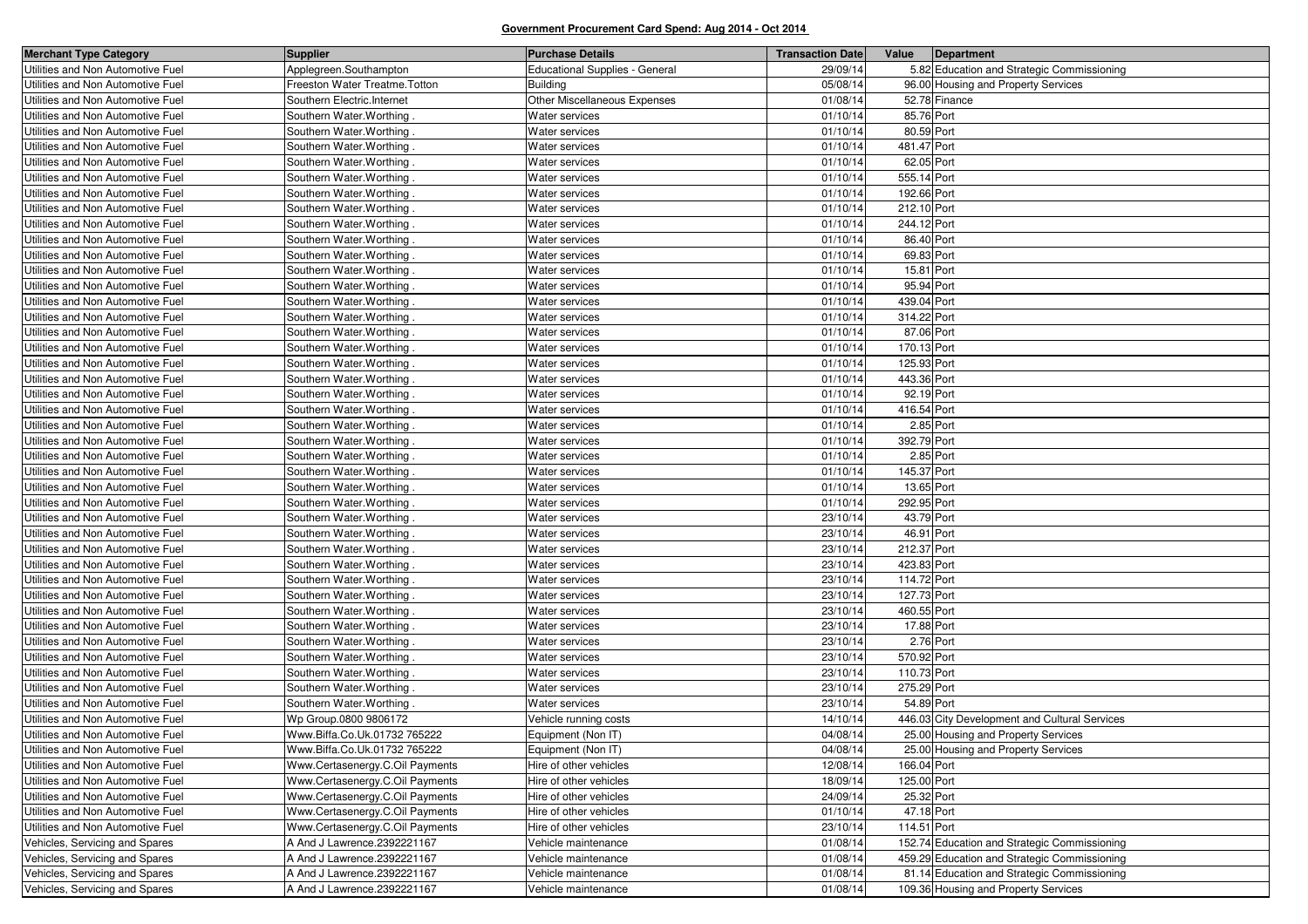| <b>Merchant Type Category</b>     | <b>Supplier</b>                 | <b>Purchase Details</b>               | <b>Transaction Date</b> | Value       | Department                                    |
|-----------------------------------|---------------------------------|---------------------------------------|-------------------------|-------------|-----------------------------------------------|
| Utilities and Non Automotive Fuel | Applegreen.Southampton          | <b>Educational Supplies - General</b> | 29/09/14                |             | 5.82 Education and Strategic Commissioning    |
| Utilities and Non Automotive Fuel | Freeston Water Treatme. Totton  | <b>Building</b>                       | 05/08/14                |             | 96.00 Housing and Property Services           |
| Utilities and Non Automotive Fuel | Southern Electric.Internet      | Other Miscellaneous Expenses          | 01/08/14                |             | 52.78 Finance                                 |
| Utilities and Non Automotive Fuel | Southern Water. Worthing        | Water services                        | 01/10/14                | 85.76 Port  |                                               |
| Utilities and Non Automotive Fuel | Southern Water. Worthing        | Water services                        | 01/10/14                | 80.59 Port  |                                               |
| Utilities and Non Automotive Fuel | Southern Water. Worthing.       | Water services                        | 01/10/14                | 481.47 Port |                                               |
| Utilities and Non Automotive Fuel | Southern Water. Worthing.       | Water services                        | 01/10/14                | 62.05 Port  |                                               |
| Utilities and Non Automotive Fuel | Southern Water. Worthing        | Water services                        | 01/10/14                | 555.14 Port |                                               |
| Utilities and Non Automotive Fuel | Southern Water. Worthing.       | Water services                        | 01/10/14                | 192.66 Port |                                               |
| Utilities and Non Automotive Fuel | Southern Water. Worthing.       | Water services                        | 01/10/14                | 212.10 Port |                                               |
| Utilities and Non Automotive Fuel | Southern Water. Worthing        | Water services                        | 01/10/14                | 244.12 Port |                                               |
| Utilities and Non Automotive Fuel | Southern Water. Worthing        | Water services                        | 01/10/14                | 86.40 Port  |                                               |
| Utilities and Non Automotive Fuel | Southern Water. Worthing.       | Water services                        | 01/10/14                | 69.83 Port  |                                               |
| Utilities and Non Automotive Fuel | Southern Water. Worthing.       | Water services                        | 01/10/14                | 15.81 Port  |                                               |
| Utilities and Non Automotive Fuel | Southern Water. Worthing.       | Water services                        | 01/10/14                | 95.94 Port  |                                               |
| Utilities and Non Automotive Fuel | Southern Water. Worthing.       | Water services                        | 01/10/14                | 439.04 Port |                                               |
| Utilities and Non Automotive Fuel | Southern Water. Worthing.       | Water services                        | 01/10/14                | 314.22 Port |                                               |
| Utilities and Non Automotive Fuel | Southern Water. Worthing        | Water services                        | 01/10/14                | 87.06 Port  |                                               |
| Utilities and Non Automotive Fuel | Southern Water. Worthing.       | Water services                        | 01/10/14                | 170.13 Port |                                               |
| Utilities and Non Automotive Fuel | Southern Water. Worthing.       | Water services                        | 01/10/14                | 125.93 Port |                                               |
| Utilities and Non Automotive Fuel | Southern Water. Worthing.       | Water services                        | 01/10/14                | 443.36 Port |                                               |
| Utilities and Non Automotive Fuel | Southern Water. Worthing.       | Water services                        | 01/10/14                | 92.19 Port  |                                               |
| Utilities and Non Automotive Fuel | Southern Water. Worthing.       | Water services                        | 01/10/14                | 416.54 Port |                                               |
| Utilities and Non Automotive Fuel | Southern Water. Worthing        | Water services                        | 01/10/14                | 2.85 Port   |                                               |
| Utilities and Non Automotive Fuel | Southern Water. Worthing        | Water services                        | 01/10/14                | 392.79 Port |                                               |
| Utilities and Non Automotive Fuel | Southern Water. Worthing.       | Water services                        | 01/10/14                | 2.85 Port   |                                               |
| Utilities and Non Automotive Fuel | Southern Water. Worthing.       | Water services                        | 01/10/14                | 145.37 Port |                                               |
| Utilities and Non Automotive Fuel | Southern Water. Worthing.       | Water services                        | 01/10/14                | 13.65 Port  |                                               |
| Utilities and Non Automotive Fuel | Southern Water. Worthing.       | Water services                        | 01/10/14                | 292.95 Port |                                               |
| Utilities and Non Automotive Fuel | Southern Water. Worthing        | Water services                        | 23/10/14                | 43.79 Port  |                                               |
| Utilities and Non Automotive Fuel | Southern Water. Worthing.       | Water services                        | 23/10/14                | 46.91 Port  |                                               |
| Utilities and Non Automotive Fuel | Southern Water. Worthing.       | Water services                        | 23/10/14                | 212.37 Port |                                               |
| Utilities and Non Automotive Fuel | Southern Water. Worthing        | Water services                        | 23/10/14                | 423.83 Port |                                               |
| Utilities and Non Automotive Fuel | Southern Water. Worthing.       | Water services                        | 23/10/14                | 114.72 Port |                                               |
| Utilities and Non Automotive Fuel | Southern Water. Worthing.       | Water services                        | 23/10/14                | 127.73 Port |                                               |
| Utilities and Non Automotive Fuel | Southern Water. Worthing        | Water services                        | 23/10/14                | 460.55 Port |                                               |
| Utilities and Non Automotive Fuel | Southern Water. Worthing        | Water services                        | 23/10/14                | 17.88 Port  |                                               |
| Utilities and Non Automotive Fuel | Southern Water. Worthing.       | Water services                        | 23/10/14                | 2.76 Port   |                                               |
| Utilities and Non Automotive Fuel | Southern Water. Worthing        | Water services                        | 23/10/14                | 570.92 Port |                                               |
| Utilities and Non Automotive Fuel | Southern Water. Worthing        | Water services                        | 23/10/14                | 110.73 Port |                                               |
| Utilities and Non Automotive Fuel | Southern Water. Worthing.       | Water services                        | 23/10/14                | 275.29 Port |                                               |
| Utilities and Non Automotive Fuel | Southern Water. Worthing.       | Water services                        | 23/10/14                | 54.89 Port  |                                               |
| Utilities and Non Automotive Fuel | Wp Group.0800 9806172           | Vehicle running costs                 | 14/10/14                |             | 446.03 City Development and Cultural Services |
| Utilities and Non Automotive Fuel | Www.Biffa.Co.Uk.01732 765222    | Equipment (Non IT)                    | 04/08/14                |             | 25.00 Housing and Property Services           |
| Utilities and Non Automotive Fuel | Www.Biffa.Co.Uk.01732 765222    | Equipment (Non IT)                    | 04/08/14                |             | 25.00 Housing and Property Services           |
| Utilities and Non Automotive Fuel | Www.Certasenergy.C.Oil Payments | Hire of other vehicles                | 12/08/14                | 166.04 Port |                                               |
| Utilities and Non Automotive Fuel | Www.Certasenergy.C.Oil Payments | Hire of other vehicles                | 18/09/14                | 125.00 Port |                                               |
| Utilities and Non Automotive Fuel | Www.Certasenergy.C.Oil Payments | Hire of other vehicles                | 24/09/14                | 25.32 Port  |                                               |
| Utilities and Non Automotive Fuel | Www.Certasenergy.C.Oil Payments | Hire of other vehicles                | 01/10/14                | 47.18 Port  |                                               |
| Utilities and Non Automotive Fuel | Www.Certasenergy.C.Oil Payments | Hire of other vehicles                | 23/10/14                | 114.51 Port |                                               |
| Vehicles, Servicing and Spares    | A And J Lawrence.2392221167     | Vehicle maintenance                   | 01/08/14                |             | 152.74 Education and Strategic Commissioning  |
| Vehicles, Servicing and Spares    | A And J Lawrence.2392221167     | Vehicle maintenance                   | 01/08/14                |             | 459.29 Education and Strategic Commissioning  |
| Vehicles, Servicing and Spares    | A And J Lawrence.2392221167     | Vehicle maintenance                   | 01/08/14                |             | 81.14 Education and Strategic Commissioning   |
| Vehicles, Servicing and Spares    | A And J Lawrence.2392221167     | Vehicle maintenance                   | 01/08/14                |             | 109.36 Housing and Property Services          |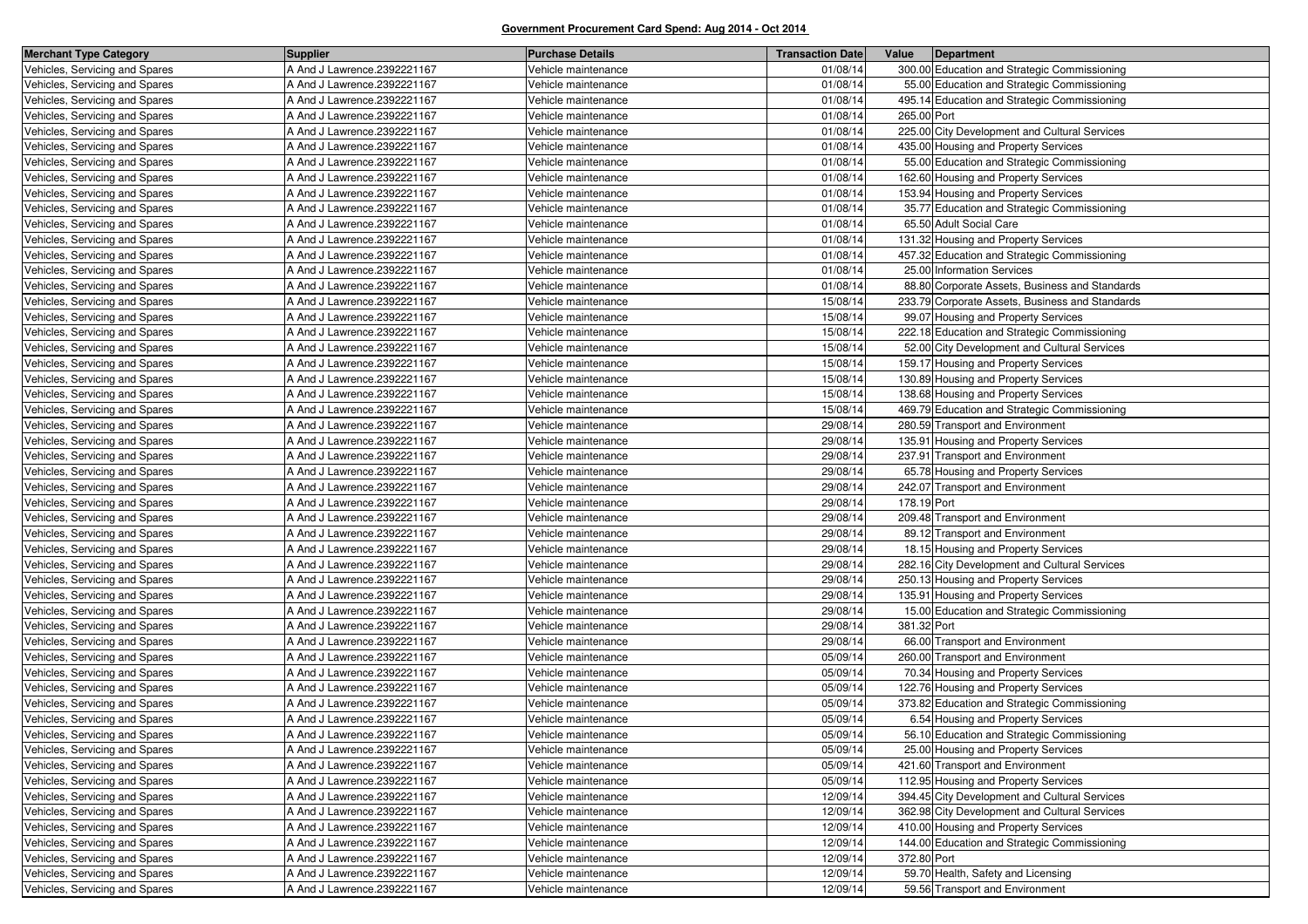| <b>Merchant Type Category</b>  | <b>Supplier</b>             | <b>Purchase Details</b> | <b>Transaction Date</b> | Value       | Department                                      |
|--------------------------------|-----------------------------|-------------------------|-------------------------|-------------|-------------------------------------------------|
| Vehicles, Servicing and Spares | A And J Lawrence.2392221167 | Vehicle maintenance     | 01/08/14                |             | 300.00 Education and Strategic Commissioning    |
| Vehicles, Servicing and Spares | A And J Lawrence.2392221167 | Vehicle maintenance     | 01/08/14                |             | 55.00 Education and Strategic Commissioning     |
| Vehicles, Servicing and Spares | A And J Lawrence.2392221167 | Vehicle maintenance     | 01/08/14                |             | 495.14 Education and Strategic Commissioning    |
| Vehicles, Servicing and Spares | A And J Lawrence.2392221167 | Vehicle maintenance     | 01/08/14                | 265.00 Port |                                                 |
| Vehicles, Servicing and Spares | A And J Lawrence.2392221167 | Vehicle maintenance     | 01/08/14                |             | 225.00 City Development and Cultural Services   |
| Vehicles, Servicing and Spares | A And J Lawrence.2392221167 | Vehicle maintenance     | 01/08/14                |             | 435.00 Housing and Property Services            |
| Vehicles, Servicing and Spares | A And J Lawrence.2392221167 | Vehicle maintenance     | 01/08/14                |             | 55.00 Education and Strategic Commissioning     |
| Vehicles, Servicing and Spares | A And J Lawrence.2392221167 | Vehicle maintenance     | 01/08/14                |             | 162.60 Housing and Property Services            |
| Vehicles, Servicing and Spares | A And J Lawrence.2392221167 | Vehicle maintenance     | 01/08/14                |             | 153.94 Housing and Property Services            |
| Vehicles, Servicing and Spares | A And J Lawrence.2392221167 | Vehicle maintenance     | 01/08/14                |             | 35.77 Education and Strategic Commissioning     |
| Vehicles, Servicing and Spares | A And J Lawrence.2392221167 | Vehicle maintenance     | 01/08/14                |             | 65.50 Adult Social Care                         |
| Vehicles, Servicing and Spares | A And J Lawrence.2392221167 | Vehicle maintenance     | 01/08/14                |             | 131.32 Housing and Property Services            |
| Vehicles, Servicing and Spares | A And J Lawrence.2392221167 | Vehicle maintenance     | 01/08/14                |             | 457.32 Education and Strategic Commissioning    |
| Vehicles, Servicing and Spares | A And J Lawrence.2392221167 | Vehicle maintenance     | 01/08/14                |             | 25.00 Information Services                      |
| Vehicles, Servicing and Spares | A And J Lawrence.2392221167 | Vehicle maintenance     | 01/08/1                 |             | 88.80 Corporate Assets, Business and Standards  |
| Vehicles, Servicing and Spares | A And J Lawrence.2392221167 | Vehicle maintenance     | 15/08/14                |             | 233.79 Corporate Assets, Business and Standards |
| Vehicles, Servicing and Spares | A And J Lawrence.2392221167 | Vehicle maintenance     | 15/08/14                |             | 99.07 Housing and Property Services             |
| Vehicles, Servicing and Spares | A And J Lawrence.2392221167 | Vehicle maintenance     | 15/08/1                 |             | 222.18 Education and Strategic Commissioning    |
| Vehicles, Servicing and Spares | A And J Lawrence.2392221167 | Vehicle maintenance     | 15/08/14                |             | 52.00 City Development and Cultural Services    |
| Vehicles, Servicing and Spares | A And J Lawrence.2392221167 | Vehicle maintenance     | 15/08/14                |             | 159.17 Housing and Property Services            |
| Vehicles, Servicing and Spares | A And J Lawrence.2392221167 | Vehicle maintenance     | 15/08/1                 |             | 130.89 Housing and Property Services            |
| Vehicles, Servicing and Spares | A And J Lawrence.2392221167 | Vehicle maintenance     | 15/08/14                |             | 138.68 Housing and Property Services            |
| Vehicles, Servicing and Spares | A And J Lawrence.2392221167 | Vehicle maintenance     | 15/08/14                |             | 469.79 Education and Strategic Commissioning    |
| Vehicles, Servicing and Spares | A And J Lawrence.2392221167 | Vehicle maintenance     | 29/08/1                 |             | 280.59 Transport and Environment                |
| Vehicles, Servicing and Spares | A And J Lawrence.2392221167 | Vehicle maintenance     | 29/08/14                |             | 135.91 Housing and Property Services            |
| Vehicles, Servicing and Spares | A And J Lawrence.2392221167 | Vehicle maintenance     | 29/08/14                |             | 237.91 Transport and Environment                |
| Vehicles, Servicing and Spares | A And J Lawrence.2392221167 | Vehicle maintenance     | 29/08/1                 |             | 65.78 Housing and Property Services             |
| Vehicles, Servicing and Spares | A And J Lawrence.2392221167 | Vehicle maintenance     | 29/08/1                 |             | 242.07 Transport and Environment                |
| Vehicles, Servicing and Spares | A And J Lawrence.2392221167 | Vehicle maintenance     | 29/08/14                | 178.19 Port |                                                 |
| Vehicles, Servicing and Spares | A And J Lawrence.2392221167 | Vehicle maintenance     | 29/08/1                 |             | 209.48 Transport and Environment                |
| Vehicles, Servicing and Spares | A And J Lawrence.2392221167 | Vehicle maintenance     | 29/08/1                 |             | 89.12 Transport and Environment                 |
| Vehicles, Servicing and Spares | A And J Lawrence.2392221167 | Vehicle maintenance     | 29/08/14                |             | 18.15 Housing and Property Services             |
| Vehicles, Servicing and Spares | A And J Lawrence.2392221167 | Vehicle maintenance     | 29/08/1                 |             | 282.16 City Development and Cultural Services   |
| Vehicles, Servicing and Spares | A And J Lawrence.2392221167 | Vehicle maintenance     | 29/08/14                |             | 250.13 Housing and Property Services            |
| Vehicles, Servicing and Spares | A And J Lawrence.2392221167 | Vehicle maintenance     | 29/08/14                |             | 135.91 Housing and Property Services            |
| Vehicles, Servicing and Spares | A And J Lawrence.2392221167 | Vehicle maintenance     | 29/08/1                 |             | 15.00 Education and Strategic Commissioning     |
| Vehicles, Servicing and Spares | A And J Lawrence.2392221167 | Vehicle maintenance     | 29/08/14                | 381.32 Port |                                                 |
| Vehicles, Servicing and Spares | A And J Lawrence.2392221167 | Vehicle maintenance     | 29/08/14                |             | 66.00 Transport and Environment                 |
| Vehicles, Servicing and Spares | A And J Lawrence.2392221167 | Vehicle maintenance     | 05/09/1                 |             | 260.00 Transport and Environment                |
| Vehicles, Servicing and Spares | A And J Lawrence.2392221167 | Vehicle maintenance     | 05/09/1                 |             | 70.34 Housing and Property Services             |
| Vehicles, Servicing and Spares | A And J Lawrence.2392221167 | Vehicle maintenance     | 05/09/14                |             | 122.76 Housing and Property Services            |
| Vehicles, Servicing and Spares | A And J Lawrence.2392221167 | Vehicle maintenance     | 05/09/1                 |             | 373.82 Education and Strategic Commissioning    |
| Vehicles, Servicing and Spares | A And J Lawrence.2392221167 | Vehicle maintenance     | 05/09/1                 |             | 6.54 Housing and Property Services              |
| Vehicles, Servicing and Spares | A And J Lawrence.2392221167 | Vehicle maintenance     | 05/09/14                |             | 56.10 Education and Strategic Commissioning     |
| Vehicles, Servicing and Spares | A And J Lawrence.2392221167 | Vehicle maintenance     | 05/09/14                |             | 25.00 Housing and Property Services             |
| Vehicles, Servicing and Spares | A And J Lawrence.2392221167 | Vehicle maintenance     | 05/09/14                |             | 421.60 Transport and Environment                |
| Vehicles, Servicing and Spares | A And J Lawrence.2392221167 | Vehicle maintenance     | 05/09/14                |             | 112.95 Housing and Property Services            |
| Vehicles, Servicing and Spares | A And J Lawrence.2392221167 | Vehicle maintenance     | 12/09/14                |             | 394.45 City Development and Cultural Services   |
| Vehicles, Servicing and Spares | A And J Lawrence.2392221167 | Vehicle maintenance     | 12/09/14                |             | 362.98 City Development and Cultural Services   |
| Vehicles, Servicing and Spares | A And J Lawrence.2392221167 | Vehicle maintenance     | 12/09/14                |             | 410.00 Housing and Property Services            |
| Vehicles, Servicing and Spares | A And J Lawrence.2392221167 | Vehicle maintenance     | 12/09/14                |             | 144.00 Education and Strategic Commissioning    |
| Vehicles, Servicing and Spares | A And J Lawrence.2392221167 | Vehicle maintenance     | 12/09/14                | 372.80 Port |                                                 |
| Vehicles, Servicing and Spares | A And J Lawrence.2392221167 | Vehicle maintenance     | 12/09/14                |             | 59.70 Health, Safety and Licensing              |
| Vehicles, Servicing and Spares | A And J Lawrence.2392221167 | Vehicle maintenance     | 12/09/14                |             | 59.56 Transport and Environment                 |
|                                |                             |                         |                         |             |                                                 |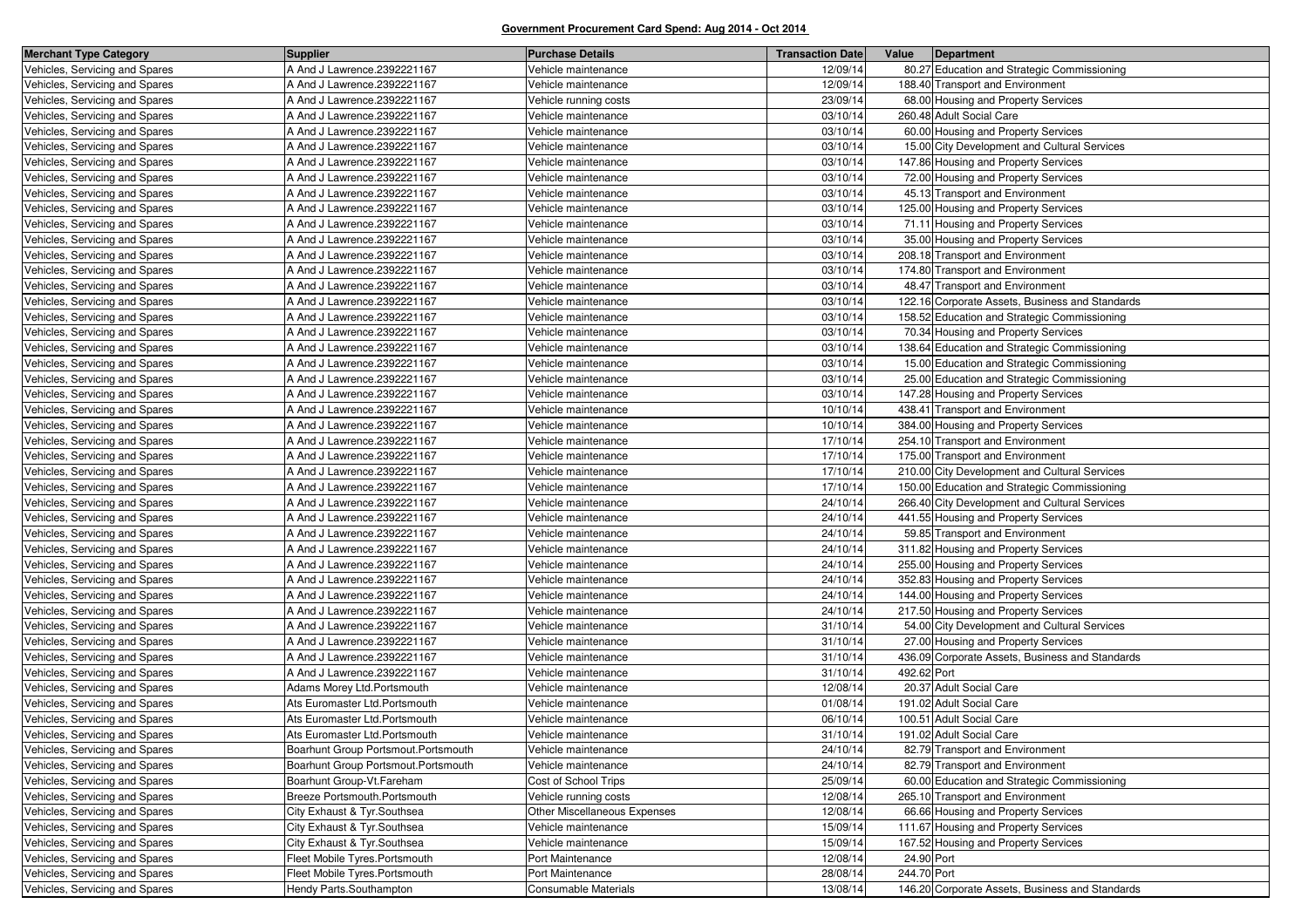| <b>Merchant Type Category</b>  | <b>Supplier</b>                     | <b>Purchase Details</b>      | <b>Transaction Date</b> | Value       | Department                                      |
|--------------------------------|-------------------------------------|------------------------------|-------------------------|-------------|-------------------------------------------------|
| Vehicles, Servicing and Spares | A And J Lawrence.2392221167         | Vehicle maintenance          | 12/09/14                |             | 80.27 Education and Strategic Commissioning     |
| Vehicles, Servicing and Spares | A And J Lawrence.2392221167         | Vehicle maintenance          | 12/09/14                |             | 188.40 Transport and Environment                |
| Vehicles, Servicing and Spares | A And J Lawrence.2392221167         | Vehicle running costs        | 23/09/14                |             | 68.00 Housing and Property Services             |
| Vehicles, Servicing and Spares | A And J Lawrence.2392221167         | Vehicle maintenance          | 03/10/14                |             | 260.48 Adult Social Care                        |
| Vehicles, Servicing and Spares | A And J Lawrence.2392221167         | Vehicle maintenance          | 03/10/14                |             | 60.00 Housing and Property Services             |
| Vehicles, Servicing and Spares | A And J Lawrence.2392221167         | Vehicle maintenance          | 03/10/14                |             | 15.00 City Development and Cultural Services    |
| Vehicles, Servicing and Spares | A And J Lawrence.2392221167         | Vehicle maintenance          | 03/10/14                |             | 147.86 Housing and Property Services            |
| Vehicles, Servicing and Spares | A And J Lawrence.2392221167         | Vehicle maintenance          | 03/10/14                |             | 72.00 Housing and Property Services             |
| Vehicles, Servicing and Spares | A And J Lawrence.2392221167         | Vehicle maintenance          | 03/10/14                |             | 45.13 Transport and Environment                 |
| Vehicles, Servicing and Spares | A And J Lawrence.2392221167         | Vehicle maintenance          | 03/10/14                |             | 125.00 Housing and Property Services            |
| Vehicles, Servicing and Spares | A And J Lawrence.2392221167         | Vehicle maintenance          | 03/10/14                |             | 71.11 Housing and Property Services             |
| Vehicles, Servicing and Spares | A And J Lawrence.2392221167         | Vehicle maintenance          | 03/10/14                |             | 35.00 Housing and Property Services             |
| Vehicles, Servicing and Spares | A And J Lawrence.2392221167         | Vehicle maintenance          | 03/10/14                |             | 208.18 Transport and Environment                |
| Vehicles, Servicing and Spares | A And J Lawrence.2392221167         | Vehicle maintenance          | 03/10/14                |             | 174.80 Transport and Environment                |
| Vehicles, Servicing and Spares | A And J Lawrence.2392221167         | Vehicle maintenance          | 03/10/14                |             | 48.47 Transport and Environment                 |
| Vehicles, Servicing and Spares | A And J Lawrence.2392221167         | Vehicle maintenance          | 03/10/14                |             | 122.16 Corporate Assets, Business and Standards |
| Vehicles, Servicing and Spares | A And J Lawrence.2392221167         | Vehicle maintenance          | 03/10/14                |             | 158.52 Education and Strategic Commissioning    |
| Vehicles, Servicing and Spares | A And J Lawrence.2392221167         | Vehicle maintenance          | 03/10/14                |             | 70.34 Housing and Property Services             |
| Vehicles, Servicing and Spares | A And J Lawrence.2392221167         | Vehicle maintenance          | 03/10/14                |             | 138.64 Education and Strategic Commissioning    |
| Vehicles, Servicing and Spares | A And J Lawrence.2392221167         | Vehicle maintenance          | 03/10/14                |             | 15.00 Education and Strategic Commissioning     |
| Vehicles, Servicing and Spares | A And J Lawrence.2392221167         | Vehicle maintenance          | 03/10/14                |             | 25.00 Education and Strategic Commissioning     |
| Vehicles, Servicing and Spares | A And J Lawrence.2392221167         | Vehicle maintenance          | 03/10/14                |             | 147.28 Housing and Property Services            |
| Vehicles, Servicing and Spares | A And J Lawrence.2392221167         | Vehicle maintenance          | 10/10/14                |             | 438.41 Transport and Environment                |
| Vehicles, Servicing and Spares | A And J Lawrence.2392221167         | Vehicle maintenance          | 10/10/14                |             | 384.00 Housing and Property Services            |
| Vehicles, Servicing and Spares | A And J Lawrence.2392221167         | Vehicle maintenance          | 17/10/14                |             | 254.10 Transport and Environment                |
| Vehicles, Servicing and Spares | A And J Lawrence.2392221167         | Vehicle maintenance          | 17/10/14                |             | 175.00 Transport and Environment                |
| Vehicles, Servicing and Spares | A And J Lawrence.2392221167         | Vehicle maintenance          | 17/10/14                |             | 210.00 City Development and Cultural Services   |
| Vehicles, Servicing and Spares | A And J Lawrence.2392221167         | Vehicle maintenance          | 17/10/14                |             | 150.00 Education and Strategic Commissioning    |
| Vehicles, Servicing and Spares | A And J Lawrence.2392221167         | Vehicle maintenance          | 24/10/14                |             | 266.40 City Development and Cultural Services   |
| Vehicles, Servicing and Spares | A And J Lawrence.2392221167         | Vehicle maintenance          | 24/10/14                |             | 441.55 Housing and Property Services            |
| Vehicles, Servicing and Spares | A And J Lawrence.2392221167         | Vehicle maintenance          | 24/10/14                |             | 59.85 Transport and Environment                 |
| Vehicles, Servicing and Spares | A And J Lawrence.2392221167         | Vehicle maintenance          | 24/10/14                |             | 311.82 Housing and Property Services            |
| Vehicles, Servicing and Spares | A And J Lawrence.2392221167         | Vehicle maintenance          | 24/10/14                |             | 255.00 Housing and Property Services            |
| Vehicles, Servicing and Spares | A And J Lawrence.2392221167         | Vehicle maintenance          | 24/10/14                |             | 352.83 Housing and Property Services            |
| Vehicles, Servicing and Spares | A And J Lawrence.2392221167         | Vehicle maintenance          | 24/10/14                |             | 144.00 Housing and Property Services            |
| Vehicles, Servicing and Spares | A And J Lawrence.2392221167         | Vehicle maintenance          | 24/10/14                |             | 217.50 Housing and Property Services            |
| Vehicles, Servicing and Spares | A And J Lawrence.2392221167         | Vehicle maintenance          | 31/10/14                |             | 54.00 City Development and Cultural Services    |
| Vehicles, Servicing and Spares | A And J Lawrence.2392221167         | Vehicle maintenance          | 31/10/14                |             | 27.00 Housing and Property Services             |
| Vehicles, Servicing and Spares | A And J Lawrence.2392221167         | Vehicle maintenance          | 31/10/14                |             | 436.09 Corporate Assets, Business and Standards |
| Vehicles, Servicing and Spares | A And J Lawrence.2392221167         | Vehicle maintenance          | 31/10/14                | 492.62 Port |                                                 |
| Vehicles, Servicing and Spares | Adams Morey Ltd. Portsmouth         | Vehicle maintenance          | 12/08/14                |             | 20.37 Adult Social Care                         |
| Vehicles, Servicing and Spares | Ats Euromaster Ltd.Portsmouth       | Vehicle maintenance          | 01/08/14                |             | 191.02 Adult Social Care                        |
| Vehicles, Servicing and Spares | Ats Euromaster Ltd.Portsmouth       | Vehicle maintenance          | 06/10/14                |             | 100.51 Adult Social Care                        |
| Vehicles, Servicing and Spares | Ats Euromaster Ltd.Portsmouth       | Vehicle maintenance          | 31/10/14                |             | 191.02 Adult Social Care                        |
| Vehicles, Servicing and Spares | Boarhunt Group Portsmout.Portsmouth | Vehicle maintenance          | 24/10/14                |             | 82.79 Transport and Environment                 |
| Vehicles, Servicing and Spares | Boarhunt Group Portsmout.Portsmouth | Vehicle maintenance          | 24/10/14                |             | 82.79 Transport and Environment                 |
| Vehicles, Servicing and Spares | Boarhunt Group-Vt.Fareham           | Cost of School Trips         | 25/09/14                |             | 60.00 Education and Strategic Commissioning     |
| Vehicles, Servicing and Spares | Breeze Portsmouth.Portsmouth        | Vehicle running costs        | 12/08/14                |             | 265.10 Transport and Environment                |
| Vehicles, Servicing and Spares | City Exhaust & Tyr.Southsea         | Other Miscellaneous Expenses | 12/08/14                |             | 66.66 Housing and Property Services             |
| Vehicles, Servicing and Spares | City Exhaust & Tyr.Southsea         | Vehicle maintenance          | 15/09/14                |             | 111.67 Housing and Property Services            |
| Vehicles, Servicing and Spares | City Exhaust & Tyr.Southsea         | Vehicle maintenance          | 15/09/14                |             | 167.52 Housing and Property Services            |
| Vehicles, Servicing and Spares | Fleet Mobile Tyres.Portsmouth       | Port Maintenance             | 12/08/14                | 24.90 Port  |                                                 |
| Vehicles, Servicing and Spares | Fleet Mobile Tyres.Portsmouth       | Port Maintenance             | 28/08/14                | 244.70 Port |                                                 |
| Vehicles, Servicing and Spares | Hendy Parts.Southampton             | Consumable Materials         | 13/08/14                |             | 146.20 Corporate Assets, Business and Standards |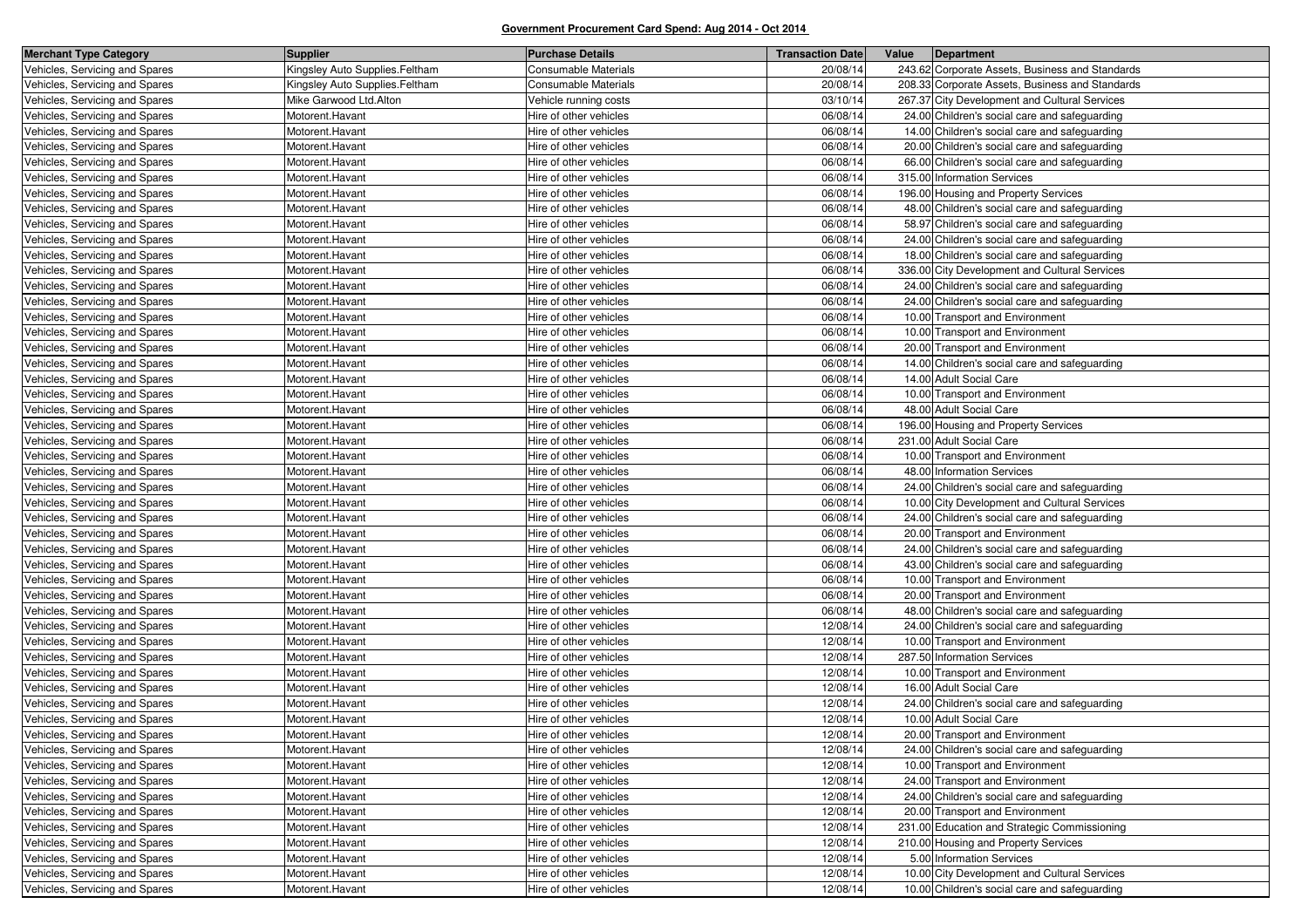| <b>Merchant Type Category</b>  | <b>Supplier</b>                | <b>Purchase Details</b>     | <b>Transaction Date</b> | Value | Department                                      |
|--------------------------------|--------------------------------|-----------------------------|-------------------------|-------|-------------------------------------------------|
| Vehicles, Servicing and Spares | Kingsley Auto Supplies.Feltham | <b>Consumable Materials</b> | 20/08/14                |       | 243.62 Corporate Assets, Business and Standards |
| Vehicles, Servicing and Spares | Kingsley Auto Supplies.Feltham | <b>Consumable Materials</b> | 20/08/14                |       | 208.33 Corporate Assets, Business and Standards |
| Vehicles, Servicing and Spares | Mike Garwood Ltd.Alton         | Vehicle running costs       | 03/10/14                |       | 267.37 City Development and Cultural Services   |
| Vehicles, Servicing and Spares | Motorent.Havant                | Hire of other vehicles      | 06/08/14                |       | 24.00 Children's social care and safeguarding   |
| Vehicles, Servicing and Spares | Motorent.Havant                | Hire of other vehicles      | 06/08/14                |       | 14.00 Children's social care and safeguarding   |
| Vehicles, Servicing and Spares | Motorent.Havant                | Hire of other vehicles      | 06/08/14                |       | 20.00 Children's social care and safeguarding   |
| Vehicles, Servicing and Spares | Motorent.Havant                | Hire of other vehicles      | 06/08/14                |       | 66.00 Children's social care and safeguarding   |
| Vehicles, Servicing and Spares | Motorent.Havant                | Hire of other vehicles      | 06/08/14                |       | 315.00 Information Services                     |
| Vehicles, Servicing and Spares | Motorent.Havant                | Hire of other vehicles      | 06/08/14                |       | 196.00 Housing and Property Services            |
| Vehicles, Servicing and Spares | Motorent.Havant                | Hire of other vehicles      | 06/08/14                |       | 48.00 Children's social care and safeguarding   |
| Vehicles, Servicing and Spares | Motorent.Havant                | Hire of other vehicles      | 06/08/14                |       | 58.97 Children's social care and safeguarding   |
| Vehicles, Servicing and Spares | Motorent.Havant                | Hire of other vehicles      | 06/08/14                |       | 24.00 Children's social care and safeguarding   |
| Vehicles, Servicing and Spares | Motorent.Havant                | Hire of other vehicles      | 06/08/14                |       | 18.00 Children's social care and safeguarding   |
| Vehicles, Servicing and Spares | Motorent.Havant                | Hire of other vehicles      | 06/08/14                |       | 336.00 City Development and Cultural Services   |
| Vehicles, Servicing and Spares | Motorent.Havant                | Hire of other vehicles      | 06/08/14                |       | 24.00 Children's social care and safeguarding   |
| Vehicles, Servicing and Spares | Motorent.Havant                | Hire of other vehicles      | 06/08/14                |       | 24.00 Children's social care and safeguarding   |
| Vehicles, Servicing and Spares | Motorent.Havant                | Hire of other vehicles      | 06/08/14                |       | 10.00 Transport and Environment                 |
| Vehicles, Servicing and Spares | Motorent.Havant                | Hire of other vehicles      | 06/08/14                |       | 10.00 Transport and Environment                 |
| Vehicles, Servicing and Spares | Motorent.Havant                | Hire of other vehicles      | 06/08/14                |       | 20.00 Transport and Environment                 |
| Vehicles, Servicing and Spares | Motorent.Havant                | Hire of other vehicles      | 06/08/14                |       | 14.00 Children's social care and safeguarding   |
| Vehicles, Servicing and Spares | Motorent.Havant                | Hire of other vehicles      | 06/08/14                |       | 14.00 Adult Social Care                         |
| Vehicles, Servicing and Spares | Motorent.Havant                | Hire of other vehicles      | 06/08/14                |       | 10.00 Transport and Environment                 |
| Vehicles, Servicing and Spares | Motorent.Havant                | Hire of other vehicles      | 06/08/14                |       | 48.00 Adult Social Care                         |
| Vehicles, Servicing and Spares | Motorent.Havant                | Hire of other vehicles      | 06/08/14                |       | 196.00 Housing and Property Services            |
| Vehicles, Servicing and Spares | Motorent.Havant                | Hire of other vehicles      | 06/08/14                |       | 231.00 Adult Social Care                        |
| Vehicles, Servicing and Spares | Motorent.Havant                | Hire of other vehicles      | 06/08/14                |       | 10.00 Transport and Environment                 |
| Vehicles, Servicing and Spares | Motorent.Havant                | Hire of other vehicles      | 06/08/14                |       | 48.00 Information Services                      |
| Vehicles, Servicing and Spares | Motorent.Havant                | Hire of other vehicles      | 06/08/14                |       | 24.00 Children's social care and safeguarding   |
| Vehicles, Servicing and Spares | Motorent.Havant                | Hire of other vehicles      | 06/08/14                |       | 10.00 City Development and Cultural Services    |
| Vehicles, Servicing and Spares | Motorent.Havant                | Hire of other vehicles      | 06/08/14                |       | 24.00 Children's social care and safeguarding   |
| Vehicles, Servicing and Spares | Motorent.Havant                | Hire of other vehicles      | 06/08/14                |       | 20.00 Transport and Environment                 |
| Vehicles, Servicing and Spares | Motorent.Havant                | Hire of other vehicles      | 06/08/14                |       | 24.00 Children's social care and safeguarding   |
| Vehicles, Servicing and Spares | Motorent.Havant                | Hire of other vehicles      | 06/08/14                |       | 43.00 Children's social care and safeguarding   |
| Vehicles, Servicing and Spares | Motorent.Havant                | Hire of other vehicles      | 06/08/14                |       | 10.00 Transport and Environment                 |
| Vehicles, Servicing and Spares | Motorent.Havant                | Hire of other vehicles      | 06/08/14                |       | 20.00 Transport and Environment                 |
| Vehicles, Servicing and Spares | Motorent.Havant                | Hire of other vehicles      | 06/08/14                |       | 48.00 Children's social care and safeguarding   |
| Vehicles, Servicing and Spares | Motorent.Havant                | Hire of other vehicles      | 12/08/14                |       | 24.00 Children's social care and safeguarding   |
| Vehicles, Servicing and Spares | Motorent.Havant                | Hire of other vehicles      | 12/08/14                |       | 10.00 Transport and Environment                 |
| Vehicles, Servicing and Spares | Motorent.Havant                | Hire of other vehicles      | 12/08/14                |       | 287.50 Information Services                     |
| Vehicles, Servicing and Spares | Motorent.Havant                | Hire of other vehicles      | 12/08/14                |       | 10.00 Transport and Environment                 |
| Vehicles, Servicing and Spares | Motorent.Havant                | Hire of other vehicles      | 12/08/14                |       | 16.00 Adult Social Care                         |
| Vehicles, Servicing and Spares | Motorent.Havant                | Hire of other vehicles      | 12/08/14                |       | 24.00 Children's social care and safeguarding   |
| Vehicles, Servicing and Spares | Motorent.Havant                | Hire of other vehicles      | 12/08/14                |       | 10.00 Adult Social Care                         |
| Vehicles, Servicing and Spares | Motorent.Havant                | Hire of other vehicles      | 12/08/14                |       | 20.00 Transport and Environment                 |
| Vehicles, Servicing and Spares | Motorent.Havant                | Hire of other vehicles      | 12/08/14                |       | 24.00 Children's social care and safeguarding   |
| Vehicles, Servicing and Spares | Motorent.Havant                | Hire of other vehicles      | 12/08/14                |       | 10.00 Transport and Environment                 |
| Vehicles, Servicing and Spares | Motorent.Havant                | Hire of other vehicles      | 12/08/14                |       | 24.00 Transport and Environment                 |
| Vehicles, Servicing and Spares | Motorent.Havant                | Hire of other vehicles      | 12/08/14                |       | 24.00 Children's social care and safeguarding   |
| Vehicles, Servicing and Spares | Motorent.Havant                | Hire of other vehicles      | 12/08/14                |       | 20.00 Transport and Environment                 |
| Vehicles, Servicing and Spares | Motorent.Havant                | Hire of other vehicles      | 12/08/14                |       | 231.00 Education and Strategic Commissioning    |
| Vehicles, Servicing and Spares | Motorent.Havant                | Hire of other vehicles      | 12/08/14                |       | 210.00 Housing and Property Services            |
| Vehicles, Servicing and Spares | Motorent.Havant                | Hire of other vehicles      | 12/08/14                |       | 5.00 Information Services                       |
| Vehicles, Servicing and Spares | Motorent.Havant                | Hire of other vehicles      | 12/08/14                |       | 10.00 City Development and Cultural Services    |
| Vehicles, Servicing and Spares | Motorent.Havant                | Hire of other vehicles      | 12/08/14                |       | 10.00 Children's social care and safeguarding   |
|                                |                                |                             |                         |       |                                                 |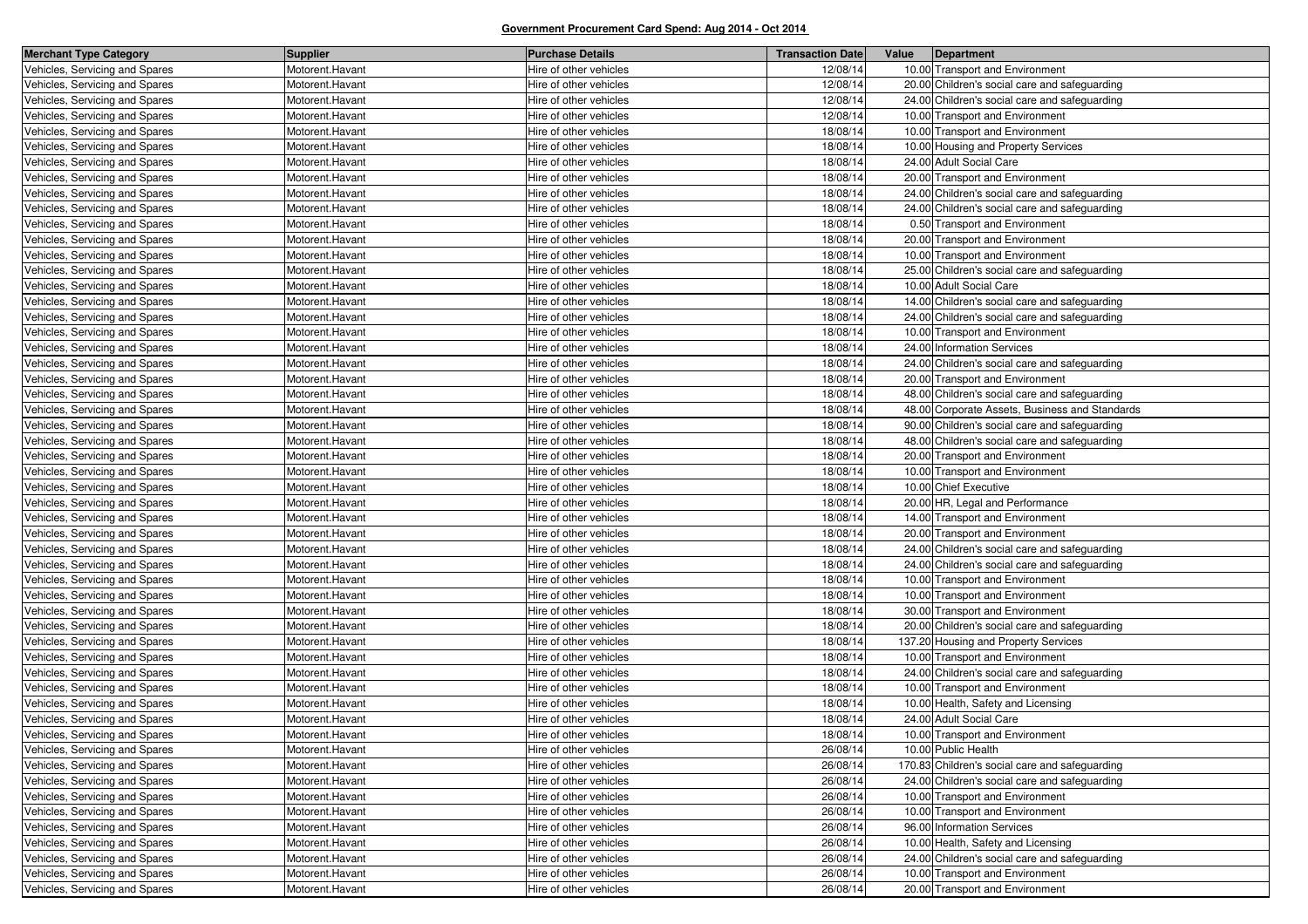| <b>Merchant Type Category</b>  | <b>Supplier</b> | <b>Purchase Details</b> | <b>Transaction Date</b> | Value<br>Department                            |
|--------------------------------|-----------------|-------------------------|-------------------------|------------------------------------------------|
| Vehicles, Servicing and Spares | Motorent.Havant | Hire of other vehicles  | 12/08/14                | 10.00 Transport and Environment                |
| Vehicles, Servicing and Spares | Motorent.Havant | Hire of other vehicles  | 12/08/14                | 20.00 Children's social care and safeguarding  |
| Vehicles, Servicing and Spares | Motorent.Havant | Hire of other vehicles  | 12/08/14                | 24.00 Children's social care and safeguarding  |
| Vehicles, Servicing and Spares | Motorent.Havant | Hire of other vehicles  | 12/08/14                | 10.00 Transport and Environment                |
| Vehicles, Servicing and Spares | Motorent.Havant | Hire of other vehicles  | 18/08/14                | 10.00 Transport and Environment                |
| Vehicles, Servicing and Spares | Motorent.Havant | Hire of other vehicles  | 18/08/14                | 10.00 Housing and Property Services            |
| Vehicles, Servicing and Spares | Motorent.Havant | Hire of other vehicles  | 18/08/14                | 24.00 Adult Social Care                        |
| Vehicles, Servicing and Spares | Motorent.Havant | Hire of other vehicles  | 18/08/14                | 20.00 Transport and Environment                |
| Vehicles, Servicing and Spares | Motorent.Havant | Hire of other vehicles  | 18/08/14                | 24.00 Children's social care and safeguarding  |
| Vehicles, Servicing and Spares | Motorent.Havant | Hire of other vehicles  | 18/08/14                | 24.00 Children's social care and safeguarding  |
| Vehicles, Servicing and Spares | Motorent.Havant | Hire of other vehicles  | 18/08/14                | 0.50 Transport and Environment                 |
| Vehicles, Servicing and Spares | Motorent.Havant | Hire of other vehicles  | 18/08/14                | 20.00 Transport and Environment                |
| Vehicles, Servicing and Spares | Motorent.Havant | Hire of other vehicles  | 18/08/14                | 10.00 Transport and Environment                |
| Vehicles, Servicing and Spares | Motorent.Havant | Hire of other vehicles  | 18/08/14                | 25.00 Children's social care and safeguarding  |
| Vehicles, Servicing and Spares | Motorent.Havant | Hire of other vehicles  | 18/08/14                | 10.00 Adult Social Care                        |
| Vehicles, Servicing and Spares | Motorent.Havant | Hire of other vehicles  | 18/08/14                | 14.00 Children's social care and safeguarding  |
| Vehicles, Servicing and Spares | Motorent.Havant | Hire of other vehicles  | 18/08/14                | 24.00 Children's social care and safeguarding  |
| Vehicles, Servicing and Spares | Motorent.Havant | Hire of other vehicles  | 18/08/14                | 10.00 Transport and Environment                |
| Vehicles, Servicing and Spares | Motorent.Havant | Hire of other vehicles  | 18/08/14                | 24.00 Information Services                     |
| Vehicles, Servicing and Spares | Motorent.Havant | Hire of other vehicles  | 18/08/14                | 24.00 Children's social care and safeguarding  |
| Vehicles, Servicing and Spares | Motorent.Havant | Hire of other vehicles  | 18/08/14                | 20.00 Transport and Environment                |
| Vehicles, Servicing and Spares | Motorent.Havant | Hire of other vehicles  | 18/08/14                | 48.00 Children's social care and safeguarding  |
| Vehicles, Servicing and Spares | Motorent.Havant | Hire of other vehicles  | 18/08/14                | 48.00 Corporate Assets, Business and Standards |
| Vehicles, Servicing and Spares | Motorent.Havant | Hire of other vehicles  | 18/08/14                | 90.00 Children's social care and safeguarding  |
| Vehicles, Servicing and Spares | Motorent.Havant | Hire of other vehicles  | 18/08/14                | 48.00 Children's social care and safeguarding  |
| Vehicles, Servicing and Spares | Motorent.Havant | Hire of other vehicles  | 18/08/14                | 20.00 Transport and Environment                |
| Vehicles, Servicing and Spares | Motorent.Havant | Hire of other vehicles  | 18/08/14                | 10.00 Transport and Environment                |
| Vehicles, Servicing and Spares | Motorent.Havant | Hire of other vehicles  | 18/08/14                | 10.00 Chief Executive                          |
| Vehicles, Servicing and Spares | Motorent.Havant | Hire of other vehicles  | 18/08/14                | 20.00 HR, Legal and Performance                |
| Vehicles, Servicing and Spares | Motorent.Havant | Hire of other vehicles  | 18/08/14                | 14.00 Transport and Environment                |
| Vehicles, Servicing and Spares | Motorent.Havant | Hire of other vehicles  | 18/08/14                | 20.00 Transport and Environment                |
| Vehicles, Servicing and Spares | Motorent.Havant | Hire of other vehicles  | 18/08/14                | 24.00 Children's social care and safeguarding  |
| Vehicles, Servicing and Spares | Motorent.Havant | Hire of other vehicles  | 18/08/14                | 24.00 Children's social care and safeguarding  |
| Vehicles, Servicing and Spares | Motorent.Havant | Hire of other vehicles  | 18/08/14                | 10.00 Transport and Environment                |
| Vehicles, Servicing and Spares | Motorent.Havant | Hire of other vehicles  | 18/08/14                | 10.00 Transport and Environment                |
| Vehicles, Servicing and Spares | Motorent.Havant | Hire of other vehicles  | 18/08/14                | 30.00 Transport and Environment                |
| Vehicles, Servicing and Spares | Motorent.Havant | Hire of other vehicles  | 18/08/14                | 20.00 Children's social care and safeguarding  |
| Vehicles, Servicing and Spares | Motorent.Havant | Hire of other vehicles  | 18/08/14                | 137.20 Housing and Property Services           |
| Vehicles, Servicing and Spares | Motorent.Havant | Hire of other vehicles  | 18/08/14                | 10.00 Transport and Environment                |
| Vehicles, Servicing and Spares | Motorent.Havant | Hire of other vehicles  | 18/08/14                | 24.00 Children's social care and safeguarding  |
| Vehicles, Servicing and Spares | Motorent.Havant | Hire of other vehicles  | 18/08/14                | 10.00 Transport and Environment                |
| Vehicles, Servicing and Spares | Motorent.Havant | Hire of other vehicles  | 18/08/14                | 10.00 Health, Safety and Licensing             |
| Vehicles, Servicing and Spares | Motorent.Havant | Hire of other vehicles  | 18/08/14                | 24.00 Adult Social Care                        |
| Vehicles, Servicing and Spares | Motorent.Havant | Hire of other vehicles  | 18/08/14                | 10.00 Transport and Environment                |
| Vehicles, Servicing and Spares | Motorent.Havant | Hire of other vehicles  | 26/08/14                | 10.00 Public Health                            |
| Vehicles, Servicing and Spares | Motorent.Havant | Hire of other vehicles  | 26/08/14                | 170.83 Children's social care and safeguarding |
| Vehicles, Servicing and Spares | Motorent.Havant | Hire of other vehicles  | 26/08/14                | 24.00 Children's social care and safeguarding  |
| Vehicles, Servicing and Spares | Motorent.Havant | Hire of other vehicles  | 26/08/14                | 10.00 Transport and Environment                |
| Vehicles, Servicing and Spares | Motorent.Havant | Hire of other vehicles  | 26/08/14                | 10.00 Transport and Environment                |
| Vehicles, Servicing and Spares | Motorent.Havant | Hire of other vehicles  | 26/08/14                | 96.00 Information Services                     |
| Vehicles, Servicing and Spares | Motorent.Havant | Hire of other vehicles  | 26/08/14                | 10.00 Health, Safety and Licensing             |
| Vehicles, Servicing and Spares | Motorent.Havant | Hire of other vehicles  | 26/08/14                | 24.00 Children's social care and safeguarding  |
| Vehicles, Servicing and Spares | Motorent.Havant | Hire of other vehicles  | 26/08/14                | 10.00 Transport and Environment                |
| Vehicles, Servicing and Spares | Motorent.Havant | Hire of other vehicles  | 26/08/14                | 20.00 Transport and Environment                |
|                                |                 |                         |                         |                                                |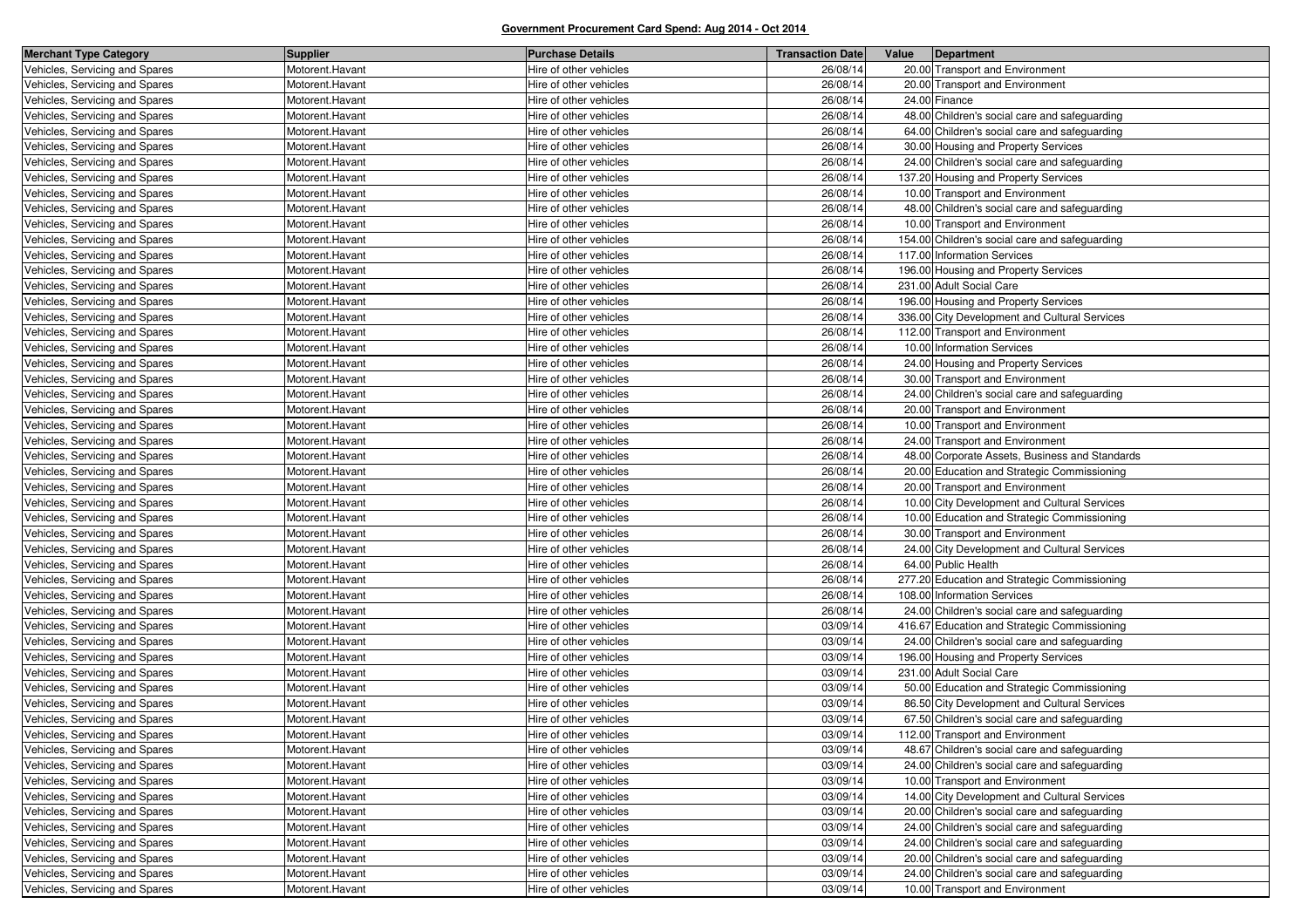| <b>Merchant Type Category</b>  | <b>Supplier</b> | <b>Purchase Details</b> | <b>Transaction Date</b> | Value<br>Department                            |
|--------------------------------|-----------------|-------------------------|-------------------------|------------------------------------------------|
| Vehicles, Servicing and Spares | Motorent.Havant | Hire of other vehicles  | 26/08/14                | 20.00 Transport and Environment                |
| Vehicles, Servicing and Spares | Motorent.Havant | Hire of other vehicles  | 26/08/14                | 20.00 Transport and Environment                |
| Vehicles, Servicing and Spares | Motorent.Havant | Hire of other vehicles  | 26/08/14                | 24.00 Finance                                  |
| Vehicles, Servicing and Spares | Motorent.Havant | Hire of other vehicles  | 26/08/14                | 48.00 Children's social care and safeguarding  |
| Vehicles, Servicing and Spares | Motorent.Havant | Hire of other vehicles  | 26/08/14                | 64.00 Children's social care and safeguarding  |
| Vehicles, Servicing and Spares | Motorent.Havant | Hire of other vehicles  | 26/08/14                | 30.00 Housing and Property Services            |
| Vehicles, Servicing and Spares | Motorent.Havant | Hire of other vehicles  | 26/08/14                | 24.00 Children's social care and safeguarding  |
| Vehicles, Servicing and Spares | Motorent.Havant | Hire of other vehicles  | 26/08/14                | 137.20 Housing and Property Services           |
| Vehicles, Servicing and Spares | Motorent.Havant | Hire of other vehicles  | 26/08/14                | 10.00 Transport and Environment                |
| Vehicles, Servicing and Spares | Motorent.Havant | Hire of other vehicles  | 26/08/14                | 48.00 Children's social care and safeguarding  |
| Vehicles, Servicing and Spares | Motorent.Havant | Hire of other vehicles  | 26/08/14                | 10.00 Transport and Environment                |
| Vehicles, Servicing and Spares | Motorent.Havant | Hire of other vehicles  | 26/08/14                | 154.00 Children's social care and safeguarding |
| Vehicles, Servicing and Spares | Motorent.Havant | Hire of other vehicles  | 26/08/14                | 117.00 Information Services                    |
| Vehicles, Servicing and Spares | Motorent.Havant | Hire of other vehicles  | 26/08/14                | 196.00 Housing and Property Services           |
| Vehicles, Servicing and Spares | Motorent.Havant | Hire of other vehicles  | 26/08/14                | 231.00 Adult Social Care                       |
| Vehicles, Servicing and Spares | Motorent.Havant | Hire of other vehicles  | 26/08/14                | 196.00 Housing and Property Services           |
| Vehicles, Servicing and Spares | Motorent.Havant | Hire of other vehicles  | 26/08/14                | 336.00 City Development and Cultural Services  |
| Vehicles, Servicing and Spares | Motorent.Havant | Hire of other vehicles  | 26/08/14                | 112.00 Transport and Environment               |
| Vehicles, Servicing and Spares | Motorent.Havant | Hire of other vehicles  | 26/08/14                | 10.00 Information Services                     |
| Vehicles, Servicing and Spares | Motorent.Havant | Hire of other vehicles  | 26/08/14                | 24.00 Housing and Property Services            |
| Vehicles, Servicing and Spares | Motorent.Havant | Hire of other vehicles  | 26/08/14                | 30.00 Transport and Environment                |
| Vehicles, Servicing and Spares | Motorent.Havant | Hire of other vehicles  | 26/08/14                | 24.00 Children's social care and safeguarding  |
| Vehicles, Servicing and Spares | Motorent.Havant | Hire of other vehicles  | 26/08/14                | 20.00 Transport and Environment                |
| Vehicles, Servicing and Spares | Motorent.Havant | Hire of other vehicles  | 26/08/14                | 10.00 Transport and Environment                |
| Vehicles, Servicing and Spares | Motorent.Havant | Hire of other vehicles  | 26/08/14                | 24.00 Transport and Environment                |
| Vehicles, Servicing and Spares | Motorent.Havant | Hire of other vehicles  | 26/08/14                | 48.00 Corporate Assets, Business and Standards |
| Vehicles, Servicing and Spares | Motorent.Havant | Hire of other vehicles  | 26/08/14                | 20.00 Education and Strategic Commissioning    |
| Vehicles, Servicing and Spares | Motorent.Havant | Hire of other vehicles  | 26/08/14                | 20.00 Transport and Environment                |
| Vehicles, Servicing and Spares | Motorent.Havant | Hire of other vehicles  | 26/08/14                | 10.00 City Development and Cultural Services   |
| Vehicles, Servicing and Spares | Motorent.Havant | Hire of other vehicles  | 26/08/14                | 10.00 Education and Strategic Commissioning    |
| Vehicles, Servicing and Spares | Motorent.Havant | Hire of other vehicles  | 26/08/14                | 30.00 Transport and Environment                |
| Vehicles, Servicing and Spares | Motorent.Havant | Hire of other vehicles  | 26/08/14                | 24.00 City Development and Cultural Services   |
| Vehicles, Servicing and Spares | Motorent.Havant | Hire of other vehicles  | 26/08/14                | 64.00 Public Health                            |
| Vehicles, Servicing and Spares | Motorent.Havant | Hire of other vehicles  | 26/08/14                | 277.20 Education and Strategic Commissioning   |
| Vehicles, Servicing and Spares | Motorent.Havant | Hire of other vehicles  | 26/08/14                | 108.00 Information Services                    |
| Vehicles, Servicing and Spares | Motorent.Havant | Hire of other vehicles  | 26/08/14                | 24.00 Children's social care and safeguarding  |
| Vehicles, Servicing and Spares | Motorent.Havant | Hire of other vehicles  | 03/09/14                | 416.67 Education and Strategic Commissioning   |
| Vehicles, Servicing and Spares | Motorent.Havant | Hire of other vehicles  | 03/09/14                | 24.00 Children's social care and safeguarding  |
| Vehicles, Servicing and Spares | Motorent.Havant | Hire of other vehicles  | 03/09/14                | 196.00 Housing and Property Services           |
| Vehicles, Servicing and Spares | Motorent.Havant | Hire of other vehicles  | 03/09/14                | 231.00 Adult Social Care                       |
| Vehicles, Servicing and Spares | Motorent.Havant | Hire of other vehicles  | 03/09/14                | 50.00 Education and Strategic Commissioning    |
| Vehicles, Servicing and Spares | Motorent.Havant | Hire of other vehicles  | 03/09/14                | 86.50 City Development and Cultural Services   |
| Vehicles, Servicing and Spares | Motorent.Havant | Hire of other vehicles  | 03/09/14                | 67.50 Children's social care and safeguarding  |
| Vehicles, Servicing and Spares | Motorent.Havant | Hire of other vehicles  | 03/09/14                | 112.00 Transport and Environment               |
| Vehicles, Servicing and Spares | Motorent.Havant | Hire of other vehicles  | 03/09/14                | 48.67 Children's social care and safeguarding  |
| Vehicles, Servicing and Spares | Motorent.Havant | Hire of other vehicles  | 03/09/14                | 24.00 Children's social care and safeguarding  |
| Vehicles, Servicing and Spares | Motorent.Havant | Hire of other vehicles  | 03/09/14                | 10.00 Transport and Environment                |
| Vehicles, Servicing and Spares | Motorent.Havant | Hire of other vehicles  | 03/09/14                | 14.00 City Development and Cultural Services   |
| Vehicles, Servicing and Spares | Motorent.Havant | Hire of other vehicles  | 03/09/14                | 20.00 Children's social care and safeguarding  |
| Vehicles, Servicing and Spares | Motorent.Havant | Hire of other vehicles  | 03/09/14                | 24.00 Children's social care and safeguarding  |
| Vehicles, Servicing and Spares | Motorent.Havant | Hire of other vehicles  | 03/09/14                | 24.00 Children's social care and safeguarding  |
| Vehicles, Servicing and Spares | Motorent.Havant | Hire of other vehicles  | 03/09/14                | 20.00 Children's social care and safeguarding  |
| Vehicles, Servicing and Spares | Motorent.Havant | Hire of other vehicles  | 03/09/14                | 24.00 Children's social care and safeguarding  |
| Vehicles, Servicing and Spares | Motorent.Havant | Hire of other vehicles  | 03/09/14                | 10.00 Transport and Environment                |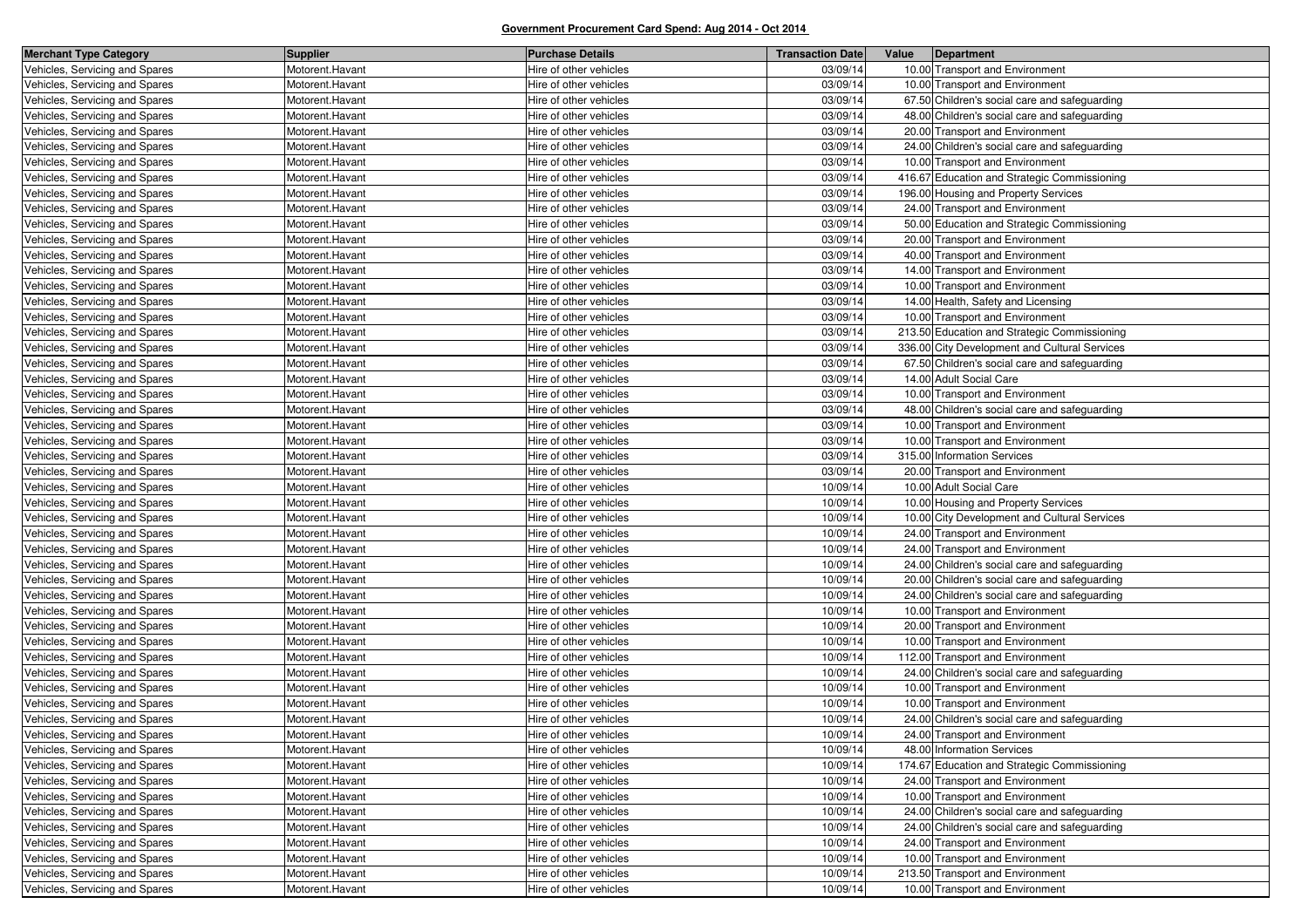| <b>Merchant Type Category</b>  | <b>Supplier</b> | <b>Purchase Details</b> | <b>Transaction Date</b> | Value | Department                                    |
|--------------------------------|-----------------|-------------------------|-------------------------|-------|-----------------------------------------------|
| Vehicles, Servicing and Spares | Motorent.Havant | Hire of other vehicles  | 03/09/14                |       | 10.00 Transport and Environment               |
| Vehicles, Servicing and Spares | Motorent.Havant | Hire of other vehicles  | 03/09/14                |       | 10.00 Transport and Environment               |
| Vehicles, Servicing and Spares | Motorent.Havant | Hire of other vehicles  | 03/09/14                |       | 67.50 Children's social care and safeguarding |
| Vehicles, Servicing and Spares | Motorent.Havant | Hire of other vehicles  | 03/09/14                |       | 48.00 Children's social care and safeguarding |
| Vehicles, Servicing and Spares | Motorent.Havant | Hire of other vehicles  | 03/09/14                |       | 20.00 Transport and Environment               |
| Vehicles, Servicing and Spares | Motorent.Havant | Hire of other vehicles  | 03/09/14                |       | 24.00 Children's social care and safeguarding |
| Vehicles, Servicing and Spares | Motorent.Havant | Hire of other vehicles  | 03/09/14                |       | 10.00 Transport and Environment               |
| Vehicles, Servicing and Spares | Motorent.Havant | Hire of other vehicles  | 03/09/14                |       | 416.67 Education and Strategic Commissioning  |
| Vehicles, Servicing and Spares | Motorent.Havant | Hire of other vehicles  | 03/09/14                |       | 196.00 Housing and Property Services          |
| Vehicles, Servicing and Spares | Motorent.Havant | Hire of other vehicles  | 03/09/14                |       | 24.00 Transport and Environment               |
| Vehicles, Servicing and Spares | Motorent.Havant | Hire of other vehicles  | 03/09/14                |       | 50.00 Education and Strategic Commissioning   |
| Vehicles, Servicing and Spares | Motorent.Havant | Hire of other vehicles  | 03/09/14                |       | 20.00 Transport and Environment               |
| Vehicles, Servicing and Spares | Motorent.Havant | Hire of other vehicles  | 03/09/14                |       | 40.00 Transport and Environment               |
| Vehicles, Servicing and Spares | Motorent.Havant | Hire of other vehicles  | 03/09/14                |       | 14.00 Transport and Environment               |
| Vehicles, Servicing and Spares | Motorent.Havant | Hire of other vehicles  | 03/09/14                |       | 10.00 Transport and Environment               |
| Vehicles, Servicing and Spares | Motorent.Havant | Hire of other vehicles  | 03/09/14                |       | 14.00 Health, Safety and Licensing            |
| Vehicles, Servicing and Spares | Motorent.Havant | Hire of other vehicles  | 03/09/14                |       | 10.00 Transport and Environment               |
| Vehicles, Servicing and Spares | Motorent.Havant | Hire of other vehicles  | 03/09/14                |       | 213.50 Education and Strategic Commissioning  |
| Vehicles, Servicing and Spares | Motorent.Havant | Hire of other vehicles  | 03/09/14                |       | 336.00 City Development and Cultural Services |
| Vehicles, Servicing and Spares | Motorent.Havant | Hire of other vehicles  | 03/09/14                |       | 67.50 Children's social care and safeguarding |
| Vehicles, Servicing and Spares | Motorent.Havant | Hire of other vehicles  | 03/09/14                |       | 14.00 Adult Social Care                       |
| Vehicles, Servicing and Spares | Motorent.Havant | Hire of other vehicles  | 03/09/14                |       | 10.00 Transport and Environment               |
| Vehicles, Servicing and Spares | Motorent.Havant | Hire of other vehicles  | 03/09/14                |       | 48.00 Children's social care and safeguarding |
| Vehicles, Servicing and Spares | Motorent.Havant | Hire of other vehicles  | 03/09/14                |       | 10.00 Transport and Environment               |
| Vehicles, Servicing and Spares | Motorent.Havant | Hire of other vehicles  | 03/09/14                |       | 10.00 Transport and Environment               |
| Vehicles, Servicing and Spares | Motorent.Havant | Hire of other vehicles  | 03/09/14                |       | 315.00 Information Services                   |
| Vehicles, Servicing and Spares | Motorent.Havant | Hire of other vehicles  | 03/09/14                |       | 20.00 Transport and Environment               |
| Vehicles, Servicing and Spares | Motorent.Havant | Hire of other vehicles  | 10/09/14                |       | 10.00 Adult Social Care                       |
| Vehicles, Servicing and Spares | Motorent.Havant | Hire of other vehicles  | 10/09/14                |       | 10.00 Housing and Property Services           |
| Vehicles, Servicing and Spares | Motorent.Havant | Hire of other vehicles  | 10/09/14                |       | 10.00 City Development and Cultural Services  |
| Vehicles, Servicing and Spares | Motorent.Havant | Hire of other vehicles  | 10/09/14                |       | 24.00 Transport and Environment               |
| Vehicles, Servicing and Spares | Motorent.Havant | Hire of other vehicles  | 10/09/14                |       | 24.00 Transport and Environment               |
| Vehicles, Servicing and Spares | Motorent.Havant | Hire of other vehicles  | 10/09/14                |       | 24.00 Children's social care and safeguarding |
| Vehicles, Servicing and Spares | Motorent.Havant | Hire of other vehicles  | 10/09/14                |       | 20.00 Children's social care and safeguarding |
| Vehicles, Servicing and Spares | Motorent.Havant | Hire of other vehicles  | 10/09/14                |       | 24.00 Children's social care and safeguarding |
| Vehicles, Servicing and Spares | Motorent.Havant | Hire of other vehicles  | 10/09/14                |       | 10.00 Transport and Environment               |
| Vehicles, Servicing and Spares | Motorent.Havant | Hire of other vehicles  | 10/09/14                |       | 20.00 Transport and Environment               |
| Vehicles, Servicing and Spares | Motorent.Havant | Hire of other vehicles  | 10/09/14                |       | 10.00 Transport and Environment               |
| Vehicles, Servicing and Spares | Motorent.Havant | Hire of other vehicles  | 10/09/14                |       | 112.00 Transport and Environment              |
| Vehicles, Servicing and Spares | Motorent.Havant | Hire of other vehicles  | 10/09/14                |       | 24.00 Children's social care and safeguarding |
| Vehicles, Servicing and Spares | Motorent.Havant | Hire of other vehicles  | 10/09/14                |       | 10.00 Transport and Environment               |
| Vehicles, Servicing and Spares | Motorent.Havant | Hire of other vehicles  | 10/09/14                |       | 10.00 Transport and Environment               |
| Vehicles, Servicing and Spares | Motorent.Havant | Hire of other vehicles  | 10/09/14                |       | 24.00 Children's social care and safeguarding |
| Vehicles, Servicing and Spares | Motorent.Havant | Hire of other vehicles  | 10/09/14                |       | 24.00 Transport and Environment               |
| Vehicles, Servicing and Spares | Motorent.Havant | Hire of other vehicles  | 10/09/14                |       | 48.00 Information Services                    |
| Vehicles, Servicing and Spares | Motorent.Havant | Hire of other vehicles  | 10/09/14                |       | 174.67 Education and Strategic Commissioning  |
| Vehicles, Servicing and Spares | Motorent.Havant | Hire of other vehicles  | 10/09/14                |       | 24.00 Transport and Environment               |
| Vehicles, Servicing and Spares | Motorent.Havant | Hire of other vehicles  | 10/09/14                |       | 10.00 Transport and Environment               |
| Vehicles, Servicing and Spares | Motorent.Havant | Hire of other vehicles  | 10/09/14                |       | 24.00 Children's social care and safeguarding |
| Vehicles, Servicing and Spares | Motorent.Havant | Hire of other vehicles  | 10/09/14                |       | 24.00 Children's social care and safeguarding |
| Vehicles, Servicing and Spares | Motorent.Havant | Hire of other vehicles  | 10/09/14                |       | 24.00 Transport and Environment               |
| Vehicles, Servicing and Spares | Motorent.Havant | Hire of other vehicles  | 10/09/14                |       | 10.00 Transport and Environment               |
| Vehicles, Servicing and Spares | Motorent.Havant | Hire of other vehicles  | 10/09/14                |       | 213.50 Transport and Environment              |
| Vehicles, Servicing and Spares | Motorent.Havant | Hire of other vehicles  | 10/09/14                |       | 10.00 Transport and Environment               |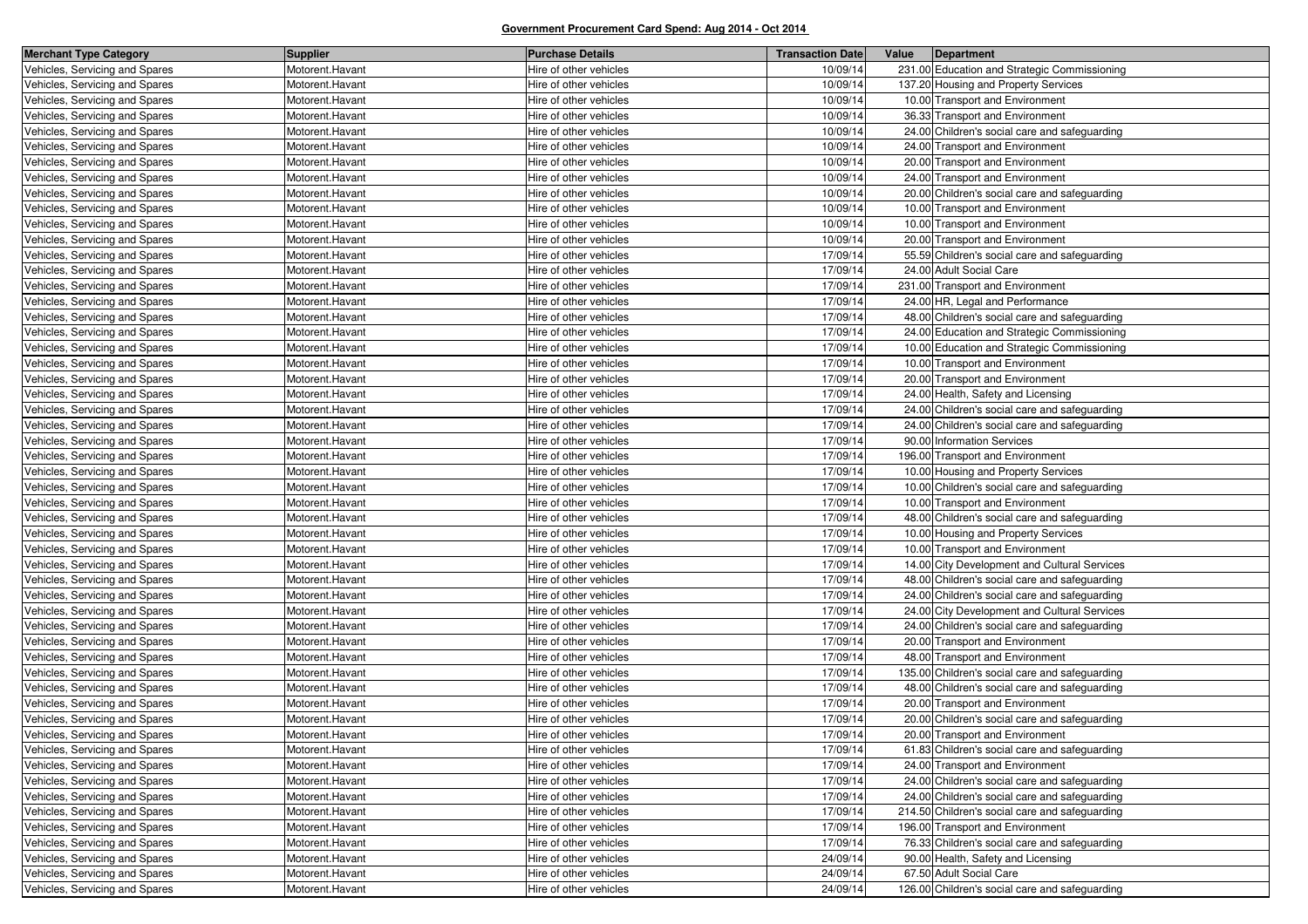| <b>Merchant Type Category</b>  | <b>Supplier</b> | <b>Purchase Details</b> | <b>Transaction Date</b> | Value | Department                                     |
|--------------------------------|-----------------|-------------------------|-------------------------|-------|------------------------------------------------|
| Vehicles, Servicing and Spares | Motorent.Havant | Hire of other vehicles  | 10/09/14                |       | 231.00 Education and Strategic Commissioning   |
| Vehicles, Servicing and Spares | Motorent.Havant | Hire of other vehicles  | 10/09/14                |       | 137.20 Housing and Property Services           |
| Vehicles, Servicing and Spares | Motorent.Havant | Hire of other vehicles  | 10/09/14                |       | 10.00 Transport and Environment                |
| Vehicles, Servicing and Spares | Motorent.Havant | Hire of other vehicles  | 10/09/14                |       | 36.33 Transport and Environment                |
| Vehicles, Servicing and Spares | Motorent.Havant | Hire of other vehicles  | 10/09/14                |       | 24.00 Children's social care and safeguarding  |
| Vehicles, Servicing and Spares | Motorent.Havant | Hire of other vehicles  | 10/09/14                |       | 24.00 Transport and Environment                |
| Vehicles, Servicing and Spares | Motorent.Havant | Hire of other vehicles  | 10/09/14                |       | 20.00 Transport and Environment                |
| Vehicles, Servicing and Spares | Motorent.Havant | Hire of other vehicles  | 10/09/14                |       | 24.00 Transport and Environment                |
| Vehicles, Servicing and Spares | Motorent.Havant | Hire of other vehicles  | 10/09/14                |       | 20.00 Children's social care and safeguarding  |
| Vehicles, Servicing and Spares | Motorent.Havant | Hire of other vehicles  | 10/09/14                |       | 10.00 Transport and Environment                |
| Vehicles, Servicing and Spares | Motorent.Havant | Hire of other vehicles  | 10/09/14                |       | 10.00 Transport and Environment                |
| Vehicles, Servicing and Spares | Motorent.Havant | Hire of other vehicles  | 10/09/14                |       | 20.00 Transport and Environment                |
| Vehicles, Servicing and Spares | Motorent.Havant | Hire of other vehicles  | 17/09/14                |       | 55.59 Children's social care and safeguarding  |
| Vehicles, Servicing and Spares | Motorent.Havant | Hire of other vehicles  | 17/09/14                |       | 24.00 Adult Social Care                        |
| Vehicles, Servicing and Spares | Motorent.Havant | Hire of other vehicles  | 17/09/14                |       | 231.00 Transport and Environment               |
| Vehicles, Servicing and Spares | Motorent.Havant | Hire of other vehicles  | 17/09/14                |       | 24.00 HR, Legal and Performance                |
| Vehicles, Servicing and Spares | Motorent.Havant | Hire of other vehicles  | 17/09/14                |       | 48.00 Children's social care and safeguarding  |
| Vehicles, Servicing and Spares | Motorent.Havant | Hire of other vehicles  | 17/09/14                |       | 24.00 Education and Strategic Commissioning    |
| Vehicles, Servicing and Spares | Motorent.Havant | Hire of other vehicles  | 17/09/14                |       | 10.00 Education and Strategic Commissioning    |
| Vehicles, Servicing and Spares | Motorent.Havant | Hire of other vehicles  | 17/09/14                |       | 10.00 Transport and Environment                |
| Vehicles, Servicing and Spares | Motorent.Havant | Hire of other vehicles  | 17/09/14                |       | 20.00 Transport and Environment                |
| Vehicles, Servicing and Spares | Motorent.Havant | Hire of other vehicles  | 17/09/14                |       | 24.00 Health, Safety and Licensing             |
| Vehicles, Servicing and Spares | Motorent.Havant | Hire of other vehicles  | 17/09/14                |       | 24.00 Children's social care and safeguarding  |
| Vehicles, Servicing and Spares | Motorent.Havant | Hire of other vehicles  | 17/09/14                |       | 24.00 Children's social care and safeguarding  |
| Vehicles, Servicing and Spares | Motorent.Havant | Hire of other vehicles  | 17/09/14                |       | 90.00 Information Services                     |
| Vehicles, Servicing and Spares | Motorent.Havant | Hire of other vehicles  | 17/09/14                |       | 196.00 Transport and Environment               |
| Vehicles, Servicing and Spares | Motorent.Havant | Hire of other vehicles  | 17/09/14                |       | 10.00 Housing and Property Services            |
| Vehicles, Servicing and Spares | Motorent.Havant | Hire of other vehicles  | 17/09/14                |       | 10.00 Children's social care and safeguarding  |
| Vehicles, Servicing and Spares | Motorent.Havant | Hire of other vehicles  | 17/09/14                |       | 10.00 Transport and Environment                |
| Vehicles, Servicing and Spares | Motorent.Havant | Hire of other vehicles  | 17/09/14                |       | 48.00 Children's social care and safeguarding  |
| Vehicles, Servicing and Spares | Motorent.Havant | Hire of other vehicles  | 17/09/14                |       | 10.00 Housing and Property Services            |
| Vehicles, Servicing and Spares | Motorent.Havant | Hire of other vehicles  | 17/09/14                |       | 10.00 Transport and Environment                |
| Vehicles, Servicing and Spares | Motorent.Havant | Hire of other vehicles  | 17/09/14                |       | 14.00 City Development and Cultural Services   |
| Vehicles, Servicing and Spares | Motorent.Havant | Hire of other vehicles  | 17/09/14                |       | 48.00 Children's social care and safeguarding  |
| Vehicles, Servicing and Spares | Motorent.Havant | Hire of other vehicles  | 17/09/14                |       | 24.00 Children's social care and safeguarding  |
| Vehicles, Servicing and Spares | Motorent.Havant | Hire of other vehicles  | 17/09/14                |       | 24.00 City Development and Cultural Services   |
| Vehicles, Servicing and Spares | Motorent.Havant | Hire of other vehicles  | 17/09/14                |       | 24.00 Children's social care and safeguarding  |
| Vehicles, Servicing and Spares | Motorent.Havant | Hire of other vehicles  | 17/09/14                |       | 20.00 Transport and Environment                |
| Vehicles, Servicing and Spares | Motorent.Havant | Hire of other vehicles  | 17/09/14                |       | 48.00 Transport and Environment                |
| Vehicles, Servicing and Spares | Motorent.Havant | Hire of other vehicles  | 17/09/14                |       | 135.00 Children's social care and safeguarding |
| Vehicles, Servicing and Spares | Motorent.Havant | Hire of other vehicles  | 17/09/14                |       | 48.00 Children's social care and safeguarding  |
| Vehicles, Servicing and Spares | Motorent.Havant | Hire of other vehicles  | 17/09/14                |       | 20.00 Transport and Environment                |
| Vehicles, Servicing and Spares | Motorent.Havant | Hire of other vehicles  | 17/09/14                |       | 20.00 Children's social care and safeguarding  |
| Vehicles, Servicing and Spares | Motorent.Havant | Hire of other vehicles  | 17/09/14                |       | 20.00 Transport and Environment                |
| Vehicles, Servicing and Spares | Motorent.Havant | Hire of other vehicles  | 17/09/14                |       | 61.83 Children's social care and safeguarding  |
| Vehicles, Servicing and Spares | Motorent.Havant | Hire of other vehicles  | 17/09/14                |       | 24.00 Transport and Environment                |
| Vehicles, Servicing and Spares | Motorent.Havant | Hire of other vehicles  | 17/09/14                |       | 24.00 Children's social care and safeguarding  |
| Vehicles, Servicing and Spares | Motorent.Havant | Hire of other vehicles  | 17/09/14                |       | 24.00 Children's social care and safeguarding  |
| Vehicles, Servicing and Spares | Motorent.Havant | Hire of other vehicles  | 17/09/14                |       | 214.50 Children's social care and safeguarding |
| Vehicles, Servicing and Spares | Motorent.Havant | Hire of other vehicles  | 17/09/14                |       | 196.00 Transport and Environment               |
| Vehicles, Servicing and Spares | Motorent.Havant | Hire of other vehicles  | 17/09/14                |       | 76.33 Children's social care and safeguarding  |
| Vehicles, Servicing and Spares | Motorent.Havant | Hire of other vehicles  | 24/09/14                |       | 90.00 Health, Safety and Licensing             |
| Vehicles, Servicing and Spares | Motorent.Havant | Hire of other vehicles  | 24/09/14                |       | 67.50 Adult Social Care                        |
| Vehicles, Servicing and Spares | Motorent.Havant | Hire of other vehicles  | 24/09/14                |       | 126.00 Children's social care and safeguarding |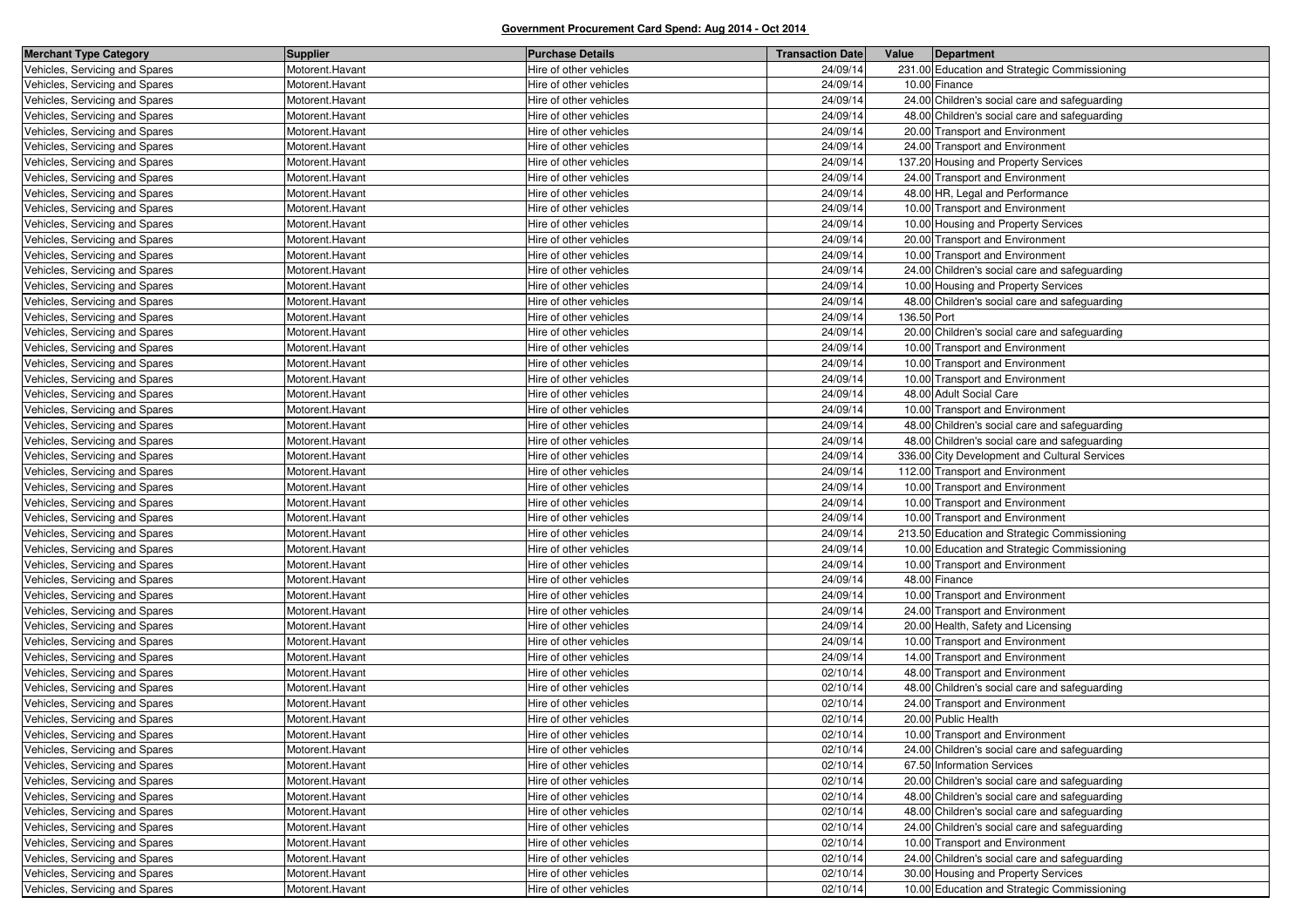| <b>Merchant Type Category</b>  | <b>Supplier</b> | <b>Purchase Details</b> | <b>Transaction Date</b> | Value       | Department                                    |
|--------------------------------|-----------------|-------------------------|-------------------------|-------------|-----------------------------------------------|
| Vehicles, Servicing and Spares | Motorent.Havant | Hire of other vehicles  | 24/09/14                |             | 231.00 Education and Strategic Commissioning  |
| Vehicles, Servicing and Spares | Motorent.Havant | Hire of other vehicles  | 24/09/14                |             | 10.00 Finance                                 |
| Vehicles, Servicing and Spares | Motorent.Havant | Hire of other vehicles  | 24/09/14                |             | 24.00 Children's social care and safeguarding |
| Vehicles, Servicing and Spares | Motorent.Havant | Hire of other vehicles  | 24/09/14                |             | 48.00 Children's social care and safeguarding |
| Vehicles, Servicing and Spares | Motorent.Havant | Hire of other vehicles  | 24/09/14                |             | 20.00 Transport and Environment               |
| Vehicles, Servicing and Spares | Motorent.Havant | Hire of other vehicles  | 24/09/14                |             | 24.00 Transport and Environment               |
| Vehicles, Servicing and Spares | Motorent.Havant | Hire of other vehicles  | 24/09/14                |             | 137.20 Housing and Property Services          |
| Vehicles, Servicing and Spares | Motorent.Havant | Hire of other vehicles  | 24/09/14                |             | 24.00 Transport and Environment               |
| Vehicles, Servicing and Spares | Motorent.Havant | Hire of other vehicles  | 24/09/14                |             | 48.00 HR, Legal and Performance               |
| Vehicles, Servicing and Spares | Motorent.Havant | Hire of other vehicles  | 24/09/14                |             | 10.00 Transport and Environment               |
| Vehicles, Servicing and Spares | Motorent.Havant | Hire of other vehicles  | 24/09/14                |             | 10.00 Housing and Property Services           |
| Vehicles, Servicing and Spares | Motorent.Havant | Hire of other vehicles  | 24/09/14                |             | 20.00 Transport and Environment               |
| Vehicles, Servicing and Spares | Motorent.Havant | Hire of other vehicles  | 24/09/14                |             | 10.00 Transport and Environment               |
| Vehicles, Servicing and Spares | Motorent.Havant | Hire of other vehicles  | 24/09/14                |             | 24.00 Children's social care and safeguarding |
| Vehicles, Servicing and Spares | Motorent.Havant | Hire of other vehicles  | 24/09/14                |             | 10.00 Housing and Property Services           |
| Vehicles, Servicing and Spares | Motorent.Havant | Hire of other vehicles  | 24/09/14                |             | 48.00 Children's social care and safeguarding |
| Vehicles, Servicing and Spares | Motorent.Havant | Hire of other vehicles  | 24/09/14                | 136.50 Port |                                               |
| Vehicles, Servicing and Spares | Motorent.Havant | Hire of other vehicles  | 24/09/14                |             | 20.00 Children's social care and safeguarding |
| Vehicles, Servicing and Spares | Motorent.Havant | Hire of other vehicles  | 24/09/14                |             | 10.00 Transport and Environment               |
| Vehicles, Servicing and Spares | Motorent.Havant | Hire of other vehicles  | 24/09/14                |             | 10.00 Transport and Environment               |
| Vehicles, Servicing and Spares | Motorent.Havant | Hire of other vehicles  | 24/09/14                |             | 10.00 Transport and Environment               |
| Vehicles, Servicing and Spares | Motorent.Havant | Hire of other vehicles  | 24/09/14                |             | 48.00 Adult Social Care                       |
| Vehicles, Servicing and Spares | Motorent.Havant | Hire of other vehicles  | 24/09/14                |             | 10.00 Transport and Environment               |
| Vehicles, Servicing and Spares | Motorent.Havant | Hire of other vehicles  | 24/09/14                |             | 48.00 Children's social care and safeguarding |
| Vehicles, Servicing and Spares | Motorent.Havant | Hire of other vehicles  | 24/09/14                |             | 48.00 Children's social care and safeguarding |
| Vehicles, Servicing and Spares | Motorent.Havant | Hire of other vehicles  | 24/09/14                |             | 336.00 City Development and Cultural Services |
| Vehicles, Servicing and Spares | Motorent.Havant | Hire of other vehicles  | 24/09/14                |             | 112.00 Transport and Environment              |
| Vehicles, Servicing and Spares | Motorent.Havant | Hire of other vehicles  | 24/09/14                |             | 10.00 Transport and Environment               |
| Vehicles, Servicing and Spares | Motorent.Havant | Hire of other vehicles  | 24/09/14                |             | 10.00 Transport and Environment               |
| Vehicles, Servicing and Spares | Motorent.Havant | Hire of other vehicles  | 24/09/14                |             | 10.00 Transport and Environment               |
| Vehicles, Servicing and Spares | Motorent.Havant | Hire of other vehicles  | 24/09/14                |             | 213.50 Education and Strategic Commissioning  |
| Vehicles, Servicing and Spares | Motorent.Havant | Hire of other vehicles  | 24/09/14                |             | 10.00 Education and Strategic Commissioning   |
| Vehicles, Servicing and Spares | Motorent.Havant | Hire of other vehicles  | 24/09/14                |             | 10.00 Transport and Environment               |
| Vehicles, Servicing and Spares | Motorent.Havant | Hire of other vehicles  | 24/09/14                |             | 48.00 Finance                                 |
| Vehicles, Servicing and Spares | Motorent.Havant | Hire of other vehicles  | 24/09/14                |             | 10.00 Transport and Environment               |
| Vehicles, Servicing and Spares | Motorent.Havant | Hire of other vehicles  | 24/09/14                |             | 24.00 Transport and Environment               |
| Vehicles, Servicing and Spares | Motorent.Havant | Hire of other vehicles  | 24/09/14                |             | 20.00 Health, Safety and Licensing            |
| Vehicles, Servicing and Spares | Motorent.Havant | Hire of other vehicles  | 24/09/14                |             | 10.00 Transport and Environment               |
| Vehicles, Servicing and Spares | Motorent.Havant | Hire of other vehicles  | 24/09/14                |             | 14.00 Transport and Environment               |
| Vehicles, Servicing and Spares | Motorent.Havant | Hire of other vehicles  | 02/10/14                |             | 48.00 Transport and Environment               |
| Vehicles, Servicing and Spares | Motorent.Havant | Hire of other vehicles  | 02/10/14                |             | 48.00 Children's social care and safeguarding |
| Vehicles, Servicing and Spares | Motorent.Havant | Hire of other vehicles  | 02/10/14                |             | 24.00 Transport and Environment               |
| Vehicles, Servicing and Spares | Motorent.Havant | Hire of other vehicles  | 02/10/14                |             | 20.00 Public Health                           |
| Vehicles, Servicing and Spares | Motorent.Havant | Hire of other vehicles  | 02/10/14                |             | 10.00 Transport and Environment               |
| Vehicles, Servicing and Spares | Motorent.Havant | Hire of other vehicles  | 02/10/14                |             | 24.00 Children's social care and safeguarding |
| Vehicles, Servicing and Spares | Motorent.Havant | Hire of other vehicles  | 02/10/14                |             | 67.50 Information Services                    |
| Vehicles, Servicing and Spares | Motorent.Havant | Hire of other vehicles  | 02/10/14                |             | 20.00 Children's social care and safeguarding |
| Vehicles, Servicing and Spares | Motorent.Havant | Hire of other vehicles  | 02/10/14                |             | 48.00 Children's social care and safeguarding |
| Vehicles, Servicing and Spares | Motorent.Havant | Hire of other vehicles  | 02/10/14                |             | 48.00 Children's social care and safeguarding |
| Vehicles, Servicing and Spares | Motorent.Havant | Hire of other vehicles  | 02/10/14                |             | 24.00 Children's social care and safeguarding |
| Vehicles, Servicing and Spares | Motorent.Havant | Hire of other vehicles  | 02/10/14                |             | 10.00 Transport and Environment               |
| Vehicles, Servicing and Spares | Motorent.Havant | Hire of other vehicles  | 02/10/14                |             | 24.00 Children's social care and safeguarding |
| Vehicles, Servicing and Spares | Motorent.Havant | Hire of other vehicles  | 02/10/14                |             | 30.00 Housing and Property Services           |
| Vehicles, Servicing and Spares | Motorent.Havant | Hire of other vehicles  | 02/10/14                |             | 10.00 Education and Strategic Commissioning   |
|                                |                 |                         |                         |             |                                               |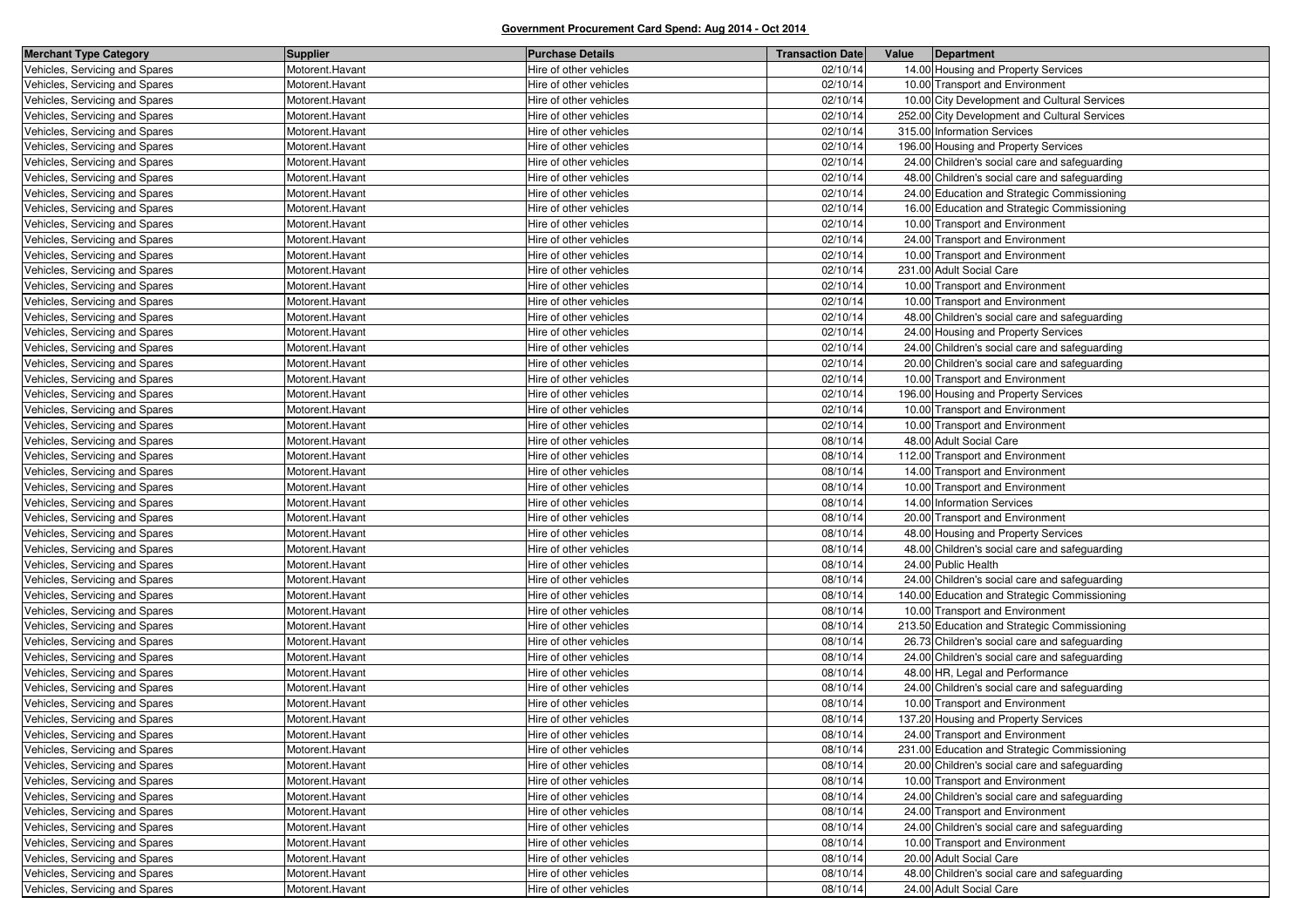| <b>Merchant Type Category</b>  | <b>Supplier</b> | <b>Purchase Details</b> | <b>Transaction Date</b> | Value | Department                                    |
|--------------------------------|-----------------|-------------------------|-------------------------|-------|-----------------------------------------------|
| Vehicles, Servicing and Spares | Motorent.Havant | Hire of other vehicles  | 02/10/14                |       | 14.00 Housing and Property Services           |
| Vehicles, Servicing and Spares | Motorent.Havant | Hire of other vehicles  | 02/10/14                |       | 10.00 Transport and Environment               |
| Vehicles, Servicing and Spares | Motorent.Havant | Hire of other vehicles  | 02/10/14                |       | 10.00 City Development and Cultural Services  |
| Vehicles, Servicing and Spares | Motorent.Havant | Hire of other vehicles  | 02/10/14                |       | 252.00 City Development and Cultural Services |
| Vehicles, Servicing and Spares | Motorent.Havant | Hire of other vehicles  | 02/10/14                |       | 315.00 Information Services                   |
| Vehicles, Servicing and Spares | Motorent.Havant | Hire of other vehicles  | 02/10/14                |       | 196.00 Housing and Property Services          |
| Vehicles, Servicing and Spares | Motorent.Havant | Hire of other vehicles  | 02/10/14                |       | 24.00 Children's social care and safeguarding |
| Vehicles, Servicing and Spares | Motorent.Havant | Hire of other vehicles  | 02/10/14                |       | 48.00 Children's social care and safeguarding |
| Vehicles, Servicing and Spares | Motorent.Havant | Hire of other vehicles  | 02/10/14                |       | 24.00 Education and Strategic Commissioning   |
| Vehicles, Servicing and Spares | Motorent.Havant | Hire of other vehicles  | 02/10/14                |       | 16.00 Education and Strategic Commissioning   |
| Vehicles, Servicing and Spares | Motorent.Havant | Hire of other vehicles  | 02/10/14                |       | 10.00 Transport and Environment               |
| Vehicles, Servicing and Spares | Motorent.Havant | Hire of other vehicles  | 02/10/14                |       | 24.00 Transport and Environment               |
| Vehicles, Servicing and Spares | Motorent.Havant | Hire of other vehicles  | 02/10/14                |       | 10.00 Transport and Environment               |
| Vehicles, Servicing and Spares | Motorent.Havant | Hire of other vehicles  | 02/10/14                |       | 231.00 Adult Social Care                      |
| Vehicles, Servicing and Spares | Motorent.Havant | Hire of other vehicles  | 02/10/14                |       | 10.00 Transport and Environment               |
| Vehicles, Servicing and Spares | Motorent.Havant | Hire of other vehicles  | 02/10/14                |       | 10.00 Transport and Environment               |
| Vehicles, Servicing and Spares | Motorent.Havant | Hire of other vehicles  | 02/10/14                |       | 48.00 Children's social care and safeguarding |
| Vehicles, Servicing and Spares | Motorent.Havant | Hire of other vehicles  | 02/10/14                |       | 24.00 Housing and Property Services           |
| Vehicles, Servicing and Spares | Motorent.Havant | Hire of other vehicles  | 02/10/14                |       | 24.00 Children's social care and safeguarding |
| Vehicles, Servicing and Spares | Motorent.Havant | Hire of other vehicles  | 02/10/14                |       | 20.00 Children's social care and safeguarding |
| Vehicles, Servicing and Spares | Motorent.Havant | Hire of other vehicles  | 02/10/14                |       | 10.00 Transport and Environment               |
| Vehicles, Servicing and Spares | Motorent.Havant | Hire of other vehicles  | 02/10/14                |       | 196.00 Housing and Property Services          |
| Vehicles, Servicing and Spares | Motorent.Havant | Hire of other vehicles  | 02/10/14                |       | 10.00 Transport and Environment               |
| Vehicles, Servicing and Spares | Motorent.Havant | Hire of other vehicles  | 02/10/14                |       | 10.00 Transport and Environment               |
| Vehicles, Servicing and Spares | Motorent.Havant | Hire of other vehicles  | 08/10/14                |       | 48.00 Adult Social Care                       |
| Vehicles, Servicing and Spares | Motorent.Havant | Hire of other vehicles  | 08/10/14                |       | 112.00 Transport and Environment              |
| Vehicles, Servicing and Spares | Motorent.Havant | Hire of other vehicles  | 08/10/14                |       | 14.00 Transport and Environment               |
| Vehicles, Servicing and Spares | Motorent.Havant | Hire of other vehicles  | 08/10/14                |       | 10.00 Transport and Environment               |
| Vehicles, Servicing and Spares | Motorent.Havant | Hire of other vehicles  | 08/10/14                |       | 14.00 Information Services                    |
| Vehicles, Servicing and Spares | Motorent.Havant | Hire of other vehicles  | 08/10/14                |       | 20.00 Transport and Environment               |
| Vehicles, Servicing and Spares | Motorent.Havant | Hire of other vehicles  | 08/10/14                |       | 48.00 Housing and Property Services           |
| Vehicles, Servicing and Spares | Motorent.Havant | Hire of other vehicles  | 08/10/14                |       | 48.00 Children's social care and safeguarding |
| Vehicles, Servicing and Spares | Motorent.Havant | Hire of other vehicles  | 08/10/14                |       | 24.00 Public Health                           |
| Vehicles, Servicing and Spares | Motorent.Havant | Hire of other vehicles  | 08/10/14                |       | 24.00 Children's social care and safeguarding |
| Vehicles, Servicing and Spares | Motorent.Havant | Hire of other vehicles  | 08/10/14                |       | 140.00 Education and Strategic Commissioning  |
| Vehicles, Servicing and Spares | Motorent.Havant | Hire of other vehicles  | 08/10/14                |       | 10.00 Transport and Environment               |
| Vehicles, Servicing and Spares | Motorent.Havant | Hire of other vehicles  | 08/10/14                |       | 213.50 Education and Strategic Commissioning  |
| Vehicles, Servicing and Spares | Motorent.Havant | Hire of other vehicles  | 08/10/14                |       | 26.73 Children's social care and safeguarding |
| Vehicles, Servicing and Spares | Motorent.Havant | Hire of other vehicles  | 08/10/14                |       | 24.00 Children's social care and safeguarding |
| Vehicles, Servicing and Spares | Motorent.Havant | Hire of other vehicles  | 08/10/14                |       | 48.00 HR, Legal and Performance               |
| Vehicles, Servicing and Spares | Motorent.Havant | Hire of other vehicles  | 08/10/14                |       | 24.00 Children's social care and safeguarding |
| Vehicles, Servicing and Spares | Motorent.Havant | Hire of other vehicles  | 08/10/14                |       | 10.00 Transport and Environment               |
| Vehicles, Servicing and Spares | Motorent.Havant | Hire of other vehicles  | 08/10/14                |       | 137.20 Housing and Property Services          |
| Vehicles, Servicing and Spares | Motorent.Havant | Hire of other vehicles  | 08/10/14                |       | 24.00 Transport and Environment               |
| Vehicles, Servicing and Spares | Motorent.Havant | Hire of other vehicles  | 08/10/14                |       | 231.00 Education and Strategic Commissioning  |
| Vehicles, Servicing and Spares | Motorent.Havant | Hire of other vehicles  | 08/10/14                |       | 20.00 Children's social care and safeguarding |
| Vehicles, Servicing and Spares | Motorent.Havant | Hire of other vehicles  | 08/10/14                |       | 10.00 Transport and Environment               |
| Vehicles, Servicing and Spares | Motorent.Havant | Hire of other vehicles  | 08/10/14                |       | 24.00 Children's social care and safeguarding |
| Vehicles, Servicing and Spares | Motorent.Havant | Hire of other vehicles  | 08/10/14                |       | 24.00 Transport and Environment               |
| Vehicles, Servicing and Spares | Motorent.Havant | Hire of other vehicles  | 08/10/14                |       | 24.00 Children's social care and safeguarding |
| Vehicles, Servicing and Spares | Motorent.Havant | Hire of other vehicles  | 08/10/14                |       | 10.00 Transport and Environment               |
| Vehicles, Servicing and Spares | Motorent.Havant | Hire of other vehicles  | 08/10/14                |       | 20.00 Adult Social Care                       |
| Vehicles, Servicing and Spares | Motorent.Havant | Hire of other vehicles  | 08/10/14                |       | 48.00 Children's social care and safeguarding |
| Vehicles, Servicing and Spares | Motorent.Havant | Hire of other vehicles  | 08/10/14                |       | 24.00 Adult Social Care                       |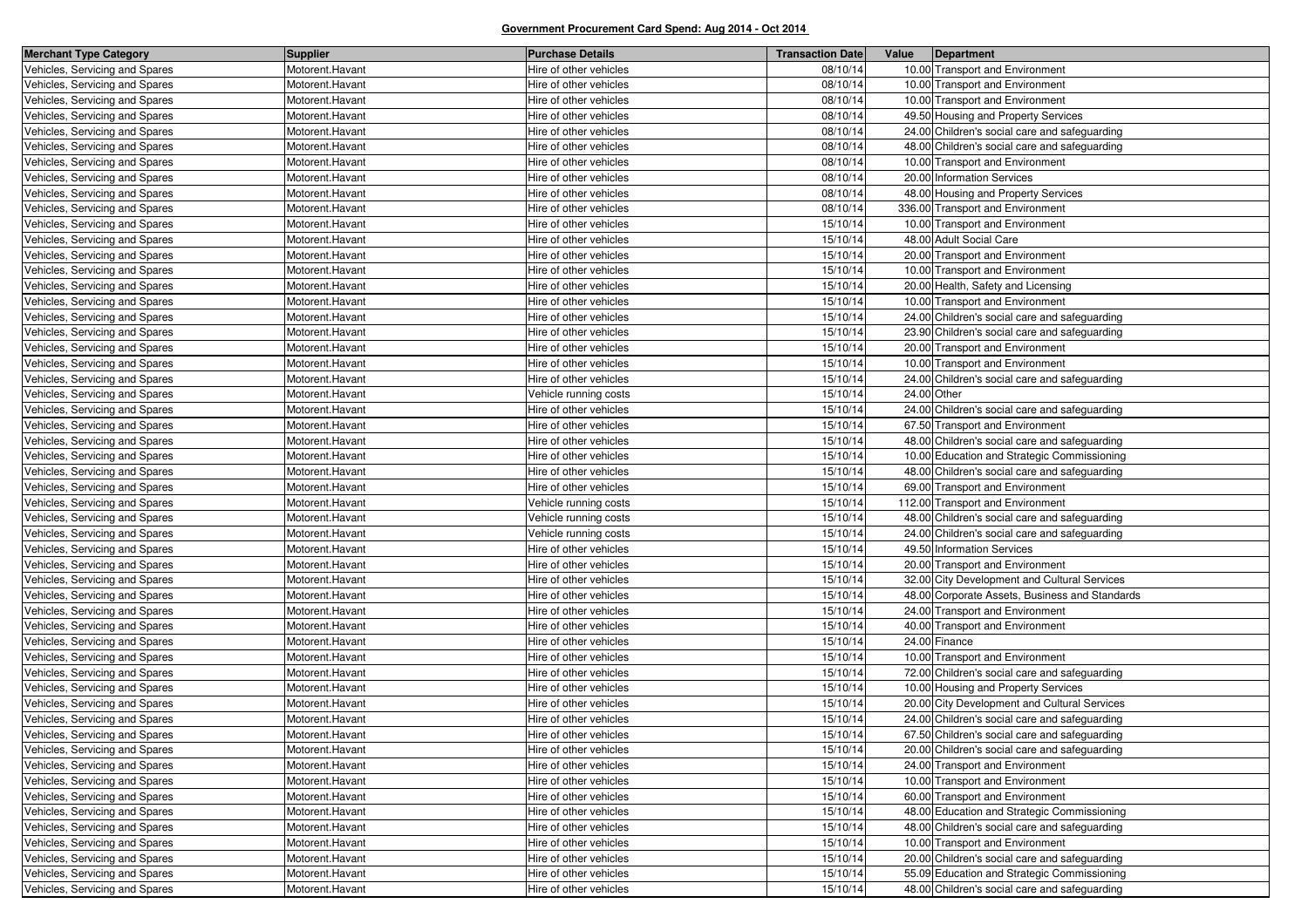| <b>Merchant Type Category</b>  | <b>Supplier</b> | <b>Purchase Details</b> | <b>Transaction Date</b> | Value<br>Department                            |
|--------------------------------|-----------------|-------------------------|-------------------------|------------------------------------------------|
| Vehicles, Servicing and Spares | Motorent.Havant | Hire of other vehicles  | 08/10/14                | 10.00 Transport and Environment                |
| Vehicles, Servicing and Spares | Motorent.Havant | Hire of other vehicles  | 08/10/14                | 10.00 Transport and Environment                |
| Vehicles, Servicing and Spares | Motorent.Havant | Hire of other vehicles  | 08/10/14                | 10.00 Transport and Environment                |
| Vehicles, Servicing and Spares | Motorent.Havant | Hire of other vehicles  | 08/10/14                | 49.50 Housing and Property Services            |
| Vehicles, Servicing and Spares | Motorent.Havant | Hire of other vehicles  | 08/10/14                | 24.00 Children's social care and safeguarding  |
| Vehicles, Servicing and Spares | Motorent.Havant | Hire of other vehicles  | 08/10/14                | 48.00 Children's social care and safeguarding  |
| Vehicles, Servicing and Spares | Motorent.Havant | Hire of other vehicles  | 08/10/14                | 10.00 Transport and Environment                |
| Vehicles, Servicing and Spares | Motorent.Havant | Hire of other vehicles  | 08/10/14                | 20.00 Information Services                     |
| Vehicles, Servicing and Spares | Motorent.Havant | Hire of other vehicles  | 08/10/14                | 48.00 Housing and Property Services            |
| Vehicles, Servicing and Spares | Motorent.Havant | Hire of other vehicles  | 08/10/14                | 336.00 Transport and Environment               |
| Vehicles, Servicing and Spares | Motorent.Havant | Hire of other vehicles  | 15/10/14                | 10.00 Transport and Environment                |
| Vehicles, Servicing and Spares | Motorent.Havant | Hire of other vehicles  | 15/10/14                | 48.00 Adult Social Care                        |
| Vehicles, Servicing and Spares | Motorent.Havant | Hire of other vehicles  | 15/10/14                | 20.00 Transport and Environment                |
| Vehicles, Servicing and Spares | Motorent.Havant | Hire of other vehicles  | 15/10/14                | 10.00 Transport and Environment                |
| Vehicles, Servicing and Spares | Motorent.Havant | Hire of other vehicles  | 15/10/14                | 20.00 Health, Safety and Licensing             |
| Vehicles, Servicing and Spares | Motorent.Havant | Hire of other vehicles  | 15/10/14                | 10.00 Transport and Environment                |
| Vehicles, Servicing and Spares | Motorent.Havant | Hire of other vehicles  | 15/10/14                | 24.00 Children's social care and safeguarding  |
| Vehicles, Servicing and Spares | Motorent.Havant | Hire of other vehicles  | 15/10/14                | 23.90 Children's social care and safeguarding  |
| Vehicles, Servicing and Spares | Motorent.Havant | Hire of other vehicles  | 15/10/14                | 20.00 Transport and Environment                |
| Vehicles, Servicing and Spares | Motorent.Havant | Hire of other vehicles  | 15/10/14                | 10.00 Transport and Environment                |
| Vehicles, Servicing and Spares | Motorent.Havant | Hire of other vehicles  | 15/10/14                | 24.00 Children's social care and safeguarding  |
| Vehicles, Servicing and Spares | Motorent.Havant | Vehicle running costs   | 15/10/14                | 24.00 Other                                    |
| Vehicles, Servicing and Spares | Motorent.Havant | Hire of other vehicles  | 15/10/14                | 24.00 Children's social care and safeguarding  |
| Vehicles, Servicing and Spares | Motorent.Havant | Hire of other vehicles  | 15/10/14                | 67.50 Transport and Environment                |
| Vehicles, Servicing and Spares | Motorent.Havant | Hire of other vehicles  | 15/10/14                | 48.00 Children's social care and safeguarding  |
| Vehicles, Servicing and Spares | Motorent.Havant | Hire of other vehicles  | 15/10/14                | 10.00 Education and Strategic Commissioning    |
| Vehicles, Servicing and Spares | Motorent.Havant | Hire of other vehicles  | 15/10/14                | 48.00 Children's social care and safeguarding  |
| Vehicles, Servicing and Spares | Motorent.Havant | Hire of other vehicles  | 15/10/14                | 69.00 Transport and Environment                |
| Vehicles, Servicing and Spares | Motorent.Havant | Vehicle running costs   | 15/10/14                | 112.00 Transport and Environment               |
| Vehicles, Servicing and Spares | Motorent.Havant | Vehicle running costs   | 15/10/14                | 48.00 Children's social care and safeguarding  |
| Vehicles, Servicing and Spares | Motorent.Havant | Vehicle running costs   | 15/10/14                | 24.00 Children's social care and safeguarding  |
| Vehicles, Servicing and Spares | Motorent.Havant | Hire of other vehicles  | 15/10/14                | 49.50 Information Services                     |
| Vehicles, Servicing and Spares | Motorent.Havant | Hire of other vehicles  | 15/10/14                | 20.00 Transport and Environment                |
| Vehicles, Servicing and Spares | Motorent.Havant | Hire of other vehicles  | 15/10/14                | 32.00 City Development and Cultural Services   |
| Vehicles, Servicing and Spares | Motorent.Havant | Hire of other vehicles  | 15/10/14                | 48.00 Corporate Assets, Business and Standards |
| Vehicles, Servicing and Spares | Motorent.Havant | Hire of other vehicles  | 15/10/14                | 24.00 Transport and Environment                |
| Vehicles, Servicing and Spares | Motorent.Havant | Hire of other vehicles  | 15/10/14                | 40.00 Transport and Environment                |
| Vehicles, Servicing and Spares | Motorent.Havant | Hire of other vehicles  | 15/10/14                | 24.00 Finance                                  |
| Vehicles, Servicing and Spares | Motorent.Havant | Hire of other vehicles  | 15/10/14                | 10.00 Transport and Environment                |
| Vehicles, Servicing and Spares | Motorent.Havant | Hire of other vehicles  | 15/10/14                | 72.00 Children's social care and safeguarding  |
| Vehicles, Servicing and Spares | Motorent.Havant | Hire of other vehicles  | 15/10/14                | 10.00 Housing and Property Services            |
| Vehicles, Servicing and Spares | Motorent.Havant | Hire of other vehicles  | 15/10/14                | 20.00 City Development and Cultural Services   |
| Vehicles, Servicing and Spares | Motorent.Havant | Hire of other vehicles  | 15/10/14                | 24.00 Children's social care and safeguarding  |
| Vehicles, Servicing and Spares | Motorent.Havant | Hire of other vehicles  | 15/10/14                | 67.50 Children's social care and safeguarding  |
| Vehicles, Servicing and Spares | Motorent.Havant | Hire of other vehicles  | 15/10/14                | 20.00 Children's social care and safeguarding  |
| Vehicles, Servicing and Spares | Motorent.Havant | Hire of other vehicles  | 15/10/14                | 24.00 Transport and Environment                |
| Vehicles, Servicing and Spares | Motorent.Havant | Hire of other vehicles  | 15/10/14                | 10.00 Transport and Environment                |
| Vehicles, Servicing and Spares | Motorent.Havant | Hire of other vehicles  | 15/10/14                | 60.00 Transport and Environment                |
| Vehicles, Servicing and Spares | Motorent.Havant | Hire of other vehicles  | 15/10/14                | 48.00 Education and Strategic Commissioning    |
| Vehicles, Servicing and Spares | Motorent.Havant | Hire of other vehicles  | 15/10/14                | 48.00 Children's social care and safeguarding  |
| Vehicles, Servicing and Spares | Motorent.Havant | Hire of other vehicles  | 15/10/14                | 10.00 Transport and Environment                |
| Vehicles, Servicing and Spares | Motorent.Havant | Hire of other vehicles  | 15/10/14                | 20.00 Children's social care and safeguarding  |
| Vehicles, Servicing and Spares | Motorent.Havant | Hire of other vehicles  | 15/10/14                | 55.09 Education and Strategic Commissioning    |
| Vehicles, Servicing and Spares | Motorent.Havant | Hire of other vehicles  | 15/10/14                | 48.00 Children's social care and safeguarding  |
|                                |                 |                         |                         |                                                |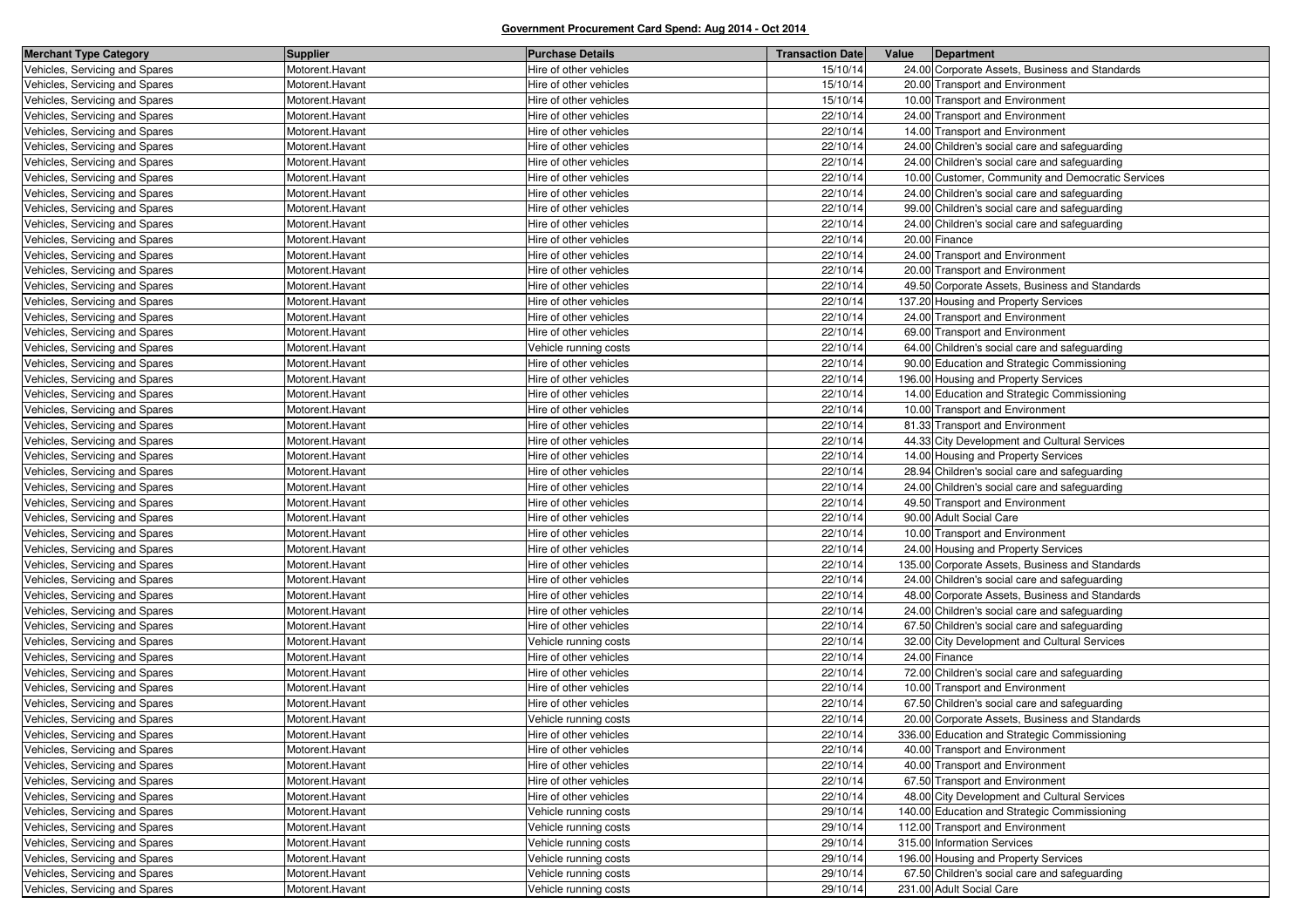| <b>Merchant Type Category</b>  | <b>Supplier</b> | <b>Purchase Details</b> | <b>Transaction Date</b> | Value | Department                                        |
|--------------------------------|-----------------|-------------------------|-------------------------|-------|---------------------------------------------------|
| Vehicles, Servicing and Spares | Motorent.Havant | Hire of other vehicles  | 15/10/14                |       | 24.00 Corporate Assets, Business and Standards    |
| Vehicles, Servicing and Spares | Motorent.Havant | Hire of other vehicles  | 15/10/14                |       | 20.00 Transport and Environment                   |
| Vehicles, Servicing and Spares | Motorent.Havant | Hire of other vehicles  | 15/10/14                |       | 10.00 Transport and Environment                   |
| Vehicles, Servicing and Spares | Motorent.Havant | Hire of other vehicles  | 22/10/14                |       | 24.00 Transport and Environment                   |
| Vehicles, Servicing and Spares | Motorent.Havant | Hire of other vehicles  | 22/10/14                |       | 14.00 Transport and Environment                   |
| Vehicles, Servicing and Spares | Motorent.Havant | Hire of other vehicles  | 22/10/14                |       | 24.00 Children's social care and safeguarding     |
| Vehicles, Servicing and Spares | Motorent.Havant | Hire of other vehicles  | 22/10/14                |       | 24.00 Children's social care and safeguarding     |
| Vehicles, Servicing and Spares | Motorent.Havant | Hire of other vehicles  | 22/10/14                |       | 10.00 Customer, Community and Democratic Services |
| Vehicles, Servicing and Spares | Motorent.Havant | Hire of other vehicles  | 22/10/14                |       | 24.00 Children's social care and safeguarding     |
| Vehicles, Servicing and Spares | Motorent.Havant | Hire of other vehicles  | 22/10/14                |       | 99.00 Children's social care and safeguarding     |
| Vehicles, Servicing and Spares | Motorent.Havant | Hire of other vehicles  | 22/10/14                |       | 24.00 Children's social care and safeguarding     |
| Vehicles, Servicing and Spares | Motorent.Havant | Hire of other vehicles  | 22/10/14                |       | 20.00 Finance                                     |
| Vehicles, Servicing and Spares | Motorent.Havant | Hire of other vehicles  | 22/10/14                |       | 24.00 Transport and Environment                   |
| Vehicles, Servicing and Spares | Motorent.Havant | Hire of other vehicles  | 22/10/14                |       | 20.00 Transport and Environment                   |
| Vehicles, Servicing and Spares | Motorent.Havant | Hire of other vehicles  | 22/10/14                |       | 49.50 Corporate Assets, Business and Standards    |
| Vehicles, Servicing and Spares | Motorent.Havant | Hire of other vehicles  | 22/10/14                |       | 137.20 Housing and Property Services              |
| Vehicles, Servicing and Spares | Motorent.Havant | Hire of other vehicles  | 22/10/14                |       | 24.00 Transport and Environment                   |
| Vehicles, Servicing and Spares | Motorent.Havant | Hire of other vehicles  | 22/10/14                |       | 69.00 Transport and Environment                   |
| Vehicles, Servicing and Spares | Motorent.Havant | Vehicle running costs   | 22/10/14                |       | 64.00 Children's social care and safeguarding     |
| Vehicles, Servicing and Spares | Motorent.Havant | Hire of other vehicles  | 22/10/14                |       | 90.00 Education and Strategic Commissioning       |
| Vehicles, Servicing and Spares | Motorent.Havant | Hire of other vehicles  | 22/10/14                |       | 196.00 Housing and Property Services              |
| Vehicles, Servicing and Spares | Motorent.Havant | Hire of other vehicles  | 22/10/14                |       | 14.00 Education and Strategic Commissioning       |
| Vehicles, Servicing and Spares | Motorent.Havant | Hire of other vehicles  | 22/10/14                |       | 10.00 Transport and Environment                   |
| Vehicles, Servicing and Spares | Motorent.Havant | Hire of other vehicles  | 22/10/14                |       | 81.33 Transport and Environment                   |
| Vehicles, Servicing and Spares | Motorent.Havant | Hire of other vehicles  | 22/10/14                |       | 44.33 City Development and Cultural Services      |
| Vehicles, Servicing and Spares | Motorent.Havant | Hire of other vehicles  | 22/10/14                |       | 14.00 Housing and Property Services               |
| Vehicles, Servicing and Spares | Motorent.Havant | Hire of other vehicles  | 22/10/14                |       | 28.94 Children's social care and safeguarding     |
| Vehicles, Servicing and Spares | Motorent.Havant | Hire of other vehicles  | 22/10/14                |       | 24.00 Children's social care and safeguarding     |
| Vehicles, Servicing and Spares | Motorent.Havant | Hire of other vehicles  | 22/10/14                |       | 49.50 Transport and Environment                   |
| Vehicles, Servicing and Spares | Motorent.Havant | Hire of other vehicles  | 22/10/14                |       | 90.00 Adult Social Care                           |
| Vehicles, Servicing and Spares | Motorent.Havant | Hire of other vehicles  | 22/10/14                |       | 10.00 Transport and Environment                   |
| Vehicles, Servicing and Spares | Motorent.Havant | Hire of other vehicles  | 22/10/14                |       | 24.00 Housing and Property Services               |
| Vehicles, Servicing and Spares | Motorent.Havant | Hire of other vehicles  | 22/10/14                |       | 135.00 Corporate Assets, Business and Standards   |
| Vehicles, Servicing and Spares | Motorent.Havant | Hire of other vehicles  | 22/10/14                |       | 24.00 Children's social care and safeguarding     |
| Vehicles, Servicing and Spares | Motorent.Havant | Hire of other vehicles  | 22/10/14                |       | 48.00 Corporate Assets, Business and Standards    |
| Vehicles, Servicing and Spares | Motorent.Havant | Hire of other vehicles  | 22/10/14                |       | 24.00 Children's social care and safeguarding     |
| Vehicles, Servicing and Spares | Motorent.Havant | Hire of other vehicles  | 22/10/14                |       | 67.50 Children's social care and safeguarding     |
| Vehicles, Servicing and Spares | Motorent.Havant | Vehicle running costs   | 22/10/14                |       | 32.00 City Development and Cultural Services      |
| Vehicles, Servicing and Spares | Motorent.Havant | Hire of other vehicles  | 22/10/14                |       | 24.00 Finance                                     |
| Vehicles, Servicing and Spares | Motorent.Havant | Hire of other vehicles  | 22/10/14                |       | 72.00 Children's social care and safeguarding     |
| Vehicles, Servicing and Spares | Motorent.Havant | Hire of other vehicles  | 22/10/14                |       | 10.00 Transport and Environment                   |
| Vehicles, Servicing and Spares | Motorent.Havant | Hire of other vehicles  | 22/10/14                |       | 67.50 Children's social care and safeguarding     |
| Vehicles, Servicing and Spares | Motorent.Havant | Vehicle running costs   | 22/10/14                |       | 20.00 Corporate Assets, Business and Standards    |
| Vehicles, Servicing and Spares | Motorent.Havant | Hire of other vehicles  | 22/10/14                |       | 336.00 Education and Strategic Commissioning      |
| Vehicles, Servicing and Spares | Motorent.Havant | Hire of other vehicles  | 22/10/14                |       | 40.00 Transport and Environment                   |
| Vehicles, Servicing and Spares | Motorent.Havant | Hire of other vehicles  | 22/10/14                |       | 40.00 Transport and Environment                   |
| Vehicles, Servicing and Spares | Motorent.Havant | Hire of other vehicles  | 22/10/14                |       | 67.50 Transport and Environment                   |
| Vehicles, Servicing and Spares | Motorent.Havant | Hire of other vehicles  | 22/10/14                |       | 48.00 City Development and Cultural Services      |
| Vehicles, Servicing and Spares | Motorent.Havant | Vehicle running costs   | 29/10/14                |       | 140.00 Education and Strategic Commissioning      |
| Vehicles, Servicing and Spares | Motorent.Havant | Vehicle running costs   | 29/10/14                |       | 112.00 Transport and Environment                  |
| Vehicles, Servicing and Spares | Motorent.Havant | Vehicle running costs   | 29/10/14                |       | 315.00 Information Services                       |
| Vehicles, Servicing and Spares | Motorent.Havant | Vehicle running costs   | 29/10/14                |       | 196.00 Housing and Property Services              |
| Vehicles, Servicing and Spares | Motorent.Havant | Vehicle running costs   | 29/10/14                |       | 67.50 Children's social care and safeguarding     |
| Vehicles, Servicing and Spares | Motorent.Havant | Vehicle running costs   | 29/10/14                |       | 231.00 Adult Social Care                          |
|                                |                 |                         |                         |       |                                                   |